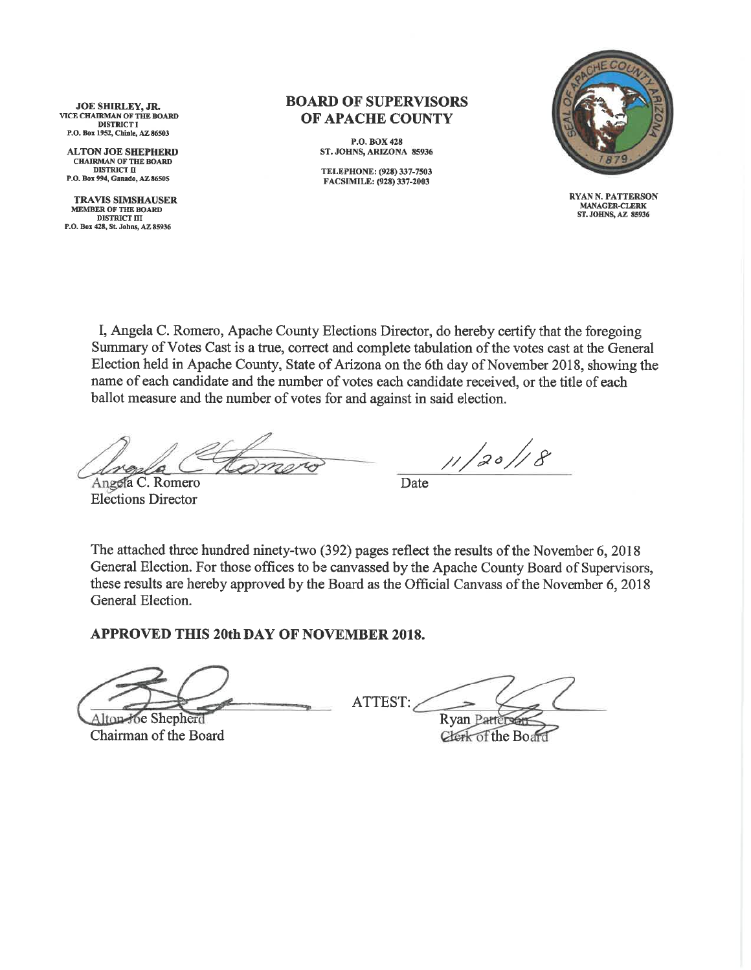JOE SHIRLEY, JR. VICE CHAIRMAN OF THE BOARD **DISTRICT I** P.O. Box 1952, Chinle, AZ 86503

**ALTON JOE SHEPHERD CHAIRMAN OF THE BOARD DISTRICT II** P.O. Box 994, Ganado, AZ 86505

**TRAVIS SIMSHAUSER** MEMBER OF THE BOARD **DISTRICT III** P.O. Box 428, St. Johns, AZ 85936

## **BOARD OF SUPERVISORS OF APACHE COUNTY**

P.O. BOX 428 ST. JOHNS, ARIZONA 85936

TELEPHONE: (928) 337-7503 FACSIMILE: (928) 337-2003



**RYAN N. PATTERSON MANAGER-CLERK** ST. JOHNS, AZ 85936

I, Angela C. Romero, Apache County Elections Director, do hereby certify that the foregoing Summary of Votes Cast is a true, correct and complete tabulation of the votes cast at the General Election held in Apache County, State of Arizona on the 6th day of November 2018, showing the name of each candidate and the number of votes each candidate received, or the title of each ballot measure and the number of votes for and against in said election.

Angela C. Romero **Elections Director** 

 $11/20/8$ 

Date

The attached three hundred ninety-two (392) pages reflect the results of the November 6, 2018 General Election. For those offices to be canvassed by the Apache County Board of Supervisors, these results are hereby approved by the Board as the Official Canvass of the November 6, 2018 General Election.

**APPROVED THIS 20th DAY OF NOVEMBER 2018.** 

Alton-Joe Shepherd

Chairman of the Board

ATTEST: **Ryan Patter** 

Clerk of the Board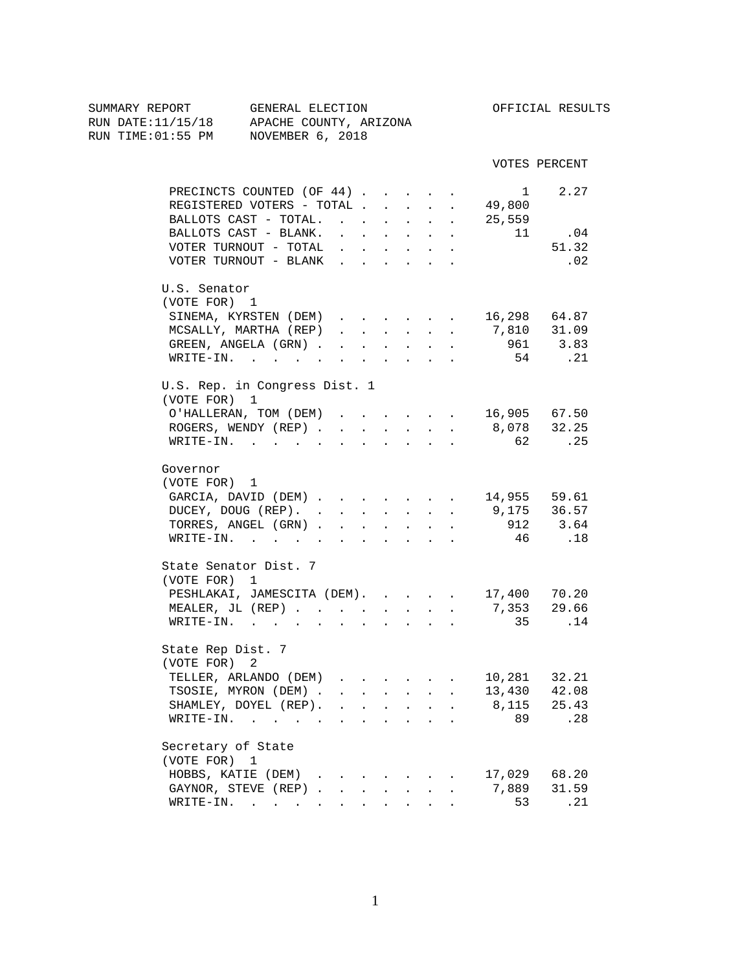| SUMMARY REPORT<br>RUN DATE:11/15/18 APACHE COUNTY, ARIZONA<br>RUN TIME:01:55 PM NOVEMBER 6, 2018 |                              | GENERAL ELECTION                   |        |                           |                                                             |        |                                                                               |                                                                                                                                                                                                                                                                                                                                                                                                                                                            |                                      | OFFICIAL RESULTS |  |
|--------------------------------------------------------------------------------------------------|------------------------------|------------------------------------|--------|---------------------------|-------------------------------------------------------------|--------|-------------------------------------------------------------------------------|------------------------------------------------------------------------------------------------------------------------------------------------------------------------------------------------------------------------------------------------------------------------------------------------------------------------------------------------------------------------------------------------------------------------------------------------------------|--------------------------------------|------------------|--|
|                                                                                                  |                              |                                    |        |                           |                                                             |        |                                                                               |                                                                                                                                                                                                                                                                                                                                                                                                                                                            |                                      | VOTES PERCENT    |  |
|                                                                                                  |                              | PRECINCTS COUNTED (OF 44)          |        |                           |                                                             |        |                                                                               |                                                                                                                                                                                                                                                                                                                                                                                                                                                            | $\sim$ 1                             | 2.27             |  |
|                                                                                                  |                              | REGISTERED VOTERS - TOTAL          |        |                           |                                                             |        |                                                                               |                                                                                                                                                                                                                                                                                                                                                                                                                                                            | 49,800                               |                  |  |
|                                                                                                  |                              | BALLOTS CAST - TOTAL.              |        |                           |                                                             |        |                                                                               |                                                                                                                                                                                                                                                                                                                                                                                                                                                            | 25,559                               |                  |  |
|                                                                                                  |                              | BALLOTS CAST - BLANK.              | $\sim$ |                           | <b>Carl Carl Control</b>                                    |        | $\Delta \phi = \Delta \phi$ and $\Delta \phi$                                 | $\sim$                                                                                                                                                                                                                                                                                                                                                                                                                                                     | 11                                   | .04              |  |
|                                                                                                  |                              | VOTER TURNOUT - TOTAL              |        |                           |                                                             |        | $\mathbf{r}$ , $\mathbf{r}$ , $\mathbf{r}$ , $\mathbf{r}$                     |                                                                                                                                                                                                                                                                                                                                                                                                                                                            |                                      | 51.32            |  |
|                                                                                                  |                              | VOTER TURNOUT - BLANK              |        |                           |                                                             |        |                                                                               |                                                                                                                                                                                                                                                                                                                                                                                                                                                            |                                      | .02              |  |
|                                                                                                  | U.S. Senator<br>(VOTE FOR) 1 |                                    |        |                           |                                                             |        |                                                                               |                                                                                                                                                                                                                                                                                                                                                                                                                                                            |                                      |                  |  |
|                                                                                                  |                              | SINEMA, KYRSTEN (DEM)              |        |                           |                                                             |        |                                                                               |                                                                                                                                                                                                                                                                                                                                                                                                                                                            | $\cdot$ 16,298 64.87                 |                  |  |
|                                                                                                  |                              | MCSALLY, MARTHA (REP)              |        |                           |                                                             |        |                                                                               | $\mathbf{1} \qquad \mathbf{1} \qquad \mathbf{1} \qquad \mathbf{1} \qquad \mathbf{1} \qquad \mathbf{1} \qquad \mathbf{1} \qquad \mathbf{1} \qquad \mathbf{1} \qquad \mathbf{1} \qquad \mathbf{1} \qquad \mathbf{1} \qquad \mathbf{1} \qquad \mathbf{1} \qquad \mathbf{1} \qquad \mathbf{1} \qquad \mathbf{1} \qquad \mathbf{1} \qquad \mathbf{1} \qquad \mathbf{1} \qquad \mathbf{1} \qquad \mathbf{1} \qquad \mathbf{1} \qquad \mathbf{1} \qquad \mathbf{$ | 7,810 31.09                          |                  |  |
|                                                                                                  |                              | GREEN, ANGELA (GRN)                |        |                           |                                                             |        |                                                                               |                                                                                                                                                                                                                                                                                                                                                                                                                                                            |                                      | 961 3.83         |  |
|                                                                                                  |                              | WRITE-IN.                          |        |                           |                                                             |        |                                                                               |                                                                                                                                                                                                                                                                                                                                                                                                                                                            | 54                                   | .21              |  |
|                                                                                                  |                              | U.S. Rep. in Congress Dist. 1      |        |                           |                                                             |        |                                                                               |                                                                                                                                                                                                                                                                                                                                                                                                                                                            |                                      |                  |  |
|                                                                                                  | (VOTE FOR) 1                 |                                    |        |                           |                                                             |        |                                                                               |                                                                                                                                                                                                                                                                                                                                                                                                                                                            |                                      |                  |  |
|                                                                                                  |                              | O'HALLERAN, TOM (DEM) 16,905 67.50 |        |                           |                                                             |        |                                                                               |                                                                                                                                                                                                                                                                                                                                                                                                                                                            |                                      |                  |  |
|                                                                                                  |                              | ROGERS, WENDY (REP) 8,078 32.25    |        |                           |                                                             |        |                                                                               |                                                                                                                                                                                                                                                                                                                                                                                                                                                            |                                      |                  |  |
|                                                                                                  |                              | WRITE-IN.                          |        |                           |                                                             |        |                                                                               |                                                                                                                                                                                                                                                                                                                                                                                                                                                            | 62 62                                | .25              |  |
|                                                                                                  | Governor                     |                                    |        |                           |                                                             |        |                                                                               |                                                                                                                                                                                                                                                                                                                                                                                                                                                            |                                      |                  |  |
|                                                                                                  | (VOTE FOR) 1                 |                                    |        |                           |                                                             |        |                                                                               |                                                                                                                                                                                                                                                                                                                                                                                                                                                            |                                      |                  |  |
|                                                                                                  |                              | GARCIA, DAVID (DEM)                |        |                           |                                                             |        |                                                                               |                                                                                                                                                                                                                                                                                                                                                                                                                                                            |                                      | 14,955 59.61     |  |
|                                                                                                  |                              | DUCEY, DOUG (REP).                 |        |                           |                                                             |        |                                                                               |                                                                                                                                                                                                                                                                                                                                                                                                                                                            |                                      | 9,175 36.57      |  |
|                                                                                                  |                              | TORRES, ANGEL (GRN)                |        |                           |                                                             |        |                                                                               |                                                                                                                                                                                                                                                                                                                                                                                                                                                            |                                      | 912 3.64         |  |
|                                                                                                  |                              | WRITE-IN.                          |        |                           |                                                             |        |                                                                               |                                                                                                                                                                                                                                                                                                                                                                                                                                                            |                                      | 46.18            |  |
|                                                                                                  | (VOTE FOR) 1                 | State Senator Dist. 7              |        |                           |                                                             |        |                                                                               |                                                                                                                                                                                                                                                                                                                                                                                                                                                            |                                      |                  |  |
|                                                                                                  |                              | PESHLAKAI, JAMESCITA (DEM).        |        |                           |                                                             |        |                                                                               |                                                                                                                                                                                                                                                                                                                                                                                                                                                            |                                      |                  |  |
|                                                                                                  |                              | MEALER, JL (REP)                   |        |                           | $\sim$ 100 $\pm$                                            | $\sim$ |                                                                               | $\mathbf{L}$                                                                                                                                                                                                                                                                                                                                                                                                                                               | 17,400      70.20<br>7,353     29.66 |                  |  |
|                                                                                                  |                              | WRITE-IN.                          |        |                           |                                                             |        | $\mathbf{r} = \mathbf{r}$                                                     |                                                                                                                                                                                                                                                                                                                                                                                                                                                            |                                      | 35 .14           |  |
|                                                                                                  |                              |                                    |        |                           |                                                             |        |                                                                               |                                                                                                                                                                                                                                                                                                                                                                                                                                                            |                                      |                  |  |
|                                                                                                  | State Rep Dist. 7            |                                    |        |                           |                                                             |        |                                                                               |                                                                                                                                                                                                                                                                                                                                                                                                                                                            |                                      |                  |  |
|                                                                                                  | (VOTE FOR) 2                 |                                    |        |                           |                                                             |        |                                                                               |                                                                                                                                                                                                                                                                                                                                                                                                                                                            | 10,281                               | 32.21            |  |
|                                                                                                  |                              | TELLER, ARLANDO (DEM)              |        |                           |                                                             |        |                                                                               |                                                                                                                                                                                                                                                                                                                                                                                                                                                            |                                      |                  |  |
|                                                                                                  |                              | TSOSIE, MYRON (DEM).               |        | $\sim$ 100 $\pm$          |                                                             |        |                                                                               |                                                                                                                                                                                                                                                                                                                                                                                                                                                            | 13,430                               | 42.08<br>25.43   |  |
|                                                                                                  |                              | SHAMLEY, DOYEL (REP).              |        |                           |                                                             |        | $\mathbf{r} = \mathbf{r} + \mathbf{r} + \mathbf{r} + \mathbf{r} + \mathbf{r}$ |                                                                                                                                                                                                                                                                                                                                                                                                                                                            | 8,115<br>89                          | .28              |  |
|                                                                                                  |                              | WRITE-IN.                          |        |                           |                                                             |        |                                                                               |                                                                                                                                                                                                                                                                                                                                                                                                                                                            |                                      |                  |  |
|                                                                                                  | Secretary of State           |                                    |        |                           |                                                             |        |                                                                               |                                                                                                                                                                                                                                                                                                                                                                                                                                                            |                                      |                  |  |
|                                                                                                  | (VOTE FOR) 1                 |                                    |        |                           |                                                             |        |                                                                               |                                                                                                                                                                                                                                                                                                                                                                                                                                                            |                                      |                  |  |
|                                                                                                  |                              | HOBBS, KATIE (DEM)                 |        |                           |                                                             |        |                                                                               |                                                                                                                                                                                                                                                                                                                                                                                                                                                            | 17,029                               | 68.20            |  |
|                                                                                                  |                              | GAYNOR, STEVE (REP)                |        |                           |                                                             |        |                                                                               | $\ddot{\phantom{a}}$                                                                                                                                                                                                                                                                                                                                                                                                                                       | 7,889                                | 31.59            |  |
|                                                                                                  |                              | WRITE-IN.                          |        | $\mathbf{A}^{\text{max}}$ | $\bullet$ .<br><br><br><br><br><br><br><br><br><br><br><br> |        |                                                                               |                                                                                                                                                                                                                                                                                                                                                                                                                                                            | 53                                   | .21              |  |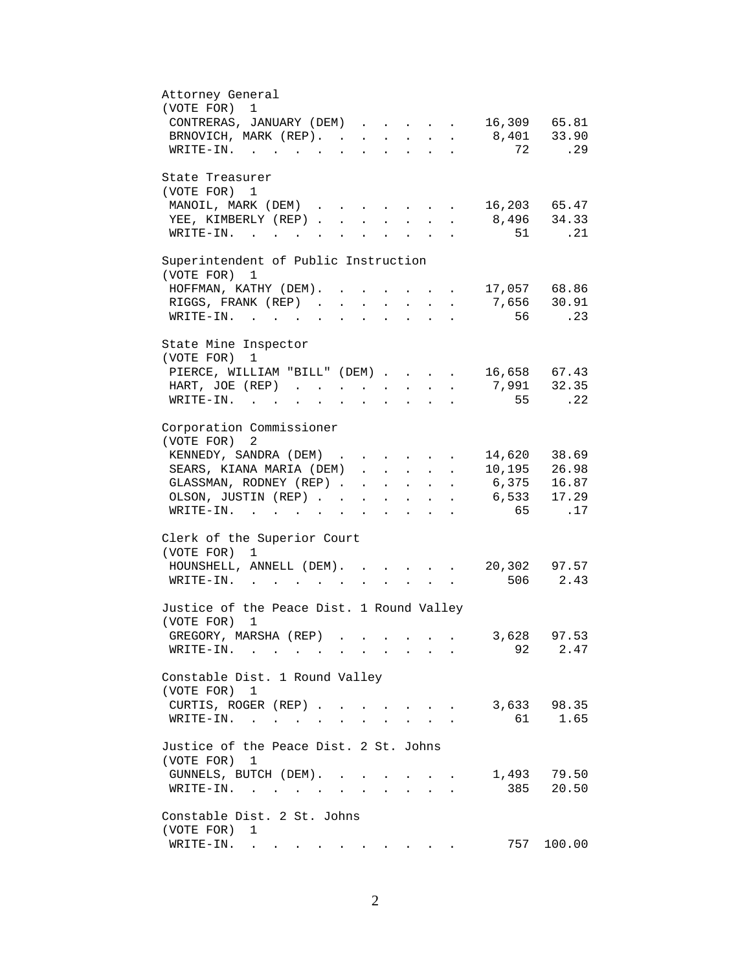| Attorney General                                                                                                        |                |              |
|-------------------------------------------------------------------------------------------------------------------------|----------------|--------------|
| (VOTE FOR)<br>$\mathbf{1}$                                                                                              |                |              |
| CONTRERAS, JANUARY (DEM) 16,309 65.81                                                                                   |                |              |
| BRNOVICH, MARK (REP). 8,401 33.90                                                                                       |                |              |
| WRITE-IN.                                                                                                               | 72             | .29          |
|                                                                                                                         |                |              |
| State Treasurer                                                                                                         |                |              |
| (VOTE FOR) 1                                                                                                            |                |              |
| MANOIL, MARK (DEM)                                                                                                      | 16,203 65.47   |              |
| YEE, KIMBERLY (REP)                                                                                                     |                | 8,496 34.33  |
| $\texttt{WRTTE-IN.}$<br>$\mathbf{r} = \mathbf{r} + \mathbf{r}$                                                          |                | 51<br>.21    |
|                                                                                                                         |                |              |
| Superintendent of Public Instruction                                                                                    |                |              |
| (VOTE FOR) 1                                                                                                            |                |              |
|                                                                                                                         |                |              |
| HOFFMAN, KATHY (DEM). .                                                                                                 | $17,057$ 68.86 |              |
| RIGGS, FRANK (REP).<br>$\sim$<br>$\sim$ 100 $\pm$<br>$\mathbf{z} = \left\{ \mathbf{z}_1, \ldots, \mathbf{z}_n \right\}$ | 7,656 30.91    |              |
| $\texttt{WRTTE-IN.}$<br>$\ddot{\phantom{a}}$                                                                            | 56             | .23          |
|                                                                                                                         |                |              |
| State Mine Inspector                                                                                                    |                |              |
| (VOTE FOR)<br>$\mathbf{1}$                                                                                              |                |              |
| PIERCE, WILLIAM "BILL" (DEM) 16,658 67.43                                                                               |                |              |
| HART, JOE (REP) 7,991 32.35                                                                                             |                |              |
| WRITE-IN.                                                                                                               | 55             | .22          |
|                                                                                                                         |                |              |
| Corporation Commissioner                                                                                                |                |              |
| (VOTE FOR) 2                                                                                                            |                |              |
| KENNEDY, SANDRA (DEM)                                                                                                   |                | 14,620 38.69 |
| SEARS, KIANA MARIA (DEM)                                                                                                |                | 10,195 26.98 |
| GLASSMAN, RODNEY (REP)                                                                                                  | 6,375 16.87    |              |
| OLSON, JUSTIN (REP)                                                                                                     | 6,533 17.29    |              |
| WRITE-IN.                                                                                                               | 65             | .17          |
|                                                                                                                         |                |              |
| Clerk of the Superior Court                                                                                             |                |              |
| (VOTE FOR) 1                                                                                                            |                |              |
| HOUNSHELL, ANNELL (DEM).<br>$\sim$                                                                                      |                | 20,302 97.57 |
| WRITE-IN.                                                                                                               |                | 506 2.43     |
|                                                                                                                         |                |              |
| Justice of the Peace Dist. 1 Round Valley                                                                               |                |              |
| (VOTE FOR)<br>1                                                                                                         |                |              |
| GREGORY, MARSHA (REP)                                                                                                   | 3,628          | 97.53        |
|                                                                                                                         | 92             | 2.47         |
| WRITE-IN.                                                                                                               |                |              |
| Constable Dist. 1 Round Valley                                                                                          |                |              |
|                                                                                                                         |                |              |
| (VOTE FOR) 1                                                                                                            |                |              |
| CURTIS, ROGER (REP)<br>$\mathbf{r} = \mathbf{r}$<br>$\mathbf{A}$<br>$\sim$                                              | 3,633          | 98.35        |
| WRITE-IN.                                                                                                               | 61             | 1.65         |
|                                                                                                                         |                |              |
| Justice of the Peace Dist. 2 St. Johns                                                                                  |                |              |
| (VOTE FOR)<br>1                                                                                                         |                |              |
| GUNNELS, BUTCH (DEM).                                                                                                   |                | 1,493 79.50  |
| WRITE-IN.                                                                                                               | 385            | 20.50        |
|                                                                                                                         |                |              |
| Constable Dist. 2 St. Johns                                                                                             |                |              |
| (VOTE FOR)<br>1                                                                                                         |                |              |
| WRITE-IN.<br>$\sim$                                                                                                     | 757            | 100.00       |
|                                                                                                                         |                |              |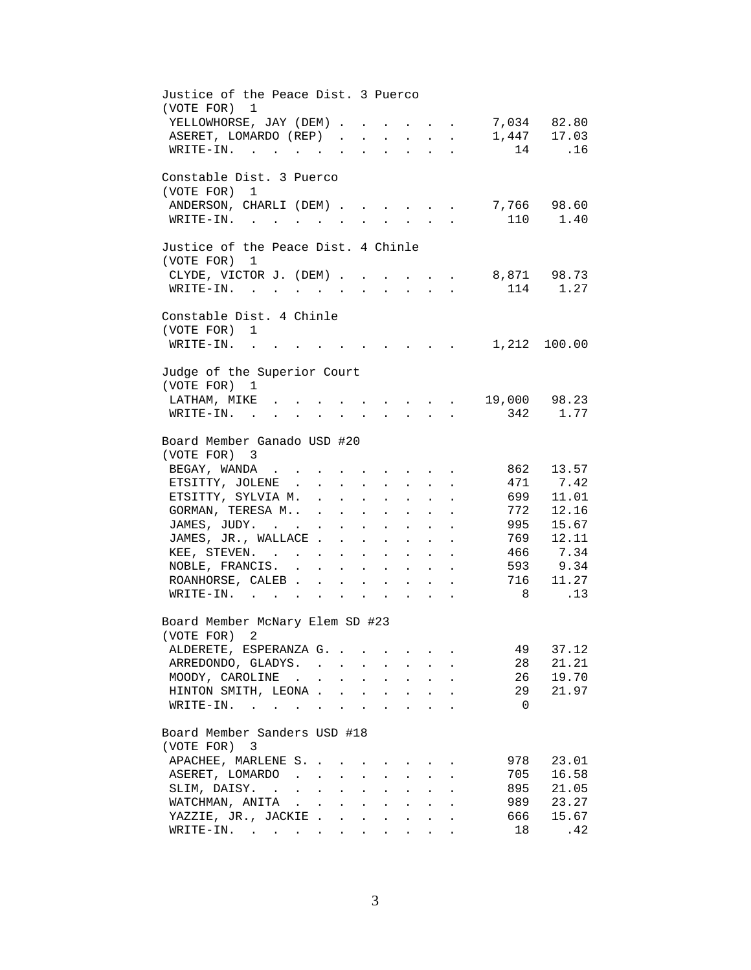| Justice of the Peace Dist. 3 Puerco<br>(VOTE FOR) 1                                                  |                                      |                               |                      |                                                             |                                                             |                                                                  |                            |              |
|------------------------------------------------------------------------------------------------------|--------------------------------------|-------------------------------|----------------------|-------------------------------------------------------------|-------------------------------------------------------------|------------------------------------------------------------------|----------------------------|--------------|
| YELLOWHORSE, JAY (DEM)                                                                               |                                      |                               |                      |                                                             |                                                             |                                                                  |                            | 7,034 82.80  |
| ASERET, LOMARDO (REP)                                                                                |                                      |                               |                      |                                                             |                                                             |                                                                  |                            | 1,447 17.03  |
| WRITE-IN.                                                                                            |                                      |                               |                      |                                                             |                                                             |                                                                  |                            | 14<br>.16    |
| Constable Dist. 3 Puerco                                                                             |                                      |                               |                      |                                                             |                                                             |                                                                  |                            |              |
| (VOTE FOR) 1                                                                                         |                                      |                               |                      |                                                             |                                                             |                                                                  |                            |              |
| ANDERSON, CHARLI (DEM)                                                                               |                                      |                               |                      |                                                             |                                                             |                                                                  |                            | 7,766 98.60  |
| $\texttt{WRTTE-IN.}$                                                                                 |                                      | $\mathbf{L}$                  |                      | $\mathbf{L}^{\text{max}}$                                   |                                                             | $\mathbf{L} = \mathbf{L}$                                        |                            | 110 1.40     |
| Justice of the Peace Dist. 4 Chinle                                                                  |                                      |                               |                      |                                                             |                                                             |                                                                  |                            |              |
| (VOTE FOR) 1                                                                                         |                                      |                               |                      |                                                             |                                                             |                                                                  |                            |              |
| CLYDE, VICTOR J. (DEM) 8,871 98.73                                                                   |                                      |                               |                      |                                                             |                                                             |                                                                  |                            |              |
| WRITE-IN.                                                                                            |                                      |                               |                      |                                                             |                                                             |                                                                  |                            | 114 1.27     |
| Constable Dist. 4 Chinle                                                                             |                                      |                               |                      |                                                             |                                                             |                                                                  |                            |              |
| (VOTE FOR) 1                                                                                         |                                      |                               |                      |                                                             |                                                             |                                                                  |                            |              |
| $WRITE-IN.$                                                                                          |                                      |                               |                      |                                                             |                                                             | $\mathbf{r}$ , $\mathbf{r}$ , $\mathbf{r}$ , $\mathbf{r}$        |                            | 1,212 100.00 |
| Judge of the Superior Court                                                                          |                                      |                               |                      |                                                             |                                                             |                                                                  |                            |              |
| (VOTE FOR) 1                                                                                         |                                      |                               |                      |                                                             |                                                             |                                                                  |                            |              |
| LATHAM, MIKE .                                                                                       |                                      |                               |                      |                                                             |                                                             |                                                                  | $\cdot$ , , , 19,000 98.23 |              |
| WRITE-IN.<br>$\mathbf{r}$ , $\mathbf{r}$ , $\mathbf{r}$ , $\mathbf{r}$ , $\mathbf{r}$ , $\mathbf{r}$ |                                      |                               |                      |                                                             |                                                             | $\mathbf{r} = \mathbf{r} + \mathbf{r} + \mathbf{r} + \mathbf{r}$ |                            | 342 1.77     |
| Board Member Ganado USD #20                                                                          |                                      |                               |                      |                                                             |                                                             |                                                                  |                            |              |
| (VOTE FOR) 3                                                                                         |                                      |                               |                      |                                                             |                                                             |                                                                  |                            |              |
| BEGAY, WANDA                                                                                         | $\sim$                               |                               |                      | $\cdot$ $\cdot$ $\cdot$                                     |                                                             |                                                                  | 862                        | 13.57        |
| ETSITTY, JOLENE .                                                                                    | $\sim$<br>$\ddot{\phantom{0}}$       | $\sim$                        |                      | $\sim$                                                      |                                                             |                                                                  |                            | 471 7.42     |
| ETSITTY, SYLVIA M.                                                                                   | $\mathcal{L}^{\text{max}}$<br>$\sim$ | $\mathbf{L}$                  | $\ddot{\phantom{0}}$ | $\ddot{\phantom{0}}$                                        | $\mathbf{r}$                                                |                                                                  | 699                        | 11.01        |
| GORMAN, TERESA M                                                                                     |                                      |                               |                      | $\mathbf{r} = \mathbf{r}$                                   | $\sim$                                                      |                                                                  | 772                        | 12.16        |
| JAMES, JUDY.                                                                                         |                                      | $\mathbf{L}$ and $\mathbf{L}$ |                      | $\cdot$ $\cdot$ $\cdot$                                     | $\sim$                                                      |                                                                  | 995                        | 15.67        |
| JAMES, JR., WALLACE                                                                                  |                                      |                               |                      | and a strategic state                                       |                                                             | $\ddot{\phantom{a}}$                                             | 769                        | 12.11        |
| KEE, STEVEN.                                                                                         |                                      |                               |                      |                                                             |                                                             | $\ddot{\phantom{0}}$                                             |                            | 466 7.34     |
| NOBLE, FRANCIS.                                                                                      |                                      |                               |                      |                                                             |                                                             | $\bullet$                                                        |                            | 593 9.34     |
| ${\tt ROANHORSE, CALEB}$                                                                             |                                      |                               |                      |                                                             |                                                             |                                                                  | 716                        | 11.27        |
| WRITE-IN.                                                                                            |                                      |                               |                      |                                                             |                                                             |                                                                  | 8 <sup>8</sup>             | .13          |
| Board Member McNary Elem SD #23                                                                      |                                      |                               |                      |                                                             |                                                             |                                                                  |                            |              |
| (VOTE FOR) 2                                                                                         |                                      |                               |                      |                                                             |                                                             |                                                                  |                            |              |
| ALDERETE, ESPERANZA G.                                                                               |                                      |                               |                      |                                                             |                                                             |                                                                  | 49                         | 37.12        |
| ARREDONDO, GLADYS.                                                                                   |                                      |                               |                      |                                                             |                                                             |                                                                  | 28                         | 21.21        |
| MOODY, CAROLINE                                                                                      |                                      |                               |                      |                                                             |                                                             |                                                                  | 26                         | 19.70        |
| HINTON SMITH, LEONA                                                                                  |                                      |                               |                      |                                                             |                                                             |                                                                  | 29                         | 21.97        |
| WRITE-IN.                                                                                            |                                      |                               |                      |                                                             |                                                             |                                                                  | $\overline{0}$             |              |
| Board Member Sanders USD #18                                                                         |                                      |                               |                      |                                                             |                                                             |                                                                  |                            |              |
| (VOTE FOR) 3                                                                                         |                                      |                               |                      |                                                             |                                                             |                                                                  |                            |              |
| APACHEE, MARLENE S.                                                                                  |                                      |                               |                      |                                                             |                                                             |                                                                  | 978                        | 23.01        |
| ASERET, LOMARDO                                                                                      |                                      |                               |                      | $\ddot{\phantom{0}}$                                        |                                                             |                                                                  | 705                        | 16.58        |
| SLIM, DAISY.                                                                                         |                                      |                               | $\ddot{\phantom{0}}$ | $\bullet$ .<br><br><br><br><br><br><br><br><br><br><br><br> | $\bullet$ .<br><br><br><br><br><br><br><br><br><br><br><br> |                                                                  | 895                        | 21.05        |
| WATCHMAN, ANITA                                                                                      |                                      |                               |                      |                                                             |                                                             |                                                                  | 989                        | 23.27        |
| YAZZIE, JR., JACKIE                                                                                  |                                      |                               |                      |                                                             |                                                             |                                                                  | 666                        | 15.67        |
| WRITE-IN.                                                                                            |                                      |                               |                      |                                                             |                                                             |                                                                  | 18                         | .42          |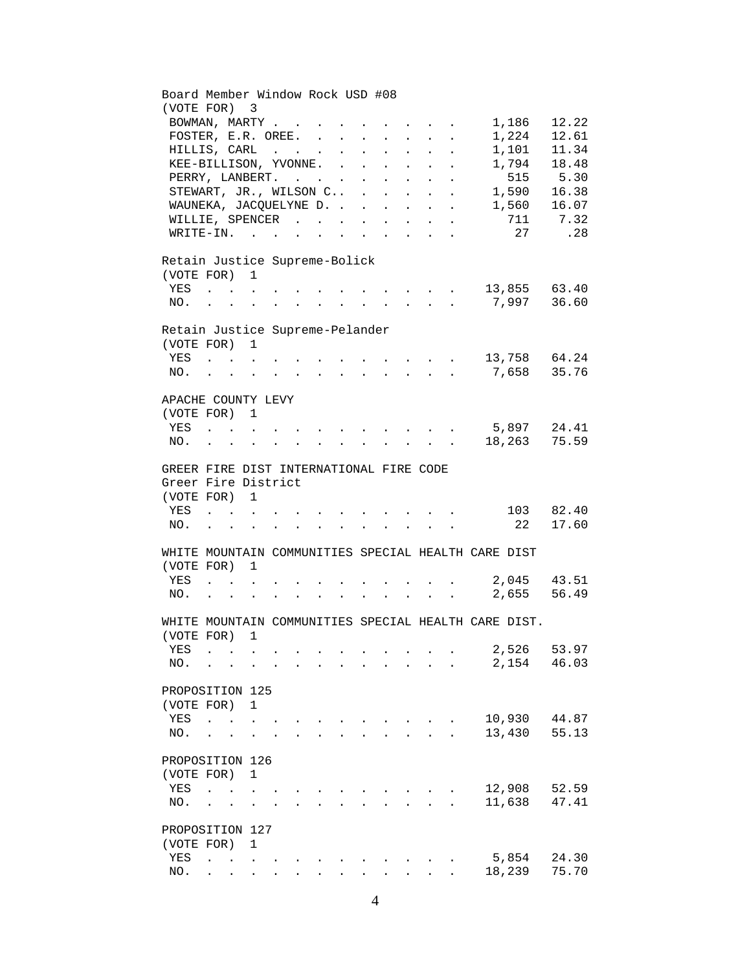| (VOTE FOR)<br>3                                                                                                                                                                                              |                |
|--------------------------------------------------------------------------------------------------------------------------------------------------------------------------------------------------------------|----------------|
|                                                                                                                                                                                                              |                |
| BOWMAN, MARTY<br>1,186                                                                                                                                                                                       | 12.22          |
| FOSTER, E.R. OREE.<br>1,224                                                                                                                                                                                  | 12.61          |
| HILLIS, CARL<br>1,101                                                                                                                                                                                        | 11.34          |
| KEE-BILLISON, YVONNE. .<br>1,794<br>$\sim 10^{-11}$                                                                                                                                                          | 18.48          |
| 515<br>PERRY, LANBERT.                                                                                                                                                                                       | 5.30           |
| STEWART, JR., WILSON C<br>1,590<br>$\mathcal{L}^{\text{max}}$<br>$\cdot$ $\cdot$ $\cdot$<br>$\mathbf{L}$<br>$\sim$ $\sim$                                                                                    | 16.38          |
| WAUNEKA, JACQUELYNE D.<br>1,560                                                                                                                                                                              | 16.07          |
| $\mathbf{L}$<br>$\sim$ 100 $\pm$<br>$\mathbf{L}^{\text{max}}$<br>$\sim$                                                                                                                                      | 711 7.32       |
| WILLIE, SPENCER<br>$\sim$<br>$\mathbf{L}^{\text{max}}$<br>$\ddot{\phantom{0}}$<br>$\mathcal{L}^{\text{max}}$<br>$\ddot{\phantom{0}}$<br>27                                                                   |                |
| WRITE-IN.<br>$\ddot{\phantom{0}}$                                                                                                                                                                            | .28            |
| Retain Justice Supreme-Bolick                                                                                                                                                                                |                |
| (VOTE FOR) 1                                                                                                                                                                                                 |                |
| $\cdot$ 13,855 63.40<br>YES<br>$\mathbf{r}$ , $\mathbf{r}$ , $\mathbf{r}$ , $\mathbf{r}$                                                                                                                     |                |
| . 7,997 36.60<br>NO.                                                                                                                                                                                         |                |
|                                                                                                                                                                                                              |                |
| Retain Justice Supreme-Pelander                                                                                                                                                                              |                |
| (VOTE FOR) 1                                                                                                                                                                                                 |                |
| 13,758 64.24<br>YES<br>$\mathbf{r}$ , $\mathbf{r}$ , $\mathbf{r}$ , $\mathbf{r}$ , $\mathbf{r}$ , $\mathbf{r}$                                                                                               |                |
| $\cdot$ 7,658 35.76<br>NO.<br>$\mathbf{L} = \mathbf{L} \mathbf{L}$                                                                                                                                           |                |
|                                                                                                                                                                                                              |                |
| APACHE COUNTY LEVY                                                                                                                                                                                           |                |
| (VOTE FOR) 1                                                                                                                                                                                                 |                |
| 5,897 24.41<br>YES                                                                                                                                                                                           |                |
| 18,263 75.59<br>NO.<br>$\sim 10^{-11}$<br>$\mathbf{r}$ , $\mathbf{r}$ , $\mathbf{r}$ , $\mathbf{r}$<br>$\mathbf{r} = \mathbf{r}$<br>$\mathbf{r} = \mathbf{r} + \mathbf{r}$ , where $\mathbf{r} = \mathbf{r}$ |                |
| GREER FIRE DIST INTERNATIONAL FIRE CODE                                                                                                                                                                      |                |
| Greer Fire District                                                                                                                                                                                          |                |
| (VOTE FOR) 1                                                                                                                                                                                                 |                |
| 103 82.40                                                                                                                                                                                                    |                |
| YES<br>22                                                                                                                                                                                                    | 17.60          |
| NO.                                                                                                                                                                                                          |                |
| WHITE MOUNTAIN COMMUNITIES SPECIAL HEALTH CARE DIST                                                                                                                                                          |                |
| (VOTE FOR) 1                                                                                                                                                                                                 |                |
| YES<br>$\sim 10^{-10}$                                                                                                                                                                                       | 2,045 43.51    |
| 2,655<br>NO.<br>$\mathbf{L}^{\text{max}}$<br><b>Carl Carl Corp.</b><br>$\sim 10^{-11}$                                                                                                                       | 56.49          |
| $\sim$ $-$                                                                                                                                                                                                   |                |
| WHITE MOUNTAIN COMMUNITIES SPECIAL HEALTH CARE DIST.                                                                                                                                                         |                |
| (VOTE FOR) 1                                                                                                                                                                                                 |                |
| 2,526<br>YES                                                                                                                                                                                                 | 53.97          |
| 2,154<br>NO.                                                                                                                                                                                                 | 46.03          |
|                                                                                                                                                                                                              |                |
| PROPOSITION 125                                                                                                                                                                                              |                |
| (VOTE FOR)<br>$\mathbf{1}$                                                                                                                                                                                   |                |
| 10,930<br>YES<br>$\ddot{\phantom{a}}$                                                                                                                                                                        | 44.87          |
|                                                                                                                                                                                                              | 55.13          |
| 13,430<br>NO.                                                                                                                                                                                                |                |
|                                                                                                                                                                                                              |                |
| PROPOSITION 126                                                                                                                                                                                              |                |
| (VOTE FOR)<br>1                                                                                                                                                                                              |                |
| 12,908<br>YES                                                                                                                                                                                                | 52.59          |
| 11,638<br>NO.                                                                                                                                                                                                | 47.41          |
|                                                                                                                                                                                                              |                |
| PROPOSITION 127                                                                                                                                                                                              |                |
| (VOTE FOR)<br>1                                                                                                                                                                                              |                |
| 5,854<br>YES<br>18,239<br>NO.                                                                                                                                                                                | 24.30<br>75.70 |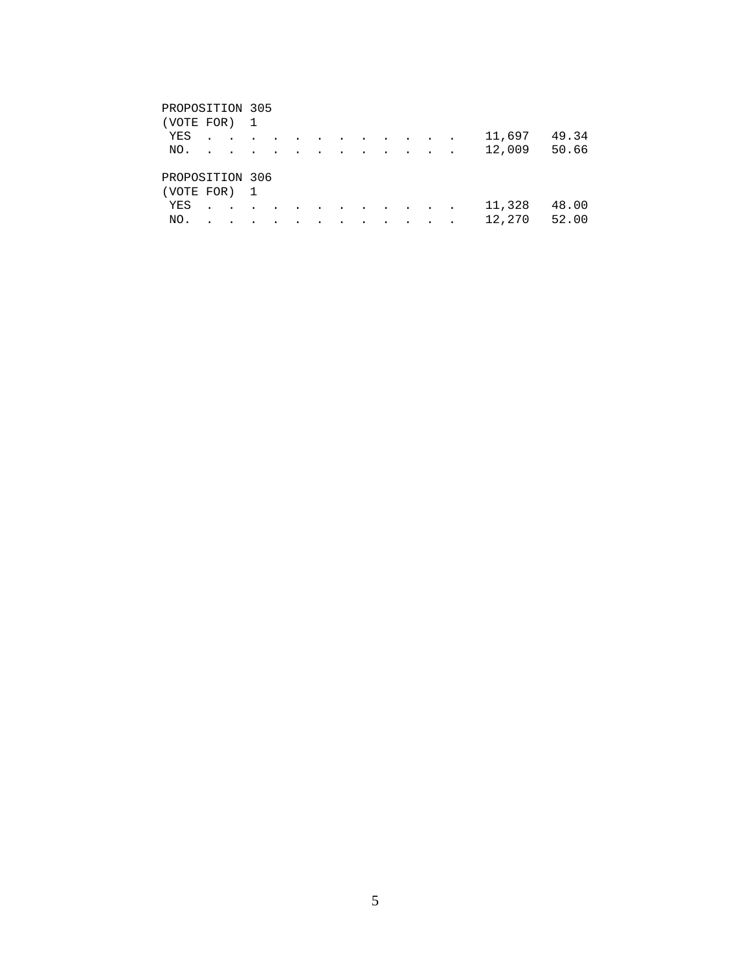| PROPOSITION 305 |                 |           |  |           |        |                          |           |        |       |
|-----------------|-----------------|-----------|--|-----------|--------|--------------------------|-----------|--------|-------|
| (VOTE FOR)      |                 |           |  |           |        |                          |           |        |       |
| YES             | $\cdot$ $\cdot$ | $\bullet$ |  | $\bullet$ | $\sim$ | $\sim$<br>$\sim$         |           | 11,697 | 49.34 |
| NO.             | $\bullet$       |           |  |           |        | $\overline{\phantom{a}}$ |           | 12,009 | 50.66 |
|                 |                 |           |  |           |        |                          |           |        |       |
| PROPOSITION 306 |                 |           |  |           |        |                          |           |        |       |
| (VOTE FOR)      |                 |           |  |           |        |                          |           |        |       |
| YES             |                 |           |  |           |        | $\bullet$                | $\bullet$ | 11,328 | 48.00 |
| NO.             |                 |           |  |           |        |                          |           | 12,270 | 52.00 |
|                 |                 |           |  |           |        |                          |           |        |       |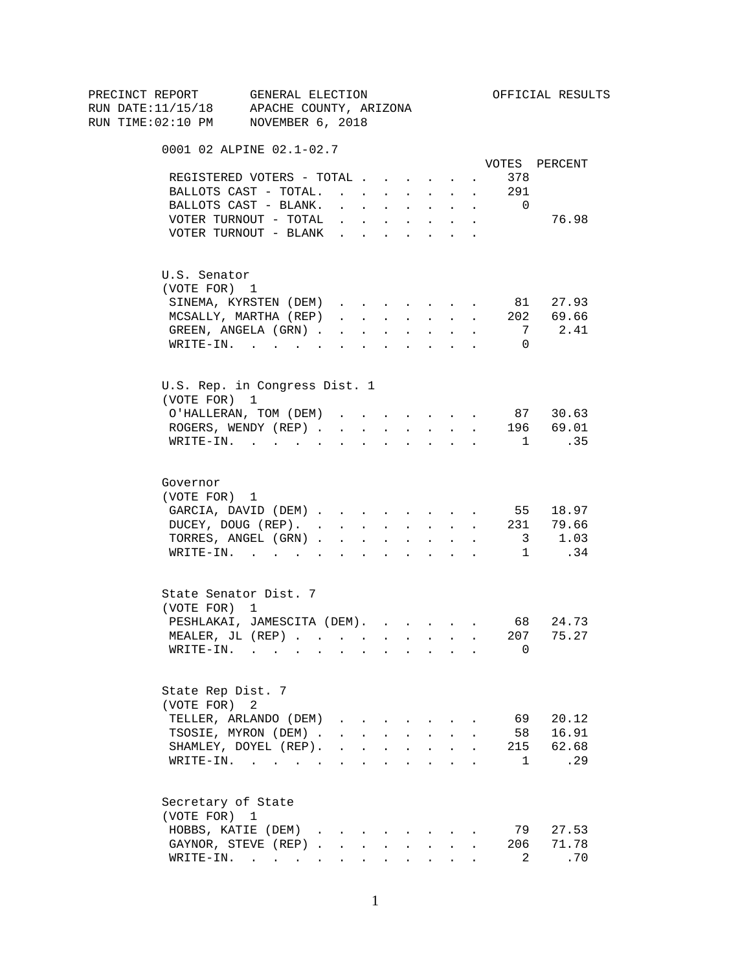| PRECINCT REPORT<br>RUN DATE:11/15/18 APACHE COUNTY, ARIZONA | GENERAL ELECTION              |                                            |                      |                                                         |                                         |                                                                                                                                              |                                              |        |                                                                                                                                                                                                                                                           | OFFICIAL RESULTS |
|-------------------------------------------------------------|-------------------------------|--------------------------------------------|----------------------|---------------------------------------------------------|-----------------------------------------|----------------------------------------------------------------------------------------------------------------------------------------------|----------------------------------------------|--------|-----------------------------------------------------------------------------------------------------------------------------------------------------------------------------------------------------------------------------------------------------------|------------------|
| RUN TIME:02:10 PM NOVEMBER 6, 2018                          |                               |                                            |                      |                                                         |                                         |                                                                                                                                              |                                              |        |                                                                                                                                                                                                                                                           |                  |
|                                                             |                               |                                            |                      |                                                         |                                         |                                                                                                                                              |                                              |        |                                                                                                                                                                                                                                                           |                  |
|                                                             | 0001 02 ALPINE 02.1-02.7      |                                            |                      |                                                         |                                         |                                                                                                                                              |                                              |        |                                                                                                                                                                                                                                                           | VOTES PERCENT    |
|                                                             | REGISTERED VOTERS - TOTAL     |                                            |                      |                                                         |                                         |                                                                                                                                              |                                              |        | 378                                                                                                                                                                                                                                                       |                  |
|                                                             | BALLOTS CAST - TOTAL.         |                                            |                      |                                                         |                                         |                                                                                                                                              |                                              | $\sim$ | . 291                                                                                                                                                                                                                                                     |                  |
|                                                             | BALLOTS CAST - BLANK.         |                                            |                      |                                                         |                                         |                                                                                                                                              |                                              |        | $\overline{0}$                                                                                                                                                                                                                                            |                  |
|                                                             | VOTER TURNOUT - TOTAL         |                                            |                      | and a strategic state                                   |                                         | $\mathbf{r}$ and $\mathbf{r}$<br>$\mathbf{r}$ , $\mathbf{r}$ , $\mathbf{r}$ , $\mathbf{r}$ , $\mathbf{r}$                                    | $\ddot{\phantom{0}}$<br>$\ddot{\phantom{0}}$ | $\sim$ |                                                                                                                                                                                                                                                           | 76.98            |
|                                                             | VOTER TURNOUT - BLANK         |                                            |                      |                                                         |                                         |                                                                                                                                              |                                              |        |                                                                                                                                                                                                                                                           |                  |
|                                                             |                               |                                            |                      |                                                         |                                         |                                                                                                                                              |                                              |        |                                                                                                                                                                                                                                                           |                  |
| U.S. Senator                                                |                               |                                            |                      |                                                         |                                         |                                                                                                                                              |                                              |        |                                                                                                                                                                                                                                                           |                  |
| (VOTE FOR) 1                                                |                               |                                            |                      |                                                         |                                         |                                                                                                                                              |                                              |        |                                                                                                                                                                                                                                                           |                  |
|                                                             | SINEMA, KYRSTEN (DEM)         |                                            |                      |                                                         |                                         |                                                                                                                                              |                                              | $\sim$ |                                                                                                                                                                                                                                                           | 81 27.93         |
|                                                             | MCSALLY, MARTHA (REP)         |                                            |                      |                                                         |                                         | $\mathbf{r} = \mathbf{r} \cdot \mathbf{r}$ , and $\mathbf{r} = \mathbf{r} \cdot \mathbf{r}$ , and $\mathbf{r} = \mathbf{r} \cdot \mathbf{r}$ |                                              |        |                                                                                                                                                                                                                                                           | 202 69.66        |
|                                                             | GREEN, ANGELA (GRN).          | $\mathbf{r}$ , $\mathbf{r}$ , $\mathbf{r}$ |                      |                                                         |                                         | $\mathbf{z} = \mathbf{z} + \mathbf{z}$ . The $\mathbf{z}$                                                                                    | $\mathcal{L}^{\text{max}}$                   |        | 7                                                                                                                                                                                                                                                         | 2.41             |
|                                                             | $\texttt{WRTTE-IN.}$          |                                            |                      | <b>All All Andrew</b>                                   |                                         | $\mathbf{L} = \mathbf{L}$                                                                                                                    | $\sim$                                       | $\sim$ | $\Omega$                                                                                                                                                                                                                                                  |                  |
|                                                             |                               |                                            |                      |                                                         |                                         |                                                                                                                                              |                                              |        |                                                                                                                                                                                                                                                           |                  |
| (VOTE FOR) 1                                                | U.S. Rep. in Congress Dist. 1 |                                            |                      |                                                         |                                         |                                                                                                                                              |                                              |        |                                                                                                                                                                                                                                                           |                  |
|                                                             | O'HALLERAN, TOM (DEM)         |                                            |                      |                                                         |                                         |                                                                                                                                              |                                              |        |                                                                                                                                                                                                                                                           | 87 30.63         |
|                                                             | ROGERS, WENDY (REP)           |                                            |                      |                                                         |                                         |                                                                                                                                              |                                              |        | $\mathbf{r} = \mathbf{r} + \mathbf{r} + \mathbf{r} + \mathbf{r}$ . The set of the set of the set of the set of the set of the set of the set of the set of the set of the set of the set of the set of the set of the set of the set of the set of the se | 196 69.01        |
|                                                             | WRITE-IN.                     |                                            |                      |                                                         |                                         | $\sim$ $\sim$ $\sim$ $\sim$ $\sim$ $\sim$                                                                                                    |                                              |        | $\mathbf{1}$                                                                                                                                                                                                                                              | .35              |
| Governor                                                    |                               |                                            |                      |                                                         |                                         |                                                                                                                                              |                                              |        |                                                                                                                                                                                                                                                           |                  |
| (VOTE FOR) 1                                                |                               |                                            |                      |                                                         |                                         |                                                                                                                                              |                                              |        |                                                                                                                                                                                                                                                           |                  |
|                                                             | GARCIA, DAVID (DEM) 55 18.97  |                                            |                      |                                                         |                                         |                                                                                                                                              |                                              |        |                                                                                                                                                                                                                                                           |                  |
|                                                             | DUCEY, DOUG (REP).            |                                            |                      |                                                         |                                         |                                                                                                                                              |                                              |        |                                                                                                                                                                                                                                                           | 231 79.66        |
|                                                             | TORRES, ANGEL (GRN)           |                                            |                      |                                                         |                                         |                                                                                                                                              |                                              |        |                                                                                                                                                                                                                                                           | $3 \t1.03$       |
|                                                             | WRITE-IN.                     |                                            |                      |                                                         |                                         |                                                                                                                                              |                                              |        |                                                                                                                                                                                                                                                           | 1 .34            |
|                                                             |                               |                                            |                      |                                                         |                                         |                                                                                                                                              |                                              |        |                                                                                                                                                                                                                                                           |                  |
|                                                             | State Senator Dist. 7         |                                            |                      |                                                         |                                         |                                                                                                                                              |                                              |        |                                                                                                                                                                                                                                                           |                  |
| (VOTE FOR) 1                                                |                               |                                            |                      |                                                         |                                         |                                                                                                                                              |                                              |        |                                                                                                                                                                                                                                                           |                  |
|                                                             | PESHLAKAI, JAMESCITA (DEM).   |                                            |                      |                                                         |                                         |                                                                                                                                              |                                              |        |                                                                                                                                                                                                                                                           | 68 24.73         |
|                                                             | MEALER, JL (REP)              |                                            |                      |                                                         |                                         |                                                                                                                                              |                                              |        | 207                                                                                                                                                                                                                                                       | 75.27            |
|                                                             | $\texttt{WRTTE-IN.}$          |                                            |                      |                                                         |                                         |                                                                                                                                              |                                              |        | 0                                                                                                                                                                                                                                                         |                  |
| State Rep Dist. 7                                           |                               |                                            |                      |                                                         |                                         |                                                                                                                                              |                                              |        |                                                                                                                                                                                                                                                           |                  |
| (VOTE FOR)                                                  | 2                             |                                            |                      |                                                         |                                         |                                                                                                                                              |                                              |        |                                                                                                                                                                                                                                                           |                  |
|                                                             | TELLER, ARLANDO (DEM)         |                                            |                      |                                                         | $\cdot$ $\cdot$ $\cdot$ $\cdot$ $\cdot$ |                                                                                                                                              |                                              |        | 69                                                                                                                                                                                                                                                        | 20.12            |
|                                                             | TSOSIE, MYRON (DEM).          |                                            |                      | $\mathbf{r} = \mathbf{r}$ and $\mathbf{r} = \mathbf{r}$ |                                         | $\mathbf{r} = \mathbf{r}$                                                                                                                    |                                              |        | 58                                                                                                                                                                                                                                                        | 16.91            |
|                                                             | SHAMLEY, DOYEL (REP).         |                                            |                      |                                                         |                                         | $\mathbf{r}$ , $\mathbf{r}$ , $\mathbf{r}$ , $\mathbf{r}$                                                                                    | $\ddot{\phantom{0}}$                         |        | 215                                                                                                                                                                                                                                                       | 62.68            |
|                                                             | WRITE-IN.                     |                                            |                      |                                                         |                                         | $\mathbf{r}$ and $\mathbf{r}$                                                                                                                | $\ddot{\phantom{a}}$                         |        | $\mathbf{1}$                                                                                                                                                                                                                                              | .29              |
| Secretary of State                                          |                               |                                            |                      |                                                         |                                         |                                                                                                                                              |                                              |        |                                                                                                                                                                                                                                                           |                  |
| (VOTE FOR) 1                                                |                               |                                            |                      |                                                         |                                         |                                                                                                                                              |                                              |        |                                                                                                                                                                                                                                                           |                  |
|                                                             | HOBBS, KATIE (DEM).           | $\sim$                                     |                      |                                                         |                                         |                                                                                                                                              |                                              |        | 79                                                                                                                                                                                                                                                        | 27.53            |
|                                                             | GAYNOR, STEVE (REP).          | $\sim$                                     |                      |                                                         |                                         |                                                                                                                                              |                                              |        | 206                                                                                                                                                                                                                                                       | 71.78            |
|                                                             | $\texttt{WRTTE-IN.}$          | $\sim 100$                                 | $\ddot{\phantom{0}}$ |                                                         | $\ddot{\phantom{a}}$                    | $\sim$ 100 $\pm$                                                                                                                             |                                              |        | 2                                                                                                                                                                                                                                                         | .70              |
|                                                             |                               |                                            |                      |                                                         |                                         |                                                                                                                                              |                                              |        |                                                                                                                                                                                                                                                           |                  |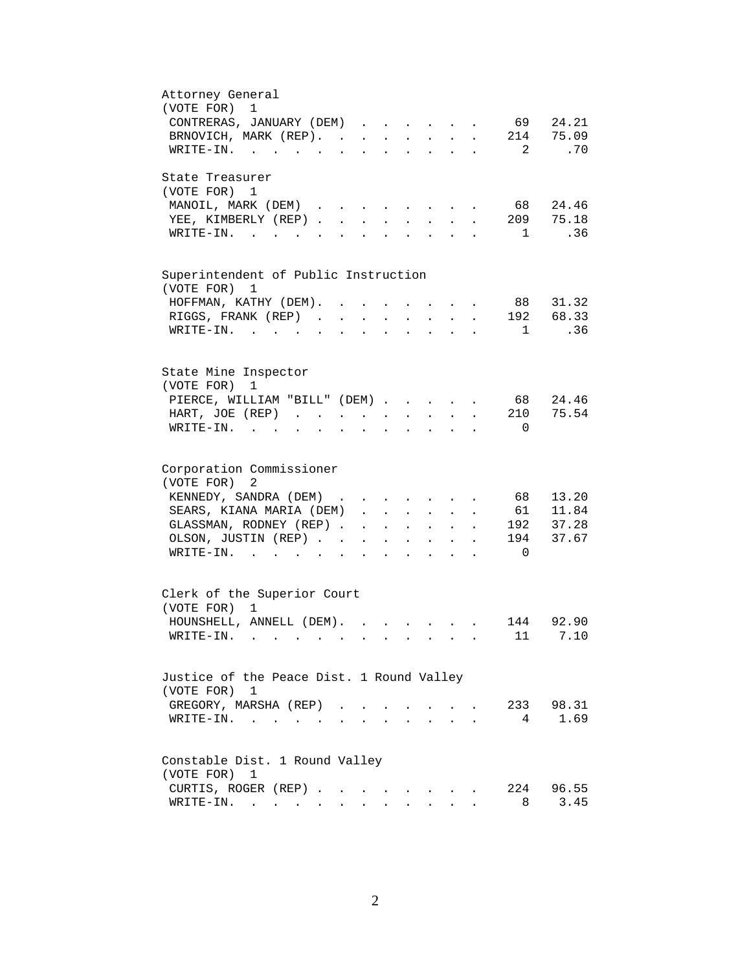| Attorney General                                                                                                                                                                                      |
|-------------------------------------------------------------------------------------------------------------------------------------------------------------------------------------------------------|
| (VOTE FOR)<br>1                                                                                                                                                                                       |
| 24.21<br>69 —<br>CONTRERAS, JANUARY (DEM)<br>$\sim 100$ km s $^{-1}$                                                                                                                                  |
| 75.09<br>BRNOVICH, MARK (REP). .<br>214<br>$\mathcal{L}^{\text{max}}$<br>$\mathbf{r}$<br>$\ddot{\phantom{a}}$<br>$\ddot{\phantom{a}}$<br>$\mathbf{L}^{\text{max}}$<br>$\ddot{\phantom{a}}$            |
| $\overline{2}$<br>.70<br>WRITE-IN.                                                                                                                                                                    |
| State Treasurer                                                                                                                                                                                       |
| (VOTE FOR) 1                                                                                                                                                                                          |
| 24.46<br>MANOIL, MARK (DEM)<br>68 —                                                                                                                                                                   |
| 209<br>75.18<br>YEE, KIMBERLY (REP)<br>$\cdot$ $\cdot$ $\cdot$ $\cdot$ $\cdot$ $\cdot$                                                                                                                |
| .36<br>$\texttt{WRTTE-IN.}$<br>$\sim$ 1<br><b>Contract Contract Contract Contract</b><br>$\ddot{\phantom{a}}$<br>$\ddot{\phantom{a}}$<br>$\ddot{\phantom{a}}$<br>$\ddot{\phantom{a}}$                 |
|                                                                                                                                                                                                       |
| Superintendent of Public Instruction                                                                                                                                                                  |
| (VOTE FOR) 1                                                                                                                                                                                          |
| 88 31.32<br>HOFFMAN, KATHY (DEM).<br>$\sim$ $\sim$<br>$\bullet$                                                                                                                                       |
| 68.33<br>RIGGS, FRANK (REP)<br>192<br>$\mathbf{r} = \mathbf{r} \cdot \mathbf{r}$<br>$\mathbf{L}$<br>$\ddot{\phantom{a}}$                                                                              |
| WRITE-IN.<br>.36<br>$\overline{1}$<br>$\sim$ $\sim$ $\sim$<br>$\sim$ $\sim$ $\sim$<br>$\ddot{\phantom{a}}$<br>$\mathbf{L}$<br>$\sim$ $\sim$<br>$\overline{a}$<br>$\mathbf{r}$<br>$\ddot{\phantom{a}}$ |
|                                                                                                                                                                                                       |
| State Mine Inspector                                                                                                                                                                                  |
| (VOTE FOR)<br>1                                                                                                                                                                                       |
| 68 24.46<br>PIERCE, WILLIAM "BILL" (DEM)                                                                                                                                                              |
| 75.54<br>210<br>HART, JOE (REP).<br>$\ddot{\phantom{a}}$                                                                                                                                              |
| WRITE-IN.<br>$\overline{0}$                                                                                                                                                                           |
|                                                                                                                                                                                                       |
| Corporation Commissioner                                                                                                                                                                              |
| (VOTE FOR)<br>2                                                                                                                                                                                       |
| 13.20<br>KENNEDY, SANDRA (DEM)<br>68                                                                                                                                                                  |
| SEARS, KIANA MARIA (DEM)<br>61<br>11.84<br>$\mathcal{L}^{\text{max}}$<br>$\mathbf{L}$<br>$\mathbf{L}^{\text{max}}$<br>$\sim 10^{-11}$                                                                 |
| 37.28<br>192<br>GLASSMAN, RODNEY (REP).<br>$\mathbf{L}$<br>$\ddot{\phantom{a}}$<br>$\sim$ $-$<br>$\sim$                                                                                               |
| 37.67<br>OLSON, JUSTIN (REP).<br>194                                                                                                                                                                  |
| $W\text{RITE-IN.}$<br>$\overline{0}$<br>$\sim$                                                                                                                                                        |
|                                                                                                                                                                                                       |
| Clerk of the Superior Court                                                                                                                                                                           |
| (VOTE FOR)<br>1                                                                                                                                                                                       |
| 92.90<br>144<br>HOUNSHELL, ANNELL (DEM).                                                                                                                                                              |
| 11<br>7.10<br>WRITE-IN.                                                                                                                                                                               |
|                                                                                                                                                                                                       |
| Justice of the Peace Dist. 1 Round Valley                                                                                                                                                             |
| (VOTE FOR)<br>1                                                                                                                                                                                       |
| 233 98.31<br>GREGORY, MARSHA (REP)                                                                                                                                                                    |
| 1.69<br>$\overline{4}$<br>WRITE-IN.<br>$\mathbf{r}$ , $\mathbf{r}$ , $\mathbf{r}$ , $\mathbf{r}$                                                                                                      |
|                                                                                                                                                                                                       |
| Constable Dist. 1 Round Valley                                                                                                                                                                        |
| (VOTE FOR)<br>1                                                                                                                                                                                       |
| 224<br>96.55<br>CURTIS, ROGER (REP)                                                                                                                                                                   |
| 3.45<br>$\texttt{WRTTE-IN.}$<br>8<br>$\sim$<br>$\sim$<br>$\sim$                                                                                                                                       |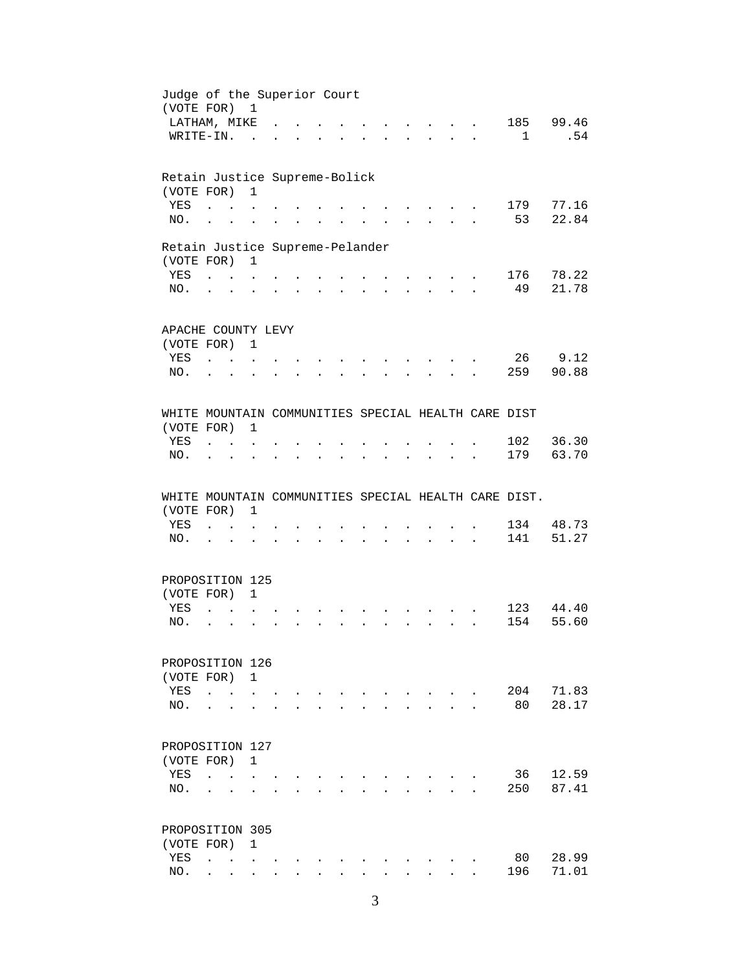| Judge of the Superior Court<br>(VOTE FOR) 1          |                                     |                      |                      |              |                               |                             |                      |                      |                                                                       |                           |                      |     |                |
|------------------------------------------------------|-------------------------------------|----------------------|----------------------|--------------|-------------------------------|-----------------------------|----------------------|----------------------|-----------------------------------------------------------------------|---------------------------|----------------------|-----|----------------|
| LATHAM, MIKE                                         |                                     |                      |                      |              |                               |                             |                      |                      |                                                                       |                           |                      |     | 185 99.46      |
| WRITE-IN.                                            |                                     |                      | $\sim$               |              |                               |                             |                      |                      |                                                                       |                           | $\overline{a}$       | 1   | .54            |
|                                                      |                                     |                      |                      |              |                               |                             |                      |                      |                                                                       |                           |                      |     |                |
| Retain Justice Supreme-Bolick                        |                                     |                      |                      |              |                               |                             |                      |                      |                                                                       |                           |                      |     |                |
| (VOTE FOR)                                           |                                     |                      | $\mathbf{1}$         |              |                               |                             |                      |                      |                                                                       |                           |                      |     |                |
| YES                                                  | $\ddot{\phantom{a}}$                | $\sim$ $\sim$        |                      |              |                               |                             |                      |                      |                                                                       |                           |                      | 179 | 77.16          |
| NO.                                                  | $\ddot{\phantom{a}}$                |                      |                      |              |                               |                             |                      |                      |                                                                       |                           |                      | 53  | 22.84          |
| Retain Justice Supreme-Pelander                      |                                     |                      |                      |              |                               |                             |                      |                      |                                                                       |                           |                      |     |                |
| (VOTE FOR) 1                                         |                                     |                      |                      |              |                               |                             |                      |                      |                                                                       |                           |                      |     |                |
| YES                                                  |                                     |                      |                      |              |                               |                             | $\sim$               |                      | $\mathbf{r}$ , and $\mathbf{r}$ , and $\mathbf{r}$                    |                           |                      | 176 | 78.22          |
| NO.                                                  | $\mathbf{L} = \mathbf{L}$           |                      | $\ddot{\phantom{a}}$ | $\sim$       | $\mathbf{L}$                  |                             |                      |                      | $\mathbf{r}$ , and $\mathbf{r}$ , and $\mathbf{r}$                    | $\mathbf{r}$              |                      | 49  | 21.78          |
|                                                      |                                     |                      |                      |              |                               |                             |                      |                      |                                                                       |                           |                      |     |                |
| APACHE COUNTY LEVY                                   |                                     |                      |                      |              |                               |                             |                      |                      |                                                                       |                           |                      |     |                |
| (VOTE FOR) 1                                         |                                     |                      |                      |              |                               |                             |                      |                      |                                                                       |                           |                      |     |                |
| YES                                                  | $\mathbf{L}$ $\mathbf{L}$           |                      |                      |              |                               |                             |                      |                      |                                                                       |                           |                      |     | 26 9.12        |
| NO.                                                  |                                     |                      |                      |              |                               |                             |                      |                      |                                                                       |                           |                      |     | 259 90.88      |
|                                                      |                                     |                      |                      |              |                               |                             |                      |                      |                                                                       |                           |                      |     |                |
| WHITE MOUNTAIN COMMUNITIES SPECIAL HEALTH CARE DIST  |                                     |                      |                      |              |                               |                             |                      |                      |                                                                       |                           |                      |     |                |
| (VOTE FOR)                                           |                                     |                      | 1                    |              |                               |                             |                      |                      |                                                                       |                           |                      |     |                |
| YES                                                  | $\ddot{\phantom{a}}$                | $\sim$ $\sim$ $\sim$ |                      |              |                               |                             |                      |                      |                                                                       |                           |                      |     | 102 36.30      |
| NO.                                                  | $\ddot{\phantom{a}}$                | $\bullet$            | $\ddot{\phantom{0}}$ |              | $\sim$ $\sim$                 | $\mathbf{L}^{\text{max}}$   | $\ddot{\phantom{0}}$ | $\ddot{\phantom{a}}$ | $\sim 10^{-11}$                                                       | $\ddot{\phantom{0}}$      |                      | 179 | 63.70          |
|                                                      |                                     |                      |                      |              |                               |                             |                      |                      |                                                                       |                           |                      |     |                |
|                                                      |                                     |                      |                      |              |                               |                             |                      |                      |                                                                       |                           |                      |     |                |
| WHITE MOUNTAIN COMMUNITIES SPECIAL HEALTH CARE DIST. |                                     |                      |                      |              |                               |                             |                      |                      |                                                                       |                           |                      |     |                |
| (VOTE FOR)                                           |                                     |                      | $\mathbf{1}$         |              |                               |                             |                      |                      |                                                                       |                           |                      |     |                |
| YES                                                  | and the contract of the contract of |                      |                      |              |                               |                             |                      |                      | $\sim$ $\sim$                                                         |                           |                      |     |                |
|                                                      |                                     |                      |                      |              |                               |                             |                      |                      |                                                                       |                           |                      | 134 |                |
| NO.                                                  | $\mathbf{r}$ $\mathbf{r}$           |                      |                      |              | $\mathbf{r}$ and $\mathbf{r}$ |                             |                      |                      | $\mathbf{r}$ , and $\mathbf{r}$ , and $\mathbf{r}$ , and $\mathbf{r}$ |                           | $\ddot{\phantom{a}}$ | 141 | 48.73<br>51.27 |
| PROPOSITION 125                                      |                                     |                      |                      |              |                               |                             |                      |                      |                                                                       |                           |                      |     |                |
| (VOTE FOR)                                           |                                     |                      | $\mathbf{1}$         |              |                               |                             |                      |                      |                                                                       |                           |                      |     |                |
| YES                                                  | $\ddot{\phantom{a}}$                |                      |                      |              |                               |                             |                      |                      |                                                                       |                           |                      |     |                |
|                                                      |                                     |                      |                      |              |                               |                             |                      |                      |                                                                       |                           |                      |     | 123 44.40      |
| NO.                                                  | $\ddot{\phantom{a}}$                |                      |                      |              |                               |                             |                      |                      |                                                                       |                           |                      | 154 | 55.60          |
| PROPOSITION 126                                      |                                     |                      |                      |              |                               |                             |                      |                      |                                                                       |                           |                      |     |                |
| (VOTE FOR)                                           |                                     |                      | 1                    |              |                               |                             |                      |                      |                                                                       |                           |                      |     |                |
|                                                      |                                     |                      |                      |              |                               |                             |                      |                      |                                                                       |                           |                      |     |                |
| YES                                                  | $\ddot{\phantom{a}}$                | $\ddot{\phantom{a}}$ |                      |              |                               |                             |                      |                      |                                                                       |                           |                      | 204 | 71.83          |
| NO.                                                  |                                     |                      |                      |              |                               |                             |                      |                      |                                                                       |                           |                      | 80  |                |
| PROPOSITION 127                                      |                                     |                      |                      |              |                               |                             |                      |                      |                                                                       |                           |                      |     | 28.17          |
| (VOTE FOR)                                           |                                     |                      | 1                    |              |                               |                             |                      |                      |                                                                       |                           |                      |     |                |
| YES                                                  | $\ddot{\phantom{a}}$                | $\sim$ $\sim$ $\sim$ |                      |              |                               |                             |                      |                      |                                                                       |                           |                      | 36  | 12.59          |
|                                                      |                                     |                      |                      |              |                               |                             |                      |                      |                                                                       |                           |                      |     |                |
| NO.                                                  |                                     |                      |                      |              |                               |                             |                      |                      |                                                                       | $\mathbf{r} = \mathbf{r}$ |                      | 250 | 87.41          |
| PROPOSITION 305                                      |                                     |                      |                      |              |                               |                             |                      |                      |                                                                       |                           |                      |     |                |
|                                                      |                                     |                      | $\mathbf{1}$         |              |                               |                             |                      |                      |                                                                       |                           |                      |     |                |
| (VOTE FOR)<br>YES                                    |                                     |                      |                      |              |                               |                             |                      |                      |                                                                       |                           |                      | 80  | 28.99          |
| NO.                                                  |                                     | $\sim$               | $\mathbf{r}$         | $\mathbf{r}$ | $\sim$                        | $\mathcal{L}^{\mathcal{A}}$ | $\ddot{\phantom{a}}$ |                      | $\mathbf{L}$                                                          | $\mathbf{r}$              |                      | 196 | 71.01          |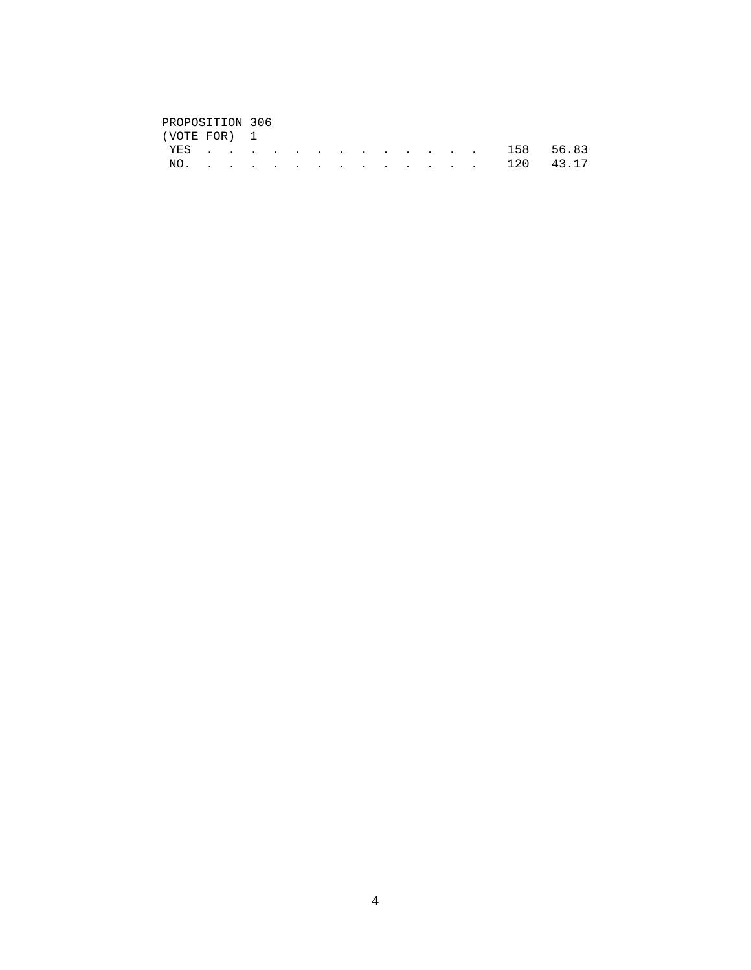# PROPOSITION 306<br>(VOTE FOR) 1

| (VOTE FOR) 1 |  |  |  |  |  |  |               |  |
|--------------|--|--|--|--|--|--|---------------|--|
|              |  |  |  |  |  |  | YES 158 56.83 |  |
|              |  |  |  |  |  |  | NO. 120 43.17 |  |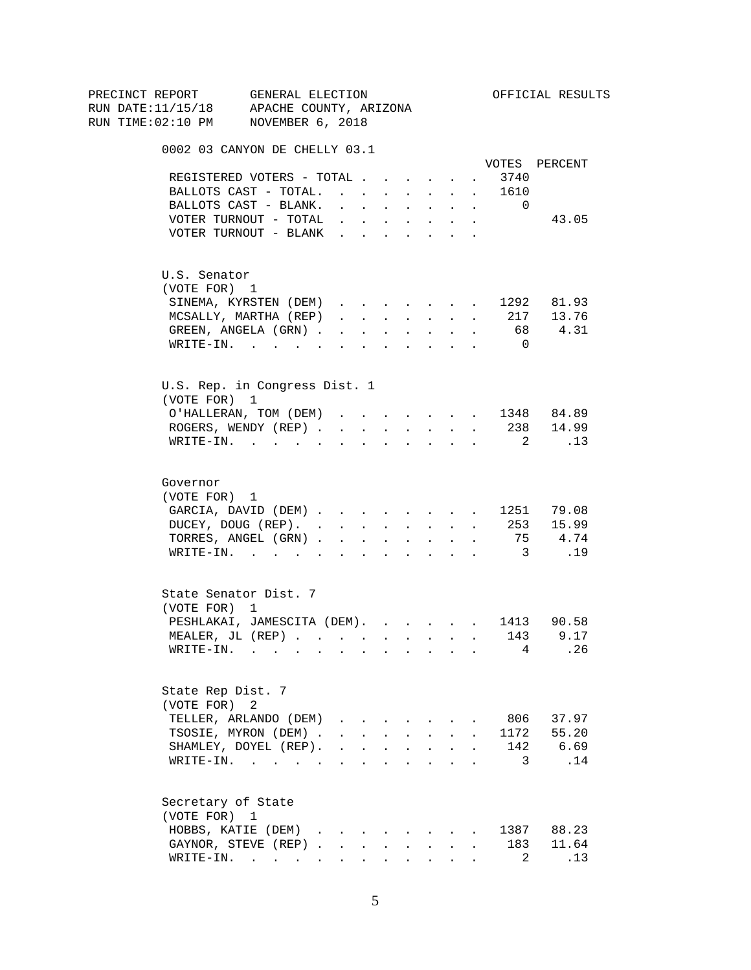| PRECINCT REPORT          | GENERAL ELECTION                                               |                                                                          |                          |              |                                                                                           |                           |                      |                         | OFFICIAL RESULTS  |
|--------------------------|----------------------------------------------------------------|--------------------------------------------------------------------------|--------------------------|--------------|-------------------------------------------------------------------------------------------|---------------------------|----------------------|-------------------------|-------------------|
|                          | RUN DATE:11/15/18 APACHE COUNTY, ARIZONA                       |                                                                          |                          |              |                                                                                           |                           |                      |                         |                   |
|                          | RUN TIME:02:10 PM NOVEMBER 6, 2018                             |                                                                          |                          |              |                                                                                           |                           |                      |                         |                   |
|                          | 0002 03 CANYON DE CHELLY 03.1                                  |                                                                          |                          |              |                                                                                           |                           |                      |                         |                   |
|                          |                                                                |                                                                          |                          |              |                                                                                           |                           |                      |                         | VOTES PERCENT     |
|                          | REGISTERED VOTERS - TOTAL                                      |                                                                          |                          |              |                                                                                           |                           | $\sim$ 100 $\pm$     | 3740                    |                   |
|                          | BALLOTS CAST - TOTAL.                                          |                                                                          |                          |              |                                                                                           |                           |                      | 1610                    |                   |
|                          | BALLOTS CAST - BLANK.                                          | $\mathbf{r} = \mathbf{r} \times \mathbf{r}$                              |                          |              | <b>All Cards</b>                                                                          | $\sim$ $-$                | $\sim$               | $\Omega$                |                   |
|                          | VOTER TURNOUT - TOTAL                                          |                                                                          |                          |              | $\mathbf{r} = \mathbf{r} \times \mathbf{r}$ , $\mathbf{r} = \mathbf{r} \times \mathbf{r}$ |                           | $\sim$               |                         | 43.05             |
|                          | VOTER TURNOUT - BLANK                                          |                                                                          |                          |              |                                                                                           |                           |                      |                         |                   |
| U.S. Senator             |                                                                |                                                                          |                          |              |                                                                                           |                           |                      |                         |                   |
| (VOTE FOR) 1             |                                                                |                                                                          |                          |              |                                                                                           |                           |                      |                         |                   |
|                          | SINEMA, KYRSTEN (DEM)                                          |                                                                          |                          |              |                                                                                           |                           |                      |                         | 1292 81.93        |
|                          | MCSALLY, MARTHA (REP)                                          | $\mathbf{r}$ , $\mathbf{r}$ , $\mathbf{r}$                               |                          |              | <b>All Carried Control</b>                                                                |                           | $\sim$               |                         | 217 13.76         |
|                          | GREEN, ANGELA (GRN).                                           |                                                                          | <b>Contract Contract</b> |              | $\Delta \phi = \Delta \phi$ and $\Delta \phi$                                             | $\mathbf{L}^{\text{max}}$ | $\sim$               |                         | 68 4.31           |
|                          | WRITE-IN.                                                      |                                                                          |                          |              |                                                                                           |                           |                      | $\overline{0}$          |                   |
|                          | U.S. Rep. in Congress Dist. 1                                  |                                                                          |                          |              |                                                                                           |                           |                      |                         |                   |
| (VOTE FOR) 1             |                                                                |                                                                          |                          |              |                                                                                           |                           |                      |                         |                   |
|                          | O'HALLERAN, TOM (DEM) 1348 84.89                               |                                                                          |                          |              |                                                                                           |                           |                      |                         |                   |
|                          | ROGERS, WENDY (REP)                                            |                                                                          |                          |              |                                                                                           |                           |                      |                         | $\cdot$ 238 14.99 |
|                          | $\texttt{WRTTE-IN.}$                                           |                                                                          | $\sim$                   |              |                                                                                           | $\mathbf{L} = \mathbf{L}$ |                      | $\overline{2}$          | $\ldots$ 13       |
| Governor<br>(VOTE FOR) 1 |                                                                |                                                                          |                          |              |                                                                                           |                           |                      |                         |                   |
|                          | GARCIA, DAVID (DEM) 1251 79.08                                 |                                                                          |                          |              |                                                                                           |                           |                      |                         |                   |
|                          | DUCEY, DOUG (REP). 253 15.99                                   |                                                                          |                          |              |                                                                                           |                           |                      |                         |                   |
|                          | TORRES, ANGEL (GRN)                                            |                                                                          |                          |              |                                                                                           |                           | $\sim$ 100 $\pm$     |                         | 75 4.74           |
|                          | WRITE-IN.                                                      |                                                                          |                          |              |                                                                                           |                           |                      | $\overline{\mathbf{3}}$ | .19               |
|                          |                                                                |                                                                          |                          |              |                                                                                           |                           |                      |                         |                   |
| (VOTE FOR) 1             | State Senator Dist. 7                                          |                                                                          |                          |              |                                                                                           |                           |                      |                         |                   |
|                          | PESHLAKAI, JAMESCITA (DEM). 1413 90.58                         |                                                                          |                          |              |                                                                                           |                           |                      |                         |                   |
|                          | MEALER, JL (REP) 143 9.17                                      |                                                                          |                          |              |                                                                                           |                           |                      |                         |                   |
|                          | WRITE-IN.                                                      |                                                                          |                          |              |                                                                                           |                           |                      | $4 \quad$               | .26               |
|                          |                                                                |                                                                          |                          |              |                                                                                           |                           |                      |                         |                   |
| State Rep Dist. 7        |                                                                |                                                                          |                          |              |                                                                                           |                           |                      |                         |                   |
| (VOTE FOR)               | 2                                                              |                                                                          |                          |              |                                                                                           |                           |                      |                         |                   |
|                          | TELLER, ARLANDO (DEM)                                          |                                                                          |                          |              |                                                                                           |                           |                      | 806                     | 37.97             |
|                          | TSOSIE, MYRON (DEM).                                           |                                                                          |                          |              | $\mathbf{r}$ , $\mathbf{r}$ , $\mathbf{r}$ , $\mathbf{r}$ , $\mathbf{r}$                  | $\mathbf{L}$              |                      |                         | 1172 55.20        |
|                          | SHAMLEY, DOYEL (REP).                                          | $\mathbf{r}$ , $\mathbf{r}$ , $\mathbf{r}$ , $\mathbf{r}$ , $\mathbf{r}$ |                          |              |                                                                                           | $\mathbf{L}$              |                      | $\mathbf{r}$            | 142 6.69          |
|                          | WRITE-IN.                                                      |                                                                          |                          |              |                                                                                           |                           |                      | 3                       | .14               |
| Secretary of State       |                                                                |                                                                          |                          |              |                                                                                           |                           |                      |                         |                   |
| (VOTE FOR) 1             |                                                                |                                                                          |                          |              |                                                                                           |                           |                      |                         |                   |
|                          | HOBBS, KATIE (DEM)                                             |                                                                          |                          |              |                                                                                           |                           |                      |                         | 1387 88.23        |
|                          | GAYNOR, STEVE (REP)                                            |                                                                          |                          | $\mathbf{L}$ | $\sim$ $-$                                                                                | $\mathbf{L}$              | $\ddot{\phantom{a}}$ | 183                     | 11.64             |
|                          | $\texttt{WRITE-IN.}\quad .\quad .\quad .\quad .\quad .\quad .$ |                                                                          |                          |              |                                                                                           |                           |                      | $\mathbf{2}$            | .13               |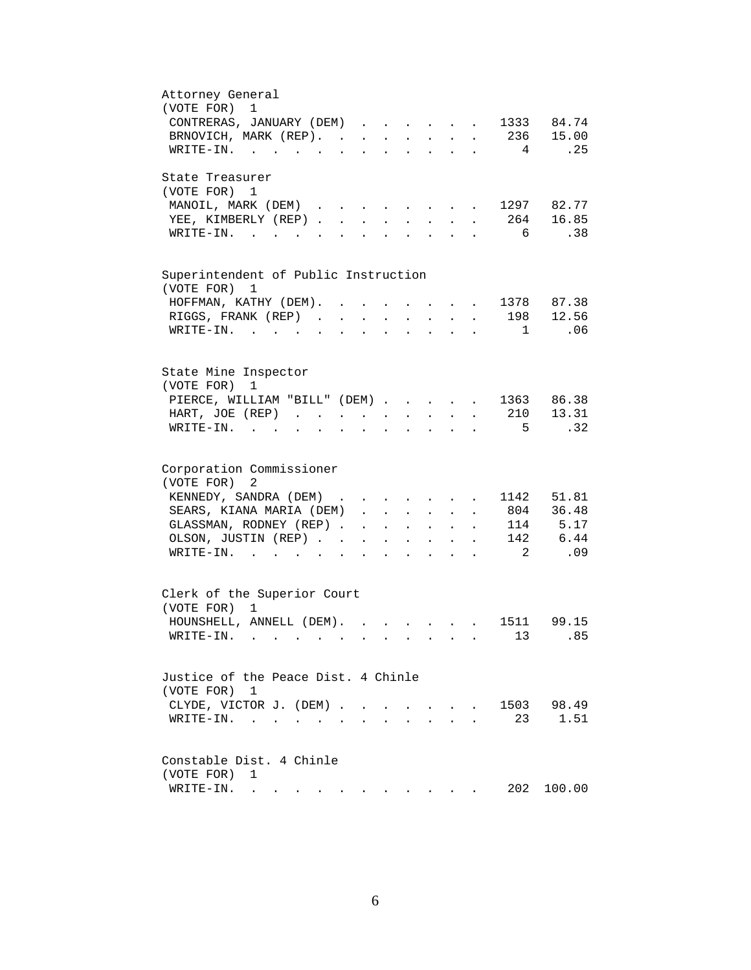| Attorney General                                                                                                                                                                                                                                                |
|-----------------------------------------------------------------------------------------------------------------------------------------------------------------------------------------------------------------------------------------------------------------|
| (VOTE FOR)<br>1                                                                                                                                                                                                                                                 |
| 84.74<br>CONTRERAS, JANUARY (DEM)<br>1333                                                                                                                                                                                                                       |
| 236<br>15.00<br>BRNOVICH, MARK (REP).<br>$\sim 100$ km s $^{-1}$<br>$\ddotsc$ $\ddotsc$<br>$\ddot{\phantom{0}}$<br>$\sim$<br>$\ddot{\phantom{0}}$<br>$\sim$ $\sim$                                                                                              |
| .25<br>$4\overline{ }$<br>WRITE-IN.                                                                                                                                                                                                                             |
| State Treasurer                                                                                                                                                                                                                                                 |
| (VOTE FOR) 1                                                                                                                                                                                                                                                    |
| 82.77<br>MANOIL, MARK (DEM) 1297                                                                                                                                                                                                                                |
|                                                                                                                                                                                                                                                                 |
| 16.85<br>YEE, KIMBERLY (REP)<br>264<br>$\mathbf{r}$ , $\mathbf{r}$ , $\mathbf{r}$ , $\mathbf{r}$                                                                                                                                                                |
| $6\overline{6}$<br>.38<br>WRITE-IN.<br>$\mathbf{r} = \mathbf{r}$ , and $\mathbf{r} = \mathbf{r}$<br>$\ddot{\phantom{a}}$<br>$\ddot{\phantom{a}}$<br>$\ddot{\phantom{a}}$<br>$\ddot{\phantom{a}}$                                                                |
|                                                                                                                                                                                                                                                                 |
| Superintendent of Public Instruction<br>(VOTE FOR) 1                                                                                                                                                                                                            |
| 1378 87.38<br>HOFFMAN, KATHY (DEM).<br>$\mathbf{r}$ and $\mathbf{r}$ and $\mathbf{r}$<br>$\sim$ 100 $\pm$                                                                                                                                                       |
| 198                                                                                                                                                                                                                                                             |
| 12.56<br>RIGGS, FRANK (REP)<br><b>Contract Contract Contract</b><br>$\mathcal{L}^{\text{max}}$<br>$\mathbf{r}$                                                                                                                                                  |
| $1 \quad \blacksquare$<br>WRITE-IN.<br>.06<br><b>Contract Contract</b><br><b>Allen Artists</b><br>$\sim$ $\sim$ $\sim$<br>$\ddot{\phantom{a}}$<br>$\mathbf{L}$<br>$\mathbf{L}$                                                                                  |
|                                                                                                                                                                                                                                                                 |
| State Mine Inspector<br>(VOTE FOR)<br>1                                                                                                                                                                                                                         |
| 86.38<br>PIERCE, WILLIAM "BILL" (DEM) 1363                                                                                                                                                                                                                      |
| 13.31<br>210<br>HART, JOE (REP)<br>$\ddot{\phantom{a}}$<br>$\ddot{\phantom{a}}$                                                                                                                                                                                 |
| .32<br>$5^{\circ}$<br>$WRITE-IN$ .                                                                                                                                                                                                                              |
|                                                                                                                                                                                                                                                                 |
| Corporation Commissioner                                                                                                                                                                                                                                        |
| (VOTE FOR)<br>2                                                                                                                                                                                                                                                 |
|                                                                                                                                                                                                                                                                 |
| KENNEDY, SANDRA (DEM)<br>1142<br>51.81<br>$\sim$                                                                                                                                                                                                                |
| 36.48<br>SEARS, KIANA MARIA (DEM)<br>804<br>$\mathbf{L}^{\text{max}}$<br>$\mathbf{r} = \mathbf{r} + \mathbf{r}$<br>$\ddot{\phantom{0}}$<br>$\bullet$                                                                                                            |
| 5.17<br>GLASSMAN, RODNEY (REP).<br>114<br>$\ddot{\phantom{a}}$<br>$\mathcal{L}^{\text{max}}$<br>$\sim$ $-$<br>$\ddot{\phantom{a}}$                                                                                                                              |
| 6.44<br>OLSON, JUSTIN (REP). .<br>142                                                                                                                                                                                                                           |
| .09<br>$\overline{\phantom{a}}^2$<br>$W\text{RITE}-\text{IN}.$                                                                                                                                                                                                  |
|                                                                                                                                                                                                                                                                 |
| Clerk of the Superior Court<br>(VOTE FOR)<br>$\mathbf{1}$                                                                                                                                                                                                       |
| 1511<br>99.15<br>HOUNSHELL, ANNELL (DEM).                                                                                                                                                                                                                       |
| $\mathbf{r}$ , $\mathbf{r}$<br>$\mathbf{r}$ , $\mathbf{r}$ , $\mathbf{r}$ , $\mathbf{r}$                                                                                                                                                                        |
| 13<br>.85<br>WRITE-IN.                                                                                                                                                                                                                                          |
| Justice of the Peace Dist. 4 Chinle                                                                                                                                                                                                                             |
| (VOTE FOR)<br>-1                                                                                                                                                                                                                                                |
| CLYDE, VICTOR J. (DEM)<br>98.49<br>1503<br>$\mathbf{r} = \mathbf{r} + \mathbf{r} + \mathbf{r}$                                                                                                                                                                  |
| 1.51<br>23<br>WRITE-IN.<br>the contract of the contract of the contract of the contract of the contract of the contract of the contract of<br>$\cdot$ $\cdot$ $\cdot$                                                                                           |
|                                                                                                                                                                                                                                                                 |
| Constable Dist. 4 Chinle                                                                                                                                                                                                                                        |
| (VOTE FOR)<br>1                                                                                                                                                                                                                                                 |
| 202<br>WRITE-IN.<br>100.00<br>$\mathbf{A}$ . The contribution of the contribution of the contribution of the contribution of the contribution of the contribution of the contribution of the contribution of the contribution of the contribution of the contri |
|                                                                                                                                                                                                                                                                 |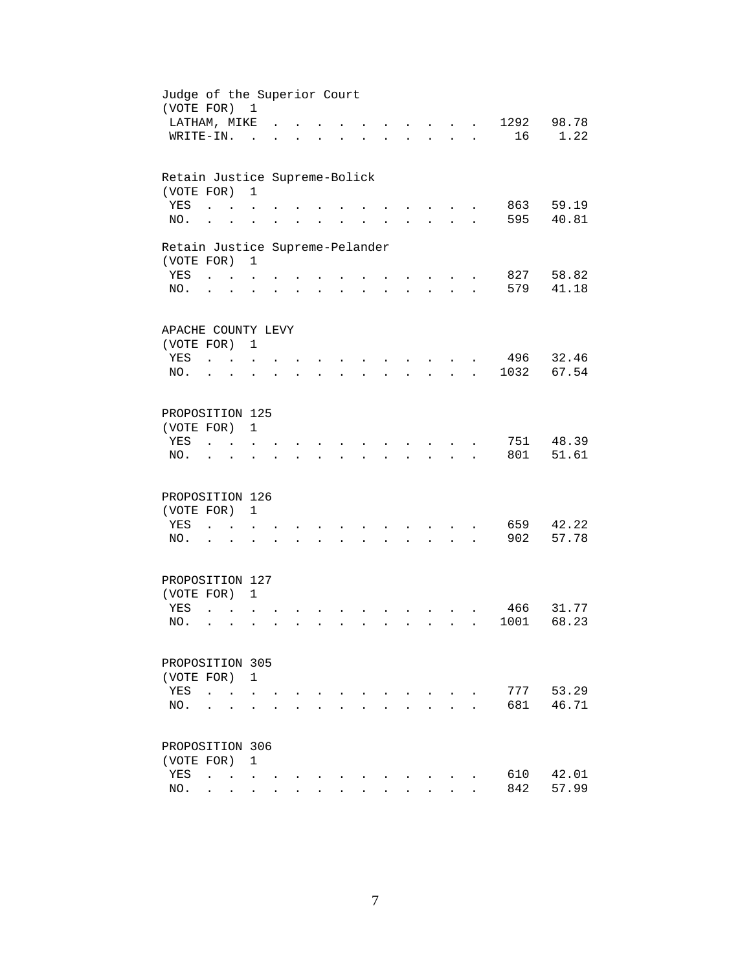| Judge of the Superior Court<br>(VOTE FOR) 1 |                                              |                                      |  |                      |           |                      |              |                                          |                      |              |      |           |
|---------------------------------------------|----------------------------------------------|--------------------------------------|--|----------------------|-----------|----------------------|--------------|------------------------------------------|----------------------|--------------|------|-----------|
|                                             | LATHAM, MIKE                                 |                                      |  |                      |           |                      |              |                                          |                      |              | 1292 | 98.78     |
|                                             | WRITE-IN.                                    | $\overline{a}$                       |  |                      |           |                      |              |                                          |                      |              | 16   | 1.22      |
| Retain Justice Supreme-Bolick               |                                              |                                      |  |                      |           |                      |              |                                          |                      |              |      |           |
| (VOTE FOR)                                  |                                              | $\mathbf{1}$                         |  |                      |           |                      |              |                                          |                      |              |      |           |
| YES                                         |                                              |                                      |  |                      |           |                      |              |                                          |                      |              | 863  | 59.19     |
| NO.                                         | $\ddot{\phantom{a}}$                         |                                      |  |                      |           |                      |              |                                          |                      |              | 595  | 40.81     |
| Retain Justice Supreme-Pelander             |                                              |                                      |  |                      |           |                      |              |                                          |                      |              |      |           |
| (VOTE FOR)                                  |                                              | 1                                    |  |                      |           |                      |              |                                          |                      |              |      |           |
| YES                                         | $\mathbf{L} = \mathbf{L}$                    |                                      |  |                      |           |                      |              |                                          |                      |              | 827  | 58.82     |
| NO.                                         | $\ddot{\phantom{0}}$                         | $\ddot{\phantom{a}}$                 |  | $\ddot{\phantom{a}}$ | $\bullet$ | $\ddot{\phantom{a}}$ |              | $\mathbf{L} = \mathbf{L}$                | $\ddot{\phantom{a}}$ |              | 579  | 41.18     |
|                                             |                                              |                                      |  |                      |           |                      |              |                                          |                      |              |      |           |
| APACHE COUNTY LEVY                          |                                              |                                      |  |                      |           |                      |              |                                          |                      |              |      |           |
| (VOTE FOR) 1                                |                                              |                                      |  |                      |           |                      |              |                                          |                      |              |      | 496 32.46 |
| YES<br>NO.                                  | <b>Carl Carl</b>                             |                                      |  |                      |           |                      |              | <b>Contract Contract</b><br>$\mathbf{r}$ |                      |              | 1032 | 67.54     |
|                                             |                                              |                                      |  |                      |           |                      |              |                                          |                      | $\mathbf{r}$ |      |           |
| PROPOSITION 125                             |                                              |                                      |  |                      |           |                      |              |                                          |                      |              |      |           |
| (VOTE FOR)                                  |                                              | $\mathbf{1}$                         |  |                      |           |                      |              |                                          |                      |              |      |           |
| YES                                         |                                              |                                      |  |                      |           |                      |              |                                          |                      |              | 751  | 48.39     |
| NO.                                         |                                              |                                      |  |                      |           |                      |              |                                          |                      |              | 801  | 51.61     |
|                                             |                                              |                                      |  |                      |           |                      |              |                                          |                      |              |      |           |
| PROPOSITION 126                             |                                              |                                      |  |                      |           |                      |              |                                          |                      |              |      |           |
| (VOTE FOR)                                  |                                              | 1                                    |  |                      |           |                      |              |                                          |                      |              |      |           |
| YES                                         | $\ddot{\phantom{a}}$<br>$\sim$ $\sim$        |                                      |  |                      |           |                      |              |                                          |                      |              | 659  | 42.22     |
| NO.                                         | $\sim$                                       |                                      |  |                      |           |                      | $\sim$       | <b>Contract Contract Street</b>          | $\cdot$              |              | 902  | 57.78     |
|                                             |                                              |                                      |  |                      |           |                      |              |                                          |                      |              |      |           |
| PROPOSITION 127                             |                                              |                                      |  |                      |           |                      |              |                                          |                      |              |      |           |
| (VOTE FOR) 1                                |                                              |                                      |  |                      |           |                      |              |                                          |                      |              |      | 31.77     |
| YES                                         | $\overline{a}$                               |                                      |  |                      |           |                      |              |                                          |                      |              | 466  |           |
| NO.                                         | $\ddot{\phantom{a}}$<br>$\ddot{\phantom{a}}$ |                                      |  |                      |           |                      | $\mathbf{r}$ | $\sim$                                   |                      |              | 1001 | 68.23     |
| PROPOSITION 305                             |                                              |                                      |  |                      |           |                      |              |                                          |                      |              |      |           |
| (VOTE FOR)                                  |                                              | $\mathbf{1}$                         |  |                      |           |                      |              |                                          |                      |              |      |           |
| YES                                         | $\ddot{\phantom{a}}$<br>$\ddot{\phantom{a}}$ |                                      |  |                      |           |                      |              |                                          |                      |              | 777  | 53.29     |
| NO.                                         |                                              |                                      |  |                      |           |                      |              |                                          |                      |              | 681  | 46.71     |
|                                             |                                              |                                      |  |                      |           |                      |              |                                          |                      |              |      |           |
| PROPOSITION 306                             |                                              |                                      |  |                      |           |                      |              |                                          |                      |              |      |           |
| (VOTE FOR)                                  |                                              | $\mathbf 1$                          |  |                      |           |                      |              |                                          |                      |              |      |           |
| YES                                         | $\ddot{\phantom{a}}$                         | <b>Contract Contract Contract</b>    |  |                      |           |                      |              |                                          |                      |              | 610  | 42.01     |
| NO.                                         | $\ddot{\phantom{0}}$                         | $\mathbf{L}$<br>$\ddot{\phantom{0}}$ |  |                      |           |                      |              |                                          |                      |              | 842  | 57.99     |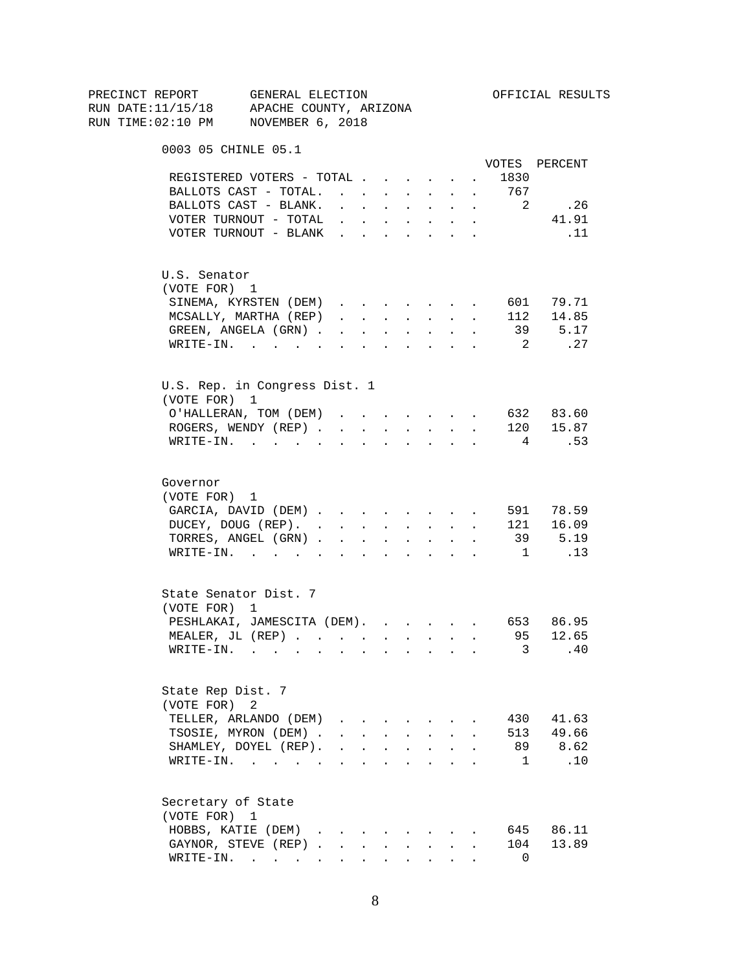|  |                          | PRECINCT REPORT GENERAL ELECTION         |                                                                                            |                      |                                          |                      |                                                           |                                                                       |              |                            | OFFICIAL RESULTS       |
|--|--------------------------|------------------------------------------|--------------------------------------------------------------------------------------------|----------------------|------------------------------------------|----------------------|-----------------------------------------------------------|-----------------------------------------------------------------------|--------------|----------------------------|------------------------|
|  |                          | RUN DATE:11/15/18 APACHE COUNTY, ARIZONA |                                                                                            |                      |                                          |                      |                                                           |                                                                       |              |                            |                        |
|  |                          | RUN TIME:02:10 PM NOVEMBER 6, 2018       |                                                                                            |                      |                                          |                      |                                                           |                                                                       |              |                            |                        |
|  |                          | 0003 05 CHINLE 05.1                      |                                                                                            |                      |                                          |                      |                                                           |                                                                       |              |                            |                        |
|  |                          |                                          |                                                                                            |                      |                                          |                      |                                                           |                                                                       |              |                            | VOTES PERCENT          |
|  |                          | REGISTERED VOTERS - TOTAL                |                                                                                            |                      |                                          |                      |                                                           |                                                                       |              | 1830                       |                        |
|  |                          | BALLOTS CAST - TOTAL.                    |                                                                                            |                      |                                          |                      | $\mathbf{r} = \mathbf{r} + \mathbf{r}$ .                  | $\sim$                                                                | $\sim$       | 767                        |                        |
|  |                          | BALLOTS CAST - BLANK.                    | $\mathbf{r} = \mathbf{r} + \mathbf{r} + \mathbf{r} + \mathbf{r} + \mathbf{r}$              |                      |                                          |                      |                                                           | $\mathbf{L}$                                                          | $\sim$       | $\overline{\phantom{a}}^2$ | .26                    |
|  |                          | VOTER TURNOUT - TOTAL                    |                                                                                            |                      |                                          |                      |                                                           |                                                                       |              |                            | 41.91                  |
|  |                          | VOTER TURNOUT - BLANK                    |                                                                                            |                      |                                          |                      |                                                           |                                                                       |              |                            | $\ldots$ 11            |
|  | U.S. Senator             |                                          |                                                                                            |                      |                                          |                      |                                                           |                                                                       |              |                            |                        |
|  | (VOTE FOR) 1             |                                          |                                                                                            |                      |                                          |                      |                                                           |                                                                       |              |                            |                        |
|  |                          | SINEMA, KYRSTEN (DEM)                    |                                                                                            |                      |                                          |                      |                                                           |                                                                       |              |                            | 601 79.71              |
|  |                          | MCSALLY, MARTHA (REP)                    | $\mathbf{1}$ $\mathbf{1}$ $\mathbf{1}$ $\mathbf{1}$ $\mathbf{1}$ $\mathbf{1}$ $\mathbf{1}$ |                      |                                          |                      |                                                           | $\mathbf{r} = \mathbf{r} \times \mathbf{r}$ . The set of $\mathbf{r}$ | $\sim$       |                            | $112$ $14.85$          |
|  |                          | GREEN, ANGELA (GRN)                      |                                                                                            |                      |                                          |                      | $\Delta \phi = \Delta \phi$ and $\Delta \phi$             | $\ddot{\phantom{0}}$                                                  | $\mathbf{r}$ |                            | 39 5.17                |
|  |                          | WRITE-IN.                                |                                                                                            |                      |                                          |                      |                                                           |                                                                       |              | $\overline{\mathbf{2}}$    | $\ldots$ 27            |
|  |                          | U.S. Rep. in Congress Dist. 1            |                                                                                            |                      |                                          |                      |                                                           |                                                                       |              |                            |                        |
|  | (VOTE FOR) 1             |                                          |                                                                                            |                      |                                          |                      |                                                           |                                                                       |              |                            |                        |
|  |                          | O'HALLERAN, TOM (DEM)                    |                                                                                            |                      |                                          |                      |                                                           |                                                                       |              |                            | 632 83.60              |
|  |                          | ROGERS, WENDY (REP)                      |                                                                                            |                      | $\mathbf{r} = \mathbf{r} + \mathbf{r}$ . |                      |                                                           | <b>All All Andrew</b>                                                 |              |                            | 120 15.87              |
|  |                          | $\texttt{WRTTE-IN.}$                     | $\sim$                                                                                     | $\ddot{\phantom{a}}$ | $\sim$ 100 $\pm$                         | $\sim$               | $\sim$ 100 $\pm$                                          | $\sim$                                                                |              | 4                          | .53                    |
|  | Governor<br>(VOTE FOR) 1 |                                          |                                                                                            |                      |                                          |                      |                                                           |                                                                       |              |                            |                        |
|  |                          | GARCIA, DAVID (DEM)                      |                                                                                            |                      |                                          |                      |                                                           |                                                                       |              |                            | 591 78.59              |
|  |                          | DUCEY, DOUG (REP).                       |                                                                                            |                      |                                          |                      |                                                           |                                                                       |              |                            | 121 16.09              |
|  |                          | TORRES, ANGEL (GRN)                      |                                                                                            |                      |                                          |                      |                                                           |                                                                       |              |                            |                        |
|  |                          | WRITE-IN.                                |                                                                                            |                      |                                          |                      |                                                           |                                                                       |              | $\overline{1}$             | 39 5.19<br>$\ldots$ 13 |
|  |                          |                                          |                                                                                            |                      |                                          |                      |                                                           |                                                                       |              |                            |                        |
|  |                          | State Senator Dist. 7                    |                                                                                            |                      |                                          |                      |                                                           |                                                                       |              |                            |                        |
|  | (VOTE FOR) 1             |                                          |                                                                                            |                      |                                          |                      |                                                           |                                                                       |              |                            |                        |
|  |                          | PESHLAKAI, JAMESCITA (DEM). 653 86.95    |                                                                                            |                      |                                          |                      |                                                           |                                                                       |              |                            |                        |
|  |                          | MEALER, JL (REP)                         |                                                                                            |                      |                                          |                      |                                                           |                                                                       |              | 95                         | 12.65                  |
|  |                          | $\texttt{WRITE-IN.}$                     |                                                                                            |                      |                                          |                      |                                                           |                                                                       |              | 3                          | .40                    |
|  | State Rep Dist. 7        |                                          |                                                                                            |                      |                                          |                      |                                                           |                                                                       |              |                            |                        |
|  | (VOTE FOR)               | 2                                        |                                                                                            |                      |                                          |                      |                                                           |                                                                       |              |                            |                        |
|  |                          | TELLER, ARLANDO (DEM)                    |                                                                                            |                      |                                          |                      |                                                           |                                                                       |              | 430                        | 41.63                  |
|  |                          | TSOSIE, MYRON (DEM).                     |                                                                                            |                      |                                          |                      | $\mathbf{r}$ , $\mathbf{r}$ , $\mathbf{r}$ , $\mathbf{r}$ |                                                                       |              |                            | 513 49.66              |
|  |                          | SHAMLEY, DOYEL (REP).                    | $\sim$                                                                                     |                      | $\mathbf{L} = \mathbf{L}$                | $\ddot{\phantom{a}}$ | $\sim$                                                    | $\ddot{\phantom{a}}$                                                  |              | 89                         | 8.62                   |
|  |                          | $\texttt{WRTTE-IN.}$                     |                                                                                            |                      | $\ddot{\phantom{0}}$                     | $\ddot{\phantom{a}}$ | <b>Contract Contract</b>                                  | $\ddot{\phantom{0}}$                                                  |              | $\mathbf{1}$               | .10                    |
|  | Secretary of State       |                                          |                                                                                            |                      |                                          |                      |                                                           |                                                                       |              |                            |                        |
|  | (VOTE FOR) 1             |                                          |                                                                                            |                      |                                          |                      |                                                           |                                                                       |              |                            |                        |
|  |                          | HOBBS, KATIE (DEM)                       |                                                                                            |                      |                                          |                      |                                                           |                                                                       |              |                            | 645 86.11              |
|  |                          | GAYNOR, STEVE (REP)                      |                                                                                            |                      | $\mathbf{L}^{\text{max}}$                |                      | $\mathbf{L} = \mathbf{L}$                                 | $\mathbf{L}$                                                          |              | 104                        | 13.89                  |
|  |                          | WRITE-IN.                                |                                                                                            |                      |                                          |                      |                                                           |                                                                       |              | 0                          |                        |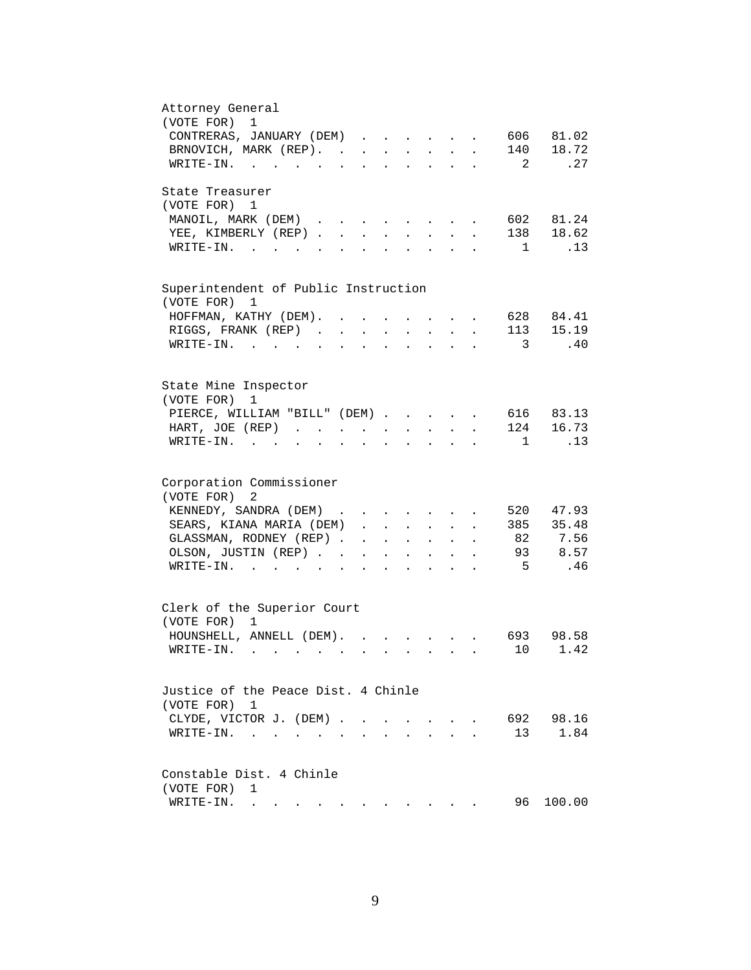| Attorney General<br>(VOTE FOR)<br>1                                                                                                                                                                                           |
|-------------------------------------------------------------------------------------------------------------------------------------------------------------------------------------------------------------------------------|
| 606 81.02                                                                                                                                                                                                                     |
| CONTRERAS, JANUARY (DEM)                                                                                                                                                                                                      |
| 140 18.72<br>BRNOVICH, MARK (REP).                                                                                                                                                                                            |
| .27<br>WRITE-IN.<br>2                                                                                                                                                                                                         |
| State Treasurer                                                                                                                                                                                                               |
| (VOTE FOR) 1                                                                                                                                                                                                                  |
| 602 81.24<br>MANOIL, MARK (DEM)<br>$\ddot{\phantom{a}}$                                                                                                                                                                       |
| 138 18.62<br>YEE, KIMBERLY (REP)<br>$\sim$<br>$\sim$<br>$\sim$<br>$\sim$                                                                                                                                                      |
| $W\text{RITE}-\text{IN}.$<br>.13<br>$\overline{1}$<br>$\mathbf{L}^{\text{max}}$<br>$\mathbf{A}$                                                                                                                               |
|                                                                                                                                                                                                                               |
| Superintendent of Public Instruction<br>(VOTE FOR) 1                                                                                                                                                                          |
| 628 84.41<br>HOFFMAN, KATHY (DEM).                                                                                                                                                                                            |
|                                                                                                                                                                                                                               |
| 113 15.19<br>RIGGS, FRANK (REP).<br>$\ddot{\phantom{a}}$<br>$\sim$ 100 $\sim$                                                                                                                                                 |
| $\texttt{WRTTE-IN.}$<br>$\overline{3}$<br>.40<br>$\ddot{\phantom{a}}$                                                                                                                                                         |
|                                                                                                                                                                                                                               |
| State Mine Inspector<br>(VOTE FOR)                                                                                                                                                                                            |
| 1                                                                                                                                                                                                                             |
| 616 83.13<br>PIERCE, WILLIAM "BILL" (DEM)                                                                                                                                                                                     |
| 124 16.73<br>HART, JOE (REP)<br>$\mathbf{L} = \mathbf{L} \mathbf{L}$<br>$\mathbf{z} = \mathbf{z} + \mathbf{z}$ .<br><b>All Contracts</b>                                                                                      |
| .13<br>$WRITE-IN.$<br>$\overline{1}$<br>$\mathbf{r} = \mathbf{r} + \mathbf{r} + \mathbf{r} + \mathbf{r}$<br>$\mathbf{z} = \mathbf{z} + \mathbf{z}$ .<br>$\ddot{\phantom{a}}$<br>$\bullet$<br>$\ddot{\phantom{0}}$             |
| Corporation Commissioner                                                                                                                                                                                                      |
| (VOTE FOR)<br>2                                                                                                                                                                                                               |
| 520 47.93                                                                                                                                                                                                                     |
| KENNEDY, SANDRA (DEM)                                                                                                                                                                                                         |
| SEARS, KIANA MARIA (DEM)<br>385 35.48                                                                                                                                                                                         |
| 82 7.56<br>GLASSMAN, RODNEY (REP)<br>$\mathbf{r} = \mathbf{r} + \mathbf{r} + \mathbf{r} + \mathbf{r} + \mathbf{r}$                                                                                                            |
| 93 8.57<br>OLSON, JUSTIN (REP).<br>$\mathcal{L}^{\text{max}}$<br>$\mathbf{A}^{(1)}$ and $\mathbf{A}^{(2)}$ and<br>$\sim$ 100 $\pm$<br>$\ddot{\phantom{0}}$                                                                    |
| $5^{\circ}$<br>.46<br>$\texttt{WRITE-IN.}$<br><b>All Contracts</b><br>$\sim$ $\sim$ $\sim$                                                                                                                                    |
| Clerk of the Superior Court                                                                                                                                                                                                   |
| (VOTE FOR) 1                                                                                                                                                                                                                  |
|                                                                                                                                                                                                                               |
| HOUNSHELL, ANNELL (DEM).<br>693 98.58<br>$\mathbf{r}$ , $\mathbf{r}$ , $\mathbf{r}$ , $\mathbf{r}$ , $\mathbf{r}$                                                                                                             |
| 10 1.42<br>WRITE-IN.                                                                                                                                                                                                          |
| Justice of the Peace Dist. 4 Chinle                                                                                                                                                                                           |
|                                                                                                                                                                                                                               |
| (VOTE FOR) 1                                                                                                                                                                                                                  |
| 692 98.16<br>CLYDE, VICTOR J. (DEM).<br>$\sim$                                                                                                                                                                                |
| 1.84<br>13<br>$\texttt{WRITE-IN.}\quad .\quad .\quad .\quad .$<br>$\ddot{\phantom{a}}$                                                                                                                                        |
| Constable Dist. 4 Chinle                                                                                                                                                                                                      |
| (VOTE FOR)<br>1                                                                                                                                                                                                               |
| 96<br>100.00<br>WRITE-IN.                                                                                                                                                                                                     |
| . The contract of the contract of the contract of the contract of the contract of the contract of the contract of the contract of the contract of the contract of the contract of the contract of the contract of the contrac |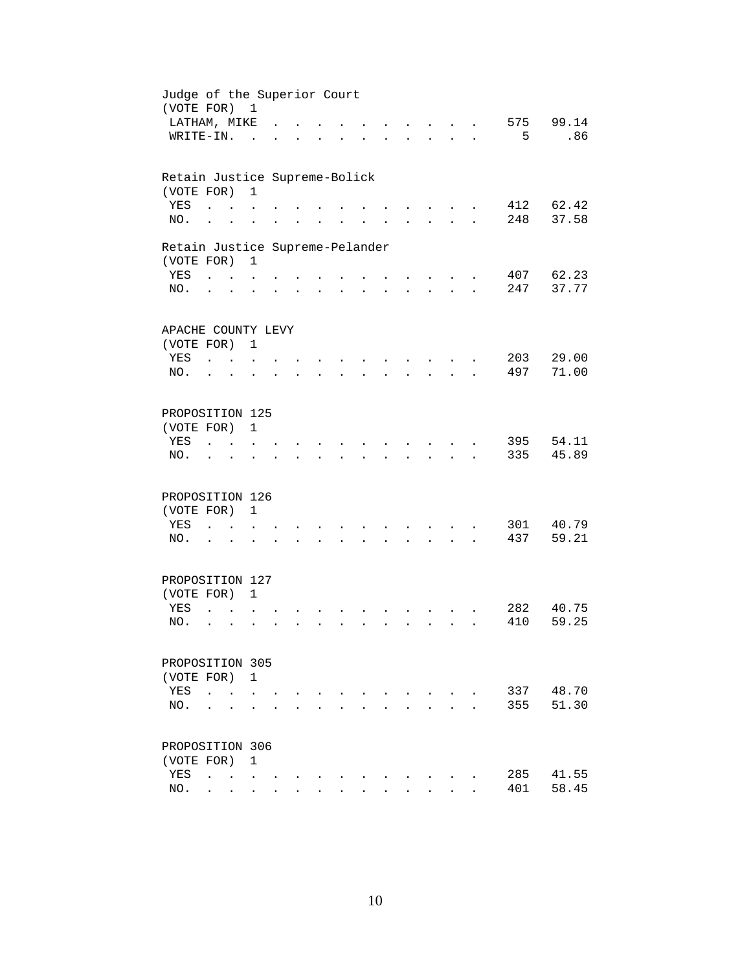| Judge of the Superior Court<br>(VOTE FOR) 1 |                              |                                            |                      |  |                      |                                  |                      |                                          |                      |            |                |
|---------------------------------------------|------------------------------|--------------------------------------------|----------------------|--|----------------------|----------------------------------|----------------------|------------------------------------------|----------------------|------------|----------------|
| LATHAM, MIKE                                |                              |                                            |                      |  |                      |                                  |                      |                                          |                      | 575        | 99.14          |
| WRITE-IN.                                   |                              |                                            | $\sim$               |  |                      |                                  |                      | $\sim$ $\sim$                            | $\mathbf{r}$         | 5          | .86            |
|                                             |                              |                                            |                      |  |                      |                                  |                      |                                          |                      |            |                |
| Retain Justice Supreme-Bolick               |                              |                                            |                      |  |                      |                                  |                      |                                          |                      |            |                |
| (VOTE FOR)                                  |                              |                                            | $\mathbf{1}$         |  |                      |                                  |                      |                                          |                      |            |                |
| YES                                         |                              |                                            |                      |  |                      |                                  |                      |                                          |                      | 412<br>248 | 62.42<br>37.58 |
| NO.                                         | $\ddot{\phantom{a}}$         |                                            |                      |  |                      |                                  |                      |                                          |                      |            |                |
| Retain Justice Supreme-Pelander             |                              |                                            |                      |  |                      |                                  |                      |                                          |                      |            |                |
| (VOTE FOR)                                  |                              |                                            | $\mathbf{1}$         |  |                      |                                  |                      |                                          |                      |            |                |
| YES                                         | <b>Carl Carl Corporation</b> |                                            |                      |  |                      |                                  |                      |                                          |                      |            | 407 62.23      |
| NO.                                         | $\ddot{\phantom{1}}$         |                                            |                      |  | $\ddot{\phantom{a}}$ | $\bullet$ . The set of $\bullet$ | $\ddot{\phantom{a}}$ | $\mathbf{z} = \mathbf{z} + \mathbf{z}$ . |                      | 247        | 37.77          |
| APACHE COUNTY LEVY                          |                              |                                            |                      |  |                      |                                  |                      |                                          |                      |            |                |
| (VOTE FOR) 1                                |                              |                                            |                      |  |                      |                                  |                      |                                          |                      |            |                |
| YES                                         | <b>Carl Carl</b>             |                                            |                      |  |                      |                                  |                      |                                          |                      | 203        | 29.00          |
| NO.                                         |                              | $\sim$                                     |                      |  |                      |                                  |                      |                                          |                      | 497        | 71.00          |
|                                             |                              |                                            |                      |  |                      |                                  |                      |                                          |                      |            |                |
| PROPOSITION 125                             |                              |                                            |                      |  |                      |                                  |                      |                                          |                      |            |                |
| (VOTE FOR)                                  |                              |                                            | $\mathbf{1}$         |  |                      |                                  |                      |                                          |                      |            |                |
| YES                                         |                              |                                            |                      |  |                      |                                  |                      |                                          |                      | 395        | 54.11          |
| NO.                                         |                              |                                            |                      |  |                      |                                  |                      |                                          |                      | 335        | 45.89          |
| PROPOSITION 126                             |                              |                                            |                      |  |                      |                                  |                      |                                          |                      |            |                |
| (VOTE FOR)                                  |                              |                                            | $\mathbf{1}$         |  |                      |                                  |                      |                                          |                      |            |                |
| YES                                         | $\ddot{\phantom{a}}$         | $\sim$ $\sim$                              | $\ddot{\phantom{a}}$ |  |                      |                                  |                      |                                          |                      | 301        | 40.79          |
| NO.                                         | $\cdot$ $\cdot$              |                                            |                      |  |                      |                                  | $\ddot{\phantom{a}}$ | $\mathbf{z} = \mathbf{z} + \mathbf{z}$ . | $\ddot{\phantom{a}}$ | 437        | 59.21          |
|                                             |                              |                                            |                      |  |                      |                                  |                      |                                          |                      |            |                |
| PROPOSITION 127                             |                              |                                            |                      |  |                      |                                  |                      |                                          |                      |            |                |
| (VOTE FOR) 1                                |                              |                                            |                      |  |                      |                                  |                      |                                          |                      |            |                |
| YES                                         | $\ddot{\phantom{a}}$         |                                            |                      |  |                      |                                  |                      |                                          |                      | 282        | 40.75          |
| NO.                                         | $\ddot{\phantom{0}}$         | $\ddot{\phantom{a}}$                       |                      |  |                      |                                  |                      | $\ddot{\phantom{a}}$                     |                      | 410        | 59.25          |
|                                             |                              |                                            |                      |  |                      |                                  |                      |                                          |                      |            |                |
| PROPOSITION 305                             |                              |                                            |                      |  |                      |                                  |                      |                                          |                      |            |                |
| (VOTE FOR) 1<br>YES                         |                              |                                            |                      |  |                      |                                  |                      |                                          |                      |            | 48.70          |
|                                             | $\ddot{\phantom{a}}$         |                                            |                      |  |                      |                                  |                      |                                          |                      | 337        | 51.30          |
| NO.                                         |                              |                                            |                      |  |                      |                                  |                      |                                          |                      | 355        |                |
| PROPOSITION 306                             |                              |                                            |                      |  |                      |                                  |                      |                                          |                      |            |                |
| (VOTE FOR)                                  |                              |                                            | 1                    |  |                      |                                  |                      |                                          |                      |            |                |
| YES                                         | $\ddot{\phantom{a}}$         | $\mathbf{r}$ , $\mathbf{r}$ , $\mathbf{r}$ |                      |  |                      |                                  |                      |                                          |                      | 285        | 41.55          |
| NO.                                         |                              | $\mathbf{r} = \mathbf{r}$                  | $\ddot{\phantom{0}}$ |  |                      |                                  |                      |                                          |                      | 401        | 58.45          |
|                                             |                              |                                            |                      |  |                      |                                  |                      |                                          |                      |            |                |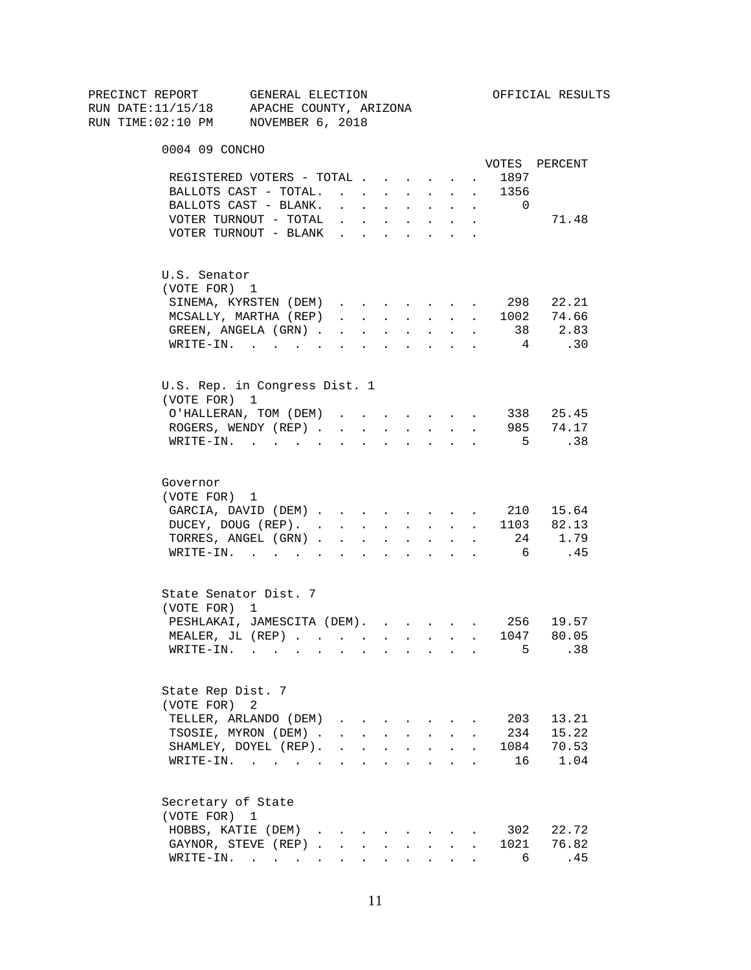| PRECINCT REPORT                          | GENERAL ELECTION                                       |                                                                                                         |                 |                      |                      |                                                                          |                      |            |                                                                                                                                                                                                                                                                                                                                                                                     | OFFICIAL RESULTS |
|------------------------------------------|--------------------------------------------------------|---------------------------------------------------------------------------------------------------------|-----------------|----------------------|----------------------|--------------------------------------------------------------------------|----------------------|------------|-------------------------------------------------------------------------------------------------------------------------------------------------------------------------------------------------------------------------------------------------------------------------------------------------------------------------------------------------------------------------------------|------------------|
| RUN DATE:11/15/18 APACHE COUNTY, ARIZONA |                                                        |                                                                                                         |                 |                      |                      |                                                                          |                      |            |                                                                                                                                                                                                                                                                                                                                                                                     |                  |
| RUN TIME:02:10 PM NOVEMBER 6, 2018       |                                                        |                                                                                                         |                 |                      |                      |                                                                          |                      |            |                                                                                                                                                                                                                                                                                                                                                                                     |                  |
|                                          |                                                        |                                                                                                         |                 |                      |                      |                                                                          |                      |            |                                                                                                                                                                                                                                                                                                                                                                                     |                  |
| 0004 09 CONCHO                           |                                                        |                                                                                                         |                 |                      |                      |                                                                          |                      |            |                                                                                                                                                                                                                                                                                                                                                                                     |                  |
|                                          |                                                        |                                                                                                         |                 |                      |                      |                                                                          |                      |            |                                                                                                                                                                                                                                                                                                                                                                                     | VOTES PERCENT    |
|                                          | REGISTERED VOTERS - TOTAL                              |                                                                                                         |                 |                      |                      |                                                                          |                      |            | 1897                                                                                                                                                                                                                                                                                                                                                                                |                  |
|                                          | BALLOTS CAST - TOTAL.                                  |                                                                                                         |                 |                      |                      | <b>Service</b> State                                                     | $\mathbf{L}$         | $\sim$ $-$ | 1356                                                                                                                                                                                                                                                                                                                                                                                |                  |
|                                          | BALLOTS CAST - BLANK.                                  | $\mathbf{r}$ , $\mathbf{r}$ , $\mathbf{r}$ , $\mathbf{r}$ , $\mathbf{r}$                                |                 |                      |                      |                                                                          |                      | $\sim$     | $\overline{\phantom{0}}$                                                                                                                                                                                                                                                                                                                                                            |                  |
|                                          | VOTER TURNOUT - TOTAL $\cdot$<br>VOTER TURNOUT - BLANK |                                                                                                         |                 |                      |                      |                                                                          |                      |            |                                                                                                                                                                                                                                                                                                                                                                                     | 71.48            |
|                                          |                                                        |                                                                                                         |                 |                      |                      |                                                                          |                      |            |                                                                                                                                                                                                                                                                                                                                                                                     |                  |
| U.S. Senator                             |                                                        |                                                                                                         |                 |                      |                      |                                                                          |                      |            |                                                                                                                                                                                                                                                                                                                                                                                     |                  |
| (VOTE FOR) 1                             |                                                        |                                                                                                         |                 |                      |                      |                                                                          |                      |            |                                                                                                                                                                                                                                                                                                                                                                                     |                  |
|                                          | SINEMA, KYRSTEN (DEM)                                  |                                                                                                         |                 |                      |                      |                                                                          |                      | $\sim$     |                                                                                                                                                                                                                                                                                                                                                                                     | 298 22.21        |
|                                          | MCSALLY, MARTHA (REP)                                  | $\mathbf{r} = \mathbf{r} \times \mathbf{r}$ , where $\mathbf{r} = \mathbf{r} \times \mathbf{r}$ , where |                 |                      |                      |                                                                          |                      |            |                                                                                                                                                                                                                                                                                                                                                                                     | 1002 74.66       |
|                                          | GREEN, ANGELA (GRN) 38 2.83                            |                                                                                                         |                 |                      |                      |                                                                          |                      |            |                                                                                                                                                                                                                                                                                                                                                                                     |                  |
|                                          | WRITE-IN.                                              |                                                                                                         |                 |                      |                      |                                                                          |                      |            | $4\phantom{.0000}\phantom{.0000}\phantom{.0000}\phantom{.0000}\phantom{.0000}\phantom{.0000}\phantom{.0000}\phantom{.0000}\phantom{.0000}\phantom{.0000}\phantom{.0000}\phantom{.0000}\phantom{.0000}\phantom{.0000}\phantom{.0000}\phantom{.0000}\phantom{.0000}\phantom{.0000}\phantom{.0000}\phantom{.0000}\phantom{.0000}\phantom{.0000}\phantom{.0000}\phantom{.0000}\phantom$ | .30              |
|                                          |                                                        |                                                                                                         |                 |                      |                      |                                                                          |                      |            |                                                                                                                                                                                                                                                                                                                                                                                     |                  |
| (VOTE FOR) 1                             | U.S. Rep. in Congress Dist. 1                          |                                                                                                         |                 |                      |                      |                                                                          |                      |            |                                                                                                                                                                                                                                                                                                                                                                                     |                  |
|                                          | O'HALLERAN, TOM (DEM)                                  |                                                                                                         |                 |                      |                      |                                                                          |                      |            |                                                                                                                                                                                                                                                                                                                                                                                     | 338 25.45        |
|                                          | ROGERS, WENDY (REP).                                   | $\sim$                                                                                                  | $\sim 10^{-11}$ | $\sim$ 100 $\pm$     | $\sim$               |                                                                          | <b>Service</b> State |            |                                                                                                                                                                                                                                                                                                                                                                                     | 985 74.17        |
|                                          | $W\text{RITE}-\text{IN}.$                              |                                                                                                         |                 |                      |                      | $\Delta \sim 100$                                                        |                      |            | 5 <sup>5</sup>                                                                                                                                                                                                                                                                                                                                                                      | $\overline{38}$  |
| Governor                                 |                                                        |                                                                                                         |                 |                      |                      |                                                                          |                      |            |                                                                                                                                                                                                                                                                                                                                                                                     |                  |
| (VOTE FOR) 1                             |                                                        |                                                                                                         |                 |                      |                      |                                                                          |                      |            |                                                                                                                                                                                                                                                                                                                                                                                     |                  |
|                                          | GARCIA, DAVID (DEM) 210 15.64                          |                                                                                                         |                 |                      |                      |                                                                          |                      |            |                                                                                                                                                                                                                                                                                                                                                                                     |                  |
|                                          |                                                        |                                                                                                         |                 |                      |                      |                                                                          |                      |            |                                                                                                                                                                                                                                                                                                                                                                                     |                  |
|                                          | DUCEY, DOUG (REP). 1103 82.13<br>TORRES, ANGEL (GRN)   |                                                                                                         |                 |                      |                      |                                                                          |                      |            |                                                                                                                                                                                                                                                                                                                                                                                     | 24 1.79          |
|                                          | WRITE-IN.                                              |                                                                                                         |                 |                      |                      |                                                                          |                      |            | 6                                                                                                                                                                                                                                                                                                                                                                                   | .45              |
|                                          |                                                        |                                                                                                         |                 |                      |                      | $\mathbf{r} = \mathbf{r} + \mathbf{r}$ , where $\mathbf{r} = \mathbf{r}$ |                      |            |                                                                                                                                                                                                                                                                                                                                                                                     |                  |
| State Senator Dist. 7                    |                                                        |                                                                                                         |                 |                      |                      |                                                                          |                      |            |                                                                                                                                                                                                                                                                                                                                                                                     |                  |
| (VOTE FOR) 1                             |                                                        |                                                                                                         |                 |                      |                      |                                                                          |                      |            |                                                                                                                                                                                                                                                                                                                                                                                     |                  |
|                                          | PESHLAKAI, JAMESCITA (DEM). 256 19.57                  |                                                                                                         |                 |                      |                      |                                                                          |                      |            |                                                                                                                                                                                                                                                                                                                                                                                     |                  |
|                                          | MEALER, JL (REP)                                       |                                                                                                         |                 |                      |                      |                                                                          |                      |            | 1047                                                                                                                                                                                                                                                                                                                                                                                | 80.05            |
|                                          | WRITE-IN.                                              |                                                                                                         |                 |                      |                      |                                                                          |                      |            | 5                                                                                                                                                                                                                                                                                                                                                                                   | .38              |
|                                          |                                                        |                                                                                                         |                 |                      |                      |                                                                          |                      |            |                                                                                                                                                                                                                                                                                                                                                                                     |                  |
| State Rep Dist. 7                        |                                                        |                                                                                                         |                 |                      |                      |                                                                          |                      |            |                                                                                                                                                                                                                                                                                                                                                                                     |                  |
| (VOTE FOR)                               | 2                                                      |                                                                                                         |                 |                      |                      |                                                                          |                      |            |                                                                                                                                                                                                                                                                                                                                                                                     |                  |
|                                          | TELLER, ARLANDO (DEM)                                  |                                                                                                         |                 |                      |                      |                                                                          |                      |            | 203                                                                                                                                                                                                                                                                                                                                                                                 | 13.21            |
|                                          | TSOSIE, MYRON (DEM) .                                  |                                                                                                         |                 |                      |                      | $\sim$ $\sim$ $\sim$ $\sim$ $\sim$ $\sim$                                |                      |            | 234                                                                                                                                                                                                                                                                                                                                                                                 | 15.22            |
|                                          | SHAMLEY, DOYEL (REP).                                  | $\ddot{\phantom{a}}$                                                                                    | $\mathbf{L}$    | $\ddot{\phantom{0}}$ | $\ddot{\phantom{a}}$ | <b>Contractor</b>                                                        | $\ddot{\phantom{a}}$ |            | 1084                                                                                                                                                                                                                                                                                                                                                                                | 70.53            |
|                                          | $\texttt{WRTTE-IN.}$                                   |                                                                                                         | $\bullet$       | $\ddot{\phantom{a}}$ | $\ddot{\phantom{a}}$ | <b>Contractor</b>                                                        | $\ddot{\phantom{0}}$ |            | 16                                                                                                                                                                                                                                                                                                                                                                                  | 1.04             |
| Secretary of State                       |                                                        |                                                                                                         |                 |                      |                      |                                                                          |                      |            |                                                                                                                                                                                                                                                                                                                                                                                     |                  |
| (VOTE FOR) 1                             |                                                        |                                                                                                         |                 |                      |                      |                                                                          |                      |            |                                                                                                                                                                                                                                                                                                                                                                                     |                  |
|                                          | HOBBS, KATIE (DEM)                                     |                                                                                                         |                 |                      |                      |                                                                          |                      |            | 302                                                                                                                                                                                                                                                                                                                                                                                 | 22.72            |
|                                          | GAYNOR, STEVE (REP)                                    |                                                                                                         |                 |                      |                      |                                                                          |                      |            | 1021                                                                                                                                                                                                                                                                                                                                                                                | 76.82            |
|                                          | WRITE-IN.                                              |                                                                                                         |                 |                      |                      |                                                                          |                      |            | 6                                                                                                                                                                                                                                                                                                                                                                                   | .45              |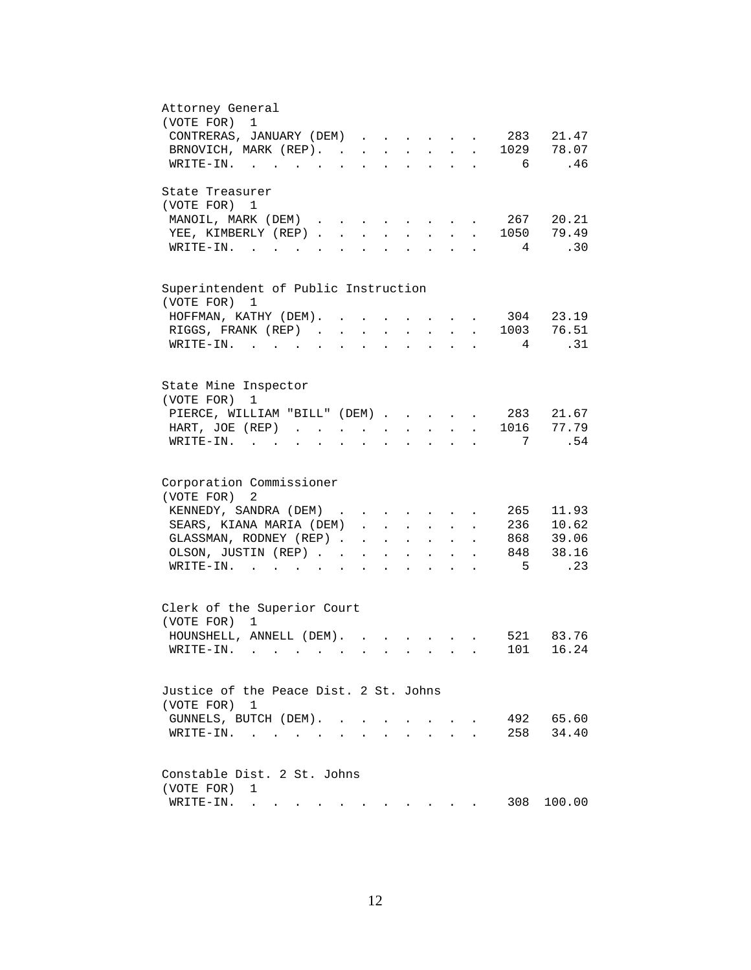| Attorney General                                                                                                                                                                                                                        |
|-----------------------------------------------------------------------------------------------------------------------------------------------------------------------------------------------------------------------------------------|
| (VOTE FOR) 1                                                                                                                                                                                                                            |
| CONTRERAS, JANUARY (DEM) 283<br>21.47                                                                                                                                                                                                   |
| 1029 78.07<br>BRNOVICH, MARK (REP).<br>$\mathbf{L}$                                                                                                                                                                                     |
| .46<br>WRITE-IN.<br>6<br>$\sim$ $\sim$ $\sim$<br>$\mathbf{r} = \mathbf{r} + \mathbf{r} + \mathbf{r} + \mathbf{r}$<br>$\ddot{\phantom{0}}$                                                                                               |
|                                                                                                                                                                                                                                         |
| State Treasurer                                                                                                                                                                                                                         |
|                                                                                                                                                                                                                                         |
| (VOTE FOR) 1                                                                                                                                                                                                                            |
| 267<br>20.21<br>MANOIL, MARK (DEM)                                                                                                                                                                                                      |
| $\cdot$ 1050 79.49<br>YEE, KIMBERLY (REP)                                                                                                                                                                                               |
| .30<br>$W\text{RITE}-\text{IN}.$<br>$\overline{4}$<br><b>Contract Contract</b><br>$\mathbf{L}$<br>$\sim$<br>$\sim$                                                                                                                      |
|                                                                                                                                                                                                                                         |
|                                                                                                                                                                                                                                         |
| Superintendent of Public Instruction                                                                                                                                                                                                    |
| (VOTE FOR) 1                                                                                                                                                                                                                            |
| 304 23.19<br>HOFFMAN, KATHY (DEM). .                                                                                                                                                                                                    |
| 76.51<br>RIGGS, FRANK (REP).<br>1003<br>$\sim$<br>$\mathbf{r}$<br>$\mathbf{r}$<br>$\mathbf{L}$                                                                                                                                          |
|                                                                                                                                                                                                                                         |
| .31<br>$WRITE-TN.$<br>4<br>$\mathbf{L}$                                                                                                                                                                                                 |
|                                                                                                                                                                                                                                         |
|                                                                                                                                                                                                                                         |
| State Mine Inspector                                                                                                                                                                                                                    |
| (VOTE FOR)<br>1                                                                                                                                                                                                                         |
| PIERCE, WILLIAM "BILL" (DEM) 283 21.67                                                                                                                                                                                                  |
| . 1016 77.79<br>HART, JOE (REP)<br>$\mathbf{L} = \mathbf{L} \mathbf{L}$<br>$\sim$ $-$<br>$\mathcal{L}^{\text{max}}$<br>$\ddot{\phantom{a}}$<br>$\ddot{\phantom{a}}$                                                                     |
| .54<br>7<br>$W\text{RITE}-\text{IN}$ .                                                                                                                                                                                                  |
|                                                                                                                                                                                                                                         |
|                                                                                                                                                                                                                                         |
| Corporation Commissioner                                                                                                                                                                                                                |
| (VOTE FOR)<br>2                                                                                                                                                                                                                         |
| 11.93<br>KENNEDY, SANDRA (DEM)<br>265                                                                                                                                                                                                   |
|                                                                                                                                                                                                                                         |
| 236 10.62<br>SEARS, KIANA MARIA (DEM).<br>$\mathbf{L} = \mathbf{L} \mathbf{L} + \mathbf{L} \mathbf{L}$<br>$\ddot{\phantom{0}}$<br>$\ddot{\phantom{a}}$                                                                                  |
| GLASSMAN, RODNEY (REP).<br>868 39.06<br>$\mathbf{A}^{(1)}$ and $\mathbf{A}^{(2)}$ and<br>$\mathcal{L}^{\text{max}}$<br>$\mathbf{L}^{\text{max}}$<br>$\bullet$ .<br><br><br><br><br><br><br><br><br><br><br><br><br>$\ddot{\phantom{a}}$ |
| 848 38.16<br>OLSON, JUSTIN (REP). .<br>$\ddot{\phantom{a}}$<br>$\mathbf{z} = \mathbf{z} + \mathbf{z}$ .<br>$\sim$<br>$\bullet$                                                                                                          |
| $5^{\circ}$<br>.23<br>$WRITE-IN.$ .<br>$\mathbf{r} = \mathbf{r} + \mathbf{r} + \mathbf{r} + \mathbf{r}$                                                                                                                                 |
|                                                                                                                                                                                                                                         |
|                                                                                                                                                                                                                                         |
| Clerk of the Superior Court                                                                                                                                                                                                             |
| (VOTE FOR)<br>$\mathbf{1}$                                                                                                                                                                                                              |
| HOUNSHELL, ANNELL (DEM).<br>521 83.76                                                                                                                                                                                                   |
| 101 16.24<br>WRITE-IN.                                                                                                                                                                                                                  |
|                                                                                                                                                                                                                                         |
|                                                                                                                                                                                                                                         |
| Justice of the Peace Dist. 2 St. Johns                                                                                                                                                                                                  |
|                                                                                                                                                                                                                                         |
| (VOTE FOR) 1                                                                                                                                                                                                                            |
| 492 65.60<br>GUNNELS, BUTCH (DEM). .                                                                                                                                                                                                    |
| 258<br>34.40<br>$\texttt{WRITE-IN.} \quad . \quad . \quad . \quad . \quad . \quad .$<br>$\mathbf{L}$                                                                                                                                    |
|                                                                                                                                                                                                                                         |
|                                                                                                                                                                                                                                         |
| Constable Dist. 2 St. Johns                                                                                                                                                                                                             |
| (VOTE FOR)<br>1                                                                                                                                                                                                                         |
| 308<br>WRITE-IN.<br>100.00                                                                                                                                                                                                              |
| $\mathbf{a}^{(1)} = \mathbf{a}^{(1)} = \mathbf{a}^{(1)} = \mathbf{a}^{(1)} = \mathbf{a}^{(1)} = \mathbf{a}^{(1)} = \mathbf{a}^{(1)} = \mathbf{a}^{(1)} = \mathbf{a}^{(1)} = \mathbf{a}^{(1)} = \mathbf{a}^{(1)} = \mathbf{a}^{(1)}$     |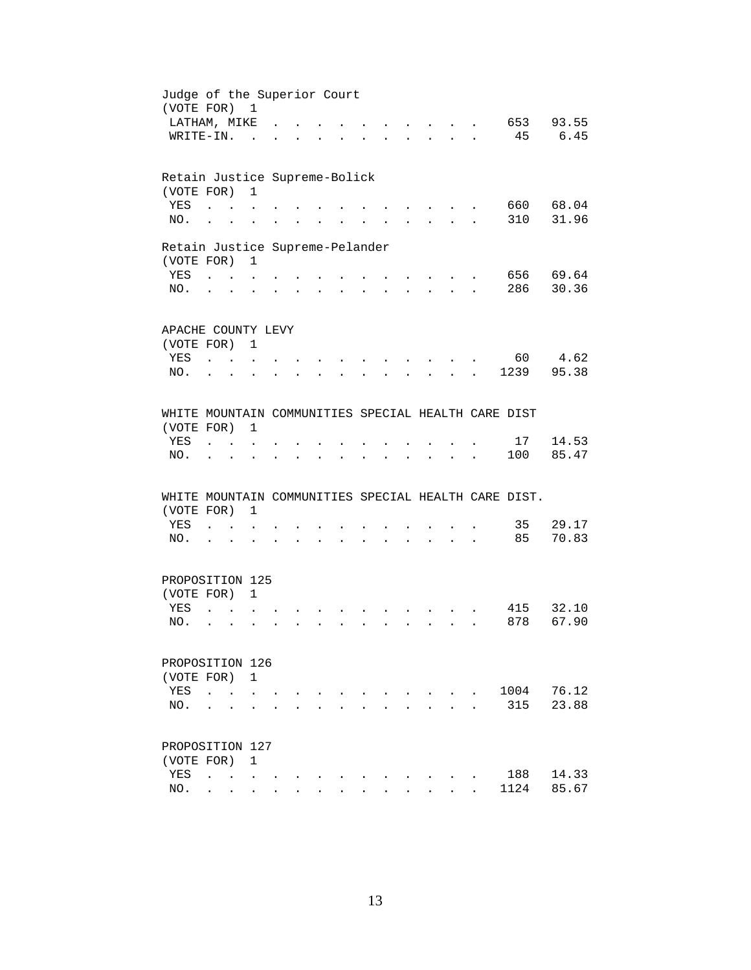| 653 93.55<br>6.45<br>45<br>660<br>68.04<br>31.96<br>310<br>656 69.64<br>286<br>30.36 |
|--------------------------------------------------------------------------------------|
|                                                                                      |
|                                                                                      |
|                                                                                      |
|                                                                                      |
|                                                                                      |
|                                                                                      |
|                                                                                      |
|                                                                                      |
|                                                                                      |
|                                                                                      |
|                                                                                      |
|                                                                                      |
|                                                                                      |
| 4.62                                                                                 |
| 60<br>1239                                                                           |
| 95.38                                                                                |
| WHITE MOUNTAIN COMMUNITIES SPECIAL HEALTH CARE DIST                                  |
|                                                                                      |
| 14.53<br>17                                                                          |
| 85.47<br>100                                                                         |
|                                                                                      |
| WHITE MOUNTAIN COMMUNITIES SPECIAL HEALTH CARE DIST.                                 |
|                                                                                      |
| 29.17<br>35                                                                          |
| 85<br>70.83                                                                          |
|                                                                                      |
|                                                                                      |
|                                                                                      |
| 32.10<br>415                                                                         |
| 878<br>67.90                                                                         |
|                                                                                      |
|                                                                                      |
| 76.12<br>1004                                                                        |
| 315<br>23.88                                                                         |
|                                                                                      |
|                                                                                      |
|                                                                                      |
|                                                                                      |
| 188<br>14.33                                                                         |
|                                                                                      |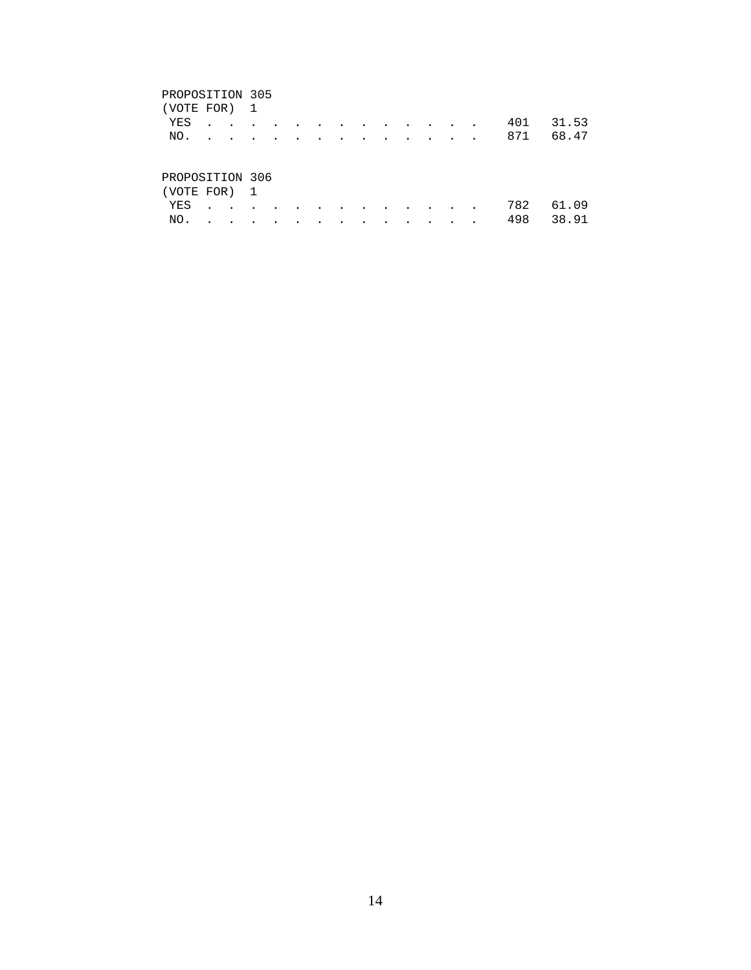#### PROPOSITION 305

| (VOTE FOR) 1                 |  |  |  |  |  |  |                                                                                                                                                                                                                                                                                                                                                                                                                              |     |           |
|------------------------------|--|--|--|--|--|--|------------------------------------------------------------------------------------------------------------------------------------------------------------------------------------------------------------------------------------------------------------------------------------------------------------------------------------------------------------------------------------------------------------------------------|-----|-----------|
| YES                          |  |  |  |  |  |  |                                                                                                                                                                                                                                                                                                                                                                                                                              | 401 | 31.53     |
| NO.                          |  |  |  |  |  |  | $\mathbf{r} = \mathbf{r} + \mathbf{r} + \mathbf{r} + \mathbf{r} + \mathbf{r} + \mathbf{r} + \mathbf{r} + \mathbf{r} + \mathbf{r} + \mathbf{r} + \mathbf{r} + \mathbf{r} + \mathbf{r} + \mathbf{r} + \mathbf{r} + \mathbf{r} + \mathbf{r} + \mathbf{r} + \mathbf{r} + \mathbf{r} + \mathbf{r} + \mathbf{r} + \mathbf{r} + \mathbf{r} + \mathbf{r} + \mathbf{r} + \mathbf{r} + \mathbf{r} + \mathbf{r} + \mathbf{r} + \mathbf$ |     | 871 68.47 |
| PROPOSITION 306<br>VOTE FOR) |  |  |  |  |  |  |                                                                                                                                                                                                                                                                                                                                                                                                                              |     |           |

| $\sqrt{2}$ |  |  |  |  |  |  |               |  |
|------------|--|--|--|--|--|--|---------------|--|
|            |  |  |  |  |  |  | YES 782 61.09 |  |
|            |  |  |  |  |  |  | NO. 498 38.91 |  |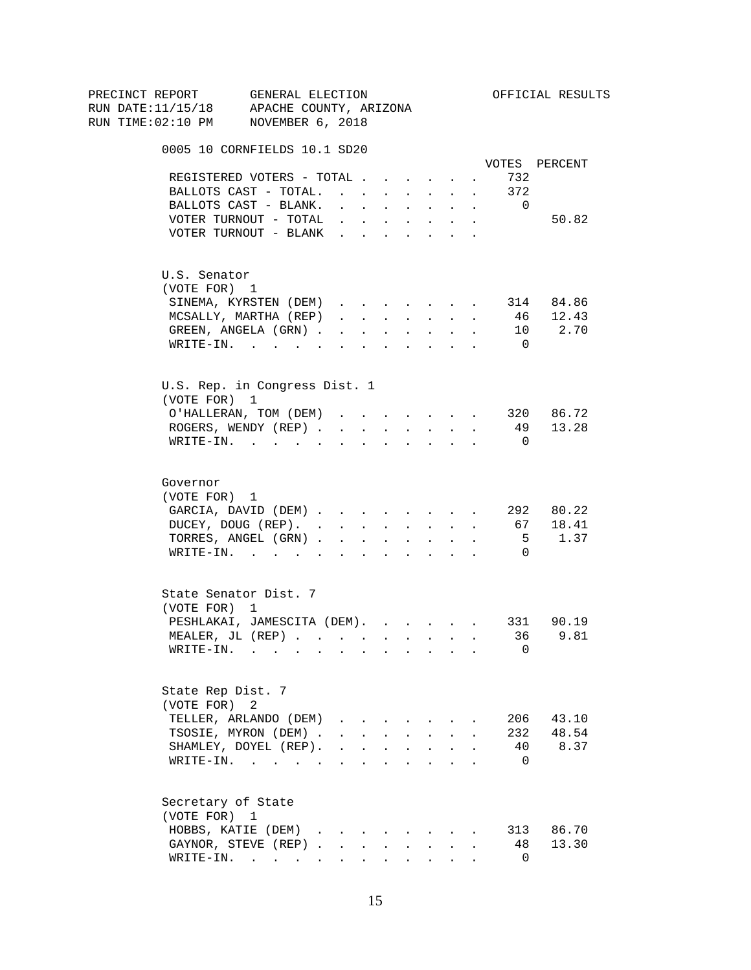| PRECINCT REPORT                          | GENERAL ELECTION                      |                                                |                               |        |                                                                                                                                                                                                                                                                                                                                                                                                                                                                              |                      |                      |                          | OFFICIAL RESULTS |
|------------------------------------------|---------------------------------------|------------------------------------------------|-------------------------------|--------|------------------------------------------------------------------------------------------------------------------------------------------------------------------------------------------------------------------------------------------------------------------------------------------------------------------------------------------------------------------------------------------------------------------------------------------------------------------------------|----------------------|----------------------|--------------------------|------------------|
| RUN DATE:11/15/18 APACHE COUNTY, ARIZONA |                                       |                                                |                               |        |                                                                                                                                                                                                                                                                                                                                                                                                                                                                              |                      |                      |                          |                  |
| RUN TIME:02:10 PM NOVEMBER 6, 2018       |                                       |                                                |                               |        |                                                                                                                                                                                                                                                                                                                                                                                                                                                                              |                      |                      |                          |                  |
|                                          | 0005 10 CORNFIELDS 10.1 SD20          |                                                |                               |        |                                                                                                                                                                                                                                                                                                                                                                                                                                                                              |                      |                      |                          |                  |
|                                          |                                       |                                                |                               |        |                                                                                                                                                                                                                                                                                                                                                                                                                                                                              |                      |                      |                          | VOTES PERCENT    |
|                                          | REGISTERED VOTERS - TOTAL             |                                                |                               |        |                                                                                                                                                                                                                                                                                                                                                                                                                                                                              |                      |                      | 732                      |                  |
|                                          | BALLOTS CAST - TOTAL.                 |                                                |                               |        | $\mathbf{r}$ , $\mathbf{r}$ , $\mathbf{r}$                                                                                                                                                                                                                                                                                                                                                                                                                                   |                      | $\sim$               | 372                      |                  |
|                                          | BALLOTS CAST - BLANK.                 | $\sim$                                         | $\mathbf{r}$ and $\mathbf{r}$ |        | <b>All Cards</b>                                                                                                                                                                                                                                                                                                                                                                                                                                                             | $\sim$               | $\sim$               | $\overline{0}$           |                  |
|                                          | VOTER TURNOUT - TOTAL                 |                                                |                               |        | $\mathbf{r}$ , $\mathbf{r}$ , $\mathbf{r}$ , $\mathbf{r}$ , $\mathbf{r}$                                                                                                                                                                                                                                                                                                                                                                                                     |                      | $\sim$               |                          | 50.82            |
|                                          | VOTER TURNOUT - BLANK                 |                                                |                               |        |                                                                                                                                                                                                                                                                                                                                                                                                                                                                              |                      |                      |                          |                  |
| U.S. Senator                             |                                       |                                                |                               |        |                                                                                                                                                                                                                                                                                                                                                                                                                                                                              |                      |                      |                          |                  |
| (VOTE FOR) 1                             |                                       |                                                |                               |        |                                                                                                                                                                                                                                                                                                                                                                                                                                                                              |                      |                      |                          |                  |
|                                          | SINEMA, KYRSTEN (DEM)                 |                                                |                               |        |                                                                                                                                                                                                                                                                                                                                                                                                                                                                              |                      |                      |                          | 314 84.86        |
|                                          | MCSALLY, MARTHA (REP)                 | $\mathbf{r}$ , $\mathbf{r}$ , $\mathbf{r}$     |                               |        | $\mathbf{r}$ , $\mathbf{r}$ , $\mathbf{r}$                                                                                                                                                                                                                                                                                                                                                                                                                                   |                      | $\ddot{\phantom{a}}$ | 46                       | 12.43            |
|                                          | GREEN, ANGELA (GRN).                  |                                                | $\mathbf{r}$ , $\mathbf{r}$   | $\sim$ | $\sim 100$                                                                                                                                                                                                                                                                                                                                                                                                                                                                   | $\ddot{\phantom{0}}$ |                      |                          | 10 2.70          |
|                                          | WRITE-IN.                             |                                                |                               |        |                                                                                                                                                                                                                                                                                                                                                                                                                                                                              |                      |                      | $\overline{0}$           |                  |
|                                          | U.S. Rep. in Congress Dist. 1         |                                                |                               |        |                                                                                                                                                                                                                                                                                                                                                                                                                                                                              |                      |                      |                          |                  |
| (VOTE FOR) 1                             |                                       |                                                |                               |        |                                                                                                                                                                                                                                                                                                                                                                                                                                                                              |                      |                      |                          |                  |
|                                          | O'HALLERAN, TOM (DEM)                 |                                                |                               |        | $\mathbf{1} \qquad \qquad \mathbf{1} \qquad \qquad \mathbf{1} \qquad \qquad \mathbf{1} \qquad \qquad \mathbf{1} \qquad \qquad \mathbf{1} \qquad \qquad \mathbf{1} \qquad \qquad \mathbf{1} \qquad \qquad \mathbf{1} \qquad \qquad \mathbf{1} \qquad \qquad \mathbf{1} \qquad \qquad \mathbf{1} \qquad \qquad \mathbf{1} \qquad \qquad \mathbf{1} \qquad \qquad \mathbf{1} \qquad \qquad \mathbf{1} \qquad \qquad \mathbf{1} \qquad \qquad \mathbf{1} \qquad \qquad \mathbf{$ |                      |                      |                          | 320 86.72        |
|                                          | ROGERS, WENDY (REP)                   |                                                |                               |        | and a strategic state                                                                                                                                                                                                                                                                                                                                                                                                                                                        |                      |                      |                          | 49 13.28         |
|                                          | $\texttt{WRTTE-IN.}$                  |                                                | $\sim$ $\sim$                 |        |                                                                                                                                                                                                                                                                                                                                                                                                                                                                              |                      |                      | $\overline{\phantom{0}}$ |                  |
| Governor                                 |                                       |                                                |                               |        |                                                                                                                                                                                                                                                                                                                                                                                                                                                                              |                      |                      |                          |                  |
| (VOTE FOR) 1                             |                                       |                                                |                               |        |                                                                                                                                                                                                                                                                                                                                                                                                                                                                              |                      |                      |                          |                  |
|                                          | GARCIA, DAVID (DEM)                   |                                                |                               |        |                                                                                                                                                                                                                                                                                                                                                                                                                                                                              |                      |                      |                          | 292 80.22        |
|                                          | DUCEY, DOUG (REP).                    |                                                |                               |        |                                                                                                                                                                                                                                                                                                                                                                                                                                                                              |                      |                      |                          | 67 18.41         |
|                                          | TORRES, ANGEL (GRN)                   |                                                |                               |        |                                                                                                                                                                                                                                                                                                                                                                                                                                                                              |                      |                      | 5                        | 1.37             |
|                                          | WRITE-IN.                             |                                                |                               |        |                                                                                                                                                                                                                                                                                                                                                                                                                                                                              |                      |                      | $\Omega$                 |                  |
|                                          | State Senator Dist. 7                 |                                                |                               |        |                                                                                                                                                                                                                                                                                                                                                                                                                                                                              |                      |                      |                          |                  |
| (VOTE FOR) 1                             |                                       |                                                |                               |        |                                                                                                                                                                                                                                                                                                                                                                                                                                                                              |                      |                      |                          |                  |
|                                          | PESHLAKAI, JAMESCITA (DEM). 331 90.19 |                                                |                               |        |                                                                                                                                                                                                                                                                                                                                                                                                                                                                              |                      |                      |                          |                  |
|                                          | MEALER, JL (REP) 36 9.81              |                                                |                               |        |                                                                                                                                                                                                                                                                                                                                                                                                                                                                              |                      |                      |                          |                  |
|                                          | $\texttt{WRITE-IN.}$                  |                                                |                               |        |                                                                                                                                                                                                                                                                                                                                                                                                                                                                              |                      |                      | 0                        |                  |
| State Rep Dist. 7                        |                                       |                                                |                               |        |                                                                                                                                                                                                                                                                                                                                                                                                                                                                              |                      |                      |                          |                  |
| (VOTE FOR)                               | 2                                     |                                                |                               |        |                                                                                                                                                                                                                                                                                                                                                                                                                                                                              |                      |                      |                          |                  |
|                                          | TELLER, ARLANDO (DEM)                 |                                                |                               |        |                                                                                                                                                                                                                                                                                                                                                                                                                                                                              |                      |                      | 206                      | 43.10            |
|                                          | TSOSIE, MYRON (DEM).                  |                                                |                               |        | $\mathbf{r} = \mathbf{r} + \mathbf{r} + \mathbf{r} + \mathbf{r} + \mathbf{r}$                                                                                                                                                                                                                                                                                                                                                                                                |                      |                      | 232                      | 48.54            |
|                                          | SHAMLEY, DOYEL (REP).                 | $\mathbf{r}$ and $\mathbf{r}$ and $\mathbf{r}$ |                               |        | $\mathbf{L} = \mathbf{L}$                                                                                                                                                                                                                                                                                                                                                                                                                                                    | $\ddot{\phantom{a}}$ |                      | 40                       | 8.37             |
|                                          | WRITE-IN.                             |                                                |                               |        | $\mathbf{r}$ , $\mathbf{r}$ , $\mathbf{r}$ , $\mathbf{r}$                                                                                                                                                                                                                                                                                                                                                                                                                    |                      |                      | $\overline{0}$           |                  |
| Secretary of State                       |                                       |                                                |                               |        |                                                                                                                                                                                                                                                                                                                                                                                                                                                                              |                      |                      |                          |                  |
| (VOTE FOR) 1                             |                                       |                                                |                               |        |                                                                                                                                                                                                                                                                                                                                                                                                                                                                              |                      |                      |                          |                  |
|                                          | HOBBS, KATIE (DEM)                    |                                                |                               |        |                                                                                                                                                                                                                                                                                                                                                                                                                                                                              |                      |                      |                          | 313 86.70        |
|                                          | GAYNOR, STEVE (REP)                   |                                                | $\mathbf{L}$                  | $\sim$ | $\sim$                                                                                                                                                                                                                                                                                                                                                                                                                                                                       |                      |                      | 48                       | 13.30            |
|                                          | WRITE-IN.                             |                                                | $\mathbf{L}$                  |        | <b>All Card Control</b>                                                                                                                                                                                                                                                                                                                                                                                                                                                      |                      |                      | $\overline{0}$           |                  |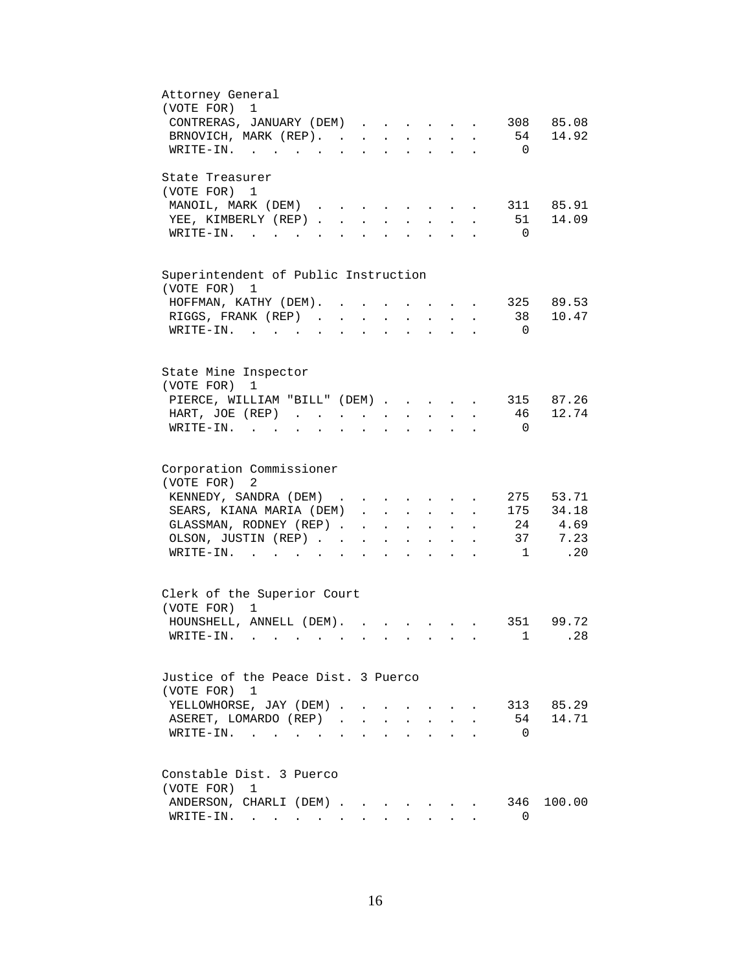| Attorney General                                                                                                                                                                                   |
|----------------------------------------------------------------------------------------------------------------------------------------------------------------------------------------------------|
| (VOTE FOR)<br>1                                                                                                                                                                                    |
| CONTRERAS, JANUARY (DEM)<br>308 85.08                                                                                                                                                              |
| 54 14.92<br>BRNOVICH, MARK (REP). .<br>$\mathbf{r} = \mathbf{r} + \mathbf{r} + \mathbf{r} + \mathbf{r} + \mathbf{r}$<br>$\mathbf{L}^{\text{max}}$                                                  |
| $\overline{0}$<br>$W\text{RITE-IN.}$<br>$\begin{array}{cccccccccccccc} \bullet & \bullet & \bullet & \bullet & \bullet & \bullet & \bullet & \bullet & \bullet & \bullet \end{array}$<br>$\sim$    |
| State Treasurer                                                                                                                                                                                    |
| (VOTE FOR) 1                                                                                                                                                                                       |
| MANOIL, MARK (DEM) 311 85.91                                                                                                                                                                       |
| 51 14.09<br>YEE, KIMBERLY (REP)                                                                                                                                                                    |
| $\overline{0}$<br>$\texttt{WRTTE-IN.}$<br>$\mathbf{r}$ . The set of the set of $\mathbf{r}$                                                                                                        |
|                                                                                                                                                                                                    |
| Superintendent of Public Instruction                                                                                                                                                               |
| (VOTE FOR) 1                                                                                                                                                                                       |
| HOFFMAN, KATHY (DEM).<br>325 89.53<br>$\mathbf{r}$<br>$\sim$ $\sim$<br>$\sim$<br>$\sim$                                                                                                            |
| 38 10.47<br>RIGGS, FRANK (REP)<br>$\mathbf{1}$ $\mathbf{1}$ $\mathbf{1}$ $\mathbf{1}$ $\mathbf{1}$ $\mathbf{1}$ $\mathbf{1}$<br>$\ddot{\phantom{a}}$<br>$\mathbf{L}$                               |
| WRITE-IN.<br>$\overline{0}$<br>$\mathbf{L}$<br>$\mathbf{L}$<br>$\mathbf{L}^{\text{max}}$<br>$\mathbf{L}^{\text{max}}$<br>$\mathbf{L}$                                                              |
|                                                                                                                                                                                                    |
| State Mine Inspector                                                                                                                                                                               |
| (VOTE FOR)<br>1                                                                                                                                                                                    |
| PIERCE, WILLIAM "BILL" (DEM)                                                                                                                                                                       |
| 315 87.26<br>12.74                                                                                                                                                                                 |
| 46<br>HART, JOE (REP).                                                                                                                                                                             |
| $W\text{RITE}-\text{IN}$ .<br>$\overline{0}$                                                                                                                                                       |
|                                                                                                                                                                                                    |
| Corporation Commissioner<br>(VOTE FOR)<br>2                                                                                                                                                        |
| KENNEDY, SANDRA (DEM)<br>275 53.71                                                                                                                                                                 |
| 175 34.18<br>SEARS, KIANA MARIA (DEM).<br>$\mathbf{r} = \mathbf{r} \mathbf{r}$ , where $\mathbf{r} = \mathbf{r} \mathbf{r}$<br>$\sim$<br>$\bullet$                                                 |
| 24 4.69<br>GLASSMAN, RODNEY (REP).<br>$\mathbf{r} = \mathbf{r} \cdot \mathbf{r}$ .<br>$\sim$ 100 $\pm$<br>$\mathbf{L}^{\text{max}}$<br>$\bullet$ .<br><br><br><br><br><br><br><br><br><br><br><br> |
| 37 7.23<br>OLSON, JUSTIN (REP).                                                                                                                                                                    |
| .20<br>$\texttt{WRTTE-IN.}$<br>$\overline{1}$<br>$\ddot{\phantom{0}}$<br>$\sim$                                                                                                                    |
|                                                                                                                                                                                                    |
| Clerk of the Superior Court                                                                                                                                                                        |
| (VOTE FOR)<br>1                                                                                                                                                                                    |
| 351 99.72<br>HOUNSHELL, ANNELL (DEM).                                                                                                                                                              |
| WRITE-IN.<br>1<br>.28                                                                                                                                                                              |
|                                                                                                                                                                                                    |
| Justice of the Peace Dist. 3 Puerco                                                                                                                                                                |
| (VOTE FOR) 1                                                                                                                                                                                       |
| YELLOWHORSE, JAY (DEM)<br>313 85.29                                                                                                                                                                |
| ASERET, LOMARDO (REP)<br>54 14.71                                                                                                                                                                  |
| $\overline{0}$<br>WRITE-IN.<br>$\mathbf{r}$ , and $\mathbf{r}$ , and $\mathbf{r}$<br>$\mathbf{r}$ , $\mathbf{r}$ , $\mathbf{r}$                                                                    |
|                                                                                                                                                                                                    |
| Constable Dist. 3 Puerco                                                                                                                                                                           |
| (VOTE FOR) 1                                                                                                                                                                                       |
| 346 100.00<br>ANDERSON, CHARLI (DEM)                                                                                                                                                               |
| $\texttt{WRTTE-IN.}$<br>$\Omega$<br>$\mathbf{r} = \mathbf{r}$<br>$\sim$                                                                                                                            |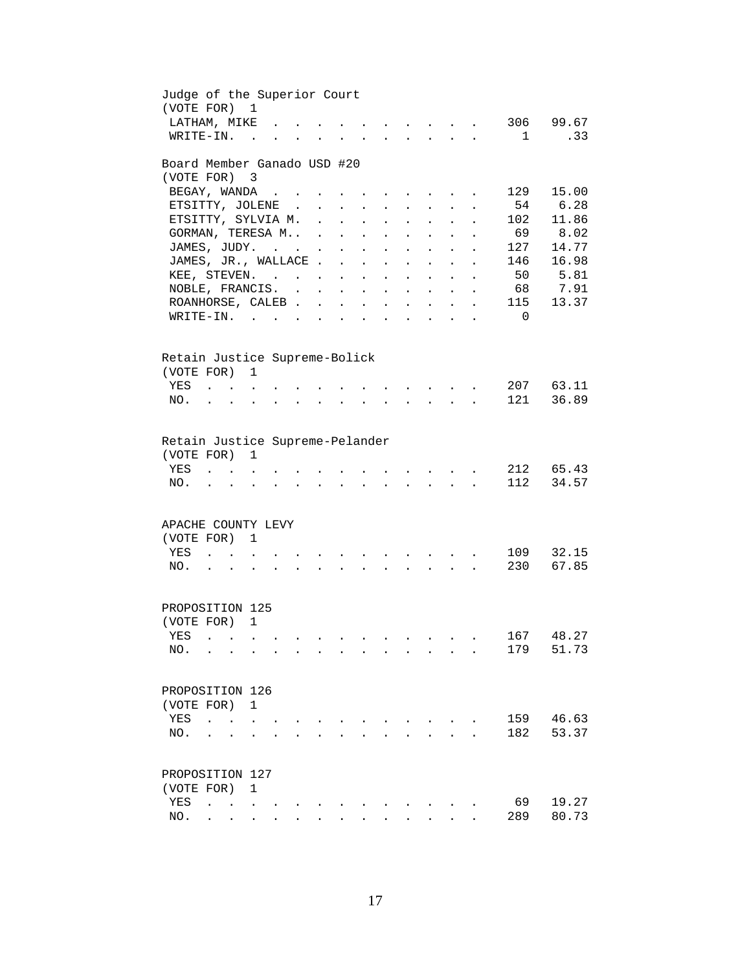| Judge of the Superior Court<br>(VOTE FOR) | $\overline{1}$                                                                    |                      |                                          |                            |                                          |                      |                                                                                   |                                                                 |                           |                      |                |           |
|-------------------------------------------|-----------------------------------------------------------------------------------|----------------------|------------------------------------------|----------------------------|------------------------------------------|----------------------|-----------------------------------------------------------------------------------|-----------------------------------------------------------------|---------------------------|----------------------|----------------|-----------|
| LATHAM, MIKE                              |                                                                                   |                      |                                          |                            |                                          |                      |                                                                                   |                                                                 |                           | $\sim$               |                | 306 99.67 |
| WRITE-IN.                                 | $\sim$ $\sim$                                                                     |                      |                                          |                            |                                          |                      |                                                                                   |                                                                 |                           | $\sim$               | $\overline{1}$ | .33       |
| Board Member Ganado USD #20<br>(VOTE FOR) | $\overline{\mathbf{3}}$                                                           |                      |                                          |                            |                                          |                      |                                                                                   |                                                                 |                           |                      |                |           |
| BEGAY, WANDA                              |                                                                                   |                      |                                          |                            |                                          |                      |                                                                                   |                                                                 |                           |                      | 129            | 15.00     |
| ETSITTY, JOLENE.                          |                                                                                   |                      | $\sim 10^{-11}$                          | $\mathcal{L}^{\text{max}}$ | $\ddot{\phantom{0}}$                     | $\ddot{\phantom{0}}$ | <b>Contract Contract Contract</b><br>$\mathbf{z} = \mathbf{z}$                    | $\sim$                                                          | $\ddot{\phantom{a}}$      |                      | 54             | 6.28      |
| ETSITTY, SYLVIA M. .                      |                                                                                   |                      |                                          | $\ddot{\phantom{a}}$       | $\ddot{\phantom{a}}$                     |                      | $\ddot{\phantom{a}}$                                                              |                                                                 |                           |                      | 102            | 11.86     |
| GORMAN, TERESA M .                        |                                                                                   |                      |                                          | $\sim$                     | $\ddot{\phantom{a}}$                     |                      | $\ddot{\phantom{a}}$                                                              |                                                                 |                           |                      | 69             | 8.02      |
| JAMES, JUDY.                              |                                                                                   |                      | $\sim 10$                                | $\bullet$                  | $\ddot{\phantom{a}}$                     | $\ddot{\phantom{a}}$ | $\ddot{\phantom{a}}$                                                              |                                                                 |                           |                      | 127            | 14.77     |
| JAMES, JR., WALLACE                       |                                                                                   |                      |                                          |                            | $\sim$                                   | $\ddot{\phantom{a}}$ |                                                                                   | $\ddot{\phantom{a}}$                                            | $\ddot{\phantom{0}}$      | $\ddot{\phantom{a}}$ | 146            | 16.98     |
| KEE, STEVEN.                              |                                                                                   |                      |                                          |                            |                                          |                      | $\ddot{\phantom{a}}$                                                              |                                                                 |                           |                      | 50             | 5.81      |
| NOBLE, FRANCIS.                           |                                                                                   |                      |                                          |                            |                                          | $\mathbf{L}$         | $\sim 10^{-10}$                                                                   | $\sim$ $-$                                                      | $\mathbf{L}$              | $\ddot{\phantom{a}}$ |                | 68 7.91   |
| ROANHORSE, CALEB                          |                                                                                   |                      |                                          |                            |                                          |                      | $\mathbf{r} = \mathbf{r} \mathbf{r}$ , where $\mathbf{r} = \mathbf{r} \mathbf{r}$ |                                                                 | $\mathbf{L}$              | $\ddot{\phantom{a}}$ | 115            | 13.37     |
|                                           |                                                                                   |                      |                                          |                            | $\mathbf{r} = \mathbf{r} + \mathbf{r}$ . |                      | and a strategic state                                                             |                                                                 | $\mathbf{L}^{\text{max}}$ | $\ddot{\phantom{a}}$ | $\overline{0}$ |           |
| WRITE-IN.                                 |                                                                                   |                      |                                          | $\ddot{\phantom{a}}$       |                                          |                      | the contract of the contract of                                                   |                                                                 |                           | $\ddot{\phantom{0}}$ |                |           |
| Retain Justice Supreme-Bolick             |                                                                                   |                      |                                          |                            |                                          |                      |                                                                                   |                                                                 |                           |                      |                |           |
| (VOTE FOR) 1                              |                                                                                   |                      |                                          |                            |                                          |                      |                                                                                   |                                                                 |                           |                      |                |           |
| YES                                       | $\mathbf{r}$ . The set of $\mathbf{r}$                                            |                      |                                          |                            |                                          |                      |                                                                                   |                                                                 |                           |                      | 207            | 63.11     |
| NO.                                       | $\ddot{\phantom{a}}$                                                              |                      |                                          |                            |                                          |                      |                                                                                   | $\mathbf{r}$                                                    |                           |                      | 121            | 36.89     |
|                                           |                                                                                   |                      |                                          |                            |                                          |                      |                                                                                   |                                                                 |                           |                      |                |           |
| Retain Justice Supreme-Pelander           |                                                                                   |                      |                                          |                            |                                          |                      |                                                                                   |                                                                 |                           |                      |                |           |
| (VOTE FOR)                                | 1                                                                                 |                      |                                          |                            |                                          |                      |                                                                                   |                                                                 |                           |                      |                |           |
| YES                                       |                                                                                   |                      |                                          |                            |                                          |                      |                                                                                   |                                                                 |                           |                      |                | 212 65.43 |
| NO.                                       |                                                                                   |                      |                                          |                            |                                          |                      |                                                                                   |                                                                 |                           |                      | 112            | 34.57     |
|                                           |                                                                                   |                      |                                          |                            |                                          |                      |                                                                                   |                                                                 |                           |                      |                |           |
| APACHE COUNTY LEVY                        |                                                                                   |                      |                                          |                            |                                          |                      |                                                                                   |                                                                 |                           |                      |                |           |
| (VOTE FOR)                                | 1                                                                                 |                      |                                          |                            |                                          |                      |                                                                                   |                                                                 |                           |                      |                |           |
| YES                                       | $\ddot{\phantom{a}}$ . $\ddot{\phantom{a}}$                                       |                      |                                          |                            |                                          |                      |                                                                                   | <b>Contract Contract Avenue</b>                                 |                           |                      | 109            | 32.15     |
| NO.                                       | $\mathbf{r}$ , $\mathbf{r}$ , $\mathbf{r}$ , $\mathbf{r}$<br>$\ddot{\phantom{a}}$ | $\ddot{\phantom{a}}$ | <b>Contract Contract Contract</b>        | $\ddot{\phantom{a}}$       | $\sim$                                   |                      | $\mathbf{r} = \mathbf{r} + \mathbf{r} + \mathbf{r} + \mathbf{r}$                  |                                                                 |                           |                      | 230            | 67.85     |
|                                           |                                                                                   |                      |                                          |                            |                                          |                      |                                                                                   |                                                                 |                           |                      |                |           |
| PROPOSITION 125                           |                                                                                   |                      |                                          |                            |                                          |                      |                                                                                   |                                                                 |                           |                      |                |           |
| (VOTE FOR) 1                              |                                                                                   |                      |                                          |                            |                                          |                      |                                                                                   |                                                                 |                           |                      |                |           |
| YES .                                     |                                                                                   |                      |                                          |                            |                                          |                      |                                                                                   |                                                                 |                           |                      |                | 167 48.27 |
| NO.                                       |                                                                                   |                      |                                          |                            | $\bullet$                                | $\sim$ $\sim$        | $\sim$                                                                            | $\ddot{\phantom{a}}$                                            | $\mathbf{L}$              |                      | 179            | 51.73     |
|                                           |                                                                                   |                      |                                          |                            |                                          |                      |                                                                                   |                                                                 |                           |                      |                |           |
| PROPOSITION 126                           |                                                                                   |                      |                                          |                            |                                          |                      |                                                                                   |                                                                 |                           |                      |                |           |
| (VOTE FOR)                                | 1                                                                                 |                      |                                          |                            |                                          |                      |                                                                                   |                                                                 |                           |                      |                |           |
| YES                                       |                                                                                   |                      |                                          |                            |                                          |                      |                                                                                   |                                                                 |                           |                      | 159            | 46.63     |
| NO.                                       |                                                                                   |                      |                                          |                            |                                          |                      |                                                                                   |                                                                 |                           |                      | 182            | 53.37     |
| PROPOSITION 127                           |                                                                                   |                      |                                          |                            |                                          |                      |                                                                                   |                                                                 |                           |                      |                |           |
| (VOTE FOR)                                | 1                                                                                 |                      |                                          |                            |                                          |                      |                                                                                   |                                                                 |                           |                      |                |           |
| YES<br>$\ddot{\phantom{a}}$               | $\sim 10^{-10}$ km s $^{-1}$                                                      |                      |                                          |                            |                                          |                      |                                                                                   |                                                                 |                           |                      | 69             | 19.27     |
| NO.                                       |                                                                                   |                      |                                          |                            |                                          |                      |                                                                                   |                                                                 |                           |                      | 289            | 80.73     |
|                                           | $\cdot$ $\cdot$ $\cdot$ $\cdot$                                                   |                      | $\bullet$ . In the case of the $\bullet$ | $\sim$                     |                                          |                      |                                                                                   | $\bullet$ .<br><br><br><br><br><br><br><br><br><br><br><br><br> |                           |                      |                |           |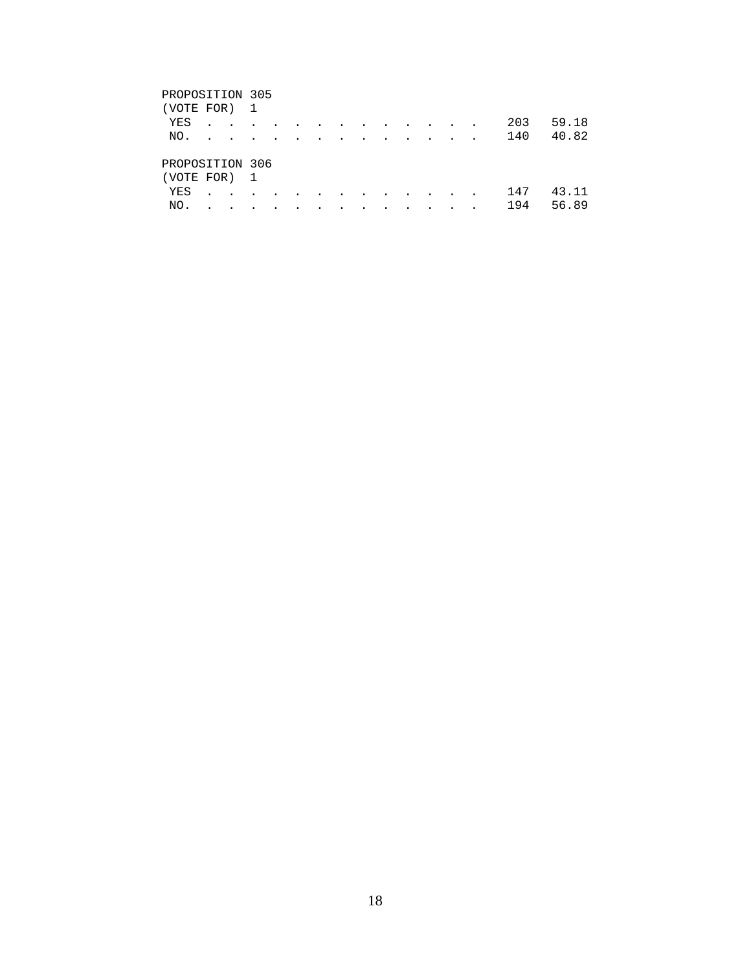### PROPOSITION 305 (VOTE FOR) 1 YES . . . . . . . . . . . . . 203 59.18 NO. . . . . . . . . . . . . . 140 40.82 PROPOSITION 306 (VOTE FOR) 1 YES . . . . . . . . . . . . . 147 43.11 NO. . . . . . . . . . . . . . 194 56.89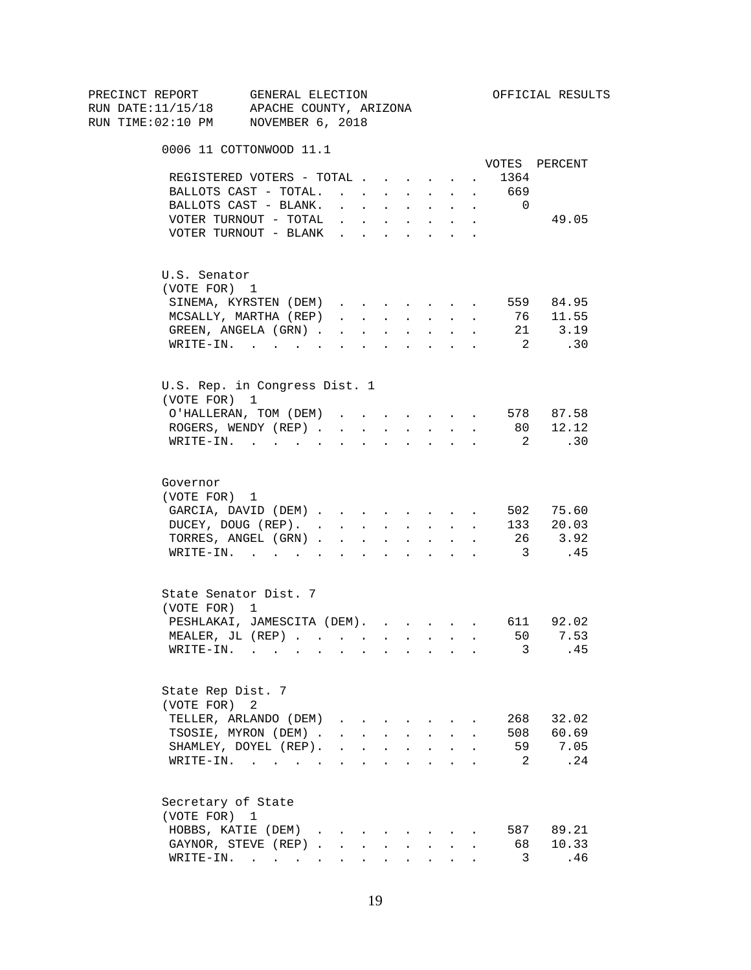| PRECINCT REPORT<br>RUN DATE:11/15/18 APACHE COUNTY, ARIZONA |                       | GENERAL ELECTION                      |                                                                                   |                      |                          |                      |                                                                               |                                                                                            |                      |                         | OFFICIAL RESULTS |
|-------------------------------------------------------------|-----------------------|---------------------------------------|-----------------------------------------------------------------------------------|----------------------|--------------------------|----------------------|-------------------------------------------------------------------------------|--------------------------------------------------------------------------------------------|----------------------|-------------------------|------------------|
|                                                             |                       |                                       |                                                                                   |                      |                          |                      |                                                                               |                                                                                            |                      |                         |                  |
| RUN TIME:02:10 PM NOVEMBER 6, 2018                          |                       |                                       |                                                                                   |                      |                          |                      |                                                                               |                                                                                            |                      |                         |                  |
|                                                             |                       | 0006 11 COTTONWOOD 11.1               |                                                                                   |                      |                          |                      |                                                                               |                                                                                            |                      |                         |                  |
|                                                             |                       |                                       |                                                                                   |                      |                          |                      |                                                                               |                                                                                            |                      |                         | VOTES PERCENT    |
|                                                             |                       | REGISTERED VOTERS - TOTAL             |                                                                                   |                      |                          |                      |                                                                               |                                                                                            | $\ddot{\phantom{0}}$ | 1364                    |                  |
|                                                             |                       | BALLOTS CAST - TOTAL.                 |                                                                                   |                      |                          |                      |                                                                               |                                                                                            |                      | 669                     |                  |
|                                                             |                       | BALLOTS CAST - BLANK.                 | $\mathbf{r} = \mathbf{r} \mathbf{r}$ , where $\mathbf{r} = \mathbf{r} \mathbf{r}$ |                      |                          |                      | $\mathbf{u} = \mathbf{u} \cdot \mathbf{u}$ .                                  | $\sim$                                                                                     | $\sim$               | $\overline{0}$          |                  |
|                                                             |                       | VOTER TURNOUT - TOTAL                 |                                                                                   |                      |                          |                      | $\mathbf{r} = \mathbf{r} + \mathbf{r} + \mathbf{r} + \mathbf{r} + \mathbf{r}$ | $\ddot{\phantom{0}}$                                                                       |                      |                         | 49.05            |
|                                                             |                       | VOTER TURNOUT - BLANK                 |                                                                                   |                      |                          |                      |                                                                               |                                                                                            |                      |                         |                  |
|                                                             | U.S. Senator          |                                       |                                                                                   |                      |                          |                      |                                                                               |                                                                                            |                      |                         |                  |
|                                                             | (VOTE FOR) 1          |                                       |                                                                                   |                      |                          |                      |                                                                               |                                                                                            |                      |                         |                  |
|                                                             |                       | SINEMA, KYRSTEN (DEM)                 |                                                                                   |                      |                          |                      |                                                                               |                                                                                            | $\ddot{\phantom{0}}$ |                         | 559 84.95        |
|                                                             |                       | MCSALLY, MARTHA (REP)                 |                                                                                   |                      |                          |                      |                                                                               | $\mathbf{r} = \mathbf{r} + \mathbf{r} + \mathbf{r} + \mathbf{r} + \mathbf{r} + \mathbf{r}$ |                      |                         | 76 11.55         |
|                                                             |                       | GREEN, ANGELA (GRN).                  | $\mathbf{r}$ , $\mathbf{r}$ , $\mathbf{r}$                                        |                      |                          |                      | <b>All Card Corporation</b>                                                   | $\sim$                                                                                     | $\mathbf{r}$         |                         | 21 3.19          |
|                                                             |                       | $\texttt{WRTTE-IN.}$                  | <b>All All Andrew</b>                                                             |                      |                          |                      | $\mathbf{L} = \mathbf{L}$                                                     | $\sim$ 100 $\pm$                                                                           | $\sim$               | $\overline{2}$          | .30              |
|                                                             |                       | U.S. Rep. in Congress Dist. 1         |                                                                                   |                      |                          |                      |                                                                               |                                                                                            |                      |                         |                  |
|                                                             | (VOTE FOR) 1          |                                       |                                                                                   |                      |                          |                      |                                                                               |                                                                                            |                      |                         |                  |
|                                                             |                       | O'HALLERAN, TOM (DEM)                 |                                                                                   |                      |                          |                      |                                                                               |                                                                                            |                      |                         | 578 87.58        |
|                                                             |                       | ROGERS, WENDY (REP)                   |                                                                                   |                      |                          |                      |                                                                               | $\mathbf{r}$ , $\mathbf{r}$ , $\mathbf{r}$ , $\mathbf{r}$                                  |                      |                         | 80 12.12         |
|                                                             |                       | WRITE-IN.                             |                                                                                   |                      | <b>Contract Contract</b> |                      |                                                                               | $\mathbf{r}$ , $\mathbf{r}$ , $\mathbf{r}$ , $\mathbf{r}$                                  |                      | $\overline{2}$          | .30              |
|                                                             |                       |                                       |                                                                                   |                      |                          |                      |                                                                               |                                                                                            |                      |                         |                  |
|                                                             | Governor              |                                       |                                                                                   |                      |                          |                      |                                                                               |                                                                                            |                      |                         |                  |
|                                                             | (VOTE FOR) 1          |                                       |                                                                                   |                      |                          |                      |                                                                               |                                                                                            |                      |                         |                  |
|                                                             |                       | GARCIA, DAVID (DEM)                   |                                                                                   |                      |                          |                      |                                                                               |                                                                                            |                      |                         | 502 75.60        |
|                                                             |                       | DUCEY, DOUG (REP).                    |                                                                                   |                      |                          |                      |                                                                               |                                                                                            |                      |                         | 133 20.03        |
|                                                             |                       | TORRES, ANGEL (GRN)                   |                                                                                   |                      |                          |                      |                                                                               |                                                                                            |                      |                         | 26 3.92          |
|                                                             |                       | WRITE-IN.                             |                                                                                   |                      |                          |                      |                                                                               |                                                                                            |                      | $\overline{\mathbf{3}}$ | .45              |
|                                                             | State Senator Dist. 7 |                                       |                                                                                   |                      |                          |                      |                                                                               |                                                                                            |                      |                         |                  |
|                                                             | (VOTE FOR) 1          |                                       |                                                                                   |                      |                          |                      |                                                                               |                                                                                            |                      |                         |                  |
|                                                             |                       | PESHLAKAI, JAMESCITA (DEM). 611 92.02 |                                                                                   |                      |                          |                      |                                                                               |                                                                                            |                      |                         |                  |
|                                                             |                       | MEALER, JL (REP)                      |                                                                                   |                      |                          |                      |                                                                               |                                                                                            |                      |                         | 50 7.53          |
|                                                             |                       | $\texttt{WRITE-IN.}$                  |                                                                                   |                      |                          |                      |                                                                               |                                                                                            |                      | 3                       | .45              |
|                                                             |                       |                                       |                                                                                   |                      |                          |                      |                                                                               |                                                                                            |                      |                         |                  |
|                                                             | State Rep Dist. 7     |                                       |                                                                                   |                      |                          |                      |                                                                               |                                                                                            |                      |                         |                  |
|                                                             | (VOTE FOR)            | 2                                     |                                                                                   |                      |                          |                      |                                                                               |                                                                                            |                      |                         |                  |
|                                                             |                       | TELLER, ARLANDO (DEM)                 | $\mathbf{r} = \mathbf{r} + \mathbf{r} + \mathbf{r}$                               |                      |                          |                      |                                                                               |                                                                                            |                      | 268                     | 32.02            |
|                                                             |                       | TSOSIE, MYRON (DEM).                  | $\mathbf{r} = \mathbf{r}$ and $\mathbf{r} = \mathbf{r}$                           |                      |                          |                      | $\mathbf{L} = \mathbf{L}$                                                     | $\sim$                                                                                     |                      | 508                     | 60.69            |
|                                                             |                       | SHAMLEY, DOYEL (REP).                 |                                                                                   |                      |                          |                      | $\mathbf{r}$ , $\mathbf{r}$ , $\mathbf{r}$ , $\mathbf{r}$                     | $\ddot{\phantom{a}}$                                                                       |                      | 59                      | 7.05             |
|                                                             |                       | WRITE-IN.                             |                                                                                   |                      |                          |                      |                                                                               |                                                                                            |                      | 2                       | .24              |
|                                                             | Secretary of State    |                                       |                                                                                   |                      |                          |                      |                                                                               |                                                                                            |                      |                         |                  |
|                                                             | (VOTE FOR) 1          |                                       |                                                                                   |                      |                          |                      |                                                                               |                                                                                            |                      |                         |                  |
|                                                             |                       | HOBBS, KATIE (DEM).                   | $\sim$                                                                            |                      |                          |                      |                                                                               |                                                                                            |                      | 587                     | 89.21            |
|                                                             |                       | GAYNOR, STEVE (REP).                  | $\sim$                                                                            |                      |                          |                      |                                                                               |                                                                                            |                      | 68                      | 10.33            |
|                                                             |                       | WRITE-IN.                             | $\sim 100$                                                                        | $\ddot{\phantom{0}}$ |                          | $\ddot{\phantom{a}}$ | $\bullet$ .                                                                   |                                                                                            |                      | 3                       | .46              |
|                                                             |                       |                                       |                                                                                   |                      |                          |                      |                                                                               |                                                                                            |                      |                         |                  |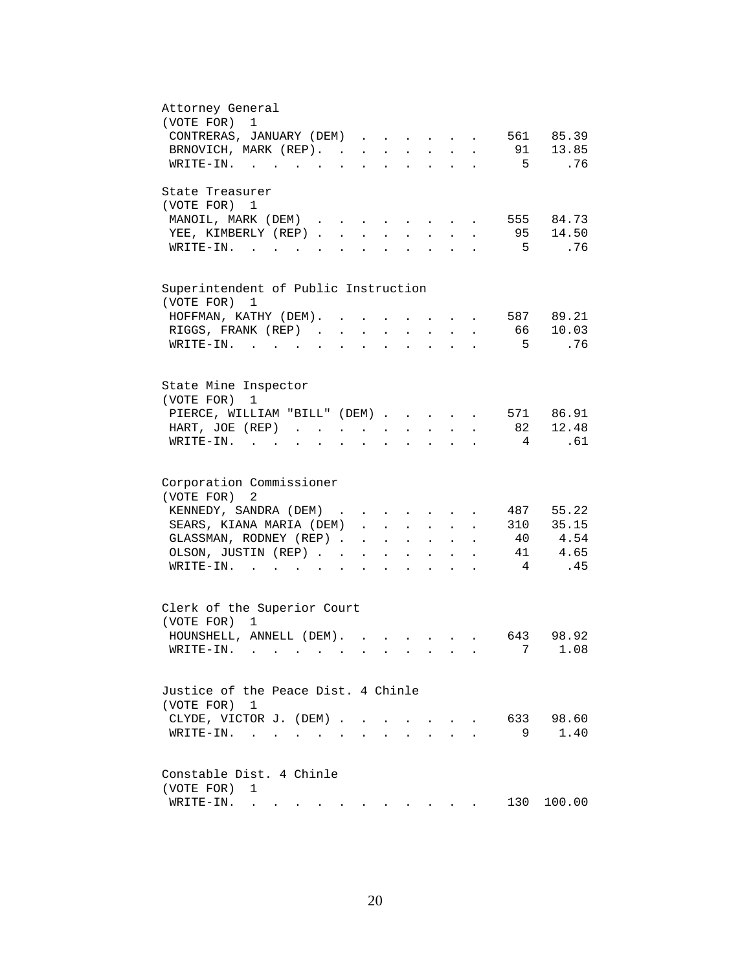| Attorney General<br>(VOTE FOR)<br>$\mathbf 1$                                                                                                                                                                                                               |
|-------------------------------------------------------------------------------------------------------------------------------------------------------------------------------------------------------------------------------------------------------------|
|                                                                                                                                                                                                                                                             |
| CONTRERAS, JANUARY (DEM)<br>561 85.39                                                                                                                                                                                                                       |
| 91 13.85<br>BRNOVICH, MARK (REP).<br>$\ddot{\phantom{a}}$                                                                                                                                                                                                   |
| $5^{\circ}$<br>.76<br>WRITE-IN.                                                                                                                                                                                                                             |
| State Treasurer                                                                                                                                                                                                                                             |
| (VOTE FOR) 1                                                                                                                                                                                                                                                |
| MANOIL, MARK (DEM)<br>555 84.73<br>$\sim$                                                                                                                                                                                                                   |
| 95 14.50<br>YEE, KIMBERLY (REP)<br>$\sim$<br>$\sim$<br>$\sim$                                                                                                                                                                                               |
| .76<br>$W\text{RITE-IN.}$<br>5<br>$\mathbf{L}$<br>$\overline{a}$<br>$\sim$                                                                                                                                                                                  |
|                                                                                                                                                                                                                                                             |
| Superintendent of Public Instruction<br>(VOTE FOR)<br>1                                                                                                                                                                                                     |
| 587 89.21<br>HOFFMAN, KATHY (DEM). .                                                                                                                                                                                                                        |
| 10.03<br>RIGGS, FRANK (REP).<br>66<br>$\ddot{\phantom{a}}$                                                                                                                                                                                                  |
| .76<br>$WRITE-TN.$<br>- 5<br>$\sim$ $\sim$                                                                                                                                                                                                                  |
|                                                                                                                                                                                                                                                             |
| State Mine Inspector                                                                                                                                                                                                                                        |
| (VOTE FOR)<br>1                                                                                                                                                                                                                                             |
| 571 86.91<br>PIERCE, WILLIAM "BILL" (DEM)                                                                                                                                                                                                                   |
| 82 12.48<br>HART, JOE (REP)<br>$\mathbf{z} = \mathbf{z} + \mathbf{z}$ .<br>$\mathbf{z} = \mathbf{z} + \mathbf{z}$ .<br>$\bullet$<br>$\ddot{\phantom{a}}$                                                                                                    |
| $\overline{4}$<br>.61<br>$WRITE-IN.$<br>$\sim$ $\sim$ $\sim$ $\sim$<br>$\sim$<br>$\ddot{\phantom{0}}$<br>$\bullet$<br>$\ddot{\phantom{0}}$<br>$\ddot{\phantom{a}}$<br>$\bullet$ .<br><br><br><br><br><br><br><br><br><br><br><br>                           |
|                                                                                                                                                                                                                                                             |
| Corporation Commissioner                                                                                                                                                                                                                                    |
| (VOTE FOR)<br>2                                                                                                                                                                                                                                             |
| KENNEDY, SANDRA (DEM)<br>487 55.22                                                                                                                                                                                                                          |
| SEARS, KIANA MARIA (DEM)<br>310 35.15<br>$\ddot{\phantom{0}}$                                                                                                                                                                                               |
| 40 4.54<br>GLASSMAN, RODNEY (REP).<br>$\mathbf{r} = \mathbf{r} \cdot \mathbf{r}$<br>$\sim 10^{-11}$<br>$\mathbf{z} = \mathbf{z} + \mathbf{z}$                                                                                                               |
| 4.65<br>41<br>OLSON, JUSTIN (REP)<br>$\mathbf{A}^{(1)}$ and $\mathbf{A}^{(2)}$ .<br>$\mathbf{L}^{\text{max}}$<br>$\ddot{\phantom{a}}$                                                                                                                       |
| $\overline{4}$<br>.45<br>$\texttt{WRITE-IN.}\quad .\quad .\quad .\quad .\quad .\quad .$<br>$\ddot{\phantom{a}}$<br>$\mathbf{z} = \mathbf{z} + \mathbf{z}$ .                                                                                                 |
|                                                                                                                                                                                                                                                             |
| Clerk of the Superior Court<br>(VOTE FOR) 1                                                                                                                                                                                                                 |
|                                                                                                                                                                                                                                                             |
| HOUNSHELL, ANNELL (DEM). .<br>643 98.92<br>$\mathbf{r}$ , $\mathbf{r}$ , $\mathbf{r}$                                                                                                                                                                       |
| 7 1.08<br>WRITE-IN.                                                                                                                                                                                                                                         |
| Justice of the Peace Dist. 4 Chinle                                                                                                                                                                                                                         |
| (VOTE FOR) 1                                                                                                                                                                                                                                                |
| 633<br>98.60<br>CLYDE, VICTOR J. (DEM).                                                                                                                                                                                                                     |
| $\sim$                                                                                                                                                                                                                                                      |
| 1.40<br>9<br>WRITE-IN.<br>$\bullet$ .<br><br><br><br><br><br><br><br><br><br><br><br>                                                                                                                                                                       |
| Constable Dist. 4 Chinle                                                                                                                                                                                                                                    |
| (VOTE FOR)<br>1                                                                                                                                                                                                                                             |
| 130<br>100.00<br>WRITE-IN.<br>. The state of the state of the state of the state of the state of the state of the state of the state of the state of the state of the state of the state of the state of the state of the state of the state of the state o |
|                                                                                                                                                                                                                                                             |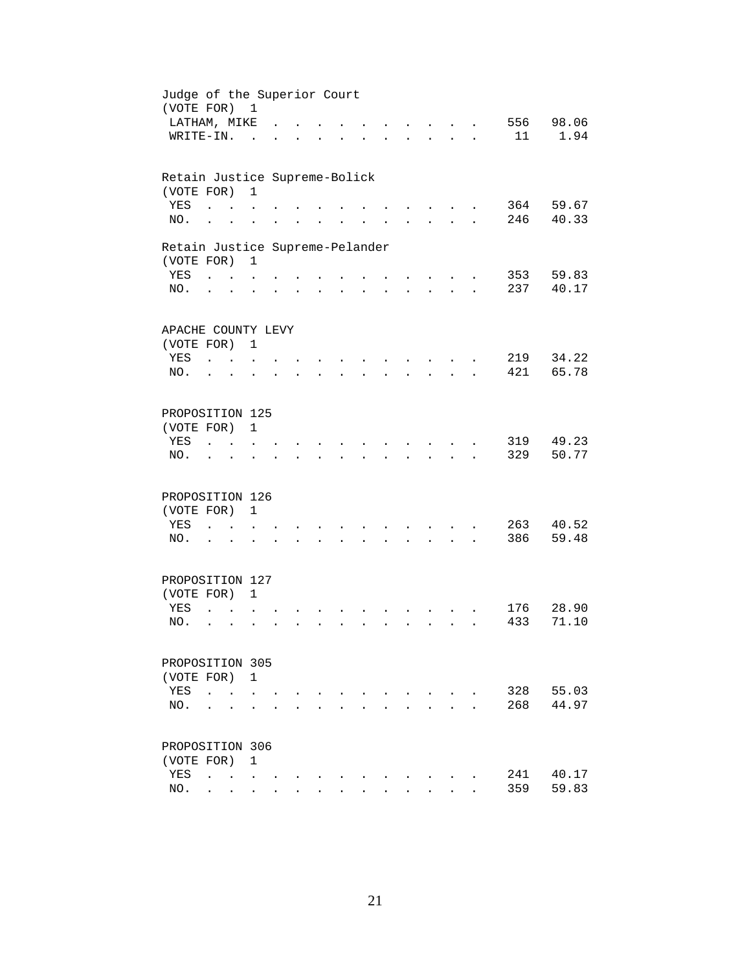| Judge of the Superior Court<br>(VOTE FOR) 1 |                              |                                   |                      |  |                      |  |                      |                                                     |                      |            |                |
|---------------------------------------------|------------------------------|-----------------------------------|----------------------|--|----------------------|--|----------------------|-----------------------------------------------------|----------------------|------------|----------------|
| LATHAM, MIKE                                |                              |                                   |                      |  |                      |  |                      | $\mathbf{r}$ and $\mathbf{r}$                       |                      | 556        | 98.06          |
| WRITE-IN.                                   |                              |                                   | $\sim$               |  |                      |  |                      | $\mathbf{r} = \mathbf{r}$                           | $\mathbf{r}$         | 11         | 1.94           |
|                                             |                              |                                   |                      |  |                      |  |                      |                                                     |                      |            |                |
| Retain Justice Supreme-Bolick               |                              |                                   |                      |  |                      |  |                      |                                                     |                      |            |                |
| (VOTE FOR)                                  |                              |                                   | $\mathbf{1}$         |  |                      |  |                      |                                                     |                      |            |                |
| YES                                         | $\ddot{\phantom{a}}$         |                                   |                      |  |                      |  |                      |                                                     |                      | 364<br>246 | 59.67<br>40.33 |
| NO.                                         | $\ddot{\phantom{a}}$         |                                   |                      |  |                      |  |                      |                                                     |                      |            |                |
| Retain Justice Supreme-Pelander             |                              |                                   |                      |  |                      |  |                      |                                                     |                      |            |                |
| (VOTE FOR)                                  |                              |                                   | $\mathbf{1}$         |  |                      |  |                      |                                                     |                      |            |                |
| YES                                         | <b>Carl Carl Corporation</b> |                                   |                      |  |                      |  |                      |                                                     |                      | 353        | 59.83          |
| NO.                                         | $\cdot$ $\cdot$              |                                   |                      |  | $\ddot{\phantom{a}}$ |  | $\ddot{\phantom{a}}$ | $\mathbf{z} = \mathbf{z} + \mathbf{z}$ .            | $\ddot{\phantom{a}}$ | 237        | 40.17          |
| APACHE COUNTY LEVY                          |                              |                                   |                      |  |                      |  |                      |                                                     |                      |            |                |
| (VOTE FOR) 1                                |                              |                                   |                      |  |                      |  |                      |                                                     |                      |            |                |
| YES                                         | <b>Carl Carl</b>             |                                   |                      |  |                      |  |                      |                                                     |                      | 219        | 34.22          |
| NO.                                         |                              | $\sim$                            |                      |  |                      |  |                      |                                                     |                      | 421        | 65.78          |
|                                             |                              |                                   |                      |  |                      |  |                      |                                                     |                      |            |                |
| PROPOSITION 125                             |                              |                                   |                      |  |                      |  |                      |                                                     |                      |            |                |
| (VOTE FOR)                                  |                              |                                   | $\mathbf{1}$         |  |                      |  |                      |                                                     |                      |            |                |
| YES                                         |                              |                                   |                      |  |                      |  |                      |                                                     |                      | 319        | 49.23          |
| NO.                                         |                              |                                   |                      |  |                      |  |                      |                                                     |                      | 329        | 50.77          |
| PROPOSITION 126                             |                              |                                   |                      |  |                      |  |                      |                                                     |                      |            |                |
| (VOTE FOR)                                  |                              |                                   | $\mathbf{1}$         |  |                      |  |                      |                                                     |                      |            |                |
| YES                                         | $\ddot{\phantom{a}}$         | $\sim$ $\sim$                     | $\ddot{\phantom{a}}$ |  |                      |  |                      |                                                     |                      | 263        | 40.52          |
| NO.                                         | $\cdot$ $\cdot$              |                                   |                      |  |                      |  | $\ddot{\phantom{0}}$ | $\mathbf{r} = \mathbf{r} + \mathbf{r} + \mathbf{r}$ |                      | 386        | 59.48          |
|                                             |                              |                                   |                      |  |                      |  |                      |                                                     |                      |            |                |
| PROPOSITION 127                             |                              |                                   |                      |  |                      |  |                      |                                                     |                      |            |                |
| (VOTE FOR) 1                                |                              |                                   |                      |  |                      |  |                      |                                                     |                      |            |                |
| YES                                         | $\ddot{\phantom{a}}$         |                                   |                      |  |                      |  |                      |                                                     |                      | 176        | 28.90          |
| NO.                                         | $\ddot{\phantom{a}}$         | $\ddot{\phantom{a}}$              |                      |  |                      |  |                      | $\sim$                                              |                      | 433        | 71.10          |
|                                             |                              |                                   |                      |  |                      |  |                      |                                                     |                      |            |                |
| PROPOSITION 305                             |                              |                                   |                      |  |                      |  |                      |                                                     |                      |            |                |
| (VOTE FOR) 1<br>YES                         |                              |                                   |                      |  |                      |  |                      |                                                     |                      | 328        | 55.03          |
|                                             | $\ddot{\phantom{a}}$         |                                   |                      |  |                      |  |                      |                                                     |                      |            |                |
| NO.                                         |                              |                                   |                      |  |                      |  |                      |                                                     |                      | 268        | 44.97          |
| PROPOSITION 306                             |                              |                                   |                      |  |                      |  |                      |                                                     |                      |            |                |
| (VOTE FOR)                                  |                              |                                   | 1                    |  |                      |  |                      |                                                     |                      |            |                |
| YES                                         | $\ddot{\phantom{a}}$         | <b>Contract Contract Contract</b> |                      |  |                      |  |                      |                                                     |                      | 241        | 40.17          |
| NO.                                         |                              | $\cdot$ $\cdot$ $\cdot$           | $\ddot{\phantom{0}}$ |  |                      |  |                      |                                                     |                      | 359        | 59.83          |
|                                             |                              |                                   |                      |  |                      |  |                      |                                                     |                      |            |                |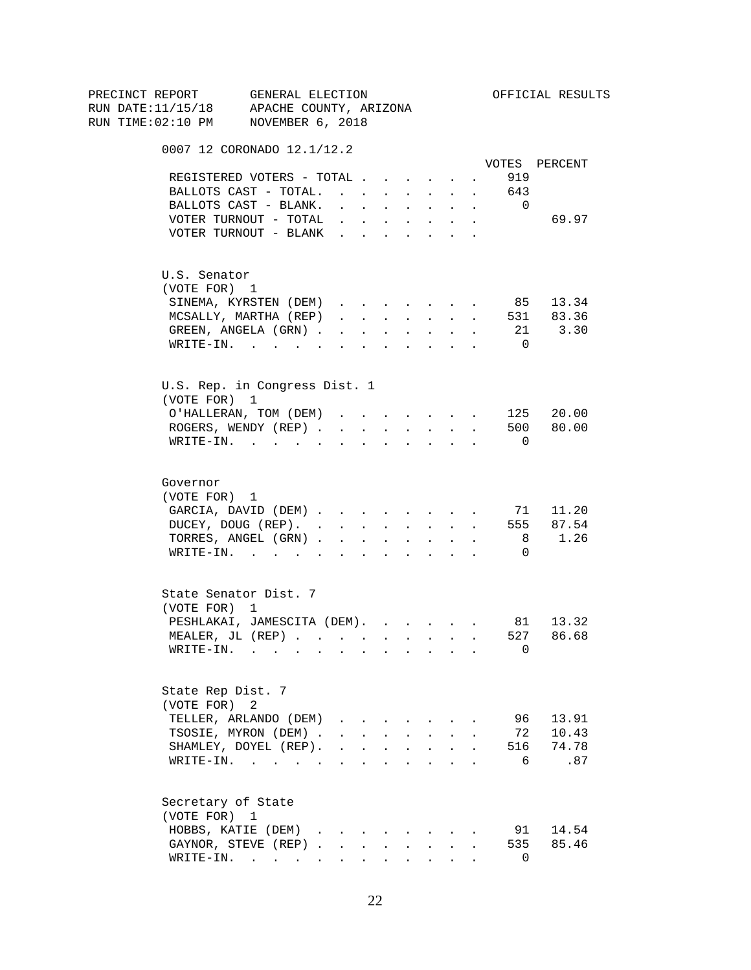| PRECINCT REPORT<br>RUN DATE:11/15/18 APACHE COUNTY, ARIZONA | GENERAL ELECTION                    |                                            |                      |                                             |                                                                                                           |                                                                          |                                                                                                                                                                                                                                                                                                                                                                                                                                                                           |                      |                | OFFICIAL RESULTS |
|-------------------------------------------------------------|-------------------------------------|--------------------------------------------|----------------------|---------------------------------------------|-----------------------------------------------------------------------------------------------------------|--------------------------------------------------------------------------|---------------------------------------------------------------------------------------------------------------------------------------------------------------------------------------------------------------------------------------------------------------------------------------------------------------------------------------------------------------------------------------------------------------------------------------------------------------------------|----------------------|----------------|------------------|
|                                                             |                                     |                                            |                      |                                             |                                                                                                           |                                                                          |                                                                                                                                                                                                                                                                                                                                                                                                                                                                           |                      |                |                  |
| RUN TIME:02:10 PM NOVEMBER 6, 2018                          |                                     |                                            |                      |                                             |                                                                                                           |                                                                          |                                                                                                                                                                                                                                                                                                                                                                                                                                                                           |                      |                |                  |
|                                                             | 0007 12 CORONADO 12.1/12.2          |                                            |                      |                                             |                                                                                                           |                                                                          |                                                                                                                                                                                                                                                                                                                                                                                                                                                                           |                      |                |                  |
|                                                             |                                     |                                            |                      |                                             |                                                                                                           |                                                                          |                                                                                                                                                                                                                                                                                                                                                                                                                                                                           |                      |                | VOTES PERCENT    |
|                                                             | REGISTERED VOTERS - TOTAL           |                                            |                      |                                             |                                                                                                           |                                                                          |                                                                                                                                                                                                                                                                                                                                                                                                                                                                           | $\ddot{\phantom{0}}$ | 919            |                  |
|                                                             | BALLOTS CAST - TOTAL.               |                                            |                      |                                             |                                                                                                           |                                                                          |                                                                                                                                                                                                                                                                                                                                                                                                                                                                           |                      | 643            |                  |
|                                                             | BALLOTS CAST - BLANK.               | $\mathbf{L}$                               |                      | <b>Carl Carl Control</b>                    |                                                                                                           | $\mathbf{r}$ and $\mathbf{r}$                                            | $\ddot{\phantom{0}}$                                                                                                                                                                                                                                                                                                                                                                                                                                                      | $\sim$               | $\overline{0}$ |                  |
|                                                             | VOTER TURNOUT - TOTAL               |                                            |                      |                                             |                                                                                                           | $\mathbf{r}$ , $\mathbf{r}$ , $\mathbf{r}$ , $\mathbf{r}$ , $\mathbf{r}$ | $\ddot{\phantom{0}}$                                                                                                                                                                                                                                                                                                                                                                                                                                                      |                      |                | 69.97            |
|                                                             | VOTER TURNOUT - BLANK               |                                            |                      |                                             |                                                                                                           |                                                                          |                                                                                                                                                                                                                                                                                                                                                                                                                                                                           |                      |                |                  |
| U.S. Senator                                                |                                     |                                            |                      |                                             |                                                                                                           |                                                                          |                                                                                                                                                                                                                                                                                                                                                                                                                                                                           |                      |                |                  |
| (VOTE FOR) 1                                                |                                     |                                            |                      |                                             |                                                                                                           |                                                                          |                                                                                                                                                                                                                                                                                                                                                                                                                                                                           |                      |                |                  |
|                                                             | SINEMA, KYRSTEN (DEM)               |                                            |                      |                                             |                                                                                                           |                                                                          |                                                                                                                                                                                                                                                                                                                                                                                                                                                                           | $\sim$               |                | 85 13.34         |
|                                                             | MCSALLY, MARTHA (REP)               |                                            |                      |                                             |                                                                                                           |                                                                          | $\mathbf{1} \qquad \qquad \mathbf{1} \qquad \qquad \mathbf{1} \qquad \qquad \mathbf{1} \qquad \qquad \mathbf{1} \qquad \qquad \mathbf{1} \qquad \qquad \mathbf{1} \qquad \qquad \mathbf{1} \qquad \qquad \mathbf{1} \qquad \qquad \mathbf{1} \qquad \qquad \mathbf{1} \qquad \qquad \mathbf{1} \qquad \qquad \mathbf{1} \qquad \qquad \mathbf{1} \qquad \qquad \mathbf{1} \qquad \qquad \mathbf{1} \qquad \qquad \mathbf{1} \qquad \mathbf{1} \qquad \qquad \mathbf{1} \$ |                      |                | 531 83.36        |
|                                                             | GREEN, ANGELA (GRN).                | $\mathbf{r}$ , $\mathbf{r}$ , $\mathbf{r}$ |                      |                                             |                                                                                                           | $\mathbf{z} = \mathbf{z} + \mathbf{z}$ . The $\mathbf{z}$                | $\mathcal{L}^{\text{max}}$                                                                                                                                                                                                                                                                                                                                                                                                                                                | $\ddot{\phantom{a}}$ |                | 21 3.30          |
|                                                             | $\texttt{WRTTE-IN.}$                | $\mathbf{L}$                               |                      | $\sim$ $\sim$ $\sim$                        |                                                                                                           | $\mathbf{r} = \mathbf{r}$                                                | $\sim$                                                                                                                                                                                                                                                                                                                                                                                                                                                                    |                      | $\overline{0}$ |                  |
|                                                             |                                     |                                            |                      |                                             |                                                                                                           |                                                                          |                                                                                                                                                                                                                                                                                                                                                                                                                                                                           |                      |                |                  |
|                                                             | U.S. Rep. in Congress Dist. 1       |                                            |                      |                                             |                                                                                                           |                                                                          |                                                                                                                                                                                                                                                                                                                                                                                                                                                                           |                      |                |                  |
| (VOTE FOR) 1                                                |                                     |                                            |                      |                                             |                                                                                                           |                                                                          |                                                                                                                                                                                                                                                                                                                                                                                                                                                                           |                      |                |                  |
|                                                             | O'HALLERAN, TOM (DEM)               |                                            |                      |                                             |                                                                                                           |                                                                          |                                                                                                                                                                                                                                                                                                                                                                                                                                                                           |                      |                | 125 20.00        |
|                                                             | ROGERS, WENDY (REP)                 |                                            |                      |                                             |                                                                                                           |                                                                          | $\mathbf{r}$ , $\mathbf{r}$ , $\mathbf{r}$                                                                                                                                                                                                                                                                                                                                                                                                                                |                      |                | 500 80.00        |
|                                                             | WRITE-IN.                           |                                            |                      |                                             |                                                                                                           |                                                                          |                                                                                                                                                                                                                                                                                                                                                                                                                                                                           |                      | 0              |                  |
| Governor                                                    |                                     |                                            |                      |                                             |                                                                                                           |                                                                          |                                                                                                                                                                                                                                                                                                                                                                                                                                                                           |                      |                |                  |
| (VOTE FOR) 1                                                |                                     |                                            |                      |                                             |                                                                                                           |                                                                          |                                                                                                                                                                                                                                                                                                                                                                                                                                                                           |                      |                |                  |
|                                                             | GARCIA, DAVID (DEM) 71 11.20        |                                            |                      |                                             |                                                                                                           |                                                                          |                                                                                                                                                                                                                                                                                                                                                                                                                                                                           |                      |                |                  |
|                                                             | DUCEY, DOUG (REP).                  |                                            |                      |                                             |                                                                                                           |                                                                          |                                                                                                                                                                                                                                                                                                                                                                                                                                                                           |                      |                | 555 87.54        |
|                                                             | TORRES, ANGEL (GRN)                 |                                            |                      |                                             |                                                                                                           |                                                                          |                                                                                                                                                                                                                                                                                                                                                                                                                                                                           |                      | 8              | 1.26             |
|                                                             | WRITE-IN.                           |                                            |                      |                                             |                                                                                                           |                                                                          |                                                                                                                                                                                                                                                                                                                                                                                                                                                                           |                      | $\Omega$       |                  |
|                                                             |                                     |                                            |                      |                                             |                                                                                                           |                                                                          |                                                                                                                                                                                                                                                                                                                                                                                                                                                                           |                      |                |                  |
|                                                             | State Senator Dist. 7               |                                            |                      |                                             |                                                                                                           |                                                                          |                                                                                                                                                                                                                                                                                                                                                                                                                                                                           |                      |                |                  |
| (VOTE FOR) 1                                                |                                     |                                            |                      |                                             |                                                                                                           |                                                                          |                                                                                                                                                                                                                                                                                                                                                                                                                                                                           |                      |                |                  |
|                                                             | PESHLAKAI, JAMESCITA (DEM).         |                                            |                      |                                             |                                                                                                           |                                                                          |                                                                                                                                                                                                                                                                                                                                                                                                                                                                           |                      |                | 81 13.32         |
|                                                             | MEALER, JL (REP), , , , , , , , , , |                                            |                      |                                             |                                                                                                           |                                                                          |                                                                                                                                                                                                                                                                                                                                                                                                                                                                           |                      |                | 527 86.68        |
|                                                             | WRITE-IN.                           |                                            |                      |                                             |                                                                                                           |                                                                          |                                                                                                                                                                                                                                                                                                                                                                                                                                                                           |                      | 0              |                  |
| State Rep Dist. 7                                           |                                     |                                            |                      |                                             |                                                                                                           |                                                                          |                                                                                                                                                                                                                                                                                                                                                                                                                                                                           |                      |                |                  |
| (VOTE FOR)                                                  | 2                                   |                                            |                      |                                             |                                                                                                           |                                                                          |                                                                                                                                                                                                                                                                                                                                                                                                                                                                           |                      |                |                  |
|                                                             | TELLER, ARLANDO (DEM)               |                                            |                      |                                             | $\mathbf{1}^{\prime}$ , and $\mathbf{1}^{\prime}$ , and $\mathbf{1}^{\prime}$ , and $\mathbf{1}^{\prime}$ |                                                                          |                                                                                                                                                                                                                                                                                                                                                                                                                                                                           |                      | 96             | 13.91            |
|                                                             | TSOSIE, MYRON (DEM).                |                                            |                      | $\mathbf{L} = \mathbf{L} \times \mathbf{L}$ |                                                                                                           | $\mathbf{L} = \mathbf{L}$                                                |                                                                                                                                                                                                                                                                                                                                                                                                                                                                           |                      | 72             | 10.43            |
|                                                             | SHAMLEY, DOYEL (REP).               |                                            |                      |                                             |                                                                                                           | $\mathbf{r}$ , $\mathbf{r}$ , $\mathbf{r}$ , $\mathbf{r}$                | $\ddot{\phantom{a}}$                                                                                                                                                                                                                                                                                                                                                                                                                                                      |                      | 516            | 74.78            |
|                                                             | WRITE-IN.                           |                                            |                      |                                             |                                                                                                           |                                                                          | $\cdot$ $\cdot$ $\cdot$ $\cdot$                                                                                                                                                                                                                                                                                                                                                                                                                                           |                      | 6              | .87              |
|                                                             |                                     |                                            |                      |                                             |                                                                                                           |                                                                          |                                                                                                                                                                                                                                                                                                                                                                                                                                                                           |                      |                |                  |
| Secretary of State<br>(VOTE FOR) 1                          |                                     |                                            |                      |                                             |                                                                                                           |                                                                          |                                                                                                                                                                                                                                                                                                                                                                                                                                                                           |                      |                |                  |
|                                                             | HOBBS, KATIE (DEM).                 | $\sim$                                     |                      |                                             |                                                                                                           |                                                                          |                                                                                                                                                                                                                                                                                                                                                                                                                                                                           |                      | 91             | 14.54            |
|                                                             | GAYNOR, STEVE (REP).                | $\sim$                                     |                      |                                             |                                                                                                           |                                                                          |                                                                                                                                                                                                                                                                                                                                                                                                                                                                           |                      | 535            | 85.46            |
|                                                             | $\texttt{WRTTE-IN.}$                | $\sim 100$                                 | $\ddot{\phantom{0}}$ |                                             | $\ddot{\phantom{a}}$                                                                                      | $\sim$ 100 $\pm$                                                         |                                                                                                                                                                                                                                                                                                                                                                                                                                                                           |                      | $\overline{0}$ |                  |
|                                                             |                                     |                                            |                      |                                             |                                                                                                           |                                                                          |                                                                                                                                                                                                                                                                                                                                                                                                                                                                           |                      |                |                  |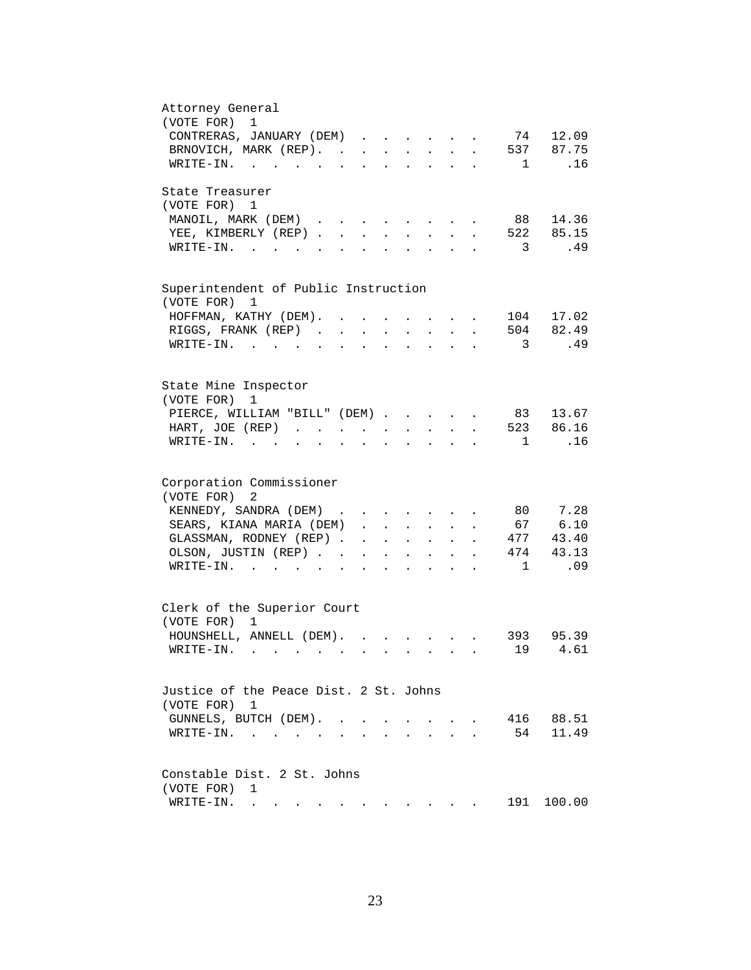| Attorney General<br>1                                                                                                                                                         |
|-------------------------------------------------------------------------------------------------------------------------------------------------------------------------------|
| (VOTE FOR)<br>74 12.09                                                                                                                                                        |
| CONTRERAS, JANUARY (DEM)                                                                                                                                                      |
| 537 87.75<br>BRNOVICH, MARK (REP).<br>$\ddot{\phantom{a}}$                                                                                                                    |
| .16<br>WRITE-IN.<br>$\mathbf{1}$                                                                                                                                              |
| State Treasurer                                                                                                                                                               |
| (VOTE FOR) 1                                                                                                                                                                  |
| 88 14.36<br>MANOIL, MARK (DEM)<br>$\sim$<br>$\mathbf{r} = \mathbf{r} + \mathbf{r}$                                                                                            |
| 522 85.15<br>YEE, KIMBERLY (REP)<br>$\sim$<br>$\sim$                                                                                                                          |
| $W\text{RITE-IN.}$<br>$\overline{\phantom{a}}$<br>.49<br>$\mathbf{L}$<br>$\mathbf{L}$                                                                                         |
|                                                                                                                                                                               |
| Superintendent of Public Instruction<br>(VOTE FOR) 1                                                                                                                          |
| 104 17.02<br>HOFFMAN, KATHY (DEM). .                                                                                                                                          |
| 504 82.49<br>RIGGS, FRANK (REP).<br>$\ddot{\phantom{a}}$                                                                                                                      |
|                                                                                                                                                                               |
| WRITE-IN.<br>$\overline{3}$<br>.49                                                                                                                                            |
| State Mine Inspector                                                                                                                                                          |
| (VOTE FOR)<br>1                                                                                                                                                               |
| 83 13.67                                                                                                                                                                      |
| PIERCE, WILLIAM "BILL" (DEM)                                                                                                                                                  |
| 523 86.16<br>HART, JOE (REP)<br>$\mathbf{r} = \mathbf{r} + \mathbf{r}$ .<br>$\sim 10^{-10}$<br>$\mathbf{z} = \mathbf{z} + \mathbf{z}$ .<br>$\ddot{\phantom{a}}$               |
| .16<br>$WRITE-IN.$<br>$\overline{1}$<br>$\mathbf{r} = \mathbf{r} + \mathbf{r}$<br>$\sim$<br>$\ddot{\phantom{0}}$                                                              |
| Corporation Commissioner                                                                                                                                                      |
| (VOTE FOR)<br>2                                                                                                                                                               |
| 7.28<br>KENNEDY, SANDRA (DEM)<br>80                                                                                                                                           |
| 67 6.10                                                                                                                                                                       |
| SEARS, KIANA MARIA (DEM)<br>$\mathbf{r}$ and $\mathbf{r}$ and $\mathbf{r}$<br>$\cdot$ $\cdot$                                                                                 |
| 477<br>43.40<br>GLASSMAN, RODNEY (REP).<br>$\sim$ $-$<br>$\mathbf{z} = \mathbf{z} + \mathbf{z}$ , where $\mathbf{z} = \mathbf{z}$<br>$\sim 10^{-11}$<br>$\ddot{\phantom{a}}$  |
| 43.13<br>474<br>OLSON, JUSTIN (REP). .<br>$\mathbf{r} = \mathbf{r} + \mathbf{r}$ .<br>$\sim$ $-$<br>$\mathbf{L}^{\text{max}}$<br>$\ddot{\phantom{a}}$<br>$\ddot{\phantom{a}}$ |
| $\overline{1}$<br>.09<br>$\texttt{WRTTE-IN.}$<br>$\ddot{\phantom{a}}$<br>$\mathbf{L} = \mathbf{L}$<br>$\ddot{\phantom{a}}$                                                    |
|                                                                                                                                                                               |
| Clerk of the Superior Court                                                                                                                                                   |
| (VOTE FOR) 1                                                                                                                                                                  |
| HOUNSHELL, ANNELL (DEM).<br>393 95.39<br>$\mathbf{r}$ , $\mathbf{r}$ , $\mathbf{r}$                                                                                           |
| $\sim 19$<br>4.61<br>$\texttt{WRTTE-IN.}$                                                                                                                                     |
| Justice of the Peace Dist. 2 St. Johns                                                                                                                                        |
| (VOTE FOR) 1                                                                                                                                                                  |
| 88.51<br>GUNNELS, BUTCH (DEM).<br>416                                                                                                                                         |
| $\sim$                                                                                                                                                                        |
| 11.49<br>54<br>$\texttt{WRTTE-IN.}$<br>$\sim$                                                                                                                                 |
| Constable Dist. 2 St. Johns                                                                                                                                                   |
| (VOTE FOR)<br>1                                                                                                                                                               |
| 191<br>100.00<br>WRITE-IN.                                                                                                                                                    |
| . The contract of the contract of the contract of the contract of $\mathcal{A}$                                                                                               |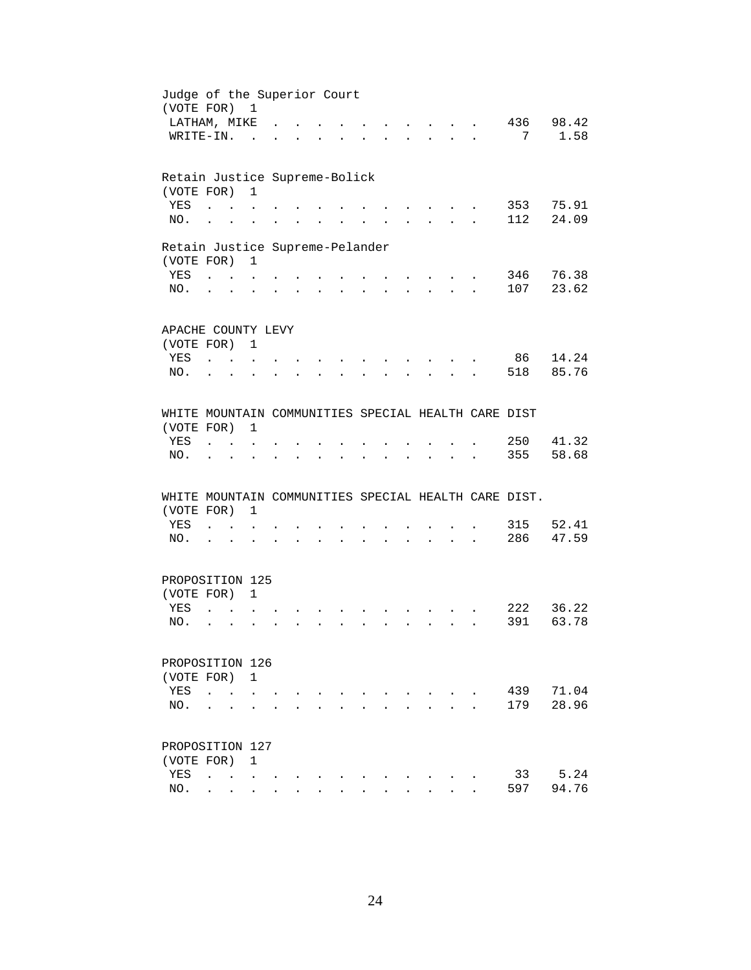| Judge of the Superior Court<br>(VOTE FOR) 1         |                                            |                           |                                   |                      |                      |                                          |                      |                      |                                            |                                                       |                      |                                                      |           |
|-----------------------------------------------------|--------------------------------------------|---------------------------|-----------------------------------|----------------------|----------------------|------------------------------------------|----------------------|----------------------|--------------------------------------------|-------------------------------------------------------|----------------------|------------------------------------------------------|-----------|
| LATHAM, MIKE                                        |                                            |                           |                                   |                      |                      |                                          |                      |                      |                                            |                                                       |                      |                                                      | 436 98.42 |
| WRITE-IN.                                           |                                            |                           | $\sim$                            |                      |                      |                                          |                      |                      |                                            |                                                       |                      | 7                                                    | 1.58      |
|                                                     |                                            |                           |                                   |                      |                      |                                          |                      |                      |                                            |                                                       |                      |                                                      |           |
| Retain Justice Supreme-Bolick                       |                                            |                           |                                   |                      |                      |                                          |                      |                      |                                            |                                                       |                      |                                                      |           |
| (VOTE FOR)                                          |                                            |                           | $\mathbf{1}$                      |                      |                      |                                          |                      |                      |                                            |                                                       |                      |                                                      |           |
| YES                                                 | $\sim$ $\sim$ $\sim$                       |                           |                                   |                      |                      |                                          |                      |                      |                                            |                                                       |                      | 353                                                  | 75.91     |
| NO.,                                                |                                            |                           |                                   |                      |                      |                                          |                      |                      |                                            |                                                       |                      | 112                                                  | 24.09     |
| Retain Justice Supreme-Pelander                     |                                            |                           |                                   |                      |                      |                                          |                      |                      |                                            |                                                       |                      |                                                      |           |
| (VOTE FOR)                                          |                                            |                           | $\overline{1}$                    |                      |                      |                                          |                      |                      |                                            |                                                       |                      |                                                      |           |
| YES                                                 | $\mathbf{r}$ , $\mathbf{r}$ , $\mathbf{r}$ |                           |                                   |                      |                      |                                          |                      |                      |                                            |                                                       |                      |                                                      | 346 76.38 |
| NO.                                                 | $\cdot$ $\cdot$                            |                           | $\ddot{\phantom{a}}$              |                      | $\ddot{\phantom{a}}$ | $\sim$                                   | $\ddot{\phantom{a}}$ | $\ddot{\phantom{0}}$ | $\ddot{\phantom{0}}$                       | $\mathbf{L}$ and $\mathbf{L}$ and $\mathbf{L}$        |                      | 107                                                  | 23.62     |
|                                                     |                                            |                           |                                   |                      |                      |                                          |                      |                      |                                            |                                                       |                      |                                                      |           |
| APACHE COUNTY LEVY                                  |                                            |                           |                                   |                      |                      |                                          |                      |                      |                                            |                                                       |                      |                                                      |           |
| (VOTE FOR) 1                                        |                                            |                           |                                   |                      |                      |                                          |                      |                      |                                            |                                                       |                      |                                                      |           |
| YES                                                 | $\mathbf{r}$ and $\mathbf{r}$              |                           |                                   |                      |                      |                                          |                      |                      |                                            |                                                       |                      | 86                                                   | 14.24     |
| NO.                                                 |                                            | $\sim$                    |                                   |                      |                      |                                          |                      |                      |                                            | $\mathcal{L}^{\text{max}}$                            |                      | 518                                                  | 85.76     |
| WHITE MOUNTAIN COMMUNITIES SPECIAL HEALTH CARE DIST |                                            |                           |                                   |                      |                      |                                          |                      |                      |                                            |                                                       |                      |                                                      |           |
| (VOTE FOR)                                          |                                            |                           | 1                                 |                      |                      |                                          |                      |                      |                                            |                                                       |                      |                                                      |           |
| YES                                                 |                                            | <b>Contract Contract</b>  |                                   |                      |                      |                                          |                      |                      |                                            |                                                       |                      | 250                                                  | 41.32     |
| NO.                                                 |                                            |                           |                                   |                      |                      |                                          |                      |                      |                                            |                                                       |                      | 355                                                  | 58.68     |
|                                                     |                                            |                           |                                   |                      |                      | $\ddot{\phantom{0}}$                     | $\bullet$            |                      |                                            |                                                       |                      |                                                      |           |
|                                                     |                                            |                           |                                   |                      |                      |                                          |                      |                      |                                            |                                                       |                      | WHITE MOUNTAIN COMMUNITIES SPECIAL HEALTH CARE DIST. |           |
| (VOTE FOR)                                          |                                            |                           | $\mathbf{1}$                      |                      |                      |                                          |                      |                      |                                            |                                                       |                      |                                                      |           |
| YES                                                 |                                            | $\mathbf{r} = \mathbf{r}$ |                                   |                      |                      |                                          |                      |                      |                                            |                                                       |                      | 315                                                  | 52.41     |
| NO.                                                 | $\cdot$ $\cdot$                            |                           | $\ddot{\phantom{a}}$              | $\ddot{\phantom{0}}$ |                      | $\mathbf{z} = \mathbf{z} + \mathbf{z}$ . |                      |                      | $\mathbf{r}$ , $\mathbf{r}$ , $\mathbf{r}$ | $\mathbf{r} = \mathbf{r} + \mathbf{r} + \mathbf{r}$ . | $\ddot{\phantom{a}}$ | 286                                                  | 47.59     |
|                                                     |                                            |                           |                                   |                      |                      |                                          |                      |                      |                                            |                                                       |                      |                                                      |           |
| PROPOSITION 125                                     |                                            |                           |                                   |                      |                      |                                          |                      |                      |                                            |                                                       |                      |                                                      |           |
| (VOTE FOR) 1                                        |                                            |                           |                                   |                      |                      |                                          |                      |                      |                                            |                                                       |                      |                                                      |           |
| YES                                                 | $\sim$                                     |                           |                                   |                      |                      |                                          |                      |                      |                                            |                                                       |                      |                                                      | 222 36.22 |
| NO.                                                 | $\mathcal{L}^{\text{max}}$                 | $\ddot{\phantom{a}}$      |                                   |                      |                      | $\mathbf{r}$                             | $\sim$               | $\mathbf{L}$         | $\mathbf{L}$                               | $\mathbf{L} = \mathbf{L}$                             |                      | 391                                                  | 63.78     |
| PROPOSITION 126                                     |                                            |                           |                                   |                      |                      |                                          |                      |                      |                                            |                                                       |                      |                                                      |           |
| (VOTE FOR)                                          |                                            |                           | $\mathbf{1}$                      |                      |                      |                                          |                      |                      |                                            |                                                       |                      |                                                      |           |
| YES                                                 |                                            |                           |                                   |                      |                      |                                          |                      |                      |                                            |                                                       |                      | 439                                                  | 71.04     |
|                                                     | $\ddot{\phantom{a}}$                       | $\ddot{\phantom{a}}$      |                                   |                      |                      |                                          |                      |                      |                                            |                                                       |                      | 179                                                  | 28.96     |
| NO.                                                 |                                            |                           |                                   |                      |                      |                                          |                      |                      |                                            |                                                       |                      |                                                      |           |
| PROPOSITION 127                                     |                                            |                           |                                   |                      |                      |                                          |                      |                      |                                            |                                                       |                      |                                                      |           |
| (VOTE FOR)                                          |                                            |                           | $\mathbf{1}$                      |                      |                      |                                          |                      |                      |                                            |                                                       |                      |                                                      |           |
| YES                                                 | $\ddot{\phantom{a}}$                       |                           | <b>Contract Contract Contract</b> |                      |                      |                                          |                      |                      |                                            |                                                       |                      | 33                                                   | 5.24      |
| NO.                                                 | $\ddot{\phantom{0}}$                       | $\sim$                    | $\ddot{\phantom{0}}$              |                      |                      |                                          |                      |                      |                                            |                                                       |                      | 597                                                  | 94.76     |
|                                                     |                                            |                           |                                   |                      |                      |                                          |                      |                      |                                            |                                                       |                      |                                                      |           |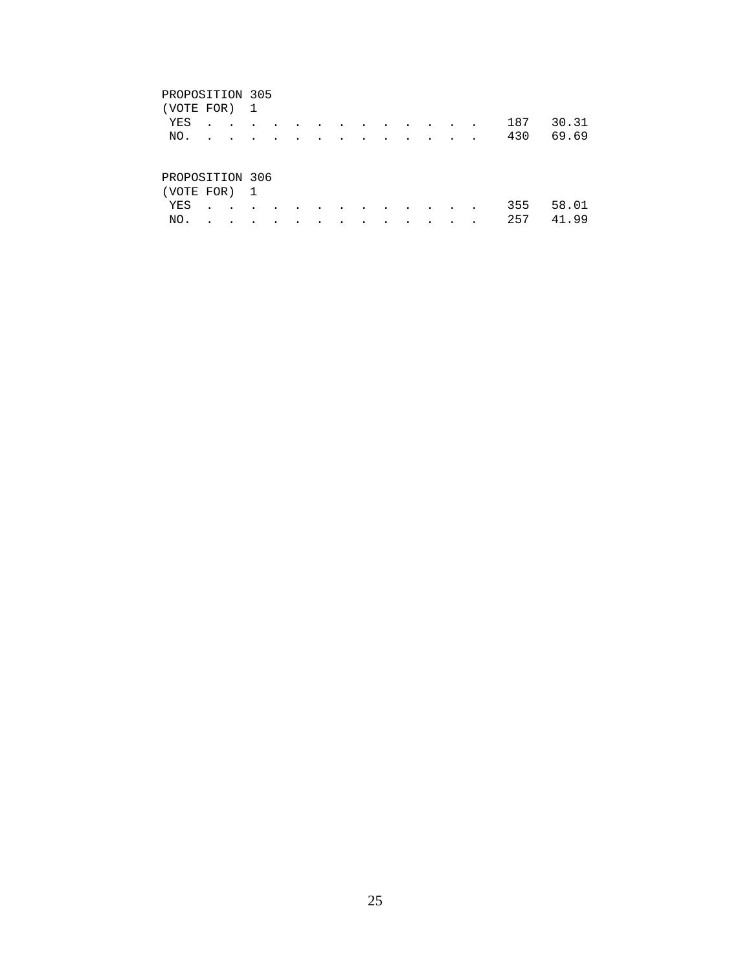#### PROPOSITION 305

| (VOTE FOR) 1                              |  |  |  |  |  |  |  |           |
|-------------------------------------------|--|--|--|--|--|--|--|-----------|
| YES                                       |  |  |  |  |  |  |  | 187 30.31 |
| NO.                                       |  |  |  |  |  |  |  | 430 69.69 |
| PROPOSITION 306<br>ר נתמיד היחמזז) $\sim$ |  |  |  |  |  |  |  |           |

| (VOTE FOR) 1 |  |  |  |  |  |  |               |  |
|--------------|--|--|--|--|--|--|---------------|--|
|              |  |  |  |  |  |  | YES 355 58.01 |  |
|              |  |  |  |  |  |  | NO. 257 41.99 |  |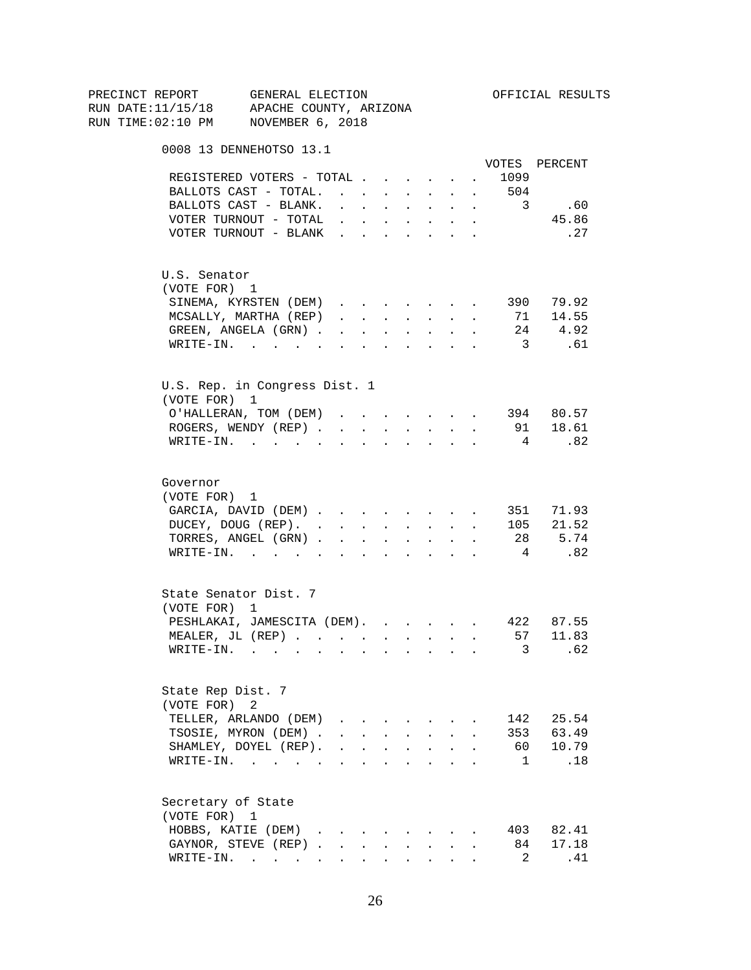| PRECINCT REPORT                          | GENERAL ELECTION                                                                                                                                                                                                              |                                                                                                         |                                                             |                                                           |              |              |                         | OFFICIAL RESULTS |
|------------------------------------------|-------------------------------------------------------------------------------------------------------------------------------------------------------------------------------------------------------------------------------|---------------------------------------------------------------------------------------------------------|-------------------------------------------------------------|-----------------------------------------------------------|--------------|--------------|-------------------------|------------------|
| RUN DATE:11/15/18 APACHE COUNTY, ARIZONA |                                                                                                                                                                                                                               |                                                                                                         |                                                             |                                                           |              |              |                         |                  |
| RUN TIME:02:10 PM NOVEMBER 6, 2018       |                                                                                                                                                                                                                               |                                                                                                         |                                                             |                                                           |              |              |                         |                  |
|                                          | 0008 13 DENNEHOTSO 13.1                                                                                                                                                                                                       |                                                                                                         |                                                             |                                                           |              |              |                         |                  |
|                                          |                                                                                                                                                                                                                               |                                                                                                         |                                                             |                                                           |              |              |                         | VOTES PERCENT    |
|                                          | REGISTERED VOTERS - TOTAL                                                                                                                                                                                                     |                                                                                                         |                                                             |                                                           |              | $\sim 100$   | 1099                    |                  |
|                                          | BALLOTS CAST - TOTAL. 504                                                                                                                                                                                                     |                                                                                                         |                                                             |                                                           |              |              |                         |                  |
|                                          | BALLOTS CAST - BLANK.                                                                                                                                                                                                         | $\mathbf{r} = \mathbf{r} + \mathbf{r} + \mathbf{r} + \mathbf{r} + \mathbf{r} + \mathbf{r} + \mathbf{r}$ |                                                             |                                                           |              |              | $\overline{\mathbf{3}}$ | .60              |
|                                          | VOTER TURNOUT - TOTAL                                                                                                                                                                                                         |                                                                                                         |                                                             |                                                           | $\sim$ $-$   | $\sim$       |                         | 45.86            |
|                                          | VOTER TURNOUT - BLANK                                                                                                                                                                                                         |                                                                                                         |                                                             |                                                           |              |              |                         | . 27             |
| U.S. Senator                             |                                                                                                                                                                                                                               |                                                                                                         |                                                             |                                                           |              |              |                         |                  |
| (VOTE FOR) 1                             |                                                                                                                                                                                                                               |                                                                                                         |                                                             |                                                           |              |              |                         |                  |
|                                          | SINEMA, KYRSTEN (DEM)                                                                                                                                                                                                         |                                                                                                         |                                                             |                                                           |              |              |                         | 390 79.92        |
|                                          | MCSALLY, MARTHA (REP)                                                                                                                                                                                                         |                                                                                                         |                                                             |                                                           |              |              | 71                      | 14.55            |
|                                          | GREEN, ANGELA (GRN)                                                                                                                                                                                                           |                                                                                                         |                                                             |                                                           |              |              | 24                      | 4.92             |
|                                          | $\texttt{WRTTE-IN.}$                                                                                                                                                                                                          | $\mathbf{r}$ , $\mathbf{r}$ , $\mathbf{r}$                                                              |                                                             | $\mathbf{r}$ , $\mathbf{r}$ , $\mathbf{r}$ , $\mathbf{r}$ |              | $\sim$       | $\overline{\mathbf{3}}$ | .61              |
|                                          | U.S. Rep. in Congress Dist. 1                                                                                                                                                                                                 |                                                                                                         |                                                             |                                                           |              |              |                         |                  |
| (VOTE FOR) 1                             |                                                                                                                                                                                                                               |                                                                                                         |                                                             |                                                           |              |              |                         |                  |
|                                          | O'HALLERAN, TOM (DEM) 394 80.57                                                                                                                                                                                               |                                                                                                         |                                                             |                                                           |              |              |                         |                  |
|                                          | ROGERS, WENDY (REP)                                                                                                                                                                                                           |                                                                                                         |                                                             |                                                           |              |              |                         | 91 18.61         |
|                                          | WRITE-IN.                                                                                                                                                                                                                     |                                                                                                         |                                                             |                                                           |              |              | $\overline{4}$          | .82              |
|                                          |                                                                                                                                                                                                                               |                                                                                                         |                                                             |                                                           |              |              |                         |                  |
| Governor                                 |                                                                                                                                                                                                                               |                                                                                                         |                                                             |                                                           |              |              |                         |                  |
| (VOTE FOR) 1                             |                                                                                                                                                                                                                               |                                                                                                         |                                                             |                                                           |              |              |                         |                  |
|                                          | GARCIA, DAVID (DEM)                                                                                                                                                                                                           |                                                                                                         |                                                             |                                                           |              |              |                         | 351 71.93        |
|                                          | DUCEY, DOUG (REP).                                                                                                                                                                                                            |                                                                                                         |                                                             |                                                           |              |              |                         | 105 21.52        |
|                                          | TORRES, ANGEL (GRN)                                                                                                                                                                                                           |                                                                                                         |                                                             |                                                           |              |              |                         | 28 5.74          |
|                                          | WRITE-IN.                                                                                                                                                                                                                     |                                                                                                         |                                                             |                                                           |              |              | $4\overline{4}$         | .82              |
|                                          | State Senator Dist. 7                                                                                                                                                                                                         |                                                                                                         |                                                             |                                                           |              |              |                         |                  |
| (VOTE FOR) 1                             |                                                                                                                                                                                                                               |                                                                                                         |                                                             |                                                           |              |              |                         |                  |
|                                          | PESHLAKAI, JAMESCITA (DEM).                                                                                                                                                                                                   |                                                                                                         |                                                             |                                                           |              |              |                         | 422 87.55        |
|                                          | MEALER, JL (REP), , , , , , , , , ,                                                                                                                                                                                           |                                                                                                         |                                                             |                                                           |              |              |                         | 57 11.83         |
| WRITE-IN.                                | the company of the company of the company of the company of the company of the company of the company of the company of the company of the company of the company of the company of the company of the company of the company |                                                                                                         |                                                             |                                                           |              |              | 3                       | .62              |
|                                          | State Rep Dist. 7                                                                                                                                                                                                             |                                                                                                         |                                                             |                                                           |              |              |                         |                  |
| (VOTE FOR) 2                             |                                                                                                                                                                                                                               |                                                                                                         |                                                             |                                                           |              |              |                         |                  |
|                                          | TELLER, ARLANDO (DEM)                                                                                                                                                                                                         | $\mathbf{r} = \mathbf{r} \cdot \mathbf{r}$ , $\mathbf{r} = \mathbf{r} \cdot \mathbf{r}$                 |                                                             |                                                           |              |              | 142                     | 25.54            |
|                                          | TSOSIE, MYRON (DEM).                                                                                                                                                                                                          | $\mathbf{r} = \mathbf{r} + \mathbf{r}$                                                                  |                                                             | $\mathbf{L} = \mathbf{L} \mathbf{L}$                      | $\mathbf{L}$ | $\mathbf{r}$ |                         | 353 63.49        |
|                                          | SHAMLEY, DOYEL (REP).                                                                                                                                                                                                         |                                                                                                         |                                                             |                                                           | $\cdot$      |              | 60 -                    | 10.79            |
|                                          | WRITE-IN.                                                                                                                                                                                                                     |                                                                                                         |                                                             |                                                           |              |              | $\mathbf{1}$            | .18              |
|                                          | Secretary of State                                                                                                                                                                                                            |                                                                                                         |                                                             |                                                           |              |              |                         |                  |
| (VOTE FOR) 1                             |                                                                                                                                                                                                                               |                                                                                                         |                                                             |                                                           |              |              |                         |                  |
|                                          | HOBBS, KATIE (DEM)                                                                                                                                                                                                            |                                                                                                         |                                                             |                                                           |              |              | 403                     | 82.41            |
|                                          | GAYNOR, STEVE (REP).                                                                                                                                                                                                          | $\sim$                                                                                                  |                                                             |                                                           |              |              | 84                      | 17.18            |
|                                          | WRITE-IN.                                                                                                                                                                                                                     |                                                                                                         | $\bullet$ .<br><br><br><br><br><br><br><br><br><br><br><br> | $\mathbf{z} = \mathbf{z} + \mathbf{z}$ . The $\mathbf{z}$ |              |              | 2                       | .41              |
|                                          |                                                                                                                                                                                                                               |                                                                                                         |                                                             |                                                           |              |              |                         |                  |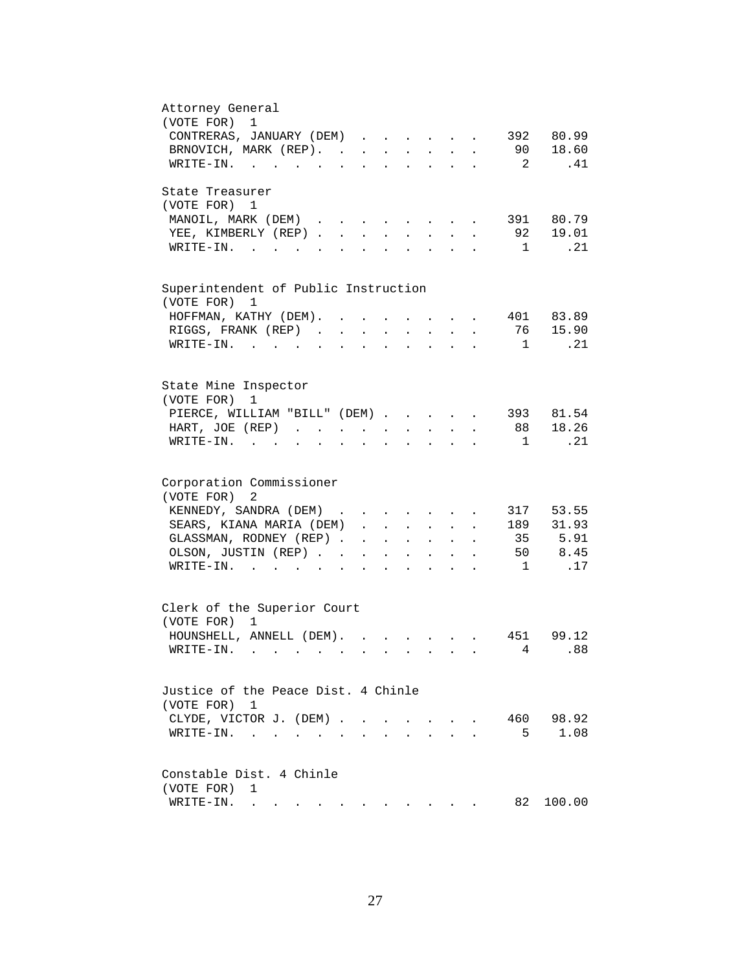| Attorney General                                                                                                                                                                                                                                                                                                                                                                                                                                          |
|-----------------------------------------------------------------------------------------------------------------------------------------------------------------------------------------------------------------------------------------------------------------------------------------------------------------------------------------------------------------------------------------------------------------------------------------------------------|
| (VOTE FOR) 1                                                                                                                                                                                                                                                                                                                                                                                                                                              |
| 392 80.99<br>CONTRERAS, JANUARY (DEM)                                                                                                                                                                                                                                                                                                                                                                                                                     |
| 90 18.60<br>BRNOVICH, MARK (REP).<br>$\ddot{\phantom{a}}$                                                                                                                                                                                                                                                                                                                                                                                                 |
| $\overline{\mathbf{c}}$<br>.41<br>WRITE-IN.                                                                                                                                                                                                                                                                                                                                                                                                               |
|                                                                                                                                                                                                                                                                                                                                                                                                                                                           |
| State Treasurer                                                                                                                                                                                                                                                                                                                                                                                                                                           |
| (VOTE FOR) 1                                                                                                                                                                                                                                                                                                                                                                                                                                              |
| 391 80.79<br>MANOIL, MARK (DEM)<br>$\ddot{\phantom{a}}$                                                                                                                                                                                                                                                                                                                                                                                                   |
| 92 19.01<br>YEE, KIMBERLY (REP)<br>$\mathbf{L}^{\text{max}}$<br>$\mathbf{L} = \mathbf{L} \mathbf{L} + \mathbf{L} \mathbf{L}$<br>$\ddot{\phantom{a}}$                                                                                                                                                                                                                                                                                                      |
| $\mathbf 1$<br>.21<br>$W\text{RITE}-\text{IN}.$<br>$\sim$ $\sim$<br>$\sim$ $\sim$ $\sim$<br>$\sim$                                                                                                                                                                                                                                                                                                                                                        |
|                                                                                                                                                                                                                                                                                                                                                                                                                                                           |
|                                                                                                                                                                                                                                                                                                                                                                                                                                                           |
| Superintendent of Public Instruction                                                                                                                                                                                                                                                                                                                                                                                                                      |
| (VOTE FOR) 1                                                                                                                                                                                                                                                                                                                                                                                                                                              |
| HOFFMAN, KATHY (DEM). .<br>401 83.89                                                                                                                                                                                                                                                                                                                                                                                                                      |
| 76<br>15.90<br>RIGGS, FRANK (REP).<br>$\sim$<br>$\ddot{\phantom{a}}$                                                                                                                                                                                                                                                                                                                                                                                      |
| $W\text{RITE-IN.}$<br>.21<br>1                                                                                                                                                                                                                                                                                                                                                                                                                            |
|                                                                                                                                                                                                                                                                                                                                                                                                                                                           |
|                                                                                                                                                                                                                                                                                                                                                                                                                                                           |
| State Mine Inspector                                                                                                                                                                                                                                                                                                                                                                                                                                      |
| (VOTE FOR)<br>1                                                                                                                                                                                                                                                                                                                                                                                                                                           |
| 393 81.54<br>PIERCE, WILLIAM "BILL" (DEM)                                                                                                                                                                                                                                                                                                                                                                                                                 |
|                                                                                                                                                                                                                                                                                                                                                                                                                                                           |
| 88 18.26<br>HART, JOE (REP)<br>$\mathbf{L} = \mathbf{L} \mathbf{L}$<br>$\mathbf{L} = \mathbf{L}$<br>$\bullet$ .<br><br><br><br><br><br><br><br><br><br><br><br><br>$\bullet$                                                                                                                                                                                                                                                                              |
| . 21<br>WRITE-IN.<br>$\overline{1}$                                                                                                                                                                                                                                                                                                                                                                                                                       |
|                                                                                                                                                                                                                                                                                                                                                                                                                                                           |
| Corporation Commissioner                                                                                                                                                                                                                                                                                                                                                                                                                                  |
| 2                                                                                                                                                                                                                                                                                                                                                                                                                                                         |
| (VOTE FOR)                                                                                                                                                                                                                                                                                                                                                                                                                                                |
| KENNEDY, SANDRA (DEM)<br>317 53.55                                                                                                                                                                                                                                                                                                                                                                                                                        |
| SEARS, KIANA MARIA (DEM).<br>189 31.93<br>$\mathbf{1}$ $\mathbf{1}$ $\mathbf{1}$ $\mathbf{1}$ $\mathbf{1}$ $\mathbf{1}$ $\mathbf{1}$<br>$\ddot{\phantom{0}}$<br>$\ddot{\phantom{0}}$                                                                                                                                                                                                                                                                      |
| 35 5.91<br>GLASSMAN, RODNEY (REP).<br>$\sim$<br>$\ddot{\phantom{0}}$<br>$\mathbf{A}$ and $\mathbf{A}$ and $\mathbf{A}$<br>$\mathbf{L}^{\text{max}}$<br>$\ddot{\phantom{0}}$                                                                                                                                                                                                                                                                               |
| 50 8.45<br>OLSON, JUSTIN (REP). .<br>$\mathbf{r} = \mathbf{r} + \mathbf{r}$ .<br>$\sim$ $-$<br>$\ddot{\phantom{0}}$<br>$\bullet$                                                                                                                                                                                                                                                                                                                          |
| .17<br>WRITE-IN.<br>$\overline{1}$                                                                                                                                                                                                                                                                                                                                                                                                                        |
|                                                                                                                                                                                                                                                                                                                                                                                                                                                           |
|                                                                                                                                                                                                                                                                                                                                                                                                                                                           |
| Clerk of the Superior Court                                                                                                                                                                                                                                                                                                                                                                                                                               |
| (VOTE FOR)<br>$\mathbf{1}$                                                                                                                                                                                                                                                                                                                                                                                                                                |
| HOUNSHELL, ANNELL (DEM).<br>451 99.12<br><b>Contract Contract Street</b>                                                                                                                                                                                                                                                                                                                                                                                  |
| 4<br>88<br>WRITE-IN.                                                                                                                                                                                                                                                                                                                                                                                                                                      |
|                                                                                                                                                                                                                                                                                                                                                                                                                                                           |
|                                                                                                                                                                                                                                                                                                                                                                                                                                                           |
| Justice of the Peace Dist. 4 Chinle                                                                                                                                                                                                                                                                                                                                                                                                                       |
| (VOTE FOR) 1                                                                                                                                                                                                                                                                                                                                                                                                                                              |
| 460<br>98.92<br>CLYDE, VICTOR J. (DEM)<br>$\sim$                                                                                                                                                                                                                                                                                                                                                                                                          |
| 5<br>1.08<br>$\texttt{WRTTE-IN.}$                                                                                                                                                                                                                                                                                                                                                                                                                         |
|                                                                                                                                                                                                                                                                                                                                                                                                                                                           |
|                                                                                                                                                                                                                                                                                                                                                                                                                                                           |
| Constable Dist. 4 Chinle                                                                                                                                                                                                                                                                                                                                                                                                                                  |
| (VOTE FOR)<br>1                                                                                                                                                                                                                                                                                                                                                                                                                                           |
| 82<br>WRITE-IN.<br>100.00<br>$\mathbf{a} = \mathbf{a} + \mathbf{a} + \mathbf{a} + \mathbf{a} + \mathbf{a} + \mathbf{a} + \mathbf{a} + \mathbf{a} + \mathbf{a} + \mathbf{a} + \mathbf{a} + \mathbf{a} + \mathbf{a} + \mathbf{a} + \mathbf{a} + \mathbf{a} + \mathbf{a} + \mathbf{a} + \mathbf{a} + \mathbf{a} + \mathbf{a} + \mathbf{a} + \mathbf{a} + \mathbf{a} + \mathbf{a} + \mathbf{a} + \mathbf{a} + \mathbf{a} + \mathbf{a} + \mathbf{a} + \mathbf$ |
|                                                                                                                                                                                                                                                                                                                                                                                                                                                           |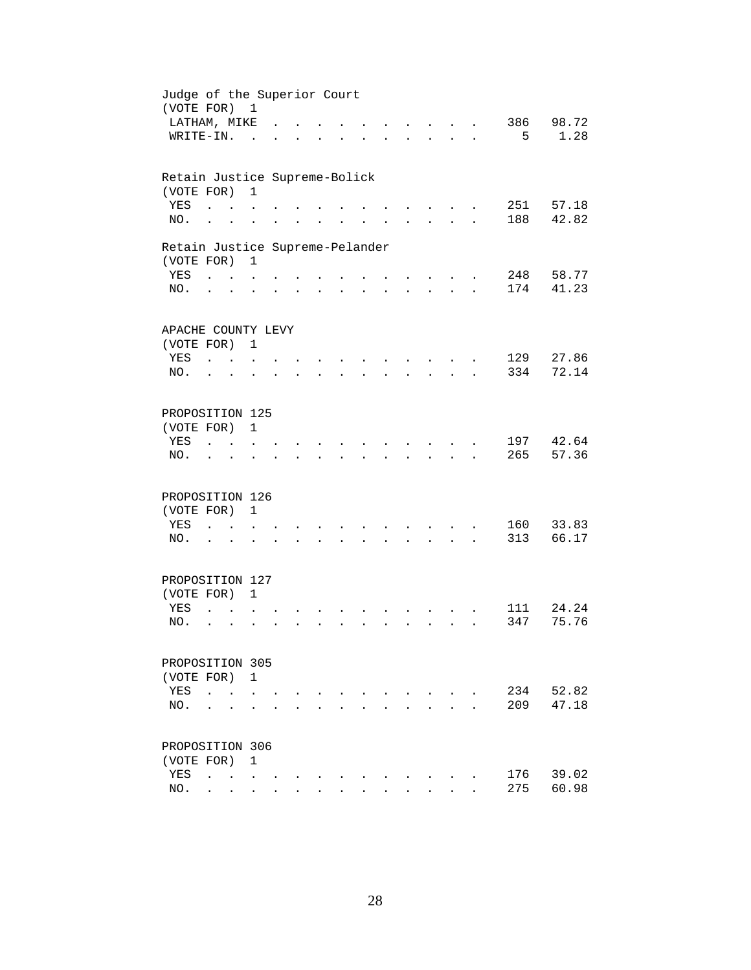| Judge of the Superior Court<br>(VOTE FOR) 1 |                                                |                                            |                      |                      |                      |                      |                      |                      |                      |                                                       |                      |            |                |
|---------------------------------------------|------------------------------------------------|--------------------------------------------|----------------------|----------------------|----------------------|----------------------|----------------------|----------------------|----------------------|-------------------------------------------------------|----------------------|------------|----------------|
| LATHAM, MIKE                                |                                                |                                            |                      |                      |                      |                      |                      |                      |                      | $\mathbf{r}$ and $\mathbf{r}$                         |                      | 386        | 98.72          |
| WRITE-IN.                                   |                                                |                                            | $\sim$               |                      |                      |                      |                      |                      |                      | <b>Contract Contract</b>                              | $\mathbf{L}$         | 5          | 1.28           |
| Retain Justice Supreme-Bolick               |                                                |                                            |                      |                      |                      |                      |                      |                      |                      |                                                       |                      |            |                |
| (VOTE FOR)                                  |                                                |                                            | $\mathbf{1}$         |                      |                      |                      |                      |                      |                      |                                                       |                      |            |                |
| YES                                         | $\ddot{\phantom{a}}$                           |                                            |                      |                      |                      |                      |                      |                      |                      |                                                       |                      | 251        | 57.18          |
| NO.                                         | $\ddot{\phantom{a}}$                           |                                            |                      |                      |                      |                      |                      |                      |                      |                                                       |                      | 188        | 42.82          |
| Retain Justice Supreme-Pelander             |                                                |                                            |                      |                      |                      |                      |                      |                      |                      |                                                       |                      |            |                |
| (VOTE FOR)                                  |                                                |                                            | $\mathbf{1}$         |                      |                      |                      |                      |                      |                      |                                                       |                      |            |                |
| YES                                         | $\mathbf{u}$ and $\mathbf{u}$ and $\mathbf{u}$ |                                            |                      |                      |                      |                      |                      |                      |                      | $\sim$ $\sim$                                         |                      | 248        | 58.77          |
| NO.                                         | $\cdot$ $\cdot$                                |                                            | $\ddot{\phantom{a}}$ |                      |                      | $\ddot{\phantom{0}}$ | $\ddot{\phantom{0}}$ | $\ddot{\phantom{0}}$ | $\ddot{\phantom{0}}$ | $\mathbf{z} = \mathbf{z} + \mathbf{z}$ .              | $\ddot{\phantom{a}}$ | 174        | 41.23          |
| APACHE COUNTY LEVY                          |                                                |                                            |                      |                      |                      |                      |                      |                      |                      |                                                       |                      |            |                |
| (VOTE FOR) 1                                |                                                |                                            |                      |                      |                      |                      |                      |                      |                      |                                                       |                      |            |                |
| YES                                         | $\mathbf{r}$ , $\mathbf{r}$                    |                                            |                      |                      |                      |                      |                      |                      |                      |                                                       |                      | 129        | 27.86          |
| NO.                                         | $\ddot{\phantom{a}}$                           | $\sim$                                     |                      |                      |                      |                      |                      |                      |                      |                                                       |                      | 334        | 72.14          |
|                                             |                                                |                                            |                      |                      |                      |                      |                      |                      |                      |                                                       |                      |            |                |
| PROPOSITION 125                             |                                                |                                            |                      |                      |                      |                      |                      |                      |                      |                                                       |                      |            |                |
| (VOTE FOR)                                  |                                                |                                            | $\mathbf{1}$         |                      |                      |                      |                      |                      |                      |                                                       |                      |            |                |
| YES                                         |                                                |                                            |                      |                      |                      |                      |                      |                      |                      |                                                       |                      | 197        | 42.64          |
| NO.                                         |                                                |                                            |                      |                      |                      |                      |                      |                      |                      |                                                       |                      | 265        | 57.36          |
|                                             |                                                |                                            |                      |                      |                      |                      |                      |                      |                      |                                                       |                      |            |                |
| PROPOSITION 126                             |                                                |                                            |                      |                      |                      |                      |                      |                      |                      |                                                       |                      |            |                |
| (VOTE FOR)                                  |                                                |                                            | $\mathbf{1}$         |                      |                      |                      |                      |                      |                      |                                                       |                      |            |                |
| YES<br>NO.                                  | $\ddot{\phantom{a}}$                           | <b>Contract Contract</b>                   | $\sim$               |                      |                      |                      |                      |                      |                      | $\sim$                                                |                      | 160<br>313 | 33.83<br>66.17 |
|                                             | $\sim$ $\sim$ $\sim$                           |                                            | $\ddot{\phantom{a}}$ | $\ddot{\phantom{a}}$ | $\ddot{\phantom{0}}$ | $\ddot{\phantom{0}}$ | $\ddot{\phantom{a}}$ | $\ddot{\phantom{0}}$ | $\ddot{\phantom{0}}$ | $\mathbf{r} = \mathbf{r} + \mathbf{r} + \mathbf{r}$ . |                      |            |                |
| PROPOSITION 127                             |                                                |                                            |                      |                      |                      |                      |                      |                      |                      |                                                       |                      |            |                |
| (VOTE FOR) 1                                |                                                |                                            |                      |                      |                      |                      |                      |                      |                      |                                                       |                      |            |                |
| YES                                         | $\ddot{\phantom{a}}$                           |                                            |                      |                      |                      |                      |                      |                      |                      |                                                       |                      | 111        | 24.24          |
| NO.                                         | $\ddot{\phantom{a}}$                           | $\ddot{\phantom{a}}$                       |                      |                      |                      |                      |                      |                      |                      | $\sim$                                                |                      | 347        | 75.76          |
|                                             |                                                |                                            |                      |                      |                      |                      |                      |                      |                      |                                                       |                      |            |                |
| PROPOSITION 305                             |                                                |                                            |                      |                      |                      |                      |                      |                      |                      |                                                       |                      |            |                |
| (VOTE FOR) 1                                |                                                |                                            |                      |                      |                      |                      |                      |                      |                      |                                                       |                      |            |                |
| YES                                         | $\ddot{\phantom{a}}$                           |                                            |                      |                      |                      |                      |                      |                      |                      |                                                       |                      | 234        | 52.82          |
| NO.                                         |                                                |                                            |                      |                      |                      |                      |                      |                      |                      |                                                       |                      | 209        | 47.18          |
| PROPOSITION 306                             |                                                |                                            |                      |                      |                      |                      |                      |                      |                      |                                                       |                      |            |                |
| (VOTE FOR)                                  |                                                |                                            | 1                    |                      |                      |                      |                      |                      |                      |                                                       |                      |            |                |
| YES                                         | $\ddot{\phantom{a}}$                           | $\mathbf{r}$ , $\mathbf{r}$ , $\mathbf{r}$ |                      |                      |                      |                      |                      |                      |                      |                                                       |                      | 176        | 39.02          |
| NO.                                         |                                                | $\mathbf{r} = \mathbf{r}$                  | $\ddot{\phantom{0}}$ |                      |                      |                      |                      |                      |                      |                                                       |                      | 275        | 60.98          |
|                                             |                                                |                                            |                      |                      |                      |                      |                      |                      |                      |                                                       |                      |            |                |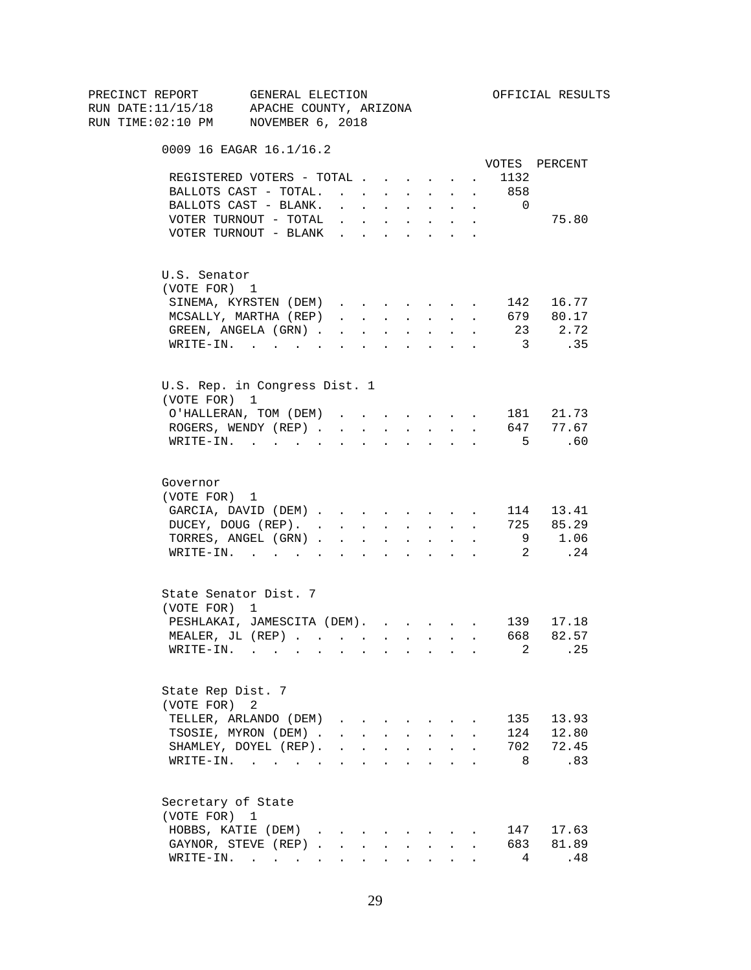| PRECINCT REPORT | GENERAL ELECTION<br>RUN DATE:11/15/18 APACHE COUNTY, ARIZONA                                                             |              |                                 |                           |        |                                                           |                       |                                    | OFFICIAL RESULTS |
|-----------------|--------------------------------------------------------------------------------------------------------------------------|--------------|---------------------------------|---------------------------|--------|-----------------------------------------------------------|-----------------------|------------------------------------|------------------|
|                 | RUN TIME:02:10 PM NOVEMBER 6, 2018                                                                                       |              |                                 |                           |        |                                                           |                       |                                    |                  |
|                 | 0009 16 EAGAR 16.1/16.2                                                                                                  |              |                                 |                           |        |                                                           |                       |                                    | VOTES PERCENT    |
|                 | REGISTERED VOTERS - TOTAL                                                                                                |              |                                 |                           |        |                                                           |                       | 1132<br>$\mathcal{L}^{\text{max}}$ |                  |
|                 | BALLOTS CAST - TOTAL. 858                                                                                                |              |                                 |                           |        |                                                           |                       |                                    |                  |
|                 | BALLOTS CAST - BLANK.                                                                                                    |              |                                 |                           |        | and a series of the series of the series of               |                       | $\overline{0}$                     |                  |
|                 | VOTER TURNOUT - TOTAL $\ldots$                                                                                           |              |                                 |                           |        |                                                           | $\bullet$ . $\bullet$ |                                    | 75.80            |
|                 | VOTER TURNOUT - BLANK                                                                                                    |              |                                 |                           |        |                                                           |                       |                                    |                  |
|                 | U.S. Senator                                                                                                             |              |                                 |                           |        |                                                           |                       |                                    |                  |
|                 | (VOTE FOR) 1                                                                                                             |              |                                 |                           |        |                                                           |                       |                                    |                  |
|                 | SINEMA, KYRSTEN (DEM)                                                                                                    |              |                                 |                           |        |                                                           |                       |                                    | 142 16.77        |
|                 | MCSALLY, MARTHA (REP)                                                                                                    |              |                                 |                           |        |                                                           |                       |                                    | 679 80.17        |
|                 | GREEN, ANGELA (GRN)                                                                                                      |              |                                 |                           |        |                                                           |                       |                                    | 23 2.72          |
|                 | WRITE-IN.                                                                                                                |              |                                 |                           |        |                                                           |                       | $\overline{\mathbf{3}}$            | .35              |
|                 | U.S. Rep. in Congress Dist. 1<br>(VOTE FOR) 1                                                                            |              |                                 |                           |        |                                                           |                       |                                    |                  |
|                 | O'HALLERAN, TOM (DEM)                                                                                                    |              |                                 |                           |        |                                                           |                       |                                    | 181 21.73        |
|                 | ROGERS, WENDY (REP) 647 77.67                                                                                            |              |                                 |                           |        |                                                           |                       |                                    |                  |
|                 | WRITE-IN.                                                                                                                |              |                                 |                           |        |                                                           |                       | $-5$                               | .60              |
| Governor        |                                                                                                                          |              |                                 |                           |        |                                                           |                       |                                    |                  |
|                 | (VOTE FOR) 1                                                                                                             |              |                                 |                           |        |                                                           |                       |                                    |                  |
|                 | GARCIA, DAVID (DEM)                                                                                                      |              |                                 |                           |        |                                                           |                       |                                    | 114 13.41        |
|                 | DUCEY, DOUG (REP).                                                                                                       |              |                                 |                           |        |                                                           |                       |                                    | 725 85.29        |
|                 | TORRES, ANGEL (GRN)                                                                                                      |              |                                 |                           |        |                                                           |                       |                                    | 9 1.06           |
|                 | WRITE-IN. 2 . 24                                                                                                         |              |                                 |                           |        |                                                           |                       |                                    |                  |
|                 | State Senator Dist. 7<br>(VOTE FOR) 1                                                                                    |              |                                 |                           |        |                                                           |                       |                                    |                  |
|                 | PESHLAKAI, JAMESCITA (DEM). 139 17.18                                                                                    |              |                                 |                           |        |                                                           |                       |                                    |                  |
|                 | MEALER, JL (REP) 668 82.57                                                                                               |              |                                 |                           |        |                                                           |                       |                                    |                  |
|                 | WRITE-IN.<br>$\mathbf{r}$ , and $\mathbf{r}$ , and $\mathbf{r}$ , and $\mathbf{r}$ , and $\mathbf{r}$ , and $\mathbf{r}$ |              |                                 |                           |        |                                                           |                       | 2                                  | . 25             |
|                 |                                                                                                                          |              |                                 |                           |        |                                                           |                       |                                    |                  |
|                 | State Rep Dist. 7<br>(VOTE FOR) 2                                                                                        |              |                                 |                           |        |                                                           |                       |                                    |                  |
|                 | TELLER, ARLANDO (DEM)                                                                                                    |              | $\cdot$ $\cdot$ $\cdot$ $\cdot$ |                           |        |                                                           |                       | 135                                | 13.93            |
|                 | TSOSIE, MYRON (DEM).                                                                                                     | $\mathbf{r}$ |                                 | $\mathbf{L} = \mathbf{L}$ | $\sim$ | $\sim$ $-$                                                |                       | 124                                | 12.80            |
|                 | SHAMLEY, DOYEL (REP).                                                                                                    |              |                                 |                           |        | $\mathbf{r}$ , $\mathbf{r}$ , $\mathbf{r}$ , $\mathbf{r}$ |                       | 702                                | 72.45            |
|                 | WRITE-IN.                                                                                                                |              |                                 |                           |        |                                                           |                       | 8                                  | 83               |
|                 | Secretary of State                                                                                                       |              |                                 |                           |        |                                                           |                       |                                    |                  |
|                 | (VOTE FOR) 1                                                                                                             |              |                                 |                           |        |                                                           |                       |                                    |                  |
|                 | HOBBS, KATIE (DEM)                                                                                                       |              |                                 |                           |        |                                                           |                       |                                    | 147 17.63        |
|                 | GAYNOR, STEVE (REP).                                                                                                     | $\sim$       | $\sim$                          | $\ddot{\phantom{0}}$      |        | $\sim 10^{-11}$                                           |                       | 683                                | 81.89            |
|                 | WRITE-IN.                                                                                                                |              |                                 |                           |        | $\cdot$ $\cdot$ $\cdot$ $\cdot$                           |                       | 4                                  | .48              |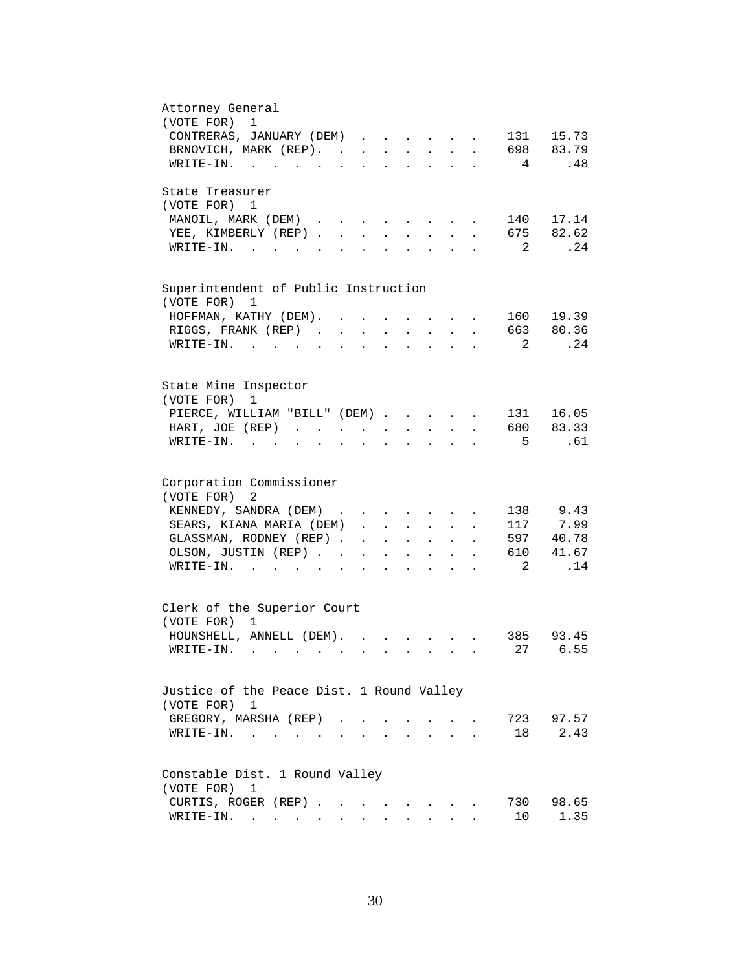| Attorney General<br>(VOTE FOR)<br>$\mathbf{1}$                                                                                                                                                                                                                                                                                                                                                         |
|--------------------------------------------------------------------------------------------------------------------------------------------------------------------------------------------------------------------------------------------------------------------------------------------------------------------------------------------------------------------------------------------------------|
| CONTRERAS, JANUARY (DEM)<br>131 15.73                                                                                                                                                                                                                                                                                                                                                                  |
| 698 83.79<br>BRNOVICH, MARK (REP).                                                                                                                                                                                                                                                                                                                                                                     |
| .48<br>WRITE-IN.<br>$4\phantom{.00000}\phantom{.0000}\phantom{.0000}\phantom{.0000}\phantom{.0000}\phantom{.0000}\phantom{.0000}\phantom{.0000}\phantom{.0000}\phantom{.0000}\phantom{.0000}\phantom{.0000}\phantom{.0000}\phantom{.0000}\phantom{.0000}\phantom{.0000}\phantom{.0000}\phantom{.0000}\phantom{.0000}\phantom{.0000}\phantom{.0000}\phantom{.0000}\phantom{.0000}\phantom{.0000}\phant$ |
|                                                                                                                                                                                                                                                                                                                                                                                                        |
| State Treasurer                                                                                                                                                                                                                                                                                                                                                                                        |
| (VOTE FOR) 1                                                                                                                                                                                                                                                                                                                                                                                           |
| 140 17.14<br>MANOIL, MARK (DEM)                                                                                                                                                                                                                                                                                                                                                                        |
| 675 82.62<br>YEE, KIMBERLY (REP).<br>$\sim 10^{-11}$<br>$\mathbf{r}$<br>$\mathbf{L}$                                                                                                                                                                                                                                                                                                                   |
| .24<br>$\overline{\phantom{a}}^2$<br>$W\text{RITE-IN.}$<br>$\mathbb{R}^{n \times n}$                                                                                                                                                                                                                                                                                                                   |
|                                                                                                                                                                                                                                                                                                                                                                                                        |
|                                                                                                                                                                                                                                                                                                                                                                                                        |
| Superintendent of Public Instruction                                                                                                                                                                                                                                                                                                                                                                   |
| (VOTE FOR)<br>1                                                                                                                                                                                                                                                                                                                                                                                        |
| 160 19.39<br>HOFFMAN, KATHY (DEM). .<br>$\ddot{\phantom{a}}$<br>$\sim$ $-$                                                                                                                                                                                                                                                                                                                             |
| 663 80.36<br>RIGGS, FRANK (REP)<br>$\mathbf{L}^{\text{max}}$ , and $\mathbf{L}^{\text{max}}$                                                                                                                                                                                                                                                                                                           |
| .24<br>$\overline{2}$<br>WRITE-IN.<br>$\sim$ $\sim$                                                                                                                                                                                                                                                                                                                                                    |
|                                                                                                                                                                                                                                                                                                                                                                                                        |
| State Mine Inspector                                                                                                                                                                                                                                                                                                                                                                                   |
| (VOTE FOR)<br>1                                                                                                                                                                                                                                                                                                                                                                                        |
| PIERCE, WILLIAM "BILL" (DEM)<br>131 16.05                                                                                                                                                                                                                                                                                                                                                              |
| 680 83.33<br>HART, JOE (REP)<br>$\ddot{\phantom{a}}$                                                                                                                                                                                                                                                                                                                                                   |
| 5<br>.61<br>$\texttt{WRTTE-IN.}$<br>$\mathbf{r}$ , $\mathbf{r}$ , $\mathbf{r}$<br><b>All Card Control</b><br>$\ddot{\phantom{0}}$<br>$\ddot{\phantom{a}}$<br>$\ddot{\phantom{a}}$<br>$\ddot{\phantom{a}}$                                                                                                                                                                                              |
|                                                                                                                                                                                                                                                                                                                                                                                                        |
|                                                                                                                                                                                                                                                                                                                                                                                                        |
| Corporation Commissioner                                                                                                                                                                                                                                                                                                                                                                               |
| (VOTE FOR)<br>2                                                                                                                                                                                                                                                                                                                                                                                        |
| 138 9.43<br>KENNEDY, SANDRA (DEM)                                                                                                                                                                                                                                                                                                                                                                      |
| 117 7.99<br>SEARS, KIANA MARIA (DEM)<br>$\mathbf{r}$                                                                                                                                                                                                                                                                                                                                                   |
| GLASSMAN, RODNEY (REP)<br>597 40.78<br>$\mathbf{r} = \mathbf{r} \cdot \mathbf{r}$<br>$\mathbf{L}$<br>$\ddot{\phantom{a}}$                                                                                                                                                                                                                                                                              |
| 41.67<br>610<br>OLSON, JUSTIN (REP).<br>$\mathbf{r} = \mathbf{r} \cdot \mathbf{r}$ , where $\mathbf{r} = \mathbf{r} \cdot \mathbf{r}$<br>$\sim$<br>$\ddot{\phantom{0}}$                                                                                                                                                                                                                                |
| 2<br>.14<br>$\texttt{WRTTE-IN.}$<br>$\mathbf{L} = \mathbf{L} \mathbf{L} + \mathbf{L} \mathbf{L}$                                                                                                                                                                                                                                                                                                       |
|                                                                                                                                                                                                                                                                                                                                                                                                        |
|                                                                                                                                                                                                                                                                                                                                                                                                        |
| Clerk of the Superior Court                                                                                                                                                                                                                                                                                                                                                                            |
| (VOTE FOR) 1                                                                                                                                                                                                                                                                                                                                                                                           |
|                                                                                                                                                                                                                                                                                                                                                                                                        |
| HOUNSHELL, ANNELL (DEM).<br>385 93.45<br>$\sim$ $\sim$ $\sim$ $\sim$ $\sim$                                                                                                                                                                                                                                                                                                                            |
| 27 6.55<br>$W\text{RITE}-\text{IN}.$                                                                                                                                                                                                                                                                                                                                                                   |
|                                                                                                                                                                                                                                                                                                                                                                                                        |
|                                                                                                                                                                                                                                                                                                                                                                                                        |
| Justice of the Peace Dist. 1 Round Valley                                                                                                                                                                                                                                                                                                                                                              |
| (VOTE FOR) 1                                                                                                                                                                                                                                                                                                                                                                                           |
| 723<br>97.57<br>GREGORY, MARSHA (REP).                                                                                                                                                                                                                                                                                                                                                                 |
| 2.43<br>18<br>$W{\tt RITE-IN.}$<br>$\sim 100$ km s $^{-1}$                                                                                                                                                                                                                                                                                                                                             |
|                                                                                                                                                                                                                                                                                                                                                                                                        |
| Constable Dist. 1 Round Valley                                                                                                                                                                                                                                                                                                                                                                         |
| (VOTE FOR)<br>1                                                                                                                                                                                                                                                                                                                                                                                        |
| CURTIS, ROGER (REP)<br>730<br>98.65                                                                                                                                                                                                                                                                                                                                                                    |
|                                                                                                                                                                                                                                                                                                                                                                                                        |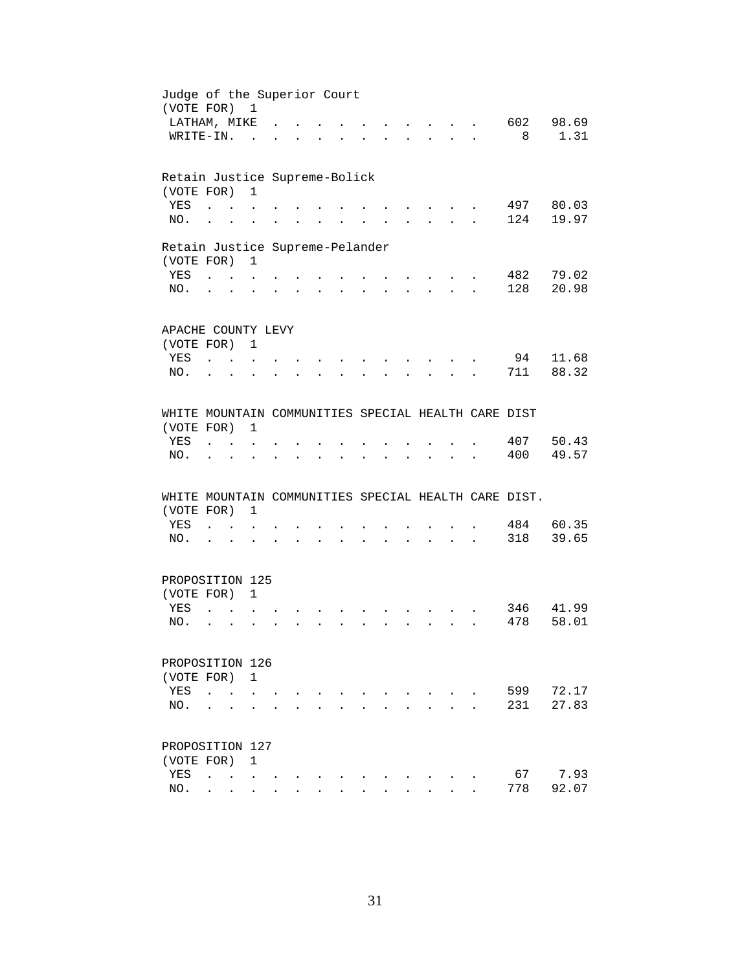| Judge of the Superior Court<br>(VOTE FOR) 1          |                                                         |                           |                                   |                      |                      |        |                      |                                                           |                                                                                                                                                                                                                                |                           |     |       |
|------------------------------------------------------|---------------------------------------------------------|---------------------------|-----------------------------------|----------------------|----------------------|--------|----------------------|-----------------------------------------------------------|--------------------------------------------------------------------------------------------------------------------------------------------------------------------------------------------------------------------------------|---------------------------|-----|-------|
| LATHAM, MIKE                                         |                                                         |                           |                                   |                      |                      |        |                      |                                                           |                                                                                                                                                                                                                                |                           | 602 | 98.69 |
| WRITE-IN.                                            |                                                         |                           | $\sim$                            |                      |                      |        |                      |                                                           |                                                                                                                                                                                                                                | $\mathbf{L} = \mathbf{L}$ | 8   | 1.31  |
|                                                      |                                                         |                           |                                   |                      |                      |        |                      |                                                           |                                                                                                                                                                                                                                |                           |     |       |
| Retain Justice Supreme-Bolick                        |                                                         |                           |                                   |                      |                      |        |                      |                                                           |                                                                                                                                                                                                                                |                           |     |       |
| (VOTE FOR)                                           |                                                         |                           | $\mathbf{1}$                      |                      |                      |        |                      |                                                           |                                                                                                                                                                                                                                |                           |     |       |
| YES                                                  |                                                         |                           |                                   |                      |                      |        |                      |                                                           |                                                                                                                                                                                                                                |                           | 497 | 80.03 |
| NO.                                                  | $\ddot{\phantom{a}}$                                    |                           |                                   |                      |                      |        |                      |                                                           |                                                                                                                                                                                                                                |                           | 124 | 19.97 |
| Retain Justice Supreme-Pelander                      |                                                         |                           |                                   |                      |                      |        |                      |                                                           |                                                                                                                                                                                                                                |                           |     |       |
| (VOTE FOR)                                           |                                                         |                           | $\mathbf{1}$                      |                      |                      |        |                      |                                                           |                                                                                                                                                                                                                                |                           |     |       |
| <b>YES</b>                                           | $\mathcal{L} = \mathcal{L} = \mathcal{L} = \mathcal{L}$ |                           |                                   |                      |                      |        |                      |                                                           |                                                                                                                                                                                                                                |                           | 482 | 79.02 |
| NO.                                                  |                                                         | $\cdot$ $\cdot$ $\cdot$   | $\ddot{\phantom{a}}$              |                      | $\ddot{\phantom{0}}$ | $\sim$ | $\ddot{\phantom{0}}$ | $\mathbf{z} = \mathbf{z} + \mathbf{z}$ . The $\mathbf{z}$ | $\mathbf{r} = \mathbf{r} + \mathbf{r} + \mathbf{r}$                                                                                                                                                                            |                           | 128 | 20.98 |
|                                                      |                                                         |                           |                                   |                      |                      |        |                      |                                                           |                                                                                                                                                                                                                                |                           |     |       |
| APACHE COUNTY LEVY                                   |                                                         |                           |                                   |                      |                      |        |                      |                                                           |                                                                                                                                                                                                                                |                           |     |       |
| (VOTE FOR) 1                                         |                                                         |                           |                                   |                      |                      |        |                      |                                                           |                                                                                                                                                                                                                                |                           |     |       |
| YES                                                  | $\sim$ $\sim$ $\sim$ $\sim$                             |                           | $\ddot{\phantom{a}}$              |                      |                      |        |                      |                                                           |                                                                                                                                                                                                                                |                           | 94  | 11.68 |
| NO.                                                  |                                                         | $\sim$                    |                                   |                      |                      |        |                      |                                                           |                                                                                                                                                                                                                                |                           | 711 | 88.32 |
|                                                      |                                                         |                           |                                   |                      |                      |        |                      |                                                           |                                                                                                                                                                                                                                |                           |     |       |
| WHITE MOUNTAIN COMMUNITIES SPECIAL HEALTH CARE DIST  |                                                         |                           |                                   |                      |                      |        |                      |                                                           |                                                                                                                                                                                                                                |                           |     |       |
| (VOTE FOR)                                           |                                                         |                           | 1                                 |                      |                      |        |                      |                                                           |                                                                                                                                                                                                                                |                           |     |       |
| YES                                                  |                                                         |                           |                                   |                      |                      |        |                      |                                                           |                                                                                                                                                                                                                                |                           | 407 | 50.43 |
| NO.                                                  |                                                         |                           |                                   |                      |                      |        |                      |                                                           |                                                                                                                                                                                                                                |                           | 400 | 49.57 |
| WHITE MOUNTAIN COMMUNITIES SPECIAL HEALTH CARE DIST. |                                                         |                           |                                   |                      |                      |        |                      |                                                           |                                                                                                                                                                                                                                |                           |     |       |
| (VOTE FOR)                                           |                                                         |                           | 1                                 |                      |                      |        |                      |                                                           |                                                                                                                                                                                                                                |                           |     |       |
| YES                                                  | $\mathbf{L}$                                            | $\sim$ $\sim$             |                                   |                      |                      |        |                      |                                                           |                                                                                                                                                                                                                                |                           | 484 | 60.35 |
| NO.                                                  | $\cdot$ $\cdot$                                         |                           | $\ddot{\phantom{a}}$              | $\ddot{\phantom{0}}$ |                      |        |                      |                                                           | and a series of the contract of the series of the series of the series of the series of the series of the series of the series of the series of the series of the series of the series of the series of the series of the seri |                           | 318 | 39.65 |
|                                                      |                                                         |                           |                                   |                      |                      |        |                      |                                                           |                                                                                                                                                                                                                                |                           |     |       |
| PROPOSITION 125                                      |                                                         |                           |                                   |                      |                      |        |                      |                                                           |                                                                                                                                                                                                                                |                           |     |       |
| (VOTE FOR) 1                                         |                                                         |                           |                                   |                      |                      |        |                      |                                                           |                                                                                                                                                                                                                                |                           |     |       |
| YES                                                  | $\ddot{\phantom{a}}$                                    |                           |                                   |                      |                      |        |                      |                                                           |                                                                                                                                                                                                                                |                           | 346 | 41.99 |
| NO.                                                  | $\ddot{\phantom{a}}$                                    | $\sim$                    |                                   |                      |                      |        |                      |                                                           | $\sim$                                                                                                                                                                                                                         |                           | 478 | 58.01 |
|                                                      |                                                         |                           |                                   |                      |                      |        |                      |                                                           |                                                                                                                                                                                                                                |                           |     |       |
| PROPOSITION 126                                      |                                                         |                           |                                   |                      |                      |        |                      |                                                           |                                                                                                                                                                                                                                |                           |     |       |
| (VOTE FOR)                                           |                                                         |                           | $\mathbf{1}$                      |                      |                      |        |                      |                                                           |                                                                                                                                                                                                                                |                           |     |       |
| YES                                                  | $\ddot{\phantom{a}}$                                    |                           |                                   |                      |                      |        |                      |                                                           |                                                                                                                                                                                                                                |                           | 599 | 72.17 |
| NO.                                                  |                                                         |                           |                                   |                      |                      |        |                      |                                                           |                                                                                                                                                                                                                                |                           | 231 | 27.83 |
| PROPOSITION 127                                      |                                                         |                           |                                   |                      |                      |        |                      |                                                           |                                                                                                                                                                                                                                |                           |     |       |
| (VOTE FOR)                                           |                                                         |                           | 1                                 |                      |                      |        |                      |                                                           |                                                                                                                                                                                                                                |                           |     |       |
|                                                      |                                                         |                           |                                   |                      |                      |        |                      |                                                           |                                                                                                                                                                                                                                |                           | 67  | 7.93  |
| YES<br>NO.                                           | $\ddot{\phantom{a}}$                                    |                           | <b>Contract Contract Contract</b> |                      |                      |        |                      |                                                           |                                                                                                                                                                                                                                |                           | 778 | 92.07 |
|                                                      |                                                         | $\mathbf{r} = \mathbf{r}$ | $\ddot{\phantom{0}}$              |                      |                      |        |                      |                                                           |                                                                                                                                                                                                                                |                           |     |       |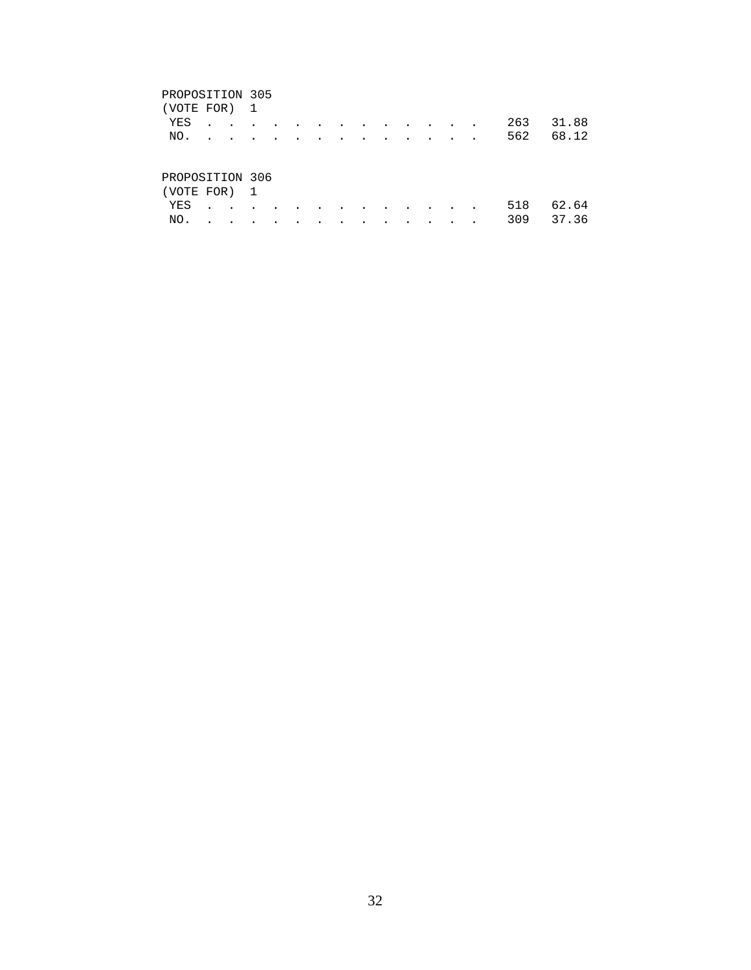| (VOTE FOR) 1                    |  |  |  |  |  |  |           |           |
|---------------------------------|--|--|--|--|--|--|-----------|-----------|
| YES                             |  |  |  |  |  |  | 263 31.88 |           |
| NO.                             |  |  |  |  |  |  |           | 562 68.12 |
| PROPOSITION 306<br>(VOTE FOR) 1 |  |  |  |  |  |  |           |           |

 YES . . . . . . . . . . . . . 518 62.64 NO. . . . . . . . . . . . . . 309 37.36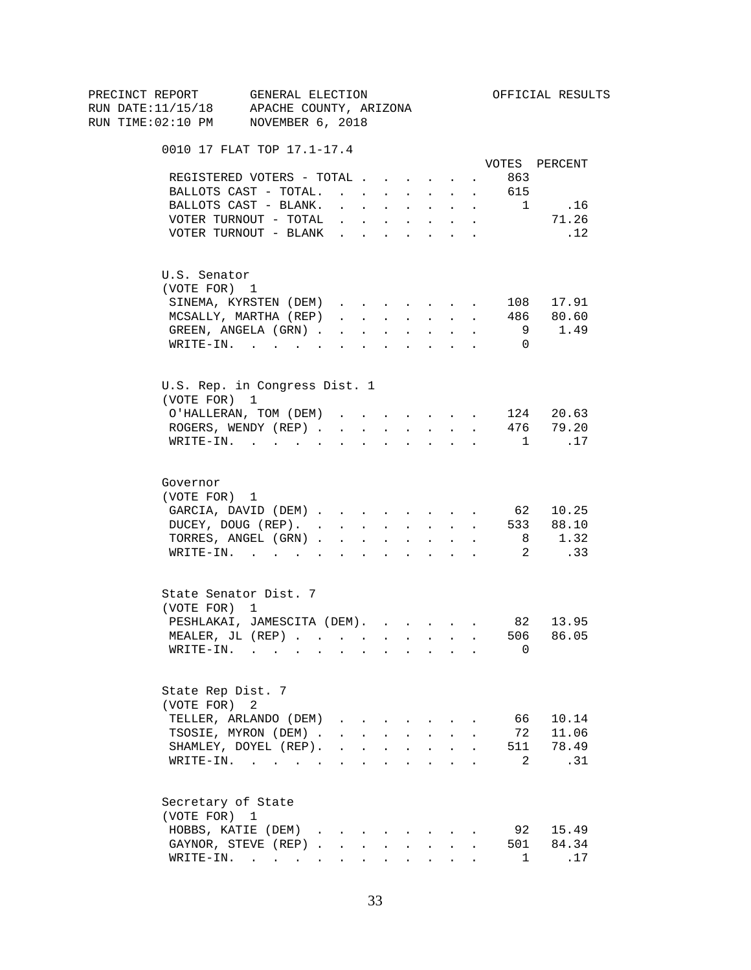| PRECINCT REPORT                          | GENERAL ELECTION                     |                                                                          |                          |        |                                                                               |                                                                                  |        |                | OFFICIAL RESULTS      |
|------------------------------------------|--------------------------------------|--------------------------------------------------------------------------|--------------------------|--------|-------------------------------------------------------------------------------|----------------------------------------------------------------------------------|--------|----------------|-----------------------|
| RUN DATE:11/15/18 APACHE COUNTY, ARIZONA |                                      |                                                                          |                          |        |                                                                               |                                                                                  |        |                |                       |
| RUN TIME:02:10 PM NOVEMBER 6, 2018       |                                      |                                                                          |                          |        |                                                                               |                                                                                  |        |                |                       |
|                                          | 0010 17 FLAT TOP 17.1-17.4           |                                                                          |                          |        |                                                                               |                                                                                  |        |                |                       |
|                                          |                                      |                                                                          |                          |        |                                                                               |                                                                                  |        |                | VOTES PERCENT         |
|                                          | REGISTERED VOTERS - TOTAL            |                                                                          |                          |        |                                                                               |                                                                                  | $\sim$ | 863            |                       |
|                                          | BALLOTS CAST - TOTAL.                |                                                                          |                          |        |                                                                               |                                                                                  |        | 615            |                       |
|                                          | BALLOTS CAST - BLANK.                | $\mathbf{r} = \mathbf{r} \cdot \mathbf{r}$ . The set of $\mathbf{r}$     |                          |        | <b>All Cards</b>                                                              | $\sim$                                                                           | $\sim$ | $\mathbf{1}$   | .16                   |
|                                          | VOTER TURNOUT - TOTAL                |                                                                          |                          |        |                                                                               | $\mathbf{r}$ and $\mathbf{r}$ and $\mathbf{r}$ and $\mathbf{r}$ and $\mathbf{r}$ |        |                | 71.26                 |
|                                          | VOTER TURNOUT - BLANK                |                                                                          |                          |        |                                                                               |                                                                                  |        |                | .12                   |
| U.S. Senator                             |                                      |                                                                          |                          |        |                                                                               |                                                                                  |        |                |                       |
| (VOTE FOR) 1                             |                                      |                                                                          |                          |        |                                                                               |                                                                                  |        |                |                       |
|                                          | SINEMA, KYRSTEN (DEM)                |                                                                          |                          |        |                                                                               |                                                                                  |        |                | 108 17.91             |
|                                          | MCSALLY, MARTHA (REP)                | $\mathbf{r}$ and $\mathbf{r}$ and $\mathbf{r}$                           |                          |        |                                                                               | <b>All Carried Control</b>                                                       | $\sim$ |                | 486 80.60             |
|                                          | GREEN, ANGELA (GRN).                 |                                                                          | <b>Contract Contract</b> | $\sim$ | $\sim 100$                                                                    | $\ddot{\phantom{0}}$                                                             |        | 9              | 1.49                  |
|                                          | WRITE-IN.                            |                                                                          |                          |        |                                                                               |                                                                                  |        | $\overline{0}$ |                       |
|                                          | U.S. Rep. in Congress Dist. 1        |                                                                          |                          |        |                                                                               |                                                                                  |        |                |                       |
| (VOTE FOR) 1                             |                                      |                                                                          |                          |        |                                                                               |                                                                                  |        |                |                       |
|                                          | O'HALLERAN, TOM (DEM)                |                                                                          |                          |        |                                                                               |                                                                                  |        |                | 124 20.63             |
|                                          | ROGERS, WENDY (REP)                  |                                                                          |                          |        |                                                                               | and a strategic state                                                            |        |                | 476 79.20             |
|                                          | $\texttt{WRTTE-IN.}$                 |                                                                          | $\sim$                   |        |                                                                               | $\mathbf{r} = \mathbf{r}$                                                        |        | $\overline{1}$ | .17                   |
| Governor<br>(VOTE FOR) 1                 | GARCIA, DAVID (DEM) 62 10.25         |                                                                          |                          |        |                                                                               |                                                                                  |        |                |                       |
|                                          | DUCEY, DOUG (REP).                   |                                                                          |                          |        |                                                                               |                                                                                  |        |                | 533 88.10             |
|                                          | TORRES, ANGEL (GRN)                  |                                                                          |                          |        |                                                                               |                                                                                  |        |                | 8 1.32                |
|                                          | WRITE-IN.                            |                                                                          |                          |        |                                                                               |                                                                                  |        |                | $\overline{2}$<br>.33 |
| (VOTE FOR) 1                             | State Senator Dist. 7                |                                                                          |                          |        |                                                                               |                                                                                  |        |                |                       |
|                                          | PESHLAKAI, JAMESCITA (DEM). 82 13.95 |                                                                          |                          |        |                                                                               |                                                                                  |        |                |                       |
|                                          | MEALER, JL (REP).                    |                                                                          |                          |        |                                                                               |                                                                                  |        |                | 506 86.05             |
|                                          | WRITE-IN.                            |                                                                          |                          |        |                                                                               |                                                                                  |        | 0              |                       |
| State Rep Dist. 7<br>(VOTE FOR)          | 2                                    |                                                                          |                          |        |                                                                               |                                                                                  |        |                |                       |
|                                          | TELLER, ARLANDO (DEM)                |                                                                          |                          |        |                                                                               |                                                                                  |        | 66             | 10.14                 |
|                                          | TSOSIE, MYRON (DEM).                 |                                                                          |                          |        | $\mathbf{r} = \mathbf{r} + \mathbf{r} + \mathbf{r} + \mathbf{r} + \mathbf{r}$ |                                                                                  |        | 72             | 11.06                 |
|                                          | SHAMLEY, DOYEL (REP).                | $\mathbf{r}$ , $\mathbf{r}$ , $\mathbf{r}$ , $\mathbf{r}$ , $\mathbf{r}$ |                          |        |                                                                               | $\ddot{\phantom{0}}$                                                             |        | 511            | 78.49                 |
|                                          | WRITE-IN.                            |                                                                          |                          |        |                                                                               |                                                                                  |        | 2              | .31                   |
| Secretary of State<br>(VOTE FOR) 1       |                                      |                                                                          |                          |        |                                                                               |                                                                                  |        |                |                       |
|                                          | HOBBS, KATIE (DEM)                   |                                                                          |                          |        |                                                                               |                                                                                  |        | 92             | 15.49                 |
|                                          | GAYNOR, STEVE (REP)                  |                                                                          | $\mathbf{L}$             | $\sim$ | $\sim$                                                                        | $\mathbf{L}$                                                                     |        |                | 501 84.34             |
|                                          | WRITE-IN. $\cdot$                    |                                                                          |                          |        |                                                                               | $\mathbf{r} = \mathbf{r} + \mathbf{r} + \mathbf{r} + \mathbf{r} + \mathbf{r}$    |        | $\mathbf{1}$   | .17                   |
|                                          |                                      |                                                                          |                          |        |                                                                               |                                                                                  |        |                |                       |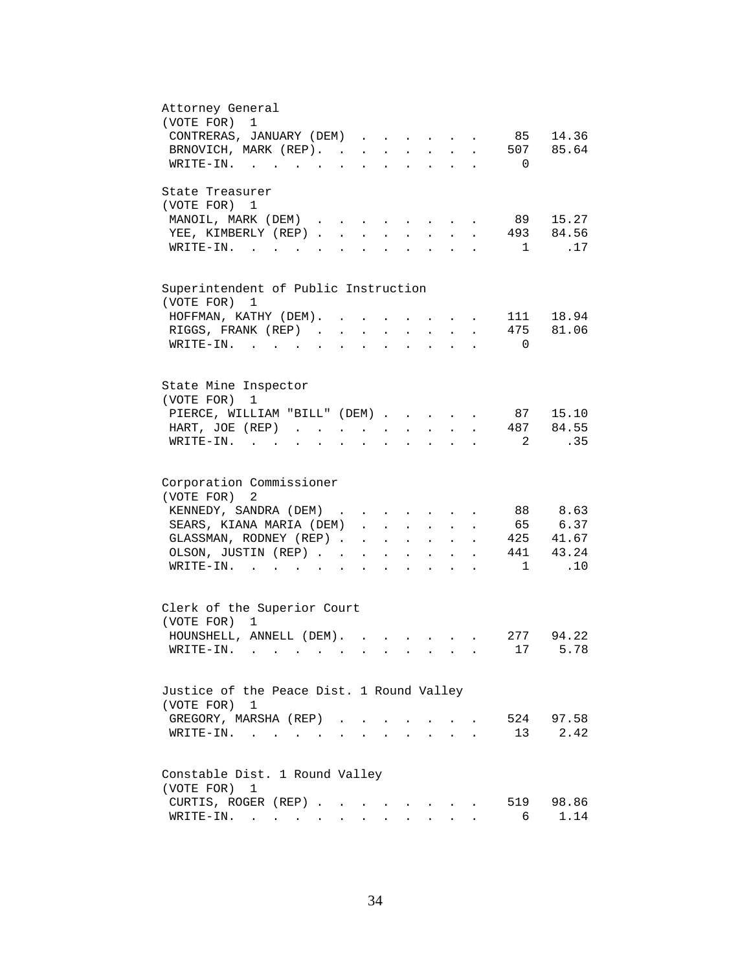| Attorney General<br>(VOTE FOR)<br>$\mathbf 1$<br>CONTRERAS, JANUARY (DEM)<br>85 14.36                                                                                                  |
|----------------------------------------------------------------------------------------------------------------------------------------------------------------------------------------|
| 507 85.64<br>BRNOVICH, MARK (REP).<br>WRITE-IN.<br>$\Omega$                                                                                                                            |
| State Treasurer<br>(VOTE FOR) 1<br>89 15.27                                                                                                                                            |
| MANOIL, MARK (DEM)<br>$\cdots$ $\cdots$ $\cdots$<br>493 84.56<br>YEE, KIMBERLY (REP).<br>$\sim$<br>$\mathbf{L}$<br>$\sim$<br>.17<br>$W\text{RITE}-\text{IN}$ , , , ,<br>$\overline{1}$ |
| Superintendent of Public Instruction<br>(VOTE FOR) 1                                                                                                                                   |
| 111 18.94<br>HOFFMAN, KATHY (DEM). .<br>$\bullet$                                                                                                                                      |
| RIGGS, FRANK (REP)<br>475 81.06<br>$\mathbf{L}^{\text{max}}$ , and $\mathbf{L}^{\text{max}}$                                                                                           |
| WRITE-IN.<br>$\overline{0}$                                                                                                                                                            |
| State Mine Inspector<br>(VOTE FOR)<br>1                                                                                                                                                |
| PIERCE, WILLIAM "BILL" (DEM)<br>87 15.10                                                                                                                                               |
| 487 84.55<br>HART, JOE (REP)<br>$\mathbf{z} = \mathbf{z} + \mathbf{z}$ .<br><b>All Carl Carl Control</b><br>$\ddot{\phantom{a}}$                                                       |
| .35<br>$WRITE-IN.$<br>2<br>$\mathbf{r}$ , $\mathbf{r}$ , $\mathbf{r}$<br>$\mathbf{z} = \mathbf{z} + \mathbf{z}$ .                                                                      |
| Corporation Commissioner                                                                                                                                                               |
| (VOTE FOR)<br>2<br>88 8.63<br>KENNEDY, SANDRA (DEM)                                                                                                                                    |
| 65 6.37<br>SEARS, KIANA MARIA (DEM).<br>$\mathbf{r} = \mathbf{r} \cdot \mathbf{r}$                                                                                                     |
| GLASSMAN, RODNEY (REP).<br>425 41.67<br>$\mathbf{r} = \mathbf{r} \cdot \mathbf{r}$<br>$\mathbf{L}$<br>$\mathbf{L}^{\text{max}}$<br>$\ddot{\phantom{a}}$                                |
| 441 43.24<br>OLSON, JUSTIN (REP). .<br>$\sim$<br><b>All Contracts</b><br>$\bullet$ .<br><br><br><br><br><br><br><br><br><br><br><br><br>$\ddot{\phantom{a}}$                           |
| .10<br>WRITE-IN.<br>1<br>$\mathbf{r} = \mathbf{r}$ and $\mathbf{r} = \mathbf{r}$                                                                                                       |
| Clerk of the Superior Court<br>(VOTE FOR) 1                                                                                                                                            |
| HOUNSHELL, ANNELL (DEM).<br>277<br>94.22                                                                                                                                               |
| 5.78<br>$W\text{RITE}-\text{IN}.$<br>17                                                                                                                                                |
| Justice of the Peace Dist. 1 Round Valley<br>(VOTE FOR) 1                                                                                                                              |
| 524<br>97.58<br>GREGORY, MARSHA (REP).                                                                                                                                                 |
| 2.42<br>$W{\tt RITE-IN.}$<br>13<br>$\sim 100$ km s $^{-1}$                                                                                                                             |
| Constable Dist. 1 Round Valley                                                                                                                                                         |
| (VOTE FOR)<br>1                                                                                                                                                                        |
| CURTIS, ROGER (REP)<br>98.86<br>519<br>1.14                                                                                                                                            |
| WRITE-IN.<br>6                                                                                                                                                                         |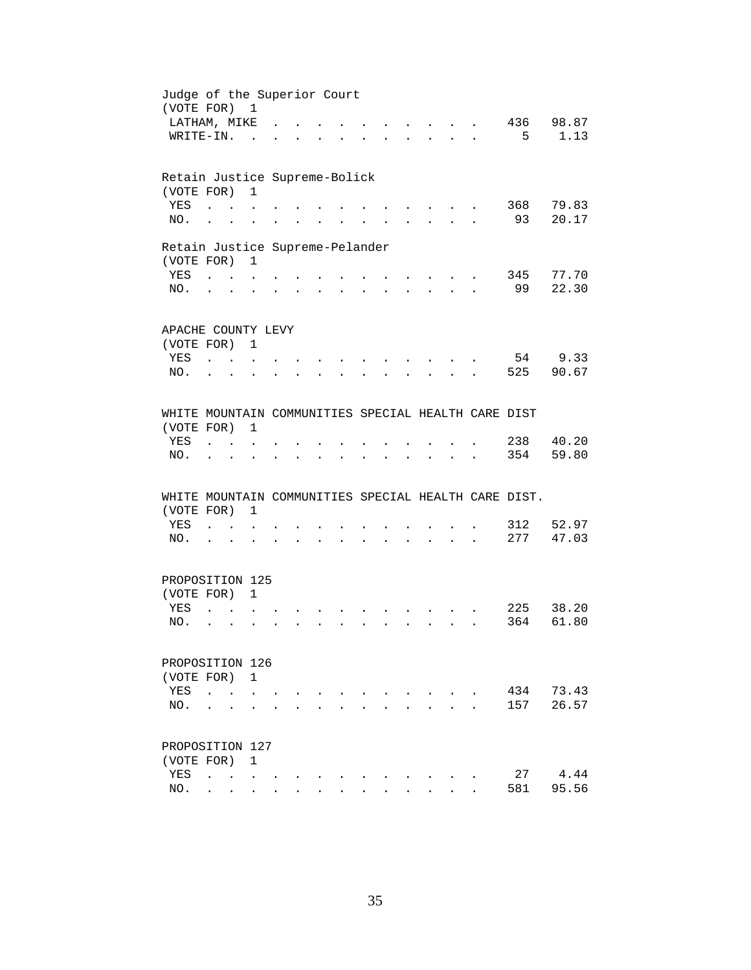| Judge of the Superior Court<br>(VOTE FOR) 1          |                                   |                                                              |                                                              |                                               |        |  |                                        |                      |                                                       |              |              |     |       |
|------------------------------------------------------|-----------------------------------|--------------------------------------------------------------|--------------------------------------------------------------|-----------------------------------------------|--------|--|----------------------------------------|----------------------|-------------------------------------------------------|--------------|--------------|-----|-------|
| LATHAM, MIKE                                         |                                   |                                                              |                                                              |                                               |        |  |                                        |                      |                                                       |              |              | 436 | 98.87 |
| WRITE-IN.                                            |                                   |                                                              | $\sim$                                                       |                                               |        |  |                                        |                      |                                                       | $\mathbf{L}$ | $\mathbf{r}$ | 5   | 1.13  |
| Retain Justice Supreme-Bolick                        |                                   |                                                              |                                                              |                                               |        |  |                                        |                      |                                                       |              |              |     |       |
| (VOTE FOR)                                           |                                   |                                                              | $\mathbf{1}$                                                 |                                               |        |  |                                        |                      |                                                       |              |              |     |       |
| YES                                                  | $\ddot{\phantom{a}}$              |                                                              |                                                              |                                               |        |  |                                        |                      |                                                       |              |              | 368 | 79.83 |
| NO.                                                  | $\ddot{\phantom{a}}$              |                                                              |                                                              |                                               |        |  |                                        |                      |                                                       |              |              | 93  | 20.17 |
| Retain Justice Supreme-Pelander                      |                                   |                                                              |                                                              |                                               |        |  |                                        |                      |                                                       |              |              |     |       |
| (VOTE FOR)                                           |                                   |                                                              | $\mathbf{1}$                                                 |                                               |        |  |                                        |                      |                                                       |              |              |     |       |
| <b>YES</b>                                           | <b>Contract Contract Contract</b> |                                                              |                                                              |                                               |        |  |                                        |                      | <b>Contract Contract Contract</b>                     |              |              | 345 | 77.70 |
| NO.                                                  |                                   | $\cdot$ $\cdot$ $\cdot$                                      | $\ddot{\phantom{a}}$                                         | $\sim$                                        | $\sim$ |  | $\mathbf{r} = \mathbf{r} + \mathbf{r}$ |                      |                                                       |              |              | 99  | 22.30 |
| APACHE COUNTY LEVY                                   |                                   |                                                              |                                                              |                                               |        |  |                                        |                      |                                                       |              |              |     |       |
| (VOTE FOR) 1                                         |                                   |                                                              |                                                              |                                               |        |  |                                        |                      |                                                       |              |              |     |       |
| YES                                                  | $\mathbf{r}$ , $\mathbf{r}$       |                                                              | $\ddot{\phantom{a}}$                                         |                                               |        |  |                                        |                      |                                                       |              |              | 54  | 9.33  |
| NO.                                                  |                                   | $\sim$                                                       |                                                              |                                               |        |  |                                        |                      |                                                       |              |              | 525 | 90.67 |
|                                                      |                                   |                                                              |                                                              |                                               |        |  |                                        |                      |                                                       |              |              |     |       |
| WHITE MOUNTAIN COMMUNITIES SPECIAL HEALTH CARE DIST  |                                   |                                                              |                                                              |                                               |        |  |                                        |                      |                                                       |              |              |     |       |
| (VOTE FOR)                                           |                                   |                                                              | 1                                                            |                                               |        |  |                                        |                      |                                                       |              |              |     |       |
| YES                                                  |                                   |                                                              |                                                              |                                               |        |  |                                        |                      |                                                       |              |              | 238 | 40.20 |
| NO.                                                  |                                   |                                                              |                                                              |                                               |        |  |                                        |                      |                                                       |              |              | 354 | 59.80 |
| WHITE MOUNTAIN COMMUNITIES SPECIAL HEALTH CARE DIST. |                                   |                                                              |                                                              |                                               |        |  |                                        |                      |                                                       |              |              |     |       |
| (VOTE FOR)                                           |                                   |                                                              | 1                                                            |                                               |        |  |                                        |                      |                                                       |              |              |     |       |
| YES                                                  |                                   | $\mathbf{L} = \mathbf{L} \mathbf{L} + \mathbf{L} \mathbf{L}$ |                                                              |                                               |        |  |                                        |                      |                                                       |              |              | 312 | 52.97 |
| NO.                                                  | $\cdot$ $\cdot$                   |                                                              | $\ddot{\phantom{a}}$                                         | and a strong control of the strong strong and |        |  |                                        |                      | $\mathbf{z} = \mathbf{z} + \mathbf{z} + \mathbf{z}$ . |              |              | 277 | 47.03 |
| PROPOSITION 125                                      |                                   |                                                              |                                                              |                                               |        |  |                                        |                      |                                                       |              |              |     |       |
| (VOTE FOR) 1                                         |                                   |                                                              |                                                              |                                               |        |  |                                        |                      |                                                       |              |              |     |       |
| YES                                                  | $\ddot{\phantom{a}}$              |                                                              |                                                              |                                               |        |  |                                        |                      |                                                       |              |              | 225 | 38.20 |
| NO.                                                  | $\ddot{\phantom{a}}$              | $\sim$                                                       |                                                              |                                               |        |  |                                        | $\ddot{\phantom{a}}$ | $\sim$                                                |              |              | 364 | 61.80 |
|                                                      |                                   |                                                              |                                                              |                                               |        |  |                                        |                      |                                                       |              |              |     |       |
| PROPOSITION 126<br>(VOTE FOR)                        |                                   |                                                              | $\overline{1}$                                               |                                               |        |  |                                        |                      |                                                       |              |              |     |       |
| YES                                                  | $\ddot{\phantom{a}}$              |                                                              |                                                              |                                               |        |  |                                        |                      |                                                       |              |              | 434 | 73.43 |
| NO.                                                  |                                   |                                                              |                                                              |                                               |        |  |                                        |                      |                                                       |              |              | 157 | 26.57 |
|                                                      |                                   |                                                              |                                                              |                                               |        |  |                                        |                      |                                                       |              |              |     |       |
| PROPOSITION 127                                      |                                   |                                                              |                                                              |                                               |        |  |                                        |                      |                                                       |              |              |     |       |
| (VOTE FOR)                                           |                                   |                                                              | 1                                                            |                                               |        |  |                                        |                      |                                                       |              |              |     |       |
| YES                                                  | $\ddot{\phantom{a}}$              |                                                              | $\mathbf{r}$ , $\mathbf{r}$ , $\mathbf{r}$ , $\mathbf{r}$    |                                               |        |  |                                        |                      |                                                       |              |              | 27  | 4.44  |
| NO.                                                  |                                   |                                                              | $\mathbf{L} = \mathbf{L} \mathbf{L} = \mathbf{L} \mathbf{L}$ |                                               |        |  |                                        |                      |                                                       |              |              | 581 | 95.56 |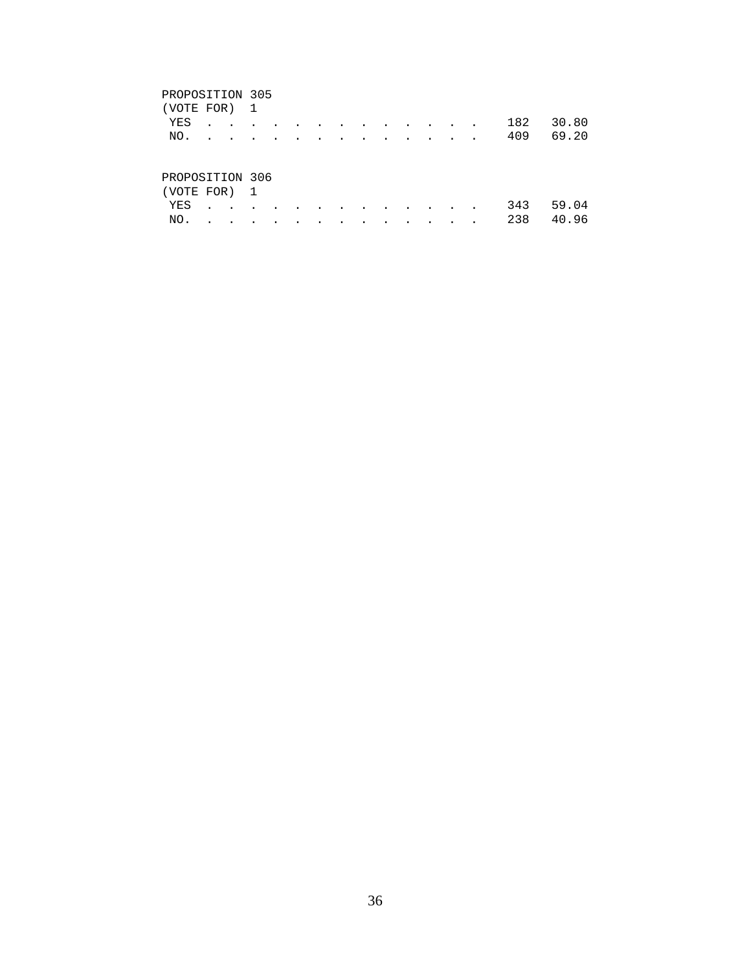| (VOTE FOR) 1    |  |  |  |  |  |  |                                                                                                                 |           |       |
|-----------------|--|--|--|--|--|--|-----------------------------------------------------------------------------------------------------------------|-----------|-------|
| YES             |  |  |  |  |  |  |                                                                                                                 | 182       | 30.80 |
| NO.             |  |  |  |  |  |  | the contract of the contract of the contract of the contract of the contract of the contract of the contract of | 409 69.20 |       |
|                 |  |  |  |  |  |  |                                                                                                                 |           |       |
| PROPOSITION 306 |  |  |  |  |  |  |                                                                                                                 |           |       |
| (VOTE FOR) 1    |  |  |  |  |  |  |                                                                                                                 |           |       |
|                 |  |  |  |  |  |  |                                                                                                                 |           |       |

 YES . . . . . . . . . . . . . 343 59.04 NO. . . . . . . . . . . . . . 238 40.96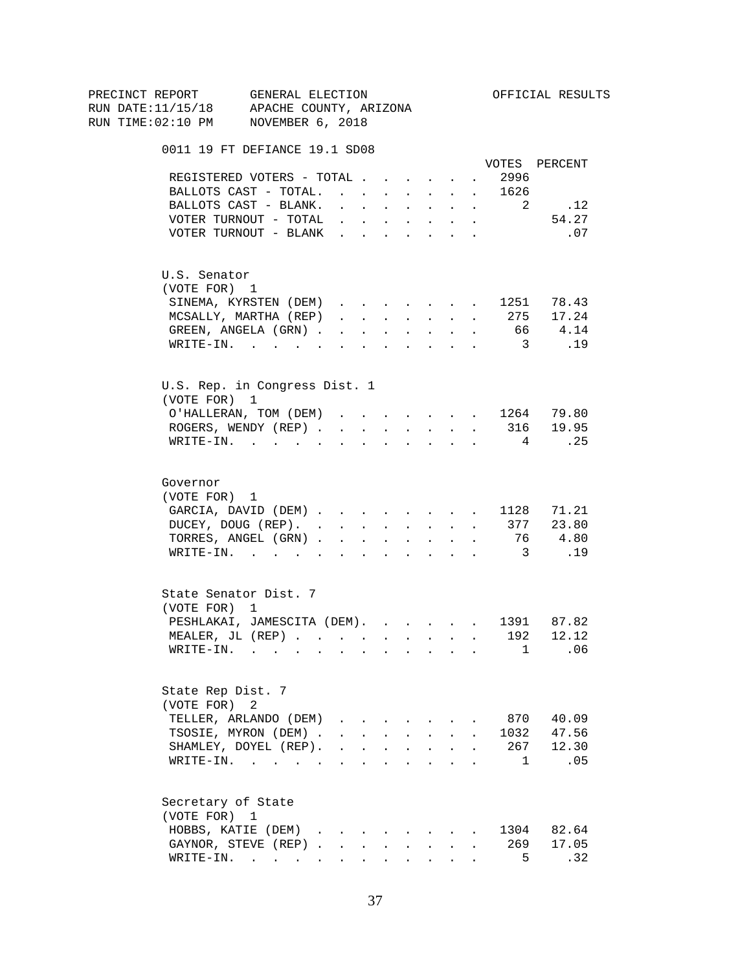| PRECINCT REPORT                                                                                                   | GENERAL ELECTION |                                                                                            |                          |              |                                                                  |                                                                       |                      |                         | OFFICIAL RESULTS        |
|-------------------------------------------------------------------------------------------------------------------|------------------|--------------------------------------------------------------------------------------------|--------------------------|--------------|------------------------------------------------------------------|-----------------------------------------------------------------------|----------------------|-------------------------|-------------------------|
| RUN DATE:11/15/18 APACHE COUNTY, ARIZONA                                                                          |                  |                                                                                            |                          |              |                                                                  |                                                                       |                      |                         |                         |
| RUN TIME:02:10 PM NOVEMBER 6, 2018                                                                                |                  |                                                                                            |                          |              |                                                                  |                                                                       |                      |                         |                         |
| 0011 19 FT DEFIANCE 19.1 SD08                                                                                     |                  |                                                                                            |                          |              |                                                                  |                                                                       |                      |                         |                         |
|                                                                                                                   |                  |                                                                                            |                          |              |                                                                  |                                                                       |                      |                         | VOTES PERCENT           |
| REGISTERED VOTERS - TOTAL                                                                                         |                  |                                                                                            |                          |              |                                                                  |                                                                       | $\sim 100$           | 2996                    |                         |
| BALLOTS CAST - TOTAL.                                                                                             |                  |                                                                                            |                          |              |                                                                  |                                                                       |                      | 1626                    |                         |
| BALLOTS CAST - BLANK.                                                                                             |                  | $\mathbf{r} = \mathbf{r} \cdot \mathbf{r}$                                                 |                          |              | <b>Service Control</b>                                           | $\sim$                                                                | $\sim$               | 2                       | .12                     |
| VOTER TURNOUT - TOTAL                                                                                             |                  |                                                                                            |                          |              |                                                                  | $\mathbf{r}$ , and $\mathbf{r}$ , and $\mathbf{r}$ , and $\mathbf{r}$ |                      |                         | 54.27                   |
| VOTER TURNOUT - BLANK                                                                                             |                  |                                                                                            |                          |              |                                                                  |                                                                       |                      |                         | .07                     |
| U.S. Senator                                                                                                      |                  |                                                                                            |                          |              |                                                                  |                                                                       |                      |                         |                         |
| (VOTE FOR) 1                                                                                                      |                  |                                                                                            |                          |              |                                                                  |                                                                       |                      |                         |                         |
| SINEMA, KYRSTEN (DEM)                                                                                             |                  |                                                                                            |                          |              |                                                                  |                                                                       |                      |                         | 1251 78.43<br>275 17.24 |
| MCSALLY, MARTHA (REP)                                                                                             |                  | $\mathbf{1}$ $\mathbf{1}$ $\mathbf{1}$ $\mathbf{1}$ $\mathbf{1}$ $\mathbf{1}$ $\mathbf{1}$ |                          |              |                                                                  | <b>All Carried Control</b>                                            | $\sim$               |                         |                         |
| GREEN, ANGELA (GRN).                                                                                              |                  |                                                                                            | <b>Contract Contract</b> |              | $\Delta \phi = \Delta \phi$ and $\Delta \phi$                    | $\mathcal{L}^{\text{max}}$                                            | $\sim$               |                         | 66 4.14                 |
| WRITE-IN.                                                                                                         |                  |                                                                                            |                          |              |                                                                  |                                                                       |                      | $\overline{\mathbf{3}}$ | .19                     |
| U.S. Rep. in Congress Dist. 1                                                                                     |                  |                                                                                            |                          |              |                                                                  |                                                                       |                      |                         |                         |
| (VOTE FOR) 1                                                                                                      |                  |                                                                                            |                          |              |                                                                  |                                                                       |                      |                         |                         |
| O'HALLERAN, TOM (DEM) 1264 79.80                                                                                  |                  |                                                                                            |                          |              |                                                                  |                                                                       |                      |                         |                         |
| ROGERS, WENDY (REP)                                                                                               |                  |                                                                                            |                          |              |                                                                  |                                                                       |                      |                         | $\cdot$ 316 19.95       |
| $\texttt{WRTTE-IN.}$                                                                                              |                  |                                                                                            | $\sim$ $\sim$            |              |                                                                  | $\mathbf{r}$ , $\mathbf{r}$ , $\mathbf{r}$                            |                      | $\overline{4}$          | $\ldots$ 25             |
| Governor<br>(VOTE FOR) 1<br>GARCIA, DAVID (DEM) 1128 71.21<br>DUCEY, DOUG (REP). 377 23.80<br>TORRES, ANGEL (GRN) |                  |                                                                                            |                          |              |                                                                  |                                                                       |                      |                         | 76 4.80                 |
| WRITE-IN.<br>State Senator Dist. 7                                                                                |                  |                                                                                            |                          |              |                                                                  |                                                                       |                      | $\overline{\mathbf{3}}$ | .19                     |
| (VOTE FOR) 1                                                                                                      |                  |                                                                                            |                          |              |                                                                  |                                                                       |                      |                         |                         |
| PESHLAKAI, JAMESCITA (DEM). 1391 87.82                                                                            |                  |                                                                                            |                          |              |                                                                  |                                                                       |                      |                         |                         |
| MEALER, JL (REP) 192 12.12                                                                                        |                  |                                                                                            |                          |              |                                                                  |                                                                       |                      |                         |                         |
| $\texttt{WRITE-IN.}\quad .\quad .\quad .\quad .\quad .$                                                           |                  |                                                                                            |                          |              |                                                                  |                                                                       |                      |                         | .06<br>$\mathbf{1}$     |
| State Rep Dist. 7<br>(VOTE FOR)                                                                                   | 2                |                                                                                            |                          |              |                                                                  |                                                                       |                      |                         |                         |
| TELLER, ARLANDO (DEM)                                                                                             |                  |                                                                                            |                          |              |                                                                  |                                                                       |                      |                         | 870 40.09               |
| TSOSIE, MYRON (DEM).                                                                                              |                  |                                                                                            |                          |              | $\mathbf{r} = \mathbf{r} + \mathbf{r} + \mathbf{r} + \mathbf{r}$ | $\mathbf{L}$                                                          |                      |                         | 1032 47.56              |
| SHAMLEY, DOYEL (REP).                                                                                             |                  | $\mathbf{r}$ , $\mathbf{r}$ , $\mathbf{r}$ , $\mathbf{r}$ , $\mathbf{r}$                   |                          |              |                                                                  | $\ddot{\phantom{0}}$                                                  | $\mathbf{r}$         | 267                     | 12.30                   |
| WRITE-IN.                                                                                                         |                  |                                                                                            |                          |              |                                                                  |                                                                       |                      | 1                       | .05                     |
| Secretary of State<br>(VOTE FOR) 1                                                                                |                  |                                                                                            |                          |              |                                                                  |                                                                       |                      |                         |                         |
| HOBBS, KATIE (DEM)                                                                                                |                  |                                                                                            |                          |              |                                                                  |                                                                       |                      |                         | 1304 82.64              |
| GAYNOR, STEVE (REP)                                                                                               |                  |                                                                                            |                          | $\mathbf{L}$ | $\sim$                                                           | $\mathbf{r}$                                                          | $\ddot{\phantom{a}}$ | 269                     | 17.05                   |
| $\texttt{WRITE-IN.}\quad .\quad .\quad .\quad .\quad .\quad .$                                                    |                  |                                                                                            |                          |              |                                                                  |                                                                       |                      | 5                       | .32                     |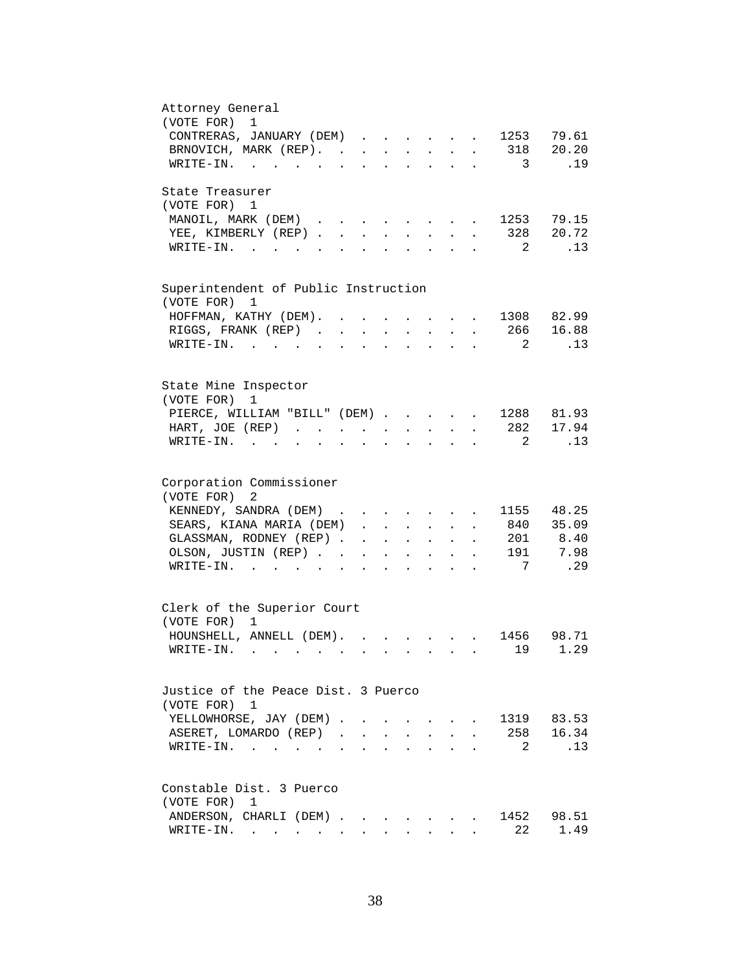| Attorney General                                                                                                                       |
|----------------------------------------------------------------------------------------------------------------------------------------|
| (VOTE FOR) 1                                                                                                                           |
| CONTRERAS, JANUARY (DEM)<br>1253 79.61                                                                                                 |
| BRNOVICH, MARK (REP). 318 20.20                                                                                                        |
| .19<br>WRITE-IN.<br>3                                                                                                                  |
| State Treasurer                                                                                                                        |
| (VOTE FOR) 1                                                                                                                           |
| 1253 79.15<br>MANOIL, MARK (DEM)<br>$\mathbf{r} = \mathbf{r} + \mathbf{r} + \mathbf{r} + \mathbf{r} + \mathbf{r}$                      |
| 328 20.72<br>YEE, KIMBERLY (REP).<br>$\mathbf{r}$<br>$\mathbf{L}$                                                                      |
| .13<br>$\overline{\phantom{a}}^2$<br>WRITE-IN.                                                                                         |
|                                                                                                                                        |
| Superintendent of Public Instruction<br>(VOTE FOR)<br>1                                                                                |
| . 1308 82.99                                                                                                                           |
| HOFFMAN, KATHY (DEM).<br><b>Contract Contract Contract</b><br>$\ddot{\phantom{a}}$                                                     |
| RIGGS, FRANK (REP)<br>. 266 16.88<br>$\mathbf{L} = \mathbf{L}$<br>$\sim 10^{-11}$<br>$\ddot{\phantom{a}}$<br>$\mathbf{L}^{\text{max}}$ |
| 2<br>.13<br>WRITE-IN.<br><b>Contract Contract</b>                                                                                      |
|                                                                                                                                        |
| State Mine Inspector<br>(VOTE FOR)<br>1                                                                                                |
| PIERCE, WILLIAM "BILL" (DEM) 1288 81.93                                                                                                |
| . 282<br>17.94<br>HART, JOE (REP)                                                                                                      |
| 2<br>.13<br>WRITE-IN.                                                                                                                  |
|                                                                                                                                        |
| Corporation Commissioner                                                                                                               |
| (VOTE FOR) 2                                                                                                                           |
| KENNEDY, SANDRA (DEM)<br>1155 48.25                                                                                                    |
| 840 35.09<br>SEARS, KIANA MARIA (DEM)                                                                                                  |
| GLASSMAN, RODNEY (REP)<br>201 8.40<br>$\cdot$ $\cdot$ $\cdot$ $\cdot$ $\cdot$ $\cdot$                                                  |
| 191 7.98<br>OLSON, JUSTIN (REP)<br>$\mathbf{r} = \mathbf{r} + \mathbf{r} + \mathbf{r} + \mathbf{r} + \mathbf{r}$                       |
| $7\phantom{0}$<br>.29<br>WRITE-IN.<br>$\mathbf{r} = \mathbf{r}$ , and $\mathbf{r} = \mathbf{r}$<br>$\sim$                              |
|                                                                                                                                        |
| Clerk of the Superior Court                                                                                                            |
| (VOTE FOR) 1                                                                                                                           |
| HOUNSHELL, ANNELL (DEM).<br>1456 98.71                                                                                                 |
| 19 1.29<br>WRITE-IN.                                                                                                                   |
|                                                                                                                                        |
| Justice of the Peace Dist. 3 Puerco                                                                                                    |
| (VOTE FOR) 1                                                                                                                           |
| 1319 83.53<br>YELLOWHORSE, JAY (DEM).                                                                                                  |
| 258 16.34<br>ASERET, LOMARDO (REP).<br>$\mathbf{r}$                                                                                    |
| .13<br>$WRITE-IN.$<br>2                                                                                                                |
|                                                                                                                                        |
| Constable Dist. 3 Puerco                                                                                                               |
| (VOTE FOR)<br>1                                                                                                                        |
| 1452 98.51<br>ANDERSON, CHARLI (DEM).<br>the contract of the contract of the contract of the contract of the contract of               |
| 22<br>1.49<br>$\texttt{WRTTE-IN.}$                                                                                                     |
|                                                                                                                                        |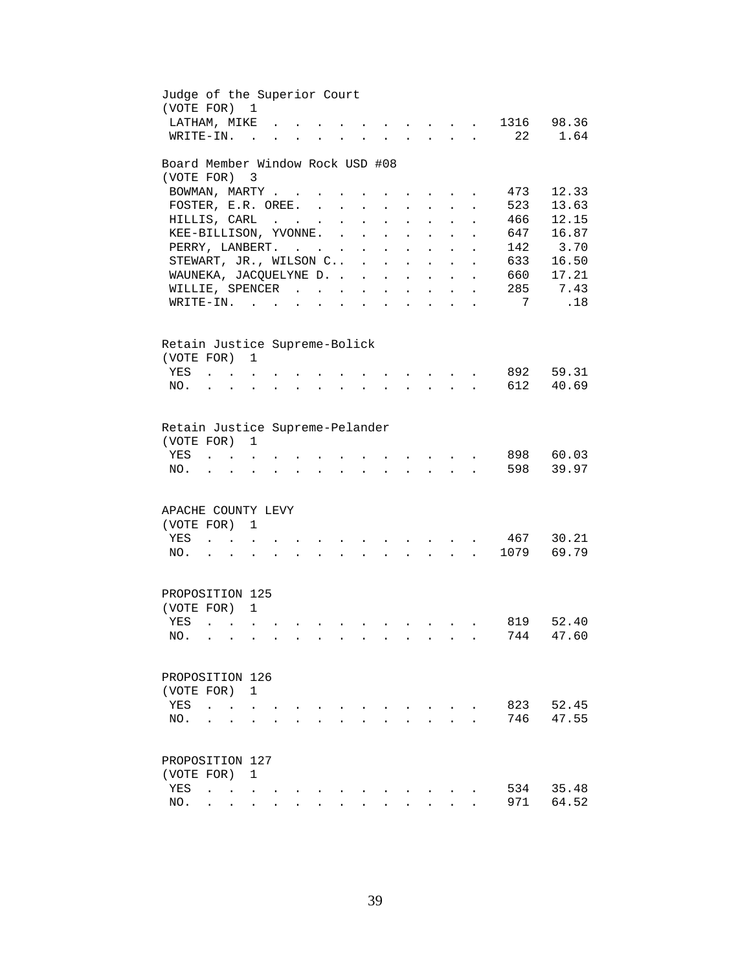| Judge of the Superior Court<br>(VOTE FOR)                   |                           |                                        | $\mathbf{1}$              |  |               |                      |        |                                            |                          |                                                                 |                      |                |                |
|-------------------------------------------------------------|---------------------------|----------------------------------------|---------------------------|--|---------------|----------------------|--------|--------------------------------------------|--------------------------|-----------------------------------------------------------------|----------------------|----------------|----------------|
| LATHAM, MIKE                                                |                           |                                        |                           |  |               |                      |        |                                            |                          |                                                                 |                      | 1316           | 98.36          |
| WRITE-IN.                                                   |                           |                                        | $\overline{a}$            |  |               |                      |        |                                            |                          |                                                                 | $\sim$               | 22             | 1.64           |
| Board Member Window Rock USD #08                            |                           |                                        |                           |  |               |                      |        |                                            |                          |                                                                 |                      |                |                |
| (VOTE FOR)                                                  |                           |                                        | $\overline{\phantom{a}}$  |  |               |                      |        |                                            |                          |                                                                 |                      |                |                |
| BOWMAN, MARTY                                               |                           |                                        |                           |  |               |                      |        |                                            |                          |                                                                 |                      | 473            | 12.33          |
| FOSTER, E.R. OREE.                                          |                           |                                        |                           |  |               | $\ddot{\phantom{a}}$ |        |                                            |                          |                                                                 |                      | 523            | 13.63          |
| HILLIS, CARL                                                |                           |                                        |                           |  | $\cdot$       | $\ddot{\phantom{a}}$ |        | $\ddot{\phantom{a}}$                       |                          |                                                                 |                      | 466            | 12.15          |
| KEE-BILLISON, YVONNE.                                       |                           |                                        |                           |  | $\sim$ $\sim$ | $\ddot{\phantom{a}}$ |        | $\ddot{\phantom{a}}$                       | $\sim$                   |                                                                 |                      | 647            | 16.87          |
| PERRY, LANBERT.                                             |                           |                                        |                           |  |               | $\sim$ $-$           | $\sim$ | $\sim$                                     | $\sim$                   | $\ddot{\phantom{a}}$                                            | $\ddot{\phantom{a}}$ |                | 142 3.70       |
| STEWART, JR., WILSON C                                      |                           |                                        |                           |  |               |                      |        |                                            |                          | $\mathbf{L}$                                                    | $\ddot{\phantom{a}}$ | 633            | 16.50          |
| WAUNEKA, JACQUELYNE D.                                      |                           |                                        |                           |  |               |                      |        | $\mathbf{r}$ , $\mathbf{r}$ , $\mathbf{r}$ |                          | $\mathbf{L}$                                                    | $\ddot{\phantom{a}}$ | 660            | 17.21          |
| WILLIE, SPENCER                                             |                           |                                        |                           |  |               |                      |        | and a strategic state                      |                          | $\mathcal{L}^{\text{max}}$                                      | $\ddot{\phantom{a}}$ | 285            | 7.43           |
| $\texttt{WRTTE-IN.}$                                        |                           |                                        |                           |  | $\bullet$     | <b>Contractor</b>    |        | $\mathbf{L} = \mathbf{L}$                  | <b>Contract Contract</b> | $\bullet$ .<br><br><br><br><br><br><br><br><br><br><br><br><br> | $\bullet$            | $\overline{7}$ | .18            |
| Retain Justice Supreme-Bolick<br>(VOTE FOR) 1               |                           |                                        |                           |  |               |                      |        |                                            |                          |                                                                 |                      |                |                |
| YES                                                         |                           |                                        |                           |  |               |                      |        |                                            | <b>Contract Contract</b> |                                                                 |                      | 892<br>612     | 59.31          |
| NO.                                                         |                           | $\mathbf{r}$                           |                           |  |               |                      |        |                                            | $\mathbf{L}$             |                                                                 |                      |                | 40.69          |
| Retain Justice Supreme-Pelander<br>(VOTE FOR)<br>YES<br>NO. |                           |                                        | 1                         |  |               |                      |        |                                            |                          |                                                                 |                      | 898<br>598     | 60.03<br>39.97 |
| APACHE COUNTY LEVY<br>(VOTE FOR)<br>YES<br>NO.              | $\mathbf{z} = \mathbf{z}$ | $\mathbf{L} = \mathbf{L}$              | 1<br>$\ddot{\phantom{a}}$ |  |               |                      |        |                                            | <b>Contractor</b>        | $\sim$                                                          | $\mathbf{L}$         | 467<br>1079    | 30.21<br>69.79 |
| PROPOSITION 125                                             |                           |                                        |                           |  |               |                      |        |                                            |                          |                                                                 |                      |                |                |
| (VOTE FOR) 1                                                |                           |                                        |                           |  |               |                      |        |                                            |                          |                                                                 |                      |                |                |
| YES                                                         | $\sim$                    | $\mathbf{r}$ . The set of $\mathbf{r}$ |                           |  |               |                      |        |                                            |                          |                                                                 |                      | 819            | 52.40          |
| NO.                                                         |                           |                                        |                           |  |               |                      |        |                                            |                          |                                                                 |                      | 744            | 47.60          |
| PROPOSITION 126<br>(VOTE FOR)<br>YES<br>NO.                 |                           |                                        | 1                         |  |               |                      |        |                                            |                          |                                                                 |                      | 823<br>746     | 52.45<br>47.55 |
|                                                             |                           |                                        |                           |  |               |                      |        |                                            |                          |                                                                 |                      |                |                |
| PROPOSITION 127                                             |                           |                                        |                           |  |               |                      |        |                                            |                          |                                                                 |                      |                |                |
| (VOTE FOR)                                                  |                           |                                        | 1                         |  |               |                      |        |                                            |                          |                                                                 |                      |                |                |
| YES                                                         | $\ddot{\phantom{a}}$      | $\sim$ $\sim$                          |                           |  |               |                      |        |                                            |                          |                                                                 |                      | 534            | 35.48          |
| NO.                                                         |                           |                                        |                           |  |               |                      |        |                                            |                          |                                                                 |                      | 971            | 64.52          |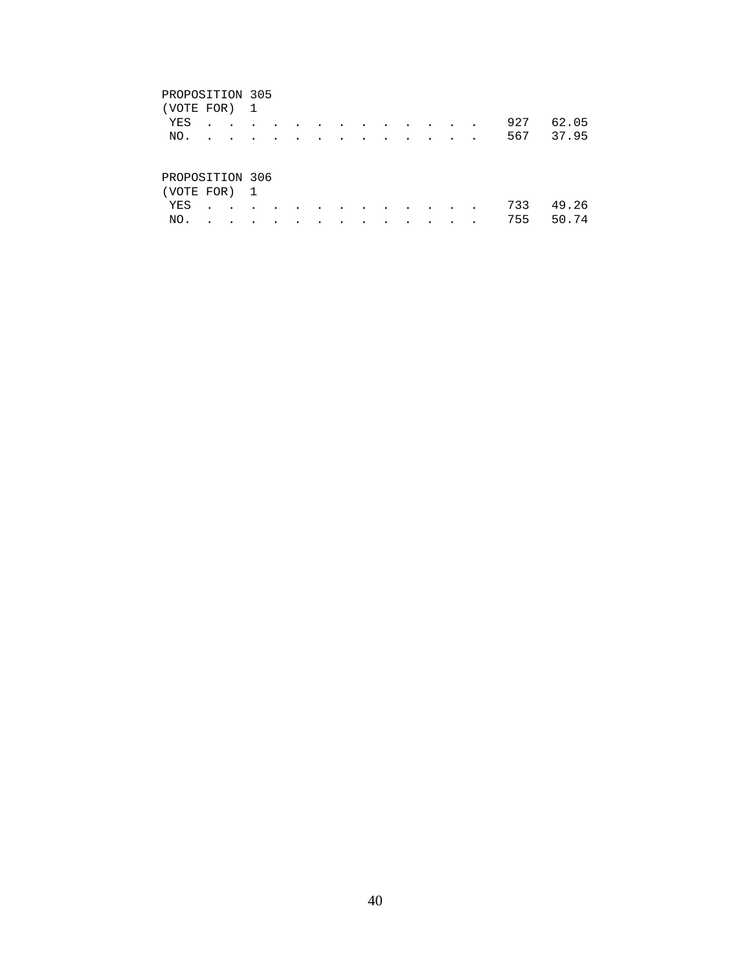| (VOTE FOR) 1        |               |                 |           |                          |                  |                          |        |                                                                                                                 |                 |        |        |     |       |
|---------------------|---------------|-----------------|-----------|--------------------------|------------------|--------------------------|--------|-----------------------------------------------------------------------------------------------------------------|-----------------|--------|--------|-----|-------|
| YES                 | $\sim$        | $\cdot$ $\cdot$ | $\sim$    | $\sim$ $\sim$            | $\sim$ 100 $\pm$ |                          |        | the contract of the contract of the contract of the contract of the contract of the contract of the contract of |                 |        |        | 927 | 62.05 |
| NO.                 | $\sim$ $\sim$ | $\bullet$       | $\bullet$ | $\overline{\phantom{a}}$ | $\cdot$          | $\overline{\phantom{a}}$ | $\sim$ | $\bullet$                                                                                                       | $\sim$          | $\sim$ | $\sim$ | 567 | 37.95 |
| PROPOSITION 306     |               |                 |           |                          |                  |                          |        |                                                                                                                 |                 |        |        |     |       |
| (VOTE FOR) 1<br>YES |               | $\bullet$       |           |                          |                  |                          |        | $\bullet$                                                                                                       | $\cdot$ $\cdot$ | $\sim$ | $\sim$ | 733 | 49.26 |

NO. . . . . . . . . . . . . . 755 50.74

40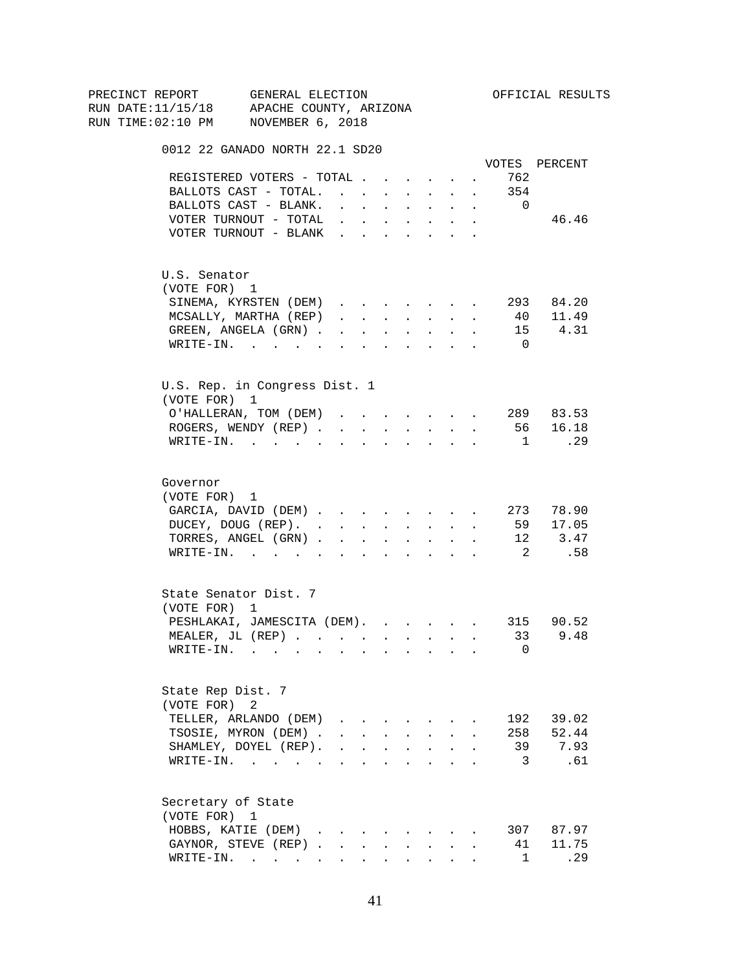| PRECINCT REPORT                          | GENERAL ELECTION                          |                                                                                                         |           |                              |                      |                                                                                 |                      |                      |                         | OFFICIAL RESULTS |
|------------------------------------------|-------------------------------------------|---------------------------------------------------------------------------------------------------------|-----------|------------------------------|----------------------|---------------------------------------------------------------------------------|----------------------|----------------------|-------------------------|------------------|
| RUN DATE:11/15/18 APACHE COUNTY, ARIZONA |                                           |                                                                                                         |           |                              |                      |                                                                                 |                      |                      |                         |                  |
| RUN TIME:02:10 PM NOVEMBER 6, 2018       |                                           |                                                                                                         |           |                              |                      |                                                                                 |                      |                      |                         |                  |
|                                          | 0012 22 GANADO NORTH 22.1 SD20            |                                                                                                         |           |                              |                      |                                                                                 |                      |                      |                         |                  |
|                                          |                                           |                                                                                                         |           |                              |                      |                                                                                 |                      |                      |                         | VOTES PERCENT    |
|                                          | REGISTERED VOTERS - TOTAL                 |                                                                                                         |           |                              |                      |                                                                                 |                      | $\ddot{\phantom{0}}$ | 762                     |                  |
|                                          | BALLOTS CAST - TOTAL.                     |                                                                                                         |           |                              |                      |                                                                                 |                      |                      | 354                     |                  |
|                                          | BALLOTS CAST - BLANK.                     | $\ddot{\phantom{0}}$                                                                                    |           | <b>Carl Carl Corporation</b> |                      | <b>Service Control</b>                                                          | $\sim 10^{-11}$      | $\sim$               | $\overline{0}$          |                  |
|                                          | VOTER TURNOUT - TOTAL                     | <b>All Contracts</b>                                                                                    |           |                              |                      | $\mathbf{u} = \mathbf{u} \cdot \mathbf{u}$ .                                    | $\ddot{\phantom{0}}$ |                      |                         | 46.46            |
|                                          | VOTER TURNOUT - BLANK                     |                                                                                                         |           |                              |                      |                                                                                 |                      |                      |                         |                  |
| U.S. Senator                             |                                           |                                                                                                         |           |                              |                      |                                                                                 |                      |                      |                         |                  |
| (VOTE FOR) 1                             |                                           |                                                                                                         |           |                              |                      |                                                                                 |                      |                      |                         |                  |
|                                          | SINEMA, KYRSTEN (DEM)                     |                                                                                                         |           |                              |                      |                                                                                 |                      |                      |                         | 293 84.20        |
|                                          | MCSALLY, MARTHA (REP)                     | $\mathbf{r} = \mathbf{r} + \mathbf{r} + \mathbf{r} + \mathbf{r} + \mathbf{r} + \mathbf{r} + \mathbf{r}$ |           |                              |                      |                                                                                 |                      | $\sim$               | 40                      | 11.49            |
|                                          | GREEN, ANGELA (GRN).                      | $\mathbf{r}$ , $\mathbf{r}$ , $\mathbf{r}$                                                              |           |                              |                      | $\mathbf{z} = \mathbf{z} + \mathbf{z}$ . The $\mathbf{z}$                       | $\sim$               | $\mathbf{r}$         |                         | 15 4.31          |
|                                          | $\texttt{WRTTE-IN.}$                      | <b>All All Andrew</b>                                                                                   |           |                              |                      | $\mathbf{r} = \mathbf{r} \cdot \mathbf{r}$ .                                    | $\mathbf{L}$         | $\ddot{\phantom{0}}$ | $\overline{0}$          |                  |
|                                          | U.S. Rep. in Congress Dist. 1             |                                                                                                         |           |                              |                      |                                                                                 |                      |                      |                         |                  |
| (VOTE FOR) 1                             |                                           |                                                                                                         |           |                              |                      |                                                                                 |                      |                      |                         |                  |
|                                          | O'HALLERAN, TOM (DEM) 289 83.53           |                                                                                                         |           |                              |                      |                                                                                 |                      |                      |                         |                  |
|                                          | ROGERS, WENDY (REP)                       |                                                                                                         |           |                              |                      | $\mathbf{r}$ , $\mathbf{r}$ , $\mathbf{r}$ , $\mathbf{r}$                       |                      |                      |                         | 56 16.18         |
|                                          | WRITE-IN.                                 |                                                                                                         |           |                              |                      | the contract of the contract of the contract of the contract of the contract of |                      |                      | $\overline{1}$          | $\ldots$ 29      |
|                                          |                                           |                                                                                                         |           |                              |                      |                                                                                 |                      |                      |                         |                  |
| Governor                                 |                                           |                                                                                                         |           |                              |                      |                                                                                 |                      |                      |                         |                  |
| (VOTE FOR) 1                             |                                           |                                                                                                         |           |                              |                      |                                                                                 |                      |                      |                         |                  |
|                                          | GARCIA, DAVID (DEM) 273 78.90             |                                                                                                         |           |                              |                      |                                                                                 |                      |                      |                         |                  |
|                                          | DUCEY, DOUG (REP).                        |                                                                                                         |           |                              |                      |                                                                                 |                      |                      |                         | 59 17.05         |
|                                          | TORRES, ANGEL (GRN)                       |                                                                                                         |           |                              |                      |                                                                                 |                      |                      |                         | 12 3.47          |
|                                          | WRITE-IN.                                 |                                                                                                         |           |                              |                      |                                                                                 |                      |                      | $\overline{\mathbf{c}}$ | .58              |
|                                          | State Senator Dist. 7                     |                                                                                                         |           |                              |                      |                                                                                 |                      |                      |                         |                  |
| (VOTE FOR) 1                             |                                           |                                                                                                         |           |                              |                      |                                                                                 |                      |                      |                         |                  |
|                                          | PESHLAKAI, JAMESCITA (DEM).               |                                                                                                         |           |                              |                      |                                                                                 |                      |                      |                         | 315 90.52        |
|                                          | MEALER, JL (REP), , , , , , , , , 33 9.48 |                                                                                                         |           |                              |                      |                                                                                 |                      |                      |                         |                  |
|                                          | $\texttt{WRTTE-IN.}$                      |                                                                                                         |           |                              |                      |                                                                                 |                      |                      | 0                       |                  |
|                                          |                                           |                                                                                                         |           |                              |                      |                                                                                 |                      |                      |                         |                  |
| State Rep Dist. 7                        |                                           |                                                                                                         |           |                              |                      |                                                                                 |                      |                      |                         |                  |
| (VOTE FOR)                               | 2                                         |                                                                                                         |           |                              |                      |                                                                                 |                      |                      |                         |                  |
|                                          | TELLER, ARLANDO (DEM)                     | $\mathbf{r} = \mathbf{r} + \mathbf{r} + \mathbf{r}$                                                     |           |                              |                      |                                                                                 |                      |                      | 192                     | 39.02            |
|                                          | TSOSIE, MYRON (DEM).                      |                                                                                                         |           |                              |                      | $\mathbf{r} = \mathbf{r} + \mathbf{r} + \mathbf{r} + \mathbf{r}$                | $\sim$               |                      | 258                     | 52.44            |
|                                          | SHAMLEY, DOYEL (REP).                     |                                                                                                         |           |                              |                      | $\mathbf{r}$ , $\mathbf{r}$ , $\mathbf{r}$ , $\mathbf{r}$                       | $\ddot{\phantom{a}}$ |                      | 39                      | 7.93             |
|                                          | WRITE-IN.                                 |                                                                                                         |           |                              |                      |                                                                                 |                      |                      | 3                       | .61              |
| Secretary of State                       |                                           |                                                                                                         |           |                              |                      |                                                                                 |                      |                      |                         |                  |
| (VOTE FOR) 1                             |                                           |                                                                                                         |           |                              |                      |                                                                                 |                      |                      |                         |                  |
|                                          | HOBBS, KATIE (DEM).                       | $\sim$                                                                                                  |           |                              |                      |                                                                                 |                      |                      |                         | 307 87.97        |
|                                          | GAYNOR, STEVE (REP).                      | $\sim$                                                                                                  |           |                              |                      |                                                                                 |                      |                      | 41                      | 11.75            |
|                                          | $\texttt{WRTTE-IN.}$                      | $\sim 100$                                                                                              | $\bullet$ |                              | $\ddot{\phantom{a}}$ | $\sim$ 100 $\pm$                                                                |                      |                      | 1                       | .29              |
|                                          |                                           |                                                                                                         |           |                              |                      |                                                                                 |                      |                      |                         |                  |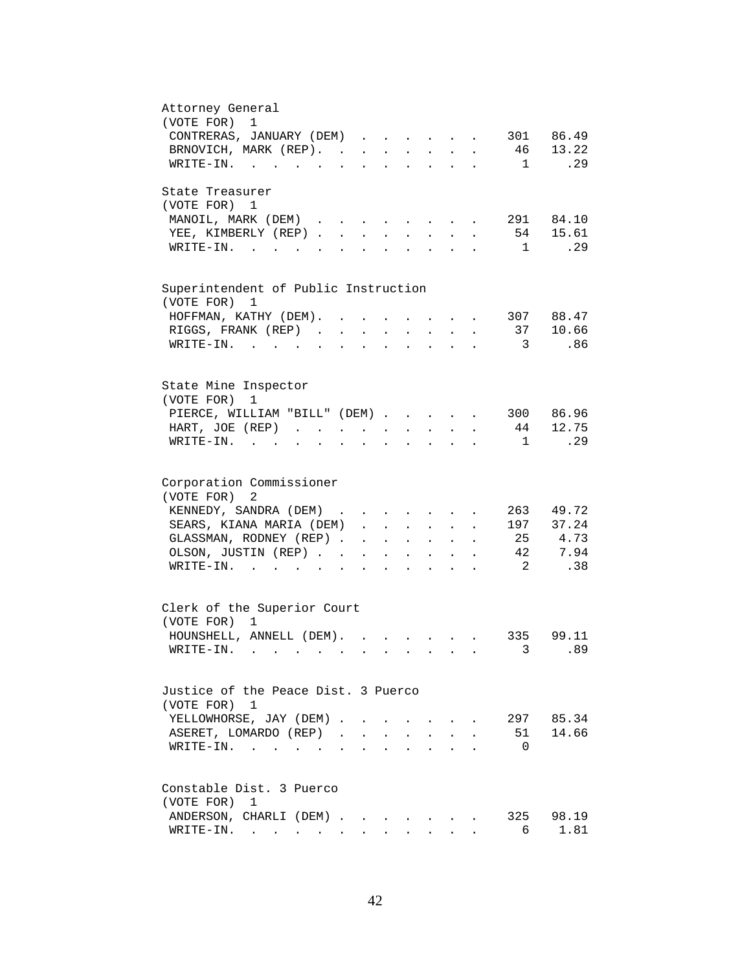| Attorney General<br>(VOTE FOR) 1                                                                                                                                                   |
|------------------------------------------------------------------------------------------------------------------------------------------------------------------------------------|
|                                                                                                                                                                                    |
| CONTRERAS, JANUARY (DEM)<br>301 86.49                                                                                                                                              |
| 13.22<br>BRNOVICH, MARK (REP).<br>46                                                                                                                                               |
| .29<br>$\texttt{WRTTE-IN.}$<br>$\sim$ 1<br>and a strong control of the state of                                                                                                    |
| State Treasurer                                                                                                                                                                    |
| (VOTE FOR) 1                                                                                                                                                                       |
| 291 84.10<br>MANOIL, MARK (DEM)                                                                                                                                                    |
| 54 15.61<br>YEE, KIMBERLY (REP).<br>$\sim$                                                                                                                                         |
| .29<br>$W\text{RITE-IN.}$<br>$\mathbf{1}$<br>$\sim$                                                                                                                                |
|                                                                                                                                                                                    |
| Superintendent of Public Instruction<br>(VOTE FOR) 1                                                                                                                               |
| 307 88.47<br>HOFFMAN, KATHY (DEM). .<br>$\ddot{\phantom{a}}$<br>$\ddot{\phantom{a}}$                                                                                               |
|                                                                                                                                                                                    |
| 37 10.66<br>RIGGS, FRANK (REP)<br>$\ddot{\phantom{a}}$                                                                                                                             |
| 3<br>.86<br>WRITE-IN.<br>$\sim$ $\sim$                                                                                                                                             |
|                                                                                                                                                                                    |
| State Mine Inspector<br>(VOTE FOR)<br>1                                                                                                                                            |
| 300 86.96                                                                                                                                                                          |
| PIERCE, WILLIAM "BILL" (DEM)                                                                                                                                                       |
| 12.75<br>44<br>HART, JOE (REP)<br>$\mathbf{z} = \mathbf{z}$                                                                                                                        |
| .29<br>$WRITE-IN.$<br>$\overline{1}$<br><b>Contract Contract Contract</b><br>$\mathbf{L}$ and $\mathbf{L}$<br>$\ddot{\phantom{a}}$<br>$\ddot{\phantom{a}}$<br>$\ddot{\phantom{a}}$ |
| Corporation Commissioner                                                                                                                                                           |
| (VOTE FOR) 2                                                                                                                                                                       |
| KENNEDY, SANDRA (DEM)<br>263<br>49.72<br>$\mathbf{r}$ , and $\mathbf{r}$ , and $\mathbf{r}$ , and $\mathbf{r}$                                                                     |
| 197 37.24                                                                                                                                                                          |
| SEARS, KIANA MARIA (DEM)                                                                                                                                                           |
| 25 4.73<br>GLASSMAN, RODNEY (REP)<br>$\mathbf{r} = \mathbf{r} + \mathbf{r}$<br>$\ddot{\phantom{a}}$<br>$\bullet$ .<br><br><br><br><br><br><br><br><br><br><br><br>                 |
| 42<br>7.94<br>OLSON, JUSTIN (REP)<br>$\mathcal{L}^{\text{max}}$<br>$\mathbf{A}^{\mathrm{max}}$<br>$\mathbf{L}^{\text{max}}$<br>$\ddot{\phantom{0}}$<br>$\bullet$                   |
| $\overline{\phantom{0}}^2$<br>.38<br>$\texttt{WRTTE-IN.}$<br>$\sim$<br>$\ddot{\phantom{a}}$<br>$\ddot{\phantom{a}}$<br>$\ddot{\phantom{a}}$                                        |
| Clerk of the Superior Court                                                                                                                                                        |
| (VOTE FOR) 1                                                                                                                                                                       |
| HOUNSHELL, ANNELL (DEM). .<br>335 99.11<br>$\mathbf{r}$ , $\mathbf{r}$ , $\mathbf{r}$ , $\mathbf{r}$                                                                               |
| 3.89<br>$W\text{RITE}-\text{IN}.$                                                                                                                                                  |
|                                                                                                                                                                                    |
| Justice of the Peace Dist. 3 Puerco                                                                                                                                                |
| (VOTE FOR) 1                                                                                                                                                                       |
| YELLOWHORSE, JAY (DEM)<br>297 85.34<br>$\mathbf{L}$                                                                                                                                |
| 14.66<br>ASERET, LOMARDO (REP)<br>51<br>$\mathbf{r}$                                                                                                                               |
| $\overline{0}$<br>$\texttt{WRTTE-IN.}$                                                                                                                                             |
|                                                                                                                                                                                    |
| Constable Dist. 3 Puerco                                                                                                                                                           |
| (VOTE FOR)<br>1                                                                                                                                                                    |
| 98.19<br>ANDERSON, CHARLI (DEM)<br>325                                                                                                                                             |
| 1.81<br>WRITE-IN.<br>6                                                                                                                                                             |
|                                                                                                                                                                                    |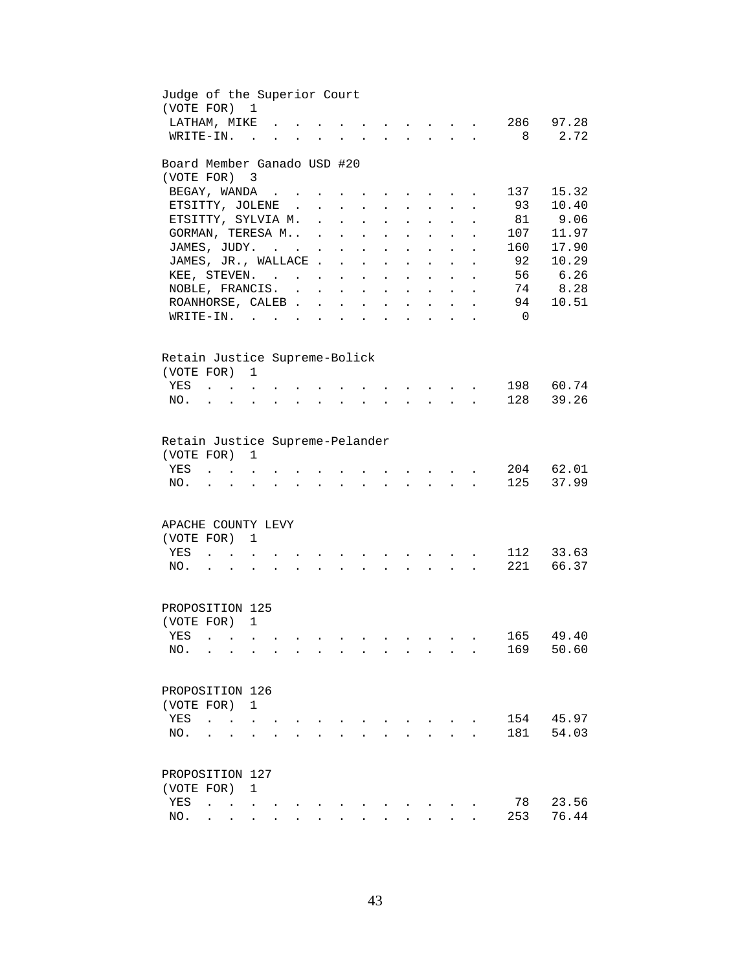| Judge of the Superior Court<br>(VOTE FOR)                   |                                            |                                   | $\mathbf{1}$                    |                      |                                                           |                                 |                            |                      |                           |                                                                          |                                   |                                                             |                      |                |                    |
|-------------------------------------------------------------|--------------------------------------------|-----------------------------------|---------------------------------|----------------------|-----------------------------------------------------------|---------------------------------|----------------------------|----------------------|---------------------------|--------------------------------------------------------------------------|-----------------------------------|-------------------------------------------------------------|----------------------|----------------|--------------------|
| LATHAM, MIKE                                                |                                            |                                   |                                 |                      |                                                           |                                 |                            |                      |                           |                                                                          |                                   |                                                             |                      | 286            | 97.28              |
| WRITE-IN.                                                   |                                            |                                   | $\sim$ $\sim$                   |                      |                                                           |                                 |                            |                      |                           |                                                                          |                                   |                                                             |                      | 8              | 2.72               |
| Board Member Ganado USD #20                                 |                                            |                                   |                                 |                      |                                                           |                                 |                            |                      |                           |                                                                          |                                   |                                                             |                      |                |                    |
| (VOTE FOR)                                                  |                                            |                                   | $\overline{\phantom{a}}$ 3      |                      |                                                           |                                 |                            |                      |                           |                                                                          |                                   |                                                             |                      |                |                    |
| BEGAY, WANDA                                                |                                            |                                   |                                 |                      | $\mathbf{r}$ , $\mathbf{r}$ , $\mathbf{r}$ , $\mathbf{r}$ |                                 |                            |                      |                           |                                                                          |                                   |                                                             |                      | 137            | 15.32              |
| ETSITTY, JOLENE.                                            |                                            |                                   |                                 |                      |                                                           | $\sim 10^{-11}$                 | $\mathcal{L}^{\text{max}}$ | $\ddot{\phantom{a}}$ | $\ddot{\phantom{0}}$      | $\mathbf{z} = \mathbf{z}$                                                |                                   | $\ddot{\phantom{0}}$                                        | $\bullet$            | 93             | 10.40              |
| ETSITTY, SYLVIA M.                                          |                                            |                                   |                                 |                      |                                                           |                                 | $\mathbf{L}$               | $\ddot{\phantom{a}}$ |                           | $\ddot{\phantom{a}}$                                                     |                                   |                                                             |                      | 81             | 9.06               |
| GORMAN, TERESA M .                                          |                                            |                                   |                                 |                      |                                                           |                                 | $\ddot{\phantom{a}}$       | $\ddot{\phantom{a}}$ |                           | $\ddot{\phantom{a}}$                                                     |                                   |                                                             |                      | 107            | 11.97              |
| JAMES, JUDY.                                                |                                            |                                   |                                 |                      |                                                           | $\sim 10$                       | $\ddot{\phantom{0}}$       | $\mathbf{L}$         | $\ddot{\phantom{a}}$      | $\ddot{\phantom{a}}$                                                     |                                   |                                                             |                      | 160            | 17.90              |
| JAMES, JR., WALLACE                                         |                                            |                                   |                                 |                      |                                                           |                                 |                            | $\sim$               | $\ddot{\phantom{a}}$      | $\ddot{\phantom{a}}$                                                     | $\ddot{\phantom{a}}$              | $\ddot{\phantom{a}}$                                        | $\ddot{\phantom{a}}$ | 92             | 10.29              |
| KEE, STEVEN.                                                |                                            |                                   |                                 |                      |                                                           |                                 |                            |                      | $\mathbf{L}^{\text{max}}$ | $\mathbf{L}$                                                             | $\sim$ $\sim$                     | $\mathbf{L}$                                                | $\ddot{\phantom{a}}$ | 56             | 6.26               |
| NOBLE, FRANCIS.                                             |                                            |                                   |                                 |                      |                                                           |                                 |                            |                      |                           | $\mathbf{r} = \mathbf{r} \cdot \mathbf{r}$                               |                                   |                                                             | $\ddot{\phantom{0}}$ | 74             | 8.28               |
| ROANHORSE, CALEB                                            |                                            |                                   |                                 |                      |                                                           |                                 |                            |                      |                           | $\mathbf{z} = \mathbf{z} + \mathbf{z}$ , where $\mathbf{z} = \mathbf{z}$ |                                   | $\bullet$ .<br><br><br><br><br><br><br><br><br><br><br><br> | $\ddot{\phantom{a}}$ | 94             | 10.51              |
| WRITE-IN.                                                   |                                            |                                   |                                 |                      |                                                           |                                 | $\ddot{\phantom{a}}$       |                      |                           |                                                                          |                                   | and the contract of the contract of the contract of         |                      | $\overline{0}$ |                    |
| Retain Justice Supreme-Bolick                               |                                            |                                   |                                 |                      |                                                           |                                 |                            |                      |                           |                                                                          |                                   |                                                             |                      |                |                    |
| (VOTE FOR) 1                                                |                                            |                                   |                                 |                      |                                                           |                                 |                            |                      |                           |                                                                          |                                   |                                                             |                      |                |                    |
| YES                                                         | $\mathbf{r}$ . The set of $\mathbf{r}$     |                                   |                                 |                      |                                                           |                                 |                            |                      |                           |                                                                          |                                   |                                                             |                      | 198            | 60.74              |
| NO.                                                         |                                            | $\ddot{\phantom{a}}$              |                                 |                      |                                                           |                                 |                            |                      |                           |                                                                          | $\mathbf{L}$                      |                                                             |                      | 128            | 39.26              |
| Retain Justice Supreme-Pelander<br>(VOTE FOR)<br>YES<br>NO. |                                            |                                   | 1                               |                      |                                                           |                                 |                            |                      |                           |                                                                          |                                   |                                                             |                      | 125            | 204 62.01<br>37.99 |
| APACHE COUNTY LEVY                                          |                                            |                                   |                                 |                      |                                                           |                                 |                            |                      |                           |                                                                          |                                   |                                                             |                      |                |                    |
| (VOTE FOR)                                                  |                                            |                                   | 1                               |                      |                                                           |                                 |                            |                      |                           |                                                                          |                                   |                                                             |                      |                |                    |
| YES                                                         |                                            | $\ddot{\phantom{a}}$ .            |                                 |                      |                                                           |                                 |                            |                      |                           |                                                                          | <b>Contract Contract Advisers</b> |                                                             |                      | 112            | 33.63              |
| NO.                                                         | $\mathbf{r}$ , $\mathbf{r}$ , $\mathbf{r}$ |                                   | $\ddot{\phantom{a}}$            | $\ddot{\phantom{a}}$ |                                                           | and the state of the state of   | $\ddot{\phantom{a}}$       | $\sim$               |                           |                                                                          |                                   |                                                             |                      | 221            | 66.37              |
| PROPOSITION 125                                             |                                            |                                   |                                 |                      |                                                           |                                 |                            |                      |                           |                                                                          |                                   |                                                             |                      |                |                    |
| (VOTE FOR)                                                  |                                            |                                   | 1                               |                      |                                                           |                                 |                            |                      |                           |                                                                          |                                   |                                                             |                      |                |                    |
| YES .                                                       |                                            |                                   |                                 |                      |                                                           |                                 |                            |                      |                           |                                                                          |                                   |                                                             |                      |                | 165 49.40          |
| NO.                                                         |                                            | <b>Contract Contract Contract</b> | $\ddot{\phantom{a}}$            |                      | $\overline{a}$                                            | $\sim$                          | $\overline{a}$             | $\sim$ $\sim$        |                           |                                                                          |                                   |                                                             |                      | 169            | 50.60              |
| PROPOSITION 126                                             |                                            |                                   |                                 |                      |                                                           |                                 |                            |                      |                           |                                                                          |                                   |                                                             |                      |                |                    |
| (VOTE FOR)                                                  |                                            |                                   | $\mathbf{1}$                    |                      |                                                           |                                 |                            |                      |                           |                                                                          |                                   |                                                             |                      |                |                    |
| YES                                                         | $\ddot{\phantom{a}}$                       |                                   |                                 |                      |                                                           |                                 |                            |                      |                           |                                                                          |                                   |                                                             |                      | 154            | 45.97              |
| NO.                                                         |                                            |                                   |                                 |                      |                                                           |                                 |                            |                      |                           |                                                                          |                                   |                                                             |                      | 181            | 54.03              |
| PROPOSITION 127                                             |                                            |                                   |                                 |                      |                                                           |                                 |                            |                      |                           |                                                                          |                                   |                                                             |                      |                |                    |
| (VOTE FOR)                                                  |                                            |                                   | 1                               |                      |                                                           |                                 |                            |                      |                           |                                                                          |                                   |                                                             |                      |                |                    |
| YES                                                         |                                            |                                   |                                 |                      |                                                           |                                 |                            |                      |                           |                                                                          |                                   |                                                             |                      | 78             | 23.56              |
| NO.                                                         | $\ddot{\phantom{a}}$                       |                                   | <b>Contract Contract</b>        |                      |                                                           |                                 |                            |                      |                           |                                                                          |                                   |                                                             |                      | 253            | 76.44              |
|                                                             |                                            |                                   | $\cdot$ $\cdot$ $\cdot$ $\cdot$ |                      |                                                           | $\cdot$ $\cdot$ $\cdot$ $\cdot$ | $\ddot{\phantom{0}}$       |                      |                           |                                                                          |                                   |                                                             |                      |                |                    |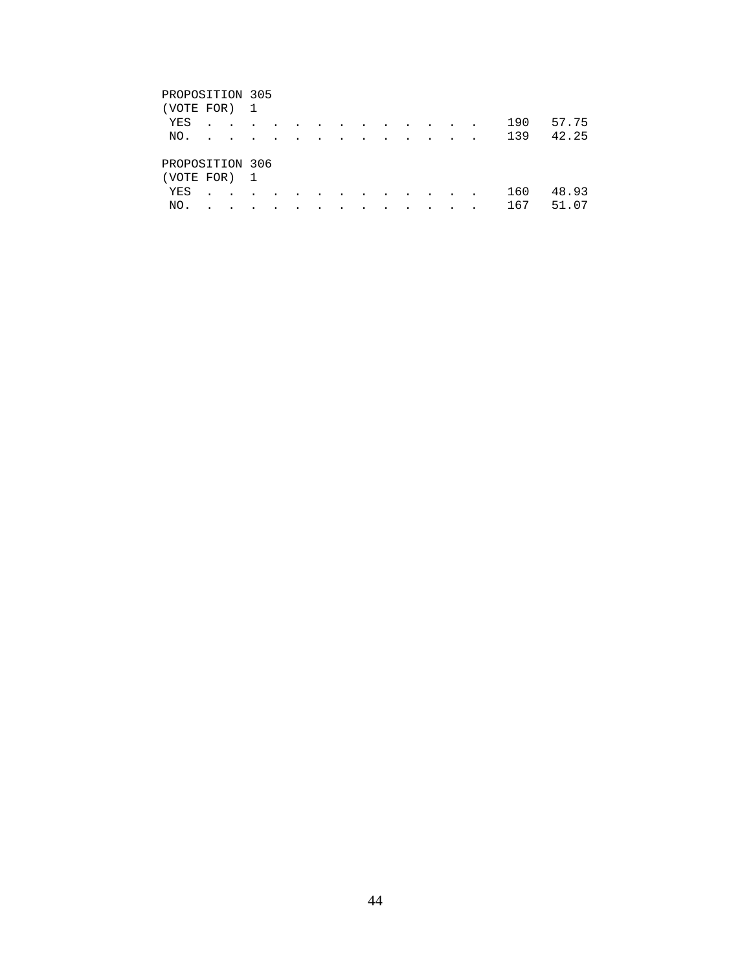# PROPOSITION 305 (VOTE FOR) 1 YES . . . . . . . . . . . . . 190 57.75 NO. . . . . . . . . . . . . . 139 42.25 PROPOSITION 306 (VOTE FOR) 1 YES . . . . . . . . . . . . . 160 48.93 NO. . . . . . . . . . . . . . 167 51.07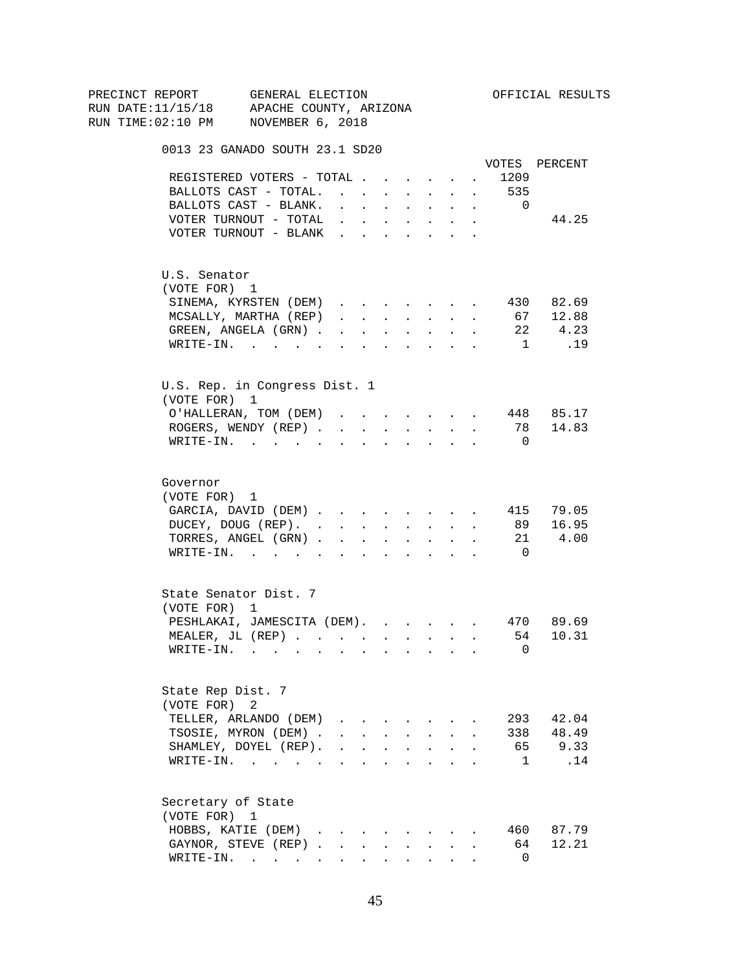| PRECINCT REPORT                          | GENERAL ELECTION                |                                                                                               |                                                             |                                                             |           |                                                                                            |                       |                      |                | OFFICIAL RESULTS |
|------------------------------------------|---------------------------------|-----------------------------------------------------------------------------------------------|-------------------------------------------------------------|-------------------------------------------------------------|-----------|--------------------------------------------------------------------------------------------|-----------------------|----------------------|----------------|------------------|
| RUN DATE:11/15/18 APACHE COUNTY, ARIZONA |                                 |                                                                                               |                                                             |                                                             |           |                                                                                            |                       |                      |                |                  |
| RUN TIME:02:10 PM NOVEMBER 6, 2018       |                                 |                                                                                               |                                                             |                                                             |           |                                                                                            |                       |                      |                |                  |
|                                          | 0013 23 GANADO SOUTH 23.1 SD20  |                                                                                               |                                                             |                                                             |           |                                                                                            |                       |                      |                |                  |
|                                          |                                 |                                                                                               |                                                             |                                                             |           |                                                                                            |                       |                      |                | VOTES PERCENT    |
|                                          | REGISTERED VOTERS - TOTAL       |                                                                                               |                                                             |                                                             |           |                                                                                            |                       | $\ddot{\phantom{a}}$ | 1209           |                  |
|                                          | BALLOTS CAST - TOTAL.           |                                                                                               |                                                             |                                                             |           |                                                                                            |                       |                      | 535            |                  |
|                                          | BALLOTS CAST - BLANK.           | $\ddot{\phantom{0}}$                                                                          |                                                             | <b>Carl Carl Corporation</b>                                |           | <b>Service Control</b>                                                                     | $\bullet$ . $\bullet$ | $\sim$               | $\overline{0}$ |                  |
|                                          | VOTER TURNOUT - TOTAL           | $\mathbf{r} = \mathbf{r} \cdot \mathbf{r}$ , where $\mathbf{r} = \mathbf{r} \cdot \mathbf{r}$ |                                                             |                                                             |           | $\mathbf{u} = \mathbf{u} \cdot \mathbf{u}$ .                                               | $\bullet$ .           |                      |                | 44.25            |
|                                          | VOTER TURNOUT - BLANK           |                                                                                               |                                                             |                                                             |           |                                                                                            |                       |                      |                |                  |
| U.S. Senator                             |                                 |                                                                                               |                                                             |                                                             |           |                                                                                            |                       |                      |                |                  |
| (VOTE FOR) 1                             |                                 |                                                                                               |                                                             |                                                             |           |                                                                                            |                       |                      |                |                  |
|                                          | SINEMA, KYRSTEN (DEM)           |                                                                                               |                                                             |                                                             |           |                                                                                            |                       |                      |                | 430 82.69        |
|                                          | MCSALLY, MARTHA (REP)           |                                                                                               |                                                             |                                                             |           | $\mathbf{r} = \mathbf{r} + \mathbf{r} + \mathbf{r} + \mathbf{r} + \mathbf{r} + \mathbf{r}$ |                       | $\sim$               |                | 67 12.88         |
|                                          | GREEN, ANGELA (GRN).            | $\cdot$ $\cdot$ $\cdot$ $\cdot$                                                               |                                                             |                                                             |           | $\mathbf{z} = \mathbf{z} + \mathbf{z}$ . The $\mathbf{z}$                                  | $\sim$                | $\sim$               | 22             | 4.23             |
|                                          | $\texttt{WRTTE-IN.}$            | $\sim$                                                                                        |                                                             | $\sim$ $\sim$ $\sim$                                        |           | $\mathbf{r} = \mathbf{r} \cdot \mathbf{r}$ .                                               | $\mathbf{L}$          | $\sim$               | 1              | .19              |
|                                          | U.S. Rep. in Congress Dist. 1   |                                                                                               |                                                             |                                                             |           |                                                                                            |                       |                      |                |                  |
| (VOTE FOR) 1                             |                                 |                                                                                               |                                                             |                                                             |           |                                                                                            |                       |                      |                |                  |
|                                          | O'HALLERAN, TOM (DEM) 448 85.17 |                                                                                               |                                                             |                                                             |           |                                                                                            |                       |                      |                |                  |
|                                          | ROGERS, WENDY (REP)             |                                                                                               |                                                             |                                                             |           | $\mathbf{r} = \mathbf{r} + \mathbf{r}$ , where $\mathbf{r} = \mathbf{r}$                   |                       |                      |                | 78 14.83         |
|                                          | WRITE-IN.                       |                                                                                               |                                                             | $\mathcal{L}^{\text{max}}$ , and $\mathcal{L}^{\text{max}}$ |           |                                                                                            |                       |                      | - 0            |                  |
|                                          |                                 |                                                                                               |                                                             |                                                             |           |                                                                                            |                       |                      |                |                  |
| Governor                                 |                                 |                                                                                               |                                                             |                                                             |           |                                                                                            |                       |                      |                |                  |
| (VOTE FOR) 1                             |                                 |                                                                                               |                                                             |                                                             |           |                                                                                            |                       |                      |                |                  |
|                                          | GARCIA, DAVID (DEM) 415 79.05   |                                                                                               |                                                             |                                                             |           |                                                                                            |                       |                      |                |                  |
|                                          | DUCEY, DOUG (REP).              |                                                                                               |                                                             |                                                             |           |                                                                                            |                       |                      |                | 89 16.95         |
|                                          | TORRES, ANGEL (GRN)             |                                                                                               |                                                             |                                                             |           |                                                                                            |                       |                      |                | 21 4.00          |
|                                          | WRITE-IN.                       |                                                                                               |                                                             |                                                             |           |                                                                                            |                       |                      | $\overline{0}$ |                  |
|                                          | State Senator Dist. 7           |                                                                                               |                                                             |                                                             |           |                                                                                            |                       |                      |                |                  |
| (VOTE FOR) 1                             |                                 |                                                                                               |                                                             |                                                             |           |                                                                                            |                       |                      |                |                  |
|                                          | PESHLAKAI, JAMESCITA (DEM).     |                                                                                               |                                                             |                                                             |           |                                                                                            |                       |                      |                | 470 89.69        |
|                                          | MEALER, JL (REP)                |                                                                                               |                                                             |                                                             |           |                                                                                            |                       |                      |                | 54 10.31         |
|                                          | WRITE-IN.                       |                                                                                               |                                                             |                                                             |           |                                                                                            |                       |                      | 0              |                  |
| State Rep Dist. 7                        |                                 |                                                                                               |                                                             |                                                             |           |                                                                                            |                       |                      |                |                  |
| (VOTE FOR)                               | 2                               |                                                                                               |                                                             |                                                             |           |                                                                                            |                       |                      |                |                  |
|                                          | TELLER, ARLANDO (DEM)           | $\mathbf{r}$ , $\mathbf{r}$ , $\mathbf{r}$ , $\mathbf{r}$                                     |                                                             |                                                             |           |                                                                                            |                       |                      |                | 293 42.04        |
|                                          | TSOSIE, MYRON (DEM).            |                                                                                               |                                                             |                                                             |           | $\mathbf{r}$ , $\mathbf{r}$ , $\mathbf{r}$ , $\mathbf{r}$ , $\mathbf{r}$                   | $\mathbf{r}$          |                      | 338            | 48.49            |
|                                          | SHAMLEY, DOYEL (REP).           |                                                                                               |                                                             |                                                             |           | $\mathbf{r}$ , $\mathbf{r}$ , $\mathbf{r}$ , $\mathbf{r}$                                  | $\ddot{\phantom{a}}$  |                      |                | 65 9.33          |
|                                          | WRITE-IN.                       |                                                                                               |                                                             |                                                             |           |                                                                                            |                       |                      | $\mathbf{1}$   | .14              |
| Secretary of State                       |                                 |                                                                                               |                                                             |                                                             |           |                                                                                            |                       |                      |                |                  |
| (VOTE FOR) 1                             |                                 |                                                                                               |                                                             |                                                             |           |                                                                                            |                       |                      |                |                  |
|                                          | HOBBS, KATIE (DEM).             | $\sim$                                                                                        |                                                             |                                                             |           |                                                                                            |                       |                      |                | 460 87.79        |
|                                          | GAYNOR, STEVE (REP).            | $\sim$                                                                                        |                                                             |                                                             |           |                                                                                            |                       |                      | 64             | 12.21            |
|                                          | WRITE-IN.                       |                                                                                               |                                                             | $\ddot{\phantom{0}}$                                        |           | $\sim$ 100 $\pm$                                                                           |                       |                      | $\Omega$       |                  |
|                                          |                                 | $\sim 100$                                                                                    | $\bullet$ .<br><br><br><br><br><br><br><br><br><br><br><br> |                                                             | $\bullet$ |                                                                                            |                       |                      |                |                  |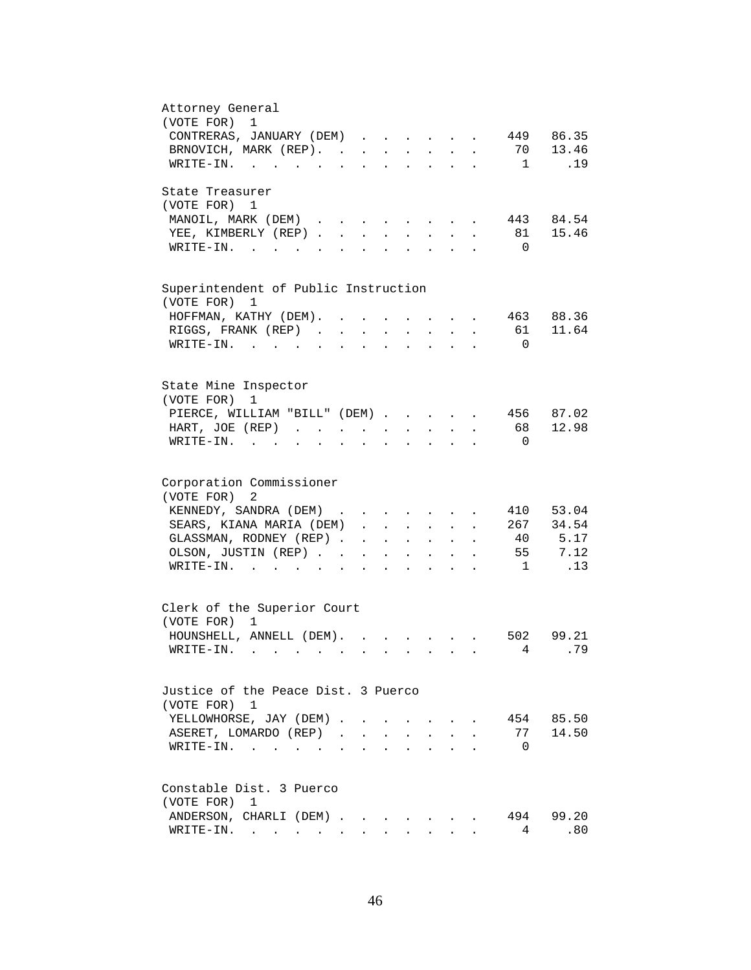| Attorney General<br>(VOTE FOR) 1                                                                                                                                                |
|---------------------------------------------------------------------------------------------------------------------------------------------------------------------------------|
| CONTRERAS, JANUARY (DEM)<br>449 86.35<br>$\mathbf{r}$                                                                                                                           |
| 70 13.46<br>BRNOVICH, MARK (REP).                                                                                                                                               |
| $\overline{1}$<br>.19<br>WRITE-IN.                                                                                                                                              |
|                                                                                                                                                                                 |
| State Treasurer                                                                                                                                                                 |
| (VOTE FOR) 1                                                                                                                                                                    |
| 443 84.54<br>MANOIL, MARK (DEM)                                                                                                                                                 |
| 15.46<br>YEE, KIMBERLY (REP).<br>81<br>$\sim$<br>$\cdot$                                                                                                                        |
| $W\text{RITE}-\text{IN}.$<br>$\overline{0}$                                                                                                                                     |
|                                                                                                                                                                                 |
| Superintendent of Public Instruction<br>(VOTE FOR)<br>1                                                                                                                         |
| 463 88.36<br>HOFFMAN, KATHY (DEM).<br>$\ddot{\phantom{a}}$<br>$\mathbf{L}^{\text{max}}$ and $\mathbf{L}^{\text{max}}$                                                           |
| RIGGS, FRANK (REP)<br>61 11.64<br>$\ddot{\phantom{a}}$<br>$\mathbf{r} = \mathbf{r} + \mathbf{r}$ .<br>$\mathbf{L}^{\text{max}}$<br>$\bullet$                                    |
| $W\text{RITE}-\text{IN}.$<br>$\overline{0}$<br>$\ddot{\phantom{a}}$                                                                                                             |
|                                                                                                                                                                                 |
| State Mine Inspector                                                                                                                                                            |
| (VOTE FOR)<br>1                                                                                                                                                                 |
| PIERCE, WILLIAM "BILL" (DEM)<br>456 87.02                                                                                                                                       |
| 12.98<br>68<br>HART, JOE (REP)                                                                                                                                                  |
| WRITE-IN.<br>$\overline{0}$                                                                                                                                                     |
|                                                                                                                                                                                 |
| Corporation Commissioner                                                                                                                                                        |
| (VOTE FOR) 2                                                                                                                                                                    |
| 410 53.04<br>KENNEDY, SANDRA (DEM)                                                                                                                                              |
| 267 34.54<br>SEARS, KIANA MARIA (DEM)                                                                                                                                           |
| 40 5.17<br>GLASSMAN, RODNEY (REP)<br>$\mathbf{r}$ , $\mathbf{r}$ , $\mathbf{r}$ , $\mathbf{r}$                                                                                  |
| 55 7.12<br>OLSON, JUSTIN (REP)<br>$\begin{array}{cccccccccccccc} \bullet & \bullet & \bullet & \bullet & \bullet & \bullet & \bullet & \bullet & \bullet & \bullet \end{array}$ |
| $\overline{1}$<br>.13<br>$\texttt{WRTTE-IN.}$<br>$\mathbf{r} = \mathbf{r} \cdot \mathbf{r}$<br>$\mathbf{z} = \mathbf{z} + \mathbf{z}$ .                                         |
|                                                                                                                                                                                 |
| Clerk of the Superior Court                                                                                                                                                     |
| (VOTE FOR) 1                                                                                                                                                                    |
| HOUNSHELL, ANNELL (DEM).<br>502 99.21                                                                                                                                           |
| . 79<br>$4\degree$<br>$WRITE-IN.$                                                                                                                                               |
|                                                                                                                                                                                 |
| Justice of the Peace Dist. 3 Puerco                                                                                                                                             |
| (VOTE FOR) 1                                                                                                                                                                    |
| YELLOWHORSE, JAY (DEM).<br>454 85.50                                                                                                                                            |
| 77 14.50<br>ASERET, LOMARDO (REP).<br>$\mathbf{r}$                                                                                                                              |
| WRITE-IN.<br>$\overline{0}$                                                                                                                                                     |
|                                                                                                                                                                                 |
| Constable Dist. 3 Puerco                                                                                                                                                        |
| (VOTE FOR)<br>1                                                                                                                                                                 |
| 494 99.20<br>ANDERSON, CHARLI (DEM)                                                                                                                                             |
| 4<br>$\texttt{WRTTE-IN.}$<br>.80                                                                                                                                                |
|                                                                                                                                                                                 |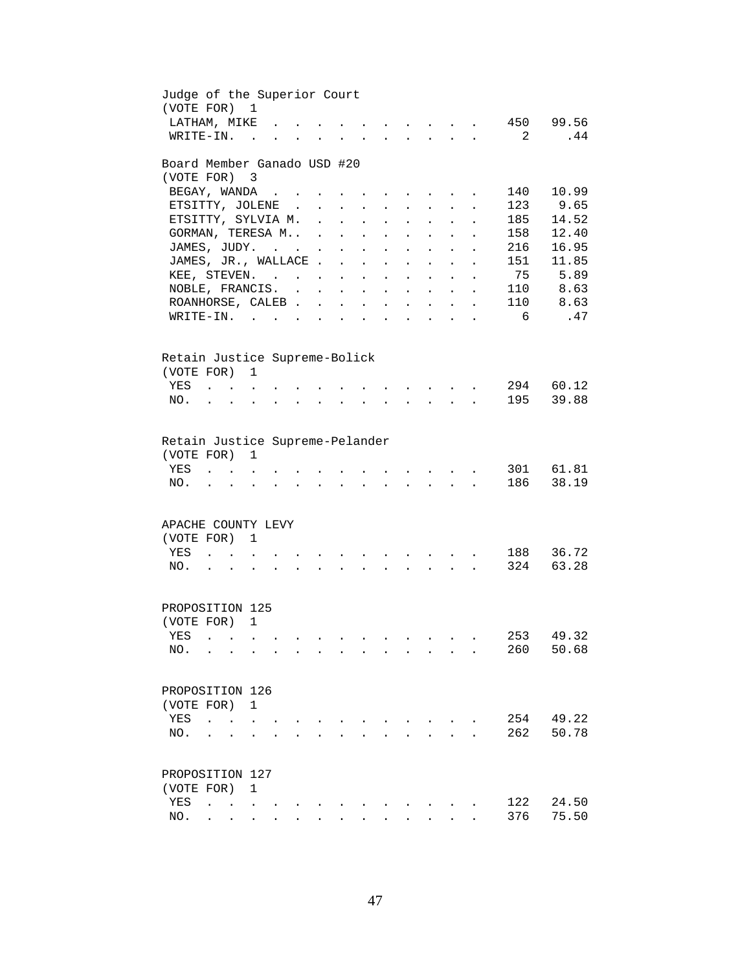| Judge of the Superior Court<br>(VOTE FOR) 1 |                                        |                                        |                                            |  |                                                             |                           |                                                                               |                      |                                                                          |                           |                       |                      |                            |                  |
|---------------------------------------------|----------------------------------------|----------------------------------------|--------------------------------------------|--|-------------------------------------------------------------|---------------------------|-------------------------------------------------------------------------------|----------------------|--------------------------------------------------------------------------|---------------------------|-----------------------|----------------------|----------------------------|------------------|
| LATHAM, MIKE<br>WRITE-IN.                   |                                        |                                        | $\sim$ $\sim$                              |  |                                                             |                           |                                                                               |                      |                                                                          |                           |                       |                      | $\overline{\phantom{0}}^2$ | 450 99.56<br>.44 |
| Board Member Ganado USD #20                 |                                        |                                        |                                            |  |                                                             |                           |                                                                               |                      |                                                                          |                           |                       |                      |                            |                  |
| (VOTE FOR)                                  |                                        |                                        | $\overline{\mathbf{3}}$                    |  |                                                             |                           |                                                                               |                      |                                                                          |                           |                       |                      |                            |                  |
| BEGAY, WANDA                                |                                        |                                        |                                            |  |                                                             |                           |                                                                               |                      |                                                                          |                           |                       |                      | 140                        | 10.99            |
| ETSITTY, JOLENE                             |                                        |                                        |                                            |  |                                                             |                           |                                                                               |                      | $\mathbf{z} = \mathbf{z} + \mathbf{z}$ , where $\mathbf{z} = \mathbf{z}$ |                           | $\bullet$ .           | $\bullet$            | 123                        | 9.65             |
| ETSITTY, SYLVIA M. .                        |                                        |                                        |                                            |  |                                                             | $\mathbf{L}^{\text{max}}$ | $\mathcal{L}^{\text{max}}$                                                    | $\bullet$            | $\mathbf{L}^{\text{max}}$                                                | $\bullet$ .               | $\ddot{\phantom{a}}$  |                      | 185                        | 14.52            |
| GORMAN, TERESA M .                          |                                        |                                        |                                            |  |                                                             | $\sim 10$                 | $\ddot{\phantom{0}}$                                                          | $\bullet$            | $\ddot{\phantom{a}}$                                                     |                           |                       |                      | 158                        | 12.40            |
| JAMES, JUDY.                                |                                        |                                        |                                            |  |                                                             | $\ddot{\phantom{a}}$      | $\ddot{\phantom{a}}$                                                          |                      | $\ddot{\phantom{0}}$                                                     |                           |                       |                      | 216                        | 16.95            |
| JAMES, JR., WALLACE.                        |                                        |                                        |                                            |  |                                                             | $\ddot{\phantom{a}}$      | $\ddot{\phantom{a}}$                                                          | $\ddot{\phantom{a}}$ | $\ddot{\phantom{a}}$                                                     | $\ddot{\phantom{a}}$      | $\ddot{\phantom{a}}$  | $\ddot{\phantom{a}}$ | 151                        | 11.85            |
| KEE, STEVEN.                                |                                        |                                        |                                            |  |                                                             | $\mathbf{L}^{\text{max}}$ | $\ddot{\phantom{0}}$                                                          | $\ddot{\phantom{a}}$ | $\ddot{\phantom{a}}$                                                     | $\ddot{\phantom{a}}$      |                       |                      |                            | 75 5.89          |
| NOBLE, FRANCIS.                             |                                        |                                        |                                            |  |                                                             |                           | $\mathbf{L} = \mathbf{L}$                                                     |                      | $\mathbf{L} = \mathbf{L} \mathbf{L} + \mathbf{L} \mathbf{L}$             |                           | $\ddot{\phantom{a}}$  | $\ddot{\phantom{a}}$ |                            | 110 8.63         |
| ROANHORSE, CALEB                            |                                        |                                        |                                            |  |                                                             |                           |                                                                               |                      | $\mathbf{r}$ and $\mathbf{r}$ and $\mathbf{r}$                           |                           | $\mathbf{L}$          | $\ddot{\phantom{a}}$ |                            | 110 8.63         |
| $\texttt{WRTTE-IN.}$                        |                                        |                                        |                                            |  |                                                             |                           | $\mathbf{r} = \mathbf{r} + \mathbf{r} + \mathbf{r} + \mathbf{r} + \mathbf{r}$ |                      |                                                                          |                           | $\ddot{\phantom{0}}$  | $\ddot{\phantom{a}}$ | $6\overline{6}$            | .47              |
|                                             |                                        |                                        |                                            |  |                                                             |                           |                                                                               |                      |                                                                          |                           |                       |                      |                            |                  |
| Retain Justice Supreme-Bolick               |                                        |                                        |                                            |  |                                                             |                           |                                                                               |                      |                                                                          |                           |                       |                      |                            |                  |
| (VOTE FOR) 1                                |                                        |                                        |                                            |  |                                                             |                           |                                                                               |                      |                                                                          |                           |                       |                      |                            |                  |
| YES                                         | $\mathbf{r}$ . The set of $\mathbf{r}$ |                                        |                                            |  |                                                             |                           |                                                                               |                      |                                                                          |                           |                       |                      | 294                        | 60.12            |
| NO.                                         |                                        |                                        |                                            |  |                                                             |                           |                                                                               |                      |                                                                          |                           |                       |                      | 195                        | 39.88            |
|                                             |                                        |                                        |                                            |  |                                                             |                           |                                                                               |                      |                                                                          |                           |                       |                      |                            |                  |
| Retain Justice Supreme-Pelander             |                                        |                                        |                                            |  |                                                             |                           |                                                                               |                      |                                                                          |                           |                       |                      |                            |                  |
| (VOTE FOR)                                  |                                        |                                        | 1                                          |  |                                                             |                           |                                                                               |                      |                                                                          |                           |                       |                      |                            |                  |
| YES                                         | $\ddot{\phantom{a}}$                   | $\sim$ $\sim$ $\sim$                   |                                            |  |                                                             |                           |                                                                               |                      |                                                                          |                           |                       |                      | 301                        | 61.81            |
| NO.                                         |                                        |                                        |                                            |  | $\bullet$                                                   | $\bullet$                 | $\ddot{\phantom{0}}$                                                          |                      |                                                                          |                           |                       |                      | 186                        | 38.19            |
|                                             |                                        |                                        |                                            |  |                                                             |                           |                                                                               |                      |                                                                          |                           |                       |                      |                            |                  |
| APACHE COUNTY LEVY                          |                                        |                                        |                                            |  |                                                             |                           |                                                                               |                      |                                                                          |                           |                       |                      |                            |                  |
| (VOTE FOR)                                  |                                        |                                        | 1                                          |  |                                                             |                           |                                                                               |                      |                                                                          |                           |                       |                      |                            |                  |
| YES                                         |                                        | $\mathbf{r} = \mathbf{r} - \mathbf{r}$ |                                            |  |                                                             |                           |                                                                               |                      |                                                                          |                           | and a strategic state |                      | 188                        | 36.72            |
| NO.                                         | and the state of the state of          |                                        | $\ddot{\phantom{0}}$                       |  | $\mathbf{r} = \mathbf{r}$ , where $\mathbf{r} = \mathbf{r}$ | $\ddot{\phantom{a}}$      | $\mathbf{A}$                                                                  |                      | $\mathbf{r}$ and $\mathbf{r}$ and $\mathbf{r}$ and $\mathbf{r}$          |                           |                       |                      | 324                        | 63.28            |
|                                             |                                        |                                        |                                            |  |                                                             |                           |                                                                               |                      |                                                                          |                           |                       |                      |                            |                  |
| PROPOSITION 125                             |                                        |                                        |                                            |  |                                                             |                           |                                                                               |                      |                                                                          |                           |                       |                      |                            |                  |
| (VOTE FOR)                                  |                                        |                                        | $\mathbf{1}$                               |  |                                                             |                           |                                                                               |                      |                                                                          |                           |                       |                      |                            |                  |
| YES .                                       |                                        |                                        |                                            |  |                                                             |                           |                                                                               |                      |                                                                          |                           |                       |                      |                            | 253 49.32        |
| NO.                                         |                                        |                                        |                                            |  |                                                             |                           |                                                                               |                      |                                                                          |                           |                       |                      | 260                        | 50.68            |
|                                             |                                        |                                        |                                            |  |                                                             |                           |                                                                               |                      |                                                                          |                           |                       |                      |                            |                  |
| PROPOSITION 126                             |                                        |                                        |                                            |  |                                                             |                           |                                                                               |                      |                                                                          |                           |                       |                      |                            |                  |
| (VOTE FOR)                                  |                                        |                                        | $\mathbf{1}$                               |  |                                                             |                           |                                                                               |                      |                                                                          |                           |                       |                      |                            |                  |
| YES                                         | $\ddot{\phantom{0}}$                   |                                        |                                            |  |                                                             |                           |                                                                               |                      |                                                                          |                           |                       |                      | 254                        | 49.22            |
| NO.                                         |                                        |                                        |                                            |  |                                                             |                           |                                                                               |                      |                                                                          |                           |                       |                      | 262                        | 50.78            |
|                                             |                                        |                                        |                                            |  |                                                             |                           |                                                                               |                      |                                                                          |                           |                       |                      |                            |                  |
| PROPOSITION 127                             |                                        |                                        |                                            |  |                                                             |                           |                                                                               |                      |                                                                          |                           |                       |                      |                            |                  |
| (VOTE FOR)                                  |                                        |                                        | $\mathbf 1$                                |  |                                                             |                           |                                                                               |                      |                                                                          |                           |                       |                      |                            |                  |
| YES                                         | $\ddot{\phantom{a}}$                   |                                        | $\mathbf{r}$ , $\mathbf{r}$ , $\mathbf{r}$ |  |                                                             |                           |                                                                               |                      |                                                                          |                           |                       |                      | 122                        | 24.50            |
| NO.                                         |                                        | $\cdot$ $\cdot$ $\cdot$                | $\ddot{\phantom{0}}$                       |  |                                                             |                           |                                                                               |                      |                                                                          | $\mathbf{L}^{\text{max}}$ |                       |                      | 376                        | 75.50            |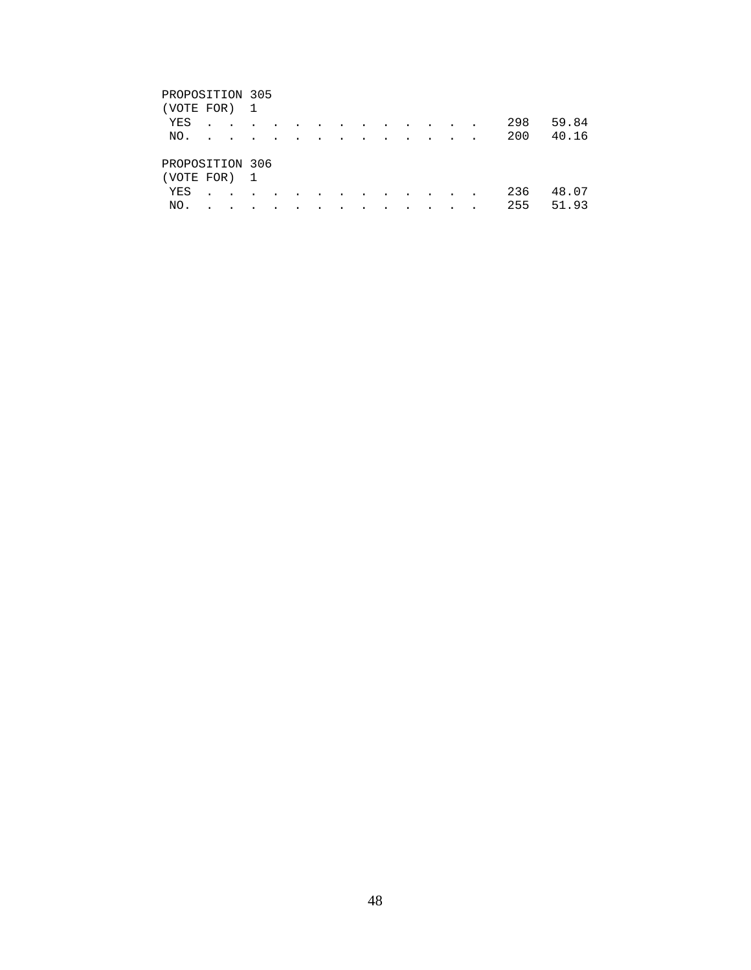# PROPOSITION 305 (VOTE FOR) 1 YES . . . . . . . . . . . . . 298 59.84 NO. . . . . . . . . . . . . . 200 40.16 PROPOSITION 306 (VOTE FOR) 1 YES . . . . . . . . . . . . . 236 48.07 NO. . . . . . . . . . . . . . 255 51.93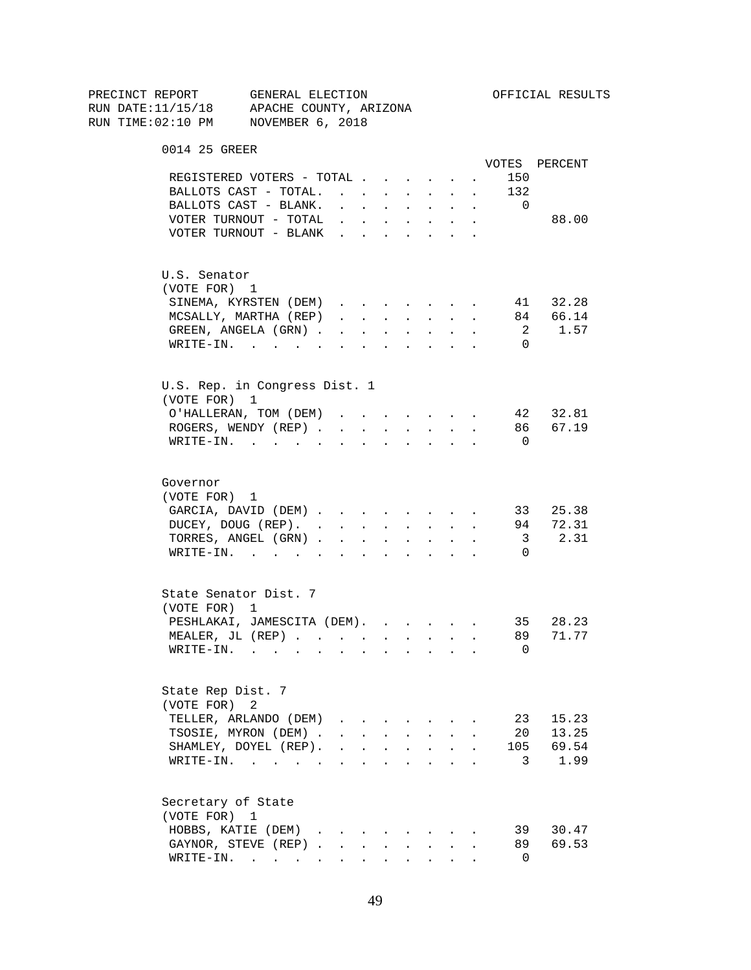| PRECINCT REPORT                          | GENERAL ELECTION |                                 |                           |                             |                      |                                                                                         |                            |              |                | OFFICIAL RESULTS |
|------------------------------------------|------------------|---------------------------------|---------------------------|-----------------------------|----------------------|-----------------------------------------------------------------------------------------|----------------------------|--------------|----------------|------------------|
| RUN DATE:11/15/18 APACHE COUNTY, ARIZONA |                  |                                 |                           |                             |                      |                                                                                         |                            |              |                |                  |
| RUN TIME:02:10 PM NOVEMBER 6, 2018       |                  |                                 |                           |                             |                      |                                                                                         |                            |              |                |                  |
|                                          |                  |                                 |                           |                             |                      |                                                                                         |                            |              |                |                  |
| 0014 25 GREER                            |                  |                                 |                           |                             |                      |                                                                                         |                            |              |                | VOTES PERCENT    |
| REGISTERED VOTERS - TOTAL                |                  |                                 |                           |                             |                      |                                                                                         |                            |              | 150            |                  |
|                                          |                  |                                 |                           |                             |                      |                                                                                         |                            |              |                |                  |
| BALLOTS CAST - TOTAL.                    |                  |                                 |                           |                             |                      |                                                                                         |                            | $\sim$       | 132            |                  |
| BALLOTS CAST - BLANK.                    |                  |                                 |                           |                             |                      | $\mathbf{r}$ , $\mathbf{r}$ , $\mathbf{r}$ , $\mathbf{r}$ , $\mathbf{r}$ , $\mathbf{r}$ |                            |              | $\overline{0}$ |                  |
| VOTER TURNOUT - TOTAL $\cdot$            |                  |                                 |                           |                             |                      |                                                                                         |                            |              |                | 88.00            |
| VOTER TURNOUT - BLANK                    |                  |                                 |                           |                             |                      |                                                                                         |                            |              |                |                  |
| U.S. Senator                             |                  |                                 |                           |                             |                      |                                                                                         |                            |              |                |                  |
| (VOTE FOR) 1                             |                  |                                 |                           |                             |                      |                                                                                         |                            |              |                |                  |
| SINEMA, KYRSTEN (DEM)                    |                  |                                 |                           |                             |                      |                                                                                         |                            |              |                | 41 32.28         |
| MCSALLY, MARTHA (REP)                    |                  |                                 |                           |                             |                      |                                                                                         |                            |              |                | 84 66.14         |
| GREEN, ANGELA (GRN)                      |                  |                                 |                           |                             |                      |                                                                                         |                            |              |                | 2 1.57           |
|                                          |                  |                                 |                           |                             |                      |                                                                                         |                            |              |                |                  |
| WRITE-IN.                                |                  |                                 |                           |                             |                      |                                                                                         |                            |              | $\Omega$       |                  |
| U.S. Rep. in Congress Dist. 1            |                  |                                 |                           |                             |                      |                                                                                         |                            |              |                |                  |
| (VOTE FOR) 1                             |                  |                                 |                           |                             |                      |                                                                                         |                            |              |                |                  |
| O'HALLERAN, TOM (DEM)                    |                  |                                 |                           |                             |                      |                                                                                         |                            |              |                | 42 32.81         |
| ROGERS, WENDY (REP).                     |                  |                                 |                           | $\mathbf{r}$ , $\mathbf{r}$ | $\mathbf{L}$         | $\sim$ $\sim$                                                                           | $\mathcal{L}^{\text{max}}$ | $\mathbf{r}$ |                | 86 67.19         |
| $\texttt{WRTTE-IN.}$                     |                  | $\mathbf{L}^{\text{max}}$       |                           | $\mathbf{L} = \mathbf{L}$   | $\sim$               | $\sim 100$                                                                              | $\mathbf{L}$               |              | $\overline{0}$ |                  |
|                                          |                  |                                 |                           |                             |                      |                                                                                         |                            |              |                |                  |
| Governor                                 |                  |                                 |                           |                             |                      |                                                                                         |                            |              |                |                  |
| (VOTE FOR) 1                             |                  |                                 |                           |                             |                      |                                                                                         |                            |              |                |                  |
| GARCIA, DAVID (DEM)                      |                  |                                 |                           |                             |                      |                                                                                         |                            | $\sim$       |                | 33 25.38         |
| DUCEY, DOUG (REP).                       |                  |                                 |                           |                             |                      | <b>All Carried Control</b>                                                              |                            |              | 94             | 72.31            |
| TORRES, ANGEL (GRN).                     |                  | $\sim$                          | $\sim$                    | $\ddot{\phantom{0}}$        | $\ddot{\phantom{0}}$ | $\mathbf{L}^{\text{max}}$                                                               |                            |              | 3              | 2.31             |
| $\texttt{WRTTE-IN.}$                     |                  | $\cdot$ $\cdot$ $\cdot$ $\cdot$ |                           |                             |                      | $\mathbf{r} = \mathbf{r}$                                                               |                            |              | $\Omega$       |                  |
|                                          |                  |                                 |                           |                             |                      |                                                                                         |                            |              |                |                  |
| State Senator Dist. 7                    |                  |                                 |                           |                             |                      |                                                                                         |                            |              |                |                  |
| (VOTE FOR) 1                             |                  |                                 |                           |                             |                      |                                                                                         |                            |              |                |                  |
| PESHLAKAI, JAMESCITA (DEM).              |                  |                                 |                           |                             |                      |                                                                                         |                            |              |                | 35 28.23         |
| MEALER, JL $(REP)$                       |                  |                                 |                           |                             |                      |                                                                                         |                            |              | 89             | 71.77            |
| $WRITE-IN.$ .                            |                  |                                 |                           |                             |                      |                                                                                         |                            |              | 0              |                  |
|                                          |                  |                                 |                           |                             |                      |                                                                                         |                            |              |                |                  |
| State Rep Dist. 7                        |                  |                                 |                           |                             |                      |                                                                                         |                            |              |                |                  |
| (VOTE FOR)                               | 2                |                                 |                           |                             |                      |                                                                                         |                            |              |                |                  |
| TELLER, ARLANDO (DEM)                    |                  |                                 |                           |                             |                      |                                                                                         |                            |              | 23             | 15.23            |
| TSOSIE, MYRON (DEM).                     |                  |                                 | $\mathbf{L}^{\text{max}}$ |                             |                      | $\sim$                                                                                  |                            |              | 20             | 13.25            |
| SHAMLEY, DOYEL (REP).                    |                  |                                 |                           |                             |                      |                                                                                         |                            |              | 105            | 69.54            |
| $\texttt{WRTTE-IN.}$                     |                  | $\ddot{\phantom{a}}$            |                           |                             |                      |                                                                                         |                            |              | 3              | 1.99             |
| Secretary of State                       |                  |                                 |                           |                             |                      |                                                                                         |                            |              |                |                  |
| (VOTE FOR) 1                             |                  |                                 |                           |                             |                      |                                                                                         |                            |              |                |                  |
|                                          |                  |                                 |                           |                             |                      |                                                                                         |                            |              |                |                  |
| HOBBS, KATIE (DEM)                       |                  |                                 |                           |                             |                      |                                                                                         |                            |              | 39             | 30.47            |
| GAYNOR, STEVE (REP)                      |                  |                                 |                           | $\mathbf{r}$                |                      | $\cdot$ $\cdot$ $\cdot$                                                                 |                            |              | 89             | 69.53            |
| WRITE-IN.                                |                  |                                 |                           |                             |                      | $\mathbf{A}$ and $\mathbf{A}$ and $\mathbf{A}$                                          |                            |              | 0              |                  |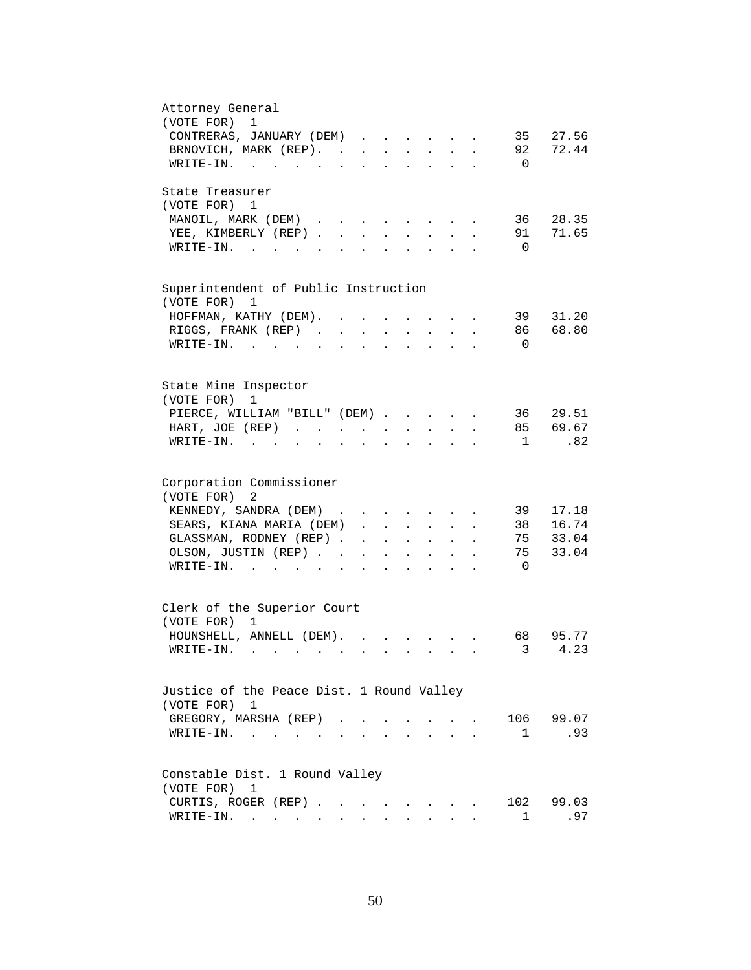| Attorney General<br>(VOTE FOR)<br>$\mathbf 1$<br>CONTRERAS, JANUARY (DEM)<br>35 27.56                                                                                 |
|-----------------------------------------------------------------------------------------------------------------------------------------------------------------------|
| 92 72.44<br>BRNOVICH, MARK (REP).<br>WRITE-IN.<br>$\overline{0}$                                                                                                      |
| State Treasurer<br>(VOTE FOR) 1                                                                                                                                       |
| MANOIL, MARK (DEM)<br>36<br>28.35<br>$\sim$ $\sim$ $\sim$ $\sim$ $\sim$<br>71.65<br>YEE, KIMBERLY (REP).<br>91<br>$\sim$<br>$\mathbf{L}$<br>$\sim$                    |
| $W\text{RITE}-\text{IN}$ , , , ,<br>$\overline{0}$<br>$\mathbf{L}^{\text{max}}$                                                                                       |
| Superintendent of Public Instruction<br>(VOTE FOR)<br>1                                                                                                               |
| 39<br>31.20<br>HOFFMAN, KATHY (DEM).                                                                                                                                  |
| RIGGS, FRANK (REP)<br>86<br>68.80<br>$\sim$<br>$\mathcal{L}^{\text{max}}$                                                                                             |
| $\overline{0}$<br>WRITE-IN.                                                                                                                                           |
| State Mine Inspector<br>(VOTE FOR)<br>1                                                                                                                               |
| PIERCE, WILLIAM "BILL" (DEM)<br>36<br>29.51                                                                                                                           |
| 85 69.67<br>HART, JOE (REP)<br>$\mathbf{z} = \mathbf{z} + \mathbf{z}$ , where $\mathbf{z} = \mathbf{z}$<br>$\sim$                                                     |
| .82<br>$\texttt{WRTTE-IN.}$<br>$\overline{1}$<br>$\ddot{\phantom{0}}$<br>$\ddot{\phantom{a}}$                                                                         |
| Corporation Commissioner<br>2                                                                                                                                         |
| (VOTE FOR)<br>KENNEDY, SANDRA (DEM)<br>39<br>17.18                                                                                                                    |
| SEARS, KIANA MARIA (DEM)<br>38 16.74                                                                                                                                  |
| GLASSMAN, RODNEY (REP)<br>75 33.04<br>$\mathbf{r} = \mathbf{r} \cdot \mathbf{r}$<br>$\ddot{\phantom{a}}$<br>$\ddot{\phantom{0}}$                                      |
| 75<br>33.04<br>OLSON, JUSTIN (REP)<br>$\mathbf{r} = \mathbf{r} \cdot \mathbf{r}$ , where $\mathbf{r} = \mathbf{r} \cdot \mathbf{r}$<br>$\sim$<br>$\ddot{\phantom{0}}$ |
| $\overline{0}$<br>$\texttt{WRTTE-IN.}$<br>$\mathbf{L} = \mathbf{L} \mathbf{L} + \mathbf{L} \mathbf{L}$                                                                |
| Clerk of the Superior Court<br>(VOTE FOR) 1                                                                                                                           |
| HOUNSHELL, ANNELL (DEM).<br>95.77<br>68                                                                                                                               |
| 3<br>4.23<br>$W\text{RITE-IN.}$                                                                                                                                       |
| Justice of the Peace Dist. 1 Round Valley<br>(VOTE FOR) 1                                                                                                             |
| 106 99.07<br>GREGORY, MARSHA (REP).                                                                                                                                   |
| .93<br>$\texttt{WRTTE-IN.}$<br>$\mathbf{1}$<br><b>Contract Contract</b>                                                                                               |
| Constable Dist. 1 Round Valley                                                                                                                                        |
| (VOTE FOR)<br>1<br>102                                                                                                                                                |
| CURTIS, ROGER (REP)<br>99.03<br>WRITE-IN.<br>.97<br>1                                                                                                                 |
|                                                                                                                                                                       |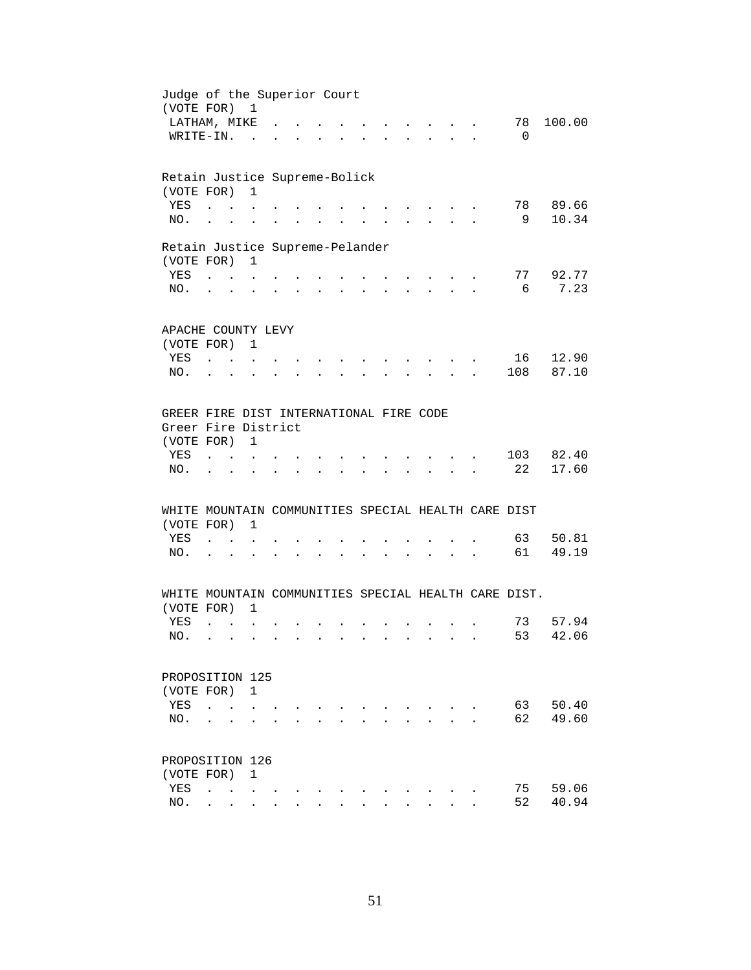| Judge of the Superior Court<br>(VOTE FOR) 1<br>LATHAM, MIKE |                                                |                                        |                      |                      |                      |                      |             |        |        |                                                                                                                           |                           | 78             | 100.00    |  |
|-------------------------------------------------------------|------------------------------------------------|----------------------------------------|----------------------|----------------------|----------------------|----------------------|-------------|--------|--------|---------------------------------------------------------------------------------------------------------------------------|---------------------------|----------------|-----------|--|
| WRITE-IN.                                                   |                                                |                                        | $\sim$               |                      |                      |                      |             |        |        |                                                                                                                           |                           | $\overline{0}$ |           |  |
| Retain Justice Supreme-Bolick<br>(VOTE FOR)                 |                                                |                                        | $\mathbf{1}$         |                      |                      |                      |             |        |        |                                                                                                                           |                           |                |           |  |
| YES                                                         | $\sim$                                         | $\mathbf{r}$ . The set of $\mathbf{r}$ |                      |                      |                      |                      |             |        |        |                                                                                                                           |                           |                | 78 89.66  |  |
| NO.                                                         | $\ddot{\phantom{a}}$                           | <b>Contract Contract</b>               |                      | $\ddot{\phantom{a}}$ | $\sim$ $\sim$        | $\bullet$            |             |        |        |                                                                                                                           |                           | - 9            | 10.34     |  |
| Retain Justice Supreme-Pelander                             |                                                |                                        |                      |                      |                      |                      |             |        |        |                                                                                                                           |                           |                |           |  |
| (VOTE FOR) 1                                                |                                                |                                        |                      |                      |                      |                      |             |        |        |                                                                                                                           |                           |                |           |  |
| YES                                                         | $\mathbf{L}$ and $\mathbf{L}$ and $\mathbf{L}$ |                                        |                      |                      |                      |                      |             |        |        | $\mathbf{r}$ and $\mathbf{r}$ and $\mathbf{r}$                                                                            |                           |                | 77 92.77  |  |
| NO.                                                         |                                                |                                        |                      |                      |                      | $\ddot{\phantom{a}}$ |             |        |        | $\ddot{\phantom{0}}$                                                                                                      | $\mathbf{r} = \mathbf{r}$ | 6              | 7.23      |  |
|                                                             |                                                |                                        |                      |                      |                      |                      |             |        |        |                                                                                                                           |                           |                |           |  |
| APACHE COUNTY LEVY                                          |                                                |                                        |                      |                      |                      |                      |             |        |        |                                                                                                                           |                           |                |           |  |
| (VOTE FOR) 1                                                |                                                |                                        |                      |                      |                      |                      |             |        |        |                                                                                                                           |                           |                |           |  |
| YES                                                         |                                                |                                        |                      |                      |                      |                      |             |        |        |                                                                                                                           |                           |                | 16 12.90  |  |
| NO.                                                         |                                                |                                        |                      |                      |                      |                      |             |        |        |                                                                                                                           |                           |                | 108 87.10 |  |
|                                                             |                                                |                                        |                      |                      |                      |                      |             |        |        |                                                                                                                           |                           |                |           |  |
| GREER FIRE DIST INTERNATIONAL FIRE CODE                     |                                                |                                        |                      |                      |                      |                      |             |        |        |                                                                                                                           |                           |                |           |  |
| Greer Fire District                                         |                                                |                                        |                      |                      |                      |                      |             |        |        |                                                                                                                           |                           |                |           |  |
| (VOTE FOR)                                                  |                                                |                                        | 1                    |                      |                      |                      |             |        |        |                                                                                                                           |                           |                |           |  |
| YES                                                         |                                                |                                        |                      |                      |                      |                      |             |        |        |                                                                                                                           |                           |                | 103 82.40 |  |
| NO.                                                         |                                                |                                        |                      |                      |                      |                      |             |        |        |                                                                                                                           |                           | 22             | 17.60     |  |
|                                                             |                                                |                                        |                      |                      |                      |                      |             |        |        |                                                                                                                           |                           |                |           |  |
| WHITE MOUNTAIN COMMUNITIES SPECIAL HEALTH CARE DIST         |                                                |                                        |                      |                      |                      |                      |             |        |        |                                                                                                                           |                           |                |           |  |
| (VOTE FOR)                                                  |                                                |                                        | $\mathbf 1$          |                      |                      |                      |             |        |        |                                                                                                                           |                           |                |           |  |
| YES                                                         |                                                | $\mathbf{L} = \mathbf{L} \mathbf{L}$   |                      |                      |                      |                      |             |        |        |                                                                                                                           |                           | 63             | 50.81     |  |
| NO.                                                         | $\mathbf{L} = \mathbf{L}$                      |                                        | $\ddot{\phantom{a}}$ | $\ddot{\phantom{a}}$ | $\ddot{\phantom{a}}$ | <b>Contractor</b>    | $\bullet$ . | $\sim$ | $\sim$ | $\begin{array}{cccccccccccccc} \bullet & \bullet & \bullet & \bullet & \bullet & \bullet & \bullet & \bullet \end{array}$ |                           | 61             | 49.19     |  |
|                                                             |                                                |                                        |                      |                      |                      |                      |             |        |        |                                                                                                                           |                           |                |           |  |
| WHITE MOUNTAIN COMMUNITIES SPECIAL HEALTH CARE DIST.        |                                                |                                        |                      |                      |                      |                      |             |        |        |                                                                                                                           |                           |                |           |  |
| (VOTE FOR) 1                                                |                                                |                                        |                      |                      |                      |                      |             |        |        |                                                                                                                           |                           |                |           |  |
| YES                                                         | $\sim$ $\sim$ $\sim$ $\sim$                    |                                        |                      |                      |                      |                      |             |        |        |                                                                                                                           |                           | 73             | 57.94     |  |
| NO.                                                         |                                                |                                        |                      |                      |                      |                      |             |        |        |                                                                                                                           |                           |                | 53 42.06  |  |
|                                                             |                                                |                                        |                      |                      |                      |                      |             |        |        |                                                                                                                           |                           |                |           |  |
| PROPOSITION 125                                             |                                                |                                        |                      |                      |                      |                      |             |        |        |                                                                                                                           |                           |                |           |  |
| (VOTE FOR)                                                  |                                                |                                        | 1                    |                      |                      |                      |             |        |        |                                                                                                                           |                           |                |           |  |
| YES                                                         |                                                |                                        |                      |                      |                      |                      |             |        |        |                                                                                                                           |                           | 63             | 50.40     |  |
| NO.                                                         |                                                |                                        |                      |                      |                      |                      |             |        |        |                                                                                                                           |                           | 62             | 49.60     |  |
|                                                             |                                                |                                        |                      |                      |                      |                      |             |        |        |                                                                                                                           |                           |                |           |  |
| PROPOSITION 126                                             |                                                |                                        |                      |                      |                      |                      |             |        |        |                                                                                                                           |                           |                |           |  |
| (VOTE FOR)                                                  |                                                |                                        | 1                    |                      |                      |                      |             |        |        |                                                                                                                           |                           |                |           |  |
| YES                                                         | $\ddot{\phantom{a}}$                           | $\ddot{\phantom{a}}$                   |                      |                      |                      |                      |             |        |        |                                                                                                                           |                           | 75             | 59.06     |  |
| NO.                                                         |                                                |                                        |                      |                      |                      |                      |             |        |        |                                                                                                                           |                           | 52             | 40.94     |  |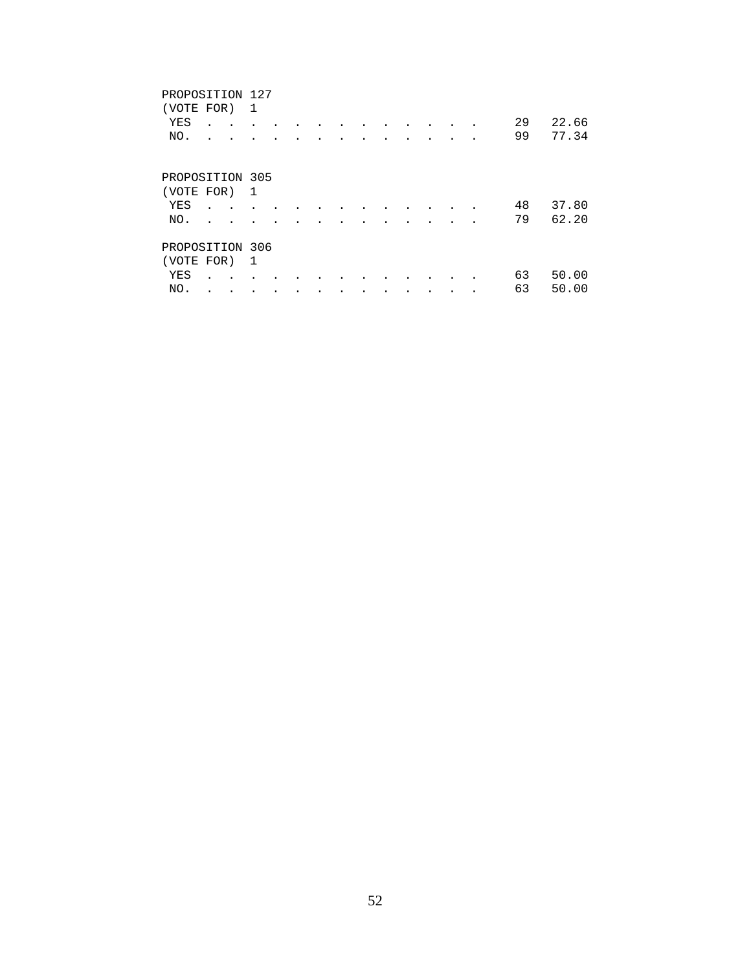| PROPOSITION 127<br>(VOTE FOR) |  | 1 |  |  |  |  |  |    |       |
|-------------------------------|--|---|--|--|--|--|--|----|-------|
|                               |  |   |  |  |  |  |  |    |       |
| YES                           |  |   |  |  |  |  |  | 29 | 22.66 |
| NO.                           |  |   |  |  |  |  |  | 99 | 77.34 |
|                               |  |   |  |  |  |  |  |    |       |
|                               |  |   |  |  |  |  |  |    |       |
| PROPOSITION 305               |  |   |  |  |  |  |  |    |       |
| (VOTE FOR)                    |  | 1 |  |  |  |  |  |    |       |
| YES                           |  |   |  |  |  |  |  | 48 | 37.80 |
| NO.                           |  |   |  |  |  |  |  | 79 | 62.20 |
|                               |  |   |  |  |  |  |  |    |       |
| PROPOSITION 306               |  |   |  |  |  |  |  |    |       |
| (VOTE FOR)                    |  | 1 |  |  |  |  |  |    |       |
| YES                           |  |   |  |  |  |  |  | 63 | 50.00 |
| NO.                           |  |   |  |  |  |  |  | 63 | 50.00 |
|                               |  |   |  |  |  |  |  |    |       |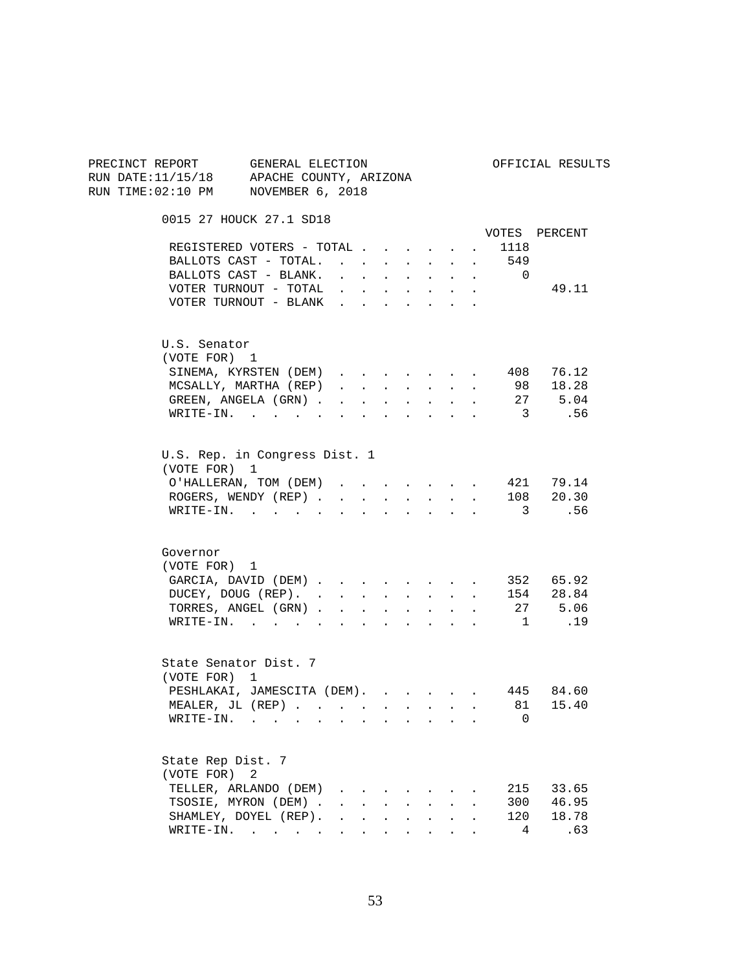| PRECINCT REPORT GENERAL ELECTION<br>RUN DATE: 11/15/18 APACHE COUNTY, ARIZONA<br>RUN TIME: 02:10 PM NOVEMBER 6, 2018 |                                                |                                                                                                         |                      |                                       |                           |                                                              |               |                                              |                | OFFICIAL RESULTS                                                             |
|----------------------------------------------------------------------------------------------------------------------|------------------------------------------------|---------------------------------------------------------------------------------------------------------|----------------------|---------------------------------------|---------------------------|--------------------------------------------------------------|---------------|----------------------------------------------|----------------|------------------------------------------------------------------------------|
|                                                                                                                      | 0015 27 HOUCK 27.1 SD18                        |                                                                                                         |                      |                                       |                           |                                                              |               |                                              |                |                                                                              |
|                                                                                                                      | REGISTERED VOTERS - TOTAL                      |                                                                                                         |                      |                                       |                           |                                                              |               |                                              | 1118           | VOTES PERCENT                                                                |
|                                                                                                                      | BALLOTS CAST - TOTAL.                          |                                                                                                         |                      | $\sim$ $\sim$                         |                           | $\mathbf{L} = \mathbf{L}$                                    | $\sim$        | $\sim$                                       | 549            |                                                                              |
|                                                                                                                      | BALLOTS CAST - BLANK.                          | $1 - 1 - 1 = 1$                                                                                         |                      |                                       |                           | $\cdot$ $\cdot$ $\cdot$ $\cdot$                              |               |                                              | $\overline{0}$ |                                                                              |
|                                                                                                                      | VOTER TURNOUT - TOTAL                          | $\mathbf{r} = \mathbf{r} + \mathbf{r} + \mathbf{r} + \mathbf{r} + \mathbf{r} + \mathbf{r} + \mathbf{r}$ |                      |                                       |                           |                                                              |               |                                              |                | 49.11                                                                        |
|                                                                                                                      | VOTER TURNOUT - BLANK                          |                                                                                                         |                      |                                       |                           |                                                              |               |                                              |                |                                                                              |
| U.S. Senator                                                                                                         |                                                |                                                                                                         |                      |                                       |                           |                                                              |               |                                              |                |                                                                              |
| (VOTE FOR) 1                                                                                                         |                                                |                                                                                                         |                      |                                       |                           |                                                              |               |                                              |                |                                                                              |
|                                                                                                                      | SINEMA, KYRSTEN (DEM)<br>MCSALLY, MARTHA (REP) |                                                                                                         |                      |                                       |                           |                                                              |               | $\sim$                                       |                | 408 76.12<br>98 18.28                                                        |
|                                                                                                                      | GREEN, ANGELA (GRN)                            | $\mathbf{r} = \mathbf{r}$                                                                               |                      | $\mathbf{L}$<br>$\sim$                | $\sim$ $\sim$             | $\sim$ $\sim$<br>$\mathbf{r} = \mathbf{r} \times \mathbf{r}$ | $\sim$ $\sim$ | $\ddot{\phantom{a}}$<br>$\ddot{\phantom{0}}$ |                | 27 5.04                                                                      |
|                                                                                                                      | $\texttt{WRTTE-IN.}$                           |                                                                                                         |                      |                                       | $\ddot{\phantom{a}}$      | <b>Contract Contract Contract</b>                            |               | $\sim$ $\sim$                                |                | 3.56                                                                         |
|                                                                                                                      |                                                |                                                                                                         |                      |                                       |                           |                                                              |               |                                              |                |                                                                              |
|                                                                                                                      | U.S. Rep. in Congress Dist. 1                  |                                                                                                         |                      |                                       |                           |                                                              |               |                                              |                |                                                                              |
| (VOTE FOR) 1                                                                                                         |                                                |                                                                                                         |                      |                                       |                           |                                                              |               |                                              |                |                                                                              |
|                                                                                                                      | O'HALLERAN, TOM (DEM)                          |                                                                                                         |                      |                                       |                           |                                                              |               |                                              |                | 421 79.14<br>$108$ 20.30                                                     |
|                                                                                                                      | ROGERS, WENDY (REP)<br>WRITE-IN.               |                                                                                                         |                      | $\mathbf{r}$                          | $\sim$<br>$\mathbf{L}$    | $\mathbf{L}$<br>$\mathbf{L}$                                 | $\sim$        | $\ddot{\phantom{0}}$                         |                | 3 .56                                                                        |
|                                                                                                                      |                                                |                                                                                                         |                      |                                       |                           |                                                              |               |                                              |                |                                                                              |
| Governor                                                                                                             |                                                |                                                                                                         |                      |                                       |                           |                                                              |               |                                              |                |                                                                              |
| (VOTE FOR) 1                                                                                                         |                                                |                                                                                                         |                      |                                       |                           |                                                              |               |                                              |                |                                                                              |
|                                                                                                                      | GARCIA, DAVID (DEM) 352 65.92                  |                                                                                                         |                      |                                       |                           |                                                              |               |                                              |                |                                                                              |
|                                                                                                                      | DUCEY, DOUG (REP).<br>TORRES, ANGEL (GRN).     |                                                                                                         | $\ddot{\phantom{a}}$ | $\sim$ $\sim$<br>$\ddot{\phantom{0}}$ | $\mathbb{Z}^{\mathbb{Z}}$ |                                                              |               |                                              |                | $\cdot \quad \cdot \quad \cdot \quad \cdot \quad 154 \quad 28.84$<br>27 5.06 |
|                                                                                                                      | $W\text{RITE-IN.}$                             |                                                                                                         |                      |                                       |                           |                                                              |               |                                              | $\mathbf{1}$   | .19                                                                          |
|                                                                                                                      |                                                |                                                                                                         |                      |                                       |                           |                                                              |               |                                              |                |                                                                              |
| State Senator Dist. 7                                                                                                |                                                |                                                                                                         |                      |                                       |                           |                                                              |               |                                              |                |                                                                              |
| (VOTE FOR) 1                                                                                                         |                                                |                                                                                                         |                      |                                       |                           |                                                              |               |                                              |                |                                                                              |
|                                                                                                                      | PESHLAKAI, JAMESCITA (DEM). 445 84.60          |                                                                                                         |                      |                                       |                           |                                                              |               |                                              |                |                                                                              |
| MEALER, JL (REP).<br>WRITE-IN.                                                                                       |                                                |                                                                                                         |                      |                                       |                           |                                                              |               |                                              | 81<br>$\Omega$ | 15.40                                                                        |
|                                                                                                                      |                                                |                                                                                                         |                      |                                       |                           |                                                              |               |                                              |                |                                                                              |
| State Rep Dist. 7                                                                                                    |                                                |                                                                                                         |                      |                                       |                           |                                                              |               |                                              |                |                                                                              |
| (VOTE FOR)                                                                                                           | 2                                              |                                                                                                         |                      |                                       |                           |                                                              |               |                                              |                |                                                                              |
|                                                                                                                      | TELLER, ARLANDO (DEM)                          |                                                                                                         |                      |                                       |                           |                                                              |               |                                              | 215            | 33.65                                                                        |
|                                                                                                                      | TSOSIE, MYRON (DEM) .                          |                                                                                                         | $\ddot{\phantom{0}}$ |                                       |                           |                                                              |               |                                              | 300            | 46.95                                                                        |
|                                                                                                                      | SHAMLEY, DOYEL (REP).                          |                                                                                                         | $\bullet$ .          |                                       |                           |                                                              |               |                                              | 120            | 18.78                                                                        |
|                                                                                                                      | WRITE-IN.                                      |                                                                                                         |                      | $\sim$ $-$                            | $\sim$                    | <b>Contract Contract</b>                                     |               |                                              | 4              | .63                                                                          |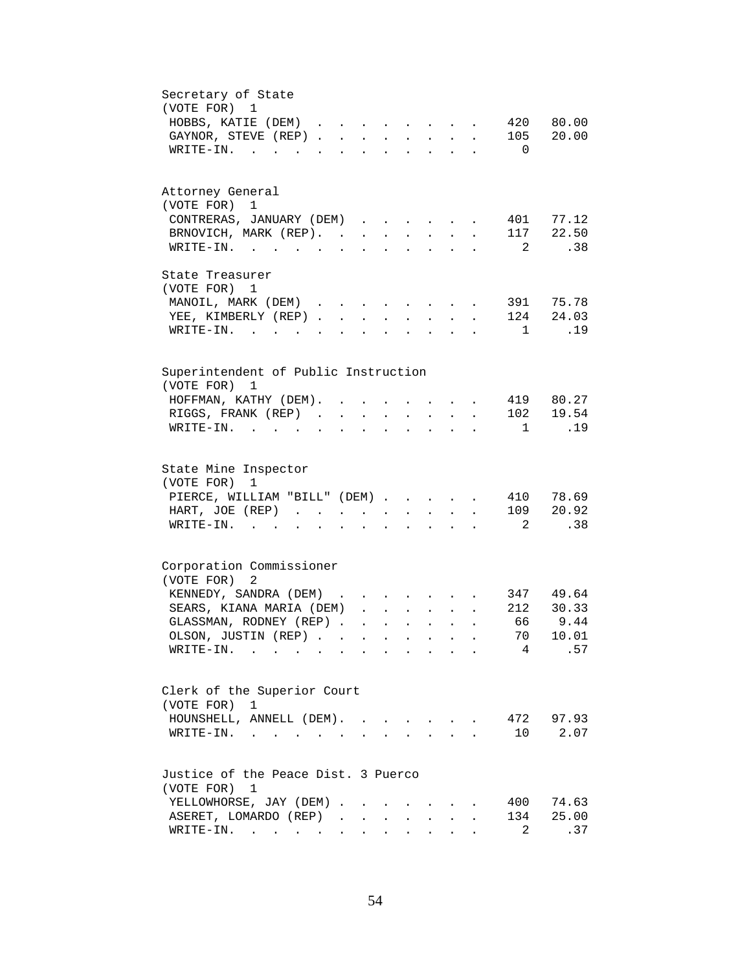| Secretary of State                                                                                                                                                                            |
|-----------------------------------------------------------------------------------------------------------------------------------------------------------------------------------------------|
| (VOTE FOR) 1                                                                                                                                                                                  |
| 420<br>80.00<br>HOBBS, KATIE (DEM)<br>$\cdot$ $\cdot$ $\cdot$ $\cdot$ $\cdot$                                                                                                                 |
| 20.00<br>105<br>GAYNOR, STEVE (REP).<br>$\ddot{\phantom{a}}$<br><b>Contract Contract</b><br>$\mathbf{L}^{\text{max}}$<br>$\ddot{\phantom{a}}$<br>$\ddot{\phantom{a}}$<br>$\ddot{\phantom{a}}$ |
| WRITE-IN. .<br>$\overline{0}$<br>$\mathbf{r}$ $\mathbf{r}$                                                                                                                                    |
|                                                                                                                                                                                               |
|                                                                                                                                                                                               |
| Attorney General                                                                                                                                                                              |
| (VOTE FOR) 1                                                                                                                                                                                  |
| CONTRERAS, JANUARY (DEM)<br>401 77.12                                                                                                                                                         |
| 117 22.50<br>BRNOVICH, MARK (REP).<br>$\mathbf{L}$<br>$\mathbf{L}^{\text{max}}$<br>$\sim$<br>$\ddot{\phantom{0}}$                                                                             |
| $\overline{2}$<br>.38<br>$\bullet$ .<br>$\ddot{\phantom{0}}$                                                                                                                                  |
|                                                                                                                                                                                               |
| State Treasurer                                                                                                                                                                               |
| (VOTE FOR) 1                                                                                                                                                                                  |
| MANOIL, MARK (DEM)<br>391 75.78<br>$\mathbf{r} = \mathbf{r}$<br>$\ddot{\phantom{a}}$                                                                                                          |
| 124 24.03<br>YEE, KIMBERLY (REP)<br>$\mathbf{L}$ $\mathbf{L}$<br>$\mathbf{L}^{\text{max}}$<br>$\mathbf{L}^{\text{max}}$<br>$\ddot{\phantom{a}}$                                               |
| 1 .19<br>WRITE-IN.<br>$\overline{\phantom{a}}$<br>$\mathbf{L}$<br>$\ddot{\phantom{a}}$<br>$\overline{a}$<br>$\mathbf{r}$                                                                      |
|                                                                                                                                                                                               |
|                                                                                                                                                                                               |
| Superintendent of Public Instruction                                                                                                                                                          |
| (VOTE FOR)<br>1                                                                                                                                                                               |
| 419 80.27<br>HOFFMAN, KATHY (DEM). .<br>$\mathbf{L} = \mathbf{L}$<br>$\sim$ $\sim$                                                                                                            |
| 19.54<br>RIGGS, FRANK (REP).<br>102<br>$\ddot{\phantom{a}}$                                                                                                                                   |
| .19<br>WRITE-IN. .<br>$\overline{1}$<br>$\sim$                                                                                                                                                |
|                                                                                                                                                                                               |
|                                                                                                                                                                                               |
| State Mine Inspector                                                                                                                                                                          |
| (VOTE FOR)<br>1                                                                                                                                                                               |
| PIERCE, WILLIAM "BILL" (DEM).<br>410 78.69<br><b>Contract Contract Contract</b><br>$\ddot{\phantom{a}}$<br>$\sim$                                                                             |
| 109 20.92<br>HART, JOE (REP)<br>$\mathbf{L}$<br>$\ddot{\phantom{0}}$<br>$\ddot{\phantom{a}}$<br>$\ddot{\phantom{0}}$<br>$\ddot{\phantom{a}}$                                                  |
| $\overline{2}$<br>.38<br>$WRITE-IN.$<br>$\ddot{\phantom{0}}$<br>$\ddot{\phantom{a}}$<br>$\bullet$<br>$\bullet$                                                                                |
|                                                                                                                                                                                               |
|                                                                                                                                                                                               |
| Corporation Commissioner                                                                                                                                                                      |
| (VOTE FOR)<br>2                                                                                                                                                                               |
| KENNEDY, SANDRA (DEM)<br>347 49.64                                                                                                                                                            |
| SEARS, KIANA MARIA (DEM)<br>212 30.33<br>$\mathbf{r} = \mathbf{r} + \mathbf{r} + \mathbf{r} + \mathbf{r}$<br>$\ddot{\phantom{0}}$                                                             |
| 9.44<br>66<br>GLASSMAN, RODNEY (REP)<br>$\mathbf{r} = \mathbf{r} + \mathbf{r} + \mathbf{r} + \mathbf{r} + \mathbf{r}$                                                                         |
| 70<br>OLSON, JUSTIN (REP)<br>10.01                                                                                                                                                            |
| 4<br>.57<br>WRITE-IN.<br>and the state of the state of<br><b>Contract Contract Street</b>                                                                                                     |
|                                                                                                                                                                                               |
|                                                                                                                                                                                               |
| Clerk of the Superior Court                                                                                                                                                                   |
| (VOTE FOR)<br>$\mathbf{1}$                                                                                                                                                                    |
| HOUNSHELL, ANNELL (DEM).<br>472 97.93                                                                                                                                                         |
| 10<br>2.07<br>$\texttt{WRTTE-IN.}$<br>$\mathbf{L}$                                                                                                                                            |
|                                                                                                                                                                                               |
|                                                                                                                                                                                               |
| Justice of the Peace Dist. 3 Puerco                                                                                                                                                           |
| (VOTE FOR) 1                                                                                                                                                                                  |
| 74.63<br>YELLOWHORSE, JAY (DEM).<br>400                                                                                                                                                       |
| 25.00<br>ASERET, LOMARDO (REP)<br>134                                                                                                                                                         |
| $\overline{a}$<br>.37<br>$\texttt{WRTTE-IN.}$<br>$\ddot{\phantom{0}}$<br>$\bullet$                                                                                                            |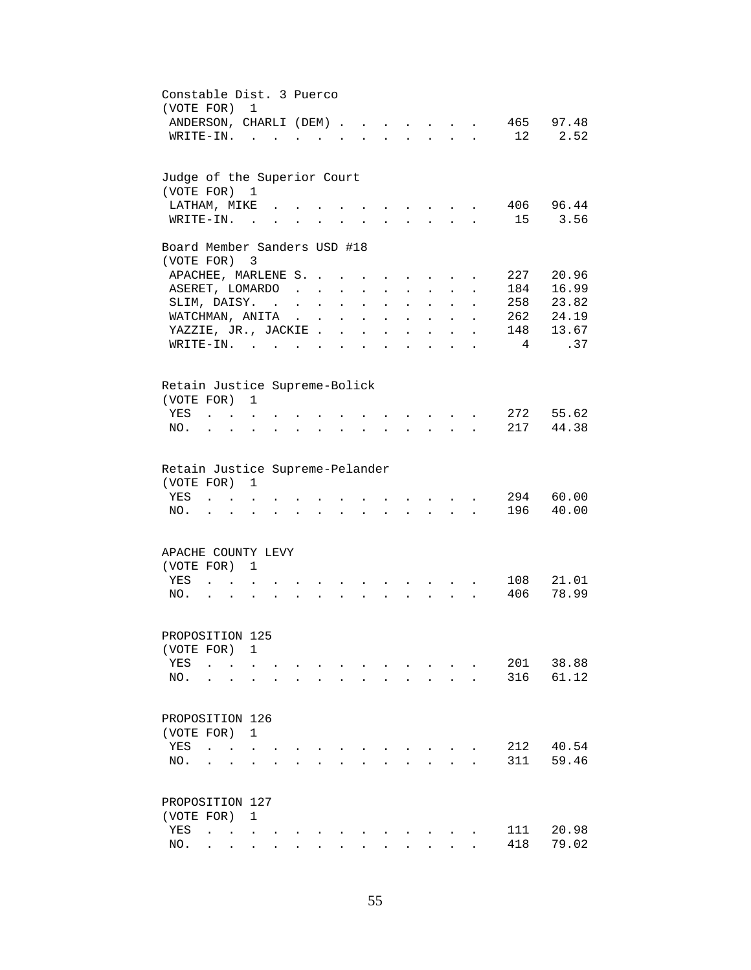| Constable Dist. 3 Puerco<br>(VOTE FOR)                 |                                    |                      | $\overline{1}$                                                           |                           |  |                                                           |                                          |                                                                                                                                                                                                                                |                                                                          |                           |                            |                      |                |                |
|--------------------------------------------------------|------------------------------------|----------------------|--------------------------------------------------------------------------|---------------------------|--|-----------------------------------------------------------|------------------------------------------|--------------------------------------------------------------------------------------------------------------------------------------------------------------------------------------------------------------------------------|--------------------------------------------------------------------------|---------------------------|----------------------------|----------------------|----------------|----------------|
| ANDERSON, CHARLI (DEM).                                |                                    |                      |                                                                          |                           |  |                                                           | $\sim$ $\sim$                            |                                                                                                                                                                                                                                | $\mathbf{r} = \mathbf{r}$                                                | $\sim$                    |                            |                      | 465            | 97.48          |
| $W$ RITE-IN                                            |                                    |                      |                                                                          |                           |  |                                                           |                                          |                                                                                                                                                                                                                                |                                                                          | $\mathbf{L}^{\text{max}}$ | $\mathcal{L}^{\text{max}}$ | $\mathbf{r}$         | 12             | 2.52           |
| Judge of the Superior Court                            |                                    |                      |                                                                          |                           |  |                                                           |                                          |                                                                                                                                                                                                                                |                                                                          |                           |                            |                      |                |                |
| (VOTE FOR) 1                                           |                                    |                      |                                                                          |                           |  |                                                           |                                          |                                                                                                                                                                                                                                |                                                                          |                           |                            |                      |                |                |
| LATHAM, MIKE                                           |                                    |                      |                                                                          |                           |  |                                                           |                                          |                                                                                                                                                                                                                                |                                                                          |                           |                            |                      | 406<br>15      | 96.44<br>3.56  |
| WRITE-IN. .                                            |                                    |                      |                                                                          |                           |  |                                                           |                                          |                                                                                                                                                                                                                                |                                                                          |                           |                            |                      |                |                |
| Board Member Sanders USD #18<br>(VOTE FOR) 3           |                                    |                      |                                                                          |                           |  |                                                           |                                          |                                                                                                                                                                                                                                |                                                                          |                           |                            |                      |                |                |
| APACHEE, MARLENE S.                                    |                                    |                      |                                                                          |                           |  |                                                           |                                          |                                                                                                                                                                                                                                |                                                                          |                           |                            |                      | 227            | 20.96          |
| ASERET, LOMARDO                                        |                                    |                      |                                                                          |                           |  | $\mathbf{r}$ , $\mathbf{r}$ , $\mathbf{r}$ , $\mathbf{r}$ |                                          |                                                                                                                                                                                                                                | $\mathbf{r}$ and $\mathbf{r}$ and $\mathbf{r}$                           |                           | $\mathbf{L}$               | $\ddot{\phantom{a}}$ | 184            | 16.99          |
| SLIM, DAISY.                                           |                                    |                      |                                                                          | and a strong state of the |  |                                                           | $\mathbf{z} = \mathbf{z} + \mathbf{z}$ . |                                                                                                                                                                                                                                | $\mathbf{z} = \mathbf{z} + \mathbf{z}$ , where $\mathbf{z} = \mathbf{z}$ |                           | $\ddot{\phantom{0}}$       | $\ddot{\phantom{a}}$ | 258            | 23.82          |
| WATCHMAN, ANITA                                        |                                    |                      |                                                                          |                           |  |                                                           | $\mathbf{r} = \mathbf{r} + \mathbf{r}$ . | $\ddot{\phantom{0}}$                                                                                                                                                                                                           | $\ddot{\phantom{a}}$                                                     | $\sim$ $-$                | $\ddot{\phantom{0}}$       | $\bullet$            | 262            | 24.19          |
| YAZZIE, JR., JACKIE.                                   |                                    |                      |                                                                          |                           |  | $\ddot{\phantom{a}}$                                      | $\ddot{\phantom{a}}$                     | $\ddot{\phantom{0}}$                                                                                                                                                                                                           | $\ddot{\phantom{0}}$                                                     | $\mathbf{L}^{\text{max}}$ | $\ddot{\phantom{0}}$       |                      | 148            | 13.67          |
| $W\text{RITE}-\text{IN}.$                              |                                    |                      |                                                                          |                           |  |                                                           |                                          |                                                                                                                                                                                                                                |                                                                          |                           |                            |                      | $\overline{4}$ | .37            |
|                                                        |                                    |                      |                                                                          |                           |  |                                                           |                                          |                                                                                                                                                                                                                                |                                                                          |                           |                            |                      |                |                |
| Retain Justice Supreme-Bolick<br>(VOTE FOR)            |                                    |                      | $\mathbf{1}$                                                             |                           |  |                                                           |                                          |                                                                                                                                                                                                                                |                                                                          |                           |                            |                      |                |                |
| YES                                                    | $\sim$ $\sim$ $\sim$ $\sim$ $\sim$ |                      |                                                                          |                           |  |                                                           |                                          |                                                                                                                                                                                                                                |                                                                          |                           |                            |                      | 272            | 55.62          |
| NO.                                                    |                                    |                      | $\mathbf{z} = \mathbf{z} + \mathbf{z}$ , where $\mathbf{z} = \mathbf{z}$ |                           |  |                                                           |                                          | and a series of the contract of the series of the series of the series of the series of the series of the series of the series of the series of the series of the series of the series of the series of the series of the seri |                                                                          |                           |                            |                      | 217            | 44.38          |
| Retain Justice Supreme-Pelander<br>(VOTE FOR) 1<br>YES |                                    |                      |                                                                          |                           |  |                                                           |                                          |                                                                                                                                                                                                                                | $\sim$                                                                   |                           |                            |                      | 294            | 60.00          |
| NO.                                                    |                                    | $\mathbf{r}$         |                                                                          |                           |  |                                                           |                                          |                                                                                                                                                                                                                                | $\sim$                                                                   | $\mathbf{L}$              | $\mathbf{r}$               |                      | 196            | 40.00          |
| APACHE COUNTY LEVY                                     |                                    |                      |                                                                          |                           |  |                                                           |                                          |                                                                                                                                                                                                                                |                                                                          |                           |                            |                      |                |                |
| (VOTE FOR)                                             |                                    |                      | 1                                                                        |                           |  |                                                           |                                          |                                                                                                                                                                                                                                |                                                                          |                           |                            |                      |                |                |
| YES                                                    |                                    | $\ddot{\phantom{a}}$ |                                                                          |                           |  |                                                           |                                          |                                                                                                                                                                                                                                |                                                                          |                           |                            |                      | 108<br>406     | 21.01<br>78.99 |
| NO.                                                    |                                    |                      |                                                                          |                           |  |                                                           |                                          |                                                                                                                                                                                                                                |                                                                          |                           |                            |                      |                |                |
| PROPOSITION 125                                        |                                    |                      |                                                                          |                           |  |                                                           |                                          |                                                                                                                                                                                                                                |                                                                          |                           |                            |                      |                |                |
| (VOTE FOR)                                             |                                    |                      | 1                                                                        |                           |  |                                                           |                                          |                                                                                                                                                                                                                                |                                                                          |                           |                            |                      |                |                |
| YES                                                    | $\ddot{\phantom{a}}$               |                      |                                                                          |                           |  |                                                           |                                          |                                                                                                                                                                                                                                |                                                                          |                           |                            |                      | 201            | 38.88          |
| NO.                                                    | $\ddotsc$                          |                      | $\ddot{\phantom{a}}$                                                     |                           |  |                                                           |                                          |                                                                                                                                                                                                                                |                                                                          | $\cdot$ $\cdot$ $\cdot$   | $\ddot{\phantom{a}}$       |                      | 316            | 61.12          |
| PROPOSITION 126                                        |                                    |                      |                                                                          |                           |  |                                                           |                                          |                                                                                                                                                                                                                                |                                                                          |                           |                            |                      |                |                |
| (VOTE FOR)                                             |                                    |                      | 1                                                                        |                           |  |                                                           |                                          |                                                                                                                                                                                                                                |                                                                          |                           |                            |                      |                |                |
| YES                                                    | $\ddot{\phantom{a}}$               | $\sim$               |                                                                          |                           |  |                                                           |                                          |                                                                                                                                                                                                                                |                                                                          |                           |                            |                      | 212            | 40.54          |
| NO.                                                    |                                    |                      |                                                                          |                           |  |                                                           |                                          |                                                                                                                                                                                                                                |                                                                          |                           |                            |                      | 311            | 59.46          |
| PROPOSITION 127                                        |                                    |                      |                                                                          |                           |  |                                                           |                                          |                                                                                                                                                                                                                                |                                                                          |                           |                            |                      |                |                |
| (VOTE FOR)                                             |                                    |                      | 1                                                                        |                           |  |                                                           |                                          |                                                                                                                                                                                                                                |                                                                          |                           |                            |                      |                |                |
| YES                                                    |                                    |                      | $\ddot{\phantom{0}}$                                                     |                           |  |                                                           |                                          |                                                                                                                                                                                                                                |                                                                          |                           |                            |                      | 111            | 20.98          |
| NO.                                                    |                                    |                      |                                                                          |                           |  |                                                           |                                          |                                                                                                                                                                                                                                |                                                                          |                           |                            |                      | 418            | 79.02          |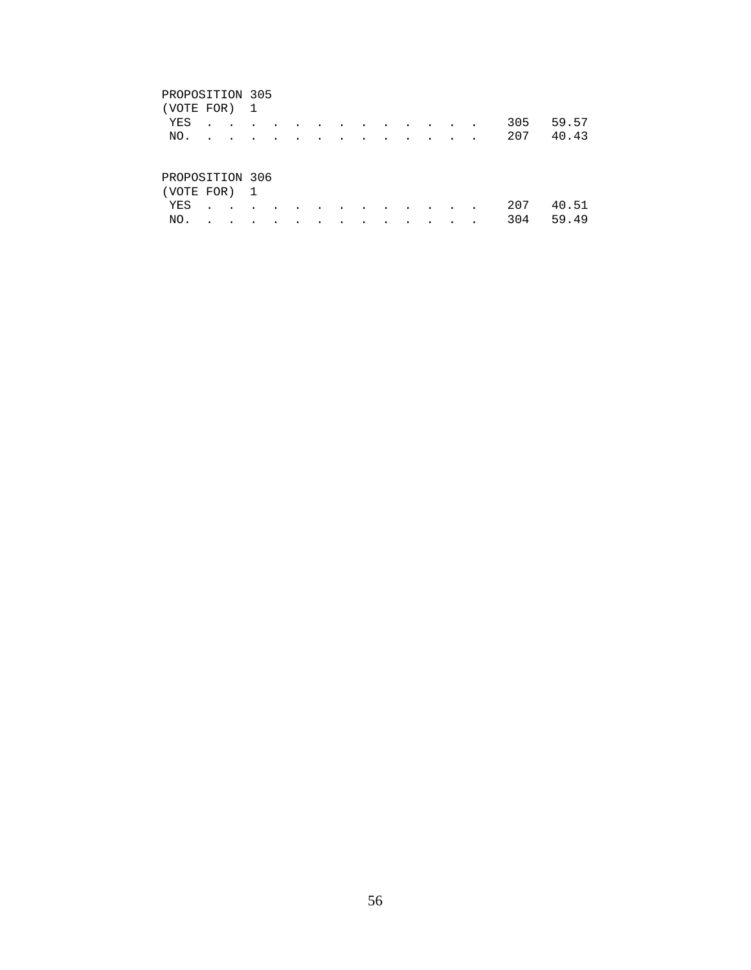| (VOTE FOR) 1                                                                                                                                                                                                                    |  |  |  |  |  |  |  |           |
|---------------------------------------------------------------------------------------------------------------------------------------------------------------------------------------------------------------------------------|--|--|--|--|--|--|--|-----------|
| YES                                                                                                                                                                                                                             |  |  |  |  |  |  |  | 305 59.57 |
| NO.                                                                                                                                                                                                                             |  |  |  |  |  |  |  | 207 40.43 |
|                                                                                                                                                                                                                                 |  |  |  |  |  |  |  |           |
| PROPOSITION 306                                                                                                                                                                                                                 |  |  |  |  |  |  |  |           |
|                                                                                                                                                                                                                                 |  |  |  |  |  |  |  |           |
| $\sim$ . The contract of the contract of the contract of the contract of the contract of the contract of the contract of the contract of the contract of the contract of the contract of the contract of the contract of the co |  |  |  |  |  |  |  |           |

| (VOTE FOR) 1 |  |  |  |  |  |  |               |  |
|--------------|--|--|--|--|--|--|---------------|--|
|              |  |  |  |  |  |  | YES 207 40.51 |  |
|              |  |  |  |  |  |  | NO. 304 59.49 |  |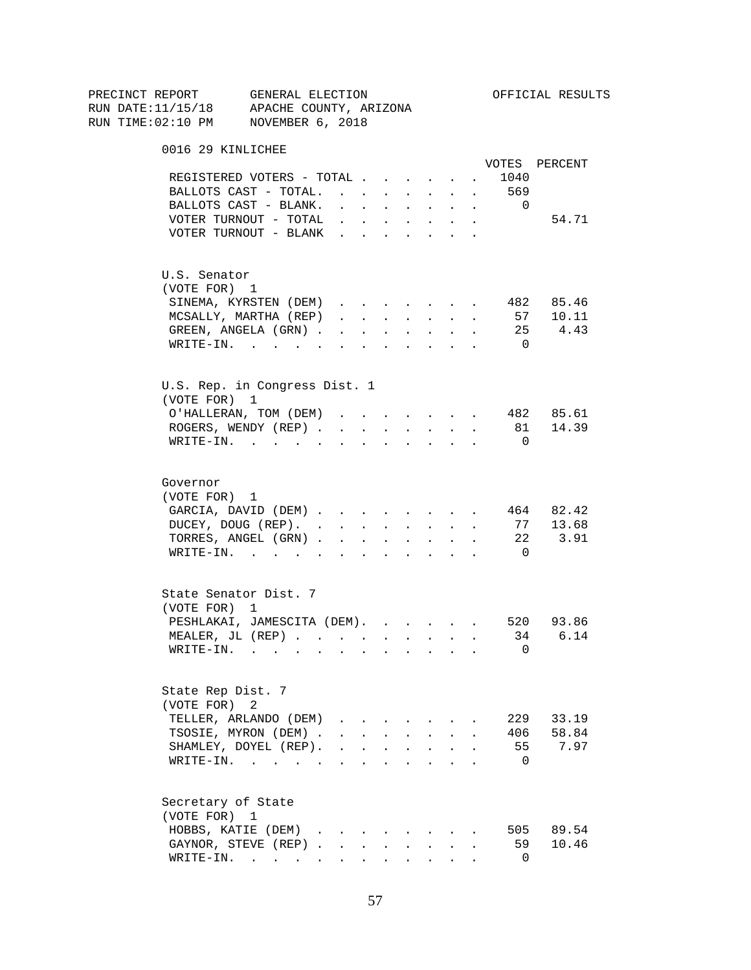| PRECINCT REPORT                          | GENERAL ELECTION |                                                                                  |                      |                                            |        |                                                           |                      |                      |                | OFFICIAL RESULTS |
|------------------------------------------|------------------|----------------------------------------------------------------------------------|----------------------|--------------------------------------------|--------|-----------------------------------------------------------|----------------------|----------------------|----------------|------------------|
| RUN DATE:11/15/18 APACHE COUNTY, ARIZONA |                  |                                                                                  |                      |                                            |        |                                                           |                      |                      |                |                  |
| RUN TIME:02:10 PM NOVEMBER 6, 2018       |                  |                                                                                  |                      |                                            |        |                                                           |                      |                      |                |                  |
| 0016 29 KINLICHEE                        |                  |                                                                                  |                      |                                            |        |                                                           |                      |                      |                |                  |
|                                          |                  |                                                                                  |                      |                                            |        |                                                           |                      |                      |                | VOTES PERCENT    |
| REGISTERED VOTERS - TOTAL                |                  |                                                                                  |                      |                                            |        |                                                           | $\sim$               |                      | 1040           |                  |
| BALLOTS CAST - TOTAL.                    |                  |                                                                                  |                      |                                            |        | $\mathbf{L} = \mathbf{L} \mathbf{L}$                      | $\mathbf{L}$         | $\sim$               | 569            |                  |
| BALLOTS CAST - BLANK.                    |                  | $\mathbf{r}$ , $\mathbf{r}$ , $\mathbf{r}$ , $\mathbf{r}$ , $\mathbf{r}$         |                      |                                            |        |                                                           |                      | $\sim$               | $\overline{0}$ |                  |
| VOTER TURNOUT - TOTAL $\ldots$           |                  |                                                                                  |                      |                                            |        |                                                           |                      |                      |                | 54.71            |
| VOTER TURNOUT - BLANK                    |                  |                                                                                  |                      |                                            |        |                                                           |                      |                      |                |                  |
| U.S. Senator                             |                  |                                                                                  |                      |                                            |        |                                                           |                      |                      |                |                  |
| (VOTE FOR) 1                             |                  |                                                                                  |                      |                                            |        |                                                           |                      |                      |                |                  |
| SINEMA, KYRSTEN (DEM)                    |                  |                                                                                  |                      |                                            |        |                                                           |                      | $\ddot{\phantom{0}}$ |                | 482 85.46        |
| MCSALLY, MARTHA (REP)                    |                  | $\mathbf{r}$ and $\mathbf{r}$ and $\mathbf{r}$ and $\mathbf{r}$ and $\mathbf{r}$ |                      |                                            |        |                                                           |                      | $\sim$               |                | 57 10.11         |
| GREEN, ANGELA (GRN).                     |                  |                                                                                  |                      |                                            |        |                                                           |                      |                      |                | 25 4.43          |
| WRITE-IN.                                |                  |                                                                                  |                      |                                            |        |                                                           |                      |                      | $\overline{0}$ |                  |
| U.S. Rep. in Congress Dist. 1            |                  |                                                                                  |                      |                                            |        |                                                           |                      |                      |                |                  |
| (VOTE FOR) 1                             |                  |                                                                                  |                      |                                            |        |                                                           |                      |                      |                |                  |
| O'HALLERAN, TOM (DEM)                    |                  |                                                                                  |                      |                                            |        |                                                           |                      |                      |                | 482 85.61        |
| ROGERS, WENDY (REP).                     |                  | $\sim$                                                                           | $\sim$               | $\sim$                                     | $\sim$ | $\mathbf{L}^{\text{max}}$                                 | $\ddot{\phantom{0}}$ |                      |                | 81 14.39         |
| $W\text{RITE}-\text{IN}.$                |                  |                                                                                  |                      |                                            |        |                                                           |                      |                      | $\Omega$       |                  |
| Governor                                 |                  |                                                                                  |                      |                                            |        |                                                           |                      |                      |                |                  |
| (VOTE FOR) 1                             |                  |                                                                                  |                      |                                            |        |                                                           |                      |                      |                |                  |
| GARCIA, DAVID (DEM)                      |                  |                                                                                  |                      |                                            |        |                                                           |                      | $\ddot{\phantom{0}}$ |                | 464 82.42        |
| DUCEY, DOUG (REP).                       |                  |                                                                                  |                      |                                            |        |                                                           |                      | $\ddot{\phantom{a}}$ | 77             | 13.68            |
| TORRES, ANGEL (GRN)                      |                  |                                                                                  |                      |                                            |        |                                                           |                      |                      | 22             | 3.91             |
| $\texttt{WRTTE-IN.}$                     |                  | $\mathbf{r}$ , $\mathbf{r}$ , $\mathbf{r}$                                       |                      |                                            |        | $\mathbf{L}^{\text{max}}$ , and $\mathbf{L}^{\text{max}}$ |                      |                      | $\overline{0}$ |                  |
|                                          |                  |                                                                                  |                      |                                            |        |                                                           |                      |                      |                |                  |
| State Senator Dist. 7<br>(VOTE FOR) 1    |                  |                                                                                  |                      |                                            |        |                                                           |                      |                      |                |                  |
| PESHLAKAI, JAMESCITA (DEM). 520 93.86    |                  |                                                                                  |                      |                                            |        |                                                           |                      |                      |                |                  |
|                                          |                  |                                                                                  |                      |                                            |        |                                                           |                      |                      | 34             | 6.14             |
| MEALER, JL (REP)<br>WRITE-IN.            |                  |                                                                                  |                      |                                            |        |                                                           |                      |                      | 0              |                  |
|                                          | $\sim$           |                                                                                  |                      |                                            |        |                                                           |                      |                      |                |                  |
| State Rep Dist. 7                        |                  |                                                                                  |                      |                                            |        |                                                           |                      |                      |                |                  |
| (VOTE FOR)                               | 2                |                                                                                  |                      |                                            |        |                                                           |                      |                      |                |                  |
| TELLER, ARLANDO (DEM)                    |                  | $\mathbf{r}$ , $\mathbf{r}$ , $\mathbf{r}$ , $\mathbf{r}$                        |                      |                                            |        |                                                           |                      |                      |                | 229 33.19        |
| TSOSIE, MYRON (DEM).                     |                  |                                                                                  |                      | $\mathbf{r}$ , $\mathbf{r}$ , $\mathbf{r}$ |        | $\mathbf{L}$ and $\mathbf{L}$                             |                      |                      |                | 406 58.84        |
| SHAMLEY, DOYEL (REP).                    |                  |                                                                                  | $\ddot{\phantom{a}}$ | $\ddot{\phantom{a}}$                       |        | $\bullet$ .                                               |                      |                      | 55             | 7.97             |
| WRITE-IN.                                |                  |                                                                                  | $\ddot{\phantom{a}}$ |                                            |        |                                                           |                      |                      | $\Omega$       |                  |
| Secretary of State                       |                  |                                                                                  |                      |                                            |        |                                                           |                      |                      |                |                  |
| (VOTE FOR) 1                             |                  |                                                                                  |                      |                                            |        |                                                           |                      |                      |                |                  |
| HOBBS, KATIE (DEM)                       |                  |                                                                                  |                      |                                            |        |                                                           |                      |                      |                | 505 89.54        |
| GAYNOR, STEVE (REP)                      |                  |                                                                                  |                      |                                            |        |                                                           |                      |                      | 59             | 10.46            |
| WRITE-IN.                                |                  |                                                                                  |                      | $\mathbf{A}$                               |        | $\sim$ $\sim$                                             |                      |                      | 0              |                  |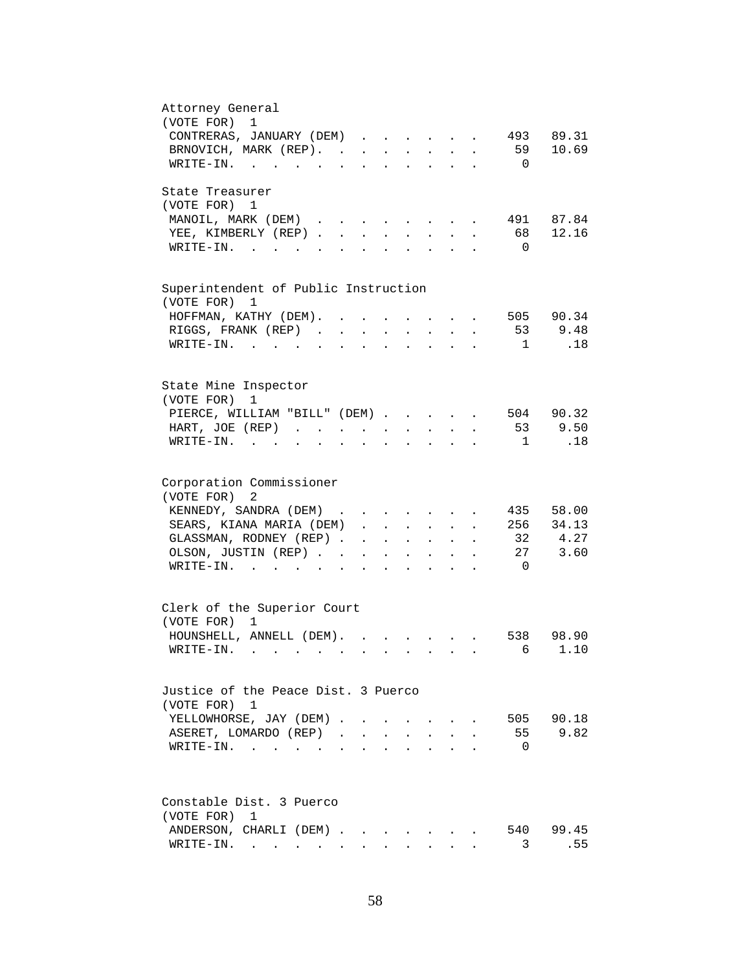| Attorney General                                                                                                                                                                                                               |
|--------------------------------------------------------------------------------------------------------------------------------------------------------------------------------------------------------------------------------|
| (VOTE FOR)<br>1                                                                                                                                                                                                                |
| CONTRERAS, JANUARY (DEM)<br>493 89.31                                                                                                                                                                                          |
| 59<br>10.69<br>BRNOVICH, MARK (REP).                                                                                                                                                                                           |
| $\overline{0}$<br>WRITE-IN.<br>$\sim$ $\sim$<br>$\mathbf{A}$<br>$\cdot$ $\cdot$ $\cdot$ $\cdot$ $\cdot$                                                                                                                        |
| State Treasurer                                                                                                                                                                                                                |
| (VOTE FOR) 1                                                                                                                                                                                                                   |
| MANOIL, MARK (DEM)<br>491 87.84<br>$\sim$ $\sim$ $\sim$ $\sim$ $\sim$                                                                                                                                                          |
| 12.16<br>YEE, KIMBERLY (REP).<br>68<br>$\mathbf{r}$                                                                                                                                                                            |
| $WRITE-IN.$<br>$\overline{0}$                                                                                                                                                                                                  |
|                                                                                                                                                                                                                                |
| Superintendent of Public Instruction<br>(VOTE FOR)<br>1                                                                                                                                                                        |
| 505 90.34<br>HOFFMAN, KATHY (DEM).                                                                                                                                                                                             |
| 9.48<br>RIGGS, FRANK (REP)<br>53<br>$\sim$ $\sim$<br>$\ddot{\phantom{0}}$<br>$\ddot{\phantom{0}}$<br>$\sim$ $-$<br>$\ddot{\phantom{a}}$<br>$\ddot{\phantom{a}}$                                                                |
| .18<br>WRITE-IN.<br>$\overline{1}$<br>$\ddot{\phantom{a}}$<br>$\bullet$                                                                                                                                                        |
|                                                                                                                                                                                                                                |
| State Mine Inspector                                                                                                                                                                                                           |
| (VOTE FOR)<br>1                                                                                                                                                                                                                |
| 90.32<br>PIERCE, WILLIAM "BILL" (DEM)<br>504<br>9.50<br>53                                                                                                                                                                     |
| HART, JOE $(REF)$<br>.18<br>WRITE-IN.<br>$\overline{1}$                                                                                                                                                                        |
| and a strong control of the state of the state of the state of the state of the state of the state of the state of the state of the state of the state of the state of the state of the state of the state of the state of the |
| Corporation Commissioner                                                                                                                                                                                                       |
| (VOTE FOR) 2                                                                                                                                                                                                                   |
| KENNEDY, SANDRA (DEM)<br>435<br>58.00<br><b>Contract Contract Contract</b>                                                                                                                                                     |
| 256 34.13<br>SEARS, KIANA MARIA (DEM)<br>$\mathbf{L}$<br>$\ddot{\phantom{a}}$                                                                                                                                                  |
| 32 4.27<br>GLASSMAN, RODNEY (REP)<br>$\mathbf{r}$ , $\mathbf{r}$ , $\mathbf{r}$<br>$\cdot$ $\cdot$                                                                                                                             |
| 3.60<br>OLSON, JUSTIN (REP)<br>27<br>$\mathbf{L}^{\text{max}}$ , and $\mathbf{L}^{\text{max}}$<br>$\mathbf{L}^{\text{max}}$<br>$\bullet$ .<br><br><br><br><br><br><br><br><br><br><br><br><br>$\ddot{\phantom{a}}$             |
| $\texttt{WRTTE-IN.}$<br>$\overline{0}$<br>$\cdot$ $\cdot$ $\cdot$<br>$\ddot{\phantom{a}}$<br>$\ddot{\phantom{a}}$<br>$\ddot{\phantom{0}}$<br>$\sim$                                                                            |
|                                                                                                                                                                                                                                |
| Clerk of the Superior Court<br>(VOTE FOR) 1                                                                                                                                                                                    |
| HOUNSHELL, ANNELL (DEM).<br>538 98.90                                                                                                                                                                                          |
| 6 1.10<br>WRITE-IN. .                                                                                                                                                                                                          |
|                                                                                                                                                                                                                                |
| Justice of the Peace Dist. 3 Puerco                                                                                                                                                                                            |
| (VOTE FOR) 1                                                                                                                                                                                                                   |
| YELLOWHORSE, JAY (DEM).<br>505 90.18                                                                                                                                                                                           |
| 9.82<br>55<br>ASERET, LOMARDO (REP).                                                                                                                                                                                           |
| WRITE-IN.<br>$\overline{0}$                                                                                                                                                                                                    |
|                                                                                                                                                                                                                                |
| Constable Dist. 3 Puerco                                                                                                                                                                                                       |
| (VOTE FOR)<br>1                                                                                                                                                                                                                |
| 540<br>99.45<br>ANDERSON, CHARLI (DEM)                                                                                                                                                                                         |
| WRITE-IN.<br>3<br>. 55                                                                                                                                                                                                         |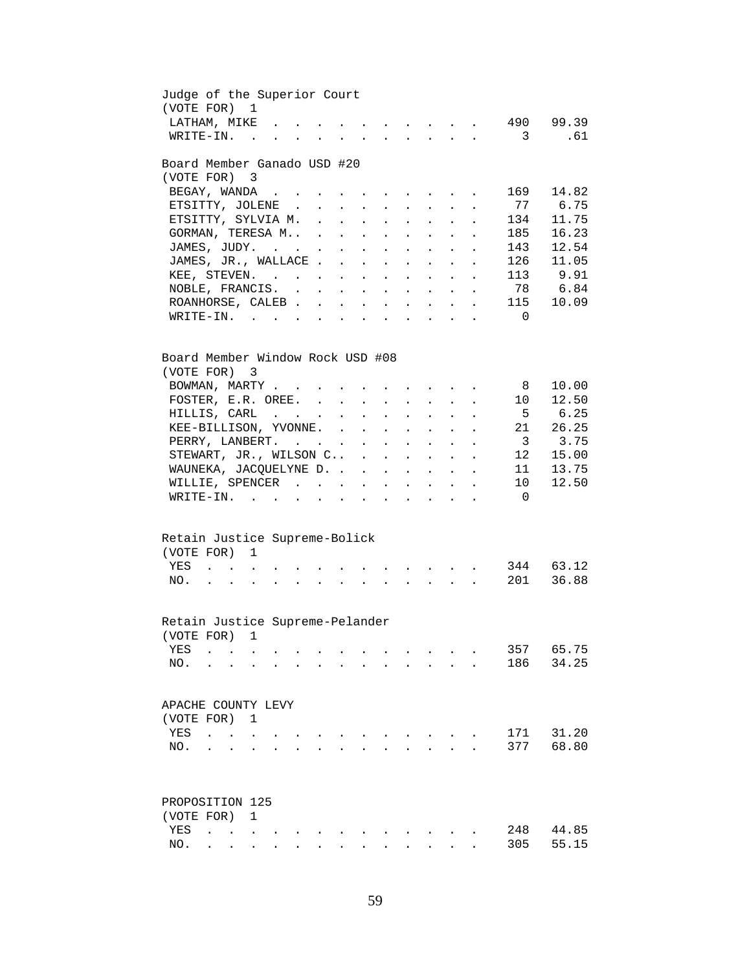| Judge of the Superior Court<br>(VOTE FOR) 1                                                                                                                                                             |                                 |                          |                                                                                            |                                            |                                                                                                                 |                      |                                                             |                      |                      |                               |                                                                                                                                                                                                                                                                                                                                                                                                                                                                  |                      |                                                       |                                                           |
|---------------------------------------------------------------------------------------------------------------------------------------------------------------------------------------------------------|---------------------------------|--------------------------|--------------------------------------------------------------------------------------------|--------------------------------------------|-----------------------------------------------------------------------------------------------------------------|----------------------|-------------------------------------------------------------|----------------------|----------------------|-------------------------------|------------------------------------------------------------------------------------------------------------------------------------------------------------------------------------------------------------------------------------------------------------------------------------------------------------------------------------------------------------------------------------------------------------------------------------------------------------------|----------------------|-------------------------------------------------------|-----------------------------------------------------------|
| LATHAM, MIKE                                                                                                                                                                                            |                                 |                          |                                                                                            |                                            |                                                                                                                 | $\ddot{\phantom{0}}$ | $\sim$                                                      |                      |                      |                               | $\mathbf{1} \qquad \qquad \mathbf{1} \qquad \qquad \mathbf{1} \qquad \qquad \mathbf{1} \qquad \qquad \mathbf{1} \qquad \qquad \mathbf{1} \qquad \qquad \mathbf{1} \qquad \qquad \mathbf{1} \qquad \mathbf{1} \qquad \mathbf{1} \qquad \mathbf{1} \qquad \qquad \mathbf{1} \qquad \mathbf{1} \qquad \mathbf{1} \qquad \mathbf{1} \qquad \mathbf{1} \qquad \mathbf{1} \qquad \mathbf{1} \qquad \mathbf{1} \qquad \mathbf{1} \qquad \mathbf{1} \qquad \mathbf{1} \$ |                      |                                                       | 490 99.39                                                 |
| WRITE-IN.                                                                                                                                                                                               |                                 |                          |                                                                                            | $\mathbf{r}$ , $\mathbf{r}$ , $\mathbf{r}$ |                                                                                                                 |                      | $\mathbf{L} = \mathbf{L}$                                   |                      | $\sim$               |                               | $\mathbf{r} = \mathbf{r}$                                                                                                                                                                                                                                                                                                                                                                                                                                        | $\sim$               | $\overline{\mathbf{3}}$                               | .61                                                       |
| Board Member Ganado USD #20                                                                                                                                                                             |                                 |                          |                                                                                            |                                            |                                                                                                                 |                      |                                                             |                      |                      |                               |                                                                                                                                                                                                                                                                                                                                                                                                                                                                  |                      |                                                       |                                                           |
| (VOTE FOR) 3                                                                                                                                                                                            |                                 |                          |                                                                                            |                                            |                                                                                                                 |                      |                                                             |                      |                      |                               |                                                                                                                                                                                                                                                                                                                                                                                                                                                                  |                      |                                                       |                                                           |
| BEGAY, WANDA                                                                                                                                                                                            |                                 |                          |                                                                                            |                                            |                                                                                                                 |                      |                                                             |                      |                      |                               |                                                                                                                                                                                                                                                                                                                                                                                                                                                                  |                      | 169                                                   | 14.82                                                     |
| ETSITTY, JOLENE                                                                                                                                                                                         |                                 |                          |                                                                                            |                                            |                                                                                                                 |                      |                                                             |                      |                      |                               |                                                                                                                                                                                                                                                                                                                                                                                                                                                                  |                      | 77                                                    | 6.75                                                      |
| ETSITTY, SYLVIA M.                                                                                                                                                                                      |                                 |                          |                                                                                            |                                            |                                                                                                                 |                      |                                                             |                      |                      |                               |                                                                                                                                                                                                                                                                                                                                                                                                                                                                  |                      | 134                                                   | 11.75                                                     |
| GORMAN, TERESA M                                                                                                                                                                                        |                                 |                          |                                                                                            |                                            |                                                                                                                 |                      |                                                             | $\ddot{\phantom{0}}$ | $\sim$ $-$           |                               | $\mathbf{L}$ and $\mathbf{L}$                                                                                                                                                                                                                                                                                                                                                                                                                                    |                      | 185                                                   | 16.23                                                     |
| JAMES, JUDY.                                                                                                                                                                                            |                                 |                          |                                                                                            |                                            |                                                                                                                 |                      | $\sim$ $-$                                                  | $\ddot{\phantom{0}}$ | $\sim$ $\sim$        | $\sim$                        | $\mathbf{L}$                                                                                                                                                                                                                                                                                                                                                                                                                                                     |                      | 143                                                   | 12.54                                                     |
| JAMES, JR., WALLACE                                                                                                                                                                                     |                                 |                          |                                                                                            |                                            |                                                                                                                 |                      |                                                             | $\ddot{\phantom{a}}$ | $\sim$               | $\sim$                        | $\ddot{\phantom{0}}$                                                                                                                                                                                                                                                                                                                                                                                                                                             | $\ddot{\phantom{a}}$ | 126                                                   | 11.05                                                     |
| KEE, STEVEN.                                                                                                                                                                                            |                                 |                          |                                                                                            |                                            |                                                                                                                 |                      |                                                             |                      |                      |                               | $\mathbf{r}$ , $\mathbf{r}$ , $\mathbf{r}$ , $\mathbf{r}$                                                                                                                                                                                                                                                                                                                                                                                                        |                      | 113                                                   | 9.91                                                      |
| NOBLE, FRANCIS.                                                                                                                                                                                         |                                 |                          |                                                                                            |                                            |                                                                                                                 |                      |                                                             |                      |                      |                               |                                                                                                                                                                                                                                                                                                                                                                                                                                                                  |                      | 78                                                    | 6.84                                                      |
| ROANHORSE, CALEB                                                                                                                                                                                        |                                 |                          |                                                                                            |                                            |                                                                                                                 |                      |                                                             |                      |                      |                               |                                                                                                                                                                                                                                                                                                                                                                                                                                                                  |                      | 115                                                   | 10.09                                                     |
| WRITE-IN.                                                                                                                                                                                               |                                 |                          |                                                                                            |                                            |                                                                                                                 |                      |                                                             |                      |                      |                               |                                                                                                                                                                                                                                                                                                                                                                                                                                                                  |                      | $\overline{\phantom{0}}$                              |                                                           |
| Board Member Window Rock USD #08<br>(VOTE FOR) 3<br>BOWMAN, MARTY<br>FOSTER, E.R. OREE.<br>HILLIS, CARL<br>KEE-BILLISON, YVONNE.<br>PERRY, LANBERT.<br>STEWART, JR., WILSON C<br>WAUNEKA, JACQUELYNE D. |                                 |                          |                                                                                            |                                            |                                                                                                                 |                      |                                                             |                      |                      |                               |                                                                                                                                                                                                                                                                                                                                                                                                                                                                  | $\sim$               | 8<br>10<br>- 5<br>21<br>$\overline{\mathbf{3}}$<br>12 | 10.00<br>12.50<br>6.25<br>26.25<br>3.75<br>15.00<br>13.75 |
| WILLIE, SPENCER                                                                                                                                                                                         |                                 |                          |                                                                                            |                                            |                                                                                                                 |                      |                                                             |                      |                      |                               |                                                                                                                                                                                                                                                                                                                                                                                                                                                                  |                      | 11<br>$10 \,$                                         | 12.50                                                     |
|                                                                                                                                                                                                         |                                 |                          |                                                                                            |                                            |                                                                                                                 |                      | $\bullet$ .<br><br><br><br><br><br><br><br><br><br><br><br> |                      |                      |                               | $\begin{array}{cccccccccccccc} \bullet & \bullet & \bullet & \bullet & \bullet & \bullet & \bullet & \bullet & \bullet \end{array}$                                                                                                                                                                                                                                                                                                                              |                      |                                                       |                                                           |
| WRITE-IN.                                                                                                                                                                                               |                                 |                          |                                                                                            | $\sim$                                     |                                                                                                                 |                      |                                                             |                      | $\ddot{\phantom{a}}$ |                               | $\mathbf{r} = \mathbf{r} + \mathbf{r} + \mathbf{r}$ .                                                                                                                                                                                                                                                                                                                                                                                                            |                      | $\overline{\phantom{0}}$                              |                                                           |
| Retain Justice Supreme-Bolick                                                                                                                                                                           |                                 |                          |                                                                                            |                                            |                                                                                                                 |                      |                                                             |                      |                      |                               |                                                                                                                                                                                                                                                                                                                                                                                                                                                                  |                      |                                                       |                                                           |
| (VOTE FOR)                                                                                                                                                                                              |                                 |                          | $\mathbf{1}$                                                                               |                                            |                                                                                                                 |                      |                                                             |                      |                      |                               |                                                                                                                                                                                                                                                                                                                                                                                                                                                                  |                      |                                                       |                                                           |
| YES                                                                                                                                                                                                     |                                 |                          |                                                                                            |                                            | and a series of the contract of the contract of the contract of the contract of the contract of the contract of |                      |                                                             |                      |                      |                               |                                                                                                                                                                                                                                                                                                                                                                                                                                                                  |                      | 344                                                   | 63.12                                                     |
| NO.                                                                                                                                                                                                     |                                 |                          |                                                                                            |                                            |                                                                                                                 |                      |                                                             |                      |                      |                               |                                                                                                                                                                                                                                                                                                                                                                                                                                                                  |                      | 201                                                   | 36.88                                                     |
|                                                                                                                                                                                                         |                                 |                          |                                                                                            |                                            |                                                                                                                 |                      |                                                             |                      |                      |                               |                                                                                                                                                                                                                                                                                                                                                                                                                                                                  |                      |                                                       |                                                           |
| Retain Justice Supreme-Pelander                                                                                                                                                                         |                                 |                          |                                                                                            |                                            |                                                                                                                 |                      |                                                             |                      |                      |                               |                                                                                                                                                                                                                                                                                                                                                                                                                                                                  |                      |                                                       |                                                           |
| (VOTE FOR) 1                                                                                                                                                                                            |                                 |                          |                                                                                            |                                            |                                                                                                                 |                      |                                                             |                      |                      |                               |                                                                                                                                                                                                                                                                                                                                                                                                                                                                  |                      |                                                       |                                                           |
| YES                                                                                                                                                                                                     |                                 | <b>Contract Contract</b> |                                                                                            |                                            |                                                                                                                 |                      |                                                             |                      |                      |                               |                                                                                                                                                                                                                                                                                                                                                                                                                                                                  |                      | 357                                                   | 65.75                                                     |
| NO.                                                                                                                                                                                                     |                                 |                          |                                                                                            |                                            |                                                                                                                 |                      |                                                             |                      |                      | $\mathbf{r}$ and $\mathbf{r}$ |                                                                                                                                                                                                                                                                                                                                                                                                                                                                  |                      | 186                                                   | 34.25                                                     |
| APACHE COUNTY LEVY                                                                                                                                                                                      |                                 |                          |                                                                                            |                                            |                                                                                                                 |                      |                                                             |                      |                      |                               |                                                                                                                                                                                                                                                                                                                                                                                                                                                                  |                      |                                                       |                                                           |
| (VOTE FOR) 1                                                                                                                                                                                            |                                 |                          |                                                                                            |                                            |                                                                                                                 |                      |                                                             |                      |                      |                               |                                                                                                                                                                                                                                                                                                                                                                                                                                                                  |                      |                                                       |                                                           |
| YES                                                                                                                                                                                                     | $\mathcal{L}$ and $\mathcal{L}$ |                          |                                                                                            |                                            |                                                                                                                 |                      |                                                             |                      |                      |                               |                                                                                                                                                                                                                                                                                                                                                                                                                                                                  |                      | 171                                                   | 31.20                                                     |
| NO.                                                                                                                                                                                                     |                                 |                          |                                                                                            |                                            |                                                                                                                 |                      |                                                             |                      |                      |                               |                                                                                                                                                                                                                                                                                                                                                                                                                                                                  |                      | 377                                                   | 68.80                                                     |
|                                                                                                                                                                                                         |                                 |                          |                                                                                            |                                            |                                                                                                                 |                      |                                                             |                      |                      |                               |                                                                                                                                                                                                                                                                                                                                                                                                                                                                  |                      |                                                       |                                                           |
| PROPOSITION 125                                                                                                                                                                                         |                                 |                          |                                                                                            |                                            |                                                                                                                 |                      |                                                             |                      |                      |                               |                                                                                                                                                                                                                                                                                                                                                                                                                                                                  |                      |                                                       |                                                           |
| (VOTE FOR)                                                                                                                                                                                              |                                 |                          | $\mathbf{1}$                                                                               |                                            |                                                                                                                 |                      |                                                             |                      |                      |                               |                                                                                                                                                                                                                                                                                                                                                                                                                                                                  |                      |                                                       |                                                           |
| YES                                                                                                                                                                                                     | $\ddot{\phantom{a}}$            |                          | $\mathcal{L}(\mathcal{A})$ , and $\mathcal{L}(\mathcal{A})$ and $\mathcal{L}(\mathcal{A})$ |                                            |                                                                                                                 |                      |                                                             |                      |                      |                               |                                                                                                                                                                                                                                                                                                                                                                                                                                                                  |                      | 248                                                   | 44.85                                                     |
| NO.                                                                                                                                                                                                     |                                 |                          |                                                                                            |                                            |                                                                                                                 |                      |                                                             |                      |                      |                               |                                                                                                                                                                                                                                                                                                                                                                                                                                                                  |                      | 305                                                   | 55.15                                                     |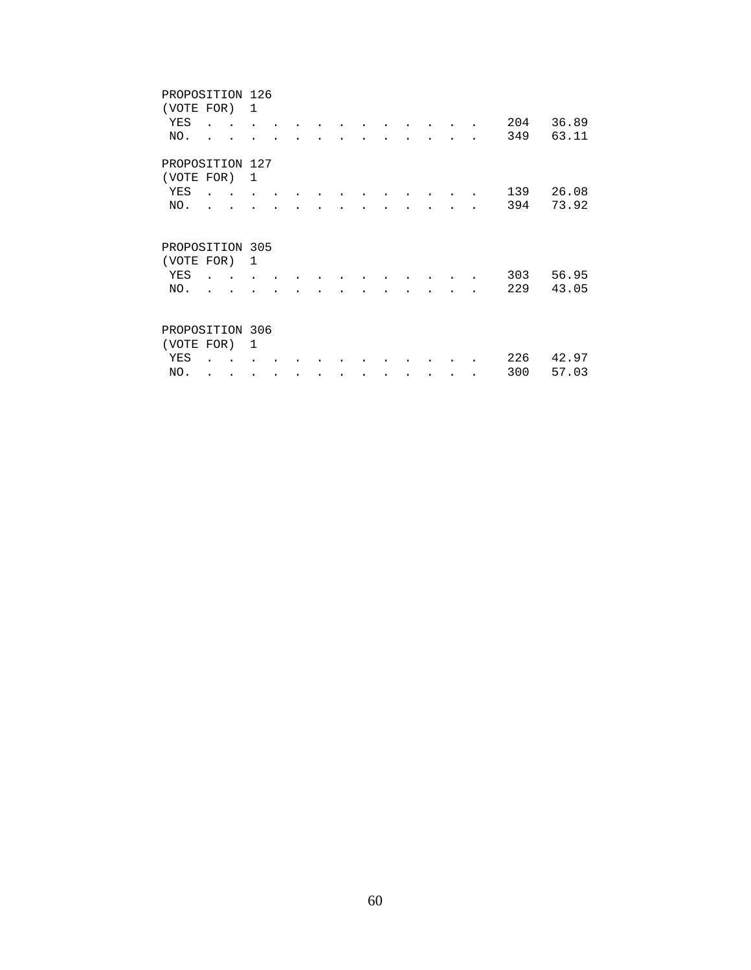| PROPOSITION 126 |  |   |  |  |  |  |           |     |       |
|-----------------|--|---|--|--|--|--|-----------|-----|-------|
| (VOTE FOR)      |  | 1 |  |  |  |  |           |     |       |
| YES             |  |   |  |  |  |  |           | 204 | 36.89 |
| NO.             |  |   |  |  |  |  |           | 349 | 63.11 |
| PROPOSITION 127 |  |   |  |  |  |  |           |     |       |
| (VOTE FOR)      |  | 1 |  |  |  |  |           |     |       |
| YES             |  |   |  |  |  |  |           | 139 | 26.08 |
| NO.             |  |   |  |  |  |  |           | 394 | 73.92 |
| PROPOSITION 305 |  |   |  |  |  |  |           |     |       |
| (VOTE FOR)      |  | 1 |  |  |  |  |           |     |       |
| YES             |  |   |  |  |  |  |           | 303 | 56.95 |
| NO.             |  |   |  |  |  |  |           | 229 | 43.05 |
| PROPOSITION 306 |  |   |  |  |  |  |           |     |       |
| (VOTE FOR)      |  | 1 |  |  |  |  |           |     |       |
| YES             |  |   |  |  |  |  |           | 226 | 42.97 |
| NO.             |  |   |  |  |  |  | $\bullet$ | 300 | 57.03 |
|                 |  |   |  |  |  |  |           |     |       |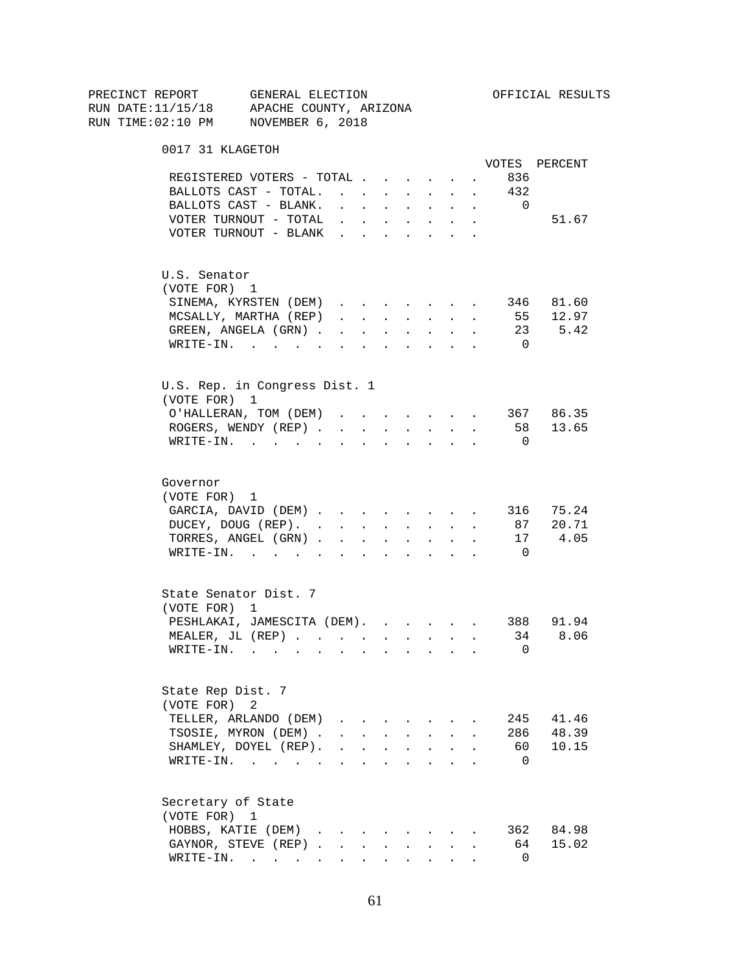| PRECINCT REPORT                          | GENERAL ELECTION                      |                                                                          |                      |                      |                      |                                                             |                      |                      |                | OFFICIAL RESULTS |
|------------------------------------------|---------------------------------------|--------------------------------------------------------------------------|----------------------|----------------------|----------------------|-------------------------------------------------------------|----------------------|----------------------|----------------|------------------|
| RUN DATE:11/15/18 APACHE COUNTY, ARIZONA |                                       |                                                                          |                      |                      |                      |                                                             |                      |                      |                |                  |
| RUN TIME:02:10 PM NOVEMBER 6, 2018       |                                       |                                                                          |                      |                      |                      |                                                             |                      |                      |                |                  |
| 0017 31 KLAGETOH                         |                                       |                                                                          |                      |                      |                      |                                                             |                      |                      |                |                  |
|                                          |                                       |                                                                          |                      |                      |                      |                                                             |                      |                      |                | VOTES PERCENT    |
|                                          | REGISTERED VOTERS - TOTAL             |                                                                          |                      |                      |                      |                                                             | $\ddot{\phantom{0}}$ |                      | 836            |                  |
|                                          | BALLOTS CAST - TOTAL.                 |                                                                          |                      |                      |                      | $\mathbf{L} = \mathbf{L} \mathbf{L}$                        | $\ddot{\phantom{0}}$ | $\sim$               | 432            |                  |
|                                          | BALLOTS CAST - BLANK.                 | $\mathbf{r}$ , $\mathbf{r}$ , $\mathbf{r}$ , $\mathbf{r}$ , $\mathbf{r}$ |                      |                      |                      |                                                             | $\mathbf{L}$         | $\sim$               | $\overline{0}$ |                  |
|                                          | VOTER TURNOUT - TOTAL $\ldots$        |                                                                          |                      |                      |                      |                                                             |                      |                      |                | 51.67            |
|                                          | VOTER TURNOUT - BLANK                 |                                                                          |                      |                      |                      |                                                             |                      |                      |                |                  |
| U.S. Senator                             |                                       |                                                                          |                      |                      |                      |                                                             |                      |                      |                |                  |
| (VOTE FOR) 1                             |                                       |                                                                          |                      |                      |                      |                                                             |                      |                      |                |                  |
|                                          | SINEMA, KYRSTEN (DEM)                 |                                                                          |                      |                      |                      |                                                             |                      | $\sim$               |                | 346 81.60        |
|                                          | MCSALLY, MARTHA (REP)                 | $\mathbf{r}$ and $\mathbf{r}$ and $\mathbf{r}$ and $\mathbf{r}$          |                      |                      |                      |                                                             |                      | $\ddot{\phantom{a}}$ |                | 55 12.97         |
|                                          | GREEN, ANGELA (GRN).                  |                                                                          |                      |                      |                      |                                                             |                      |                      |                | 23 5.42          |
|                                          | WRITE-IN.                             |                                                                          |                      |                      |                      |                                                             |                      |                      | $\overline{0}$ |                  |
| U.S. Rep. in Congress Dist. 1            |                                       |                                                                          |                      |                      |                      |                                                             |                      |                      |                |                  |
| (VOTE FOR) 1                             |                                       |                                                                          |                      |                      |                      |                                                             |                      |                      |                |                  |
|                                          | O'HALLERAN, TOM (DEM)                 |                                                                          |                      |                      |                      |                                                             |                      |                      |                | 367 86.35        |
|                                          | ROGERS, WENDY (REP).                  | $\sim$                                                                   | $\sim$               | $\ddot{\phantom{0}}$ | $\ddot{\phantom{0}}$ | $\sim 10^{-10}$                                             | $\ddot{\phantom{0}}$ | $\ddot{\phantom{a}}$ |                | 58 13.65         |
|                                          | $W\text{RITE}-\text{IN}.$             |                                                                          |                      |                      |                      |                                                             |                      |                      | $\overline{0}$ |                  |
| Governor                                 |                                       |                                                                          |                      |                      |                      |                                                             |                      |                      |                |                  |
| (VOTE FOR) 1                             |                                       |                                                                          |                      |                      |                      |                                                             |                      |                      |                |                  |
|                                          | GARCIA, DAVID (DEM)                   |                                                                          |                      |                      |                      |                                                             |                      |                      |                | 316 75.24        |
|                                          | DUCEY, DOUG (REP).                    |                                                                          |                      |                      |                      |                                                             |                      | $\sim$               | 87             | 20.71            |
|                                          | TORRES, ANGEL (GRN)                   |                                                                          |                      |                      |                      |                                                             |                      |                      | 17             | 4.05             |
|                                          | $\texttt{WRTTE-IN.}$                  | <b>All All Andrew</b>                                                    |                      |                      |                      | $\mathbf{z} = \mathbf{z} + \mathbf{z}$ .                    |                      |                      | $\overline{0}$ |                  |
|                                          |                                       |                                                                          |                      |                      |                      |                                                             |                      |                      |                |                  |
| State Senator Dist. 7<br>(VOTE FOR) 1    |                                       |                                                                          |                      |                      |                      |                                                             |                      |                      |                |                  |
|                                          | PESHLAKAI, JAMESCITA (DEM). 388 91.94 |                                                                          |                      |                      |                      |                                                             |                      |                      |                |                  |
|                                          |                                       |                                                                          |                      |                      |                      |                                                             |                      |                      | 34             | 8.06             |
|                                          | MEALER, JL (REP)                      |                                                                          |                      |                      |                      |                                                             |                      |                      | 0              |                  |
| WRITE-IN.                                | $\sim$ 10 $\pm$<br>$\sim$             |                                                                          |                      |                      |                      |                                                             |                      |                      |                |                  |
| State Rep Dist. 7                        |                                       |                                                                          |                      |                      |                      |                                                             |                      |                      |                |                  |
| (VOTE FOR)                               | 2                                     |                                                                          |                      |                      |                      |                                                             |                      |                      |                |                  |
|                                          | TELLER, ARLANDO (DEM)                 | $\mathbf{r}$ , $\mathbf{r}$ , $\mathbf{r}$ , $\mathbf{r}$                |                      |                      |                      |                                                             |                      |                      | 245            | 41.46            |
|                                          | TSOSIE, MYRON (DEM).                  |                                                                          |                      |                      |                      | $\mathbf{r}$ , $\mathbf{r}$ , $\mathbf{r}$ , $\mathbf{r}$   |                      |                      | 286            | 48.39            |
|                                          | SHAMLEY, DOYEL (REP).                 |                                                                          | $\ddot{\phantom{0}}$ | $\ddot{\phantom{a}}$ | $\ddot{\phantom{a}}$ | $\bullet$ .                                                 |                      |                      | 60 -           | 10.15            |
| WRITE-IN.                                | and the contract of the con-          |                                                                          | $\ddot{\phantom{a}}$ | $\ddot{\phantom{a}}$ |                      | $\bullet$ .<br><br><br><br><br><br><br><br><br><br><br><br> |                      |                      | $\Omega$       |                  |
| Secretary of State                       |                                       |                                                                          |                      |                      |                      |                                                             |                      |                      |                |                  |
| (VOTE FOR) 1                             |                                       |                                                                          |                      |                      |                      |                                                             |                      |                      |                |                  |
|                                          | HOBBS, KATIE (DEM)                    |                                                                          |                      |                      |                      |                                                             |                      |                      |                | 362 84.98        |
|                                          | GAYNOR, STEVE (REP)                   |                                                                          |                      |                      |                      |                                                             |                      |                      | 64             | 15.02            |
|                                          | WRITE-IN.                             |                                                                          |                      |                      |                      |                                                             |                      |                      | $\Omega$       |                  |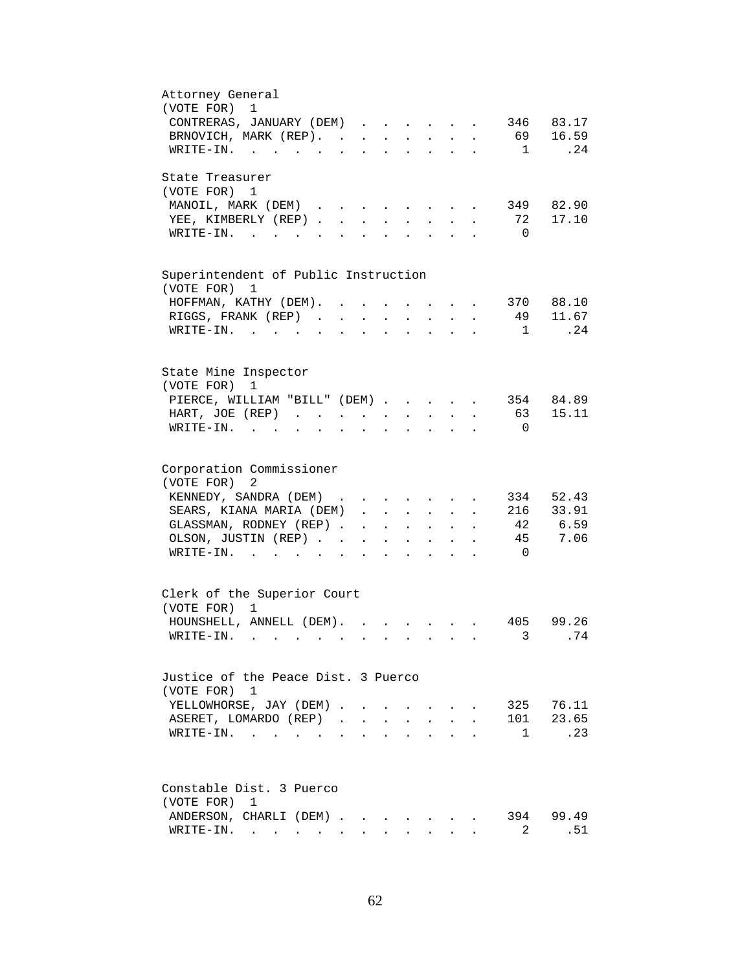| Attorney General                                                                                                                                                   |
|--------------------------------------------------------------------------------------------------------------------------------------------------------------------|
| (VOTE FOR)<br>$\mathbf{1}$                                                                                                                                         |
| 83.17<br>CONTRERAS, JANUARY (DEM) 346                                                                                                                              |
| 16.59<br>BRNOVICH, MARK (REP).<br>69                                                                                                                               |
| .24<br>WRITE-IN.<br>$\overline{1}$<br>$\mathbf{r} = \mathbf{r} + \mathbf{r} + \mathbf{r} + \mathbf{r} + \mathbf{r}$                                                |
| State Treasurer                                                                                                                                                    |
| (VOTE FOR) 1                                                                                                                                                       |
| 82.90<br>MANOIL, MARK (DEM)<br>349<br>$\mathbf{r}$ , and $\mathbf{r}$ , and $\mathbf{r}$                                                                           |
| YEE, KIMBERLY (REP)<br>17.10<br>72<br>$\mathbf{r} = \mathbf{r} \cdot \mathbf{r}$<br>$\mathbf{L}$<br>$\ddot{\phantom{a}}$                                           |
| $\overline{0}$<br>$\texttt{WRTTE-IN.}$<br><b>Contract Contract Contract Contract</b>                                                                               |
|                                                                                                                                                                    |
| Superintendent of Public Instruction<br>(VOTE FOR) 1                                                                                                               |
| 370 88.10<br>HOFFMAN, KATHY (DEM).                                                                                                                                 |
| 11.67<br>RIGGS, FRANK (REP).<br>49<br>$\mathbf{L}$<br>$\mathbf{L}$<br>$\sim$<br>$\mathbf{L}$                                                                       |
| .24<br>$WRITE-IN.$<br>$\overline{1}$                                                                                                                               |
|                                                                                                                                                                    |
| State Mine Inspector                                                                                                                                               |
| (VOTE FOR)<br>1                                                                                                                                                    |
| PIERCE, WILLIAM "BILL" (DEM)<br>354<br>84.89                                                                                                                       |
| 63<br>15.11<br>HART, JOE (REP)                                                                                                                                     |
| $\sim$<br>$\mathbf{L}^{\text{max}}$<br>$\sim$<br>$\ddot{\phantom{a}}$<br>WRITE-IN.<br>$\overline{0}$                                                               |
|                                                                                                                                                                    |
| Corporation Commissioner                                                                                                                                           |
| (VOTE FOR)<br>2                                                                                                                                                    |
| KENNEDY, SANDRA (DEM)<br>334<br>52.43                                                                                                                              |
| 33.91<br>SEARS, KIANA MARIA (DEM).<br>216                                                                                                                          |
| $\mathbf{1}$ and $\mathbf{1}$ and $\mathbf{1}$ and $\mathbf{1}$<br>$\ddot{\phantom{a}}$<br>$\sim$<br>42 6.59                                                       |
| GLASSMAN, RODNEY (REP)<br>$\mathbf{z} = \mathbf{z} + \mathbf{z}$ , where $\mathbf{z} = \mathbf{z}$<br>$\ddot{\phantom{0}}$<br>$\sim$<br>7.06<br>45                 |
| OLSON, JUSTIN (REP). .<br>$\bullet$ .<br><br><br><br><br><br><br><br><br><br><br><br><br>$\ddot{\phantom{a}}$<br>$\sim$ $-$<br>$\bullet$ .<br>$\ddot{\phantom{0}}$ |
| WRITE-IN.<br>$\overline{0}$                                                                                                                                        |
| Clerk of the Superior Court                                                                                                                                        |
| (VOTE FOR)<br>$\mathbf{1}$                                                                                                                                         |
| HOUNSHELL, ANNELL (DEM).<br>405<br>99.26                                                                                                                           |
| 3 .74                                                                                                                                                              |
|                                                                                                                                                                    |
| Justice of the Peace Dist. 3 Puerco                                                                                                                                |
| (VOTE FOR) 1                                                                                                                                                       |
| 76.11<br>YELLOWHORSE, JAY (DEM).<br>325<br>$\mathbf{r}$ and $\mathbf{r}$ and $\mathbf{r}$ and $\mathbf{r}$<br>$\ddot{\phantom{0}}$                                 |
| 101<br>23.65<br>ASERET, LOMARDO (REP)<br>$\mathbf{L}$<br>$\mathbf{r}$ and $\mathbf{r}$<br>$\mathbf{L}$<br>$\sim$                                                   |
| .23<br>$\mathbf{1}$<br>WRITE-IN.<br>$\mathbf{r} = \mathbf{r} + \mathbf{r}$ , where $\mathbf{r} = \mathbf{r} + \mathbf{r}$                                          |
|                                                                                                                                                                    |
|                                                                                                                                                                    |
| Constable Dist. 3 Puerco                                                                                                                                           |
| (VOTE FOR) 1                                                                                                                                                       |
| 394 99.49<br>ANDERSON, CHARLI (DEM)                                                                                                                                |
| .51<br>$\texttt{WRTTE-IN.}$<br>2<br>$\mathbf{L} = \mathbf{L}$<br>$\mathbf{r}$                                                                                      |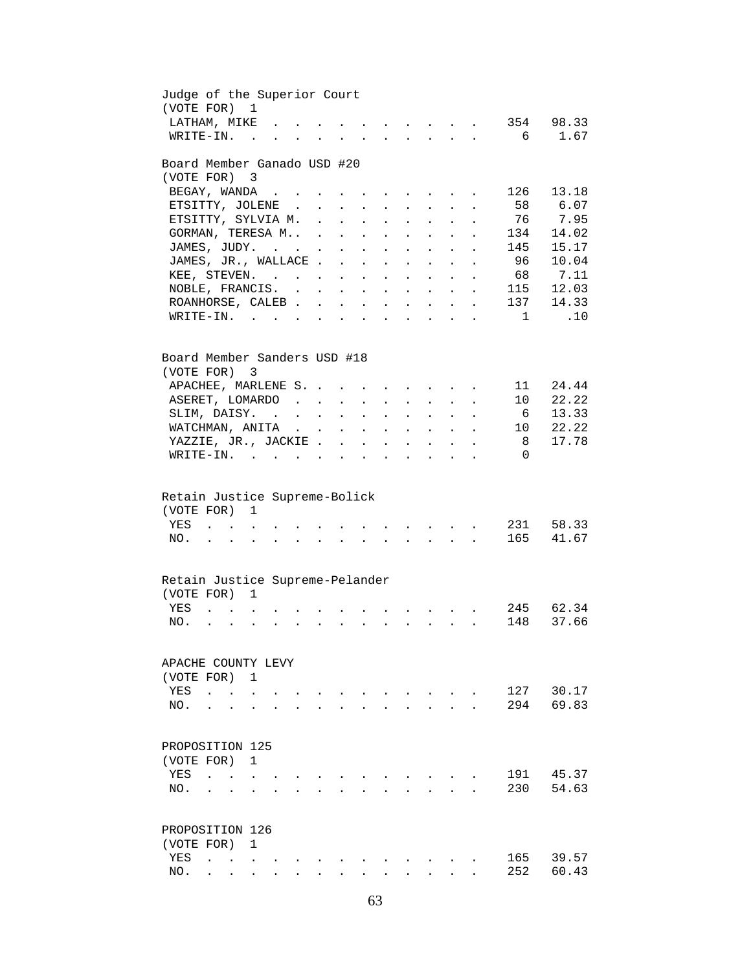| Judge of the Superior Court                               |                                |                          |                                                                                                                 |                           |                           |                            |                                                                                               |                 |                                             |                                                                                                                                                                                                                                   |              |                |
|-----------------------------------------------------------|--------------------------------|--------------------------|-----------------------------------------------------------------------------------------------------------------|---------------------------|---------------------------|----------------------------|-----------------------------------------------------------------------------------------------|-----------------|---------------------------------------------|-----------------------------------------------------------------------------------------------------------------------------------------------------------------------------------------------------------------------------------|--------------|----------------|
| (VOTE FOR) 1                                              |                                |                          |                                                                                                                 |                           |                           |                            |                                                                                               |                 |                                             |                                                                                                                                                                                                                                   |              |                |
| LATHAM, MIKE.                                             |                                |                          |                                                                                                                 |                           |                           |                            |                                                                                               |                 |                                             | $\mathbf{r} = \mathbf{r} \cdot \mathbf{r}$ , and $\mathbf{r} = \mathbf{r} \cdot \mathbf{r}$ , and $\mathbf{r} = \mathbf{r} \cdot \mathbf{r}$                                                                                      | 354          | 98.33          |
| WRITE-IN.                                                 | $\sim$ $\sim$ $\sim$           |                          |                                                                                                                 |                           |                           |                            |                                                                                               |                 |                                             | $\mathbf{r}$ . The contract of the contract of the contract of the contract of the contract of the contract of the contract of the contract of the contract of the contract of the contract of the contract of the contract of th | 6            | 1.67           |
|                                                           |                                |                          |                                                                                                                 |                           |                           |                            |                                                                                               |                 |                                             |                                                                                                                                                                                                                                   |              |                |
| Board Member Ganado USD #20<br>(VOTE FOR) 3               |                                |                          |                                                                                                                 |                           |                           |                            |                                                                                               |                 |                                             |                                                                                                                                                                                                                                   |              |                |
|                                                           |                                |                          |                                                                                                                 |                           |                           |                            |                                                                                               |                 |                                             |                                                                                                                                                                                                                                   | 126          | 13.18          |
| BEGAY, WANDA                                              |                                |                          |                                                                                                                 |                           |                           |                            | $\mathbf{r} = \mathbf{r} \cdot \mathbf{r}$ , where $\mathbf{r} = \mathbf{r} \cdot \mathbf{r}$ |                 |                                             | $\ddot{\phantom{a}}$                                                                                                                                                                                                              |              |                |
| ETSITTY, JOLENE.                                          |                                |                          | $\mathbf{L}$                                                                                                    | $\ddot{\phantom{0}}$      | $\sim$ $-$                |                            | $\bullet$ .                                                                                   |                 |                                             |                                                                                                                                                                                                                                   | 58           | 6.07           |
| ETSITTY, SYLVIA M.                                        |                                |                          | $\mathcal{L}^{\text{max}}$                                                                                      | $\mathbf{L}^{\text{max}}$ | $\mathbf{L}^{\text{max}}$ | $\ddot{\phantom{a}}$       | $\sim$                                                                                        | $\sim$          | $\mathbf{L}$                                |                                                                                                                                                                                                                                   | 76           | 7.95           |
| GORMAN, TERESA M                                          |                                |                          |                                                                                                                 |                           |                           | $\ddot{\phantom{a}}$       | $\sim$                                                                                        | $\sim$          | $\mathbf{L}$                                |                                                                                                                                                                                                                                   | 134          | 14.02          |
| JAMES, JUDY.                                              |                                |                          |                                                                                                                 |                           | $\ddotsc$                 |                            | $\mathbf{r} = \mathbf{r}$ and $\mathbf{r} = \mathbf{r}$                                       |                 | $\mathbf{L}$                                | $\ddot{\phantom{a}}$                                                                                                                                                                                                              | 145          | 15.17          |
| JAMES, JR., WALLACE                                       |                                |                          |                                                                                                                 |                           |                           |                            |                                                                                               |                 |                                             |                                                                                                                                                                                                                                   | 96           | 10.04          |
| KEE, STEVEN.                                              |                                |                          |                                                                                                                 |                           |                           |                            |                                                                                               |                 |                                             |                                                                                                                                                                                                                                   |              | 68 7.11        |
| NOBLE, FRANCIS.                                           |                                |                          |                                                                                                                 |                           |                           |                            |                                                                                               |                 |                                             |                                                                                                                                                                                                                                   | 115          | 12.03          |
| ROANHORSE, CALEB                                          |                                |                          |                                                                                                                 |                           |                           |                            |                                                                                               |                 |                                             |                                                                                                                                                                                                                                   | 137          | 14.33          |
| $\texttt{WRITE-IN.}\quad .\quad .\quad .\quad .$          |                                |                          |                                                                                                                 |                           |                           |                            | and a series of the series of the series of                                                   |                 |                                             |                                                                                                                                                                                                                                   | $\mathbf{1}$ | .10            |
|                                                           |                                |                          |                                                                                                                 |                           |                           |                            |                                                                                               |                 |                                             |                                                                                                                                                                                                                                   |              |                |
| Board Member Sanders USD #18                              |                                |                          |                                                                                                                 |                           |                           |                            |                                                                                               |                 |                                             |                                                                                                                                                                                                                                   |              |                |
| (VOTE FOR)                                                | 3                              |                          |                                                                                                                 |                           |                           |                            |                                                                                               |                 |                                             |                                                                                                                                                                                                                                   |              |                |
| APACHEE, MARLENE S.                                       |                                |                          |                                                                                                                 |                           |                           |                            |                                                                                               |                 |                                             |                                                                                                                                                                                                                                   | 11           | 24.44          |
| ASERET, LOMARDO                                           |                                |                          |                                                                                                                 |                           |                           |                            |                                                                                               |                 |                                             |                                                                                                                                                                                                                                   | 10           | 22.22          |
| SLIM, DAISY.                                              |                                |                          |                                                                                                                 |                           |                           |                            |                                                                                               |                 |                                             |                                                                                                                                                                                                                                   | 6            | 13.33          |
|                                                           |                                |                          |                                                                                                                 |                           |                           |                            |                                                                                               |                 |                                             | $\mathbf{r} = \mathbf{r} + \mathbf{r} + \mathbf{r} + \mathbf{r} + \mathbf{r}$                                                                                                                                                     |              | 22.22          |
| WATCHMAN, ANITA                                           |                                |                          |                                                                                                                 |                           |                           |                            | $\mathbf{r} = \mathbf{r} + \mathbf{r} + \mathbf{r} + \mathbf{r} + \mathbf{r}$                 |                 |                                             |                                                                                                                                                                                                                                   | 10           |                |
| YAZZIE, JR., JACKIE                                       |                                |                          |                                                                                                                 |                           | $\sim 10^{-11}$           | $\ddot{\phantom{0}}$       | $\mathbf{L}^{\text{max}}$                                                                     | $\sim 10^{-11}$ |                                             | $\ddot{\phantom{0}}$                                                                                                                                                                                                              | 8            | 17.78          |
| $\texttt{WRTTE-IN.}$                                      |                                |                          |                                                                                                                 |                           |                           |                            | $\ddot{\phantom{a}}$                                                                          |                 |                                             |                                                                                                                                                                                                                                   | $\Omega$     |                |
| Retain Justice Supreme-Bolick<br>(VOTE FOR)<br>YES<br>NO. | $\mathbf{1}$                   |                          | the contract of the contract of the contract of the contract of the contract of the contract of the contract of |                           |                           |                            |                                                                                               |                 |                                             | and a series of the contract of the contract of the contract of the contract of the contract of the contract of                                                                                                                   | 231<br>165   | 58.33<br>41.67 |
|                                                           |                                |                          |                                                                                                                 |                           |                           |                            |                                                                                               |                 |                                             |                                                                                                                                                                                                                                   |              |                |
| Retain Justice Supreme-Pelander                           |                                |                          |                                                                                                                 |                           |                           |                            |                                                                                               |                 |                                             |                                                                                                                                                                                                                                   |              |                |
| (VOTE FOR) 1                                              |                                |                          |                                                                                                                 |                           |                           |                            |                                                                                               |                 |                                             |                                                                                                                                                                                                                                   |              |                |
| YES                                                       |                                |                          |                                                                                                                 |                           |                           |                            |                                                                                               |                 |                                             |                                                                                                                                                                                                                                   |              | 245 62.34      |
| NO.<br>$\cdot$ $\cdot$                                    | $\sim$<br>$\ddot{\phantom{a}}$ | <b>Contract Contract</b> | $\sim$ $\sim$                                                                                                   | $\mathbf{L}^{\text{max}}$ | $\ddot{\phantom{a}}$      | $\mathcal{L}^{\text{max}}$ |                                                                                               |                 | $\mathbf{L} = \mathbf{L} \times \mathbf{L}$ |                                                                                                                                                                                                                                   | 148          | 37.66          |
|                                                           |                                |                          |                                                                                                                 |                           |                           |                            |                                                                                               |                 |                                             |                                                                                                                                                                                                                                   |              |                |
| APACHE COUNTY LEVY                                        |                                |                          |                                                                                                                 |                           |                           |                            |                                                                                               |                 |                                             |                                                                                                                                                                                                                                   |              |                |
| (VOTE FOR)                                                | 1                              |                          |                                                                                                                 |                           |                           |                            |                                                                                               |                 |                                             |                                                                                                                                                                                                                                   |              |                |
| YES                                                       |                                |                          |                                                                                                                 |                           |                           |                            |                                                                                               |                 |                                             |                                                                                                                                                                                                                                   | 127          | 30.17          |
| NO.                                                       |                                |                          |                                                                                                                 |                           |                           |                            |                                                                                               |                 |                                             |                                                                                                                                                                                                                                   | 294          | 69.83          |
|                                                           |                                |                          |                                                                                                                 |                           |                           |                            |                                                                                               |                 |                                             |                                                                                                                                                                                                                                   |              |                |
|                                                           |                                |                          |                                                                                                                 |                           |                           |                            |                                                                                               |                 |                                             |                                                                                                                                                                                                                                   |              |                |
| PROPOSITION 125                                           |                                |                          |                                                                                                                 |                           |                           |                            |                                                                                               |                 |                                             |                                                                                                                                                                                                                                   |              |                |
| (VOTE FOR)                                                | $\mathbf{1}$                   |                          |                                                                                                                 |                           |                           |                            |                                                                                               |                 |                                             |                                                                                                                                                                                                                                   |              |                |
| YES<br>$\ddot{\phantom{a}}$<br>$\sim$ $\sim$ $\sim$       |                                |                          |                                                                                                                 |                           |                           |                            |                                                                                               |                 |                                             |                                                                                                                                                                                                                                   | 191          | 45.37          |
| NO.<br>$\cdot$ $\cdot$ $\cdot$                            |                                |                          |                                                                                                                 |                           |                           |                            |                                                                                               |                 |                                             |                                                                                                                                                                                                                                   | 230          | 54.63          |
|                                                           |                                |                          |                                                                                                                 |                           |                           |                            |                                                                                               |                 |                                             |                                                                                                                                                                                                                                   |              |                |
| PROPOSITION 126                                           |                                |                          |                                                                                                                 |                           |                           |                            |                                                                                               |                 |                                             |                                                                                                                                                                                                                                   |              |                |
| (VOTE FOR)                                                | $\mathbf{1}$                   |                          |                                                                                                                 |                           |                           |                            |                                                                                               |                 |                                             |                                                                                                                                                                                                                                   |              |                |
| YES                                                       |                                |                          |                                                                                                                 |                           |                           |                            |                                                                                               |                 |                                             |                                                                                                                                                                                                                                   |              | 39.57          |
|                                                           |                                |                          |                                                                                                                 |                           |                           |                            |                                                                                               |                 |                                             |                                                                                                                                                                                                                                   | 165          |                |
| NO.                                                       |                                |                          |                                                                                                                 |                           |                           |                            |                                                                                               |                 |                                             |                                                                                                                                                                                                                                   | 252          | 60.43          |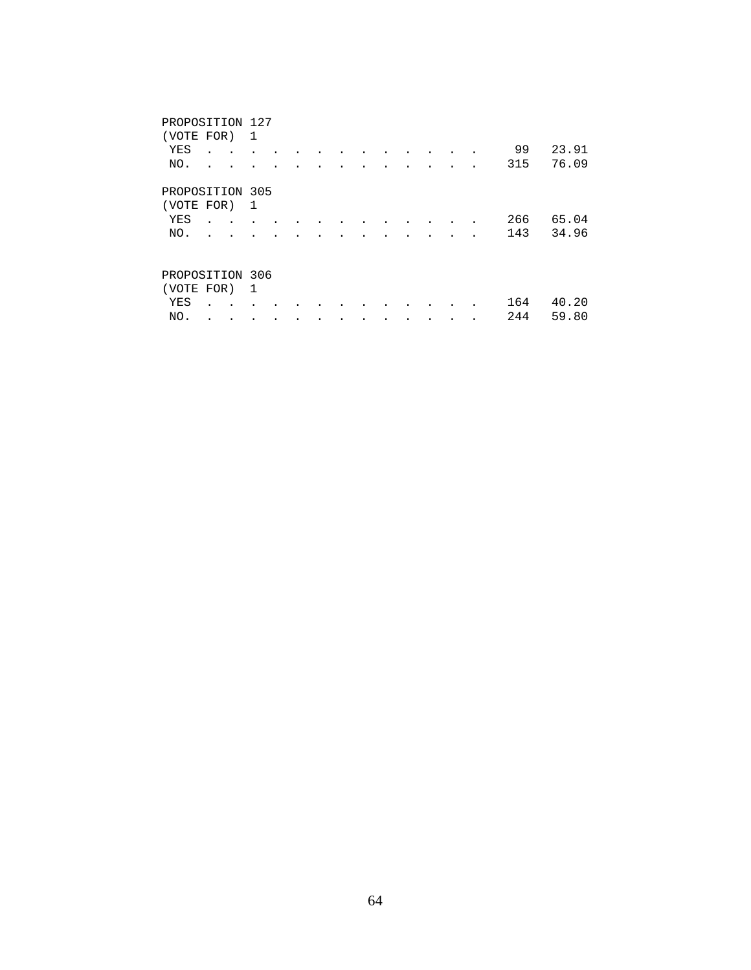| PROPOSITION 127<br>(VOTE FOR)<br>YES |           | 1 |  |  |  |  | ٠ | 99  | 23.91 |
|--------------------------------------|-----------|---|--|--|--|--|---|-----|-------|
| NO.                                  |           |   |  |  |  |  |   | 315 | 76.09 |
| PROPOSITION 305<br>(VOTE FOR)        |           | 1 |  |  |  |  |   |     |       |
| YES                                  |           |   |  |  |  |  |   | 266 | 65.04 |
| NO.                                  |           |   |  |  |  |  |   | 143 | 34.96 |
| PROPOSITION 306                      |           |   |  |  |  |  |   |     |       |
| (VOTE FOR)                           |           | 1 |  |  |  |  |   |     |       |
| YES                                  | $\bullet$ |   |  |  |  |  |   | 164 | 40.20 |
| NO.                                  |           |   |  |  |  |  |   | 244 | 59.80 |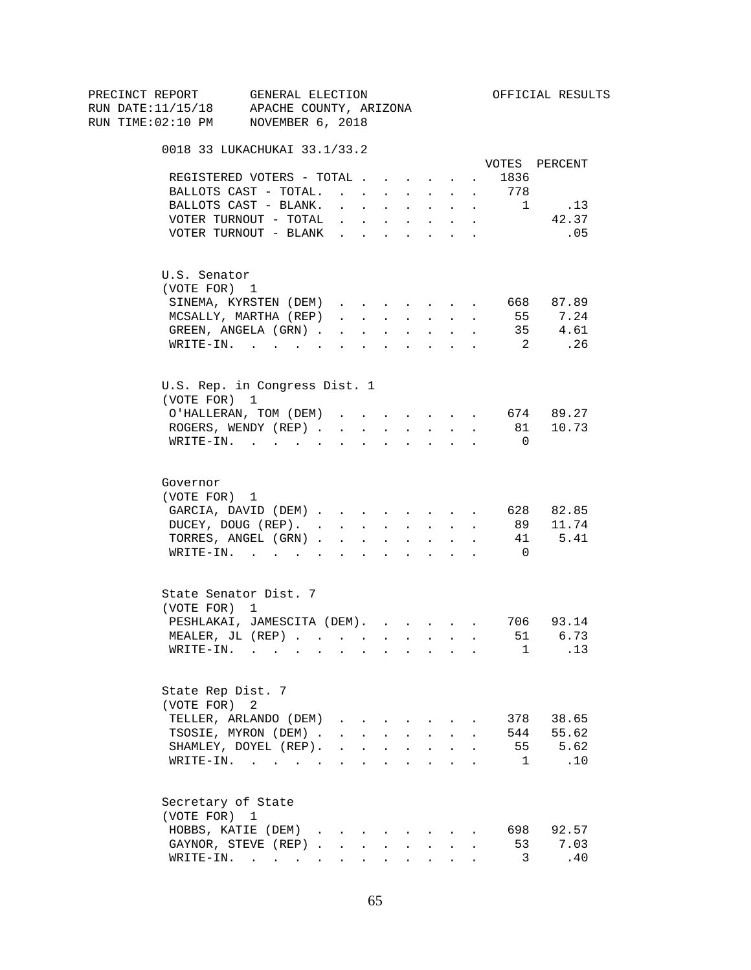|  |          |                                 | PRECINCT REPORT GENERAL ELECTION                                                        |                                                |                      |                                          |                      |                                                           |                               |                      |                            | OFFICIAL RESULTS |
|--|----------|---------------------------------|-----------------------------------------------------------------------------------------|------------------------------------------------|----------------------|------------------------------------------|----------------------|-----------------------------------------------------------|-------------------------------|----------------------|----------------------------|------------------|
|  |          |                                 | RUN DATE:11/15/18 APACHE COUNTY, ARIZONA                                                |                                                |                      |                                          |                      |                                                           |                               |                      |                            |                  |
|  |          |                                 | RUN TIME:02:10 PM NOVEMBER 6, 2018                                                      |                                                |                      |                                          |                      |                                                           |                               |                      |                            |                  |
|  |          |                                 | 0018 33 LUKACHUKAI 33.1/33.2                                                            |                                                |                      |                                          |                      |                                                           |                               |                      |                            |                  |
|  |          |                                 |                                                                                         |                                                |                      |                                          |                      |                                                           |                               |                      |                            | VOTES PERCENT    |
|  |          |                                 | REGISTERED VOTERS - TOTAL                                                               |                                                |                      |                                          |                      |                                                           |                               |                      | 1836                       |                  |
|  |          |                                 | BALLOTS CAST - TOTAL.                                                                   |                                                |                      |                                          |                      | $\mathbf{L}^{\text{max}}$ , and $\mathbf{L}^{\text{max}}$ | $\sim$                        | $\ddot{\phantom{0}}$ | 778                        |                  |
|  |          |                                 | BALLOTS CAST - BLANK.                                                                   | $\mathbf{r} = \mathbf{r} + \mathbf{r}$         |                      |                                          |                      | $\mathbf{r} = \mathbf{r} \cdot \mathbf{r}$ .              | $\ddot{\phantom{0}}$          | $\sim$               | $\frac{1}{2}$              | .13              |
|  |          |                                 | VOTER TURNOUT - TOTAL                                                                   |                                                |                      |                                          |                      |                                                           |                               |                      |                            | 42.37            |
|  |          |                                 | VOTER TURNOUT - BLANK                                                                   |                                                |                      |                                          |                      |                                                           |                               |                      |                            | .05              |
|  |          | U.S. Senator                    |                                                                                         |                                                |                      |                                          |                      |                                                           |                               |                      |                            |                  |
|  |          | (VOTE FOR) 1                    |                                                                                         |                                                |                      |                                          |                      |                                                           |                               |                      |                            |                  |
|  |          |                                 | SINEMA, KYRSTEN (DEM)                                                                   |                                                |                      |                                          |                      |                                                           |                               |                      |                            | 668 87.89        |
|  |          |                                 | MCSALLY, MARTHA (REP)                                                                   | $\mathbf{r}$ and $\mathbf{r}$ and $\mathbf{r}$ |                      |                                          |                      | <b>Service Control</b>                                    |                               | $\ddot{\phantom{0}}$ | 55                         | 7.24             |
|  |          |                                 | GREEN, ANGELA (GRN)                                                                     |                                                |                      |                                          |                      | $\mathbf{r} = \mathbf{r} + \mathbf{r}$ .                  | $\ddot{\phantom{0}}$          | $\sim$               |                            | 35 4.61          |
|  |          |                                 | WRITE-IN.                                                                               |                                                |                      |                                          |                      |                                                           |                               |                      |                            | 2. 26            |
|  |          |                                 | U.S. Rep. in Congress Dist. 1                                                           |                                                |                      |                                          |                      |                                                           |                               |                      |                            |                  |
|  |          | (VOTE FOR) 1                    |                                                                                         |                                                |                      |                                          |                      |                                                           |                               |                      |                            |                  |
|  |          |                                 | O'HALLERAN, TOM (DEM) 674 89.27                                                         |                                                |                      |                                          |                      |                                                           |                               |                      |                            |                  |
|  |          |                                 | ROGERS, WENDY (REP)                                                                     |                                                | $\sim 10^{-11}$      | $\sim$ 100 $\pm$                         | $\ddot{\phantom{0}}$ |                                                           | $\mathbf{L}$ and $\mathbf{L}$ | $\sim$               |                            | 81 10.73         |
|  |          |                                 | $\texttt{WRTTE-IN.}$                                                                    | $\sim$                                         | $\ddot{\phantom{a}}$ | $\ddot{\phantom{a}}$                     |                      | $\Delta \sim 100$                                         | $\ddot{\phantom{0}}$          |                      | $\overline{0}$             |                  |
|  | Governor | (VOTE FOR) 1                    | GARCIA, DAVID (DEM) 628 82.85<br>DUCEY, DOUG (REP).<br>TORRES, ANGEL (GRN)<br>WRITE-IN. |                                                |                      |                                          |                      |                                                           |                               |                      | 41<br>$\overline{0}$       | 89 11.74<br>5.41 |
|  |          | (VOTE FOR) 1                    | State Senator Dist. 7                                                                   |                                                |                      |                                          |                      |                                                           |                               |                      |                            |                  |
|  |          |                                 | PESHLAKAI, JAMESCITA (DEM). 706 93.14                                                   |                                                |                      |                                          |                      |                                                           |                               |                      |                            |                  |
|  |          |                                 | MEALER, JL (REP)                                                                        |                                                |                      |                                          |                      |                                                           |                               |                      | 51                         | 6.73             |
|  |          |                                 | WRITE-IN.                                                                               |                                                |                      |                                          |                      |                                                           |                               |                      | $\mathbf{1}$               | .13              |
|  |          | State Rep Dist. 7<br>(VOTE FOR) | 2                                                                                       |                                                |                      |                                          |                      |                                                           |                               |                      |                            |                  |
|  |          |                                 | TELLER, ARLANDO (DEM)                                                                   |                                                |                      |                                          |                      |                                                           |                               |                      |                            | 378 38.65        |
|  |          |                                 | TSOSIE, MYRON (DEM).                                                                    |                                                |                      |                                          |                      | $\cdot$ $\cdot$ $\cdot$ $\cdot$ $\cdot$ $\cdot$           |                               |                      |                            | 544 55.62        |
|  |          |                                 | SHAMLEY, DOYEL (REP).                                                                   | $\ddot{\phantom{0}}$                           |                      | $\mathbf{z} = \mathbf{z} + \mathbf{z}$ . | $\sim$               | $\sim$                                                    | $\ddot{\phantom{a}}$          |                      |                            | 55 5.62          |
|  |          |                                 | WRITE-IN.                                                                               |                                                |                      |                                          |                      |                                                           |                               |                      | $\mathbf{1}$               | .10              |
|  |          | (VOTE FOR) 1                    | Secretary of State<br>HOBBS, KATIE (DEM)                                                |                                                |                      |                                          |                      |                                                           |                               |                      |                            | 698 92.57        |
|  |          |                                 |                                                                                         |                                                |                      | $\mathbf{L}^{\text{max}}$                |                      |                                                           |                               |                      |                            | 7.03             |
|  |          |                                 | GAYNOR, STEVE (REP)                                                                     |                                                |                      |                                          | $\sim$               | <b>Contractor</b>                                         |                               |                      | 53                         |                  |
|  |          |                                 | WRITE-IN.                                                                               |                                                |                      |                                          |                      |                                                           |                               |                      | $\overline{\phantom{a}}$ 3 | .40              |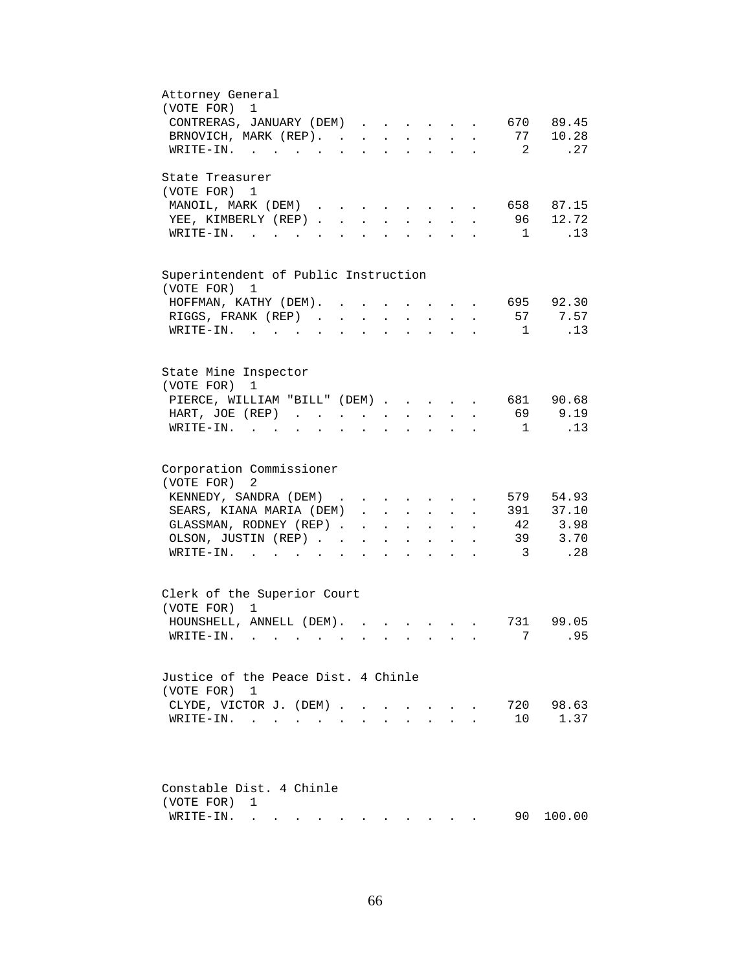| Attorney General<br>(VOTE FOR)<br>1                                                                                                                                                              |
|--------------------------------------------------------------------------------------------------------------------------------------------------------------------------------------------------|
| CONTRERAS, JANUARY (DEM)<br>89.45<br>670                                                                                                                                                         |
| 77<br>10.28<br>BRNOVICH, MARK (REP).                                                                                                                                                             |
| 2<br>.27<br>$\texttt{WRTTE-IN.}$<br>$\mathbf{r} = \mathbf{r} + \mathbf{r} + \mathbf{r} + \mathbf{r}$ .<br>$\ddot{\phantom{a}}$                                                                   |
| State Treasurer                                                                                                                                                                                  |
| (VOTE FOR) 1                                                                                                                                                                                     |
| MANOIL, MARK (DEM)<br>658 87.15<br>$\cdot$ $\cdot$ $\cdot$ $\cdot$ $\cdot$ $\cdot$                                                                                                               |
| 12.72<br>YEE, KIMBERLY (REP)<br>96<br>$\mathbf{L}$<br>$\mathbf{L}$                                                                                                                               |
| .13<br>$\mathbf{1}$<br>$W\text{RITE-IN.}$ , , ,                                                                                                                                                  |
| Superintendent of Public Instruction                                                                                                                                                             |
| (VOTE FOR) 1                                                                                                                                                                                     |
| 695 92.30<br>HOFFMAN, KATHY (DEM). .<br>$\ddot{\phantom{a}}$                                                                                                                                     |
| 57<br>7.57<br>RIGGS, FRANK (REP)<br>$\mathbf{L}$                                                                                                                                                 |
| .13<br>WRITE-IN. .<br>1<br>$\sim$ $\sim$                                                                                                                                                         |
|                                                                                                                                                                                                  |
| State Mine Inspector                                                                                                                                                                             |
| (VOTE FOR)<br>$\mathbf 1$                                                                                                                                                                        |
| PIERCE, WILLIAM "BILL" (DEM) 681 90.68                                                                                                                                                           |
| 69<br>9.19<br>HART, JOE (REP)<br>$\mathbf{z} = \mathbf{z} + \mathbf{z}$ . The $\mathbf{z}$<br>$\mathbf{L}^{\text{max}}$<br>$\ddot{\phantom{0}}$                                                  |
| .13<br>$WRITE-IN.$<br>$\overline{1}$<br>$\mathbf{L}$<br>$\mathbf{z} = \mathbf{z} + \mathbf{z}$ .<br>$\ddot{\phantom{a}}$<br>$\mathbf{L}^{\text{max}}$ and $\mathbf{L}^{\text{max}}$<br>$\bullet$ |
| Corporation Commissioner<br>(VOTE FOR) 2                                                                                                                                                         |
| 54.93<br>KENNEDY, SANDRA (DEM)<br>579<br>$\mathbf{r}$ , $\mathbf{r}$ , $\mathbf{r}$<br>$\mathbf{r}$ , $\mathbf{r}$ , $\mathbf{r}$                                                                |
| 391 37.10<br>SEARS, KIANA MARIA (DEM)<br>$\mathbf{r}$                                                                                                                                            |
| 3.98<br>GLASSMAN, RODNEY (REP)<br>42<br>$\mathbf{r} = \mathbf{r} \mathbf{r}$ , where $\mathbf{r} = \mathbf{r} \mathbf{r}$<br>$\mathbf{L} = \mathbf{L}$                                           |
| 39<br>3.70<br>OLSON, JUSTIN (REP)<br>$\bullet$ .<br>$\ddot{\phantom{a}}$<br>$\mathcal{L}^{\text{max}}$<br>$\ddot{\phantom{a}}$<br>$\ddot{\phantom{a}}$                                           |
| .28<br>$\overline{\mathbf{3}}$<br>WRITE-IN.<br>$\mathbf{L}$<br>$\ddot{\phantom{a}}$<br>$\ddot{\phantom{a}}$                                                                                      |
| Clerk of the Superior Court                                                                                                                                                                      |
| (VOTE FOR) 1                                                                                                                                                                                     |
| HOUNSHELL, ANNELL (DEM).<br>99.05<br>731                                                                                                                                                         |
| 95<br>$W\text{RITE}-\text{IN.}$<br>7.                                                                                                                                                            |
|                                                                                                                                                                                                  |
| Justice of the Peace Dist. 4 Chinle<br>(VOTE FOR) 1                                                                                                                                              |
| 98.63<br>720<br>CLYDE, VICTOR J. (DEM)<br>$\mathbf{L}$<br>$\sim$                                                                                                                                 |
| 1.37<br>WRITE-IN.<br>10<br>$\bullet$ .                                                                                                                                                           |
|                                                                                                                                                                                                  |
| Constable Dist. 4 Chinle                                                                                                                                                                         |
| (VOTE FOR)<br>1                                                                                                                                                                                  |
| 100.00<br>WRITE-IN.<br>90 -<br>the contract of the contract of                                                                                                                                   |
|                                                                                                                                                                                                  |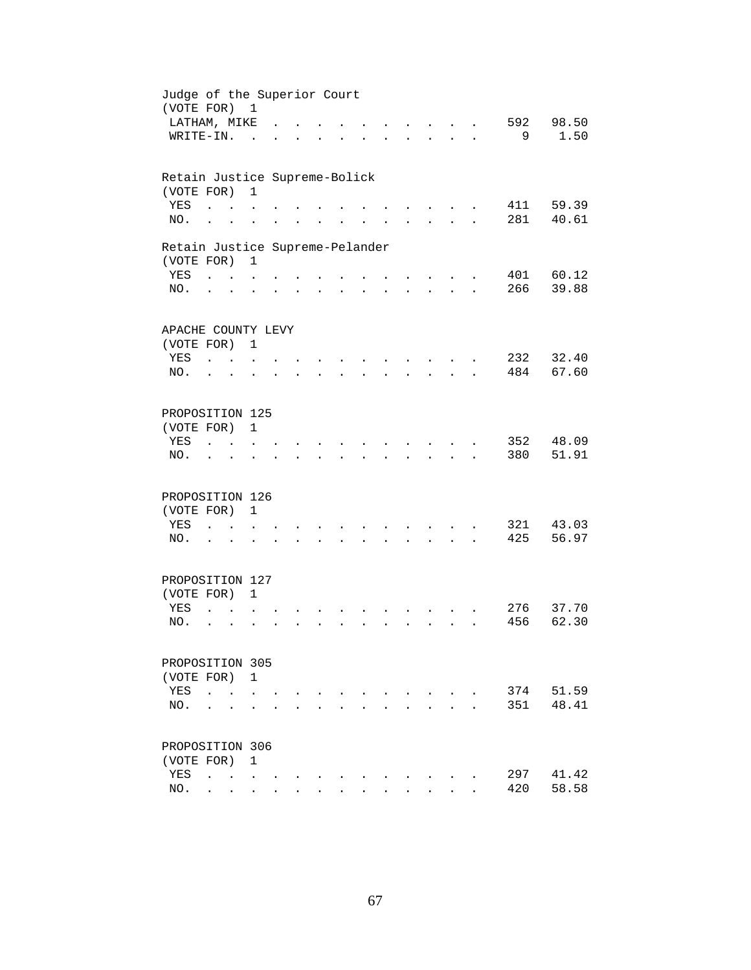| Judge of the Superior Court<br>(VOTE FOR) 1   |                                              |                                            |                      |                      |                      |                      |                      |                      |                                          |                      |            |                |
|-----------------------------------------------|----------------------------------------------|--------------------------------------------|----------------------|----------------------|----------------------|----------------------|----------------------|----------------------|------------------------------------------|----------------------|------------|----------------|
| LATHAM, MIKE                                  |                                              |                                            |                      |                      |                      |                      |                      |                      |                                          |                      | 592        | 98.50          |
| WRITE-IN.                                     |                                              |                                            | $\sim$               |                      |                      |                      |                      |                      | $\sim$ $\sim$                            | $\mathbf{r}$         | 9          | 1.50           |
| Retain Justice Supreme-Bolick                 |                                              |                                            |                      |                      |                      |                      |                      |                      |                                          |                      |            |                |
| (VOTE FOR)                                    |                                              |                                            | $\mathbf{1}$         |                      |                      |                      |                      |                      |                                          |                      |            |                |
| YES<br>NO.                                    |                                              |                                            |                      |                      |                      |                      |                      |                      |                                          |                      | 411<br>281 | 59.39<br>40.61 |
|                                               | $\ddot{\phantom{a}}$                         |                                            |                      |                      |                      |                      |                      |                      |                                          |                      |            |                |
| Retain Justice Supreme-Pelander<br>(VOTE FOR) |                                              |                                            | $\mathbf{1}$         |                      |                      |                      |                      |                      |                                          |                      |            |                |
| YES                                           | <b>Carl Carl Corporation</b>                 |                                            |                      |                      |                      |                      |                      |                      |                                          |                      |            | 401 60.12      |
| NO.                                           | $\cdot$ $\cdot$                              |                                            |                      |                      | $\ddot{\phantom{a}}$ |                      | $\ddot{\phantom{0}}$ | $\ddot{\phantom{a}}$ | $\mathbf{z} = \mathbf{z} + \mathbf{z}$ . | $\bullet$            | 266        | 39.88          |
| APACHE COUNTY LEVY                            |                                              |                                            |                      |                      |                      |                      |                      |                      |                                          |                      |            |                |
| (VOTE FOR) 1                                  |                                              |                                            |                      |                      |                      |                      |                      |                      |                                          |                      |            |                |
| YES                                           | <b>Carl Carl</b>                             |                                            |                      |                      |                      |                      |                      |                      |                                          |                      | 232        | 32.40          |
| NO.                                           | $\ddot{\phantom{a}}$                         | $\sim$                                     |                      |                      |                      |                      |                      |                      |                                          |                      | 484        | 67.60          |
| PROPOSITION 125                               |                                              |                                            |                      |                      |                      |                      |                      |                      |                                          |                      |            |                |
| (VOTE FOR)                                    |                                              |                                            | $\mathbf{1}$         |                      |                      |                      |                      |                      |                                          |                      |            |                |
| YES                                           |                                              |                                            |                      |                      |                      |                      |                      |                      |                                          |                      | 352        | 48.09          |
| NO.                                           |                                              |                                            |                      |                      |                      |                      |                      |                      |                                          |                      | 380        | 51.91          |
| PROPOSITION 126                               |                                              |                                            |                      |                      |                      |                      |                      |                      |                                          |                      |            |                |
| (VOTE FOR)                                    |                                              |                                            | $\mathbf{1}$         |                      |                      |                      |                      |                      |                                          |                      |            |                |
| YES<br>NO.                                    | $\ddot{\phantom{a}}$                         | <b>Contract</b>                            | $\ddot{\phantom{a}}$ |                      |                      |                      |                      |                      |                                          |                      | 321<br>425 | 43.03<br>56.97 |
|                                               | $\cdot$ $\cdot$                              |                                            |                      |                      |                      | $\ddot{\phantom{a}}$ |                      | $\ddot{\phantom{a}}$ | $\mathbf{z} = \mathbf{z} + \mathbf{z}$ . | $\ddot{\phantom{a}}$ |            |                |
| PROPOSITION 127                               |                                              |                                            |                      |                      |                      |                      |                      |                      |                                          |                      |            |                |
| (VOTE FOR) 1                                  |                                              |                                            |                      |                      |                      |                      |                      |                      |                                          |                      |            |                |
| YES<br>NO.                                    | $\ddot{\phantom{a}}$<br>$\ddot{\phantom{a}}$ | $\ddot{\phantom{a}}$                       |                      |                      |                      |                      |                      |                      | $\ddot{\phantom{a}}$                     |                      | 276<br>456 | 37.70<br>62.30 |
|                                               |                                              |                                            |                      |                      |                      |                      |                      |                      |                                          |                      |            |                |
| PROPOSITION 305                               |                                              |                                            |                      |                      |                      |                      |                      |                      |                                          |                      |            |                |
| (VOTE FOR) 1                                  |                                              |                                            |                      |                      |                      |                      |                      |                      |                                          |                      |            |                |
| YES<br>NO.                                    | $\ddot{\phantom{a}}$                         |                                            |                      |                      |                      |                      |                      |                      |                                          |                      | 374<br>351 | 51.59<br>48.41 |
|                                               |                                              |                                            |                      |                      |                      |                      |                      |                      |                                          |                      |            |                |
| PROPOSITION 306                               |                                              |                                            |                      |                      |                      |                      |                      |                      |                                          |                      |            |                |
| (VOTE FOR)                                    |                                              |                                            | 1                    |                      |                      |                      |                      |                      |                                          |                      |            |                |
| YES                                           | $\ddot{\phantom{a}}$                         | $\mathbf{r}$ , $\mathbf{r}$ , $\mathbf{r}$ |                      |                      |                      |                      |                      |                      |                                          |                      | 297<br>420 | 41.42<br>58.58 |
| NO.                                           |                                              | $\mathbf{r} = \mathbf{r}$                  | $\sim$               | $\ddot{\phantom{a}}$ |                      |                      |                      |                      |                                          |                      |            |                |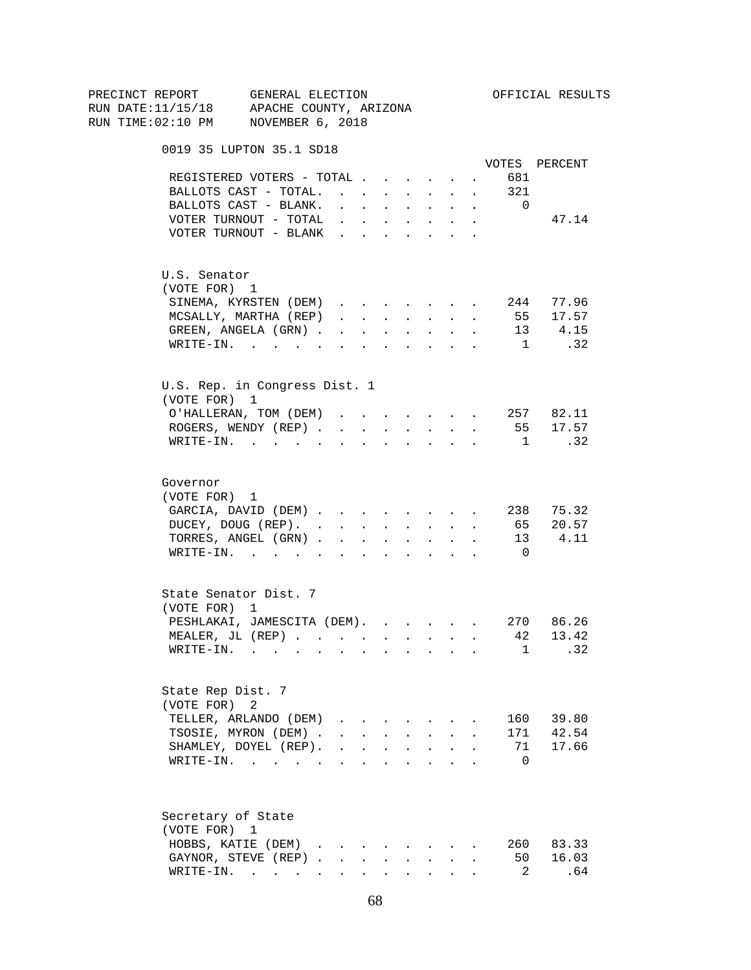| PRECINCT REPORT<br>RUN DATE:11/15/18 APACHE COUNTY, ARIZONA | GENERAL ELECTION                                                                                                |              |              |                                 |        |                                                                             |              |                | OFFICIAL RESULTS |  |
|-------------------------------------------------------------|-----------------------------------------------------------------------------------------------------------------|--------------|--------------|---------------------------------|--------|-----------------------------------------------------------------------------|--------------|----------------|------------------|--|
| RUN TIME:02:10 PM NOVEMBER 6, 2018                          |                                                                                                                 |              |              |                                 |        |                                                                             |              |                |                  |  |
|                                                             | 0019 35 LUPTON 35.1 SD18                                                                                        |              |              |                                 |        |                                                                             |              |                |                  |  |
|                                                             |                                                                                                                 |              |              |                                 |        |                                                                             |              |                | VOTES PERCENT    |  |
|                                                             | REGISTERED VOTERS - TOTAL                                                                                       |              |              |                                 |        |                                                                             |              | 681            |                  |  |
|                                                             | BALLOTS CAST - TOTAL. 321                                                                                       |              |              |                                 |        |                                                                             |              |                |                  |  |
|                                                             | BALLOTS CAST - BLANK.                                                                                           |              |              |                                 |        | and a strong control of the state of the state of the state of the state of |              | $\overline{0}$ |                  |  |
|                                                             | VOTER TURNOUT - TOTAL $\cdot \cdot \cdot \cdot \cdot \cdot$                                                     |              |              |                                 |        |                                                                             |              |                | 47.14            |  |
|                                                             | VOTER TURNOUT - BLANK                                                                                           |              |              |                                 | $\sim$ | $\sim$                                                                      |              |                |                  |  |
| U.S. Senator                                                |                                                                                                                 |              |              |                                 |        |                                                                             |              |                |                  |  |
| (VOTE FOR) 1                                                |                                                                                                                 |              |              |                                 |        |                                                                             |              |                |                  |  |
|                                                             | SINEMA, KYRSTEN (DEM) 244 77.96                                                                                 |              |              |                                 |        |                                                                             |              |                |                  |  |
|                                                             | MCSALLY, MARTHA (REP)                                                                                           |              |              |                                 |        |                                                                             |              |                | 55 17.57         |  |
|                                                             | GREEN, ANGELA (GRN)                                                                                             |              |              |                                 |        |                                                                             |              |                | 13 4.15          |  |
|                                                             | $\texttt{WRITE-IN.}$                                                                                            |              |              |                                 |        | $\mathbf{r}$ , and $\mathbf{r}$ , and $\mathbf{r}$                          |              |                | 1 .32            |  |
| (VOTE FOR) 1                                                | U.S. Rep. in Congress Dist. 1                                                                                   |              |              |                                 |        |                                                                             |              |                |                  |  |
|                                                             | O'HALLERAN, TOM (DEM) 257 82.11                                                                                 |              |              |                                 |        |                                                                             |              |                |                  |  |
|                                                             | ROGERS, WENDY (REP) 55 17.57                                                                                    |              |              |                                 |        |                                                                             |              |                |                  |  |
|                                                             | WRITE-IN. 1                                                                                                     |              |              |                                 |        |                                                                             |              |                | .32              |  |
| Governor<br>(VOTE FOR) 1                                    |                                                                                                                 |              |              |                                 |        |                                                                             |              |                |                  |  |
|                                                             | GARCIA, DAVID (DEM) 238 75.32                                                                                   |              |              |                                 |        |                                                                             |              |                |                  |  |
|                                                             | DUCEY, DOUG (REP). 65 20.57                                                                                     |              |              |                                 |        |                                                                             |              |                |                  |  |
|                                                             | TORRES, ANGEL (GRN) 13 4.11                                                                                     |              |              |                                 |        |                                                                             |              |                |                  |  |
|                                                             | WRITE-IN.                                                                                                       |              |              |                                 |        |                                                                             |              | $\overline{0}$ |                  |  |
| (VOTE FOR) 1                                                | State Senator Dist. 7                                                                                           |              |              |                                 |        |                                                                             |              |                |                  |  |
|                                                             | PESHLAKAI, JAMESCITA (DEM).                                                                                     |              |              |                                 |        |                                                                             |              |                | 270 86.26        |  |
|                                                             | MEALER, JL (REP)                                                                                                |              |              |                                 |        |                                                                             |              |                | . 42 13.42       |  |
| WRITE-IN.                                                   | the contract of the contract of the contract of the contract of the contract of the contract of the contract of |              |              |                                 |        |                                                                             |              | $\mathbf{1}$   | .32              |  |
| State Rep Dist. 7<br>(VOTE FOR) 2                           |                                                                                                                 |              |              |                                 |        |                                                                             |              |                |                  |  |
|                                                             | TELLER, ARLANDO (DEM)                                                                                           |              |              | $\cdot$ $\cdot$ $\cdot$ $\cdot$ |        |                                                                             |              | 160            | 39.80            |  |
|                                                             | TSOSIE, MYRON (DEM).                                                                                            |              | $\mathbf{L}$ |                                 |        |                                                                             |              | 171            | 42.54            |  |
|                                                             | SHAMLEY, DOYEL (REP).                                                                                           | $\mathbf{L}$ |              | $\mathbf{L} = \mathbf{L}$       | $\sim$ | $\sim$                                                                      | $\mathbf{r}$ | 71             | 17.66            |  |
|                                                             | WRITE-IN.                                                                                                       |              |              |                                 |        | $\mathbf{r} = \mathbf{r}$                                                   |              | $\Omega$       |                  |  |
| Secretary of State                                          |                                                                                                                 |              |              |                                 |        |                                                                             |              |                |                  |  |
| (VOTE FOR) 1                                                |                                                                                                                 |              |              |                                 |        |                                                                             |              |                |                  |  |
|                                                             | HOBBS, KATIE (DEM)                                                                                              |              |              |                                 |        |                                                                             |              | 260            | 83.33            |  |
|                                                             | GAYNOR, STEVE (REP).                                                                                            |              | $\sim$       | $\mathbf{L}$                    | $\sim$ | $\sim$                                                                      |              | 50             | 16.03            |  |
|                                                             | WRITE-IN.                                                                                                       |              |              |                                 |        |                                                                             |              | 2              | .64              |  |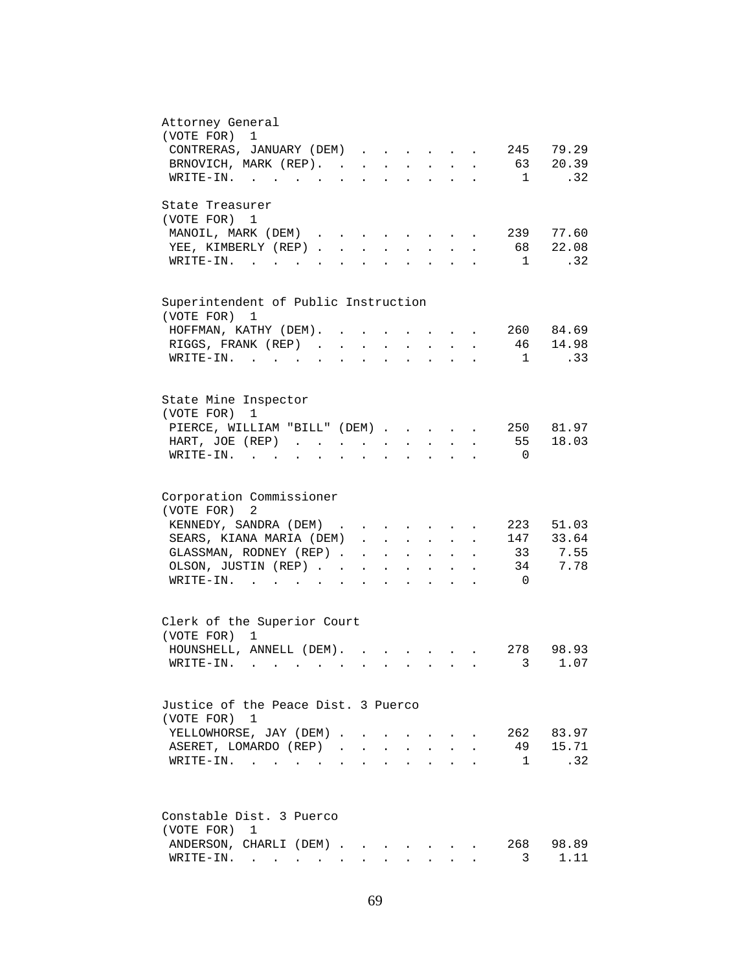| Attorney General<br>(VOTE FOR)<br>$\mathbf 1$                                                                                                                          |
|------------------------------------------------------------------------------------------------------------------------------------------------------------------------|
| 79.29<br>CONTRERAS, JANUARY (DEM)<br>245                                                                                                                               |
| 63<br>BRNOVICH, MARK (REP). .<br>20.39<br>$\sim$<br>$\sim$<br>$\mathbf{L}$<br>$\ddot{\phantom{a}}$                                                                     |
| .32<br>1<br>WRITE-IN.<br>$\mathcal{L}^{\text{max}}$<br><b>Contract Contract</b><br>$\mathbf{r}$                                                                        |
| State Treasurer                                                                                                                                                        |
| (VOTE FOR)<br>1                                                                                                                                                        |
| 77.60<br>239<br>MANOIL, MARK (DEM)<br>$\sim$                                                                                                                           |
| 22.08<br>YEE, KIMBERLY (REP).<br>68<br>$\ddot{\phantom{a}}$                                                                                                            |
| .32<br>$W\text{RITE}-\text{IN.}$ .<br>1                                                                                                                                |
| Superintendent of Public Instruction                                                                                                                                   |
| (VOTE FOR)<br>1                                                                                                                                                        |
| 260 84.69<br>HOFFMAN, KATHY (DEM).                                                                                                                                     |
| 14.98<br>RIGGS, FRANK (REP)<br>46<br>$\mathbf{r} = \mathbf{r} \cdot \mathbf{r}$ .<br>$\sim$ $\sim$<br>$\mathbf{L}^{\text{max}}$<br>$\bullet$ .<br>$\ddot{\phantom{a}}$ |
| .33<br>WRITE-IN.<br>$\overline{1}$<br><b>Contract Contract</b><br>$\ddot{\phantom{a}}$<br>$\ddot{\phantom{a}}$<br>$\sim$                                               |
|                                                                                                                                                                        |
| State Mine Inspector                                                                                                                                                   |
| (VOTE FOR) 1                                                                                                                                                           |
| PIERCE, WILLIAM "BILL" (DEM)<br>250 81.97                                                                                                                              |
| 18.03<br>HART, JOE (REP)<br>55                                                                                                                                         |
| $\texttt{WRTTE-IN.}$<br>$\overline{\phantom{0}}$<br>$\ddot{\phantom{1}}$<br>$\sim$ $\sim$ $\sim$ $\sim$<br>$\ddot{\phantom{a}}$<br>$\ddot{\phantom{a}}$                |
|                                                                                                                                                                        |
| Corporation Commissioner                                                                                                                                               |
| (VOTE FOR) 2                                                                                                                                                           |
| KENNEDY, SANDRA (DEM).<br>51.03<br>223                                                                                                                                 |
| 147 33.64<br>SEARS, KIANA MARIA (DEM).<br>$\mathbf{L}$<br>$\mathbf{L}$<br>$\mathbf{r}$<br>$\mathbf{L}$                                                                 |
| 7.55<br>GLASSMAN, RODNEY (REP)<br>33<br>$\mathbf{r} = \mathbf{r}$ and $\mathbf{r} = \mathbf{r}$<br>$\mathbf{L}$<br>$\ddot{\phantom{a}}$                                |
| OLSON, JUSTIN (REP)<br>7.78<br>34<br><b>Contract Contract</b><br>$\mathbf{A}$<br>$\ddot{\phantom{a}}$<br>$\mathbf{L}$                                                  |
| $W\text{RITE-IN.}$<br>$\overline{0}$<br>$\mathbf{r}$ and $\mathbf{r}$<br>$\mathbf{L}$<br>$\ddot{\phantom{a}}$<br>$\ddot{\phantom{a}}$                                  |
| Clerk of the Superior Court                                                                                                                                            |
| (VOTE FOR) 1                                                                                                                                                           |
| HOUNSHELL, ANNELL (DEM).<br>278 98.93                                                                                                                                  |
| 3 1.07<br>WRITE-IN. .                                                                                                                                                  |
|                                                                                                                                                                        |
| Justice of the Peace Dist. 3 Puerco                                                                                                                                    |
| (VOTE FOR) 1                                                                                                                                                           |
| 262 83.97<br>YELLOWHORSE, JAY (DEM).                                                                                                                                   |
| 15.71<br>ASERET, LOMARDO (REP).<br>49                                                                                                                                  |
| .32<br>$\mathbf{1}$<br>$W$ RITE-IN                                                                                                                                     |
|                                                                                                                                                                        |
| Constable Dist. 3 Puerco                                                                                                                                               |
| (VOTE FOR)<br>1                                                                                                                                                        |
| ANDERSON, CHARLI (DEM)<br>268<br>98.89                                                                                                                                 |
| 1.11<br>$\texttt{WRTTE-IN.}$<br>3                                                                                                                                      |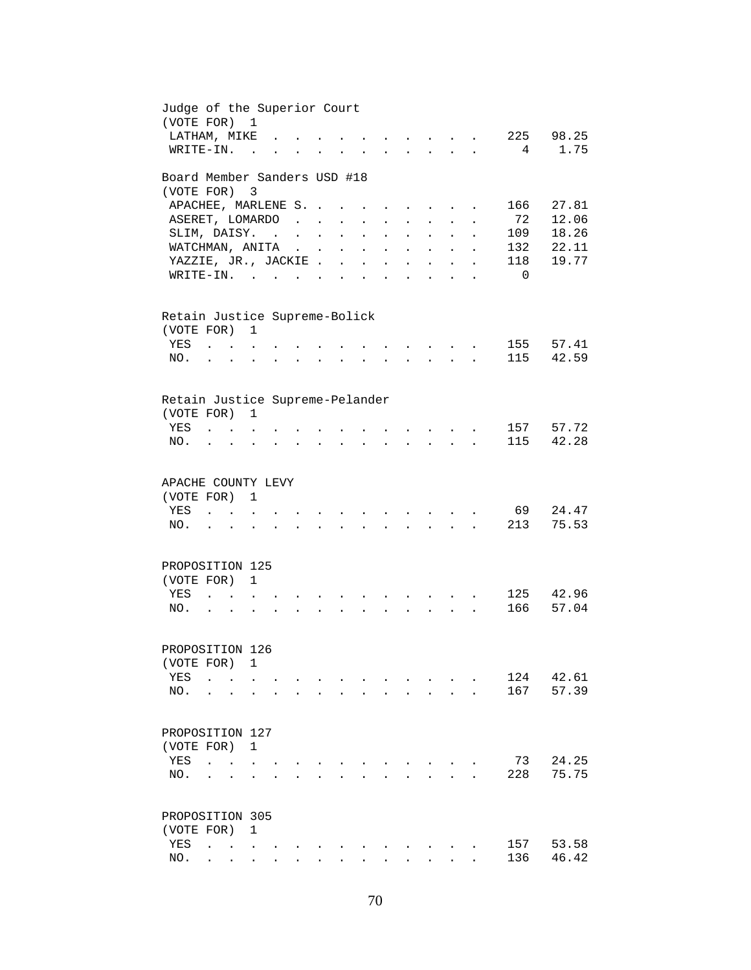| Judge of the Superior Court<br>(VOTE FOR) 1 |                                                           |                      |                         |                           |                                                                                                                                                                                                                                                                                                                                                                                                                                                             |                      |                      |                      |                                                                          |                           |                      |                      |                |           |
|---------------------------------------------|-----------------------------------------------------------|----------------------|-------------------------|---------------------------|-------------------------------------------------------------------------------------------------------------------------------------------------------------------------------------------------------------------------------------------------------------------------------------------------------------------------------------------------------------------------------------------------------------------------------------------------------------|----------------------|----------------------|----------------------|--------------------------------------------------------------------------|---------------------------|----------------------|----------------------|----------------|-----------|
| LATHAM, MIKE                                |                                                           |                      |                         |                           |                                                                                                                                                                                                                                                                                                                                                                                                                                                             |                      |                      |                      |                                                                          | $\mathbf{L} = \mathbf{L}$ |                      |                      | 225            | 98.25     |
| WRITE-IN.                                   |                                                           |                      | $\sim$ $\sim$           | $\overline{a}$            | $\mathbf{L}$                                                                                                                                                                                                                                                                                                                                                                                                                                                |                      |                      |                      |                                                                          |                           |                      |                      | 4              | 1.75      |
| Board Member Sanders USD #18                |                                                           |                      |                         |                           |                                                                                                                                                                                                                                                                                                                                                                                                                                                             |                      |                      |                      |                                                                          |                           |                      |                      |                |           |
| (VOTE FOR)                                  |                                                           |                      | $\overline{\mathbf{3}}$ |                           |                                                                                                                                                                                                                                                                                                                                                                                                                                                             |                      |                      |                      |                                                                          |                           |                      |                      |                |           |
| APACHEE, MARLENE S.                         |                                                           |                      |                         |                           |                                                                                                                                                                                                                                                                                                                                                                                                                                                             |                      | $\sim$               |                      | $\cdot$ $\cdot$ $\cdot$                                                  |                           |                      | $\ddot{\phantom{a}}$ | 166            | 27.81     |
| ASERET, LOMARDO                             |                                                           |                      |                         |                           | $\mathcal{L}(\mathcal{L}(\mathcal{L}(\mathcal{L}(\mathcal{L}(\mathcal{L}(\mathcal{L}(\mathcal{L}(\mathcal{L}(\mathcal{L}(\mathcal{L}(\mathcal{L}(\mathcal{L}(\mathcal{L}(\mathcal{L}(\mathcal{L}(\mathcal{L}(\mathcal{L}(\mathcal{L}(\mathcal{L}(\mathcal{L}(\mathcal{L}(\mathcal{L}(\mathcal{L}(\mathcal{L}(\mathcal{L}(\mathcal{L}(\mathcal{L}(\mathcal{L}(\mathcal{L}(\mathcal{L}(\mathcal{L}(\mathcal{L}(\mathcal{L}(\mathcal{L}(\mathcal{L}(\mathcal{$ |                      |                      | $\ddot{\phantom{a}}$ | $\mathcal{L}^{\text{max}}$                                               | $\mathbf{L}^{\text{max}}$ |                      |                      | 72             | 12.06     |
| SLIM, DAISY.                                |                                                           |                      |                         |                           |                                                                                                                                                                                                                                                                                                                                                                                                                                                             | $\mathbf{L}$         | $\sim$               |                      | $\ddot{\phantom{a}}$                                                     | $\mathbf{L}$              |                      |                      | 109            | 18.26     |
| WATCHMAN, ANITA                             |                                                           |                      |                         |                           |                                                                                                                                                                                                                                                                                                                                                                                                                                                             | $\ddot{\phantom{0}}$ | $\mathbf{L}$         | $\mathbf{r}$         | $\mathbf{L}^{\text{max}}$                                                | $\sim$                    | $\ddot{\phantom{a}}$ | $\mathbf{r}$         | 132            | 22.11     |
| YAZZIE, JR., JACKIE.                        |                                                           |                      |                         |                           |                                                                                                                                                                                                                                                                                                                                                                                                                                                             | $\mathbf{L}$         | $\ddot{\phantom{a}}$ | $\mathbf{r}$         | $\ddot{\phantom{0}}$                                                     | $\mathbf{r}$              | $\ddot{\phantom{0}}$ | $\ddot{\phantom{a}}$ | 118            | 19.77     |
| $\texttt{WRTTE-IN.}$                        |                                                           |                      |                         |                           |                                                                                                                                                                                                                                                                                                                                                                                                                                                             | $\mathbf{L}$         | $\mathbf{r}$         | $\mathbf{L}$         | $\mathbf{r}$                                                             | $\overline{a}$            |                      | $\ddot{\phantom{a}}$ | $\overline{0}$ |           |
| Retain Justice Supreme-Bolick               |                                                           |                      |                         |                           |                                                                                                                                                                                                                                                                                                                                                                                                                                                             |                      |                      |                      |                                                                          |                           |                      |                      |                |           |
| (VOTE FOR) 1                                |                                                           |                      |                         |                           |                                                                                                                                                                                                                                                                                                                                                                                                                                                             |                      |                      |                      |                                                                          |                           |                      |                      |                |           |
| YES                                         | $\mathbf{r}$ . The set of $\mathbf{r}$                    |                      |                         |                           |                                                                                                                                                                                                                                                                                                                                                                                                                                                             |                      |                      |                      |                                                                          |                           |                      |                      | 155            | 57.41     |
| NO.                                         |                                                           |                      |                         |                           |                                                                                                                                                                                                                                                                                                                                                                                                                                                             |                      |                      |                      |                                                                          | $\ddot{\phantom{a}}$      |                      |                      | 115            | 42.59     |
|                                             |                                                           |                      |                         |                           |                                                                                                                                                                                                                                                                                                                                                                                                                                                             |                      |                      |                      |                                                                          |                           |                      |                      |                |           |
| Retain Justice Supreme-Pelander             |                                                           |                      |                         |                           |                                                                                                                                                                                                                                                                                                                                                                                                                                                             |                      |                      |                      |                                                                          |                           |                      |                      |                |           |
| (VOTE FOR)                                  |                                                           |                      | $\mathbf{1}$            |                           |                                                                                                                                                                                                                                                                                                                                                                                                                                                             |                      |                      |                      |                                                                          |                           |                      |                      |                |           |
| YES                                         | $\mathbf{r}$ , $\mathbf{r}$ , $\mathbf{r}$ , $\mathbf{r}$ |                      |                         |                           |                                                                                                                                                                                                                                                                                                                                                                                                                                                             |                      |                      |                      | $\mathbf{r}$ , $\mathbf{r}$ , $\mathbf{r}$ , $\mathbf{r}$ , $\mathbf{r}$ |                           |                      |                      | 157            | 57.72     |
| NO.                                         |                                                           |                      |                         |                           | and a series of the contract of the contract of the contract of the contract of the contract of the contract of                                                                                                                                                                                                                                                                                                                                             |                      |                      |                      |                                                                          |                           |                      |                      | 115            | 42.28     |
| APACHE COUNTY LEVY                          |                                                           |                      |                         |                           |                                                                                                                                                                                                                                                                                                                                                                                                                                                             |                      |                      |                      |                                                                          |                           |                      |                      |                |           |
| (VOTE FOR) 1                                |                                                           |                      |                         |                           |                                                                                                                                                                                                                                                                                                                                                                                                                                                             |                      |                      |                      |                                                                          |                           |                      |                      |                |           |
| YES                                         |                                                           |                      |                         |                           |                                                                                                                                                                                                                                                                                                                                                                                                                                                             |                      |                      |                      |                                                                          |                           |                      |                      | 69             | 24.47     |
| NO.                                         | $\mathbf{r} = \mathbf{r}$                                 |                      | $\overline{a}$          | $\mathbf{L}^{\text{max}}$ |                                                                                                                                                                                                                                                                                                                                                                                                                                                             |                      |                      | $\mathbf{L}$         |                                                                          | $\mathbf{r} = \mathbf{r}$ |                      |                      | 213            | 75.53     |
|                                             |                                                           |                      |                         |                           |                                                                                                                                                                                                                                                                                                                                                                                                                                                             |                      |                      |                      |                                                                          |                           |                      |                      |                |           |
| PROPOSITION 125                             |                                                           |                      |                         |                           |                                                                                                                                                                                                                                                                                                                                                                                                                                                             |                      |                      |                      |                                                                          |                           |                      |                      |                |           |
| (VOTE FOR) 1                                |                                                           |                      |                         |                           |                                                                                                                                                                                                                                                                                                                                                                                                                                                             |                      |                      |                      |                                                                          |                           |                      |                      |                |           |
| YES                                         |                                                           |                      |                         |                           |                                                                                                                                                                                                                                                                                                                                                                                                                                                             |                      |                      |                      |                                                                          |                           |                      |                      |                | 125 42.96 |
| NO.                                         |                                                           |                      |                         |                           |                                                                                                                                                                                                                                                                                                                                                                                                                                                             |                      |                      |                      |                                                                          |                           |                      |                      | 166            | 57.04     |
| PROPOSITION 126                             |                                                           |                      |                         |                           |                                                                                                                                                                                                                                                                                                                                                                                                                                                             |                      |                      |                      |                                                                          |                           |                      |                      |                |           |
| (VOTE FOR)                                  |                                                           |                      | 1                       |                           |                                                                                                                                                                                                                                                                                                                                                                                                                                                             |                      |                      |                      |                                                                          |                           |                      |                      |                |           |
| YES                                         | $\ddot{\phantom{0}}$                                      | $\sim$ $\sim$ $\sim$ |                         |                           |                                                                                                                                                                                                                                                                                                                                                                                                                                                             |                      |                      |                      |                                                                          |                           |                      |                      | 124            | 42.61     |
| NO.                                         | $\ddot{\phantom{0}}$                                      | $\ddot{\phantom{a}}$ | $\bullet$               |                           |                                                                                                                                                                                                                                                                                                                                                                                                                                                             |                      |                      |                      |                                                                          | $\mathbf{L}^{\text{max}}$ | $\ddot{\phantom{0}}$ |                      | 167            | 57.39     |
|                                             |                                                           |                      |                         |                           |                                                                                                                                                                                                                                                                                                                                                                                                                                                             |                      |                      |                      |                                                                          |                           |                      |                      |                |           |
| PROPOSITION 127                             |                                                           |                      |                         |                           |                                                                                                                                                                                                                                                                                                                                                                                                                                                             |                      |                      |                      |                                                                          |                           |                      |                      |                |           |
| (VOTE FOR)                                  |                                                           |                      | 1                       |                           |                                                                                                                                                                                                                                                                                                                                                                                                                                                             |                      |                      |                      |                                                                          |                           |                      |                      |                |           |
| YES                                         | $\ddot{\phantom{a}}$                                      | $\ddot{\phantom{a}}$ |                         |                           |                                                                                                                                                                                                                                                                                                                                                                                                                                                             |                      |                      |                      |                                                                          |                           |                      |                      | 73             | 24.25     |
| NO.                                         |                                                           |                      |                         |                           |                                                                                                                                                                                                                                                                                                                                                                                                                                                             |                      |                      |                      |                                                                          |                           |                      |                      | 228            | 75.75     |
| PROPOSITION 305                             |                                                           |                      |                         |                           |                                                                                                                                                                                                                                                                                                                                                                                                                                                             |                      |                      |                      |                                                                          |                           |                      |                      |                |           |
| (VOTE FOR)                                  |                                                           |                      | 1                       |                           |                                                                                                                                                                                                                                                                                                                                                                                                                                                             |                      |                      |                      |                                                                          |                           |                      |                      |                |           |
| YES                                         |                                                           |                      |                         |                           |                                                                                                                                                                                                                                                                                                                                                                                                                                                             |                      |                      |                      |                                                                          |                           |                      |                      | 157            | 53.58     |
| NO.                                         |                                                           |                      |                         |                           |                                                                                                                                                                                                                                                                                                                                                                                                                                                             |                      |                      |                      |                                                                          |                           |                      |                      | 136            | 46.42     |
|                                             |                                                           |                      |                         |                           |                                                                                                                                                                                                                                                                                                                                                                                                                                                             |                      |                      |                      |                                                                          |                           |                      |                      |                |           |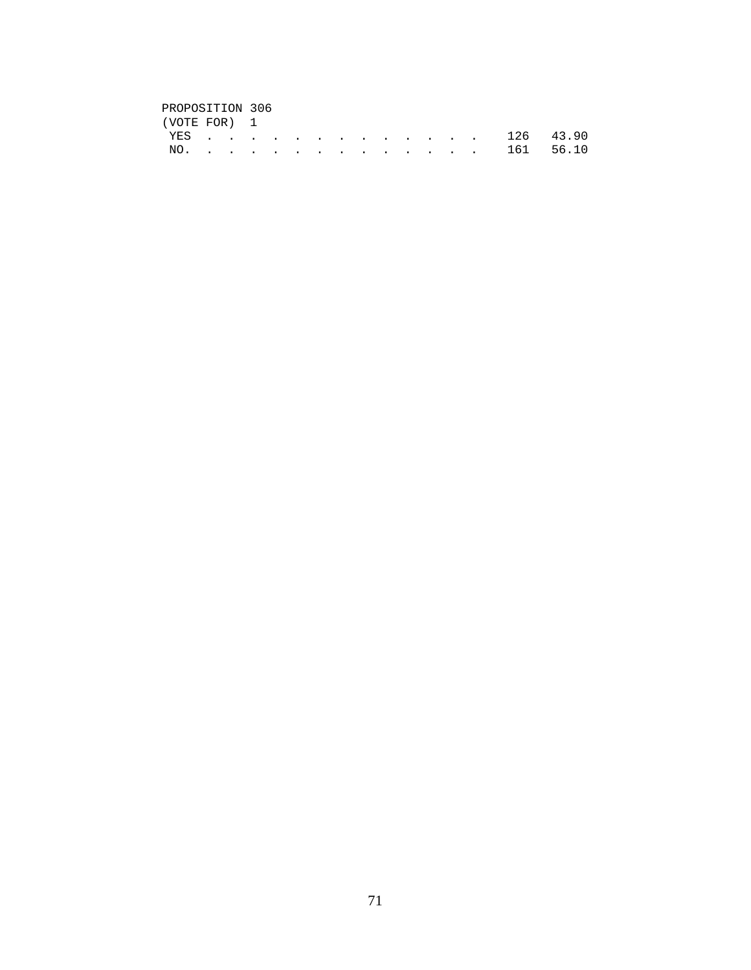| PROPOSITION 306 |  |  |  |  |  |  |
|-----------------|--|--|--|--|--|--|
| (VOTE FOR) 1    |  |  |  |  |  |  |
| YES 126 43.90   |  |  |  |  |  |  |
| NO. 161 56.10   |  |  |  |  |  |  |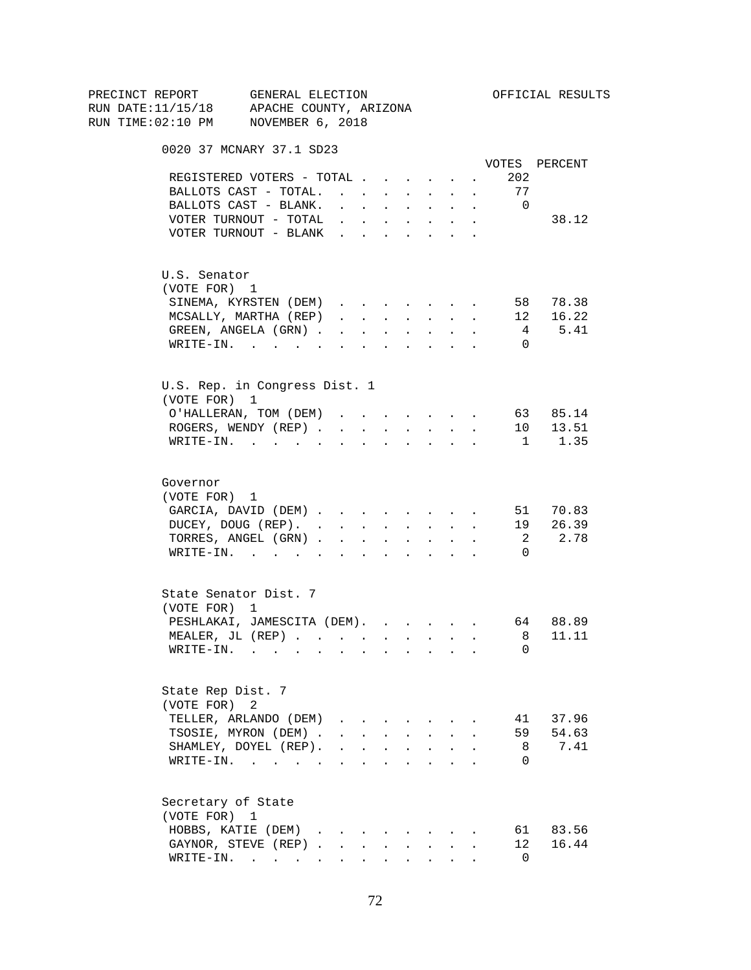| PRECINCT REPORT<br>RUN DATE:11/15/18 APACHE COUNTY, ARIZONA | GENERAL ELECTION                                                                                                                                                                                                                                                                                                   |                                                                                                                                                                                                                                |              |                                                                |              |                                                                          |             |                            | OFFICIAL RESULTS       |
|-------------------------------------------------------------|--------------------------------------------------------------------------------------------------------------------------------------------------------------------------------------------------------------------------------------------------------------------------------------------------------------------|--------------------------------------------------------------------------------------------------------------------------------------------------------------------------------------------------------------------------------|--------------|----------------------------------------------------------------|--------------|--------------------------------------------------------------------------|-------------|----------------------------|------------------------|
| RUN TIME:02:10 PM NOVEMBER 6, 2018                          |                                                                                                                                                                                                                                                                                                                    |                                                                                                                                                                                                                                |              |                                                                |              |                                                                          |             |                            |                        |
|                                                             | 0020 37 MCNARY 37.1 SD23                                                                                                                                                                                                                                                                                           |                                                                                                                                                                                                                                |              |                                                                |              |                                                                          |             |                            |                        |
|                                                             | REGISTERED VOTERS - TOTAL                                                                                                                                                                                                                                                                                          |                                                                                                                                                                                                                                |              |                                                                |              |                                                                          |             | 202                        | VOTES PERCENT          |
|                                                             | BALLOTS CAST - TOTAL.                                                                                                                                                                                                                                                                                              |                                                                                                                                                                                                                                |              |                                                                |              |                                                                          |             | <b>Service</b><br>77       |                        |
|                                                             | BALLOTS CAST - BLANK.                                                                                                                                                                                                                                                                                              | and a strong control of the state of the state of the state of the state of the state of the state of the state of the state of the state of the state of the state of the state of the state of the state of the state of the |              |                                                                |              |                                                                          |             | $\overline{\phantom{0}}$   |                        |
|                                                             | VOTER TURNOUT - TOTAL                                                                                                                                                                                                                                                                                              | <b>All Carl Carl Control</b>                                                                                                                                                                                                   |              |                                                                |              | $\mathbf{A}^{(1)}$ and $\mathbf{A}^{(2)}$ .                              | $\bullet$ . |                            | 38.12                  |
|                                                             | VOTER TURNOUT - BLANK                                                                                                                                                                                                                                                                                              |                                                                                                                                                                                                                                |              |                                                                |              |                                                                          |             |                            |                        |
| U.S. Senator                                                |                                                                                                                                                                                                                                                                                                                    |                                                                                                                                                                                                                                |              |                                                                |              |                                                                          |             |                            |                        |
| (VOTE FOR) 1                                                |                                                                                                                                                                                                                                                                                                                    |                                                                                                                                                                                                                                |              |                                                                |              |                                                                          |             |                            |                        |
|                                                             | SINEMA, KYRSTEN (DEM)                                                                                                                                                                                                                                                                                              |                                                                                                                                                                                                                                |              |                                                                |              |                                                                          |             |                            | 58 78.38               |
|                                                             | MCSALLY, MARTHA (REP)                                                                                                                                                                                                                                                                                              |                                                                                                                                                                                                                                |              |                                                                |              |                                                                          |             | 12                         | 16.22                  |
|                                                             | GREEN, ANGELA (GRN)                                                                                                                                                                                                                                                                                                |                                                                                                                                                                                                                                |              |                                                                |              |                                                                          |             | 4                          | 5.41                   |
|                                                             | WRITE-IN.                                                                                                                                                                                                                                                                                                          |                                                                                                                                                                                                                                |              |                                                                |              | $\mathbf{r} = \mathbf{r} + \mathbf{r}$ , where $\mathbf{r} = \mathbf{r}$ |             | $\overline{0}$             |                        |
| (VOTE FOR) 1                                                | U.S. Rep. in Congress Dist. 1                                                                                                                                                                                                                                                                                      |                                                                                                                                                                                                                                |              |                                                                |              |                                                                          |             |                            |                        |
|                                                             | O'HALLERAN, TOM (DEM) 63 85.14                                                                                                                                                                                                                                                                                     |                                                                                                                                                                                                                                |              |                                                                |              |                                                                          |             |                            |                        |
|                                                             | ROGERS, WENDY (REP)                                                                                                                                                                                                                                                                                                |                                                                                                                                                                                                                                |              |                                                                |              |                                                                          |             |                            | $\cdot$ 10 13.51       |
|                                                             | WRITE-IN.                                                                                                                                                                                                                                                                                                          |                                                                                                                                                                                                                                |              |                                                                |              |                                                                          |             |                            | $1 \t 1.35$            |
| Governor<br>(VOTE FOR) 1                                    | GARCIA, DAVID (DEM) 51 70.83<br>DUCEY, DOUG (REP).<br>TORRES, ANGEL (GRN)<br>WRITE-IN.                                                                                                                                                                                                                             |                                                                                                                                                                                                                                |              |                                                                |              |                                                                          |             | $\Omega$                   | 19 26.39<br>2 2.78     |
| (VOTE FOR) 1<br>WRITE-IN.                                   | State Senator Dist. 7<br>PESHLAKAI, JAMESCITA (DEM). 64 88.89<br>MEALER, JL (REP)<br>the company of the company of the company of the company of the company of the company of the company of the company of the company of the company of the company of the company of the company of the company of the company |                                                                                                                                                                                                                                |              |                                                                |              |                                                                          |             | $\Omega$                   | 8 11.11                |
| State Rep Dist. 7<br>(VOTE FOR) 2                           | TELLER, ARLANDO (DEM)<br>TSOSIE, MYRON (DEM).<br>SHAMLEY, DOYEL (REP).<br>$\texttt{WRITE-IN.}$                                                                                                                                                                                                                     | $\mathbf{r} = \mathbf{r}$<br>$\mathbf{r} = \mathbf{r} \times \mathbf{r}$                                                                                                                                                       |              | $\mathbf{r} = \mathbf{r}$<br><b>Contract Contract Contract</b> | $\mathbf{r}$ | $\Delta \phi = \Delta \phi$ and $\Delta \phi$<br>$\sim$ $\sim$           |             | 41<br>59<br>-8<br>$\Omega$ | 37.96<br>54.63<br>7.41 |
| Secretary of State<br>(VOTE FOR) 1                          | HOBBS, KATIE (DEM)<br>GAYNOR, STEVE (REP).<br>WRITE-IN.                                                                                                                                                                                                                                                            | $\mathbf{r}$                                                                                                                                                                                                                   | $\mathbf{r}$ | $\mathbf{r}$                                                   |              |                                                                          |             | 12<br>$\overline{0}$       | 61 83.56<br>16.44      |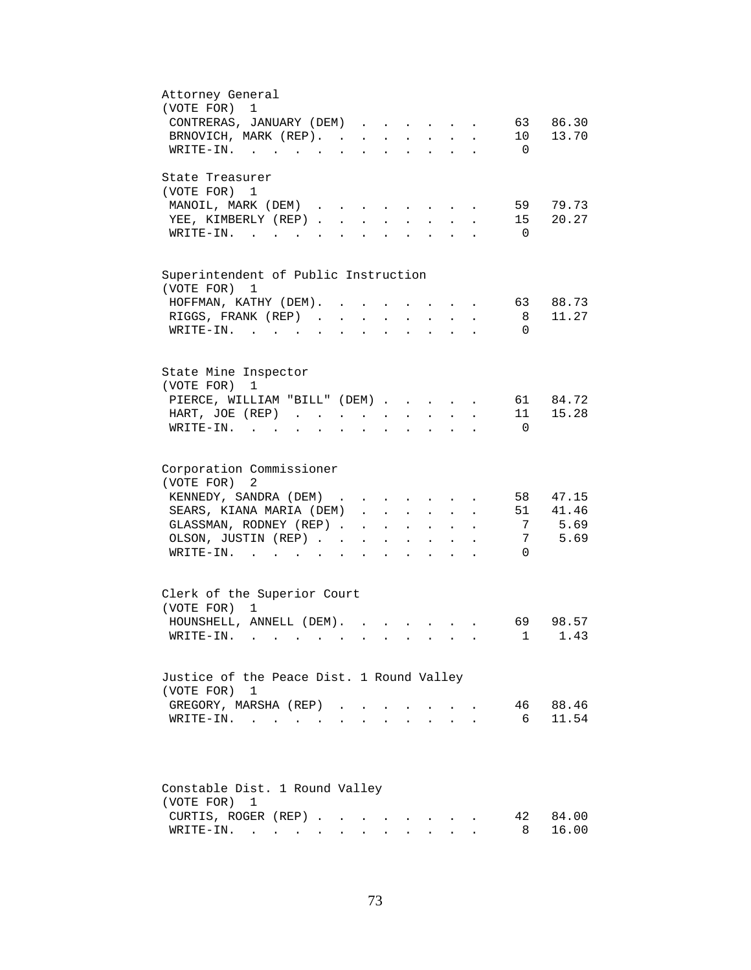| Attorney General                                                                                                                                                                        |
|-----------------------------------------------------------------------------------------------------------------------------------------------------------------------------------------|
| (VOTE FOR)<br>1                                                                                                                                                                         |
| CONTRERAS, JANUARY (DEM)<br>86.30<br>63                                                                                                                                                 |
| BRNOVICH, MARK (REP).<br>10<br>13.70                                                                                                                                                    |
| WRITE-IN.<br>$\overline{0}$                                                                                                                                                             |
| State Treasurer                                                                                                                                                                         |
| (VOTE FOR) 1                                                                                                                                                                            |
| 79.73<br>MANOIL, MARK (DEM)<br>59<br>$\mathbf{r} = \mathbf{r} + \mathbf{r} + \mathbf{r} + \mathbf{r} + \mathbf{r}$                                                                      |
| 20.27<br>YEE, KIMBERLY (REP)<br>15<br>$\mathbf{L}$<br>$\mathbf{r}$                                                                                                                      |
| $\overline{\phantom{0}}$<br>$W\text{RITE}-\text{IN}.$<br>$\mathbf{L}$<br>$\mathcal{L}^{\text{max}}$<br>$\mathbf{L}^{\text{max}}$<br>$\mathbf{r}$                                        |
|                                                                                                                                                                                         |
| Superintendent of Public Instruction                                                                                                                                                    |
| (VOTE FOR)<br>1                                                                                                                                                                         |
| HOFFMAN, KATHY (DEM).<br>88.73<br>63                                                                                                                                                    |
| 11.27<br>RIGGS, FRANK (REP)<br>8                                                                                                                                                        |
| WRITE-IN.<br>$\Omega$<br>$\sim$ 100 $\sim$                                                                                                                                              |
|                                                                                                                                                                                         |
|                                                                                                                                                                                         |
| State Mine Inspector                                                                                                                                                                    |
| (VOTE FOR)<br>1                                                                                                                                                                         |
| PIERCE, WILLIAM "BILL" (DEM)<br>61 84.72                                                                                                                                                |
| 15.28<br>11<br>HART, JOE (REP)<br>$\mathbf{r} = \mathbf{r} + \mathbf{r} + \mathbf{r}$                                                                                                   |
| $\texttt{WRTTE-IN.}$<br>$\Omega$<br>$\mathbf{u} = \mathbf{u} \mathbf{u} + \mathbf{u} \mathbf{u}$ .<br>$\ddot{\phantom{0}}$<br>$\ddot{\phantom{a}}$<br>$\ddot{\phantom{a}}$<br>$\bullet$ |
|                                                                                                                                                                                         |
| Corporation Commissioner                                                                                                                                                                |
| (VOTE FOR)<br>2                                                                                                                                                                         |
| KENNEDY, SANDRA (DEM)<br>58<br>47.15<br>$\mathbf{r}$ , and $\mathbf{r}$ , and $\mathbf{r}$ , and $\mathbf{r}$                                                                           |
| SEARS, KIANA MARIA (DEM)<br>51<br>41.46<br>$\ddot{\phantom{0}}$                                                                                                                         |
| 5.69<br>GLASSMAN, RODNEY (REP)<br>$\overline{7}$<br>$\mathbf{r} = \mathbf{r} \mathbf{r}$ , where $\mathbf{r} = \mathbf{r} \mathbf{r}$<br>$\mathbf{z} = \mathbf{z} + \mathbf{z}$         |
| 5.69<br>7<br>OLSON, JUSTIN (REP)<br>$\bullet$ .<br><br><br><br><br><br><br><br><br><br><br><br>$\ddot{\phantom{a}}$<br>$\bullet$                                                        |
| $\Omega$<br>$\texttt{WRITE-IN.}$<br>$\ddot{\phantom{a}}$<br>$\mathbf{z} = \mathbf{z}$<br>$\ddot{\phantom{a}}$                                                                           |
|                                                                                                                                                                                         |
| Clerk of the Superior Court                                                                                                                                                             |
| (VOTE FOR) 1                                                                                                                                                                            |
| HOUNSHELL, ANNELL (DEM).<br>98.57<br>69                                                                                                                                                 |
| 1.43<br>$\texttt{WRTTE-IN.}$<br>1                                                                                                                                                       |
|                                                                                                                                                                                         |
| Justice of the Peace Dist. 1 Round Valley                                                                                                                                               |
| (VOTE FOR) 1                                                                                                                                                                            |
| 88.46<br>GREGORY, MARSHA (REP).<br>46                                                                                                                                                   |
| 11.54<br>- 6<br>WRITE-IN.                                                                                                                                                               |
|                                                                                                                                                                                         |
|                                                                                                                                                                                         |
|                                                                                                                                                                                         |
| Constable Dist. 1 Round Valley                                                                                                                                                          |
| (VOTE FOR)<br>1                                                                                                                                                                         |
| CURTIS, ROGER (REP)<br>84.00<br>42                                                                                                                                                      |
| 16.00<br>8<br>$\texttt{WRTTE-IN.}$                                                                                                                                                      |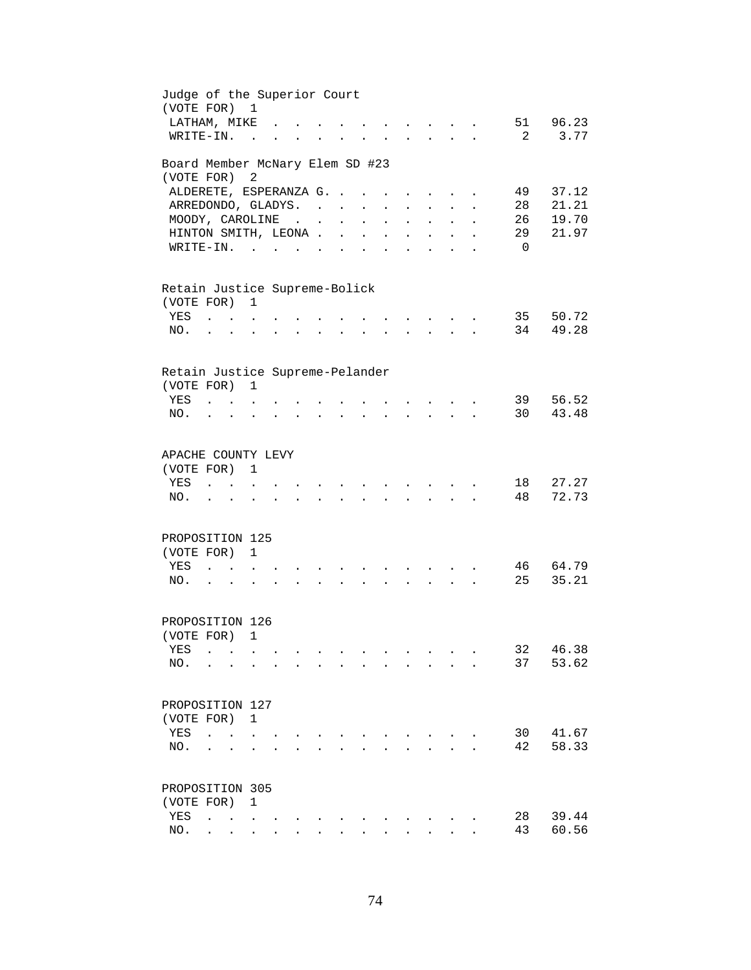| Judge of the Superior Court<br>(VOTE FOR)     |                                                           |                                                             | <sup>1</sup>         |                      |                                      |                      |                      |                      |                      |                                                                 |                               |                      |                |                |
|-----------------------------------------------|-----------------------------------------------------------|-------------------------------------------------------------|----------------------|----------------------|--------------------------------------|----------------------|----------------------|----------------------|----------------------|-----------------------------------------------------------------|-------------------------------|----------------------|----------------|----------------|
| LATHAM, MIKE                                  |                                                           |                                                             |                      |                      |                                      |                      |                      |                      |                      |                                                                 |                               |                      |                | 51 96.23       |
| WRITE-IN.                                     |                                                           |                                                             | $\sim$               |                      |                                      |                      |                      |                      |                      |                                                                 |                               |                      | -2             | 3.77           |
| Board Member McNary Elem SD #23<br>(VOTE FOR) |                                                           |                                                             | 2                    |                      |                                      |                      |                      |                      |                      |                                                                 |                               |                      |                |                |
| ALDERETE, ESPERANZA G.                        |                                                           |                                                             |                      |                      |                                      |                      |                      |                      | $\ddot{\phantom{a}}$ | $\ddot{\phantom{a}}$                                            |                               |                      | 49             | 37.12          |
| ARREDONDO, GLADYS.                            |                                                           |                                                             |                      |                      |                                      |                      |                      | $\ddot{\phantom{0}}$ | $\ddot{\phantom{a}}$ | $\sim$                                                          | $\mathbf{L}^{\text{max}}$     | $\ddot{\phantom{a}}$ | 28             | 21.21          |
| MOODY, CAROLINE                               |                                                           |                                                             |                      |                      |                                      | $\ddot{\phantom{0}}$ | $\ddot{\phantom{a}}$ | $\ddot{\phantom{a}}$ | $\ddot{\phantom{0}}$ | $\sim 10^{-10}$                                                 |                               | $\ddot{\phantom{0}}$ | 26             | 19.70          |
| HINTON SMITH, LEONA.                          |                                                           |                                                             |                      |                      |                                      | $\ddot{\phantom{a}}$ | $\ddot{\phantom{a}}$ |                      |                      |                                                                 | $\ddot{\phantom{a}}$          |                      | 29             | 21.97          |
| $W\text{RITE-IN.}$                            |                                                           |                                                             |                      |                      |                                      |                      |                      |                      |                      |                                                                 |                               |                      | $\overline{0}$ |                |
| Retain Justice Supreme-Bolick<br>(VOTE FOR)   |                                                           |                                                             | 1                    |                      |                                      |                      |                      |                      |                      |                                                                 |                               |                      |                |                |
| YES                                           |                                                           | $\mathbf{L}$ and $\mathbf{L}$                               |                      |                      |                                      |                      |                      |                      |                      |                                                                 |                               |                      | 35             | 50.72          |
| NO.                                           |                                                           | $\mathbf{r} = \mathbf{r} + \mathbf{r} + \mathbf{r}$ .       |                      |                      |                                      |                      |                      |                      |                      |                                                                 | $\mathbf{r}$ and $\mathbf{r}$ |                      | 34             | 49.28          |
|                                               |                                                           |                                                             |                      |                      |                                      |                      |                      |                      |                      |                                                                 |                               |                      |                |                |
| Retain Justice Supreme-Pelander               |                                                           |                                                             |                      |                      |                                      |                      |                      |                      |                      |                                                                 |                               |                      |                |                |
| (VOTE FOR) 1<br>YES                           | $\mathbf{r}$ , $\mathbf{r}$ , $\mathbf{r}$ , $\mathbf{r}$ |                                                             |                      |                      |                                      |                      |                      |                      |                      |                                                                 |                               |                      | 39             | 56.52          |
| NO.                                           |                                                           |                                                             |                      |                      | $\ddot{\phantom{0}}$                 | $\ddot{\phantom{a}}$ |                      |                      |                      | $\cdot$ $\cdot$ $\cdot$ $\cdot$                                 | $\mathbf{r} = \mathbf{r}$     |                      | 30             | 43.48          |
|                                               |                                                           |                                                             |                      |                      |                                      |                      |                      |                      |                      |                                                                 |                               |                      |                |                |
| APACHE COUNTY LEVY                            |                                                           |                                                             |                      |                      |                                      |                      |                      |                      |                      |                                                                 |                               |                      |                |                |
| (VOTE FOR)                                    |                                                           |                                                             | 1                    |                      |                                      |                      |                      |                      |                      |                                                                 |                               |                      |                |                |
| YES                                           |                                                           |                                                             |                      |                      |                                      |                      |                      |                      |                      |                                                                 |                               |                      | 18             | 27.27          |
| NO.                                           |                                                           |                                                             |                      |                      |                                      |                      |                      |                      |                      |                                                                 |                               |                      | 48             | 72.73          |
|                                               |                                                           |                                                             |                      |                      |                                      |                      |                      |                      |                      |                                                                 |                               |                      |                |                |
| PROPOSITION 125                               |                                                           |                                                             |                      |                      |                                      |                      |                      |                      |                      |                                                                 |                               |                      |                |                |
| (VOTE FOR)                                    |                                                           |                                                             | 1                    |                      |                                      |                      |                      |                      |                      |                                                                 |                               |                      |                |                |
| YES<br>NO.                                    | $\ddot{\phantom{a}}$<br>$\mathbf{r} = \mathbf{r}$         | $\sim$ $\sim$                                               |                      |                      |                                      |                      |                      |                      |                      | $\mathbf{L}$                                                    |                               |                      | 46<br>25       | 64.79<br>35.21 |
|                                               |                                                           |                                                             | $\ddot{\phantom{a}}$ |                      |                                      |                      |                      |                      |                      |                                                                 |                               |                      |                |                |
| PROPOSITION 126                               |                                                           |                                                             |                      |                      |                                      |                      |                      |                      |                      |                                                                 |                               |                      |                |                |
| (VOTE FOR) 1                                  |                                                           |                                                             |                      |                      |                                      |                      |                      |                      |                      |                                                                 |                               |                      |                |                |
| YES                                           | $\ddot{\phantom{a}}$                                      | $\sim$ $\sim$                                               |                      |                      |                                      |                      |                      |                      |                      |                                                                 |                               |                      | 32             | 46.38          |
| NO.                                           |                                                           |                                                             |                      |                      |                                      |                      |                      |                      | $\ddot{\phantom{a}}$ | $\sim$ $\sim$ $\sim$                                            |                               |                      | 37             | 53.62          |
|                                               |                                                           |                                                             |                      |                      |                                      |                      |                      |                      |                      |                                                                 |                               |                      |                |                |
| PROPOSITION 127                               |                                                           |                                                             |                      |                      |                                      |                      |                      |                      |                      |                                                                 |                               |                      |                |                |
| (VOTE FOR)<br>YES                             |                                                           |                                                             | $\mathbf{1}$         |                      |                                      |                      |                      |                      |                      |                                                                 |                               |                      |                | 41.67          |
| NO.                                           | $\sim$                                                    |                                                             |                      |                      |                                      |                      |                      |                      |                      |                                                                 |                               |                      | 30<br>42       | 58.33          |
|                                               |                                                           |                                                             |                      |                      |                                      |                      |                      |                      |                      |                                                                 |                               |                      |                |                |
| PROPOSITION 305                               |                                                           |                                                             |                      |                      |                                      |                      |                      |                      |                      |                                                                 |                               |                      |                |                |
| (VOTE FOR)                                    |                                                           |                                                             | 1                    |                      |                                      |                      |                      |                      |                      |                                                                 |                               |                      |                |                |
| YES                                           | $\ddot{\phantom{a}}$                                      | $\sim$ $\sim$ $\sim$                                        |                      |                      |                                      |                      |                      |                      |                      |                                                                 |                               |                      | 28             | 39.44          |
| NO.                                           | $\mathbf{L} = \mathbf{0}$                                 | $\bullet$ .<br><br><br><br><br><br><br><br><br><br><br><br> | $\sim 100$           | $\ddot{\phantom{0}}$ | $\mathbf{L} = \mathbf{L} \mathbf{L}$ | $\ddot{\phantom{0}}$ | $\sim$ 100 $\pm$     |                      |                      | $\bullet$ .<br><br><br><br><br><br><br><br><br><br><br><br><br> |                               |                      | 43             | 60.56          |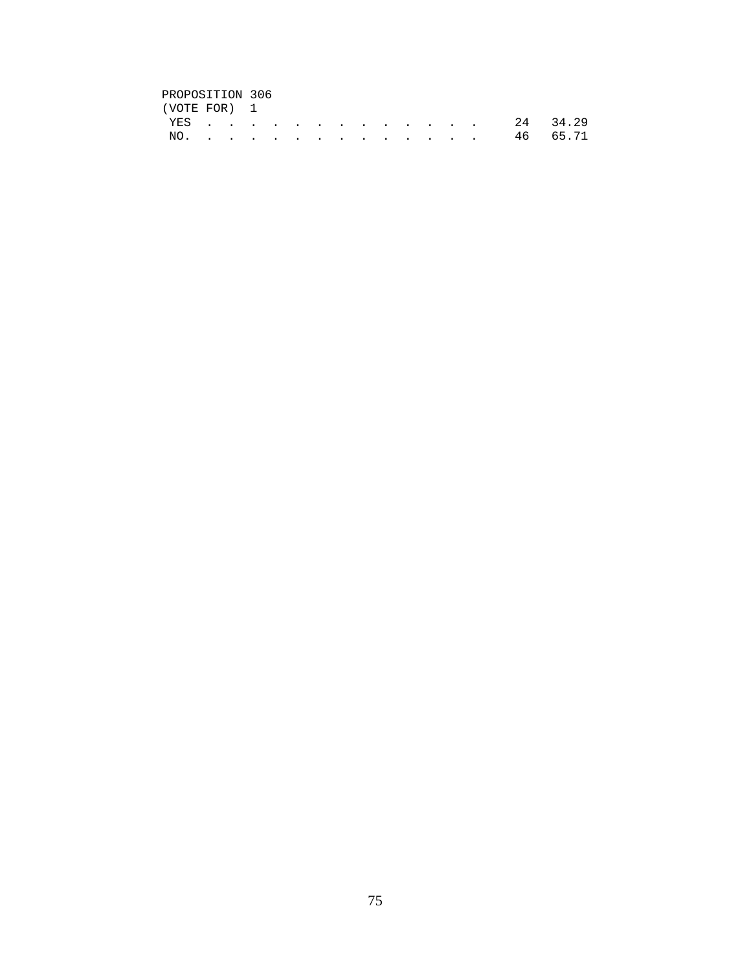## PROPOSITION 306<br>(VOTE FOR) 1

| (VOTE FOR) 1 |  |  |  |  |  |  |              |  |
|--------------|--|--|--|--|--|--|--------------|--|
|              |  |  |  |  |  |  | YES 24 34.29 |  |
|              |  |  |  |  |  |  | NO. 46 65.71 |  |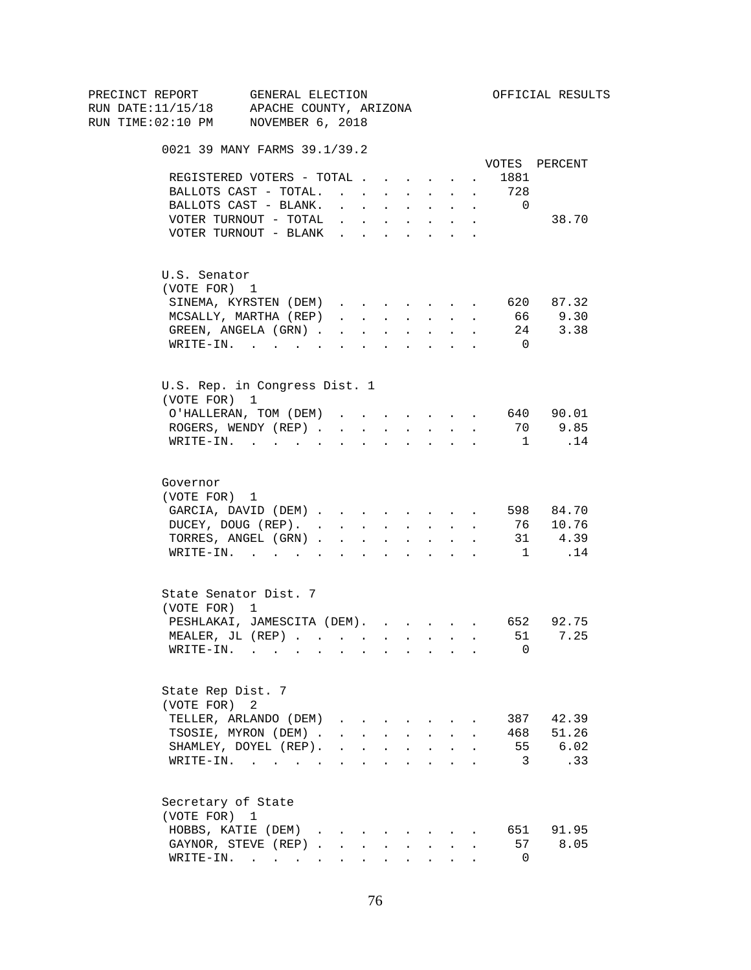| PRECINCT REPORT                          | GENERAL ELECTION                                                           |                                                                          |                                                |        |                                                                          |                      |                      |                          | OFFICIAL RESULTS    |
|------------------------------------------|----------------------------------------------------------------------------|--------------------------------------------------------------------------|------------------------------------------------|--------|--------------------------------------------------------------------------|----------------------|----------------------|--------------------------|---------------------|
| RUN DATE:11/15/18 APACHE COUNTY, ARIZONA |                                                                            |                                                                          |                                                |        |                                                                          |                      |                      |                          |                     |
| RUN TIME:02:10 PM NOVEMBER 6, 2018       |                                                                            |                                                                          |                                                |        |                                                                          |                      |                      |                          |                     |
|                                          | 0021 39 MANY FARMS 39.1/39.2                                               |                                                                          |                                                |        |                                                                          |                      |                      |                          |                     |
|                                          |                                                                            |                                                                          |                                                |        |                                                                          |                      |                      |                          | VOTES PERCENT       |
|                                          | REGISTERED VOTERS - TOTAL                                                  |                                                                          |                                                |        |                                                                          |                      | $\sim$ 100 $\mu$     | 1881                     |                     |
|                                          | BALLOTS CAST - TOTAL.                                                      |                                                                          |                                                |        | $\mathbf{r}$ , $\mathbf{r}$ , $\mathbf{r}$                               |                      | $\sim$               | 728                      |                     |
|                                          | BALLOTS CAST - BLANK.                                                      |                                                                          | $\cdot$ $\cdot$ $\cdot$ $\cdot$                |        | <b>All Cards</b>                                                         | $\sim$               | $\sim$               | $\overline{\phantom{0}}$ |                     |
|                                          | VOTER TURNOUT - TOTAL                                                      |                                                                          |                                                |        | $\mathbf{r}$ , $\mathbf{r}$ , $\mathbf{r}$ , $\mathbf{r}$ , $\mathbf{r}$ |                      | $\ddot{\phantom{a}}$ |                          | 38.70               |
|                                          | VOTER TURNOUT - BLANK                                                      |                                                                          |                                                |        |                                                                          |                      |                      |                          |                     |
| U.S. Senator                             |                                                                            |                                                                          |                                                |        |                                                                          |                      |                      |                          |                     |
| (VOTE FOR) 1                             |                                                                            |                                                                          |                                                |        |                                                                          |                      |                      |                          |                     |
|                                          | SINEMA, KYRSTEN (DEM)                                                      |                                                                          |                                                |        |                                                                          |                      |                      |                          | 620 87.32           |
|                                          | MCSALLY, MARTHA (REP)                                                      |                                                                          | $\mathbf{r}$ and $\mathbf{r}$ and $\mathbf{r}$ |        | <b>All Carried Control</b>                                               |                      | $\ddot{\phantom{a}}$ | 66                       | 9.30                |
|                                          | GREEN, ANGELA (GRN).                                                       |                                                                          | $\mathbf{r}$ , $\mathbf{r}$                    | $\sim$ | $\sim$ $\sim$                                                            | $\ddot{\phantom{0}}$ |                      |                          | $24$ 3.38           |
|                                          | WRITE-IN.                                                                  |                                                                          |                                                |        |                                                                          |                      |                      | $\overline{0}$           |                     |
|                                          | U.S. Rep. in Congress Dist. 1                                              |                                                                          |                                                |        |                                                                          |                      |                      |                          |                     |
| (VOTE FOR) 1                             |                                                                            |                                                                          |                                                |        |                                                                          |                      |                      |                          |                     |
|                                          | O'HALLERAN, TOM (DEM) 640 90.01                                            |                                                                          |                                                |        |                                                                          |                      |                      |                          |                     |
|                                          | ROGERS, WENDY (REP)                                                        |                                                                          |                                                |        | and a strategic state                                                    |                      |                      | 70                       | 9.85                |
|                                          | $\texttt{WRTTE-IN.}$                                                       |                                                                          | $\sim$                                         |        |                                                                          |                      |                      | $\overline{1}$           | .14                 |
| Governor<br>(VOTE FOR) 1                 | GARCIA, DAVID (DEM) 598 84.70<br>DUCEY, DOUG (REP).<br>TORRES, ANGEL (GRN) |                                                                          |                                                |        |                                                                          |                      |                      |                          | 76 10.76<br>31 4.39 |
|                                          | WRITE-IN.                                                                  |                                                                          |                                                |        |                                                                          |                      |                      | 1                        | .14                 |
| (VOTE FOR) 1                             | State Senator Dist. 7                                                      |                                                                          |                                                |        |                                                                          |                      |                      |                          |                     |
|                                          | PESHLAKAI, JAMESCITA (DEM). 652 92.75                                      |                                                                          |                                                |        |                                                                          |                      |                      |                          |                     |
|                                          | MEALER, JL (REP) 51 7.25                                                   |                                                                          |                                                |        |                                                                          |                      |                      |                          |                     |
|                                          | $\texttt{WRITE-IN.}\quad .\quad .\quad .\quad .\quad .$                    |                                                                          |                                                |        |                                                                          |                      |                      | 0                        |                     |
| State Rep Dist. 7<br>(VOTE FOR)          | 2                                                                          |                                                                          |                                                |        |                                                                          |                      |                      |                          |                     |
|                                          | TELLER, ARLANDO (DEM)                                                      |                                                                          |                                                |        |                                                                          |                      |                      |                          | 387 42.39           |
|                                          | TSOSIE, MYRON (DEM).                                                       |                                                                          |                                                |        | $\mathbf{r} = \mathbf{r} + \mathbf{r} + \mathbf{r} + \mathbf{r}$         |                      |                      |                          | 468 51.26           |
|                                          | SHAMLEY, DOYEL (REP).                                                      | $\mathbf{r}$ , $\mathbf{r}$ , $\mathbf{r}$ , $\mathbf{r}$ , $\mathbf{r}$ |                                                |        |                                                                          | $\ddot{\phantom{a}}$ |                      |                          | 55 6.02             |
|                                          | WRITE-IN.                                                                  |                                                                          |                                                |        |                                                                          |                      |                      | $\overline{\mathbf{3}}$  | .33                 |
| Secretary of State<br>(VOTE FOR) 1       |                                                                            |                                                                          |                                                |        |                                                                          |                      |                      |                          |                     |
|                                          | HOBBS, KATIE (DEM)                                                         |                                                                          |                                                |        |                                                                          |                      |                      |                          | 651 91.95           |
|                                          | GAYNOR, STEVE (REP)                                                        |                                                                          | $\mathbf{L}$                                   | $\sim$ | $\sim 10^{-11}$                                                          |                      |                      | 57                       | 8.05                |
|                                          | $\texttt{WRTTE-IN.}$                                                       |                                                                          |                                                |        | $\mathbf{L} = \mathbf{L} \mathbf{L} + \mathbf{L} \mathbf{L}$             |                      |                      | $\overline{0}$           |                     |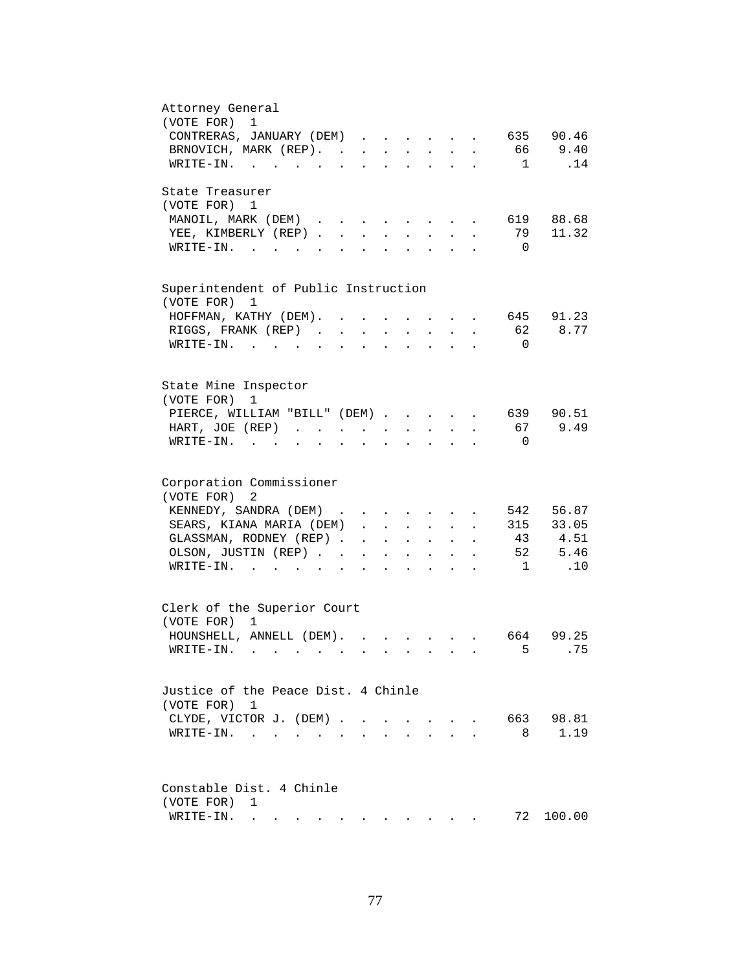| Attorney General<br>(VOTE FOR)<br>$\mathbf{1}$                                                                                                         |
|--------------------------------------------------------------------------------------------------------------------------------------------------------|
| CONTRERAS, JANUARY (DEM)<br>635 90.46                                                                                                                  |
| 9.40<br>BRNOVICH, MARK (REP).<br>66 10                                                                                                                 |
| .14<br>WRITE-IN.<br>$\mathbf{1}$                                                                                                                       |
| State Treasurer                                                                                                                                        |
| (VOTE FOR) 1                                                                                                                                           |
| 619 88.68<br>MANOIL, MARK (DEM)<br>$\mathbf{r}$ , $\mathbf{r}$ , $\mathbf{r}$ , $\mathbf{r}$                                                           |
| 11.32<br>YEE, KIMBERLY (REP).<br>79<br>$\sim$<br>$\mathbf{L}$<br>$\sim$                                                                                |
| $W\text{RITE-IN.}$ , , ,<br>$\overline{0}$<br>$\mathbf{L}^{\text{max}}$                                                                                |
| Superintendent of Public Instruction                                                                                                                   |
| (VOTE FOR)<br>1                                                                                                                                        |
| 645 91.23<br>HOFFMAN, KATHY (DEM).<br>$\sim$                                                                                                           |
| 62<br>8.77<br>RIGGS, FRANK (REP)<br>$\mathcal{L}^{\text{max}}$                                                                                         |
| $\overline{0}$<br>WRITE-IN.<br>$\sim$                                                                                                                  |
|                                                                                                                                                        |
| State Mine Inspector                                                                                                                                   |
| (VOTE FOR)<br>1                                                                                                                                        |
| PIERCE, WILLIAM "BILL" (DEM)<br>639 90.51                                                                                                              |
| 9.49<br>67<br>HART, JOE (REP)<br>$\mathbf{z} = \mathbf{z} + \mathbf{z}$ .<br>$\sim 10^{-11}$<br>$\ddot{\phantom{0}}$                                   |
| $WRITE-IN.$<br>$\overline{0}$<br>$\mathbf{r}$ , $\mathbf{r}$ , $\mathbf{r}$<br><b>All Card Control</b><br>$\ddot{\phantom{0}}$<br>$\ddot{\phantom{a}}$ |
| Corporation Commissioner<br>(VOTE FOR)<br>2                                                                                                            |
| 542 56.87<br>KENNEDY, SANDRA (DEM)                                                                                                                     |
| 315 33.05<br>SEARS, KIANA MARIA (DEM)<br>$\ddot{\phantom{0}}$                                                                                          |
| GLASSMAN, RODNEY (REP)<br>43 4.51<br>$\mathbf{r} = \mathbf{r} \cdot \mathbf{r}$<br>$\mathcal{L}^{\text{max}}$<br>$\ddot{\phantom{a}}$                  |
| 52 5.46<br>OLSON, JUSTIN (REP)<br>$\mathbf{A}^{(1)}$ and $\mathbf{A}^{(2)}$ and<br>$\ddot{\phantom{0}}$<br>$\sim$<br>$\ddot{\phantom{0}}$              |
| .10<br>$\texttt{WRTTE-IN.}$<br>$\overline{1}$<br>$\sim$<br>$\ddot{\phantom{0}}$                                                                        |
|                                                                                                                                                        |
| Clerk of the Superior Court<br>(VOTE FOR) 1                                                                                                            |
|                                                                                                                                                        |
| HOUNSHELL, ANNELL (DEM).<br>664 99.25<br>$\mathbf{r}$ and $\mathbf{r}$ and $\mathbf{r}$<br>5<br>. 75<br>$W\text{RITE}-\text{IN}.$                      |
|                                                                                                                                                        |
| Justice of the Peace Dist. 4 Chinle                                                                                                                    |
| (VOTE FOR) 1                                                                                                                                           |
| 663<br>98.81<br>CLYDE, VICTOR J. (DEM).<br>$\sim$<br>$\sim$<br>$\sim$                                                                                  |
| 1.19<br>$\texttt{WRTTE-IN.}$<br>8<br>$\sim$                                                                                                            |
|                                                                                                                                                        |
|                                                                                                                                                        |
| Constable Dist. 4 Chinle                                                                                                                               |
| (VOTE FOR)<br>1                                                                                                                                        |
| 72<br>100.00<br>WRITE-IN.<br>$\mathcal{A}(\mathbf{z})$ , and $\mathcal{A}(\mathbf{z})$ , and $\mathcal{A}(\mathbf{z})$ , and                           |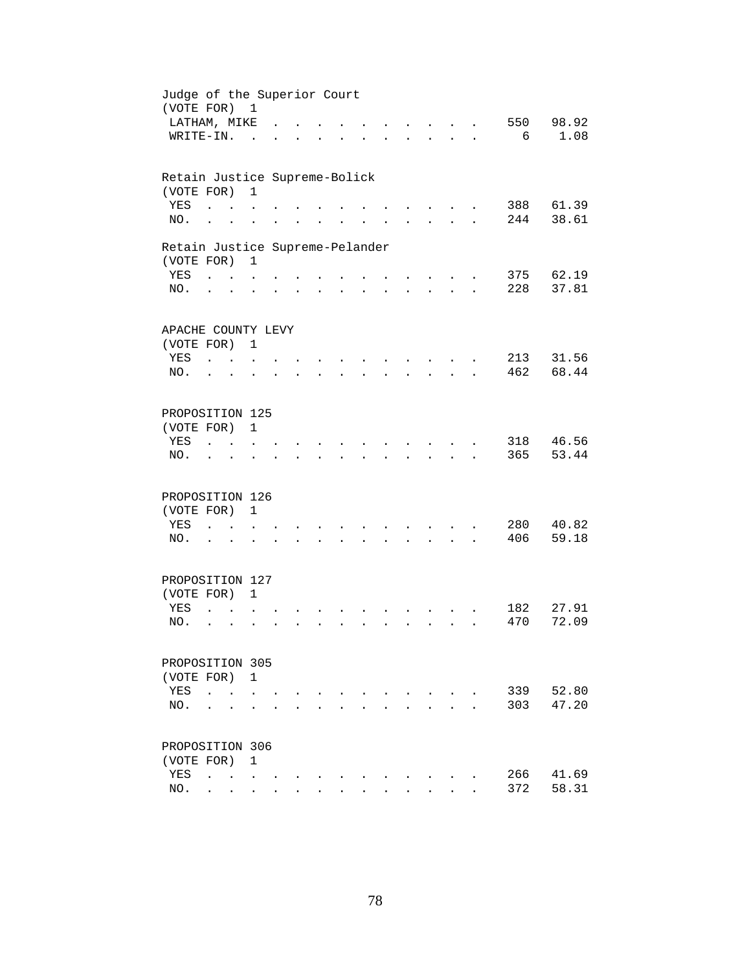| Judge of the Superior Court<br>(VOTE FOR) |                      |                          | 1              |  |  |  |                      |                                   |              |     |       |
|-------------------------------------------|----------------------|--------------------------|----------------|--|--|--|----------------------|-----------------------------------|--------------|-----|-------|
| LATHAM, MIKE                              |                      |                          |                |  |  |  |                      |                                   |              | 550 | 98.92 |
| WRITE-IN.                                 |                      |                          | $\mathbb{R}^2$ |  |  |  |                      | <b>Contract Contract Contract</b> | $\mathbf{L}$ | 6   | 1.08  |
| Retain Justice Supreme-Bolick             |                      |                          |                |  |  |  |                      |                                   |              |     |       |
| (VOTE FOR)                                |                      |                          | $\mathbf{1}$   |  |  |  |                      |                                   |              |     |       |
| YES                                       | $\sim$               |                          |                |  |  |  |                      |                                   |              | 388 | 61.39 |
| NO.                                       |                      |                          |                |  |  |  |                      |                                   |              | 244 | 38.61 |
| Retain Justice Supreme-Pelander           |                      |                          |                |  |  |  |                      |                                   |              |     |       |
| (VOTE FOR)                                |                      |                          | $\mathbf{1}$   |  |  |  |                      |                                   |              |     |       |
| YES                                       | $\ddot{\phantom{0}}$ |                          |                |  |  |  |                      |                                   |              | 375 | 62.19 |
| NO.                                       | $\ddot{\phantom{0}}$ |                          |                |  |  |  |                      | $\ddot{\phantom{0}}$              |              | 228 | 37.81 |
|                                           |                      |                          |                |  |  |  |                      |                                   |              |     |       |
| APACHE COUNTY LEVY<br>(VOTE FOR) 1        |                      |                          |                |  |  |  |                      |                                   |              |     |       |
| YES                                       |                      |                          |                |  |  |  |                      |                                   |              | 213 | 31.56 |
| NO.                                       | $\cdots$ $\cdots$    |                          |                |  |  |  |                      |                                   |              | 462 | 68.44 |
|                                           |                      |                          |                |  |  |  |                      | $\sim$ $\sim$                     |              |     |       |
| PROPOSITION 125                           |                      |                          |                |  |  |  |                      |                                   |              |     |       |
| (VOTE FOR)                                |                      |                          | $\mathbf{1}$   |  |  |  |                      |                                   |              |     |       |
| YES                                       |                      |                          |                |  |  |  |                      |                                   |              | 318 | 46.56 |
| NO.                                       |                      |                          |                |  |  |  |                      |                                   |              | 365 | 53.44 |
|                                           |                      |                          |                |  |  |  |                      |                                   |              |     |       |
| PROPOSITION 126                           |                      |                          |                |  |  |  |                      |                                   |              |     |       |
| (VOTE FOR)                                |                      |                          | $\mathbf{1}$   |  |  |  |                      |                                   |              |     |       |
| YES                                       | $\ddot{\phantom{a}}$ | $\sim$                   |                |  |  |  |                      |                                   |              | 280 | 40.82 |
| NO.                                       | $\ddot{\phantom{0}}$ |                          |                |  |  |  |                      |                                   |              | 406 | 59.18 |
| PROPOSITION 127                           |                      |                          |                |  |  |  |                      |                                   |              |     |       |
| (VOTE FOR) 1                              |                      |                          |                |  |  |  |                      |                                   |              |     |       |
| YES                                       | $\sim$               | $\sim$ 100 $\sim$        | $\mathbf{r}$   |  |  |  |                      |                                   |              | 182 | 27.91 |
| NO.                                       | $\ddot{\phantom{a}}$ | $\cdot$                  |                |  |  |  | $\ddot{\phantom{a}}$ | $\sim$ $\sim$                     |              | 470 | 72.09 |
|                                           |                      |                          |                |  |  |  |                      |                                   |              |     |       |
| PROPOSITION 305                           |                      |                          |                |  |  |  |                      |                                   |              |     |       |
| (VOTE FOR) 1                              |                      |                          |                |  |  |  |                      |                                   |              |     |       |
| YES                                       | $\ddot{\phantom{a}}$ |                          |                |  |  |  |                      |                                   |              | 339 | 52.80 |
| NO.                                       |                      |                          |                |  |  |  |                      |                                   |              | 303 | 47.20 |
|                                           |                      |                          |                |  |  |  |                      |                                   |              |     |       |
| PROPOSITION 306                           |                      |                          |                |  |  |  |                      |                                   |              |     |       |
| (VOTE FOR)                                |                      |                          | 1              |  |  |  |                      |                                   |              |     |       |
| YES                                       | $\ddot{\phantom{a}}$ | <b>Contract Contract</b> |                |  |  |  |                      |                                   |              | 266 | 41.69 |
| NO.                                       |                      | <b>Contract Contract</b> |                |  |  |  |                      |                                   |              | 372 | 58.31 |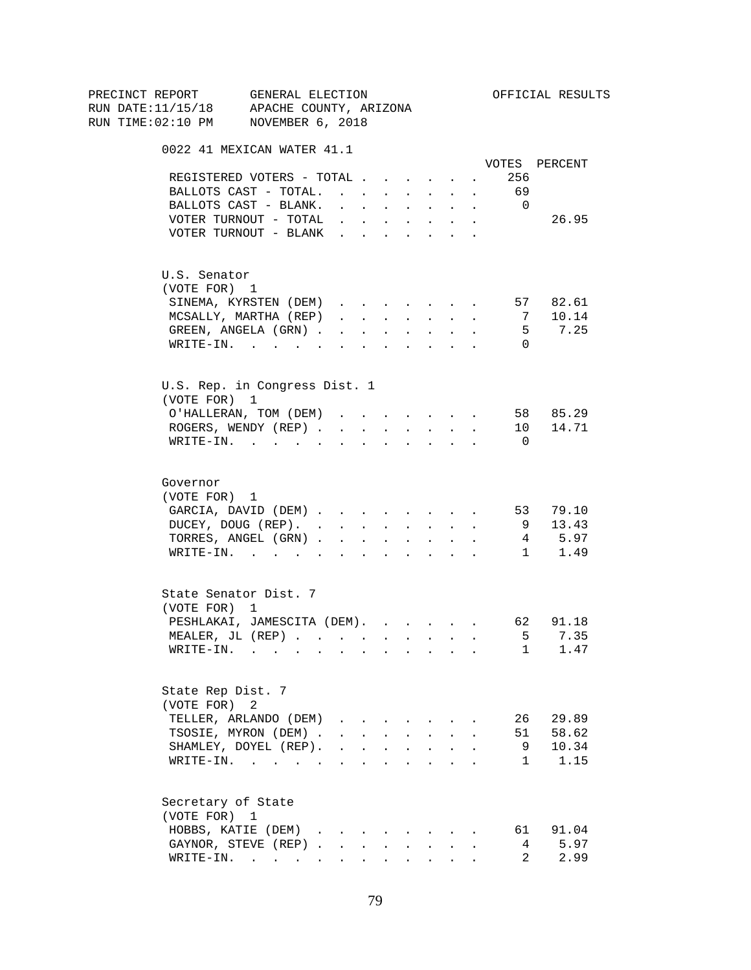| PRECINCT REPORT                          | GENERAL ELECTION                                                                                                |                                                                                                                                                                                                                                |                      |                                                             |                      |                                                                                 |                      |              |                          | OFFICIAL RESULTS     |
|------------------------------------------|-----------------------------------------------------------------------------------------------------------------|--------------------------------------------------------------------------------------------------------------------------------------------------------------------------------------------------------------------------------|----------------------|-------------------------------------------------------------|----------------------|---------------------------------------------------------------------------------|----------------------|--------------|--------------------------|----------------------|
| RUN DATE:11/15/18 APACHE COUNTY, ARIZONA |                                                                                                                 |                                                                                                                                                                                                                                |                      |                                                             |                      |                                                                                 |                      |              |                          |                      |
| RUN TIME:02:10 PM NOVEMBER 6, 2018       |                                                                                                                 |                                                                                                                                                                                                                                |                      |                                                             |                      |                                                                                 |                      |              |                          |                      |
|                                          | 0022 41 MEXICAN WATER 41.1                                                                                      |                                                                                                                                                                                                                                |                      |                                                             |                      |                                                                                 |                      |              |                          |                      |
|                                          |                                                                                                                 |                                                                                                                                                                                                                                |                      |                                                             |                      |                                                                                 |                      |              |                          | VOTES PERCENT        |
|                                          | REGISTERED VOTERS - TOTAL                                                                                       |                                                                                                                                                                                                                                |                      |                                                             |                      |                                                                                 |                      | $\sim$       | 256                      |                      |
|                                          | BALLOTS CAST - TOTAL.                                                                                           |                                                                                                                                                                                                                                |                      |                                                             |                      |                                                                                 |                      |              | 69                       |                      |
|                                          | BALLOTS CAST - BLANK.                                                                                           | $\sim$                                                                                                                                                                                                                         |                      |                                                             |                      | the contract of the contract of the contract of the contract of the contract of |                      |              | $\overline{\phantom{0}}$ |                      |
|                                          | VOTER TURNOUT - TOTAL .                                                                                         |                                                                                                                                                                                                                                |                      | $\mathbf{r}$ and $\mathbf{r}$                               | $\sim$               | $\sim$ $-$                                                                      | $\sim$               |              |                          | 26.95                |
|                                          | VOTER TURNOUT - BLANK                                                                                           |                                                                                                                                                                                                                                |                      |                                                             |                      |                                                                                 | $\sim$               |              |                          |                      |
| U.S. Senator                             |                                                                                                                 |                                                                                                                                                                                                                                |                      |                                                             |                      |                                                                                 |                      |              |                          |                      |
| (VOTE FOR) 1                             |                                                                                                                 |                                                                                                                                                                                                                                |                      |                                                             |                      |                                                                                 |                      |              |                          |                      |
|                                          | SINEMA, KYRSTEN (DEM)                                                                                           |                                                                                                                                                                                                                                |                      |                                                             |                      |                                                                                 |                      | $\sim$       |                          | 57 82.61             |
|                                          | MCSALLY, MARTHA (REP)                                                                                           | and a strong control of the state of the state of the state of the state of the state of the state of the state of the state of the state of the state of the state of the state of the state of the state of the state of the |                      |                                                             |                      |                                                                                 |                      |              | 7                        | 10.14                |
|                                          | GREEN, ANGELA (GRN)                                                                                             |                                                                                                                                                                                                                                |                      |                                                             |                      |                                                                                 |                      |              | 5                        | 7.25                 |
|                                          | WRITE-IN.                                                                                                       | $\sim$                                                                                                                                                                                                                         | $\ddot{\phantom{a}}$ | <b>Contract Contract</b>                                    |                      | $\mathbf{L}^{\text{max}}$ , and $\mathbf{L}^{\text{max}}$                       |                      |              | $\Omega$                 |                      |
|                                          |                                                                                                                 |                                                                                                                                                                                                                                |                      |                                                             |                      |                                                                                 |                      |              |                          |                      |
| (VOTE FOR) 1                             | U.S. Rep. in Congress Dist. 1                                                                                   |                                                                                                                                                                                                                                |                      |                                                             |                      |                                                                                 |                      |              |                          |                      |
|                                          | O'HALLERAN, TOM (DEM)                                                                                           | and a series of the series of the series of                                                                                                                                                                                    |                      |                                                             |                      |                                                                                 |                      |              |                          | 58 85.29             |
|                                          | ROGERS, WENDY (REP)                                                                                             |                                                                                                                                                                                                                                |                      |                                                             |                      | $\mathbf{r}$ , $\mathbf{r}$ , $\mathbf{r}$ , $\mathbf{r}$                       |                      |              |                          | 10 14.71             |
|                                          | WRITE-IN.                                                                                                       |                                                                                                                                                                                                                                |                      |                                                             |                      |                                                                                 |                      |              | - 0                      |                      |
|                                          |                                                                                                                 |                                                                                                                                                                                                                                |                      |                                                             |                      |                                                                                 |                      |              |                          |                      |
| Governor                                 |                                                                                                                 |                                                                                                                                                                                                                                |                      |                                                             |                      |                                                                                 |                      |              |                          |                      |
| (VOTE FOR) 1                             |                                                                                                                 |                                                                                                                                                                                                                                |                      |                                                             |                      |                                                                                 |                      |              |                          |                      |
|                                          | GARCIA, DAVID (DEM) 53 79.10                                                                                    |                                                                                                                                                                                                                                |                      |                                                             |                      |                                                                                 |                      |              |                          |                      |
|                                          | DUCEY, DOUG (REP).                                                                                              |                                                                                                                                                                                                                                |                      |                                                             |                      |                                                                                 |                      |              | 9                        | 13.43                |
|                                          | TORRES, ANGEL (GRN)                                                                                             |                                                                                                                                                                                                                                |                      |                                                             |                      |                                                                                 |                      |              |                          | 4 5.97               |
|                                          | WRITE-IN.                                                                                                       |                                                                                                                                                                                                                                |                      |                                                             |                      |                                                                                 |                      |              |                          | 1 1.49               |
|                                          | State Senator Dist. 7                                                                                           |                                                                                                                                                                                                                                |                      |                                                             |                      |                                                                                 |                      |              |                          |                      |
| (VOTE FOR) 1                             |                                                                                                                 |                                                                                                                                                                                                                                |                      |                                                             |                      |                                                                                 |                      |              |                          |                      |
|                                          | PESHLAKAI, JAMESCITA (DEM).                                                                                     |                                                                                                                                                                                                                                |                      |                                                             |                      |                                                                                 |                      |              |                          | 62 91.18             |
|                                          | MEALER, JL (REP)                                                                                                |                                                                                                                                                                                                                                |                      |                                                             |                      |                                                                                 |                      |              | 5                        | 7.35                 |
| WRITE-IN.                                | the contract of the contract of the contract of the contract of the contract of the contract of the contract of |                                                                                                                                                                                                                                |                      |                                                             |                      |                                                                                 |                      |              |                          | $\mathbf{1}$<br>1.47 |
|                                          |                                                                                                                 |                                                                                                                                                                                                                                |                      |                                                             |                      |                                                                                 |                      |              |                          |                      |
| State Rep Dist. 7                        |                                                                                                                 |                                                                                                                                                                                                                                |                      |                                                             |                      |                                                                                 |                      |              |                          |                      |
| (VOTE FOR) 2                             |                                                                                                                 |                                                                                                                                                                                                                                |                      |                                                             |                      |                                                                                 |                      |              |                          |                      |
|                                          | TELLER, ARLANDO (DEM)                                                                                           | $\mathbf{r}$ , $\mathbf{r}$ , $\mathbf{r}$ , $\mathbf{r}$                                                                                                                                                                      |                      |                                                             | $\sim$               |                                                                                 |                      |              | 26                       | 29.89                |
|                                          | TSOSIE, MYRON (DEM).                                                                                            | $\mathbf{r} = \mathbf{r} + \mathbf{r}$                                                                                                                                                                                         |                      |                                                             | $\mathbf{L}$         | $\sim$                                                                          | $\mathbf{r}$         | $\mathbf{r}$ | 51                       | 58.62                |
|                                          | SHAMLEY, DOYEL (REP).                                                                                           |                                                                                                                                                                                                                                |                      |                                                             |                      |                                                                                 |                      |              | 9                        | 10.34                |
|                                          | WRITE-IN.                                                                                                       |                                                                                                                                                                                                                                |                      |                                                             | $\ddot{\phantom{a}}$ | and the contract of the contract of                                             |                      |              | $\mathbf{1}$             | 1.15                 |
|                                          |                                                                                                                 |                                                                                                                                                                                                                                |                      |                                                             |                      |                                                                                 |                      |              |                          |                      |
| Secretary of State<br>(VOTE FOR) 1       |                                                                                                                 |                                                                                                                                                                                                                                |                      |                                                             |                      |                                                                                 |                      |              |                          |                      |
|                                          | HOBBS, KATIE (DEM)                                                                                              |                                                                                                                                                                                                                                |                      |                                                             |                      |                                                                                 |                      |              | 61                       | 91.04                |
|                                          | GAYNOR, STEVE (REP).                                                                                            | $\sim$                                                                                                                                                                                                                         |                      |                                                             |                      |                                                                                 |                      |              | 4                        | 5.97                 |
|                                          | $\texttt{WRITE-IN.}$                                                                                            |                                                                                                                                                                                                                                |                      | $\bullet$ .<br><br><br><br><br><br><br><br><br><br><br><br> |                      | $\mathbf{z} = \mathbf{z} + \mathbf{z}$ . The $\mathbf{z}$                       | $\ddot{\phantom{0}}$ |              | $\overline{2}$           | 2.99                 |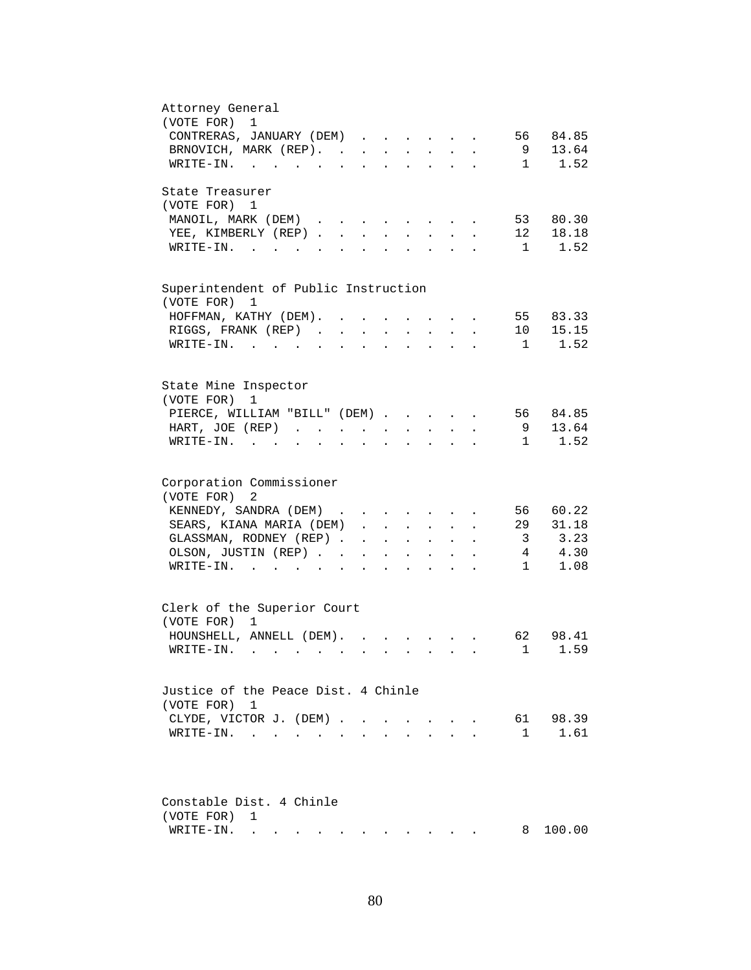| Attorney General<br>(VOTE FOR) 1                                                                                                                                                                                                                          |
|-----------------------------------------------------------------------------------------------------------------------------------------------------------------------------------------------------------------------------------------------------------|
| CONTRERAS, JANUARY (DEM)<br>84.85<br>56                                                                                                                                                                                                                   |
| 9<br>13.64<br>BRNOVICH, MARK (REP).<br>$\mathbf{L}$                                                                                                                                                                                                       |
| 1<br>1.52<br>WRITE-IN.                                                                                                                                                                                                                                    |
| State Treasurer                                                                                                                                                                                                                                           |
| (VOTE FOR) 1                                                                                                                                                                                                                                              |
| 80.30<br>MANOIL, MARK (DEM)<br>53<br>$\mathbf{L} = \mathbf{L} \mathbf{L} + \mathbf{L} \mathbf{L}$                                                                                                                                                         |
| 12<br>YEE, KIMBERLY (REP).<br>18.18<br>$\mathbf{L}$<br>$\ddot{\phantom{a}}$                                                                                                                                                                               |
| 1.52<br>$\mathbf{1}$<br>$W\text{RITE}-\text{IN}$ .                                                                                                                                                                                                        |
| Superintendent of Public Instruction                                                                                                                                                                                                                      |
| (VOTE FOR)<br>1                                                                                                                                                                                                                                           |
| 55 83.33<br>HOFFMAN, KATHY (DEM).                                                                                                                                                                                                                         |
| 15.15<br>RIGGS, FRANK (REP)<br>10<br>$\ddot{\phantom{a}}$<br>$\ddot{\phantom{0}}$<br>$\sim$<br>$\bullet$<br>$\bullet$                                                                                                                                     |
| 1.52<br>WRITE-IN.<br>$1 \quad \blacksquare$<br>$\sim$ $-$<br>$\ddot{\phantom{a}}$<br>$\ddot{\phantom{a}}$                                                                                                                                                 |
|                                                                                                                                                                                                                                                           |
| State Mine Inspector<br>(VOTE FOR)<br>$\mathbf{1}$                                                                                                                                                                                                        |
| 56 84.85<br>PIERCE, WILLIAM "BILL" (DEM)                                                                                                                                                                                                                  |
| 13.64<br>HART, JOE (REP)<br>9<br>$\ddot{\phantom{a}}$                                                                                                                                                                                                     |
| 1.52<br>WRITE-IN.<br>1                                                                                                                                                                                                                                    |
|                                                                                                                                                                                                                                                           |
| Corporation Commissioner                                                                                                                                                                                                                                  |
| (VOTE FOR) 2                                                                                                                                                                                                                                              |
| 60.22<br>KENNEDY, SANDRA (DEM)<br>56<br>$\mathbf{r}$ , $\mathbf{r}$ , $\mathbf{r}$ , $\mathbf{r}$                                                                                                                                                         |
| 29<br>SEARS, KIANA MARIA (DEM)<br>31.18<br>$\mathbf{L} = \mathbf{L}$                                                                                                                                                                                      |
| 3.23<br>GLASSMAN, RODNEY (REP)<br>$\overline{\mathbf{3}}$<br>$\cdot$ $\cdot$                                                                                                                                                                              |
| 4.30<br>OLSON, JUSTIN (REP)<br>$4\overline{ }$<br>$\mathbf{L}^{\text{max}}$<br>$\mathbf{r} = \mathbf{r} + \mathbf{r}$ .<br>$\bullet$ .<br><br><br><br><br><br><br><br><br><br><br><br>                                                                    |
| 1.08<br>WRITE-IN.<br>$\mathbf{1}$<br>$\ddot{\phantom{a}}$<br>$\mathbf{r} = \mathbf{r} + \mathbf{r}$<br>$\ddot{\phantom{0}}$                                                                                                                               |
| Clerk of the Superior Court                                                                                                                                                                                                                               |
| (VOTE FOR) 1                                                                                                                                                                                                                                              |
| HOUNSHELL, ANNELL (DEM).<br>98.41<br>62                                                                                                                                                                                                                   |
| 1 1.59<br>WRITE-IN. .                                                                                                                                                                                                                                     |
|                                                                                                                                                                                                                                                           |
| Justice of the Peace Dist. 4 Chinle                                                                                                                                                                                                                       |
| (VOTE FOR) 1                                                                                                                                                                                                                                              |
| 98.39<br>CLYDE, VICTOR J. (DEM).<br>61                                                                                                                                                                                                                    |
| 1.61<br>$\mathbf{1}$<br>WRITE-IN.                                                                                                                                                                                                                         |
|                                                                                                                                                                                                                                                           |
| Constable Dist. 4 Chinle                                                                                                                                                                                                                                  |
|                                                                                                                                                                                                                                                           |
| (VOTE FOR)<br>1                                                                                                                                                                                                                                           |
| 100.00<br>WRITE-IN.<br>8<br>. The contract contract contract of the contract of the contract of the contract of the contract of the contract of the contract of the contract of the contract of the contract of the contract of the contract of the contr |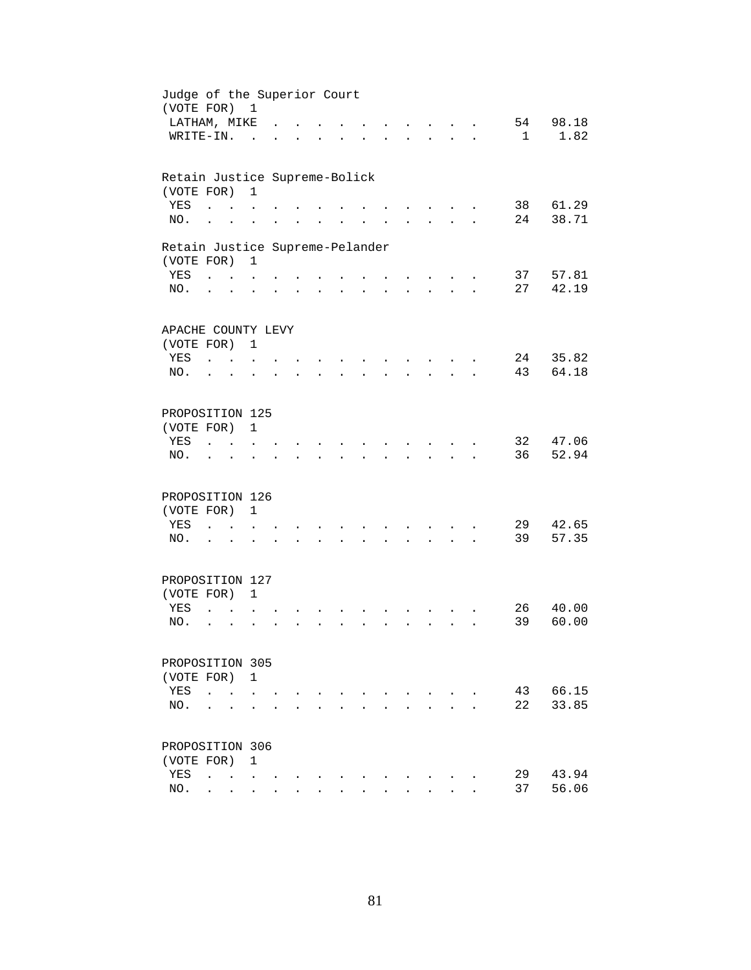| Judge of the Superior Court<br>(VOTE FOR) 1 |                             |                                                           |                      |                      |                      |                      |                      |                      |                      |                                      |                                                           |                      |    |       |
|---------------------------------------------|-----------------------------|-----------------------------------------------------------|----------------------|----------------------|----------------------|----------------------|----------------------|----------------------|----------------------|--------------------------------------|-----------------------------------------------------------|----------------------|----|-------|
| LATHAM, MIKE                                |                             |                                                           |                      |                      |                      |                      |                      |                      |                      |                                      |                                                           |                      | 54 | 98.18 |
| WRITE-IN.                                   |                             |                                                           |                      |                      |                      |                      |                      |                      |                      | $\mathbf{A}$                         | $\sim$                                                    | $\ddot{\phantom{a}}$ | 1  | 1.82  |
|                                             |                             |                                                           |                      |                      |                      |                      |                      |                      |                      |                                      |                                                           |                      |    |       |
| Retain Justice Supreme-Bolick               |                             |                                                           |                      |                      |                      |                      |                      |                      |                      |                                      |                                                           |                      |    |       |
| (VOTE FOR)                                  |                             |                                                           | $\mathbf{1}$         |                      |                      |                      |                      |                      |                      |                                      |                                                           |                      |    |       |
| YES                                         | $\ddot{\phantom{a}}$        |                                                           |                      |                      |                      |                      |                      |                      |                      |                                      |                                                           |                      | 38 | 61.29 |
| NO.                                         | $\ddot{\phantom{a}}$        |                                                           |                      |                      |                      |                      |                      |                      |                      |                                      |                                                           |                      | 24 | 38.71 |
| Retain Justice Supreme-Pelander             |                             |                                                           |                      |                      |                      |                      |                      |                      |                      |                                      |                                                           |                      |    |       |
| (VOTE FOR)                                  |                             |                                                           | 1                    |                      |                      |                      |                      |                      |                      |                                      |                                                           |                      |    |       |
| YES                                         | $\sim$ $\sim$ $\sim$ $\sim$ |                                                           |                      |                      |                      |                      | $\sim$               |                      |                      |                                      |                                                           |                      | 37 | 57.81 |
| NO.                                         | $\ddot{\phantom{0}}$        |                                                           | $\ddot{\phantom{a}}$ |                      | $\bullet$ .          | $\ddot{\phantom{a}}$ | $\ddot{\phantom{0}}$ | $\ddot{\phantom{0}}$ |                      | $\mathbf{L} = \mathbf{L} \mathbf{L}$ | $\ddot{\phantom{a}}$                                      |                      | 27 | 42.19 |
|                                             |                             |                                                           |                      |                      |                      |                      |                      |                      |                      |                                      |                                                           |                      |    |       |
| APACHE COUNTY LEVY                          |                             |                                                           |                      |                      |                      |                      |                      |                      |                      |                                      |                                                           |                      |    |       |
| (VOTE FOR) 1                                |                             |                                                           |                      |                      |                      |                      |                      |                      |                      |                                      |                                                           |                      |    |       |
| YES                                         | $\sim$ $\sim$ $\sim$        |                                                           |                      |                      |                      |                      |                      |                      |                      |                                      |                                                           |                      | 24 | 35.82 |
| NO.                                         |                             |                                                           |                      |                      |                      |                      |                      |                      |                      |                                      |                                                           |                      | 43 | 64.18 |
| PROPOSITION 125                             |                             |                                                           |                      |                      |                      |                      |                      |                      |                      |                                      |                                                           |                      |    |       |
| (VOTE FOR)                                  |                             |                                                           | $\mathbf{1}$         |                      |                      |                      |                      |                      |                      |                                      |                                                           |                      |    |       |
| YES                                         |                             |                                                           |                      |                      |                      |                      |                      |                      |                      |                                      |                                                           |                      | 32 | 47.06 |
| NO.                                         |                             |                                                           |                      |                      |                      |                      |                      |                      |                      |                                      |                                                           |                      | 36 | 52.94 |
|                                             |                             |                                                           |                      |                      |                      |                      |                      |                      |                      |                                      |                                                           |                      |    |       |
| PROPOSITION 126                             |                             |                                                           |                      |                      |                      |                      |                      |                      |                      |                                      |                                                           |                      |    |       |
| (VOTE FOR)                                  |                             |                                                           | $\mathbf{1}$         |                      |                      |                      |                      |                      |                      |                                      |                                                           |                      |    |       |
| YES                                         | $\ddot{\phantom{a}}$        | $\mathbf{r}$ . The set of $\mathbf{r}$                    |                      |                      |                      |                      |                      |                      |                      |                                      |                                                           |                      | 29 | 42.65 |
| NO.                                         | $\ddot{\phantom{0}}$        |                                                           |                      |                      | $\ddot{\phantom{0}}$ | $\ddot{\phantom{a}}$ | $\sim$               | $\ddot{\phantom{0}}$ | $\ddot{\phantom{0}}$ |                                      | $\mathcal{L}^{\text{max}}$ and $\mathcal{L}^{\text{max}}$ |                      | 39 | 57.35 |
|                                             |                             |                                                           |                      |                      |                      |                      |                      |                      |                      |                                      |                                                           |                      |    |       |
| PROPOSITION 127                             |                             |                                                           |                      |                      |                      |                      |                      |                      |                      |                                      |                                                           |                      |    |       |
| (VOTE FOR) 1                                |                             |                                                           |                      |                      |                      |                      |                      |                      |                      |                                      |                                                           |                      |    |       |
| YES                                         | $\ddot{\phantom{a}}$        |                                                           |                      |                      |                      |                      |                      |                      |                      |                                      |                                                           |                      | 26 | 40.00 |
| NO.                                         | $\ddot{\phantom{0}}$        | $\ddot{\phantom{a}}$                                      |                      |                      |                      |                      |                      |                      |                      |                                      |                                                           |                      | 39 | 60.00 |
|                                             |                             |                                                           |                      |                      |                      |                      |                      |                      |                      |                                      |                                                           |                      |    |       |
| PROPOSITION 305                             |                             |                                                           |                      |                      |                      |                      |                      |                      |                      |                                      |                                                           |                      |    |       |
| (VOTE FOR) 1                                |                             |                                                           |                      |                      |                      |                      |                      |                      |                      |                                      |                                                           |                      |    |       |
| YES                                         | $\ddot{\phantom{0}}$        |                                                           |                      |                      |                      |                      |                      |                      |                      |                                      |                                                           |                      | 43 | 66.15 |
| NO.                                         |                             |                                                           |                      |                      |                      |                      |                      |                      |                      |                                      |                                                           |                      | 22 | 33.85 |
| PROPOSITION 306                             |                             |                                                           |                      |                      |                      |                      |                      |                      |                      |                                      |                                                           |                      |    |       |
| (VOTE FOR)                                  |                             |                                                           | 1                    |                      |                      |                      |                      |                      |                      |                                      |                                                           |                      |    |       |
| YES                                         | $\ddot{\phantom{a}}$        | $\mathbf{r}$ , $\mathbf{r}$ , $\mathbf{r}$ , $\mathbf{r}$ |                      |                      |                      |                      |                      |                      |                      |                                      |                                                           |                      | 29 | 43.94 |
| NO.                                         |                             | $\mathbf{r} = \mathbf{r} + \mathbf{r}$                    |                      |                      |                      |                      |                      |                      |                      |                                      |                                                           |                      | 37 | 56.06 |
|                                             |                             |                                                           |                      | $\ddot{\phantom{a}}$ |                      |                      |                      |                      |                      |                                      |                                                           |                      |    |       |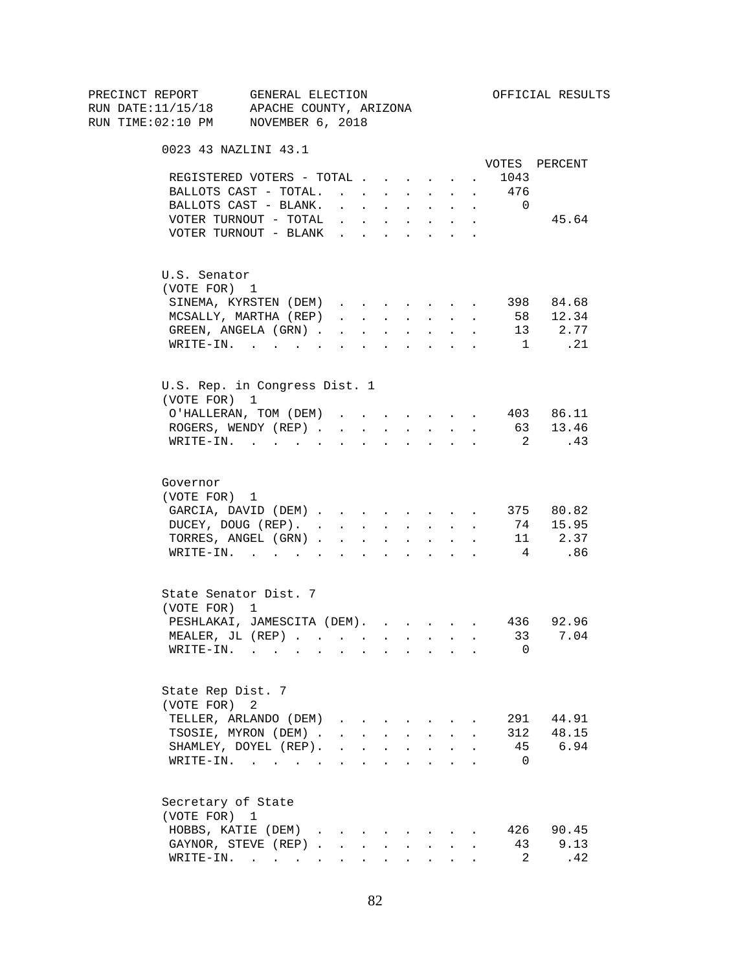| PRECINCT REPORT                          | GENERAL ELECTION                      |                                             |                        |        |                                                                               |                           |                      |                          | OFFICIAL RESULTS |
|------------------------------------------|---------------------------------------|---------------------------------------------|------------------------|--------|-------------------------------------------------------------------------------|---------------------------|----------------------|--------------------------|------------------|
| RUN DATE:11/15/18 APACHE COUNTY, ARIZONA |                                       |                                             |                        |        |                                                                               |                           |                      |                          |                  |
| RUN TIME:02:10 PM NOVEMBER 6, 2018       |                                       |                                             |                        |        |                                                                               |                           |                      |                          |                  |
|                                          | 0023 43 NAZLINI 43.1                  |                                             |                        |        |                                                                               |                           |                      |                          |                  |
|                                          |                                       |                                             |                        |        |                                                                               |                           |                      |                          | VOTES PERCENT    |
|                                          | REGISTERED VOTERS - TOTAL             |                                             |                        |        |                                                                               |                           | $\sim 100$           | 1043                     |                  |
|                                          | BALLOTS CAST - TOTAL.                 |                                             |                        |        |                                                                               |                           |                      | 476                      |                  |
|                                          | BALLOTS CAST - BLANK.                 | $\mathbf{r} = \mathbf{r} \times \mathbf{r}$ |                        |        | <b>All Cards</b>                                                              | $\ddot{\phantom{0}}$      | $\sim$               | $\overline{0}$           |                  |
|                                          | VOTER TURNOUT - TOTAL                 |                                             |                        |        | $\mathbf{r}$ , $\mathbf{r}$ , $\mathbf{r}$ , $\mathbf{r}$ , $\mathbf{r}$      |                           |                      |                          | 45.64            |
|                                          | VOTER TURNOUT - BLANK                 |                                             |                        |        |                                                                               |                           |                      |                          |                  |
| U.S. Senator                             |                                       |                                             |                        |        |                                                                               |                           |                      |                          |                  |
| (VOTE FOR) 1                             |                                       |                                             |                        |        |                                                                               |                           |                      |                          |                  |
|                                          | SINEMA, KYRSTEN (DEM)                 |                                             |                        |        |                                                                               |                           |                      |                          | 398 84.68        |
|                                          | MCSALLY, MARTHA (REP)                 | $\mathbf{r}$ , $\mathbf{r}$ , $\mathbf{r}$  |                        |        | <b>All Carried Control</b>                                                    |                           | $\ddot{\phantom{a}}$ |                          | 58 12.34         |
|                                          | GREEN, ANGELA (GRN).                  |                                             | <b>Carl Carl Corp.</b> |        | $\Delta \phi = \Delta \phi$ and $\Delta \phi$                                 | $\sim$                    |                      |                          | 13 2.77          |
|                                          | WRITE-IN.                             |                                             |                        |        |                                                                               |                           |                      | $\overline{1}$           | .21              |
|                                          | U.S. Rep. in Congress Dist. 1         |                                             |                        |        |                                                                               |                           |                      |                          |                  |
| (VOTE FOR) 1                             |                                       |                                             |                        |        |                                                                               |                           |                      |                          |                  |
|                                          | O'HALLERAN, TOM (DEM) 403 86.11       |                                             |                        |        |                                                                               |                           |                      |                          |                  |
|                                          | ROGERS, WENDY (REP)                   |                                             |                        |        | <b>All All Andrew</b>                                                         |                           |                      |                          | 63 13.46         |
|                                          | $\texttt{WRTTE-IN.}$                  |                                             | $\sim$ $\sim$          |        |                                                                               | $\mathbf{r} = \mathbf{r}$ |                      | $\overline{\mathbf{2}}$  | .43              |
|                                          |                                       |                                             |                        |        |                                                                               |                           |                      |                          |                  |
| Governor                                 |                                       |                                             |                        |        |                                                                               |                           |                      |                          |                  |
| (VOTE FOR) 1                             |                                       |                                             |                        |        |                                                                               |                           |                      |                          |                  |
|                                          | GARCIA, DAVID (DEM)                   |                                             |                        |        |                                                                               |                           |                      |                          | 375 80.82        |
|                                          | DUCEY, DOUG (REP).                    |                                             |                        |        |                                                                               |                           |                      |                          | 74 15.95         |
|                                          | TORRES, ANGEL (GRN)                   |                                             |                        |        |                                                                               |                           |                      |                          | 11 2.37          |
|                                          | WRITE-IN.                             |                                             |                        |        |                                                                               |                           |                      | $\overline{4}$           | .86              |
|                                          | State Senator Dist. 7                 |                                             |                        |        |                                                                               |                           |                      |                          |                  |
| (VOTE FOR) 1                             |                                       |                                             |                        |        |                                                                               |                           |                      |                          |                  |
|                                          | PESHLAKAI, JAMESCITA (DEM). 436 92.96 |                                             |                        |        |                                                                               |                           |                      |                          |                  |
|                                          | MEALER, JL (REP) 33 7.04              |                                             |                        |        |                                                                               |                           |                      |                          |                  |
|                                          | WRITE-IN.                             |                                             |                        |        |                                                                               |                           |                      | 0                        |                  |
| State Rep Dist. 7                        |                                       |                                             |                        |        |                                                                               |                           |                      |                          |                  |
| (VOTE FOR)                               | 2                                     |                                             |                        |        |                                                                               |                           |                      |                          |                  |
|                                          | TELLER, ARLANDO (DEM)                 |                                             |                        |        |                                                                               |                           |                      |                          | 291 44.91        |
|                                          | TSOSIE, MYRON (DEM).                  |                                             |                        |        | $\mathbf{r} = \mathbf{r} + \mathbf{r} + \mathbf{r} + \mathbf{r} + \mathbf{r}$ |                           |                      | 312                      | 48.15            |
|                                          | SHAMLEY, DOYEL (REP).                 |                                             |                        |        | $\mathbf{r}$ , $\mathbf{r}$ , $\mathbf{r}$ , $\mathbf{r}$                     | $\ddot{\phantom{a}}$      |                      |                          | 45 6.94          |
|                                          | WRITE-IN.                             |                                             |                        |        |                                                                               |                           |                      | $\overline{\phantom{0}}$ |                  |
| Secretary of State                       |                                       |                                             |                        |        |                                                                               |                           |                      |                          |                  |
| (VOTE FOR) 1                             |                                       |                                             |                        |        |                                                                               |                           |                      |                          |                  |
|                                          | HOBBS, KATIE (DEM)                    |                                             |                        |        |                                                                               |                           |                      |                          | 426 90.45        |
|                                          | GAYNOR, STEVE (REP)                   |                                             | $\mathbf{L}$           | $\sim$ | $\sim$                                                                        |                           |                      | 43                       | 9.13             |
|                                          | $\texttt{WRTTE-IN.}$                  |                                             |                        |        |                                                                               |                           |                      | $\overline{2}$           | .42              |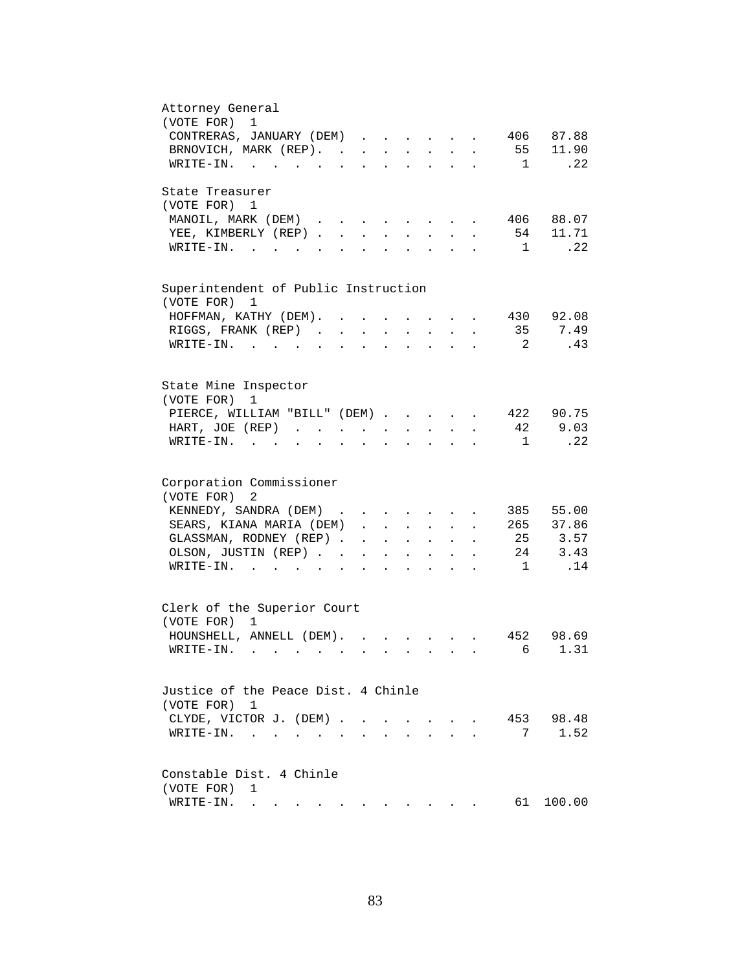| Attorney General<br>1                                                                                                                                                                                                         |
|-------------------------------------------------------------------------------------------------------------------------------------------------------------------------------------------------------------------------------|
| (VOTE FOR)<br>406 87.88                                                                                                                                                                                                       |
| CONTRERAS, JANUARY (DEM)                                                                                                                                                                                                      |
| BRNOVICH, MARK (REP).<br>55 11.90                                                                                                                                                                                             |
| .22<br>WRITE-IN.<br>$\sim$ 1                                                                                                                                                                                                  |
| State Treasurer                                                                                                                                                                                                               |
| (VOTE FOR) 1                                                                                                                                                                                                                  |
| MANOIL, MARK (DEM)<br>406 88.07<br>$\sim$<br>and the contract of the contract of<br>$\ddot{\phantom{a}}$                                                                                                                      |
| 54 11.71<br>YEE, KIMBERLY (REP)<br>$\sim$<br>$\sim$<br>$\sim$                                                                                                                                                                 |
| .22<br>$W\text{RITE}-\text{IN}.$<br>$\mathbf{1}$<br>$\mathbf{L}$<br>$\mathbf{L}$                                                                                                                                              |
|                                                                                                                                                                                                                               |
| Superintendent of Public Instruction<br>(VOTE FOR) 1                                                                                                                                                                          |
| 430 92.08                                                                                                                                                                                                                     |
| HOFFMAN, KATHY (DEM). .                                                                                                                                                                                                       |
| 35<br>7.49<br>RIGGS, FRANK (REP).<br>$\ddot{\phantom{a}}$                                                                                                                                                                     |
| WRITE-IN.<br>$\overline{2}$<br>.43                                                                                                                                                                                            |
|                                                                                                                                                                                                                               |
| State Mine Inspector<br>(VOTE FOR)<br>1                                                                                                                                                                                       |
| 422 90.75<br>PIERCE, WILLIAM "BILL" (DEM)                                                                                                                                                                                     |
| 9.03<br>42<br>HART, JOE (REP)<br><b>Allen Adams</b><br>$\sim$ $-$<br>$\mathbf{z} = \mathbf{z} + \mathbf{z}$ .<br>$\sim$ 100 $\pm$<br>$\ddot{\phantom{a}}$                                                                     |
| .22<br>$WRITE-IN.$<br>$\overline{1}$<br>$\mathbf{r}$ , $\mathbf{r}$ , $\mathbf{r}$ , $\mathbf{r}$<br>$\sim$<br>$\ddot{\phantom{a}}$<br>$\bullet$<br>$\ddot{\phantom{a}}$<br>$\mathbf{L}$                                      |
|                                                                                                                                                                                                                               |
| Corporation Commissioner                                                                                                                                                                                                      |
| (VOTE FOR)<br>2                                                                                                                                                                                                               |
| KENNEDY, SANDRA (DEM)<br>385 55.00                                                                                                                                                                                            |
| SEARS, KIANA MARIA (DEM)<br>265 37.86<br>$\cdot$ $\cdot$                                                                                                                                                                      |
| 25 3.57<br>GLASSMAN, RODNEY (REP).                                                                                                                                                                                            |
| $\sim$ $-$<br>$\mathbf{z} = \mathbf{z} + \mathbf{z}$ , where $\mathbf{z} = \mathbf{z}$<br>$\mathbf{L}^{\text{max}}$ and $\mathbf{L}^{\text{max}}$                                                                             |
| 24 3.43<br>OLSON, JUSTIN (REP). .<br>$\mathbf{r} = \mathbf{r} + \mathbf{r}$ .<br>$\sim$<br>$\mathbf{L}^{\text{max}}$<br>$\bullet$<br>$\ddot{\phantom{0}}$                                                                     |
| .14<br>$\overline{1}$<br>$\texttt{WRTTE-IN.}$<br>$\mathbf{L}^{\text{max}}$ and $\mathbf{L}^{\text{max}}$<br>$\ddot{\phantom{a}}$                                                                                              |
| Clerk of the Superior Court                                                                                                                                                                                                   |
| (VOTE FOR) 1                                                                                                                                                                                                                  |
|                                                                                                                                                                                                                               |
| HOUNSHELL, ANNELL (DEM).<br>452 98.69                                                                                                                                                                                         |
| 6 1.31<br>WRITE-IN.                                                                                                                                                                                                           |
| Justice of the Peace Dist. 4 Chinle                                                                                                                                                                                           |
|                                                                                                                                                                                                                               |
| (VOTE FOR) 1                                                                                                                                                                                                                  |
| 453 98.48<br>CLYDE, VICTOR J. (DEM).<br>$\sim$<br>$\sim$<br>$\sim$<br>$\ddot{\phantom{0}}$                                                                                                                                    |
| 1.52<br>7<br>WRITE-IN.<br>$\ddot{\phantom{a}}$                                                                                                                                                                                |
| Constable Dist. 4 Chinle                                                                                                                                                                                                      |
| (VOTE FOR)<br>1                                                                                                                                                                                                               |
| 61<br>100.00<br>WRITE-IN.                                                                                                                                                                                                     |
| . The simple structure is a structure of the structure of the structure of the structure of the structure of the structure of the structure of the structure of the structure of the structure of the structure of the struct |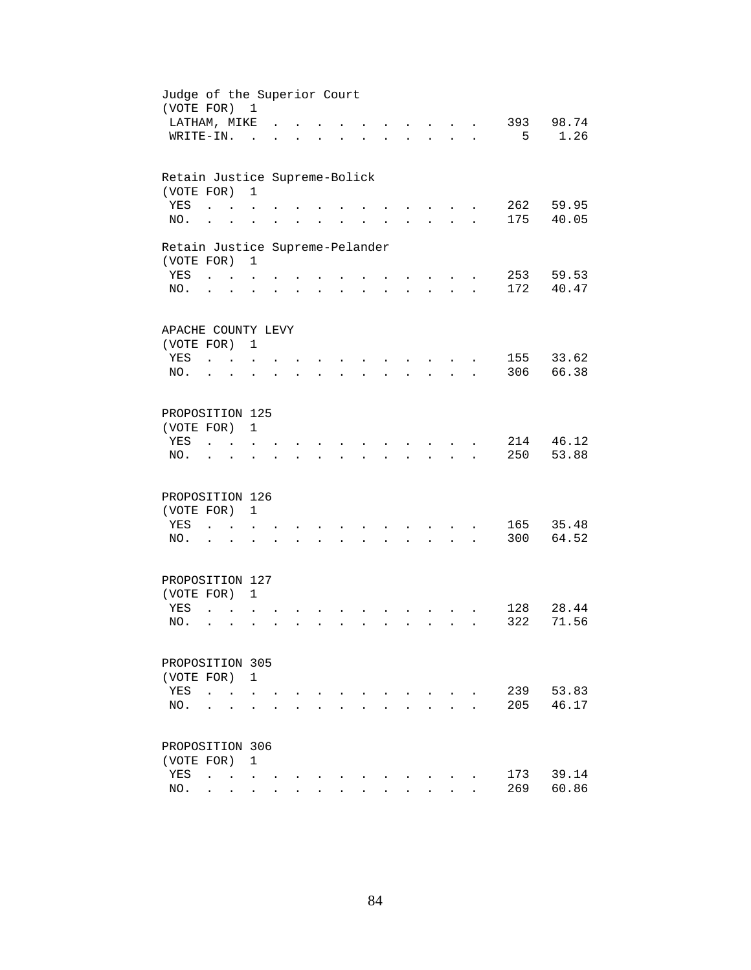| Judge of the Superior Court<br>(VOTE FOR) 1 |                                 |                                      |                      |  |                      |                      |                      |                      |                      |                                      |                      |     |           |
|---------------------------------------------|---------------------------------|--------------------------------------|----------------------|--|----------------------|----------------------|----------------------|----------------------|----------------------|--------------------------------------|----------------------|-----|-----------|
| LATHAM, MIKE                                |                                 |                                      |                      |  |                      |                      |                      |                      |                      |                                      |                      |     | 393 98.74 |
| WRITE-IN.                                   |                                 |                                      | $\sim$               |  |                      |                      |                      |                      |                      |                                      |                      | 5   | 1.26      |
| Retain Justice Supreme-Bolick               |                                 |                                      |                      |  |                      |                      |                      |                      |                      |                                      |                      |     |           |
| (VOTE FOR)                                  |                                 |                                      | $\mathbf{1}$         |  |                      |                      |                      |                      |                      |                                      |                      |     |           |
| YES                                         | $\ddot{\phantom{a}}$            |                                      |                      |  |                      |                      |                      |                      |                      |                                      |                      | 262 | 59.95     |
| NO.                                         | $\ddot{\phantom{a}}$            |                                      |                      |  |                      |                      |                      |                      |                      |                                      |                      | 175 | 40.05     |
| Retain Justice Supreme-Pelander             |                                 |                                      |                      |  |                      |                      |                      |                      |                      |                                      |                      |     |           |
| (VOTE FOR)                                  |                                 |                                      | 1                    |  |                      |                      |                      |                      |                      |                                      |                      |     |           |
| YES                                         |                                 | $\mathbf{L} = \mathbf{L} \mathbf{L}$ |                      |  |                      |                      |                      |                      |                      |                                      |                      | 253 | 59.53     |
| NO.                                         | $\cdot$ $\cdot$                 |                                      | $\ddot{\phantom{a}}$ |  | $\ddot{\phantom{a}}$ |                      | $\ddot{\phantom{a}}$ | $\ddot{\phantom{a}}$ |                      | $\mathbf{L}$ and $\mathbf{L}$        | $\ddot{\phantom{a}}$ | 172 | 40.47     |
|                                             |                                 |                                      |                      |  |                      |                      |                      |                      |                      |                                      |                      |     |           |
| APACHE COUNTY LEVY                          |                                 |                                      |                      |  |                      |                      |                      |                      |                      |                                      |                      |     |           |
| (VOTE FOR) 1<br>YES                         |                                 |                                      |                      |  |                      |                      |                      |                      |                      |                                      |                      |     | 155 33.62 |
| NO.                                         | $\mathcal{L}$ and $\mathcal{L}$ |                                      |                      |  |                      |                      |                      |                      |                      | $\sim$<br>$\mathcal{L}^{\text{max}}$ |                      | 306 | 66.38     |
|                                             |                                 |                                      |                      |  |                      |                      |                      |                      |                      |                                      |                      |     |           |
| PROPOSITION 125                             |                                 |                                      |                      |  |                      |                      |                      |                      |                      |                                      |                      |     |           |
| (VOTE FOR)                                  |                                 |                                      | $\mathbf{1}$         |  |                      |                      |                      |                      |                      |                                      |                      |     |           |
| YES                                         |                                 | $\mathbf{r}$                         |                      |  |                      |                      |                      |                      |                      |                                      |                      | 214 | 46.12     |
| NO.                                         |                                 |                                      |                      |  |                      |                      |                      |                      |                      |                                      |                      | 250 | 53.88     |
|                                             |                                 |                                      |                      |  |                      |                      |                      |                      |                      |                                      |                      |     |           |
| PROPOSITION 126                             |                                 |                                      |                      |  |                      |                      |                      |                      |                      |                                      |                      |     |           |
| (VOTE FOR)                                  |                                 |                                      | $\mathbf{1}$         |  |                      |                      |                      |                      |                      |                                      |                      |     |           |
| YES                                         | $\ddot{\phantom{a}}$            | $\sim$ $\sim$                        |                      |  |                      |                      |                      |                      |                      |                                      |                      | 165 | 35.48     |
| NO.                                         | $\cdot$ $\cdot$                 |                                      | $\ddot{\phantom{a}}$ |  | $\ddot{\phantom{0}}$ |                      |                      |                      |                      | $\mathbf{L}$ and $\mathbf{L}$        | $\ddot{\phantom{a}}$ | 300 | 64.52     |
| PROPOSITION 127                             |                                 |                                      |                      |  |                      |                      |                      |                      |                      |                                      |                      |     |           |
| (VOTE FOR) 1                                |                                 |                                      |                      |  |                      |                      |                      |                      |                      |                                      |                      |     |           |
| YES                                         | $\overline{a}$                  |                                      |                      |  |                      |                      |                      |                      |                      |                                      |                      | 128 | 28.44     |
| NO.                                         | $\ddot{\phantom{a}}$            | $\ddot{\phantom{a}}$                 |                      |  |                      | $\ddot{\phantom{a}}$ | ÷.                   | $\mathbf{r}$         | $\ddot{\phantom{a}}$ | $\sim$ $\sim$                        |                      | 322 | 71.56     |
|                                             |                                 |                                      |                      |  |                      |                      |                      |                      |                      |                                      |                      |     |           |
| PROPOSITION 305                             |                                 |                                      |                      |  |                      |                      |                      |                      |                      |                                      |                      |     |           |
| (VOTE FOR)                                  |                                 |                                      | 1                    |  |                      |                      |                      |                      |                      |                                      |                      |     |           |
| YES                                         | $\ddot{\phantom{a}}$            | $\ddot{\phantom{a}}$                 |                      |  |                      |                      |                      |                      |                      |                                      |                      | 239 | 53.83     |
| NO.                                         |                                 |                                      |                      |  |                      |                      |                      |                      |                      |                                      |                      | 205 | 46.17     |
| PROPOSITION 306                             |                                 |                                      |                      |  |                      |                      |                      |                      |                      |                                      |                      |     |           |
| (VOTE FOR)                                  |                                 |                                      | $\mathbf{1}$         |  |                      |                      |                      |                      |                      |                                      |                      |     |           |
| YES                                         | $\ddot{\phantom{a}}$            | <b>Contract Contract Contract</b>    |                      |  |                      |                      |                      |                      |                      |                                      |                      | 173 | 39.14     |
| NO.                                         | $\ddot{\phantom{0}}$            | $\ddot{\phantom{0}}$                 | $\ddot{\phantom{0}}$ |  |                      |                      |                      |                      |                      |                                      |                      | 269 | 60.86     |
|                                             |                                 |                                      |                      |  |                      |                      |                      |                      |                      |                                      |                      |     |           |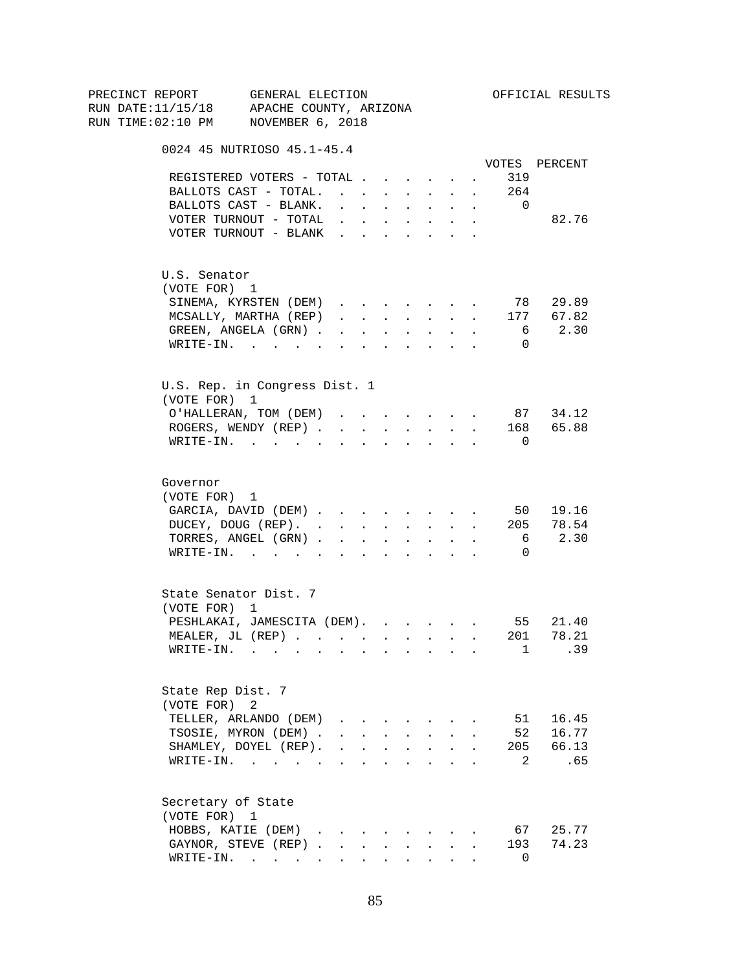| PRECINCT REPORT                          | GENERAL ELECTION                                        |                                                                                                                                                                                                                                |                      |        |                                                           |                      |                      |                | OFFICIAL RESULTS |
|------------------------------------------|---------------------------------------------------------|--------------------------------------------------------------------------------------------------------------------------------------------------------------------------------------------------------------------------------|----------------------|--------|-----------------------------------------------------------|----------------------|----------------------|----------------|------------------|
| RUN DATE:11/15/18 APACHE COUNTY, ARIZONA |                                                         |                                                                                                                                                                                                                                |                      |        |                                                           |                      |                      |                |                  |
| RUN TIME:02:10 PM NOVEMBER 6, 2018       |                                                         |                                                                                                                                                                                                                                |                      |        |                                                           |                      |                      |                |                  |
|                                          | 0024 45 NUTRIOSO 45.1-45.4                              |                                                                                                                                                                                                                                |                      |        |                                                           |                      |                      |                |                  |
|                                          |                                                         |                                                                                                                                                                                                                                |                      |        |                                                           |                      |                      |                | VOTES PERCENT    |
|                                          | REGISTERED VOTERS - TOTAL                               |                                                                                                                                                                                                                                |                      |        |                                                           |                      | $\sim$               | 319            |                  |
|                                          | BALLOTS CAST - TOTAL.                                   |                                                                                                                                                                                                                                |                      |        | $\mathbf{r}$ , $\mathbf{r}$ , $\mathbf{r}$                |                      | $\sim$               | 264            |                  |
|                                          | BALLOTS CAST - BLANK.                                   | $\mathbf{L}$ and $\mathbf{L}$                                                                                                                                                                                                  | $\sim$               |        | <b>All Cards</b>                                          | $\sim$               | $\sim$               | $\overline{0}$ |                  |
|                                          | VOTER TURNOUT - TOTAL                                   | $\mathbf{r}$ , $\mathbf{r}$ , $\mathbf{r}$ , $\mathbf{r}$ , $\mathbf{r}$                                                                                                                                                       |                      |        |                                                           |                      | $\sim$               |                | 82.76            |
|                                          | VOTER TURNOUT - BLANK                                   |                                                                                                                                                                                                                                |                      |        |                                                           |                      |                      |                |                  |
| U.S. Senator                             |                                                         |                                                                                                                                                                                                                                |                      |        |                                                           |                      |                      |                |                  |
| (VOTE FOR) 1                             |                                                         |                                                                                                                                                                                                                                |                      |        |                                                           |                      |                      |                |                  |
|                                          | SINEMA, KYRSTEN (DEM)                                   |                                                                                                                                                                                                                                |                      |        |                                                           |                      |                      |                | 78 29.89         |
|                                          | MCSALLY, MARTHA (REP)                                   | $\mathbf{r}$ and $\mathbf{r}$ and $\mathbf{r}$                                                                                                                                                                                 |                      |        | <b>All Carried Control</b>                                |                      | $\sim$               |                | 177 67.82        |
|                                          | GREEN, ANGELA (GRN).                                    |                                                                                                                                                                                                                                | <b>Service</b> State | $\sim$ | $\sim 10^{-11}$                                           | $\ddot{\phantom{0}}$ | $\ddot{\phantom{a}}$ | 6              | 2.30             |
|                                          | WRITE-IN.                                               |                                                                                                                                                                                                                                |                      |        |                                                           |                      | $\sim$               | $\Omega$       |                  |
|                                          | U.S. Rep. in Congress Dist. 1                           |                                                                                                                                                                                                                                |                      |        |                                                           |                      |                      |                |                  |
| (VOTE FOR) 1                             |                                                         |                                                                                                                                                                                                                                |                      |        |                                                           |                      |                      |                |                  |
|                                          | O'HALLERAN, TOM (DEM)                                   | and a strong control of the state of the state of the state of the state of the state of the state of the state of the state of the state of the state of the state of the state of the state of the state of the state of the |                      |        |                                                           |                      |                      |                | 87 34.12         |
|                                          | ROGERS, WENDY (REP)                                     |                                                                                                                                                                                                                                |                      |        | $\cdot$ $\cdot$ $\cdot$ $\cdot$ $\cdot$                   |                      |                      |                | 168 65.88        |
|                                          | $\texttt{WRTTE-IN.}$                                    |                                                                                                                                                                                                                                |                      |        |                                                           |                      |                      | $\Omega$       |                  |
| Governor<br>(VOTE FOR) 1                 |                                                         |                                                                                                                                                                                                                                |                      |        |                                                           |                      |                      |                |                  |
|                                          | GARCIA, DAVID (DEM)                                     |                                                                                                                                                                                                                                |                      |        |                                                           |                      |                      |                | 50 19.16         |
|                                          | DUCEY, DOUG (REP).                                      |                                                                                                                                                                                                                                |                      |        |                                                           |                      |                      |                | 205 78.54        |
|                                          | TORRES, ANGEL (GRN)                                     |                                                                                                                                                                                                                                |                      |        | $\mathbf{r}$ , $\mathbf{r}$ , $\mathbf{r}$ , $\mathbf{r}$ |                      | $\ddot{\phantom{0}}$ | 6              | 2.30             |
|                                          | WRITE-IN.                                               |                                                                                                                                                                                                                                |                      |        |                                                           |                      |                      | 0              |                  |
|                                          | State Senator Dist. 7                                   |                                                                                                                                                                                                                                |                      |        |                                                           |                      |                      |                |                  |
| (VOTE FOR) 1                             |                                                         |                                                                                                                                                                                                                                |                      |        |                                                           |                      |                      |                |                  |
|                                          | PESHLAKAI, JAMESCITA (DEM).                             |                                                                                                                                                                                                                                |                      |        |                                                           |                      |                      |                | 55 21.40         |
|                                          | MEALER, JL (REP)                                        |                                                                                                                                                                                                                                |                      |        |                                                           |                      |                      |                | 201 78.21        |
|                                          | $\texttt{WRITE-IN.}\quad .\quad .\quad .\quad .\quad .$ |                                                                                                                                                                                                                                |                      |        |                                                           |                      |                      | $\mathbf{1}$   | .39              |
| State Rep Dist. 7                        |                                                         |                                                                                                                                                                                                                                |                      |        |                                                           |                      |                      |                |                  |
| (VOTE FOR)                               | 2                                                       |                                                                                                                                                                                                                                |                      |        |                                                           |                      |                      |                |                  |
|                                          | TELLER, ARLANDO (DEM)                                   |                                                                                                                                                                                                                                |                      |        |                                                           |                      |                      | 51             | 16.45            |
|                                          | TSOSIE, MYRON (DEM).                                    | $\mathbf{r} = \mathbf{r} + \mathbf{r} + \mathbf{r} + \mathbf{r} + \mathbf{r}$                                                                                                                                                  |                      |        |                                                           |                      |                      | 52             | 16.77            |
|                                          | SHAMLEY, DOYEL (REP).                                   | $\mathbf{r}$ , $\mathbf{r}$ , $\mathbf{r}$ , $\mathbf{r}$ , $\mathbf{r}$                                                                                                                                                       |                      |        |                                                           | $\ddot{\phantom{0}}$ |                      | 205            | 66.13            |
|                                          | WRITE-IN.                                               |                                                                                                                                                                                                                                |                      |        |                                                           |                      |                      | 2              | .65              |
|                                          | Secretary of State                                      |                                                                                                                                                                                                                                |                      |        |                                                           |                      |                      |                |                  |
| (VOTE FOR) 1                             |                                                         |                                                                                                                                                                                                                                |                      |        |                                                           |                      |                      |                |                  |
|                                          | HOBBS, KATIE (DEM)                                      |                                                                                                                                                                                                                                |                      |        |                                                           |                      |                      | 67             | 25.77            |
|                                          | GAYNOR, STEVE (REP)                                     |                                                                                                                                                                                                                                |                      |        |                                                           | $\mathbf{L}$         |                      | 193            | 74.23            |
|                                          | $\texttt{WRTTE-IN.}$                                    |                                                                                                                                                                                                                                |                      |        |                                                           |                      |                      | $\Omega$       |                  |

85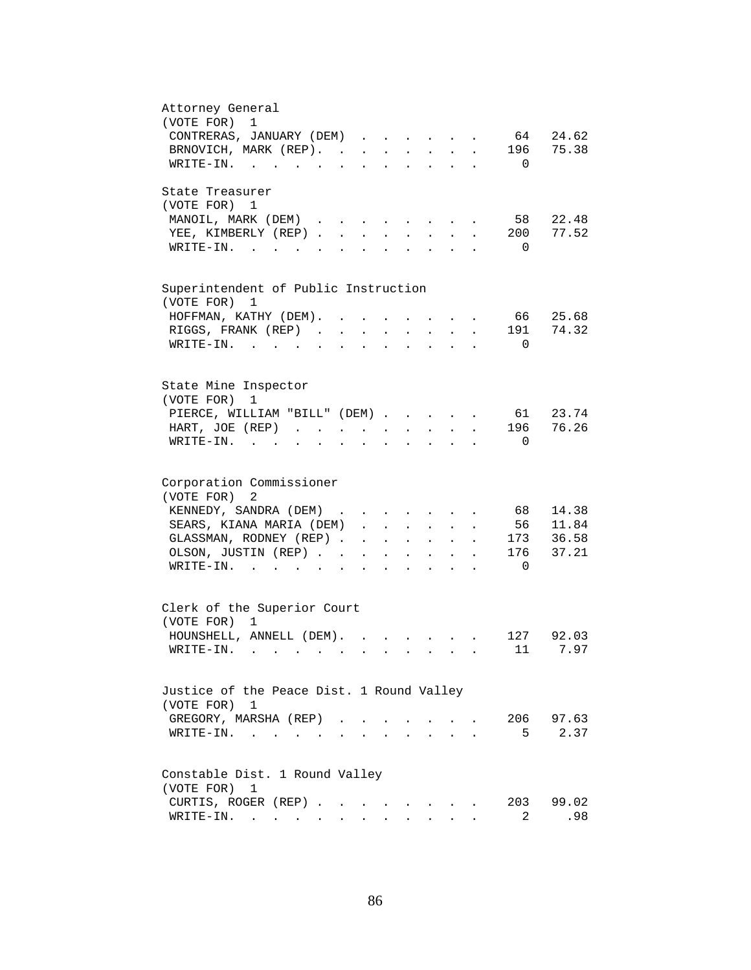| Attorney General<br>(VOTE FOR)<br>$\mathbf 1$<br>CONTRERAS, JANUARY (DEM)<br>64 24.62                                                                                                                                       |
|-----------------------------------------------------------------------------------------------------------------------------------------------------------------------------------------------------------------------------|
| BRNOVICH, MARK (REP).<br>196 75.38<br>$\texttt{WRTTE-IN.}$<br>$\Omega$<br>$\ddot{\phantom{0}}$<br>$\begin{array}{cccccccccccccc} \bullet & \bullet & \bullet & \bullet & \bullet & \bullet & \bullet & \bullet \end{array}$ |
| State Treasurer<br>(VOTE FOR) 1                                                                                                                                                                                             |
| 58<br>22.48<br>MANOIL, MARK (DEM)<br>77.52<br>YEE, KIMBERLY (REP).<br>200<br>$\mathbf{L}$<br>$\sim$<br>$\mathbf{r}$<br>$W\text{RITE}-\text{IN}$ , , , ,<br>$\Omega$                                                         |
|                                                                                                                                                                                                                             |
| Superintendent of Public Instruction<br>(VOTE FOR) 1                                                                                                                                                                        |
| 66<br>25.68<br>HOFFMAN, KATHY (DEM). .                                                                                                                                                                                      |
| 74.32<br>RIGGS, FRANK (REP)<br>191                                                                                                                                                                                          |
| WRITE-IN.<br>$\Omega$                                                                                                                                                                                                       |
| State Mine Inspector<br>(VOTE FOR)<br>1                                                                                                                                                                                     |
| PIERCE, WILLIAM "BILL" (DEM)<br>61 23.74                                                                                                                                                                                    |
| 196 76.26<br>HART, JOE (REP)<br>$\mathbf{r} = \mathbf{r} + \mathbf{r}$ .<br>$\mathbf{z} = \mathbf{z} + \mathbf{z}$ .<br>$\sim 10^{-11}$<br>$\ddot{\phantom{a}}$                                                             |
| $WRITE-IN.$<br>$\Omega$<br>$\sim$ $\sim$ $\sim$ $\sim$ $\sim$<br>$\mathbf{z} = \mathbf{z} + \mathbf{z}$ .                                                                                                                   |
| Corporation Commissioner                                                                                                                                                                                                    |
| (VOTE FOR)<br>2                                                                                                                                                                                                             |
| KENNEDY, SANDRA (DEM)<br>68<br>14.38                                                                                                                                                                                        |
| SEARS, KIANA MARIA (DEM).<br>56 11.84<br>$\mathbf{r} = \mathbf{r} \cdot \mathbf{r}$<br>$\mathbf{L}$                                                                                                                         |
| GLASSMAN, RODNEY (REP).<br>173 36.58<br>$\mathbf{L}^{\text{max}}$ , and $\mathbf{L}^{\text{max}}$<br>$\sim$ 100 $\pm$<br>$\mathcal{L}^{\text{max}}$<br>$\mathbf{L}$<br>$\ddot{\phantom{a}}$                                 |
| 176<br>37.21<br>OLSON, JUSTIN (REP). .<br>$\mathbf{z} = \mathbf{z} + \mathbf{z}$ .<br>$\mathbf{L}$<br>$\ddot{\phantom{0}}$<br>$\ddot{\phantom{a}}$                                                                          |
| WRITE-IN.<br>$\Omega$<br>$\mathbf{L} = \mathbf{L} \mathbf{L} + \mathbf{L} \mathbf{L}$                                                                                                                                       |
| Clerk of the Superior Court<br>(VOTE FOR) 1                                                                                                                                                                                 |
| HOUNSHELL, ANNELL (DEM).<br>127 92.03<br>$\mathbf{r} = \mathbf{r} \cdot \mathbf{r}$ , where $\mathbf{r} = \mathbf{r} \cdot \mathbf{r}$                                                                                      |
| 11 7.97<br>$W\text{RITE}-\text{IN}.$                                                                                                                                                                                        |
| Justice of the Peace Dist. 1 Round Valley                                                                                                                                                                                   |
| (VOTE FOR) 1<br>206<br>97.63<br>GREGORY, MARSHA (REP).                                                                                                                                                                      |
| 2.37<br>5<br>WRITE-IN.<br>$\sim$ 100 $\pm$                                                                                                                                                                                  |
| Constable Dist. 1 Round Valley                                                                                                                                                                                              |
| (VOTE FOR)<br>1                                                                                                                                                                                                             |
| CURTIS, ROGER (REP)<br>203<br>99.02<br>the contract of the contract of the contract of the contract of the contract of the contract of the contract of                                                                      |
| WRITE-IN.<br>2<br>.98                                                                                                                                                                                                       |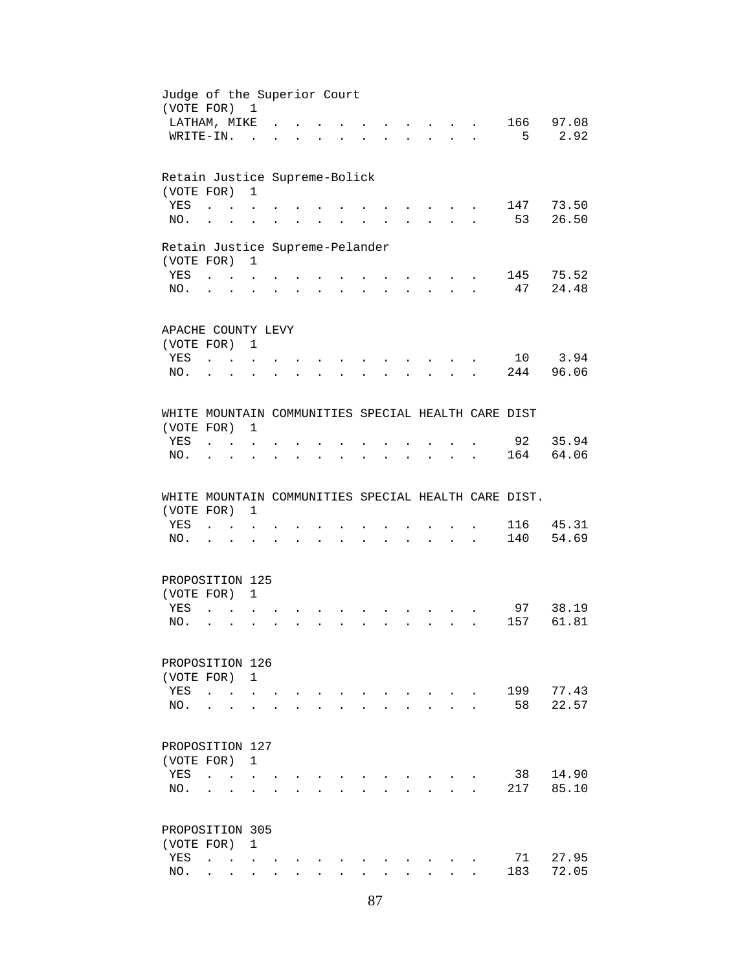| Judge of the Superior Court<br>(VOTE FOR) 1          |                                                           |                                        |                      |                                   |                |                           |                      |                      |                                                                                                                 |                           |                      |           |                |
|------------------------------------------------------|-----------------------------------------------------------|----------------------------------------|----------------------|-----------------------------------|----------------|---------------------------|----------------------|----------------------|-----------------------------------------------------------------------------------------------------------------|---------------------------|----------------------|-----------|----------------|
| LATHAM, MIKE                                         |                                                           |                                        |                      |                                   |                |                           |                      |                      |                                                                                                                 |                           |                      |           | 166 97.08      |
| WRITE-IN.                                            |                                                           |                                        | $\sim$               |                                   |                |                           |                      |                      |                                                                                                                 |                           | $\mathbf{r}$         | 5         | 2.92           |
|                                                      |                                                           |                                        |                      |                                   |                |                           |                      |                      |                                                                                                                 |                           |                      |           |                |
| Retain Justice Supreme-Bolick                        |                                                           |                                        |                      |                                   |                |                           |                      |                      |                                                                                                                 |                           |                      |           |                |
| (VOTE FOR)                                           |                                                           |                                        | $\mathbf{1}$         |                                   |                |                           |                      |                      |                                                                                                                 |                           |                      |           |                |
| YES                                                  | $\ddot{\phantom{a}}$                                      | $\sim$ $\sim$                          |                      |                                   |                |                           |                      |                      |                                                                                                                 |                           |                      |           | 147 73.50      |
| NO.                                                  | $\ddot{\phantom{a}}$                                      |                                        |                      |                                   |                |                           |                      |                      |                                                                                                                 |                           |                      | 53        | 26.50          |
| Retain Justice Supreme-Pelander                      |                                                           |                                        |                      |                                   |                |                           |                      |                      |                                                                                                                 |                           |                      |           |                |
| (VOTE FOR) 1                                         |                                                           |                                        |                      |                                   |                |                           |                      |                      |                                                                                                                 |                           |                      |           |                |
| YES                                                  |                                                           |                                        |                      |                                   |                |                           |                      |                      |                                                                                                                 |                           |                      |           | 145 75.52      |
|                                                      |                                                           |                                        |                      |                                   |                |                           | $\sim$               |                      | $\mathbf{r}$ , $\mathbf{r}$ , $\mathbf{r}$ , $\mathbf{r}$                                                       |                           |                      | 47        |                |
| NO.                                                  | $\mathbf{r}$ , $\mathbf{r}$ , $\mathbf{r}$ , $\mathbf{r}$ |                                        | $\ddot{\phantom{a}}$ | <b>Contract Contract Contract</b> | $\mathbf{L}$   |                           |                      |                      | $\mathbf{r} = \mathbf{r} \cdot \mathbf{r}$ , and $\mathbf{r} = \mathbf{r} \cdot \mathbf{r}$                     |                           |                      |           | 24.48          |
| APACHE COUNTY LEVY                                   |                                                           |                                        |                      |                                   |                |                           |                      |                      |                                                                                                                 |                           |                      |           |                |
| (VOTE FOR) 1                                         |                                                           |                                        |                      |                                   |                |                           |                      |                      |                                                                                                                 |                           |                      |           |                |
| YES                                                  | $\mathbf{r}$ . $\mathbf{r}$                               |                                        |                      |                                   |                |                           |                      |                      |                                                                                                                 |                           |                      |           | 10 3.94        |
|                                                      |                                                           |                                        |                      |                                   |                |                           |                      |                      |                                                                                                                 |                           |                      |           | 244 96.06      |
| NO.                                                  |                                                           |                                        |                      |                                   |                |                           |                      |                      |                                                                                                                 |                           |                      |           |                |
| WHITE MOUNTAIN COMMUNITIES SPECIAL HEALTH CARE DIST  |                                                           |                                        |                      |                                   |                |                           |                      |                      |                                                                                                                 |                           |                      |           |                |
| (VOTE FOR)                                           |                                                           |                                        | 1                    |                                   |                |                           |                      |                      |                                                                                                                 |                           |                      |           |                |
|                                                      |                                                           |                                        |                      |                                   |                |                           |                      |                      |                                                                                                                 |                           |                      |           | 92 35.94       |
| YES                                                  | $\ddot{\phantom{a}}$                                      | $\mathbf{r}$ . The set of $\mathbf{r}$ |                      |                                   |                |                           |                      |                      |                                                                                                                 |                           |                      |           |                |
| NO.                                                  | $\ddot{\phantom{a}}$                                      | $\bullet$                              | $\ddot{\phantom{0}}$ | $\ddot{\phantom{0}}$              | $\sim$ $\sim$  | $\mathbf{L}^{\text{max}}$ | $\ddot{\phantom{0}}$ | $\ddot{\phantom{a}}$ | $\sim 10^{-10}$                                                                                                 | $\ddot{\phantom{0}}$      |                      | 164       | 64.06          |
|                                                      |                                                           |                                        |                      |                                   |                |                           |                      |                      |                                                                                                                 |                           |                      |           |                |
|                                                      |                                                           |                                        |                      |                                   |                |                           |                      |                      |                                                                                                                 |                           |                      |           |                |
| WHITE MOUNTAIN COMMUNITIES SPECIAL HEALTH CARE DIST. |                                                           |                                        |                      |                                   |                |                           |                      |                      |                                                                                                                 |                           |                      |           |                |
| (VOTE FOR)                                           |                                                           |                                        | $\mathbf{1}$         |                                   |                |                           |                      |                      |                                                                                                                 |                           |                      |           |                |
| YES                                                  | $\mathbf{r}$ . The contract of $\mathbf{r}$               |                                        |                      |                                   |                |                           |                      |                      | $\sim$ $\sim$                                                                                                   |                           |                      | 116       |                |
| NO.                                                  | $\mathbf{L}$ $\mathbf{L}$                                 |                                        |                      |                                   |                |                           |                      |                      | the contract of the contract of the contract of the contract of the contract of the contract of the contract of |                           | $\ddot{\phantom{a}}$ | 140       | 45.31<br>54.69 |
|                                                      |                                                           |                                        |                      |                                   |                |                           |                      |                      |                                                                                                                 |                           |                      |           |                |
| PROPOSITION 125                                      |                                                           |                                        |                      |                                   |                |                           |                      |                      |                                                                                                                 |                           |                      |           |                |
| (VOTE FOR)                                           |                                                           |                                        | $\mathbf{1}$         |                                   |                |                           |                      |                      |                                                                                                                 |                           |                      |           |                |
| <b>YES</b>                                           | $\mathbf{r}$                                              |                                        |                      |                                   |                |                           |                      |                      |                                                                                                                 |                           |                      |           | 97 38.19       |
| NO.                                                  | $\ddot{\phantom{a}}$                                      |                                        |                      |                                   |                |                           |                      |                      | $\ddot{\phantom{a}}$                                                                                            |                           |                      | 157       |                |
|                                                      |                                                           |                                        |                      |                                   |                |                           |                      |                      |                                                                                                                 |                           |                      |           | 61.81          |
| PROPOSITION 126                                      |                                                           |                                        |                      |                                   |                |                           |                      |                      |                                                                                                                 |                           |                      |           |                |
| (VOTE FOR)                                           |                                                           |                                        | 1                    |                                   |                |                           |                      |                      |                                                                                                                 |                           |                      |           |                |
| YES                                                  | $\ddot{\phantom{a}}$                                      | $\sim$                                 |                      |                                   |                |                           |                      |                      |                                                                                                                 |                           |                      | 199       | 77.43          |
| NO.                                                  | $\ddot{\phantom{a}}$                                      |                                        |                      |                                   |                |                           |                      |                      |                                                                                                                 |                           |                      | 58        |                |
|                                                      |                                                           |                                        |                      |                                   |                |                           |                      |                      |                                                                                                                 |                           |                      |           | 22.57          |
| PROPOSITION 127                                      |                                                           |                                        |                      |                                   |                |                           |                      |                      |                                                                                                                 |                           |                      |           |                |
| (VOTE FOR)                                           |                                                           |                                        | $\mathbf{1}$         |                                   |                |                           |                      |                      |                                                                                                                 |                           |                      |           |                |
| YES                                                  | $\ddot{\phantom{a}}$                                      | $\mathbf{r}$ . The set of $\mathbf{r}$ |                      |                                   |                |                           |                      |                      |                                                                                                                 |                           |                      | 38        | 14.90          |
| NO.                                                  |                                                           |                                        |                      |                                   |                |                           |                      |                      |                                                                                                                 | $\mathbf{r} = \mathbf{r}$ |                      | 217       | 85.10          |
| PROPOSITION 305                                      |                                                           |                                        |                      |                                   |                |                           |                      |                      |                                                                                                                 |                           |                      |           |                |
|                                                      |                                                           |                                        | $\mathbf{1}$         |                                   |                |                           |                      |                      |                                                                                                                 |                           |                      |           |                |
| (VOTE FOR)                                           |                                                           |                                        |                      |                                   |                |                           |                      |                      |                                                                                                                 |                           |                      |           |                |
| YES<br>NO.                                           |                                                           | $\mathbf{L}$                           | $\mathbf{r}$         | $\mathbf{r}$                      | <b>Service</b> | $\ddot{\phantom{a}}$      | $\ddot{\phantom{a}}$ |                      | $\mathbf{L}$                                                                                                    | $\mathbf{r}$              |                      | 71<br>183 | 27.95<br>72.05 |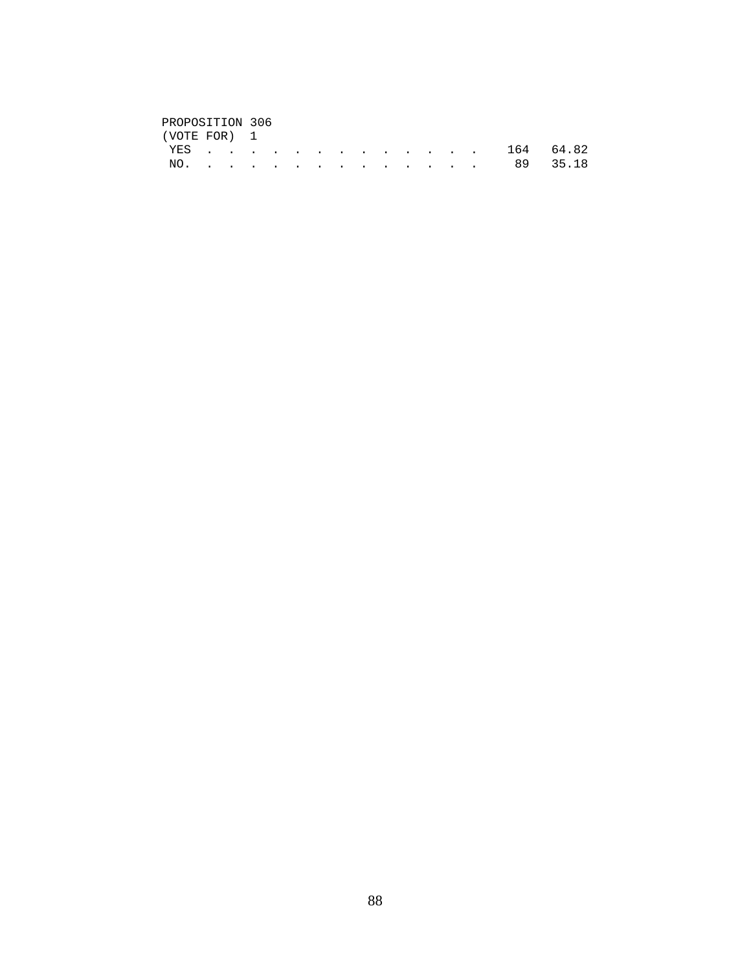## PROPOSITION 306<br>(VOTE FOR) 1

| (VOTE FOR) 1 |  |  |  |  |  |  |               |  |
|--------------|--|--|--|--|--|--|---------------|--|
|              |  |  |  |  |  |  | YES 164 64.82 |  |
|              |  |  |  |  |  |  | NO. 89 35.18  |  |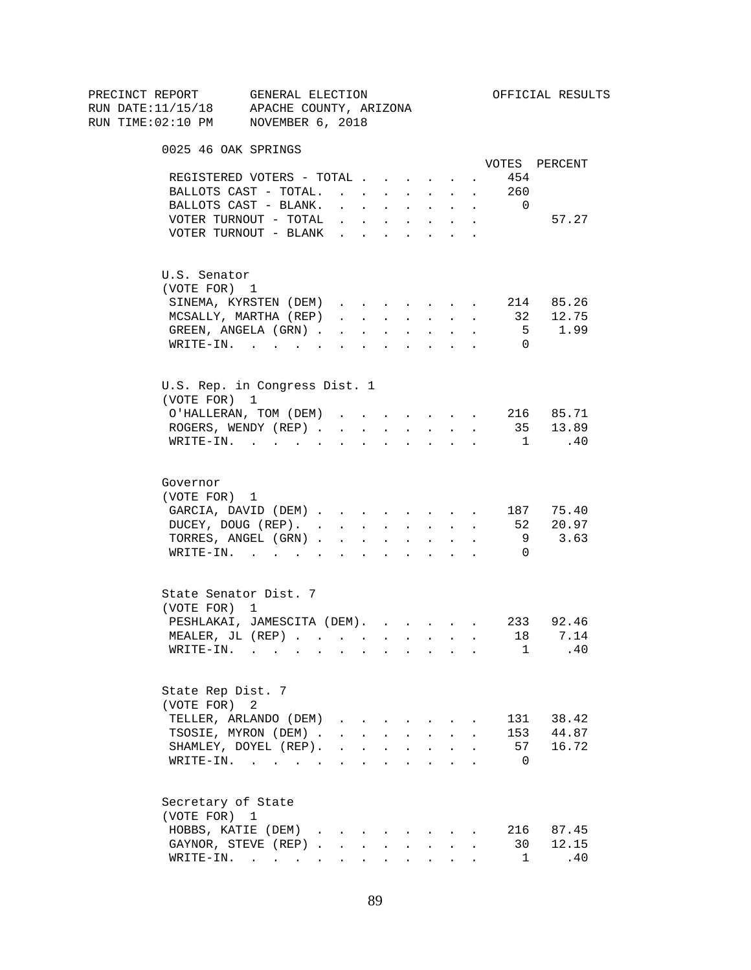| PRECINCT REPORT       | GENERAL ELECTION                                               |                                                                          |                        |        |                                                                               |                            |                      |                | OFFICIAL RESULTS    |
|-----------------------|----------------------------------------------------------------|--------------------------------------------------------------------------|------------------------|--------|-------------------------------------------------------------------------------|----------------------------|----------------------|----------------|---------------------|
|                       | RUN DATE:11/15/18 APACHE COUNTY, ARIZONA                       |                                                                          |                        |        |                                                                               |                            |                      |                |                     |
|                       | RUN TIME:02:10 PM NOVEMBER 6, 2018                             |                                                                          |                        |        |                                                                               |                            |                      |                |                     |
| 0025 46 OAK SPRINGS   |                                                                |                                                                          |                        |        |                                                                               |                            |                      |                |                     |
|                       |                                                                |                                                                          |                        |        |                                                                               |                            |                      |                | VOTES PERCENT       |
|                       | REGISTERED VOTERS - TOTAL                                      |                                                                          |                        |        |                                                                               |                            | $\sim$ $-$           | 454            |                     |
|                       | BALLOTS CAST - TOTAL.                                          |                                                                          |                        |        |                                                                               |                            |                      | 260            |                     |
|                       | BALLOTS CAST - BLANK.                                          | $\mathbf{r} = \mathbf{r} \times \mathbf{r}$                              |                        |        | <b>All Cards</b>                                                              | $\ddot{\phantom{0}}$       | $\sim$               | $\overline{0}$ |                     |
|                       | VOTER TURNOUT - TOTAL                                          | $\mathbf{r}$ , $\mathbf{r}$ , $\mathbf{r}$ , $\mathbf{r}$ , $\mathbf{r}$ |                        |        |                                                                               |                            | $\sim$               |                | 57.27               |
|                       | VOTER TURNOUT - BLANK                                          |                                                                          |                        |        |                                                                               |                            |                      |                |                     |
| U.S. Senator          |                                                                |                                                                          |                        |        |                                                                               |                            |                      |                |                     |
| (VOTE FOR) 1          |                                                                |                                                                          |                        |        |                                                                               |                            |                      |                |                     |
|                       | SINEMA, KYRSTEN (DEM)                                          |                                                                          |                        |        |                                                                               |                            |                      |                | 214 85.26           |
|                       | MCSALLY, MARTHA (REP)                                          | $\mathbf{r}$ , $\mathbf{r}$ , $\mathbf{r}$                               |                        |        |                                                                               | <b>All Carried Control</b> | $\ddot{\phantom{a}}$ | 32             | 12.75               |
|                       | GREEN, ANGELA (GRN).                                           |                                                                          | <b>Carl Carl Corp.</b> | $\sim$ | $\sim 10^{-11}$                                                               | $\ddot{\phantom{0}}$       |                      |                | 5 1.99              |
|                       | WRITE-IN.                                                      |                                                                          |                        |        |                                                                               |                            |                      | $\Omega$       |                     |
|                       | U.S. Rep. in Congress Dist. 1                                  |                                                                          |                        |        |                                                                               |                            |                      |                |                     |
| (VOTE FOR) 1          |                                                                |                                                                          |                        |        |                                                                               |                            |                      |                |                     |
|                       | O'HALLERAN, TOM (DEM) 216 85.71                                |                                                                          |                        |        |                                                                               |                            |                      |                |                     |
|                       | ROGERS, WENDY (REP)                                            |                                                                          |                        |        |                                                                               | and a strategic state      |                      |                | 35 13.89            |
|                       | $\texttt{WRTTE-IN.}$                                           |                                                                          | $\sim 10$              |        |                                                                               | $\mathbf{r} = \mathbf{r}$  |                      | $\overline{1}$ | .40                 |
|                       |                                                                |                                                                          |                        |        |                                                                               |                            |                      |                |                     |
| Governor              |                                                                |                                                                          |                        |        |                                                                               |                            |                      |                |                     |
| (VOTE FOR) 1          |                                                                |                                                                          |                        |        |                                                                               |                            |                      |                |                     |
|                       | GARCIA, DAVID (DEM) 187 75.40                                  |                                                                          |                        |        |                                                                               |                            |                      |                |                     |
|                       | DUCEY, DOUG (REP).                                             |                                                                          |                        |        |                                                                               |                            |                      |                | 52 20.97            |
|                       | TORRES, ANGEL (GRN)                                            |                                                                          |                        |        |                                                                               |                            | $\sim$ $-$           | 9              | 3.63                |
|                       | WRITE-IN.                                                      |                                                                          |                        |        |                                                                               |                            |                      | $\Omega$       |                     |
| State Senator Dist. 7 |                                                                |                                                                          |                        |        |                                                                               |                            |                      |                |                     |
| (VOTE FOR) 1          |                                                                |                                                                          |                        |        |                                                                               |                            |                      |                |                     |
|                       | PESHLAKAI, JAMESCITA (DEM). 233 92.46                          |                                                                          |                        |        |                                                                               |                            |                      |                |                     |
|                       | MEALER, JL (REP) 18 7.14                                       |                                                                          |                        |        |                                                                               |                            |                      |                |                     |
|                       | $\texttt{WRTTE-IN.}$                                           |                                                                          |                        |        |                                                                               |                            |                      |                | .40<br>$\mathbf{1}$ |
| State Rep Dist. 7     |                                                                |                                                                          |                        |        |                                                                               |                            |                      |                |                     |
| (VOTE FOR)            | 2                                                              |                                                                          |                        |        |                                                                               |                            |                      |                |                     |
|                       | TELLER, ARLANDO (DEM)                                          |                                                                          |                        |        |                                                                               |                            |                      | 131            | 38.42               |
|                       | TSOSIE, MYRON (DEM).                                           |                                                                          |                        |        | $\mathbf{r} = \mathbf{r} + \mathbf{r} + \mathbf{r} + \mathbf{r} + \mathbf{r}$ |                            |                      | 153            | 44.87               |
|                       | SHAMLEY, DOYEL (REP).                                          | $\mathbf{r}$ , $\mathbf{r}$ , $\mathbf{r}$ , $\mathbf{r}$ , $\mathbf{r}$ |                        |        |                                                                               | $\ddot{\phantom{a}}$       |                      | 57             | 16.72               |
|                       | WRITE-IN.                                                      |                                                                          |                        |        |                                                                               |                            |                      | - 0            |                     |
| Secretary of State    |                                                                |                                                                          |                        |        |                                                                               |                            |                      |                |                     |
| (VOTE FOR) 1          |                                                                |                                                                          |                        |        |                                                                               |                            |                      |                |                     |
|                       | HOBBS, KATIE (DEM)                                             |                                                                          |                        |        |                                                                               |                            |                      |                | 216 87.45           |
|                       | GAYNOR, STEVE (REP)                                            |                                                                          |                        | $\sim$ | $\sim$                                                                        | $\mathbf{L}$               |                      | 30             | 12.15               |
|                       | $\texttt{WRITE-IN.}\quad .\quad .\quad .\quad .\quad .\quad .$ |                                                                          |                        |        | $\mathbf{L} = \mathbf{L} \mathbf{L} + \mathbf{L} \mathbf{L}$                  |                            |                      | $\mathbf{1}$   | .40                 |
|                       |                                                                |                                                                          |                        |        |                                                                               |                            |                      |                |                     |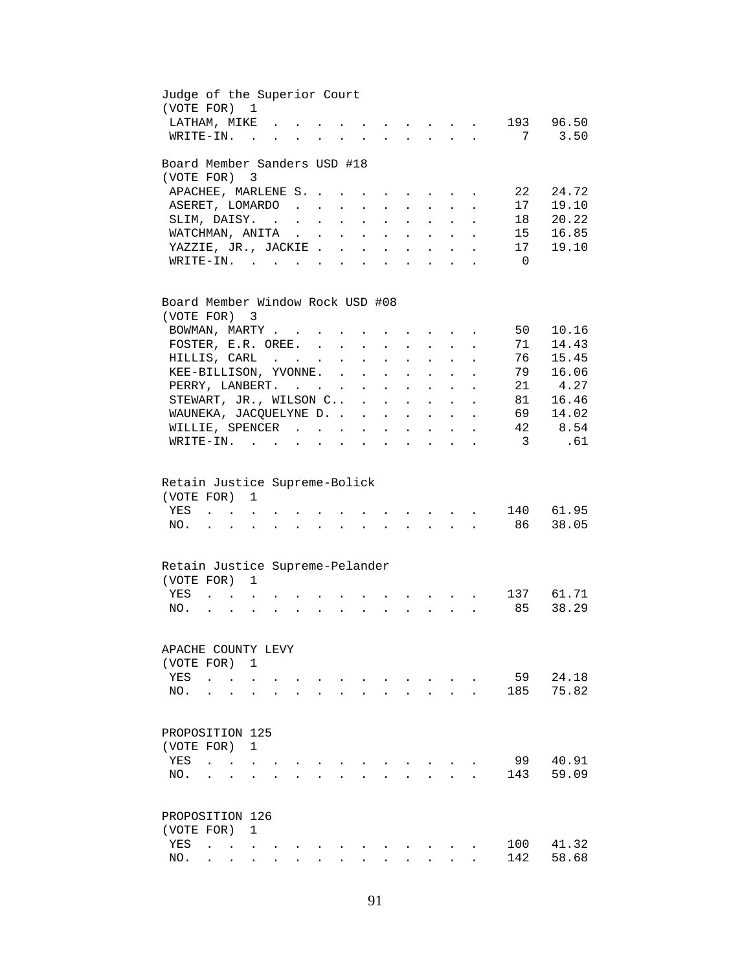| Judge of the Superior Court<br>(VOTE FOR) 1      |                                                   |                            |                           |              |               |                      |                           |                                                                  |                                                                                                                                                         |                           |                           |                         |                  |
|--------------------------------------------------|---------------------------------------------------|----------------------------|---------------------------|--------------|---------------|----------------------|---------------------------|------------------------------------------------------------------|---------------------------------------------------------------------------------------------------------------------------------------------------------|---------------------------|---------------------------|-------------------------|------------------|
| LATHAM, MIKE                                     |                                                   |                            |                           |              |               |                      | $\sim$                    | $\sim$                                                           | $\ddot{\phantom{0}}$                                                                                                                                    |                           | $\ddot{\phantom{a}}$      |                         | 193 96.50        |
| WRITE-IN.                                        |                                                   | <b>Contract</b>            |                           |              |               |                      |                           |                                                                  |                                                                                                                                                         |                           |                           | 7                       | 3.50             |
| Board Member Sanders USD #18                     |                                                   |                            |                           |              |               |                      |                           |                                                                  |                                                                                                                                                         |                           |                           |                         |                  |
| (VOTE FOR)                                       |                                                   | $\overline{\phantom{a}}$ 3 |                           |              |               |                      |                           |                                                                  |                                                                                                                                                         |                           |                           |                         |                  |
| APACHEE, MARLENE S.                              |                                                   |                            |                           |              |               |                      |                           | $\mathbf{r} = \mathbf{r} + \mathbf{r} + \mathbf{r} + \mathbf{r}$ |                                                                                                                                                         |                           | $\sim 100$                | 22                      | 24.72            |
| ASERET, LOMARDO                                  |                                                   |                            |                           |              |               |                      | $\mathbf{L}^{\text{max}}$ | $\bullet$ . $\bullet$                                            | $\sim$ $-$                                                                                                                                              |                           | $\mathbf{L} = \mathbf{L}$ | 17                      | 19.10            |
| SLIM, DAISY.                                     |                                                   |                            |                           |              |               |                      | $\ddot{\phantom{a}}$      | $\ddot{\phantom{a}}$                                             |                                                                                                                                                         |                           |                           | 18                      | 20.22            |
| WATCHMAN, ANITA                                  |                                                   |                            |                           |              | $\sim$        | $\mathbf{r}$         | $\ddot{\phantom{a}}$      | $\ddot{\phantom{a}}$                                             | $\mathbf{L}^{\text{max}}$                                                                                                                               | $\mathbf{L}^{\text{max}}$ |                           | 15                      | 16.85            |
| YAZZIE, JR., JACKIE.                             |                                                   |                            |                           |              | $\sim$        | $\sim$               | $\ddot{\phantom{a}}$      | $\ddot{\phantom{a}}$                                             | $\ddot{\phantom{0}}$                                                                                                                                    |                           |                           | 17                      | 19.10            |
| $W\text{RITE-IN.}$ , , ,                         |                                                   |                            |                           | $\sim$       |               |                      |                           | $\overline{a}$                                                   |                                                                                                                                                         |                           |                           | $\overline{0}$          |                  |
| Board Member Window Rock USD #08<br>(VOTE FOR) 3 |                                                   |                            |                           |              |               |                      |                           |                                                                  |                                                                                                                                                         |                           |                           |                         |                  |
|                                                  |                                                   |                            |                           |              |               |                      |                           |                                                                  |                                                                                                                                                         |                           |                           | 50                      | 10.16            |
| BOWMAN, MARTY                                    |                                                   |                            |                           | $\sim$       | $\sim$        |                      |                           | $\mathbf{r}$ , $\mathbf{r}$ , $\mathbf{r}$                       |                                                                                                                                                         |                           |                           |                         | 14.43            |
| FOSTER, E.R. OREE.                               |                                                   |                            |                           |              |               |                      | $\ddot{\phantom{a}}$      | $\sim$ $-$                                                       |                                                                                                                                                         |                           |                           | 71                      |                  |
| HILLIS, CARL                                     |                                                   |                            |                           |              | $\sim$        | $\ddot{\phantom{a}}$ | $\ddot{\phantom{a}}$      | $\ddot{\phantom{a}}$                                             |                                                                                                                                                         |                           |                           | 76                      | 15.45            |
| KEE-BILLISON, YVONNE.                            |                                                   |                            |                           |              | $\sim$ $\sim$ | $\sim$               | $\mathbf{L}$              | $\ddot{\phantom{a}}$                                             | $\ddot{\phantom{a}}$                                                                                                                                    |                           | $\ddot{\phantom{a}}$      | 79                      | 16.06<br>21 4.27 |
| PERRY, LANBERT.                                  |                                                   |                            |                           |              |               | $\sim$               | $\ddot{\phantom{0}}$      | $\mathbf{r}$                                                     | $\ddot{\phantom{0}}$                                                                                                                                    | $\ddot{\phantom{0}}$      | $\ddot{\phantom{a}}$      |                         |                  |
|                                                  | STEWART, JR., WILSON C                            |                            |                           |              |               |                      |                           |                                                                  | $\mathbf{r} = \mathbf{r}$                                                                                                                               | $\mathbf{L}$              | $\ddot{\phantom{0}}$      | 81                      | 16.46            |
| WAUNEKA, JACQUELYNE D.                           |                                                   |                            |                           |              |               |                      |                           |                                                                  |                                                                                                                                                         |                           |                           | 69                      | 14.02            |
| WILLIE, SPENCER                                  |                                                   |                            |                           |              |               |                      |                           |                                                                  |                                                                                                                                                         |                           |                           | 42                      | 8.54             |
| WRITE-IN.                                        |                                                   |                            |                           |              |               |                      |                           |                                                                  |                                                                                                                                                         |                           |                           | $\overline{\mathbf{3}}$ | .61              |
| Retain Justice Supreme-Bolick<br>(VOTE FOR) 1    |                                                   |                            |                           |              |               |                      |                           |                                                                  |                                                                                                                                                         |                           |                           |                         |                  |
| YES                                              |                                                   |                            |                           |              |               |                      |                           |                                                                  | $\bullet$ .<br><br><br><br><br><br><br><br><br><br><br><br><br><br><br><br><br><br><br><br><br><br><br><br><br><br><br><br><br><br><br><br><br><br><br> |                           |                           | 140                     | 61.95            |
| NO.                                              | <b>Contract Contract Contract</b><br>$\mathbf{r}$ | $\mathbf{r}$               | $\mathbf{r} = \mathbf{r}$ | $\mathbf{L}$ | $\mathbf{L}$  | $\mathbf{r}$         |                           |                                                                  | $\mathbf{r} = \mathbf{r}$                                                                                                                               | $\mathbf{L}$              |                           | 86                      | 38.05            |
|                                                  |                                                   |                            |                           |              |               |                      |                           |                                                                  |                                                                                                                                                         |                           |                           |                         |                  |
| Retain Justice Supreme-Pelander                  |                                                   |                            |                           |              |               |                      |                           |                                                                  |                                                                                                                                                         |                           |                           |                         |                  |
| (VOTE FOR) 1                                     |                                                   |                            |                           |              |               |                      |                           |                                                                  |                                                                                                                                                         |                           |                           |                         |                  |
| YES                                              |                                                   |                            |                           |              |               |                      |                           |                                                                  |                                                                                                                                                         |                           |                           |                         | 137 61.71        |
| NO.                                              |                                                   |                            |                           |              |               |                      |                           |                                                                  |                                                                                                                                                         |                           |                           | 85                      | 38.29            |
|                                                  |                                                   |                            |                           |              |               |                      |                           |                                                                  |                                                                                                                                                         |                           |                           |                         |                  |
| APACHE COUNTY LEVY                               |                                                   |                            |                           |              |               |                      |                           |                                                                  |                                                                                                                                                         |                           |                           |                         |                  |
| (VOTE FOR)                                       |                                                   | 1                          |                           |              |               |                      |                           |                                                                  |                                                                                                                                                         |                           |                           |                         |                  |
| YES                                              | $\ddot{\phantom{0}}$<br>$\sim$                    |                            |                           |              |               |                      |                           |                                                                  |                                                                                                                                                         |                           |                           | 59                      | 24.18<br>75.82   |
| NO.                                              |                                                   |                            |                           |              |               |                      |                           |                                                                  |                                                                                                                                                         |                           |                           | 185                     |                  |
| PROPOSITION 125                                  |                                                   |                            |                           |              |               |                      |                           |                                                                  |                                                                                                                                                         |                           |                           |                         |                  |
| (VOTE FOR)                                       |                                                   | 1                          |                           |              |               |                      |                           |                                                                  |                                                                                                                                                         |                           |                           |                         |                  |
| YES                                              | $\ddot{\phantom{a}}$                              |                            |                           |              |               |                      |                           |                                                                  |                                                                                                                                                         |                           |                           | 99                      | 40.91            |
| NO.                                              |                                                   |                            |                           |              |               |                      |                           |                                                                  |                                                                                                                                                         |                           |                           | 143                     | 59.09            |
|                                                  |                                                   |                            |                           |              |               |                      |                           |                                                                  |                                                                                                                                                         |                           |                           |                         |                  |
| PROPOSITION 126                                  |                                                   |                            |                           |              |               |                      |                           |                                                                  |                                                                                                                                                         |                           |                           |                         |                  |
| (VOTE FOR)                                       |                                                   | 1                          |                           |              |               |                      |                           |                                                                  |                                                                                                                                                         |                           |                           |                         |                  |
| YES                                              |                                                   |                            |                           |              |               |                      |                           |                                                                  |                                                                                                                                                         |                           |                           | 100                     | 41.32            |
| NO.                                              |                                                   |                            |                           |              |               |                      |                           |                                                                  |                                                                                                                                                         |                           |                           | 142                     | 58.68            |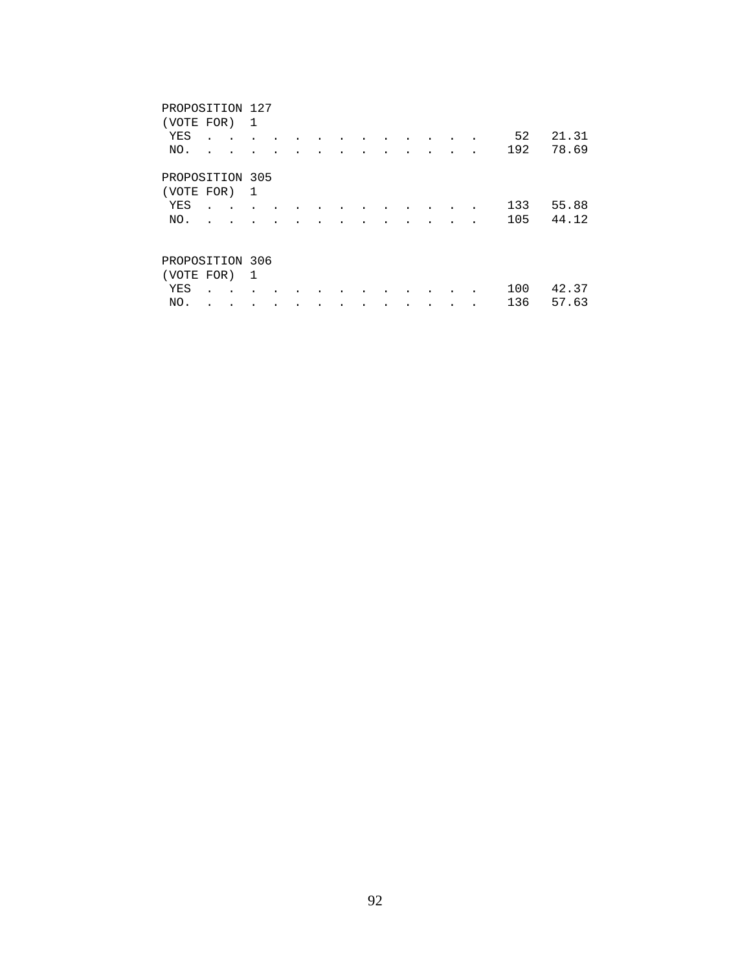| PROPOSITION 127 |  |  |   |  |  |  |  |  |  |  |  |  |  |     |       |
|-----------------|--|--|---|--|--|--|--|--|--|--|--|--|--|-----|-------|
| (VOTE FOR)      |  |  | 1 |  |  |  |  |  |  |  |  |  |  |     |       |
| YES             |  |  |   |  |  |  |  |  |  |  |  |  |  | 52  | 21.31 |
| NO.             |  |  |   |  |  |  |  |  |  |  |  |  |  | 192 | 78.69 |
| PROPOSITION 305 |  |  |   |  |  |  |  |  |  |  |  |  |  |     |       |
| (VOTE FOR)      |  |  | 1 |  |  |  |  |  |  |  |  |  |  |     |       |
| YES             |  |  |   |  |  |  |  |  |  |  |  |  |  | 133 | 55.88 |
| NO.             |  |  |   |  |  |  |  |  |  |  |  |  |  | 105 | 44.12 |
| PROPOSITION 306 |  |  |   |  |  |  |  |  |  |  |  |  |  |     |       |
|                 |  |  |   |  |  |  |  |  |  |  |  |  |  |     |       |
| (VOTE FOR)      |  |  | 1 |  |  |  |  |  |  |  |  |  |  |     |       |
| YES             |  |  |   |  |  |  |  |  |  |  |  |  |  | 100 | 42.37 |
| NO.             |  |  |   |  |  |  |  |  |  |  |  |  |  | 136 | 57.63 |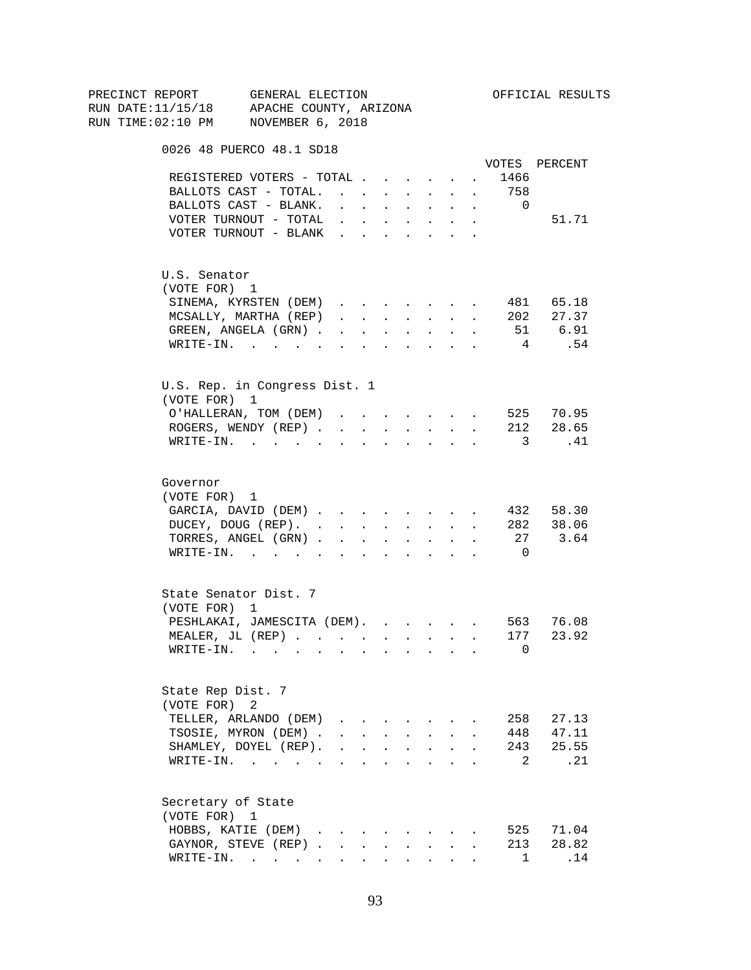| PRECINCT REPORT | GENERAL ELECTION<br>RUN DATE:11/15/18 APACHE COUNTY, ARIZONA                                                                 |                                                                                                                                                 |                      |                               |                      |                                                                                               |                       |                    | OFFICIAL RESULTS               |
|-----------------|------------------------------------------------------------------------------------------------------------------------------|-------------------------------------------------------------------------------------------------------------------------------------------------|----------------------|-------------------------------|----------------------|-----------------------------------------------------------------------------------------------|-----------------------|--------------------|--------------------------------|
|                 | RUN TIME:02:10 PM NOVEMBER 6, 2018                                                                                           |                                                                                                                                                 |                      |                               |                      |                                                                                               |                       |                    |                                |
|                 | 0026 48 PUERCO 48.1 SD18                                                                                                     |                                                                                                                                                 |                      |                               |                      |                                                                                               |                       |                    |                                |
|                 |                                                                                                                              |                                                                                                                                                 |                      |                               |                      |                                                                                               |                       |                    | VOTES PERCENT                  |
|                 | REGISTERED VOTERS - TOTAL                                                                                                    |                                                                                                                                                 |                      |                               |                      |                                                                                               |                       | 1466<br>$\sim 100$ |                                |
|                 | BALLOTS CAST - TOTAL. 758                                                                                                    |                                                                                                                                                 |                      |                               |                      |                                                                                               |                       |                    |                                |
|                 | BALLOTS CAST - BLANK.                                                                                                        | $\mathbf{u} = \mathbf{u} \times \mathbf{u}$ , and $\mathbf{u} = \mathbf{u} \times \mathbf{u}$ , and $\mathbf{u} = \mathbf{u} \times \mathbf{u}$ |                      |                               |                      |                                                                                               |                       | $\overline{0}$     |                                |
|                 | VOTER TURNOUT - TOTAL $\ldots$                                                                                               |                                                                                                                                                 |                      |                               |                      |                                                                                               | $\bullet$ . $\bullet$ |                    | 51.71                          |
|                 | VOTER TURNOUT - BLANK                                                                                                        |                                                                                                                                                 |                      |                               |                      |                                                                                               |                       |                    |                                |
|                 | U.S. Senator                                                                                                                 |                                                                                                                                                 |                      |                               |                      |                                                                                               |                       |                    |                                |
|                 | (VOTE FOR) 1                                                                                                                 |                                                                                                                                                 |                      |                               |                      |                                                                                               |                       |                    |                                |
|                 | SINEMA, KYRSTEN (DEM)                                                                                                        |                                                                                                                                                 |                      |                               |                      |                                                                                               |                       |                    | 481 65.18                      |
|                 | MCSALLY, MARTHA (REP)                                                                                                        |                                                                                                                                                 |                      |                               |                      |                                                                                               |                       |                    | 202 27.37                      |
|                 | GREEN, ANGELA (GRN)                                                                                                          |                                                                                                                                                 |                      |                               |                      |                                                                                               |                       |                    | 51 6.91                        |
|                 | WRITE-IN.                                                                                                                    |                                                                                                                                                 |                      |                               |                      |                                                                                               |                       | $4\overline{4}$    | .54                            |
|                 | U.S. Rep. in Congress Dist. 1                                                                                                |                                                                                                                                                 |                      |                               |                      |                                                                                               |                       |                    |                                |
|                 | (VOTE FOR) 1                                                                                                                 |                                                                                                                                                 |                      |                               |                      |                                                                                               |                       |                    |                                |
|                 | O'HALLERAN, TOM (DEM) 525 70.95                                                                                              |                                                                                                                                                 |                      |                               |                      |                                                                                               |                       |                    |                                |
|                 | ROGERS, WENDY (REP) 212 28.65                                                                                                |                                                                                                                                                 |                      |                               |                      |                                                                                               |                       |                    |                                |
|                 | WRITE-IN.                                                                                                                    |                                                                                                                                                 |                      |                               |                      |                                                                                               |                       |                    | $\overline{\mathbf{3}}$<br>.41 |
| Governor        |                                                                                                                              |                                                                                                                                                 |                      |                               |                      |                                                                                               |                       |                    |                                |
|                 | (VOTE FOR) 1                                                                                                                 |                                                                                                                                                 |                      |                               |                      |                                                                                               |                       |                    |                                |
|                 | GARCIA, DAVID (DEM)                                                                                                          |                                                                                                                                                 |                      |                               |                      |                                                                                               |                       |                    | 432 58.30                      |
|                 | DUCEY, DOUG (REP). 282 38.06                                                                                                 |                                                                                                                                                 |                      |                               |                      |                                                                                               |                       |                    |                                |
|                 | TORRES, ANGEL (GRN) 27 3.64                                                                                                  |                                                                                                                                                 |                      |                               |                      |                                                                                               |                       |                    |                                |
|                 | WRITE-IN.                                                                                                                    |                                                                                                                                                 |                      |                               |                      |                                                                                               |                       | $\overline{0}$     |                                |
|                 | State Senator Dist. 7                                                                                                        |                                                                                                                                                 |                      |                               |                      |                                                                                               |                       |                    |                                |
|                 | (VOTE FOR) 1                                                                                                                 |                                                                                                                                                 |                      |                               |                      |                                                                                               |                       |                    |                                |
|                 | PESHLAKAI, JAMESCITA (DEM). 563 76.08                                                                                        |                                                                                                                                                 |                      |                               |                      |                                                                                               |                       |                    |                                |
|                 | MEALER, JL (REP)                                                                                                             |                                                                                                                                                 |                      |                               |                      |                                                                                               |                       | 177                | 23.92                          |
|                 | WRITE-IN.<br>the contract of the contract of the contract of the contract of the contract of the contract of the contract of |                                                                                                                                                 |                      |                               |                      |                                                                                               |                       | 0                  |                                |
|                 | State Rep Dist. 7                                                                                                            |                                                                                                                                                 |                      |                               |                      |                                                                                               |                       |                    |                                |
|                 | (VOTE FOR) 2                                                                                                                 |                                                                                                                                                 |                      |                               |                      |                                                                                               |                       |                    |                                |
|                 | TELLER, ARLANDO (DEM)                                                                                                        | $\mathbf{r} = \mathbf{r} \cdot \mathbf{r}$                                                                                                      |                      |                               |                      |                                                                                               |                       | 258                | 27.13                          |
|                 | TSOSIE, MYRON (DEM).                                                                                                         |                                                                                                                                                 |                      | $\mathbf{L}$ and $\mathbf{L}$ | $\sim$               | $\sim$                                                                                        |                       |                    | 448 47.11                      |
|                 | SHAMLEY, DOYEL (REP).                                                                                                        |                                                                                                                                                 |                      |                               |                      | $\mathbf{r} = \mathbf{r} \cdot \mathbf{r}$ , where $\mathbf{r} = \mathbf{r} \cdot \mathbf{r}$ |                       | 243                | 25.55                          |
|                 | WRITE-IN.                                                                                                                    |                                                                                                                                                 |                      |                               | $\ddot{\phantom{a}}$ | <b>Contract Contract</b>                                                                      |                       | 2                  | $\ldots$ 21                    |
|                 | Secretary of State                                                                                                           |                                                                                                                                                 |                      |                               |                      |                                                                                               |                       |                    |                                |
|                 | (VOTE FOR) 1                                                                                                                 |                                                                                                                                                 |                      |                               |                      |                                                                                               |                       |                    |                                |
|                 | HOBBS, KATIE (DEM).                                                                                                          |                                                                                                                                                 |                      |                               |                      |                                                                                               |                       | 525                | 71.04                          |
|                 | GAYNOR, STEVE (REP).                                                                                                         | $\sim$                                                                                                                                          | $\ddot{\phantom{0}}$ |                               |                      |                                                                                               |                       | 213                | 28.82                          |
|                 | WRITE-IN.                                                                                                                    |                                                                                                                                                 |                      | $\mathbf{L}$                  |                      | $\mathbf{r} = \mathbf{r}$                                                                     |                       | $\mathbf{1}$       | .14                            |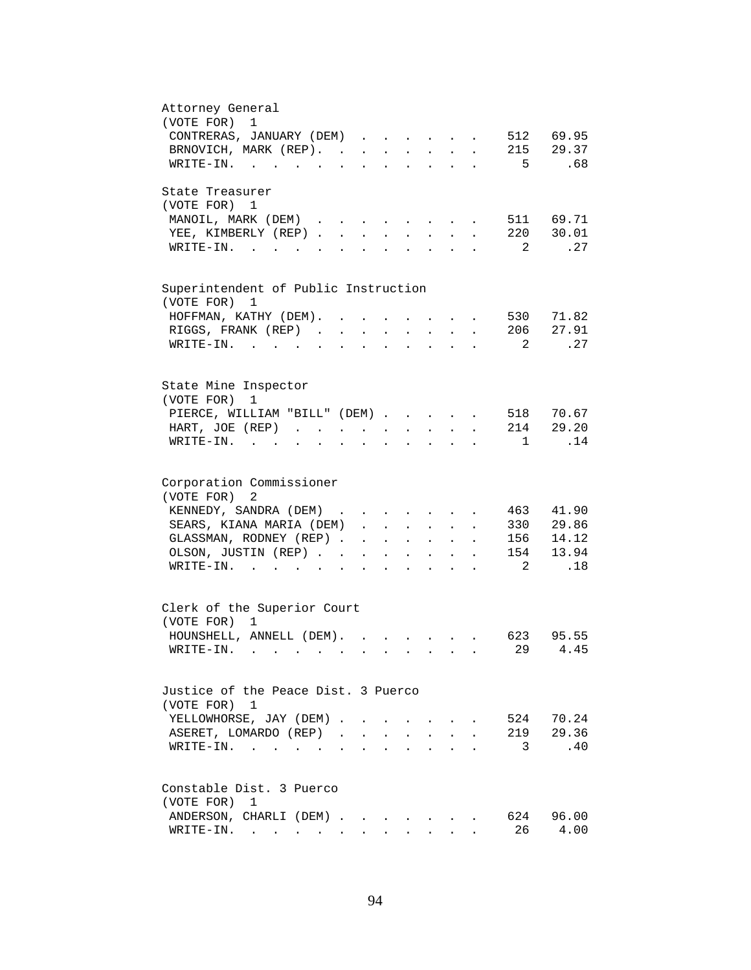| Attorney General<br>(VOTE FOR) 1                                                                                                                                                     |
|--------------------------------------------------------------------------------------------------------------------------------------------------------------------------------------|
|                                                                                                                                                                                      |
| CONTRERAS, JANUARY (DEM)<br>512 69.95<br>$\ddot{\phantom{a}}$                                                                                                                        |
| 215 29.37<br>BRNOVICH, MARK (REP).                                                                                                                                                   |
| 5 <sub>5</sub><br>.68<br>$\texttt{WRTTE-IN.}$<br>$\mathbf{r} = \mathbf{r} \cdot \mathbf{r}$ , where $\mathbf{r} = \mathbf{r} \cdot \mathbf{r}$                                       |
| State Treasurer                                                                                                                                                                      |
| (VOTE FOR) 1                                                                                                                                                                         |
| MANOIL, MARK (DEM)<br>511 69.71<br>$\cdot$ $\cdot$ $\cdot$ $\cdot$ $\cdot$ $\cdot$                                                                                                   |
| 220 30.01<br>YEE, KIMBERLY (REP).<br>$\sim$<br>$\mathbf{L}$                                                                                                                          |
| $\overline{\phantom{a}}^2$<br>.27<br>$W\text{RITE-IN.}$<br>$\sim$                                                                                                                    |
|                                                                                                                                                                                      |
| Superintendent of Public Instruction<br>(VOTE FOR) 1                                                                                                                                 |
| 530 71.82                                                                                                                                                                            |
| HOFFMAN, KATHY (DEM). .<br>$\ddot{\phantom{a}}$<br>$\sim$                                                                                                                            |
| RIGGS, FRANK (REP)<br>206 27.91<br>$\ddot{\phantom{a}}$<br>$\mathbf{L}^{\text{max}}$                                                                                                 |
| .27<br>2<br>WRITE-IN.<br>$\sim$ $\sim$                                                                                                                                               |
|                                                                                                                                                                                      |
| State Mine Inspector                                                                                                                                                                 |
| (VOTE FOR)<br>1                                                                                                                                                                      |
| PIERCE, WILLIAM "BILL" (DEM)<br>518<br>70.67                                                                                                                                         |
| 214 29.20<br>HART, JOE (REP)                                                                                                                                                         |
| .14<br>$WRITE-IN.$<br>$\mathbf{1}$<br>$\mathbf{L} = \mathbf{L} \mathbf{L} + \mathbf{L} \mathbf{L} + \mathbf{L} \mathbf{L}$<br>$\sim$<br>$\ddot{\phantom{a}}$<br>$\ddot{\phantom{0}}$ |
| Corporation Commissioner                                                                                                                                                             |
| (VOTE FOR) 2                                                                                                                                                                         |
| 41.90<br>463                                                                                                                                                                         |
| KENNEDY, SANDRA (DEM)<br>and the contract of the contract of the contract of the contract of the contract of                                                                         |
| 330 29.86<br>SEARS, KIANA MARIA (DEM)<br>$\ddot{\phantom{0}}$                                                                                                                        |
| GLASSMAN, RODNEY (REP)<br>156<br>14.12<br>$\mathbf{r} = \mathbf{r} \cdot \mathbf{r}$<br>$\bullet$ .<br><br><br><br><br><br><br><br><br><br><br><br><br>$\ddot{\phantom{a}}$          |
| 154 13.94<br>OLSON, JUSTIN (REP)<br><b>Contract Contract</b><br>$\mathbf{L}^{\text{max}}$<br>$\ddot{\phantom{a}}$                                                                    |
| .18<br>$\overline{2}$<br>WRITE-IN.<br>$\cdot$ $\cdot$ $\cdot$ $\cdot$                                                                                                                |
| Clerk of the Superior Court                                                                                                                                                          |
| (VOTE FOR) 1                                                                                                                                                                         |
| HOUNSHELL, ANNELL (DEM).<br>623<br>95.55<br>$\ddot{\phantom{a}}$                                                                                                                     |
| 29<br>4.45<br>$W\text{RITE-IN.}$                                                                                                                                                     |
|                                                                                                                                                                                      |
| Justice of the Peace Dist. 3 Puerco                                                                                                                                                  |
| (VOTE FOR) 1                                                                                                                                                                         |
| 524 70.24<br>YELLOWHORSE, JAY (DEM)                                                                                                                                                  |
| 219 29.36<br>ASERET, LOMARDO (REP).<br>$\sim$                                                                                                                                        |
| .40<br>3<br>WRITE-IN.<br>$\sim$ $\sim$                                                                                                                                               |
|                                                                                                                                                                                      |
| Constable Dist. 3 Puerco                                                                                                                                                             |
| (VOTE FOR)<br>1                                                                                                                                                                      |
| 624<br>96.00<br>ANDERSON, CHARLI (DEM)                                                                                                                                               |
| 26<br>4.00<br>WRITE-IN.                                                                                                                                                              |
|                                                                                                                                                                                      |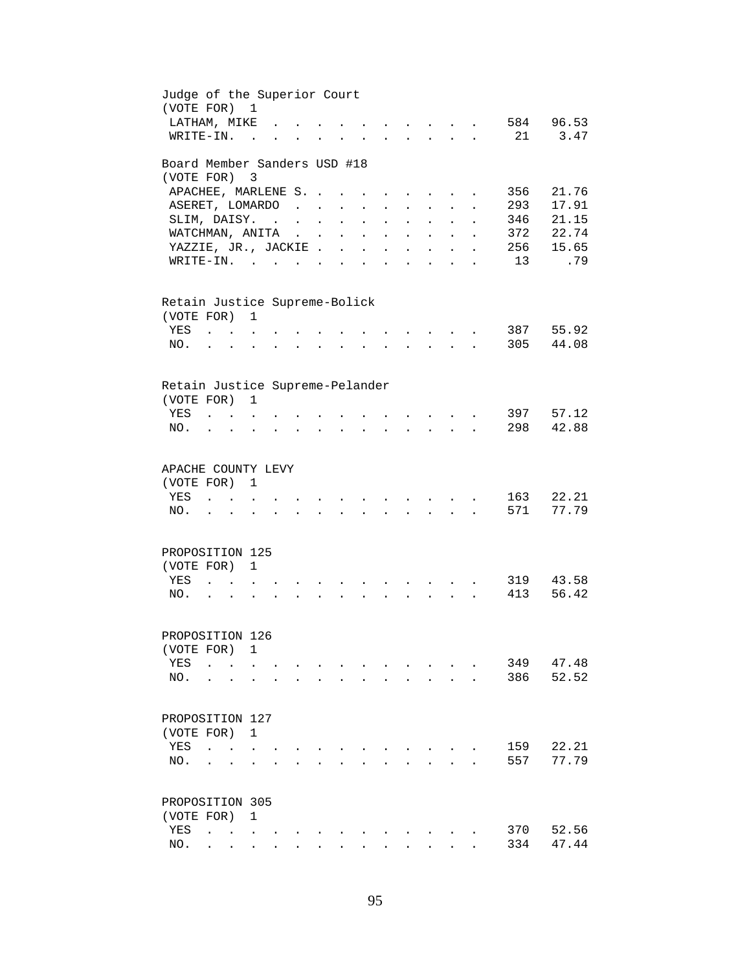| Judge of the Superior Court<br>(VOTE FOR) 1 |                                                |                               |                |                                                                                                                                                                   |                 |                           |                                      |                      |                                                           |                                            |                      |                      |     |       |
|---------------------------------------------|------------------------------------------------|-------------------------------|----------------|-------------------------------------------------------------------------------------------------------------------------------------------------------------------|-----------------|---------------------------|--------------------------------------|----------------------|-----------------------------------------------------------|--------------------------------------------|----------------------|----------------------|-----|-------|
| LATHAM, MIKE                                |                                                |                               |                |                                                                                                                                                                   |                 |                           |                                      |                      | $\mathbf{r}$ , $\mathbf{r}$ , $\mathbf{r}$                |                                            |                      |                      | 584 | 96.53 |
| WRITE-IN.                                   |                                                |                               | $\sim$ $\sim$  |                                                                                                                                                                   |                 |                           | $\mathbf{L} = \mathbf{L} \mathbf{L}$ |                      | $\mathbf{r}$ , $\mathbf{r}$ , $\mathbf{r}$ , $\mathbf{r}$ |                                            |                      |                      | 21  | 3.47  |
| Board Member Sanders USD #18                |                                                |                               |                |                                                                                                                                                                   |                 |                           |                                      |                      |                                                           |                                            |                      |                      |     |       |
| (VOTE FOR) 3                                |                                                |                               |                |                                                                                                                                                                   |                 |                           |                                      |                      |                                                           |                                            |                      |                      |     |       |
| APACHEE, MARLENE S. .                       |                                                |                               |                |                                                                                                                                                                   |                 |                           |                                      |                      | $\sim$ $\sim$                                             |                                            |                      |                      | 356 | 21.76 |
| ASERET, LOMARDO                             |                                                |                               |                | $\sim$ $\sim$ $\sim$ $\sim$                                                                                                                                       |                 | $\mathbf{L}^{\text{max}}$ | $\ddot{\phantom{a}}$                 |                      | $\ddot{\phantom{a}}$                                      |                                            |                      |                      | 293 | 17.91 |
| SLIM, DAISY.                                |                                                |                               |                |                                                                                                                                                                   | $\sim$ $\sim$   | $\ddot{\phantom{a}}$      | $\mathcal{L}^{\text{max}}$           | $\mathbf{r}$         | $\ddot{\phantom{a}}$                                      | $\mathbf{L}^{\text{max}}$                  | $\ddot{\phantom{0}}$ |                      | 346 | 21.15 |
| WATCHMAN, ANITA                             |                                                |                               |                | $\sim 10^{-1}$ and $\sim 10^{-1}$                                                                                                                                 |                 | $\sim$                    | $\mathbf{L}$                         | $\mathbf{r}$         | $\sim$                                                    | $\sim$                                     | $\ddot{\phantom{a}}$ |                      | 372 | 22.74 |
| YAZZIE, JR., JACKIE                         |                                                |                               |                |                                                                                                                                                                   |                 |                           |                                      |                      | $\mathbf{r} = \mathbf{r} + \mathbf{r}$                    |                                            | $\mathbf{r}$         | $\ddot{\phantom{a}}$ | 256 | 15.65 |
| $\texttt{WRTTE-IN.}$                        |                                                |                               |                |                                                                                                                                                                   |                 |                           |                                      |                      | $\mathbf{r}$ , $\mathbf{r}$ , $\mathbf{r}$ , $\mathbf{r}$ |                                            |                      | $\mathbf{r}$         | 13  | .79   |
| Retain Justice Supreme-Bolick               |                                                |                               |                |                                                                                                                                                                   |                 |                           |                                      |                      |                                                           |                                            |                      |                      |     |       |
| (VOTE FOR) 1                                |                                                |                               |                |                                                                                                                                                                   |                 |                           |                                      |                      |                                                           |                                            |                      |                      |     |       |
| YES                                         | $\mathbf{r}$ . The set of $\mathbf{r}$         |                               |                |                                                                                                                                                                   |                 |                           |                                      |                      |                                                           |                                            |                      |                      | 387 | 55.92 |
| NO.                                         |                                                |                               |                |                                                                                                                                                                   |                 |                           |                                      |                      |                                                           |                                            |                      |                      | 305 | 44.08 |
| Retain Justice Supreme-Pelander             |                                                |                               | $\mathbf{1}$   |                                                                                                                                                                   |                 |                           |                                      |                      |                                                           |                                            |                      |                      |     |       |
| (VOTE FOR)<br>YES                           |                                                |                               |                |                                                                                                                                                                   |                 |                           |                                      |                      |                                                           |                                            |                      |                      | 397 | 57.12 |
|                                             | $\mathbf{L}$ and $\mathbf{L}$ and $\mathbf{L}$ |                               |                |                                                                                                                                                                   |                 |                           |                                      |                      |                                                           |                                            |                      |                      | 298 | 42.88 |
| NO.                                         |                                                | $\mathbf{r}$ and $\mathbf{r}$ |                | $\mathbf{1}$ $\mathbf{1}$ $\mathbf{1}$ $\mathbf{1}$ $\mathbf{1}$ $\mathbf{1}$ $\mathbf{1}$                                                                        |                 | $\bullet$ .               | $\ddot{\phantom{0}}$                 | $\ddot{\phantom{a}}$ |                                                           | $\mathbf{r} = \mathbf{r} \cdot \mathbf{r}$ |                      |                      |     |       |
| APACHE COUNTY LEVY                          |                                                |                               |                |                                                                                                                                                                   |                 |                           |                                      |                      |                                                           |                                            |                      |                      |     |       |
| (VOTE FOR) 1                                |                                                |                               |                |                                                                                                                                                                   |                 |                           |                                      |                      |                                                           |                                            |                      |                      |     |       |
| YES                                         | $\mathbf{r}$ , $\mathbf{r}$ , $\mathbf{r}$     |                               |                |                                                                                                                                                                   | $\sim 10^{-11}$ | $\ddot{\phantom{a}}$      | $\sim$ $\sim$                        |                      | $\mathbf{r}$ , $\mathbf{r}$ , $\mathbf{r}$                |                                            |                      |                      | 163 | 22.21 |
| NO.                                         |                                                | $\sim$ 100 $\mu$              | $\overline{a}$ | $\mathbf{r} = \mathbf{r} - \mathbf{r}$ , $\mathbf{r} = \mathbf{r} - \mathbf{r}$ , $\mathbf{r} = \mathbf{r} - \mathbf{r}$ , $\mathbf{r} = \mathbf{r} - \mathbf{r}$ |                 |                           |                                      |                      |                                                           |                                            |                      |                      | 571 | 77.79 |
|                                             |                                                |                               |                |                                                                                                                                                                   |                 |                           |                                      |                      |                                                           |                                            |                      |                      |     |       |
| PROPOSITION 125                             |                                                |                               |                |                                                                                                                                                                   |                 |                           |                                      |                      |                                                           |                                            |                      |                      |     |       |
| (VOTE FOR) 1                                |                                                |                               |                |                                                                                                                                                                   |                 |                           |                                      |                      |                                                           |                                            |                      |                      |     |       |
| YES                                         | $\overline{a}$                                 |                               |                |                                                                                                                                                                   |                 |                           |                                      |                      |                                                           |                                            |                      |                      | 319 | 43.58 |
| NO.                                         | $\ddot{\phantom{0}}$                           |                               |                |                                                                                                                                                                   |                 |                           |                                      |                      |                                                           |                                            |                      |                      | 413 | 56.42 |
|                                             |                                                |                               |                |                                                                                                                                                                   |                 |                           |                                      |                      |                                                           |                                            |                      |                      |     |       |
| PROPOSITION 126                             |                                                |                               |                |                                                                                                                                                                   |                 |                           |                                      |                      |                                                           |                                            |                      |                      |     |       |
| (VOTE FOR) 1                                |                                                |                               |                |                                                                                                                                                                   |                 |                           |                                      |                      |                                                           |                                            |                      |                      |     |       |
| YES                                         | $\ddot{\phantom{a}}$                           |                               |                |                                                                                                                                                                   |                 |                           |                                      |                      |                                                           |                                            |                      |                      | 349 | 47.48 |
| NO.                                         |                                                |                               |                |                                                                                                                                                                   |                 |                           |                                      |                      |                                                           | $\ddot{\phantom{a}}$                       | $\ddot{\phantom{a}}$ |                      | 386 | 52.52 |
| PROPOSITION 127                             |                                                |                               |                |                                                                                                                                                                   |                 |                           |                                      |                      |                                                           |                                            |                      |                      |     |       |
| (VOTE FOR) 1                                |                                                |                               |                |                                                                                                                                                                   |                 |                           |                                      |                      |                                                           |                                            |                      |                      |     |       |
| YES                                         | $\sim$                                         | $\sim$ $\sim$ $\sim$          |                |                                                                                                                                                                   |                 |                           |                                      |                      |                                                           |                                            |                      |                      | 159 | 22.21 |
| NO.                                         |                                                |                               |                |                                                                                                                                                                   |                 |                           |                                      |                      |                                                           |                                            |                      |                      | 557 | 77.79 |
|                                             |                                                |                               |                |                                                                                                                                                                   |                 |                           |                                      |                      |                                                           |                                            |                      |                      |     |       |
| PROPOSITION 305                             |                                                |                               |                |                                                                                                                                                                   |                 |                           |                                      |                      |                                                           |                                            |                      |                      |     |       |
| (VOTE FOR)                                  |                                                |                               | 1              |                                                                                                                                                                   |                 |                           |                                      |                      |                                                           |                                            |                      |                      |     |       |
| YES                                         |                                                |                               |                |                                                                                                                                                                   |                 |                           |                                      |                      |                                                           |                                            |                      |                      | 370 | 52.56 |
| NO.                                         |                                                |                               |                |                                                                                                                                                                   |                 |                           |                                      |                      |                                                           |                                            |                      |                      | 334 | 47.44 |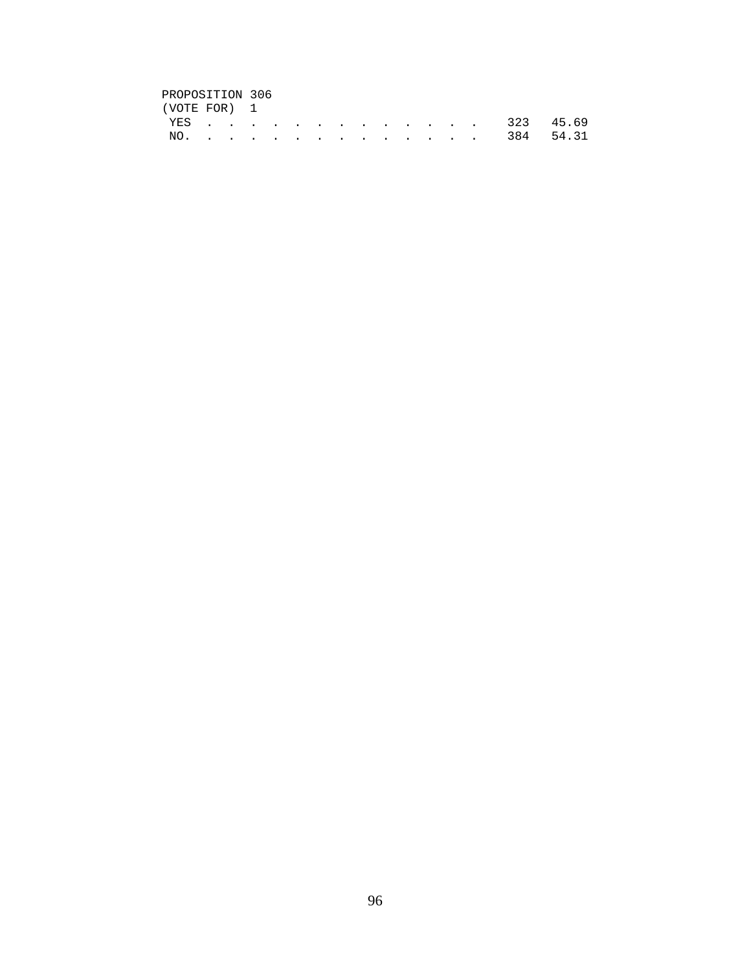## PROPOSITION 306<br>(VOTE FOR) 1

| (VOTE FOR) 1 |  |  |  |  |  |  |  |               |  |
|--------------|--|--|--|--|--|--|--|---------------|--|
|              |  |  |  |  |  |  |  | YES 323 45.69 |  |
|              |  |  |  |  |  |  |  | NO. 384 54.31 |  |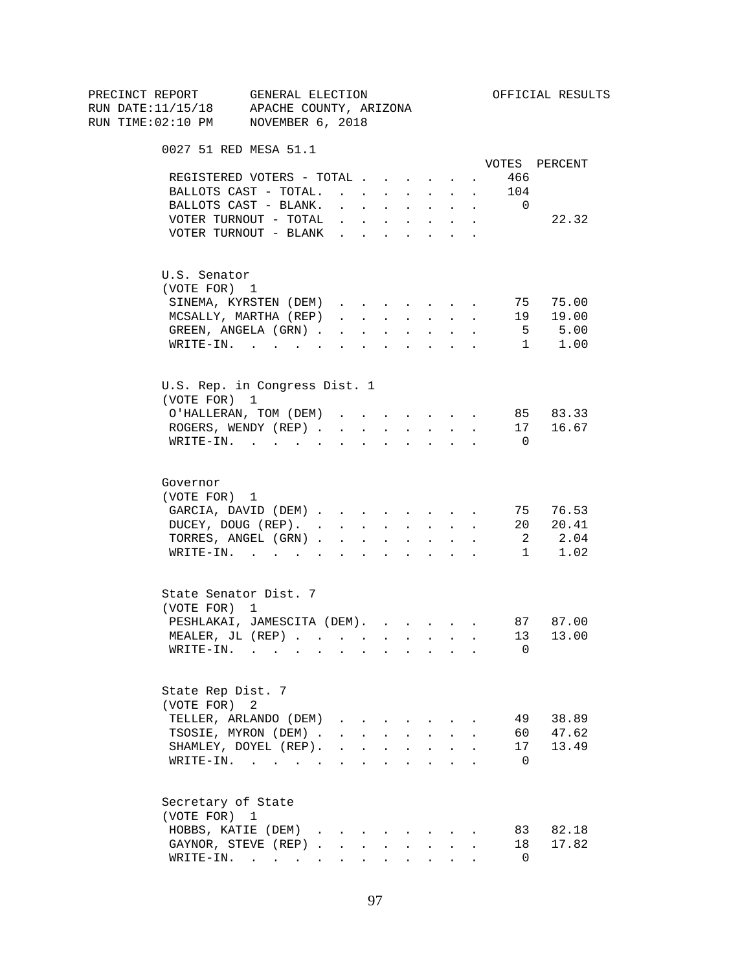| PRECINCT REPORT                          | GENERAL ELECTION                                                                                                                                                                                                               |                                                                                                                                                                                                                                                                                                                                                                                                                                                                           |                      |                          |        |                                        |                                                           |                               |                | OFFICIAL RESULTS                                                                            |
|------------------------------------------|--------------------------------------------------------------------------------------------------------------------------------------------------------------------------------------------------------------------------------|---------------------------------------------------------------------------------------------------------------------------------------------------------------------------------------------------------------------------------------------------------------------------------------------------------------------------------------------------------------------------------------------------------------------------------------------------------------------------|----------------------|--------------------------|--------|----------------------------------------|-----------------------------------------------------------|-------------------------------|----------------|---------------------------------------------------------------------------------------------|
| RUN DATE:11/15/18 APACHE COUNTY, ARIZONA |                                                                                                                                                                                                                                |                                                                                                                                                                                                                                                                                                                                                                                                                                                                           |                      |                          |        |                                        |                                                           |                               |                |                                                                                             |
| RUN TIME:02:10 PM NOVEMBER 6, 2018       |                                                                                                                                                                                                                                |                                                                                                                                                                                                                                                                                                                                                                                                                                                                           |                      |                          |        |                                        |                                                           |                               |                |                                                                                             |
|                                          | 0027 51 RED MESA 51.1                                                                                                                                                                                                          |                                                                                                                                                                                                                                                                                                                                                                                                                                                                           |                      |                          |        |                                        |                                                           |                               |                |                                                                                             |
|                                          |                                                                                                                                                                                                                                |                                                                                                                                                                                                                                                                                                                                                                                                                                                                           |                      |                          |        |                                        |                                                           |                               |                | VOTES PERCENT                                                                               |
|                                          | REGISTERED VOTERS - TOTAL                                                                                                                                                                                                      |                                                                                                                                                                                                                                                                                                                                                                                                                                                                           |                      |                          |        |                                        |                                                           | $\mathbf{A}$ and $\mathbf{A}$ | 466            |                                                                                             |
|                                          | BALLOTS CAST - TOTAL.                                                                                                                                                                                                          |                                                                                                                                                                                                                                                                                                                                                                                                                                                                           |                      |                          |        |                                        |                                                           |                               | 104            |                                                                                             |
|                                          | BALLOTS CAST - BLANK.                                                                                                                                                                                                          | $\mathbf{1} \qquad \qquad \mathbf{1} \qquad \qquad \mathbf{1} \qquad \qquad \mathbf{1} \qquad \qquad \mathbf{1} \qquad \qquad \mathbf{1} \qquad \qquad \mathbf{1} \qquad \qquad \mathbf{1} \qquad \qquad \mathbf{1} \qquad \qquad \mathbf{1} \qquad \qquad \mathbf{1} \qquad \qquad \mathbf{1} \qquad \qquad \mathbf{1} \qquad \qquad \mathbf{1} \qquad \qquad \mathbf{1} \qquad \qquad \mathbf{1} \qquad \qquad \mathbf{1} \qquad \mathbf{1} \qquad \qquad \mathbf{1} \$ |                      |                          |        |                                        |                                                           | $\ddot{\phantom{0}}$          | $\overline{0}$ |                                                                                             |
|                                          | VOTER TURNOUT - TOTAL<br>VOTER TURNOUT - BLANK                                                                                                                                                                                 |                                                                                                                                                                                                                                                                                                                                                                                                                                                                           |                      |                          |        | $\mathbf{L} = \mathbf{L}$              | $\sim$                                                    |                               |                | 22.32                                                                                       |
|                                          |                                                                                                                                                                                                                                |                                                                                                                                                                                                                                                                                                                                                                                                                                                                           |                      |                          |        |                                        |                                                           |                               |                |                                                                                             |
| U.S. Senator                             |                                                                                                                                                                                                                                |                                                                                                                                                                                                                                                                                                                                                                                                                                                                           |                      |                          |        |                                        |                                                           |                               |                |                                                                                             |
| (VOTE FOR) 1                             |                                                                                                                                                                                                                                |                                                                                                                                                                                                                                                                                                                                                                                                                                                                           |                      |                          |        |                                        |                                                           |                               |                |                                                                                             |
|                                          | SINEMA, KYRSTEN (DEM)                                                                                                                                                                                                          |                                                                                                                                                                                                                                                                                                                                                                                                                                                                           |                      |                          |        |                                        |                                                           |                               |                | 75 75.00                                                                                    |
|                                          | MCSALLY, MARTHA (REP)                                                                                                                                                                                                          | $\mathbf{1} \qquad \qquad \mathbf{1} \qquad \qquad \mathbf{1} \qquad \qquad \mathbf{1} \qquad \qquad \mathbf{1} \qquad \qquad \mathbf{1} \qquad \qquad \mathbf{1} \qquad \qquad \mathbf{1} \qquad \qquad \mathbf{1} \qquad \qquad \mathbf{1} \qquad \qquad \mathbf{1} \qquad \qquad \mathbf{1} \qquad \qquad \mathbf{1} \qquad \qquad \mathbf{1} \qquad \qquad \mathbf{1} \qquad \qquad \mathbf{1} \qquad \qquad \mathbf{1} \qquad \mathbf{1} \qquad \qquad \mathbf{1} \$ |                      |                          |        |                                        |                                                           |                               | 19             |                                                                                             |
|                                          | GREEN, ANGELA (GRN)                                                                                                                                                                                                            |                                                                                                                                                                                                                                                                                                                                                                                                                                                                           |                      |                          |        |                                        |                                                           |                               |                |                                                                                             |
|                                          | WRITE-IN.                                                                                                                                                                                                                      | $\sim$                                                                                                                                                                                                                                                                                                                                                                                                                                                                    | $\ddot{\phantom{a}}$ | <b>Contract Contract</b> |        |                                        | $\cdot$ $\cdot$ $\cdot$ $\cdot$                           |                               |                | $\begin{bmatrix} . & . & 0 & 0 \\ . & . & . & 5 & . & 0 \\ 1 & . & . & . & . \end{bmatrix}$ |
|                                          | U.S. Rep. in Congress Dist. 1                                                                                                                                                                                                  |                                                                                                                                                                                                                                                                                                                                                                                                                                                                           |                      |                          |        |                                        |                                                           |                               |                |                                                                                             |
| (VOTE FOR) 1                             |                                                                                                                                                                                                                                |                                                                                                                                                                                                                                                                                                                                                                                                                                                                           |                      |                          |        |                                        |                                                           |                               |                |                                                                                             |
|                                          | O'HALLERAN, TOM (DEM)                                                                                                                                                                                                          | and a series of the series of the                                                                                                                                                                                                                                                                                                                                                                                                                                         |                      |                          |        |                                        |                                                           |                               |                | 85 83.33                                                                                    |
|                                          | ROGERS, WENDY (REP)                                                                                                                                                                                                            |                                                                                                                                                                                                                                                                                                                                                                                                                                                                           |                      |                          |        |                                        | $\mathbf{r}$ , $\mathbf{r}$ , $\mathbf{r}$ , $\mathbf{r}$ |                               |                | 17 16.67                                                                                    |
|                                          | WRITE-IN.                                                                                                                                                                                                                      |                                                                                                                                                                                                                                                                                                                                                                                                                                                                           |                      |                          |        |                                        |                                                           |                               | $\overline{0}$ |                                                                                             |
| Governor                                 |                                                                                                                                                                                                                                |                                                                                                                                                                                                                                                                                                                                                                                                                                                                           |                      |                          |        |                                        |                                                           |                               |                |                                                                                             |
| (VOTE FOR) 1                             |                                                                                                                                                                                                                                |                                                                                                                                                                                                                                                                                                                                                                                                                                                                           |                      |                          |        |                                        |                                                           |                               |                |                                                                                             |
|                                          | GARCIA, DAVID (DEM)                                                                                                                                                                                                            |                                                                                                                                                                                                                                                                                                                                                                                                                                                                           |                      |                          |        |                                        |                                                           |                               |                | 75 76.53                                                                                    |
|                                          | DUCEY, DOUG (REP).                                                                                                                                                                                                             |                                                                                                                                                                                                                                                                                                                                                                                                                                                                           |                      |                          |        |                                        |                                                           |                               |                | 20 20.41                                                                                    |
|                                          | TORRES, ANGEL (GRN)                                                                                                                                                                                                            |                                                                                                                                                                                                                                                                                                                                                                                                                                                                           |                      |                          |        |                                        |                                                           |                               |                | 2 2.04                                                                                      |
|                                          | WRITE-IN.                                                                                                                                                                                                                      |                                                                                                                                                                                                                                                                                                                                                                                                                                                                           |                      |                          |        |                                        |                                                           |                               |                | 1<br>1.02                                                                                   |
|                                          |                                                                                                                                                                                                                                |                                                                                                                                                                                                                                                                                                                                                                                                                                                                           |                      |                          |        |                                        |                                                           |                               |                |                                                                                             |
|                                          | State Senator Dist. 7                                                                                                                                                                                                          |                                                                                                                                                                                                                                                                                                                                                                                                                                                                           |                      |                          |        |                                        |                                                           |                               |                |                                                                                             |
| (VOTE FOR) 1                             |                                                                                                                                                                                                                                |                                                                                                                                                                                                                                                                                                                                                                                                                                                                           |                      |                          |        |                                        |                                                           |                               |                |                                                                                             |
|                                          | PESHLAKAI, JAMESCITA (DEM). 87 87.00                                                                                                                                                                                           |                                                                                                                                                                                                                                                                                                                                                                                                                                                                           |                      |                          |        |                                        |                                                           |                               |                |                                                                                             |
|                                          | MEALER. JL (REP).                                                                                                                                                                                                              |                                                                                                                                                                                                                                                                                                                                                                                                                                                                           |                      |                          |        |                                        |                                                           |                               |                | 13 13.00                                                                                    |
| WRITE-IN.                                | the contract of the contract of the contract of the contract of the contract of the contract of the contract of the contract of the contract of the contract of the contract of the contract of the contract of the contract o |                                                                                                                                                                                                                                                                                                                                                                                                                                                                           |                      |                          |        |                                        |                                                           |                               | 0              |                                                                                             |
| State Rep Dist. 7                        |                                                                                                                                                                                                                                |                                                                                                                                                                                                                                                                                                                                                                                                                                                                           |                      |                          |        |                                        |                                                           |                               |                |                                                                                             |
| (VOTE FOR) 2                             |                                                                                                                                                                                                                                |                                                                                                                                                                                                                                                                                                                                                                                                                                                                           |                      |                          |        |                                        |                                                           |                               |                |                                                                                             |
|                                          | TELLER, ARLANDO (DEM)                                                                                                                                                                                                          | $\mathbf{r}$ and $\mathbf{r}$                                                                                                                                                                                                                                                                                                                                                                                                                                             |                      |                          |        |                                        |                                                           |                               | 49             | 38.89                                                                                       |
|                                          | TSOSIE, MYRON (DEM).                                                                                                                                                                                                           |                                                                                                                                                                                                                                                                                                                                                                                                                                                                           |                      |                          | $\sim$ | $\sim$                                 | $\mathbf{r}$                                              |                               | 60             | 47.62                                                                                       |
|                                          | SHAMLEY, DOYEL (REP).                                                                                                                                                                                                          | $\mathbf{r} = \mathbf{r} + \mathbf{r} + \mathbf{r} + \mathbf{r} + \mathbf{r}$                                                                                                                                                                                                                                                                                                                                                                                             |                      |                          |        |                                        |                                                           |                               | 17             | 13.49                                                                                       |
|                                          | WRITE-IN.                                                                                                                                                                                                                      |                                                                                                                                                                                                                                                                                                                                                                                                                                                                           |                      |                          |        | $\mathbf{r}$ . The set of $\mathbf{r}$ |                                                           |                               | 0              |                                                                                             |
|                                          |                                                                                                                                                                                                                                |                                                                                                                                                                                                                                                                                                                                                                                                                                                                           |                      |                          |        |                                        |                                                           |                               |                |                                                                                             |
| Secretary of State<br>(VOTE FOR) 1       |                                                                                                                                                                                                                                |                                                                                                                                                                                                                                                                                                                                                                                                                                                                           |                      |                          |        |                                        |                                                           |                               |                |                                                                                             |
|                                          | HOBBS, KATIE (DEM)                                                                                                                                                                                                             |                                                                                                                                                                                                                                                                                                                                                                                                                                                                           |                      |                          |        |                                        |                                                           |                               | 83             | 82.18                                                                                       |
|                                          | GAYNOR, STEVE (REP).                                                                                                                                                                                                           |                                                                                                                                                                                                                                                                                                                                                                                                                                                                           | $\sim$               | $\sim$                   |        | $\mathbf{L}$                           |                                                           |                               | 18             | 17.82                                                                                       |
|                                          | WRITE-IN.                                                                                                                                                                                                                      |                                                                                                                                                                                                                                                                                                                                                                                                                                                                           |                      |                          |        |                                        |                                                           |                               | 0              |                                                                                             |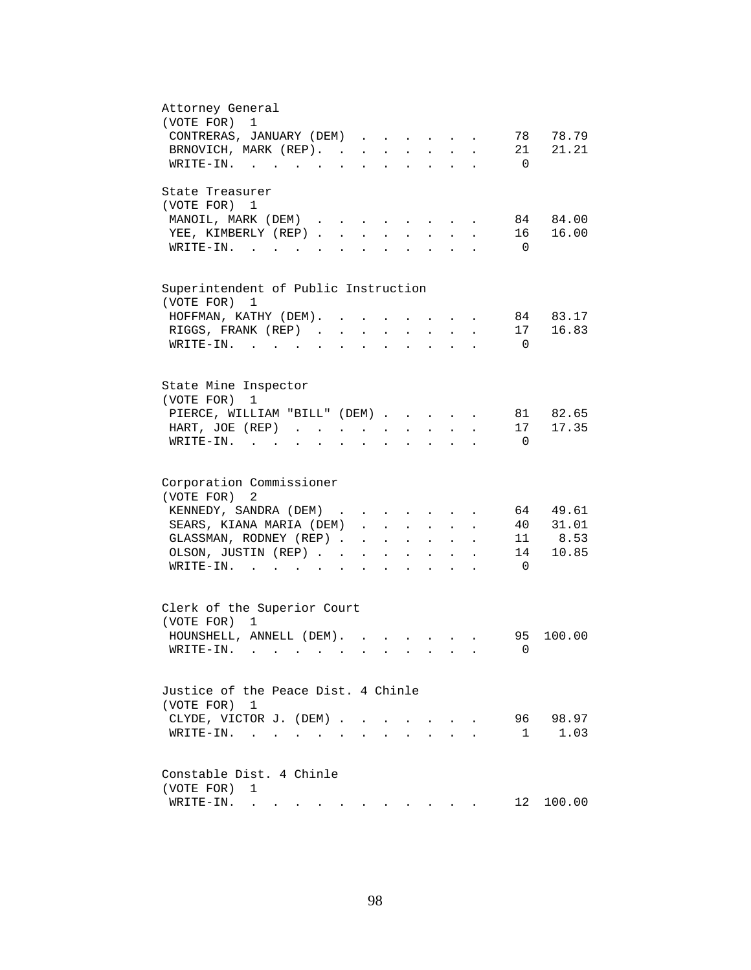| Attorney General<br>(VOTE FOR)<br>1                                                                                                                                                             |
|-------------------------------------------------------------------------------------------------------------------------------------------------------------------------------------------------|
| 78<br>78.79                                                                                                                                                                                     |
| CONTRERAS, JANUARY (DEM)                                                                                                                                                                        |
| 21.21<br>BRNOVICH, MARK (REP).<br>21                                                                                                                                                            |
| WRITE-IN.<br>$\overline{0}$                                                                                                                                                                     |
| State Treasurer                                                                                                                                                                                 |
| (VOTE FOR) 1                                                                                                                                                                                    |
| MANOIL, MARK (DEM)<br>84 84.00<br>and the contract of the contract of                                                                                                                           |
| 16.00<br>YEE, KIMBERLY (REP)<br>16<br>$\mathcal{L}^{\text{max}}$<br>$\sim$<br>$\sim$                                                                                                            |
| $W\text{RITE}-\text{IN}.$<br>$\overline{0}$<br>$\mathbf{r} = \mathbf{r}$                                                                                                                        |
|                                                                                                                                                                                                 |
| Superintendent of Public Instruction                                                                                                                                                            |
| (VOTE FOR)<br>1                                                                                                                                                                                 |
| 84 83.17<br>HOFFMAN, KATHY (DEM).                                                                                                                                                               |
| 16.83<br>RIGGS, FRANK (REP).<br>17<br>$\sim$ $\sim$                                                                                                                                             |
| WRITE-IN.<br>$\overline{0}$                                                                                                                                                                     |
|                                                                                                                                                                                                 |
| State Mine Inspector                                                                                                                                                                            |
| (VOTE FOR)<br>1                                                                                                                                                                                 |
| 81 82.65                                                                                                                                                                                        |
| PIERCE, WILLIAM "BILL" (DEM)<br>17 17.35<br>HART, JOE (REP)                                                                                                                                     |
| $\mathbf{z} = \mathbf{z} + \mathbf{z}$ .<br>$\mathbf{z} = \mathbf{z} + \mathbf{z}$                                                                                                              |
| $\texttt{WRTTE-IN.}$<br>$\overline{0}$<br>$\mathbf{r} = \mathbf{r} + \mathbf{r} + \mathbf{r}$<br>$\ddot{\phantom{a}}$<br>$\ddot{\phantom{a}}$                                                   |
|                                                                                                                                                                                                 |
| Corporation Commissioner                                                                                                                                                                        |
| (VOTE FOR)<br>2                                                                                                                                                                                 |
| KENNEDY, SANDRA (DEM)<br>64 49.61                                                                                                                                                               |
| SEARS, KIANA MARIA (DEM)<br>40 31.01                                                                                                                                                            |
| 11 8.53<br>GLASSMAN, RODNEY (REP)<br>$\mathbf{r} = \mathbf{r} \cdot \mathbf{r} = \mathbf{r} \cdot \mathbf{r} = \mathbf{r} \cdot \mathbf{r}$                                                     |
| 14<br>10.85<br>OLSON, JUSTIN (REP)<br>$\mathbf{L}^{\text{max}}$ , and $\mathbf{L}^{\text{max}}$<br>$\bullet$ .<br><br><br><br><br><br><br><br><br><br><br><br><br>$\sim$ 100 $\pm$<br>$\bullet$ |
| $\overline{0}$<br>$\texttt{WRITE-IN.}\quad .\quad .\quad .\quad .\quad .\quad .$<br>$\mathbf{r}$ , $\mathbf{r}$ , $\mathbf{r}$ , $\mathbf{r}$<br>$\ddot{\phantom{a}}$                           |
|                                                                                                                                                                                                 |
| Clerk of the Superior Court                                                                                                                                                                     |
| (VOTE FOR) 1                                                                                                                                                                                    |
| 95<br>100.00<br>HOUNSHELL, ANNELL (DEM).                                                                                                                                                        |
| WRITE-IN.<br>$\mathbf{0}$                                                                                                                                                                       |
|                                                                                                                                                                                                 |
| Justice of the Peace Dist. 4 Chinle                                                                                                                                                             |
| (VOTE FOR) 1                                                                                                                                                                                    |
| 96<br>98.97<br>CLYDE, VICTOR J. (DEM).<br>$\sim$<br>$\sim$                                                                                                                                      |
| 1.03<br>$\mathbf{1}$<br>WRITE-IN.<br>$\sim$                                                                                                                                                     |
|                                                                                                                                                                                                 |
| Constable Dist. 4 Chinle                                                                                                                                                                        |
| (VOTE FOR)<br>1                                                                                                                                                                                 |
| 12<br>100.00<br>WRITE-IN.<br>. The contribution of the contribution of the contribution of $\mathcal{A}$                                                                                        |
|                                                                                                                                                                                                 |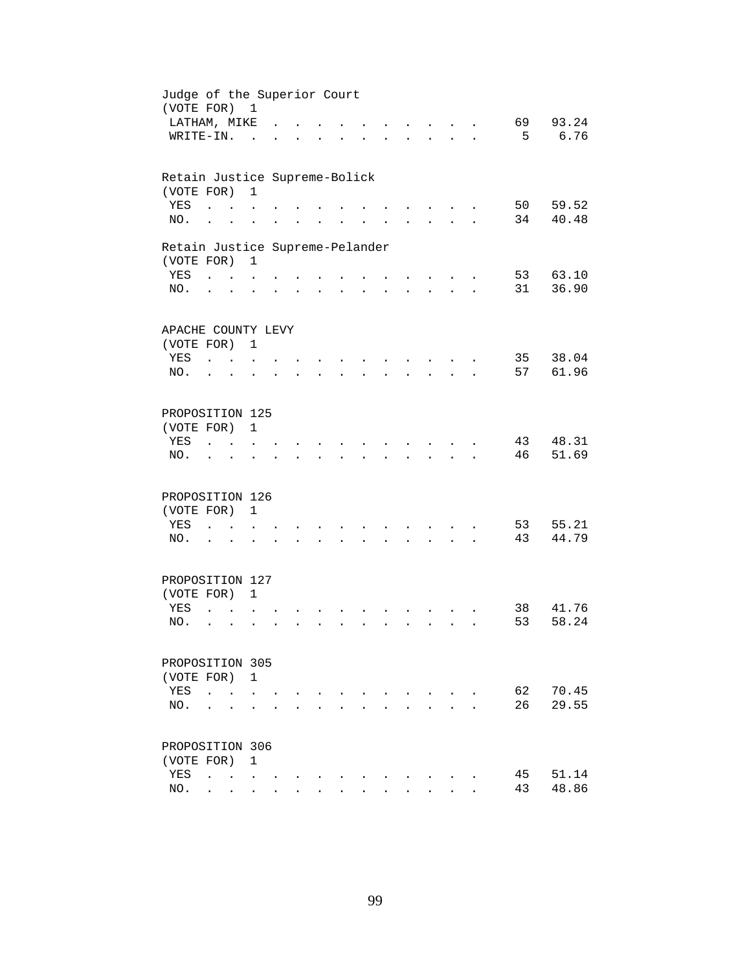| Judge of the Superior Court<br>(VOTE FOR) 1   |                                              |                                                              |                      |                      |                      |                      |                      |                             |                                                             |                      |                                   |                                 |          |                |
|-----------------------------------------------|----------------------------------------------|--------------------------------------------------------------|----------------------|----------------------|----------------------|----------------------|----------------------|-----------------------------|-------------------------------------------------------------|----------------------|-----------------------------------|---------------------------------|----------|----------------|
| LATHAM, MIKE                                  |                                              |                                                              |                      |                      |                      |                      |                      |                             |                                                             |                      | $\mathbf{r}$ and $\mathbf{r}$     |                                 | 69       | 93.24          |
| WRITE-IN.                                     |                                              |                                                              | $\sim$               |                      |                      |                      |                      |                             |                                                             |                      |                                   | $\cdot$ $\cdot$ $\cdot$ $\cdot$ | 5        | 6.76           |
| Retain Justice Supreme-Bolick                 |                                              |                                                              |                      |                      |                      |                      |                      |                             |                                                             |                      |                                   |                                 |          |                |
| (VOTE FOR)                                    |                                              |                                                              | $\mathbf{1}$         |                      |                      |                      |                      |                             |                                                             |                      |                                   |                                 |          |                |
| YES<br>NO.                                    | $\ddot{\phantom{a}}$<br>$\ddot{\phantom{a}}$ |                                                              |                      |                      |                      |                      |                      |                             |                                                             |                      |                                   |                                 | 50<br>34 | 59.52<br>40.48 |
|                                               |                                              |                                                              |                      |                      |                      |                      |                      |                             |                                                             |                      |                                   |                                 |          |                |
| Retain Justice Supreme-Pelander<br>(VOTE FOR) |                                              |                                                              | $\mathbf{1}$         |                      |                      |                      |                      |                             |                                                             |                      |                                   |                                 |          |                |
| YES                                           | $\cdots$ $\cdots$                            |                                                              |                      |                      |                      |                      |                      | $\sim$ $\sim$ $\sim$ $\sim$ |                                                             |                      | <b>Contract Contract Contract</b> |                                 | 53       | 63.10          |
| NO.                                           | $\mathbf{L} = \mathbf{L}$                    |                                                              | $\ddot{\phantom{a}}$ |                      | $\ddot{\phantom{a}}$ | $\sim$ 100 $\pm$     | $\sim$               | $\mathbf{L} = \mathbf{0}$   | $\bullet$ .<br><br><br><br><br><br><br><br><br><br><br><br> |                      |                                   | <b>Allen Adams</b>              | 31       | 36.90          |
| APACHE COUNTY LEVY                            |                                              |                                                              |                      |                      |                      |                      |                      |                             |                                                             |                      |                                   |                                 |          |                |
| (VOTE FOR) 1                                  |                                              |                                                              |                      |                      |                      |                      |                      |                             |                                                             |                      |                                   |                                 |          |                |
| YES                                           | $\sim$ $\sim$ $\sim$                         |                                                              | $\ddot{\phantom{a}}$ |                      |                      |                      |                      |                             |                                                             |                      |                                   |                                 | 35       | 38.04          |
| NO.                                           | $\ddot{\phantom{a}}$                         | $\overline{a}$                                               |                      |                      |                      |                      |                      |                             |                                                             |                      |                                   |                                 | 57       | 61.96          |
| PROPOSITION 125                               |                                              |                                                              |                      |                      |                      |                      |                      |                             |                                                             |                      |                                   |                                 |          |                |
| (VOTE FOR)                                    |                                              |                                                              | $\mathbf{1}$         |                      |                      |                      |                      |                             |                                                             |                      |                                   |                                 |          |                |
| YES                                           |                                              |                                                              |                      |                      |                      |                      |                      |                             |                                                             |                      |                                   |                                 | 43       | 48.31          |
| NO.                                           |                                              |                                                              |                      |                      |                      |                      |                      |                             |                                                             |                      |                                   |                                 | 46       | 51.69          |
| PROPOSITION 126                               |                                              |                                                              |                      |                      |                      |                      |                      |                             |                                                             |                      |                                   |                                 |          |                |
| (VOTE FOR)                                    |                                              |                                                              | $\mathbf{1}$         |                      |                      |                      |                      |                             |                                                             |                      |                                   |                                 |          |                |
| YES                                           | $\ddot{\phantom{a}}$                         | $\mathbf{r}$ , $\mathbf{r}$ , $\mathbf{r}$                   |                      |                      |                      |                      |                      |                             |                                                             |                      | $\sim$                            |                                 | 53       | 55.21          |
| NO.                                           | $\cdot$ $\cdot$                              |                                                              | $\ddot{\phantom{a}}$ | $\ddot{\phantom{a}}$ | $\ddot{\phantom{0}}$ | $\sim$               | $\sim$               | $\ddot{\phantom{0}}$        | $\sim$                                                      |                      |                                   | <b>All Carl Adams</b>           | 43       | 44.79          |
| PROPOSITION 127                               |                                              |                                                              |                      |                      |                      |                      |                      |                             |                                                             |                      |                                   |                                 |          |                |
| (VOTE FOR) 1                                  |                                              |                                                              |                      |                      |                      |                      |                      |                             |                                                             |                      |                                   |                                 |          |                |
| YES                                           | $\ddot{\phantom{a}}$                         |                                                              |                      |                      |                      |                      |                      |                             |                                                             |                      |                                   |                                 | 38       | 41.76          |
| NO.                                           | $\ddot{\phantom{a}}$                         | $\ddot{\phantom{a}}$                                         |                      |                      |                      | $\ddot{\phantom{a}}$ | $\ddot{\phantom{a}}$ |                             |                                                             | $\ddot{\phantom{a}}$ | $\sim$                            |                                 | 53       | 58.24          |
| PROPOSITION 305                               |                                              |                                                              |                      |                      |                      |                      |                      |                             |                                                             |                      |                                   |                                 |          |                |
| (VOTE FOR) 1                                  |                                              |                                                              |                      |                      |                      |                      |                      |                             |                                                             |                      |                                   |                                 |          |                |
| YES                                           | $\ddot{\phantom{a}}$                         |                                                              |                      |                      |                      |                      |                      |                             |                                                             |                      |                                   |                                 | 62       | 70.45          |
| NO.                                           |                                              |                                                              |                      |                      |                      |                      |                      |                             |                                                             |                      |                                   |                                 | 26       | 29.55          |
| PROPOSITION 306                               |                                              |                                                              |                      |                      |                      |                      |                      |                             |                                                             |                      |                                   |                                 |          |                |
| (VOTE FOR)                                    |                                              |                                                              | $\mathbf{1}$         |                      |                      |                      |                      |                             |                                                             |                      |                                   |                                 |          |                |
| YES                                           | $\ddot{\phantom{a}}$                         | $\mathbf{r}$ , $\mathbf{r}$ , $\mathbf{r}$ , $\mathbf{r}$    |                      |                      |                      |                      |                      |                             |                                                             |                      |                                   |                                 | 45       | 51.14          |
| NO.                                           |                                              | $\mathbf{L} = \mathbf{L} \mathbf{L} = \mathbf{L} \mathbf{L}$ |                      | $\ddot{\phantom{0}}$ | $\ddot{\phantom{0}}$ |                      |                      |                             |                                                             |                      |                                   |                                 | 43       | 48.86          |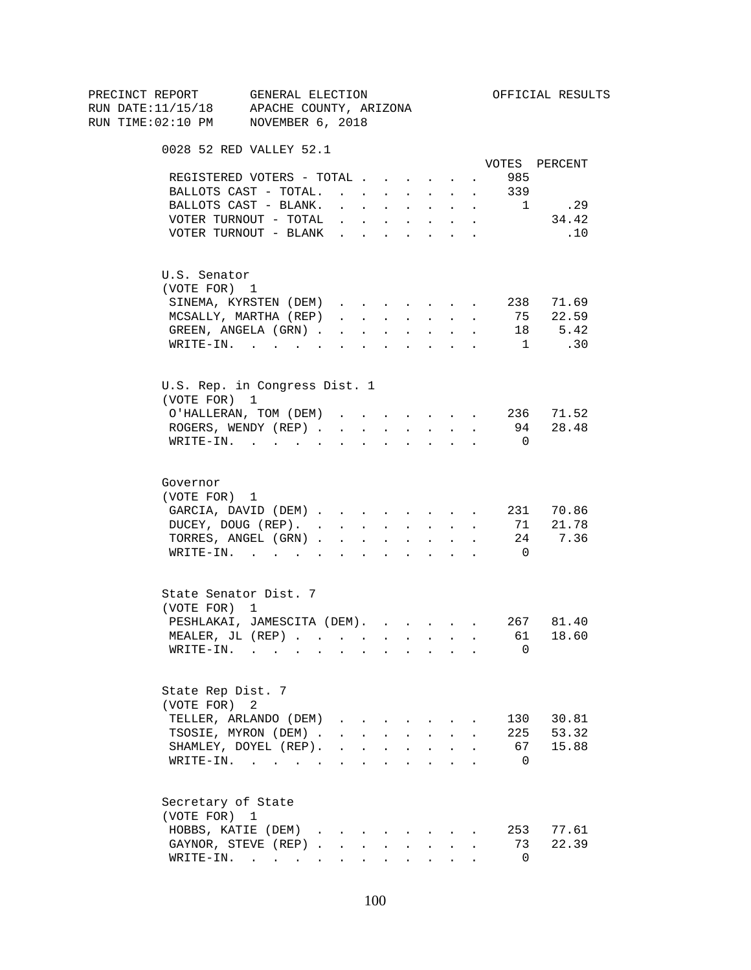| PRECINCT REPORT<br>RUN DATE:11/15/18 APACHE COUNTY, ARIZONA | GENERAL ELECTION                                           |                                              |                      |                               |        |                                   |                                                           |                      |                             | OFFICIAL RESULTS                         |
|-------------------------------------------------------------|------------------------------------------------------------|----------------------------------------------|----------------------|-------------------------------|--------|-----------------------------------|-----------------------------------------------------------|----------------------|-----------------------------|------------------------------------------|
| RUN TIME:02:10 PM NOVEMBER 6, 2018                          |                                                            |                                              |                      |                               |        |                                   |                                                           |                      |                             |                                          |
|                                                             |                                                            |                                              |                      |                               |        |                                   |                                                           |                      |                             |                                          |
| 0028 52 RED VALLEY 52.1                                     |                                                            |                                              |                      |                               |        |                                   |                                                           |                      |                             |                                          |
|                                                             |                                                            |                                              |                      |                               |        |                                   |                                                           |                      |                             | VOTES PERCENT                            |
| REGISTERED VOTERS - TOTAL                                   |                                                            |                                              |                      |                               |        |                                   |                                                           |                      | 985<br><b>Allen Control</b> |                                          |
| BALLOTS CAST - TOTAL. 339                                   |                                                            |                                              |                      |                               |        |                                   |                                                           |                      |                             |                                          |
| BALLOTS CAST - BLANK.                                       |                                                            | and a series of the control of the series of |                      |                               |        |                                   |                                                           |                      | 1                           | .29                                      |
| VOTER TURNOUT - TOTAL                                       |                                                            | and a strong control of the strong strong    |                      |                               |        |                                   | $\bullet$ . $\bullet$                                     | $\ddot{\phantom{0}}$ |                             | 34.42                                    |
| VOTER TURNOUT - BLANK                                       |                                                            |                                              |                      |                               |        |                                   | $\sim$                                                    | $\ddot{\phantom{0}}$ |                             | .10                                      |
| U.S. Senator                                                |                                                            |                                              |                      |                               |        |                                   |                                                           |                      |                             |                                          |
| (VOTE FOR) 1                                                |                                                            |                                              |                      |                               |        |                                   |                                                           |                      |                             |                                          |
| SINEMA, KYRSTEN (DEM)                                       |                                                            |                                              |                      |                               |        |                                   |                                                           |                      |                             | 238 71.69                                |
| MCSALLY, MARTHA (REP)                                       |                                                            |                                              |                      |                               |        |                                   |                                                           |                      |                             | 75 22.59                                 |
| GREEN, ANGELA (GRN)                                         |                                                            |                                              |                      |                               |        |                                   |                                                           |                      |                             |                                          |
|                                                             |                                                            |                                              |                      |                               |        |                                   |                                                           |                      | 1                           | 18 5.42<br>.30                           |
| WRITE-IN.                                                   |                                                            |                                              |                      |                               |        |                                   | $\mathbf{r}$ , $\mathbf{r}$ , $\mathbf{r}$ , $\mathbf{r}$ | $\sim$               |                             |                                          |
| U.S. Rep. in Congress Dist. 1                               |                                                            |                                              |                      |                               |        |                                   |                                                           |                      |                             |                                          |
| (VOTE FOR) 1                                                |                                                            |                                              |                      |                               |        |                                   |                                                           |                      |                             |                                          |
| O'HALLERAN, TOM (DEM) 236 71.52                             |                                                            |                                              |                      |                               |        |                                   |                                                           |                      |                             |                                          |
| ROGERS, WENDY (REP)                                         |                                                            |                                              |                      |                               |        |                                   |                                                           |                      |                             | $\cdot$ $\cdot$ $\cdot$ $\cdot$ 94 28.48 |
| WRITE-IN.                                                   |                                                            |                                              |                      |                               |        |                                   |                                                           |                      | $\overline{0}$              |                                          |
| Governor                                                    |                                                            |                                              |                      |                               |        |                                   |                                                           |                      |                             |                                          |
| (VOTE FOR) 1                                                |                                                            |                                              |                      |                               |        |                                   |                                                           |                      |                             |                                          |
| GARCIA, DAVID (DEM) 231 70.86                               |                                                            |                                              |                      |                               |        |                                   |                                                           |                      |                             |                                          |
| DUCEY, DOUG (REP).                                          |                                                            |                                              |                      |                               |        |                                   |                                                           |                      |                             | 71 21.78                                 |
| TORRES, ANGEL (GRN)                                         |                                                            |                                              |                      |                               |        |                                   |                                                           |                      |                             | 24 7.36                                  |
| WRITE-IN.                                                   |                                                            |                                              |                      |                               |        |                                   |                                                           |                      | $\overline{0}$              |                                          |
|                                                             |                                                            |                                              |                      |                               |        |                                   |                                                           |                      |                             |                                          |
| State Senator Dist. 7                                       |                                                            |                                              |                      |                               |        |                                   |                                                           |                      |                             |                                          |
| (VOTE FOR) 1                                                |                                                            |                                              |                      |                               |        |                                   |                                                           |                      |                             |                                          |
| PESHLAKAI, JAMESCITA (DEM). 267 81.40                       |                                                            |                                              |                      |                               |        |                                   |                                                           |                      |                             |                                          |
| MEALER, JL (REP) 61 18.60                                   |                                                            |                                              |                      |                               |        |                                   |                                                           |                      |                             |                                          |
| WRITE-IN.                                                   | والموارد والمتواطن والمتواطن والمتواطن والمتواطن والمتواطن |                                              |                      |                               |        |                                   |                                                           |                      | 0                           |                                          |
| State Rep Dist. 7                                           |                                                            |                                              |                      |                               |        |                                   |                                                           |                      |                             |                                          |
| (VOTE FOR) 2                                                |                                                            |                                              |                      |                               |        |                                   |                                                           |                      |                             |                                          |
| TELLER, ARLANDO (DEM)                                       |                                                            | $\mathbf{L} = \mathbf{L}$                    |                      |                               |        |                                   |                                                           |                      | 130                         | 30.81                                    |
| TSOSIE, MYRON (DEM).                                        |                                                            |                                              |                      | $\mathbf{L}$ and $\mathbf{L}$ |        | $\sim$                            |                                                           |                      | 225                         | 53.32                                    |
| SHAMLEY, DOYEL (REP).                                       |                                                            | $\mathbf{r} = \mathbf{r} \cdot \mathbf{r}$   |                      |                               |        | $\Delta \sim 100$ km s $^{-1}$    |                                                           |                      | 67                          | 15.88                                    |
|                                                             |                                                            |                                              |                      |                               |        |                                   |                                                           |                      |                             |                                          |
| $\texttt{WRTTE-IN.}$                                        |                                                            |                                              |                      |                               | $\sim$ | <b>Contract Contract Contract</b> |                                                           |                      | 0                           |                                          |
| Secretary of State                                          |                                                            |                                              |                      |                               |        |                                   |                                                           |                      |                             |                                          |
| (VOTE FOR) 1                                                |                                                            |                                              |                      |                               |        |                                   |                                                           |                      |                             |                                          |
| HOBBS, KATIE (DEM)                                          |                                                            |                                              |                      |                               |        |                                   |                                                           |                      | 253                         | 77.61                                    |
| GAYNOR, STEVE (REP).                                        |                                                            | $\mathbf{r}$                                 | $\ddot{\phantom{a}}$ |                               |        |                                   |                                                           |                      | 73                          | 22.39                                    |
| WRITE-IN.                                                   |                                                            |                                              |                      |                               |        |                                   |                                                           |                      | 0                           |                                          |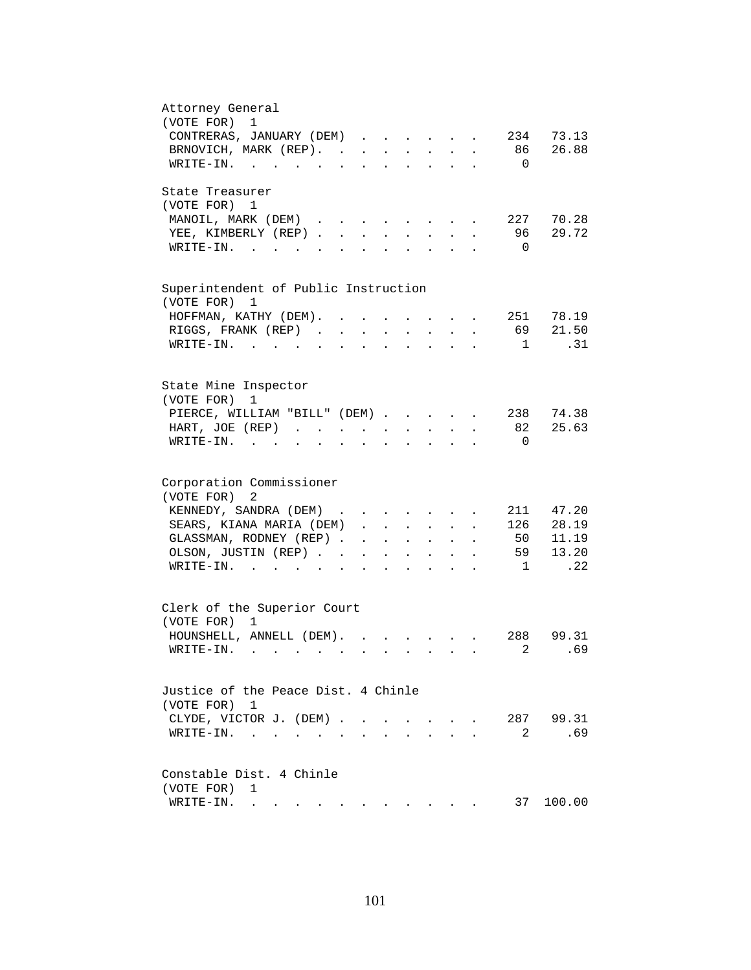| Attorney General<br>(VOTE FOR)<br>1                                                                                                                                                   |
|---------------------------------------------------------------------------------------------------------------------------------------------------------------------------------------|
| CONTRERAS, JANUARY (DEM)<br>234 73.13                                                                                                                                                 |
| BRNOVICH, MARK (REP).<br>86<br>26.88                                                                                                                                                  |
| WRITE-IN.<br>$\overline{0}$                                                                                                                                                           |
|                                                                                                                                                                                       |
| State Treasurer                                                                                                                                                                       |
| (VOTE FOR) 1                                                                                                                                                                          |
| 227 70.28<br>MANOIL, MARK (DEM)<br>$\sim$<br>and the contract of the contract of                                                                                                      |
| 29.72<br>YEE, KIMBERLY (REP)<br>96<br>$\sim$<br>$\sim$<br>$\sim$                                                                                                                      |
| $\overline{0}$<br>$W\text{RITE}-\text{IN}$ , , , ,<br>$\mathbf{L}$<br>$\sim$                                                                                                          |
|                                                                                                                                                                                       |
|                                                                                                                                                                                       |
| Superintendent of Public Instruction                                                                                                                                                  |
| (VOTE FOR) 1                                                                                                                                                                          |
| 251 78.19<br>HOFFMAN, KATHY (DEM). .                                                                                                                                                  |
| 21.50<br>RIGGS, FRANK (REP).<br>69<br>$\ddot{\phantom{a}}$                                                                                                                            |
| .31<br>WRITE-IN.<br>$\mathbf{1}$<br>$\sim$ 100 $\sim$                                                                                                                                 |
|                                                                                                                                                                                       |
|                                                                                                                                                                                       |
| State Mine Inspector<br>(VOTE FOR)<br>1                                                                                                                                               |
| 238 74.38<br>PIERCE, WILLIAM "BILL" (DEM)                                                                                                                                             |
| 82 25.63<br>HART, JOE (REP)                                                                                                                                                           |
| $\mathbf{z} = \mathbf{z} + \mathbf{z}$ .<br>$\mathbf{z} = \mathbf{z} + \mathbf{z}$ .<br>$\bullet$ .<br><br><br><br><br><br><br><br><br><br><br><br><br>$\ddot{\phantom{a}}$           |
| $WRITE-IN.$<br>$\Omega$<br>and the state of the state of the<br>$\mathbf{z} = \mathbf{z} + \mathbf{z}$ .<br>$\ddot{\phantom{a}}$<br>$\bullet$<br>$\ddot{\phantom{0}}$<br>$\mathbf{L}$ |
|                                                                                                                                                                                       |
| Corporation Commissioner                                                                                                                                                              |
| (VOTE FOR)<br>2                                                                                                                                                                       |
| KENNEDY, SANDRA (DEM)<br>211 47.20                                                                                                                                                    |
| 126 28.19<br>SEARS, KIANA MARIA (DEM)                                                                                                                                                 |
| 11.19<br>GLASSMAN, RODNEY (REP)<br>50<br><b>All Contract Contracts</b><br>$\mathbf{L}^{\text{max}}$ and $\mathbf{L}^{\text{max}}$                                                     |
| 59 13.20<br>OLSON, JUSTIN (REP)<br>$\mathbf{r} = \mathbf{r} + \mathbf{r}$ .<br>$\bullet$ .<br><br><br><br><br><br><br><br><br><br><br><br><br>$\bullet$<br>$\bullet$ .                |
| .22<br>$\texttt{WRITE-IN.}$<br>$\overline{\phantom{a}}$<br>$\mathbf{r} = \mathbf{r}$ and $\mathbf{r} = \mathbf{r}$                                                                    |
|                                                                                                                                                                                       |
|                                                                                                                                                                                       |
| Clerk of the Superior Court<br>(VOTE FOR) 1                                                                                                                                           |
|                                                                                                                                                                                       |
| 99.31<br>HOUNSHELL, ANNELL (DEM).<br>288<br>$\mathbf{r}$ , $\mathbf{r}$ , $\mathbf{r}$ , $\mathbf{r}$ , $\mathbf{r}$                                                                  |
| 2<br>.69<br>WRITE-IN.                                                                                                                                                                 |
|                                                                                                                                                                                       |
| Justice of the Peace Dist. 4 Chinle                                                                                                                                                   |
| (VOTE FOR) 1                                                                                                                                                                          |
| 287 99.31<br>CLYDE, VICTOR J. (DEM).<br>$\sim$<br>$\sim$<br>$\sim$<br>$\ddot{\phantom{0}}$                                                                                            |
| .69<br>2<br>WRITE-IN.<br>$\ddot{\phantom{a}}$                                                                                                                                         |
|                                                                                                                                                                                       |
|                                                                                                                                                                                       |
| Constable Dist. 4 Chinle                                                                                                                                                              |
| (VOTE FOR)<br>1                                                                                                                                                                       |
| 37<br>100.00<br>WRITE-IN.<br>. The simple state is a strong strong of the state of the state of the state $\alpha$                                                                    |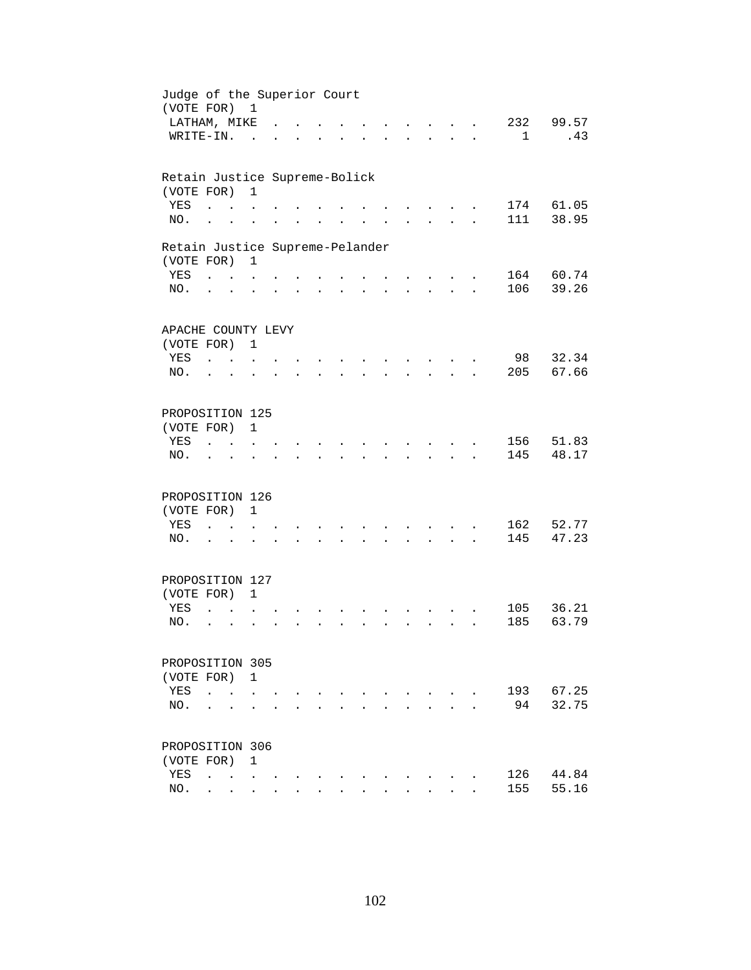| Judge of the Superior Court<br>(VOTE FOR) 1   |                          |                                            |                      |                      |                      |                      |                      |                      |                      |                                                     |                      |              |           |
|-----------------------------------------------|--------------------------|--------------------------------------------|----------------------|----------------------|----------------------|----------------------|----------------------|----------------------|----------------------|-----------------------------------------------------|----------------------|--------------|-----------|
| LATHAM, MIKE                                  |                          |                                            |                      |                      |                      |                      |                      |                      |                      | $\mathbf{L} = \mathbf{L}$                           |                      | 232          | 99.57     |
| WRITE-IN.                                     |                          |                                            | $\sim$               |                      |                      |                      |                      |                      |                      | $\sim$ $\sim$                                       | $\ddot{\phantom{a}}$ | $\mathbf{1}$ | .43       |
| Retain Justice Supreme-Bolick                 |                          |                                            |                      |                      |                      |                      |                      |                      |                      |                                                     |                      |              |           |
| (VOTE FOR)                                    |                          |                                            | $\mathbf{1}$         |                      |                      |                      |                      |                      |                      |                                                     |                      |              |           |
| YES                                           | $\ddot{\phantom{a}}$     |                                            |                      |                      |                      |                      |                      |                      |                      |                                                     |                      | 174          | 61.05     |
| NO.                                           | $\ddot{\phantom{a}}$     |                                            |                      |                      |                      |                      |                      |                      |                      |                                                     |                      | 111          | 38.95     |
| Retain Justice Supreme-Pelander<br>(VOTE FOR) |                          |                                            | $\mathbf{1}$         |                      |                      |                      |                      |                      |                      |                                                     |                      |              |           |
| YES                                           | <b>Carl Carl Control</b> |                                            |                      |                      |                      |                      |                      |                      |                      |                                                     |                      |              | 164 60.74 |
| NO.                                           | $\cdot$ $\cdot$          |                                            |                      |                      |                      | $\ddot{\phantom{0}}$ |                      | $\ddot{\phantom{0}}$ | $\ddot{\phantom{0}}$ | $\mathbf{r} = \mathbf{r} + \mathbf{r} + \mathbf{r}$ |                      | 106          | 39.26     |
|                                               |                          |                                            |                      |                      |                      |                      |                      |                      |                      |                                                     |                      |              |           |
| APACHE COUNTY LEVY<br>(VOTE FOR) 1            |                          |                                            |                      |                      |                      |                      |                      |                      |                      |                                                     |                      |              |           |
| YES                                           | <b>Carl Carl</b>         |                                            |                      |                      |                      |                      |                      |                      |                      |                                                     |                      | 98           | 32.34     |
| NO.                                           | $\ddot{\phantom{a}}$     | $\sim$                                     |                      |                      |                      |                      |                      |                      |                      |                                                     |                      | 205          | 67.66     |
|                                               |                          |                                            |                      |                      |                      |                      |                      |                      |                      |                                                     |                      |              |           |
| PROPOSITION 125                               |                          |                                            |                      |                      |                      |                      |                      |                      |                      |                                                     |                      |              |           |
| (VOTE FOR)                                    |                          |                                            | $\mathbf{1}$         |                      |                      |                      |                      |                      |                      |                                                     |                      |              |           |
| YES                                           |                          |                                            |                      |                      |                      |                      |                      |                      |                      |                                                     |                      | 156          | 51.83     |
| NO.                                           |                          |                                            |                      |                      |                      |                      |                      |                      |                      |                                                     |                      | 145          | 48.17     |
| PROPOSITION 126                               |                          |                                            |                      |                      |                      |                      |                      |                      |                      |                                                     |                      |              |           |
| (VOTE FOR)                                    |                          |                                            | $\mathbf{1}$         |                      |                      |                      |                      |                      |                      |                                                     |                      |              |           |
| YES                                           | $\ddot{\phantom{a}}$     | <b>Contractor</b>                          | $\ddot{\phantom{0}}$ |                      |                      |                      |                      |                      |                      |                                                     |                      | 162          | 52.77     |
| NO.                                           | $\cdot$ $\cdot$          |                                            |                      |                      | $\ddot{\phantom{0}}$ | $\ddot{\phantom{a}}$ | $\ddot{\phantom{a}}$ |                      | $\ddot{\phantom{0}}$ | $\mathbf{z} = \mathbf{z} + \mathbf{z} + \mathbf{z}$ |                      | 145          | 47.23     |
| PROPOSITION 127                               |                          |                                            |                      |                      |                      |                      |                      |                      |                      |                                                     |                      |              |           |
| (VOTE FOR) 1                                  |                          |                                            |                      |                      |                      |                      |                      |                      |                      |                                                     |                      |              |           |
| YES                                           | $\ddot{\phantom{a}}$     |                                            |                      |                      |                      |                      |                      |                      |                      |                                                     |                      | 105          | 36.21     |
| NO.                                           | $\ddot{\phantom{a}}$     | $\ddot{\phantom{a}}$                       |                      |                      |                      |                      |                      |                      |                      | $\mathbf{r}$                                        |                      | 185          | 63.79     |
| PROPOSITION 305                               |                          |                                            |                      |                      |                      |                      |                      |                      |                      |                                                     |                      |              |           |
| (VOTE FOR) 1                                  |                          |                                            |                      |                      |                      |                      |                      |                      |                      |                                                     |                      |              |           |
| YES                                           | $\ddot{\phantom{a}}$     |                                            |                      |                      |                      |                      |                      |                      |                      |                                                     |                      | 193          | 67.25     |
| NO.                                           |                          |                                            |                      |                      |                      |                      |                      |                      |                      |                                                     |                      | 94           | 32.75     |
|                                               |                          |                                            |                      |                      |                      |                      |                      |                      |                      |                                                     |                      |              |           |
| PROPOSITION 306                               |                          |                                            |                      |                      |                      |                      |                      |                      |                      |                                                     |                      |              |           |
| (VOTE FOR)                                    |                          |                                            | $\mathbf{1}$         |                      |                      |                      |                      |                      |                      |                                                     |                      |              | 44.84     |
| YES                                           | $\ddot{\phantom{a}}$     | $\mathbf{r}$ , $\mathbf{r}$ , $\mathbf{r}$ |                      |                      |                      |                      |                      |                      |                      |                                                     |                      | 126<br>155   | 55.16     |
| NO.                                           |                          | $\mathbf{r} = \mathbf{r}$                  | $\sim$               | $\ddot{\phantom{a}}$ |                      |                      |                      |                      |                      |                                                     |                      |              |           |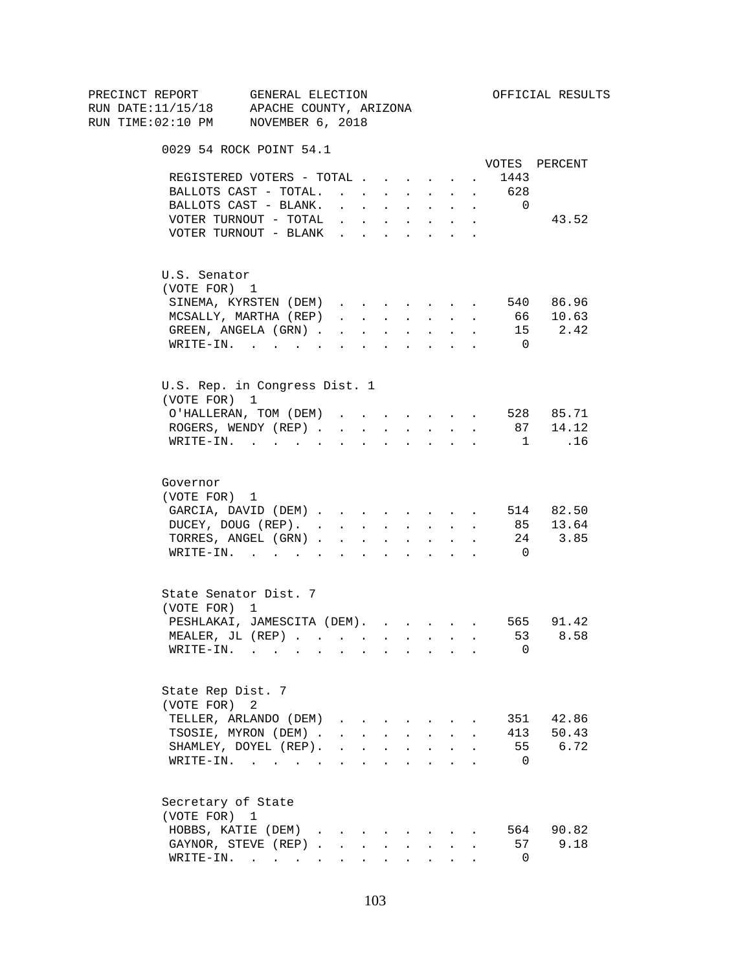| PRECINCT REPORT<br>RUN DATE:11/15/18 APACHE COUNTY, ARIZONA | GENERAL ELECTION                                           |                                                                                                 |                      |                                   |              |                                                           |                      |                 |                | OFFICIAL RESULTS                                                           |
|-------------------------------------------------------------|------------------------------------------------------------|-------------------------------------------------------------------------------------------------|----------------------|-----------------------------------|--------------|-----------------------------------------------------------|----------------------|-----------------|----------------|----------------------------------------------------------------------------|
| RUN TIME:02:10 PM NOVEMBER 6, 2018                          |                                                            |                                                                                                 |                      |                                   |              |                                                           |                      |                 |                |                                                                            |
|                                                             |                                                            |                                                                                                 |                      |                                   |              |                                                           |                      |                 |                |                                                                            |
|                                                             | 0029 54 ROCK POINT 54.1                                    |                                                                                                 |                      |                                   |              |                                                           |                      |                 |                |                                                                            |
|                                                             |                                                            |                                                                                                 |                      |                                   |              |                                                           |                      |                 |                | VOTES PERCENT                                                              |
|                                                             | REGISTERED VOTERS - TOTAL                                  |                                                                                                 |                      |                                   |              |                                                           |                      | $\sim 10^{-10}$ | 1443           |                                                                            |
|                                                             | BALLOTS CAST - TOTAL. 628                                  |                                                                                                 |                      |                                   |              |                                                           |                      |                 |                |                                                                            |
|                                                             | BALLOTS CAST - BLANK.                                      | and a strong control of the state of the                                                        |                      |                                   |              |                                                           |                      |                 | $\Omega$       |                                                                            |
|                                                             | VOTER TURNOUT - TOTAL                                      | $\mathbf{r} = \mathbf{r} \times \mathbf{r}$ , where $\mathbf{r} = \mathbf{r} \times \mathbf{r}$ |                      |                                   |              |                                                           | $\ddot{\phantom{0}}$ |                 |                | 43.52                                                                      |
|                                                             | VOTER TURNOUT - BLANK                                      |                                                                                                 |                      |                                   |              |                                                           |                      |                 |                |                                                                            |
| U.S. Senator                                                |                                                            |                                                                                                 |                      |                                   |              |                                                           |                      |                 |                |                                                                            |
| (VOTE FOR) 1                                                |                                                            |                                                                                                 |                      |                                   |              |                                                           |                      |                 |                |                                                                            |
|                                                             | SINEMA, KYRSTEN (DEM)                                      |                                                                                                 |                      |                                   |              |                                                           |                      |                 |                | 540 86.96                                                                  |
|                                                             | MCSALLY, MARTHA (REP)                                      |                                                                                                 |                      |                                   |              |                                                           |                      |                 |                | 66 10.63                                                                   |
|                                                             | GREEN, ANGELA (GRN)                                        |                                                                                                 |                      |                                   |              |                                                           |                      |                 |                | 15 2.42                                                                    |
|                                                             |                                                            |                                                                                                 |                      |                                   |              |                                                           |                      |                 | $\overline{0}$ |                                                                            |
|                                                             | WRITE-IN.                                                  |                                                                                                 |                      |                                   |              | $\mathbf{r}$ , $\mathbf{r}$ , $\mathbf{r}$                |                      |                 |                |                                                                            |
|                                                             | U.S. Rep. in Congress Dist. 1                              |                                                                                                 |                      |                                   |              |                                                           |                      |                 |                |                                                                            |
| (VOTE FOR) 1                                                |                                                            |                                                                                                 |                      |                                   |              |                                                           |                      |                 |                |                                                                            |
|                                                             | O'HALLERAN, TOM (DEM) 528 85.71                            |                                                                                                 |                      |                                   |              |                                                           |                      |                 |                |                                                                            |
|                                                             | ROGERS, WENDY (REP)                                        |                                                                                                 |                      |                                   |              |                                                           |                      |                 |                | $\begin{array}{cccccccccccccc} . & . & . & . & . & 87 & 14.12 \end{array}$ |
|                                                             | WRITE-IN.                                                  |                                                                                                 |                      |                                   |              |                                                           |                      |                 | $\frac{1}{2}$  | .16                                                                        |
| Governor                                                    |                                                            |                                                                                                 |                      |                                   |              |                                                           |                      |                 |                |                                                                            |
| (VOTE FOR) 1                                                |                                                            |                                                                                                 |                      |                                   |              |                                                           |                      |                 |                |                                                                            |
|                                                             | GARCIA, DAVID (DEM) 514 82.50                              |                                                                                                 |                      |                                   |              |                                                           |                      |                 |                |                                                                            |
|                                                             | DUCEY, DOUG (REP). 85 13.64                                |                                                                                                 |                      |                                   |              |                                                           |                      |                 |                |                                                                            |
|                                                             | TORRES, ANGEL (GRN) 24 3.85                                |                                                                                                 |                      |                                   |              |                                                           |                      |                 |                |                                                                            |
|                                                             | WRITE-IN.                                                  |                                                                                                 |                      |                                   |              |                                                           |                      |                 | $\overline{0}$ |                                                                            |
|                                                             |                                                            |                                                                                                 |                      |                                   |              |                                                           |                      |                 |                |                                                                            |
|                                                             | State Senator Dist. 7                                      |                                                                                                 |                      |                                   |              |                                                           |                      |                 |                |                                                                            |
| (VOTE FOR) 1                                                |                                                            |                                                                                                 |                      |                                   |              |                                                           |                      |                 |                |                                                                            |
|                                                             | PESHLAKAI, JAMESCITA (DEM).                                |                                                                                                 |                      |                                   |              |                                                           |                      |                 |                | 565 91.42                                                                  |
|                                                             | MEALER, JL (REP)                                           |                                                                                                 |                      |                                   |              |                                                           |                      |                 |                | 53 8.58                                                                    |
| WRITE-IN.                                                   | والموارد والمتواطن والمتواطن والمتواطن والمتواطن والمتواطن |                                                                                                 |                      |                                   |              |                                                           |                      |                 | 0              |                                                                            |
| State Rep Dist. 7                                           |                                                            |                                                                                                 |                      |                                   |              |                                                           |                      |                 |                |                                                                            |
| (VOTE FOR) 2                                                |                                                            |                                                                                                 |                      |                                   |              |                                                           |                      |                 |                |                                                                            |
|                                                             | TELLER, ARLANDO (DEM)                                      | $\mathbf{r}$ $\mathbf{r}$                                                                       |                      |                                   |              |                                                           |                      |                 | 351            | 42.86                                                                      |
|                                                             | TSOSIE, MYRON (DEM).                                       |                                                                                                 |                      | $\mathbf{L}$ and $\mathbf{L}$     |              | $\sim$                                                    |                      |                 | 413            | 50.43                                                                      |
|                                                             | SHAMLEY, DOYEL (REP).                                      | $\mathbf{r} = \mathbf{r} \times \mathbf{r}$                                                     |                      |                                   |              | $\mathcal{L}^{\text{max}}$ and $\mathcal{L}^{\text{max}}$ |                      |                 | 55             | 6.72                                                                       |
|                                                             |                                                            |                                                                                                 |                      |                                   |              |                                                           |                      |                 |                |                                                                            |
|                                                             | $\texttt{WRITE-IN.}$                                       |                                                                                                 |                      | <b>Contract Contract Contract</b> | $\mathbf{r}$ | $\sim$ $\sim$                                             |                      |                 | - 0            |                                                                            |
| Secretary of State                                          |                                                            |                                                                                                 |                      |                                   |              |                                                           |                      |                 |                |                                                                            |
| (VOTE FOR) 1                                                |                                                            |                                                                                                 |                      |                                   |              |                                                           |                      |                 |                |                                                                            |
|                                                             | HOBBS, KATIE (DEM)                                         |                                                                                                 |                      |                                   |              |                                                           |                      |                 |                | 564 90.82                                                                  |
|                                                             | GAYNOR, STEVE (REP).                                       | $\mathbf{r}$                                                                                    | $\ddot{\phantom{a}}$ |                                   |              |                                                           |                      |                 | 57             | 9.18                                                                       |
|                                                             | WRITE-IN.                                                  |                                                                                                 |                      |                                   |              |                                                           |                      |                 | $\mathbf{0}$   |                                                                            |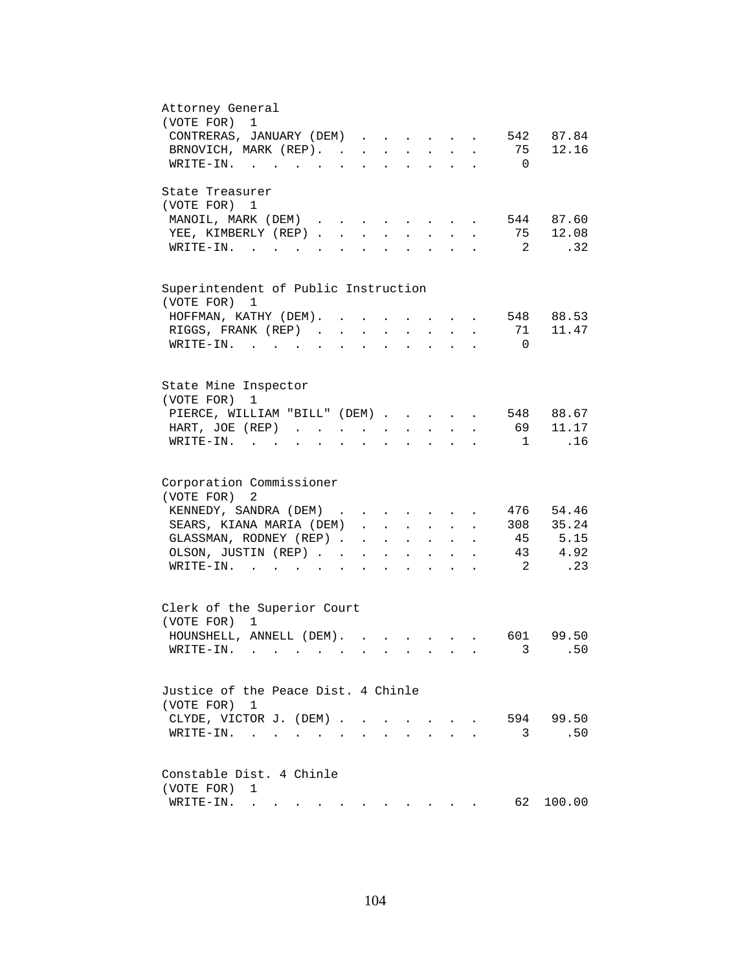| Attorney General<br>(VOTE FOR)<br>1                                                                                                                                                             |
|-------------------------------------------------------------------------------------------------------------------------------------------------------------------------------------------------|
| 542 87.84                                                                                                                                                                                       |
| CONTRERAS, JANUARY (DEM)                                                                                                                                                                        |
| BRNOVICH, MARK (REP).<br>75<br>12.16                                                                                                                                                            |
| WRITE-IN.<br>$\overline{0}$                                                                                                                                                                     |
| State Treasurer                                                                                                                                                                                 |
| (VOTE FOR) 1                                                                                                                                                                                    |
| 544 87.60<br>MANOIL, MARK (DEM)<br>and the state of the state of the                                                                                                                            |
| 75 12.08<br>YEE, KIMBERLY (REP)<br>$\sim$<br>$\sim$<br>$\sim$                                                                                                                                   |
| $\overline{2}$<br>.32 <sub>1</sub><br>$W\text{RITE}-\text{IN}$ , , , ,<br>$\mathbf{r}$ and $\mathbf{r}$<br>$\mathbf{L}^{\text{max}}$<br>$\sim$                                                  |
|                                                                                                                                                                                                 |
| Superintendent of Public Instruction                                                                                                                                                            |
| (VOTE FOR) 1                                                                                                                                                                                    |
| 548 88.53<br>HOFFMAN, KATHY (DEM).                                                                                                                                                              |
| 11.47<br>RIGGS, FRANK (REP).<br>71<br>$\ddot{\phantom{a}}$                                                                                                                                      |
| $WRITE-IN.$<br>$\overline{0}$<br>$\sim$ $\sim$                                                                                                                                                  |
|                                                                                                                                                                                                 |
| State Mine Inspector                                                                                                                                                                            |
| (VOTE FOR)<br>1                                                                                                                                                                                 |
| 548 88.67<br>PIERCE, WILLIAM "BILL" (DEM)                                                                                                                                                       |
| 69 11.17<br>HART, JOE (REP)<br><b>Allen Adams</b><br>$\mathbf{z} = \mathbf{z} + \mathbf{z}$ .<br>$\mathcal{L}^{\text{max}}$<br>$\ddot{\phantom{0}}$                                             |
| .16<br>$WRITE-IN.$<br>$\overline{1}$<br>$\mathbf{r}$ and $\mathbf{r}$ and $\mathbf{r}$<br>$\mathbf{z} = \mathbf{z} + \mathbf{z}$ .<br>$\ddot{\phantom{a}}$<br>$\bullet$<br>$\ddot{\phantom{0}}$ |
|                                                                                                                                                                                                 |
| Corporation Commissioner                                                                                                                                                                        |
| (VOTE FOR)<br>2                                                                                                                                                                                 |
| KENNEDY, SANDRA (DEM)<br>476 54.46                                                                                                                                                              |
| 308 35.24<br>SEARS, KIANA MARIA (DEM)<br>$\mathbf{L}$                                                                                                                                           |
| 45 5.15<br>GLASSMAN, RODNEY (REP)<br><b>All Contract Contracts</b><br>$\mathbf{r} = \mathbf{r} \cdot \mathbf{r}$                                                                                |
| 43 4.92<br>OLSON, JUSTIN (REP)<br>$\mathbf{r} = \mathbf{r} + \mathbf{r}$ .<br>$\bullet$ .<br><br><br><br><br><br><br><br><br><br><br><br><br>$\ddot{\phantom{0}}$                               |
| $\overline{\phantom{a}}^2$<br>.23<br>$\texttt{WRITE-IN.}$<br><b>Allen Adams</b>                                                                                                                 |
|                                                                                                                                                                                                 |
| Clerk of the Superior Court                                                                                                                                                                     |
| (VOTE FOR) 1                                                                                                                                                                                    |
| HOUNSHELL, ANNELL (DEM).<br>601<br>99.50                                                                                                                                                        |
| 3<br>50<br>WRITE-IN.                                                                                                                                                                            |
|                                                                                                                                                                                                 |
| Justice of the Peace Dist. 4 Chinle                                                                                                                                                             |
| (VOTE FOR) 1                                                                                                                                                                                    |
| 594 99.50<br>CLYDE, VICTOR J. (DEM).<br>$\sim$<br>$\sim$                                                                                                                                        |
| .50<br>3<br>$\texttt{WRITE-IN.}\quad .\quad .\quad .\quad .$<br>$\ddot{\phantom{a}}$                                                                                                            |
|                                                                                                                                                                                                 |
| Constable Dist. 4 Chinle                                                                                                                                                                        |
| (VOTE FOR)<br>1                                                                                                                                                                                 |
| 62<br>100.00<br>WRITE-IN.<br>. The simple state is a strong strong of the state of the state of the state $\alpha$                                                                              |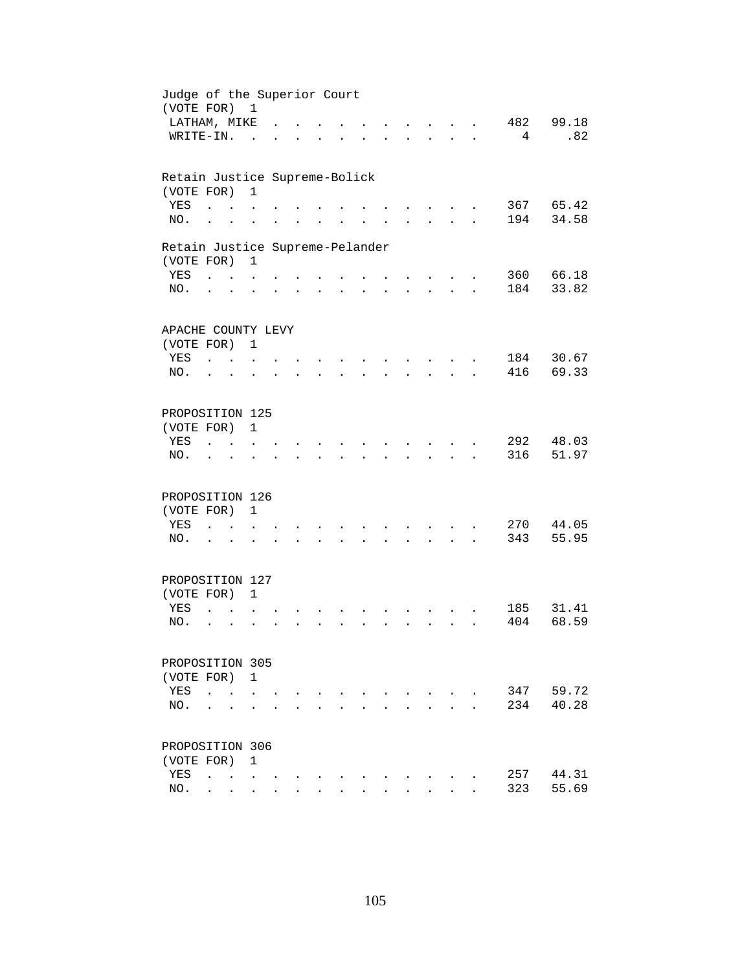| Judge of the Superior Court<br>(VOTE FOR) 1 |                              |                                            |                      |                      |                      |                      |                      |                      |                                          |                      |            |           |
|---------------------------------------------|------------------------------|--------------------------------------------|----------------------|----------------------|----------------------|----------------------|----------------------|----------------------|------------------------------------------|----------------------|------------|-----------|
| LATHAM, MIKE                                |                              |                                            |                      |                      |                      |                      |                      |                      | $\sim$ $\sim$ $\sim$                     |                      | 482        | 99.18     |
| WRITE-IN.                                   |                              |                                            | $\sim$               |                      |                      |                      |                      |                      | <b>Contract Contract</b>                 | $\ddot{\phantom{a}}$ | 4          | .82       |
|                                             |                              |                                            |                      |                      |                      |                      |                      |                      |                                          |                      |            |           |
| Retain Justice Supreme-Bolick               |                              |                                            |                      |                      |                      |                      |                      |                      |                                          |                      |            |           |
| (VOTE FOR)                                  |                              |                                            | $\mathbf{1}$         |                      |                      |                      |                      |                      |                                          |                      |            |           |
| YES                                         | $\ddot{\phantom{a}}$         |                                            |                      |                      |                      |                      |                      |                      |                                          |                      |            | 367 65.42 |
| NO.                                         | $\ddot{\phantom{a}}$         |                                            |                      |                      |                      |                      |                      |                      |                                          |                      | 194        | 34.58     |
| Retain Justice Supreme-Pelander             |                              |                                            |                      |                      |                      |                      |                      |                      |                                          |                      |            |           |
| (VOTE FOR)                                  |                              |                                            | $\mathbf{1}$         |                      |                      |                      |                      |                      |                                          |                      |            |           |
| YES                                         | <b>Carl Carl Corporation</b> |                                            |                      |                      |                      |                      |                      |                      |                                          |                      |            | 360 66.18 |
| NO.                                         | $\cdot$ $\cdot$              |                                            | $\ddot{\phantom{a}}$ |                      | $\ddot{\phantom{a}}$ |                      | $\ddot{\phantom{0}}$ | $\ddot{\phantom{0}}$ | $\mathbf{z} = \mathbf{z} + \mathbf{z}$ . | $\ddot{\phantom{a}}$ | 184        | 33.82     |
|                                             |                              |                                            |                      |                      |                      |                      |                      |                      |                                          |                      |            |           |
| APACHE COUNTY LEVY                          |                              |                                            |                      |                      |                      |                      |                      |                      |                                          |                      |            |           |
| (VOTE FOR) 1                                |                              |                                            |                      |                      |                      |                      |                      |                      |                                          |                      |            |           |
| YES                                         | <b>Carl Carl</b>             |                                            | $\ddot{\phantom{a}}$ |                      |                      |                      |                      |                      |                                          |                      | 416        | 184 30.67 |
| NO.                                         | $\ddot{\phantom{a}}$         | $\sim$                                     |                      |                      |                      |                      |                      |                      |                                          |                      |            | 69.33     |
| PROPOSITION 125                             |                              |                                            |                      |                      |                      |                      |                      |                      |                                          |                      |            |           |
| (VOTE FOR)                                  |                              |                                            | $\mathbf{1}$         |                      |                      |                      |                      |                      |                                          |                      |            |           |
| YES                                         |                              |                                            |                      |                      |                      |                      |                      |                      |                                          |                      | 292        | 48.03     |
| NO.                                         |                              |                                            |                      |                      |                      |                      |                      |                      |                                          |                      | 316        | 51.97     |
|                                             |                              |                                            |                      |                      |                      |                      |                      |                      |                                          |                      |            |           |
| PROPOSITION 126                             |                              |                                            |                      |                      |                      |                      |                      |                      |                                          |                      |            |           |
| (VOTE FOR)                                  |                              |                                            | $\mathbf{1}$         |                      |                      |                      |                      |                      |                                          |                      |            |           |
| YES                                         | $\ddot{\phantom{a}}$         | <b>Contract</b>                            | $\ddot{\phantom{a}}$ |                      |                      |                      |                      |                      |                                          |                      |            | 270 44.05 |
| NO.                                         | $\cdot$ $\cdot$              |                                            |                      | $\ddot{\phantom{0}}$ | $\ddot{\phantom{a}}$ | $\ddot{\phantom{a}}$ | $\mathbf{A}$         | $\ddot{\phantom{0}}$ | $\mathbf{r} = \mathbf{r} + \mathbf{r}$ . | $\ddot{\phantom{a}}$ | 343        | 55.95     |
|                                             |                              |                                            |                      |                      |                      |                      |                      |                      |                                          |                      |            |           |
| PROPOSITION 127                             |                              |                                            |                      |                      |                      |                      |                      |                      |                                          |                      |            |           |
| (VOTE FOR) 1                                |                              |                                            |                      |                      |                      |                      |                      |                      |                                          |                      |            |           |
| YES                                         | $\ddot{\phantom{a}}$         |                                            |                      |                      |                      |                      |                      |                      |                                          |                      | 185        | 31.41     |
| NO.                                         | $\ddot{\phantom{a}}$         | $\ddot{\phantom{a}}$                       |                      |                      |                      |                      |                      |                      | $\sim$                                   |                      | 404        | 68.59     |
|                                             |                              |                                            |                      |                      |                      |                      |                      |                      |                                          |                      |            |           |
| PROPOSITION 305                             |                              |                                            |                      |                      |                      |                      |                      |                      |                                          |                      |            |           |
| (VOTE FOR) 1                                |                              |                                            |                      |                      |                      |                      |                      |                      |                                          |                      |            |           |
| YES                                         | $\ddot{\phantom{0}}$         |                                            |                      |                      |                      |                      |                      |                      |                                          |                      | 347        | 59.72     |
| NO.                                         |                              |                                            |                      |                      |                      |                      |                      |                      |                                          |                      | 234        | 40.28     |
|                                             |                              |                                            |                      |                      |                      |                      |                      |                      |                                          |                      |            |           |
| PROPOSITION 306                             |                              |                                            |                      |                      |                      |                      |                      |                      |                                          |                      |            |           |
| (VOTE FOR)                                  |                              |                                            | 1                    |                      |                      |                      |                      |                      |                                          |                      |            | 44.31     |
| YES<br>NO.                                  | $\ddot{\phantom{a}}$         | $\mathbf{r}$ , $\mathbf{r}$ , $\mathbf{r}$ |                      |                      |                      |                      |                      |                      |                                          |                      | 257<br>323 | 55.69     |
|                                             |                              | $\mathbf{r} = \mathbf{r}$                  | $\ddot{\phantom{0}}$ |                      |                      |                      |                      |                      |                                          |                      |            |           |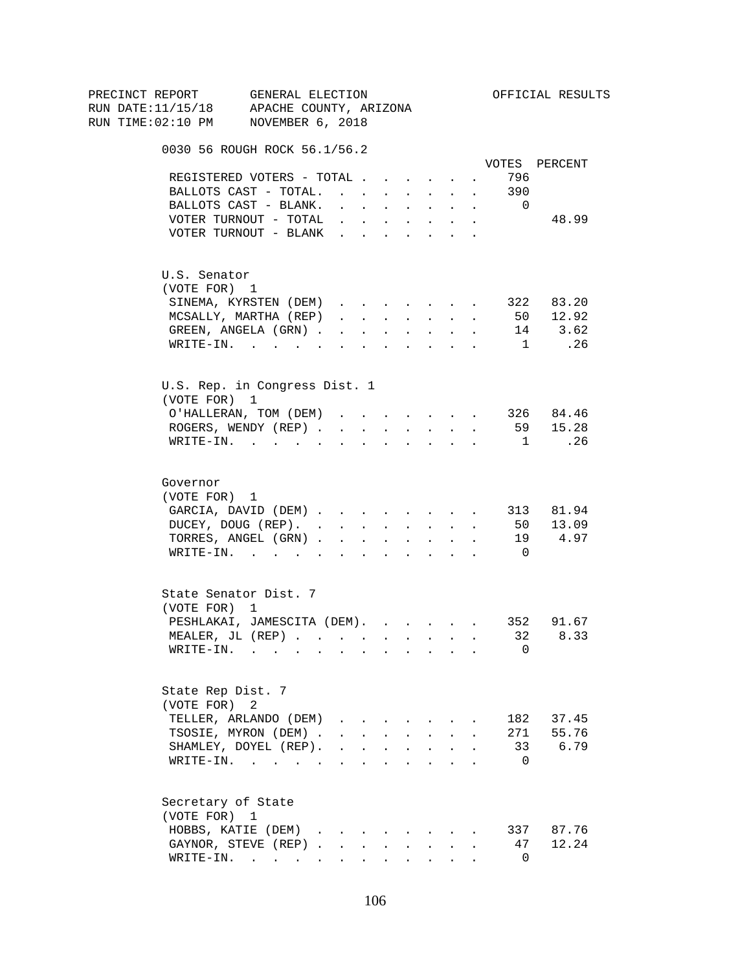| PRECINCT REPORT                          | GENERAL ELECTION                                        |        |                                                |        |                                                                                                                                                                                                                                                                                                                                                                                                                                                                              |                           |                      |                | OFFICIAL RESULTS    |
|------------------------------------------|---------------------------------------------------------|--------|------------------------------------------------|--------|------------------------------------------------------------------------------------------------------------------------------------------------------------------------------------------------------------------------------------------------------------------------------------------------------------------------------------------------------------------------------------------------------------------------------------------------------------------------------|---------------------------|----------------------|----------------|---------------------|
| RUN DATE:11/15/18 APACHE COUNTY, ARIZONA |                                                         |        |                                                |        |                                                                                                                                                                                                                                                                                                                                                                                                                                                                              |                           |                      |                |                     |
| RUN TIME:02:10 PM NOVEMBER 6, 2018       |                                                         |        |                                                |        |                                                                                                                                                                                                                                                                                                                                                                                                                                                                              |                           |                      |                |                     |
|                                          | 0030 56 ROUGH ROCK 56.1/56.2                            |        |                                                |        |                                                                                                                                                                                                                                                                                                                                                                                                                                                                              |                           |                      |                |                     |
|                                          |                                                         |        |                                                |        |                                                                                                                                                                                                                                                                                                                                                                                                                                                                              |                           |                      |                | VOTES PERCENT       |
|                                          | REGISTERED VOTERS - TOTAL                               |        |                                                |        |                                                                                                                                                                                                                                                                                                                                                                                                                                                                              |                           |                      | 796            |                     |
|                                          | BALLOTS CAST - TOTAL.                                   |        |                                                |        | $\mathbf{r}$ , $\mathbf{r}$ , $\mathbf{r}$                                                                                                                                                                                                                                                                                                                                                                                                                                   |                           | $\sim$               | 390            |                     |
|                                          | BALLOTS CAST - BLANK.                                   | $\sim$ | $\mathbf{r}$ and $\mathbf{r}$                  |        | <b>All Cards</b>                                                                                                                                                                                                                                                                                                                                                                                                                                                             | $\sim$                    | $\sim$               | $\overline{0}$ |                     |
|                                          | VOTER TURNOUT - TOTAL<br>VOTER TURNOUT - BLANK          |        |                                                |        | $\mathbf{r}$ , $\mathbf{r}$ , $\mathbf{r}$ , $\mathbf{r}$ , $\mathbf{r}$                                                                                                                                                                                                                                                                                                                                                                                                     |                           | $\sim$               |                | 48.99               |
|                                          |                                                         |        |                                                |        |                                                                                                                                                                                                                                                                                                                                                                                                                                                                              |                           |                      |                |                     |
| U.S. Senator                             |                                                         |        |                                                |        |                                                                                                                                                                                                                                                                                                                                                                                                                                                                              |                           |                      |                |                     |
| (VOTE FOR) 1                             |                                                         |        |                                                |        |                                                                                                                                                                                                                                                                                                                                                                                                                                                                              |                           |                      |                |                     |
|                                          | SINEMA, KYRSTEN (DEM)                                   |        |                                                |        |                                                                                                                                                                                                                                                                                                                                                                                                                                                                              |                           |                      |                | 322 83.20           |
|                                          | MCSALLY, MARTHA (REP)                                   |        | $\mathbf{r}$ and $\mathbf{r}$ and $\mathbf{r}$ |        | <b>All Carried Control</b>                                                                                                                                                                                                                                                                                                                                                                                                                                                   |                           | $\ddot{\phantom{a}}$ |                | 50 12.92            |
|                                          | GREEN, ANGELA (GRN).                                    |        | <b>Contract Contract</b>                       | $\sim$ | $\sim 10$                                                                                                                                                                                                                                                                                                                                                                                                                                                                    | $\ddot{\phantom{0}}$      |                      |                | 14 3.62             |
|                                          | WRITE-IN.                                               |        |                                                |        |                                                                                                                                                                                                                                                                                                                                                                                                                                                                              |                           |                      | 1              | .26                 |
|                                          | U.S. Rep. in Congress Dist. 1                           |        |                                                |        |                                                                                                                                                                                                                                                                                                                                                                                                                                                                              |                           |                      |                |                     |
| (VOTE FOR) 1                             |                                                         |        |                                                |        |                                                                                                                                                                                                                                                                                                                                                                                                                                                                              |                           |                      |                |                     |
|                                          | O'HALLERAN, TOM (DEM)                                   |        |                                                |        | $\mathbf{1} \qquad \qquad \mathbf{1} \qquad \qquad \mathbf{1} \qquad \qquad \mathbf{1} \qquad \qquad \mathbf{1} \qquad \qquad \mathbf{1} \qquad \qquad \mathbf{1} \qquad \qquad \mathbf{1} \qquad \qquad \mathbf{1} \qquad \qquad \mathbf{1} \qquad \qquad \mathbf{1} \qquad \qquad \mathbf{1} \qquad \qquad \mathbf{1} \qquad \qquad \mathbf{1} \qquad \qquad \mathbf{1} \qquad \qquad \mathbf{1} \qquad \qquad \mathbf{1} \qquad \qquad \mathbf{1} \qquad \qquad \mathbf{$ |                           |                      |                | 326 84.46           |
|                                          | ROGERS, WENDY (REP)                                     |        |                                                |        | and a strategic state                                                                                                                                                                                                                                                                                                                                                                                                                                                        |                           |                      |                | 59 15.28            |
|                                          | $\texttt{WRTTE-IN.}$                                    |        | $\sim$                                         |        |                                                                                                                                                                                                                                                                                                                                                                                                                                                                              | $\mathbf{L} = \mathbf{L}$ |                      | $\overline{1}$ | $\ldots$ 26         |
|                                          |                                                         |        |                                                |        |                                                                                                                                                                                                                                                                                                                                                                                                                                                                              |                           |                      |                |                     |
| Governor                                 |                                                         |        |                                                |        |                                                                                                                                                                                                                                                                                                                                                                                                                                                                              |                           |                      |                |                     |
| (VOTE FOR) 1                             |                                                         |        |                                                |        |                                                                                                                                                                                                                                                                                                                                                                                                                                                                              |                           |                      |                |                     |
|                                          | GARCIA, DAVID (DEM) 313 81.94                           |        |                                                |        |                                                                                                                                                                                                                                                                                                                                                                                                                                                                              |                           |                      |                |                     |
|                                          | DUCEY, DOUG (REP).                                      |        |                                                |        |                                                                                                                                                                                                                                                                                                                                                                                                                                                                              |                           |                      |                | 50 13.09<br>19 4.97 |
|                                          | TORRES, ANGEL (GRN)<br>WRITE-IN.                        |        |                                                |        |                                                                                                                                                                                                                                                                                                                                                                                                                                                                              |                           |                      | $\overline{0}$ |                     |
|                                          |                                                         |        |                                                |        |                                                                                                                                                                                                                                                                                                                                                                                                                                                                              |                           |                      |                |                     |
|                                          | State Senator Dist. 7                                   |        |                                                |        |                                                                                                                                                                                                                                                                                                                                                                                                                                                                              |                           |                      |                |                     |
| (VOTE FOR) 1                             |                                                         |        |                                                |        |                                                                                                                                                                                                                                                                                                                                                                                                                                                                              |                           |                      |                |                     |
|                                          | PESHLAKAI, JAMESCITA (DEM). 352 91.67                   |        |                                                |        |                                                                                                                                                                                                                                                                                                                                                                                                                                                                              |                           |                      |                |                     |
|                                          | MEALER, JL (REP) 32 8.33                                |        |                                                |        |                                                                                                                                                                                                                                                                                                                                                                                                                                                                              |                           |                      |                |                     |
|                                          | $\texttt{WRITE-IN.}\quad .\quad .\quad .\quad .\quad .$ |        |                                                |        |                                                                                                                                                                                                                                                                                                                                                                                                                                                                              |                           |                      | 0              |                     |
| State Rep Dist. 7                        |                                                         |        |                                                |        |                                                                                                                                                                                                                                                                                                                                                                                                                                                                              |                           |                      |                |                     |
| (VOTE FOR)                               | 2                                                       |        |                                                |        |                                                                                                                                                                                                                                                                                                                                                                                                                                                                              |                           |                      |                |                     |
|                                          | TELLER, ARLANDO (DEM)                                   |        |                                                |        |                                                                                                                                                                                                                                                                                                                                                                                                                                                                              |                           |                      |                | 182 37.45           |
|                                          | TSOSIE, MYRON (DEM).                                    |        |                                                |        | $\mathbf{r} = \mathbf{r} + \mathbf{r} + \mathbf{r} + \mathbf{r} + \mathbf{r}$                                                                                                                                                                                                                                                                                                                                                                                                |                           |                      |                | 271 55.76           |
|                                          | SHAMLEY, DOYEL (REP).                                   |        | $\mathbf{r}$ , $\mathbf{r}$ , $\mathbf{r}$     |        | $\mathbf{L} = \mathbf{L}$                                                                                                                                                                                                                                                                                                                                                                                                                                                    | $\ddot{\phantom{0}}$      |                      |                | 33<br>6.79          |
|                                          | WRITE-IN.                                               |        |                                                |        |                                                                                                                                                                                                                                                                                                                                                                                                                                                                              |                           |                      | $\overline{0}$ |                     |
| Secretary of State                       |                                                         |        |                                                |        |                                                                                                                                                                                                                                                                                                                                                                                                                                                                              |                           |                      |                |                     |
| (VOTE FOR) 1                             |                                                         |        |                                                |        |                                                                                                                                                                                                                                                                                                                                                                                                                                                                              |                           |                      |                |                     |
|                                          | HOBBS, KATIE (DEM)                                      |        |                                                |        |                                                                                                                                                                                                                                                                                                                                                                                                                                                                              |                           |                      |                | 337 87.76           |
|                                          | GAYNOR, STEVE (REP)                                     |        | $\mathbf{L}$                                   | $\sim$ | $\sim$                                                                                                                                                                                                                                                                                                                                                                                                                                                                       |                           |                      | 47             | 12.24               |
|                                          | $\texttt{WRTTE-IN.}$                                    |        | $\mathbf{L}$                                   |        | <b>All Card Corporation</b>                                                                                                                                                                                                                                                                                                                                                                                                                                                  |                           |                      | $\overline{0}$ |                     |
|                                          |                                                         |        |                                                |        |                                                                                                                                                                                                                                                                                                                                                                                                                                                                              |                           |                      |                |                     |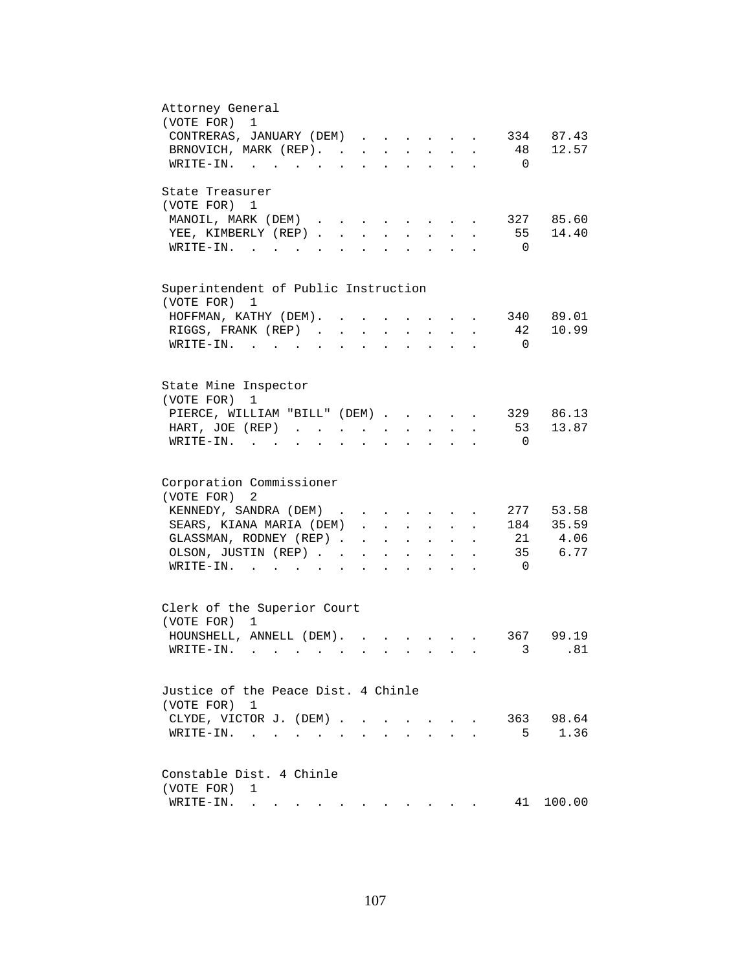| Attorney General                                                                                                                                                                                                                                                                                                                                                                                                                                          |
|-----------------------------------------------------------------------------------------------------------------------------------------------------------------------------------------------------------------------------------------------------------------------------------------------------------------------------------------------------------------------------------------------------------------------------------------------------------|
| (VOTE FOR) 1                                                                                                                                                                                                                                                                                                                                                                                                                                              |
| 334 87.43<br>CONTRERAS, JANUARY (DEM)                                                                                                                                                                                                                                                                                                                                                                                                                     |
| BRNOVICH, MARK (REP). 48 12.57                                                                                                                                                                                                                                                                                                                                                                                                                            |
| WRITE-IN.<br>$\overline{0}$                                                                                                                                                                                                                                                                                                                                                                                                                               |
|                                                                                                                                                                                                                                                                                                                                                                                                                                                           |
| State Treasurer                                                                                                                                                                                                                                                                                                                                                                                                                                           |
| (VOTE FOR) 1                                                                                                                                                                                                                                                                                                                                                                                                                                              |
| 327 85.60<br>MANOIL, MARK (DEM)                                                                                                                                                                                                                                                                                                                                                                                                                           |
| 55 14.40                                                                                                                                                                                                                                                                                                                                                                                                                                                  |
| YEE, KIMBERLY (REP)<br>$\ddot{\phantom{a}}$                                                                                                                                                                                                                                                                                                                                                                                                               |
| $W\text{RITE}-\text{IN}.$<br>$\overline{\mathbf{0}}$<br>$\mathbf{r}$ , $\mathbf{r}$ , $\mathbf{r}$ , $\mathbf{r}$                                                                                                                                                                                                                                                                                                                                         |
|                                                                                                                                                                                                                                                                                                                                                                                                                                                           |
|                                                                                                                                                                                                                                                                                                                                                                                                                                                           |
| Superintendent of Public Instruction                                                                                                                                                                                                                                                                                                                                                                                                                      |
| (VOTE FOR) 1                                                                                                                                                                                                                                                                                                                                                                                                                                              |
| 340 89.01<br>HOFFMAN, KATHY (DEM).                                                                                                                                                                                                                                                                                                                                                                                                                        |
| 10.99<br>RIGGS, FRANK (REP).<br>42<br>$\sim$<br>$\ddot{\phantom{a}}$                                                                                                                                                                                                                                                                                                                                                                                      |
| $W\text{RITE-IN.}$<br>$\overline{0}$                                                                                                                                                                                                                                                                                                                                                                                                                      |
|                                                                                                                                                                                                                                                                                                                                                                                                                                                           |
|                                                                                                                                                                                                                                                                                                                                                                                                                                                           |
| State Mine Inspector                                                                                                                                                                                                                                                                                                                                                                                                                                      |
| (VOTE FOR)<br>1                                                                                                                                                                                                                                                                                                                                                                                                                                           |
| 329 86.13<br>PIERCE, WILLIAM "BILL" (DEM)                                                                                                                                                                                                                                                                                                                                                                                                                 |
| 53 13.87<br>HART, JOE (REP)<br>$\mathbf{r} = \mathbf{r} + \mathbf{r}$ .<br>$\mathbf{r} = \mathbf{r} + \mathbf{r}$ .<br>$\mathcal{L}^{\text{max}}$<br>$\sim 10^{-11}$<br>$\ddot{\phantom{a}}$                                                                                                                                                                                                                                                              |
| $WRITE-IN.$<br>$\overline{0}$                                                                                                                                                                                                                                                                                                                                                                                                                             |
|                                                                                                                                                                                                                                                                                                                                                                                                                                                           |
|                                                                                                                                                                                                                                                                                                                                                                                                                                                           |
| Corporation Commissioner                                                                                                                                                                                                                                                                                                                                                                                                                                  |
| (VOTE FOR)<br>2                                                                                                                                                                                                                                                                                                                                                                                                                                           |
| 277 53.58<br>KENNEDY, SANDRA (DEM)                                                                                                                                                                                                                                                                                                                                                                                                                        |
| SEARS, KIANA MARIA (DEM).<br>184 35.59<br>$\mathbf{r} = \mathbf{r} \mathbf{r}$ , where $\mathbf{r} = \mathbf{r} \mathbf{r}$                                                                                                                                                                                                                                                                                                                               |
| $\mathbf{r} = \mathbf{r} \cdot \mathbf{r}$                                                                                                                                                                                                                                                                                                                                                                                                                |
| 21 4.06<br>GLASSMAN, RODNEY (REP)<br>$\Delta \phi = \Delta \phi$ and $\Delta \phi$<br>$\mathbf{L}^{\text{max}}$<br>$\ddot{\phantom{0}}$                                                                                                                                                                                                                                                                                                                   |
| 35 6.77<br>OLSON, JUSTIN (REP)<br>$\mathbf{z} = \mathbf{z} + \mathbf{z}$ .<br>$\sim$<br>$\bullet$ .<br><br><br><br><br><br><br><br><br><br><br><br><br>$\bullet$ .<br><br><br><br><br><br><br><br><br><br><br><br>                                                                                                                                                                                                                                        |
| $\texttt{WRTTE-IN.}$<br>$\overline{0}$                                                                                                                                                                                                                                                                                                                                                                                                                    |
|                                                                                                                                                                                                                                                                                                                                                                                                                                                           |
|                                                                                                                                                                                                                                                                                                                                                                                                                                                           |
| Clerk of the Superior Court                                                                                                                                                                                                                                                                                                                                                                                                                               |
| (VOTE FOR) 1                                                                                                                                                                                                                                                                                                                                                                                                                                              |
| HOUNSHELL, ANNELL (DEM).<br>367 99.19                                                                                                                                                                                                                                                                                                                                                                                                                     |
| 3 .81                                                                                                                                                                                                                                                                                                                                                                                                                                                     |
|                                                                                                                                                                                                                                                                                                                                                                                                                                                           |
|                                                                                                                                                                                                                                                                                                                                                                                                                                                           |
| Justice of the Peace Dist. 4 Chinle                                                                                                                                                                                                                                                                                                                                                                                                                       |
| (VOTE FOR) 1                                                                                                                                                                                                                                                                                                                                                                                                                                              |
| 363 98.64<br>CLYDE, VICTOR J. (DEM)<br>$\sim$ $-$<br>$\sim$                                                                                                                                                                                                                                                                                                                                                                                               |
| 5<br>1.36<br>$\texttt{WRTTE-IN.}$                                                                                                                                                                                                                                                                                                                                                                                                                         |
|                                                                                                                                                                                                                                                                                                                                                                                                                                                           |
|                                                                                                                                                                                                                                                                                                                                                                                                                                                           |
| Constable Dist. 4 Chinle                                                                                                                                                                                                                                                                                                                                                                                                                                  |
| (VOTE FOR)<br>1                                                                                                                                                                                                                                                                                                                                                                                                                                           |
| 41<br>WRITE-IN.<br>100.00<br>$\mathbf{a} = \mathbf{a} + \mathbf{a} + \mathbf{a} + \mathbf{a} + \mathbf{a} + \mathbf{a} + \mathbf{a} + \mathbf{a} + \mathbf{a} + \mathbf{a} + \mathbf{a} + \mathbf{a} + \mathbf{a} + \mathbf{a} + \mathbf{a} + \mathbf{a} + \mathbf{a} + \mathbf{a} + \mathbf{a} + \mathbf{a} + \mathbf{a} + \mathbf{a} + \mathbf{a} + \mathbf{a} + \mathbf{a} + \mathbf{a} + \mathbf{a} + \mathbf{a} + \mathbf{a} + \mathbf{a} + \mathbf$ |
|                                                                                                                                                                                                                                                                                                                                                                                                                                                           |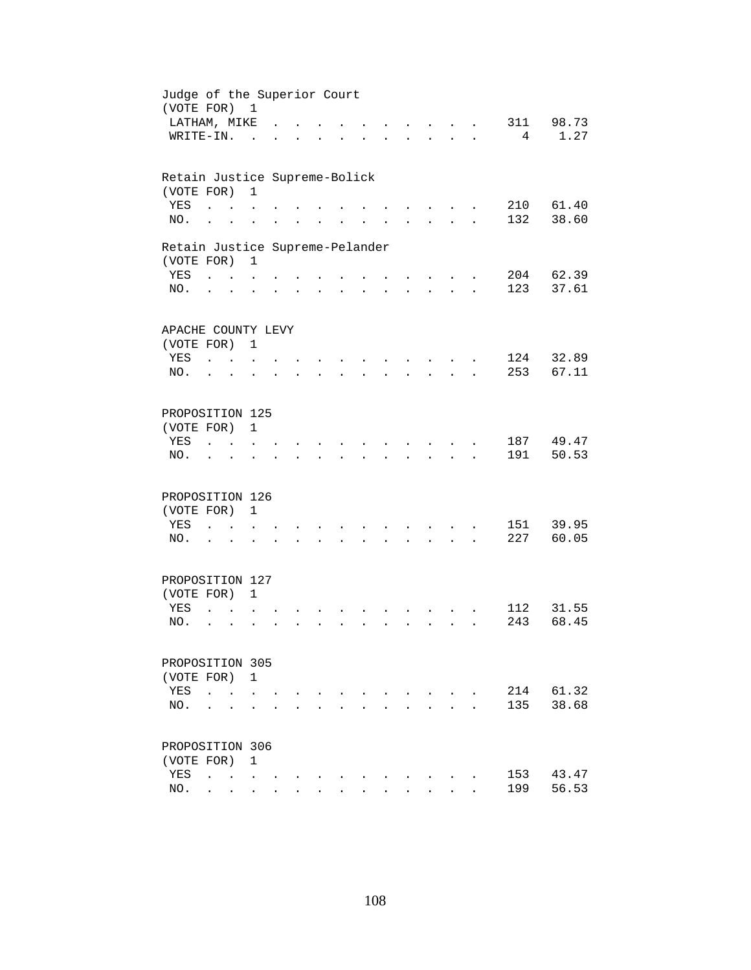| Judge of the Superior Court<br>(VOTE FOR) 1 |                                   |                                            |                      |                      |                      |                      |                      |                      |                      |                                                     |                      |                |                 |       |
|---------------------------------------------|-----------------------------------|--------------------------------------------|----------------------|----------------------|----------------------|----------------------|----------------------|----------------------|----------------------|-----------------------------------------------------|----------------------|----------------|-----------------|-------|
| LATHAM, MIKE                                |                                   |                                            |                      |                      |                      |                      |                      |                      |                      | $\mathbf{r}$ and $\mathbf{r}$                       |                      | $\overline{a}$ | 311             | 98.73 |
| WRITE-IN.                                   |                                   |                                            | $\sim$               |                      |                      |                      |                      |                      |                      | <b>Contract Contract</b>                            | $\mathbf{L}$         |                | $4\overline{ }$ | 1.27  |
| Retain Justice Supreme-Bolick               |                                   |                                            |                      |                      |                      |                      |                      |                      |                      |                                                     |                      |                |                 |       |
| (VOTE FOR)                                  |                                   |                                            | $\mathbf{1}$         |                      |                      |                      |                      |                      |                      |                                                     |                      |                |                 |       |
| YES                                         | $\ddot{\phantom{a}}$              |                                            |                      |                      |                      |                      |                      |                      |                      |                                                     |                      |                | 210             | 61.40 |
| NO.                                         | $\ddot{\phantom{a}}$              |                                            |                      |                      |                      |                      |                      |                      |                      |                                                     |                      |                | 132             | 38.60 |
| Retain Justice Supreme-Pelander             |                                   |                                            |                      |                      |                      |                      |                      |                      |                      |                                                     |                      |                |                 |       |
| (VOTE FOR)                                  |                                   |                                            | $\mathbf{1}$         |                      |                      |                      |                      |                      |                      |                                                     |                      |                |                 |       |
| YES                                         | <b>Contract Contract Contract</b> |                                            |                      |                      |                      |                      |                      |                      |                      |                                                     |                      |                | 204             | 62.39 |
| NO.                                         | $\cdot$ $\cdot$                   |                                            | $\ddot{\phantom{a}}$ |                      |                      | $\ddot{\phantom{0}}$ | $\ddot{\phantom{0}}$ | $\ddot{\phantom{0}}$ | $\ddot{\phantom{0}}$ | $\mathbf{z} = \mathbf{z} + \mathbf{z}$ .            | $\ddot{\phantom{a}}$ |                | 123             | 37.61 |
| APACHE COUNTY LEVY                          |                                   |                                            |                      |                      |                      |                      |                      |                      |                      |                                                     |                      |                |                 |       |
| (VOTE FOR) 1                                |                                   |                                            |                      |                      |                      |                      |                      |                      |                      |                                                     |                      |                |                 |       |
| YES                                         | <b>Carl Carl</b>                  |                                            |                      |                      |                      |                      |                      |                      |                      |                                                     |                      |                | 124             | 32.89 |
| NO.                                         | $\ddot{\phantom{a}}$              | $\sim$                                     |                      |                      |                      |                      |                      |                      |                      |                                                     |                      |                | 253             | 67.11 |
|                                             |                                   |                                            |                      |                      |                      |                      |                      |                      |                      |                                                     |                      |                |                 |       |
| PROPOSITION 125                             |                                   |                                            |                      |                      |                      |                      |                      |                      |                      |                                                     |                      |                |                 |       |
| (VOTE FOR)                                  |                                   |                                            | $\mathbf{1}$         |                      |                      |                      |                      |                      |                      |                                                     |                      |                |                 |       |
| YES                                         |                                   |                                            |                      |                      |                      |                      |                      |                      |                      |                                                     |                      |                | 187             | 49.47 |
| NO.                                         |                                   |                                            |                      |                      |                      |                      |                      |                      |                      |                                                     |                      |                | 191             | 50.53 |
|                                             |                                   |                                            |                      |                      |                      |                      |                      |                      |                      |                                                     |                      |                |                 |       |
| PROPOSITION 126                             |                                   |                                            |                      |                      |                      |                      |                      |                      |                      |                                                     |                      |                |                 |       |
| (VOTE FOR)                                  |                                   |                                            | $\mathbf{1}$         |                      |                      |                      |                      |                      |                      |                                                     |                      |                |                 |       |
| YES                                         | $\ddot{\phantom{a}}$              | <b>Contract Contract</b>                   | $\sim$               |                      |                      |                      |                      |                      |                      | $\sim$                                              |                      |                | 151             | 39.95 |
| NO.                                         | $\cdot$ $\cdot$                   |                                            | $\ddot{\phantom{a}}$ | $\ddot{\phantom{a}}$ | $\ddot{\phantom{0}}$ | $\ddot{\phantom{a}}$ | $\ddot{\phantom{a}}$ | $\mathbf{A}$         | $\ddot{\phantom{0}}$ | $\mathbf{r} = \mathbf{r} + \mathbf{r} + \mathbf{r}$ |                      |                | 227             | 60.05 |
| PROPOSITION 127                             |                                   |                                            |                      |                      |                      |                      |                      |                      |                      |                                                     |                      |                |                 |       |
| (VOTE FOR) 1                                |                                   |                                            |                      |                      |                      |                      |                      |                      |                      |                                                     |                      |                |                 |       |
| YES                                         | $\ddot{\phantom{a}}$              |                                            |                      |                      |                      |                      |                      |                      |                      |                                                     |                      |                | 112             | 31.55 |
| NO.                                         | $\ddot{\phantom{a}}$              | $\ddot{\phantom{a}}$                       |                      |                      |                      |                      |                      |                      |                      | $\ddot{\phantom{a}}$                                |                      |                | 243             | 68.45 |
|                                             |                                   |                                            |                      |                      |                      |                      |                      |                      |                      |                                                     |                      |                |                 |       |
| PROPOSITION 305                             |                                   |                                            |                      |                      |                      |                      |                      |                      |                      |                                                     |                      |                |                 |       |
| (VOTE FOR) 1                                |                                   |                                            |                      |                      |                      |                      |                      |                      |                      |                                                     |                      |                |                 |       |
| YES                                         | $\ddot{\phantom{a}}$              |                                            |                      |                      |                      |                      |                      |                      |                      |                                                     |                      |                | 214             | 61.32 |
| NO.                                         |                                   |                                            |                      |                      |                      |                      |                      |                      |                      |                                                     |                      |                | 135             | 38.68 |
| PROPOSITION 306                             |                                   |                                            |                      |                      |                      |                      |                      |                      |                      |                                                     |                      |                |                 |       |
|                                             |                                   |                                            |                      |                      |                      |                      |                      |                      |                      |                                                     |                      |                |                 |       |
| (VOTE FOR)                                  |                                   |                                            | $\mathbf{1}$         |                      |                      |                      |                      |                      |                      |                                                     |                      |                | 153             | 43.47 |
| YES                                         | $\ddot{\phantom{a}}$              | $\mathbf{r}$ , $\mathbf{r}$ , $\mathbf{r}$ |                      |                      |                      |                      |                      |                      |                      |                                                     |                      |                | 199             | 56.53 |
| NO.                                         |                                   | $\mathbf{r} = \mathbf{r}$                  | $\sim$               | $\ddot{\phantom{a}}$ |                      |                      |                      |                      |                      |                                                     |                      |                |                 |       |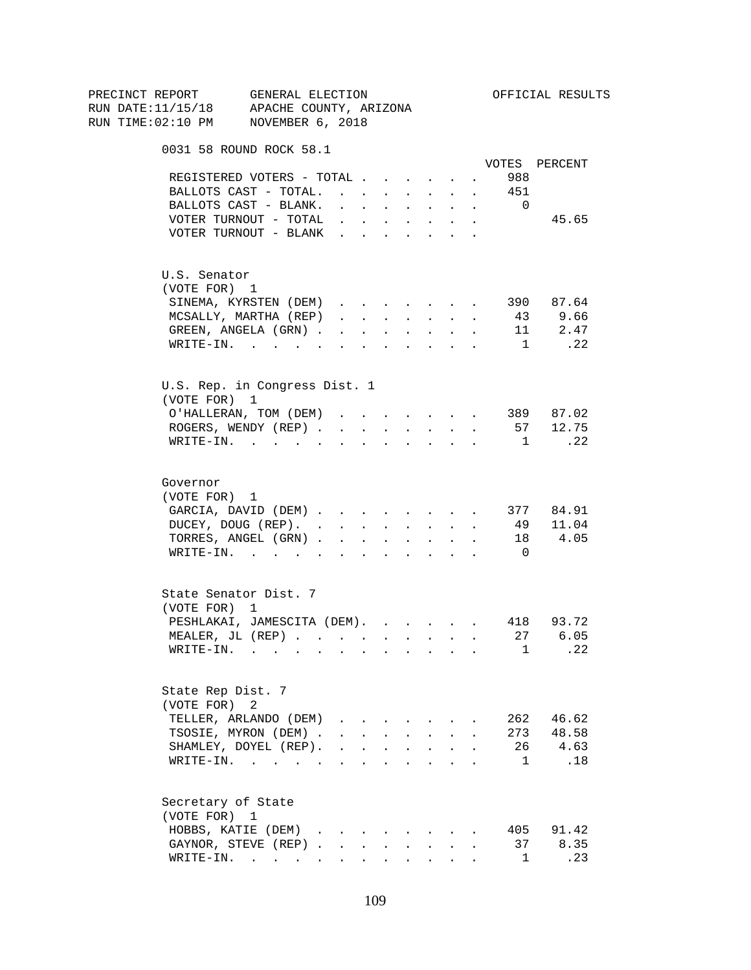| PRECINCT REPORT |          |                    | GENERAL ELECTION<br>RUN DATE:11/15/18 APACHE COUNTY, ARIZONA                                                    |              |                      |                                 |        |                                                                                                 |                                          |        |                        | OFFICIAL RESULTS |
|-----------------|----------|--------------------|-----------------------------------------------------------------------------------------------------------------|--------------|----------------------|---------------------------------|--------|-------------------------------------------------------------------------------------------------|------------------------------------------|--------|------------------------|------------------|
|                 |          |                    | RUN TIME:02:10 PM NOVEMBER 6, 2018                                                                              |              |                      |                                 |        |                                                                                                 |                                          |        |                        |                  |
|                 |          |                    | 0031 58 ROUND ROCK 58.1                                                                                         |              |                      |                                 |        |                                                                                                 |                                          |        |                        |                  |
|                 |          |                    |                                                                                                                 |              |                      |                                 |        |                                                                                                 |                                          |        |                        | VOTES PERCENT    |
|                 |          |                    | REGISTERED VOTERS - TOTAL                                                                                       |              |                      |                                 |        |                                                                                                 |                                          |        | 988<br>$\sim 10^{-10}$ |                  |
|                 |          |                    | BALLOTS CAST - TOTAL. 451                                                                                       |              |                      |                                 |        |                                                                                                 |                                          |        |                        |                  |
|                 |          |                    | BALLOTS CAST - BLANK.                                                                                           |              |                      |                                 |        |                                                                                                 | and a strong control of the state of the |        | $\overline{0}$         | 45.65            |
|                 |          |                    | VOTER TURNOUT - TOTAL<br>VOTER TURNOUT - BLANK                                                                  |              |                      |                                 |        | $\mathbf{r} = \mathbf{r} \times \mathbf{r}$ , where $\mathbf{r} = \mathbf{r} \times \mathbf{r}$ | $\ddot{\phantom{0}}$                     |        |                        |                  |
|                 |          |                    |                                                                                                                 |              |                      |                                 |        |                                                                                                 |                                          |        |                        |                  |
|                 |          | U.S. Senator       |                                                                                                                 |              |                      |                                 |        |                                                                                                 |                                          |        |                        |                  |
|                 |          | (VOTE FOR) 1       |                                                                                                                 |              |                      |                                 |        |                                                                                                 |                                          |        |                        |                  |
|                 |          |                    | SINEMA, KYRSTEN (DEM)                                                                                           |              |                      |                                 |        |                                                                                                 |                                          |        |                        | 390 87.64        |
|                 |          |                    | MCSALLY, MARTHA (REP)                                                                                           |              |                      |                                 |        |                                                                                                 |                                          |        |                        | 43 9.66          |
|                 |          |                    | GREEN, ANGELA (GRN)                                                                                             |              |                      |                                 |        |                                                                                                 |                                          |        |                        | 11 2.47          |
|                 |          |                    | WRITE-IN.                                                                                                       |              |                      |                                 |        |                                                                                                 |                                          | $\sim$ | 1                      | .22              |
|                 |          |                    | U.S. Rep. in Congress Dist. 1                                                                                   |              |                      |                                 |        |                                                                                                 |                                          |        |                        |                  |
|                 |          | (VOTE FOR) 1       |                                                                                                                 |              |                      |                                 |        |                                                                                                 |                                          |        |                        |                  |
|                 |          |                    | O'HALLERAN, TOM (DEM) 389 87.02                                                                                 |              |                      |                                 |        |                                                                                                 |                                          |        |                        |                  |
|                 |          |                    | ROGERS, WENDY (REP) 57 12.75                                                                                    |              |                      |                                 |        |                                                                                                 |                                          |        |                        |                  |
|                 |          |                    | WRITE-IN. 1                                                                                                     |              |                      |                                 |        |                                                                                                 |                                          |        |                        | .22              |
|                 | Governor |                    |                                                                                                                 |              |                      |                                 |        |                                                                                                 |                                          |        |                        |                  |
|                 |          | (VOTE FOR) 1       |                                                                                                                 |              |                      |                                 |        |                                                                                                 |                                          |        |                        |                  |
|                 |          |                    | GARCIA, DAVID (DEM) 377 84.91                                                                                   |              |                      |                                 |        |                                                                                                 |                                          |        |                        |                  |
|                 |          |                    | DUCEY, DOUG (REP). 49 11.04                                                                                     |              |                      |                                 |        |                                                                                                 |                                          |        |                        |                  |
|                 |          |                    | TORRES, ANGEL (GRN) 18 4.05                                                                                     |              |                      |                                 |        |                                                                                                 |                                          |        |                        |                  |
|                 |          |                    | WRITE-IN.                                                                                                       |              |                      |                                 |        |                                                                                                 |                                          |        | $\overline{0}$         |                  |
|                 |          |                    |                                                                                                                 |              |                      |                                 |        |                                                                                                 |                                          |        |                        |                  |
|                 |          |                    | State Senator Dist. 7                                                                                           |              |                      |                                 |        |                                                                                                 |                                          |        |                        |                  |
|                 |          | (VOTE FOR) 1       | PESHLAKAI, JAMESCITA (DEM).                                                                                     |              |                      |                                 |        |                                                                                                 |                                          |        |                        | 418 93.72        |
|                 |          |                    | MEALER, JL (REP)                                                                                                |              |                      |                                 |        |                                                                                                 |                                          |        |                        | . 27 6.05        |
|                 |          | WRITE-IN.          | the contract of the contract of the contract of the contract of the contract of the contract of the contract of |              |                      |                                 |        |                                                                                                 |                                          |        | $\mathbf{1}$           | . 22             |
|                 |          |                    |                                                                                                                 |              |                      |                                 |        |                                                                                                 |                                          |        |                        |                  |
|                 |          | State Rep Dist. 7  |                                                                                                                 |              |                      |                                 |        |                                                                                                 |                                          |        |                        |                  |
|                 |          | (VOTE FOR) 2       |                                                                                                                 |              |                      |                                 |        |                                                                                                 |                                          |        |                        |                  |
|                 |          |                    | TELLER, ARLANDO (DEM)                                                                                           |              |                      | $\cdot$ $\cdot$ $\cdot$ $\cdot$ |        |                                                                                                 |                                          |        | 262                    | 46.62            |
|                 |          |                    | TSOSIE, MYRON (DEM).                                                                                            | $\mathbf{r}$ |                      | $\mathbf{L} = \mathbf{L}$       | $\sim$ | $\sim$ $\sim$                                                                                   | $\mathbf{L}$                             |        |                        | 273 48.58        |
|                 |          |                    | SHAMLEY, DOYEL (REP).                                                                                           |              |                      |                                 |        | $\mathbf{r}$ and $\mathbf{r}$ and $\mathbf{r}$ and $\mathbf{r}$                                 |                                          |        |                        | 26 4.63          |
|                 |          |                    | WRITE-IN.                                                                                                       |              |                      |                                 |        |                                                                                                 |                                          |        | $\mathbf{1}$           | .18              |
|                 |          | Secretary of State |                                                                                                                 |              |                      |                                 |        |                                                                                                 |                                          |        |                        |                  |
|                 |          | (VOTE FOR) 1       |                                                                                                                 |              |                      |                                 |        |                                                                                                 |                                          |        |                        |                  |
|                 |          |                    | HOBBS, KATIE (DEM)                                                                                              |              |                      |                                 |        |                                                                                                 |                                          |        |                        | 405 91.42        |
|                 |          |                    | GAYNOR, STEVE (REP).                                                                                            | $\sim$       | $\ddot{\phantom{0}}$ | $\ddot{\phantom{a}}$            |        |                                                                                                 |                                          |        | 37                     | 8.35             |
|                 |          |                    | WRITE-IN.                                                                                                       |              |                      |                                 |        | $\mathbf{r} = \mathbf{r}$                                                                       |                                          |        | $\mathbf{1}$           | .23              |

109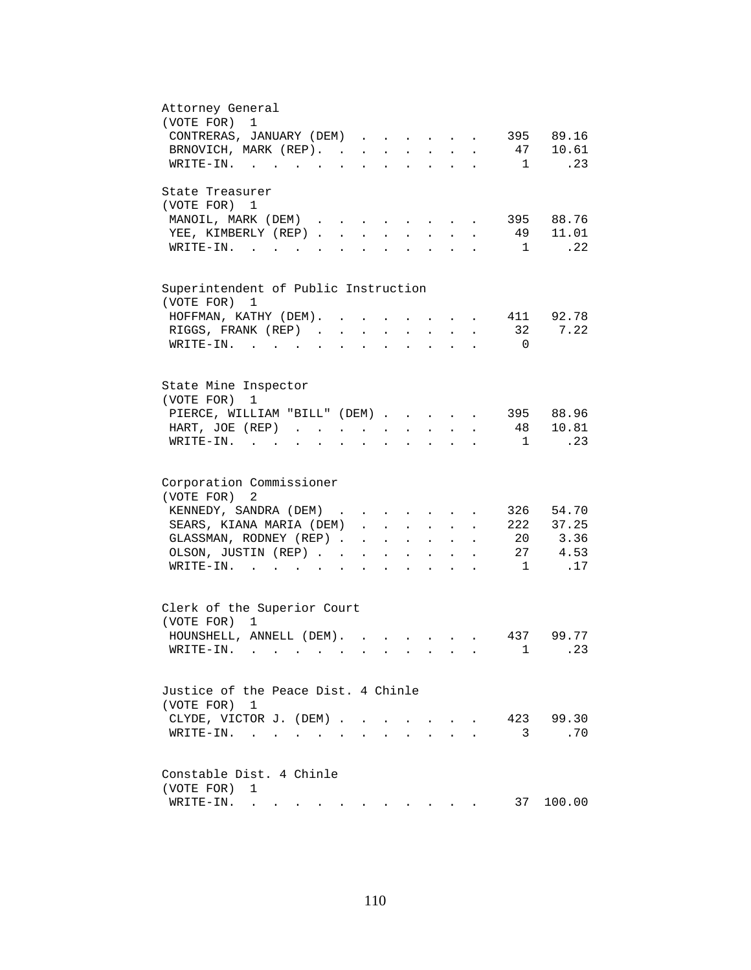| Attorney General                                                                                                                                                                      |
|---------------------------------------------------------------------------------------------------------------------------------------------------------------------------------------|
| (VOTE FOR)<br>$\mathbf{1}$                                                                                                                                                            |
| CONTRERAS, JANUARY (DEM)<br>395 89.16                                                                                                                                                 |
| BRNOVICH, MARK (REP).<br>47 10.61                                                                                                                                                     |
| .23<br>WRITE-IN.<br>$\overline{1}$                                                                                                                                                    |
| State Treasurer                                                                                                                                                                       |
| (VOTE FOR) 1                                                                                                                                                                          |
| MANOIL, MARK (DEM)<br>395 88.76<br>$\sim$ $\sim$ $\sim$ $\sim$ $\sim$ $\sim$                                                                                                          |
| 49 11.01<br>YEE, KIMBERLY (REP)<br>$\mathbf{L}$<br>$\sim$<br>$\sim$                                                                                                                   |
| .22<br>$W\text{RITE}-\text{IN}.$<br>$\overline{1}$<br>$\mathcal{L}^{\text{max}}$<br>$\mathbf{L}$                                                                                      |
|                                                                                                                                                                                       |
| Superintendent of Public Instruction<br>(VOTE FOR) 1                                                                                                                                  |
| 411 92.78                                                                                                                                                                             |
| HOFFMAN, KATHY (DEM).                                                                                                                                                                 |
| 32<br>7.22<br>RIGGS, FRANK (REP).<br>$\ddot{\phantom{a}}$                                                                                                                             |
| WRITE-IN.<br>$\overline{0}$<br>$\sim$ 100 $\sim$                                                                                                                                      |
|                                                                                                                                                                                       |
| State Mine Inspector<br>(VOTE FOR)<br>1                                                                                                                                               |
| 395 88.96<br>PIERCE, WILLIAM "BILL" (DEM)                                                                                                                                             |
| 48 10.81<br>HART, JOE (REP)<br>$\mathbf{r} = \mathbf{r} + \mathbf{r}$ .<br>$\mathbf{r} = \mathbf{r} \cdot \mathbf{r}$ .<br>$\sim$<br>$\ddot{\phantom{a}}$                             |
| .23<br>$WRITE-IN.$<br>$\overline{1}$<br>$\mathbf{r}$ and $\mathbf{r}$ and $\mathbf{r}$<br>$\mathbf{z} = \mathbf{z} + \mathbf{z}$ .<br>$\ddot{\phantom{a}}$<br>$\ddot{\phantom{a}}$    |
|                                                                                                                                                                                       |
| Corporation Commissioner                                                                                                                                                              |
| (VOTE FOR)<br>2                                                                                                                                                                       |
| KENNEDY, SANDRA (DEM)<br>326 54.70                                                                                                                                                    |
| 222 37.25<br>SEARS, KIANA MARIA (DEM)                                                                                                                                                 |
| $\cdot$ $\cdot$                                                                                                                                                                       |
| 20 3.36<br>GLASSMAN, RODNEY (REP)<br>$\mathbf{r}=(\mathbf{r}_1,\ldots,\mathbf{r}_n)$ . The contract of the $\mathbf{r}_1$                                                             |
| 27 4.53<br>OLSON, JUSTIN (REP)<br>$\mathbf{z} = \mathbf{z} + \mathbf{z}$ .<br>$\bullet$ .<br><br><br><br><br><br><br><br><br><br><br><br><br>$\sim$ 100 $\pm$<br>$\ddot{\phantom{0}}$ |
| .17<br>$\overline{1}$<br>$\texttt{WRTTE-IN.}$<br>$\mathbf{L}$ and $\mathbf{L}$<br>$\ddot{\phantom{a}}$                                                                                |
|                                                                                                                                                                                       |
| Clerk of the Superior Court                                                                                                                                                           |
| (VOTE FOR) 1                                                                                                                                                                          |
| HOUNSHELL, ANNELL (DEM).<br>437 99.77                                                                                                                                                 |
| $\ldots$ . 23<br>WRITE-IN.<br>1                                                                                                                                                       |
|                                                                                                                                                                                       |
| Justice of the Peace Dist. 4 Chinle                                                                                                                                                   |
| (VOTE FOR) 1                                                                                                                                                                          |
| 423<br>99.30<br>CLYDE, VICTOR J. (DEM).<br>$\ddot{\phantom{0}}$<br>$\mathbf{L}$<br>$\sim$                                                                                             |
| 3<br>.70<br>WRITE-IN.<br>$\ddot{\phantom{0}}$                                                                                                                                         |
|                                                                                                                                                                                       |
| Constable Dist. 4 Chinle                                                                                                                                                              |
| (VOTE FOR)<br>1                                                                                                                                                                       |
| 37<br>100.00<br>WRITE-IN.<br>والمتواطن والمستنقل والمتواطن والمتواطن والمتواطن والمتواطن                                                                                              |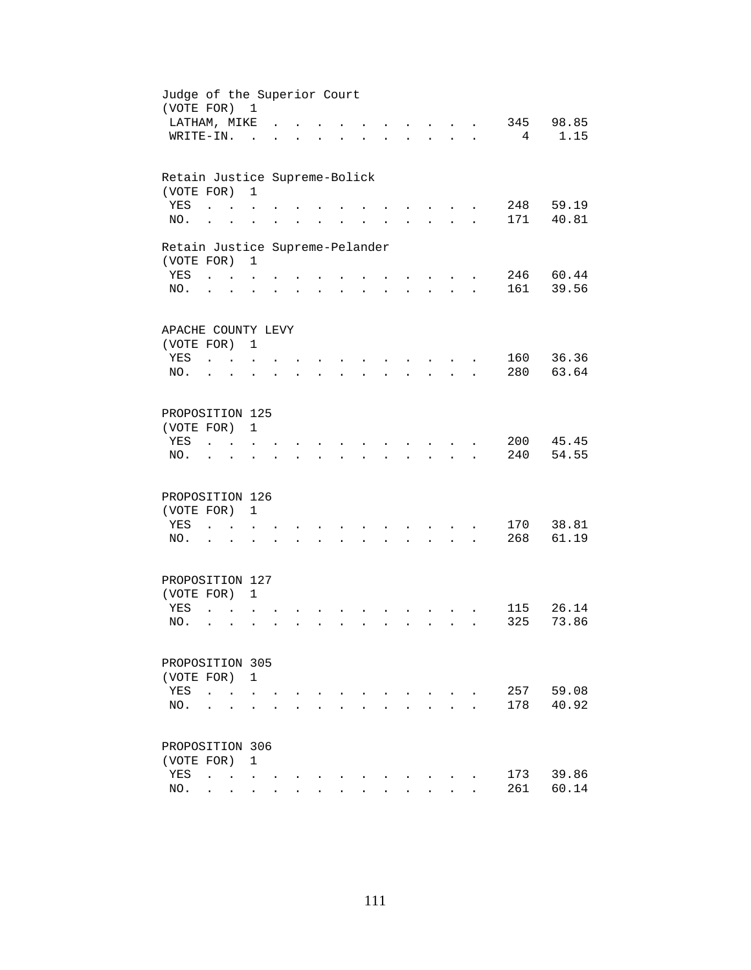| Judge of the Superior Court<br>(VOTE FOR) 1   |                                              |                                   |                      |                      |                      |                      |                      |                      |                                          |                      |            |                |
|-----------------------------------------------|----------------------------------------------|-----------------------------------|----------------------|----------------------|----------------------|----------------------|----------------------|----------------------|------------------------------------------|----------------------|------------|----------------|
| LATHAM, MIKE                                  |                                              |                                   |                      |                      |                      |                      |                      |                      | $\mathbf{r}$ .                           |                      | 345        | 98.85          |
| WRITE-IN.                                     |                                              |                                   | $\sim$               |                      |                      |                      |                      |                      | <b>Contract Contract</b>                 | $\ddot{\phantom{a}}$ | 4          | 1.15           |
| Retain Justice Supreme-Bolick                 |                                              |                                   |                      |                      |                      |                      |                      |                      |                                          |                      |            |                |
| (VOTE FOR)                                    |                                              |                                   | $\mathbf{1}$         |                      |                      |                      |                      |                      |                                          |                      |            |                |
| YES<br>NO.                                    | $\ddot{\phantom{a}}$<br>$\ddot{\phantom{a}}$ |                                   |                      |                      |                      |                      |                      |                      |                                          |                      | 248<br>171 | 59.19<br>40.81 |
|                                               |                                              |                                   |                      |                      |                      |                      |                      |                      |                                          |                      |            |                |
| Retain Justice Supreme-Pelander<br>(VOTE FOR) |                                              |                                   | $\mathbf{1}$         |                      |                      |                      |                      |                      |                                          |                      |            |                |
| YES                                           | <b>Contract Contract Contract</b>            |                                   |                      |                      |                      |                      |                      |                      |                                          |                      |            | 246 60.44      |
| NO.                                           | $\cdot$ $\cdot$                              |                                   | $\ddot{\phantom{a}}$ |                      | $\ddot{\phantom{a}}$ |                      | $\ddot{\phantom{0}}$ | $\ddot{\phantom{a}}$ | $\mathbf{z} = \mathbf{z} + \mathbf{z}$ . | $\ddot{\phantom{a}}$ | 161        | 39.56          |
| APACHE COUNTY LEVY                            |                                              |                                   |                      |                      |                      |                      |                      |                      |                                          |                      |            |                |
| (VOTE FOR) 1                                  |                                              |                                   |                      |                      |                      |                      |                      |                      |                                          |                      |            |                |
| YES                                           | $\mathbf{r}$ , $\mathbf{r}$                  |                                   |                      |                      |                      |                      |                      |                      |                                          |                      | 160        | 36.36          |
| NO.                                           | $\ddot{\phantom{a}}$                         | $\sim$                            |                      |                      |                      |                      |                      |                      |                                          |                      | 280        | 63.64          |
| PROPOSITION 125                               |                                              |                                   |                      |                      |                      |                      |                      |                      |                                          |                      |            |                |
| (VOTE FOR)                                    |                                              |                                   | $\mathbf{1}$         |                      |                      |                      |                      |                      |                                          |                      |            |                |
| YES                                           |                                              |                                   |                      |                      |                      |                      |                      |                      |                                          |                      | 200        | 45.45          |
| NO.                                           |                                              |                                   |                      |                      |                      |                      |                      |                      |                                          |                      | 240        | 54.55          |
| PROPOSITION 126                               |                                              |                                   |                      |                      |                      |                      |                      |                      |                                          |                      |            |                |
| (VOTE FOR)                                    |                                              |                                   | $\mathbf{1}$         |                      |                      |                      |                      |                      |                                          |                      |            |                |
| YES                                           | $\ddot{\phantom{a}}$                         | <b>Contract Contract</b>          | $\ddot{\phantom{a}}$ |                      |                      |                      |                      |                      |                                          |                      | 170        | 38.81          |
| NO.                                           | $\cdot$ $\cdot$                              |                                   |                      | $\ddot{\phantom{a}}$ | $\ddot{\phantom{a}}$ | $\ddot{\phantom{a}}$ |                      | $\ddot{\phantom{a}}$ | $\mathbf{z} = \mathbf{z} + \mathbf{z}$ . | $\ddot{\phantom{a}}$ | 268        | 61.19          |
| PROPOSITION 127                               |                                              |                                   |                      |                      |                      |                      |                      |                      |                                          |                      |            |                |
| (VOTE FOR) 1                                  |                                              |                                   |                      |                      |                      |                      |                      |                      |                                          |                      |            |                |
| YES                                           | $\ddot{\phantom{a}}$                         |                                   |                      |                      |                      |                      |                      |                      |                                          |                      | 115        | 26.14          |
| NO.                                           | $\ddot{\phantom{a}}$                         | $\ddot{\phantom{a}}$              |                      |                      |                      |                      |                      |                      | $\mathbf{r}$                             |                      | 325        | 73.86          |
| PROPOSITION 305                               |                                              |                                   |                      |                      |                      |                      |                      |                      |                                          |                      |            |                |
| (VOTE FOR)                                    |                                              |                                   | $\overline{1}$       |                      |                      |                      |                      |                      |                                          |                      |            |                |
| YES                                           | $\ddot{\phantom{a}}$                         |                                   |                      |                      |                      |                      |                      |                      |                                          |                      | 257        | 59.08          |
| NO.                                           |                                              |                                   |                      |                      |                      |                      |                      |                      |                                          |                      | 178        | 40.92          |
| PROPOSITION 306                               |                                              |                                   |                      |                      |                      |                      |                      |                      |                                          |                      |            |                |
| (VOTE FOR)                                    |                                              |                                   | 1                    |                      |                      |                      |                      |                      |                                          |                      |            |                |
| YES                                           | $\ddot{\phantom{a}}$                         | <b>Contract Contract Contract</b> |                      |                      |                      |                      |                      |                      |                                          |                      | 173        | 39.86          |
| NO.                                           | $\ddot{\phantom{0}}$                         | $\sim$                            | $\ddot{\phantom{0}}$ |                      |                      |                      |                      |                      |                                          |                      | 261        | 60.14          |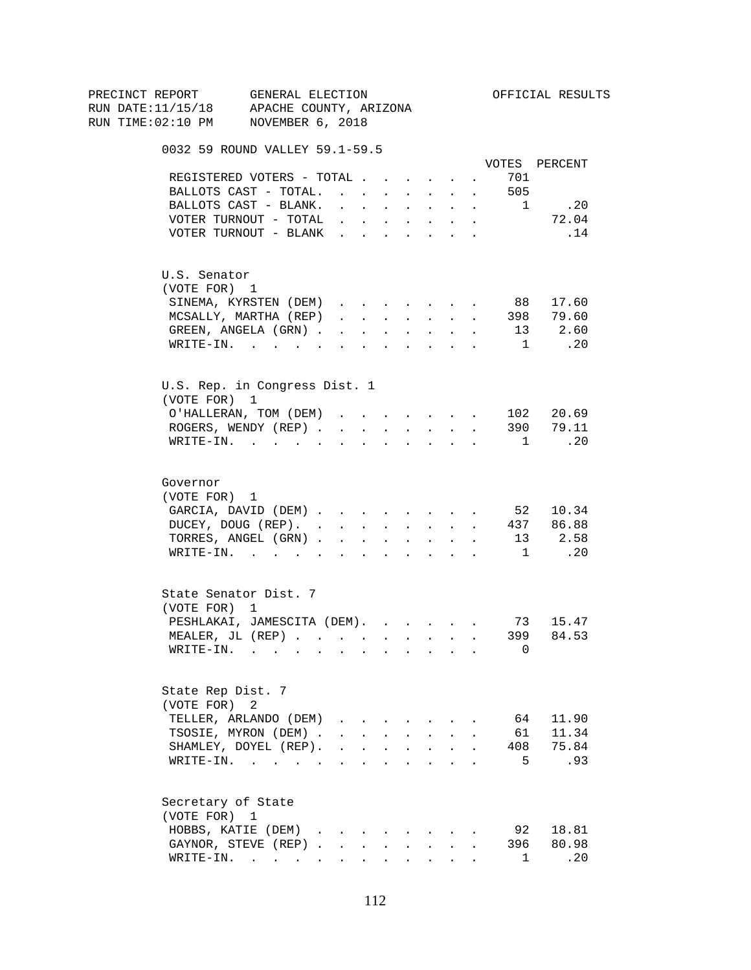| PRECINCT REPORT |                    | GENERAL ELECTION                                                                                                |                                 |                                        |                      |                                                                                                                                                                                                                                                                                                                                                                                                                                                            |                  |            |                | OFFICIAL RESULTS |
|-----------------|--------------------|-----------------------------------------------------------------------------------------------------------------|---------------------------------|----------------------------------------|----------------------|------------------------------------------------------------------------------------------------------------------------------------------------------------------------------------------------------------------------------------------------------------------------------------------------------------------------------------------------------------------------------------------------------------------------------------------------------------|------------------|------------|----------------|------------------|
|                 |                    | RUN DATE:11/15/18 APACHE COUNTY, ARIZONA                                                                        |                                 |                                        |                      |                                                                                                                                                                                                                                                                                                                                                                                                                                                            |                  |            |                |                  |
|                 |                    | RUN TIME:02:10 PM NOVEMBER 6, 2018                                                                              |                                 |                                        |                      |                                                                                                                                                                                                                                                                                                                                                                                                                                                            |                  |            |                |                  |
|                 |                    | 0032 59 ROUND VALLEY 59.1-59.5                                                                                  |                                 |                                        |                      |                                                                                                                                                                                                                                                                                                                                                                                                                                                            |                  |            |                |                  |
|                 |                    |                                                                                                                 |                                 |                                        |                      |                                                                                                                                                                                                                                                                                                                                                                                                                                                            |                  |            |                | VOTES PERCENT    |
|                 |                    | REGISTERED VOTERS - TOTAL                                                                                       |                                 |                                        |                      |                                                                                                                                                                                                                                                                                                                                                                                                                                                            |                  | $\sim$     | 701            |                  |
|                 |                    | BALLOTS CAST - TOTAL.                                                                                           |                                 |                                        |                      |                                                                                                                                                                                                                                                                                                                                                                                                                                                            |                  |            | 505            |                  |
|                 |                    | BALLOTS CAST - BLANK.                                                                                           | $\sim$                          |                                        |                      | $\mathbf{u} = \mathbf{u} + \mathbf{u} + \mathbf{u} + \mathbf{u} + \mathbf{u} + \mathbf{u}$                                                                                                                                                                                                                                                                                                                                                                 |                  |            | $\overline{1}$ | .20              |
|                 |                    | VOTER TURNOUT - TOTAL                                                                                           |                                 |                                        |                      | <b>All Cards</b>                                                                                                                                                                                                                                                                                                                                                                                                                                           | $\sim$ 100 $\pm$ | $\sim$     |                | 72.04            |
|                 |                    | VOTER TURNOUT - BLANK                                                                                           |                                 |                                        |                      |                                                                                                                                                                                                                                                                                                                                                                                                                                                            |                  |            |                | .14              |
|                 | U.S. Senator       |                                                                                                                 |                                 |                                        |                      |                                                                                                                                                                                                                                                                                                                                                                                                                                                            |                  |            |                |                  |
|                 | (VOTE FOR) 1       |                                                                                                                 |                                 |                                        |                      |                                                                                                                                                                                                                                                                                                                                                                                                                                                            |                  |            |                |                  |
|                 |                    | SINEMA, KYRSTEN (DEM)                                                                                           |                                 |                                        |                      |                                                                                                                                                                                                                                                                                                                                                                                                                                                            |                  | $\sim$ $-$ | 88             | 17.60            |
|                 |                    | MCSALLY, MARTHA (REP)                                                                                           |                                 |                                        |                      | $\mathbf{1} \qquad \mathbf{1} \qquad \mathbf{1} \qquad \mathbf{1} \qquad \mathbf{1} \qquad \mathbf{1} \qquad \mathbf{1} \qquad \mathbf{1} \qquad \mathbf{1} \qquad \mathbf{1} \qquad \mathbf{1} \qquad \mathbf{1} \qquad \mathbf{1} \qquad \mathbf{1} \qquad \mathbf{1} \qquad \mathbf{1} \qquad \mathbf{1} \qquad \mathbf{1} \qquad \mathbf{1} \qquad \mathbf{1} \qquad \mathbf{1} \qquad \mathbf{1} \qquad \mathbf{1} \qquad \mathbf{1} \qquad \mathbf{$ |                  |            | 398            | 79.60            |
|                 |                    | GREEN, ANGELA (GRN)                                                                                             |                                 |                                        |                      |                                                                                                                                                                                                                                                                                                                                                                                                                                                            |                  |            | 13             | 2.60             |
|                 |                    | $\texttt{WRTTE-IN.}$                                                                                            | $\sim$                          | <b>All Cards</b>                       |                      | $\mathbf{r} = \mathbf{r} + \mathbf{r}$ , where $\mathbf{r} = \mathbf{r}$                                                                                                                                                                                                                                                                                                                                                                                   |                  |            | 1              | $\overline{20}$  |
|                 |                    | U.S. Rep. in Congress Dist. 1                                                                                   |                                 |                                        |                      |                                                                                                                                                                                                                                                                                                                                                                                                                                                            |                  |            |                |                  |
|                 | (VOTE FOR) 1       |                                                                                                                 |                                 |                                        |                      |                                                                                                                                                                                                                                                                                                                                                                                                                                                            |                  |            |                |                  |
|                 |                    | O'HALLERAN, TOM (DEM)                                                                                           |                                 |                                        |                      | and a series of the series of the series of                                                                                                                                                                                                                                                                                                                                                                                                                |                  |            |                | 102 20.69        |
|                 |                    | ROGERS, WENDY (REP)                                                                                             |                                 |                                        |                      |                                                                                                                                                                                                                                                                                                                                                                                                                                                            |                  |            |                | 390 79.11        |
|                 |                    | WRITE-IN.                                                                                                       |                                 |                                        |                      |                                                                                                                                                                                                                                                                                                                                                                                                                                                            |                  |            | $\frac{1}{2}$  | .20              |
|                 | Governor           |                                                                                                                 |                                 |                                        |                      |                                                                                                                                                                                                                                                                                                                                                                                                                                                            |                  |            |                |                  |
|                 | (VOTE FOR) 1       |                                                                                                                 |                                 |                                        |                      |                                                                                                                                                                                                                                                                                                                                                                                                                                                            |                  |            |                |                  |
|                 |                    | GARCIA, DAVID (DEM) 52 10.34                                                                                    |                                 |                                        |                      |                                                                                                                                                                                                                                                                                                                                                                                                                                                            |                  |            |                |                  |
|                 |                    | DUCEY, DOUG (REP). 437 86.88                                                                                    |                                 |                                        |                      |                                                                                                                                                                                                                                                                                                                                                                                                                                                            |                  |            |                |                  |
|                 |                    | TORRES, ANGEL (GRN) 13 2.58                                                                                     |                                 |                                        |                      |                                                                                                                                                                                                                                                                                                                                                                                                                                                            |                  |            |                |                  |
|                 |                    | WRITE-IN.                                                                                                       |                                 |                                        |                      |                                                                                                                                                                                                                                                                                                                                                                                                                                                            |                  |            |                | 1 .20            |
|                 |                    |                                                                                                                 |                                 |                                        |                      |                                                                                                                                                                                                                                                                                                                                                                                                                                                            |                  |            |                |                  |
|                 |                    | State Senator Dist. 7                                                                                           |                                 |                                        |                      |                                                                                                                                                                                                                                                                                                                                                                                                                                                            |                  |            |                |                  |
|                 | (VOTE FOR) 1       |                                                                                                                 |                                 |                                        |                      |                                                                                                                                                                                                                                                                                                                                                                                                                                                            |                  |            |                |                  |
|                 |                    | PESHLAKAI, JAMESCITA (DEM).                                                                                     |                                 |                                        |                      |                                                                                                                                                                                                                                                                                                                                                                                                                                                            |                  |            |                | 73 15.47         |
|                 |                    | MEALER. JL $(REP)$ , , , , , , , , , , ,                                                                        |                                 |                                        |                      |                                                                                                                                                                                                                                                                                                                                                                                                                                                            |                  |            |                | 399 84.53        |
|                 | WRITE-IN.          | the contract of the contract of the contract of the contract of the contract of the contract of the contract of |                                 |                                        |                      |                                                                                                                                                                                                                                                                                                                                                                                                                                                            |                  |            | 0              |                  |
|                 | State Rep Dist. 7  |                                                                                                                 |                                 |                                        |                      |                                                                                                                                                                                                                                                                                                                                                                                                                                                            |                  |            |                |                  |
|                 | (VOTE FOR) 2       |                                                                                                                 |                                 |                                        |                      |                                                                                                                                                                                                                                                                                                                                                                                                                                                            |                  |            |                |                  |
|                 |                    | TELLER, ARLANDO (DEM)                                                                                           | $\cdot$ $\cdot$ $\cdot$ $\cdot$ |                                        |                      |                                                                                                                                                                                                                                                                                                                                                                                                                                                            |                  |            | 64             | 11.90            |
|                 |                    | TSOSIE, MYRON (DEM).                                                                                            |                                 | $\mathbf{r} = \mathbf{r} + \mathbf{r}$ | $\mathbf{L}$         | $\sim$                                                                                                                                                                                                                                                                                                                                                                                                                                                     | $\mathbf{A}$     |            | 61             | 11.34            |
|                 |                    | SHAMLEY, DOYEL (REP).                                                                                           |                                 |                                        |                      | $\mathbf{r}$ , $\mathbf{r}$ , $\mathbf{r}$ , $\mathbf{r}$                                                                                                                                                                                                                                                                                                                                                                                                  |                  |            | 408            | 75.84            |
|                 |                    | WRITE-IN.                                                                                                       |                                 | <b>Contract Contract</b>               | $\ddot{\phantom{a}}$ | $\sim$ $\sim$ $\sim$                                                                                                                                                                                                                                                                                                                                                                                                                                       |                  |            | 5              | .93              |
|                 | Secretary of State |                                                                                                                 |                                 |                                        |                      |                                                                                                                                                                                                                                                                                                                                                                                                                                                            |                  |            |                |                  |
|                 | (VOTE FOR) 1       |                                                                                                                 |                                 |                                        |                      |                                                                                                                                                                                                                                                                                                                                                                                                                                                            |                  |            |                |                  |
|                 |                    | HOBBS, KATIE (DEM)                                                                                              |                                 |                                        |                      |                                                                                                                                                                                                                                                                                                                                                                                                                                                            |                  |            | 92             | 18.81            |
|                 |                    | GAYNOR, STEVE (REP).                                                                                            | $\sim$                          |                                        |                      |                                                                                                                                                                                                                                                                                                                                                                                                                                                            |                  |            | 396            | 80.98            |
|                 |                    | $\texttt{WRITE-IN.}$                                                                                            |                                 | $\bullet$ .                            |                      | <b>All Card Corporation</b>                                                                                                                                                                                                                                                                                                                                                                                                                                | $\sim$           |            | 1              | .20              |
|                 |                    |                                                                                                                 |                                 |                                        |                      |                                                                                                                                                                                                                                                                                                                                                                                                                                                            |                  |            |                |                  |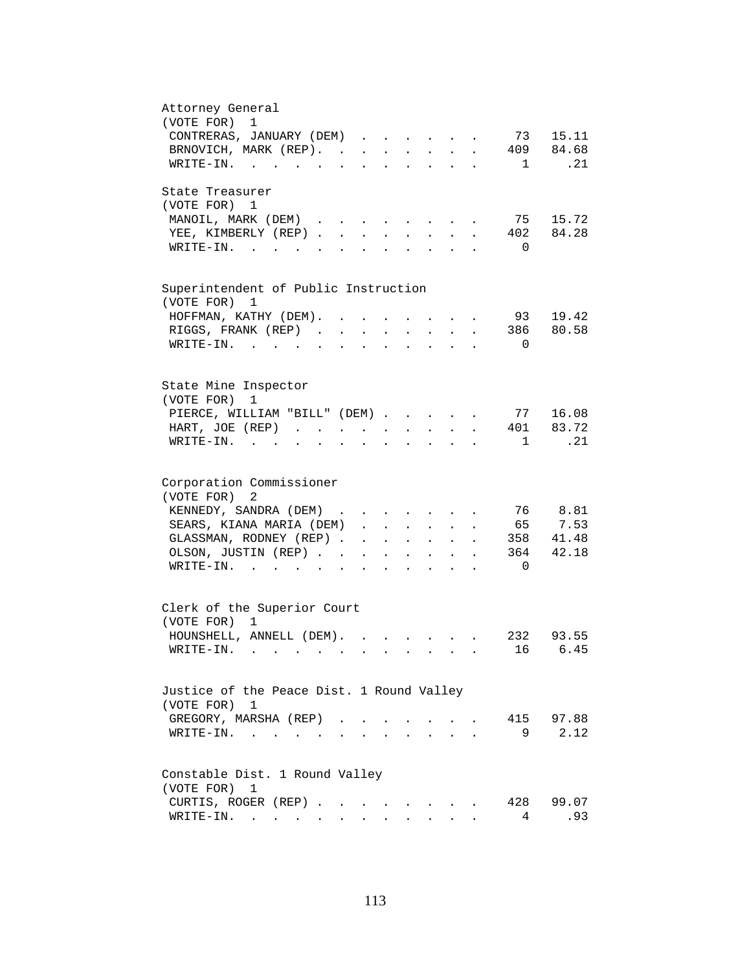| Attorney General<br>(VOTE FOR)<br>$\mathbf 1$                                                                                                                                |
|------------------------------------------------------------------------------------------------------------------------------------------------------------------------------|
| CONTRERAS, JANUARY (DEM)<br>73 15.11                                                                                                                                         |
| BRNOVICH, MARK (REP).<br>409 84.68                                                                                                                                           |
| . 21<br>WRITE-IN.<br>$\mathbf{1}$                                                                                                                                            |
| State Treasurer                                                                                                                                                              |
| (VOTE FOR) 1                                                                                                                                                                 |
| MANOIL, MARK (DEM)<br>75 15.72<br>$\cdots$ $\cdots$ $\cdots$<br>402 84.28                                                                                                    |
| YEE, KIMBERLY (REP).<br>$\sim$<br>$\mathbf{L}$<br>$\sim$<br>$WRITE-TN.$<br>$\overline{0}$                                                                                    |
|                                                                                                                                                                              |
| Superintendent of Public Instruction                                                                                                                                         |
| (VOTE FOR) 1                                                                                                                                                                 |
| 93<br>19.42<br>HOFFMAN, KATHY (DEM). .                                                                                                                                       |
| RIGGS, FRANK (REP)<br>386<br>80.58                                                                                                                                           |
| WRITE-IN.<br>$\overline{0}$                                                                                                                                                  |
|                                                                                                                                                                              |
| State Mine Inspector                                                                                                                                                         |
| (VOTE FOR)<br>1                                                                                                                                                              |
| PIERCE, WILLIAM "BILL" (DEM)<br>77 16.08                                                                                                                                     |
| 401 83.72<br>HART, JOE (REP)<br>$\mathbf{z} = \mathbf{z} + \mathbf{z}$ .<br>$\mathbf{z} = \mathbf{z} + \mathbf{z}$ , where $\mathbf{z} = \mathbf{z}$<br>$\ddot{\phantom{a}}$ |
| . 21<br>$WRITE-IN.$<br>$\mathbf{1}$<br>$\mathbf{r}$ . The set of $\mathbf{r}$<br>$\mathbf{L} = \mathbf{L}$                                                                   |
| Corporation Commissioner                                                                                                                                                     |
| (VOTE FOR)<br>2                                                                                                                                                              |
| 76 8.81<br>KENNEDY, SANDRA (DEM)                                                                                                                                             |
| 65 7.53<br>SEARS, KIANA MARIA (DEM).<br>$\mathbf{r} = \mathbf{r}$ and $\mathbf{r} = \mathbf{r}$<br>$\ddot{\phantom{1}}$                                                      |
| GLASSMAN, RODNEY (REP).<br>358 41.48<br>$\mathbf{r} = \mathbf{r} \cdot \mathbf{r}$<br>$\sim$<br>$\mathbf{L}$<br>$\ddot{\phantom{a}}$                                         |
| 42.18<br>364<br>OLSON, JUSTIN (REP). .<br>$\mathbf{L}^{\text{max}}$<br>$\mathbf{A}^{(1)}$ and $\mathbf{A}^{(2)}$ and<br>$\ddot{\phantom{0}}$<br>$\bullet$                    |
| WRITE-IN.<br>$\Omega$<br>$\mathbf{L} = \mathbf{L} \mathbf{L} + \mathbf{L} \mathbf{L}$                                                                                        |
|                                                                                                                                                                              |
| Clerk of the Superior Court                                                                                                                                                  |
| (VOTE FOR) 1                                                                                                                                                                 |
| HOUNSHELL, ANNELL (DEM).<br>232 93.55<br>$\mathbf{r} = \mathbf{r} \cdot \mathbf{r}$ and $\mathbf{r} = \mathbf{r} \cdot \mathbf{r}$                                           |
| . 16 6.45<br>$W\text{RITE}-\text{IN}$ , , , , , , ,                                                                                                                          |
| Justice of the Peace Dist. 1 Round Valley                                                                                                                                    |
| (VOTE FOR) 1                                                                                                                                                                 |
| 97.88<br>GREGORY, MARSHA (REP).<br>415                                                                                                                                       |
| 2.12<br>$\texttt{WRTTE-IN.}$<br>9<br>$\sim 100$ km s $^{-1}$                                                                                                                 |
|                                                                                                                                                                              |
| Constable Dist. 1 Round Valley                                                                                                                                               |
| (VOTE FOR)<br>1                                                                                                                                                              |
| CURTIS, ROGER (REP)<br>428<br>99.07                                                                                                                                          |
| WRITE-IN.<br>4<br>.93                                                                                                                                                        |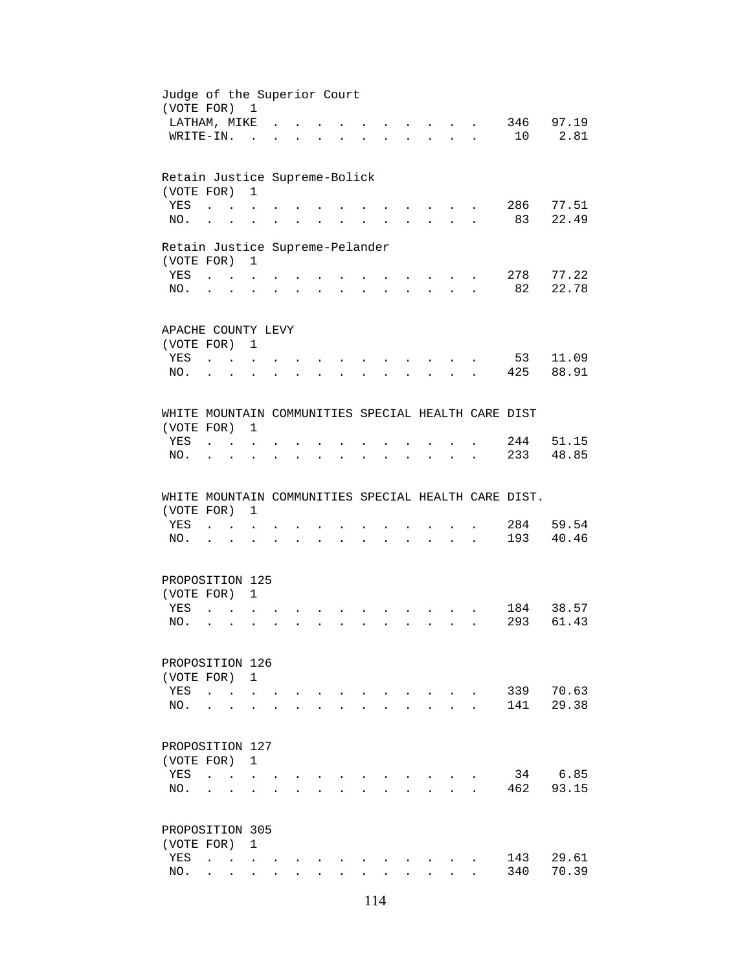| Judge of the Superior Court<br>(VOTE FOR) 1         |                                |                                 |                                            |                      |              |                                            |                           |               |              |                      |                                                                                                                                  |                           |                      |                                                      |                |
|-----------------------------------------------------|--------------------------------|---------------------------------|--------------------------------------------|----------------------|--------------|--------------------------------------------|---------------------------|---------------|--------------|----------------------|----------------------------------------------------------------------------------------------------------------------------------|---------------------------|----------------------|------------------------------------------------------|----------------|
| LATHAM, MIKE                                        |                                |                                 |                                            |                      |              |                                            |                           |               |              |                      |                                                                                                                                  |                           |                      |                                                      | 346 97.19      |
| WRITE-IN.                                           |                                |                                 |                                            |                      |              |                                            |                           |               |              |                      |                                                                                                                                  |                           |                      | 10                                                   | 2.81           |
|                                                     |                                |                                 | $\sim$                                     |                      |              |                                            |                           |               |              |                      |                                                                                                                                  |                           | $\mathbf{r}$         |                                                      |                |
| Retain Justice Supreme-Bolick                       |                                |                                 |                                            |                      |              |                                            |                           |               |              |                      |                                                                                                                                  |                           |                      |                                                      |                |
| (VOTE FOR)                                          |                                |                                 | $\mathbf{1}$                               |                      |              |                                            |                           |               |              |                      |                                                                                                                                  |                           |                      |                                                      |                |
| YES                                                 | $\ddot{\phantom{0}}$           |                                 |                                            |                      |              |                                            |                           |               |              |                      |                                                                                                                                  |                           |                      | 286                                                  | 77.51          |
| NO.                                                 | $\ddot{\phantom{a}}$           |                                 |                                            |                      |              |                                            |                           |               |              |                      |                                                                                                                                  |                           |                      | 83                                                   | 22.49          |
| Retain Justice Supreme-Pelander                     |                                |                                 |                                            |                      |              |                                            |                           |               |              |                      |                                                                                                                                  |                           |                      |                                                      |                |
| (VOTE FOR) 1                                        |                                |                                 |                                            |                      |              |                                            |                           |               |              |                      |                                                                                                                                  |                           |                      |                                                      |                |
| YES                                                 |                                |                                 |                                            |                      |              |                                            |                           | $\sim$ $\sim$ |              |                      |                                                                                                                                  |                           |                      | 278                                                  | 77.22          |
| NO.                                                 |                                | $\mathbf{r} = \mathbf{r}$       | $\ddot{\phantom{a}}$                       | $\ddot{\phantom{a}}$ |              | $\mathbf{r}$ , $\mathbf{r}$ , $\mathbf{r}$ |                           |               |              |                      | $\mathbf{r}$ , and $\mathbf{r}$ , and $\mathbf{r}$                                                                               | $\cdot$                   |                      | 82                                                   | 22.78          |
|                                                     |                                |                                 |                                            |                      |              |                                            |                           |               |              |                      |                                                                                                                                  |                           |                      |                                                      |                |
| APACHE COUNTY LEVY                                  |                                |                                 |                                            |                      |              |                                            |                           |               |              |                      |                                                                                                                                  |                           |                      |                                                      |                |
| (VOTE FOR) 1                                        |                                |                                 |                                            |                      |              |                                            |                           |               |              |                      |                                                                                                                                  |                           |                      |                                                      |                |
| YES                                                 | <b>Contract Contract</b>       |                                 |                                            |                      |              |                                            |                           |               |              |                      |                                                                                                                                  |                           |                      | 53                                                   | 11.09          |
| NO.                                                 |                                |                                 |                                            |                      |              |                                            |                           |               |              |                      |                                                                                                                                  |                           |                      | 425                                                  | 88.91          |
|                                                     |                                |                                 |                                            |                      |              |                                            |                           |               |              |                      |                                                                                                                                  |                           |                      |                                                      |                |
| WHITE MOUNTAIN COMMUNITIES SPECIAL HEALTH CARE DIST |                                |                                 |                                            |                      |              |                                            |                           |               |              |                      |                                                                                                                                  |                           |                      |                                                      |                |
| (VOTE FOR)                                          |                                |                                 | 1                                          |                      |              |                                            |                           |               |              |                      |                                                                                                                                  |                           |                      |                                                      |                |
| YES                                                 | $\ddot{\phantom{a}}$           | <b>Contract Contract Street</b> |                                            |                      |              |                                            |                           |               |              |                      |                                                                                                                                  |                           |                      | 244                                                  | 51.15          |
| NO.                                                 | $\bullet$                      | $\bullet$                       |                                            |                      |              | $\sim$ 100 $\pm$                           | $\mathbf{L}^{\text{max}}$ |               |              | $\ddot{\phantom{a}}$ | $\ddot{\phantom{a}}$                                                                                                             | $\bullet$                 |                      | 233                                                  | 48.85          |
|                                                     |                                |                                 |                                            |                      |              |                                            |                           |               |              |                      |                                                                                                                                  |                           |                      |                                                      |                |
|                                                     |                                |                                 |                                            |                      |              |                                            |                           |               |              |                      |                                                                                                                                  |                           |                      |                                                      |                |
|                                                     |                                |                                 |                                            |                      |              |                                            |                           |               |              |                      |                                                                                                                                  |                           |                      | WHITE MOUNTAIN COMMUNITIES SPECIAL HEALTH CARE DIST. |                |
| (VOTE FOR)                                          |                                |                                 | $\mathbf{1}$                               |                      |              |                                            |                           |               |              |                      |                                                                                                                                  |                           |                      |                                                      |                |
| YES                                                 |                                | $1 - 1 - 1$                     |                                            |                      |              |                                            |                           |               |              |                      |                                                                                                                                  |                           |                      | 284                                                  |                |
| NO.                                                 | $\mathbf{r}$ $\mathbf{r}$      |                                 |                                            | $\mathbf{r}$         |              |                                            |                           |               |              |                      | $\mathbf{r} = \mathbf{r} - \mathbf{r}$ , and $\mathbf{r} = \mathbf{r} - \mathbf{r}$ , and $\mathbf{r} = \mathbf{r} - \mathbf{r}$ |                           | $\ddot{\phantom{a}}$ | 193                                                  |                |
|                                                     |                                |                                 |                                            |                      |              |                                            |                           |               |              |                      |                                                                                                                                  |                           |                      |                                                      | 59.54<br>40.46 |
| PROPOSITION 125                                     |                                |                                 |                                            |                      |              |                                            |                           |               |              |                      |                                                                                                                                  |                           |                      |                                                      |                |
| (VOTE FOR)                                          |                                |                                 | $\mathbf{1}$                               |                      |              |                                            |                           |               |              |                      |                                                                                                                                  |                           |                      |                                                      |                |
| YES                                                 | $\mathbf{r}$                   |                                 |                                            |                      |              |                                            |                           |               |              |                      |                                                                                                                                  |                           |                      | 184                                                  |                |
| NO.                                                 | $\ddot{\phantom{a}}$           |                                 |                                            |                      |              |                                            |                           |               |              |                      |                                                                                                                                  |                           |                      | 293                                                  |                |
|                                                     |                                |                                 |                                            |                      |              |                                            |                           |               |              |                      |                                                                                                                                  |                           |                      |                                                      | 38.57<br>61.43 |
| PROPOSITION 126                                     |                                |                                 |                                            |                      |              |                                            |                           |               |              |                      |                                                                                                                                  |                           |                      |                                                      |                |
| (VOTE FOR)                                          |                                |                                 | 1                                          |                      |              |                                            |                           |               |              |                      |                                                                                                                                  |                           |                      |                                                      |                |
| YES                                                 | $\ddot{\phantom{a}}$           | $\ddot{\phantom{a}}$            |                                            |                      |              |                                            |                           |               |              |                      |                                                                                                                                  |                           |                      | 339                                                  | 70.63          |
| NO.                                                 |                                |                                 |                                            |                      |              |                                            |                           |               |              |                      |                                                                                                                                  |                           |                      | 141                                                  |                |
|                                                     |                                |                                 |                                            |                      |              |                                            |                           |               |              |                      |                                                                                                                                  |                           |                      |                                                      | 29.38          |
| PROPOSITION 127                                     |                                |                                 |                                            |                      |              |                                            |                           |               |              |                      |                                                                                                                                  |                           |                      |                                                      |                |
| (VOTE FOR)                                          |                                |                                 | $\mathbf{1}$                               |                      |              |                                            |                           |               |              |                      |                                                                                                                                  |                           |                      |                                                      |                |
| YES                                                 | $\ddot{\phantom{a}}$           |                                 | $\mathbf{r}$ , $\mathbf{r}$ , $\mathbf{r}$ |                      |              |                                            |                           |               |              |                      |                                                                                                                                  |                           |                      | 34                                                   | 6.85           |
| NO.                                                 |                                |                                 |                                            |                      |              |                                            |                           |               |              |                      |                                                                                                                                  | $\mathbf{L} = \mathbf{L}$ |                      | 462                                                  |                |
|                                                     |                                |                                 |                                            |                      |              |                                            |                           |               |              |                      |                                                                                                                                  |                           |                      |                                                      | 93.15          |
| PROPOSITION 305                                     |                                |                                 |                                            |                      |              |                                            |                           |               |              |                      |                                                                                                                                  |                           |                      |                                                      |                |
| (VOTE FOR)                                          |                                |                                 | $\mathbf{1}$                               |                      |              |                                            |                           |               |              |                      |                                                                                                                                  |                           |                      |                                                      |                |
| YES<br>NO.                                          | $\overline{a}$<br>$\mathbf{r}$ | $\mathbf{L}$                    | $\mathbf{r}$                               |                      | $\mathbf{L}$ | $\mathbf{r}$                               | $\ddot{\phantom{a}}$      | $\mathbf{r}$  | $\mathbf{r}$ |                      | $\mathbf{L}$                                                                                                                     | $\mathbf{A}$              |                      | 143<br>340                                           | 29.61<br>70.39 |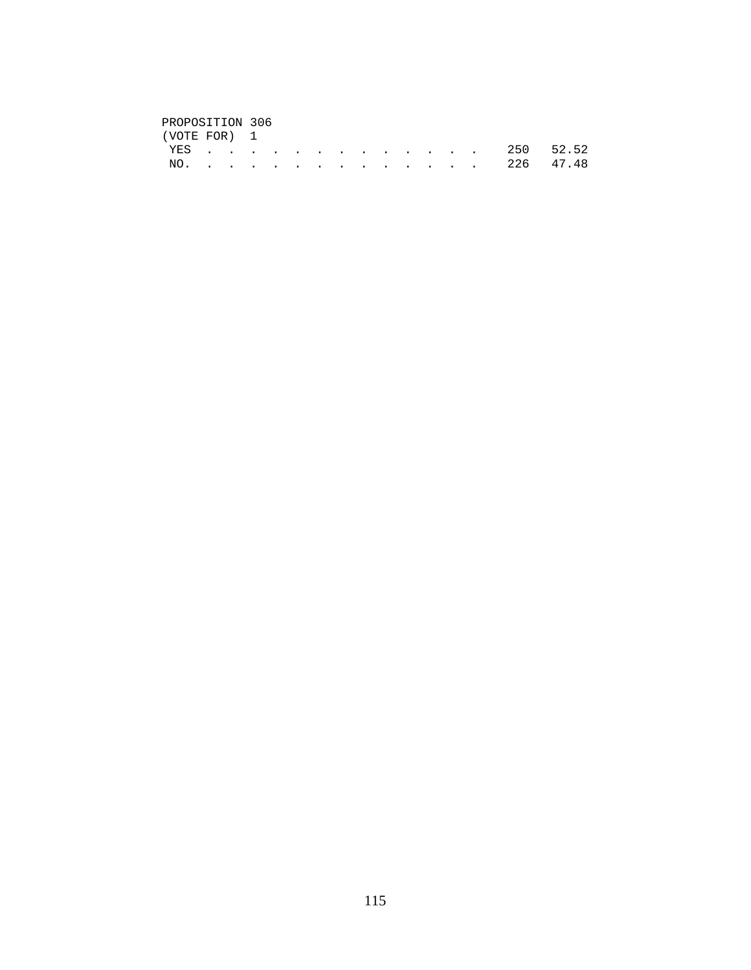# PROPOSITION 306<br>(VOTE FOR) 1

| (VOTE FOR) 1 |  |  |  |  |  |  |  |               |  |
|--------------|--|--|--|--|--|--|--|---------------|--|
|              |  |  |  |  |  |  |  | YES 250 52.52 |  |
|              |  |  |  |  |  |  |  | NO. 226 47.48 |  |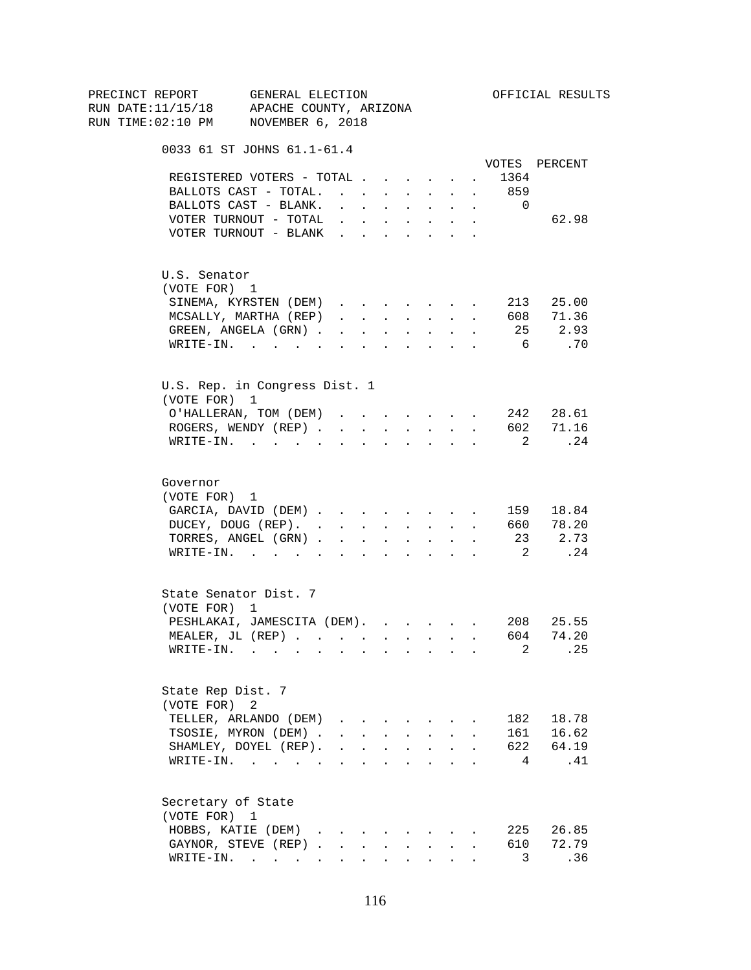| PRECINCT REPORT                          | GENERAL ELECTION                               |                                                |                 |                                            |              |                                                           |                            |                      |                            | OFFICIAL RESULTS |
|------------------------------------------|------------------------------------------------|------------------------------------------------|-----------------|--------------------------------------------|--------------|-----------------------------------------------------------|----------------------------|----------------------|----------------------------|------------------|
| RUN DATE:11/15/18 APACHE COUNTY, ARIZONA |                                                |                                                |                 |                                            |              |                                                           |                            |                      |                            |                  |
| RUN TIME:02:10 PM NOVEMBER 6, 2018       |                                                |                                                |                 |                                            |              |                                                           |                            |                      |                            |                  |
|                                          | 0033 61 ST JOHNS 61.1-61.4                     |                                                |                 |                                            |              |                                                           |                            |                      |                            |                  |
|                                          |                                                |                                                |                 |                                            |              |                                                           |                            |                      | 1364                       | VOTES PERCENT    |
|                                          | REGISTERED VOTERS - TOTAL                      |                                                |                 |                                            |              |                                                           |                            |                      |                            |                  |
|                                          | BALLOTS CAST - TOTAL.                          |                                                |                 |                                            |              | $\mathbf{L}^{\text{max}}$ , and $\mathbf{L}^{\text{max}}$ | $\sim$                     | $\sim$               | 859                        |                  |
|                                          | BALLOTS CAST - BLANK.                          |                                                |                 | $\mathbf{r} = \mathbf{r} \cdot \mathbf{r}$ |              | $\mathbf{r} = \mathbf{r} \cdot \mathbf{r}$ .              | $\ddot{\phantom{0}}$       | $\sim$               | $\overline{0}$             |                  |
|                                          | VOTER TURNOUT - TOTAL<br>VOTER TURNOUT - BLANK |                                                |                 |                                            |              |                                                           |                            |                      |                            | 62.98            |
|                                          |                                                |                                                |                 |                                            |              |                                                           |                            |                      |                            |                  |
| U.S. Senator                             |                                                |                                                |                 |                                            |              |                                                           |                            |                      |                            |                  |
| (VOTE FOR) 1                             |                                                |                                                |                 |                                            |              |                                                           |                            |                      |                            |                  |
|                                          | SINEMA, KYRSTEN (DEM)                          |                                                |                 |                                            |              |                                                           |                            |                      |                            | 213 25.00        |
|                                          | MCSALLY, MARTHA (REP)                          | $\mathbf{r}$ and $\mathbf{r}$ and $\mathbf{r}$ |                 |                                            |              | <b>Service</b> State                                      | $\mathcal{L}^{\text{max}}$ | $\sim$               |                            | 608 71.36        |
|                                          | GREEN, ANGELA (GRN)                            |                                                |                 |                                            |              | $\mathbf{r} = \mathbf{r} + \mathbf{r}$ .                  | $\ddot{\phantom{0}}$       | $\ddot{\phantom{a}}$ |                            | 25 2.93          |
|                                          | WRITE-IN.                                      |                                                |                 |                                            |              |                                                           |                            |                      | 6                          | .70              |
|                                          | U.S. Rep. in Congress Dist. 1                  |                                                |                 |                                            |              |                                                           |                            |                      |                            |                  |
| (VOTE FOR) 1                             |                                                |                                                |                 |                                            |              |                                                           |                            |                      |                            |                  |
|                                          | O'HALLERAN, TOM (DEM)                          |                                                |                 |                                            |              |                                                           |                            |                      |                            | 242 28.61        |
|                                          | ROGERS, WENDY (REP).                           |                                                | $\sim 10^{-11}$ | $\sim$                                     | $\mathbf{L}$ |                                                           | <b>Service</b> State       |                      |                            | 602 71.16        |
|                                          | $\texttt{WRTTE-IN.}$                           |                                                |                 | $\ddot{\phantom{a}}$                       |              | $\Delta \sim 100$                                         | $\ddot{\phantom{0}}$       |                      | $\overline{\mathbf{2}}$    | .24              |
|                                          |                                                |                                                |                 |                                            |              |                                                           |                            |                      |                            |                  |
| Governor                                 |                                                |                                                |                 |                                            |              |                                                           |                            |                      |                            |                  |
| (VOTE FOR) 1                             |                                                |                                                |                 |                                            |              |                                                           |                            |                      |                            |                  |
|                                          | GARCIA, DAVID (DEM)                            |                                                |                 |                                            |              |                                                           |                            |                      |                            | 159 18.84        |
|                                          | DUCEY, DOUG (REP). 660 78.20                   |                                                |                 |                                            |              |                                                           |                            |                      |                            |                  |
|                                          | TORRES, ANGEL (GRN)                            |                                                |                 |                                            |              |                                                           |                            |                      |                            | 23 2.73          |
|                                          | WRITE-IN.                                      |                                                |                 |                                            |              |                                                           |                            |                      | $\overline{\phantom{a}}^2$ | .24              |
| State Senator Dist. 7                    |                                                |                                                |                 |                                            |              |                                                           |                            |                      |                            |                  |
| (VOTE FOR) 1                             |                                                |                                                |                 |                                            |              |                                                           |                            |                      |                            |                  |
|                                          | PESHLAKAI, JAMESCITA (DEM).                    |                                                |                 |                                            |              |                                                           |                            |                      |                            | 208 25.55        |
|                                          | MEALER, JL (REP)                               |                                                |                 |                                            |              |                                                           |                            |                      | 604                        | 74.20            |
|                                          | WRITE-IN.                                      |                                                |                 |                                            |              |                                                           |                            |                      | 2                          | .25              |
| State Rep Dist. 7                        |                                                |                                                |                 |                                            |              |                                                           |                            |                      |                            |                  |
| (VOTE FOR)                               | 2                                              |                                                |                 |                                            |              |                                                           |                            |                      |                            |                  |
|                                          | TELLER, ARLANDO (DEM)                          |                                                |                 |                                            |              |                                                           |                            |                      | 182                        | 18.78            |
|                                          | TSOSIE, MYRON (DEM).                           |                                                |                 |                                            |              | $\cdot$ $\cdot$ $\cdot$ $\cdot$ $\cdot$ $\cdot$           |                            |                      |                            | 161 16.62        |
|                                          | SHAMLEY, DOYEL (REP).                          | $\ddot{\phantom{0}}$                           |                 | $\mathbf{L} = \mathbf{L}$                  |              | $\mathbf{z} = \mathbf{z} + \mathbf{z}$ .                  | $\ddot{\phantom{a}}$       |                      |                            | 622 64.19        |
|                                          | WRITE-IN.                                      |                                                |                 |                                            |              | $\mathbf{a}$ , and $\mathbf{a}$ , and $\mathbf{a}$        | $\ddot{\phantom{0}}$       |                      | 4                          | .41              |
| Secretary of State                       |                                                |                                                |                 |                                            |              |                                                           |                            |                      |                            |                  |
| (VOTE FOR) 1                             |                                                |                                                |                 |                                            |              |                                                           |                            |                      |                            |                  |
|                                          | HOBBS, KATIE (DEM)                             |                                                |                 |                                            |              |                                                           |                            |                      | 225                        | 26.85            |
|                                          | GAYNOR, STEVE (REP)                            |                                                |                 | $\mathbf{L}^{\text{max}}$                  | $\sim$       | <b>Contract Contract</b>                                  |                            |                      | 610                        | 72.79            |
|                                          | WRITE-IN.                                      |                                                |                 |                                            |              |                                                           |                            |                      | 3 <sup>7</sup>             | .36              |
|                                          |                                                |                                                |                 |                                            |              |                                                           |                            |                      |                            |                  |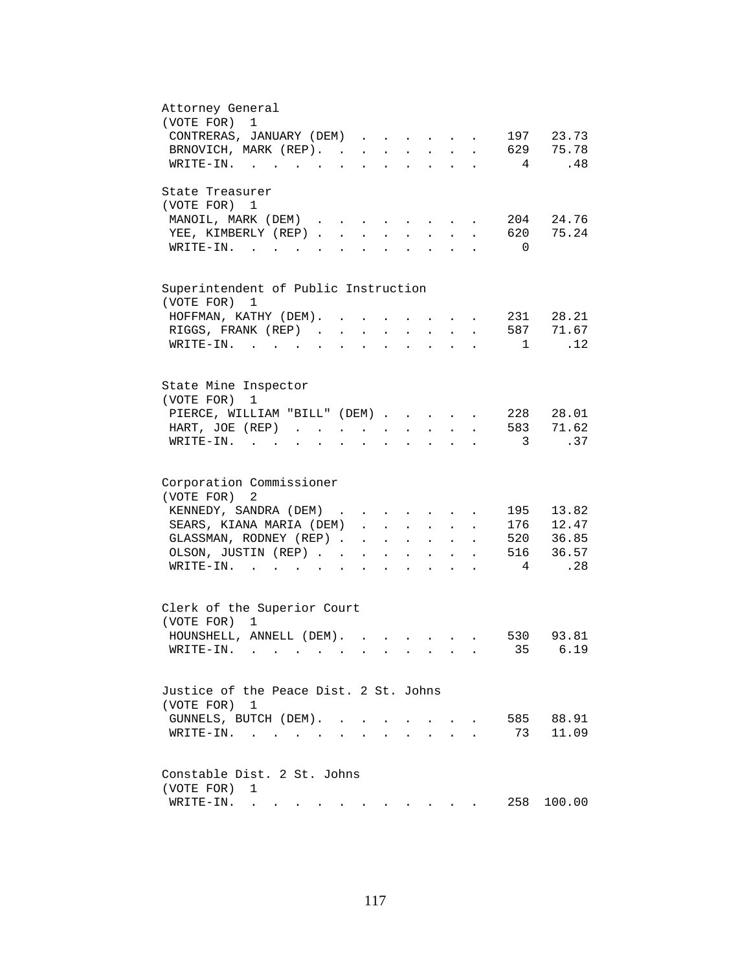| Attorney General<br>(VOTE FOR)<br>$\mathbf 1$                                                                                                                                             |
|-------------------------------------------------------------------------------------------------------------------------------------------------------------------------------------------|
|                                                                                                                                                                                           |
| CONTRERAS, JANUARY (DEM)<br>197 23.73                                                                                                                                                     |
| 629 75.78<br>BRNOVICH, MARK (REP).<br>$\mathbf{L}$ and $\mathbf{L}$                                                                                                                       |
| .48<br>WRITE-IN.<br>4                                                                                                                                                                     |
| State Treasurer                                                                                                                                                                           |
| (VOTE FOR) 1                                                                                                                                                                              |
| 204 24.76<br>MANOIL, MARK (DEM)<br>the contract of the contract of the contract of                                                                                                        |
| 620 75.24<br>YEE, KIMBERLY (REP)<br>$\mathbf{L} = \mathbf{L}$<br>$\sim$<br>$\sim$                                                                                                         |
| $W\text{RITE}-\text{IN}.$<br>$\Omega$<br>$\mathbf{L}$<br>$\mathbf{r}$<br>$\mathbf{r}$                                                                                                     |
|                                                                                                                                                                                           |
| Superintendent of Public Instruction<br>(VOTE FOR)<br>1                                                                                                                                   |
|                                                                                                                                                                                           |
| 231 28.21<br>HOFFMAN, KATHY (DEM).                                                                                                                                                        |
| 587 71.67<br>RIGGS, FRANK (REP).<br>$\mathbf{L} = \mathbf{L}$<br>$\sim$                                                                                                                   |
| .12<br>$WRITE-TN.$<br>1<br>$\sim$ $\sim$                                                                                                                                                  |
|                                                                                                                                                                                           |
| State Mine Inspector<br>(VOTE FOR)<br>1                                                                                                                                                   |
| 228 28.01<br>PIERCE, WILLIAM "BILL" (DEM)                                                                                                                                                 |
| 583 71.62<br>HART, JOE (REP)<br>$\mathbf{z} = \mathbf{z} + \mathbf{z}$ .<br>$\mathbf{r} = \mathbf{r} + \mathbf{r}$ .<br>$\sim 10^{-11}$<br>$\ddot{\phantom{a}}$                           |
| $\overline{\phantom{a}}$ 3<br>.37<br>$WRITE-IN.$                                                                                                                                          |
| $\mathbf{L} = \mathbf{L} \mathbf{L}$<br>$\mathbf{z} = \mathbf{z} + \mathbf{z}$ .<br>$\bullet$ .<br><br><br><br><br><br><br><br><br><br><br><br><br>$\bullet$<br>$\bullet$                 |
| Corporation Commissioner                                                                                                                                                                  |
| (VOTE FOR)<br>2                                                                                                                                                                           |
| 13.82<br>KENNEDY, SANDRA (DEM)<br>195                                                                                                                                                     |
| 176 12.47                                                                                                                                                                                 |
| SEARS, KIANA MARIA (DEM)<br>$\ddot{\phantom{a}}$<br>$\mathbf{A}$ and $\mathbf{A}$                                                                                                         |
| 520 36.85<br>GLASSMAN, RODNEY (REP)<br>$\mathbf{z} = \mathbf{z} + \mathbf{z}$ , where $\mathbf{z} = \mathbf{z}$<br>$\mathcal{L}^{\text{max}}$ and $\mathcal{L}^{\text{max}}$              |
| 516 36.57<br>OLSON, JUSTIN (REP).<br>$\mathbf{z} = \mathbf{z} + \mathbf{z}$ , where $\mathbf{z} = \mathbf{z}$<br>$\bullet$ .<br><br><br><br><br><br><br><br><br><br><br><br><br>$\bullet$ |
| .28<br>4<br>$\texttt{WRTTE-IN.}$<br><b>All All Andrew</b>                                                                                                                                 |
|                                                                                                                                                                                           |
| Clerk of the Superior Court                                                                                                                                                               |
| (VOTE FOR) 1                                                                                                                                                                              |
| HOUNSHELL, ANNELL (DEM).<br>530 93.81                                                                                                                                                     |
| 35<br>6.19<br>WRITE-IN.                                                                                                                                                                   |
|                                                                                                                                                                                           |
| Justice of the Peace Dist. 2 St. Johns<br>(VOTE FOR) 1                                                                                                                                    |
| 585 88.91<br>GUNNELS, BUTCH (DEM).<br><b>Contract Contract Contract</b>                                                                                                                   |
| 73<br>11.09<br>WRITE-IN.<br>$\sim$ 100 $\mu$                                                                                                                                              |
|                                                                                                                                                                                           |
| Constable Dist. 2 St. Johns                                                                                                                                                               |
| (VOTE FOR)<br>1                                                                                                                                                                           |
| 258<br>100.00<br>WRITE-IN.<br>. The simple state is a strong of the state of the state of the state $\alpha$                                                                              |
|                                                                                                                                                                                           |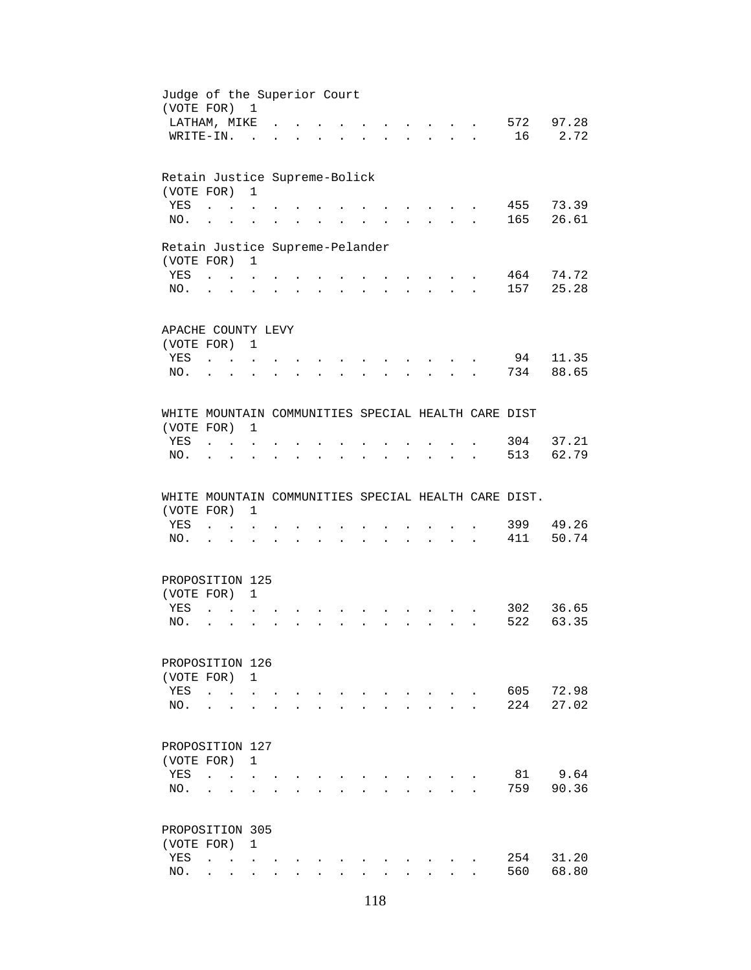| Judge of the Superior Court<br>(VOTE FOR) 1          |                                                             |                         |                                                           |                      |                                 |                            |                      |              |                      |                                                                                                                                  |                           |                      |            |                    |
|------------------------------------------------------|-------------------------------------------------------------|-------------------------|-----------------------------------------------------------|----------------------|---------------------------------|----------------------------|----------------------|--------------|----------------------|----------------------------------------------------------------------------------------------------------------------------------|---------------------------|----------------------|------------|--------------------|
| LATHAM, MIKE                                         |                                                             |                         |                                                           |                      |                                 |                            |                      |              |                      |                                                                                                                                  |                           |                      |            | 572 97.28          |
| WRITE-IN.                                            |                                                             |                         | $\sim$                                                    |                      |                                 |                            |                      |              |                      | $\mathbb{R}^2$                                                                                                                   | $\mathbf{r}$              | $\ddot{\phantom{a}}$ | 16         | 2.72               |
|                                                      |                                                             |                         |                                                           |                      |                                 |                            |                      |              |                      |                                                                                                                                  |                           |                      |            |                    |
| Retain Justice Supreme-Bolick                        |                                                             |                         |                                                           |                      |                                 |                            |                      |              |                      |                                                                                                                                  |                           |                      |            |                    |
| (VOTE FOR)                                           |                                                             |                         | $\mathbf{1}$                                              |                      |                                 |                            |                      |              |                      |                                                                                                                                  |                           |                      |            |                    |
| YES                                                  |                                                             | $\ddot{\phantom{a}}$    |                                                           |                      |                                 |                            |                      |              |                      |                                                                                                                                  |                           |                      |            | 455 73.39          |
| NO.                                                  | $\ddot{\phantom{a}}$                                        | $\ddot{\phantom{a}}$    |                                                           |                      |                                 |                            |                      |              |                      |                                                                                                                                  |                           |                      | 165        | 26.61              |
| Retain Justice Supreme-Pelander                      |                                                             |                         |                                                           |                      |                                 |                            |                      |              |                      |                                                                                                                                  |                           |                      |            |                    |
| (VOTE FOR) 1                                         |                                                             |                         |                                                           |                      |                                 |                            |                      |              |                      |                                                                                                                                  |                           |                      |            |                    |
| YES                                                  |                                                             |                         |                                                           |                      |                                 |                            |                      |              |                      | $\mathbf{r}$ , $\mathbf{r}$ , $\mathbf{r}$ , $\mathbf{r}$ , $\mathbf{r}$                                                         |                           |                      |            | 464 74.72          |
| NO.                                                  | $\mathbf{r}$ , $\mathbf{r}$ , $\mathbf{r}$ , $\mathbf{r}$   |                         | $\ddot{\phantom{a}}$                                      |                      | $\cdot$ $\cdot$ $\cdot$ $\cdot$ |                            |                      |              |                      | $\mathbf{r} = \mathbf{r} + \mathbf{r} + \mathbf{r} + \mathbf{r} + \mathbf{r} + \mathbf{r}$                                       |                           |                      | 157        | 25.28              |
|                                                      |                                                             |                         |                                                           |                      |                                 |                            |                      |              |                      |                                                                                                                                  |                           |                      |            |                    |
| APACHE COUNTY LEVY                                   |                                                             |                         |                                                           |                      |                                 |                            |                      |              |                      |                                                                                                                                  |                           |                      |            |                    |
| (VOTE FOR) 1                                         |                                                             |                         |                                                           |                      |                                 |                            |                      |              |                      |                                                                                                                                  |                           |                      |            |                    |
| YES                                                  | $\mathbf{r}$ . $\mathbf{r}$                                 |                         |                                                           |                      |                                 |                            |                      |              |                      |                                                                                                                                  |                           |                      | 94         | 11.35              |
| NO.                                                  |                                                             |                         |                                                           |                      |                                 |                            |                      |              |                      |                                                                                                                                  |                           |                      | 734        | 88.65              |
|                                                      |                                                             |                         |                                                           |                      |                                 |                            |                      |              |                      |                                                                                                                                  |                           |                      |            |                    |
| WHITE MOUNTAIN COMMUNITIES SPECIAL HEALTH CARE DIST  |                                                             |                         |                                                           |                      |                                 |                            |                      |              |                      |                                                                                                                                  |                           |                      |            |                    |
| (VOTE FOR)                                           |                                                             |                         | 1                                                         |                      |                                 |                            |                      |              |                      |                                                                                                                                  |                           |                      |            |                    |
| YES                                                  |                                                             | $\cdot$ $\cdot$ $\cdot$ |                                                           |                      |                                 |                            |                      |              |                      |                                                                                                                                  |                           |                      |            | 304 37.21          |
| NO.                                                  | $\bullet$ .<br><br><br><br><br><br><br><br><br><br><br><br> | $\ddot{\phantom{a}}$    | $\ddot{\phantom{0}}$                                      | $\ddot{\phantom{0}}$ | <b>Contract Contract</b>        | $\mathcal{L}^{\text{max}}$ | $\ddot{\phantom{0}}$ |              | $\ddot{\phantom{0}}$ | $\sim$ 100 $\pm$                                                                                                                 | $\ddot{\phantom{0}}$      |                      | 513        | 62.79              |
|                                                      |                                                             |                         |                                                           |                      |                                 |                            |                      |              |                      |                                                                                                                                  |                           |                      |            |                    |
|                                                      |                                                             |                         |                                                           |                      |                                 |                            |                      |              |                      |                                                                                                                                  |                           |                      |            |                    |
| WHITE MOUNTAIN COMMUNITIES SPECIAL HEALTH CARE DIST. |                                                             |                         |                                                           |                      |                                 |                            |                      |              |                      |                                                                                                                                  |                           |                      |            |                    |
| (VOTE FOR)                                           |                                                             |                         | $\mathbf{1}$                                              |                      |                                 |                            |                      |              |                      |                                                                                                                                  |                           |                      |            |                    |
| YES                                                  | $\mathbf{r}$ . The contract of the contract of $\mathbf{r}$ |                         |                                                           |                      |                                 |                            |                      |              |                      | $\mathbf{r} = \mathbf{r} + \mathbf{r}$                                                                                           |                           |                      |            |                    |
| NO.                                                  | $\mathbf{L}$ $\mathbf{L}$                                   |                         | $\ddot{\phantom{a}}$                                      |                      |                                 |                            |                      |              |                      | $\mathbf{r} = \mathbf{r} - \mathbf{r}$ , and $\mathbf{r} = \mathbf{r} - \mathbf{r}$ , and $\mathbf{r} = \mathbf{r} - \mathbf{r}$ |                           | $\ddot{\phantom{a}}$ | 399<br>411 |                    |
|                                                      |                                                             |                         |                                                           |                      |                                 |                            |                      |              |                      |                                                                                                                                  |                           |                      |            | 49.26<br>50.74     |
| PROPOSITION 125                                      |                                                             |                         |                                                           |                      |                                 |                            |                      |              |                      |                                                                                                                                  |                           |                      |            |                    |
| (VOTE FOR)                                           |                                                             |                         | $\mathbf{1}$                                              |                      |                                 |                            |                      |              |                      |                                                                                                                                  |                           |                      |            |                    |
| YES                                                  | $\mathbf{r}$                                                |                         |                                                           |                      |                                 |                            |                      |              |                      |                                                                                                                                  |                           |                      |            |                    |
| NO.                                                  | $\ddot{\phantom{0}}$                                        | $\ddot{\phantom{0}}$    |                                                           |                      |                                 |                            |                      |              |                      |                                                                                                                                  |                           |                      | 522        | 302 36.65<br>63.35 |
|                                                      |                                                             |                         |                                                           |                      |                                 |                            |                      |              |                      |                                                                                                                                  |                           |                      |            |                    |
| PROPOSITION 126                                      |                                                             |                         |                                                           |                      |                                 |                            |                      |              |                      |                                                                                                                                  |                           |                      |            |                    |
| (VOTE FOR)                                           |                                                             |                         | 1                                                         |                      |                                 |                            |                      |              |                      |                                                                                                                                  |                           |                      |            |                    |
| YES                                                  | $\ddot{\phantom{a}}$                                        | $\sim$                  |                                                           |                      |                                 |                            |                      |              |                      |                                                                                                                                  |                           |                      | 605        | 72.98              |
| NO.                                                  |                                                             |                         |                                                           |                      |                                 |                            |                      |              |                      |                                                                                                                                  |                           |                      | 224        |                    |
|                                                      |                                                             |                         |                                                           |                      |                                 |                            |                      |              |                      |                                                                                                                                  |                           |                      |            | 27.02              |
| PROPOSITION 127                                      |                                                             |                         |                                                           |                      |                                 |                            |                      |              |                      |                                                                                                                                  |                           |                      |            |                    |
| (VOTE FOR)                                           |                                                             |                         | 1                                                         |                      |                                 |                            |                      |              |                      |                                                                                                                                  |                           |                      |            |                    |
| YES                                                  | $\ddot{\phantom{a}}$                                        |                         | $\mathbf{r}$ , $\mathbf{r}$ , $\mathbf{r}$ , $\mathbf{r}$ |                      |                                 |                            |                      |              |                      |                                                                                                                                  |                           |                      | 81         | 9.64               |
| NO.                                                  |                                                             |                         |                                                           |                      |                                 |                            |                      |              |                      |                                                                                                                                  | $\mathbf{L} = \mathbf{L}$ |                      | 759        | 90.36              |
|                                                      |                                                             |                         |                                                           |                      |                                 |                            |                      |              |                      |                                                                                                                                  |                           |                      |            |                    |
| PROPOSITION 305                                      |                                                             |                         |                                                           |                      |                                 |                            |                      |              |                      |                                                                                                                                  |                           |                      |            |                    |
| (VOTE FOR)                                           |                                                             |                         | $\mathbf{1}$                                              |                      |                                 |                            |                      |              |                      |                                                                                                                                  |                           |                      |            |                    |
| YES                                                  |                                                             |                         |                                                           |                      |                                 |                            |                      |              |                      |                                                                                                                                  |                           |                      | 254        | 31.20              |
| NO.                                                  | $\mathbf{r}$                                                | $\mathbf{L}$            | $\mathbf{r}$                                              | $\mathbf{r}$         | $\mathbf{r}$                    | $\ddot{\phantom{a}}$       | $\ddot{\phantom{a}}$ | $\mathbf{r}$ |                      | $\mathbf{L}$                                                                                                                     | $\mathbf{A}$              |                      | 560        | 68.80              |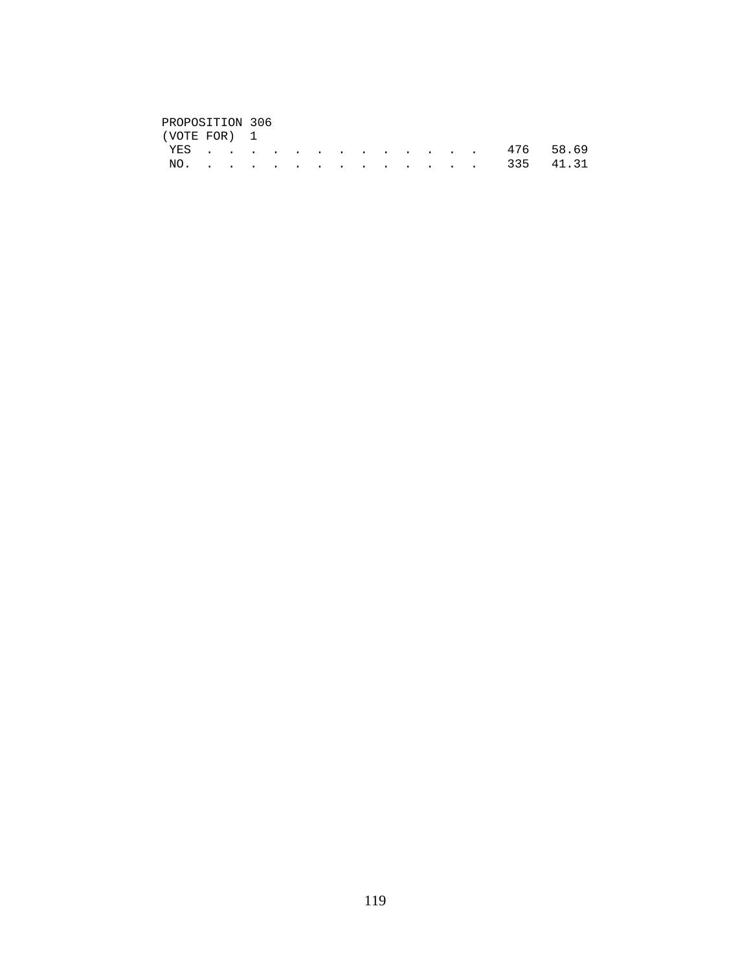# PROPOSITION 306<br>(VOTE FOR) 1

| (VOTE FOR) 1 |  |  |  |  |  |  |               |  |
|--------------|--|--|--|--|--|--|---------------|--|
|              |  |  |  |  |  |  | YES 476 58.69 |  |
|              |  |  |  |  |  |  | NO. 335 41.31 |  |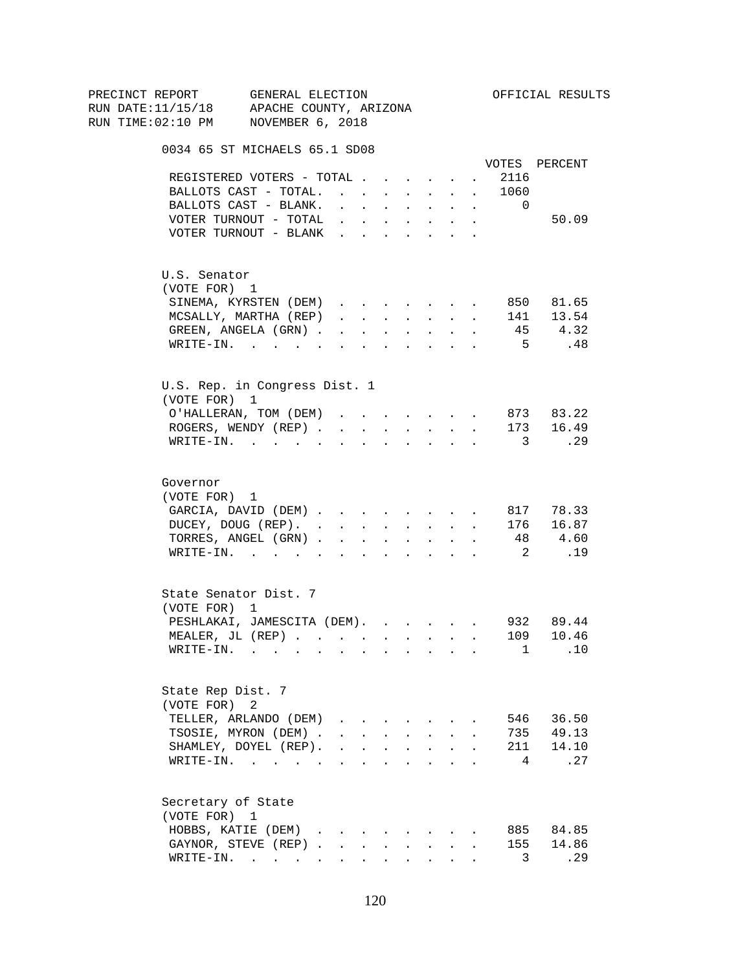| PRECINCT REPORT                          |                       | GENERAL ELECTION                                               |                                                                          |                             |              |                                                                                                                                                                                                                                                                                                                                                                                                                                                                              |                               |                      |                         | OFFICIAL RESULTS         |
|------------------------------------------|-----------------------|----------------------------------------------------------------|--------------------------------------------------------------------------|-----------------------------|--------------|------------------------------------------------------------------------------------------------------------------------------------------------------------------------------------------------------------------------------------------------------------------------------------------------------------------------------------------------------------------------------------------------------------------------------------------------------------------------------|-------------------------------|----------------------|-------------------------|--------------------------|
| RUN DATE:11/15/18 APACHE COUNTY, ARIZONA |                       |                                                                |                                                                          |                             |              |                                                                                                                                                                                                                                                                                                                                                                                                                                                                              |                               |                      |                         |                          |
| RUN TIME:02:10 PM NOVEMBER 6, 2018       |                       |                                                                |                                                                          |                             |              |                                                                                                                                                                                                                                                                                                                                                                                                                                                                              |                               |                      |                         |                          |
|                                          |                       | 0034 65 ST MICHAELS 65.1 SD08                                  |                                                                          |                             |              |                                                                                                                                                                                                                                                                                                                                                                                                                                                                              |                               |                      |                         |                          |
|                                          |                       |                                                                |                                                                          |                             |              |                                                                                                                                                                                                                                                                                                                                                                                                                                                                              |                               |                      |                         | VOTES PERCENT            |
|                                          |                       | REGISTERED VOTERS - TOTAL                                      |                                                                          |                             |              |                                                                                                                                                                                                                                                                                                                                                                                                                                                                              |                               | $\sim$               | 2116                    |                          |
|                                          |                       | BALLOTS CAST - TOTAL.                                          |                                                                          |                             |              |                                                                                                                                                                                                                                                                                                                                                                                                                                                                              |                               |                      | 1060                    |                          |
|                                          |                       | BALLOTS CAST - BLANK.                                          | $\cdot$ $\cdot$ $\cdot$ $\cdot$                                          |                             |              | <b>All Cards</b>                                                                                                                                                                                                                                                                                                                                                                                                                                                             | $\sim$                        | $\ddot{\phantom{0}}$ | $\overline{0}$          |                          |
|                                          |                       | VOTER TURNOUT - TOTAL                                          |                                                                          |                             |              | $\mathbf{r}$ , $\mathbf{r}$ , $\mathbf{r}$ , $\mathbf{r}$ , $\mathbf{r}$                                                                                                                                                                                                                                                                                                                                                                                                     |                               | $\sim$               |                         | 50.09                    |
|                                          |                       | VOTER TURNOUT - BLANK                                          |                                                                          |                             |              |                                                                                                                                                                                                                                                                                                                                                                                                                                                                              |                               |                      |                         |                          |
|                                          | U.S. Senator          |                                                                |                                                                          |                             |              |                                                                                                                                                                                                                                                                                                                                                                                                                                                                              |                               |                      |                         |                          |
|                                          | (VOTE FOR) 1          |                                                                |                                                                          |                             |              |                                                                                                                                                                                                                                                                                                                                                                                                                                                                              |                               |                      |                         |                          |
|                                          |                       | SINEMA, KYRSTEN (DEM)                                          |                                                                          |                             |              |                                                                                                                                                                                                                                                                                                                                                                                                                                                                              |                               |                      |                         | 850 81.65                |
|                                          |                       | MCSALLY, MARTHA (REP)                                          | $\mathbf{r}$ and $\mathbf{r}$ and $\mathbf{r}$                           |                             |              | <b>All Carried Control</b>                                                                                                                                                                                                                                                                                                                                                                                                                                                   |                               | $\sim$               |                         | 141 13.54                |
|                                          |                       | GREEN, ANGELA (GRN).                                           |                                                                          | $\mathbf{r}$ , $\mathbf{r}$ | $\sim$ $-$   | $\sim 10$                                                                                                                                                                                                                                                                                                                                                                                                                                                                    | $\ddot{\phantom{0}}$          |                      |                         | 45 4.32                  |
|                                          |                       | WRITE-IN.                                                      |                                                                          |                             |              |                                                                                                                                                                                                                                                                                                                                                                                                                                                                              |                               |                      | 5 <sup>5</sup>          | .48                      |
|                                          |                       | U.S. Rep. in Congress Dist. 1                                  |                                                                          |                             |              |                                                                                                                                                                                                                                                                                                                                                                                                                                                                              |                               |                      |                         |                          |
|                                          | (VOTE FOR) 1          |                                                                |                                                                          |                             |              |                                                                                                                                                                                                                                                                                                                                                                                                                                                                              |                               |                      |                         |                          |
|                                          |                       | O'HALLERAN, TOM (DEM)                                          |                                                                          |                             |              | $\mathbf{1} \qquad \qquad \mathbf{1} \qquad \qquad \mathbf{1} \qquad \qquad \mathbf{1} \qquad \qquad \mathbf{1} \qquad \qquad \mathbf{1} \qquad \qquad \mathbf{1} \qquad \qquad \mathbf{1} \qquad \qquad \mathbf{1} \qquad \qquad \mathbf{1} \qquad \qquad \mathbf{1} \qquad \qquad \mathbf{1} \qquad \qquad \mathbf{1} \qquad \qquad \mathbf{1} \qquad \qquad \mathbf{1} \qquad \qquad \mathbf{1} \qquad \qquad \mathbf{1} \qquad \qquad \mathbf{1} \qquad \qquad \mathbf{$ |                               |                      |                         | 873 83.22                |
|                                          |                       | ROGERS, WENDY (REP)                                            |                                                                          |                             |              | and a strategic state                                                                                                                                                                                                                                                                                                                                                                                                                                                        |                               |                      |                         | 173 16.49                |
|                                          |                       | $\texttt{WRTTE-IN.}$                                           |                                                                          | $\sim$                      |              |                                                                                                                                                                                                                                                                                                                                                                                                                                                                              | $\mathbf{r}$ and $\mathbf{r}$ |                      | $\overline{\mathbf{3}}$ | $\ldots$ 29              |
|                                          |                       |                                                                |                                                                          |                             |              |                                                                                                                                                                                                                                                                                                                                                                                                                                                                              |                               |                      |                         |                          |
|                                          | Governor              |                                                                |                                                                          |                             |              |                                                                                                                                                                                                                                                                                                                                                                                                                                                                              |                               |                      |                         |                          |
|                                          | (VOTE FOR) 1          |                                                                |                                                                          |                             |              |                                                                                                                                                                                                                                                                                                                                                                                                                                                                              |                               |                      |                         |                          |
|                                          |                       | GARCIA, DAVID (DEM)                                            |                                                                          |                             |              |                                                                                                                                                                                                                                                                                                                                                                                                                                                                              |                               |                      |                         | 817 78.33                |
|                                          |                       | DUCEY, DOUG (REP).                                             |                                                                          |                             |              |                                                                                                                                                                                                                                                                                                                                                                                                                                                                              |                               |                      |                         | 176 16.87                |
|                                          |                       | TORRES, ANGEL (GRN)                                            |                                                                          |                             |              |                                                                                                                                                                                                                                                                                                                                                                                                                                                                              |                               |                      |                         | 48 4.60                  |
|                                          |                       | WRITE-IN.                                                      |                                                                          |                             |              |                                                                                                                                                                                                                                                                                                                                                                                                                                                                              |                               |                      | $\overline{2}$          | .19                      |
|                                          | State Senator Dist. 7 |                                                                |                                                                          |                             |              |                                                                                                                                                                                                                                                                                                                                                                                                                                                                              |                               |                      |                         |                          |
|                                          | (VOTE FOR) 1          |                                                                |                                                                          |                             |              |                                                                                                                                                                                                                                                                                                                                                                                                                                                                              |                               |                      |                         |                          |
|                                          |                       | PESHLAKAI, JAMESCITA (DEM). 932 89.44                          |                                                                          |                             |              |                                                                                                                                                                                                                                                                                                                                                                                                                                                                              |                               |                      |                         |                          |
|                                          |                       | MEALER, JL (REP).                                              |                                                                          |                             |              |                                                                                                                                                                                                                                                                                                                                                                                                                                                                              |                               |                      | 109                     | 10.46                    |
|                                          |                       | WRITE-IN.                                                      |                                                                          |                             |              |                                                                                                                                                                                                                                                                                                                                                                                                                                                                              |                               |                      |                         | .10<br>$1 \qquad \qquad$ |
|                                          | State Rep Dist. 7     |                                                                |                                                                          |                             |              |                                                                                                                                                                                                                                                                                                                                                                                                                                                                              |                               |                      |                         |                          |
|                                          | (VOTE FOR)            | 2                                                              |                                                                          |                             |              |                                                                                                                                                                                                                                                                                                                                                                                                                                                                              |                               |                      |                         |                          |
|                                          |                       | TELLER, ARLANDO (DEM)                                          |                                                                          |                             |              |                                                                                                                                                                                                                                                                                                                                                                                                                                                                              |                               |                      |                         | 546 36.50                |
|                                          |                       | TSOSIE, MYRON (DEM).                                           |                                                                          |                             |              | $\mathbf{r} = \mathbf{r} + \mathbf{r} + \mathbf{r} + \mathbf{r} + \mathbf{r}$                                                                                                                                                                                                                                                                                                                                                                                                |                               |                      |                         | 735 49.13                |
|                                          |                       | SHAMLEY, DOYEL (REP).                                          | $\mathbf{r}$ , $\mathbf{r}$ , $\mathbf{r}$ , $\mathbf{r}$ , $\mathbf{r}$ |                             |              |                                                                                                                                                                                                                                                                                                                                                                                                                                                                              | $\ddot{\phantom{a}}$          |                      | 211                     | 14.10                    |
|                                          |                       | WRITE-IN.                                                      |                                                                          |                             |              |                                                                                                                                                                                                                                                                                                                                                                                                                                                                              |                               |                      | 4                       | .27                      |
|                                          | Secretary of State    |                                                                |                                                                          |                             |              |                                                                                                                                                                                                                                                                                                                                                                                                                                                                              |                               |                      |                         |                          |
|                                          | (VOTE FOR) 1          |                                                                |                                                                          |                             |              |                                                                                                                                                                                                                                                                                                                                                                                                                                                                              |                               |                      |                         |                          |
|                                          |                       | HOBBS, KATIE (DEM)                                             |                                                                          |                             |              |                                                                                                                                                                                                                                                                                                                                                                                                                                                                              |                               |                      |                         | 885 84.85                |
|                                          |                       | GAYNOR, STEVE (REP)                                            |                                                                          |                             | $\mathbf{L}$ | $\sim$                                                                                                                                                                                                                                                                                                                                                                                                                                                                       | $\mathbf{L}$                  |                      | 155                     | 14.86                    |
|                                          |                       | $\texttt{WRITE-IN.}\quad .\quad .\quad .\quad .\quad .\quad .$ |                                                                          |                             |              | $\mathbf{r}$ , and $\mathbf{r}$ , and $\mathbf{r}$                                                                                                                                                                                                                                                                                                                                                                                                                           |                               |                      | 3                       | .29                      |
|                                          |                       |                                                                |                                                                          |                             |              |                                                                                                                                                                                                                                                                                                                                                                                                                                                                              |                               |                      |                         |                          |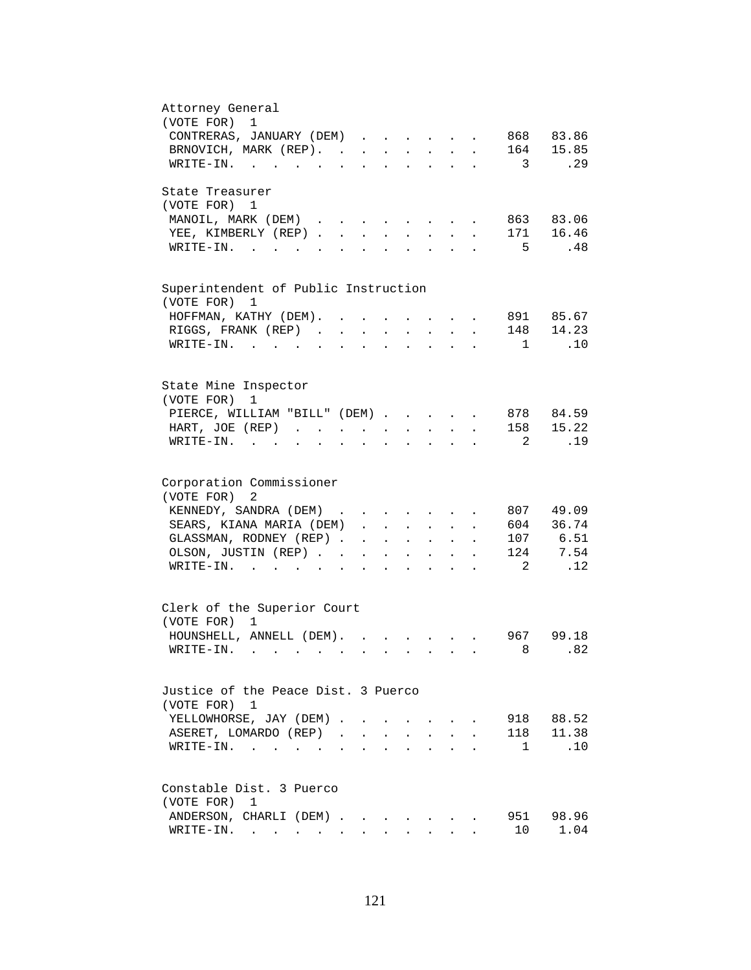| Attorney General                                                                                                                                         |
|----------------------------------------------------------------------------------------------------------------------------------------------------------|
| (VOTE FOR) 1                                                                                                                                             |
| CONTRERAS, JANUARY (DEM)<br>868 83.86                                                                                                                    |
| 164 15.85<br>BRNOVICH, MARK (REP).                                                                                                                       |
| .29<br>WRITE-IN.<br>$\sim$ 3                                                                                                                             |
| State Treasurer                                                                                                                                          |
| (VOTE FOR) 1                                                                                                                                             |
| MANOIL, MARK (DEM)<br>863 83.06                                                                                                                          |
| 171 16.46<br>YEE, KIMBERLY (REP).<br>$\mathbf{r}$                                                                                                        |
| 5<br>.48<br>WRITE-IN.                                                                                                                                    |
|                                                                                                                                                          |
| Superintendent of Public Instruction<br>(VOTE FOR)<br>1                                                                                                  |
| 891 85.67<br>HOFFMAN, KATHY (DEM). .<br>$\ddot{\phantom{a}}$<br>$\mathbf{L}^{\text{max}}$ and $\mathbf{L}^{\text{max}}$                                  |
| RIGGS, FRANK (REP)                                                                                                                                       |
| 148 14.23<br>$\sim 10^{-11}$<br>$\ddot{\phantom{a}}$<br>$\mathcal{L}^{\text{max}}$<br>$\sim 10^{-11}$<br>$\mathbf{L}^{\text{max}}$<br>$\bullet$          |
| .10<br>WRITE-IN.<br>$\frac{1}{2}$<br>$\sim$ $\sim$                                                                                                       |
|                                                                                                                                                          |
| State Mine Inspector<br>(VOTE FOR)<br>1                                                                                                                  |
| PIERCE, WILLIAM "BILL" (DEM)<br>878 84.59                                                                                                                |
| 15.22<br>158<br>HART, JOE (REP)                                                                                                                          |
| .19<br>$\texttt{WRTTE-IN.}$<br>2<br>$\mathbf{r}$ , $\mathbf{r}$ , $\mathbf{r}$ , $\mathbf{r}$                                                            |
|                                                                                                                                                          |
| Corporation Commissioner                                                                                                                                 |
| (VOTE FOR) 2                                                                                                                                             |
| 807 49.09<br>KENNEDY, SANDRA (DEM)<br>$\mathbf{r}$ , and $\mathbf{r}$ , and $\mathbf{r}$ , and $\mathbf{r}$                                              |
| 604 36.74<br>SEARS, KIANA MARIA (DEM)<br>$\ddot{\phantom{0}}$                                                                                            |
| 107 6.51<br>GLASSMAN, RODNEY (REP)<br>$\mathbf{1}$ $\mathbf{1}$ $\mathbf{1}$ $\mathbf{1}$ $\mathbf{1}$ $\mathbf{1}$ $\mathbf{1}$<br>$\ddot{\phantom{1}}$ |
| 124 7.54<br>OLSON, JUSTIN (REP)<br><b>Contract Contract</b>                                                                                              |
| $\mathbf{L}^{\text{max}}$ and $\mathbf{L}^{\text{max}}$<br>$\overline{2}$<br>.12<br>WRITE-IN.                                                            |
| $\mathbf{L}$<br>$\ddot{\phantom{a}}$<br>$\ddot{\phantom{0}}$<br>$\ddot{\phantom{0}}$                                                                     |
| Clerk of the Superior Court                                                                                                                              |
| (VOTE FOR) 1                                                                                                                                             |
| HOUNSHELL, ANNELL (DEM).<br>967 99.18                                                                                                                    |
| 8.82<br>$WRITE-IN.$ .                                                                                                                                    |
|                                                                                                                                                          |
| Justice of the Peace Dist. 3 Puerco                                                                                                                      |
| (VOTE FOR) 1                                                                                                                                             |
| 918 88.52<br>YELLOWHORSE, JAY (DEM).                                                                                                                     |
| 118 11.38<br>ASERET, LOMARDO (REP).<br>$\mathbf{r}$                                                                                                      |
| $1 \quad .10$<br>$WRITE-IN.$                                                                                                                             |
|                                                                                                                                                          |
| Constable Dist. 3 Puerco                                                                                                                                 |
| (VOTE FOR)<br>1                                                                                                                                          |
| 951<br>98.96<br>ANDERSON, CHARLI (DEM).                                                                                                                  |
| 10<br>1.04<br>$\texttt{WRTTE-IN.}$                                                                                                                       |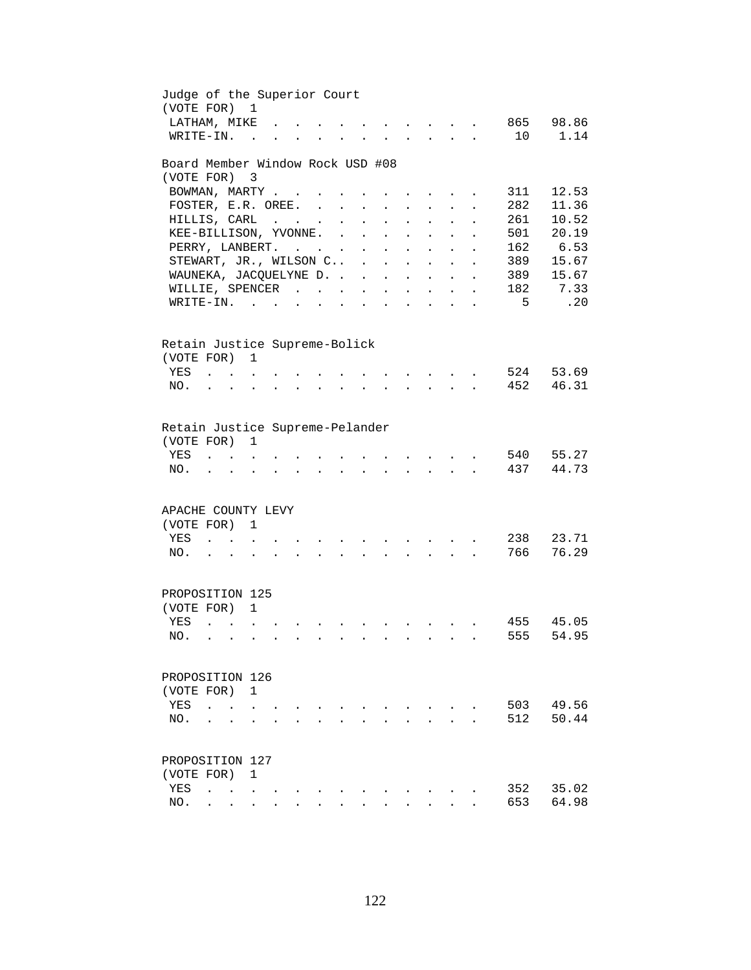| Judge of the Superior Court<br>(VOTE FOR)               |                                            |                           | $\mathbf{1}$             |  |                      |               |                      |                                                                       |                                                 |                        |                                                             |                      |     |          |
|---------------------------------------------------------|--------------------------------------------|---------------------------|--------------------------|--|----------------------|---------------|----------------------|-----------------------------------------------------------------------|-------------------------------------------------|------------------------|-------------------------------------------------------------|----------------------|-----|----------|
| LATHAM, MIKE                                            |                                            |                           |                          |  |                      |               |                      |                                                                       |                                                 |                        |                                                             |                      | 865 | 98.86    |
| WRITE-IN.                                               |                                            |                           | $\overline{a}$           |  |                      |               |                      |                                                                       |                                                 |                        |                                                             | $\overline{a}$       | 10  | 1.14     |
| Board Member Window Rock USD #08                        |                                            |                           |                          |  |                      |               |                      |                                                                       |                                                 |                        |                                                             |                      |     |          |
| (VOTE FOR)                                              |                                            |                           | $\overline{\phantom{a}}$ |  |                      |               |                      |                                                                       |                                                 |                        |                                                             |                      |     |          |
| BOWMAN, MARTY                                           |                                            |                           |                          |  | $\ddot{\phantom{a}}$ |               |                      |                                                                       |                                                 |                        |                                                             |                      | 311 | 12.53    |
| FOSTER, E.R. OREE.                                      |                                            |                           |                          |  |                      |               | $\ddot{\phantom{a}}$ |                                                                       |                                                 |                        |                                                             |                      | 282 | 11.36    |
| HILLIS, CARL                                            |                                            |                           |                          |  |                      | $\cdot$       | $\ddot{\phantom{a}}$ |                                                                       | $\ddot{\phantom{a}}$                            |                        |                                                             |                      | 261 | 10.52    |
| KEE-BILLISON, YVONNE.                                   |                                            |                           |                          |  |                      | $\sim$ $\sim$ | $\ddot{\phantom{a}}$ |                                                                       | $\ddot{\phantom{a}}$                            | $\sim$                 |                                                             |                      | 501 | 20.19    |
| PERRY, LANBERT.                                         |                                            |                           |                          |  |                      |               | $\sim$ $-$           | $\sim$                                                                | $\sim$                                          | $\sim$                 | $\ddot{\phantom{a}}$                                        | $\ddot{\phantom{a}}$ |     | 162 6.53 |
| STEWART, JR., WILSON C .                                |                                            |                           |                          |  |                      |               |                      |                                                                       | $\mathbf{L} = \mathbf{L} \mathbf{L} \mathbf{L}$ |                        | $\ddot{\phantom{a}}$                                        | $\ddot{\phantom{a}}$ | 389 | 15.67    |
| WAUNEKA, JACQUELYNE D.                                  |                                            |                           |                          |  |                      |               |                      |                                                                       | $\mathbf{r}$ , $\mathbf{r}$ , $\mathbf{r}$      |                        | $\mathbf{L}$                                                | $\ddot{\phantom{a}}$ | 389 | 15.67    |
| WILLIE, SPENCER                                         |                                            |                           |                          |  |                      |               |                      |                                                                       | and a strategic state                           |                        | $\mathbf{L}^{\text{max}}$                                   | $\ddot{\phantom{a}}$ | 182 | 7.33     |
| $\texttt{WRITE-IN.}\quad .\quad .\quad .\quad .\quad .$ |                                            |                           |                          |  |                      |               |                      | $\mathbf{r}$ , and $\mathbf{r}$ , and $\mathbf{r}$ , and $\mathbf{r}$ |                                                 |                        | $\bullet$ .<br><br><br><br><br><br><br><br><br><br><br><br> | $\bullet$            | 5   | .20      |
|                                                         |                                            |                           |                          |  |                      |               |                      |                                                                       |                                                 |                        |                                                             |                      |     |          |
| Retain Justice Supreme-Bolick                           |                                            |                           |                          |  |                      |               |                      |                                                                       |                                                 |                        |                                                             |                      |     |          |
| (VOTE FOR) 1                                            |                                            |                           |                          |  |                      |               |                      |                                                                       |                                                 |                        |                                                             |                      |     |          |
| YES                                                     |                                            |                           |                          |  |                      |               |                      |                                                                       | $\sim$ $\sim$ $\sim$ $\sim$                     |                        |                                                             |                      | 524 | 53.69    |
| NO.                                                     |                                            | $\mathbf{r}$              |                          |  |                      |               |                      |                                                                       |                                                 | $\Delta \sim 10^{-11}$ |                                                             |                      | 452 | 46.31    |
|                                                         |                                            |                           |                          |  |                      |               |                      |                                                                       |                                                 |                        |                                                             |                      |     |          |
| Retain Justice Supreme-Pelander                         |                                            |                           |                          |  |                      |               |                      |                                                                       |                                                 |                        |                                                             |                      |     |          |
| (VOTE FOR)                                              |                                            |                           | 1                        |  |                      |               |                      |                                                                       |                                                 |                        |                                                             |                      |     |          |
| YES                                                     |                                            |                           |                          |  |                      |               |                      |                                                                       |                                                 |                        |                                                             |                      | 540 | 55.27    |
| NO.                                                     |                                            |                           |                          |  |                      |               |                      |                                                                       |                                                 |                        |                                                             |                      | 437 | 44.73    |
|                                                         |                                            |                           |                          |  |                      |               |                      |                                                                       |                                                 |                        |                                                             |                      |     |          |
|                                                         |                                            |                           |                          |  |                      |               |                      |                                                                       |                                                 |                        |                                                             |                      |     |          |
| APACHE COUNTY LEVY                                      |                                            |                           |                          |  |                      |               |                      |                                                                       |                                                 |                        |                                                             |                      |     |          |
| (VOTE FOR)                                              |                                            |                           | 1                        |  |                      |               |                      |                                                                       |                                                 |                        |                                                             |                      |     |          |
| YES                                                     |                                            | $\mathbf{L} = \mathbf{L}$ |                          |  |                      |               |                      |                                                                       |                                                 |                        |                                                             |                      | 238 | 23.71    |
| NO.                                                     |                                            |                           | $\ddot{\phantom{a}}$     |  |                      |               |                      |                                                                       |                                                 | $\sim 10^{-10}$        |                                                             |                      | 766 | 76.29    |
|                                                         |                                            |                           |                          |  |                      |               |                      |                                                                       |                                                 |                        |                                                             |                      |     |          |
| PROPOSITION 125                                         |                                            |                           |                          |  |                      |               |                      |                                                                       |                                                 |                        |                                                             |                      |     |          |
| (VOTE FOR) 1                                            |                                            |                           |                          |  |                      |               |                      |                                                                       |                                                 |                        |                                                             |                      |     |          |
| YES                                                     | $\mathbf{r}$ , $\mathbf{r}$ , $\mathbf{r}$ |                           |                          |  |                      |               |                      |                                                                       |                                                 |                        |                                                             |                      | 455 | 45.05    |
| NO.                                                     |                                            |                           |                          |  |                      |               |                      |                                                                       |                                                 |                        |                                                             |                      | 555 | 54.95    |
|                                                         |                                            |                           |                          |  |                      |               |                      |                                                                       |                                                 |                        |                                                             |                      |     |          |
| PROPOSITION 126                                         |                                            |                           |                          |  |                      |               |                      |                                                                       |                                                 |                        |                                                             |                      |     |          |
| (VOTE FOR)                                              |                                            |                           | 1                        |  |                      |               |                      |                                                                       |                                                 |                        |                                                             |                      |     |          |
| YES                                                     |                                            |                           |                          |  |                      |               |                      |                                                                       |                                                 |                        |                                                             |                      | 503 | 49.56    |
| NO.                                                     |                                            |                           |                          |  |                      |               |                      |                                                                       |                                                 |                        |                                                             |                      | 512 | 50.44    |
|                                                         |                                            |                           |                          |  |                      |               |                      |                                                                       |                                                 |                        |                                                             |                      |     |          |
| PROPOSITION 127                                         |                                            |                           |                          |  |                      |               |                      |                                                                       |                                                 |                        |                                                             |                      |     |          |
| (VOTE FOR)                                              |                                            |                           | 1                        |  |                      |               |                      |                                                                       |                                                 |                        |                                                             |                      |     |          |
| YES                                                     | $\ddot{\phantom{a}}$                       | $\ddot{\phantom{0}}$      |                          |  |                      |               |                      |                                                                       |                                                 |                        |                                                             |                      | 352 | 35.02    |
| NO.                                                     |                                            |                           |                          |  |                      |               |                      |                                                                       |                                                 |                        |                                                             |                      | 653 | 64.98    |
|                                                         |                                            |                           |                          |  |                      |               |                      |                                                                       |                                                 |                        |                                                             |                      |     |          |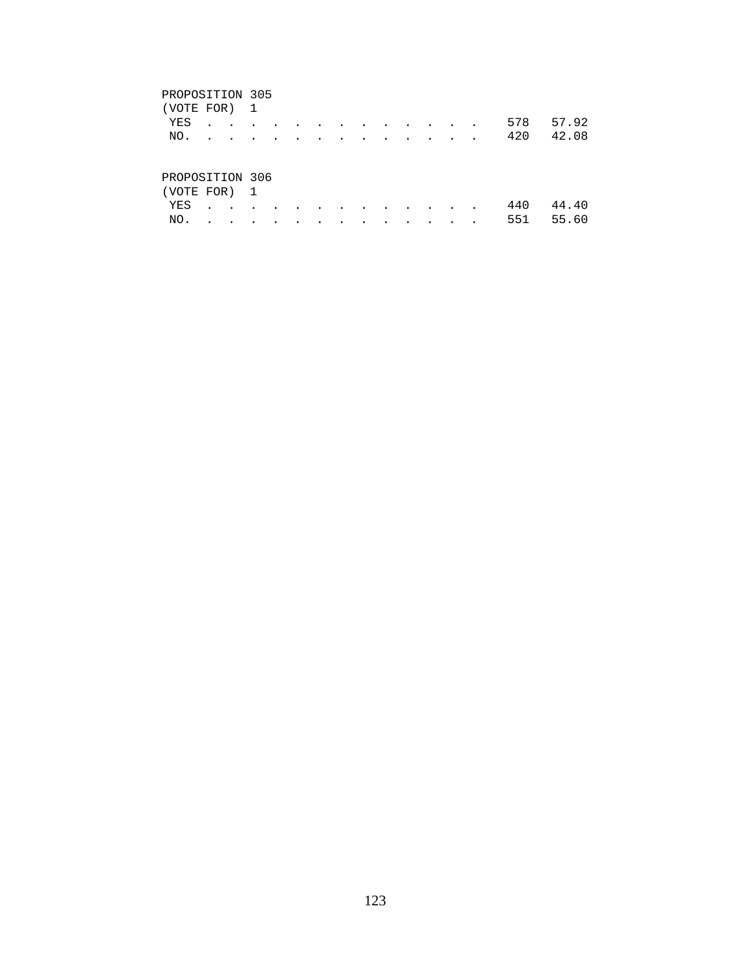### PROPOSITION 305

| (VOTE FOR) 1    |  |  |  |  |  |  |     |           |
|-----------------|--|--|--|--|--|--|-----|-----------|
| YES             |  |  |  |  |  |  |     | 578 57.92 |
| NO.             |  |  |  |  |  |  | 420 | 42.08     |
|                 |  |  |  |  |  |  |     |           |
|                 |  |  |  |  |  |  |     |           |
| PROPOSITION 306 |  |  |  |  |  |  |     |           |
| (VOTE FOR) 1    |  |  |  |  |  |  |     |           |

 YES . . . . . . . . . . . . . 440 44.40 NO. . . . . . . . . . . . . . 551 55.60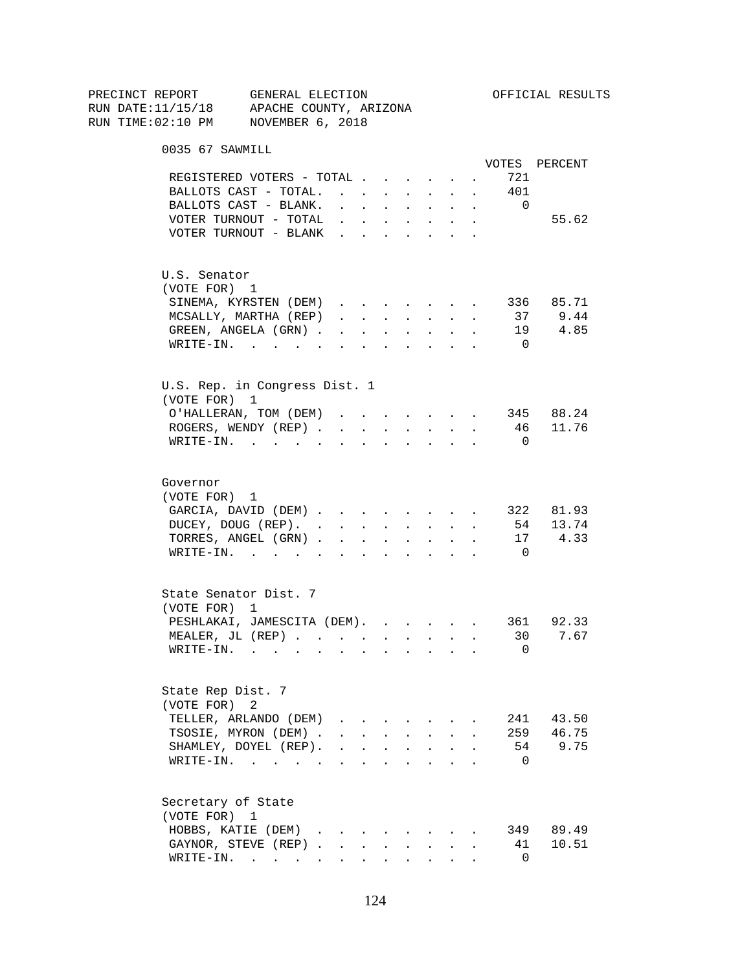| PRECINCT REPORT                          | GENERAL ELECTION                      |                                                                                  |                      |                                   |        |                                          |                      |              |                          | OFFICIAL RESULTS |
|------------------------------------------|---------------------------------------|----------------------------------------------------------------------------------|----------------------|-----------------------------------|--------|------------------------------------------|----------------------|--------------|--------------------------|------------------|
| RUN DATE:11/15/18 APACHE COUNTY, ARIZONA |                                       |                                                                                  |                      |                                   |        |                                          |                      |              |                          |                  |
| RUN TIME:02:10 PM NOVEMBER 6, 2018       |                                       |                                                                                  |                      |                                   |        |                                          |                      |              |                          |                  |
| 0035 67 SAWMILL                          |                                       |                                                                                  |                      |                                   |        |                                          |                      |              |                          |                  |
|                                          |                                       |                                                                                  |                      |                                   |        |                                          |                      |              |                          | VOTES PERCENT    |
|                                          | REGISTERED VOTERS - TOTAL             |                                                                                  |                      |                                   |        |                                          | $\ddot{\phantom{0}}$ |              | 721                      |                  |
|                                          | BALLOTS CAST - TOTAL.                 |                                                                                  |                      |                                   |        | $\mathbf{L} = \mathbf{L} \mathbf{L}$     | $\ddot{\phantom{0}}$ | $\sim$       | 401                      |                  |
|                                          | BALLOTS CAST - BLANK.                 | $\mathbf{r}$ , $\mathbf{r}$ , $\mathbf{r}$ , $\mathbf{r}$ , $\mathbf{r}$         |                      |                                   |        |                                          | $\sim$               | $\sim$       | $\overline{\phantom{0}}$ |                  |
|                                          | VOTER TURNOUT - TOTAL $\cdot$         |                                                                                  |                      |                                   |        |                                          |                      |              |                          | 55.62            |
|                                          | VOTER TURNOUT - BLANK                 |                                                                                  |                      |                                   |        |                                          |                      |              |                          |                  |
| U.S. Senator                             |                                       |                                                                                  |                      |                                   |        |                                          |                      |              |                          |                  |
| (VOTE FOR) 1                             |                                       |                                                                                  |                      |                                   |        |                                          |                      |              |                          |                  |
|                                          | SINEMA, KYRSTEN (DEM)                 |                                                                                  |                      |                                   |        |                                          |                      | $\sim$       |                          | 336 85.71        |
|                                          | MCSALLY, MARTHA (REP)                 | $\mathbf{r}$ and $\mathbf{r}$ and $\mathbf{r}$ and $\mathbf{r}$ and $\mathbf{r}$ |                      |                                   |        |                                          |                      | $\mathbf{r}$ |                          | 37 9.44          |
|                                          | GREEN, ANGELA (GRN).                  |                                                                                  |                      |                                   |        |                                          |                      |              |                          | 19 4.85          |
|                                          | WRITE-IN.                             |                                                                                  |                      |                                   |        |                                          |                      |              | $\overline{0}$           |                  |
|                                          |                                       |                                                                                  |                      |                                   |        |                                          |                      |              |                          |                  |
| U.S. Rep. in Congress Dist. 1            |                                       |                                                                                  |                      |                                   |        |                                          |                      |              |                          |                  |
| (VOTE FOR) 1                             |                                       |                                                                                  |                      |                                   |        |                                          |                      |              |                          |                  |
|                                          | O'HALLERAN, TOM (DEM)                 |                                                                                  |                      |                                   |        |                                          |                      |              |                          | 345 88.24        |
|                                          | ROGERS, WENDY (REP).                  | $\sim$                                                                           | $\sim 10^{-11}$      | $\ddot{\phantom{0}}$              | $\sim$ | $\sim$ 100 $\pm$                         | $\sim$               |              | 46                       | 11.76            |
|                                          | $W\text{RITE}-\text{IN.}$             |                                                                                  |                      |                                   |        |                                          |                      |              | $\overline{0}$           |                  |
| Governor                                 |                                       |                                                                                  |                      |                                   |        |                                          |                      |              |                          |                  |
| (VOTE FOR) 1                             |                                       |                                                                                  |                      |                                   |        |                                          |                      |              |                          |                  |
|                                          | GARCIA, DAVID (DEM)                   |                                                                                  |                      |                                   |        |                                          |                      |              |                          | 322 81.93        |
|                                          | DUCEY, DOUG (REP).                    |                                                                                  |                      |                                   |        |                                          |                      | $\sim$ $-$   |                          | 54 13.74         |
|                                          | TORRES, ANGEL (GRN)                   |                                                                                  |                      |                                   |        |                                          |                      |              | 17                       | 4.33             |
|                                          | $\texttt{WRTTE-IN.}$                  | <b>All Carried Control</b>                                                       |                      |                                   |        | $\mathbf{z} = \mathbf{z} + \mathbf{z}$ . |                      |              | $\Omega$                 |                  |
|                                          |                                       |                                                                                  |                      |                                   |        |                                          |                      |              |                          |                  |
| State Senator Dist. 7<br>(VOTE FOR) 1    |                                       |                                                                                  |                      |                                   |        |                                          |                      |              |                          |                  |
|                                          | PESHLAKAI, JAMESCITA (DEM). 361 92.33 |                                                                                  |                      |                                   |        |                                          |                      |              |                          |                  |
|                                          | MEALER, JL (REP)                      |                                                                                  |                      |                                   |        |                                          |                      |              | 30                       | 7.67             |
| WRITE-IN.                                | $\sim$ $\sim$                         | <b>Contract Contract Street</b>                                                  |                      |                                   |        |                                          |                      |              | 0                        |                  |
|                                          |                                       |                                                                                  |                      |                                   |        |                                          |                      |              |                          |                  |
| State Rep Dist. 7                        |                                       |                                                                                  |                      |                                   |        |                                          |                      |              |                          |                  |
| (VOTE FOR)                               | 2                                     |                                                                                  |                      |                                   |        |                                          |                      |              |                          |                  |
|                                          | TELLER, ARLANDO (DEM)                 |                                                                                  |                      |                                   |        |                                          |                      |              |                          | 241 43.50        |
|                                          | TSOSIE, MYRON (DEM).                  |                                                                                  |                      | <b>Contract Contract Contract</b> |        | $\mathbf{L} = \mathbf{L}$                |                      |              |                          | 259 46.75        |
|                                          | SHAMLEY, DOYEL (REP).                 |                                                                                  | $\ddot{\phantom{a}}$ | $\ddot{\phantom{a}}$              |        | $\bullet$ .                              |                      |              |                          | 54 9.75          |
|                                          | $\texttt{WRTTE-IN.}$                  |                                                                                  | $\ddot{\phantom{a}}$ |                                   |        |                                          |                      |              | $\Omega$                 |                  |
| Secretary of State                       |                                       |                                                                                  |                      |                                   |        |                                          |                      |              |                          |                  |
| (VOTE FOR) 1                             |                                       |                                                                                  |                      |                                   |        |                                          |                      |              |                          |                  |
|                                          | HOBBS, KATIE (DEM)                    |                                                                                  |                      |                                   |        |                                          |                      |              |                          | 349 89.49        |
|                                          | GAYNOR, STEVE (REP)                   |                                                                                  |                      |                                   |        |                                          |                      |              | 41                       | 10.51            |
|                                          | WRITE-IN.                             |                                                                                  |                      |                                   |        | $\sim$ $\sim$                            |                      |              | 0                        |                  |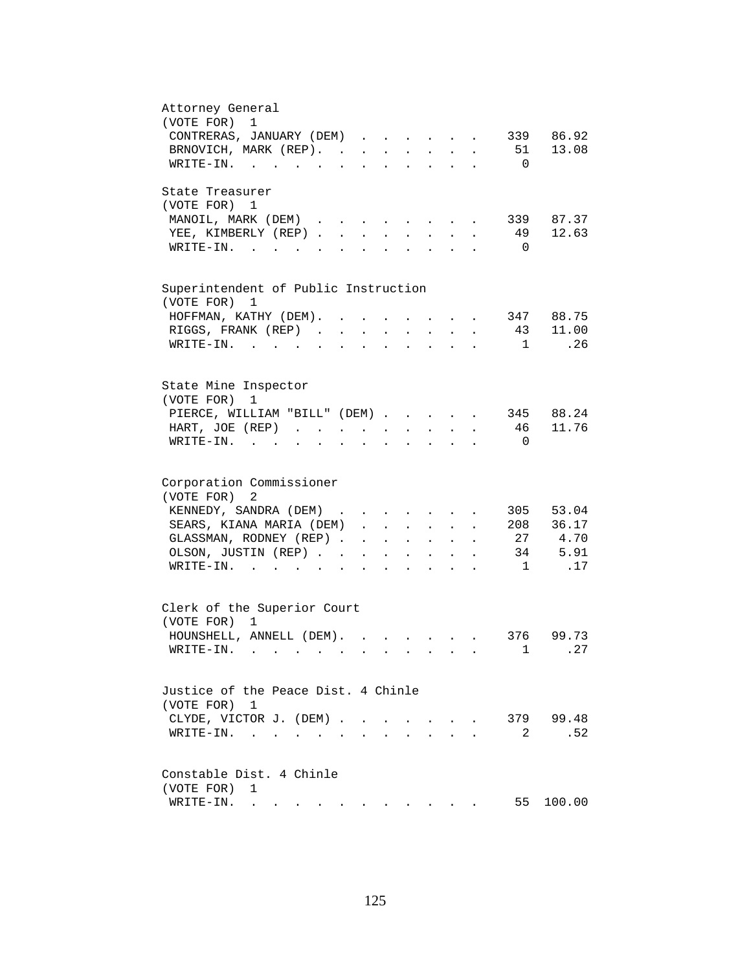| Attorney General<br>(VOTE FOR)<br>1                                                                                                                                                                                                                        |
|------------------------------------------------------------------------------------------------------------------------------------------------------------------------------------------------------------------------------------------------------------|
| CONTRERAS, JANUARY (DEM)<br>339 86.92                                                                                                                                                                                                                      |
| BRNOVICH, MARK (REP). 51<br>13.08                                                                                                                                                                                                                          |
| $\overline{0}$                                                                                                                                                                                                                                             |
| WRITE-IN.                                                                                                                                                                                                                                                  |
| State Treasurer                                                                                                                                                                                                                                            |
| (VOTE FOR) 1                                                                                                                                                                                                                                               |
| MANOIL, MARK (DEM)<br>339 87.37<br>and the state of the state of the<br>$\ddot{\phantom{a}}$                                                                                                                                                               |
| 12.63<br>YEE, KIMBERLY (REP)<br>49<br>$\sim$<br>$\sim$<br>$\sim$                                                                                                                                                                                           |
| $W\text{RITE}-\text{IN}.$<br>$\overline{0}$<br>$\mathbf{A}$ and $\mathbf{A}$<br>$\mathbf{L}^{\text{max}}$                                                                                                                                                  |
|                                                                                                                                                                                                                                                            |
| Superintendent of Public Instruction                                                                                                                                                                                                                       |
| (VOTE FOR) 1                                                                                                                                                                                                                                               |
| 347 88.75<br>HOFFMAN, KATHY (DEM).                                                                                                                                                                                                                         |
| 43 11.00<br>RIGGS, FRANK (REP).<br>$\ddot{\phantom{a}}$                                                                                                                                                                                                    |
| .26<br>$WRITE-IN.$<br>1<br>$\sim$ $\sim$                                                                                                                                                                                                                   |
|                                                                                                                                                                                                                                                            |
| State Mine Inspector                                                                                                                                                                                                                                       |
| (VOTE FOR)<br>1                                                                                                                                                                                                                                            |
| 345 88.24<br>PIERCE, WILLIAM "BILL" (DEM)                                                                                                                                                                                                                  |
| 46 11.76<br>HART, JOE (REP)                                                                                                                                                                                                                                |
| $\mathbf{z} = \mathbf{z} + \mathbf{z}$ .<br>$\mathbf{r} = \mathbf{r} + \mathbf{r}$ .<br>$\sim 10^{-10}$<br>$\ddot{\phantom{0}}$<br>$WRITE-IN.$<br>$\overline{0}$<br>$\mathbf{r} = \mathbf{r} + \mathbf{r} + \mathbf{r}$                                    |
| $\mathbf{z} = \mathbf{z} + \mathbf{z}$ . The $\mathbf{z}$<br>$\ddot{\phantom{a}}$<br>$\bullet$<br>$\ddot{\phantom{0}}$                                                                                                                                     |
|                                                                                                                                                                                                                                                            |
| Corporation Commissioner                                                                                                                                                                                                                                   |
| (VOTE FOR)<br>2                                                                                                                                                                                                                                            |
| KENNEDY, SANDRA (DEM)<br>305 53.04                                                                                                                                                                                                                         |
| SEARS, KIANA MARIA (DEM)<br>208 36.17                                                                                                                                                                                                                      |
| 27 4.70<br>GLASSMAN, RODNEY (REP)<br>and a series of the series of the                                                                                                                                                                                     |
| . 34 5.91<br>OLSON, JUSTIN (REP)<br>$\mathbf{A}^{(1)}$ and $\mathbf{A}^{(2)}$ and<br>$\bullet$ .<br><br><br><br><br><br><br><br><br><br><br><br><br>$\sim$ 100 $\pm$                                                                                       |
| .17<br>$\texttt{WRTTE-IN.}$<br>$\cdot$ $\cdot$ $\cdot$ 1<br><b>All Contracts</b>                                                                                                                                                                           |
|                                                                                                                                                                                                                                                            |
| Clerk of the Superior Court                                                                                                                                                                                                                                |
| (VOTE FOR) 1                                                                                                                                                                                                                                               |
| HOUNSHELL, ANNELL (DEM).<br>376 99.73                                                                                                                                                                                                                      |
| .27<br>WRITE-IN.<br>1                                                                                                                                                                                                                                      |
|                                                                                                                                                                                                                                                            |
| Justice of the Peace Dist. 4 Chinle                                                                                                                                                                                                                        |
| (VOTE FOR) 1                                                                                                                                                                                                                                               |
| 379 99.48<br>CLYDE, VICTOR J. (DEM).<br>$\sim$<br>$\sim$<br>$\ddot{\phantom{0}}$                                                                                                                                                                           |
| .52<br>2<br>WRITE-IN.<br>$\sim$ $\sim$                                                                                                                                                                                                                     |
|                                                                                                                                                                                                                                                            |
| Constable Dist. 4 Chinle                                                                                                                                                                                                                                   |
| (VOTE FOR)<br>1                                                                                                                                                                                                                                            |
| 55<br>100.00<br>WRITE-IN.<br>. The contract of the contract of the contract of the contract of the contract of the contract of the contract of the contract of the contract of the contract of the contract of the contract of the contract of the contrac |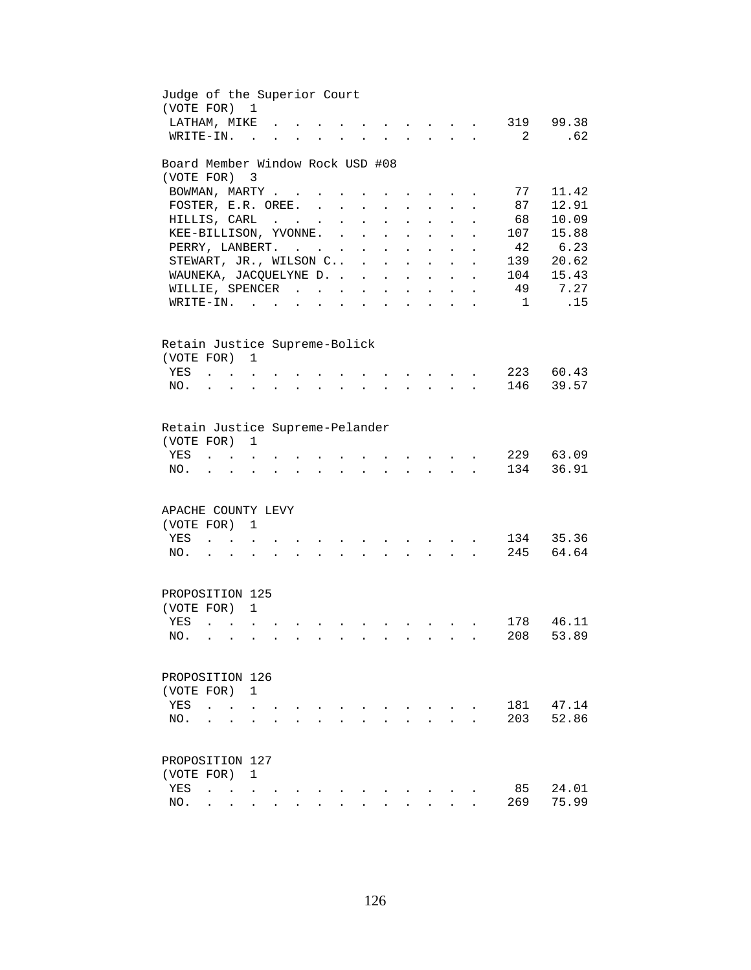| Judge of the Superior Court<br>(VOTE FOR) 1    |                                            |                           |                          |  |                      |               |                      |                                                 |                                                 |                          |                      |                                        |          |                |
|------------------------------------------------|--------------------------------------------|---------------------------|--------------------------|--|----------------------|---------------|----------------------|-------------------------------------------------|-------------------------------------------------|--------------------------|----------------------|----------------------------------------|----------|----------------|
| LATHAM, MIKE                                   |                                            |                           |                          |  |                      |               |                      |                                                 |                                                 |                          |                      |                                        | 319      | 99.38          |
| WRITE-IN.                                      |                                            |                           | $\overline{a}$           |  |                      |               |                      |                                                 |                                                 |                          |                      |                                        | 2        | .62            |
| Board Member Window Rock USD #08<br>(VOTE FOR) |                                            |                           |                          |  |                      |               |                      |                                                 |                                                 |                          |                      |                                        |          |                |
|                                                |                                            |                           | $\overline{\phantom{a}}$ |  |                      |               |                      |                                                 |                                                 |                          |                      |                                        |          |                |
| BOWMAN, MARTY                                  |                                            |                           |                          |  | $\ddot{\phantom{a}}$ |               |                      |                                                 |                                                 |                          |                      |                                        | 77<br>87 | 11.42<br>12.91 |
| FOSTER, E.R. OREE.<br>HILLIS, CARL             |                                            |                           |                          |  |                      |               | $\ddot{\phantom{a}}$ |                                                 |                                                 |                          |                      |                                        | 68       | 10.09          |
|                                                |                                            |                           |                          |  |                      | $\cdot$       | $\ddot{\phantom{a}}$ |                                                 |                                                 |                          |                      |                                        | 107      | 15.88          |
| KEE-BILLISON, YVONNE.                          |                                            |                           |                          |  |                      | $\sim$ $\sim$ | $\ddot{\phantom{a}}$ |                                                 | $\ddot{\phantom{a}}$                            | $\mathbf{r}$             |                      |                                        |          | 6.23           |
| PERRY, LANBERT.                                |                                            |                           |                          |  |                      |               | $\sim$ $-$           | $\sim$                                          | <b>Contract Contract</b>                        | $\sim$                   | $\ddot{\phantom{a}}$ | $\ddot{\phantom{a}}$                   | 42       |                |
| STEWART, JR., WILSON C .                       |                                            |                           |                          |  |                      |               |                      |                                                 | $\mathbf{L} = \mathbf{L} \mathbf{L} \mathbf{L}$ |                          | $\ddot{\phantom{a}}$ | $\ddot{\phantom{a}}$                   | 139      | 20.62          |
| WAUNEKA, JACQUELYNE D.                         |                                            |                           |                          |  |                      |               |                      |                                                 | $\mathbf{r}$ , $\mathbf{r}$ , $\mathbf{r}$      |                          |                      | $\mathbf{L} = \mathbf{L}$              | 104      | 15.43          |
| WILLIE, SPENCER                                |                                            |                           |                          |  |                      |               |                      |                                                 | and a strategic state                           |                          |                      | $\mathbf{L} = \mathbf{L}$              | 49       | 7.27           |
| $\texttt{WRTTE-IN.}$                           |                                            |                           |                          |  |                      | $\bullet$     |                      | the contract of the contract of the contract of |                                                 |                          |                      | $\mathbf{z} = \mathbf{z} - \mathbf{z}$ | 1        | .15            |
| Retain Justice Supreme-Bolick                  |                                            |                           |                          |  |                      |               |                      |                                                 |                                                 |                          |                      |                                        |          |                |
| (VOTE FOR) 1                                   |                                            |                           |                          |  |                      |               |                      |                                                 |                                                 |                          |                      |                                        |          |                |
| YES                                            |                                            |                           |                          |  |                      |               |                      |                                                 |                                                 | <b>Contract Contract</b> |                      |                                        | 223      | 60.43          |
| NO.                                            |                                            | $\mathbf{r}$              |                          |  |                      |               |                      |                                                 |                                                 | $\mathbf{L}$             |                      |                                        | 146      | 39.57          |
|                                                |                                            |                           |                          |  |                      |               |                      |                                                 |                                                 |                          |                      |                                        |          |                |
| Retain Justice Supreme-Pelander                |                                            |                           |                          |  |                      |               |                      |                                                 |                                                 |                          |                      |                                        |          |                |
| (VOTE FOR)                                     |                                            |                           | 1                        |  |                      |               |                      |                                                 |                                                 |                          |                      |                                        |          |                |
| YES                                            |                                            |                           |                          |  |                      |               |                      |                                                 |                                                 |                          |                      |                                        | 229      | 63.09          |
| NO.                                            |                                            |                           |                          |  |                      |               |                      |                                                 |                                                 |                          |                      |                                        | 134      | 36.91          |
|                                                |                                            |                           |                          |  |                      |               |                      |                                                 |                                                 |                          |                      |                                        |          |                |
| APACHE COUNTY LEVY                             |                                            |                           |                          |  |                      |               |                      |                                                 |                                                 |                          |                      |                                        |          |                |
| (VOTE FOR)                                     |                                            |                           | 1                        |  |                      |               |                      |                                                 |                                                 |                          |                      |                                        |          |                |
| YES                                            |                                            | $\mathbf{L} = \mathbf{L}$ |                          |  |                      |               |                      |                                                 |                                                 |                          |                      |                                        | 134      | 35.36          |
| NO.                                            |                                            |                           | $\ddot{\phantom{a}}$     |  |                      |               |                      |                                                 |                                                 | $\sim 10^{-11}$          |                      |                                        | 245      | 64.64          |
| PROPOSITION 125                                |                                            |                           |                          |  |                      |               |                      |                                                 |                                                 |                          |                      |                                        |          |                |
| (VOTE FOR) 1                                   |                                            |                           |                          |  |                      |               |                      |                                                 |                                                 |                          |                      |                                        |          |                |
| YES                                            | $\mathbf{r}$ , $\mathbf{r}$ , $\mathbf{r}$ |                           |                          |  |                      |               |                      |                                                 |                                                 |                          |                      |                                        | 178      | 46.11          |
| NO.                                            |                                            |                           |                          |  |                      |               |                      |                                                 |                                                 |                          |                      |                                        | 208      | 53.89          |
|                                                |                                            |                           |                          |  |                      |               |                      |                                                 |                                                 |                          |                      |                                        |          |                |
| PROPOSITION 126                                |                                            |                           |                          |  |                      |               |                      |                                                 |                                                 |                          |                      |                                        |          |                |
| (VOTE FOR)                                     |                                            |                           | 1                        |  |                      |               |                      |                                                 |                                                 |                          |                      |                                        |          |                |
| YES                                            |                                            |                           |                          |  |                      |               |                      |                                                 |                                                 |                          |                      |                                        | 181      | 47.14          |
| NO.                                            |                                            |                           |                          |  |                      |               |                      |                                                 |                                                 |                          |                      |                                        | 203      | 52.86          |
| PROPOSITION 127                                |                                            |                           |                          |  |                      |               |                      |                                                 |                                                 |                          |                      |                                        |          |                |
| (VOTE FOR)                                     |                                            |                           | 1                        |  |                      |               |                      |                                                 |                                                 |                          |                      |                                        |          |                |
| YES                                            | $\ddot{\phantom{a}}$                       | $\sim$ $\sim$             |                          |  |                      |               |                      |                                                 |                                                 |                          |                      |                                        | 85       | 24.01          |
| NO.                                            |                                            |                           |                          |  |                      |               |                      |                                                 |                                                 |                          |                      |                                        | 269      | 75.99          |
|                                                |                                            |                           |                          |  |                      |               |                      |                                                 |                                                 |                          |                      |                                        |          |                |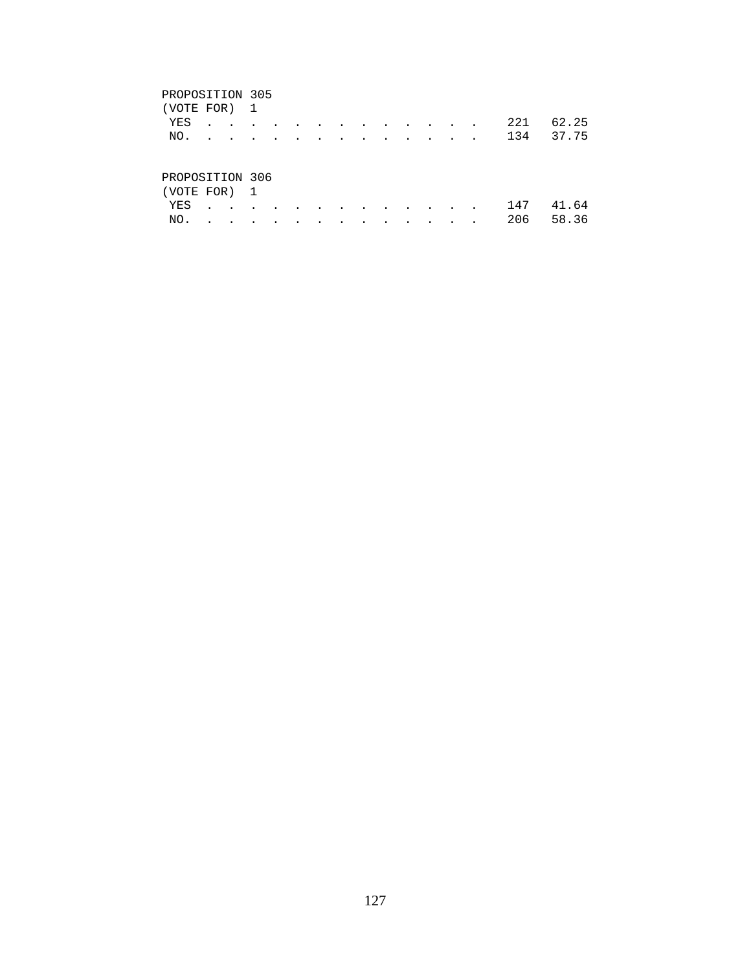### PROPOSITION 305

| (VOTE FOR) 1    |  |                         |           |                      |                          |                          |           |           |                                                                                                                 |               |        |               |               |     |       |
|-----------------|--|-------------------------|-----------|----------------------|--------------------------|--------------------------|-----------|-----------|-----------------------------------------------------------------------------------------------------------------|---------------|--------|---------------|---------------|-----|-------|
| YES             |  | $\sim 100$ km s $^{-1}$ | $\sim$    | $\sim$ $\sim$ $\sim$ |                          | <b>Contract Contract</b> |           |           | the contract of the contract of the contract of the contract of the contract of the contract of the contract of |               |        |               |               | 221 | 62.25 |
| NO.             |  | $\sim 100$ km s $^{-1}$ | $\cdot$   | $\sim$               | $\overline{\phantom{a}}$ | $\sim$                   | $\sim$    | $\sim$    | $\sim$                                                                                                          | $\sim$ $\sim$ |        |               |               | 134 | 37.75 |
|                 |  |                         |           |                      |                          |                          |           |           |                                                                                                                 |               |        |               |               |     |       |
| PROPOSITION 306 |  |                         |           |                      |                          |                          |           |           |                                                                                                                 |               |        |               |               |     |       |
| (VOTE FOR) 1    |  |                         |           |                      |                          |                          |           |           |                                                                                                                 |               |        |               |               |     |       |
| YES             |  | $\bullet$               | $\bullet$ |                      |                          |                          | $\bullet$ | $\bullet$ | $\overline{\phantom{a}}$                                                                                        | $\sim$ $\sim$ | $\sim$ | $\sim$ $\sim$ | $\sim$ $\sim$ | 147 | . 64  |

NO. . . . . . . . . . . . . . 206 58.36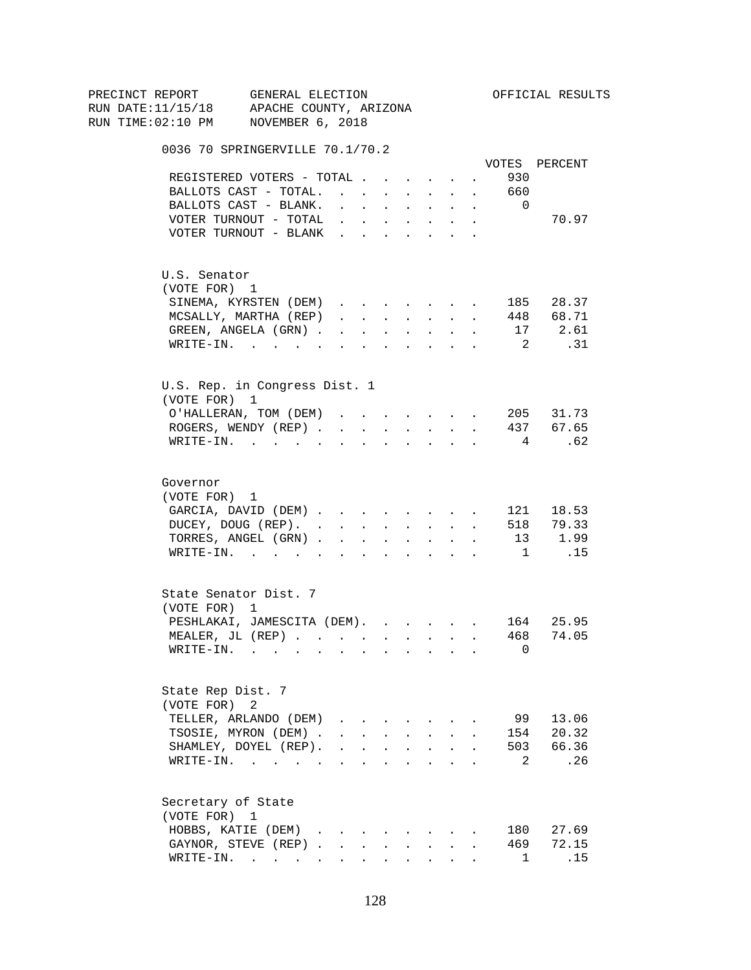| PRECINCT REPORT | GENERAL ELECTION                                                                                                             |                                            |             |                      |                                                                                                                                                                                                                                                                                                                                                                                                                                                                           |                      |            |                            | OFFICIAL RESULTS  |
|-----------------|------------------------------------------------------------------------------------------------------------------------------|--------------------------------------------|-------------|----------------------|---------------------------------------------------------------------------------------------------------------------------------------------------------------------------------------------------------------------------------------------------------------------------------------------------------------------------------------------------------------------------------------------------------------------------------------------------------------------------|----------------------|------------|----------------------------|-------------------|
|                 | RUN DATE:11/15/18 APACHE COUNTY, ARIZONA                                                                                     |                                            |             |                      |                                                                                                                                                                                                                                                                                                                                                                                                                                                                           |                      |            |                            |                   |
|                 | RUN TIME:02:10 PM NOVEMBER 6, 2018                                                                                           |                                            |             |                      |                                                                                                                                                                                                                                                                                                                                                                                                                                                                           |                      |            |                            |                   |
|                 | 0036 70 SPRINGERVILLE 70.1/70.2                                                                                              |                                            |             |                      |                                                                                                                                                                                                                                                                                                                                                                                                                                                                           |                      |            |                            |                   |
|                 |                                                                                                                              |                                            |             |                      |                                                                                                                                                                                                                                                                                                                                                                                                                                                                           |                      |            |                            | VOTES PERCENT     |
|                 | REGISTERED VOTERS - TOTAL                                                                                                    |                                            |             |                      |                                                                                                                                                                                                                                                                                                                                                                                                                                                                           |                      | $\sim 100$ | 930                        |                   |
|                 | BALLOTS CAST - TOTAL. 660                                                                                                    |                                            |             |                      |                                                                                                                                                                                                                                                                                                                                                                                                                                                                           |                      |            |                            |                   |
|                 | BALLOTS CAST - BLANK.                                                                                                        | $\sim$                                     |             |                      | the contract of the contract of the                                                                                                                                                                                                                                                                                                                                                                                                                                       |                      |            | $\Omega$                   |                   |
|                 | VOTER TURNOUT - TOTAL                                                                                                        |                                            |             |                      | <b>All Cards</b>                                                                                                                                                                                                                                                                                                                                                                                                                                                          | $\bullet$ .          |            |                            | 70.97             |
|                 | VOTER TURNOUT - BLANK                                                                                                        |                                            |             |                      |                                                                                                                                                                                                                                                                                                                                                                                                                                                                           |                      |            |                            |                   |
|                 | U.S. Senator                                                                                                                 |                                            |             |                      |                                                                                                                                                                                                                                                                                                                                                                                                                                                                           |                      |            |                            |                   |
|                 | (VOTE FOR) 1                                                                                                                 |                                            |             |                      |                                                                                                                                                                                                                                                                                                                                                                                                                                                                           |                      |            |                            |                   |
|                 | SINEMA, KYRSTEN (DEM)                                                                                                        |                                            |             |                      |                                                                                                                                                                                                                                                                                                                                                                                                                                                                           |                      |            |                            | 185 28.37         |
|                 | MCSALLY, MARTHA (REP)                                                                                                        |                                            |             |                      | $\mathbf{1} \qquad \qquad \mathbf{1} \qquad \qquad \mathbf{1} \qquad \qquad \mathbf{1} \qquad \qquad \mathbf{1} \qquad \qquad \mathbf{1} \qquad \qquad \mathbf{1} \qquad \qquad \mathbf{1} \qquad \qquad \mathbf{1} \qquad \qquad \mathbf{1} \qquad \qquad \mathbf{1} \qquad \qquad \mathbf{1} \qquad \qquad \mathbf{1} \qquad \qquad \mathbf{1} \qquad \qquad \mathbf{1} \qquad \qquad \mathbf{1} \qquad \qquad \mathbf{1} \qquad \qquad \mathbf{1} \qquad \mathbf{1} \$ |                      |            |                            | 448 68.71         |
|                 | GREEN, ANGELA (GRN)                                                                                                          |                                            |             |                      |                                                                                                                                                                                                                                                                                                                                                                                                                                                                           |                      |            |                            | 17 2.61           |
|                 | WRITE-IN.                                                                                                                    | <b>All All Andrew</b>                      |             |                      | $\mathbf{r} = \mathbf{r} + \mathbf{r}$ , where $\mathbf{r} = \mathbf{r}$                                                                                                                                                                                                                                                                                                                                                                                                  |                      |            | $\overline{\phantom{0}}^2$ | .31               |
|                 | U.S. Rep. in Congress Dist. 1                                                                                                |                                            |             |                      |                                                                                                                                                                                                                                                                                                                                                                                                                                                                           |                      |            |                            |                   |
|                 | (VOTE FOR) 1                                                                                                                 |                                            |             |                      |                                                                                                                                                                                                                                                                                                                                                                                                                                                                           |                      |            |                            |                   |
|                 | O'HALLERAN, TOM (DEM)                                                                                                        |                                            |             |                      | and a series of the series of the series of                                                                                                                                                                                                                                                                                                                                                                                                                               |                      |            |                            | 205 31.73         |
|                 | ROGERS, WENDY (REP)                                                                                                          |                                            |             |                      |                                                                                                                                                                                                                                                                                                                                                                                                                                                                           |                      |            |                            | $\cdot$ 437 67.65 |
|                 | WRITE-IN.                                                                                                                    |                                            |             |                      |                                                                                                                                                                                                                                                                                                                                                                                                                                                                           |                      |            | 4                          | .62               |
| Governor        |                                                                                                                              |                                            |             |                      |                                                                                                                                                                                                                                                                                                                                                                                                                                                                           |                      |            |                            |                   |
|                 | (VOTE FOR) 1                                                                                                                 |                                            |             |                      |                                                                                                                                                                                                                                                                                                                                                                                                                                                                           |                      |            |                            |                   |
|                 | GARCIA, DAVID (DEM)                                                                                                          |                                            |             |                      |                                                                                                                                                                                                                                                                                                                                                                                                                                                                           |                      |            |                            | 121 18.53         |
|                 | DUCEY, DOUG (REP).                                                                                                           |                                            |             |                      |                                                                                                                                                                                                                                                                                                                                                                                                                                                                           |                      |            |                            | 518 79.33         |
|                 | TORRES, ANGEL (GRN) 13 1.99                                                                                                  |                                            |             |                      |                                                                                                                                                                                                                                                                                                                                                                                                                                                                           |                      |            |                            |                   |
|                 | WRITE-IN. 1                                                                                                                  |                                            |             |                      |                                                                                                                                                                                                                                                                                                                                                                                                                                                                           |                      |            |                            | $\ldots$ 15       |
|                 | State Senator Dist. 7                                                                                                        |                                            |             |                      |                                                                                                                                                                                                                                                                                                                                                                                                                                                                           |                      |            |                            |                   |
|                 | (VOTE FOR) 1                                                                                                                 |                                            |             |                      |                                                                                                                                                                                                                                                                                                                                                                                                                                                                           |                      |            |                            |                   |
|                 | PESHLAKAI, JAMESCITA (DEM).                                                                                                  |                                            |             |                      |                                                                                                                                                                                                                                                                                                                                                                                                                                                                           |                      |            |                            | 164 25.95         |
|                 | MEALER, JL (REP)                                                                                                             |                                            |             |                      |                                                                                                                                                                                                                                                                                                                                                                                                                                                                           |                      |            | 468                        | 74.05             |
|                 | WRITE-IN.<br>the contract of the contract of the contract of the contract of the contract of the contract of the contract of |                                            |             |                      |                                                                                                                                                                                                                                                                                                                                                                                                                                                                           |                      |            | 0                          |                   |
|                 | State Rep Dist. 7                                                                                                            |                                            |             |                      |                                                                                                                                                                                                                                                                                                                                                                                                                                                                           |                      |            |                            |                   |
|                 | (VOTE FOR) 2                                                                                                                 |                                            |             |                      |                                                                                                                                                                                                                                                                                                                                                                                                                                                                           |                      |            |                            |                   |
|                 | TELLER, ARLANDO (DEM)                                                                                                        | $\mathbf{r} = \mathbf{r} \cdot \mathbf{r}$ |             |                      |                                                                                                                                                                                                                                                                                                                                                                                                                                                                           |                      |            | 99                         | 13.06             |
|                 | TSOSIE, MYRON (DEM).                                                                                                         | $\mathbf{r} = \mathbf{r} + \mathbf{r}$     |             | $\mathbf{r}$         | $\sim$                                                                                                                                                                                                                                                                                                                                                                                                                                                                    |                      |            | 154                        | 20.32             |
|                 | SHAMLEY, DOYEL (REP).                                                                                                        |                                            |             |                      |                                                                                                                                                                                                                                                                                                                                                                                                                                                                           |                      |            | 503                        | 66.36             |
|                 | WRITE-IN.                                                                                                                    |                                            |             | $\ddot{\phantom{a}}$ | <b>Contract Contract Contract</b>                                                                                                                                                                                                                                                                                                                                                                                                                                         |                      |            | 2                          | .26               |
|                 | Secretary of State                                                                                                           |                                            |             |                      |                                                                                                                                                                                                                                                                                                                                                                                                                                                                           |                      |            |                            |                   |
|                 | (VOTE FOR) 1                                                                                                                 |                                            |             |                      |                                                                                                                                                                                                                                                                                                                                                                                                                                                                           |                      |            |                            |                   |
|                 | HOBBS, KATIE (DEM)                                                                                                           |                                            |             |                      |                                                                                                                                                                                                                                                                                                                                                                                                                                                                           |                      |            | 180                        | 27.69             |
|                 | GAYNOR, STEVE (REP).                                                                                                         | $\sim$                                     |             |                      |                                                                                                                                                                                                                                                                                                                                                                                                                                                                           |                      |            | 469                        | 72.15             |
|                 | WRITE-IN.                                                                                                                    | <b>Service</b> State                       | $\bullet$ . |                      | $\mathbf{z} = \mathbf{z} + \mathbf{z}$ . The $\mathbf{z}$                                                                                                                                                                                                                                                                                                                                                                                                                 | $\ddot{\phantom{0}}$ |            | $\mathbf{1}$               | .15               |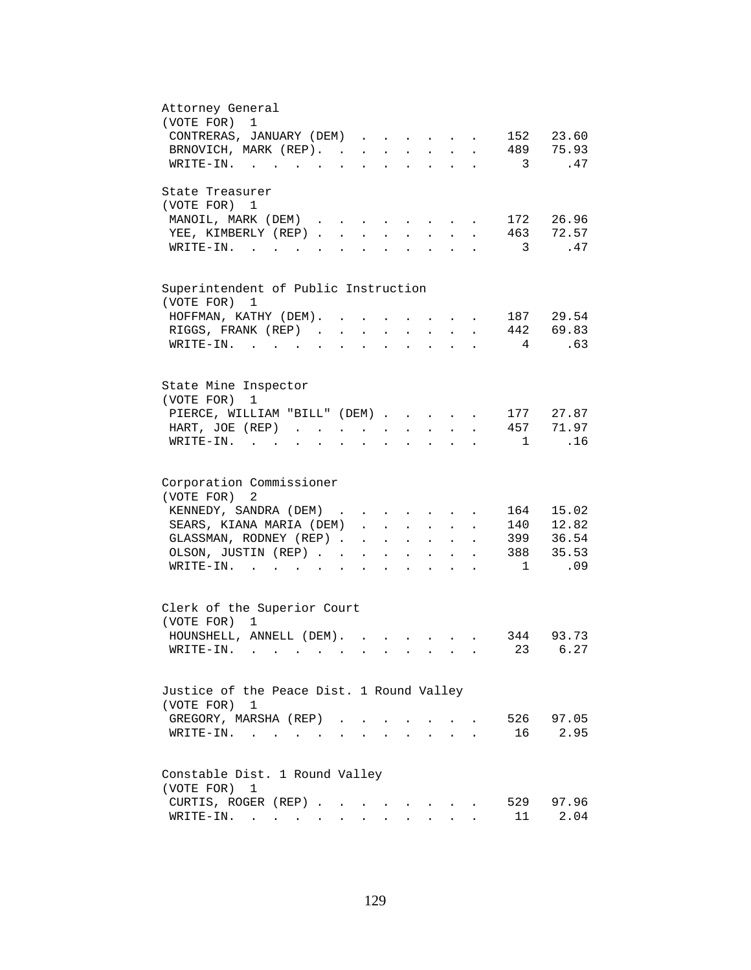| Attorney General<br>(VOTE FOR) 1                                                                                                                                                        |
|-----------------------------------------------------------------------------------------------------------------------------------------------------------------------------------------|
| CONTRERAS, JANUARY (DEM)<br>152 23.60<br>$\sim$                                                                                                                                         |
| 489 75.93<br>BRNOVICH, MARK (REP).                                                                                                                                                      |
| $\overline{\mathbf{3}}$<br>WRITE-IN.<br>.47                                                                                                                                             |
|                                                                                                                                                                                         |
| State Treasurer                                                                                                                                                                         |
| (VOTE FOR) 1                                                                                                                                                                            |
| 172 26.96<br>MANOIL, MARK (DEM)<br>$\mathbf{r} = \mathbf{r} + \mathbf{r} + \mathbf{r}$<br>463 72.57                                                                                     |
| YEE, KIMBERLY (REP).<br>$\sim$<br>$\mathbf{L}$<br>$\mathbf{L}$                                                                                                                          |
| $\overline{\phantom{a}}$<br>.47<br>$\texttt{WRTTE-IN.}$<br>$\sim$                                                                                                                       |
|                                                                                                                                                                                         |
| Superintendent of Public Instruction<br>(VOTE FOR) 1                                                                                                                                    |
| 187 29.54<br>HOFFMAN, KATHY (DEM). .<br>$\ddot{\phantom{a}}$<br>$\sim$                                                                                                                  |
| 442 69.83<br>RIGGS, FRANK (REP)<br>$\sim$ $\sim$                                                                                                                                        |
| 4<br>.63<br>WRITE-IN.<br>$\sim$ $\sim$                                                                                                                                                  |
|                                                                                                                                                                                         |
| State Mine Inspector                                                                                                                                                                    |
| (VOTE FOR)<br>1                                                                                                                                                                         |
| PIERCE, WILLIAM "BILL" (DEM)<br>177 27.87                                                                                                                                               |
| 457 71.97<br>HART, JOE (REP)<br>$\ddot{\phantom{a}}$                                                                                                                                    |
| .16<br>$WRITE-IN.$<br>$\overline{1}$<br>$\mathbf{r}$ , $\mathbf{r}$ , $\mathbf{r}$<br>$\mathbf{L} = \mathbf{L}$<br>$\ddot{\phantom{0}}$<br>$\ddot{\phantom{a}}$<br>$\ddot{\phantom{a}}$ |
|                                                                                                                                                                                         |
| Corporation Commissioner                                                                                                                                                                |
| (VOTE FOR) 2                                                                                                                                                                            |
| 164 15.02<br>KENNEDY, SANDRA (DEM)                                                                                                                                                      |
| 140 12.82<br>SEARS, KIANA MARIA (DEM)<br>$\ddot{\phantom{0}}$                                                                                                                           |
| GLASSMAN, RODNEY (REP)<br>399 36.54<br>$\mathbf{r} = \mathbf{r} + \mathbf{r}$<br>$\bullet$ .<br><br><br><br><br><br><br><br><br><br><br><br><br>$\ddot{\phantom{a}}$                    |
| 388 35.53<br>OLSON, JUSTIN (REP)<br><b>All Contracts</b><br>$\mathbf{L}^{\text{max}}$ , $\mathbf{L}^{\text{max}}$                                                                       |
| .09<br>$\texttt{WRTTE-IN.}$<br>$\sim$ 1<br>$\sim$ $\sim$ $\sim$<br>$\cdot$ $\cdot$                                                                                                      |
|                                                                                                                                                                                         |
| Clerk of the Superior Court                                                                                                                                                             |
| (VOTE FOR) 1                                                                                                                                                                            |
| HOUNSHELL, ANNELL (DEM).<br>344 93.73<br>$\mathbf{r} = \mathbf{r}$ , $\mathbf{r} = \mathbf{r}$ , $\mathbf{r} = \mathbf{r}$                                                              |
| 23 6.27<br>$W\text{RITE}-\text{IN}.$                                                                                                                                                    |
|                                                                                                                                                                                         |
| Justice of the Peace Dist. 1 Round Valley                                                                                                                                               |
| (VOTE FOR) 1                                                                                                                                                                            |
| 526<br>97.05<br>GREGORY, MARSHA (REP).                                                                                                                                                  |
| 2.95<br>16<br>$W{\tt RITE-IN.}$                                                                                                                                                         |
|                                                                                                                                                                                         |
| Constable Dist. 1 Round Valley                                                                                                                                                          |
| (VOTE FOR)<br>1                                                                                                                                                                         |
| CURTIS, ROGER (REP)<br>529<br>97.96                                                                                                                                                     |
| 11<br>2.04<br>WRITE-IN.                                                                                                                                                                 |
|                                                                                                                                                                                         |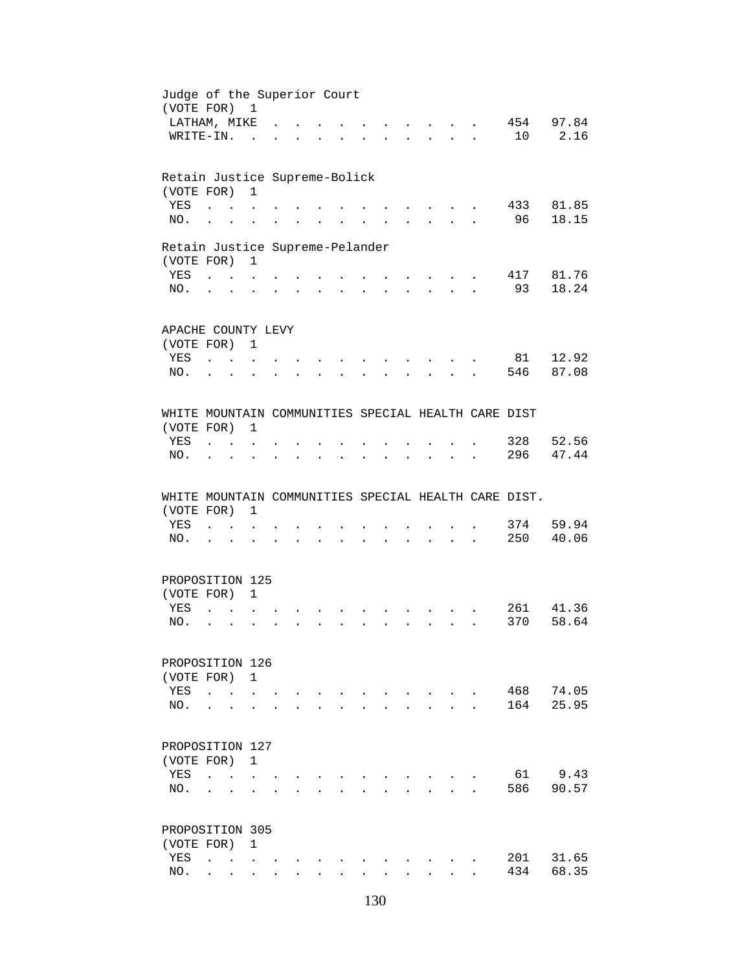| Judge of the Superior Court<br>(VOTE FOR) 1          |                                     |                                      |                                                           |              |                                   |               |                           |              |              |                      |                                                                                                                 |                           |                      |            |                |
|------------------------------------------------------|-------------------------------------|--------------------------------------|-----------------------------------------------------------|--------------|-----------------------------------|---------------|---------------------------|--------------|--------------|----------------------|-----------------------------------------------------------------------------------------------------------------|---------------------------|----------------------|------------|----------------|
| LATHAM, MIKE                                         |                                     |                                      |                                                           |              |                                   |               |                           |              |              |                      |                                                                                                                 |                           |                      | 454 97.84  |                |
| WRITE-IN.                                            |                                     |                                      | $\sim$                                                    |              |                                   |               |                           |              |              |                      | $\mathbb{R}^2$                                                                                                  |                           | $\mathbf{r}$         | 10         | 2.16           |
|                                                      |                                     |                                      |                                                           |              |                                   |               |                           |              |              |                      |                                                                                                                 |                           |                      |            |                |
| Retain Justice Supreme-Bolick                        |                                     |                                      |                                                           |              |                                   |               |                           |              |              |                      |                                                                                                                 |                           |                      |            |                |
| (VOTE FOR)                                           |                                     |                                      | $\mathbf{1}$                                              |              |                                   |               |                           |              |              |                      |                                                                                                                 |                           |                      |            |                |
| YES                                                  | $\ddot{\phantom{a}}$                | $\sim$                               |                                                           |              |                                   |               |                           |              |              |                      |                                                                                                                 |                           |                      | 433        | 81.85          |
| NO.                                                  | $\ddot{\phantom{a}}$                |                                      |                                                           |              |                                   |               |                           |              |              |                      |                                                                                                                 |                           |                      | 96         | 18.15          |
| Retain Justice Supreme-Pelander                      |                                     |                                      |                                                           |              |                                   |               |                           |              |              |                      |                                                                                                                 |                           |                      |            |                |
| (VOTE FOR) 1                                         |                                     |                                      |                                                           |              |                                   |               |                           |              |              |                      |                                                                                                                 |                           |                      |            |                |
| YES                                                  |                                     |                                      |                                                           |              |                                   |               |                           |              |              |                      | and the state of the state of the state of                                                                      |                           |                      | 417        | 81.76          |
| NO.                                                  |                                     | $\mathbf{L} = \mathbf{L} \mathbf{L}$ | $\ddot{\phantom{a}}$                                      |              | <b>Contract Contract Contract</b> | $\mathbf{L}$  |                           |              |              |                      | $\mathbf{r} = \mathbf{r} \cdot \mathbf{r}$ , and $\mathbf{r} = \mathbf{r} \cdot \mathbf{r}$                     |                           |                      | 93         | 18.24          |
|                                                      |                                     |                                      |                                                           |              |                                   |               |                           |              |              |                      |                                                                                                                 |                           |                      |            |                |
| APACHE COUNTY LEVY                                   |                                     |                                      |                                                           |              |                                   |               |                           |              |              |                      |                                                                                                                 |                           |                      |            |                |
| (VOTE FOR) 1                                         |                                     |                                      |                                                           |              |                                   |               |                           |              |              |                      |                                                                                                                 |                           |                      |            |                |
| YES                                                  | $\mathbf{r}$ . $\mathbf{r}$         |                                      |                                                           |              |                                   |               |                           |              |              |                      |                                                                                                                 |                           |                      | 81         | 12.92          |
| NO.                                                  |                                     |                                      |                                                           |              |                                   |               |                           |              |              |                      |                                                                                                                 |                           |                      | 546        | 87.08          |
|                                                      |                                     |                                      |                                                           |              |                                   |               |                           |              |              |                      |                                                                                                                 |                           |                      |            |                |
| WHITE MOUNTAIN COMMUNITIES SPECIAL HEALTH CARE DIST  |                                     |                                      |                                                           |              |                                   |               |                           |              |              |                      |                                                                                                                 |                           |                      |            |                |
| (VOTE FOR)                                           |                                     |                                      | 1                                                         |              |                                   |               |                           |              |              |                      |                                                                                                                 |                           |                      |            |                |
| YES                                                  | $\ddot{\phantom{a}}$                | $\sim$ $\sim$ $\sim$                 |                                                           |              |                                   |               |                           |              |              |                      |                                                                                                                 |                           |                      | 328        | 52.56          |
| NO.                                                  | $\ddot{\phantom{a}}$                | $\bullet$                            | $\ddot{\phantom{0}}$                                      |              |                                   | $\sim$ $\sim$ | $\mathbf{L}^{\text{max}}$ |              |              | $\ddot{\phantom{a}}$ | $\sim 10^{-11}$                                                                                                 | $\ddot{\phantom{0}}$      |                      | 296        | 47.44          |
|                                                      |                                     |                                      |                                                           |              |                                   |               |                           |              |              |                      |                                                                                                                 |                           |                      |            |                |
|                                                      |                                     |                                      |                                                           |              |                                   |               |                           |              |              |                      |                                                                                                                 |                           |                      |            |                |
| WHITE MOUNTAIN COMMUNITIES SPECIAL HEALTH CARE DIST. |                                     |                                      |                                                           |              |                                   |               |                           |              |              |                      |                                                                                                                 |                           |                      |            |                |
| (VOTE FOR)                                           |                                     |                                      | $\mathbf{1}$                                              |              |                                   |               |                           |              |              |                      |                                                                                                                 |                           |                      |            |                |
|                                                      |                                     |                                      |                                                           |              |                                   |               |                           |              |              |                      |                                                                                                                 |                           |                      |            |                |
| YES                                                  | and the contract of the contract of |                                      |                                                           |              |                                   |               |                           |              |              |                      | $\sim$ $\sim$                                                                                                   |                           |                      | 374        |                |
| NO.                                                  | $\mathbf{L}$ $\mathbf{L}$           |                                      |                                                           |              |                                   |               |                           |              |              |                      | the contract of the contract of the contract of the contract of the contract of the contract of the contract of |                           | $\ddot{\phantom{a}}$ | 250        | 59.94<br>40.06 |
| PROPOSITION 125                                      |                                     |                                      |                                                           |              |                                   |               |                           |              |              |                      |                                                                                                                 |                           |                      |            |                |
| (VOTE FOR)                                           |                                     |                                      | $\mathbf{1}$                                              |              |                                   |               |                           |              |              |                      |                                                                                                                 |                           |                      |            |                |
| <b>YES</b>                                           | $\ddot{\phantom{a}}$                |                                      |                                                           |              |                                   |               |                           |              |              |                      |                                                                                                                 |                           |                      |            |                |
|                                                      | $\ddot{\phantom{a}}$                |                                      |                                                           |              |                                   |               |                           |              |              |                      |                                                                                                                 |                           |                      |            | 261 41.36      |
| NO.                                                  |                                     |                                      |                                                           |              |                                   |               |                           |              |              |                      |                                                                                                                 |                           |                      | 370        |                |
| PROPOSITION 126                                      |                                     |                                      |                                                           |              |                                   |               |                           |              |              |                      |                                                                                                                 |                           |                      |            | 58.64          |
| (VOTE FOR)                                           |                                     |                                      | 1                                                         |              |                                   |               |                           |              |              |                      |                                                                                                                 |                           |                      |            |                |
| YES                                                  | $\ddot{\phantom{a}}$                | $\sim$                               |                                                           |              |                                   |               |                           |              |              |                      |                                                                                                                 |                           |                      | 468        |                |
|                                                      |                                     |                                      |                                                           |              |                                   |               |                           |              |              |                      |                                                                                                                 |                           |                      |            | 74.05          |
| NO.                                                  | $\ddot{\phantom{a}}$                |                                      |                                                           |              |                                   |               |                           |              |              |                      |                                                                                                                 |                           |                      | 164        |                |
| PROPOSITION 127                                      |                                     |                                      |                                                           |              |                                   |               |                           |              |              |                      |                                                                                                                 |                           |                      |            | 25.95          |
| (VOTE FOR)                                           |                                     |                                      | $\mathbf{1}$                                              |              |                                   |               |                           |              |              |                      |                                                                                                                 |                           |                      |            |                |
|                                                      |                                     |                                      |                                                           |              |                                   |               |                           |              |              |                      |                                                                                                                 |                           |                      |            |                |
| YES                                                  | $\ddot{\phantom{a}}$                |                                      | $\mathbf{r}$ , $\mathbf{r}$ , $\mathbf{r}$ , $\mathbf{r}$ |              |                                   |               |                           |              |              |                      |                                                                                                                 |                           |                      | 61         | 9.43           |
| NO.                                                  |                                     |                                      |                                                           |              |                                   |               |                           |              |              |                      |                                                                                                                 | $\mathbf{r} = \mathbf{r}$ |                      | 586        | 90.57          |
| PROPOSITION 305                                      |                                     |                                      |                                                           |              |                                   |               |                           |              |              |                      |                                                                                                                 |                           |                      |            |                |
|                                                      |                                     |                                      | $\mathbf{1}$                                              |              |                                   |               |                           |              |              |                      |                                                                                                                 |                           |                      |            |                |
| (VOTE FOR)                                           |                                     |                                      |                                                           |              |                                   |               |                           |              |              |                      |                                                                                                                 |                           |                      |            | 31.65          |
| YES<br>NO.                                           | $\mathbf{L}$                        | $\mathbf{L}$                         | $\mathbf{r}$                                              | $\mathbf{r}$ | $\mathbf{L}$                      | $\mathbf{L}$  | $\mathbf{L}$              | $\mathbf{r}$ | $\mathbf{r}$ |                      | $\mathbf{L}$                                                                                                    | $\mathbf{r}$              |                      | 201<br>434 | 68.35          |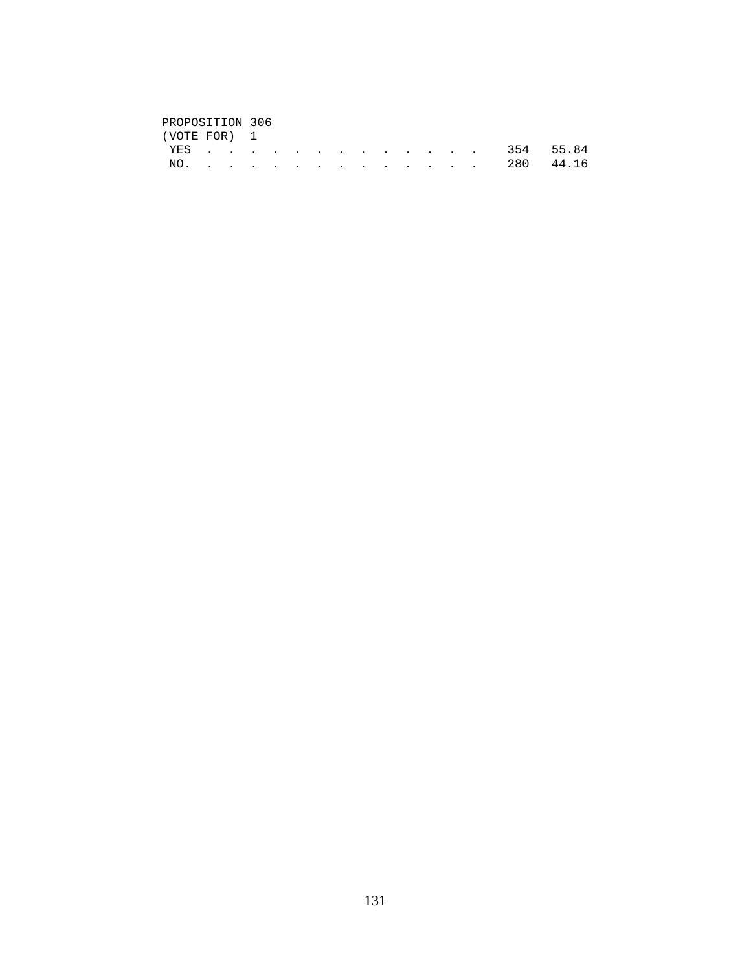# PROPOSITION 306<br>(VOTE FOR) 1

| (VOTE FOR) 1 |  |  |  |  |  |  |  |               |
|--------------|--|--|--|--|--|--|--|---------------|
|              |  |  |  |  |  |  |  | YES 354 55.84 |
|              |  |  |  |  |  |  |  | NO. 280 44.16 |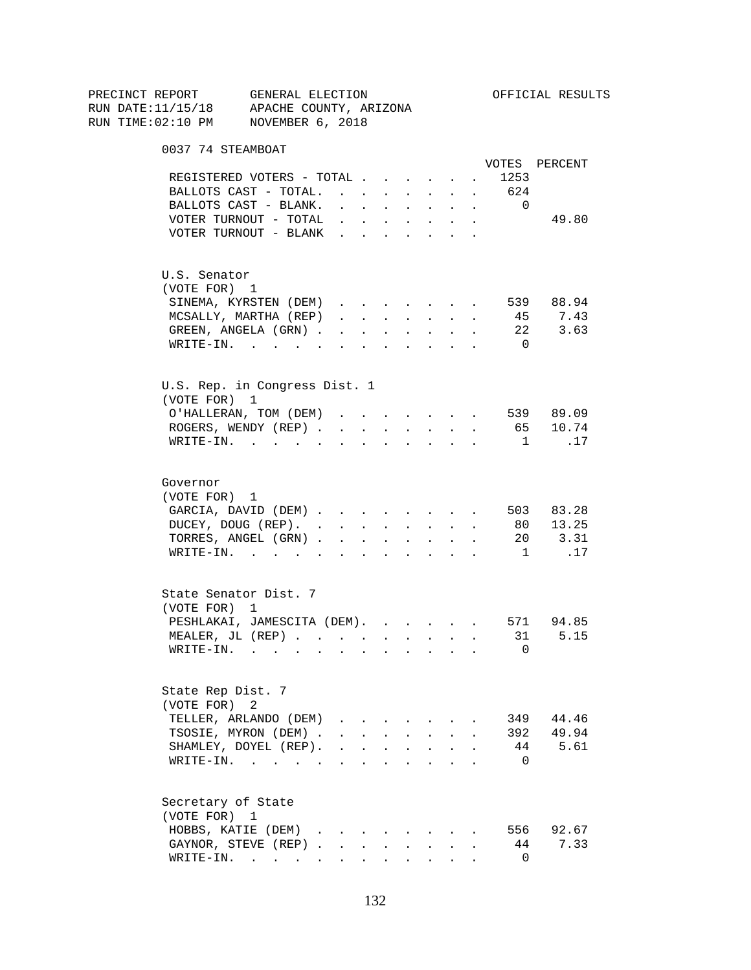| PRECINCT REPORT                          | GENERAL ELECTION |                                                                          |                      |                      |                      |                                                             |                      |                      |                          | OFFICIAL RESULTS |
|------------------------------------------|------------------|--------------------------------------------------------------------------|----------------------|----------------------|----------------------|-------------------------------------------------------------|----------------------|----------------------|--------------------------|------------------|
| RUN DATE:11/15/18 APACHE COUNTY, ARIZONA |                  |                                                                          |                      |                      |                      |                                                             |                      |                      |                          |                  |
| RUN TIME:02:10 PM NOVEMBER 6, 2018       |                  |                                                                          |                      |                      |                      |                                                             |                      |                      |                          |                  |
| 0037 74 STEAMBOAT                        |                  |                                                                          |                      |                      |                      |                                                             |                      |                      |                          |                  |
|                                          |                  |                                                                          |                      |                      |                      |                                                             |                      |                      |                          | VOTES PERCENT    |
| REGISTERED VOTERS - TOTAL                |                  |                                                                          |                      |                      |                      |                                                             | $\sim$               |                      | 1253                     |                  |
| BALLOTS CAST - TOTAL.                    |                  |                                                                          |                      |                      |                      | $\mathbf{L} = \mathbf{L}$                                   | $\mathbf{L}$         | $\sim$               | 624                      |                  |
| BALLOTS CAST - BLANK.                    |                  | $\mathbf{r}$ , $\mathbf{r}$ , $\mathbf{r}$ , $\mathbf{r}$ , $\mathbf{r}$ |                      |                      |                      |                                                             |                      | $\sim$               | $\overline{\phantom{0}}$ |                  |
| VOTER TURNOUT - TOTAL $\ldots$           |                  |                                                                          |                      |                      |                      |                                                             |                      |                      |                          | 49.80            |
| VOTER TURNOUT - BLANK                    |                  |                                                                          |                      |                      |                      |                                                             |                      |                      |                          |                  |
| U.S. Senator                             |                  |                                                                          |                      |                      |                      |                                                             |                      |                      |                          |                  |
| (VOTE FOR) 1                             |                  |                                                                          |                      |                      |                      |                                                             |                      |                      |                          |                  |
| SINEMA, KYRSTEN (DEM)                    |                  |                                                                          |                      |                      |                      |                                                             |                      | $\ddot{\phantom{0}}$ |                          | 539 88.94        |
| MCSALLY, MARTHA (REP)                    |                  | $\mathbf{r}$ and $\mathbf{r}$ and $\mathbf{r}$ and $\mathbf{r}$          |                      |                      |                      |                                                             |                      | $\sim$               |                          | 45 7.43          |
| GREEN, ANGELA (GRN).                     |                  |                                                                          |                      |                      |                      |                                                             |                      |                      | 22                       | 3.63             |
| WRITE-IN.                                |                  |                                                                          |                      |                      |                      |                                                             |                      |                      | $\overline{0}$           |                  |
| U.S. Rep. in Congress Dist. 1            |                  |                                                                          |                      |                      |                      |                                                             |                      |                      |                          |                  |
| (VOTE FOR) 1                             |                  |                                                                          |                      |                      |                      |                                                             |                      |                      |                          |                  |
| O'HALLERAN, TOM (DEM)                    |                  |                                                                          |                      |                      |                      |                                                             |                      |                      |                          | 539 89.09        |
| ROGERS, WENDY (REP).                     |                  | $\sim$                                                                   | $\sim$ 100 $\mu$     | $\sim$ 100 $\pm$     | $\sim$               | $\sim$ 100 $\pm$                                            | $\sim$               | $\sim$               |                          | 65 10.74         |
| $W\text{RITE}-\text{IN}.$                |                  |                                                                          |                      |                      |                      |                                                             |                      |                      | $\overline{1}$           | .17              |
| Governor                                 |                  |                                                                          |                      |                      |                      |                                                             |                      |                      |                          |                  |
| (VOTE FOR) 1                             |                  |                                                                          |                      |                      |                      |                                                             |                      |                      |                          |                  |
| GARCIA, DAVID (DEM)                      |                  |                                                                          |                      |                      |                      |                                                             |                      |                      |                          | 503 83.28        |
| DUCEY, DOUG (REP).                       |                  |                                                                          |                      |                      |                      |                                                             |                      | $\sim$               |                          | 80 13.25         |
| TORRES, ANGEL (GRN)                      |                  |                                                                          |                      |                      |                      |                                                             |                      |                      |                          | 20 3.31          |
| $\texttt{WRTTE-IN.}$                     |                  | $\mathbf{r}$ , $\mathbf{r}$ , $\mathbf{r}$                               |                      |                      |                      | <b>Service Control</b>                                      | $\ddot{\phantom{0}}$ |                      | 1                        | .17              |
| State Senator Dist. 7                    |                  |                                                                          |                      |                      |                      |                                                             |                      |                      |                          |                  |
| (VOTE FOR) 1                             |                  |                                                                          |                      |                      |                      |                                                             |                      |                      |                          |                  |
| PESHLAKAI, JAMESCITA (DEM). 571 94.85    |                  |                                                                          |                      |                      |                      |                                                             |                      |                      |                          |                  |
| MEALER, JL (REP)                         |                  |                                                                          |                      |                      |                      |                                                             |                      |                      | 31                       | 5.15             |
| $WRITE-IN.$                              |                  | the contract of the contract of the contract of                          |                      | $\bullet$            |                      |                                                             |                      |                      | 0                        |                  |
| State Rep Dist. 7                        |                  |                                                                          |                      |                      |                      |                                                             |                      |                      |                          |                  |
| (VOTE FOR)                               | 2                |                                                                          |                      |                      |                      |                                                             |                      |                      |                          |                  |
| TELLER, ARLANDO (DEM)                    |                  |                                                                          |                      |                      |                      |                                                             |                      |                      |                          | 349 44.46        |
| TSOSIE, MYRON (DEM).                     |                  |                                                                          |                      |                      |                      | $\mathbf{r}$ , $\mathbf{r}$ , $\mathbf{r}$ , $\mathbf{r}$   | $\ddot{\phantom{a}}$ |                      |                          | 392 49.94        |
| SHAMLEY, DOYEL (REP).                    |                  | $\ddot{\phantom{a}}$                                                     | $\ddot{\phantom{0}}$ | $\ddot{\phantom{a}}$ | $\ddot{\phantom{a}}$ | $\sim 10^{-10}$                                             |                      |                      |                          | 44 5.61          |
| WRITE-IN.                                |                  |                                                                          | $\ddot{\phantom{a}}$ | $\ddot{\phantom{a}}$ |                      | $\bullet$ .<br><br><br><br><br><br><br><br><br><br><br><br> |                      |                      | $\overline{0}$           |                  |
| Secretary of State                       |                  |                                                                          |                      |                      |                      |                                                             |                      |                      |                          |                  |
| (VOTE FOR) 1                             |                  |                                                                          |                      |                      |                      |                                                             |                      |                      |                          |                  |
| HOBBS, KATIE (DEM)                       |                  |                                                                          |                      |                      |                      |                                                             |                      |                      |                          | 556 92.67        |
| GAYNOR, STEVE (REP)                      |                  |                                                                          |                      |                      |                      |                                                             |                      |                      | 44                       | 7.33             |
| WRITE-IN.                                |                  |                                                                          |                      |                      |                      |                                                             | $\sim$ $\sim$ $\sim$ |                      | 0                        |                  |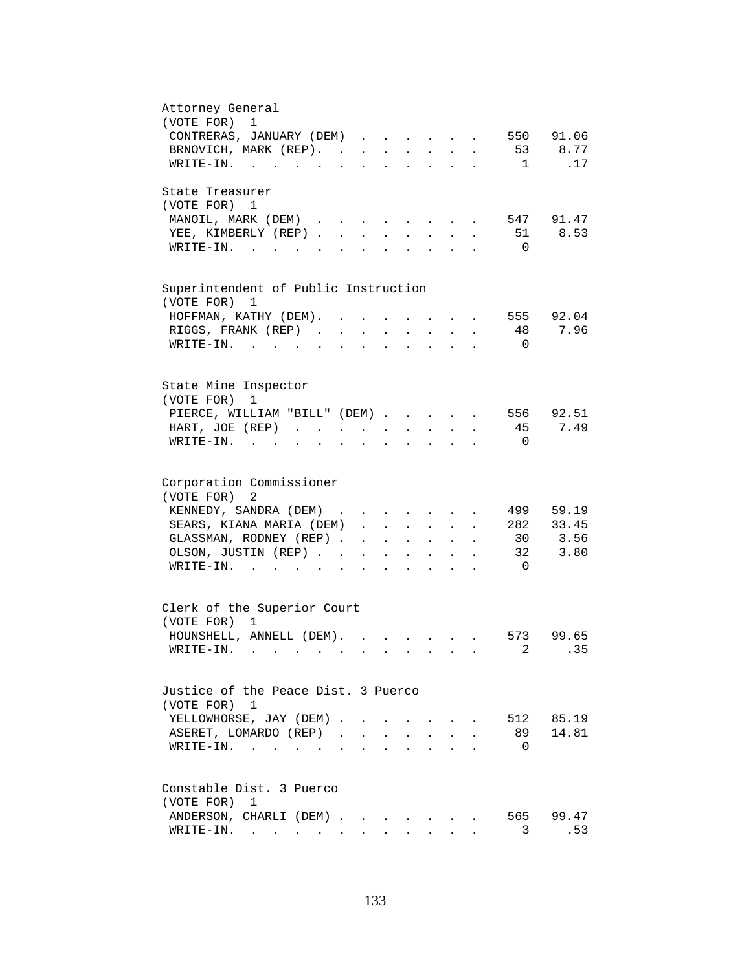| Attorney General<br>(VOTE FOR) 1                                                                                                   |
|------------------------------------------------------------------------------------------------------------------------------------|
| CONTRERAS, JANUARY (DEM)<br>550 91.06                                                                                              |
| 53 8.77<br>BRNOVICH, MARK (REP).                                                                                                   |
| $\overline{1}$<br>.17<br>WRITE-IN.                                                                                                 |
|                                                                                                                                    |
| State Treasurer                                                                                                                    |
| (VOTE FOR) 1                                                                                                                       |
| 547 91.47<br>MANOIL, MARK (DEM)                                                                                                    |
| 8.53<br>YEE, KIMBERLY (REP).<br>51<br>$\sim$                                                                                       |
| $W\text{RITE}-\text{IN}.$<br>$\overline{0}$                                                                                        |
|                                                                                                                                    |
| Superintendent of Public Instruction                                                                                               |
| (VOTE FOR)<br>1<br>555 92.04                                                                                                       |
| HOFFMAN, KATHY (DEM).<br>$\ddot{\phantom{a}}$<br>$\bullet$<br>48                                                                   |
| RIGGS, FRANK (REP)<br>7.96<br>$\sim 10^{-11}$<br>$\mathbf{r} = \mathbf{r} \cdot \mathbf{r}$ .<br>$\ddot{\phantom{a}}$<br>$\bullet$ |
| $\texttt{WRTTE-IN.}$<br>$\overline{0}$<br>$\ddot{\phantom{a}}$                                                                     |
|                                                                                                                                    |
| State Mine Inspector                                                                                                               |
| (VOTE FOR)<br>1                                                                                                                    |
| PIERCE, WILLIAM "BILL" (DEM)<br>556 92.51                                                                                          |
| 7.49<br>45<br>HART, JOE (REP)                                                                                                      |
| WRITE-IN.<br>$\overline{0}$                                                                                                        |
|                                                                                                                                    |
| Corporation Commissioner<br>(VOTE FOR) 2                                                                                           |
| 499 59.19<br>KENNEDY, SANDRA (DEM)                                                                                                 |
| 282 33.45<br>SEARS, KIANA MARIA (DEM)                                                                                              |
| GLASSMAN, RODNEY (REP)<br>30 3.56                                                                                                  |
| OLSON, JUSTIN (REP)<br>32<br>3.80<br>and a strong control of the state of                                                          |
| WRITE-IN.<br>$\overline{0}$<br>$\mathbf{L}$<br>$\mathbf{r} = \mathbf{r}$                                                           |
| $\mathbf{z} = \mathbf{z} + \mathbf{z}$                                                                                             |
| Clerk of the Superior Court                                                                                                        |
| (VOTE FOR) 1                                                                                                                       |
| HOUNSHELL, ANNELL (DEM).<br>573 99.65                                                                                              |
| . 35<br>$2 \left( \frac{1}{2} \right)$<br>WRITE-IN.                                                                                |
|                                                                                                                                    |
| Justice of the Peace Dist. 3 Puerco                                                                                                |
| (VOTE FOR) 1                                                                                                                       |
| YELLOWHORSE, JAY (DEM).<br>512 85.19                                                                                               |
| ASERET, LOMARDO (REP).<br>89<br>14.81<br>$\mathbf{r}$                                                                              |
| WRITE-IN.<br>$\overline{0}$                                                                                                        |
|                                                                                                                                    |
| Constable Dist. 3 Puerco                                                                                                           |
| (VOTE FOR)<br>1                                                                                                                    |
| ANDERSON, CHARLI (DEM).<br>565 99.47<br>$\mathbf{r}$ , and $\mathbf{r}$ , and $\mathbf{r}$ , and $\mathbf{r}$                      |
| WRITE-IN.<br>3<br>.53                                                                                                              |
|                                                                                                                                    |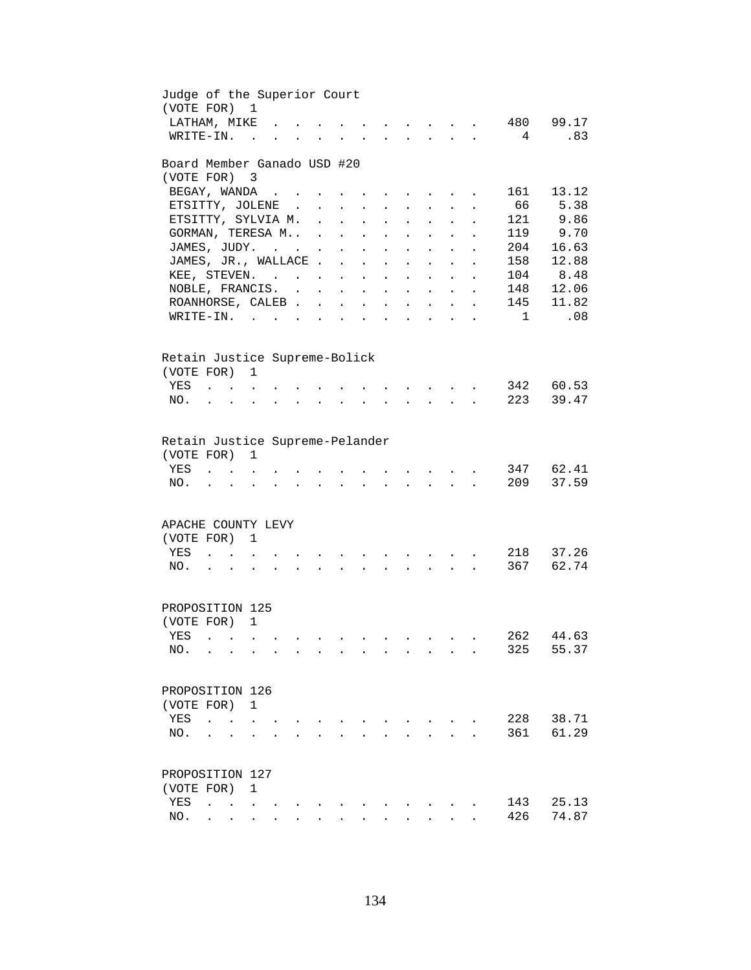| Judge of the Superior Court<br>(VOTE FOR) 1   |                                            |                                                                                                                                                                                                                                                                                                                                                                                                                              |                      |                         |                            |                                                           |                           |                                    |                                          |                                                             |                      |                |                    |
|-----------------------------------------------|--------------------------------------------|------------------------------------------------------------------------------------------------------------------------------------------------------------------------------------------------------------------------------------------------------------------------------------------------------------------------------------------------------------------------------------------------------------------------------|----------------------|-------------------------|----------------------------|-----------------------------------------------------------|---------------------------|------------------------------------|------------------------------------------|-------------------------------------------------------------|----------------------|----------------|--------------------|
| LATHAM, MIKE                                  |                                            |                                                                                                                                                                                                                                                                                                                                                                                                                              |                      |                         |                            |                                                           |                           |                                    |                                          |                                                             |                      |                | 480 99.17          |
| WRITE-IN.                                     |                                            | $\sim$ 100 $\sim$                                                                                                                                                                                                                                                                                                                                                                                                            |                      |                         |                            |                                                           |                           |                                    |                                          |                                                             |                      | 4              | .83                |
| Board Member Ganado USD #20                   |                                            |                                                                                                                                                                                                                                                                                                                                                                                                                              |                      |                         |                            |                                                           |                           |                                    |                                          |                                                             |                      |                |                    |
| (VOTE FOR)                                    |                                            | $\overline{\phantom{a}}$                                                                                                                                                                                                                                                                                                                                                                                                     |                      |                         |                            |                                                           |                           |                                    |                                          |                                                             |                      |                |                    |
| BEGAY, WANDA                                  |                                            |                                                                                                                                                                                                                                                                                                                                                                                                                              |                      |                         |                            |                                                           |                           | $\sim$ $\sim$ $\sim$ $\sim$ $\sim$ |                                          |                                                             |                      | 161            | 13.12              |
| ETSITTY, JOLENE.                              |                                            |                                                                                                                                                                                                                                                                                                                                                                                                                              |                      | $\sim 100$              | $\mathcal{L}^{\text{max}}$ | $\ddot{\phantom{a}}$                                      | $\bullet$                 | $\mathbf{L}^{\text{max}}$          | $\bullet$ .                              | $\bullet$                                                   |                      | 66             | 5.38               |
| ETSITTY, SYLVIA M. .                          |                                            |                                                                                                                                                                                                                                                                                                                                                                                                                              |                      |                         | $\ddot{\phantom{a}}$       | $\ddot{\phantom{a}}$                                      |                           | $\ddot{\phantom{a}}$               |                                          |                                                             |                      | 121            | 9.86               |
| GORMAN, TERESA M .                            |                                            |                                                                                                                                                                                                                                                                                                                                                                                                                              |                      |                         | $\ddot{\phantom{a}}$       | $\ddot{\phantom{a}}$                                      |                           | $\ddot{\phantom{a}}$               |                                          |                                                             |                      | 119            | 9.70               |
| JAMES, JUDY.                                  |                                            |                                                                                                                                                                                                                                                                                                                                                                                                                              |                      | $\ddot{\phantom{0}}$    | $\ddot{\phantom{a}}$       | $\ddot{\phantom{a}}$                                      | $\ddot{\phantom{0}}$      | $\ddot{\phantom{a}}$               |                                          |                                                             | $\ddot{\phantom{a}}$ | 204            | 16.63              |
| JAMES, JR., WALLACE.                          |                                            |                                                                                                                                                                                                                                                                                                                                                                                                                              |                      |                         | $\sim$                     | $\ddot{\phantom{a}}$                                      | $\ddot{\phantom{a}}$      | $\ddot{\phantom{a}}$               | $\ddot{\phantom{a}}$                     |                                                             | $\ddot{\phantom{a}}$ | 158            | 12.88              |
| KEE, STEVEN.                                  |                                            |                                                                                                                                                                                                                                                                                                                                                                                                                              |                      |                         |                            |                                                           | $\mathbf{L}^{\text{max}}$ |                                    | $\mathbf{L} = \mathbf{L}$                | $\ddot{\phantom{a}}$                                        | $\ddot{\phantom{a}}$ |                | 104 8.48           |
| NOBLE, FRANCIS.                               |                                            |                                                                                                                                                                                                                                                                                                                                                                                                                              |                      |                         |                            |                                                           | $\mathbf{L}^{\text{max}}$ |                                    | $\mathbf{L}$ and $\mathbf{L}$            | $\ddot{\phantom{a}}$                                        | $\ddot{\phantom{a}}$ | 148            | 12.06              |
| ROANHORSE, CALEB                              |                                            |                                                                                                                                                                                                                                                                                                                                                                                                                              |                      |                         |                            | $\mathbf{L}^{\text{max}}$ , and $\mathbf{L}^{\text{max}}$ | $\sim 10^{-11}$           |                                    | $\mathbf{r} = \mathbf{r} + \mathbf{r}$ . | $\bullet$ .<br><br><br><br><br><br><br><br><br><br><br><br> | $\bullet$            | 145            | 11.82              |
| WRITE-IN.                                     |                                            |                                                                                                                                                                                                                                                                                                                                                                                                                              |                      |                         | $\ddot{\phantom{a}}$       | <b>Contract Contract Contract</b>                         |                           |                                    | $\mathbf{z} = \mathbf{z} + \mathbf{z}$ . | $\bullet$                                                   | $\ddot{\phantom{a}}$ | $\overline{1}$ | .08                |
| Retain Justice Supreme-Bolick<br>(VOTE FOR) 1 |                                            |                                                                                                                                                                                                                                                                                                                                                                                                                              |                      |                         |                            |                                                           |                           |                                    |                                          |                                                             |                      |                |                    |
| YES                                           | $\mathbf{r}$ , $\mathbf{r}$ , $\mathbf{r}$ |                                                                                                                                                                                                                                                                                                                                                                                                                              |                      |                         |                            |                                                           |                           |                                    |                                          |                                                             |                      |                | 342 60.53          |
| NO.                                           |                                            | $\mathbf{r}$                                                                                                                                                                                                                                                                                                                                                                                                                 |                      |                         |                            |                                                           |                           |                                    |                                          |                                                             |                      | 223            | 39.47              |
| (VOTE FOR)<br>YES<br>NO.                      |                                            | 1                                                                                                                                                                                                                                                                                                                                                                                                                            |                      |                         |                            |                                                           |                           |                                    |                                          |                                                             |                      | 209            | 347 62.41<br>37.59 |
| APACHE COUNTY LEVY                            |                                            |                                                                                                                                                                                                                                                                                                                                                                                                                              |                      |                         |                            |                                                           |                           |                                    |                                          |                                                             |                      |                |                    |
| (VOTE FOR)                                    |                                            | 1                                                                                                                                                                                                                                                                                                                                                                                                                            |                      |                         |                            |                                                           |                           |                                    |                                          |                                                             |                      |                |                    |
| YES                                           |                                            | $\ddot{\phantom{a}}$ . $\ddot{\phantom{a}}$                                                                                                                                                                                                                                                                                                                                                                                  |                      |                         |                            |                                                           |                           |                                    | <b>Contract Contract Street</b>          |                                                             |                      | 218            | 37.26              |
| NO.                                           | $\mathbf{L} = \mathbf{L}$                  | $\ddot{\phantom{a}}$                                                                                                                                                                                                                                                                                                                                                                                                         | $\ddot{\phantom{a}}$ | $\cdot$ $\cdot$ $\cdot$ | $\bullet$                  | $\sim$                                                    | $\sim$                    |                                    |                                          | <b>Contract Contract Contract</b>                           |                      | 367            | 62.74              |
| PROPOSITION 125                               |                                            |                                                                                                                                                                                                                                                                                                                                                                                                                              |                      |                         |                            |                                                           |                           |                                    |                                          |                                                             |                      |                |                    |
| (VOTE FOR) 1                                  |                                            |                                                                                                                                                                                                                                                                                                                                                                                                                              |                      |                         |                            |                                                           |                           |                                    |                                          |                                                             |                      |                |                    |
| YES .                                         |                                            |                                                                                                                                                                                                                                                                                                                                                                                                                              |                      |                         |                            |                                                           |                           |                                    |                                          |                                                             |                      |                | 262 44.63          |
| NO.                                           | $\sim$                                     |                                                                                                                                                                                                                                                                                                                                                                                                                              |                      |                         |                            | $\sim$                                                    | $\sim$ 100 $\mu$          | $\ddot{\phantom{a}}$               | $\sim$                                   | $\sim$ $\sim$                                               |                      | 325            | 55.37              |
| PROPOSITION 126                               |                                            |                                                                                                                                                                                                                                                                                                                                                                                                                              |                      |                         |                            |                                                           |                           |                                    |                                          |                                                             |                      |                |                    |
| (VOTE FOR)                                    |                                            | $\mathbf{1}$                                                                                                                                                                                                                                                                                                                                                                                                                 |                      |                         |                            |                                                           |                           |                                    |                                          |                                                             |                      |                |                    |
| YES                                           |                                            |                                                                                                                                                                                                                                                                                                                                                                                                                              |                      |                         |                            |                                                           |                           |                                    |                                          |                                                             |                      | 228            | 38.71              |
| NO.                                           |                                            |                                                                                                                                                                                                                                                                                                                                                                                                                              |                      |                         |                            |                                                           |                           |                                    |                                          |                                                             |                      | 361            | 61.29              |
|                                               |                                            |                                                                                                                                                                                                                                                                                                                                                                                                                              |                      |                         |                            |                                                           |                           |                                    |                                          |                                                             |                      |                |                    |
| PROPOSITION 127                               |                                            |                                                                                                                                                                                                                                                                                                                                                                                                                              |                      |                         |                            |                                                           |                           |                                    |                                          |                                                             |                      |                |                    |
| (VOTE FOR)                                    |                                            | 1                                                                                                                                                                                                                                                                                                                                                                                                                            |                      |                         |                            |                                                           |                           |                                    |                                          |                                                             |                      |                |                    |
| YES                                           | $\ddot{\phantom{a}}$                       | <b>Contract Contract</b>                                                                                                                                                                                                                                                                                                                                                                                                     |                      |                         |                            |                                                           |                           |                                    |                                          |                                                             |                      | 143            | 25.13              |
| NO.                                           |                                            | $\mathbf{r} = \mathbf{r} + \mathbf{r} + \mathbf{r} + \mathbf{r} + \mathbf{r} + \mathbf{r} + \mathbf{r} + \mathbf{r} + \mathbf{r} + \mathbf{r} + \mathbf{r} + \mathbf{r} + \mathbf{r} + \mathbf{r} + \mathbf{r} + \mathbf{r} + \mathbf{r} + \mathbf{r} + \mathbf{r} + \mathbf{r} + \mathbf{r} + \mathbf{r} + \mathbf{r} + \mathbf{r} + \mathbf{r} + \mathbf{r} + \mathbf{r} + \mathbf{r} + \mathbf{r} + \mathbf{r} + \mathbf$ |                      |                         |                            |                                                           |                           |                                    | $\mathbf{L} = \mathbf{L} \mathbf{L}$     |                                                             |                      | 426            | 74.87              |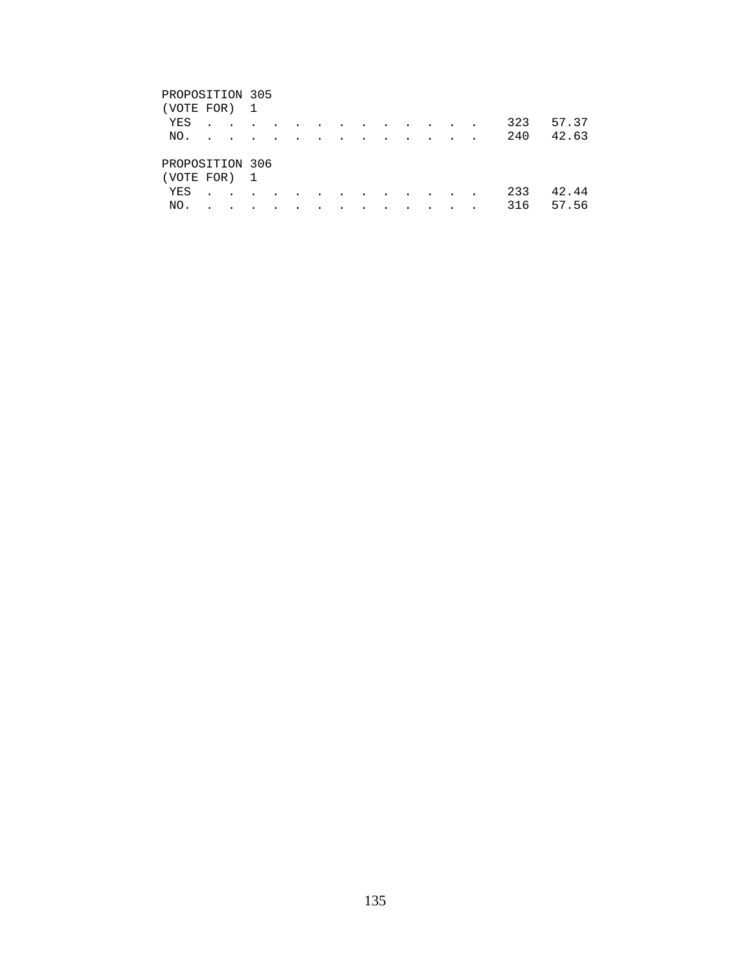## PROPOSITION 305 (VOTE FOR) 1 YES . . . . . . . . . . . . . 323 57.37 NO. . . . . . . . . . . . . . 240 42.63 PROPOSITION 306 (VOTE FOR) 1 YES . . . . . . . . . . . . . 233 42.44 NO. . . . . . . . . . . . . . 316 57.56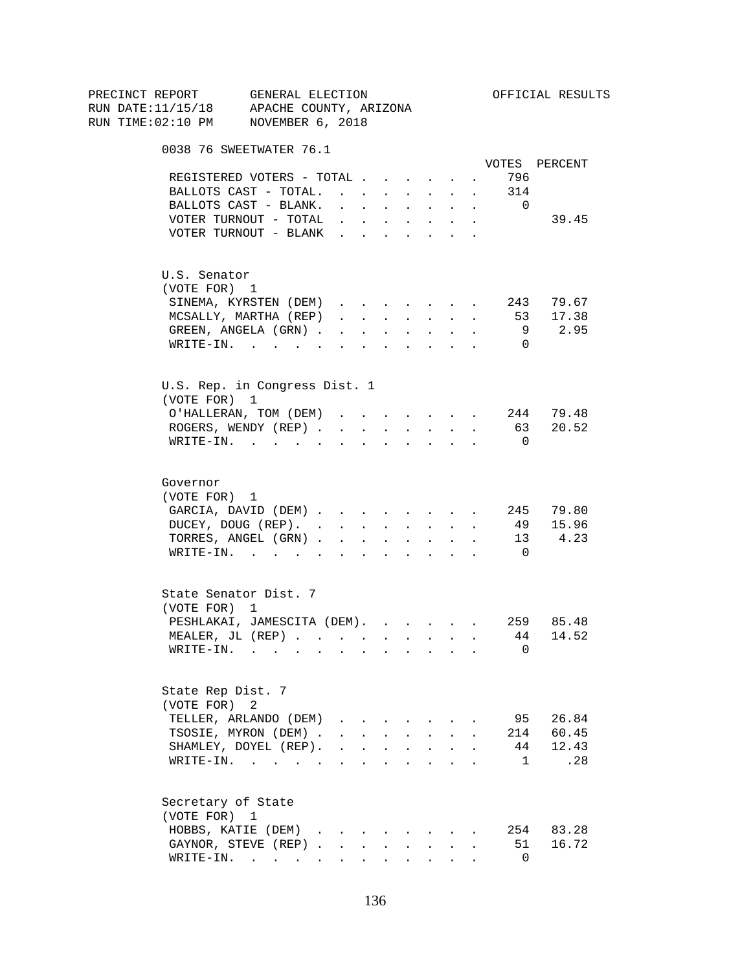| PRECINCT REPORT                          | GENERAL ELECTION                                                                                                |                                                                                                                                                                                                                                                                                                                                                                                                                                                                           |                      |                               |                      |                                                                       |                      |                      |                | OFFICIAL RESULTS  |
|------------------------------------------|-----------------------------------------------------------------------------------------------------------------|---------------------------------------------------------------------------------------------------------------------------------------------------------------------------------------------------------------------------------------------------------------------------------------------------------------------------------------------------------------------------------------------------------------------------------------------------------------------------|----------------------|-------------------------------|----------------------|-----------------------------------------------------------------------|----------------------|----------------------|----------------|-------------------|
| RUN DATE:11/15/18 APACHE COUNTY, ARIZONA |                                                                                                                 |                                                                                                                                                                                                                                                                                                                                                                                                                                                                           |                      |                               |                      |                                                                       |                      |                      |                |                   |
| RUN TIME:02:10 PM NOVEMBER 6, 2018       |                                                                                                                 |                                                                                                                                                                                                                                                                                                                                                                                                                                                                           |                      |                               |                      |                                                                       |                      |                      |                |                   |
|                                          | 0038 76 SWEETWATER 76.1                                                                                         |                                                                                                                                                                                                                                                                                                                                                                                                                                                                           |                      |                               |                      |                                                                       |                      |                      |                |                   |
|                                          |                                                                                                                 |                                                                                                                                                                                                                                                                                                                                                                                                                                                                           |                      |                               |                      |                                                                       |                      |                      |                | VOTES PERCENT     |
|                                          | REGISTERED VOTERS - TOTAL                                                                                       |                                                                                                                                                                                                                                                                                                                                                                                                                                                                           |                      |                               |                      |                                                                       |                      | $\sim$ $-$           | 796            |                   |
|                                          | BALLOTS CAST - TOTAL. 314                                                                                       |                                                                                                                                                                                                                                                                                                                                                                                                                                                                           |                      |                               |                      |                                                                       |                      |                      |                |                   |
|                                          | BALLOTS CAST - BLANK.                                                                                           | $\sim$                                                                                                                                                                                                                                                                                                                                                                                                                                                                    |                      |                               |                      | $\mathbf{r}$ , and $\mathbf{r}$ , and $\mathbf{r}$ , and $\mathbf{r}$ |                      | $\ddot{\phantom{0}}$ | $\overline{0}$ |                   |
|                                          | VOTER TURNOUT - TOTAL .                                                                                         |                                                                                                                                                                                                                                                                                                                                                                                                                                                                           |                      | $\mathbf{r}$ and $\mathbf{r}$ | $\sim$               | $\sim$ 100 $\pm$                                                      | $\ddot{\phantom{0}}$ |                      |                | 39.45             |
|                                          | VOTER TURNOUT - BLANK                                                                                           |                                                                                                                                                                                                                                                                                                                                                                                                                                                                           |                      |                               |                      |                                                                       | $\sim$               |                      |                |                   |
| U.S. Senator                             |                                                                                                                 |                                                                                                                                                                                                                                                                                                                                                                                                                                                                           |                      |                               |                      |                                                                       |                      |                      |                |                   |
| (VOTE FOR) 1                             |                                                                                                                 |                                                                                                                                                                                                                                                                                                                                                                                                                                                                           |                      |                               |                      |                                                                       |                      |                      |                |                   |
|                                          | SINEMA, KYRSTEN (DEM)                                                                                           |                                                                                                                                                                                                                                                                                                                                                                                                                                                                           |                      |                               |                      |                                                                       |                      |                      |                | 243 79.67         |
|                                          | MCSALLY, MARTHA (REP)                                                                                           | $\mathbf{1} \qquad \qquad \mathbf{1} \qquad \qquad \mathbf{1} \qquad \qquad \mathbf{1} \qquad \qquad \mathbf{1} \qquad \qquad \mathbf{1} \qquad \qquad \mathbf{1} \qquad \qquad \mathbf{1} \qquad \qquad \mathbf{1} \qquad \qquad \mathbf{1} \qquad \qquad \mathbf{1} \qquad \qquad \mathbf{1} \qquad \qquad \mathbf{1} \qquad \qquad \mathbf{1} \qquad \qquad \mathbf{1} \qquad \qquad \mathbf{1} \qquad \qquad \mathbf{1} \qquad \mathbf{1} \qquad \qquad \mathbf{1} \$ |                      |                               |                      |                                                                       |                      |                      | 53             | 17.38             |
|                                          | GREEN, ANGELA (GRN)                                                                                             |                                                                                                                                                                                                                                                                                                                                                                                                                                                                           |                      |                               |                      | $\mathbf{r}$ , and $\mathbf{r}$ , and $\mathbf{r}$                    |                      |                      | 9              | 2.95              |
|                                          | $\texttt{WRTTE-IN.}$                                                                                            | $\sim$                                                                                                                                                                                                                                                                                                                                                                                                                                                                    | $\ddot{\phantom{a}}$ | $\ddot{\phantom{0}}$          | $\sim$               | $\sim$ $-$                                                            |                      |                      | $\Omega$       |                   |
|                                          | U.S. Rep. in Congress Dist. 1                                                                                   |                                                                                                                                                                                                                                                                                                                                                                                                                                                                           |                      |                               |                      |                                                                       |                      |                      |                |                   |
| (VOTE FOR) 1                             |                                                                                                                 |                                                                                                                                                                                                                                                                                                                                                                                                                                                                           |                      |                               |                      |                                                                       |                      |                      |                |                   |
|                                          | O'HALLERAN, TOM (DEM)                                                                                           |                                                                                                                                                                                                                                                                                                                                                                                                                                                                           |                      |                               |                      |                                                                       |                      |                      |                | $\cdot$ 244 79.48 |
|                                          | ROGERS, WENDY (REP)                                                                                             |                                                                                                                                                                                                                                                                                                                                                                                                                                                                           |                      |                               |                      | $\mathbf{r}$ , $\mathbf{r}$ , $\mathbf{r}$                            |                      | $\sim$ $-$           |                | 63 20.52          |
|                                          | WRITE-IN.                                                                                                       |                                                                                                                                                                                                                                                                                                                                                                                                                                                                           |                      |                               |                      |                                                                       |                      |                      | $\overline{0}$ |                   |
| Governor                                 |                                                                                                                 |                                                                                                                                                                                                                                                                                                                                                                                                                                                                           |                      |                               |                      |                                                                       |                      |                      |                |                   |
| (VOTE FOR) 1                             |                                                                                                                 |                                                                                                                                                                                                                                                                                                                                                                                                                                                                           |                      |                               |                      |                                                                       |                      |                      |                |                   |
|                                          | GARCIA, DAVID (DEM) 245 79.80                                                                                   |                                                                                                                                                                                                                                                                                                                                                                                                                                                                           |                      |                               |                      |                                                                       |                      |                      |                |                   |
|                                          | DUCEY, DOUG (REP).                                                                                              |                                                                                                                                                                                                                                                                                                                                                                                                                                                                           |                      |                               |                      |                                                                       |                      |                      |                | 49 15.96          |
|                                          | TORRES, ANGEL (GRN)                                                                                             |                                                                                                                                                                                                                                                                                                                                                                                                                                                                           |                      |                               |                      |                                                                       |                      |                      |                | 13 4.23           |
|                                          | WRITE-IN.                                                                                                       |                                                                                                                                                                                                                                                                                                                                                                                                                                                                           |                      |                               |                      |                                                                       |                      |                      | $\overline{0}$ |                   |
|                                          | State Senator Dist. 7                                                                                           |                                                                                                                                                                                                                                                                                                                                                                                                                                                                           |                      |                               |                      |                                                                       |                      |                      |                |                   |
| (VOTE FOR) 1                             |                                                                                                                 |                                                                                                                                                                                                                                                                                                                                                                                                                                                                           |                      |                               |                      |                                                                       |                      |                      |                |                   |
|                                          | PESHLAKAI, JAMESCITA (DEM).                                                                                     |                                                                                                                                                                                                                                                                                                                                                                                                                                                                           |                      |                               |                      |                                                                       |                      |                      |                | 259 85.48         |
|                                          | MEALER. JL (REP).                                                                                               |                                                                                                                                                                                                                                                                                                                                                                                                                                                                           |                      |                               |                      |                                                                       |                      |                      |                | 44 14.52          |
| WRITE-IN.                                | the contract of the contract of the contract of the contract of the contract of the contract of the contract of |                                                                                                                                                                                                                                                                                                                                                                                                                                                                           |                      |                               |                      |                                                                       |                      |                      | 0              |                   |
| State Rep Dist. 7                        |                                                                                                                 |                                                                                                                                                                                                                                                                                                                                                                                                                                                                           |                      |                               |                      |                                                                       |                      |                      |                |                   |
| (VOTE FOR) 2                             |                                                                                                                 |                                                                                                                                                                                                                                                                                                                                                                                                                                                                           |                      |                               |                      |                                                                       |                      |                      |                |                   |
|                                          | TELLER, ARLANDO (DEM)                                                                                           | $\mathbf{r}$ , $\mathbf{r}$ , $\mathbf{r}$                                                                                                                                                                                                                                                                                                                                                                                                                                |                      |                               |                      |                                                                       |                      |                      |                | 95 26.84          |
|                                          | TSOSIE, MYRON (DEM).                                                                                            | $\mathbf{r} = \mathbf{r} + \mathbf{r}$                                                                                                                                                                                                                                                                                                                                                                                                                                    |                      |                               | $\mathbf{L}$         | $\sim$                                                                | $\mathbf{r}$         |                      |                | 214 60.45         |
|                                          | SHAMLEY, DOYEL (REP).                                                                                           | $\mathbf{r}$ , $\mathbf{r}$ , $\mathbf{r}$ , $\mathbf{r}$ , $\mathbf{r}$                                                                                                                                                                                                                                                                                                                                                                                                  |                      |                               |                      |                                                                       |                      |                      | 44             | 12.43             |
|                                          | WRITE-IN.                                                                                                       |                                                                                                                                                                                                                                                                                                                                                                                                                                                                           |                      |                               | $\ddot{\phantom{a}}$ | $\mathbf{r}$ . The set of $\mathbf{r}$                                |                      |                      | $\mathbf{1}$   | .28               |
|                                          |                                                                                                                 |                                                                                                                                                                                                                                                                                                                                                                                                                                                                           |                      |                               |                      |                                                                       |                      |                      |                |                   |
| Secretary of State<br>(VOTE FOR) 1       |                                                                                                                 |                                                                                                                                                                                                                                                                                                                                                                                                                                                                           |                      |                               |                      |                                                                       |                      |                      |                |                   |
|                                          | HOBBS, KATIE (DEM)                                                                                              |                                                                                                                                                                                                                                                                                                                                                                                                                                                                           |                      |                               |                      |                                                                       |                      |                      |                | 254 83.28         |
|                                          | GAYNOR, STEVE (REP).                                                                                            |                                                                                                                                                                                                                                                                                                                                                                                                                                                                           | $\sim$               | $\mathbf{L}$                  |                      | $\mathbf{L}$                                                          |                      |                      | 51             | 16.72             |
|                                          | WRITE-IN.                                                                                                       |                                                                                                                                                                                                                                                                                                                                                                                                                                                                           |                      |                               |                      |                                                                       |                      |                      | $\mathbf 0$    |                   |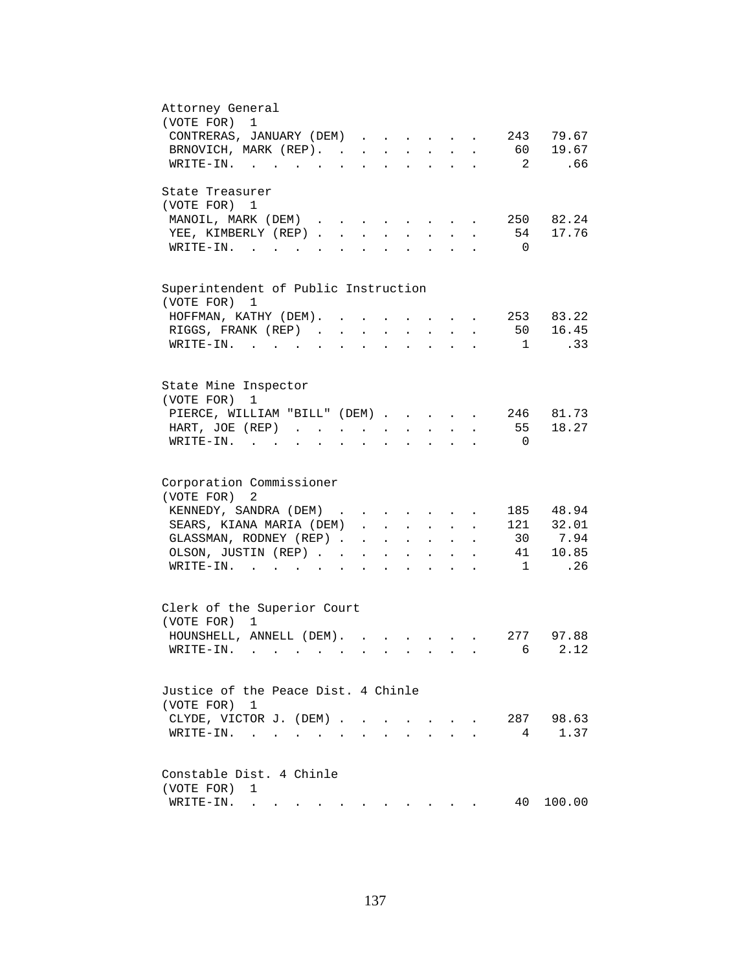| Attorney General<br>1                                                                                                                                                                                                                                      |
|------------------------------------------------------------------------------------------------------------------------------------------------------------------------------------------------------------------------------------------------------------|
| (VOTE FOR)<br>243 79.67                                                                                                                                                                                                                                    |
| CONTRERAS, JANUARY (DEM)                                                                                                                                                                                                                                   |
| BRNOVICH, MARK (REP).<br>60 19.67                                                                                                                                                                                                                          |
| .66<br>WRITE-IN.<br>$\overline{\phantom{a}}^2$                                                                                                                                                                                                             |
| State Treasurer                                                                                                                                                                                                                                            |
| (VOTE FOR) 1                                                                                                                                                                                                                                               |
| 250 82.24<br>MANOIL, MARK (DEM)<br>$\sim$<br>and the state of the state of the<br>$\ddot{\phantom{a}}$                                                                                                                                                     |
| 54 17.76<br>YEE, KIMBERLY (REP)<br>$\sim$<br>$\sim$<br>$\sim$                                                                                                                                                                                              |
| $W\text{RITE-IN.}$<br>$\overline{0}$<br>$\mathbf{L}$<br>$\mathbf{L}$<br>$\sim$                                                                                                                                                                             |
|                                                                                                                                                                                                                                                            |
| Superintendent of Public Instruction<br>(VOTE FOR) 1                                                                                                                                                                                                       |
| 253 83.22<br>HOFFMAN, KATHY (DEM). .                                                                                                                                                                                                                       |
| 16.45<br>RIGGS, FRANK (REP).<br>50<br>$\ddot{\phantom{a}}$                                                                                                                                                                                                 |
|                                                                                                                                                                                                                                                            |
| .33<br>$WRITE-IN.$<br>$\mathbf{1}$<br>$\sim$ $\sim$                                                                                                                                                                                                        |
| State Mine Inspector                                                                                                                                                                                                                                       |
| (VOTE FOR)<br>1                                                                                                                                                                                                                                            |
| 246 81.73                                                                                                                                                                                                                                                  |
| PIERCE, WILLIAM "BILL" (DEM)                                                                                                                                                                                                                               |
| 55 18.27<br>HART, JOE (REP)<br>$\mathbf{z} = \mathbf{z} + \mathbf{z}$ .<br>$\mathbf{z} = \mathbf{z} + \mathbf{z}$ .<br>$\mathbf{L}^{\text{max}}$<br>$\ddot{\phantom{0}}$                                                                                   |
| $WRITE-IN.$<br>$\overline{0}$<br>$\mathbf{r} = \mathbf{r} + \mathbf{r} + \mathbf{r} + \mathbf{r}$<br><b>Contractor</b><br>$\ddot{\phantom{a}}$<br>$\bullet$<br>$\ddot{\phantom{0}}$                                                                        |
| Corporation Commissioner                                                                                                                                                                                                                                   |
| (VOTE FOR)<br>2                                                                                                                                                                                                                                            |
|                                                                                                                                                                                                                                                            |
| KENNEDY, SANDRA (DEM)<br>185 48.94                                                                                                                                                                                                                         |
| SEARS, KIANA MARIA (DEM)<br>121 32.01<br>$\ddot{\phantom{1}}$                                                                                                                                                                                              |
| 30 7.94<br>GLASSMAN, RODNEY (REP)<br><b>All Contract Contracts</b><br>$\mathbf{r} = \mathbf{r} \cdot \mathbf{r}$                                                                                                                                           |
| 41 10.85<br>OLSON, JUSTIN (REP)<br>$\mathbf{r} = \mathbf{r} + \mathbf{r}$ .<br>$\bullet$ .<br><br><br><br><br><br><br><br><br><br><br><br><br>$\bullet$<br>$\ddot{\phantom{0}}$                                                                            |
| .26<br>$\overline{1}$<br>$\texttt{WRITE-IN.}$<br><b>Allen Adams</b><br>$\ddot{\phantom{0}}$                                                                                                                                                                |
|                                                                                                                                                                                                                                                            |
| Clerk of the Superior Court                                                                                                                                                                                                                                |
| (VOTE FOR) 1                                                                                                                                                                                                                                               |
| HOUNSHELL, ANNELL (DEM).<br>277 97.88<br>$\mathbf{r}$ , $\mathbf{r}$ , $\mathbf{r}$ , $\mathbf{r}$ , $\mathbf{r}$ , $\mathbf{r}$                                                                                                                           |
| 6 2.12<br>WRITE-IN.                                                                                                                                                                                                                                        |
|                                                                                                                                                                                                                                                            |
| Justice of the Peace Dist. 4 Chinle                                                                                                                                                                                                                        |
| (VOTE FOR) 1                                                                                                                                                                                                                                               |
| 287 98.63<br>CLYDE, VICTOR J. (DEM).<br>$\sim$<br>$\sim$                                                                                                                                                                                                   |
| 1.37<br>$\texttt{WRITE-IN.}\quad .\quad .\quad .\quad .$<br>4<br>$\ddot{\phantom{a}}$                                                                                                                                                                      |
|                                                                                                                                                                                                                                                            |
| Constable Dist. 4 Chinle                                                                                                                                                                                                                                   |
| (VOTE FOR)<br>1                                                                                                                                                                                                                                            |
| 40<br>100.00<br>WRITE-IN.<br>. The contract of the contract of the contract of the contract of the contract of the contract of the contract of the contract of the contract of the contract of the contract of the contract of the contract of the contrac |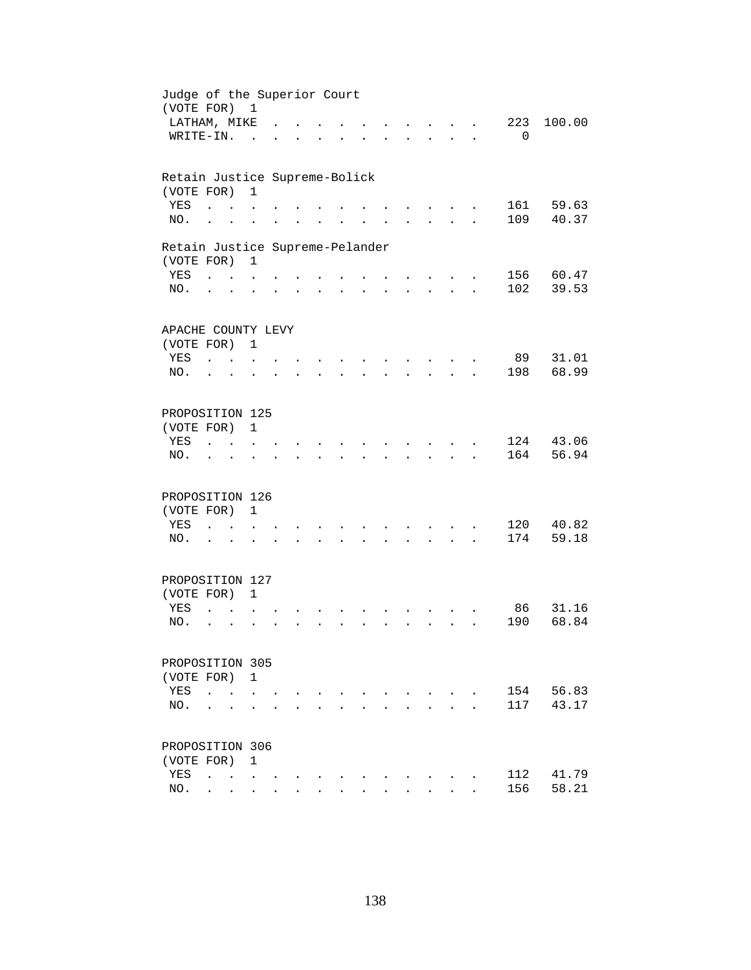| Judge of the Superior Court<br>(VOTE FOR) |                      |                                        | $\mathbf{1}$         |  |                      |                      |           |        |                      |                         |                      |             |                |
|-------------------------------------------|----------------------|----------------------------------------|----------------------|--|----------------------|----------------------|-----------|--------|----------------------|-------------------------|----------------------|-------------|----------------|
| LATHAM, MIKE                              |                      |                                        |                      |  |                      |                      |           |        |                      |                         |                      | 223         | 100.00         |
| WRITE-IN.                                 |                      |                                        | $\overline{a}$       |  |                      |                      |           |        |                      |                         |                      | $\mathbf 0$ |                |
|                                           |                      |                                        |                      |  |                      |                      |           |        |                      |                         |                      |             |                |
| Retain Justice Supreme-Bolick             |                      |                                        |                      |  |                      |                      |           |        |                      |                         |                      |             |                |
| (VOTE FOR)                                |                      |                                        | $\mathbf{1}$         |  |                      |                      |           |        |                      |                         |                      |             |                |
| YES<br>NO.                                |                      |                                        |                      |  |                      |                      |           |        |                      |                         |                      | 161<br>109  | 59.63<br>40.37 |
|                                           | $\ddot{\phantom{a}}$ |                                        |                      |  |                      |                      |           |        |                      |                         |                      |             |                |
| Retain Justice Supreme-Pelander           |                      |                                        |                      |  |                      |                      |           |        |                      |                         |                      |             |                |
| (VOTE FOR)                                |                      |                                        | $\overline{1}$       |  |                      |                      |           |        |                      |                         |                      |             |                |
| YES                                       |                      | $\mathbf{L}$ and $\mathbf{L}$          |                      |  |                      |                      |           |        |                      |                         |                      |             | 156 60.47      |
| NO.                                       | $\ddot{\phantom{0}}$ |                                        | $\ddot{\phantom{0}}$ |  | $\ddot{\phantom{a}}$ | $\ddot{\phantom{a}}$ | $\bullet$ | $\sim$ |                      | $\cdot$ $\cdot$ $\cdot$ | $\ddot{\phantom{a}}$ | 102         | 39.53          |
|                                           |                      |                                        |                      |  |                      |                      |           |        |                      |                         |                      |             |                |
| APACHE COUNTY LEVY                        |                      |                                        |                      |  |                      |                      |           |        |                      |                         |                      |             |                |
| (VOTE FOR) 1                              |                      |                                        |                      |  |                      |                      |           |        |                      |                         |                      |             |                |
| YES                                       | $\sim$ $\sim$ $\sim$ |                                        |                      |  |                      |                      |           |        |                      |                         |                      | 89          | 31.01          |
| NO.                                       | $\ddot{\phantom{a}}$ |                                        |                      |  |                      |                      |           |        |                      |                         |                      | 198         | 68.99          |
| PROPOSITION 125                           |                      |                                        |                      |  |                      |                      |           |        |                      |                         |                      |             |                |
| (VOTE FOR)                                |                      |                                        | $\mathbf{1}$         |  |                      |                      |           |        |                      |                         |                      |             |                |
| YES                                       |                      |                                        |                      |  |                      |                      |           |        |                      |                         |                      | 124         | 43.06          |
| NO.                                       |                      |                                        |                      |  |                      |                      |           |        |                      |                         |                      | 164         | 56.94          |
|                                           |                      |                                        |                      |  |                      |                      |           |        |                      |                         |                      |             |                |
| PROPOSITION 126                           |                      |                                        |                      |  |                      |                      |           |        |                      |                         |                      |             |                |
| (VOTE FOR)                                |                      |                                        | $\mathbf{1}$         |  |                      |                      |           |        |                      |                         |                      |             |                |
| YES                                       | $\ddot{\phantom{a}}$ | $\sim$ $\sim$                          |                      |  |                      |                      |           |        |                      |                         |                      | 120         | 40.82          |
| NO.                                       | $\ddot{\phantom{1}}$ |                                        | $\ddot{\phantom{a}}$ |  | $\cdot$              |                      |           |        |                      | $\cdot$ $\cdot$ $\cdot$ | $\ddot{\phantom{a}}$ | 174         | 59.18          |
| PROPOSITION 127                           |                      |                                        |                      |  |                      |                      |           |        |                      |                         |                      |             |                |
| (VOTE FOR) 1                              |                      |                                        |                      |  |                      |                      |           |        |                      |                         |                      |             |                |
| YES                                       | $\ddot{\phantom{a}}$ |                                        |                      |  |                      |                      |           |        |                      |                         |                      | 86          | 31.16          |
| NO.                                       | $\ddot{\phantom{a}}$ | $\ddot{\phantom{a}}$                   |                      |  |                      |                      |           |        | $\ddot{\phantom{a}}$ | $\mathbf{r}$            |                      | 190         | 68.84          |
|                                           |                      |                                        |                      |  |                      |                      |           |        |                      |                         |                      |             |                |
| PROPOSITION 305                           |                      |                                        |                      |  |                      |                      |           |        |                      |                         |                      |             |                |
| (VOTE FOR)                                |                      |                                        | 1                    |  |                      |                      |           |        |                      |                         |                      |             |                |
| YES                                       | $\ddot{\phantom{a}}$ | $\ddot{\phantom{a}}$                   |                      |  |                      |                      |           |        |                      |                         |                      | 154         | 56.83          |
| NO.                                       |                      |                                        |                      |  |                      |                      |           |        |                      |                         |                      | 117         | 43.17          |
|                                           |                      |                                        |                      |  |                      |                      |           |        |                      |                         |                      |             |                |
| PROPOSITION 306                           |                      |                                        |                      |  |                      |                      |           |        |                      |                         |                      |             |                |
| (VOTE FOR)                                |                      |                                        | 1                    |  |                      |                      |           |        |                      |                         |                      |             |                |
| YES                                       | $\ddot{\phantom{a}}$ | $\mathbf{r}$ . The set of $\mathbf{r}$ |                      |  |                      |                      |           |        |                      |                         |                      | 112         | 41.79          |
| NO.                                       |                      | $\cdot$ $\cdot$ $\cdot$                | $\ddot{\phantom{0}}$ |  |                      |                      |           |        |                      |                         |                      | 156         | 58.21          |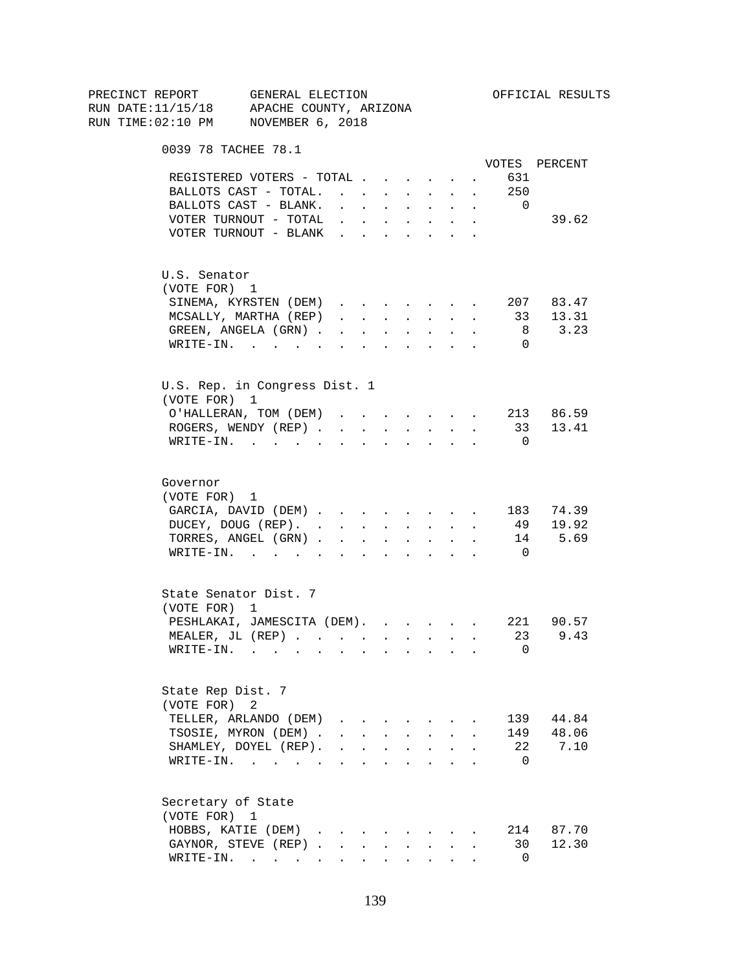| RUN DATE:11/15/18 APACHE COUNTY, ARIZONA<br>RUN TIME:02:10 PM NOVEMBER 6, 2018<br>0039 78 TACHEE 78.1<br>VOTES PERCENT<br>REGISTERED VOTERS - TOTAL<br>631<br>$\sim$<br>$\cdot$ 250<br>BALLOTS CAST - TOTAL.<br>BALLOTS CAST - BLANK.<br>$\overline{0}$<br>$\mathbf{r} = \mathbf{r} \cdot \mathbf{r}$<br>$\mathbf{r} = \mathbf{r} + \mathbf{r}$ .<br>$\sim$ $-$<br>$\sim$<br>39.62<br>VOTER TURNOUT - TOTAL<br>$\mathbf{r} = \mathbf{r} + \mathbf{r} + \mathbf{r} + \mathbf{r} + \mathbf{r}$<br>$\bullet$ .<br>VOTER TURNOUT - BLANK<br>U.S. Senator<br>(VOTE FOR) 1<br>207 83.47<br>SINEMA, KYRSTEN (DEM)<br>MCSALLY, MARTHA (REP)<br>13.31<br>33<br>$\mathbf{1} \qquad \qquad \mathbf{1} \qquad \qquad \mathbf{1} \qquad \qquad \mathbf{1} \qquad \qquad \mathbf{1} \qquad \qquad \mathbf{1} \qquad \qquad \mathbf{1} \qquad \qquad \mathbf{1} \qquad \qquad \mathbf{1} \qquad \qquad \mathbf{1} \qquad \qquad \mathbf{1} \qquad \qquad \mathbf{1} \qquad \qquad \mathbf{1} \qquad \qquad \mathbf{1} \qquad \qquad \mathbf{1} \qquad \qquad \mathbf{1} \qquad \qquad \mathbf{1} \qquad \mathbf{1} \qquad \qquad \mathbf{1} \$<br>$\sim$<br>3.23<br>GREEN, ANGELA (GRN)<br>8<br>$\mathbf{A}^{(1)}$ and $\mathbf{A}^{(2)}$ and $\mathbf{A}^{(3)}$<br>$\sim 10^{-11}$<br>$\sim$<br>$\texttt{WRTTE-IN.}$<br>$\overline{0}$<br><b>Allen Allen Adams</b><br><b>All All Andrew</b><br>$\sim$<br>U.S. Rep. in Congress Dist. 1<br>(VOTE FOR) 1<br>O'HALLERAN, TOM (DEM) 213 86.59<br>ROGERS, WENDY (REP)<br>33 13.41<br>$\cdot$ $\cdot$ $\cdot$ $\cdot$ $\cdot$<br>WRITE-IN.<br>$\overline{0}$<br>$\mathbf{r}$ , and $\mathbf{r}$ , and $\mathbf{r}$<br>Governor<br>(VOTE FOR) 1<br>GARCIA, DAVID (DEM) 183 74.39<br>DUCEY, DOUG (REP).<br>49 19.92<br>14 5.69<br>TORRES, ANGEL (GRN)<br>WRITE-IN.<br>$\overline{0}$<br>State Senator Dist. 7<br>(VOTE FOR) 1<br>PESHLAKAI, JAMESCITA (DEM). 221 90.57<br>MEALER, JL (REP) 23 9.43<br>0<br>$WRITE-IN.$<br>State Rep Dist. 7<br>(VOTE FOR)<br>2<br>TELLER, ARLANDO (DEM)<br>44.84<br>139<br>$\mathbf{r}$ , $\mathbf{r}$ , $\mathbf{r}$<br>TSOSIE, MYRON (DEM).<br>149<br>48.06<br>$\mathbf{r} = \mathbf{r}$ and $\mathbf{r} = \mathbf{r}$<br>$\mathbf{r} = \mathbf{r}$<br>SHAMLEY, DOYEL (REP).<br>22<br>7.10<br>$1 - 1 - 1 = 1 - 1$<br><b>Contract Contract Contract</b><br>$\sim$<br>WRITE-IN.<br>- 0<br><b>Contract Contract Contract</b><br>$\ddot{\phantom{a}}$<br>Secretary of State<br>(VOTE FOR) 1<br>HOBBS, KATIE (DEM)<br>214<br>87.70<br>GAYNOR, STEVE (REP).<br>12.30<br>30<br>$\sim$<br>$\sim$<br>$\texttt{WRTTE-IN.}$<br>$\Omega$ | PRECINCT REPORT | GENERAL ELECTION |  |  |  |  | OFFICIAL RESULTS |
|------------------------------------------------------------------------------------------------------------------------------------------------------------------------------------------------------------------------------------------------------------------------------------------------------------------------------------------------------------------------------------------------------------------------------------------------------------------------------------------------------------------------------------------------------------------------------------------------------------------------------------------------------------------------------------------------------------------------------------------------------------------------------------------------------------------------------------------------------------------------------------------------------------------------------------------------------------------------------------------------------------------------------------------------------------------------------------------------------------------------------------------------------------------------------------------------------------------------------------------------------------------------------------------------------------------------------------------------------------------------------------------------------------------------------------------------------------------------------------------------------------------------------------------------------------------------------------------------------------------------------------------------------------------------------------------------------------------------------------------------------------------------------------------------------------------------------------------------------------------------------------------------------------------------------------------------------------------------------------------------------------------------------------------------------------------------------------------------------------------------------------------------------------------------------------------------------------------------------------------------------------------------------------------------------------------------------------------------------------------------------------------------------------------------------------------------------------------------------------------------------------------------------------------------------------------------------------------|-----------------|------------------|--|--|--|--|------------------|
|                                                                                                                                                                                                                                                                                                                                                                                                                                                                                                                                                                                                                                                                                                                                                                                                                                                                                                                                                                                                                                                                                                                                                                                                                                                                                                                                                                                                                                                                                                                                                                                                                                                                                                                                                                                                                                                                                                                                                                                                                                                                                                                                                                                                                                                                                                                                                                                                                                                                                                                                                                                          |                 |                  |  |  |  |  |                  |
|                                                                                                                                                                                                                                                                                                                                                                                                                                                                                                                                                                                                                                                                                                                                                                                                                                                                                                                                                                                                                                                                                                                                                                                                                                                                                                                                                                                                                                                                                                                                                                                                                                                                                                                                                                                                                                                                                                                                                                                                                                                                                                                                                                                                                                                                                                                                                                                                                                                                                                                                                                                          |                 |                  |  |  |  |  |                  |
|                                                                                                                                                                                                                                                                                                                                                                                                                                                                                                                                                                                                                                                                                                                                                                                                                                                                                                                                                                                                                                                                                                                                                                                                                                                                                                                                                                                                                                                                                                                                                                                                                                                                                                                                                                                                                                                                                                                                                                                                                                                                                                                                                                                                                                                                                                                                                                                                                                                                                                                                                                                          |                 |                  |  |  |  |  |                  |
|                                                                                                                                                                                                                                                                                                                                                                                                                                                                                                                                                                                                                                                                                                                                                                                                                                                                                                                                                                                                                                                                                                                                                                                                                                                                                                                                                                                                                                                                                                                                                                                                                                                                                                                                                                                                                                                                                                                                                                                                                                                                                                                                                                                                                                                                                                                                                                                                                                                                                                                                                                                          |                 |                  |  |  |  |  |                  |
|                                                                                                                                                                                                                                                                                                                                                                                                                                                                                                                                                                                                                                                                                                                                                                                                                                                                                                                                                                                                                                                                                                                                                                                                                                                                                                                                                                                                                                                                                                                                                                                                                                                                                                                                                                                                                                                                                                                                                                                                                                                                                                                                                                                                                                                                                                                                                                                                                                                                                                                                                                                          |                 |                  |  |  |  |  |                  |
|                                                                                                                                                                                                                                                                                                                                                                                                                                                                                                                                                                                                                                                                                                                                                                                                                                                                                                                                                                                                                                                                                                                                                                                                                                                                                                                                                                                                                                                                                                                                                                                                                                                                                                                                                                                                                                                                                                                                                                                                                                                                                                                                                                                                                                                                                                                                                                                                                                                                                                                                                                                          |                 |                  |  |  |  |  |                  |
|                                                                                                                                                                                                                                                                                                                                                                                                                                                                                                                                                                                                                                                                                                                                                                                                                                                                                                                                                                                                                                                                                                                                                                                                                                                                                                                                                                                                                                                                                                                                                                                                                                                                                                                                                                                                                                                                                                                                                                                                                                                                                                                                                                                                                                                                                                                                                                                                                                                                                                                                                                                          |                 |                  |  |  |  |  |                  |
|                                                                                                                                                                                                                                                                                                                                                                                                                                                                                                                                                                                                                                                                                                                                                                                                                                                                                                                                                                                                                                                                                                                                                                                                                                                                                                                                                                                                                                                                                                                                                                                                                                                                                                                                                                                                                                                                                                                                                                                                                                                                                                                                                                                                                                                                                                                                                                                                                                                                                                                                                                                          |                 |                  |  |  |  |  |                  |
|                                                                                                                                                                                                                                                                                                                                                                                                                                                                                                                                                                                                                                                                                                                                                                                                                                                                                                                                                                                                                                                                                                                                                                                                                                                                                                                                                                                                                                                                                                                                                                                                                                                                                                                                                                                                                                                                                                                                                                                                                                                                                                                                                                                                                                                                                                                                                                                                                                                                                                                                                                                          |                 |                  |  |  |  |  |                  |
|                                                                                                                                                                                                                                                                                                                                                                                                                                                                                                                                                                                                                                                                                                                                                                                                                                                                                                                                                                                                                                                                                                                                                                                                                                                                                                                                                                                                                                                                                                                                                                                                                                                                                                                                                                                                                                                                                                                                                                                                                                                                                                                                                                                                                                                                                                                                                                                                                                                                                                                                                                                          |                 |                  |  |  |  |  |                  |
|                                                                                                                                                                                                                                                                                                                                                                                                                                                                                                                                                                                                                                                                                                                                                                                                                                                                                                                                                                                                                                                                                                                                                                                                                                                                                                                                                                                                                                                                                                                                                                                                                                                                                                                                                                                                                                                                                                                                                                                                                                                                                                                                                                                                                                                                                                                                                                                                                                                                                                                                                                                          |                 |                  |  |  |  |  |                  |
|                                                                                                                                                                                                                                                                                                                                                                                                                                                                                                                                                                                                                                                                                                                                                                                                                                                                                                                                                                                                                                                                                                                                                                                                                                                                                                                                                                                                                                                                                                                                                                                                                                                                                                                                                                                                                                                                                                                                                                                                                                                                                                                                                                                                                                                                                                                                                                                                                                                                                                                                                                                          |                 |                  |  |  |  |  |                  |
|                                                                                                                                                                                                                                                                                                                                                                                                                                                                                                                                                                                                                                                                                                                                                                                                                                                                                                                                                                                                                                                                                                                                                                                                                                                                                                                                                                                                                                                                                                                                                                                                                                                                                                                                                                                                                                                                                                                                                                                                                                                                                                                                                                                                                                                                                                                                                                                                                                                                                                                                                                                          |                 |                  |  |  |  |  |                  |
|                                                                                                                                                                                                                                                                                                                                                                                                                                                                                                                                                                                                                                                                                                                                                                                                                                                                                                                                                                                                                                                                                                                                                                                                                                                                                                                                                                                                                                                                                                                                                                                                                                                                                                                                                                                                                                                                                                                                                                                                                                                                                                                                                                                                                                                                                                                                                                                                                                                                                                                                                                                          |                 |                  |  |  |  |  |                  |
|                                                                                                                                                                                                                                                                                                                                                                                                                                                                                                                                                                                                                                                                                                                                                                                                                                                                                                                                                                                                                                                                                                                                                                                                                                                                                                                                                                                                                                                                                                                                                                                                                                                                                                                                                                                                                                                                                                                                                                                                                                                                                                                                                                                                                                                                                                                                                                                                                                                                                                                                                                                          |                 |                  |  |  |  |  |                  |
|                                                                                                                                                                                                                                                                                                                                                                                                                                                                                                                                                                                                                                                                                                                                                                                                                                                                                                                                                                                                                                                                                                                                                                                                                                                                                                                                                                                                                                                                                                                                                                                                                                                                                                                                                                                                                                                                                                                                                                                                                                                                                                                                                                                                                                                                                                                                                                                                                                                                                                                                                                                          |                 |                  |  |  |  |  |                  |
|                                                                                                                                                                                                                                                                                                                                                                                                                                                                                                                                                                                                                                                                                                                                                                                                                                                                                                                                                                                                                                                                                                                                                                                                                                                                                                                                                                                                                                                                                                                                                                                                                                                                                                                                                                                                                                                                                                                                                                                                                                                                                                                                                                                                                                                                                                                                                                                                                                                                                                                                                                                          |                 |                  |  |  |  |  |                  |
|                                                                                                                                                                                                                                                                                                                                                                                                                                                                                                                                                                                                                                                                                                                                                                                                                                                                                                                                                                                                                                                                                                                                                                                                                                                                                                                                                                                                                                                                                                                                                                                                                                                                                                                                                                                                                                                                                                                                                                                                                                                                                                                                                                                                                                                                                                                                                                                                                                                                                                                                                                                          |                 |                  |  |  |  |  |                  |
|                                                                                                                                                                                                                                                                                                                                                                                                                                                                                                                                                                                                                                                                                                                                                                                                                                                                                                                                                                                                                                                                                                                                                                                                                                                                                                                                                                                                                                                                                                                                                                                                                                                                                                                                                                                                                                                                                                                                                                                                                                                                                                                                                                                                                                                                                                                                                                                                                                                                                                                                                                                          |                 |                  |  |  |  |  |                  |
|                                                                                                                                                                                                                                                                                                                                                                                                                                                                                                                                                                                                                                                                                                                                                                                                                                                                                                                                                                                                                                                                                                                                                                                                                                                                                                                                                                                                                                                                                                                                                                                                                                                                                                                                                                                                                                                                                                                                                                                                                                                                                                                                                                                                                                                                                                                                                                                                                                                                                                                                                                                          |                 |                  |  |  |  |  |                  |
|                                                                                                                                                                                                                                                                                                                                                                                                                                                                                                                                                                                                                                                                                                                                                                                                                                                                                                                                                                                                                                                                                                                                                                                                                                                                                                                                                                                                                                                                                                                                                                                                                                                                                                                                                                                                                                                                                                                                                                                                                                                                                                                                                                                                                                                                                                                                                                                                                                                                                                                                                                                          |                 |                  |  |  |  |  |                  |
|                                                                                                                                                                                                                                                                                                                                                                                                                                                                                                                                                                                                                                                                                                                                                                                                                                                                                                                                                                                                                                                                                                                                                                                                                                                                                                                                                                                                                                                                                                                                                                                                                                                                                                                                                                                                                                                                                                                                                                                                                                                                                                                                                                                                                                                                                                                                                                                                                                                                                                                                                                                          |                 |                  |  |  |  |  |                  |
|                                                                                                                                                                                                                                                                                                                                                                                                                                                                                                                                                                                                                                                                                                                                                                                                                                                                                                                                                                                                                                                                                                                                                                                                                                                                                                                                                                                                                                                                                                                                                                                                                                                                                                                                                                                                                                                                                                                                                                                                                                                                                                                                                                                                                                                                                                                                                                                                                                                                                                                                                                                          |                 |                  |  |  |  |  |                  |
|                                                                                                                                                                                                                                                                                                                                                                                                                                                                                                                                                                                                                                                                                                                                                                                                                                                                                                                                                                                                                                                                                                                                                                                                                                                                                                                                                                                                                                                                                                                                                                                                                                                                                                                                                                                                                                                                                                                                                                                                                                                                                                                                                                                                                                                                                                                                                                                                                                                                                                                                                                                          |                 |                  |  |  |  |  |                  |
|                                                                                                                                                                                                                                                                                                                                                                                                                                                                                                                                                                                                                                                                                                                                                                                                                                                                                                                                                                                                                                                                                                                                                                                                                                                                                                                                                                                                                                                                                                                                                                                                                                                                                                                                                                                                                                                                                                                                                                                                                                                                                                                                                                                                                                                                                                                                                                                                                                                                                                                                                                                          |                 |                  |  |  |  |  |                  |
|                                                                                                                                                                                                                                                                                                                                                                                                                                                                                                                                                                                                                                                                                                                                                                                                                                                                                                                                                                                                                                                                                                                                                                                                                                                                                                                                                                                                                                                                                                                                                                                                                                                                                                                                                                                                                                                                                                                                                                                                                                                                                                                                                                                                                                                                                                                                                                                                                                                                                                                                                                                          |                 |                  |  |  |  |  |                  |
|                                                                                                                                                                                                                                                                                                                                                                                                                                                                                                                                                                                                                                                                                                                                                                                                                                                                                                                                                                                                                                                                                                                                                                                                                                                                                                                                                                                                                                                                                                                                                                                                                                                                                                                                                                                                                                                                                                                                                                                                                                                                                                                                                                                                                                                                                                                                                                                                                                                                                                                                                                                          |                 |                  |  |  |  |  |                  |
|                                                                                                                                                                                                                                                                                                                                                                                                                                                                                                                                                                                                                                                                                                                                                                                                                                                                                                                                                                                                                                                                                                                                                                                                                                                                                                                                                                                                                                                                                                                                                                                                                                                                                                                                                                                                                                                                                                                                                                                                                                                                                                                                                                                                                                                                                                                                                                                                                                                                                                                                                                                          |                 |                  |  |  |  |  |                  |
|                                                                                                                                                                                                                                                                                                                                                                                                                                                                                                                                                                                                                                                                                                                                                                                                                                                                                                                                                                                                                                                                                                                                                                                                                                                                                                                                                                                                                                                                                                                                                                                                                                                                                                                                                                                                                                                                                                                                                                                                                                                                                                                                                                                                                                                                                                                                                                                                                                                                                                                                                                                          |                 |                  |  |  |  |  |                  |
|                                                                                                                                                                                                                                                                                                                                                                                                                                                                                                                                                                                                                                                                                                                                                                                                                                                                                                                                                                                                                                                                                                                                                                                                                                                                                                                                                                                                                                                                                                                                                                                                                                                                                                                                                                                                                                                                                                                                                                                                                                                                                                                                                                                                                                                                                                                                                                                                                                                                                                                                                                                          |                 |                  |  |  |  |  |                  |
|                                                                                                                                                                                                                                                                                                                                                                                                                                                                                                                                                                                                                                                                                                                                                                                                                                                                                                                                                                                                                                                                                                                                                                                                                                                                                                                                                                                                                                                                                                                                                                                                                                                                                                                                                                                                                                                                                                                                                                                                                                                                                                                                                                                                                                                                                                                                                                                                                                                                                                                                                                                          |                 |                  |  |  |  |  |                  |
|                                                                                                                                                                                                                                                                                                                                                                                                                                                                                                                                                                                                                                                                                                                                                                                                                                                                                                                                                                                                                                                                                                                                                                                                                                                                                                                                                                                                                                                                                                                                                                                                                                                                                                                                                                                                                                                                                                                                                                                                                                                                                                                                                                                                                                                                                                                                                                                                                                                                                                                                                                                          |                 |                  |  |  |  |  |                  |
|                                                                                                                                                                                                                                                                                                                                                                                                                                                                                                                                                                                                                                                                                                                                                                                                                                                                                                                                                                                                                                                                                                                                                                                                                                                                                                                                                                                                                                                                                                                                                                                                                                                                                                                                                                                                                                                                                                                                                                                                                                                                                                                                                                                                                                                                                                                                                                                                                                                                                                                                                                                          |                 |                  |  |  |  |  |                  |
|                                                                                                                                                                                                                                                                                                                                                                                                                                                                                                                                                                                                                                                                                                                                                                                                                                                                                                                                                                                                                                                                                                                                                                                                                                                                                                                                                                                                                                                                                                                                                                                                                                                                                                                                                                                                                                                                                                                                                                                                                                                                                                                                                                                                                                                                                                                                                                                                                                                                                                                                                                                          |                 |                  |  |  |  |  |                  |
|                                                                                                                                                                                                                                                                                                                                                                                                                                                                                                                                                                                                                                                                                                                                                                                                                                                                                                                                                                                                                                                                                                                                                                                                                                                                                                                                                                                                                                                                                                                                                                                                                                                                                                                                                                                                                                                                                                                                                                                                                                                                                                                                                                                                                                                                                                                                                                                                                                                                                                                                                                                          |                 |                  |  |  |  |  |                  |
|                                                                                                                                                                                                                                                                                                                                                                                                                                                                                                                                                                                                                                                                                                                                                                                                                                                                                                                                                                                                                                                                                                                                                                                                                                                                                                                                                                                                                                                                                                                                                                                                                                                                                                                                                                                                                                                                                                                                                                                                                                                                                                                                                                                                                                                                                                                                                                                                                                                                                                                                                                                          |                 |                  |  |  |  |  |                  |
|                                                                                                                                                                                                                                                                                                                                                                                                                                                                                                                                                                                                                                                                                                                                                                                                                                                                                                                                                                                                                                                                                                                                                                                                                                                                                                                                                                                                                                                                                                                                                                                                                                                                                                                                                                                                                                                                                                                                                                                                                                                                                                                                                                                                                                                                                                                                                                                                                                                                                                                                                                                          |                 |                  |  |  |  |  |                  |
|                                                                                                                                                                                                                                                                                                                                                                                                                                                                                                                                                                                                                                                                                                                                                                                                                                                                                                                                                                                                                                                                                                                                                                                                                                                                                                                                                                                                                                                                                                                                                                                                                                                                                                                                                                                                                                                                                                                                                                                                                                                                                                                                                                                                                                                                                                                                                                                                                                                                                                                                                                                          |                 |                  |  |  |  |  |                  |
|                                                                                                                                                                                                                                                                                                                                                                                                                                                                                                                                                                                                                                                                                                                                                                                                                                                                                                                                                                                                                                                                                                                                                                                                                                                                                                                                                                                                                                                                                                                                                                                                                                                                                                                                                                                                                                                                                                                                                                                                                                                                                                                                                                                                                                                                                                                                                                                                                                                                                                                                                                                          |                 |                  |  |  |  |  |                  |
|                                                                                                                                                                                                                                                                                                                                                                                                                                                                                                                                                                                                                                                                                                                                                                                                                                                                                                                                                                                                                                                                                                                                                                                                                                                                                                                                                                                                                                                                                                                                                                                                                                                                                                                                                                                                                                                                                                                                                                                                                                                                                                                                                                                                                                                                                                                                                                                                                                                                                                                                                                                          |                 |                  |  |  |  |  |                  |
|                                                                                                                                                                                                                                                                                                                                                                                                                                                                                                                                                                                                                                                                                                                                                                                                                                                                                                                                                                                                                                                                                                                                                                                                                                                                                                                                                                                                                                                                                                                                                                                                                                                                                                                                                                                                                                                                                                                                                                                                                                                                                                                                                                                                                                                                                                                                                                                                                                                                                                                                                                                          |                 |                  |  |  |  |  |                  |
|                                                                                                                                                                                                                                                                                                                                                                                                                                                                                                                                                                                                                                                                                                                                                                                                                                                                                                                                                                                                                                                                                                                                                                                                                                                                                                                                                                                                                                                                                                                                                                                                                                                                                                                                                                                                                                                                                                                                                                                                                                                                                                                                                                                                                                                                                                                                                                                                                                                                                                                                                                                          |                 |                  |  |  |  |  |                  |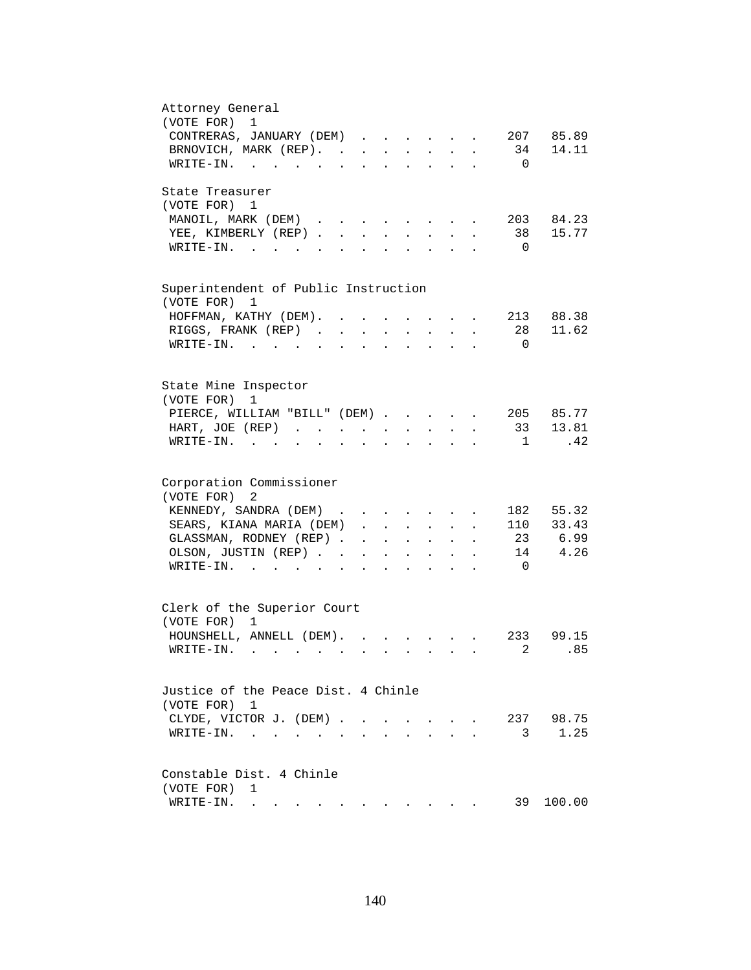| Attorney General                                                                                                                                                                                                                                                                                                                                                                                                                                          |
|-----------------------------------------------------------------------------------------------------------------------------------------------------------------------------------------------------------------------------------------------------------------------------------------------------------------------------------------------------------------------------------------------------------------------------------------------------------|
| (VOTE FOR) 1                                                                                                                                                                                                                                                                                                                                                                                                                                              |
| 207 85.89<br>CONTRERAS, JANUARY (DEM)                                                                                                                                                                                                                                                                                                                                                                                                                     |
| BRNOVICH, MARK (REP). 34 14.11                                                                                                                                                                                                                                                                                                                                                                                                                            |
| $\texttt{WRITE-IN.}\quad .\quad .\quad .\quad .\quad .\quad .$<br>$\overline{\phantom{0}}$                                                                                                                                                                                                                                                                                                                                                                |
|                                                                                                                                                                                                                                                                                                                                                                                                                                                           |
| State Treasurer                                                                                                                                                                                                                                                                                                                                                                                                                                           |
| (VOTE FOR) 1                                                                                                                                                                                                                                                                                                                                                                                                                                              |
| MANOIL, MARK (DEM)<br>203 84.23                                                                                                                                                                                                                                                                                                                                                                                                                           |
| 38 15.77<br>YEE, KIMBERLY (REP)<br>$\mathbf{r}$                                                                                                                                                                                                                                                                                                                                                                                                           |
| $W\text{RITE}-\text{IN}.$<br>$\overline{0}$<br><b>Contract Contract Contract Contract</b><br>$\sim$                                                                                                                                                                                                                                                                                                                                                       |
|                                                                                                                                                                                                                                                                                                                                                                                                                                                           |
|                                                                                                                                                                                                                                                                                                                                                                                                                                                           |
| Superintendent of Public Instruction                                                                                                                                                                                                                                                                                                                                                                                                                      |
| (VOTE FOR) 1                                                                                                                                                                                                                                                                                                                                                                                                                                              |
| 213 88.38<br>HOFFMAN, KATHY (DEM).                                                                                                                                                                                                                                                                                                                                                                                                                        |
| 28<br>11.62<br>RIGGS, FRANK (REP).<br>$\mathbf{L}$<br>$\mathbf{L}$<br>$\ddot{\phantom{a}}$<br>$\ddot{\phantom{a}}$                                                                                                                                                                                                                                                                                                                                        |
| $W\text{RITE-IN.}$<br>$\overline{0}$                                                                                                                                                                                                                                                                                                                                                                                                                      |
|                                                                                                                                                                                                                                                                                                                                                                                                                                                           |
|                                                                                                                                                                                                                                                                                                                                                                                                                                                           |
| State Mine Inspector                                                                                                                                                                                                                                                                                                                                                                                                                                      |
| (VOTE FOR)<br>1                                                                                                                                                                                                                                                                                                                                                                                                                                           |
|                                                                                                                                                                                                                                                                                                                                                                                                                                                           |
| 205 85.77<br>PIERCE, WILLIAM "BILL" (DEM)                                                                                                                                                                                                                                                                                                                                                                                                                 |
| 33 13.81<br>HART, JOE (REP)<br>$\mathbf{L} = \mathbf{L} \mathbf{L}$<br>$\mathbf{z} = \mathbf{z} + \mathbf{z}$ .<br>$\sim 100$<br>$\sim 100$<br>$\ddot{\phantom{0}}$                                                                                                                                                                                                                                                                                       |
| .42<br>WRITE-IN.<br>$\overline{1}$                                                                                                                                                                                                                                                                                                                                                                                                                        |
|                                                                                                                                                                                                                                                                                                                                                                                                                                                           |
|                                                                                                                                                                                                                                                                                                                                                                                                                                                           |
| Corporation Commissioner                                                                                                                                                                                                                                                                                                                                                                                                                                  |
| (VOTE FOR)<br>2                                                                                                                                                                                                                                                                                                                                                                                                                                           |
| KENNEDY, SANDRA (DEM)<br>182 55.32                                                                                                                                                                                                                                                                                                                                                                                                                        |
| 110 33.43<br>SEARS, KIANA MARIA (DEM).<br>$\mathbf{L} = \mathbf{L} \times \mathbf{L}$<br>$\mathbf{L}$<br>$\ddot{\phantom{0}}$                                                                                                                                                                                                                                                                                                                             |
| 23 6.99<br>GLASSMAN, RODNEY (REP)<br>$\Delta \phi = \Delta \phi$ and $\Delta \phi$<br>$\mathcal{L}^{\text{max}}$<br>$\bullet$ .<br><br><br><br><br><br><br><br><br><br><br><br><br>$\bullet$ .                                                                                                                                                                                                                                                            |
| 14 4.26<br>OLSON, JUSTIN (REP)<br>$\mathbf{L}^{\text{max}}$<br>$\mathbf{z} = \mathbf{z} + \mathbf{z}$ .<br>$\sim$ 100 $\pm$<br>$\bullet$                                                                                                                                                                                                                                                                                                                  |
| $\texttt{WRTTE-IN.}$<br>$\overline{0}$<br>$\sim$                                                                                                                                                                                                                                                                                                                                                                                                          |
|                                                                                                                                                                                                                                                                                                                                                                                                                                                           |
|                                                                                                                                                                                                                                                                                                                                                                                                                                                           |
| Clerk of the Superior Court                                                                                                                                                                                                                                                                                                                                                                                                                               |
| (VOTE FOR) 1                                                                                                                                                                                                                                                                                                                                                                                                                                              |
| HOUNSHELL, ANNELL (DEM). 233 99.15                                                                                                                                                                                                                                                                                                                                                                                                                        |
| 2.35<br>WRITE-IN.                                                                                                                                                                                                                                                                                                                                                                                                                                         |
|                                                                                                                                                                                                                                                                                                                                                                                                                                                           |
|                                                                                                                                                                                                                                                                                                                                                                                                                                                           |
| Justice of the Peace Dist. 4 Chinle                                                                                                                                                                                                                                                                                                                                                                                                                       |
| (VOTE FOR) 1                                                                                                                                                                                                                                                                                                                                                                                                                                              |
| 98.75<br>CLYDE, VICTOR J. (DEM).<br>237<br>$\sim$                                                                                                                                                                                                                                                                                                                                                                                                         |
| $\mathbf{3}$<br>1.25                                                                                                                                                                                                                                                                                                                                                                                                                                      |
| $\texttt{WRTTE-IN.}$                                                                                                                                                                                                                                                                                                                                                                                                                                      |
|                                                                                                                                                                                                                                                                                                                                                                                                                                                           |
| Constable Dist. 4 Chinle                                                                                                                                                                                                                                                                                                                                                                                                                                  |
|                                                                                                                                                                                                                                                                                                                                                                                                                                                           |
| (VOTE FOR)<br>1                                                                                                                                                                                                                                                                                                                                                                                                                                           |
| 39<br>100.00<br>WRITE-IN.<br>$\mathbf{a} = \mathbf{a} + \mathbf{a} + \mathbf{a} + \mathbf{a} + \mathbf{a} + \mathbf{a} + \mathbf{a} + \mathbf{a} + \mathbf{a} + \mathbf{a} + \mathbf{a} + \mathbf{a} + \mathbf{a} + \mathbf{a} + \mathbf{a} + \mathbf{a} + \mathbf{a} + \mathbf{a} + \mathbf{a} + \mathbf{a} + \mathbf{a} + \mathbf{a} + \mathbf{a} + \mathbf{a} + \mathbf{a} + \mathbf{a} + \mathbf{a} + \mathbf{a} + \mathbf{a} + \mathbf{a} + \mathbf$ |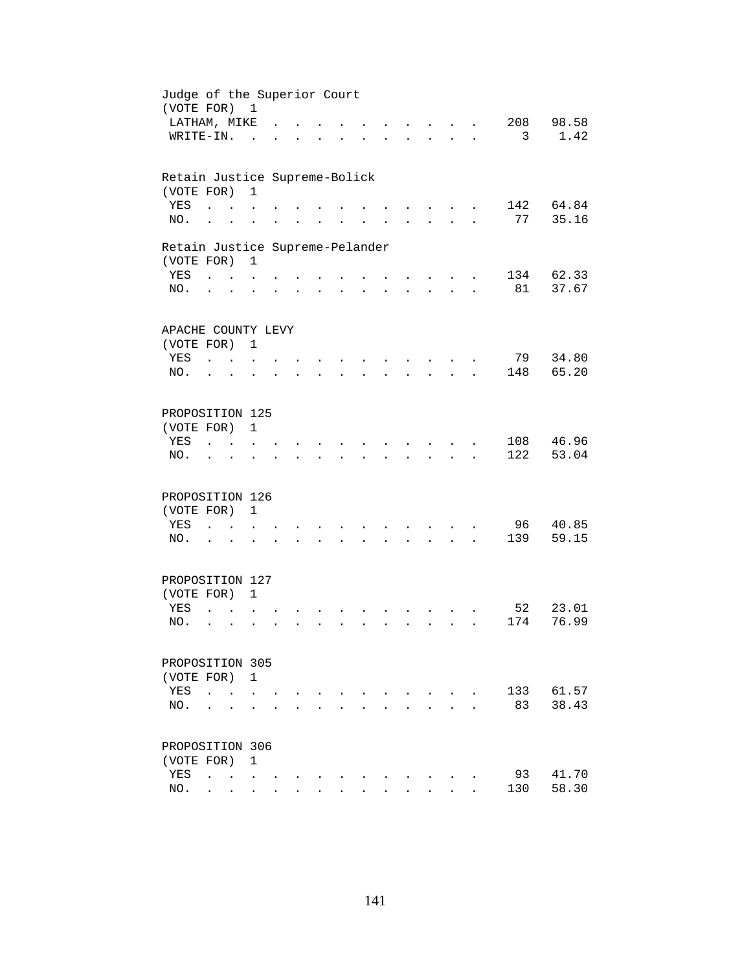| Judge of the Superior Court<br>(VOTE FOR) 1 |                             |                                            |                      |                      |                      |                      |                |                                  |                      |                                                     |                      |     |       |
|---------------------------------------------|-----------------------------|--------------------------------------------|----------------------|----------------------|----------------------|----------------------|----------------|----------------------------------|----------------------|-----------------------------------------------------|----------------------|-----|-------|
| LATHAM, MIKE                                |                             |                                            |                      |                      |                      |                      |                |                                  |                      |                                                     |                      | 208 | 98.58 |
| WRITE-IN.                                   |                             |                                            | $\sim$               |                      |                      |                      |                |                                  |                      | $\sim$ $\sim$                                       | $\mathbf{r}$         | 3   | 1.42  |
|                                             |                             |                                            |                      |                      |                      |                      |                |                                  |                      |                                                     |                      |     |       |
| Retain Justice Supreme-Bolick               |                             |                                            | $\mathbf{1}$         |                      |                      |                      |                |                                  |                      |                                                     |                      |     |       |
| (VOTE FOR)<br>YES                           | $\ddot{\phantom{a}}$        |                                            |                      |                      |                      |                      |                |                                  |                      |                                                     |                      | 142 | 64.84 |
| NO.                                         | $\ddot{\phantom{a}}$        |                                            |                      |                      |                      |                      |                |                                  |                      |                                                     |                      | 77  | 35.16 |
|                                             |                             |                                            |                      |                      |                      |                      |                |                                  |                      |                                                     |                      |     |       |
| Retain Justice Supreme-Pelander             |                             |                                            |                      |                      |                      |                      |                |                                  |                      |                                                     |                      |     |       |
| (VOTE FOR)                                  |                             |                                            | $\mathbf{1}$         |                      |                      |                      |                |                                  |                      |                                                     |                      |     |       |
| YES                                         | <b>Carl Carl Control</b>    |                                            |                      |                      |                      |                      |                |                                  |                      | $\sim$ $\sim$                                       |                      | 134 | 62.33 |
| NO.                                         | $\cdot$ $\cdot$             |                                            |                      |                      |                      | $\ddot{\phantom{a}}$ |                | $\bullet$ . The set of $\bullet$ | $\ddot{\phantom{a}}$ | $\mathbf{z} = \mathbf{z} + \mathbf{z}$ .            | $\ddot{\phantom{a}}$ | 81  | 37.67 |
|                                             |                             |                                            |                      |                      |                      |                      |                |                                  |                      |                                                     |                      |     |       |
| APACHE COUNTY LEVY                          |                             |                                            |                      |                      |                      |                      |                |                                  |                      |                                                     |                      |     |       |
| (VOTE FOR) 1                                |                             |                                            |                      |                      |                      |                      |                |                                  |                      |                                                     |                      |     |       |
| YES                                         | $\mathbf{r}$ , $\mathbf{r}$ |                                            |                      |                      |                      |                      |                |                                  |                      |                                                     |                      | 79  | 34.80 |
| NO.                                         | $\ddot{\phantom{a}}$        | $\sim$                                     |                      |                      |                      |                      |                |                                  |                      |                                                     |                      | 148 | 65.20 |
|                                             |                             |                                            |                      |                      |                      |                      |                |                                  |                      |                                                     |                      |     |       |
| PROPOSITION 125                             |                             |                                            |                      |                      |                      |                      |                |                                  |                      |                                                     |                      |     |       |
| (VOTE FOR)                                  |                             |                                            | $\mathbf{1}$         |                      |                      |                      |                |                                  |                      |                                                     |                      |     |       |
| YES                                         |                             |                                            |                      |                      |                      |                      |                |                                  |                      |                                                     |                      | 108 | 46.96 |
| NO.                                         |                             |                                            |                      |                      |                      |                      |                |                                  |                      |                                                     |                      | 122 | 53.04 |
| PROPOSITION 126                             |                             |                                            |                      |                      |                      |                      |                |                                  |                      |                                                     |                      |     |       |
| (VOTE FOR)                                  |                             |                                            | $\mathbf{1}$         |                      |                      |                      |                |                                  |                      |                                                     |                      |     |       |
| YES                                         | $\ddot{\phantom{a}}$        | <b>Contractor</b>                          | $\ddot{\phantom{a}}$ |                      |                      |                      |                |                                  |                      | $\sim$                                              |                      | 96  | 40.85 |
| NO.                                         | $\cdot$ $\cdot$             |                                            |                      |                      | $\ddot{\phantom{a}}$ |                      | $\overline{a}$ |                                  | $\ddot{\phantom{a}}$ | $\mathbf{z} = \mathbf{z} + \mathbf{z} + \mathbf{z}$ |                      | 139 | 59.15 |
|                                             |                             |                                            |                      |                      |                      |                      |                |                                  |                      |                                                     |                      |     |       |
| PROPOSITION 127                             |                             |                                            |                      |                      |                      |                      |                |                                  |                      |                                                     |                      |     |       |
| (VOTE FOR) 1                                |                             |                                            |                      |                      |                      |                      |                |                                  |                      |                                                     |                      |     |       |
| YES                                         | $\ddot{\phantom{a}}$        |                                            |                      |                      |                      |                      |                |                                  |                      |                                                     |                      | 52  | 23.01 |
| NO.                                         | $\ddot{\phantom{0}}$        | $\ddot{\phantom{a}}$                       |                      |                      |                      |                      |                |                                  |                      | $\mathbf{L}$                                        |                      | 174 | 76.99 |
|                                             |                             |                                            |                      |                      |                      |                      |                |                                  |                      |                                                     |                      |     |       |
| PROPOSITION 305                             |                             |                                            |                      |                      |                      |                      |                |                                  |                      |                                                     |                      |     |       |
| (VOTE FOR) 1                                |                             |                                            |                      |                      |                      |                      |                |                                  |                      |                                                     |                      |     |       |
| YES                                         | $\ddot{\phantom{a}}$        |                                            |                      |                      |                      |                      |                |                                  |                      |                                                     |                      | 133 | 61.57 |
| NO.                                         |                             |                                            |                      |                      |                      |                      |                |                                  |                      |                                                     |                      | 83  | 38.43 |
| PROPOSITION 306                             |                             |                                            |                      |                      |                      |                      |                |                                  |                      |                                                     |                      |     |       |
| (VOTE FOR)                                  |                             |                                            | 1                    |                      |                      |                      |                |                                  |                      |                                                     |                      |     |       |
| YES                                         | $\ddot{\phantom{a}}$        | $\mathbf{r}$ , $\mathbf{r}$ , $\mathbf{r}$ |                      |                      |                      |                      |                |                                  |                      |                                                     |                      | 93  | 41.70 |
| NO.                                         |                             | $\mathbf{r} = \mathbf{r}$                  | $\sim$               | $\ddot{\phantom{a}}$ | $\overline{a}$       |                      |                |                                  |                      |                                                     |                      | 130 | 58.30 |
|                                             |                             |                                            |                      |                      |                      |                      |                |                                  |                      |                                                     |                      |     |       |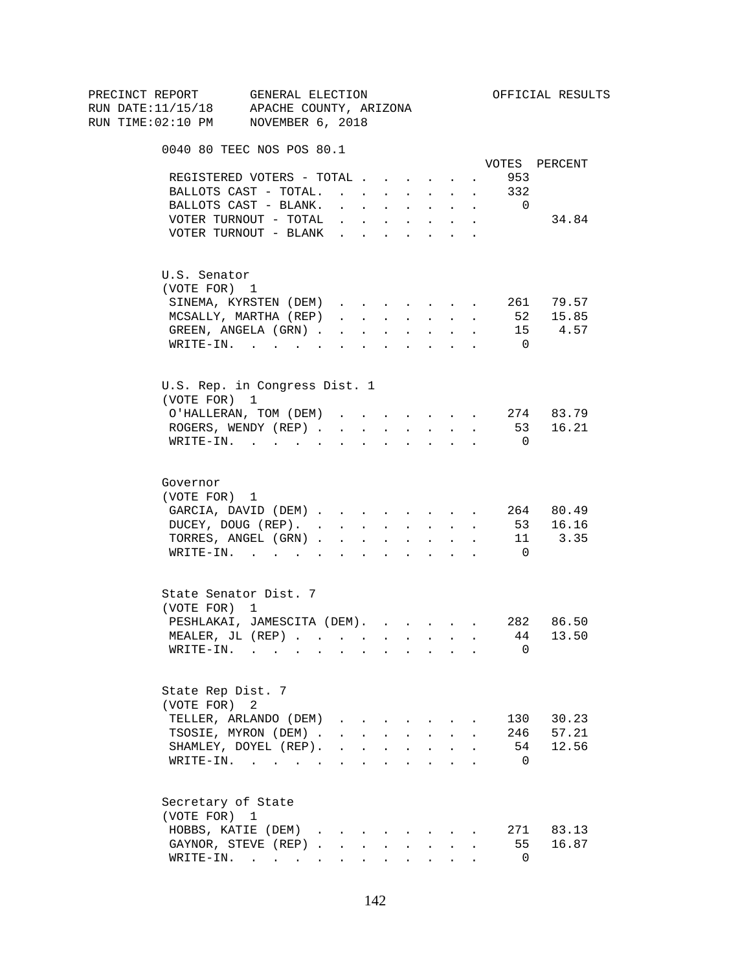| PRECINCT REPORT                          | GENERAL ELECTION                      |                                                                          |                        |        |                                                                  |                                                                          |                      |                | OFFICIAL RESULTS      |
|------------------------------------------|---------------------------------------|--------------------------------------------------------------------------|------------------------|--------|------------------------------------------------------------------|--------------------------------------------------------------------------|----------------------|----------------|-----------------------|
| RUN DATE:11/15/18 APACHE COUNTY, ARIZONA |                                       |                                                                          |                        |        |                                                                  |                                                                          |                      |                |                       |
| RUN TIME:02:10 PM NOVEMBER 6, 2018       |                                       |                                                                          |                        |        |                                                                  |                                                                          |                      |                |                       |
|                                          | 0040 80 TEEC NOS POS 80.1             |                                                                          |                        |        |                                                                  |                                                                          |                      |                |                       |
|                                          |                                       |                                                                          |                        |        |                                                                  |                                                                          |                      |                | VOTES PERCENT         |
|                                          | REGISTERED VOTERS - TOTAL             |                                                                          |                        |        |                                                                  |                                                                          | $\sim$               | 953            |                       |
|                                          | BALLOTS CAST - TOTAL.                 |                                                                          |                        |        |                                                                  |                                                                          |                      | 332            |                       |
|                                          | BALLOTS CAST - BLANK.                 | $\mathbf{r} = \mathbf{r} \cdot \mathbf{r}$                               |                        |        | <b>All Cards</b>                                                 | $\sim$                                                                   | $\sim$               | $\overline{0}$ |                       |
|                                          | VOTER TURNOUT - TOTAL                 |                                                                          |                        |        |                                                                  | $\mathbf{r}$ , $\mathbf{r}$ , $\mathbf{r}$ , $\mathbf{r}$ , $\mathbf{r}$ | $\ddot{\phantom{a}}$ |                | 34.84                 |
|                                          | VOTER TURNOUT - BLANK                 |                                                                          |                        |        |                                                                  |                                                                          |                      |                |                       |
| U.S. Senator                             |                                       |                                                                          |                        |        |                                                                  |                                                                          |                      |                |                       |
| (VOTE FOR) 1                             |                                       |                                                                          |                        |        |                                                                  |                                                                          |                      |                |                       |
|                                          | SINEMA, KYRSTEN (DEM)                 |                                                                          |                        |        |                                                                  |                                                                          |                      |                |                       |
|                                          | MCSALLY, MARTHA (REP)                 | $\mathbf{r}$ , $\mathbf{r}$ , $\mathbf{r}$                               |                        |        |                                                                  | <b>All Carried Control</b>                                               | $\ddot{\phantom{a}}$ |                | 261 79.57<br>52 15.85 |
|                                          | GREEN, ANGELA (GRN).                  |                                                                          | <b>Carl Carl Corp.</b> | $\sim$ | $\sim$ $-$                                                       | $\ddot{\phantom{0}}$                                                     |                      |                | 15 4.57               |
|                                          | WRITE-IN.                             |                                                                          |                        |        |                                                                  |                                                                          |                      | $\overline{0}$ |                       |
|                                          | U.S. Rep. in Congress Dist. 1         |                                                                          |                        |        |                                                                  |                                                                          |                      |                |                       |
| (VOTE FOR) 1                             |                                       |                                                                          |                        |        |                                                                  |                                                                          |                      |                |                       |
|                                          | O'HALLERAN, TOM (DEM) 274 83.79       |                                                                          |                        |        |                                                                  |                                                                          |                      |                |                       |
|                                          | ROGERS, WENDY (REP)                   |                                                                          |                        |        |                                                                  | and a strategic state                                                    |                      |                | 53 16.21              |
|                                          | $\texttt{WRTTE-IN.}$                  |                                                                          | $\sim$                 |        |                                                                  |                                                                          |                      | $\overline{0}$ |                       |
|                                          |                                       |                                                                          |                        |        |                                                                  |                                                                          |                      |                |                       |
| Governor                                 |                                       |                                                                          |                        |        |                                                                  |                                                                          |                      |                |                       |
| (VOTE FOR) 1                             |                                       |                                                                          |                        |        |                                                                  |                                                                          |                      |                |                       |
|                                          | GARCIA, DAVID (DEM)                   |                                                                          |                        |        |                                                                  |                                                                          |                      |                | 264 80.49             |
|                                          | DUCEY, DOUG (REP).                    |                                                                          |                        |        |                                                                  |                                                                          |                      |                | 53 16.16              |
|                                          | TORRES, ANGEL (GRN)                   |                                                                          |                        |        |                                                                  |                                                                          |                      |                | 11 3.35               |
|                                          | WRITE-IN.                             |                                                                          |                        |        |                                                                  |                                                                          |                      | $\overline{0}$ |                       |
|                                          | State Senator Dist. 7                 |                                                                          |                        |        |                                                                  |                                                                          |                      |                |                       |
| (VOTE FOR) 1                             |                                       |                                                                          |                        |        |                                                                  |                                                                          |                      |                |                       |
|                                          | PESHLAKAI, JAMESCITA (DEM). 282 86.50 |                                                                          |                        |        |                                                                  |                                                                          |                      |                |                       |
|                                          | MEALER, JL (REP)                      |                                                                          |                        |        |                                                                  |                                                                          |                      | 44             | 13.50                 |
|                                          | $\texttt{WRITE-IN.}$                  |                                                                          |                        |        |                                                                  |                                                                          |                      | 0              |                       |
| State Rep Dist. 7                        |                                       |                                                                          |                        |        |                                                                  |                                                                          |                      |                |                       |
| (VOTE FOR)                               | 2                                     |                                                                          |                        |        |                                                                  |                                                                          |                      |                |                       |
|                                          | TELLER, ARLANDO (DEM)                 |                                                                          |                        |        |                                                                  |                                                                          |                      | 130            | 30.23                 |
|                                          | TSOSIE, MYRON (DEM).                  |                                                                          |                        |        | $\mathbf{r} = \mathbf{r} + \mathbf{r} + \mathbf{r} + \mathbf{r}$ |                                                                          |                      |                | 246 57.21             |
|                                          | SHAMLEY, DOYEL (REP).                 | $\mathbf{r}$ , $\mathbf{r}$ , $\mathbf{r}$ , $\mathbf{r}$ , $\mathbf{r}$ |                        |        |                                                                  | $\ddot{\phantom{a}}$                                                     |                      | 54             | 12.56                 |
|                                          | WRITE-IN.                             |                                                                          |                        |        |                                                                  |                                                                          |                      | $\overline{0}$ |                       |
| Secretary of State                       |                                       |                                                                          |                        |        |                                                                  |                                                                          |                      |                |                       |
| (VOTE FOR) 1                             |                                       |                                                                          |                        |        |                                                                  |                                                                          |                      |                |                       |
|                                          | HOBBS, KATIE (DEM)                    |                                                                          |                        |        |                                                                  |                                                                          |                      |                | 271 83.13             |
|                                          | GAYNOR, STEVE (REP)                   |                                                                          | $\mathbf{L}$           | $\sim$ | $\sim$                                                           |                                                                          |                      | 55             | 16.87                 |
|                                          | $\texttt{WRTTE-IN.}$                  |                                                                          |                        |        |                                                                  |                                                                          |                      | $\overline{0}$ |                       |
|                                          |                                       |                                                                          |                        |        |                                                                  |                                                                          |                      |                |                       |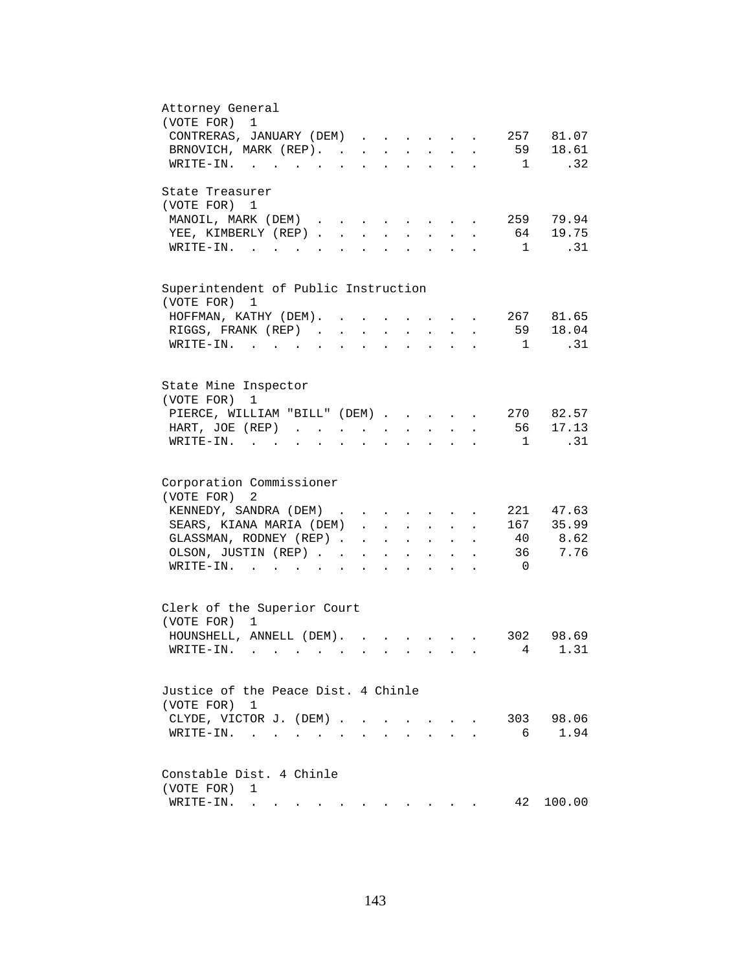| Attorney General                                                                                                                                                                       |
|----------------------------------------------------------------------------------------------------------------------------------------------------------------------------------------|
| (VOTE FOR)<br>$\mathbf{1}$                                                                                                                                                             |
| CONTRERAS, JANUARY (DEM)<br>257 81.07                                                                                                                                                  |
| BRNOVICH, MARK (REP). 59 18.61                                                                                                                                                         |
| .32 <sub>1</sub><br>WRITE-IN.<br>$\sim$ 1                                                                                                                                              |
| State Treasurer                                                                                                                                                                        |
| (VOTE FOR) 1                                                                                                                                                                           |
| 259 79.94<br>MANOIL, MARK (DEM)<br>and the contract of the contract of                                                                                                                 |
| 64 19.75<br>YEE, KIMBERLY (REP)<br>$\mathbf{L}$<br>$\sim$<br>$\sim$<br>$\sim$                                                                                                          |
| $\mathbf{1}$<br>.31<br>$W\text{RITE}-\text{IN}.$ $\qquad \qquad \ldots$<br>$\mathbf{L} = \mathbf{L}$                                                                                   |
|                                                                                                                                                                                        |
| Superintendent of Public Instruction                                                                                                                                                   |
| (VOTE FOR) 1                                                                                                                                                                           |
| 267 81.65<br>HOFFMAN, KATHY (DEM).                                                                                                                                                     |
| 59 18.04<br>RIGGS, FRANK (REP).<br>$\ddot{\phantom{a}}$                                                                                                                                |
| .31<br>WRITE-IN.<br>$\mathbf{1}$<br>$\sim$ $\sim$ $\sim$<br>$\ddot{\phantom{a}}$                                                                                                       |
|                                                                                                                                                                                        |
| State Mine Inspector<br>(VOTE FOR)<br>1                                                                                                                                                |
|                                                                                                                                                                                        |
| 270 82.57<br>PIERCE, WILLIAM "BILL" (DEM)                                                                                                                                              |
| 56 17.13<br>HART, JOE (REP)<br>$\mathbf{r} = \mathbf{r} + \mathbf{r}$ .<br>$\mathbf{r} = \mathbf{r} \cdot \mathbf{r}$ .<br>$\mathcal{L}^{\text{max}}$<br>$\bullet$ .                   |
| .31<br>$WRITE-IN.$<br>$\overline{\phantom{a}}$<br>$\mathbf{r} = \mathbf{r} + \mathbf{r} + \mathbf{r}$<br>$\mathbf{z} = \mathbf{z} + \mathbf{z}$ .<br>$\bullet$<br>$\ddot{\phantom{a}}$ |
| Corporation Commissioner                                                                                                                                                               |
|                                                                                                                                                                                        |
| (VOTE FOR)<br>2                                                                                                                                                                        |
| KENNEDY, SANDRA (DEM)<br>221 47.63                                                                                                                                                     |
| SEARS, KIANA MARIA (DEM)<br>167 35.99<br>$\cdot$ $\cdot$                                                                                                                               |
| 40 8.62<br>GLASSMAN, RODNEY (REP)<br>$\mathbf{r} = \mathbf{r} + \mathbf{r} + \mathbf{r} + \mathbf{r} + \mathbf{r}$                                                                     |
| 7.76<br>36<br>OLSON, JUSTIN (REP)<br>$\mathbf{z} = \mathbf{z} + \mathbf{z}$ .<br>$\bullet$ .<br><br><br><br><br><br><br><br><br><br><br><br><br>$\mathbf{z} = \mathbf{z} + \mathbf{z}$ |
| $\texttt{WRTTE-IN.}$<br>$\overline{0}$<br>$\mathbf{L}$ and $\mathbf{L}$<br>$\ddot{\phantom{a}}$                                                                                        |
|                                                                                                                                                                                        |
| Clerk of the Superior Court<br>(VOTE FOR) 1                                                                                                                                            |
|                                                                                                                                                                                        |
| HOUNSHELL, ANNELL (DEM).<br>302 98.69                                                                                                                                                  |
| 4 1.31<br>WRITE-IN.                                                                                                                                                                    |
| Justice of the Peace Dist. 4 Chinle                                                                                                                                                    |
|                                                                                                                                                                                        |
| (VOTE FOR) 1                                                                                                                                                                           |
| 303 98.06<br>CLYDE, VICTOR J. (DEM).<br>$\sim$<br>$\sim$<br>$\sim$                                                                                                                     |
| 1.94<br>6<br>$\texttt{WRITE-IN.}\quad .\quad .\quad .\quad .$                                                                                                                          |
|                                                                                                                                                                                        |
| Constable Dist. 4 Chinle                                                                                                                                                               |
| (VOTE FOR)<br>1                                                                                                                                                                        |
| 42<br>100.00<br>WRITE-IN.<br>. The contribution of the contribution of the contribution of $\mathcal{A}$                                                                               |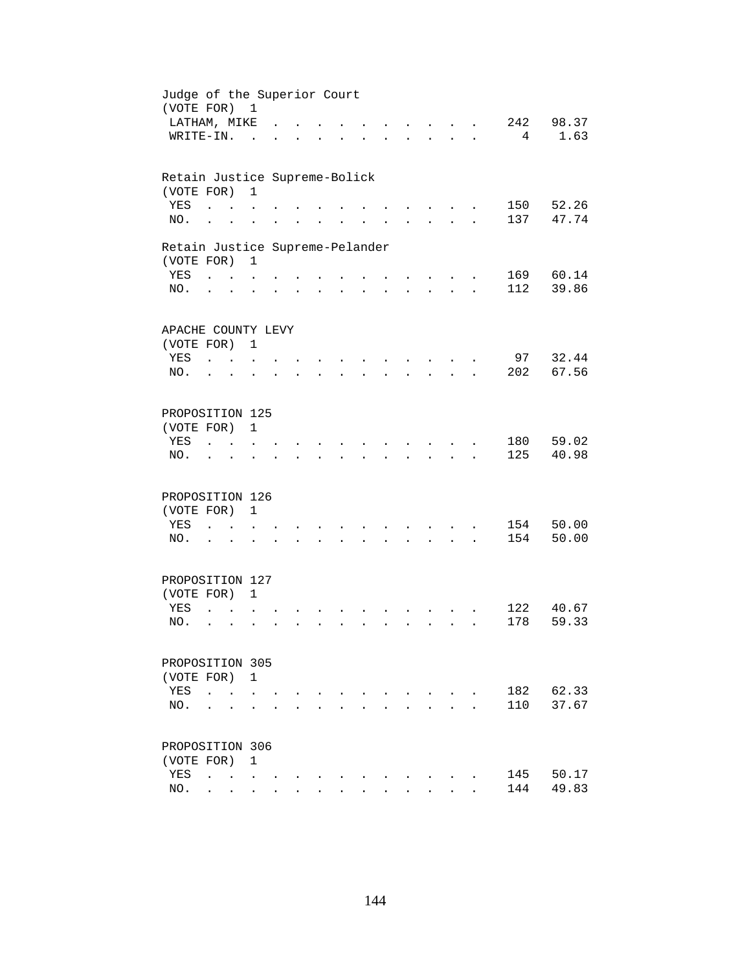| Judge of the Superior Court<br>(VOTE FOR) 1 |                                 |                                      |                      |  |                      |                      |                      |                      |                                          |                      |                |       |
|---------------------------------------------|---------------------------------|--------------------------------------|----------------------|--|----------------------|----------------------|----------------------|----------------------|------------------------------------------|----------------------|----------------|-------|
| LATHAM, MIKE                                |                                 |                                      |                      |  |                      |                      |                      |                      |                                          |                      | 242            | 98.37 |
| WRITE-IN.                                   |                                 |                                      | $\sim$               |  |                      |                      |                      |                      |                                          |                      | $\overline{4}$ | 1.63  |
| Retain Justice Supreme-Bolick               |                                 |                                      |                      |  |                      |                      |                      |                      |                                          |                      |                |       |
| (VOTE FOR)                                  |                                 |                                      | $\mathbf{1}$         |  |                      |                      |                      |                      |                                          |                      |                |       |
| YES                                         |                                 |                                      |                      |  |                      |                      |                      |                      |                                          |                      | 150            | 52.26 |
| NO.                                         | $\ddot{\phantom{a}}$            |                                      |                      |  |                      |                      |                      |                      |                                          |                      | 137            | 47.74 |
| Retain Justice Supreme-Pelander             |                                 |                                      |                      |  |                      |                      |                      |                      |                                          |                      |                |       |
| (VOTE FOR)                                  |                                 |                                      | 1                    |  |                      |                      |                      |                      |                                          |                      |                |       |
| YES                                         |                                 | $\mathbf{L} = \mathbf{L} \mathbf{L}$ |                      |  |                      |                      |                      |                      |                                          |                      | 169            | 60.14 |
| NO.                                         | $\cdot$ $\cdot$                 |                                      | $\ddot{\phantom{0}}$ |  | $\ddot{\phantom{a}}$ | $\ddot{\phantom{a}}$ | $\ddot{\phantom{a}}$ |                      | $\mathbf{z} = \mathbf{z} + \mathbf{z}$ . | $\ddot{\phantom{a}}$ | 112            | 39.86 |
|                                             |                                 |                                      |                      |  |                      |                      |                      |                      |                                          |                      |                |       |
| APACHE COUNTY LEVY                          |                                 |                                      |                      |  |                      |                      |                      |                      |                                          |                      |                |       |
| (VOTE FOR) 1                                |                                 |                                      |                      |  |                      |                      |                      |                      |                                          |                      |                |       |
| YES                                         | $\mathcal{L}$ and $\mathcal{L}$ |                                      |                      |  |                      |                      |                      |                      | $\sim$                                   |                      | 97             | 32.44 |
| NO.                                         |                                 |                                      |                      |  |                      |                      |                      |                      | in 19                                    |                      | 202            | 67.56 |
| PROPOSITION 125                             |                                 |                                      |                      |  |                      |                      |                      |                      |                                          |                      |                |       |
| (VOTE FOR)                                  |                                 |                                      | $\mathbf{1}$         |  |                      |                      |                      |                      |                                          |                      |                |       |
| YES                                         |                                 | $\mathbf{r}$                         |                      |  |                      |                      |                      |                      |                                          |                      | 180            | 59.02 |
| NO.                                         |                                 |                                      |                      |  |                      |                      |                      |                      |                                          |                      | 125            | 40.98 |
|                                             |                                 |                                      |                      |  |                      |                      |                      |                      |                                          |                      |                |       |
| PROPOSITION 126                             |                                 |                                      |                      |  |                      |                      |                      |                      |                                          |                      |                |       |
| (VOTE FOR)                                  |                                 |                                      | $\mathbf{1}$         |  |                      |                      |                      |                      |                                          |                      |                |       |
| YES                                         | $\ddot{\phantom{a}}$            | $\sim$ $\sim$                        |                      |  |                      |                      |                      |                      |                                          |                      | 154            | 50.00 |
| NO.                                         | $\cdot$ $\cdot$                 |                                      | $\ddot{\phantom{a}}$ |  |                      |                      |                      |                      | $\cdot$ $\cdot$ $\cdot$                  |                      | 154            | 50.00 |
| PROPOSITION 127                             |                                 |                                      |                      |  |                      |                      |                      |                      |                                          |                      |                |       |
| (VOTE FOR) 1                                |                                 |                                      |                      |  |                      |                      |                      |                      |                                          |                      |                |       |
| YES                                         | $\overline{a}$                  |                                      |                      |  |                      |                      |                      |                      |                                          |                      | 122            | 40.67 |
| NO.                                         | $\ddot{\phantom{a}}$            | $\ddot{\phantom{a}}$                 |                      |  |                      | ÷.                   |                      | $\ddot{\phantom{a}}$ | $\sim$ $\sim$                            |                      | 178            | 59.33 |
|                                             |                                 |                                      |                      |  |                      |                      |                      |                      |                                          |                      |                |       |
| PROPOSITION 305                             |                                 |                                      |                      |  |                      |                      |                      |                      |                                          |                      |                |       |
| (VOTE FOR)                                  |                                 |                                      | 1                    |  |                      |                      |                      |                      |                                          |                      |                |       |
| YES                                         | $\ddot{\phantom{a}}$            | $\ddot{\phantom{a}}$                 |                      |  |                      |                      |                      |                      |                                          |                      | 182            | 62.33 |
| NO.                                         |                                 |                                      |                      |  |                      |                      |                      |                      |                                          |                      | 110            | 37.67 |
|                                             |                                 |                                      |                      |  |                      |                      |                      |                      |                                          |                      |                |       |
| PROPOSITION 306                             |                                 |                                      |                      |  |                      |                      |                      |                      |                                          |                      |                |       |
| (VOTE FOR)                                  |                                 |                                      | $\mathbf{1}$         |  |                      |                      |                      |                      |                                          |                      |                |       |
| YES                                         | $\ddot{\phantom{a}}$            | <b>Contract Contract Contract</b>    |                      |  |                      |                      |                      |                      |                                          |                      | 145            | 50.17 |
| NO.                                         |                                 | $\cdot$ $\cdot$ $\cdot$              | $\ddot{\phantom{0}}$ |  |                      |                      |                      |                      |                                          |                      | 144            | 49.83 |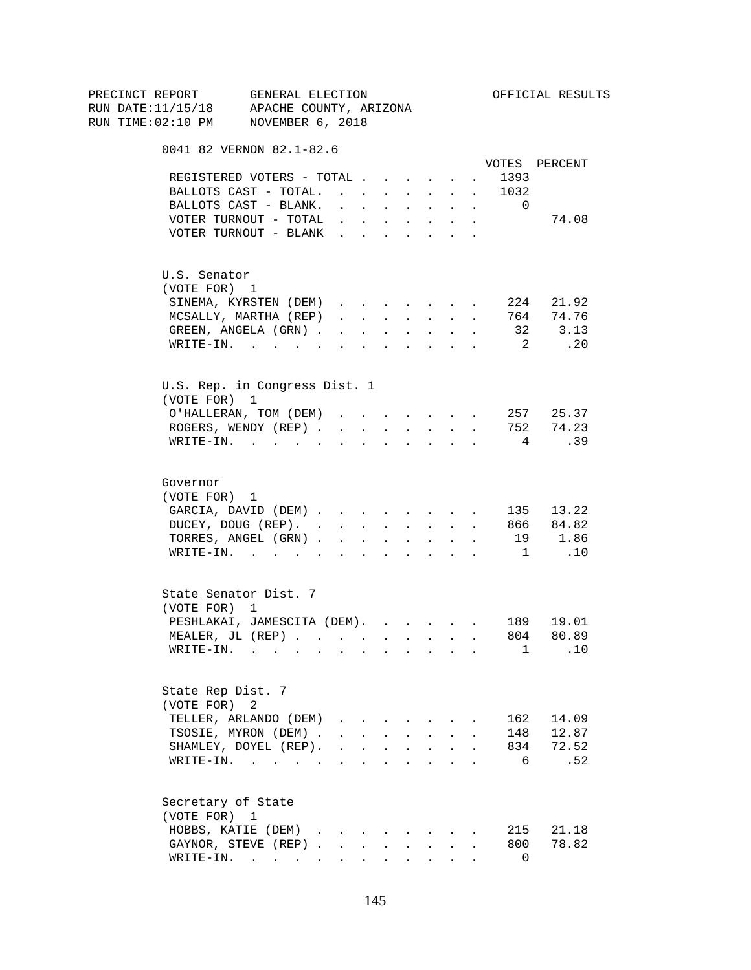| PRECINCT REPORT                          | GENERAL ELECTION                                                                                                |                                                                                                                                                                                                                                                                                                                                                                                                                                                            |        |                          |                      |                                                                          |                  |                                       | OFFICIAL RESULTS  |
|------------------------------------------|-----------------------------------------------------------------------------------------------------------------|------------------------------------------------------------------------------------------------------------------------------------------------------------------------------------------------------------------------------------------------------------------------------------------------------------------------------------------------------------------------------------------------------------------------------------------------------------|--------|--------------------------|----------------------|--------------------------------------------------------------------------|------------------|---------------------------------------|-------------------|
| RUN DATE:11/15/18 APACHE COUNTY, ARIZONA |                                                                                                                 |                                                                                                                                                                                                                                                                                                                                                                                                                                                            |        |                          |                      |                                                                          |                  |                                       |                   |
| RUN TIME:02:10 PM NOVEMBER 6, 2018       |                                                                                                                 |                                                                                                                                                                                                                                                                                                                                                                                                                                                            |        |                          |                      |                                                                          |                  |                                       |                   |
|                                          | 0041 82 VERNON 82.1-82.6                                                                                        |                                                                                                                                                                                                                                                                                                                                                                                                                                                            |        |                          |                      |                                                                          |                  |                                       |                   |
|                                          |                                                                                                                 |                                                                                                                                                                                                                                                                                                                                                                                                                                                            |        |                          |                      |                                                                          |                  |                                       | VOTES PERCENT     |
|                                          | REGISTERED VOTERS - TOTAL                                                                                       |                                                                                                                                                                                                                                                                                                                                                                                                                                                            |        |                          |                      |                                                                          |                  | 1393<br>$\mathbf{A}$ and $\mathbf{A}$ |                   |
|                                          | BALLOTS CAST - TOTAL. 1032                                                                                      |                                                                                                                                                                                                                                                                                                                                                                                                                                                            |        |                          |                      |                                                                          |                  |                                       |                   |
|                                          | BALLOTS CAST - BLANK.                                                                                           | $\mathbf{r} = \mathbf{r} + \mathbf{r} + \mathbf{r} + \mathbf{r} + \mathbf{r} + \mathbf{r} + \mathbf{r} + \mathbf{r}$                                                                                                                                                                                                                                                                                                                                       |        |                          |                      |                                                                          |                  | $\Omega$                              |                   |
|                                          | VOTER TURNOUT - TOTAL                                                                                           |                                                                                                                                                                                                                                                                                                                                                                                                                                                            |        |                          |                      |                                                                          | $\sim$ 100 $\pm$ |                                       | 74.08             |
|                                          | VOTER TURNOUT - BLANK                                                                                           |                                                                                                                                                                                                                                                                                                                                                                                                                                                            |        |                          |                      |                                                                          |                  |                                       |                   |
| U.S. Senator                             |                                                                                                                 |                                                                                                                                                                                                                                                                                                                                                                                                                                                            |        |                          |                      |                                                                          |                  |                                       |                   |
| (VOTE FOR) 1                             |                                                                                                                 |                                                                                                                                                                                                                                                                                                                                                                                                                                                            |        |                          |                      |                                                                          |                  |                                       |                   |
|                                          | SINEMA, KYRSTEN (DEM)                                                                                           |                                                                                                                                                                                                                                                                                                                                                                                                                                                            |        |                          |                      |                                                                          |                  |                                       | 224 21.92         |
|                                          | MCSALLY, MARTHA (REP)                                                                                           | $\mathbf{1} \qquad \mathbf{1} \qquad \mathbf{1} \qquad \mathbf{1} \qquad \mathbf{1} \qquad \mathbf{1} \qquad \mathbf{1} \qquad \mathbf{1} \qquad \mathbf{1} \qquad \mathbf{1} \qquad \mathbf{1} \qquad \mathbf{1} \qquad \mathbf{1} \qquad \mathbf{1} \qquad \mathbf{1} \qquad \mathbf{1} \qquad \mathbf{1} \qquad \mathbf{1} \qquad \mathbf{1} \qquad \mathbf{1} \qquad \mathbf{1} \qquad \mathbf{1} \qquad \mathbf{1} \qquad \mathbf{1} \qquad \mathbf{$ |        |                          |                      |                                                                          |                  |                                       | 764 74.76         |
|                                          | GREEN, ANGELA (GRN)                                                                                             |                                                                                                                                                                                                                                                                                                                                                                                                                                                            |        |                          |                      |                                                                          |                  | 32                                    | 3.13              |
|                                          | $\texttt{WRTTE-IN.}$                                                                                            | <b>All Carl Adams</b>                                                                                                                                                                                                                                                                                                                                                                                                                                      |        |                          |                      | $\mathbf{r} = \mathbf{r} + \mathbf{r}$ , where $\mathbf{r} = \mathbf{r}$ |                  | $\overline{2}$                        | $\overline{20}$   |
|                                          | U.S. Rep. in Congress Dist. 1                                                                                   |                                                                                                                                                                                                                                                                                                                                                                                                                                                            |        |                          |                      |                                                                          |                  |                                       |                   |
| (VOTE FOR) 1                             |                                                                                                                 |                                                                                                                                                                                                                                                                                                                                                                                                                                                            |        |                          |                      |                                                                          |                  |                                       |                   |
|                                          | O'HALLERAN, TOM (DEM)                                                                                           |                                                                                                                                                                                                                                                                                                                                                                                                                                                            |        |                          |                      |                                                                          |                  |                                       | 257 25.37         |
|                                          | ROGERS, WENDY (REP)                                                                                             |                                                                                                                                                                                                                                                                                                                                                                                                                                                            |        |                          |                      |                                                                          |                  |                                       | $\cdot$ 752 74.23 |
|                                          | WRITE-IN.                                                                                                       |                                                                                                                                                                                                                                                                                                                                                                                                                                                            |        |                          |                      |                                                                          |                  | 4                                     | .39               |
| Governor<br>(VOTE FOR) 1                 |                                                                                                                 |                                                                                                                                                                                                                                                                                                                                                                                                                                                            |        |                          |                      |                                                                          |                  |                                       |                   |
|                                          | GARCIA, DAVID (DEM)                                                                                             |                                                                                                                                                                                                                                                                                                                                                                                                                                                            |        |                          |                      |                                                                          |                  |                                       | 135 13.22         |
|                                          | DUCEY, DOUG (REP). 866 84.82                                                                                    |                                                                                                                                                                                                                                                                                                                                                                                                                                                            |        |                          |                      |                                                                          |                  |                                       |                   |
|                                          |                                                                                                                 |                                                                                                                                                                                                                                                                                                                                                                                                                                                            |        |                          |                      |                                                                          |                  |                                       |                   |
|                                          | TORRES, ANGEL (GRN) 19 1.86                                                                                     |                                                                                                                                                                                                                                                                                                                                                                                                                                                            |        |                          |                      |                                                                          |                  |                                       | $1 \qquad .10$    |
|                                          | WRITE-IN.                                                                                                       |                                                                                                                                                                                                                                                                                                                                                                                                                                                            |        |                          |                      |                                                                          |                  |                                       |                   |
|                                          | State Senator Dist. 7                                                                                           |                                                                                                                                                                                                                                                                                                                                                                                                                                                            |        |                          |                      |                                                                          |                  |                                       |                   |
| (VOTE FOR) 1                             |                                                                                                                 |                                                                                                                                                                                                                                                                                                                                                                                                                                                            |        |                          |                      |                                                                          |                  |                                       |                   |
|                                          | PESHLAKAI, JAMESCITA (DEM).                                                                                     |                                                                                                                                                                                                                                                                                                                                                                                                                                                            |        |                          |                      |                                                                          |                  |                                       | 189 19.01         |
|                                          | MEALER, JL (REP)                                                                                                |                                                                                                                                                                                                                                                                                                                                                                                                                                                            |        |                          |                      |                                                                          |                  |                                       | 804 80.89         |
| WRITE-IN.                                | the contract of the contract of the contract of the contract of the contract of the contract of the contract of |                                                                                                                                                                                                                                                                                                                                                                                                                                                            |        |                          |                      |                                                                          |                  | 1                                     | .10               |
| State Rep Dist. 7                        |                                                                                                                 |                                                                                                                                                                                                                                                                                                                                                                                                                                                            |        |                          |                      |                                                                          |                  |                                       |                   |
| (VOTE FOR) 2                             |                                                                                                                 |                                                                                                                                                                                                                                                                                                                                                                                                                                                            |        |                          |                      |                                                                          |                  |                                       |                   |
|                                          | TELLER, ARLANDO (DEM)                                                                                           | $\mathbf{r} = \mathbf{r} \cdot \mathbf{r}$                                                                                                                                                                                                                                                                                                                                                                                                                 |        |                          |                      |                                                                          |                  | 162                                   | 14.09             |
|                                          | TSOSIE, MYRON (DEM).                                                                                            | $1 - 1 - 1 = 1$                                                                                                                                                                                                                                                                                                                                                                                                                                            |        |                          | $\mathbf{L}$         | $\sim$                                                                   | $\mathbf{A}$     | 148                                   | 12.87             |
|                                          | SHAMLEY, DOYEL (REP).                                                                                           | $\mathbf{r}$ , $\mathbf{r}$ , $\mathbf{r}$ , $\mathbf{r}$                                                                                                                                                                                                                                                                                                                                                                                                  |        |                          |                      |                                                                          |                  | 834                                   | 72.52             |
|                                          | WRITE-IN.                                                                                                       |                                                                                                                                                                                                                                                                                                                                                                                                                                                            |        | <b>Contract Contract</b> | $\ddot{\phantom{a}}$ | <b>Contract Contract Contract</b>                                        |                  | 6                                     | .52               |
| Secretary of State                       |                                                                                                                 |                                                                                                                                                                                                                                                                                                                                                                                                                                                            |        |                          |                      |                                                                          |                  |                                       |                   |
| (VOTE FOR) 1                             |                                                                                                                 |                                                                                                                                                                                                                                                                                                                                                                                                                                                            |        |                          |                      |                                                                          |                  |                                       |                   |
|                                          | HOBBS, KATIE (DEM)                                                                                              |                                                                                                                                                                                                                                                                                                                                                                                                                                                            |        |                          |                      |                                                                          |                  | 215                                   | 21.18             |
|                                          | GAYNOR, STEVE (REP).                                                                                            |                                                                                                                                                                                                                                                                                                                                                                                                                                                            | $\sim$ | $\mathbf{L}$             | $\sim$               | $\mathbf{A}$                                                             |                  | 800                                   | 78.82             |
|                                          | WRITE-IN.                                                                                                       |                                                                                                                                                                                                                                                                                                                                                                                                                                                            |        |                          |                      |                                                                          |                  | $\Omega$                              |                   |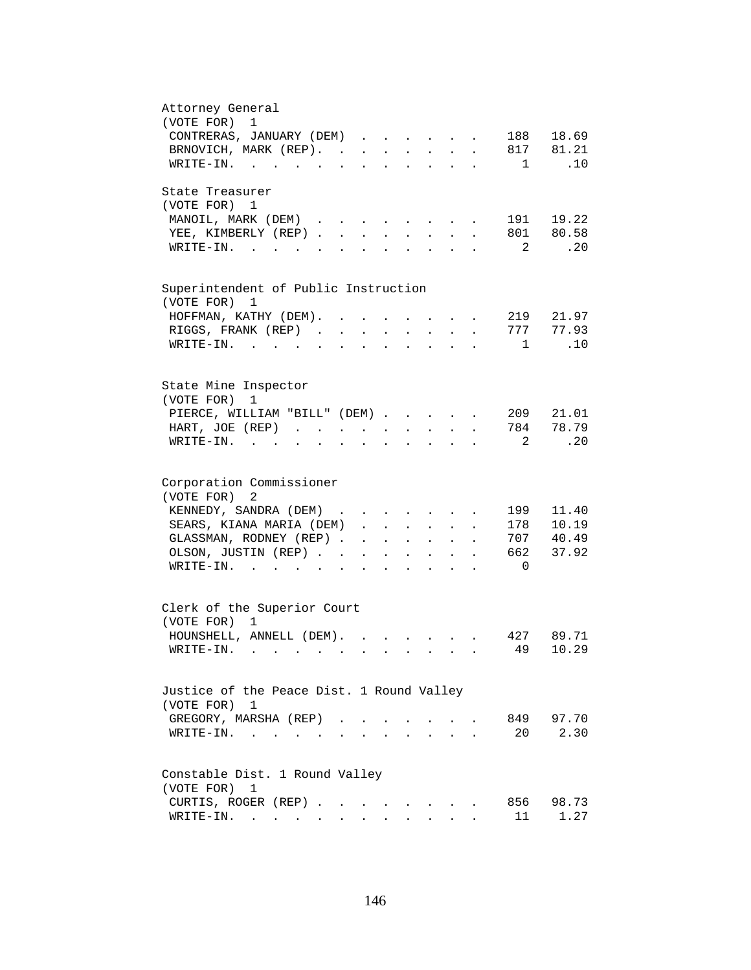| Attorney General<br>(VOTE FOR)<br>$\mathbf 1$                                                                                                                                                     |
|---------------------------------------------------------------------------------------------------------------------------------------------------------------------------------------------------|
| CONTRERAS, JANUARY (DEM)<br>188 18.69                                                                                                                                                             |
| BRNOVICH, MARK (REP).<br>817 81.21                                                                                                                                                                |
| .10<br>WRITE-IN.<br>$\mathbf{1}$                                                                                                                                                                  |
| State Treasurer                                                                                                                                                                                   |
| (VOTE FOR) 1                                                                                                                                                                                      |
| 191 19.22<br>MANOIL, MARK (DEM)<br>$\mathbf{r}$ , $\mathbf{r}$ , $\mathbf{r}$ , $\mathbf{r}$                                                                                                      |
| 801 80.58<br>YEE, KIMBERLY (REP).<br>$\sim$<br>$\mathbf{r}$<br>$\mathbf{L}$                                                                                                                       |
| .20<br>2<br>$WRITE-IN.$<br>$\mathcal{L}^{\text{max}}$                                                                                                                                             |
| Superintendent of Public Instruction                                                                                                                                                              |
| (VOTE FOR)<br>1                                                                                                                                                                                   |
| 219 21.97<br>HOFFMAN, KATHY (DEM). .                                                                                                                                                              |
| 777 77.93<br>RIGGS, FRANK (REP)                                                                                                                                                                   |
| .10<br>$WRITE-IN.$<br>$\overline{1}$                                                                                                                                                              |
|                                                                                                                                                                                                   |
| State Mine Inspector                                                                                                                                                                              |
| (VOTE FOR)<br>1                                                                                                                                                                                   |
| PIERCE, WILLIAM "BILL" (DEM)<br>209<br>21.01                                                                                                                                                      |
| 784 78.79<br>HART, JOE (REP)<br><b>All Cards</b><br>$\mathbf{L}^{\text{max}}$                                                                                                                     |
| -2<br>.20<br>$\texttt{WRTTE-IN.}$<br>$\mathbf{z} = \mathbf{z} + \mathbf{z}$ .<br>$\ddot{\phantom{a}}$                                                                                             |
| Corporation Commissioner                                                                                                                                                                          |
| (VOTE FOR)<br>2                                                                                                                                                                                   |
| 11.40<br>KENNEDY, SANDRA (DEM)<br>199                                                                                                                                                             |
| $\mathbf{r}$ , $\mathbf{r}$ , $\mathbf{r}$ , $\mathbf{r}$ , $\mathbf{r}$ , $\mathbf{r}$<br>178 10.19<br>SEARS, KIANA MARIA (DEM)                                                                  |
| $\mathbf{r}$<br>GLASSMAN, RODNEY (REP)<br>707 40.49                                                                                                                                               |
| $\mathbf{r} = \mathbf{r} \cdot \mathbf{r}$<br>$\ddot{\phantom{0}}$<br>$\ddot{\phantom{0}}$<br>662<br>37.92                                                                                        |
| OLSON, JUSTIN (REP).<br>$\mathbf{r} = \mathbf{r} \cdot \mathbf{r}$ , where $\mathbf{r} = \mathbf{r} \cdot \mathbf{r}$<br>$\bullet$ .<br><br><br><br><br><br><br><br><br><br><br><br><br>$\bullet$ |
| $\overline{0}$<br>$\texttt{WRTTE-IN.}$<br>$\mathbf{L} = \mathbf{L} \mathbf{L} + \mathbf{L} \mathbf{L}$                                                                                            |
| Clerk of the Superior Court                                                                                                                                                                       |
| (VOTE FOR) 1                                                                                                                                                                                      |
| HOUNSHELL, ANNELL (DEM).<br>427 89.71                                                                                                                                                             |
| 49<br>10.29<br>$W\text{RITE-IN.}$                                                                                                                                                                 |
|                                                                                                                                                                                                   |
| Justice of the Peace Dist. 1 Round Valley                                                                                                                                                         |
| (VOTE FOR) 1                                                                                                                                                                                      |
| 97.70<br>GREGORY, MARSHA (REP).<br>849                                                                                                                                                            |
| 2.30<br>20<br>$W{\tt RITE-IN.}$<br>$\sim$                                                                                                                                                         |
| Constable Dist. 1 Round Valley                                                                                                                                                                    |
| (VOTE FOR)<br>1                                                                                                                                                                                   |
| CURTIS, ROGER (REP)<br>856<br>98.73<br>the contract of the contract of the contract of the contract of the contract of the contract of the contract of                                            |
| 11<br>1.27<br>WRITE-IN.                                                                                                                                                                           |
|                                                                                                                                                                                                   |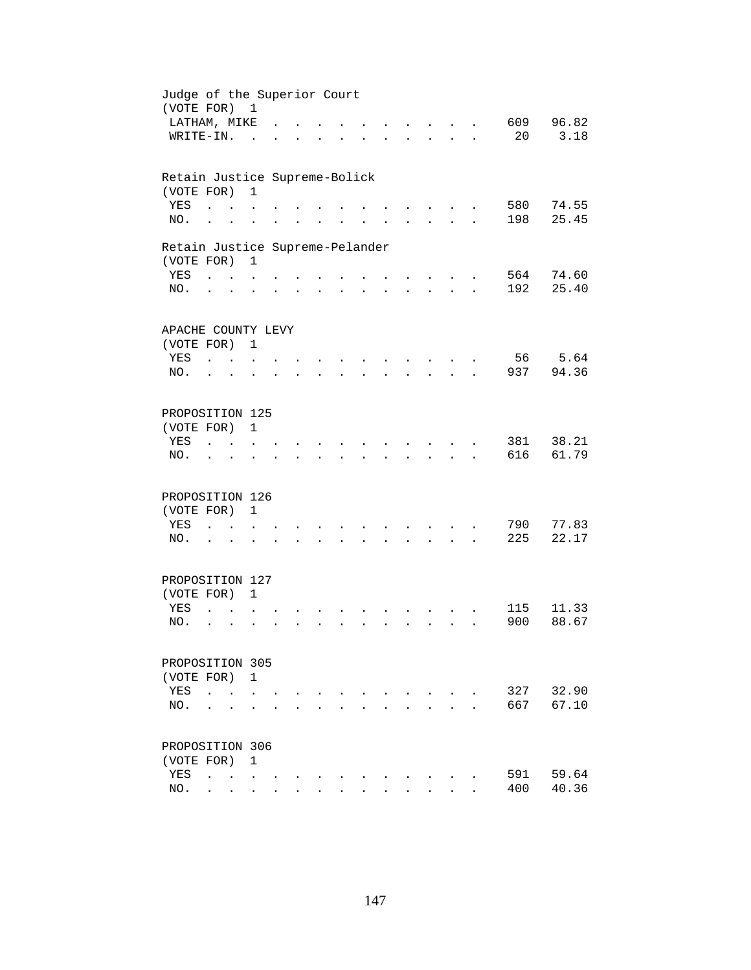| Judge of the Superior Court<br>(VOTE FOR) 1   |                                   |                           |                      |                      |                      |                |                      |                      |                      |                                          |                      |            |                |
|-----------------------------------------------|-----------------------------------|---------------------------|----------------------|----------------------|----------------------|----------------|----------------------|----------------------|----------------------|------------------------------------------|----------------------|------------|----------------|
| LATHAM, MIKE                                  |                                   |                           |                      |                      |                      |                |                      |                      |                      |                                          |                      | 609        | 96.82          |
| WRITE-IN.                                     |                                   |                           | $\sim$               |                      |                      |                |                      |                      |                      | <b>Contract Contract</b>                 | $\sim$               | 20         | 3.18           |
| Retain Justice Supreme-Bolick                 |                                   |                           |                      |                      |                      |                |                      |                      |                      |                                          |                      |            |                |
| (VOTE FOR)                                    |                                   |                           | $\mathbf{1}$         |                      |                      |                |                      |                      |                      |                                          |                      |            |                |
| YES                                           | $\ddot{\phantom{a}}$              |                           |                      |                      |                      |                |                      |                      |                      |                                          |                      | 580<br>198 | 74.55          |
| NO.                                           | $\ddot{\phantom{a}}$              |                           |                      |                      |                      |                |                      |                      |                      |                                          |                      |            | 25.45          |
| Retain Justice Supreme-Pelander<br>(VOTE FOR) |                                   |                           | $\mathbf{1}$         |                      |                      |                |                      |                      |                      |                                          |                      |            |                |
| YES                                           | <b>Contract Contract Contract</b> |                           |                      |                      |                      |                |                      |                      |                      |                                          |                      | 564        | 74.60          |
| NO.                                           | $\ddot{\phantom{0}}$              |                           |                      |                      | $\ddot{\phantom{a}}$ |                | $\ddot{\phantom{0}}$ | $\ddot{\phantom{0}}$ |                      | $\mathbf{r} = \mathbf{r} + \mathbf{r}$ . | $\ddot{\phantom{a}}$ | 192        | 25.40          |
| APACHE COUNTY LEVY                            |                                   |                           |                      |                      |                      |                |                      |                      |                      |                                          |                      |            |                |
| (VOTE FOR) 1                                  |                                   |                           |                      |                      |                      |                |                      |                      |                      |                                          |                      |            |                |
| YES                                           | $\sim$ $\sim$ $\sim$              |                           |                      |                      |                      |                |                      |                      |                      |                                          |                      | 56         | 5.64           |
| NO.                                           | $\ddot{\phantom{a}}$              |                           |                      |                      |                      |                |                      |                      |                      |                                          |                      | 937        | 94.36          |
| PROPOSITION 125                               |                                   |                           |                      |                      |                      |                |                      |                      |                      |                                          |                      |            |                |
| (VOTE FOR)                                    |                                   |                           | $\mathbf{1}$         |                      |                      |                |                      |                      |                      |                                          |                      |            |                |
| YES                                           |                                   |                           |                      |                      |                      |                |                      |                      |                      |                                          |                      | 381        | 38.21          |
| NO.                                           |                                   |                           |                      |                      |                      |                |                      |                      |                      |                                          |                      | 616        | 61.79          |
| PROPOSITION 126                               |                                   |                           |                      |                      |                      |                |                      |                      |                      |                                          |                      |            |                |
| (VOTE FOR)                                    |                                   |                           | $\mathbf{1}$         |                      |                      |                |                      |                      |                      |                                          |                      |            |                |
| YES<br>NO.                                    | $\ddot{\phantom{a}}$              | <b>Contract Contract</b>  | $\ddot{\phantom{a}}$ |                      |                      |                |                      |                      |                      |                                          |                      | 790<br>225 | 77.83<br>22.17 |
|                                               | $\cdot$ $\cdot$                   |                           |                      | $\ddot{\phantom{a}}$ | $\ddot{\phantom{a}}$ | $\overline{a}$ | $\mathbf{r}$         | $\ddot{\phantom{0}}$ | $\ddot{\phantom{a}}$ | <b>Contract Contract</b>                 | $\ddot{\phantom{a}}$ |            |                |
| PROPOSITION 127                               |                                   |                           |                      |                      |                      |                |                      |                      |                      |                                          |                      |            |                |
| (VOTE FOR) 1<br>YES                           | $\ddot{\phantom{a}}$              |                           |                      |                      |                      |                |                      |                      |                      |                                          |                      | 115        | 11.33          |
| NO.                                           | $\ddot{\phantom{0}}$              | $\ddot{\phantom{a}}$      |                      |                      |                      |                |                      |                      |                      |                                          |                      | 900        | 88.67          |
| PROPOSITION 305                               |                                   |                           |                      |                      |                      |                |                      |                      |                      |                                          |                      |            |                |
| (VOTE FOR)                                    |                                   |                           | $\mathbf{1}$         |                      |                      |                |                      |                      |                      |                                          |                      |            |                |
| YES                                           | $\ddot{\phantom{0}}$              |                           |                      |                      |                      |                |                      |                      |                      |                                          |                      | 327        | 32.90          |
| NO.                                           |                                   |                           |                      |                      |                      |                |                      |                      |                      |                                          |                      | 667        | 67.10          |
| PROPOSITION 306                               |                                   |                           |                      |                      |                      |                |                      |                      |                      |                                          |                      |            |                |
| (VOTE FOR)                                    |                                   |                           | $\mathbf{1}$         |                      |                      |                |                      |                      |                      |                                          |                      |            |                |
| YES                                           | $\ddot{\phantom{a}}$              | $\sim$ $\sim$ $\sim$      |                      |                      |                      |                |                      |                      |                      |                                          |                      | 591        | 59.64          |
| NO.                                           |                                   | $\mathbf{r} = \mathbf{r}$ | $\ddot{\phantom{0}}$ |                      |                      |                |                      |                      |                      |                                          |                      | 400        | 40.36          |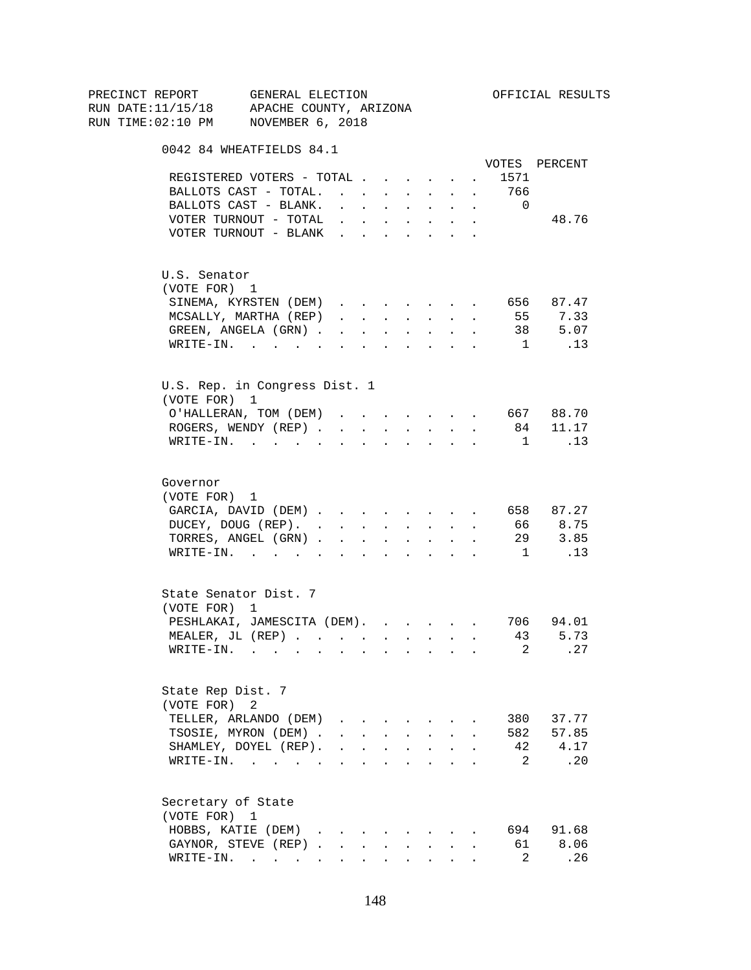|  | PRECINCT REPORT |                   | GENERAL ELECTION<br>RUN DATE:11/15/18 APACHE COUNTY, ARIZONA                                                    |              |                           |                                      |              |               |                                                 |                | OFFICIAL RESULTS |  |
|--|-----------------|-------------------|-----------------------------------------------------------------------------------------------------------------|--------------|---------------------------|--------------------------------------|--------------|---------------|-------------------------------------------------|----------------|------------------|--|
|  |                 |                   | RUN TIME: $02:10$ PM NOVEMBER 6, 2018                                                                           |              |                           |                                      |              |               |                                                 |                |                  |  |
|  |                 |                   | 0042 84 WHEATFIELDS 84.1                                                                                        |              |                           |                                      |              |               |                                                 |                |                  |  |
|  |                 |                   |                                                                                                                 |              |                           |                                      |              |               |                                                 |                | VOTES PERCENT    |  |
|  |                 |                   | REGISTERED VOTERS - TOTAL 1571                                                                                  |              |                           |                                      |              |               |                                                 |                |                  |  |
|  |                 |                   | BALLOTS CAST - TOTAL. 766                                                                                       |              |                           |                                      |              |               |                                                 |                |                  |  |
|  |                 |                   | BALLOTS CAST - BLANK.                                                                                           |              |                           |                                      |              |               | and a series of the series of the series of     | $\overline{0}$ |                  |  |
|  |                 |                   | VOTER TURNOUT - TOTAL $\ldots$                                                                                  |              |                           |                                      |              |               |                                                 |                | 48.76            |  |
|  |                 |                   | VOTER TURNOUT - BLANK                                                                                           |              |                           |                                      | $\sim$       | $\sim$        |                                                 |                |                  |  |
|  |                 | U.S. Senator      |                                                                                                                 |              |                           |                                      |              |               |                                                 |                |                  |  |
|  |                 | (VOTE FOR) 1      |                                                                                                                 |              |                           |                                      |              |               |                                                 |                |                  |  |
|  |                 |                   | SINEMA, KYRSTEN (DEM) 656 87.47                                                                                 |              |                           |                                      |              |               |                                                 |                |                  |  |
|  |                 |                   | MCSALLY, MARTHA (REP)                                                                                           |              |                           |                                      |              |               |                                                 |                | 55 7.33          |  |
|  |                 |                   | GREEN, ANGELA (GRN)                                                                                             |              |                           |                                      |              |               |                                                 |                | 38 5.07          |  |
|  |                 |                   | $\texttt{WRTTE-IN.}$                                                                                            |              |                           |                                      |              |               | the contract of the contract of the contract of |                | $1 \qquad .13$   |  |
|  |                 |                   | U.S. Rep. in Congress Dist. 1                                                                                   |              |                           |                                      |              |               |                                                 |                |                  |  |
|  |                 | (VOTE FOR) 1      |                                                                                                                 |              |                           |                                      |              |               |                                                 |                |                  |  |
|  |                 |                   | O'HALLERAN, TOM (DEM) 667 88.70                                                                                 |              |                           |                                      |              |               |                                                 |                |                  |  |
|  |                 |                   | ROGERS, WENDY (REP) 84 11.17                                                                                    |              |                           |                                      |              |               |                                                 |                |                  |  |
|  |                 |                   | WRITE-IN. 1                                                                                                     |              |                           |                                      |              |               |                                                 |                | .13              |  |
|  | Governor        |                   |                                                                                                                 |              |                           |                                      |              |               |                                                 |                |                  |  |
|  |                 | (VOTE FOR) 1      |                                                                                                                 |              |                           |                                      |              |               |                                                 |                |                  |  |
|  |                 |                   | GARCIA, DAVID (DEM) 658 87.27                                                                                   |              |                           |                                      |              |               |                                                 |                |                  |  |
|  |                 |                   | DUCEY, DOUG (REP).                                                                                              |              |                           |                                      |              |               |                                                 |                | 66 8.75          |  |
|  |                 |                   | TORRES, ANGEL (GRN) 29 3.85                                                                                     |              |                           |                                      |              |               |                                                 |                |                  |  |
|  |                 |                   | WRITE-IN. 1 $\quad$ .13                                                                                         |              |                           |                                      |              |               |                                                 |                |                  |  |
|  |                 |                   | State Senator Dist. 7                                                                                           |              |                           |                                      |              |               |                                                 |                |                  |  |
|  |                 | (VOTE FOR) 1      |                                                                                                                 |              |                           |                                      |              |               |                                                 |                |                  |  |
|  |                 |                   | PESHLAKAI, JAMESCITA (DEM).                                                                                     |              |                           |                                      |              |               |                                                 |                | 706 94.01        |  |
|  |                 |                   | MEALER, JL (REP)                                                                                                |              |                           |                                      |              |               |                                                 |                | 43 5.73          |  |
|  |                 | WRITE-IN.         | the contract of the contract of the contract of the contract of the contract of the contract of the contract of |              |                           |                                      |              |               |                                                 | 2              | . 27             |  |
|  |                 | State Rep Dist. 7 |                                                                                                                 |              |                           |                                      |              |               |                                                 |                |                  |  |
|  |                 | (VOTE FOR) 2      |                                                                                                                 |              |                           |                                      |              |               |                                                 |                |                  |  |
|  |                 |                   | TELLER, ARLANDO (DEM)                                                                                           |              | $\mathbf{r} = \mathbf{r}$ |                                      |              |               |                                                 | 380            | 37.77            |  |
|  |                 |                   | TSOSIE, MYRON (DEM).                                                                                            |              | $\mathbf{r}$              |                                      |              |               |                                                 | 582            | 57.85            |  |
|  |                 |                   | SHAMLEY, DOYEL (REP).                                                                                           | $\mathbf{L}$ |                           | $\mathbf{L} = \mathbf{L} \mathbf{L}$ | $\sim$       | $\sim$        | $\mathbf{r}$                                    | 42             | 4.17             |  |
|  |                 |                   | WRITE-IN.                                                                                                       |              |                           |                                      | $\mathbf{r}$ | $\sim$ $\sim$ |                                                 | 2              | .20              |  |
|  |                 |                   | Secretary of State                                                                                              |              |                           |                                      |              |               |                                                 |                |                  |  |
|  |                 | (VOTE FOR) 1      |                                                                                                                 |              |                           |                                      |              |               |                                                 |                |                  |  |
|  |                 |                   | HOBBS, KATIE (DEM)                                                                                              |              |                           |                                      |              |               |                                                 | 694            | 91.68            |  |
|  |                 |                   | GAYNOR, STEVE (REP)                                                                                             |              |                           |                                      |              |               |                                                 | 61             | 8.06             |  |
|  |                 |                   | WRITE-IN.                                                                                                       | $\sim$       | $\mathbf{L}$              |                                      |              | $\sim$        |                                                 | 2              | .26              |  |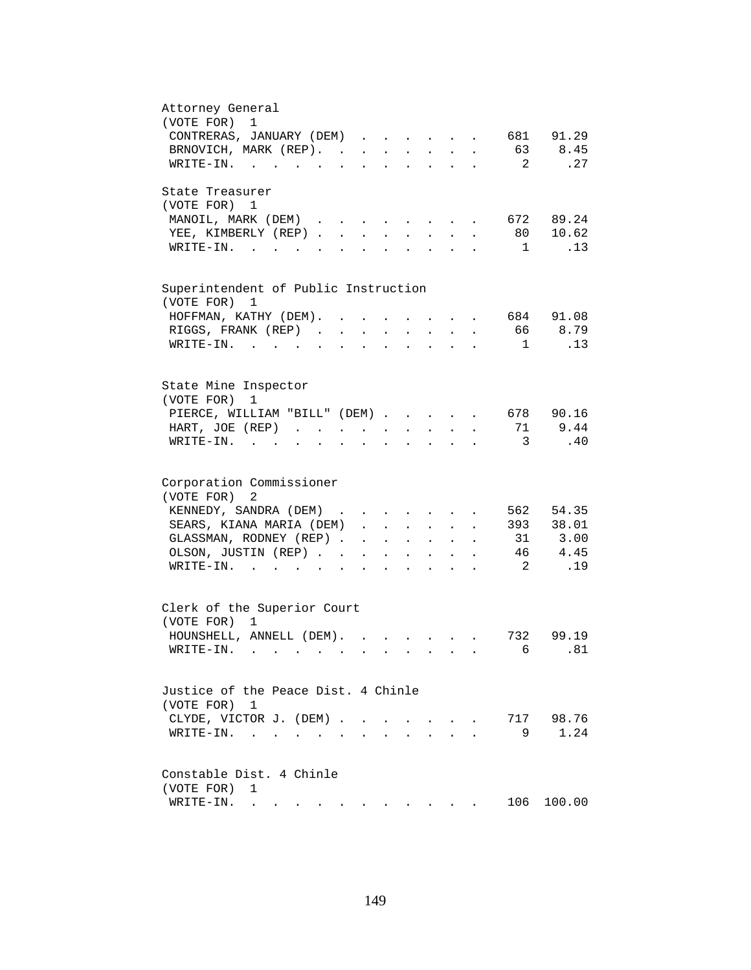| Attorney General<br>(VOTE FOR)<br>1                                                                                                                                                                                                                         |
|-------------------------------------------------------------------------------------------------------------------------------------------------------------------------------------------------------------------------------------------------------------|
| 681 91.29                                                                                                                                                                                                                                                   |
| CONTRERAS, JANUARY (DEM)                                                                                                                                                                                                                                    |
| BRNOVICH, MARK (REP).<br>63<br>8.45                                                                                                                                                                                                                         |
| $\overline{\phantom{a}}^2$<br>.27<br>WRITE-IN.                                                                                                                                                                                                              |
| State Treasurer                                                                                                                                                                                                                                             |
| (VOTE FOR) 1                                                                                                                                                                                                                                                |
| 672 89.24<br>MANOIL, MARK (DEM)<br>$\sim$<br>$\mathbf{r} = \mathbf{r} + \mathbf{r}$<br>$\ddot{\phantom{a}}$                                                                                                                                                 |
| 80 10.62<br>YEE, KIMBERLY (REP)<br>$\sim$<br>$\sim$<br>$\sim$                                                                                                                                                                                               |
| $WRITE-TN.$<br>$\mathbf{1}$<br>.13<br>$\mathbf{L}$<br>$\mathbf{L}$                                                                                                                                                                                          |
|                                                                                                                                                                                                                                                             |
| Superintendent of Public Instruction                                                                                                                                                                                                                        |
| (VOTE FOR) 1                                                                                                                                                                                                                                                |
| 684 91.08<br>HOFFMAN, KATHY (DEM). .                                                                                                                                                                                                                        |
| 66<br>8.79<br>RIGGS, FRANK (REP).<br>$\ddot{\phantom{a}}$                                                                                                                                                                                                   |
| WRITE-IN. .<br>.13<br>1<br>$\ddot{\phantom{a}}$                                                                                                                                                                                                             |
|                                                                                                                                                                                                                                                             |
| State Mine Inspector                                                                                                                                                                                                                                        |
| (VOTE FOR)<br>1                                                                                                                                                                                                                                             |
| 678 90.16<br>PIERCE, WILLIAM "BILL" (DEM)                                                                                                                                                                                                                   |
| 9.44<br>71<br>HART, JOE (REP)<br>$\mathbf{L}$ and $\mathbf{L}$<br>$\sim 100$<br>$\mathbf{z} = \mathbf{z} + \mathbf{z}$ .<br>$\ddot{\phantom{a}}$                                                                                                            |
| $\overline{\phantom{a}}$<br>.40<br>$WRITE-IN.$<br>$\sim$ $\sim$<br>$\sim$<br>$\ddot{\phantom{a}}$<br>$\bullet$<br>$\ddot{\phantom{a}}$                                                                                                                      |
|                                                                                                                                                                                                                                                             |
| Corporation Commissioner                                                                                                                                                                                                                                    |
| (VOTE FOR)<br>2                                                                                                                                                                                                                                             |
| KENNEDY, SANDRA (DEM)<br>562 54.35                                                                                                                                                                                                                          |
| 393 38.01<br>SEARS, KIANA MARIA (DEM)<br>$\mathbf{r}$ and $\mathbf{r}$ and $\mathbf{r}$<br>$\cdot$ $\cdot$                                                                                                                                                  |
| 31 3.00<br>GLASSMAN, RODNEY (REP).<br>$\sim$ $-$<br><b>All Contracts</b><br>$\mathbf{L}^{\text{max}}$ and $\mathbf{L}^{\text{max}}$                                                                                                                         |
| 46 4.45<br>OLSON, JUSTIN (REP). .<br>$\mathbf{z} = \mathbf{z} + \mathbf{z}$ .<br>$\sim$<br>$\mathbf{L}^{\text{max}}$<br>$\bullet$<br>$\ddot{\phantom{a}}$                                                                                                   |
| $\overline{2}$<br>.19<br>$\texttt{WRITE-IN.}$<br>$\ddot{\phantom{0}}$<br>$\ddot{\phantom{a}}$                                                                                                                                                               |
|                                                                                                                                                                                                                                                             |
| Clerk of the Superior Court                                                                                                                                                                                                                                 |
| (VOTE FOR) 1                                                                                                                                                                                                                                                |
| HOUNSHELL, ANNELL (DEM).<br>732 99.19                                                                                                                                                                                                                       |
| 6.81<br>WRITE-IN.                                                                                                                                                                                                                                           |
|                                                                                                                                                                                                                                                             |
| Justice of the Peace Dist. 4 Chinle                                                                                                                                                                                                                         |
| (VOTE FOR) 1                                                                                                                                                                                                                                                |
| 717 98.76<br>CLYDE, VICTOR J. (DEM).<br>$\sim$<br>$\sim$                                                                                                                                                                                                    |
| 1.24<br>9<br>WRITE-IN.<br>$\ddot{\phantom{a}}$                                                                                                                                                                                                              |
|                                                                                                                                                                                                                                                             |
| Constable Dist. 4 Chinle                                                                                                                                                                                                                                    |
| (VOTE FOR)<br>1                                                                                                                                                                                                                                             |
| 106<br>100.00<br>WRITE-IN.<br>. The state of the state of the state of the state of the state of the state of the state of the state of the state of the state of the state of the state of the state of the state of the state of the state of the state o |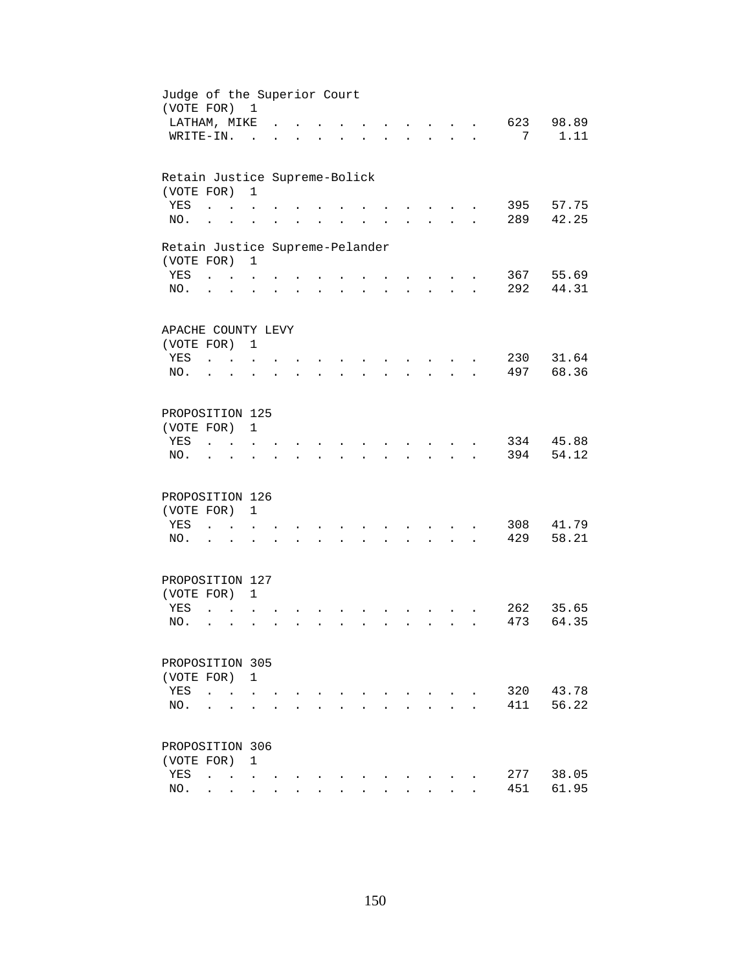| Judge of the Superior Court<br>(VOTE FOR) 1   |                                         |                                            |                      |                      |                      |                                  |                      |                      |                                                           |                      |            |                |
|-----------------------------------------------|-----------------------------------------|--------------------------------------------|----------------------|----------------------|----------------------|----------------------------------|----------------------|----------------------|-----------------------------------------------------------|----------------------|------------|----------------|
| LATHAM, MIKE                                  |                                         |                                            |                      |                      |                      |                                  |                      |                      |                                                           |                      | 623        | 98.89          |
| WRITE-IN.                                     |                                         |                                            | $\sim$               |                      |                      |                                  |                      |                      | $\sim$ $\sim$                                             | $\ddot{\phantom{a}}$ | 7          | 1.11           |
| Retain Justice Supreme-Bolick                 |                                         |                                            |                      |                      |                      |                                  |                      |                      |                                                           |                      |            |                |
| (VOTE FOR)                                    |                                         |                                            | $\mathbf{1}$         |                      |                      |                                  |                      |                      |                                                           |                      |            |                |
| YES<br>NO.                                    | $\ddot{\phantom{a}}$                    |                                            |                      |                      |                      |                                  |                      |                      |                                                           |                      | 395<br>289 | 57.75<br>42.25 |
|                                               | $\ddot{\phantom{a}}$                    |                                            |                      |                      |                      |                                  |                      |                      |                                                           |                      |            |                |
| Retain Justice Supreme-Pelander<br>(VOTE FOR) |                                         |                                            | $\mathbf{1}$         |                      |                      |                                  |                      |                      |                                                           |                      |            |                |
| YES                                           | <b>Contract Contract Contract</b>       |                                            |                      |                      |                      |                                  |                      |                      |                                                           |                      |            | 367 55.69      |
| NO.                                           | $\cdot$ $\cdot$                         |                                            | $\ddot{\phantom{a}}$ |                      | $\ddot{\phantom{a}}$ | $\bullet$ . The set of $\bullet$ | $\ddot{\phantom{0}}$ | $\ddot{\phantom{0}}$ | $\mathbf{L}^{\text{max}}$ , and $\mathbf{L}^{\text{max}}$ | $\ddot{\phantom{a}}$ | 292        | 44.31          |
| APACHE COUNTY LEVY                            |                                         |                                            |                      |                      |                      |                                  |                      |                      |                                                           |                      |            |                |
| (VOTE FOR) 1                                  |                                         |                                            |                      |                      |                      |                                  |                      |                      |                                                           |                      |            |                |
| YES                                           | <b>Carl Carl</b>                        |                                            |                      |                      |                      |                                  |                      |                      |                                                           |                      | 230        | 31.64          |
| NO.                                           | $\ddot{\phantom{a}}$                    | $\sim$                                     |                      |                      |                      |                                  |                      |                      |                                                           |                      | 497        | 68.36          |
| PROPOSITION 125                               |                                         |                                            |                      |                      |                      |                                  |                      |                      |                                                           |                      |            |                |
| (VOTE FOR)                                    |                                         |                                            | 1                    |                      |                      |                                  |                      |                      |                                                           |                      |            |                |
| YES                                           |                                         |                                            |                      |                      |                      |                                  |                      |                      |                                                           |                      | 334        | 45.88          |
| NO.                                           |                                         |                                            |                      |                      |                      |                                  |                      |                      |                                                           |                      | 394        | 54.12          |
| PROPOSITION 126                               |                                         |                                            |                      |                      |                      |                                  |                      |                      |                                                           |                      |            |                |
| (VOTE FOR)                                    |                                         |                                            | $\mathbf{1}$         |                      |                      |                                  |                      |                      |                                                           |                      |            |                |
| YES<br>NO.                                    | $\ddot{\phantom{a}}$<br>$\cdot$ $\cdot$ | <b>Contract Contract</b>                   | $\sim$               | $\ddot{\phantom{0}}$ | $\ddot{\phantom{a}}$ | $\ddot{\phantom{a}}$             |                      | $\ddot{\phantom{0}}$ | $\mathbf{r} = \mathbf{r} + \mathbf{r} + \mathbf{r}$       |                      | 308<br>429 | 41.79<br>58.21 |
|                                               |                                         |                                            |                      |                      |                      |                                  |                      |                      |                                                           |                      |            |                |
| PROPOSITION 127                               |                                         |                                            |                      |                      |                      |                                  |                      |                      |                                                           |                      |            |                |
| (VOTE FOR) 1<br>YES                           | $\ddot{\phantom{a}}$                    |                                            |                      |                      |                      |                                  |                      |                      |                                                           |                      | 262        | 35.65          |
| NO.                                           | $\ddot{\phantom{a}}$                    | $\ddot{\phantom{a}}$                       |                      |                      |                      |                                  |                      |                      | $\mathbf{r}$                                              |                      | 473        | 64.35          |
| PROPOSITION 305                               |                                         |                                            |                      |                      |                      |                                  |                      |                      |                                                           |                      |            |                |
| (VOTE FOR) 1                                  |                                         |                                            |                      |                      |                      |                                  |                      |                      |                                                           |                      |            |                |
| YES                                           | $\ddot{\phantom{a}}$                    |                                            |                      |                      |                      |                                  |                      |                      |                                                           |                      | 320        | 43.78          |
| NO.                                           |                                         |                                            |                      |                      |                      |                                  |                      |                      |                                                           |                      | 411        | 56.22          |
| PROPOSITION 306                               |                                         |                                            |                      |                      |                      |                                  |                      |                      |                                                           |                      |            |                |
| (VOTE FOR)                                    |                                         |                                            | 1                    |                      |                      |                                  |                      |                      |                                                           |                      |            |                |
| YES                                           | $\ddot{\phantom{a}}$                    | $\mathbf{r}$ , $\mathbf{r}$ , $\mathbf{r}$ |                      |                      |                      |                                  |                      |                      |                                                           |                      | 277        | 38.05          |
| NO.                                           |                                         | $\mathbf{r} = \mathbf{r}$                  | $\sim$               |                      |                      |                                  |                      |                      |                                                           |                      | 451        | 61.95          |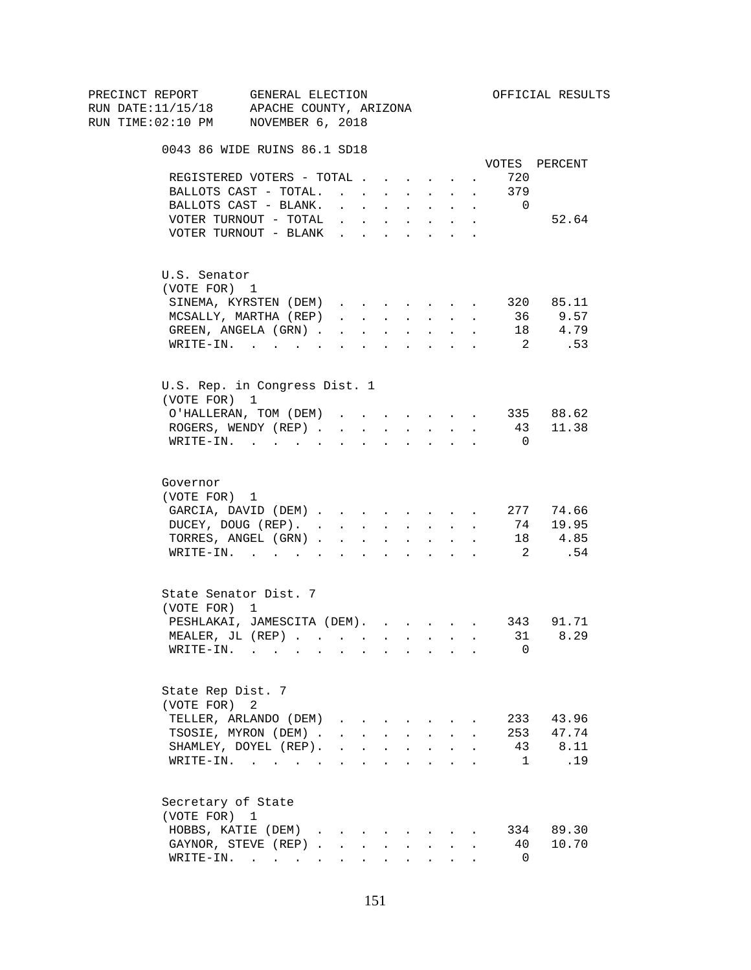| PRECINCT REPORT                          | GENERAL ELECTION                                        |                                                                          |                          |                                                                                                                                                                                                                                                                                                                                                                                                                               |                                                                          |                           |        |                            | OFFICIAL RESULTS |
|------------------------------------------|---------------------------------------------------------|--------------------------------------------------------------------------|--------------------------|-------------------------------------------------------------------------------------------------------------------------------------------------------------------------------------------------------------------------------------------------------------------------------------------------------------------------------------------------------------------------------------------------------------------------------|--------------------------------------------------------------------------|---------------------------|--------|----------------------------|------------------|
| RUN DATE:11/15/18 APACHE COUNTY, ARIZONA |                                                         |                                                                          |                          |                                                                                                                                                                                                                                                                                                                                                                                                                               |                                                                          |                           |        |                            |                  |
| RUN TIME:02:10 PM NOVEMBER 6, 2018       |                                                         |                                                                          |                          |                                                                                                                                                                                                                                                                                                                                                                                                                               |                                                                          |                           |        |                            |                  |
|                                          | 0043 86 WIDE RUINS 86.1 SD18                            |                                                                          |                          |                                                                                                                                                                                                                                                                                                                                                                                                                               |                                                                          |                           |        |                            |                  |
|                                          |                                                         |                                                                          |                          |                                                                                                                                                                                                                                                                                                                                                                                                                               |                                                                          |                           |        |                            | VOTES PERCENT    |
|                                          | REGISTERED VOTERS - TOTAL                               |                                                                          |                          |                                                                                                                                                                                                                                                                                                                                                                                                                               |                                                                          |                           | $\sim$ | 720                        |                  |
|                                          | BALLOTS CAST - TOTAL.                                   |                                                                          |                          |                                                                                                                                                                                                                                                                                                                                                                                                                               |                                                                          |                           |        | 379                        |                  |
|                                          | BALLOTS CAST - BLANK.                                   | $\cdot$ $\cdot$ $\cdot$ $\cdot$                                          |                          |                                                                                                                                                                                                                                                                                                                                                                                                                               | <b>All Cards</b>                                                         | $\sim$                    | $\sim$ | $\overline{0}$             |                  |
|                                          | VOTER TURNOUT - TOTAL                                   |                                                                          |                          |                                                                                                                                                                                                                                                                                                                                                                                                                               | $\mathbf{r}$ , $\mathbf{r}$ , $\mathbf{r}$ , $\mathbf{r}$ , $\mathbf{r}$ |                           | $\sim$ |                            | 52.64            |
|                                          | VOTER TURNOUT - BLANK                                   |                                                                          |                          |                                                                                                                                                                                                                                                                                                                                                                                                                               |                                                                          |                           |        |                            |                  |
| U.S. Senator                             |                                                         |                                                                          |                          |                                                                                                                                                                                                                                                                                                                                                                                                                               |                                                                          |                           |        |                            |                  |
| (VOTE FOR) 1                             |                                                         |                                                                          |                          |                                                                                                                                                                                                                                                                                                                                                                                                                               |                                                                          |                           |        |                            |                  |
|                                          | SINEMA, KYRSTEN (DEM)                                   |                                                                          |                          |                                                                                                                                                                                                                                                                                                                                                                                                                               |                                                                          |                           |        |                            | 320 85.11        |
|                                          | MCSALLY, MARTHA (REP)                                   | $\mathbf{r}$ , $\mathbf{r}$ , $\mathbf{r}$                               |                          |                                                                                                                                                                                                                                                                                                                                                                                                                               | <b>All Carried Control</b>                                               |                           | $\sim$ | 36                         | 9.57             |
|                                          | GREEN, ANGELA (GRN).                                    |                                                                          | <b>Contract Contract</b> | $\sim$                                                                                                                                                                                                                                                                                                                                                                                                                        | $\sim 10$                                                                | $\ddot{\phantom{0}}$      |        |                            | 18 4.79          |
|                                          | WRITE-IN.                                               |                                                                          |                          |                                                                                                                                                                                                                                                                                                                                                                                                                               |                                                                          |                           |        | $\overline{2}$             | .53              |
|                                          | U.S. Rep. in Congress Dist. 1                           |                                                                          |                          |                                                                                                                                                                                                                                                                                                                                                                                                                               |                                                                          |                           |        |                            |                  |
| (VOTE FOR) 1                             |                                                         |                                                                          |                          |                                                                                                                                                                                                                                                                                                                                                                                                                               |                                                                          |                           |        |                            |                  |
|                                          | O'HALLERAN, TOM (DEM)                                   |                                                                          |                          |                                                                                                                                                                                                                                                                                                                                                                                                                               |                                                                          |                           |        |                            | 335 88.62        |
|                                          | ROGERS, WENDY (REP)                                     |                                                                          |                          |                                                                                                                                                                                                                                                                                                                                                                                                                               | and a strategic state                                                    |                           |        |                            | 43 11.38         |
|                                          | $\texttt{WRTTE-IN.}$                                    |                                                                          | $\sim$                   |                                                                                                                                                                                                                                                                                                                                                                                                                               |                                                                          | $\mathbf{r} = \mathbf{r}$ |        | $\overline{\phantom{0}}$   |                  |
|                                          |                                                         |                                                                          |                          |                                                                                                                                                                                                                                                                                                                                                                                                                               |                                                                          |                           |        |                            |                  |
| Governor                                 |                                                         |                                                                          |                          |                                                                                                                                                                                                                                                                                                                                                                                                                               |                                                                          |                           |        |                            |                  |
| (VOTE FOR) 1                             |                                                         |                                                                          |                          |                                                                                                                                                                                                                                                                                                                                                                                                                               |                                                                          |                           |        |                            |                  |
|                                          | GARCIA, DAVID (DEM) 277 74.66                           |                                                                          |                          |                                                                                                                                                                                                                                                                                                                                                                                                                               |                                                                          |                           |        |                            |                  |
|                                          | DUCEY, DOUG (REP).                                      |                                                                          |                          |                                                                                                                                                                                                                                                                                                                                                                                                                               |                                                                          |                           |        |                            | 74 19.95         |
|                                          | TORRES, ANGEL (GRN)                                     |                                                                          |                          |                                                                                                                                                                                                                                                                                                                                                                                                                               |                                                                          |                           |        |                            | 18 4.85          |
|                                          | WRITE-IN.                                               |                                                                          |                          |                                                                                                                                                                                                                                                                                                                                                                                                                               |                                                                          |                           |        | $\overline{\phantom{a}}^2$ | .54              |
|                                          | State Senator Dist. 7                                   |                                                                          |                          |                                                                                                                                                                                                                                                                                                                                                                                                                               |                                                                          |                           |        |                            |                  |
| (VOTE FOR) 1                             |                                                         |                                                                          |                          |                                                                                                                                                                                                                                                                                                                                                                                                                               |                                                                          |                           |        |                            |                  |
|                                          | PESHLAKAI, JAMESCITA (DEM). 343 91.71                   |                                                                          |                          |                                                                                                                                                                                                                                                                                                                                                                                                                               |                                                                          |                           |        |                            |                  |
|                                          | MEALER, JL $(REP)$ . 31                                 |                                                                          |                          |                                                                                                                                                                                                                                                                                                                                                                                                                               |                                                                          |                           |        |                            | 8.29             |
|                                          | $\texttt{WRITE-IN.}\quad .\quad .\quad .\quad .\quad .$ |                                                                          |                          |                                                                                                                                                                                                                                                                                                                                                                                                                               |                                                                          |                           |        | 0                          |                  |
| State Rep Dist. 7                        |                                                         |                                                                          |                          |                                                                                                                                                                                                                                                                                                                                                                                                                               |                                                                          |                           |        |                            |                  |
| (VOTE FOR)                               | 2                                                       |                                                                          |                          |                                                                                                                                                                                                                                                                                                                                                                                                                               |                                                                          |                           |        |                            |                  |
|                                          | TELLER, ARLANDO (DEM)                                   |                                                                          |                          |                                                                                                                                                                                                                                                                                                                                                                                                                               |                                                                          |                           |        |                            | 233 43.96        |
|                                          | TSOSIE, MYRON (DEM).                                    |                                                                          |                          |                                                                                                                                                                                                                                                                                                                                                                                                                               | $\mathbf{r} = \mathbf{r} + \mathbf{r} + \mathbf{r} + \mathbf{r}$         |                           |        |                            | 253 47.74        |
|                                          | SHAMLEY, DOYEL (REP).                                   | $\mathbf{r}$ , $\mathbf{r}$ , $\mathbf{r}$ , $\mathbf{r}$ , $\mathbf{r}$ |                          |                                                                                                                                                                                                                                                                                                                                                                                                                               |                                                                          | $\ddot{\phantom{a}}$      |        |                            | 43 8.11          |
|                                          | WRITE-IN.                                               |                                                                          |                          |                                                                                                                                                                                                                                                                                                                                                                                                                               |                                                                          |                           |        | $\mathbf{1}$               | .19              |
| Secretary of State                       |                                                         |                                                                          |                          |                                                                                                                                                                                                                                                                                                                                                                                                                               |                                                                          |                           |        |                            |                  |
| (VOTE FOR) 1                             |                                                         |                                                                          |                          |                                                                                                                                                                                                                                                                                                                                                                                                                               |                                                                          |                           |        |                            |                  |
|                                          | HOBBS, KATIE (DEM)                                      |                                                                          |                          |                                                                                                                                                                                                                                                                                                                                                                                                                               |                                                                          |                           |        |                            | 334 89.30        |
|                                          | GAYNOR, STEVE (REP)                                     |                                                                          | $\mathbf{L}$             | $\mathcal{L}^{\mathcal{L}^{\mathcal{L}^{\mathcal{L}^{\mathcal{L}^{\mathcal{L}^{\mathcal{L}^{\mathcal{L}^{\mathcal{L}^{\mathcal{L}^{\mathcal{L}^{\mathcal{L}^{\mathcal{L}^{\mathcal{L}^{\mathcal{L}^{\mathcal{L}^{\mathcal{L}^{\mathcal{L}^{\mathcal{L}^{\mathcal{L}^{\mathcal{L}^{\mathcal{L}^{\mathcal{L}^{\mathcal{L}^{\mathcal{L}^{\mathcal{L}^{\mathcal{L}^{\mathcal{L}^{\mathcal{L}^{\mathcal{L}^{\mathcal{L}^{\mathcal$ | $\sim$                                                                   | $\mathbf{L}$              |        | 40                         | 10.70            |
|                                          | $\texttt{WRTTE-IN.}$                                    |                                                                          |                          |                                                                                                                                                                                                                                                                                                                                                                                                                               | $\mathbf{L} = \mathbf{L} \mathbf{L} + \mathbf{L} \mathbf{L}$             |                           |        | $\overline{0}$             |                  |
|                                          |                                                         |                                                                          |                          |                                                                                                                                                                                                                                                                                                                                                                                                                               |                                                                          |                           |        |                            |                  |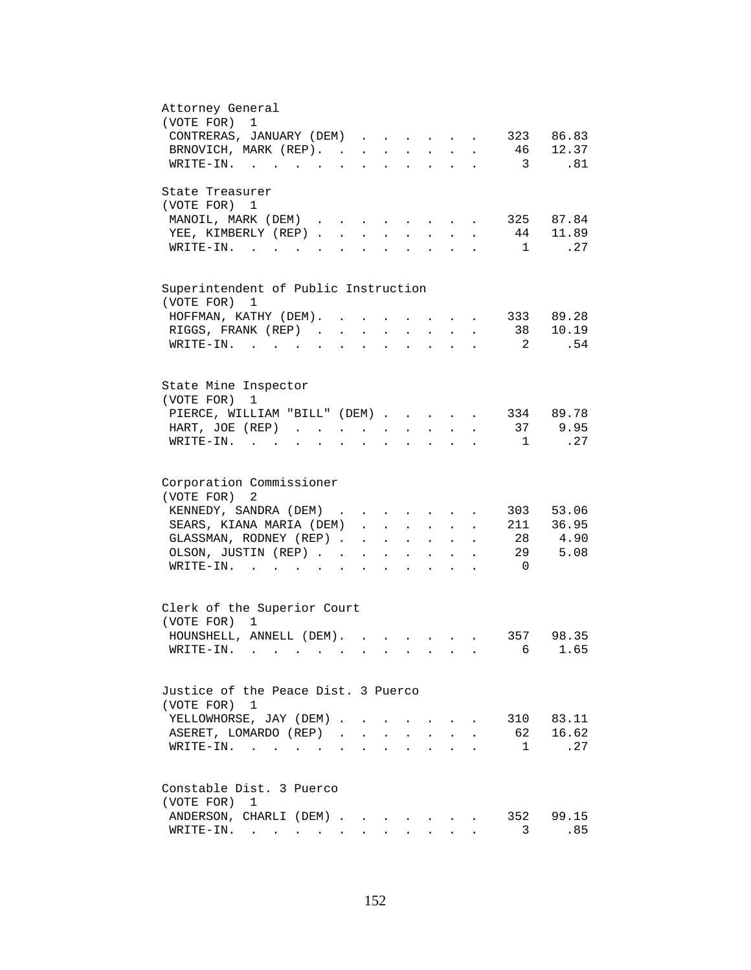| Attorney General<br>(VOTE FOR) 1                                                                                                                                                 |
|----------------------------------------------------------------------------------------------------------------------------------------------------------------------------------|
| CONTRERAS, JANUARY (DEM)<br>323 86.83                                                                                                                                            |
| 46<br>12.37<br>BRNOVICH, MARK (REP).                                                                                                                                             |
| $\overline{\mathbf{3}}$<br>.81<br>WRITE-IN.                                                                                                                                      |
|                                                                                                                                                                                  |
| State Treasurer                                                                                                                                                                  |
| (VOTE FOR) 1                                                                                                                                                                     |
| 325 87.84<br>MANOIL, MARK (DEM)                                                                                                                                                  |
| 44 11.89<br>YEE, KIMBERLY (REP).<br>$\mathbf{r}$                                                                                                                                 |
| $1$ <sup><math>-1</math></sup><br>.27<br>$W\text{RITE}-\text{IN}.$                                                                                                               |
|                                                                                                                                                                                  |
| Superintendent of Public Instruction<br>(VOTE FOR)<br>1                                                                                                                          |
| 333 89.28<br>HOFFMAN, KATHY (DEM).<br>$\sim$                                                                                                                                     |
| 38 10.19<br>RIGGS, FRANK (REP)<br>$\sim 10^{-11}$<br>$\mathcal{L}^{\text{max}}$<br>$\ddot{\phantom{a}}$<br>$\mathcal{L}^{\text{max}}$<br>$\mathcal{L}^{\text{max}}$<br>$\bullet$ |
| 2<br>.54<br>WRITE-IN.<br><b>Contract Contract</b>                                                                                                                                |
|                                                                                                                                                                                  |
| State Mine Inspector                                                                                                                                                             |
| (VOTE FOR)<br>1                                                                                                                                                                  |
| 334 89.78<br>PIERCE, WILLIAM "BILL" (DEM)                                                                                                                                        |
| 9.95<br>37<br>HART, JOE (REP)                                                                                                                                                    |
| .27<br>WRITE-IN.<br>$\overline{1}$<br>$\mathbf{r} = \mathbf{r} + \mathbf{r} + \mathbf{r} + \mathbf{r} + \mathbf{r}$                                                              |
|                                                                                                                                                                                  |
| Corporation Commissioner                                                                                                                                                         |
| (VOTE FOR) 2                                                                                                                                                                     |
| KENNEDY, SANDRA (DEM)<br>303<br>53.06                                                                                                                                            |
| 211 36.95<br>SEARS, KIANA MARIA (DEM)                                                                                                                                            |
| 28 4.90<br>GLASSMAN, RODNEY (REP)<br>$\ddot{\phantom{a}}$                                                                                                                        |
| 29<br>OLSON, JUSTIN (REP)<br>5.08<br><b>Contract Contract</b><br>$\mathbf{z} = \mathbf{z}$                                                                                       |
| $\overline{0}$<br>WRITE-IN.<br>$\mathbf{L}$<br>$\ddot{\phantom{a}}$<br>$\cdot$ $\cdot$                                                                                           |
|                                                                                                                                                                                  |
| Clerk of the Superior Court                                                                                                                                                      |
| (VOTE FOR) 1                                                                                                                                                                     |
| HOUNSHELL, ANNELL (DEM).<br>357 98.35                                                                                                                                            |
| 6 1.65<br>WRITE-IN.                                                                                                                                                              |
|                                                                                                                                                                                  |
| Justice of the Peace Dist. 3 Puerco                                                                                                                                              |
| (VOTE FOR) 1                                                                                                                                                                     |
| YELLOWHORSE, JAY (DEM).<br>310 83.11                                                                                                                                             |
| 16.62<br>ASERET, LOMARDO (REP).<br>62<br>$\mathbf{r}$                                                                                                                            |
| .27<br>$W{\tt RITE-IN.}$<br>1                                                                                                                                                    |
|                                                                                                                                                                                  |
| Constable Dist. 3 Puerco                                                                                                                                                         |
| (VOTE FOR)<br>1                                                                                                                                                                  |
| 352 99.15<br>ANDERSON, CHARLI (DEM)                                                                                                                                              |
| $\texttt{WRTTE-IN.}$<br>3<br>.85                                                                                                                                                 |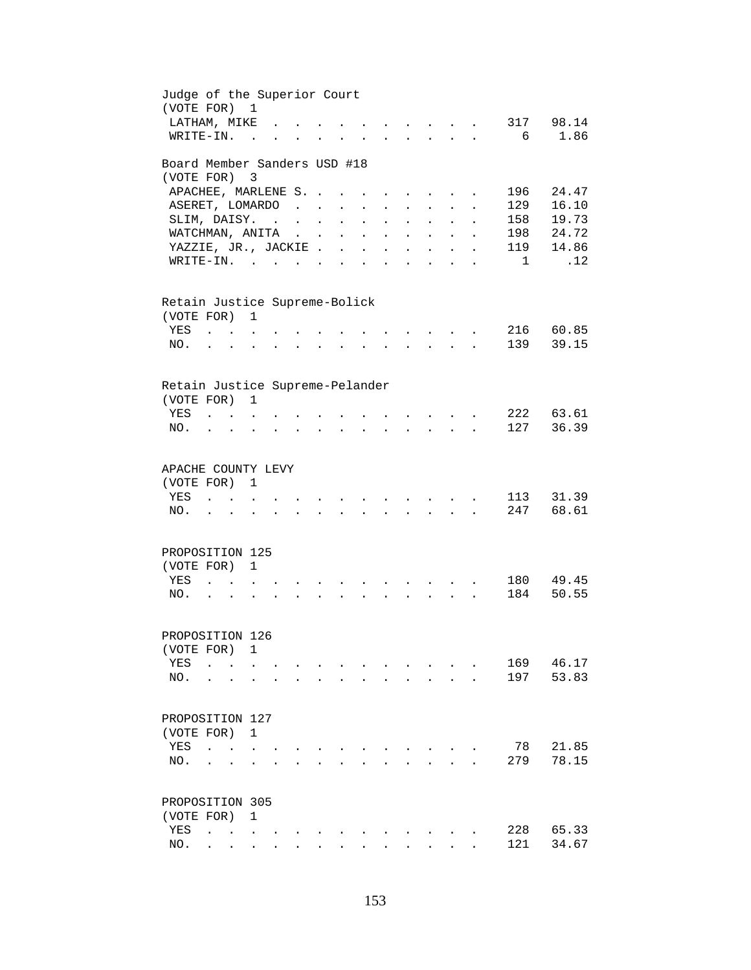| Judge of the Superior Court<br>(VOTE FOR) 1   |                                                           |                                        |               |                      |                                                                                          |                               |                                 |                           |                      |                                                           |                                            |              |                      |              |       |
|-----------------------------------------------|-----------------------------------------------------------|----------------------------------------|---------------|----------------------|------------------------------------------------------------------------------------------|-------------------------------|---------------------------------|---------------------------|----------------------|-----------------------------------------------------------|--------------------------------------------|--------------|----------------------|--------------|-------|
| LATHAM, MIKE                                  |                                                           |                                        |               |                      |                                                                                          |                               |                                 |                           |                      | $\mathbf{r}$ , $\mathbf{r}$ , $\mathbf{r}$ , $\mathbf{r}$ |                                            |              | $\sim$               | 317          | 98.14 |
| WRITE-IN.                                     |                                                           |                                        | $\sim$ $\sim$ |                      |                                                                                          |                               |                                 | $\mathbf{L} = \mathbf{L}$ |                      |                                                           | $\mathbf{r}$ , $\mathbf{r}$ , $\mathbf{r}$ |              |                      | 6            | 1.86  |
| Board Member Sanders USD #18                  |                                                           |                                        |               |                      |                                                                                          |                               |                                 |                           |                      |                                                           |                                            |              |                      |              |       |
| (VOTE FOR) 3                                  |                                                           |                                        |               |                      |                                                                                          |                               |                                 |                           |                      |                                                           |                                            |              |                      |              |       |
| APACHEE, MARLENE S. .                         |                                                           |                                        |               |                      |                                                                                          |                               |                                 |                           |                      | $\ddot{\phantom{a}}$                                      |                                            |              |                      | 196          | 24.47 |
| ASERET, LOMARDO                               |                                                           |                                        |               |                      | $\sim$ $\sim$                                                                            | $\sim 10^{-11}$               | $\mathbf{L}^{\text{max}}$       | $\ddot{\phantom{a}}$      |                      | $\ddot{\phantom{0}}$                                      | $\mathcal{L}^{\text{max}}$                 |              |                      | 129          | 16.10 |
| SLIM, DAISY.                                  |                                                           |                                        |               |                      |                                                                                          | $\sim 10^{-11}$               | $\sim$                          | $\sim$                    | $\ddot{\phantom{0}}$ | $\ddot{\phantom{a}}$                                      | $\ddot{\phantom{0}}$                       |              |                      | 158          | 19.73 |
| WATCHMAN, ANITA                               |                                                           |                                        |               |                      | $\mathcal{L}(\mathcal{L})$ and $\mathcal{L}(\mathcal{L})$                                |                               | $\ddot{\phantom{a}}$            | $\mathbf{L}$              | $\mathbf{r}$         | $\mathbf{L}$                                              | $\sim$                                     | $\mathbf{r}$ |                      | 198          | 24.72 |
| YAZZIE, JR., JACKIE                           |                                                           |                                        |               |                      |                                                                                          |                               |                                 |                           | $\mathbf{L}$         |                                                           | $\mathbf{r} = \mathbf{r}$                  | $\mathbf{A}$ | $\ddot{\phantom{a}}$ | 119          | 14.86 |
| WRITE-IN.                                     |                                                           |                                        |               |                      |                                                                                          |                               |                                 |                           |                      |                                                           |                                            | $\sim$       | $\ddot{\phantom{a}}$ | $\mathbf{1}$ | .12   |
| Retain Justice Supreme-Bolick<br>(VOTE FOR) 1 |                                                           |                                        |               |                      |                                                                                          |                               |                                 |                           |                      |                                                           |                                            |              |                      |              |       |
| YES                                           | $\sim$ $\sim$ $\sim$                                      |                                        |               |                      |                                                                                          |                               |                                 |                           |                      |                                                           |                                            |              |                      | 216          | 60.85 |
| NO.                                           |                                                           |                                        |               |                      |                                                                                          |                               |                                 |                           |                      |                                                           |                                            |              |                      | 139          | 39.15 |
|                                               |                                                           |                                        |               |                      |                                                                                          |                               |                                 |                           |                      |                                                           |                                            |              |                      |              |       |
| Retain Justice Supreme-Pelander               |                                                           |                                        |               |                      |                                                                                          |                               |                                 |                           |                      |                                                           |                                            |              |                      |              |       |
| (VOTE FOR)                                    |                                                           |                                        | $\mathbf{1}$  |                      |                                                                                          |                               |                                 |                           |                      |                                                           |                                            |              |                      |              |       |
| YES                                           | $\mathbf{r} = \mathbf{r} \mathbf{r}$ . The $\mathbf{r}$   |                                        |               |                      |                                                                                          |                               |                                 |                           |                      |                                                           | <b>Contract Contract Street</b>            |              |                      | 222          | 63.61 |
| NO.                                           | $\mathbf{r} = \mathbf{r} + \mathbf{r}$                    |                                        |               | $\ddot{\phantom{0}}$ |                                                                                          | $\mathbf{L}$ and $\mathbf{L}$ | $\sim$ 100 $\pm$                | $\ddot{\phantom{0}}$      | $\sim$               |                                                           | $\mathbf{r} = \mathbf{r} \cdot \mathbf{r}$ |              |                      | 127          | 36.39 |
| APACHE COUNTY LEVY<br>(VOTE FOR) 1            |                                                           |                                        |               |                      |                                                                                          |                               |                                 |                           |                      |                                                           |                                            |              |                      |              |       |
| YES                                           | $\mathbf{r}$ , $\mathbf{r}$ , $\mathbf{r}$ , $\mathbf{r}$ |                                        |               |                      |                                                                                          |                               | $\mathbf{a}$ , and $\mathbf{a}$ |                           |                      | $\mathbf{r}$ , $\mathbf{r}$ , $\mathbf{r}$ , $\mathbf{r}$ |                                            |              |                      | 113          | 31.39 |
| NO.                                           | $\mathbf{L} = \mathbf{L}$                                 |                                        |               |                      | $\mathbf{r}$ , and $\mathbf{r}$ , and $\mathbf{r}$ , and $\mathbf{r}$ , and $\mathbf{r}$ |                               |                                 |                           |                      |                                                           |                                            |              |                      | 247          | 68.61 |
| PROPOSITION 125                               |                                                           |                                        |               |                      |                                                                                          |                               |                                 |                           |                      |                                                           |                                            |              |                      |              |       |
| (VOTE FOR) 1                                  |                                                           |                                        |               |                      |                                                                                          |                               |                                 |                           |                      |                                                           |                                            |              |                      |              |       |
| YES                                           |                                                           |                                        |               |                      |                                                                                          |                               |                                 |                           |                      |                                                           |                                            |              |                      | 180          | 49.45 |
| NO.                                           | $\ddot{\phantom{0}}$                                      |                                        |               |                      |                                                                                          |                               |                                 |                           |                      |                                                           |                                            |              |                      | 184          | 50.55 |
|                                               |                                                           |                                        |               |                      |                                                                                          |                               |                                 |                           |                      |                                                           |                                            |              |                      |              |       |
| PROPOSITION 126                               |                                                           |                                        |               |                      |                                                                                          |                               |                                 |                           |                      |                                                           |                                            |              |                      |              |       |
| (VOTE FOR) 1                                  |                                                           |                                        |               |                      |                                                                                          |                               |                                 |                           |                      |                                                           |                                            |              |                      |              |       |
| YES                                           | $\ddot{\phantom{a}}$                                      |                                        |               |                      |                                                                                          |                               |                                 |                           |                      |                                                           |                                            |              |                      | 169          | 46.17 |
| NO.                                           |                                                           |                                        |               |                      |                                                                                          |                               |                                 |                           |                      |                                                           |                                            |              |                      | 197          | 53.83 |
| PROPOSITION 127                               |                                                           |                                        |               |                      |                                                                                          |                               |                                 |                           |                      |                                                           |                                            |              |                      |              |       |
| (VOTE FOR) 1                                  |                                                           |                                        |               |                      |                                                                                          |                               |                                 |                           |                      |                                                           |                                            |              |                      |              |       |
| YES                                           | $\sim$                                                    | $\mathbf{r}$ . The set of $\mathbf{r}$ |               |                      |                                                                                          |                               |                                 |                           |                      |                                                           |                                            |              |                      | 78           | 21.85 |
| NO.                                           |                                                           |                                        |               |                      |                                                                                          |                               |                                 |                           |                      |                                                           |                                            |              |                      | 279          | 78.15 |
|                                               |                                                           |                                        |               |                      |                                                                                          |                               |                                 |                           |                      |                                                           |                                            |              |                      |              |       |
| PROPOSITION 305                               |                                                           |                                        |               |                      |                                                                                          |                               |                                 |                           |                      |                                                           |                                            |              |                      |              |       |
| (VOTE FOR)                                    |                                                           |                                        | 1             |                      |                                                                                          |                               |                                 |                           |                      |                                                           |                                            |              |                      |              |       |
| YES                                           |                                                           |                                        |               |                      |                                                                                          |                               |                                 |                           |                      |                                                           |                                            |              |                      | 228          | 65.33 |
| NO.                                           |                                                           |                                        |               |                      |                                                                                          |                               |                                 |                           |                      |                                                           |                                            |              |                      | 121          | 34.67 |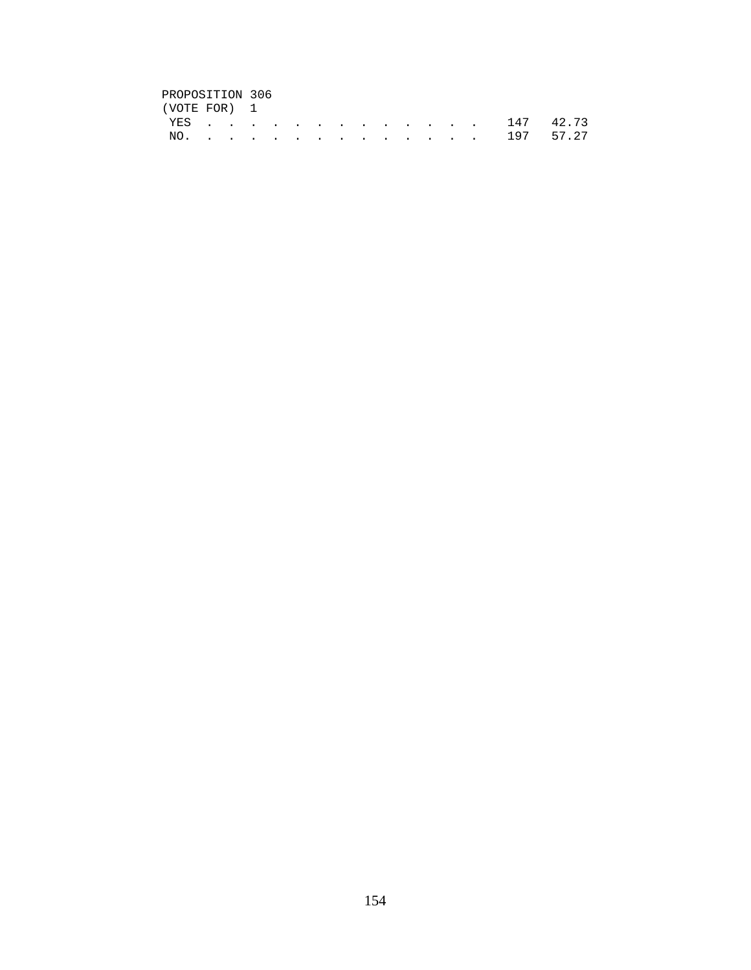# PROPOSITION 306<br>(VOTE FOR) 1

| (VOTE FOR) 1 |  |  |  |  |  |  |               |  |
|--------------|--|--|--|--|--|--|---------------|--|
|              |  |  |  |  |  |  | YES 147 42.73 |  |
|              |  |  |  |  |  |  | NO. 197 57.27 |  |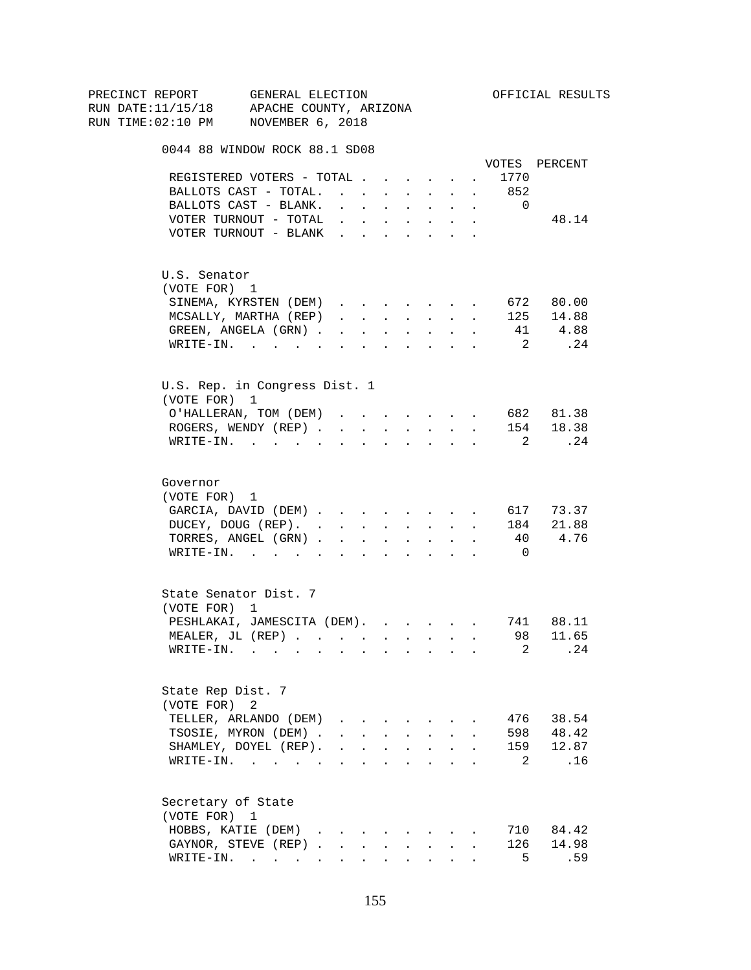| PRECINCT REPORT                          | GENERAL ELECTION              |                      |                                                                                                                                                                                                                                                                                                                                                                                                                                                                           |                                                             |                      |                                                           |                       |                      |                                     | OFFICIAL RESULTS |
|------------------------------------------|-------------------------------|----------------------|---------------------------------------------------------------------------------------------------------------------------------------------------------------------------------------------------------------------------------------------------------------------------------------------------------------------------------------------------------------------------------------------------------------------------------------------------------------------------|-------------------------------------------------------------|----------------------|-----------------------------------------------------------|-----------------------|----------------------|-------------------------------------|------------------|
| RUN DATE:11/15/18 APACHE COUNTY, ARIZONA |                               |                      |                                                                                                                                                                                                                                                                                                                                                                                                                                                                           |                                                             |                      |                                                           |                       |                      |                                     |                  |
| RUN TIME:02:10 PM NOVEMBER 6, 2018       |                               |                      |                                                                                                                                                                                                                                                                                                                                                                                                                                                                           |                                                             |                      |                                                           |                       |                      |                                     |                  |
|                                          | 0044 88 WINDOW ROCK 88.1 SD08 |                      |                                                                                                                                                                                                                                                                                                                                                                                                                                                                           |                                                             |                      |                                                           |                       |                      |                                     |                  |
|                                          |                               |                      |                                                                                                                                                                                                                                                                                                                                                                                                                                                                           |                                                             |                      |                                                           |                       |                      |                                     | VOTES PERCENT    |
|                                          | REGISTERED VOTERS - TOTAL     |                      |                                                                                                                                                                                                                                                                                                                                                                                                                                                                           |                                                             |                      |                                                           |                       | $\ddot{\phantom{a}}$ | 1770                                |                  |
|                                          | BALLOTS CAST - TOTAL          |                      |                                                                                                                                                                                                                                                                                                                                                                                                                                                                           |                                                             |                      |                                                           |                       |                      | $\cdot$ $\cdot$ $\cdot$ $\cdot$ 852 |                  |
|                                          | BALLOTS CAST - BLANK.         | $\ddot{\phantom{0}}$ | <b>Carl Carl Control</b>                                                                                                                                                                                                                                                                                                                                                                                                                                                  |                                                             |                      | <b>Service Control</b>                                    | $\bullet$ . $\bullet$ | $\sim$               | $\overline{0}$                      |                  |
|                                          | VOTER TURNOUT - TOTAL         |                      | $\mathbf{r} = \mathbf{r} \cdot \mathbf{r}$ , where $\mathbf{r} = \mathbf{r} \cdot \mathbf{r}$                                                                                                                                                                                                                                                                                                                                                                             |                                                             |                      | $\mathbf{u} = \mathbf{u} \cdot \mathbf{u}$ .              | $\bullet$ .           |                      |                                     | 48.14            |
|                                          | VOTER TURNOUT - BLANK         |                      |                                                                                                                                                                                                                                                                                                                                                                                                                                                                           |                                                             |                      |                                                           |                       |                      |                                     |                  |
| U.S. Senator                             |                               |                      |                                                                                                                                                                                                                                                                                                                                                                                                                                                                           |                                                             |                      |                                                           |                       |                      |                                     |                  |
| (VOTE FOR) 1                             |                               |                      |                                                                                                                                                                                                                                                                                                                                                                                                                                                                           |                                                             |                      |                                                           |                       |                      |                                     |                  |
|                                          | SINEMA, KYRSTEN (DEM)         |                      |                                                                                                                                                                                                                                                                                                                                                                                                                                                                           |                                                             |                      |                                                           |                       |                      |                                     | 672 80.00        |
|                                          | MCSALLY, MARTHA (REP)         |                      | $\mathbf{1} \qquad \qquad \mathbf{1} \qquad \qquad \mathbf{1} \qquad \qquad \mathbf{1} \qquad \qquad \mathbf{1} \qquad \qquad \mathbf{1} \qquad \qquad \mathbf{1} \qquad \qquad \mathbf{1} \qquad \qquad \mathbf{1} \qquad \qquad \mathbf{1} \qquad \qquad \mathbf{1} \qquad \qquad \mathbf{1} \qquad \qquad \mathbf{1} \qquad \qquad \mathbf{1} \qquad \qquad \mathbf{1} \qquad \qquad \mathbf{1} \qquad \qquad \mathbf{1} \qquad \mathbf{1} \qquad \qquad \mathbf{1} \$ |                                                             |                      |                                                           |                       |                      | 125                                 | 14.88            |
|                                          | GREEN, ANGELA (GRN).          |                      | $\mathbf{r}$ , $\mathbf{r}$ , $\mathbf{r}$                                                                                                                                                                                                                                                                                                                                                                                                                                |                                                             |                      | $\mathbf{z} = \mathbf{z} + \mathbf{z}$ . The $\mathbf{z}$ | $\sim$ $-$            | $\ddot{\phantom{a}}$ |                                     | 41 4.88          |
|                                          | $\texttt{WRTTE-IN.}$          |                      | <b>All All Andrew</b>                                                                                                                                                                                                                                                                                                                                                                                                                                                     |                                                             |                      | $\mathbf{r} = \mathbf{r} \cdot \mathbf{r}$ .              | $\sim$                | $\sim$               | 2                                   | .24              |
|                                          | U.S. Rep. in Congress Dist. 1 |                      |                                                                                                                                                                                                                                                                                                                                                                                                                                                                           |                                                             |                      |                                                           |                       |                      |                                     |                  |
| (VOTE FOR) 1                             |                               |                      |                                                                                                                                                                                                                                                                                                                                                                                                                                                                           |                                                             |                      |                                                           |                       |                      |                                     |                  |
|                                          | O'HALLERAN, TOM (DEM)         |                      |                                                                                                                                                                                                                                                                                                                                                                                                                                                                           |                                                             |                      |                                                           |                       |                      |                                     | 682 81.38        |
|                                          | ROGERS, WENDY (REP)           |                      |                                                                                                                                                                                                                                                                                                                                                                                                                                                                           |                                                             |                      |                                                           |                       |                      |                                     | 154 18.38        |
|                                          | WRITE-IN.                     |                      |                                                                                                                                                                                                                                                                                                                                                                                                                                                                           | <b>Contract Contract</b>                                    |                      | $\sim$ $\sim$ $\sim$ $\sim$ $\sim$                        |                       |                      | $\overline{\phantom{a}}^2$          | .24              |
| Governor                                 |                               |                      |                                                                                                                                                                                                                                                                                                                                                                                                                                                                           |                                                             |                      |                                                           |                       |                      |                                     |                  |
| (VOTE FOR) 1                             |                               |                      |                                                                                                                                                                                                                                                                                                                                                                                                                                                                           |                                                             |                      |                                                           |                       |                      |                                     |                  |
|                                          | GARCIA, DAVID (DEM)           |                      |                                                                                                                                                                                                                                                                                                                                                                                                                                                                           |                                                             |                      |                                                           |                       |                      |                                     | 617 73.37        |
|                                          | DUCEY, DOUG (REP).            |                      |                                                                                                                                                                                                                                                                                                                                                                                                                                                                           |                                                             |                      |                                                           |                       |                      |                                     | 184 21.88        |
|                                          | TORRES, ANGEL (GRN)           |                      |                                                                                                                                                                                                                                                                                                                                                                                                                                                                           |                                                             |                      |                                                           |                       |                      | 40                                  | 4.76             |
|                                          | WRITE-IN.                     |                      |                                                                                                                                                                                                                                                                                                                                                                                                                                                                           |                                                             |                      |                                                           |                       |                      | $\overline{0}$                      |                  |
|                                          | State Senator Dist. 7         |                      |                                                                                                                                                                                                                                                                                                                                                                                                                                                                           |                                                             |                      |                                                           |                       |                      |                                     |                  |
| (VOTE FOR) 1                             |                               |                      |                                                                                                                                                                                                                                                                                                                                                                                                                                                                           |                                                             |                      |                                                           |                       |                      |                                     |                  |
|                                          | PESHLAKAI, JAMESCITA (DEM).   |                      |                                                                                                                                                                                                                                                                                                                                                                                                                                                                           |                                                             |                      |                                                           |                       |                      |                                     | 741 88.11        |
|                                          | MEALER, JL (REP).             |                      |                                                                                                                                                                                                                                                                                                                                                                                                                                                                           |                                                             |                      |                                                           |                       |                      |                                     | 98 11.65         |
|                                          | $\texttt{WRITE-IN.}$          |                      |                                                                                                                                                                                                                                                                                                                                                                                                                                                                           |                                                             |                      |                                                           |                       |                      | 2                                   | .24              |
| State Rep Dist. 7                        |                               |                      |                                                                                                                                                                                                                                                                                                                                                                                                                                                                           |                                                             |                      |                                                           |                       |                      |                                     |                  |
| (VOTE FOR)                               | 2                             |                      |                                                                                                                                                                                                                                                                                                                                                                                                                                                                           |                                                             |                      |                                                           |                       |                      |                                     |                  |
|                                          | TELLER, ARLANDO (DEM)         |                      | $\mathbf{r} = \mathbf{r} + \mathbf{r} + \mathbf{r}$                                                                                                                                                                                                                                                                                                                                                                                                                       |                                                             |                      |                                                           |                       |                      | 476                                 | 38.54            |
|                                          | TSOSIE, MYRON (DEM).          |                      | $\mathbf{r} = \mathbf{r} + \mathbf{r} + \mathbf{r} + \mathbf{r}$                                                                                                                                                                                                                                                                                                                                                                                                          |                                                             |                      |                                                           | $\sim$                |                      | 598                                 | 48.42            |
|                                          | SHAMLEY, DOYEL (REP).         |                      | $\mathbf{r}$ , $\mathbf{r}$ , $\mathbf{r}$ , $\mathbf{r}$                                                                                                                                                                                                                                                                                                                                                                                                                 |                                                             |                      |                                                           | $\ddot{\phantom{a}}$  |                      | 159                                 | 12.87            |
|                                          | WRITE-IN.                     |                      |                                                                                                                                                                                                                                                                                                                                                                                                                                                                           |                                                             |                      |                                                           |                       |                      | 2                                   | .16              |
| Secretary of State                       |                               |                      |                                                                                                                                                                                                                                                                                                                                                                                                                                                                           |                                                             |                      |                                                           |                       |                      |                                     |                  |
| (VOTE FOR) 1                             |                               |                      |                                                                                                                                                                                                                                                                                                                                                                                                                                                                           |                                                             |                      |                                                           |                       |                      |                                     |                  |
|                                          | HOBBS, KATIE (DEM).           | $\sim$               |                                                                                                                                                                                                                                                                                                                                                                                                                                                                           |                                                             |                      |                                                           |                       |                      | 710                                 | 84.42            |
|                                          | GAYNOR, STEVE (REP).          | $\sim$               |                                                                                                                                                                                                                                                                                                                                                                                                                                                                           |                                                             |                      |                                                           |                       |                      | 126                                 | 14.98            |
|                                          | WRITE-IN.                     | $\sim 100$           | $\bullet$ .<br><br><br><br><br><br><br><br><br><br><br><br>                                                                                                                                                                                                                                                                                                                                                                                                               | $\bullet$ .<br><br><br><br><br><br><br><br><br><br><br><br> | $\ddot{\phantom{0}}$ | <b>Contractor</b>                                         |                       |                      | 5                                   | .59              |
|                                          |                               |                      |                                                                                                                                                                                                                                                                                                                                                                                                                                                                           |                                                             |                      |                                                           |                       |                      |                                     |                  |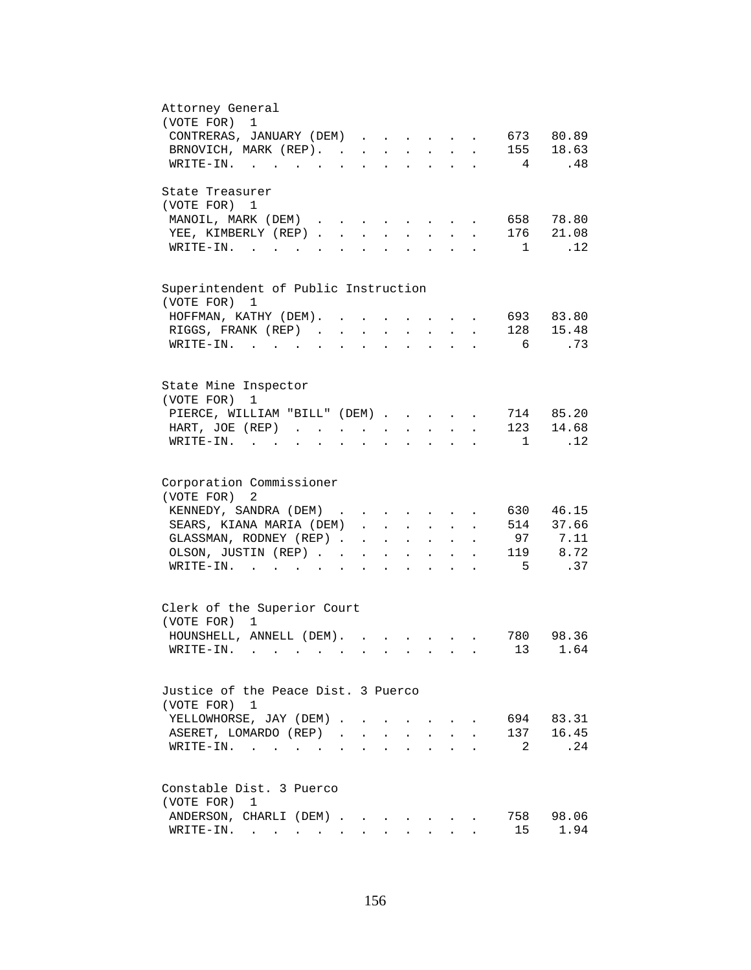| Attorney General<br>(VOTE FOR) 1                                                                                                                                 |
|------------------------------------------------------------------------------------------------------------------------------------------------------------------|
| CONTRERAS, JANUARY (DEM)<br>673 80.89<br>$\ddot{\phantom{a}}$                                                                                                    |
| 155 18.63<br>BRNOVICH, MARK (REP).                                                                                                                               |
| .48<br>WRITE-IN.<br>4                                                                                                                                            |
|                                                                                                                                                                  |
| State Treasurer                                                                                                                                                  |
| (VOTE FOR) 1                                                                                                                                                     |
| MANOIL, MARK (DEM)<br>658 78.80                                                                                                                                  |
| 176 21.08<br>YEE, KIMBERLY (REP).<br>$\mathbf{r}$                                                                                                                |
| .12<br>WRITE-IN.<br>$\overline{1}$                                                                                                                               |
|                                                                                                                                                                  |
| Superintendent of Public Instruction<br>(VOTE FOR)<br>1                                                                                                          |
| 693 83.80<br>HOFFMAN, KATHY (DEM). .<br>$\ddot{\phantom{a}}$<br>$\bullet$                                                                                        |
| 128 15.48<br>RIGGS, FRANK (REP)<br>$\sim 10^{-11}$<br>$\sim 10^{-11}$<br>$\ddot{\phantom{a}}$<br>$\ddot{\phantom{a}}$<br>$\mathcal{L}^{\text{max}}$<br>$\bullet$ |
| .73<br>6<br>WRITE-IN.                                                                                                                                            |
| $\sim$ $\sim$                                                                                                                                                    |
|                                                                                                                                                                  |
| State Mine Inspector<br>(VOTE FOR)<br>1                                                                                                                          |
| 714 85.20<br>PIERCE, WILLIAM "BILL" (DEM)                                                                                                                        |
| 14.68<br>123<br>HART, JOE (REP)                                                                                                                                  |
| .12<br>$WRITE-IN.$<br>1<br>$\mathbf{r}$ and $\mathbf{r}$ and $\mathbf{r}$ and $\mathbf{r}$<br>$\mathbf{L} = \mathbf{L}$<br>$\sim$<br>$\ddot{\phantom{a}}$        |
|                                                                                                                                                                  |
| Corporation Commissioner                                                                                                                                         |
| (VOTE FOR) 2                                                                                                                                                     |
| 46.15<br>KENNEDY, SANDRA (DEM)<br>630<br>$\mathbf{r}$ , and $\mathbf{r}$ , and $\mathbf{r}$ , and $\mathbf{r}$                                                   |
| 514 37.66<br>SEARS, KIANA MARIA (DEM)<br>$\mathbf{L}$                                                                                                            |
| 97 7.11<br>GLASSMAN, RODNEY (REP)<br>$\mathbf{1}$ $\mathbf{1}$ $\mathbf{1}$ $\mathbf{1}$ $\mathbf{1}$ $\mathbf{1}$ $\mathbf{1}$<br>$\ddot{\phantom{1}}$          |
| 119 8.72<br>OLSON, JUSTIN (REP)<br><b>Contract Contract</b><br>$\mathbf{L}^{\text{max}}$ .                                                                       |
| .37<br>5<br>WRITE-IN.<br>$\mathbf{r}$ . The contract of the contract of $\mathbf{r}$<br>$\sim$<br>$\ddot{\phantom{a}}$                                           |
| $\ddot{\phantom{0}}$                                                                                                                                             |
| Clerk of the Superior Court                                                                                                                                      |
| (VOTE FOR) 1                                                                                                                                                     |
| HOUNSHELL, ANNELL (DEM).<br>780 98.36<br>$\mathbf{r}$ , $\mathbf{r}$ , $\mathbf{r}$                                                                              |
| 13 1.64<br>WRITE-IN.                                                                                                                                             |
|                                                                                                                                                                  |
| Justice of the Peace Dist. 3 Puerco                                                                                                                              |
| (VOTE FOR) 1                                                                                                                                                     |
| YELLOWHORSE, JAY (DEM).<br>694<br>83.31                                                                                                                          |
| 137 16.45<br>ASERET, LOMARDO (REP).<br>$\mathbf{r}$                                                                                                              |
| 2<br>.24<br>$WRITE-IN.$                                                                                                                                          |
|                                                                                                                                                                  |
| Constable Dist. 3 Puerco                                                                                                                                         |
| (VOTE FOR)<br>1                                                                                                                                                  |
| 758<br>ANDERSON, CHARLI (DEM).<br>98.06                                                                                                                          |
| 15<br>1.94<br>$\texttt{WRTTE-IN.}$                                                                                                                               |
|                                                                                                                                                                  |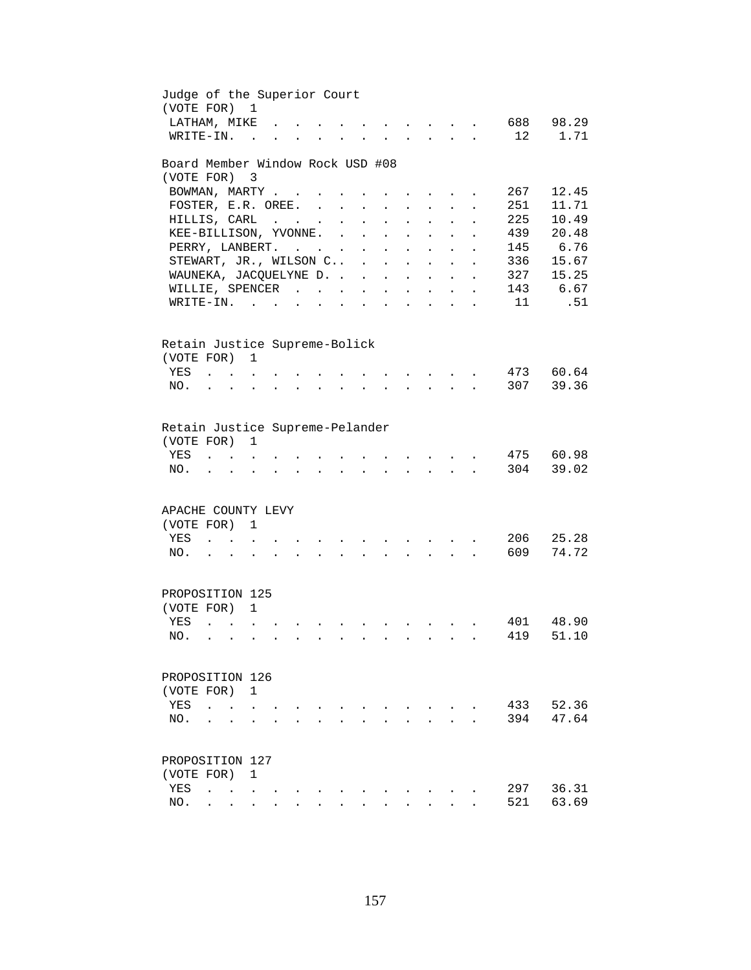| Judge of the Superior Court<br>(VOTE FOR) |                                        |                               | $\mathbf{1}$             |  |                      |                          |                           |                                                              |                                      |                            |                      |     |          |
|-------------------------------------------|----------------------------------------|-------------------------------|--------------------------|--|----------------------|--------------------------|---------------------------|--------------------------------------------------------------|--------------------------------------|----------------------------|----------------------|-----|----------|
| LATHAM, MIKE                              |                                        |                               |                          |  |                      |                          |                           |                                                              |                                      |                            |                      | 688 | 98.29    |
| WRITE-IN.                                 |                                        |                               | $\overline{a}$           |  |                      |                          |                           |                                                              |                                      |                            |                      | 12  | 1.71     |
| Board Member Window Rock USD #08          |                                        |                               |                          |  |                      |                          |                           |                                                              |                                      |                            |                      |     |          |
| (VOTE FOR)                                |                                        |                               | $\overline{\phantom{a}}$ |  |                      |                          |                           |                                                              |                                      |                            |                      |     |          |
| BOWMAN, MARTY                             |                                        |                               |                          |  |                      |                          |                           |                                                              |                                      |                            |                      | 267 | 12.45    |
| FOSTER, E.R. OREE.                        |                                        |                               |                          |  |                      | $\ddot{\phantom{0}}$     |                           |                                                              |                                      |                            |                      | 251 | 11.71    |
| HILLIS, CARL                              |                                        |                               |                          |  | $\ddot{\phantom{a}}$ | $\ddot{\phantom{a}}$     |                           |                                                              |                                      |                            |                      | 225 | 10.49    |
| KEE-BILLISON, YVONNE.                     |                                        |                               |                          |  | $\sim$ $\sim$        | $\ddot{\phantom{a}}$     |                           | $\ddot{\phantom{a}}$                                         |                                      |                            |                      | 439 | 20.48    |
| PERRY, LANBERT.                           |                                        |                               |                          |  |                      | $\sim$ $-$               | $\mathbf{r}$              | <b>Contract Contract</b>                                     | $\sim$                               | $\ddot{\phantom{0}}$       | $\ddot{\phantom{a}}$ |     | 145 6.76 |
| STEWART, JR., WILSON C .                  |                                        |                               |                          |  |                      |                          |                           | $\mathbf{L} = \mathbf{L} \mathbf{L} + \mathbf{L} \mathbf{L}$ |                                      | $\ddot{\phantom{0}}$       | $\ddot{\phantom{a}}$ | 336 | 15.67    |
| WAUNEKA, JACQUELYNE D.                    |                                        |                               |                          |  |                      |                          |                           | $\mathbf{r} = \mathbf{r}$ and $\mathbf{r} = \mathbf{r}$      |                                      | $\mathbf{r}$               | $\ddot{\phantom{a}}$ | 327 | 15.25    |
| WILLIE, SPENCER                           |                                        |                               |                          |  |                      |                          |                           | <b>All Carl Adams</b>                                        |                                      | $\mathcal{L}^{\text{max}}$ | $\ddot{\phantom{a}}$ |     | 143 6.67 |
| $\texttt{WRTTE-IN.}$                      |                                        |                               |                          |  | $\bullet$            | <b>Contract Contract</b> | $\mathbf{L}^{\text{max}}$ | $\ddot{\phantom{a}}$                                         | <b>Contract Contract</b>             | $\mathbf{L} = \mathbf{L}$  | $\bullet$            | 11  | .51      |
|                                           |                                        |                               |                          |  |                      |                          |                           |                                                              |                                      |                            |                      |     |          |
| Retain Justice Supreme-Bolick             |                                        |                               |                          |  |                      |                          |                           |                                                              |                                      |                            |                      |     |          |
| (VOTE FOR) 1                              |                                        |                               |                          |  |                      |                          |                           |                                                              |                                      |                            |                      |     |          |
| YES                                       | $\mathbf{r}$ . The set of $\mathbf{r}$ |                               | $\sim$ $\sim$            |  |                      |                          |                           |                                                              | $\mathbf{L} = \mathbf{L} \mathbf{L}$ |                            |                      | 473 | 60.64    |
| NO.                                       |                                        | $\mathbf{r}$                  |                          |  |                      |                          |                           |                                                              | $\mathbf{L}$                         |                            |                      | 307 | 39.36    |
|                                           |                                        |                               |                          |  |                      |                          |                           |                                                              |                                      |                            |                      |     |          |
| Retain Justice Supreme-Pelander           |                                        |                               |                          |  |                      |                          |                           |                                                              |                                      |                            |                      |     |          |
| (VOTE FOR)                                |                                        |                               | 1                        |  |                      |                          |                           |                                                              |                                      |                            |                      |     |          |
| YES                                       |                                        |                               |                          |  |                      |                          |                           |                                                              |                                      |                            |                      | 475 | 60.98    |
| NO.                                       |                                        |                               |                          |  |                      |                          |                           |                                                              |                                      |                            |                      | 304 | 39.02    |
|                                           |                                        |                               |                          |  |                      |                          |                           |                                                              |                                      |                            |                      |     |          |
| APACHE COUNTY LEVY                        |                                        |                               |                          |  |                      |                          |                           |                                                              |                                      |                            |                      |     |          |
| (VOTE FOR)                                |                                        |                               | 1                        |  |                      |                          |                           |                                                              |                                      |                            |                      |     |          |
| YES                                       |                                        | $\mathbf{L}$ and $\mathbf{L}$ |                          |  |                      |                          |                           |                                                              |                                      |                            |                      | 206 | 25.28    |
| NO.                                       | $\mathbf{z} = \mathbf{z}$              |                               | $\ddot{\phantom{a}}$     |  |                      |                          |                           |                                                              | $\sim 10^{-10}$                      |                            |                      | 609 | 74.72    |
|                                           |                                        |                               |                          |  |                      |                          |                           |                                                              |                                      |                            |                      |     |          |
| PROPOSITION 125                           |                                        |                               |                          |  |                      |                          |                           |                                                              |                                      |                            |                      |     |          |
| (VOTE FOR) 1                              |                                        |                               |                          |  |                      |                          |                           |                                                              |                                      |                            |                      |     |          |
| YES                                       | $\sim$                                 | $\sim$ $\sim$ $\sim$          | $\ddot{\phantom{a}}$     |  |                      |                          |                           |                                                              |                                      |                            |                      | 401 | 48.90    |
| NO.                                       |                                        |                               |                          |  |                      |                          |                           |                                                              |                                      |                            |                      | 419 | 51.10    |
| PROPOSITION 126                           |                                        |                               |                          |  |                      |                          |                           |                                                              |                                      |                            |                      |     |          |
|                                           |                                        |                               |                          |  |                      |                          |                           |                                                              |                                      |                            |                      |     |          |
| (VOTE FOR)                                |                                        |                               | 1                        |  |                      |                          |                           |                                                              |                                      |                            |                      |     |          |
| YES                                       |                                        |                               |                          |  |                      |                          |                           |                                                              |                                      |                            |                      | 433 | 52.36    |
| NO.                                       |                                        |                               |                          |  |                      |                          |                           |                                                              |                                      |                            |                      | 394 | 47.64    |
|                                           |                                        |                               |                          |  |                      |                          |                           |                                                              |                                      |                            |                      |     |          |
| PROPOSITION 127                           |                                        |                               |                          |  |                      |                          |                           |                                                              |                                      |                            |                      |     |          |
| (VOTE FOR)                                |                                        |                               | 1                        |  |                      |                          |                           |                                                              |                                      |                            |                      |     |          |
| YES                                       | $\ddot{\phantom{a}}$                   | $\ddot{\phantom{0}}$          |                          |  |                      |                          |                           |                                                              |                                      |                            |                      | 297 | 36.31    |
| NO.                                       |                                        |                               |                          |  |                      |                          |                           |                                                              |                                      |                            |                      | 521 | 63.69    |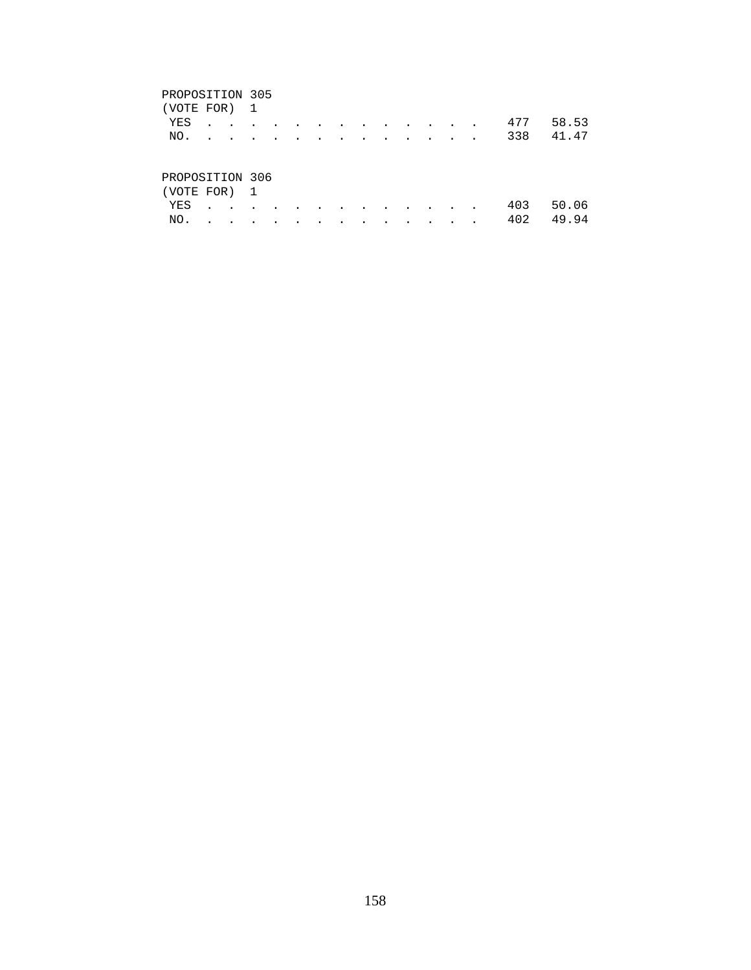# PROPOSITION 305

| (VOTE FOR) 1    |  |  |  |  |  |  |     |       |
|-----------------|--|--|--|--|--|--|-----|-------|
| YES             |  |  |  |  |  |  | 477 | 58.53 |
| NO.             |  |  |  |  |  |  | 338 | 41.47 |
|                 |  |  |  |  |  |  |     |       |
|                 |  |  |  |  |  |  |     |       |
| PROPOSITION 306 |  |  |  |  |  |  |     |       |

| (VOTE FOR) 1 |  |  |  |  |  |  |               |  |
|--------------|--|--|--|--|--|--|---------------|--|
|              |  |  |  |  |  |  | YES 403 50.06 |  |
|              |  |  |  |  |  |  | NO. 402 49.94 |  |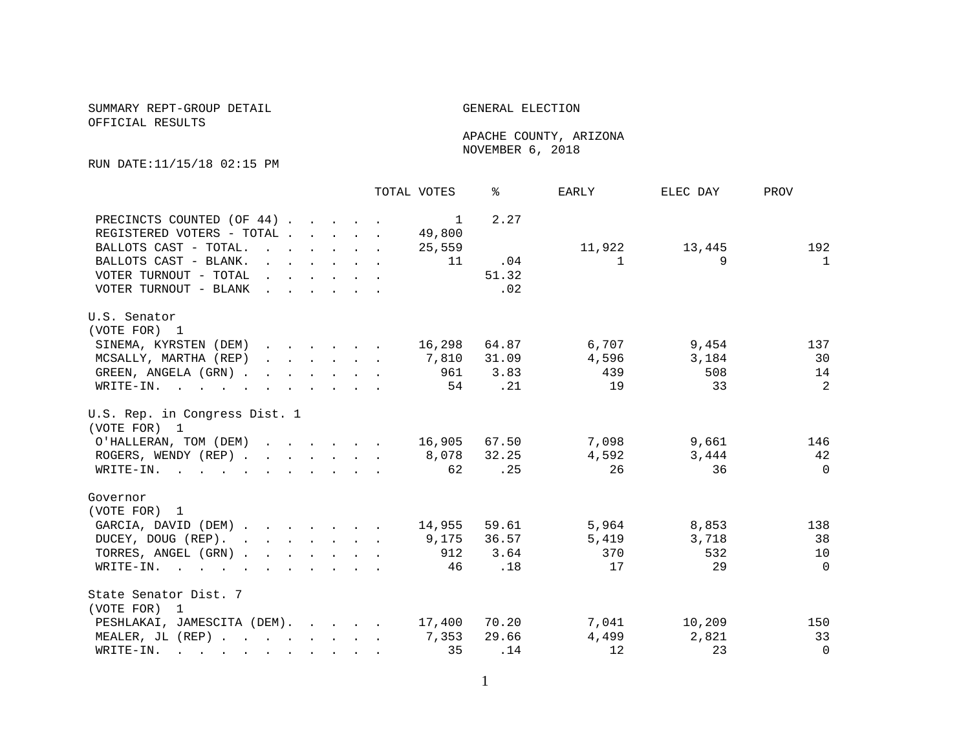## SUMMARY REPT-GROUP DETAIL GENERAL ELECTION OFFICIAL RESULTS

 APACHE COUNTY, ARIZONA NOVEMBER 6, 2018

RUN DATE:11/15/18 02:15 PM

|                                    |                                                                 |                                                                                              |  |                                                           | TOTAL VOTES    | ႜ            | EARLY  | ELEC DAY | PROV         |
|------------------------------------|-----------------------------------------------------------------|----------------------------------------------------------------------------------------------|--|-----------------------------------------------------------|----------------|--------------|--------|----------|--------------|
| PRECINCTS COUNTED (OF 44)          |                                                                 |                                                                                              |  |                                                           | $\overline{1}$ | 2.27         |        |          |              |
| REGISTERED VOTERS - TOTAL .        |                                                                 |                                                                                              |  | $\mathbf{r}$ , $\mathbf{r}$ , $\mathbf{r}$ , $\mathbf{r}$ | 49,800         |              |        |          |              |
| BALLOTS CAST - TOTAL.              | and the contract of the contract of                             |                                                                                              |  |                                                           | 25,559         |              | 11,922 | 13,445   | 192          |
| BALLOTS CAST - BLANK.              |                                                                 |                                                                                              |  |                                                           | 11             | .04          | 1      | 9        | $\mathbf{1}$ |
| VOTER TURNOUT - TOTAL .            |                                                                 | $\mathcal{L}^{\text{max}}$ , and $\mathcal{L}^{\text{max}}$ , and $\mathcal{L}^{\text{max}}$ |  |                                                           |                | 51.32        |        |          |              |
| VOTER TURNOUT - BLANK              |                                                                 |                                                                                              |  |                                                           |                | .02          |        |          |              |
| U.S. Senator                       |                                                                 |                                                                                              |  |                                                           |                |              |        |          |              |
| (VOTE FOR) 1                       |                                                                 |                                                                                              |  |                                                           |                |              |        |          |              |
| SINEMA, KYRSTEN (DEM)              |                                                                 |                                                                                              |  |                                                           | 16,298         | 64.87        | 6,707  | 9,454    | 137          |
| MCSALLY, MARTHA (REP)              | $\mathbf{r}$ and $\mathbf{r}$ and $\mathbf{r}$ and $\mathbf{r}$ |                                                                                              |  |                                                           |                | 7,810 31.09  | 4,596  | 3,184    | 30           |
| GREEN, ANGELA (GRN).               |                                                                 |                                                                                              |  |                                                           | 961            | 3.83         | 439    | 508      | 14           |
| $\texttt{WRTTE-IN.}$               |                                                                 |                                                                                              |  |                                                           | 54             | $\ldots$     | 19     | 33       | 2            |
| U.S. Rep. in Congress Dist. 1      |                                                                 |                                                                                              |  |                                                           |                |              |        |          |              |
| (VOTE FOR) 1                       |                                                                 |                                                                                              |  |                                                           |                |              |        |          |              |
| O'HALLERAN, TOM (DEM)              |                                                                 |                                                                                              |  |                                                           |                | 16,905 67.50 | 7,098  | 9,661    | 146          |
| ROGERS, WENDY (REP)                |                                                                 |                                                                                              |  |                                                           |                | 8,078 32.25  | 4,592  | 3,444    | 42           |
| WRITE-IN.                          |                                                                 |                                                                                              |  |                                                           | 62             | .25          | 26     | 36       | $\Omega$     |
| Governor                           |                                                                 |                                                                                              |  |                                                           |                |              |        |          |              |
| (VOTE FOR) 1                       |                                                                 |                                                                                              |  |                                                           |                |              |        |          |              |
| GARCIA, DAVID (DEM)                |                                                                 |                                                                                              |  |                                                           | 14,955         | 59.61        | 5,964  | 8,853    | 138          |
| DUCEY, DOUG (REP).                 |                                                                 |                                                                                              |  |                                                           |                | 9,175 36.57  | 5,419  | 3,718    | 38           |
| TORRES, ANGEL (GRN)                |                                                                 |                                                                                              |  |                                                           | 912            | 3.64         | 370    | 532      | 10           |
| WRITE-IN.                          |                                                                 |                                                                                              |  |                                                           | 46             | .18          | 17     | 29       | $\Omega$     |
| State Senator Dist. 7              |                                                                 |                                                                                              |  |                                                           |                |              |        |          |              |
| (VOTE FOR) 1                       |                                                                 |                                                                                              |  |                                                           |                |              |        |          |              |
| PESHLAKAI, JAMESCITA (DEM). 17,400 |                                                                 |                                                                                              |  |                                                           |                | 70.20        | 7,041  | 10,209   | 150          |
| MEALER, JL (REP) 7,353             |                                                                 |                                                                                              |  |                                                           |                | 29.66        | 4,499  | 2,821    | 33           |
| WRITE-IN.                          |                                                                 |                                                                                              |  |                                                           | 35             | .14          | 12     | 23       | $\Omega$     |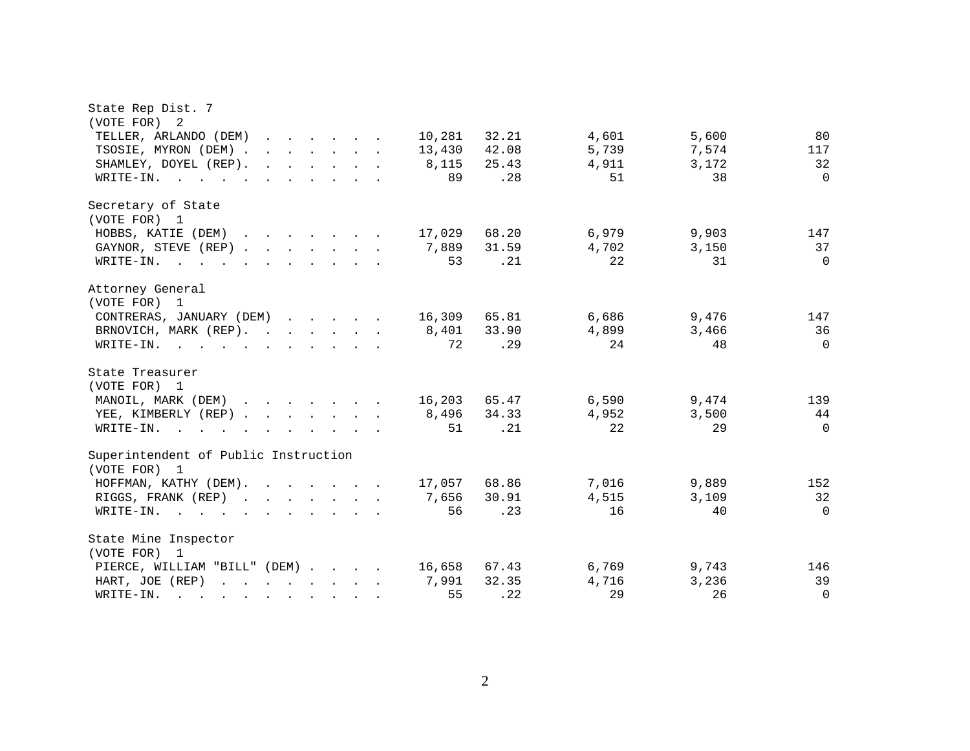| State Rep Dist. 7                                                                                                                                                                                                                                              |        |       |       |       |          |
|----------------------------------------------------------------------------------------------------------------------------------------------------------------------------------------------------------------------------------------------------------------|--------|-------|-------|-------|----------|
| (VOTE FOR) 2                                                                                                                                                                                                                                                   |        |       |       |       |          |
| TELLER, ARLANDO (DEM)<br>$\mathbf{r}$ and $\mathbf{r}$ and $\mathbf{r}$ and $\mathbf{r}$                                                                                                                                                                       | 10,281 | 32.21 | 4,601 | 5,600 | 80       |
| TSOSIE, MYRON (DEM).<br>$\mathbf{r}$ , $\mathbf{r}$ , $\mathbf{r}$ , $\mathbf{r}$ , $\mathbf{r}$ , $\mathbf{r}$                                                                                                                                                | 13,430 | 42.08 | 5,739 | 7,574 | 117      |
| SHAMLEY, DOYEL (REP).<br>$\mathbf{r}$ , $\mathbf{r}$ , $\mathbf{r}$ , $\mathbf{r}$ , $\mathbf{r}$                                                                                                                                                              | 8,115  | 25.43 | 4,911 | 3,172 | 32       |
| $\texttt{WRTTE-IN.}$                                                                                                                                                                                                                                           | 89     | .28   | 51    | 38    | $\Omega$ |
| Secretary of State                                                                                                                                                                                                                                             |        |       |       |       |          |
| (VOTE FOR) 1                                                                                                                                                                                                                                                   |        |       |       |       |          |
| HOBBS, KATIE (DEM)<br>$\mathbf{r} = \mathbf{r} - \mathbf{r}$ , $\mathbf{r} = \mathbf{r} - \mathbf{r}$ , $\mathbf{r} = \mathbf{r} - \mathbf{r}$                                                                                                                 | 17,029 | 68.20 | 6,979 | 9,903 | 147      |
| GAYNOR, STEVE (REP).<br>$\mathcal{L}(\mathbf{r},\mathbf{r})$ and $\mathcal{L}(\mathbf{r},\mathbf{r})$ . The contribution of $\mathcal{L}(\mathbf{r},\mathbf{r})$                                                                                               | 7,889  | 31.59 | 4,702 | 3,150 | 37       |
| $WRITE-IN$ , , , ,<br>$\mathbf{r}$ , $\mathbf{r}$ , $\mathbf{r}$ , $\mathbf{r}$                                                                                                                                                                                | 53     | .21   | 22    | 31    | $\Omega$ |
| Attorney General                                                                                                                                                                                                                                               |        |       |       |       |          |
| (VOTE FOR) 1                                                                                                                                                                                                                                                   |        |       |       |       |          |
| CONTRERAS, JANUARY (DEM)                                                                                                                                                                                                                                       | 16,309 | 65.81 | 6,686 | 9,476 | 147      |
| BRNOVICH, MARK (REP).                                                                                                                                                                                                                                          | 8,401  | 33.90 | 4,899 | 3,466 | 36       |
| WRITE-IN.                                                                                                                                                                                                                                                      | 72     | .29   | 24    | 48    | $\Omega$ |
| State Treasurer                                                                                                                                                                                                                                                |        |       |       |       |          |
| (VOTE FOR) 1                                                                                                                                                                                                                                                   |        |       |       |       |          |
| MANOIL, MARK (DEM)                                                                                                                                                                                                                                             | 16,203 | 65.47 | 6,590 | 9,474 | 139      |
| YEE, KIMBERLY (REP)                                                                                                                                                                                                                                            | 8,496  | 34.33 | 4,952 | 3,500 | 44       |
| $W\text{RITE}-\text{IN}.$<br>$\mathbf{r}$ . The contract of the contract of the contract of the contract of the contract of the contract of the contract of the contract of the contract of the contract of the contract of the contract of the contract of th | 51     | .21   | 22    | 29    | $\Omega$ |
| Superintendent of Public Instruction                                                                                                                                                                                                                           |        |       |       |       |          |
| (VOTE FOR) 1                                                                                                                                                                                                                                                   |        |       |       |       |          |
| HOFFMAN, KATHY (DEM).<br>$\mathbf{r}$ , $\mathbf{r}$ , $\mathbf{r}$ , $\mathbf{r}$ , $\mathbf{r}$                                                                                                                                                              | 17,057 | 68.86 | 7,016 | 9,889 | 152      |
| RIGGS, FRANK (REP)                                                                                                                                                                                                                                             | 7,656  | 30.91 | 4,515 | 3.109 | 32       |
| WRITE-IN.                                                                                                                                                                                                                                                      | 56     | .23   | 16    | 40    | $\Omega$ |
| State Mine Inspector                                                                                                                                                                                                                                           |        |       |       |       |          |
| (VOTE FOR) 1                                                                                                                                                                                                                                                   |        |       |       |       |          |
| PIERCE, WILLIAM "BILL" (DEM)                                                                                                                                                                                                                                   | 16,658 | 67.43 | 6,769 | 9,743 | 146      |
| HART, JOE (REP)<br><u>in the second contract of the second contract of the second contract of the second contract of the second contract of the second contract of the second contract of the second contract of the second contract of the second </u>        | 7,991  | 32.35 | 4,716 | 3,236 | 39       |
| WRITE-IN.<br>and the contract of the contract of the contract of the contract of the contract of the contract of the contract of the contract of the contract of the contract of the contract of the contract of the contract of the contra                    | 55     | .22   | 29    | 26    | $\Omega$ |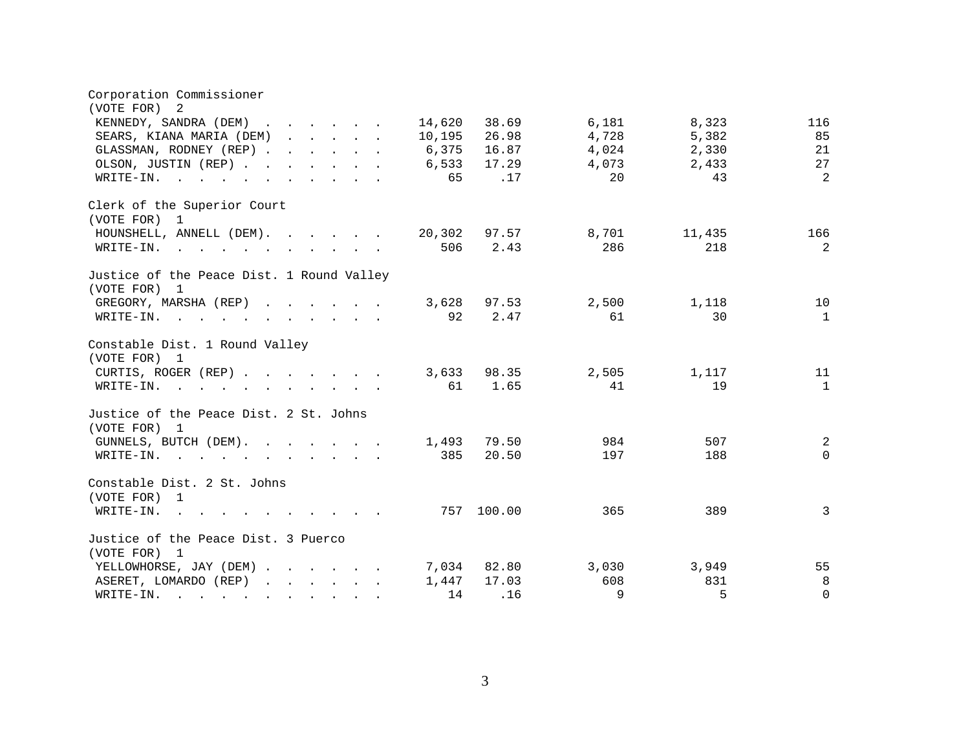| Corporation Commissioner<br>(VOTE FOR)<br>-2                                          |        |            |       |        |              |
|---------------------------------------------------------------------------------------|--------|------------|-------|--------|--------------|
| KENNEDY, SANDRA (DEM)                                                                 | 14,620 | 38.69      | 6,181 | 8,323  | 116          |
| SEARS, KIANA MARIA (DEM)<br>$\mathbf{r}$ , $\mathbf{r}$ , $\mathbf{r}$ , $\mathbf{r}$ | 10,195 | 26.98      | 4,728 | 5,382  | 85           |
| GLASSMAN, RODNEY (REP)                                                                | 6,375  | 16.87      | 4,024 | 2,330  | 21           |
| OLSON, JUSTIN (REP)                                                                   | 6,533  | 17.29      | 4,073 | 2,433  | 27           |
|                                                                                       | 65     | .17        | 20    | 43     | 2            |
| WRITE-IN.                                                                             |        |            |       |        |              |
| Clerk of the Superior Court                                                           |        |            |       |        |              |
| (VOTE FOR) 1                                                                          |        |            |       |        |              |
| HOUNSHELL, ANNELL (DEM).                                                              | 20,302 | 97.57      | 8,701 | 11,435 | 166          |
| WRITE-IN.                                                                             | 506    | 2.43       | 286   | 218    | 2            |
| Justice of the Peace Dist. 1 Round Valley                                             |        |            |       |        |              |
| (VOTE FOR) 1                                                                          |        |            |       |        |              |
| GREGORY, MARSHA (REP)                                                                 | 3,628  | 97.53      | 2,500 | 1,118  | 10           |
| WRITE-IN.                                                                             | 92     | 2.47       | 61    | 30     | $\mathbf{1}$ |
|                                                                                       |        |            |       |        |              |
| Constable Dist. 1 Round Valley                                                        |        |            |       |        |              |
| (VOTE FOR) 1                                                                          |        |            |       |        |              |
| CURTIS, ROGER (REP)                                                                   | 3,633  | 98.35      | 2,505 | 1,117  | 11           |
| $\texttt{WRTTE-IN.}$                                                                  | 61     | 1.65       | 41    | 19     | $\mathbf{1}$ |
|                                                                                       |        |            |       |        |              |
| Justice of the Peace Dist. 2 St. Johns                                                |        |            |       |        |              |
| (VOTE FOR) 1                                                                          |        |            |       |        |              |
| GUNNELS, BUTCH (DEM).                                                                 | 1,493  | 79.50      | 984   | 507    | 2            |
| WRITE-IN.                                                                             | 385    | 20.50      | 197   | 188    | $\Omega$     |
| Constable Dist. 2 St. Johns                                                           |        |            |       |        |              |
| (VOTE FOR) 1                                                                          |        |            |       |        |              |
| $W\text{RITE}-\text{IN}.$<br>$\mathbf{r}$ and $\mathbf{r}$ and $\mathbf{r}$           |        | 757 100.00 | 365   | 389    | 3            |
|                                                                                       |        |            |       |        |              |
| Justice of the Peace Dist. 3 Puerco                                                   |        |            |       |        |              |
| (VOTE FOR) 1                                                                          |        |            |       |        |              |
| YELLOWHORSE, JAY (DEM)                                                                | 7,034  | 82.80      | 3,030 | 3,949  | 55           |
| ASERET, LOMARDO (REP)                                                                 | 1,447  | 17.03      | 608   | 831    | 8            |
| WRITE-IN.<br>$\mathbf{r}$ and $\mathbf{r}$                                            | 14     | .16        | 9     | 5      | $\Omega$     |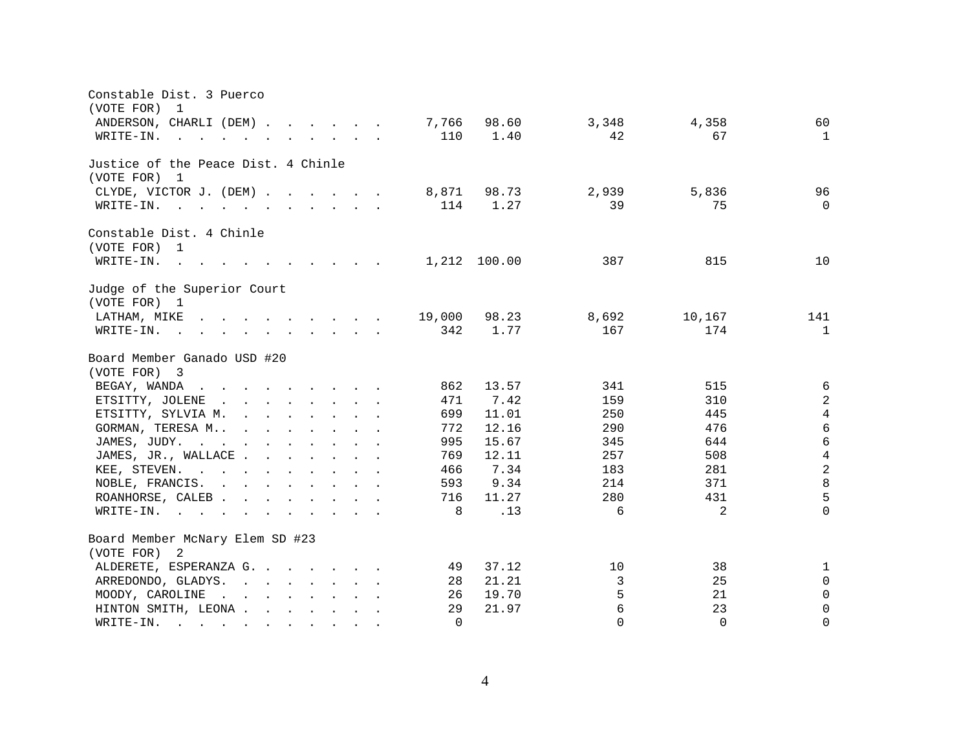| Constable Dist. 3 Puerco<br>(VOTE FOR)<br>1                                                                                                                                                                                                          |          |              |          |                |                     |
|------------------------------------------------------------------------------------------------------------------------------------------------------------------------------------------------------------------------------------------------------|----------|--------------|----------|----------------|---------------------|
| ANDERSON, CHARLI (DEM)                                                                                                                                                                                                                               | 7,766    | 98.60        | 3,348    | 4,358          | 60                  |
| $\mathbf{r}$ , and $\mathbf{r}$ , and $\mathbf{r}$ , and $\mathbf{r}$ , and $\mathbf{r}$<br>WRITE-IN.                                                                                                                                                | 110      | 1.40         | 42       | 67             | $\mathbf{1}$        |
|                                                                                                                                                                                                                                                      |          |              |          |                |                     |
| Justice of the Peace Dist. 4 Chinle<br>(VOTE FOR) 1                                                                                                                                                                                                  |          |              |          |                |                     |
| CLYDE, VICTOR J. (DEM)                                                                                                                                                                                                                               | 8,871    | 98.73        | 2,939    | 5,836          | 96                  |
| WRITE-IN.                                                                                                                                                                                                                                            | 114      | 1.27         | 39       | 75             | $\Omega$            |
|                                                                                                                                                                                                                                                      |          |              |          |                |                     |
| Constable Dist. 4 Chinle<br>(VOTE FOR) 1                                                                                                                                                                                                             |          |              |          |                |                     |
| $W\text{RITE}-\text{IN}.$<br>$\mathbf{r}$ , and $\mathbf{r}$ , and $\mathbf{r}$ , and $\mathbf{r}$                                                                                                                                                   |          | 1,212 100.00 | 387      | 815            | 10                  |
| Judge of the Superior Court<br>(VOTE FOR) 1                                                                                                                                                                                                          |          |              |          |                |                     |
| LATHAM, MIKE 19,000                                                                                                                                                                                                                                  |          | 98.23        | 8,692    | 10,167         | 141                 |
|                                                                                                                                                                                                                                                      | 342      | 1.77         | 167      | 174            | $\mathbf{1}$        |
| Board Member Ganado USD #20<br>(VOTE FOR) 3                                                                                                                                                                                                          |          |              |          |                |                     |
| BEGAY, WANDA<br>$\mathbf{r}$ . The contract of the contract of the contract of the contract of the contract of the contract of the contract of the contract of the contract of the contract of the contract of the contract of the contract of th    | 862      | 13.57        | 341      | 515            | $\epsilon$          |
| ETSITTY, JOLENE<br>$\mathbf{r}$ . The contract of the contract of the contract of the contract of the contract of the contract of the contract of the contract of the contract of the contract of the contract of the contract of the contract of th | 471      | 7.42         | 159      | 310            | 2                   |
| ETSITTY, SYLVIA M.                                                                                                                                                                                                                                   | 699      | 11.01        | 250      | 445            | $\overline{4}$      |
| GORMAN, TERESA M                                                                                                                                                                                                                                     | 772      | 12.16        | 290      | 476            | $\sqrt{6}$          |
| JAMES, JUDY.                                                                                                                                                                                                                                         | 995      | 15.67        | 345      | 644            | $6\phantom{1}$      |
| JAMES, JR., WALLACE                                                                                                                                                                                                                                  | 769      | 12.11        | 257      | 508            | $\overline{4}$      |
| KEE, STEVEN.                                                                                                                                                                                                                                         | 466      | 7.34         | 183      | 281            | $\overline{a}$      |
| NOBLE, FRANCIS.                                                                                                                                                                                                                                      | 593      | 9.34         | 214      | 371            | $\,8\,$             |
| ROANHORSE, CALEB                                                                                                                                                                                                                                     | 716      | 11.27        | 280      | 431            | 5                   |
| WRITE-IN.                                                                                                                                                                                                                                            | 8        | .13          | 6        | $\overline{2}$ | $\Omega$            |
| Board Member McNary Elem SD #23                                                                                                                                                                                                                      |          |              |          |                |                     |
| (VOTE FOR) 2                                                                                                                                                                                                                                         |          |              |          |                |                     |
| ALDERETE, ESPERANZA G.                                                                                                                                                                                                                               | 49       | 37.12        | 10       | 38             | 1                   |
| ARREDONDO, GLADYS.                                                                                                                                                                                                                                   | 28       | 21.21        | 3        | 25             | $\mathsf{O}\xspace$ |
| MOODY, CAROLINE<br>$\mathbf{r}$ . The contract of the contract of the contract of the contract of the contract of the contract of the contract of the contract of the contract of the contract of the contract of the contract of the contract of th | 26       | 19.70        | 5        | 21             | $\mathsf{O}$        |
| HINTON SMITH, LEONA                                                                                                                                                                                                                                  | 29       | 21.97        | 6        | 23             | $\mathbf 0$         |
| WRITE-IN.<br><u>no provincialmente de la característica de la característica de la característica de la característica de la c</u>                                                                                                                   | $\Omega$ |              | $\Omega$ | $\Omega$       | $\mathbf{0}$        |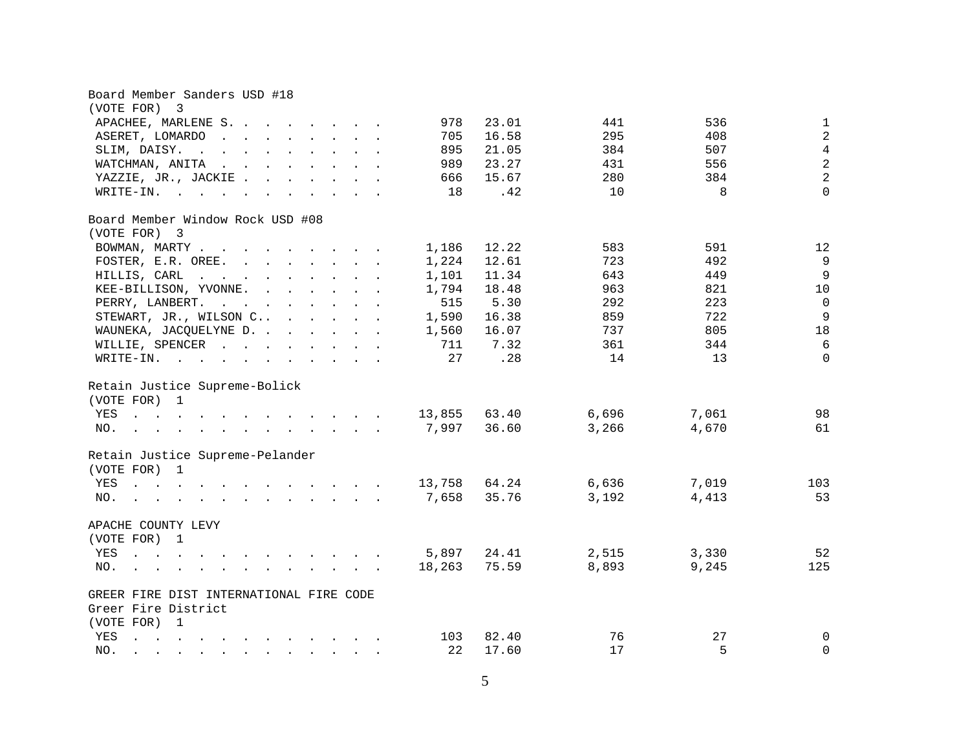| Board Member Sanders USD #18                                                                                                                                                                                                                    |        |       |       |       |                |
|-------------------------------------------------------------------------------------------------------------------------------------------------------------------------------------------------------------------------------------------------|--------|-------|-------|-------|----------------|
| (VOTE FOR)<br>3                                                                                                                                                                                                                                 |        |       |       |       |                |
| APACHEE, MARLENE S.                                                                                                                                                                                                                             | 978    | 23.01 | 441   | 536   | $\mathbf{1}$   |
| ASERET, LOMARDO                                                                                                                                                                                                                                 | 705    | 16.58 | 295   | 408   | $\overline{2}$ |
| SLIM, DAISY.                                                                                                                                                                                                                                    | 895    | 21.05 | 384   | 507   | $\overline{4}$ |
| WATCHMAN, ANITA<br>$\mathbf{r}$ , and $\mathbf{r}$ , and $\mathbf{r}$ , and $\mathbf{r}$                                                                                                                                                        | 989    | 23.27 | 431   | 556   | $\overline{2}$ |
| YAZZIE, JR., JACKIE.                                                                                                                                                                                                                            | 666    | 15.67 | 280   | 384   | $\overline{a}$ |
| WRITE-IN.                                                                                                                                                                                                                                       | 18     | .42   | 10    | 8     | $\mathbf{0}$   |
| Board Member Window Rock USD #08                                                                                                                                                                                                                |        |       |       |       |                |
| (VOTE FOR) 3                                                                                                                                                                                                                                    |        |       |       |       |                |
| BOWMAN, MARTY                                                                                                                                                                                                                                   | 1,186  | 12.22 | 583   | 591   | 12             |
| FOSTER, E.R. OREE.                                                                                                                                                                                                                              | 1,224  | 12.61 | 723   | 492   | $\overline{9}$ |
| HILLIS, CARL                                                                                                                                                                                                                                    | 1,101  | 11.34 | 643   | 449   | $\overline{9}$ |
| KEE-BILLISON, YVONNE.                                                                                                                                                                                                                           | 1,794  | 18.48 | 963   | 821   | 10             |
| PERRY, LANBERT.                                                                                                                                                                                                                                 | 515    | 5.30  | 292   | 223   | $\overline{0}$ |
| STEWART, JR., WILSON C                                                                                                                                                                                                                          | 1,590  | 16.38 | 859   | 722   | $\overline{9}$ |
| WAUNEKA, JACQUELYNE D.                                                                                                                                                                                                                          | 1,560  | 16.07 | 737   | 805   | 18             |
| WILLIE, SPENCER                                                                                                                                                                                                                                 | 711    | 7.32  | 361   | 344   | 6              |
| WRITE-IN.                                                                                                                                                                                                                                       | 27     | .28   | 14    | 13    | $\Omega$       |
| Retain Justice Supreme-Bolick                                                                                                                                                                                                                   |        |       |       |       |                |
| (VOTE FOR) 1                                                                                                                                                                                                                                    |        |       |       |       |                |
| YES 13,855                                                                                                                                                                                                                                      |        | 63.40 | 6,696 | 7,061 | 98             |
| $\mathcal{L}(\mathbf{r})$ . The set of the set of the set of the set of the set of the set of the set of the set of the set of the set of the set of the set of the set of the set of the set of the set of the set of the set of the se<br>NO. | 7,997  | 36.60 | 3,266 | 4,670 | 61             |
|                                                                                                                                                                                                                                                 |        |       |       |       |                |
| Retain Justice Supreme-Pelander                                                                                                                                                                                                                 |        |       |       |       |                |
| (VOTE FOR) 1                                                                                                                                                                                                                                    |        |       |       |       |                |
| . 13,758 64.24<br>YES                                                                                                                                                                                                                           |        |       | 6,636 | 7,019 | 103            |
| NO.                                                                                                                                                                                                                                             | 7,658  | 35.76 | 3,192 | 4,413 | 53             |
| APACHE COUNTY LEVY                                                                                                                                                                                                                              |        |       |       |       |                |
| (VOTE FOR) 1                                                                                                                                                                                                                                    |        |       |       |       |                |
| YES<br>the contract of the contract of the contract of the                                                                                                                                                                                      | 5,897  | 24.41 | 2,515 | 3,330 | 52             |
| NO.<br>. The contribution of the contribution of the contribution of $\mathcal{A}$                                                                                                                                                              | 18,263 | 75.59 | 8,893 | 9,245 | 125            |
| GREER FIRE DIST INTERNATIONAL FIRE CODE                                                                                                                                                                                                         |        |       |       |       |                |
| Greer Fire District                                                                                                                                                                                                                             |        |       |       |       |                |
| (VOTE FOR) 1                                                                                                                                                                                                                                    |        |       |       |       |                |
| YES<br>$\mathbf{a}$ and $\mathbf{a}$ are the set of the set of the set of the set of the set of the set of the set of the set of the set of the set of the set of the set of the set of the set of the set of the set of the set of the set     | 103    | 82.40 | 76    | 27    | $\mathbf 0$    |
| NO.<br>$\mathbf{r}$ , and $\mathbf{r}$ , and $\mathbf{r}$ , and $\mathbf{r}$ , and $\mathbf{r}$ , and $\mathbf{r}$                                                                                                                              | 22     | 17.60 | 17    | 5     | $\mathbf 0$    |
|                                                                                                                                                                                                                                                 |        |       |       |       |                |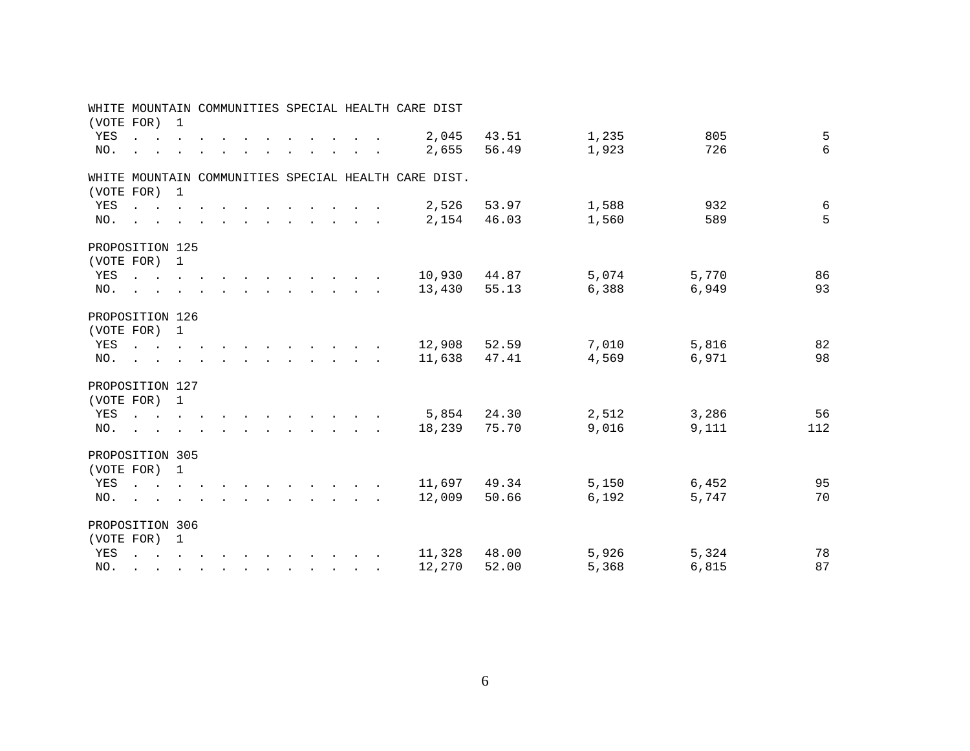|                 |                                                                                                                                                                                                                                                                                                                                                                                                                                                             |  |  |  |  |                                                    | WHITE MOUNTAIN COMMUNITIES SPECIAL HEALTH CARE DIST  |       |       |       |     |
|-----------------|-------------------------------------------------------------------------------------------------------------------------------------------------------------------------------------------------------------------------------------------------------------------------------------------------------------------------------------------------------------------------------------------------------------------------------------------------------------|--|--|--|--|----------------------------------------------------|------------------------------------------------------|-------|-------|-------|-----|
| (VOTE FOR) 1    |                                                                                                                                                                                                                                                                                                                                                                                                                                                             |  |  |  |  |                                                    |                                                      |       |       |       |     |
|                 | YES                                                                                                                                                                                                                                                                                                                                                                                                                                                         |  |  |  |  | $\mathbf{r}$ , and $\mathbf{r}$ , and $\mathbf{r}$ | 2,045                                                | 43.51 | 1,235 | 805   | 5   |
| NO.             | $\mathbf{r}$ . The set of the set of the set of the set of the set of the set of the set of the set of the set of the set of the set of the set of the set of the set of the set of the set of the set of the set of the set of t                                                                                                                                                                                                                           |  |  |  |  |                                                    | 2,655                                                | 56.49 | 1,923 | 726   | 6   |
|                 |                                                                                                                                                                                                                                                                                                                                                                                                                                                             |  |  |  |  |                                                    |                                                      |       |       |       |     |
|                 |                                                                                                                                                                                                                                                                                                                                                                                                                                                             |  |  |  |  |                                                    | WHITE MOUNTAIN COMMUNITIES SPECIAL HEALTH CARE DIST. |       |       |       |     |
| (VOTE FOR) 1    |                                                                                                                                                                                                                                                                                                                                                                                                                                                             |  |  |  |  |                                                    |                                                      |       |       |       |     |
| YES             | the contract of the contract of the contract of the contract of the contract of the contract of the contract of                                                                                                                                                                                                                                                                                                                                             |  |  |  |  |                                                    | 2,526                                                | 53.97 | 1,588 | 932   | 6   |
| NO.             | $\mathbf{r}$ , and $\mathbf{r}$ , and $\mathbf{r}$ , and $\mathbf{r}$ , and $\mathbf{r}$ , and $\mathbf{r}$                                                                                                                                                                                                                                                                                                                                                 |  |  |  |  |                                                    | 2,154                                                | 46.03 | 1,560 | 589   | 5   |
|                 |                                                                                                                                                                                                                                                                                                                                                                                                                                                             |  |  |  |  |                                                    |                                                      |       |       |       |     |
| PROPOSITION 125 |                                                                                                                                                                                                                                                                                                                                                                                                                                                             |  |  |  |  |                                                    |                                                      |       |       |       |     |
| (VOTE FOR) 1    |                                                                                                                                                                                                                                                                                                                                                                                                                                                             |  |  |  |  |                                                    |                                                      |       |       |       |     |
|                 | YES                                                                                                                                                                                                                                                                                                                                                                                                                                                         |  |  |  |  |                                                    | 10,930                                               | 44.87 | 5,074 | 5,770 | 86  |
|                 | NO.                                                                                                                                                                                                                                                                                                                                                                                                                                                         |  |  |  |  |                                                    | 13,430                                               | 55.13 | 6,388 | 6,949 | 93  |
|                 |                                                                                                                                                                                                                                                                                                                                                                                                                                                             |  |  |  |  |                                                    |                                                      |       |       |       |     |
| PROPOSITION 126 |                                                                                                                                                                                                                                                                                                                                                                                                                                                             |  |  |  |  |                                                    |                                                      |       |       |       |     |
| (VOTE FOR) 1    |                                                                                                                                                                                                                                                                                                                                                                                                                                                             |  |  |  |  |                                                    |                                                      |       |       |       |     |
|                 | YES                                                                                                                                                                                                                                                                                                                                                                                                                                                         |  |  |  |  |                                                    | 12,908                                               | 52.59 | 7,010 | 5,816 | 82  |
| NO.             | $\mathcal{L}(\mathbf{r}) = \mathbf{r} \cdot \mathbf{r} + \mathbf{r} \cdot \mathbf{r} + \mathbf{r} \cdot \mathbf{r} + \mathbf{r} \cdot \mathbf{r} + \mathbf{r} \cdot \mathbf{r} + \mathbf{r} \cdot \mathbf{r} + \mathbf{r} \cdot \mathbf{r} + \mathbf{r} \cdot \mathbf{r} + \mathbf{r} \cdot \mathbf{r} + \mathbf{r} \cdot \mathbf{r} + \mathbf{r} \cdot \mathbf{r} + \mathbf{r} \cdot \mathbf{r} + \mathbf{r} \cdot \mathbf{r} + \mathbf{r} \cdot \mathbf{$ |  |  |  |  |                                                    | 11,638                                               | 47.41 | 4,569 | 6,971 | 98  |
|                 |                                                                                                                                                                                                                                                                                                                                                                                                                                                             |  |  |  |  |                                                    |                                                      |       |       |       |     |
| PROPOSITION 127 |                                                                                                                                                                                                                                                                                                                                                                                                                                                             |  |  |  |  |                                                    |                                                      |       |       |       |     |
| (VOTE FOR) 1    |                                                                                                                                                                                                                                                                                                                                                                                                                                                             |  |  |  |  |                                                    |                                                      |       |       |       |     |
|                 | YES                                                                                                                                                                                                                                                                                                                                                                                                                                                         |  |  |  |  |                                                    | 5,854                                                | 24.30 | 2,512 | 3,286 | 56  |
|                 | NO.                                                                                                                                                                                                                                                                                                                                                                                                                                                         |  |  |  |  |                                                    | 18,239                                               | 75.70 | 9,016 | 9,111 | 112 |
|                 |                                                                                                                                                                                                                                                                                                                                                                                                                                                             |  |  |  |  |                                                    |                                                      |       |       |       |     |
| PROPOSITION 305 |                                                                                                                                                                                                                                                                                                                                                                                                                                                             |  |  |  |  |                                                    |                                                      |       |       |       |     |
| (VOTE FOR) 1    |                                                                                                                                                                                                                                                                                                                                                                                                                                                             |  |  |  |  |                                                    |                                                      |       |       |       |     |
| YES             | the contract of the contract of the contract of the contract of the contract of the contract of the contract of                                                                                                                                                                                                                                                                                                                                             |  |  |  |  |                                                    | 11,697                                               | 49.34 | 5,150 | 6,452 | 95  |
|                 | NO.                                                                                                                                                                                                                                                                                                                                                                                                                                                         |  |  |  |  |                                                    | 12,009                                               | 50.66 | 6,192 | 5,747 | 70  |
|                 |                                                                                                                                                                                                                                                                                                                                                                                                                                                             |  |  |  |  |                                                    |                                                      |       |       |       |     |
| PROPOSITION 306 |                                                                                                                                                                                                                                                                                                                                                                                                                                                             |  |  |  |  |                                                    |                                                      |       |       |       |     |
| (VOTE FOR) 1    |                                                                                                                                                                                                                                                                                                                                                                                                                                                             |  |  |  |  |                                                    |                                                      |       |       |       |     |
| YES             | $\mathbf{r}$ , and $\mathbf{r}$ , and $\mathbf{r}$ , and $\mathbf{r}$ , and $\mathbf{r}$ , and $\mathbf{r}$                                                                                                                                                                                                                                                                                                                                                 |  |  |  |  |                                                    | 11,328                                               | 48.00 | 5,926 | 5,324 | 78  |
|                 |                                                                                                                                                                                                                                                                                                                                                                                                                                                             |  |  |  |  |                                                    |                                                      |       |       |       | 87  |
| NO.             | $\mathbf{r}$ . The state of the state of the state $\mathbf{r}$                                                                                                                                                                                                                                                                                                                                                                                             |  |  |  |  |                                                    | 12,270                                               | 52.00 | 5,368 | 6,815 |     |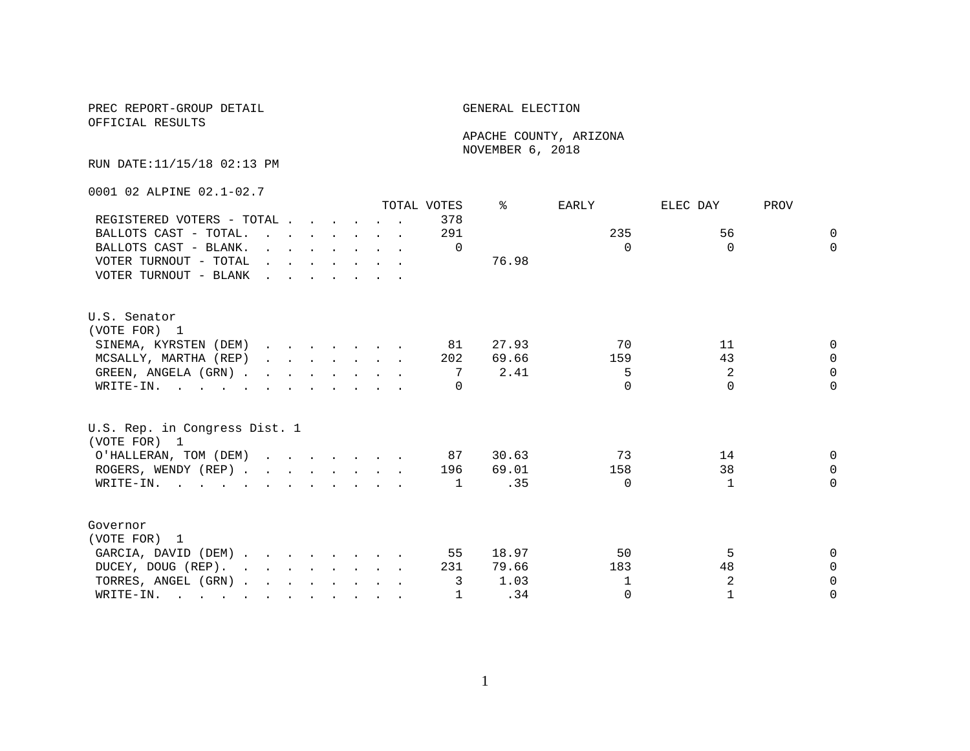### PREC REPORT-GROUP DETAIL GENERAL ELECTION OFFICIAL RESULTS

 APACHE COUNTY, ARIZONA NOVEMBER 6, 2018

RUN DATE:11/15/18 02:13 PM

0001 02 ALPINE 02.1-02.7

|                                                                                                                          |                                                                                                                                                                                                                                   |  |  |                                                                 | TOTAL VOTES | °     | EARLY    | ELEC DAY     | PROV     |
|--------------------------------------------------------------------------------------------------------------------------|-----------------------------------------------------------------------------------------------------------------------------------------------------------------------------------------------------------------------------------|--|--|-----------------------------------------------------------------|-------------|-------|----------|--------------|----------|
| REGISTERED VOTERS - TOTAL                                                                                                |                                                                                                                                                                                                                                   |  |  |                                                                 | 378         |       |          |              |          |
| BALLOTS CAST - TOTAL.                                                                                                    |                                                                                                                                                                                                                                   |  |  |                                                                 | 291         |       | 235      | 56           | $\Omega$ |
| BALLOTS CAST - BLANK.                                                                                                    |                                                                                                                                                                                                                                   |  |  | $\cdot$ $\cdot$ $\cdot$ $\cdot$ $\cdot$ $\cdot$ $\cdot$ $\cdot$ | $\Omega$    |       | $\Omega$ | $\Omega$     | $\Omega$ |
| VOTER TURNOUT - TOTAL                                                                                                    | $\mathbf{r}$ . The contract of the contract of the contract of the contract of the contract of the contract of the contract of the contract of the contract of the contract of the contract of the contract of the contract of th |  |  |                                                                 |             | 76.98 |          |              |          |
| VOTER TURNOUT - BLANK                                                                                                    |                                                                                                                                                                                                                                   |  |  |                                                                 |             |       |          |              |          |
| U.S. Senator                                                                                                             |                                                                                                                                                                                                                                   |  |  |                                                                 |             |       |          |              |          |
| (VOTE FOR) 1                                                                                                             |                                                                                                                                                                                                                                   |  |  |                                                                 |             |       |          |              |          |
| SINEMA, KYRSTEN (DEM)                                                                                                    |                                                                                                                                                                                                                                   |  |  |                                                                 | 81          | 27.93 | 70       | 11           | $\Omega$ |
| MCSALLY, MARTHA (REP)                                                                                                    |                                                                                                                                                                                                                                   |  |  |                                                                 | 202         | 69.66 | 159      | 43           | $\cap$   |
| GREEN, ANGELA (GRN)                                                                                                      |                                                                                                                                                                                                                                   |  |  |                                                                 | 7           | 2.41  | 5        | 2            | $\Omega$ |
| WRITE-IN.                                                                                                                |                                                                                                                                                                                                                                   |  |  |                                                                 | $\Omega$    |       | $\Omega$ | $\Omega$     | $\Omega$ |
| U.S. Rep. in Congress Dist. 1                                                                                            |                                                                                                                                                                                                                                   |  |  |                                                                 |             |       |          |              |          |
| (VOTE FOR) 1                                                                                                             |                                                                                                                                                                                                                                   |  |  |                                                                 |             |       |          |              |          |
| O'HALLERAN, TOM (DEM)                                                                                                    |                                                                                                                                                                                                                                   |  |  |                                                                 | 87          | 30.63 | 73       | 14           | $\Omega$ |
| ROGERS, WENDY (REP)                                                                                                      |                                                                                                                                                                                                                                   |  |  |                                                                 | 196         | 69.01 | 158      | 38           | $\Omega$ |
| WRITE-IN.                                                                                                                |                                                                                                                                                                                                                                   |  |  |                                                                 | 1           | . 35  | $\Omega$ | $\mathbf{1}$ | $\cap$   |
| Governor                                                                                                                 |                                                                                                                                                                                                                                   |  |  |                                                                 |             |       |          |              |          |
| (VOTE FOR) 1                                                                                                             |                                                                                                                                                                                                                                   |  |  |                                                                 |             |       |          |              |          |
| GARCIA, DAVID (DEM)                                                                                                      |                                                                                                                                                                                                                                   |  |  |                                                                 | 55          | 18.97 | 50       | 5            | $\cap$   |
| $\mathbf{r}$ , and $\mathbf{r}$ , and $\mathbf{r}$ , and $\mathbf{r}$<br>DUCEY, DOUG (REP).                              |                                                                                                                                                                                                                                   |  |  |                                                                 | 231         | 79.66 | 183      | 48           | $\Omega$ |
| TORRES, ANGEL (GRN)                                                                                                      |                                                                                                                                                                                                                                   |  |  |                                                                 | 3           | 1.03  | 1        | 2            | $\Omega$ |
| WRITE-IN.<br>$\mathbf{r}$ , and $\mathbf{r}$ , and $\mathbf{r}$ , and $\mathbf{r}$ , and $\mathbf{r}$ , and $\mathbf{r}$ |                                                                                                                                                                                                                                   |  |  |                                                                 | 1           | .34   | $\Omega$ | 1            | $\Omega$ |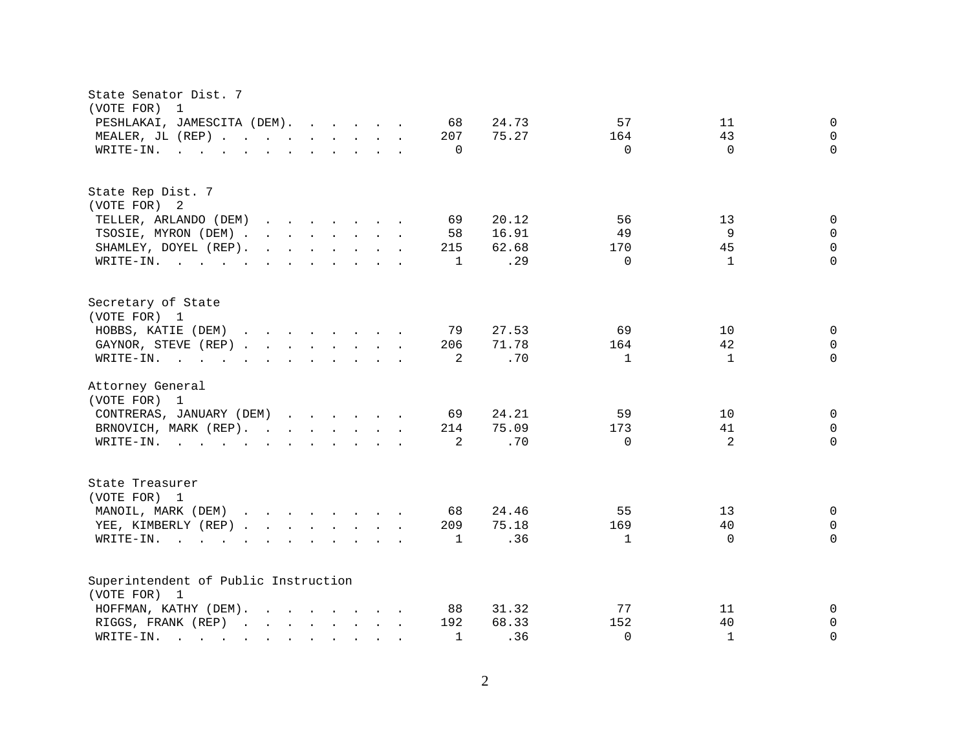| State Senator Dist. 7<br>(VOTE FOR)<br>$\mathbf 1$                                                                                                                                                                                                                                            |                                                             |
|-----------------------------------------------------------------------------------------------------------------------------------------------------------------------------------------------------------------------------------------------------------------------------------------------|-------------------------------------------------------------|
| PESHLAKAI, JAMESCITA (DEM).<br>68                                                                                                                                                                                                                                                             | 24.73<br>57<br>0<br>11                                      |
| MEALER, JL (REP)<br>207                                                                                                                                                                                                                                                                       | 75.27<br>43<br>0<br>164                                     |
| WRITE-IN.<br>$\Omega$<br>$\mathbf{r}$ , and $\mathbf{r}$ , and $\mathbf{r}$ , and $\mathbf{r}$ , and $\mathbf{r}$                                                                                                                                                                             | $\Omega$<br>$\Omega$<br>$\Omega$                            |
|                                                                                                                                                                                                                                                                                               |                                                             |
| State Rep Dist. 7                                                                                                                                                                                                                                                                             |                                                             |
| (VOTE FOR) 2                                                                                                                                                                                                                                                                                  |                                                             |
| TELLER, ARLANDO (DEM)<br>69<br>$\mathbf{r}$ . The contract of the contract of the contract of the contract of the contract of the contract of the contract of the contract of the contract of the contract of the contract of the contract of the contract of th                              | 56<br>20.12<br>13<br>$\mathbf{0}$                           |
| TSOSIE, MYRON (DEM)<br>58                                                                                                                                                                                                                                                                     | 9<br>16.91<br>49<br>$\mathbf 0$                             |
| $\mathbf{r}$ . The set of the set of the set of the set of the set of the set of the set of the set of the set of the set of the set of the set of the set of the set of the set of the set of the set of the set of the set of t<br>SHAMLEY, DOYEL (REP).<br>215                             | 45<br>0<br>62.68<br>170                                     |
| WRITE-IN.                                                                                                                                                                                                                                                                                     | .29<br>$\Omega$<br>$\mathbf{1}$<br>$\Omega$<br>$\mathbf{1}$ |
| Secretary of State                                                                                                                                                                                                                                                                            |                                                             |
| (VOTE FOR) 1                                                                                                                                                                                                                                                                                  |                                                             |
| HOBBS, KATIE (DEM)<br>$\mathbf{r}$ , $\mathbf{r}$ , $\mathbf{r}$ , $\mathbf{r}$ , $\mathbf{r}$ , $\mathbf{r}$ , $\mathbf{r}$<br>79                                                                                                                                                            | 27.53<br>69<br>10<br>0                                      |
| GAYNOR, STEVE (REP)<br>206                                                                                                                                                                                                                                                                    | 71.78<br>42<br>$\mathbf 0$<br>164                           |
| WRITE-IN.<br>$\mathbf{r}$ , $\mathbf{r}$ , $\mathbf{r}$ , $\mathbf{r}$ , $\mathbf{r}$ , $\mathbf{r}$ , $\mathbf{r}$ , $\mathbf{r}$                                                                                                                                                            | $\Omega$<br>2<br>.70<br>$\mathbf{1}$<br>$\mathbf{1}$        |
| Attorney General<br>(VOTE FOR) 1                                                                                                                                                                                                                                                              |                                                             |
| CONTRERAS, JANUARY (DEM)<br>69                                                                                                                                                                                                                                                                | 24.21<br>59<br>10<br>$\mathbf 0$                            |
| BRNOVICH, MARK (REP).<br>214                                                                                                                                                                                                                                                                  | 75.09<br>41<br>173<br>$\mathbf{0}$                          |
| WRITE-IN.                                                                                                                                                                                                                                                                                     | $\overline{a}$<br>2<br>.70<br>$\Omega$<br>$\mathbf{0}$      |
| State Treasurer                                                                                                                                                                                                                                                                               |                                                             |
| (VOTE FOR) 1                                                                                                                                                                                                                                                                                  |                                                             |
| MANOIL, MARK (DEM)<br>68                                                                                                                                                                                                                                                                      | 24.46<br>55<br>13<br>$\mathbf 0$                            |
| YEE, KIMBERLY (REP)<br>209                                                                                                                                                                                                                                                                    | 40<br>75.18<br>169<br>0                                     |
|                                                                                                                                                                                                                                                                                               |                                                             |
| WRITE-IN.<br>and the state of the state of the<br>$\mathbf{r}$ . The set of the set of the set of the set of the set of the set of the set of the set of the set of the set of the set of the set of the set of the set of the set of the set of the set of the set of the set of t<br>$\sim$ | .36<br>$\mathbf{1}$<br>$\Omega$<br>$\Omega$<br>1            |
| Superintendent of Public Instruction                                                                                                                                                                                                                                                          |                                                             |
| (VOTE FOR) 1                                                                                                                                                                                                                                                                                  |                                                             |
| HOFFMAN, KATHY (DEM).<br>$\mathbf{r}$ , $\mathbf{r}$ , $\mathbf{r}$ , $\mathbf{r}$ , $\mathbf{r}$ , $\mathbf{r}$<br>88                                                                                                                                                                        | 31.32<br>77<br>0<br>11                                      |
| RIGGS, FRANK (REP)<br>192                                                                                                                                                                                                                                                                     | 68.33<br>152<br>40<br>0                                     |
| WRITE-IN.<br>$\mathbf{r}$ , $\mathbf{r}$ , $\mathbf{r}$<br>$\mathbf{r}$ . The set of $\mathbf{r}$<br>$\sim$ $\sim$                                                                                                                                                                            | .36<br>$\mathbf{1}$<br>$\Omega$<br>$\mathbf{1}$<br>$\Omega$ |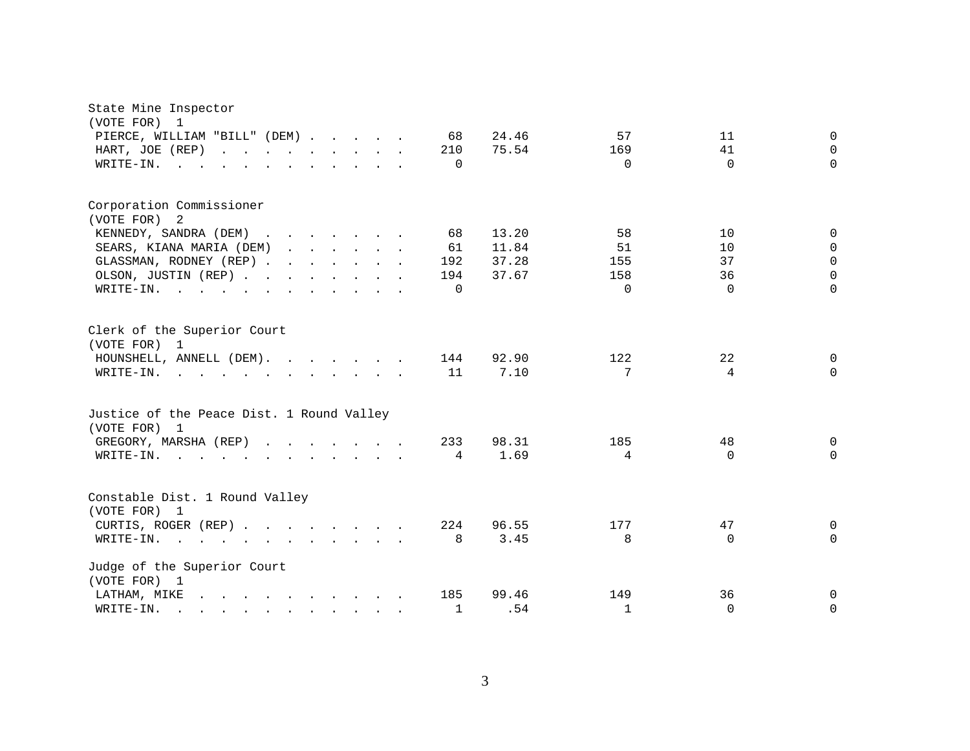| State Mine Inspector                                                                                                           |              |       |              |          |                |
|--------------------------------------------------------------------------------------------------------------------------------|--------------|-------|--------------|----------|----------------|
| (VOTE FOR)<br>1                                                                                                                |              | 24.46 |              |          | $\Omega$       |
| PIERCE, WILLIAM "BILL" (DEM)<br>HART, JOE (REP)                                                                                | 68<br>210    | 75.54 | 57<br>169    | 11<br>41 | $\Omega$       |
|                                                                                                                                | $\Omega$     |       | $\Omega$     | $\Omega$ | $\Omega$       |
| WRITE-IN.                                                                                                                      |              |       |              |          |                |
| Corporation Commissioner                                                                                                       |              |       |              |          |                |
| (VOTE FOR) 2                                                                                                                   |              |       |              |          |                |
| KENNEDY, SANDRA (DEM)                                                                                                          | 68           | 13.20 | 58           | 10       | $\Omega$       |
| SEARS, KIANA MARIA (DEM)                                                                                                       | 61           | 11.84 | 51           | 10       | $\mathbf 0$    |
| GLASSMAN, RODNEY (REP)                                                                                                         | 192          | 37.28 | 155          | 37       | $\Omega$       |
| OLSON, JUSTIN (REP)                                                                                                            | 194          | 37.67 | 158          | 36       | $\Omega$       |
| WRITE-IN.                                                                                                                      | $\Omega$     |       | $\Omega$     | $\Omega$ | $\Omega$       |
| Clerk of the Superior Court<br>(VOTE FOR) 1                                                                                    |              |       |              |          |                |
| HOUNSHELL, ANNELL (DEM).                                                                                                       | 144          | 92.90 | 122          | 22       | $\Omega$       |
| WRITE-IN.                                                                                                                      | 11           | 7.10  | 7            | 4        | $\Omega$       |
| Justice of the Peace Dist. 1 Round Valley<br>(VOTE FOR) 1                                                                      |              |       |              |          |                |
| GREGORY, MARSHA (REP)                                                                                                          | 233          | 98.31 | 185          | 48       | $\Omega$       |
| $W\text{RITE}-\text{IN}.$<br>$\mathbf{r}$ , $\mathbf{r}$ , $\mathbf{r}$ , $\mathbf{r}$ , $\mathbf{r}$                          | 4            | 1.69  | 4            | $\Omega$ | $\Omega$       |
| Constable Dist. 1 Round Valley<br>(VOTE FOR) 1                                                                                 |              |       |              |          |                |
| CURTIS, ROGER (REP)                                                                                                            | 224          | 96.55 | 177          | 47       | $\mathbf 0$    |
| WRITE-IN.<br>$\mathbf{r}$ , $\mathbf{r}$ , $\mathbf{r}$ , $\mathbf{r}$ , $\mathbf{r}$ , $\mathbf{r}$ , $\mathbf{r}$            | 8            | 3.45  | 8            | $\Omega$ | $\Omega$       |
| Judge of the Superior Court<br>(VOTE FOR) 1                                                                                    |              |       |              |          |                |
| LATHAM, MIKE<br>the contract of the contract of the contract of                                                                | 185          | 99.46 | 149          | 36       | $\overline{0}$ |
| WRITE-IN.<br>$\mathcal{L}(\mathbf{A})$ . The contribution of the contribution of the contribution of $\mathcal{L}(\mathbf{A})$ | $\mathbf{1}$ | .54   | $\mathbf{1}$ | $\Omega$ | $\mathbf 0$    |

3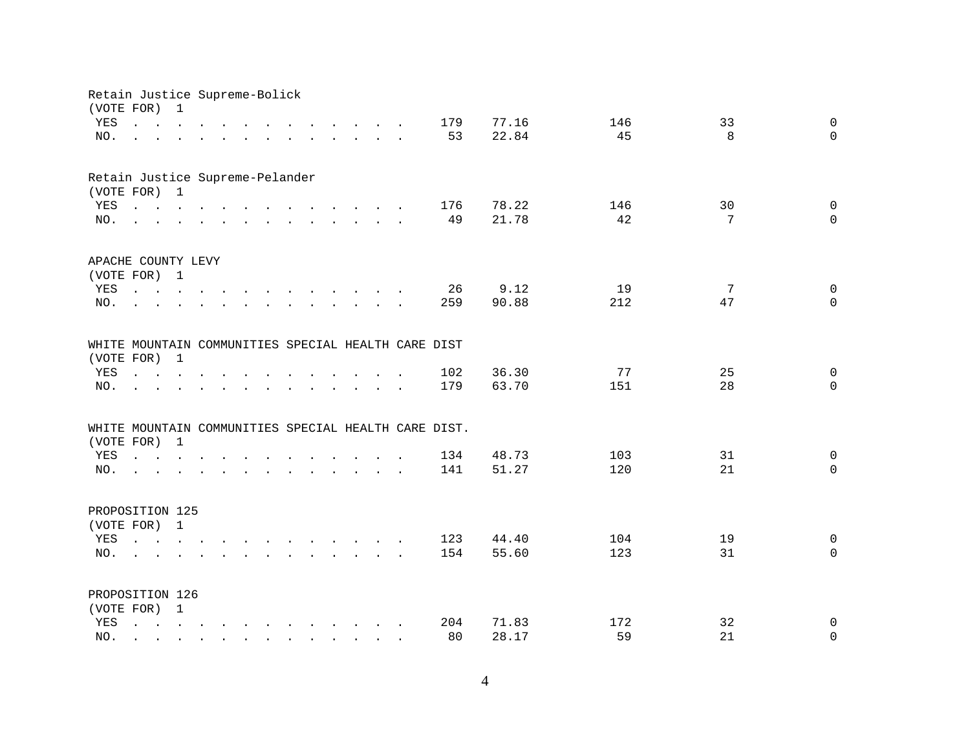| Retain Justice Supreme-Bolick   |                                                                                                                                                     |                                 |                                                                                                 |  |  |                                                                                                                                                                                                                                   |  |                                                      |       |     |    |                |
|---------------------------------|-----------------------------------------------------------------------------------------------------------------------------------------------------|---------------------------------|-------------------------------------------------------------------------------------------------|--|--|-----------------------------------------------------------------------------------------------------------------------------------------------------------------------------------------------------------------------------------|--|------------------------------------------------------|-------|-----|----|----------------|
| (VOTE FOR)                      |                                                                                                                                                     | 1                               |                                                                                                 |  |  |                                                                                                                                                                                                                                   |  |                                                      |       |     |    |                |
| YES                             |                                                                                                                                                     |                                 | $\mathbf{r}$ , $\mathbf{r}$ , $\mathbf{r}$ , $\mathbf{r}$                                       |  |  | $\mathbf{r}$ . The contract of the contract of the contract of the contract of the contract of the contract of the contract of the contract of the contract of the contract of the contract of the contract of the contract of th |  | 179                                                  | 77.16 | 146 | 33 | $\mathbf 0$    |
| NO.                             |                                                                                                                                                     |                                 |                                                                                                 |  |  | and a series of the contract of the series of the series of the series of the series of the series of the series of the series of the series of the series of the series of the series of the series of the series of the seri    |  | 53                                                   | 22.84 | 45  | 8  | $\Omega$       |
|                                 |                                                                                                                                                     |                                 |                                                                                                 |  |  |                                                                                                                                                                                                                                   |  |                                                      |       |     |    |                |
| Retain Justice Supreme-Pelander |                                                                                                                                                     |                                 |                                                                                                 |  |  |                                                                                                                                                                                                                                   |  |                                                      |       |     |    |                |
| (VOTE FOR) 1                    |                                                                                                                                                     |                                 |                                                                                                 |  |  |                                                                                                                                                                                                                                   |  |                                                      |       |     |    |                |
| YES                             | $\mathbf{r}$ , $\mathbf{r}$ , $\mathbf{r}$ , $\mathbf{r}$ , $\mathbf{r}$ , $\mathbf{r}$ , $\mathbf{r}$ , $\mathbf{r}$ , $\mathbf{r}$ , $\mathbf{r}$ |                                 |                                                                                                 |  |  |                                                                                                                                                                                                                                   |  | 176                                                  | 78.22 | 146 | 30 | $\mathbf 0$    |
| NO.                             |                                                                                                                                                     |                                 |                                                                                                 |  |  | $\mathbf{r}$ , $\mathbf{r}$ , $\mathbf{r}$ , $\mathbf{r}$ , $\mathbf{r}$ , $\mathbf{r}$ , $\mathbf{r}$ , $\mathbf{r}$ , $\mathbf{r}$ , $\mathbf{r}$                                                                               |  | 49                                                   | 21.78 | 42  | 7  | $\Omega$       |
|                                 |                                                                                                                                                     |                                 |                                                                                                 |  |  |                                                                                                                                                                                                                                   |  |                                                      |       |     |    |                |
|                                 |                                                                                                                                                     |                                 |                                                                                                 |  |  |                                                                                                                                                                                                                                   |  |                                                      |       |     |    |                |
| APACHE COUNTY LEVY              |                                                                                                                                                     |                                 |                                                                                                 |  |  |                                                                                                                                                                                                                                   |  |                                                      |       |     |    |                |
| (VOTE FOR) 1                    |                                                                                                                                                     |                                 |                                                                                                 |  |  |                                                                                                                                                                                                                                   |  |                                                      |       | 19  | 7  |                |
| YES                             |                                                                                                                                                     |                                 |                                                                                                 |  |  | and a series of the contract of the contract of the                                                                                                                                                                               |  | 26                                                   | 9.12  |     |    | 0<br>$\Omega$  |
| NO.                             |                                                                                                                                                     |                                 |                                                                                                 |  |  | and the contract of the contract of the contract of the contract of the contract of the contract of the contract of the contract of the contract of the contract of the contract of the contract of the contract of the contra    |  | 259                                                  | 90.88 | 212 | 47 |                |
|                                 |                                                                                                                                                     |                                 |                                                                                                 |  |  |                                                                                                                                                                                                                                   |  |                                                      |       |     |    |                |
|                                 |                                                                                                                                                     |                                 |                                                                                                 |  |  |                                                                                                                                                                                                                                   |  | WHITE MOUNTAIN COMMUNITIES SPECIAL HEALTH CARE DIST  |       |     |    |                |
| (VOTE FOR) 1                    |                                                                                                                                                     |                                 |                                                                                                 |  |  |                                                                                                                                                                                                                                   |  |                                                      |       |     |    |                |
| YES                             |                                                                                                                                                     | $\cdot$ $\cdot$ $\cdot$ $\cdot$ |                                                                                                 |  |  | $\mathbf{L}$                                                                                                                                                                                                                      |  | 102                                                  | 36.30 | 77  | 25 | 0              |
| NO.                             |                                                                                                                                                     |                                 |                                                                                                 |  |  |                                                                                                                                                                                                                                   |  | 179                                                  | 63.70 | 151 | 28 | $\overline{0}$ |
|                                 |                                                                                                                                                     |                                 |                                                                                                 |  |  |                                                                                                                                                                                                                                   |  |                                                      |       |     |    |                |
|                                 |                                                                                                                                                     |                                 |                                                                                                 |  |  |                                                                                                                                                                                                                                   |  | WHITE MOUNTAIN COMMUNITIES SPECIAL HEALTH CARE DIST. |       |     |    |                |
| (VOTE FOR)                      |                                                                                                                                                     | $\overline{1}$                  |                                                                                                 |  |  |                                                                                                                                                                                                                                   |  |                                                      |       |     |    |                |
| YES                             |                                                                                                                                                     |                                 | $\mathbf{r} = \mathbf{r} \times \mathbf{r}$ , where $\mathbf{r} = \mathbf{r} \times \mathbf{r}$ |  |  | and the contract of the contract of the contract of the contract of the contract of                                                                                                                                               |  | 134                                                  | 48.73 | 103 | 31 | 0              |
| NO.                             |                                                                                                                                                     |                                 | $\mathbf{r}$ , and $\mathbf{r}$ , and $\mathbf{r}$                                              |  |  | $\mathbf{r}$ , and $\mathbf{r}$ , and $\mathbf{r}$ , and $\mathbf{r}$ , and $\mathbf{r}$                                                                                                                                          |  | 141                                                  | 51.27 | 120 | 21 | $\Omega$       |
|                                 |                                                                                                                                                     |                                 |                                                                                                 |  |  |                                                                                                                                                                                                                                   |  |                                                      |       |     |    |                |
| PROPOSITION 125                 |                                                                                                                                                     |                                 |                                                                                                 |  |  |                                                                                                                                                                                                                                   |  |                                                      |       |     |    |                |
| (VOTE FOR) 1                    |                                                                                                                                                     |                                 |                                                                                                 |  |  |                                                                                                                                                                                                                                   |  |                                                      |       |     |    |                |
| YES                             |                                                                                                                                                     |                                 |                                                                                                 |  |  | $\mathbf{r}$ , $\mathbf{r}$ , $\mathbf{r}$ , $\mathbf{r}$ , $\mathbf{r}$ , $\mathbf{r}$ , $\mathbf{r}$ , $\mathbf{r}$ , $\mathbf{r}$ , $\mathbf{r}$                                                                               |  | 123                                                  | 44.40 | 104 | 19 | 0              |
| NO.                             |                                                                                                                                                     |                                 |                                                                                                 |  |  | and a contract and a contract of the contract of the contract of the contract of the contract of the contract of                                                                                                                  |  | 154                                                  | 55.60 | 123 | 31 | $\Omega$       |
|                                 |                                                                                                                                                     |                                 |                                                                                                 |  |  |                                                                                                                                                                                                                                   |  |                                                      |       |     |    |                |
| PROPOSITION 126                 |                                                                                                                                                     |                                 |                                                                                                 |  |  |                                                                                                                                                                                                                                   |  |                                                      |       |     |    |                |
| (VOTE FOR) 1                    |                                                                                                                                                     |                                 |                                                                                                 |  |  |                                                                                                                                                                                                                                   |  |                                                      |       |     |    |                |
| YES                             |                                                                                                                                                     |                                 |                                                                                                 |  |  | $\frac{1}{2}$ , $\frac{1}{2}$ , $\frac{1}{2}$ , $\frac{1}{2}$ , $\frac{1}{2}$ , $\frac{1}{2}$ , $\frac{1}{2}$ , $\frac{1}{2}$ , $\frac{1}{2}$ , $\frac{1}{2}$                                                                     |  | 204                                                  | 71.83 | 172 | 32 | 0              |
| NO.                             |                                                                                                                                                     |                                 |                                                                                                 |  |  | $\mathbf{r}$ , $\mathbf{r}$ , $\mathbf{r}$ , $\mathbf{r}$ , $\mathbf{r}$ , $\mathbf{r}$ , $\mathbf{r}$ , $\mathbf{r}$                                                                                                             |  | 80                                                   | 28.17 | 59  | 21 | 0              |
|                                 |                                                                                                                                                     |                                 |                                                                                                 |  |  |                                                                                                                                                                                                                                   |  |                                                      |       |     |    |                |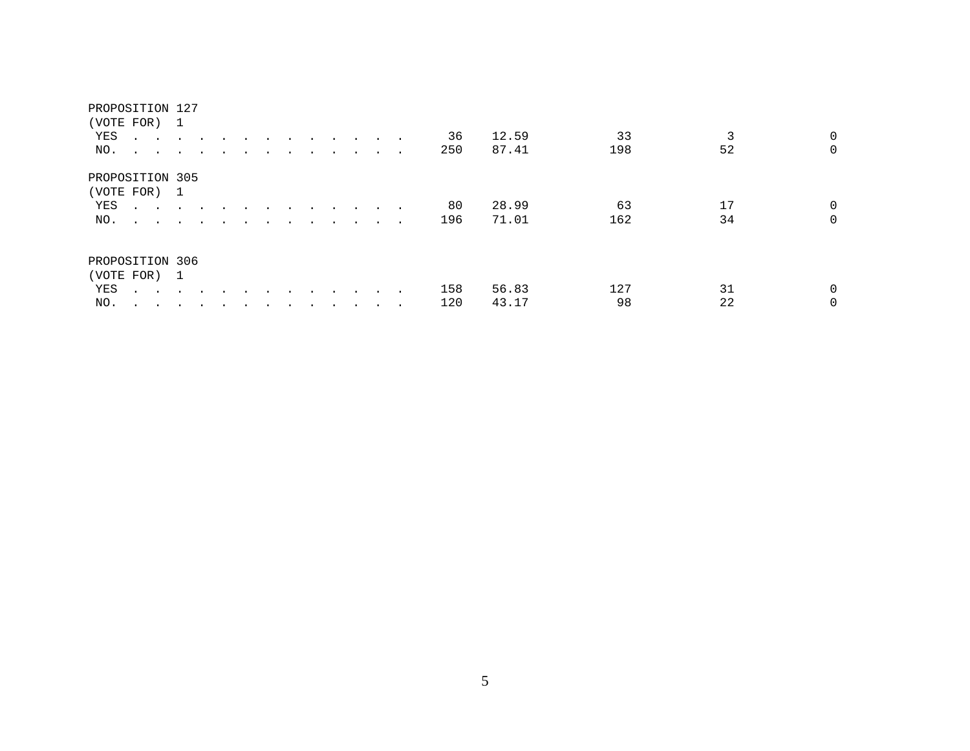| PROPOSITION 127 |                                |               |  |  |                |        |        |     |       |     |    |                     |
|-----------------|--------------------------------|---------------|--|--|----------------|--------|--------|-----|-------|-----|----|---------------------|
| (VOTE FOR) 1    |                                |               |  |  |                |        |        |     |       |     |    |                     |
| YES             | <b>All Contract Contract</b>   |               |  |  |                |        |        | 36  | 12.59 | 33  |    | $\overline{0}$<br>3 |
| NO.             |                                |               |  |  |                | $\sim$ | $\sim$ | 250 | 87.41 | 198 | 52 | $\overline{0}$      |
| PROPOSITION 305 |                                |               |  |  |                |        |        |     |       |     |    |                     |
| (VOTE FOR) 1    |                                |               |  |  |                |        |        |     |       |     |    |                     |
| YES             | <b>Service Control</b>         | $\sim$ $\sim$ |  |  | $\overline{a}$ |        |        | 80  | 28.99 | 63  | 17 | $\overline{0}$      |
| NO.             | $\sim$ $\sim$ $\sim$ $\sim$    |               |  |  |                |        |        | 196 | 71.01 | 162 | 34 | $\overline{0}$      |
| PROPOSITION 306 |                                |               |  |  |                |        |        |     |       |     |    |                     |
| (VOTE FOR) 1    |                                |               |  |  |                |        |        |     |       |     |    |                     |
| YES             | $\ddot{\phantom{a}}$<br>$\sim$ |               |  |  |                |        |        | 158 | 56.83 | 127 | 31 | $\overline{0}$      |
| NO.             | $\ddot{\phantom{1}}$<br>$\sim$ |               |  |  |                |        |        | 120 | 43.17 | 98  | 22 | $\overline{0}$      |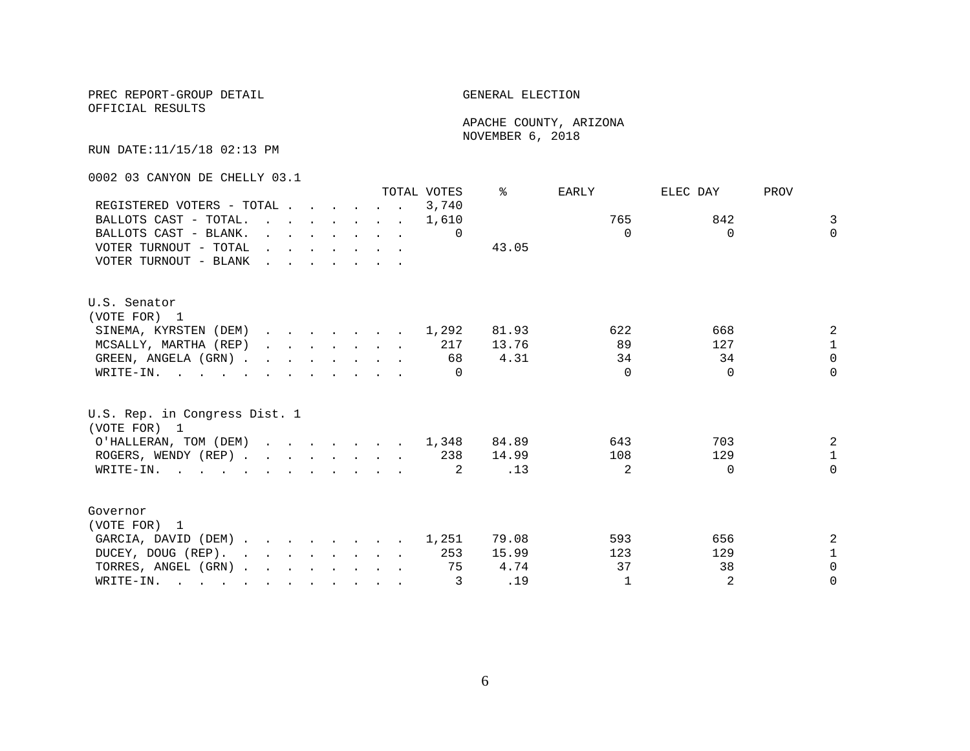PREC REPORT-GROUP DETAIL GENERAL ELECTION

OFFICIAL RESULTS

 APACHE COUNTY, ARIZONA NOVEMBER 6, 2018

RUN DATE:11/15/18 02:13 PM

0002 03 CANYON DE CHELLY 03.1

|                                                                                                                          |                                                                                                                                                                                                                                |  |  |                                                                                  |                                                                                                                          | TOTAL VOTES | ⊱     | <b>EARLY</b>   | ELEC DAY | PROV           |
|--------------------------------------------------------------------------------------------------------------------------|--------------------------------------------------------------------------------------------------------------------------------------------------------------------------------------------------------------------------------|--|--|----------------------------------------------------------------------------------|--------------------------------------------------------------------------------------------------------------------------|-------------|-------|----------------|----------|----------------|
| REGISTERED VOTERS - TOTAL                                                                                                |                                                                                                                                                                                                                                |  |  |                                                                                  |                                                                                                                          | 3,740       |       |                |          |                |
| BALLOTS CAST - TOTAL.                                                                                                    |                                                                                                                                                                                                                                |  |  |                                                                                  | $\mathbf{r}$ , and $\mathbf{r}$ , and $\mathbf{r}$ , and $\mathbf{r}$                                                    | 1,610       |       | 765            | 842      | 3              |
| BALLOTS CAST - BLANK.                                                                                                    |                                                                                                                                                                                                                                |  |  | $\mathbf{r}$ and $\mathbf{r}$ and $\mathbf{r}$ and $\mathbf{r}$ and $\mathbf{r}$ |                                                                                                                          | $\Omega$    |       | $\Omega$       | $\Omega$ | $\Omega$       |
| VOTER TURNOUT - TOTAL                                                                                                    | $\mathbf{r}$ , and $\mathbf{r}$ , and $\mathbf{r}$ , and $\mathbf{r}$                                                                                                                                                          |  |  |                                                                                  |                                                                                                                          |             | 43.05 |                |          |                |
| VOTER TURNOUT - BLANK                                                                                                    | and the contract of the contract of the contract of the contract of the contract of the contract of the contract of the contract of the contract of the contract of the contract of the contract of the contract of the contra |  |  |                                                                                  |                                                                                                                          |             |       |                |          |                |
|                                                                                                                          |                                                                                                                                                                                                                                |  |  |                                                                                  |                                                                                                                          |             |       |                |          |                |
| U.S. Senator                                                                                                             |                                                                                                                                                                                                                                |  |  |                                                                                  |                                                                                                                          |             |       |                |          |                |
| (VOTE FOR) 1                                                                                                             |                                                                                                                                                                                                                                |  |  |                                                                                  |                                                                                                                          |             |       |                |          |                |
| SINEMA, KYRSTEN (DEM) 1,292                                                                                              |                                                                                                                                                                                                                                |  |  |                                                                                  |                                                                                                                          |             | 81.93 | 622            | 668      | 2              |
| MCSALLY, MARTHA (REP)                                                                                                    |                                                                                                                                                                                                                                |  |  |                                                                                  | $\mathbf{r} = \mathbf{r} - \mathbf{r}$ , $\mathbf{r} = \mathbf{r} - \mathbf{r}$ , $\mathbf{r} = \mathbf{r} - \mathbf{r}$ | 217         | 13.76 | 89             | 127      | $\mathbf{1}$   |
| GREEN, ANGELA (GRN).                                                                                                     |                                                                                                                                                                                                                                |  |  |                                                                                  |                                                                                                                          | 68          | 4.31  | 34             | 34       | $\Omega$       |
| WRITE-IN.                                                                                                                |                                                                                                                                                                                                                                |  |  |                                                                                  |                                                                                                                          | $\Omega$    |       | $\Omega$       | $\Omega$ | $\Omega$       |
| U.S. Rep. in Congress Dist. 1<br>(VOTE FOR) 1                                                                            |                                                                                                                                                                                                                                |  |  |                                                                                  |                                                                                                                          |             |       |                |          |                |
| O'HALLERAN, TOM (DEM) 1,348                                                                                              |                                                                                                                                                                                                                                |  |  |                                                                                  |                                                                                                                          |             | 84.89 | 643            | 703      | $\overline{a}$ |
| ROGERS, WENDY (REP)                                                                                                      |                                                                                                                                                                                                                                |  |  |                                                                                  |                                                                                                                          | 238         | 14.99 | 108            | 129      | $\mathbf{1}$   |
| WRITE-IN.                                                                                                                |                                                                                                                                                                                                                                |  |  |                                                                                  |                                                                                                                          | -2.         | .13   | $\mathfrak{D}$ | $\Omega$ | $\Omega$       |
| Governor                                                                                                                 |                                                                                                                                                                                                                                |  |  |                                                                                  |                                                                                                                          |             |       |                |          |                |
| (VOTE FOR) 1                                                                                                             |                                                                                                                                                                                                                                |  |  |                                                                                  |                                                                                                                          |             |       |                |          |                |
| GARCIA, DAVID (DEM)                                                                                                      |                                                                                                                                                                                                                                |  |  |                                                                                  |                                                                                                                          | 1,251       | 79.08 | 593            | 656      | 2              |
| DUCEY, DOUG (REP).                                                                                                       |                                                                                                                                                                                                                                |  |  |                                                                                  |                                                                                                                          | 253         | 15.99 | 123            | 129      | $\mathbf 1$    |
| TORRES, ANGEL (GRN)                                                                                                      |                                                                                                                                                                                                                                |  |  |                                                                                  |                                                                                                                          | 75          | 4.74  | 37             | 38       | $\Omega$       |
| WRITE-IN.<br>$\mathbf{r}$ , and $\mathbf{r}$ , and $\mathbf{r}$ , and $\mathbf{r}$ , and $\mathbf{r}$ , and $\mathbf{r}$ |                                                                                                                                                                                                                                |  |  |                                                                                  |                                                                                                                          | 3           | .19   | $\mathbf{1}$   | 2        | $\Omega$       |
|                                                                                                                          |                                                                                                                                                                                                                                |  |  |                                                                                  |                                                                                                                          |             |       |                |          |                |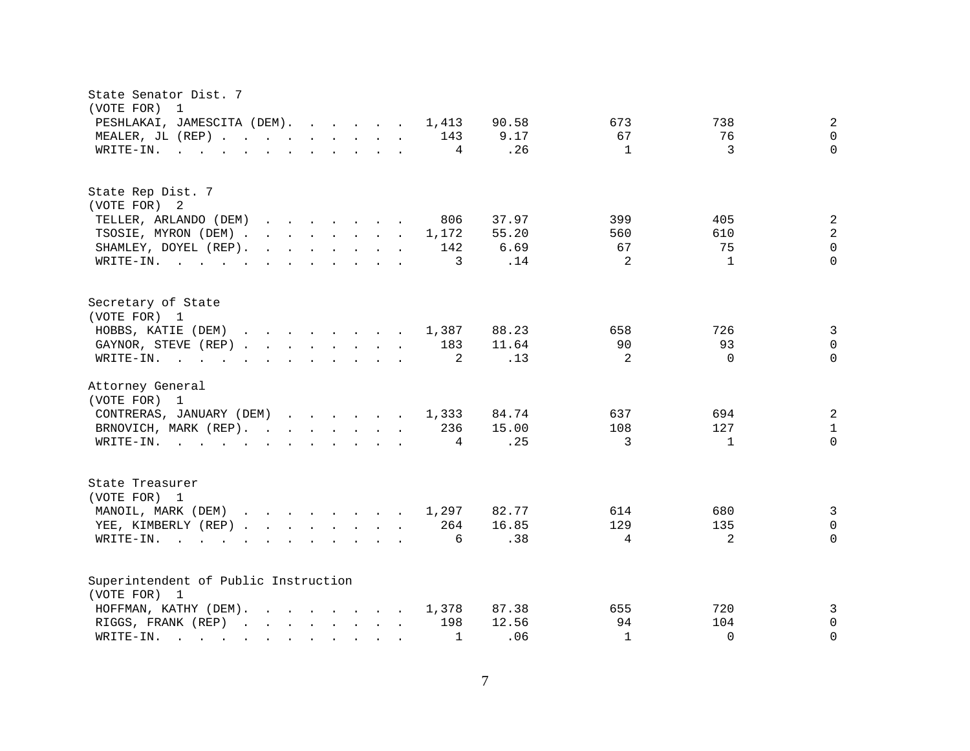| State Senator Dist. 7<br>(VOTE FOR)<br>$\overline{1}$                                                                                                                                                                                                                      |                                             |
|----------------------------------------------------------------------------------------------------------------------------------------------------------------------------------------------------------------------------------------------------------------------------|---------------------------------------------|
| PESHLAKAI, JAMESCITA (DEM).<br>90.58<br>1,413                                                                                                                                                                                                                              | $\overline{a}$<br>673<br>738                |
| MEALER, JL (REP) 143<br>9.17                                                                                                                                                                                                                                               | 67<br>76<br>$\mathbf 0$                     |
| $\mathbf{r}$ . The state of the state $\mathbf{r}$ is the state of the state $\mathbf{r}$<br>4<br>WRITE-IN.                                                                                                                                                                | 3<br>$\Omega$<br>.26<br>$\mathbf{1}$        |
|                                                                                                                                                                                                                                                                            |                                             |
| State Rep Dist. 7                                                                                                                                                                                                                                                          |                                             |
| (VOTE FOR) 2                                                                                                                                                                                                                                                               |                                             |
| 37.97<br>TELLER, ARLANDO (DEM)<br>806<br>$\mathbf{r}$ . The contract of the contract of the contract of the contract of the contract of the contract of the contract of the contract of the contract of the contract of the contract of the contract of the contract of th | $\overline{c}$<br>399<br>405                |
| TSOSIE, MYRON (DEM)<br>55.20<br>1,172                                                                                                                                                                                                                                      | $\sqrt{2}$<br>560<br>610                    |
| SHAMLEY, DOYEL (REP).<br>$\mathbf{r}$ , and $\mathbf{r}$ , and $\mathbf{r}$ , and $\mathbf{r}$<br>142<br>6.69                                                                                                                                                              | $\mathbf 0$<br>67<br>75                     |
| $\overline{3}$<br>WRITE-IN.                                                                                                                                                                                                                                                | 2<br>$\Omega$<br>.14<br>$\overline{1}$      |
| Secretary of State<br>(VOTE FOR) 1                                                                                                                                                                                                                                         |                                             |
| HOBBS, KATIE (DEM)<br>1,387<br>88.23                                                                                                                                                                                                                                       | 658<br>726                                  |
| GAYNOR, STEVE (REP)<br>183<br>11.64                                                                                                                                                                                                                                        | 3<br>90<br>93<br>$\mathsf{O}$               |
| 2<br>WRITE-IN.<br>$\mathbf{r}$ , and $\mathbf{r}$ , and $\mathbf{r}$ , and $\mathbf{r}$ , and $\mathbf{r}$                                                                                                                                                                 | 2<br>$\Omega$<br>$\Omega$<br>.13            |
|                                                                                                                                                                                                                                                                            |                                             |
| Attorney General<br>(VOTE FOR) 1                                                                                                                                                                                                                                           |                                             |
| CONTRERAS, JANUARY (DEM)<br>84.74<br>1,333                                                                                                                                                                                                                                 | 2<br>637<br>694                             |
| 15.00<br>BRNOVICH, MARK (REP).<br>236                                                                                                                                                                                                                                      | 127<br>108<br>$\mathbf{1}$                  |
| WRITE-IN.<br>4                                                                                                                                                                                                                                                             | 3<br>.25<br>$\mathbf{1}$<br>$\Omega$        |
| State Treasurer                                                                                                                                                                                                                                                            |                                             |
| (VOTE FOR) 1                                                                                                                                                                                                                                                               |                                             |
| MANOIL, MARK (DEM)<br>82.77<br>1,297                                                                                                                                                                                                                                       | $\overline{3}$<br>614<br>680                |
| YEE, KIMBERLY (REP)<br>264<br>16.85                                                                                                                                                                                                                                        | 129<br>135<br>$\Omega$                      |
| WRITE-IN.<br>6<br>$\sim$ $\sim$ $\sim$ $\sim$ $\sim$ $\sim$<br>$\mathbf{r}$ , and $\mathbf{r}$ , and $\mathbf{r}$ , and $\mathbf{r}$                                                                                                                                       | .38<br>4<br>2<br>$\Omega$                   |
|                                                                                                                                                                                                                                                                            |                                             |
| Superintendent of Public Instruction<br>(VOTE FOR) 1                                                                                                                                                                                                                       |                                             |
| HOFFMAN, KATHY (DEM).<br>87.38<br>1,378                                                                                                                                                                                                                                    | 720<br>3<br>655                             |
| 198<br>12.56<br>RIGGS, FRANK (REP)                                                                                                                                                                                                                                         | 94<br>104<br>$\mathbf 0$                    |
| WRITE-IN.<br>$\mathbf{1}$<br>and the contract of the contract of                                                                                                                                                                                                           | .06<br>$\mathbf{1}$<br>$\Omega$<br>$\Omega$ |
| $\mathbf{r}$ , $\mathbf{r}$ , $\mathbf{r}$ , $\mathbf{r}$                                                                                                                                                                                                                  |                                             |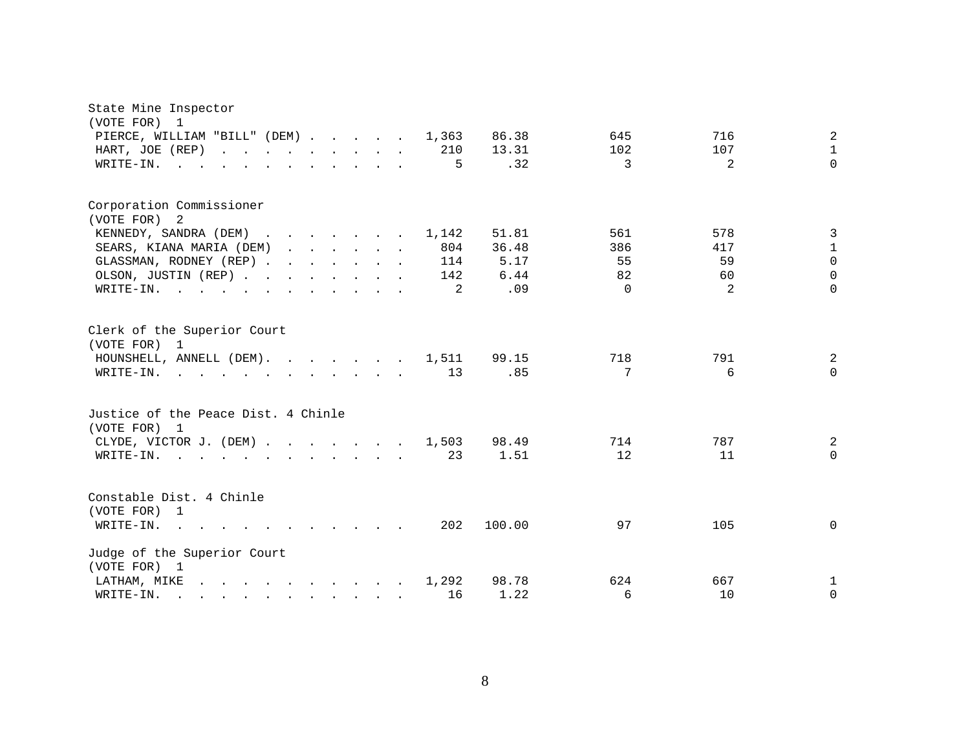| State Mine Inspector                                                                                                                                                                                                                                                                       |                                     |
|--------------------------------------------------------------------------------------------------------------------------------------------------------------------------------------------------------------------------------------------------------------------------------------------|-------------------------------------|
| (VOTE FOR) 1<br>PIERCE, WILLIAM "BILL" (DEM) 1,363                                                                                                                                                                                                                                         | 2<br>86.38<br>645<br>716            |
| HART, JOE (REP)<br>210                                                                                                                                                                                                                                                                     | $\mathbf{1}$<br>107<br>13.31<br>102 |
| 5<br>WRITE-IN.                                                                                                                                                                                                                                                                             | 2<br>$\Omega$<br>.32<br>3           |
|                                                                                                                                                                                                                                                                                            |                                     |
| Corporation Commissioner                                                                                                                                                                                                                                                                   |                                     |
| (VOTE FOR) 2                                                                                                                                                                                                                                                                               |                                     |
| KENNEDY, SANDRA (DEM)<br>1,142                                                                                                                                                                                                                                                             | 3<br>51.81<br>561<br>578            |
| 804<br>SEARS, KIANA MARIA (DEM)                                                                                                                                                                                                                                                            | $\mathbf{1}$<br>36.48<br>386<br>417 |
| GLASSMAN, RODNEY (REP)<br>114                                                                                                                                                                                                                                                              | $\mathsf{O}$<br>55<br>59<br>5.17    |
| OLSON, JUSTIN (REP)<br>142                                                                                                                                                                                                                                                                 | $\Omega$<br>82<br>6.44<br>60        |
| WRITE-IN.<br>2<br>$\mathbf{r}$ . The set of $\mathbf{r}$<br>and the contract of the contract of the contract of the contract of the contract of the contract of the contract of the contract of the contract of the contract of the contract of the contract of the contract of the contra | $\Omega$<br>.09<br>$\Omega$<br>2    |
| Clerk of the Superior Court                                                                                                                                                                                                                                                                |                                     |
| (VOTE FOR) 1<br>HOUNSHELL, ANNELL (DEM). 1,511                                                                                                                                                                                                                                             | 791<br>718<br>2                     |
| 13<br>WRITE-IN.<br>$\mathbf{r}$ , and $\mathbf{r}$ , and $\mathbf{r}$ , and $\mathbf{r}$ , and $\mathbf{r}$ , and $\mathbf{r}$                                                                                                                                                             | 99.15<br>7<br>.85<br>6<br>$\Omega$  |
|                                                                                                                                                                                                                                                                                            |                                     |
| Justice of the Peace Dist. 4 Chinle                                                                                                                                                                                                                                                        |                                     |
| (VOTE FOR) 1                                                                                                                                                                                                                                                                               |                                     |
| CLYDE, VICTOR J. (DEM)<br>1,503                                                                                                                                                                                                                                                            | 787<br>2<br>98.49<br>714            |
| 23<br>WRITE-IN.<br>$\mathbf{r}$ , and $\mathbf{r}$ , and $\mathbf{r}$ , and $\mathbf{r}$<br>$\sim$ $\sim$ $\sim$ $\sim$ $\sim$<br>$\sim$                                                                                                                                                   | 12<br>11<br>$\Omega$<br>1.51        |
| Constable Dist. 4 Chinle                                                                                                                                                                                                                                                                   |                                     |
| (VOTE FOR) 1                                                                                                                                                                                                                                                                               |                                     |
| 202<br>WRITE-IN.<br>$\mathbf{r}$ , $\mathbf{r}$ , $\mathbf{r}$ , $\mathbf{r}$ , $\mathbf{r}$ , $\mathbf{r}$<br><b><i>Contract Contract States</i></b><br>$\sim$                                                                                                                            | 100.00<br>97<br>105<br>$\mathbf 0$  |
| Judge of the Superior Court                                                                                                                                                                                                                                                                |                                     |
| (VOTE FOR) 1<br>and the contract of the contract of the contract of the contract of the contract of the contract of the contract of the contract of the contract of the contract of the contract of the contract of the contract of the contra<br>LATHAM, MIKE<br>1,292                    | 98.78<br>624<br>667                 |
| 16<br>WRITE-IN.<br>$\mathbf{r} = \mathbf{r} - \mathbf{r}$ , $\mathbf{r} = \mathbf{r} - \mathbf{r}$ , $\mathbf{r} = \mathbf{r} - \mathbf{r}$                                                                                                                                                | 1<br>6<br>10<br>$\mathbf 0$<br>1.22 |
|                                                                                                                                                                                                                                                                                            |                                     |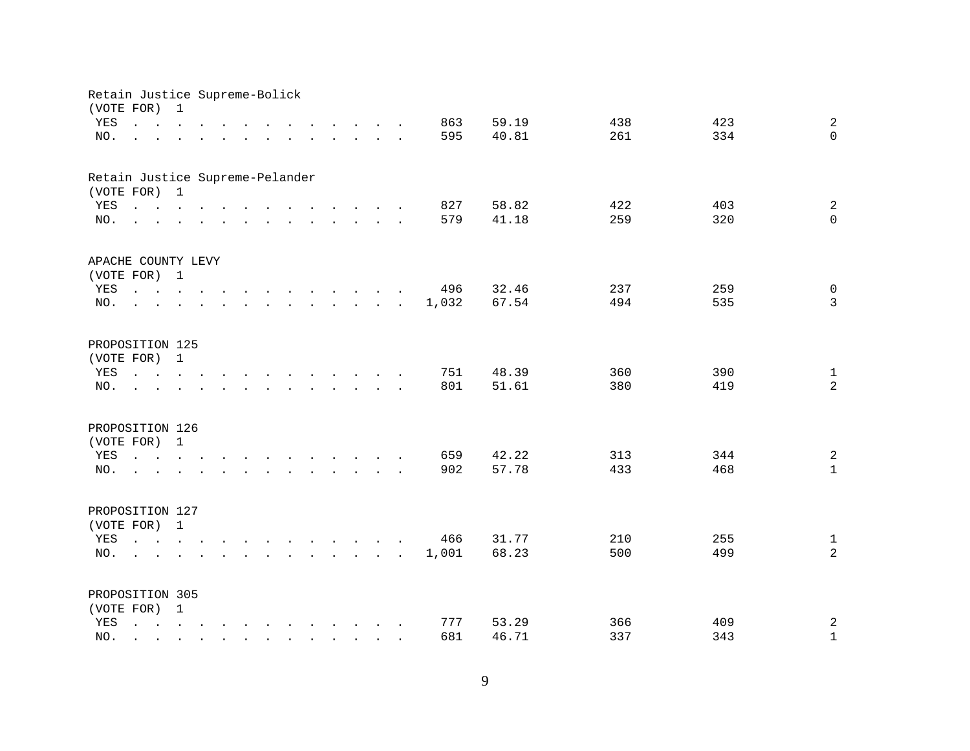| Retain Justice Supreme-Bolick<br>(VOTE FOR) |                                                                                                                                                                                | 1            |                                                                                                                                                                                                                                                                                                                                                                                                                                                                                                              |              |                                                                                                                 |                                        |  |                                                                                                                      |       |       |     |     |                |
|---------------------------------------------|--------------------------------------------------------------------------------------------------------------------------------------------------------------------------------|--------------|--------------------------------------------------------------------------------------------------------------------------------------------------------------------------------------------------------------------------------------------------------------------------------------------------------------------------------------------------------------------------------------------------------------------------------------------------------------------------------------------------------------|--------------|-----------------------------------------------------------------------------------------------------------------|----------------------------------------|--|----------------------------------------------------------------------------------------------------------------------|-------|-------|-----|-----|----------------|
| YES                                         | $\mathbf{r}$ , $\mathbf{r}$ , $\mathbf{r}$ , $\mathbf{r}$ , $\mathbf{r}$                                                                                                       |              |                                                                                                                                                                                                                                                                                                                                                                                                                                                                                                              |              | $\mathbf{r}$ , $\mathbf{r}$ , $\mathbf{r}$ , $\mathbf{r}$ , $\mathbf{r}$ , $\mathbf{r}$                         |                                        |  |                                                                                                                      | 863   | 59.19 | 438 | 423 | $\overline{a}$ |
| NO.                                         |                                                                                                                                                                                | $\mathbf{L}$ | $\mathbf{r} = \mathbf{r} \times \mathbf{r} \times \mathbf{r} \times \mathbf{r} \times \mathbf{r} \times \mathbf{r} \times \mathbf{r} \times \mathbf{r} \times \mathbf{r} \times \mathbf{r} \times \mathbf{r} \times \mathbf{r} \times \mathbf{r} \times \mathbf{r} \times \mathbf{r} \times \mathbf{r} \times \mathbf{r} \times \mathbf{r} \times \mathbf{r} \times \mathbf{r} \times \mathbf{r} \times \mathbf{r} \times \mathbf{r} \times \mathbf{r} \times \mathbf{r} \times \mathbf{r} \times \mathbf{r$ |              |                                                                                                                 |                                        |  |                                                                                                                      | 595   | 40.81 | 261 | 334 | $\Omega$       |
|                                             |                                                                                                                                                                                |              |                                                                                                                                                                                                                                                                                                                                                                                                                                                                                                              |              |                                                                                                                 |                                        |  |                                                                                                                      |       |       |     |     |                |
| Retain Justice Supreme-Pelander             |                                                                                                                                                                                |              |                                                                                                                                                                                                                                                                                                                                                                                                                                                                                                              |              |                                                                                                                 |                                        |  |                                                                                                                      |       |       |     |     |                |
| (VOTE FOR) 1                                |                                                                                                                                                                                |              |                                                                                                                                                                                                                                                                                                                                                                                                                                                                                                              |              |                                                                                                                 |                                        |  |                                                                                                                      |       |       |     |     |                |
| YES                                         | $\mathbf{r}$ , and $\mathbf{r}$ , and $\mathbf{r}$ , and $\mathbf{r}$ , and $\mathbf{r}$ , and $\mathbf{r}$                                                                    |              |                                                                                                                                                                                                                                                                                                                                                                                                                                                                                                              |              |                                                                                                                 |                                        |  |                                                                                                                      | 827   | 58.82 | 422 | 403 | 2              |
| NO.                                         | $\mathbf{r}$ , and $\mathbf{r}$ , and $\mathbf{r}$ , and $\mathbf{r}$ , and $\mathbf{r}$ , and $\mathbf{r}$                                                                    |              |                                                                                                                                                                                                                                                                                                                                                                                                                                                                                                              |              |                                                                                                                 |                                        |  |                                                                                                                      | 579   | 41.18 | 259 | 320 | $\Omega$       |
| APACHE COUNTY LEVY                          |                                                                                                                                                                                |              |                                                                                                                                                                                                                                                                                                                                                                                                                                                                                                              |              |                                                                                                                 |                                        |  |                                                                                                                      |       |       |     |     |                |
| (VOTE FOR) 1                                |                                                                                                                                                                                |              |                                                                                                                                                                                                                                                                                                                                                                                                                                                                                                              |              |                                                                                                                 |                                        |  |                                                                                                                      |       |       |     |     |                |
| YES                                         | $\mathbf{r}$ , $\mathbf{r}$ , $\mathbf{r}$ , $\mathbf{r}$                                                                                                                      |              |                                                                                                                                                                                                                                                                                                                                                                                                                                                                                                              |              | $\mathbf{r}$ , and $\mathbf{r}$ , and $\mathbf{r}$ , and $\mathbf{r}$                                           |                                        |  |                                                                                                                      | 496   | 32.46 | 237 | 259 | $\mathsf{O}$   |
| NO.                                         |                                                                                                                                                                                |              |                                                                                                                                                                                                                                                                                                                                                                                                                                                                                                              |              |                                                                                                                 |                                        |  | $\mathbf{r} = \mathbf{r} + \mathbf{r} + \mathbf{r} + \mathbf{r} + \mathbf{r} + \mathbf{r} + \mathbf{r} + \mathbf{r}$ | 1,032 | 67.54 | 494 | 535 | $\mathbf{3}$   |
|                                             |                                                                                                                                                                                |              |                                                                                                                                                                                                                                                                                                                                                                                                                                                                                                              |              |                                                                                                                 |                                        |  |                                                                                                                      |       |       |     |     |                |
| PROPOSITION 125                             |                                                                                                                                                                                |              |                                                                                                                                                                                                                                                                                                                                                                                                                                                                                                              |              |                                                                                                                 |                                        |  |                                                                                                                      |       |       |     |     |                |
| (VOTE FOR) 1                                |                                                                                                                                                                                |              |                                                                                                                                                                                                                                                                                                                                                                                                                                                                                                              |              |                                                                                                                 |                                        |  |                                                                                                                      |       |       |     |     |                |
| YES                                         | $\cdot$ $\cdot$ $\cdot$ $\cdot$                                                                                                                                                |              |                                                                                                                                                                                                                                                                                                                                                                                                                                                                                                              |              | the contract of the contract of the contract of the contract of the contract of the contract of the contract of |                                        |  |                                                                                                                      | 751   | 48.39 | 360 | 390 | $\mathbf{1}$   |
| NO.                                         |                                                                                                                                                                                |              |                                                                                                                                                                                                                                                                                                                                                                                                                                                                                                              |              |                                                                                                                 | $\mathbf{r}$ . The set of $\mathbf{r}$ |  |                                                                                                                      | 801   | 51.61 | 380 | 419 | $\overline{a}$ |
| PROPOSITION 126                             |                                                                                                                                                                                |              |                                                                                                                                                                                                                                                                                                                                                                                                                                                                                                              |              |                                                                                                                 |                                        |  |                                                                                                                      |       |       |     |     |                |
| (VOTE FOR) 1                                |                                                                                                                                                                                |              |                                                                                                                                                                                                                                                                                                                                                                                                                                                                                                              |              |                                                                                                                 |                                        |  |                                                                                                                      |       |       |     |     |                |
| YES                                         | $\mathbf{r}$ , and $\mathbf{r}$ , and $\mathbf{r}$ , and $\mathbf{r}$ , and $\mathbf{r}$ , and $\mathbf{r}$                                                                    |              |                                                                                                                                                                                                                                                                                                                                                                                                                                                                                                              |              |                                                                                                                 |                                        |  |                                                                                                                      | 659   | 42.22 | 313 | 344 | $\sqrt{2}$     |
| NO.                                         | <u>na na kama na kama na kama na kama</u>                                                                                                                                      |              |                                                                                                                                                                                                                                                                                                                                                                                                                                                                                                              |              |                                                                                                                 |                                        |  |                                                                                                                      | 902   | 57.78 | 433 | 468 | $\mathbf{1}$   |
|                                             |                                                                                                                                                                                |              |                                                                                                                                                                                                                                                                                                                                                                                                                                                                                                              |              |                                                                                                                 |                                        |  |                                                                                                                      |       |       |     |     |                |
| PROPOSITION 127                             |                                                                                                                                                                                |              |                                                                                                                                                                                                                                                                                                                                                                                                                                                                                                              |              |                                                                                                                 |                                        |  |                                                                                                                      |       |       |     |     |                |
|                                             | (VOTE FOR) 1                                                                                                                                                                   |              |                                                                                                                                                                                                                                                                                                                                                                                                                                                                                                              |              |                                                                                                                 |                                        |  |                                                                                                                      |       |       |     |     |                |
| YES                                         |                                                                                                                                                                                |              |                                                                                                                                                                                                                                                                                                                                                                                                                                                                                                              |              |                                                                                                                 |                                        |  |                                                                                                                      | 466   | 31.77 | 210 | 255 | $\mathbf{1}$   |
| NO.                                         | <b>Contract Contract Contract</b>                                                                                                                                              |              |                                                                                                                                                                                                                                                                                                                                                                                                                                                                                                              |              |                                                                                                                 |                                        |  |                                                                                                                      | 1,001 | 68.23 | 500 | 499 | $\overline{a}$ |
|                                             |                                                                                                                                                                                |              |                                                                                                                                                                                                                                                                                                                                                                                                                                                                                                              |              |                                                                                                                 |                                        |  |                                                                                                                      |       |       |     |     |                |
| PROPOSITION 305                             |                                                                                                                                                                                |              |                                                                                                                                                                                                                                                                                                                                                                                                                                                                                                              |              |                                                                                                                 |                                        |  |                                                                                                                      |       |       |     |     |                |
| (VOTE FOR) 1                                |                                                                                                                                                                                |              |                                                                                                                                                                                                                                                                                                                                                                                                                                                                                                              |              |                                                                                                                 |                                        |  |                                                                                                                      |       |       |     |     |                |
| YES                                         | $\mathbf{r} = \mathbf{r} - \mathbf{r}$ , $\mathbf{r} = \mathbf{r} - \mathbf{r}$ , $\mathbf{r} = \mathbf{r} - \mathbf{r} - \mathbf{r}$ , $\mathbf{r} = \mathbf{r} - \mathbf{r}$ |              |                                                                                                                                                                                                                                                                                                                                                                                                                                                                                                              |              |                                                                                                                 |                                        |  |                                                                                                                      | 777   | 53.29 | 366 | 409 | $\overline{c}$ |
| NO.                                         |                                                                                                                                                                                |              |                                                                                                                                                                                                                                                                                                                                                                                                                                                                                                              | $\mathbf{r}$ | $\mathbf{r}$ , $\mathbf{r}$ , $\mathbf{r}$ , $\mathbf{r}$ , $\mathbf{r}$                                        |                                        |  |                                                                                                                      | 681   | 46.71 | 337 | 343 | $\mathbf{1}$   |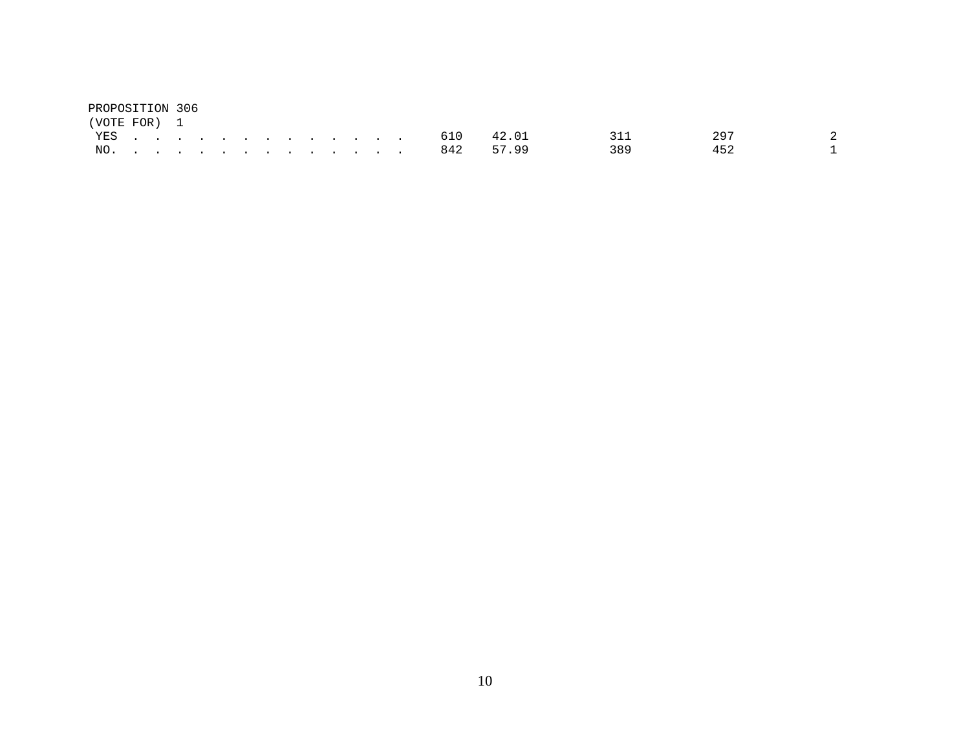| PROPOSITION 306 |  |  |  |  |  |  |                |     |     |  |
|-----------------|--|--|--|--|--|--|----------------|-----|-----|--|
| (VOTE FOR) 1    |  |  |  |  |  |  |                |     |     |  |
|                 |  |  |  |  |  |  | YES. 610 42.01 | 311 | 297 |  |
|                 |  |  |  |  |  |  | NO. 842 57.99  | 389 |     |  |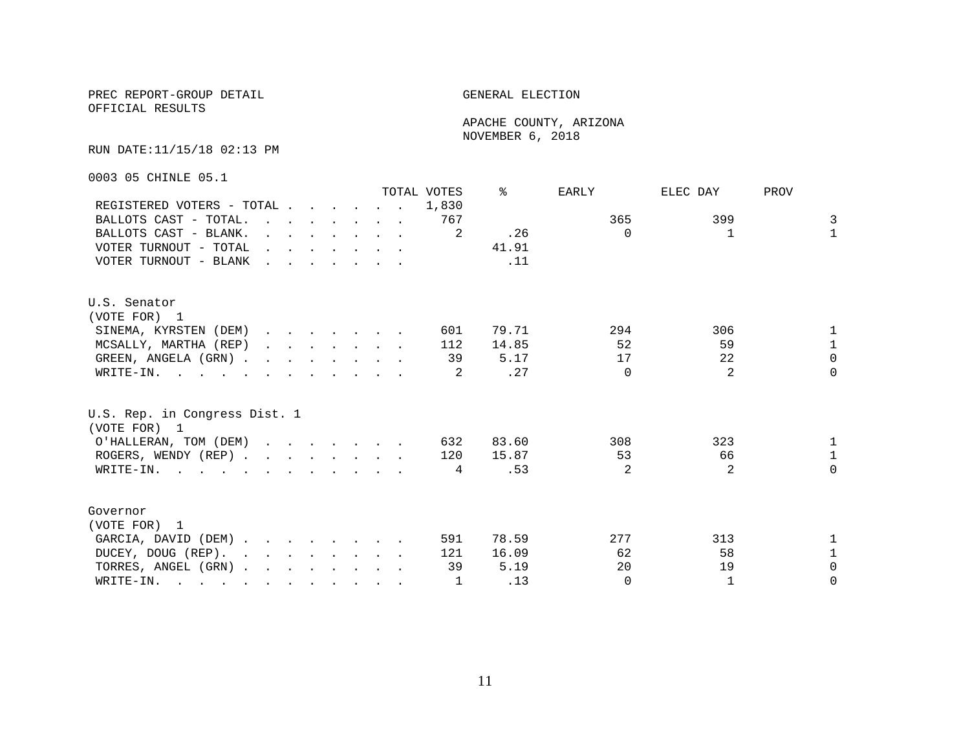OFFICIAL RESULTS

 APACHE COUNTY, ARIZONA NOVEMBER 6, 2018

#### RUN DATE:11/15/18 02:13 PM

0003 05 CHINLE 05.1

|                                                                                                       |              |                                                                                                                                                                                                                                      |  |  |                                                                                         | TOTAL VOTES | °≈    | EARLY          | ELEC DAY | PROV         |
|-------------------------------------------------------------------------------------------------------|--------------|--------------------------------------------------------------------------------------------------------------------------------------------------------------------------------------------------------------------------------------|--|--|-----------------------------------------------------------------------------------------|-------------|-------|----------------|----------|--------------|
| REGISTERED VOTERS - TOTAL                                                                             |              |                                                                                                                                                                                                                                      |  |  |                                                                                         | 1,830       |       |                |          |              |
| BALLOTS CAST - TOTAL.                                                                                 |              |                                                                                                                                                                                                                                      |  |  | $\mathbf{r}$ , $\mathbf{r}$ , $\mathbf{r}$ , $\mathbf{r}$ , $\mathbf{r}$ , $\mathbf{r}$ | 767         |       | 365            | 399      | 3            |
| BALLOTS CAST - BLANK.                                                                                 | $\mathbf{r}$ | $\mathbf{r}$ . The set of the set of the set of $\mathbf{r}$                                                                                                                                                                         |  |  |                                                                                         | 2           | .26   | $\Omega$       |          | $\mathbf{1}$ |
| VOTER TURNOUT - TOTAL                                                                                 |              | $\mathbf{r}$ and $\mathbf{r}$ are the set of the set of the set of the set of the set of the set of the set of the set of the set of the set of the set of the set of the set of the set of the set of the set of the set of the set |  |  |                                                                                         |             | 41.91 |                |          |              |
| VOTER TURNOUT - BLANK                                                                                 |              | $\mathbf{r}$ , $\mathbf{r}$ , $\mathbf{r}$ , $\mathbf{r}$ , $\mathbf{r}$ , $\mathbf{r}$                                                                                                                                              |  |  |                                                                                         |             | .11   |                |          |              |
| U.S. Senator                                                                                          |              |                                                                                                                                                                                                                                      |  |  |                                                                                         |             |       |                |          |              |
| (VOTE FOR) 1                                                                                          |              |                                                                                                                                                                                                                                      |  |  |                                                                                         |             |       |                |          |              |
| SINEMA, KYRSTEN (DEM)                                                                                 |              |                                                                                                                                                                                                                                      |  |  |                                                                                         | 601         | 79.71 | 294            | 306      | $\mathbf{1}$ |
| MCSALLY, MARTHA (REP)                                                                                 |              | $\mathbf{r} = \mathbf{r} + \mathbf{r} + \mathbf{r} + \mathbf{r} + \mathbf{r} + \mathbf{r} + \mathbf{r}$                                                                                                                              |  |  |                                                                                         | 112         | 14.85 | 52             | 59       | $\mathbf{1}$ |
| GREEN, ANGELA (GRN)                                                                                   |              |                                                                                                                                                                                                                                      |  |  |                                                                                         | 39          | 5.17  | 17             | 22       | $\Omega$     |
| WRITE-IN.                                                                                             |              |                                                                                                                                                                                                                                      |  |  |                                                                                         |             | .27   | $\Omega$       | 2        | $\Omega$     |
| U.S. Rep. in Congress Dist. 1<br>(VOTE FOR) 1                                                         |              |                                                                                                                                                                                                                                      |  |  |                                                                                         |             |       |                |          |              |
| O'HALLERAN, TOM (DEM)                                                                                 |              |                                                                                                                                                                                                                                      |  |  |                                                                                         | 632         | 83.60 | 308            | 323      | $\mathbf{1}$ |
| ROGERS, WENDY (REP)                                                                                   |              |                                                                                                                                                                                                                                      |  |  |                                                                                         | 120         | 15.87 | 53             | 66       | $\mathbf{1}$ |
| WRITE-IN.                                                                                             |              |                                                                                                                                                                                                                                      |  |  |                                                                                         | 4           | .53   | $\overline{2}$ | 2        | $\Omega$     |
| Governor                                                                                              |              |                                                                                                                                                                                                                                      |  |  |                                                                                         |             |       |                |          |              |
| (VOTE FOR) 1                                                                                          |              |                                                                                                                                                                                                                                      |  |  |                                                                                         |             |       |                |          |              |
| GARCIA, DAVID (DEM)                                                                                   |              |                                                                                                                                                                                                                                      |  |  |                                                                                         | 591         | 78.59 | 277            | 313      | $\mathbf{1}$ |
| DUCEY, DOUG (REP).                                                                                    |              |                                                                                                                                                                                                                                      |  |  |                                                                                         | 121         | 16.09 | 62             | 58       | $\mathbf{1}$ |
| TORRES, ANGEL (GRN)                                                                                   |              |                                                                                                                                                                                                                                      |  |  |                                                                                         | 39          | 5.19  | 20             | 19       | $\Omega$     |
| WRITE-IN.<br>$\mathbf{r}$ , and $\mathbf{r}$ , and $\mathbf{r}$ , and $\mathbf{r}$ , and $\mathbf{r}$ |              |                                                                                                                                                                                                                                      |  |  |                                                                                         | 1           | .13   | $\Omega$       |          | $\Omega$     |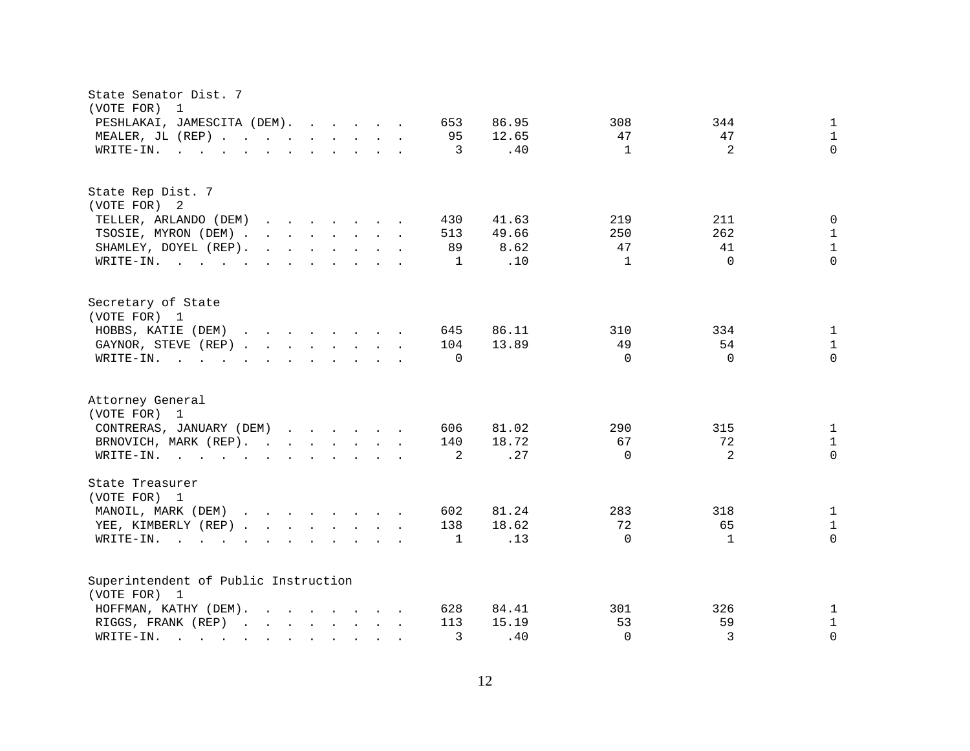| State Senator Dist. 7<br>(VOTE FOR)<br>$\overline{1}$                                                                                                                                                                                                                      |                          |              |
|----------------------------------------------------------------------------------------------------------------------------------------------------------------------------------------------------------------------------------------------------------------------------|--------------------------|--------------|
| 86.95<br>PESHLAKAI, JAMESCITA (DEM).<br>653                                                                                                                                                                                                                                | 308<br>344               | $\mathbf{1}$ |
| 95<br>12.65<br>MEALER, JL (REP)                                                                                                                                                                                                                                            | 47<br>47                 | $\mathbf{1}$ |
| 3<br>.40<br>WRITE-IN.<br>$\mathbf{r}$ , and $\mathbf{r}$ , and $\mathbf{r}$ , and $\mathbf{r}$ , and $\mathbf{r}$                                                                                                                                                          | 2<br>$\mathbf{1}$        | $\Omega$     |
|                                                                                                                                                                                                                                                                            |                          |              |
| State Rep Dist. 7                                                                                                                                                                                                                                                          |                          |              |
| (VOTE FOR) 2                                                                                                                                                                                                                                                               |                          |              |
| TELLER, ARLANDO (DEM)<br>430<br>41.63<br>$\mathbf{r}$ . The set of the set of the set of the set of the set of the set of the set of the set of the set of the set of the set of the set of the set of the set of the set of the set of the set of the set of the set of t | 219<br>211               | 0            |
| TSOSIE, MYRON (DEM)<br>513<br>49.66                                                                                                                                                                                                                                        | 262<br>250               | $\mathbf 1$  |
| 8.62<br>SHAMLEY, DOYEL (REP).<br>$\mathbf{r}$ . The set of the set of the set of the set of the set of the set of the set of the set of the set of the set of the set of the set of the set of the set of the set of the set of the set of the set of the set of t<br>89   | 47<br>41                 | $\mathbf{1}$ |
| .10<br>WRITE-IN.<br>1                                                                                                                                                                                                                                                      | $\Omega$<br>$\mathbf{1}$ | $\Omega$     |
| Secretary of State                                                                                                                                                                                                                                                         |                          |              |
| (VOTE FOR) 1                                                                                                                                                                                                                                                               |                          |              |
| HOBBS, KATIE (DEM)<br>$\mathbf{r}$ . The set of the set of the set of the set of the set of the set of the set of the set of the set of the set of the set of the set of the set of the set of the set of the set of the set of the set of the set of t<br>645<br>86.11    | 310<br>334               | $\mathbf 1$  |
| 13.89<br>GAYNOR, STEVE (REP)<br>104                                                                                                                                                                                                                                        | 49<br>54                 | $\mathbf{1}$ |
| WRITE-IN.<br>$\Omega$<br>$\mathbf{r}$ , and $\mathbf{r}$ , and $\mathbf{r}$ , and $\mathbf{r}$ , and $\mathbf{r}$                                                                                                                                                          | $\Omega$<br>$\Omega$     | $\Omega$     |
| Attorney General<br>(VOTE FOR) 1                                                                                                                                                                                                                                           |                          |              |
| CONTRERAS, JANUARY (DEM)<br>81.02<br>606                                                                                                                                                                                                                                   | 290<br>315               | 1            |
| 18.72<br>BRNOVICH, MARK (REP).<br>140                                                                                                                                                                                                                                      | 72<br>67                 | $\mathbf{1}$ |
| .27<br>2                                                                                                                                                                                                                                                                   | 2<br>$\Omega$            | $\Omega$     |
| WRITE-IN.                                                                                                                                                                                                                                                                  |                          |              |
| State Treasurer<br>(VOTE FOR) 1                                                                                                                                                                                                                                            |                          |              |
| MANOIL, MARK (DEM)<br>81.24<br>602                                                                                                                                                                                                                                         | 283<br>318               | $\mathbf{1}$ |
| 138<br>18.62<br>YEE, KIMBERLY (REP)                                                                                                                                                                                                                                        | 72<br>65                 | $\mathbf{1}$ |
| .13<br>WRITE-IN.<br>1<br>$\mathbf{r}$ . The set of $\mathbf{r}$<br>$\sim$<br>$\mathbf{r}$<br>$\mathbf{r}$ , $\mathbf{r}$ , $\mathbf{r}$ , $\mathbf{r}$ , $\mathbf{r}$<br>$\sim$                                                                                            | $\Omega$<br>$\mathbf{1}$ | $\Omega$     |
| Superintendent of Public Instruction                                                                                                                                                                                                                                       |                          |              |
| (VOTE FOR) 1                                                                                                                                                                                                                                                               |                          |              |
| HOFFMAN, KATHY (DEM).<br>628<br>84.41<br>$\mathbf{r}$ , $\mathbf{r}$ , $\mathbf{r}$ , $\mathbf{r}$ , $\mathbf{r}$ , $\mathbf{r}$                                                                                                                                           | 301<br>326               | $\mathbf{1}$ |
| 113<br>RIGGS, FRANK (REP)<br>15.19<br>$\mathbf{r}$ . The set of the set of the set of the set of the set of the set of the set of the set of the set of the set of the set of the set of the set of the set of the set of the set of the set of the set of the set of t    | 53<br>59                 | $\mathbf{1}$ |
| WRITE-IN.<br>3<br>.40<br><b><i>Committee State Committee State State State</i></b>                                                                                                                                                                                         | 3<br>$\Omega$            | $\Omega$     |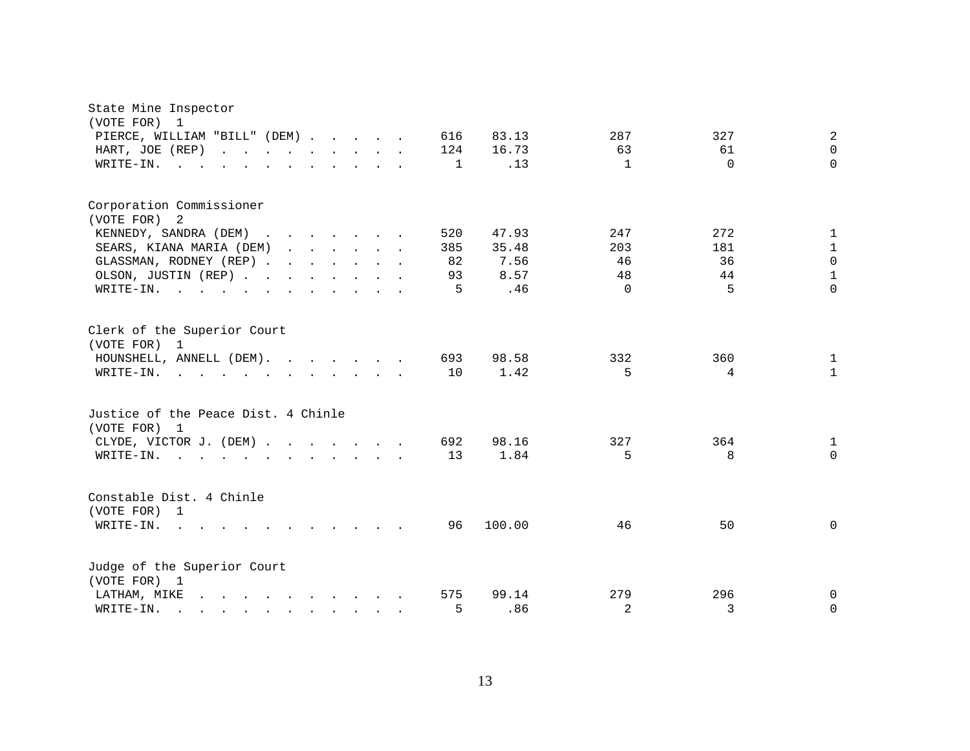| State Mine Inspector<br>(VOTE FOR) 1                                                                                                                                                                                                                  |                                                  |
|-------------------------------------------------------------------------------------------------------------------------------------------------------------------------------------------------------------------------------------------------------|--------------------------------------------------|
| PIERCE, WILLIAM "BILL" (DEM)<br>616                                                                                                                                                                                                                   | 83.13<br>287<br>327<br>2                         |
| HART, JOE (REP)<br>124                                                                                                                                                                                                                                | 16.73<br>63<br>61<br>$\Omega$                    |
| $\texttt{WRTTE-IN.}$<br>$\mathbf{r}$ , $\mathbf{r}$ , $\mathbf{r}$ , $\mathbf{r}$<br>$\sim$                                                                                                                                                           | $\Omega$<br>.13<br>$\Omega$<br>1<br>$\mathbf{1}$ |
| Corporation Commissioner<br>(VOTE FOR) 2                                                                                                                                                                                                              |                                                  |
| KENNEDY, SANDRA (DEM)<br>520                                                                                                                                                                                                                          | 247<br>272<br>47.93<br>$\mathbf{1}$              |
| SEARS, KIANA MARIA (DEM)<br>385                                                                                                                                                                                                                       | 35.48<br>203<br>181<br>$\mathbf{1}$              |
| GLASSMAN, RODNEY (REP)                                                                                                                                                                                                                                | 36<br>$\Omega$<br>82<br>7.56<br>46               |
| OLSON, JUSTIN (REP)                                                                                                                                                                                                                                   | $\mathbf{1}$<br>93<br>8.57<br>48<br>44           |
| WRITE-IN.                                                                                                                                                                                                                                             | 5<br>$\Omega$<br>5<br>.46<br>$\Omega$            |
|                                                                                                                                                                                                                                                       |                                                  |
| Clerk of the Superior Court<br>(VOTE FOR) 1                                                                                                                                                                                                           |                                                  |
| HOUNSHELL, ANNELL (DEM).<br>693                                                                                                                                                                                                                       | 332<br>98.58<br>360<br>1                         |
| $W\text{RITE-IN.}$ , , , , , , , , , , ,                                                                                                                                                                                                              | 10<br>1.42<br>5<br>$\mathbf{1}$<br>4             |
| Justice of the Peace Dist. 4 Chinle<br>(VOTE FOR) 1                                                                                                                                                                                                   |                                                  |
| CLYDE, VICTOR J. (DEM)<br>692                                                                                                                                                                                                                         | 327<br>98.16<br>364<br>1                         |
| WRITE-IN.<br>$\mathbf{r}$ . The state of the state $\mathbf{r}$ is the state of the state $\mathbf{r}$                                                                                                                                                | 1.84<br>$\Omega$<br>13<br>5<br>8                 |
|                                                                                                                                                                                                                                                       |                                                  |
| Constable Dist. 4 Chinle<br>(VOTE FOR) 1                                                                                                                                                                                                              |                                                  |
| WRITE-IN.<br><b>Contract</b><br>$\mathbf{r}$ , and $\mathbf{r}$ , and $\mathbf{r}$ , and $\mathbf{r}$                                                                                                                                                 | 100.00<br>$\Omega$<br>96<br>46<br>50             |
| Judge of the Superior Court                                                                                                                                                                                                                           |                                                  |
| (VOTE FOR) 1                                                                                                                                                                                                                                          |                                                  |
| and the contract of the contract of the contract of the contract of the contract of the contract of the contract of the contract of the contract of the contract of the contract of the contract of the contract of the contra<br>575<br>LATHAM, MIKE | 279<br>296<br>99.14<br>$\mathbf 0$               |
| WRITE-IN.<br>$\mathbf{r} = \mathbf{r} - \mathbf{r}$ , $\mathbf{r} = \mathbf{r} - \mathbf{r}$ , $\mathbf{r} = \mathbf{r} - \mathbf{r}$                                                                                                                 | $\overline{a}$<br>$\Omega$<br>5<br>.86<br>3      |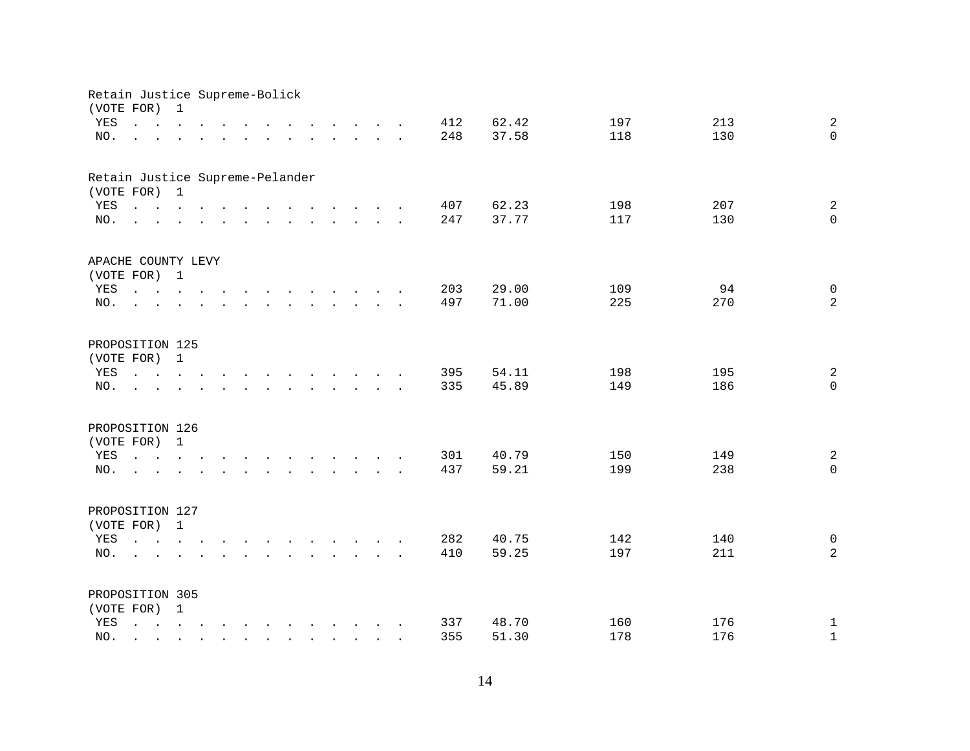| Retain Justice Supreme-Bolick<br>(VOTE FOR) |                                                                                                                                                                                | 1                         |                                                              |  |  |                           |                                                                                                                                                                                                                                      |  |     |       |     |     |                |
|---------------------------------------------|--------------------------------------------------------------------------------------------------------------------------------------------------------------------------------|---------------------------|--------------------------------------------------------------|--|--|---------------------------|--------------------------------------------------------------------------------------------------------------------------------------------------------------------------------------------------------------------------------------|--|-----|-------|-----|-----|----------------|
| YES                                         | $\mathbf{r}$ and $\mathbf{r}$ and $\mathbf{r}$ and $\mathbf{r}$                                                                                                                |                           |                                                              |  |  |                           | $\mathbf{r}$ . The set of the set of $\mathbf{r}$                                                                                                                                                                                    |  | 412 | 62.42 | 197 | 213 | $\overline{a}$ |
| NO.                                         | $\mathbf{L} = \mathbf{L} \mathbf{L}$                                                                                                                                           | $\mathbf{L}^{\text{max}}$ |                                                              |  |  |                           | $\mathbf{r}$ and $\mathbf{r}$ are the set of the set of the set of the set of the set of the set of the set of the set of the set of the set of the set of the set of the set of the set of the set of the set of the set of the set |  | 248 | 37.58 | 118 | 130 | $\Omega$       |
|                                             |                                                                                                                                                                                |                           |                                                              |  |  |                           |                                                                                                                                                                                                                                      |  |     |       |     |     |                |
| Retain Justice Supreme-Pelander             |                                                                                                                                                                                |                           |                                                              |  |  |                           |                                                                                                                                                                                                                                      |  |     |       |     |     |                |
| (VOTE FOR) 1                                |                                                                                                                                                                                |                           |                                                              |  |  |                           |                                                                                                                                                                                                                                      |  |     |       |     |     |                |
| YES                                         |                                                                                                                                                                                |                           |                                                              |  |  |                           |                                                                                                                                                                                                                                      |  | 407 | 62.23 | 198 | 207 | $\overline{a}$ |
| NO.                                         | $\mathbf{r} = \mathbf{r} - \mathbf{r}$ , $\mathbf{r} = \mathbf{r} - \mathbf{r}$ , $\mathbf{r} = \mathbf{r} - \mathbf{r} - \mathbf{r}$ , $\mathbf{r} = \mathbf{r} - \mathbf{r}$ |                           |                                                              |  |  |                           |                                                                                                                                                                                                                                      |  | 247 | 37.77 | 117 | 130 | $\mathbf 0$    |
| APACHE COUNTY LEVY                          |                                                                                                                                                                                |                           |                                                              |  |  |                           |                                                                                                                                                                                                                                      |  |     |       |     |     |                |
| (VOTE FOR) 1                                |                                                                                                                                                                                |                           |                                                              |  |  |                           |                                                                                                                                                                                                                                      |  |     |       |     |     |                |
| YES                                         | $\mathbf{L} = \mathbf{L}$                                                                                                                                                      |                           | $\mathbf{L} = \mathbf{L} \mathbf{L} + \mathbf{L} \mathbf{L}$ |  |  |                           | the contract of the contract of the contract of the contract of the contract of the contract of the contract of                                                                                                                      |  | 203 | 29.00 | 109 | 94  | $\mathsf{O}$   |
| NO.                                         |                                                                                                                                                                                |                           |                                                              |  |  |                           | $\mathbf{r} = \mathbf{r} - \mathbf{r}$ , where $\mathbf{r} = \mathbf{r} - \mathbf{r}$                                                                                                                                                |  | 497 | 71.00 | 225 | 270 | $\overline{a}$ |
|                                             |                                                                                                                                                                                |                           |                                                              |  |  |                           |                                                                                                                                                                                                                                      |  |     |       |     |     |                |
| PROPOSITION 125                             |                                                                                                                                                                                |                           |                                                              |  |  |                           |                                                                                                                                                                                                                                      |  |     |       |     |     |                |
| (VOTE FOR)                                  |                                                                                                                                                                                | 1                         |                                                              |  |  |                           |                                                                                                                                                                                                                                      |  |     |       |     |     |                |
| YES                                         | $\mathbf{r}$ , $\mathbf{r}$ , $\mathbf{r}$                                                                                                                                     |                           |                                                              |  |  |                           | the contract of the contract of the contract of the contract of the contract of the contract of the contract of                                                                                                                      |  | 395 | 54.11 | 198 | 195 | $\overline{a}$ |
| NO.                                         |                                                                                                                                                                                |                           |                                                              |  |  | $\mathbf{L} = \mathbf{L}$ |                                                                                                                                                                                                                                      |  | 335 | 45.89 | 149 | 186 | $\mathbf 0$    |
| PROPOSITION 126                             |                                                                                                                                                                                |                           |                                                              |  |  |                           |                                                                                                                                                                                                                                      |  |     |       |     |     |                |
| (VOTE FOR)                                  |                                                                                                                                                                                | $\mathbf{1}$              |                                                              |  |  |                           |                                                                                                                                                                                                                                      |  |     |       |     |     |                |
| YES                                         |                                                                                                                                                                                |                           |                                                              |  |  |                           | $\mathbf{r} = \mathbf{r} - \mathbf{r}$ , $\mathbf{r} = \mathbf{r} - \mathbf{r}$ , $\mathbf{r} = \mathbf{r} - \mathbf{r} - \mathbf{r}$ , $\mathbf{r} = \mathbf{r} - \mathbf{r}$                                                       |  | 301 | 40.79 | 150 | 149 | $\overline{a}$ |
| NO.                                         | $\mathbf{r}$ $\mathbf{r}$                                                                                                                                                      | $\mathbf{r}$              |                                                              |  |  |                           | $\mathbf{r}$ , and $\mathbf{r}$ , and $\mathbf{r}$ , and $\mathbf{r}$ , and $\mathbf{r}$                                                                                                                                             |  | 437 | 59.21 | 199 | 238 | $\Omega$       |
|                                             |                                                                                                                                                                                |                           |                                                              |  |  |                           |                                                                                                                                                                                                                                      |  |     |       |     |     |                |
| PROPOSITION 127                             |                                                                                                                                                                                |                           |                                                              |  |  |                           |                                                                                                                                                                                                                                      |  |     |       |     |     |                |
| (VOTE FOR) 1                                |                                                                                                                                                                                |                           |                                                              |  |  |                           |                                                                                                                                                                                                                                      |  |     |       |     |     |                |
| YES                                         |                                                                                                                                                                                |                           |                                                              |  |  |                           | $\mathbf{r} = \mathbf{r} - \mathbf{r}$ , $\mathbf{r} = \mathbf{r} - \mathbf{r}$ , $\mathbf{r} = \mathbf{r} - \mathbf{r} - \mathbf{r}$ , $\mathbf{r} = \mathbf{r} - \mathbf{r}$                                                       |  | 282 | 40.75 | 142 | 140 | $\overline{0}$ |
| NO.                                         | $\mathbf{r}$                                                                                                                                                                   |                           |                                                              |  |  |                           | $\mathbf{r} = \mathbf{r} - \mathbf{r}$ , $\mathbf{r} = \mathbf{r} - \mathbf{r}$ , $\mathbf{r} = \mathbf{r} - \mathbf{r} - \mathbf{r}$                                                                                                |  | 410 | 59.25 | 197 | 211 | $\overline{a}$ |
|                                             |                                                                                                                                                                                |                           |                                                              |  |  |                           |                                                                                                                                                                                                                                      |  |     |       |     |     |                |
| PROPOSITION 305<br>(VOTE FOR) 1             |                                                                                                                                                                                |                           |                                                              |  |  |                           |                                                                                                                                                                                                                                      |  |     |       |     |     |                |
| YES                                         |                                                                                                                                                                                |                           |                                                              |  |  |                           | $\mathbf{r}$ , $\mathbf{r}$ , $\mathbf{r}$ , $\mathbf{r}$ , $\mathbf{r}$ , $\mathbf{r}$ , $\mathbf{r}$ , $\mathbf{r}$ , $\mathbf{r}$                                                                                                 |  | 337 | 48.70 | 160 | 176 | $\mathbf 1$    |
| NO.                                         |                                                                                                                                                                                |                           |                                                              |  |  |                           | $\mathbf{r}$ , $\mathbf{r}$ , $\mathbf{r}$ , $\mathbf{r}$ , $\mathbf{r}$ , $\mathbf{r}$ , $\mathbf{r}$                                                                                                                               |  | 355 | 51.30 | 178 | 176 | $\mathbf 1$    |
|                                             |                                                                                                                                                                                |                           |                                                              |  |  |                           |                                                                                                                                                                                                                                      |  |     |       |     |     |                |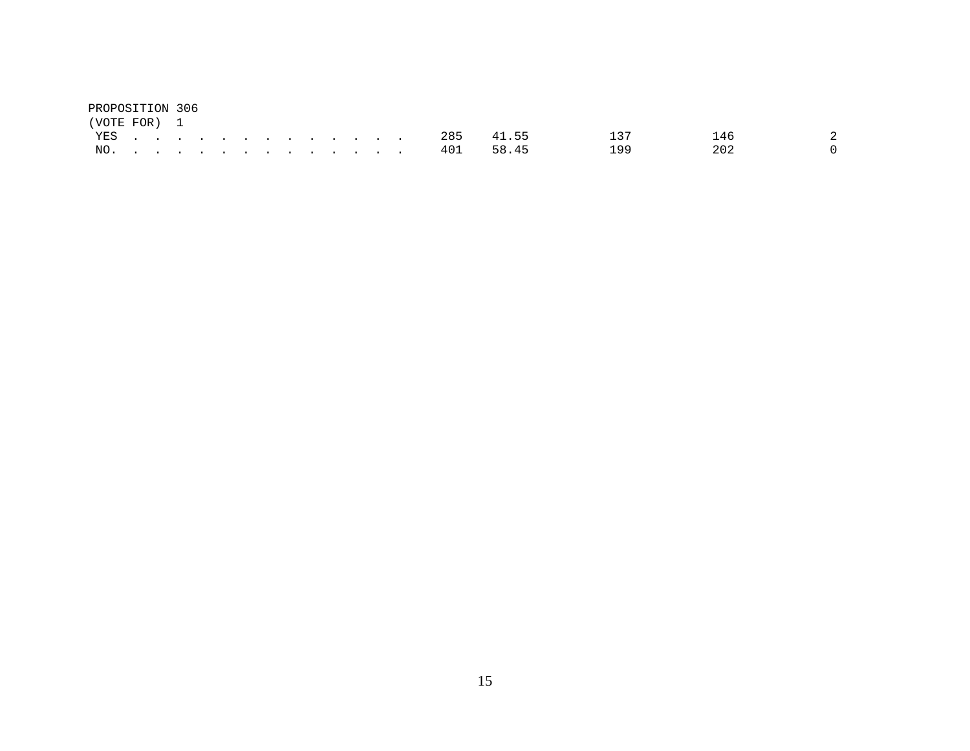| PROPOSITION 306 |  |  |  |  |  |  |     |       |     |     |  |
|-----------------|--|--|--|--|--|--|-----|-------|-----|-----|--|
| (VOTE FOR) 1    |  |  |  |  |  |  |     |       |     |     |  |
| YES.            |  |  |  |  |  |  | 285 | 41.55 | 137 | 146 |  |
| NO.             |  |  |  |  |  |  | 401 | 58.45 | 199 | 202 |  |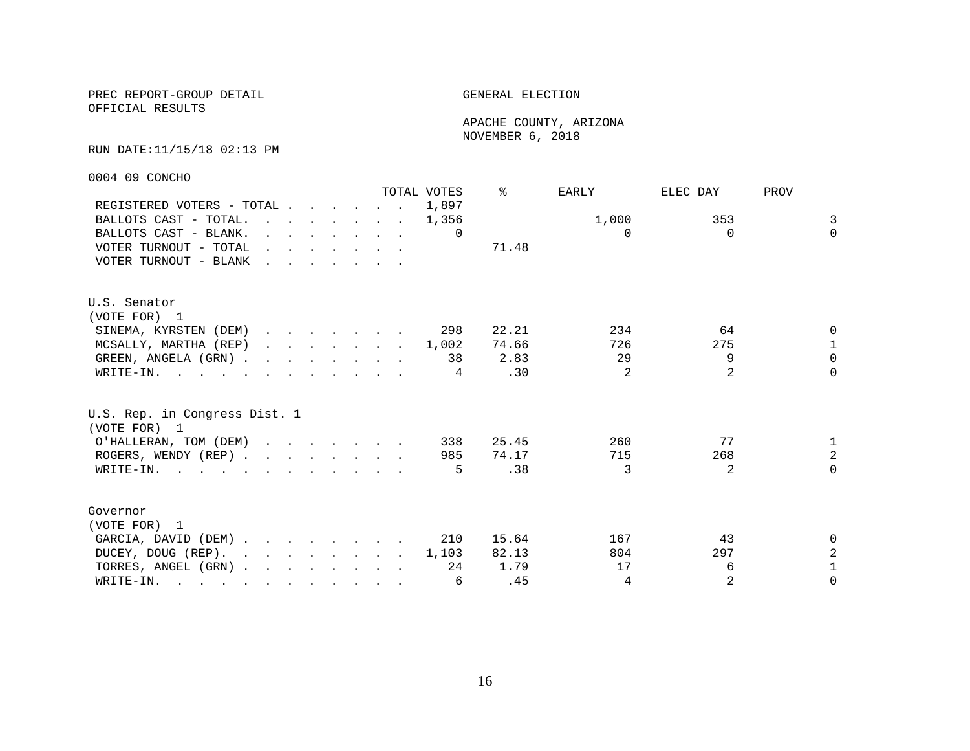OFFICIAL RESULTS

 APACHE COUNTY, ARIZONA NOVEMBER 6, 2018

#### RUN DATE:11/15/18 02:13 PM

0004 09 CONCHO

|                                                                                                                                                                                                                                                |                                                                                                                                                                                                                                   |  |  |                                                                                                                                                                                                                                      |                                                                       | TOTAL VOTES | ⊱     | EARLY    | ELEC DAY       | PROV           |
|------------------------------------------------------------------------------------------------------------------------------------------------------------------------------------------------------------------------------------------------|-----------------------------------------------------------------------------------------------------------------------------------------------------------------------------------------------------------------------------------|--|--|--------------------------------------------------------------------------------------------------------------------------------------------------------------------------------------------------------------------------------------|-----------------------------------------------------------------------|-------------|-------|----------|----------------|----------------|
| REGISTERED VOTERS - TOTAL                                                                                                                                                                                                                      |                                                                                                                                                                                                                                   |  |  |                                                                                                                                                                                                                                      |                                                                       | 1,897       |       |          |                |                |
| BALLOTS CAST - TOTAL.                                                                                                                                                                                                                          |                                                                                                                                                                                                                                   |  |  |                                                                                                                                                                                                                                      | $\mathbf{r}$ , and $\mathbf{r}$ , and $\mathbf{r}$ , and $\mathbf{r}$ | 1,356       |       | 1,000    | 353            | $\overline{3}$ |
| BALLOTS CAST - BLANK.                                                                                                                                                                                                                          |                                                                                                                                                                                                                                   |  |  | $\mathbf{r}$ , $\mathbf{r}$ , $\mathbf{r}$ , $\mathbf{r}$ , $\mathbf{r}$ , $\mathbf{r}$                                                                                                                                              |                                                                       | 0           |       | $\Omega$ | $\Omega$       | $\Omega$       |
| VOTER TURNOUT - TOTAL                                                                                                                                                                                                                          |                                                                                                                                                                                                                                   |  |  | $\mathbf{r}$ and $\mathbf{r}$ are the set of the set of the set of the set of the set of the set of the set of the set of the set of the set of the set of the set of the set of the set of the set of the set of the set of the set |                                                                       |             | 71.48 |          |                |                |
| VOTER TURNOUT - BLANK                                                                                                                                                                                                                          | $\mathbf{r}$ . The contract of the contract of the contract of the contract of the contract of the contract of the contract of the contract of the contract of the contract of the contract of the contract of the contract of th |  |  |                                                                                                                                                                                                                                      |                                                                       |             |       |          |                |                |
| U.S. Senator                                                                                                                                                                                                                                   |                                                                                                                                                                                                                                   |  |  |                                                                                                                                                                                                                                      |                                                                       |             |       |          |                |                |
| (VOTE FOR) 1                                                                                                                                                                                                                                   |                                                                                                                                                                                                                                   |  |  |                                                                                                                                                                                                                                      |                                                                       |             |       |          |                |                |
| SINEMA, KYRSTEN (DEM)                                                                                                                                                                                                                          |                                                                                                                                                                                                                                   |  |  |                                                                                                                                                                                                                                      |                                                                       | 298         | 22.21 | 234      | 64             | $\Omega$       |
| MCSALLY, MARTHA (REP)                                                                                                                                                                                                                          |                                                                                                                                                                                                                                   |  |  |                                                                                                                                                                                                                                      |                                                                       | . 1,002     | 74.66 | 726      | 275            | $\mathbf{1}$   |
| GREEN, ANGELA (GRN)                                                                                                                                                                                                                            |                                                                                                                                                                                                                                   |  |  |                                                                                                                                                                                                                                      |                                                                       | 38          | 2.83  | 29       | 9              | $\Omega$       |
| WRITE-IN.                                                                                                                                                                                                                                      |                                                                                                                                                                                                                                   |  |  |                                                                                                                                                                                                                                      |                                                                       | 4           | .30   | 2        | $\overline{2}$ | $\Omega$       |
| U.S. Rep. in Congress Dist. 1<br>(VOTE FOR) 1                                                                                                                                                                                                  |                                                                                                                                                                                                                                   |  |  |                                                                                                                                                                                                                                      |                                                                       |             |       |          |                |                |
| O'HALLERAN, TOM (DEM)                                                                                                                                                                                                                          |                                                                                                                                                                                                                                   |  |  |                                                                                                                                                                                                                                      |                                                                       | 338         | 25.45 | 260      | 77             | $\mathbf{1}$   |
| ROGERS, WENDY (REP)                                                                                                                                                                                                                            |                                                                                                                                                                                                                                   |  |  |                                                                                                                                                                                                                                      |                                                                       | 985         | 74.17 | 715      | 268            | $\overline{a}$ |
| WRITE-IN.                                                                                                                                                                                                                                      |                                                                                                                                                                                                                                   |  |  |                                                                                                                                                                                                                                      |                                                                       | 5           | .38   | 3        | 2              | $\Omega$       |
| Governor<br>(VOTE FOR) 1                                                                                                                                                                                                                       |                                                                                                                                                                                                                                   |  |  |                                                                                                                                                                                                                                      |                                                                       |             |       |          |                |                |
| GARCIA, DAVID (DEM)                                                                                                                                                                                                                            |                                                                                                                                                                                                                                   |  |  |                                                                                                                                                                                                                                      |                                                                       | 210         | 15.64 | 167      | 43             | $\Omega$       |
| DUCEY, DOUG (REP).                                                                                                                                                                                                                             |                                                                                                                                                                                                                                   |  |  |                                                                                                                                                                                                                                      |                                                                       | 1,103       | 82.13 | 804      | 297            | $\overline{a}$ |
| TORRES, ANGEL (GRN)                                                                                                                                                                                                                            |                                                                                                                                                                                                                                   |  |  |                                                                                                                                                                                                                                      |                                                                       | 24          | 1.79  | 17       | 6              | $\mathbf{1}$   |
| WRITE-IN.<br>$\mathbf{r}$ . The contract of the contract of the contract of the contract of the contract of the contract of the contract of the contract of the contract of the contract of the contract of the contract of the contract of th |                                                                                                                                                                                                                                   |  |  |                                                                                                                                                                                                                                      |                                                                       | 6           | .45   | 4        | 2              | $\Omega$       |
|                                                                                                                                                                                                                                                |                                                                                                                                                                                                                                   |  |  |                                                                                                                                                                                                                                      |                                                                       |             |       |          |                |                |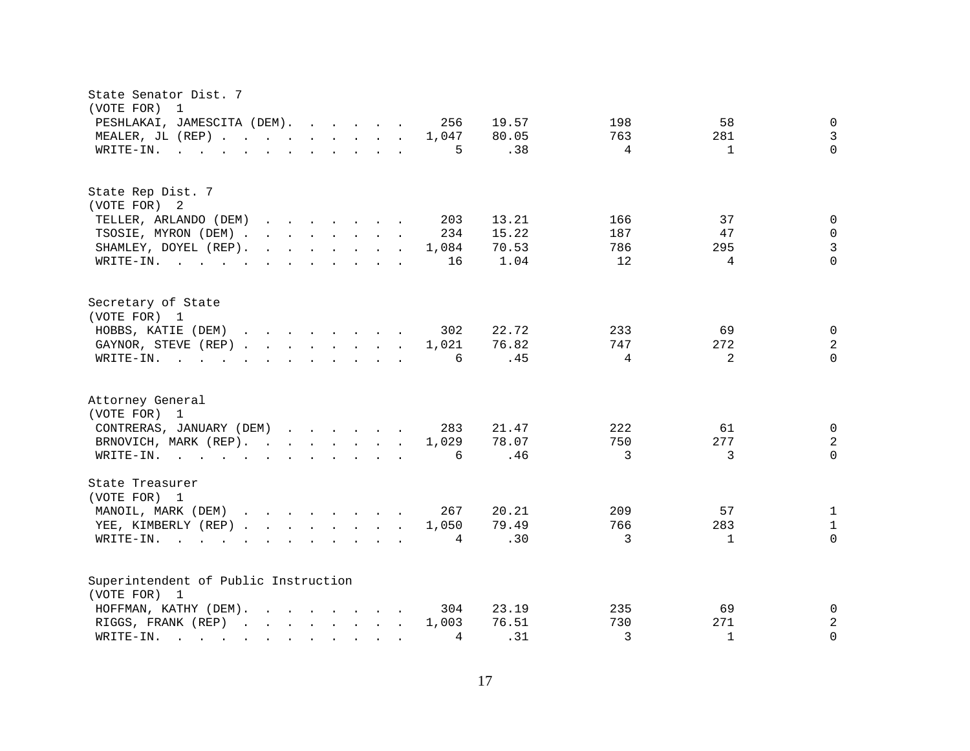| State Senator Dist. 7<br>(VOTE FOR)<br>$\overline{1}$                                                                                                                                                                                                                        |                                 |
|------------------------------------------------------------------------------------------------------------------------------------------------------------------------------------------------------------------------------------------------------------------------------|---------------------------------|
| PESHLAKAI, JAMESCITA (DEM).<br>256<br>19.57                                                                                                                                                                                                                                  | 58<br>$\mathbf 0$<br>198        |
| MEALER, JL (REP)<br>1,047<br>80.05                                                                                                                                                                                                                                           | $\mathfrak{Z}$<br>763<br>281    |
| .38<br>$\mathbf{r}$ . The state of the state of the state $\mathbf{r}$ is the state of the state of the state of the state of the state of the state of the state of the state of the state of the state of the state of the state of the st<br>5<br>WRITE-IN.               | $\Omega$<br>4<br>$\mathbf{1}$   |
|                                                                                                                                                                                                                                                                              |                                 |
| State Rep Dist. 7                                                                                                                                                                                                                                                            |                                 |
| (VOTE FOR) 2                                                                                                                                                                                                                                                                 |                                 |
| 13.21<br>TELLER, ARLANDO (DEM)<br>203<br>$\mathbf{r}$ . The contract of the contract of the contract of the contract of the contract of the contract of the contract of the contract of the contract of the contract of the contract of the contract of the contract of th   | 37<br>166<br>$\mathbf 0$        |
| 15.22<br>TSOSIE, MYRON (DEM)<br>234                                                                                                                                                                                                                                          | 187<br>47<br>0                  |
| SHAMLEY, DOYEL (REP).<br>$\mathbf{r}$ . The set of the set of the set of the set of the set of the set of the set of the set of the set of the set of the set of the set of the set of the set of the set of the set of the set of the set of the set of t<br>70.53<br>1,084 | 3<br>786<br>295                 |
| 1.04<br>WRITE-IN.<br>16                                                                                                                                                                                                                                                      | $\Omega$<br>12<br>4             |
| Secretary of State                                                                                                                                                                                                                                                           |                                 |
| (VOTE FOR) 1                                                                                                                                                                                                                                                                 |                                 |
| HOBBS, KATIE (DEM)<br>22.72<br>302                                                                                                                                                                                                                                           | 69<br>$\mathbf 0$<br>233        |
| GAYNOR, STEVE (REP)<br>1,021<br>76.82                                                                                                                                                                                                                                        | $\sqrt{2}$<br>747<br>272        |
| 6<br>.45<br>WRITE-IN.<br>$\mathbf{r}$ , $\mathbf{r}$ , $\mathbf{r}$ , $\mathbf{r}$ , $\mathbf{r}$ , $\mathbf{r}$ , $\mathbf{r}$ , $\mathbf{r}$                                                                                                                               | $\Omega$<br>4<br>$\overline{2}$ |
| Attorney General                                                                                                                                                                                                                                                             |                                 |
| (VOTE FOR) 1                                                                                                                                                                                                                                                                 |                                 |
| CONTRERAS, JANUARY (DEM)<br>283<br>21.47                                                                                                                                                                                                                                     | 222<br>61<br>0                  |
| BRNOVICH, MARK (REP).<br>1,029<br>78.07                                                                                                                                                                                                                                      | 277<br>$\sqrt{2}$<br>750        |
| .46<br>WRITE-IN.<br><u>in the contract of the contract of the contract of the contract of the contract of the contract of the contract of the contract of the contract of the contract of the contract of the contract of the contract of the contra</u><br>6                | $\mathbf 0$<br>3<br>3           |
| State Treasurer<br>(VOTE FOR) 1                                                                                                                                                                                                                                              |                                 |
| MANOIL, MARK (DEM)<br>267<br>20.21                                                                                                                                                                                                                                           | 57<br>$\mathbf{1}$<br>209       |
| YEE, KIMBERLY (REP)<br>79.49<br>1,050                                                                                                                                                                                                                                        | 766<br>283<br>$\mathbf{1}$      |
|                                                                                                                                                                                                                                                                              | 3<br>$\Omega$                   |
| .30<br>WRITE-IN.<br>4<br>$\sim$ $\sim$ $\sim$ $\sim$<br>$\mathbf{r}$ , and $\mathbf{r}$ , and $\mathbf{r}$ , and $\mathbf{r}$                                                                                                                                                | 1                               |
| Superintendent of Public Instruction                                                                                                                                                                                                                                         |                                 |
| (VOTE FOR) 1                                                                                                                                                                                                                                                                 |                                 |
| 23.19<br>HOFFMAN, KATHY (DEM).<br>$\mathbf{r}$ , $\mathbf{r}$ , $\mathbf{r}$ , $\mathbf{r}$ , $\mathbf{r}$ , $\mathbf{r}$<br>304                                                                                                                                             | 235<br>$\mathbf 0$<br>69        |
| 76.51<br>RIGGS, FRANK (REP)<br>1,003                                                                                                                                                                                                                                         | $\sqrt{2}$<br>730<br>271        |
| .31<br>4<br>WRITE-IN.<br>$\sim$ $\sim$ $\sim$ $\sim$ $\sim$ $\sim$<br>$\mathbf{r}$ , $\mathbf{r}$ , $\mathbf{r}$ , $\mathbf{r}$                                                                                                                                              | 3<br>$\Omega$<br>$\mathbf{1}$   |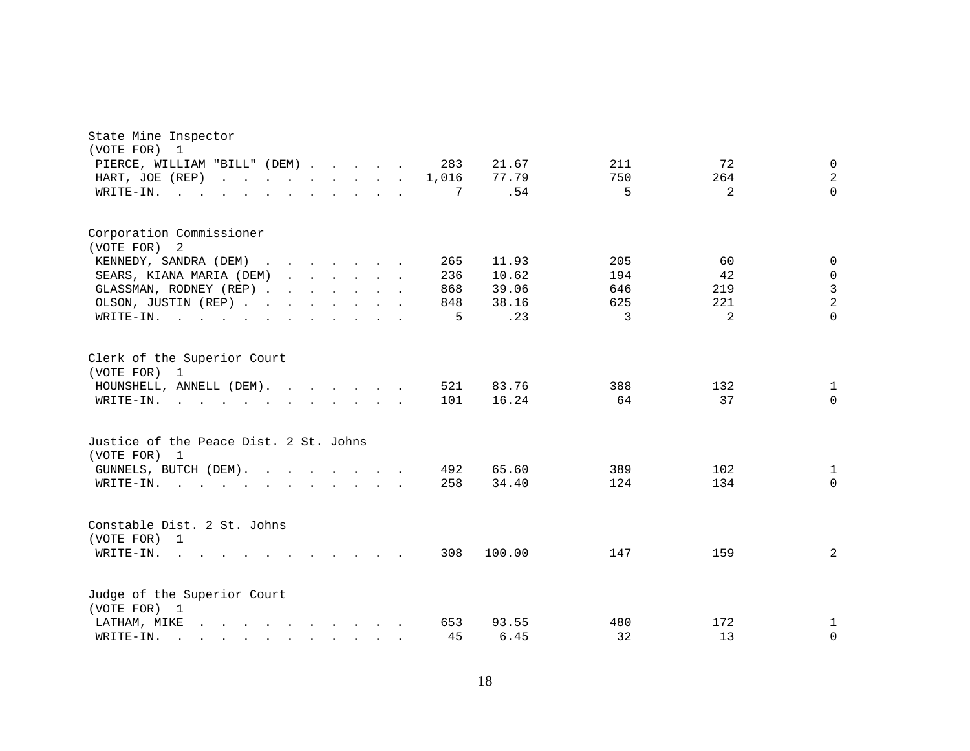| State Mine Inspector<br>(VOTE FOR)<br>1                                                                                                                                                                                                            |                                                                                         |  |  |       |        |     |                |                     |
|----------------------------------------------------------------------------------------------------------------------------------------------------------------------------------------------------------------------------------------------------|-----------------------------------------------------------------------------------------|--|--|-------|--------|-----|----------------|---------------------|
| PIERCE, WILLIAM "BILL" (DEM)                                                                                                                                                                                                                       |                                                                                         |  |  | 283   | 21.67  | 211 | 72             | $\mathbf 0$         |
| HART, JOE (REP)                                                                                                                                                                                                                                    |                                                                                         |  |  | 1,016 | 77.79  | 750 | 264            | 2                   |
| WRITE-IN.<br><b>College</b>                                                                                                                                                                                                                        |                                                                                         |  |  | 7     | .54    | 5   | $\overline{a}$ | $\Omega$            |
|                                                                                                                                                                                                                                                    |                                                                                         |  |  |       |        |     |                |                     |
| Corporation Commissioner                                                                                                                                                                                                                           |                                                                                         |  |  |       |        |     |                |                     |
| (VOTE FOR) 2                                                                                                                                                                                                                                       |                                                                                         |  |  |       |        |     |                |                     |
| KENNEDY, SANDRA (DEM)                                                                                                                                                                                                                              |                                                                                         |  |  | 265   | 11.93  | 205 | 60             | $\mathbf 0$         |
| SEARS, KIANA MARIA (DEM)                                                                                                                                                                                                                           |                                                                                         |  |  | 236   | 10.62  | 194 | 42             | $\mathsf{O}\xspace$ |
| GLASSMAN, RODNEY (REP)                                                                                                                                                                                                                             |                                                                                         |  |  | 868   | 39.06  | 646 | 219            | $\mathfrak{Z}$      |
| OLSON, JUSTIN (REP)                                                                                                                                                                                                                                |                                                                                         |  |  | 848   | 38.16  | 625 | 221            | $\overline{a}$      |
| WRITE-IN.                                                                                                                                                                                                                                          |                                                                                         |  |  | 5     | .23    | 3   | 2              | $\Omega$            |
| Clerk of the Superior Court<br>(VOTE FOR) 1                                                                                                                                                                                                        |                                                                                         |  |  |       |        |     |                |                     |
| HOUNSHELL, ANNELL (DEM).                                                                                                                                                                                                                           |                                                                                         |  |  | 521   | 83.76  | 388 | 132            | $\mathbf{1}$        |
| WRITE-IN.<br>$\mathbf{r}$ , and $\mathbf{r}$ , and $\mathbf{r}$ , and $\mathbf{r}$ , and $\mathbf{r}$                                                                                                                                              |                                                                                         |  |  | 101   | 16.24  | 64  | 37             | $\Omega$            |
| Justice of the Peace Dist. 2 St. Johns<br>(VOTE FOR) 1                                                                                                                                                                                             |                                                                                         |  |  |       |        |     |                |                     |
| GUNNELS, BUTCH (DEM).                                                                                                                                                                                                                              |                                                                                         |  |  | 492   | 65.60  | 389 | 102            | $\mathbf{1}$        |
| WRITE-IN.<br>the contract of the contract of the contract of the contract of the contract of the contract of the contract of                                                                                                                       |                                                                                         |  |  | 258   | 34.40  | 124 | 134            | $\Omega$            |
| Constable Dist. 2 St. Johns<br>(VOTE FOR) 1<br>WRITE-IN.<br><b>Contract</b>                                                                                                                                                                        | $\mathbf{r}$ , $\mathbf{r}$ , $\mathbf{r}$ , $\mathbf{r}$ , $\mathbf{r}$ , $\mathbf{r}$ |  |  | 308   | 100.00 | 147 | 159            | 2                   |
| Judge of the Superior Court<br>(VOTE FOR) 1                                                                                                                                                                                                        |                                                                                         |  |  |       |        |     |                |                     |
| $\mathcal{A}$ . The set of the set of the set of the set of the set of the set of the set of the set of the set of the set of the set of the set of the set of the set of the set of the set of the set of the set of the set of t<br>LATHAM, MIKE |                                                                                         |  |  | 653   | 93.55  | 480 | 172            | 1                   |
| WRITE-IN.<br>$\mathbf{r} = \mathbf{r} - \mathbf{r}$ , $\mathbf{r} = \mathbf{r} - \mathbf{r}$ , $\mathbf{r} = \mathbf{r} - \mathbf{r}$                                                                                                              |                                                                                         |  |  | 45    | 6.45   | 32  | 13             | $\mathbf 0$         |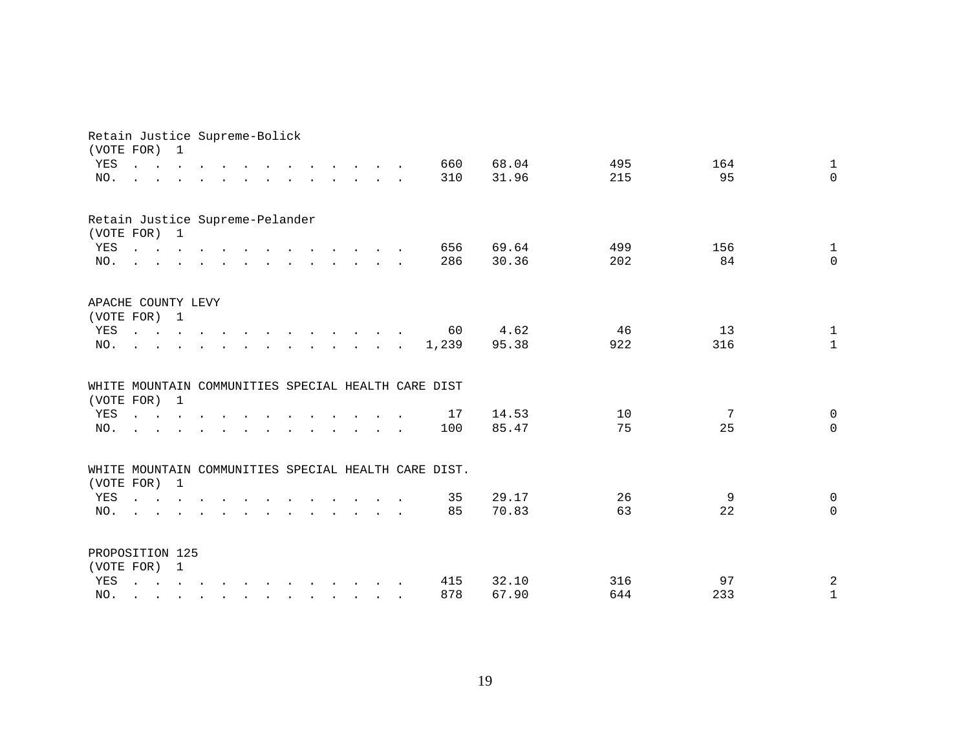|            | Retain Justice Supreme-Bolick<br>(VOTE FOR) 1                                                                                                                                                                                                                                                                                                                                                                                                              |  |  |  |  |                                        |                                                                                                                                                                                                                                |                                                      |       |      |     |     |                          |
|------------|------------------------------------------------------------------------------------------------------------------------------------------------------------------------------------------------------------------------------------------------------------------------------------------------------------------------------------------------------------------------------------------------------------------------------------------------------------|--|--|--|--|----------------------------------------|--------------------------------------------------------------------------------------------------------------------------------------------------------------------------------------------------------------------------------|------------------------------------------------------|-------|------|-----|-----|--------------------------|
| YES        | $\mathbf{L}$ and $\mathbf{L}$ and $\mathbf{L}$                                                                                                                                                                                                                                                                                                                                                                                                             |  |  |  |  |                                        |                                                                                                                                                                                                                                | 660                                                  | 68.04 |      | 495 | 164 | $\mathbf{1}$             |
| NO.        |                                                                                                                                                                                                                                                                                                                                                                                                                                                            |  |  |  |  |                                        | $\mathbf{r}$ and $\mathbf{r}$ and $\mathbf{r}$                                                                                                                                                                                 | 310                                                  | 31.96 |      | 215 | 95  | $\Omega$                 |
|            | Retain Justice Supreme-Pelander                                                                                                                                                                                                                                                                                                                                                                                                                            |  |  |  |  |                                        |                                                                                                                                                                                                                                |                                                      |       |      |     |     |                          |
|            | (VOTE FOR) 1                                                                                                                                                                                                                                                                                                                                                                                                                                               |  |  |  |  |                                        |                                                                                                                                                                                                                                |                                                      | 69.64 |      | 499 | 156 |                          |
| YES<br>NO. | the contract of the contract of the contract of the contract of the contract of the contract of the contract of<br>$\mathbf{r} = \mathbf{r} - \mathbf{r}$ , $\mathbf{r} = \mathbf{r} - \mathbf{r}$ , $\mathbf{r} = \mathbf{r} - \mathbf{r} - \mathbf{r}$ , $\mathbf{r} = \mathbf{r} - \mathbf{r}$                                                                                                                                                          |  |  |  |  |                                        |                                                                                                                                                                                                                                | 656<br>286                                           | 30.36 |      | 202 | 84  | $\mathbf{1}$<br>$\Omega$ |
|            |                                                                                                                                                                                                                                                                                                                                                                                                                                                            |  |  |  |  |                                        |                                                                                                                                                                                                                                |                                                      |       |      |     |     |                          |
|            | APACHE COUNTY LEVY                                                                                                                                                                                                                                                                                                                                                                                                                                         |  |  |  |  |                                        |                                                                                                                                                                                                                                |                                                      |       |      |     |     |                          |
|            | (VOTE FOR) 1                                                                                                                                                                                                                                                                                                                                                                                                                                               |  |  |  |  |                                        |                                                                                                                                                                                                                                |                                                      |       |      |     |     |                          |
| YES        | $\mathbf{r}$ , and $\mathbf{r}$ , and $\mathbf{r}$ , and $\mathbf{r}$ , and $\mathbf{r}$ , and $\mathbf{r}$                                                                                                                                                                                                                                                                                                                                                |  |  |  |  |                                        |                                                                                                                                                                                                                                | 60                                                   |       | 4.62 | 46  | 13  | $\mathbf{1}$             |
| NO.        |                                                                                                                                                                                                                                                                                                                                                                                                                                                            |  |  |  |  |                                        | and the contract of the contract of the contract of the contract of the contract of the contract of the contract of the contract of the contract of the contract of the contract of the contract of the contract of the contra | 1,239                                                | 95.38 |      | 922 | 316 | $\mathbf{1}$             |
|            |                                                                                                                                                                                                                                                                                                                                                                                                                                                            |  |  |  |  |                                        |                                                                                                                                                                                                                                | WHITE MOUNTAIN COMMUNITIES SPECIAL HEALTH CARE DIST  |       |      |     |     |                          |
|            | (VOTE FOR) 1                                                                                                                                                                                                                                                                                                                                                                                                                                               |  |  |  |  |                                        |                                                                                                                                                                                                                                |                                                      |       |      |     |     |                          |
| YES        | <b><i>Command Command</i></b>                                                                                                                                                                                                                                                                                                                                                                                                                              |  |  |  |  |                                        |                                                                                                                                                                                                                                | 17                                                   | 14.53 |      | 10  | 7   | $\mathbf 0$              |
| NO.        |                                                                                                                                                                                                                                                                                                                                                                                                                                                            |  |  |  |  | $\mathbf{r}$ . The set of $\mathbf{r}$ | $\sim$                                                                                                                                                                                                                         | 100                                                  | 85.47 |      | 75  | 25  | $\Omega$                 |
|            |                                                                                                                                                                                                                                                                                                                                                                                                                                                            |  |  |  |  |                                        |                                                                                                                                                                                                                                | WHITE MOUNTAIN COMMUNITIES SPECIAL HEALTH CARE DIST. |       |      |     |     |                          |
|            | (VOTE FOR) 1                                                                                                                                                                                                                                                                                                                                                                                                                                               |  |  |  |  |                                        |                                                                                                                                                                                                                                |                                                      |       |      |     |     |                          |
| YES        | $\mathbf{1} \qquad \mathbf{1} \qquad \mathbf{1} \qquad \mathbf{1} \qquad \mathbf{1} \qquad \mathbf{1} \qquad \mathbf{1} \qquad \mathbf{1} \qquad \mathbf{1} \qquad \mathbf{1} \qquad \mathbf{1} \qquad \mathbf{1} \qquad \mathbf{1} \qquad \mathbf{1} \qquad \mathbf{1} \qquad \mathbf{1} \qquad \mathbf{1} \qquad \mathbf{1} \qquad \mathbf{1} \qquad \mathbf{1} \qquad \mathbf{1} \qquad \mathbf{1} \qquad \mathbf{1} \qquad \mathbf{1} \qquad \mathbf{$ |  |  |  |  |                                        |                                                                                                                                                                                                                                | 35                                                   | 29.17 |      | 26  | 9   | $\mathbf 0$              |
| NO.        | $\mathbf{r}$ , and $\mathbf{r}$ , and $\mathbf{r}$ , and $\mathbf{r}$ , and $\mathbf{r}$ , and $\mathbf{r}$<br>$\sim$                                                                                                                                                                                                                                                                                                                                      |  |  |  |  |                                        |                                                                                                                                                                                                                                | 85                                                   | 70.83 |      | 63  | 22  | $\Omega$                 |
|            |                                                                                                                                                                                                                                                                                                                                                                                                                                                            |  |  |  |  |                                        |                                                                                                                                                                                                                                |                                                      |       |      |     |     |                          |
|            | PROPOSITION 125                                                                                                                                                                                                                                                                                                                                                                                                                                            |  |  |  |  |                                        |                                                                                                                                                                                                                                |                                                      |       |      |     |     |                          |
|            | (VOTE FOR) 1                                                                                                                                                                                                                                                                                                                                                                                                                                               |  |  |  |  |                                        |                                                                                                                                                                                                                                |                                                      |       |      |     |     |                          |
| YES        |                                                                                                                                                                                                                                                                                                                                                                                                                                                            |  |  |  |  |                                        |                                                                                                                                                                                                                                | 415                                                  | 32.10 |      | 316 | 97  | $\overline{a}$           |
| NO.        | $\mathbf{r}$ , $\mathbf{r}$ , $\mathbf{r}$ , $\mathbf{r}$ , $\mathbf{r}$ , $\mathbf{r}$ , $\mathbf{r}$ , $\mathbf{r}$ , $\mathbf{r}$                                                                                                                                                                                                                                                                                                                       |  |  |  |  |                                        |                                                                                                                                                                                                                                | 878                                                  | 67.90 |      | 644 | 233 | $\mathbf 1$              |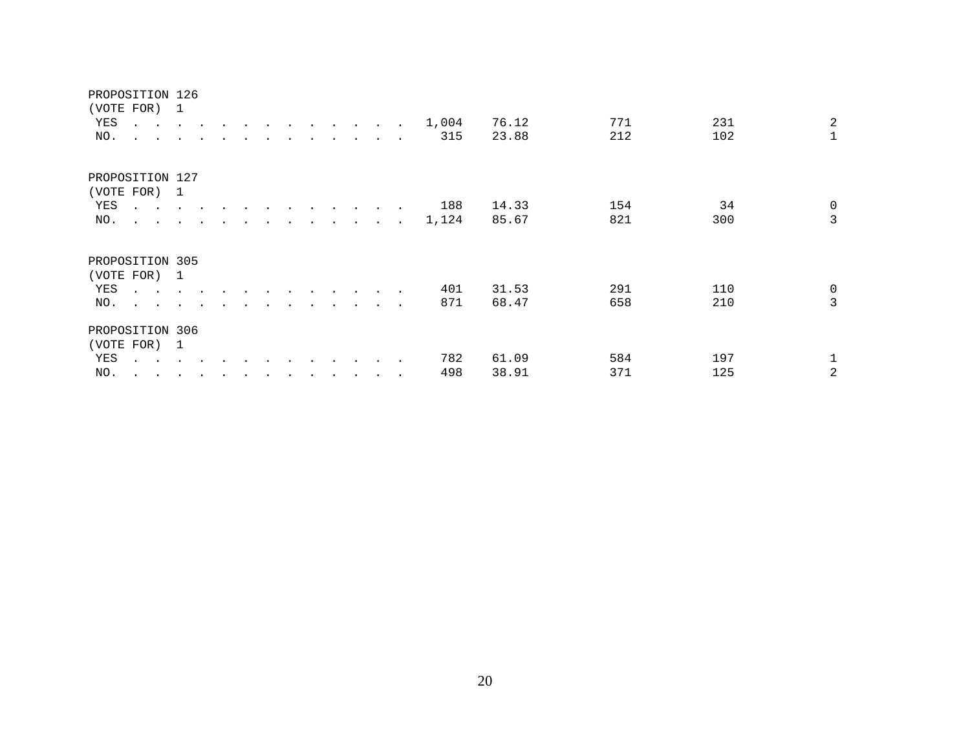### PROPOSITION 126

| YES<br>NO.        | (VOTE FOR) 1<br>$\mathbf{r} = \mathbf{r} + \mathbf{r} + \mathbf{r} + \mathbf{r} + \mathbf{r} + \mathbf{r} + \mathbf{r}$<br>$\cdot$ $\cdot$ | $\overline{\phantom{a}}$ |                      |  | $\sim$ | the contract of the contract of the contract of the contract of the contract of the contract of the contract of |                      |                      | $\ddot{\phantom{a}}$ | $\sim$                   | 1,004<br>315 | 76.12<br>23.88 | 771<br>212 | 231<br>102 | $\overline{2}$<br>$\mathbf{1}$ |
|-------------------|--------------------------------------------------------------------------------------------------------------------------------------------|--------------------------|----------------------|--|--------|-----------------------------------------------------------------------------------------------------------------|----------------------|----------------------|----------------------|--------------------------|--------------|----------------|------------|------------|--------------------------------|
| YES               | PROPOSITION 127<br>(VOTE FOR) 1<br>$\cdot$ $\cdot$                                                                                         |                          |                      |  |        |                                                                                                                 |                      |                      | $\sim$               | $\sim$                   | 188          | 14.33          | 154<br>821 | 34<br>300  | $\mathbf 0$<br>3               |
| NO.<br>(VOTE FOR) | $\mathbf{r}$ , $\mathbf{r}$ , $\mathbf{r}$ , $\mathbf{r}$<br>PROPOSITION 305                                                               | $\mathbf{1}$             |                      |  |        |                                                                                                                 | $\ddot{\phantom{a}}$ |                      | <b>All Contracts</b> |                          | 1,124        | 85.67          |            |            |                                |
| YES<br>NO.        | $\mathbf{z} = \mathbf{z} - \mathbf{z}$<br>$\ddot{\phantom{1}}$                                                                             |                          |                      |  |        |                                                                                                                 |                      | $\ddot{\phantom{0}}$ | $\bullet$            | $\overline{\phantom{a}}$ | 401<br>871   | 31.53<br>68.47 | 291<br>658 | 110<br>210 | $\mathbf 0$<br>3               |
|                   | PROPOSITION 306<br>(VOTE FOR) 1                                                                                                            |                          |                      |  |        |                                                                                                                 |                      |                      |                      |                          |              |                |            |            |                                |
| YES<br>NO.        | $\sim$ $\sim$ $\sim$<br>$\sim$ $\sim$                                                                                                      |                          | $\ddot{\phantom{0}}$ |  |        |                                                                                                                 |                      |                      |                      | $\sim$ $\sim$            | 782<br>498   | 61.09<br>38.91 | 584<br>371 | 197<br>125 | 2                              |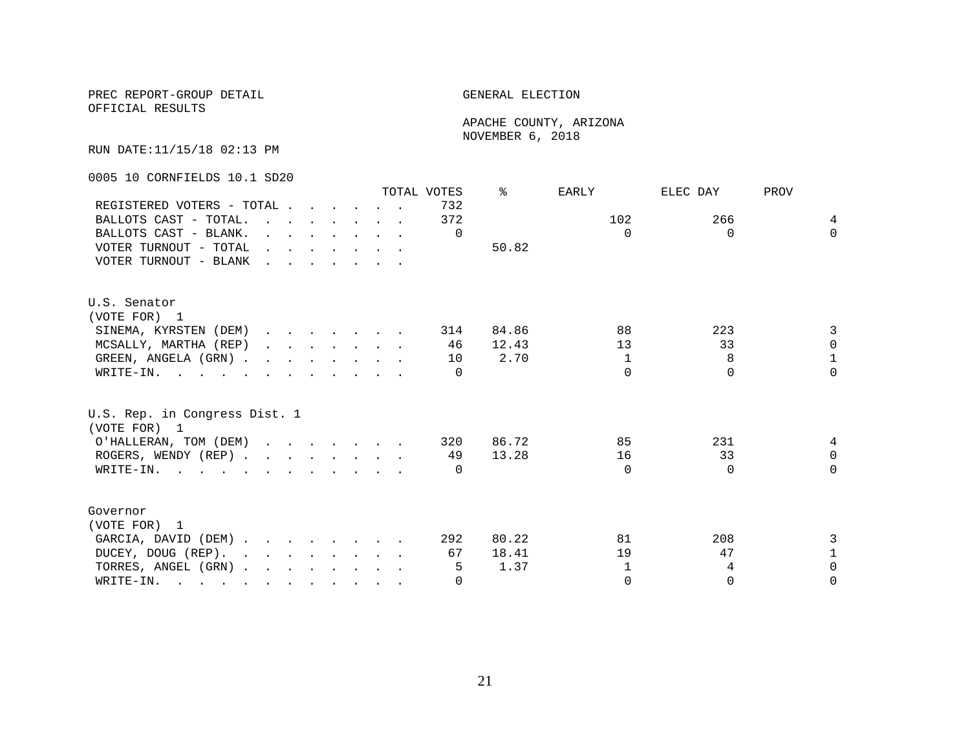OFFICIAL RESULTS

 APACHE COUNTY, ARIZONA NOVEMBER 6, 2018

RUN DATE:11/15/18 02:13 PM

0005 10 CORNFIELDS 10.1 SD20

|                                                                                                                          |                                                                                                                                                                                                                                   |                                                                                             |  |  | TOTAL VOTES      | ⊱     | EARLY        | ELEC DAY | PROV         |
|--------------------------------------------------------------------------------------------------------------------------|-----------------------------------------------------------------------------------------------------------------------------------------------------------------------------------------------------------------------------------|---------------------------------------------------------------------------------------------|--|--|------------------|-------|--------------|----------|--------------|
| REGISTERED VOTERS - TOTAL                                                                                                |                                                                                                                                                                                                                                   |                                                                                             |  |  | 732              |       |              |          |              |
| BALLOTS CAST - TOTAL.                                                                                                    | $\mathbf{r}$ , and $\mathbf{r}$ , and $\mathbf{r}$ , and $\mathbf{r}$                                                                                                                                                             |                                                                                             |  |  | 372              |       | 102          | 266      | 4            |
| BALLOTS CAST - BLANK.                                                                                                    |                                                                                                                                                                                                                                   | $\mathbf{r} = \mathbf{r} \cdot \mathbf{r}$ , and $\mathbf{r} = \mathbf{r} \cdot \mathbf{r}$ |  |  | $\Omega$         |       | $\Omega$     | $\Omega$ | $\Omega$     |
| VOTER TURNOUT - TOTAL                                                                                                    | $\mathbf{r}$ . The contract of the contract of the contract of the contract of the contract of the contract of the contract of the contract of the contract of the contract of the contract of the contract of the contract of th |                                                                                             |  |  |                  | 50.82 |              |          |              |
| VOTER TURNOUT - BLANK                                                                                                    |                                                                                                                                                                                                                                   |                                                                                             |  |  |                  |       |              |          |              |
| U.S. Senator                                                                                                             |                                                                                                                                                                                                                                   |                                                                                             |  |  |                  |       |              |          |              |
| (VOTE FOR) 1                                                                                                             |                                                                                                                                                                                                                                   |                                                                                             |  |  |                  |       |              |          |              |
| SINEMA, KYRSTEN (DEM)                                                                                                    |                                                                                                                                                                                                                                   |                                                                                             |  |  | 314              | 84.86 | 88           | 223      | 3            |
| MCSALLY, MARTHA (REP)                                                                                                    |                                                                                                                                                                                                                                   | $\mathbf{r}$ , $\mathbf{r}$ , $\mathbf{r}$ , $\mathbf{r}$ , $\mathbf{r}$                    |  |  | 46               | 12.43 | 13           | 33       | $\Omega$     |
| GREEN, ANGELA (GRN)                                                                                                      |                                                                                                                                                                                                                                   |                                                                                             |  |  | 10               | 2.70  | 1            | 8        | $\mathbf{1}$ |
| WRITE-IN.                                                                                                                |                                                                                                                                                                                                                                   |                                                                                             |  |  |                  |       | $\cap$       | $\Omega$ | $\Omega$     |
| U.S. Rep. in Congress Dist. 1<br>(VOTE FOR) 1                                                                            |                                                                                                                                                                                                                                   |                                                                                             |  |  |                  |       |              |          |              |
| O'HALLERAN, TOM (DEM)                                                                                                    |                                                                                                                                                                                                                                   |                                                                                             |  |  | 320              | 86.72 | 85           | 231      | 4            |
| ROGERS, WENDY (REP)                                                                                                      |                                                                                                                                                                                                                                   |                                                                                             |  |  | 49               | 13.28 | 16           | 33       | $\Omega$     |
| WRITE-IN.                                                                                                                |                                                                                                                                                                                                                                   |                                                                                             |  |  | $\left( \right)$ |       | $\Omega$     | $\Omega$ | $\Omega$     |
| Governor                                                                                                                 |                                                                                                                                                                                                                                   |                                                                                             |  |  |                  |       |              |          |              |
| (VOTE FOR) 1                                                                                                             |                                                                                                                                                                                                                                   |                                                                                             |  |  |                  |       |              |          |              |
| GARCIA, DAVID (DEM)                                                                                                      |                                                                                                                                                                                                                                   |                                                                                             |  |  | 292              | 80.22 | 81           | 208      | 3            |
| DUCEY, DOUG (REP).                                                                                                       |                                                                                                                                                                                                                                   |                                                                                             |  |  | 67               | 18.41 | 19           | 47       | 1            |
| TORRES, ANGEL (GRN)                                                                                                      |                                                                                                                                                                                                                                   |                                                                                             |  |  | 5                | 1.37  | $\mathbf{1}$ | 4        | $\Omega$     |
| WRITE-IN.<br>$\mathbf{r}$ , and $\mathbf{r}$ , and $\mathbf{r}$ , and $\mathbf{r}$ , and $\mathbf{r}$ , and $\mathbf{r}$ |                                                                                                                                                                                                                                   |                                                                                             |  |  | $\Omega$         |       | $\Omega$     | $\Omega$ | $\Omega$     |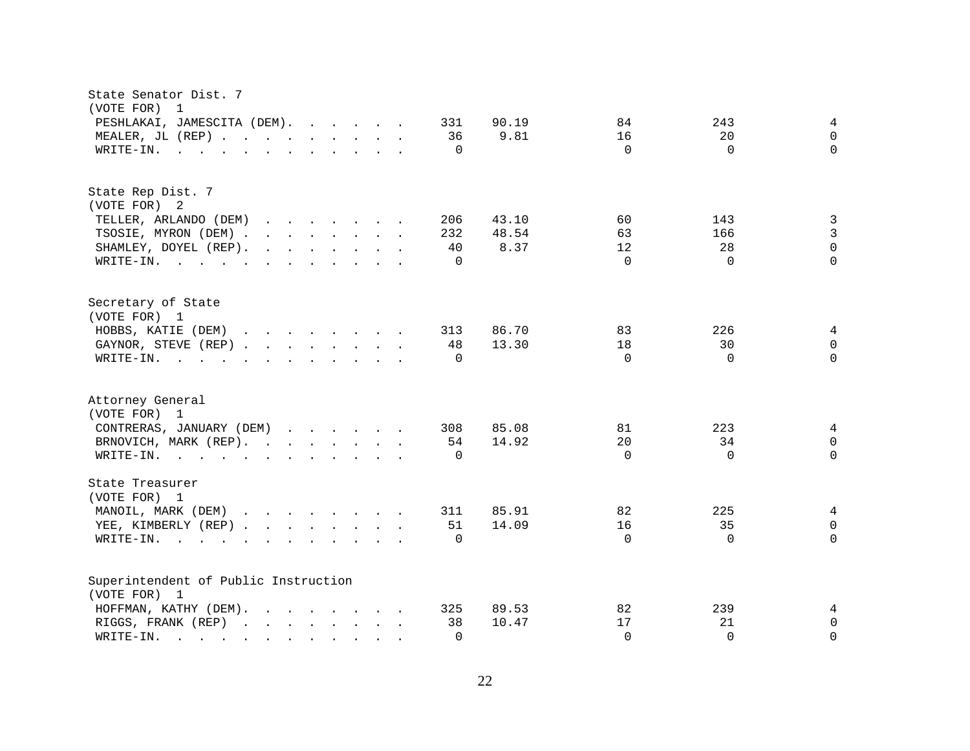| State Senator Dist. 7<br>(VOTE FOR)<br>$\overline{1}$                                                                                                                                                                                                                                  |                                  |
|----------------------------------------------------------------------------------------------------------------------------------------------------------------------------------------------------------------------------------------------------------------------------------------|----------------------------------|
| PESHLAKAI, JAMESCITA (DEM).<br>331<br>90.19                                                                                                                                                                                                                                            | 84<br>243<br>4                   |
| MEALER, JL (REP)<br>9.81<br>36                                                                                                                                                                                                                                                         | 16<br>20<br>$\mathbf 0$          |
| $\Omega$                                                                                                                                                                                                                                                                               | $\Omega$<br>$\Omega$<br>$\Omega$ |
| WRITE-IN.<br>$\mathbf{r}$ , and $\mathbf{r}$ , and $\mathbf{r}$ , and $\mathbf{r}$ , and $\mathbf{r}$                                                                                                                                                                                  |                                  |
| State Rep Dist. 7                                                                                                                                                                                                                                                                      |                                  |
| (VOTE FOR) 2                                                                                                                                                                                                                                                                           |                                  |
| TELLER, ARLANDO (DEM)<br>206<br>43.10                                                                                                                                                                                                                                                  | 60<br>143<br>3                   |
| TSOSIE, MYRON (DEM)<br>48.54<br>232                                                                                                                                                                                                                                                    | $\mathbf{3}$<br>63<br>166        |
| $\mathbf{r}$ , and $\mathbf{r}$ , and $\mathbf{r}$ , and $\mathbf{r}$<br>8.37<br>SHAMLEY, DOYEL (REP).<br>40                                                                                                                                                                           | $\mathbf 0$<br>28<br>12          |
| WRITE-IN.<br>$\Omega$                                                                                                                                                                                                                                                                  | $\Omega$<br>$\Omega$<br>$\Omega$ |
| Secretary of State                                                                                                                                                                                                                                                                     |                                  |
| (VOTE FOR) 1                                                                                                                                                                                                                                                                           |                                  |
| HOBBS, KATIE (DEM)<br>86.70<br>313                                                                                                                                                                                                                                                     | 83<br>226<br>4                   |
| GAYNOR, STEVE (REP)<br>48<br>13.30                                                                                                                                                                                                                                                     | 18<br>30<br>$\Omega$             |
| WRITE-IN.<br>$\mathbf{r}$ . The state of the state of the state $\mathbf{r}$<br>$\Omega$                                                                                                                                                                                               | $\Omega$<br>$\Omega$<br>$\Omega$ |
|                                                                                                                                                                                                                                                                                        |                                  |
| Attorney General                                                                                                                                                                                                                                                                       |                                  |
| (VOTE FOR) 1                                                                                                                                                                                                                                                                           |                                  |
| CONTRERAS, JANUARY (DEM)<br>308<br>85.08                                                                                                                                                                                                                                               | 81<br>223<br>4                   |
| 14.92<br>BRNOVICH, MARK (REP).<br>54                                                                                                                                                                                                                                                   | 20<br>34<br>0                    |
| WRITE-IN.<br>$\Omega$                                                                                                                                                                                                                                                                  | $\Omega$<br>$\Omega$<br>$\Omega$ |
| State Treasurer                                                                                                                                                                                                                                                                        |                                  |
| (VOTE FOR) 1                                                                                                                                                                                                                                                                           |                                  |
| MANOIL, MARK (DEM)<br>311<br>85.91                                                                                                                                                                                                                                                     | 82<br>225<br>4                   |
| YEE, KIMBERLY (REP)<br>51<br>14.09                                                                                                                                                                                                                                                     | 16<br>35<br>$\mathbf 0$          |
| $W\text{RITE-IN.}$<br>$\Omega$<br>$\mathbf{r} = \mathbf{r} \cdot \mathbf{r}$ , and $\mathbf{r} = \mathbf{r} \cdot \mathbf{r}$                                                                                                                                                          | $\Omega$<br>$\Omega$<br>$\Omega$ |
| Superintendent of Public Instruction                                                                                                                                                                                                                                                   |                                  |
| (VOTE FOR) 1                                                                                                                                                                                                                                                                           |                                  |
| $\mathcal{L}(\mathbf{r},\mathbf{r})$ . The contribution of the contribution of the contribution of the contribution of the contribution of the contribution of the contribution of the contribution of the contribution of the contribution o<br>89.53<br>HOFFMAN, KATHY (DEM).<br>325 | 82<br>239<br>4                   |
| RIGGS, FRANK (REP)<br>38<br>10.47                                                                                                                                                                                                                                                      | 17<br>21<br>$\mathbf 0$          |
| WRITE-IN.<br>$\Omega$<br>$\mathcal{L}^{\mathcal{L}}$ , and $\mathcal{L}^{\mathcal{L}}$ , and $\mathcal{L}^{\mathcal{L}}$<br>$\sim$ $\sim$<br>$\mathbf{r}$ . The set of $\mathbf{r}$                                                                                                    | $\Omega$<br>$\Omega$<br>$\Omega$ |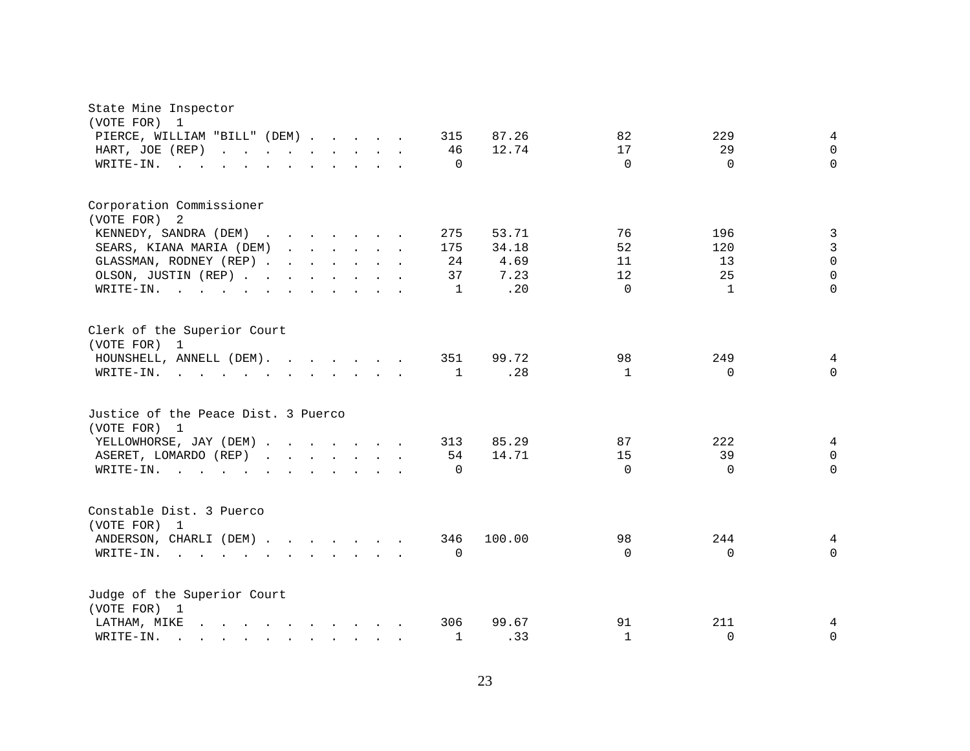| State Mine Inspector<br>(VOTE FOR)<br>$\mathbf{1}$<br>PIERCE, WILLIAM "BILL" (DEM)<br>HART, JOE (REP)<br>WRITE-IN.<br><b>Contract</b>                                                                                                                                             |                                                           |  | 315<br>46<br>$\Omega$       | 87.26<br>12.74                        | 82<br>17<br>$\Omega$             | 229<br>29<br>$\Omega$       | 4<br>$\Omega$<br>$\Omega$                           |
|-----------------------------------------------------------------------------------------------------------------------------------------------------------------------------------------------------------------------------------------------------------------------------------|-----------------------------------------------------------|--|-----------------------------|---------------------------------------|----------------------------------|-----------------------------|-----------------------------------------------------|
| Corporation Commissioner<br>(VOTE FOR)<br>2<br>KENNEDY, SANDRA (DEM)<br>SEARS, KIANA MARIA (DEM)<br>GLASSMAN, RODNEY (REP)<br>OLSON, JUSTIN (REP)<br>WRITE-IN.<br>the contract of the contract of the contract of the contract of the contract of the contract of the contract of |                                                           |  | 275<br>175<br>24<br>37<br>1 | 53.71<br>34.18<br>4.69<br>7.23<br>.20 | 76<br>52<br>11<br>12<br>$\Omega$ | 196<br>120<br>13<br>25<br>1 | 3<br>3<br>$\overline{0}$<br>$\mathsf 0$<br>$\Omega$ |
| Clerk of the Superior Court<br>(VOTE FOR) 1<br>HOUNSHELL, ANNELL (DEM).<br>WRITE-IN.                                                                                                                                                                                              |                                                           |  | 351<br>$\mathbf{1}$         | 99.72<br>.28                          | 98<br>1                          | 249<br>$\Omega$             | 4<br>$\Omega$                                       |
| Justice of the Peace Dist. 3 Puerco<br>(VOTE FOR) 1<br>YELLOWHORSE, JAY (DEM)<br>ASERET, LOMARDO (REP)<br>$W\text{RITE}-\text{IN}.$                                                                                                                                               | $\mathbf{r}$ , $\mathbf{r}$ , $\mathbf{r}$ , $\mathbf{r}$ |  | 313<br>54<br>$\Omega$       | 85.29<br>14.71                        | 87<br>15<br>$\Omega$             | 222<br>39<br>$\Omega$       | 4<br>$\mathbf 0$<br>$\Omega$                        |
| Constable Dist. 3 Puerco<br>(VOTE FOR) 1<br>ANDERSON, CHARLI (DEM)<br>WRITE-IN.<br>the contract of the contract of the contract of the contract of the contract of the contract of the contract of                                                                                |                                                           |  | 346<br>$\Omega$             | 100.00                                | 98<br>$\Omega$                   | 244<br>$\Omega$             | 4<br>$\Omega$                                       |
| Judge of the Superior Court<br>(VOTE FOR) 1<br>LATHAM, MIKE<br>$\mathbf{r}$ , and $\mathbf{r}$ , and $\mathbf{r}$ , and $\mathbf{r}$ , and $\mathbf{r}$<br>WRITE-IN.<br>$\mathbf{r}$ , and $\mathbf{r}$ , and $\mathbf{r}$ , and $\mathbf{r}$ , and $\mathbf{r}$                  |                                                           |  | 306<br>1                    | 99.67<br>.33                          | 91<br>$\mathbf{1}$               | 211<br>$\Omega$             | 4<br>$\mathbf 0$                                    |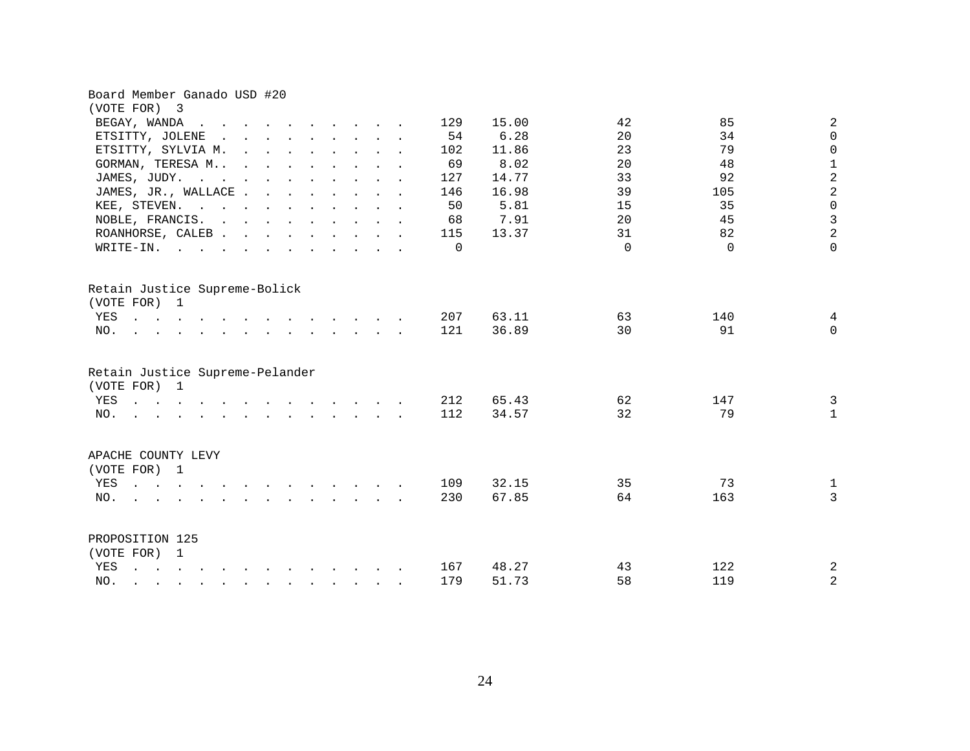| Board Member Ganado USD #20                                                                                                                                                   |          |       |          |                           |
|-------------------------------------------------------------------------------------------------------------------------------------------------------------------------------|----------|-------|----------|---------------------------|
| (VOTE FOR) 3                                                                                                                                                                  |          |       |          |                           |
| BEGAY, WANDA<br>$\sim$ $\sim$ $\sim$<br>$\mathbf{r}$ and $\mathbf{r}$ and $\mathbf{r}$                                                                                        | 129      | 15.00 | 42       | $\sqrt{2}$<br>85          |
| ETSITTY, JOLENE<br>$\mathbf{r}$ , $\mathbf{r}$ , $\mathbf{r}$ , $\mathbf{r}$ , $\mathbf{r}$<br>$\sim$                                                                         | 54       | 6.28  | 20       | $\mathsf{O}\xspace$<br>34 |
| ETSITTY, SYLVIA M.<br>$\mathbf{r}$ , and $\mathbf{r}$ , and $\mathbf{r}$ , and $\mathbf{r}$<br>$\ddot{\phantom{a}}$                                                           | 102      | 11.86 | 23       | 79<br>$\mathsf{O}$        |
| GORMAN, TERESA M<br>$\mathbf{r}$ , and $\mathbf{r}$ , and $\mathbf{r}$ , and $\mathbf{r}$<br>$\ddot{\phantom{a}}$                                                             | 69       | 8.02  | 20       | $\mathbf 1$<br>48         |
| JAMES, JUDY.<br>. The contract of the contract of the contract of $\mathcal{O}(1)$                                                                                            | 127      | 14.77 | 33       | $\overline{a}$<br>92      |
| JAMES, JR., WALLACE                                                                                                                                                           | 146      | 16.98 | 39       | $\overline{a}$<br>105     |
| KEE, STEVEN.                                                                                                                                                                  | 50       | 5.81  | 15       | $\mathsf{O}\xspace$<br>35 |
| NOBLE, FRANCIS.                                                                                                                                                               | 68       | 7.91  | 20       | $\mathfrak{Z}$<br>45      |
| ROANHORSE, CALEB                                                                                                                                                              | 115      | 13.37 | 31       | $\overline{a}$<br>82      |
| WRITE-IN.                                                                                                                                                                     | $\Omega$ |       | $\Omega$ | $\mathbf 0$<br>$\Omega$   |
| Retain Justice Supreme-Bolick<br>(VOTE FOR) 1<br>YES<br>$\mathbf{r}$ . The set of the set of $\mathbf{r}$<br>$\mathbf{r} = \mathbf{r} + \mathbf{r} + \mathbf{r} + \mathbf{r}$ | 207      | 63.11 | 63       | 140<br>4                  |
| NO.<br>$\mathbf{r}$ , and $\mathbf{r}$ , and $\mathbf{r}$ , and $\mathbf{r}$ , and $\mathbf{r}$ , and $\mathbf{r}$                                                            | 121      | 36.89 | 30       | $\mathbf 0$<br>91         |
|                                                                                                                                                                               |          |       |          |                           |
| Retain Justice Supreme-Pelander<br>(VOTE FOR) 1                                                                                                                               |          |       |          |                           |
| YES                                                                                                                                                                           | 212      | 65.43 | 62       | $\mathbf{3}$<br>147       |
| $\mathbf{r}$ , and $\mathbf{r}$ , and $\mathbf{r}$ , and $\mathbf{r}$ , and $\mathbf{r}$ , and $\mathbf{r}$<br>NO.                                                            | 112      | 34.57 | 32       | 79<br>$\mathbf{1}$        |
| APACHE COUNTY LEVY<br>(VOTE FOR) 1                                                                                                                                            |          |       |          |                           |
| YES<br>$\mathbf{r}$ and $\mathbf{r}$ and $\mathbf{r}$ and $\mathbf{r}$                                                                                                        | 109      | 32.15 | 35       | 73<br>$\mathbf{1}$        |
| NO.<br>$\mathbf{r}$ , $\mathbf{r}$ , $\mathbf{r}$ , $\mathbf{r}$ , $\mathbf{r}$ , $\mathbf{r}$ , $\mathbf{r}$                                                                 | 230      | 67.85 | 64       | $\overline{3}$<br>163     |
|                                                                                                                                                                               |          |       |          |                           |
| PROPOSITION 125<br>(VOTE FOR) 1                                                                                                                                               |          |       |          |                           |
| YES<br>$\mathbf{r}$ , $\mathbf{r}$ , $\mathbf{r}$ , $\mathbf{r}$ , $\mathbf{r}$ , $\mathbf{r}$ , $\mathbf{r}$ , $\mathbf{r}$ , $\mathbf{r}$ , $\mathbf{r}$                    | 167      | 48.27 | 43       | 122<br>2                  |
| NO.<br>$\mathbf{r} = \mathbf{r} - \mathbf{r}$ , $\mathbf{r} = \mathbf{r} - \mathbf{r}$ , $\mathbf{r} = \mathbf{r} - \mathbf{r} - \mathbf{r}$                                  | 179      | 51.73 | 58       | $\overline{2}$<br>119     |
|                                                                                                                                                                               |          |       |          |                           |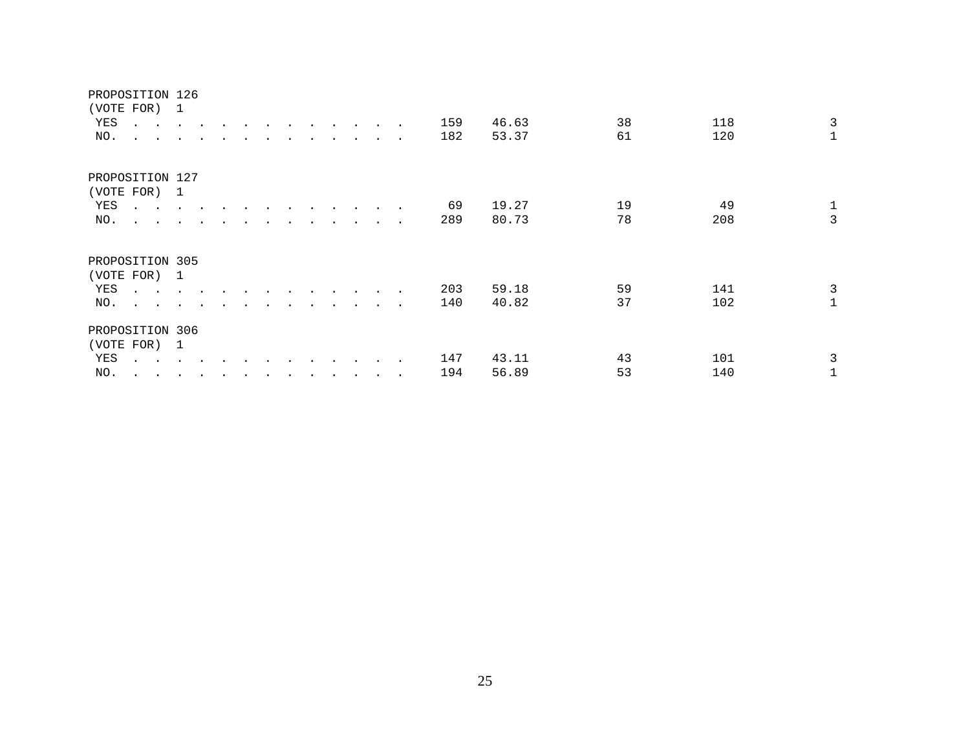| PROPOSITION 126<br>(VOTE FOR) 1 |                                                                                                                                     |                |               |                      |           |  |           |                      |                      |           |        |     |       |    |     |              |
|---------------------------------|-------------------------------------------------------------------------------------------------------------------------------------|----------------|---------------|----------------------|-----------|--|-----------|----------------------|----------------------|-----------|--------|-----|-------|----|-----|--------------|
| YES                             | $\sim$ $\sim$                                                                                                                       | $\sim$         | $\sim$ $\sim$ |                      |           |  |           |                      |                      |           |        | 159 | 46.63 | 38 | 118 | $\mathbf{3}$ |
| NO.                             | <b>All Card Corporation</b>                                                                                                         |                |               |                      |           |  |           |                      |                      | $\bullet$ | $\sim$ | 182 | 53.37 | 61 | 120 | $\mathbf{1}$ |
| PROPOSITION 127                 |                                                                                                                                     |                |               |                      |           |  |           |                      |                      |           |        |     |       |    |     |              |
| (VOTE FOR) 1                    |                                                                                                                                     |                |               |                      |           |  |           |                      |                      |           |        |     |       |    |     |              |
| YES                             | $\begin{array}{cccccccccccccc} \bullet & \bullet & \bullet & \bullet & \bullet & \bullet & \bullet & \bullet & \bullet \end{array}$ |                |               |                      |           |  | $\bullet$ | $\bullet$            | $\ddot{\phantom{1}}$ |           |        | 69  | 19.27 | 19 | 49  | $\mathbf{1}$ |
| NO.                             | $\ddot{\phantom{a}}$<br>$\sim$ $\sim$                                                                                               |                |               |                      |           |  | $\bullet$ | $\ddot{\phantom{0}}$ | $\cdot$              | $\sim$    | $\sim$ | 289 | 80.73 | 78 | 208 | $\mathbf{3}$ |
| PROPOSITION 305                 |                                                                                                                                     |                |               |                      |           |  |           |                      |                      |           |        |     |       |    |     |              |
| (VOTE FOR)                      |                                                                                                                                     | $\overline{1}$ |               |                      |           |  |           |                      |                      |           |        |     |       |    |     |              |
| YES                             | $\cdot$ .                                                                                                                           |                |               |                      |           |  |           |                      |                      | $\bullet$ |        | 203 | 59.18 | 59 | 141 | $\mathbf{3}$ |
| NO.                             | $\mathbf{r}$ . The set of $\mathbf{r}$                                                                                              |                |               |                      |           |  |           |                      |                      |           |        | 140 | 40.82 | 37 | 102 | $\mathbf{1}$ |
| PROPOSITION 306                 |                                                                                                                                     |                |               |                      |           |  |           |                      |                      |           |        |     |       |    |     |              |
| (VOTE FOR)                      |                                                                                                                                     | -1             |               |                      |           |  |           |                      |                      |           |        |     |       |    |     |              |
| YES                             |                                                                                                                                     |                |               |                      |           |  |           |                      |                      | $\sim$    |        | 147 | 43.11 | 43 | 101 | 3            |
| NO.                             | $\ddot{\phantom{a}}$<br>$\ddot{\phantom{0}}$                                                                                        | $\cdot$        | $\cdot$       | $\ddot{\phantom{0}}$ | $\bullet$ |  | $\bullet$ | $\ddot{\phantom{1}}$ |                      |           |        | 194 | 56.89 | 53 | 140 | 1            |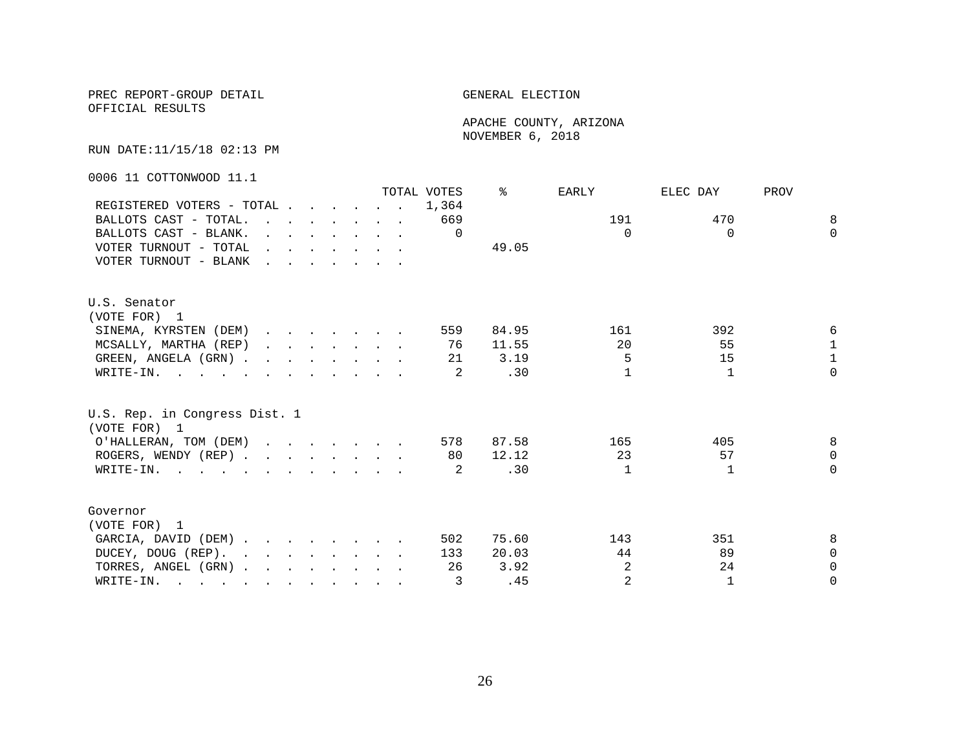OFFICIAL RESULTS

 APACHE COUNTY, ARIZONA NOVEMBER 6, 2018

RUN DATE:11/15/18 02:13 PM

0006 11 COTTONWOOD 11.1

|                                                                                                       |                                                                                                                                                                                                                                   |                                                                                                                          |  |  | TOTAL VOTES | °     | EARLY    | ELEC DAY     | PROV         |
|-------------------------------------------------------------------------------------------------------|-----------------------------------------------------------------------------------------------------------------------------------------------------------------------------------------------------------------------------------|--------------------------------------------------------------------------------------------------------------------------|--|--|-------------|-------|----------|--------------|--------------|
| REGISTERED VOTERS - TOTAL                                                                             |                                                                                                                                                                                                                                   |                                                                                                                          |  |  | 1,364       |       |          |              |              |
| BALLOTS CAST - TOTAL.                                                                                 | $\mathbf{r}$ . The contract of the contract of the contract of the contract of the contract of the contract of the contract of the contract of the contract of the contract of the contract of the contract of the contract of th |                                                                                                                          |  |  | 669         |       | 191      | 470          | 8            |
| BALLOTS CAST - BLANK.                                                                                 |                                                                                                                                                                                                                                   | $\mathbf{r}$ , $\mathbf{r}$ , $\mathbf{r}$ , $\mathbf{r}$ , $\mathbf{r}$                                                 |  |  | $\Omega$    |       | $\Omega$ | $\Omega$     | $\Omega$     |
| VOTER TURNOUT - TOTAL                                                                                 |                                                                                                                                                                                                                                   | $\mathbf{r} = \mathbf{r} + \mathbf{r}$ , $\mathbf{r} = \mathbf{r} + \mathbf{r}$ , $\mathbf{r} = \mathbf{r} + \mathbf{r}$ |  |  |             | 49.05 |          |              |              |
| VOTER TURNOUT - BLANK                                                                                 | $\mathbf{r}$ , $\mathbf{r}$ , $\mathbf{r}$ , $\mathbf{r}$ , $\mathbf{r}$ , $\mathbf{r}$                                                                                                                                           |                                                                                                                          |  |  |             |       |          |              |              |
| U.S. Senator                                                                                          |                                                                                                                                                                                                                                   |                                                                                                                          |  |  |             |       |          |              |              |
| (VOTE FOR) 1                                                                                          |                                                                                                                                                                                                                                   |                                                                                                                          |  |  |             |       |          |              |              |
| SINEMA, KYRSTEN (DEM)                                                                                 |                                                                                                                                                                                                                                   |                                                                                                                          |  |  | 559         | 84.95 | 161      | 392          | 6            |
| MCSALLY, MARTHA (REP)                                                                                 |                                                                                                                                                                                                                                   |                                                                                                                          |  |  | 76          | 11.55 | 20       | 55           | $\mathbf{1}$ |
| GREEN, ANGELA (GRN).                                                                                  |                                                                                                                                                                                                                                   |                                                                                                                          |  |  | 21          | 3.19  | 5        | 15           | $\mathbf{1}$ |
| WRITE-IN.                                                                                             |                                                                                                                                                                                                                                   |                                                                                                                          |  |  | 2           | .30   |          | $\mathbf{1}$ | $\Omega$     |
| U.S. Rep. in Congress Dist. 1<br>(VOTE FOR) 1                                                         |                                                                                                                                                                                                                                   |                                                                                                                          |  |  |             |       |          |              |              |
| O'HALLERAN, TOM (DEM)                                                                                 |                                                                                                                                                                                                                                   |                                                                                                                          |  |  | 578         | 87.58 | 165      | 405          | 8            |
| ROGERS, WENDY (REP)                                                                                   |                                                                                                                                                                                                                                   |                                                                                                                          |  |  | 80          | 12.12 | 23       | 57           | $\Omega$     |
| WRITE-IN.                                                                                             |                                                                                                                                                                                                                                   |                                                                                                                          |  |  | 2           | .30   | 1        | -1           | $\Omega$     |
| Governor                                                                                              |                                                                                                                                                                                                                                   |                                                                                                                          |  |  |             |       |          |              |              |
| (VOTE FOR) 1                                                                                          |                                                                                                                                                                                                                                   |                                                                                                                          |  |  |             |       |          |              |              |
| GARCIA, DAVID (DEM)                                                                                   |                                                                                                                                                                                                                                   |                                                                                                                          |  |  | 502         | 75.60 | 143      | 351          | 8            |
| DUCEY, DOUG (REP).                                                                                    |                                                                                                                                                                                                                                   |                                                                                                                          |  |  | 133         | 20.03 | 44       | 89           | $\Omega$     |
| TORRES, ANGEL (GRN)                                                                                   |                                                                                                                                                                                                                                   |                                                                                                                          |  |  | 26          | 3.92  | 2        | 24           | $\Omega$     |
| WRITE-IN.<br>$\mathbf{r}$ , and $\mathbf{r}$ , and $\mathbf{r}$ , and $\mathbf{r}$ , and $\mathbf{r}$ |                                                                                                                                                                                                                                   |                                                                                                                          |  |  | 3           | .45   | 2        | $\mathbf{1}$ | $\Omega$     |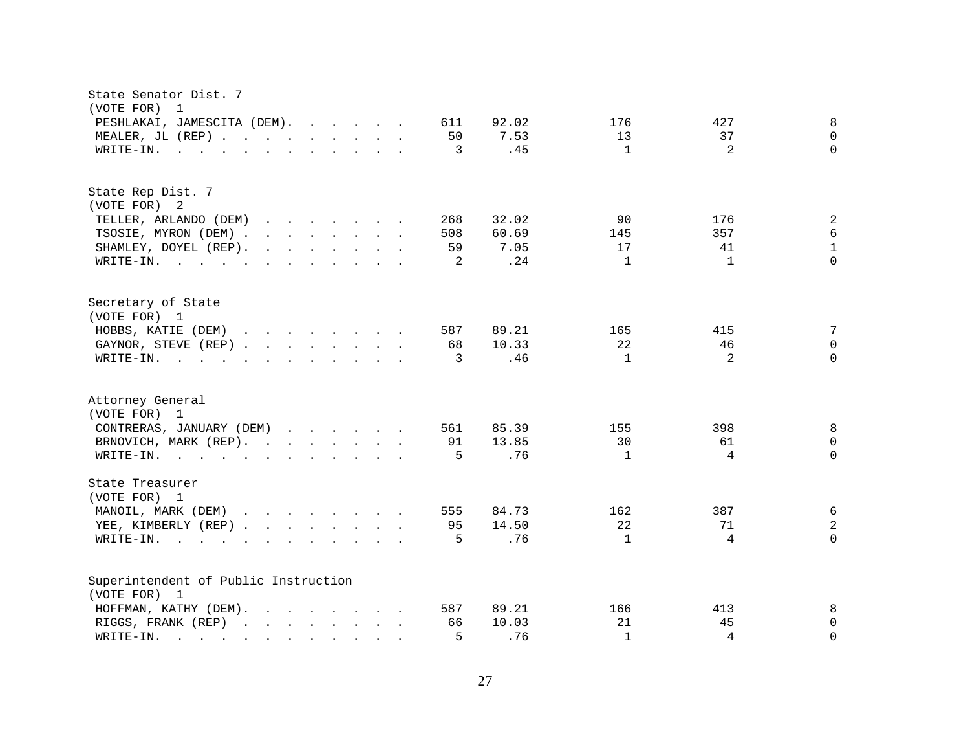| State Senator Dist. 7<br>(VOTE FOR)<br>$\overline{1}$                                                                                                                                                                                                                      |                                                   |
|----------------------------------------------------------------------------------------------------------------------------------------------------------------------------------------------------------------------------------------------------------------------------|---------------------------------------------------|
| PESHLAKAI, JAMESCITA (DEM).<br>611<br>92.02                                                                                                                                                                                                                                | 8<br>176<br>427                                   |
| MEALER, JL (REP)<br>50                                                                                                                                                                                                                                                     | 7.53<br>13<br>37<br>$\mathbf 0$                   |
| $\mathbf{r}$ , and $\mathbf{r}$ , and $\mathbf{r}$ , and $\mathbf{r}$ , and $\mathbf{r}$<br>3<br>WRITE-IN.                                                                                                                                                                 | $\mathbf{1}$<br>$\overline{2}$<br>$\Omega$<br>.45 |
|                                                                                                                                                                                                                                                                            |                                                   |
| State Rep Dist. 7                                                                                                                                                                                                                                                          |                                                   |
| (VOTE FOR) 2                                                                                                                                                                                                                                                               |                                                   |
| TELLER, ARLANDO (DEM)<br>268<br>32.02<br>$\mathbf{r}$ . The contract of the contract of the contract of the contract of the contract of the contract of the contract of the contract of the contract of the contract of the contract of the contract of the contract of th | $\sqrt{2}$<br>90<br>176                           |
| TSOSIE, MYRON (DEM)<br>508<br>60.69                                                                                                                                                                                                                                        | $\epsilon$<br>357<br>145                          |
| SHAMLEY, DOYEL (REP).<br>$\mathbf{r}$ , $\mathbf{r}$ , $\mathbf{r}$ , $\mathbf{r}$ , $\mathbf{r}$ , $\mathbf{r}$<br>59                                                                                                                                                     | $\mathbf 1$<br>41<br>7.05<br>17                   |
| WRITE-IN.<br>2                                                                                                                                                                                                                                                             | $\Omega$<br>$\mathbf{1}$<br>.24<br>$\mathbf{1}$   |
| Secretary of State                                                                                                                                                                                                                                                         |                                                   |
| (VOTE FOR) 1                                                                                                                                                                                                                                                               |                                                   |
| HOBBS, KATIE (DEM)<br>89.21<br>587                                                                                                                                                                                                                                         | 7<br>165<br>415                                   |
| GAYNOR, STEVE (REP)<br>68<br>10.33                                                                                                                                                                                                                                         | 22<br>46<br>$\mathsf{O}\xspace$                   |
| WRITE-IN.<br>$\mathbf{r}$ , $\mathbf{r}$ , $\mathbf{r}$ , $\mathbf{r}$ , $\mathbf{r}$ , $\mathbf{r}$ , $\mathbf{r}$ , $\mathbf{r}$<br>3                                                                                                                                    | 2<br>$\mathbf{1}$<br>$\Omega$<br>.46              |
| Attorney General<br>(VOTE FOR) 1                                                                                                                                                                                                                                           |                                                   |
| CONTRERAS, JANUARY (DEM)<br>561                                                                                                                                                                                                                                            | 8<br>85.39<br>398<br>155                          |
| 13.85<br>BRNOVICH, MARK (REP).<br>91                                                                                                                                                                                                                                       | 30<br>61<br>$\mathbf 0$                           |
| WRITE-IN.<br>5                                                                                                                                                                                                                                                             | $\overline{4}$<br>$\Omega$<br>.76<br>$\mathbf{1}$ |
| State Treasurer                                                                                                                                                                                                                                                            |                                                   |
| (VOTE FOR) 1                                                                                                                                                                                                                                                               |                                                   |
| MANOIL, MARK (DEM)<br>84.73<br>555                                                                                                                                                                                                                                         | $\epsilon$<br>162<br>387                          |
| YEE, KIMBERLY (REP)<br>95<br>14.50                                                                                                                                                                                                                                         | 22<br>$\overline{a}$<br>71                        |
| 5<br>$W\text{RITE}-\text{IN}.$<br>$\mathbf{r}$ , and $\mathbf{r}$ , and $\mathbf{r}$ , and $\mathbf{r}$                                                                                                                                                                    | .76<br>4<br>$\Omega$<br>$\mathbf{1}$              |
| Superintendent of Public Instruction                                                                                                                                                                                                                                       |                                                   |
| (VOTE FOR) 1                                                                                                                                                                                                                                                               |                                                   |
| 89.21<br>HOFFMAN, KATHY (DEM).<br>587                                                                                                                                                                                                                                      | 8<br>166<br>413                                   |
| 10.03<br>RIGGS, FRANK (REP)<br>66                                                                                                                                                                                                                                          | 21<br>45<br>0                                     |
| 5<br>WRITE-IN.<br>$\mathbf{r}$ . The set of $\mathbf{r}$<br>$\mathbf{r}$ , $\mathbf{r}$ , $\mathbf{r}$ , $\mathbf{r}$                                                                                                                                                      | .76<br>$\mathbf{1}$<br>4<br>$\Omega$              |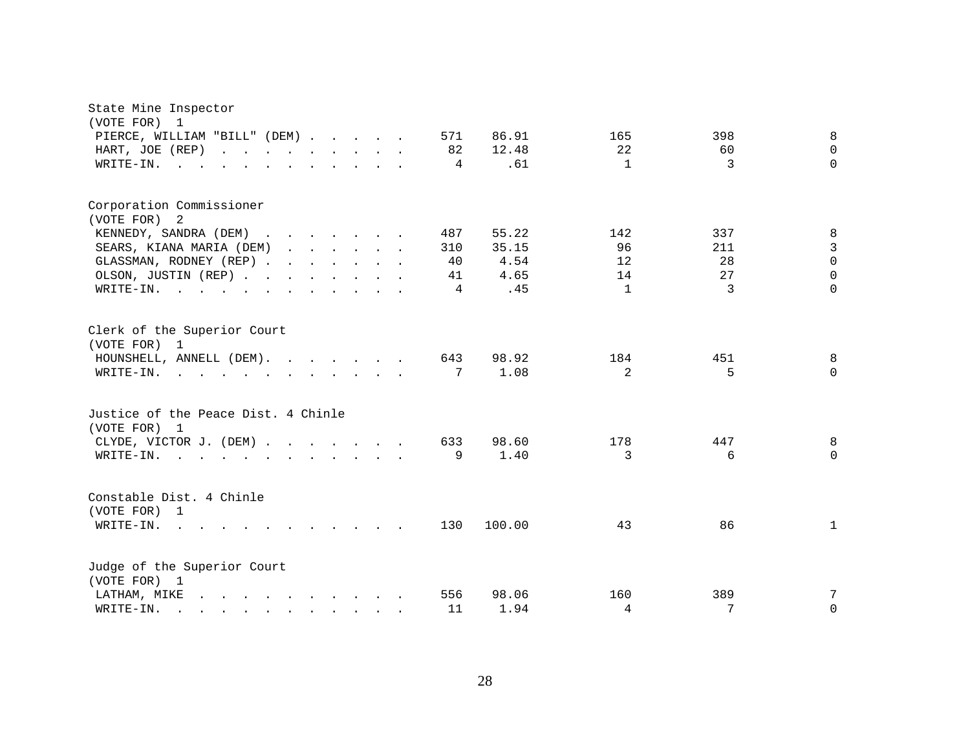| State Mine Inspector<br>(VOTE FOR)<br>$\overline{\phantom{a}}$                                                                                                                                                                                 |     |        |              |                   |
|------------------------------------------------------------------------------------------------------------------------------------------------------------------------------------------------------------------------------------------------|-----|--------|--------------|-------------------|
| PIERCE, WILLIAM "BILL" (DEM)                                                                                                                                                                                                                   | 571 | 86.91  | 165          | 398<br>8          |
| HART, JOE (REP)                                                                                                                                                                                                                                | 82  | 12.48  | 22           | 60<br>$\Omega$    |
| WRITE-IN.<br>$\mathbf{r}$ , and $\mathbf{r}$ , and $\mathbf{r}$ , and $\mathbf{r}$ , and $\mathbf{r}$                                                                                                                                          | 4   | .61    | $\mathbf{1}$ | 3<br>$\Omega$     |
| Corporation Commissioner<br>(VOTE FOR) 2                                                                                                                                                                                                       |     |        |              |                   |
| KENNEDY, SANDRA (DEM)                                                                                                                                                                                                                          | 487 | 55.22  | 142          | 337<br>8          |
| SEARS, KIANA MARIA (DEM)                                                                                                                                                                                                                       | 310 | 35.15  | 96           | 3<br>211          |
| GLASSMAN, RODNEY (REP)                                                                                                                                                                                                                         | 40  | 4.54   | 12           | $\Omega$<br>28    |
| OLSON, JUSTIN (REP)                                                                                                                                                                                                                            | 41  | 4.65   | 14           | 27<br>$\Omega$    |
| WRITE-IN.                                                                                                                                                                                                                                      | 4   | .45    | $\mathbf{1}$ | $\Omega$<br>3     |
|                                                                                                                                                                                                                                                |     |        |              |                   |
| Clerk of the Superior Court<br>(VOTE FOR) 1                                                                                                                                                                                                    |     |        |              |                   |
| HOUNSHELL, ANNELL (DEM).                                                                                                                                                                                                                       | 643 | 98.92  | 184          | 451<br>8          |
| WRITE-IN.                                                                                                                                                                                                                                      | 7   | 1.08   | 2            | $\Omega$<br>5     |
| Justice of the Peace Dist. 4 Chinle<br>(VOTE FOR) 1                                                                                                                                                                                            |     |        |              |                   |
| CLYDE, VICTOR J. (DEM)                                                                                                                                                                                                                         | 633 | 98.60  | 178          | 447<br>8          |
| WRITE-IN.<br>$\mathbf{r}$ . The state of the state $\mathbf{r}$ is the state of the state $\mathbf{r}$                                                                                                                                         | 9   | 1.40   | 3            | $\Omega$<br>6     |
|                                                                                                                                                                                                                                                |     |        |              |                   |
| Constable Dist. 4 Chinle<br>(VOTE FOR) 1                                                                                                                                                                                                       |     |        |              |                   |
| WRITE-IN.<br><b>Contract Contract Contract</b><br>$\mathbf{r}$ , $\mathbf{r}$ , $\mathbf{r}$ , $\mathbf{r}$ , $\mathbf{r}$ , $\mathbf{r}$ , $\mathbf{r}$                                                                                       | 130 | 100.00 | 43           | $\mathbf 1$<br>86 |
| Judge of the Superior Court                                                                                                                                                                                                                    |     |        |              |                   |
| (VOTE FOR) 1                                                                                                                                                                                                                                   |     |        |              |                   |
| and the contract of the contract of the contract of the contract of the contract of the contract of the contract of the contract of the contract of the contract of the contract of the contract of the contract of the contra<br>LATHAM, MIKE | 556 | 98.06  | 160          | 389<br>7          |
| WRITE-IN.<br>$\mathbf{r} = \mathbf{r} - \mathbf{r}$ , $\mathbf{r} = \mathbf{r} - \mathbf{r}$ , $\mathbf{r} = \mathbf{r} - \mathbf{r}$                                                                                                          | 11  | 1.94   | 4            | 7<br>$\Omega$     |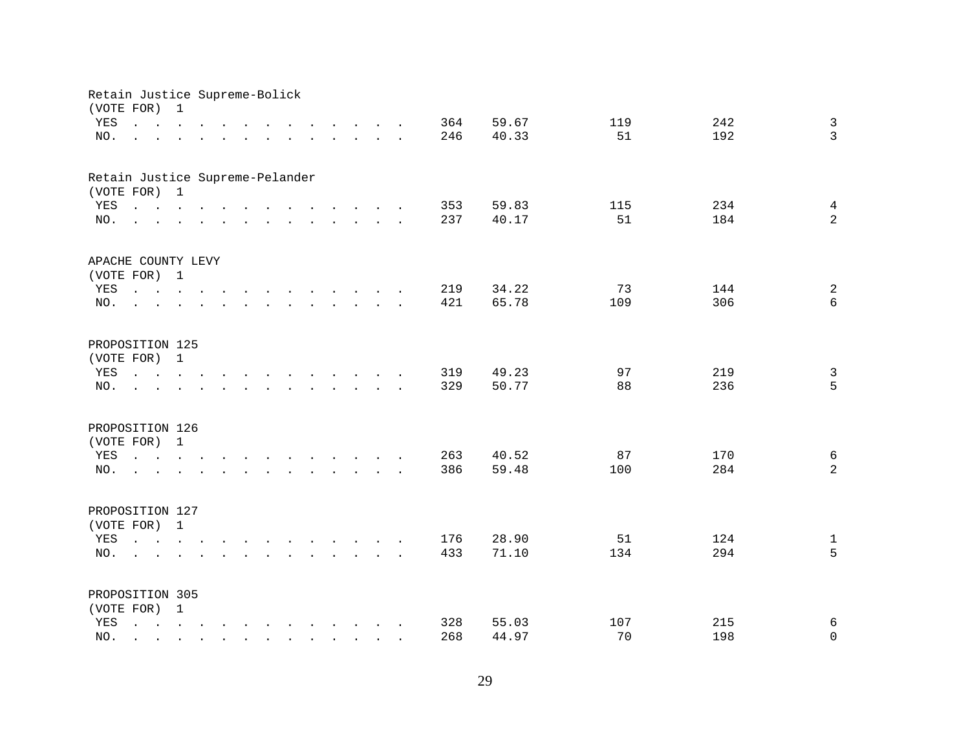|     | Retain Justice Supreme-Bolick<br>(VOTE FOR)                                                                                                                                                                                    | 1                                                                                                                                     |                                        |                                                                                                                    |                                                                                                                                                                                                                                   |  |                                                                          |                                                                 |        |     |       |     |     |                |
|-----|--------------------------------------------------------------------------------------------------------------------------------------------------------------------------------------------------------------------------------|---------------------------------------------------------------------------------------------------------------------------------------|----------------------------------------|--------------------------------------------------------------------------------------------------------------------|-----------------------------------------------------------------------------------------------------------------------------------------------------------------------------------------------------------------------------------|--|--------------------------------------------------------------------------|-----------------------------------------------------------------|--------|-----|-------|-----|-----|----------------|
| YES | $\mathbf{L} = \mathbf{L}$                                                                                                                                                                                                      | $\sim$                                                                                                                                | $\mathbf{r}$ . The set of $\mathbf{r}$ |                                                                                                                    |                                                                                                                                                                                                                                   |  |                                                                          | $\cdot$ $\cdot$ $\cdot$ $\cdot$ $\cdot$ $\cdot$                 |        | 364 | 59.67 | 119 | 242 | $\mathbf{3}$   |
| NO. |                                                                                                                                                                                                                                |                                                                                                                                       | $\ddot{\phantom{a}}$                   | $\sim$                                                                                                             | $\ddot{\phantom{a}}$                                                                                                                                                                                                              |  |                                                                          | $\mathbf{r}$ and $\mathbf{r}$ and $\mathbf{r}$ and $\mathbf{r}$ |        | 246 | 40.33 | 51  | 192 | $\overline{3}$ |
|     |                                                                                                                                                                                                                                |                                                                                                                                       |                                        |                                                                                                                    |                                                                                                                                                                                                                                   |  |                                                                          |                                                                 |        |     |       |     |     |                |
|     | Retain Justice Supreme-Pelander                                                                                                                                                                                                |                                                                                                                                       |                                        |                                                                                                                    |                                                                                                                                                                                                                                   |  |                                                                          |                                                                 |        |     |       |     |     |                |
|     | (VOTE FOR) 1                                                                                                                                                                                                                   |                                                                                                                                       |                                        |                                                                                                                    |                                                                                                                                                                                                                                   |  |                                                                          |                                                                 |        |     |       |     |     |                |
| YES | $\mathbf{r}$ , and $\mathbf{r}$ , and $\mathbf{r}$ , and $\mathbf{r}$ , and $\mathbf{r}$ , and $\mathbf{r}$                                                                                                                    |                                                                                                                                       |                                        |                                                                                                                    |                                                                                                                                                                                                                                   |  |                                                                          |                                                                 |        | 353 | 59.83 | 115 | 234 | $\overline{4}$ |
| NO. |                                                                                                                                                                                                                                |                                                                                                                                       |                                        |                                                                                                                    |                                                                                                                                                                                                                                   |  |                                                                          |                                                                 |        | 237 | 40.17 | 51  | 184 | $\overline{a}$ |
|     | APACHE COUNTY LEVY                                                                                                                                                                                                             |                                                                                                                                       |                                        |                                                                                                                    |                                                                                                                                                                                                                                   |  |                                                                          |                                                                 |        |     |       |     |     |                |
|     | (VOTE FOR) 1                                                                                                                                                                                                                   |                                                                                                                                       |                                        |                                                                                                                    |                                                                                                                                                                                                                                   |  |                                                                          |                                                                 |        |     |       |     |     |                |
| YES |                                                                                                                                                                                                                                |                                                                                                                                       |                                        |                                                                                                                    |                                                                                                                                                                                                                                   |  |                                                                          |                                                                 |        | 219 | 34.22 | 73  | 144 | $\sqrt{2}$     |
| NO. | $\mathbf{r}$                                                                                                                                                                                                                   |                                                                                                                                       |                                        |                                                                                                                    | $\mathcal{A}=\mathcal{A}=\mathcal{A}=\mathcal{A}=\mathcal{A}=\mathcal{A}=\mathcal{A}=\mathcal{A}=\mathcal{A}=\mathcal{A}$                                                                                                         |  |                                                                          |                                                                 |        | 421 | 65.78 | 109 | 306 | 6              |
|     |                                                                                                                                                                                                                                |                                                                                                                                       |                                        |                                                                                                                    |                                                                                                                                                                                                                                   |  |                                                                          |                                                                 |        |     |       |     |     |                |
|     | PROPOSITION 125                                                                                                                                                                                                                |                                                                                                                                       |                                        |                                                                                                                    |                                                                                                                                                                                                                                   |  |                                                                          |                                                                 |        |     |       |     |     |                |
|     | (VOTE FOR)                                                                                                                                                                                                                     | $\mathbf{1}$                                                                                                                          |                                        |                                                                                                                    |                                                                                                                                                                                                                                   |  |                                                                          |                                                                 |        |     |       |     |     |                |
| YES | $\mathbf{r} = \mathbf{r} \cdot \mathbf{r}$ , where $\mathbf{r} = \mathbf{r} \cdot \mathbf{r}$                                                                                                                                  |                                                                                                                                       |                                        |                                                                                                                    | $\mathbf{r}$ . The contract of the contract of the contract of the contract of the contract of the contract of the contract of the contract of the contract of the contract of the contract of the contract of the contract of th |  |                                                                          |                                                                 |        | 319 | 49.23 | 97  | 219 | $\overline{3}$ |
| NO. |                                                                                                                                                                                                                                |                                                                                                                                       |                                        |                                                                                                                    |                                                                                                                                                                                                                                   |  | $\mathbf{L} = \mathbf{L} \mathbf{L} + \mathbf{L} \mathbf{L}$             |                                                                 | $\sim$ | 329 | 50.77 | 88  | 236 | 5              |
|     | PROPOSITION 126                                                                                                                                                                                                                |                                                                                                                                       |                                        |                                                                                                                    |                                                                                                                                                                                                                                   |  |                                                                          |                                                                 |        |     |       |     |     |                |
|     | (VOTE FOR)                                                                                                                                                                                                                     | $\mathbf{1}$                                                                                                                          |                                        |                                                                                                                    |                                                                                                                                                                                                                                   |  |                                                                          |                                                                 |        |     |       |     |     |                |
| YES | and a series of the contract and a series of the contract of the contract of the contract of the contract of the contract of the contract of the contract of the contract of the contract of the contract of the contract of t |                                                                                                                                       |                                        |                                                                                                                    |                                                                                                                                                                                                                                   |  |                                                                          |                                                                 |        | 263 | 40.52 | 87  | 170 | $\sqrt{6}$     |
| NO. | the contract of the contract of the contract of the contract of the contract of the contract of the contract of                                                                                                                |                                                                                                                                       |                                        |                                                                                                                    |                                                                                                                                                                                                                                   |  |                                                                          |                                                                 |        | 386 | 59.48 | 100 | 284 | $\overline{a}$ |
|     |                                                                                                                                                                                                                                |                                                                                                                                       |                                        |                                                                                                                    |                                                                                                                                                                                                                                   |  |                                                                          |                                                                 |        |     |       |     |     |                |
|     | PROPOSITION 127                                                                                                                                                                                                                |                                                                                                                                       |                                        |                                                                                                                    |                                                                                                                                                                                                                                   |  |                                                                          |                                                                 |        |     |       |     |     |                |
|     | (VOTE FOR) 1                                                                                                                                                                                                                   |                                                                                                                                       |                                        |                                                                                                                    |                                                                                                                                                                                                                                   |  |                                                                          |                                                                 |        |     |       |     |     |                |
| YES | $\mathbf{r} = \mathbf{r} - \mathbf{r}$ , $\mathbf{r} = \mathbf{r} - \mathbf{r}$ , $\mathbf{r} = \mathbf{r} - \mathbf{r} - \mathbf{r}$ , $\mathbf{r} = \mathbf{r} - \mathbf{r}$                                                 |                                                                                                                                       |                                        |                                                                                                                    |                                                                                                                                                                                                                                   |  |                                                                          |                                                                 |        | 176 | 28.90 | 51  | 124 | $\mathbf{1}$   |
| NO. | $\sim$                                                                                                                                                                                                                         |                                                                                                                                       |                                        | $\mathbf{r}$ and $\mathbf{r}$ and $\mathbf{r}$ and $\mathbf{r}$ and $\mathbf{r}$ and $\mathbf{r}$ and $\mathbf{r}$ |                                                                                                                                                                                                                                   |  |                                                                          |                                                                 |        | 433 | 71.10 | 134 | 294 | 5              |
|     |                                                                                                                                                                                                                                |                                                                                                                                       |                                        |                                                                                                                    |                                                                                                                                                                                                                                   |  |                                                                          |                                                                 |        |     |       |     |     |                |
|     | PROPOSITION 305                                                                                                                                                                                                                |                                                                                                                                       |                                        |                                                                                                                    |                                                                                                                                                                                                                                   |  |                                                                          |                                                                 |        |     |       |     |     |                |
|     | (VOTE FOR) 1                                                                                                                                                                                                                   |                                                                                                                                       |                                        |                                                                                                                    |                                                                                                                                                                                                                                   |  |                                                                          |                                                                 |        |     |       |     |     |                |
| YES | $\mathbf{L}$                                                                                                                                                                                                                   | $\mathbf{r} = \mathbf{r} - \mathbf{r}$ , $\mathbf{r} = \mathbf{r} - \mathbf{r}$ , $\mathbf{r} = \mathbf{r} - \mathbf{r} - \mathbf{r}$ |                                        |                                                                                                                    |                                                                                                                                                                                                                                   |  |                                                                          |                                                                 |        | 328 | 55.03 | 107 | 215 | 6              |
| NO. |                                                                                                                                                                                                                                |                                                                                                                                       |                                        |                                                                                                                    | $\sim$                                                                                                                                                                                                                            |  | $\mathbf{r}$ , $\mathbf{r}$ , $\mathbf{r}$ , $\mathbf{r}$ , $\mathbf{r}$ |                                                                 |        | 268 | 44.97 | 70  | 198 | $\mathbf 0$    |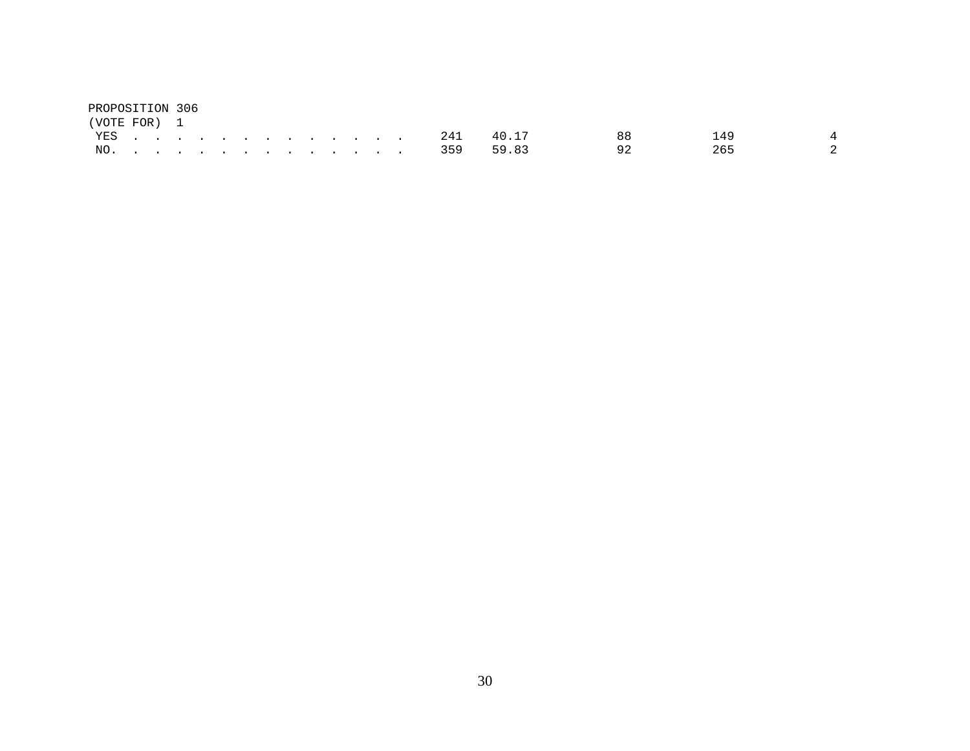| PROPOSITION 306 |  |  |  |  |  |  |               |       |     |     |               |
|-----------------|--|--|--|--|--|--|---------------|-------|-----|-----|---------------|
| (VOTE FOR) 1    |  |  |  |  |  |  |               |       |     |     |               |
|                 |  |  |  |  |  |  | YES 241       | 40.17 | 88. | 149 |               |
|                 |  |  |  |  |  |  | NO. 359 59.83 |       |     | 265 | $\mathcal{L}$ |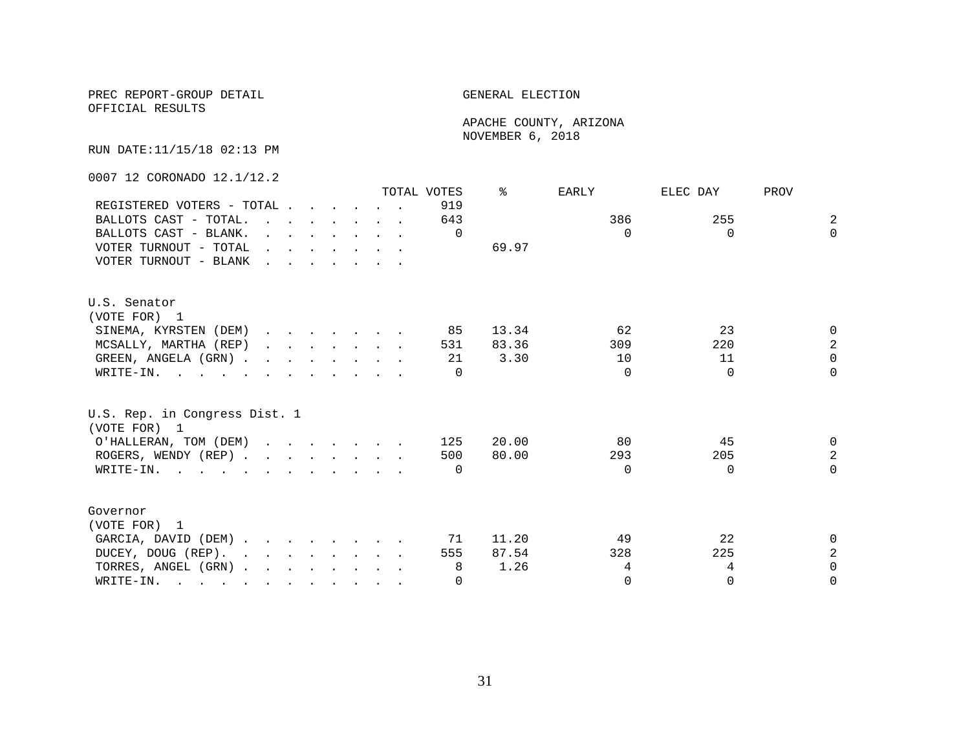OFFICIAL RESULTS

 APACHE COUNTY, ARIZONA NOVEMBER 6, 2018

RUN DATE:11/15/18 02:13 PM

0007 12 CORONADO 12.1/12.2

|                                                                                                       |                                                    |  |                                                                                                                                                                                                                                      |  | TOTAL VOTES | ⊱     | <b>EARLY</b> | ELEC DAY | PROV           |
|-------------------------------------------------------------------------------------------------------|----------------------------------------------------|--|--------------------------------------------------------------------------------------------------------------------------------------------------------------------------------------------------------------------------------------|--|-------------|-------|--------------|----------|----------------|
| REGISTERED VOTERS - TOTAL                                                                             |                                                    |  |                                                                                                                                                                                                                                      |  | 919         |       |              |          |                |
| BALLOTS CAST - TOTAL.                                                                                 |                                                    |  | $\mathbf{r}$ , $\mathbf{r}$ , $\mathbf{r}$ , $\mathbf{r}$ , $\mathbf{r}$                                                                                                                                                             |  | 643         |       | 386          | 255      | $\overline{a}$ |
| BALLOTS CAST - BLANK.                                                                                 |                                                    |  | $\mathbf{r}$ and $\mathbf{r}$ and $\mathbf{r}$ and $\mathbf{r}$ and $\mathbf{r}$                                                                                                                                                     |  | $\Omega$    |       | $\Omega$     | $\Omega$ | $\Omega$       |
| VOTER TURNOUT - TOTAL                                                                                 |                                                    |  | $\mathbf{r}$ and $\mathbf{r}$ are the set of the set of the set of the set of the set of the set of the set of the set of the set of the set of the set of the set of the set of the set of the set of the set of the set of the set |  |             | 69.97 |              |          |                |
| VOTER TURNOUT - BLANK                                                                                 | <u>in the second contract of the second second</u> |  |                                                                                                                                                                                                                                      |  |             |       |              |          |                |
|                                                                                                       |                                                    |  |                                                                                                                                                                                                                                      |  |             |       |              |          |                |
| U.S. Senator                                                                                          |                                                    |  |                                                                                                                                                                                                                                      |  |             |       |              |          |                |
| (VOTE FOR) 1                                                                                          |                                                    |  |                                                                                                                                                                                                                                      |  |             |       |              |          |                |
| SINEMA, KYRSTEN (DEM)                                                                                 |                                                    |  |                                                                                                                                                                                                                                      |  | 85          | 13.34 | 62           | 23       | $\Omega$       |
| MCSALLY, MARTHA (REP)                                                                                 |                                                    |  | $\mathbf{r}$ , $\mathbf{r}$ , $\mathbf{r}$ , $\mathbf{r}$ , $\mathbf{r}$                                                                                                                                                             |  | 531         | 83.36 | 309          | 220      | $\overline{a}$ |
| GREEN, ANGELA (GRN).                                                                                  |                                                    |  |                                                                                                                                                                                                                                      |  | 21          | 3.30  | 10           | 11       | $\Omega$       |
| WRITE-IN.                                                                                             |                                                    |  |                                                                                                                                                                                                                                      |  | $\Omega$    |       | $\Omega$     | $\Omega$ | $\Omega$       |
| U.S. Rep. in Congress Dist. 1<br>(VOTE FOR) 1                                                         |                                                    |  |                                                                                                                                                                                                                                      |  |             |       |              |          |                |
| O'HALLERAN, TOM (DEM)                                                                                 |                                                    |  |                                                                                                                                                                                                                                      |  | 125         | 20.00 | 80           | 45       | $\Omega$       |
| ROGERS, WENDY (REP)                                                                                   |                                                    |  |                                                                                                                                                                                                                                      |  | 500         | 80.00 | 293          | 205      | $\overline{a}$ |
| WRITE-IN.                                                                                             |                                                    |  |                                                                                                                                                                                                                                      |  | $\Omega$    |       | $\Omega$     | $\Omega$ | $\Omega$       |
| Governor                                                                                              |                                                    |  |                                                                                                                                                                                                                                      |  |             |       |              |          |                |
| (VOTE FOR) 1                                                                                          |                                                    |  |                                                                                                                                                                                                                                      |  |             |       |              |          |                |
| GARCIA, DAVID (DEM)                                                                                   |                                                    |  |                                                                                                                                                                                                                                      |  | 71          | 11.20 | 49           | 22       | 0              |
| DUCEY, DOUG (REP).                                                                                    |                                                    |  |                                                                                                                                                                                                                                      |  | 555         | 87.54 | 328          | 225      | $\overline{a}$ |
| TORRES, ANGEL (GRN)                                                                                   |                                                    |  |                                                                                                                                                                                                                                      |  | 8           | 1.26  | 4            | 4        | $\Omega$       |
| WRITE-IN.<br>$\mathbf{r}$ , and $\mathbf{r}$ , and $\mathbf{r}$ , and $\mathbf{r}$ , and $\mathbf{r}$ |                                                    |  |                                                                                                                                                                                                                                      |  | $\Omega$    |       | $\Omega$     | $\Omega$ | $\Omega$       |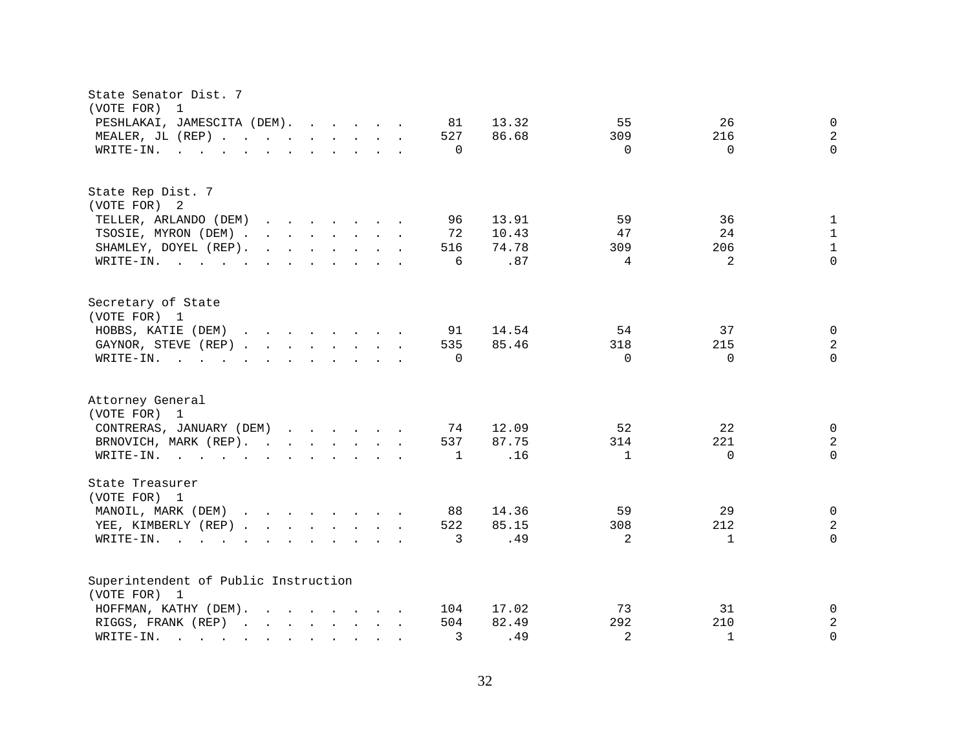| PESHLAKAI, JAMESCITA (DEM).<br>13.32<br>55<br>26<br>81<br>$\mathbf{0}$<br>86.68<br>$\mathbf{2}$<br>MEALER, JL (REP)<br>527<br>309<br>216<br>$\Omega$<br>$\mathbf 0$<br>$\Omega$<br>$\Omega$<br>WRITE-IN.<br>$\mathbf{r}$ , and $\mathbf{r}$ , and $\mathbf{r}$ , and $\mathbf{r}$ , and $\mathbf{r}$<br>State Rep Dist. 7<br>(VOTE FOR) 2<br>59<br>TELLER, ARLANDO (DEM)<br>96<br>13.91<br>36<br>$\mathbf{r}$ . The set of the set of the set of the set of the set of the set of the set of the set of the set of the set of the set of the set of the set of the set of the set of the set of the set of the set of the set of t<br>1<br>TSOSIE, MYRON (DEM) .<br>10.43<br>24<br>$\mathbf{r}$ , $\mathbf{r}$ , $\mathbf{r}$ , $\mathbf{r}$ , $\mathbf{r}$ , $\mathbf{r}$<br>72<br>47<br>$\mathbf{1}$<br>$\mathbf{1}$<br>516<br>74.78<br>206<br>SHAMLEY, DOYEL (REP).<br>$\mathbf{r}$ , $\mathbf{r}$ , $\mathbf{r}$ , $\mathbf{r}$ , $\mathbf{r}$ , $\mathbf{r}$<br>309<br>.87<br>$\Omega$<br>6<br>$\overline{4}$<br>$\mathfrak{D}$<br>WRITE-IN.<br>Secretary of State<br>(VOTE FOR) 1<br>HOBBS, KATIE (DEM)<br>$\mathbf{r}$ , and $\mathbf{r}$ , and $\mathbf{r}$ , and $\mathbf{r}$<br>14.54<br>54<br>37<br>91<br>$\mathbf{0}$<br>85.46<br>2<br>GAYNOR, STEVE (REP)<br>535<br>318<br>215<br>$\Omega$<br>$\Omega$<br>$\Omega$<br>WRITE-IN.<br>$\Omega$<br>$\mathbf{r}$ , $\mathbf{r}$ , $\mathbf{r}$ , $\mathbf{r}$ , $\mathbf{r}$ , $\mathbf{r}$ , $\mathbf{r}$ , $\mathbf{r}$<br>(VOTE FOR) 1<br>CONTRERAS, JANUARY (DEM)<br>12.09<br>52<br>22<br>74<br>$\mathbf{0}$<br>2<br>BRNOVICH, MARK (REP).<br>537<br>87.75<br>314<br>221<br>.16<br>$\Omega$<br>$\mathbf{1}$<br>$\Omega$<br>WRITE-IN.<br>$\mathbf{1}$<br>State Treasurer<br>(VOTE FOR) 1<br>MANOIL, MARK (DEM)<br>88<br>14.36<br>59<br>29<br>0<br>$\mathbf{r}$ . The contract of the contract of the contract of the contract of the contract of the contract of the contract of the contract of the contract of the contract of the contract of the contract of the contract of th<br>85.15<br>$\sqrt{2}$<br>YEE, KIMBERLY (REP)<br>522<br>308<br>212<br>.49<br>$\Omega$<br>$\overline{3}$<br>2<br>WRITE-IN.<br>$\mathbf{1}$<br>$\mathbf{r}$ , and $\mathbf{r}$ , and $\mathbf{r}$ , and $\mathbf{r}$ , and $\mathbf{r}$<br>Superintendent of Public Instruction<br>(VOTE FOR) 1<br>HOFFMAN, KATHY (DEM).<br>$\mathbf{r}$ . The set of the set of the set of the set of the set of the set of the set of the set of the set of the set of the set of the set of the set of the set of the set of the set of the set of the set of the set of t<br>104<br>17.02<br>73<br>31<br>0<br>504<br>292<br>2<br>RIGGS, FRANK (REP)<br>82.49<br>210<br>2<br>$\Omega$<br>3<br>.49<br>$\mathbf{1}$<br>WRITE-IN.<br><u>na na manang mga sangayon ng mga sangayon ng mga sangayon ng mga sangayon ng mga sangayon ng mga sangayon ng mga sangayon ng mga sangayon ng mga sangayon ng mga sangayon ng mga sangayon ng mga sangayon ng mga sangayon ng </u> | State Senator Dist. 7<br>(VOTE FOR)<br>1 |  |
|--------------------------------------------------------------------------------------------------------------------------------------------------------------------------------------------------------------------------------------------------------------------------------------------------------------------------------------------------------------------------------------------------------------------------------------------------------------------------------------------------------------------------------------------------------------------------------------------------------------------------------------------------------------------------------------------------------------------------------------------------------------------------------------------------------------------------------------------------------------------------------------------------------------------------------------------------------------------------------------------------------------------------------------------------------------------------------------------------------------------------------------------------------------------------------------------------------------------------------------------------------------------------------------------------------------------------------------------------------------------------------------------------------------------------------------------------------------------------------------------------------------------------------------------------------------------------------------------------------------------------------------------------------------------------------------------------------------------------------------------------------------------------------------------------------------------------------------------------------------------------------------------------------------------------------------------------------------------------------------------------------------------------------------------------------------------------------------------------------------------------------------------------------------------------------------------------------------------------------------------------------------------------------------------------------------------------------------------------------------------------------------------------------------------------------------------------------------------------------------------------------------------------------------------------------------------------------------------------------------------------------------------------------------------------------------------------------------------------------------------------------------------------------------------------------------------------------------------------------------------------------------------------------------------------------------------------------------------------------------------------------|------------------------------------------|--|
|                                                                                                                                                                                                                                                                                                                                                                                                                                                                                                                                                                                                                                                                                                                                                                                                                                                                                                                                                                                                                                                                                                                                                                                                                                                                                                                                                                                                                                                                                                                                                                                                                                                                                                                                                                                                                                                                                                                                                                                                                                                                                                                                                                                                                                                                                                                                                                                                                                                                                                                                                                                                                                                                                                                                                                                                                                                                                                                                                                                                        |                                          |  |
|                                                                                                                                                                                                                                                                                                                                                                                                                                                                                                                                                                                                                                                                                                                                                                                                                                                                                                                                                                                                                                                                                                                                                                                                                                                                                                                                                                                                                                                                                                                                                                                                                                                                                                                                                                                                                                                                                                                                                                                                                                                                                                                                                                                                                                                                                                                                                                                                                                                                                                                                                                                                                                                                                                                                                                                                                                                                                                                                                                                                        |                                          |  |
|                                                                                                                                                                                                                                                                                                                                                                                                                                                                                                                                                                                                                                                                                                                                                                                                                                                                                                                                                                                                                                                                                                                                                                                                                                                                                                                                                                                                                                                                                                                                                                                                                                                                                                                                                                                                                                                                                                                                                                                                                                                                                                                                                                                                                                                                                                                                                                                                                                                                                                                                                                                                                                                                                                                                                                                                                                                                                                                                                                                                        |                                          |  |
|                                                                                                                                                                                                                                                                                                                                                                                                                                                                                                                                                                                                                                                                                                                                                                                                                                                                                                                                                                                                                                                                                                                                                                                                                                                                                                                                                                                                                                                                                                                                                                                                                                                                                                                                                                                                                                                                                                                                                                                                                                                                                                                                                                                                                                                                                                                                                                                                                                                                                                                                                                                                                                                                                                                                                                                                                                                                                                                                                                                                        |                                          |  |
|                                                                                                                                                                                                                                                                                                                                                                                                                                                                                                                                                                                                                                                                                                                                                                                                                                                                                                                                                                                                                                                                                                                                                                                                                                                                                                                                                                                                                                                                                                                                                                                                                                                                                                                                                                                                                                                                                                                                                                                                                                                                                                                                                                                                                                                                                                                                                                                                                                                                                                                                                                                                                                                                                                                                                                                                                                                                                                                                                                                                        |                                          |  |
|                                                                                                                                                                                                                                                                                                                                                                                                                                                                                                                                                                                                                                                                                                                                                                                                                                                                                                                                                                                                                                                                                                                                                                                                                                                                                                                                                                                                                                                                                                                                                                                                                                                                                                                                                                                                                                                                                                                                                                                                                                                                                                                                                                                                                                                                                                                                                                                                                                                                                                                                                                                                                                                                                                                                                                                                                                                                                                                                                                                                        |                                          |  |
|                                                                                                                                                                                                                                                                                                                                                                                                                                                                                                                                                                                                                                                                                                                                                                                                                                                                                                                                                                                                                                                                                                                                                                                                                                                                                                                                                                                                                                                                                                                                                                                                                                                                                                                                                                                                                                                                                                                                                                                                                                                                                                                                                                                                                                                                                                                                                                                                                                                                                                                                                                                                                                                                                                                                                                                                                                                                                                                                                                                                        |                                          |  |
|                                                                                                                                                                                                                                                                                                                                                                                                                                                                                                                                                                                                                                                                                                                                                                                                                                                                                                                                                                                                                                                                                                                                                                                                                                                                                                                                                                                                                                                                                                                                                                                                                                                                                                                                                                                                                                                                                                                                                                                                                                                                                                                                                                                                                                                                                                                                                                                                                                                                                                                                                                                                                                                                                                                                                                                                                                                                                                                                                                                                        |                                          |  |
|                                                                                                                                                                                                                                                                                                                                                                                                                                                                                                                                                                                                                                                                                                                                                                                                                                                                                                                                                                                                                                                                                                                                                                                                                                                                                                                                                                                                                                                                                                                                                                                                                                                                                                                                                                                                                                                                                                                                                                                                                                                                                                                                                                                                                                                                                                                                                                                                                                                                                                                                                                                                                                                                                                                                                                                                                                                                                                                                                                                                        |                                          |  |
|                                                                                                                                                                                                                                                                                                                                                                                                                                                                                                                                                                                                                                                                                                                                                                                                                                                                                                                                                                                                                                                                                                                                                                                                                                                                                                                                                                                                                                                                                                                                                                                                                                                                                                                                                                                                                                                                                                                                                                                                                                                                                                                                                                                                                                                                                                                                                                                                                                                                                                                                                                                                                                                                                                                                                                                                                                                                                                                                                                                                        |                                          |  |
|                                                                                                                                                                                                                                                                                                                                                                                                                                                                                                                                                                                                                                                                                                                                                                                                                                                                                                                                                                                                                                                                                                                                                                                                                                                                                                                                                                                                                                                                                                                                                                                                                                                                                                                                                                                                                                                                                                                                                                                                                                                                                                                                                                                                                                                                                                                                                                                                                                                                                                                                                                                                                                                                                                                                                                                                                                                                                                                                                                                                        | Attorney General                         |  |
|                                                                                                                                                                                                                                                                                                                                                                                                                                                                                                                                                                                                                                                                                                                                                                                                                                                                                                                                                                                                                                                                                                                                                                                                                                                                                                                                                                                                                                                                                                                                                                                                                                                                                                                                                                                                                                                                                                                                                                                                                                                                                                                                                                                                                                                                                                                                                                                                                                                                                                                                                                                                                                                                                                                                                                                                                                                                                                                                                                                                        |                                          |  |
|                                                                                                                                                                                                                                                                                                                                                                                                                                                                                                                                                                                                                                                                                                                                                                                                                                                                                                                                                                                                                                                                                                                                                                                                                                                                                                                                                                                                                                                                                                                                                                                                                                                                                                                                                                                                                                                                                                                                                                                                                                                                                                                                                                                                                                                                                                                                                                                                                                                                                                                                                                                                                                                                                                                                                                                                                                                                                                                                                                                                        |                                          |  |
|                                                                                                                                                                                                                                                                                                                                                                                                                                                                                                                                                                                                                                                                                                                                                                                                                                                                                                                                                                                                                                                                                                                                                                                                                                                                                                                                                                                                                                                                                                                                                                                                                                                                                                                                                                                                                                                                                                                                                                                                                                                                                                                                                                                                                                                                                                                                                                                                                                                                                                                                                                                                                                                                                                                                                                                                                                                                                                                                                                                                        |                                          |  |
|                                                                                                                                                                                                                                                                                                                                                                                                                                                                                                                                                                                                                                                                                                                                                                                                                                                                                                                                                                                                                                                                                                                                                                                                                                                                                                                                                                                                                                                                                                                                                                                                                                                                                                                                                                                                                                                                                                                                                                                                                                                                                                                                                                                                                                                                                                                                                                                                                                                                                                                                                                                                                                                                                                                                                                                                                                                                                                                                                                                                        |                                          |  |
|                                                                                                                                                                                                                                                                                                                                                                                                                                                                                                                                                                                                                                                                                                                                                                                                                                                                                                                                                                                                                                                                                                                                                                                                                                                                                                                                                                                                                                                                                                                                                                                                                                                                                                                                                                                                                                                                                                                                                                                                                                                                                                                                                                                                                                                                                                                                                                                                                                                                                                                                                                                                                                                                                                                                                                                                                                                                                                                                                                                                        |                                          |  |
|                                                                                                                                                                                                                                                                                                                                                                                                                                                                                                                                                                                                                                                                                                                                                                                                                                                                                                                                                                                                                                                                                                                                                                                                                                                                                                                                                                                                                                                                                                                                                                                                                                                                                                                                                                                                                                                                                                                                                                                                                                                                                                                                                                                                                                                                                                                                                                                                                                                                                                                                                                                                                                                                                                                                                                                                                                                                                                                                                                                                        |                                          |  |
|                                                                                                                                                                                                                                                                                                                                                                                                                                                                                                                                                                                                                                                                                                                                                                                                                                                                                                                                                                                                                                                                                                                                                                                                                                                                                                                                                                                                                                                                                                                                                                                                                                                                                                                                                                                                                                                                                                                                                                                                                                                                                                                                                                                                                                                                                                                                                                                                                                                                                                                                                                                                                                                                                                                                                                                                                                                                                                                                                                                                        |                                          |  |
|                                                                                                                                                                                                                                                                                                                                                                                                                                                                                                                                                                                                                                                                                                                                                                                                                                                                                                                                                                                                                                                                                                                                                                                                                                                                                                                                                                                                                                                                                                                                                                                                                                                                                                                                                                                                                                                                                                                                                                                                                                                                                                                                                                                                                                                                                                                                                                                                                                                                                                                                                                                                                                                                                                                                                                                                                                                                                                                                                                                                        |                                          |  |
|                                                                                                                                                                                                                                                                                                                                                                                                                                                                                                                                                                                                                                                                                                                                                                                                                                                                                                                                                                                                                                                                                                                                                                                                                                                                                                                                                                                                                                                                                                                                                                                                                                                                                                                                                                                                                                                                                                                                                                                                                                                                                                                                                                                                                                                                                                                                                                                                                                                                                                                                                                                                                                                                                                                                                                                                                                                                                                                                                                                                        |                                          |  |
|                                                                                                                                                                                                                                                                                                                                                                                                                                                                                                                                                                                                                                                                                                                                                                                                                                                                                                                                                                                                                                                                                                                                                                                                                                                                                                                                                                                                                                                                                                                                                                                                                                                                                                                                                                                                                                                                                                                                                                                                                                                                                                                                                                                                                                                                                                                                                                                                                                                                                                                                                                                                                                                                                                                                                                                                                                                                                                                                                                                                        |                                          |  |
|                                                                                                                                                                                                                                                                                                                                                                                                                                                                                                                                                                                                                                                                                                                                                                                                                                                                                                                                                                                                                                                                                                                                                                                                                                                                                                                                                                                                                                                                                                                                                                                                                                                                                                                                                                                                                                                                                                                                                                                                                                                                                                                                                                                                                                                                                                                                                                                                                                                                                                                                                                                                                                                                                                                                                                                                                                                                                                                                                                                                        |                                          |  |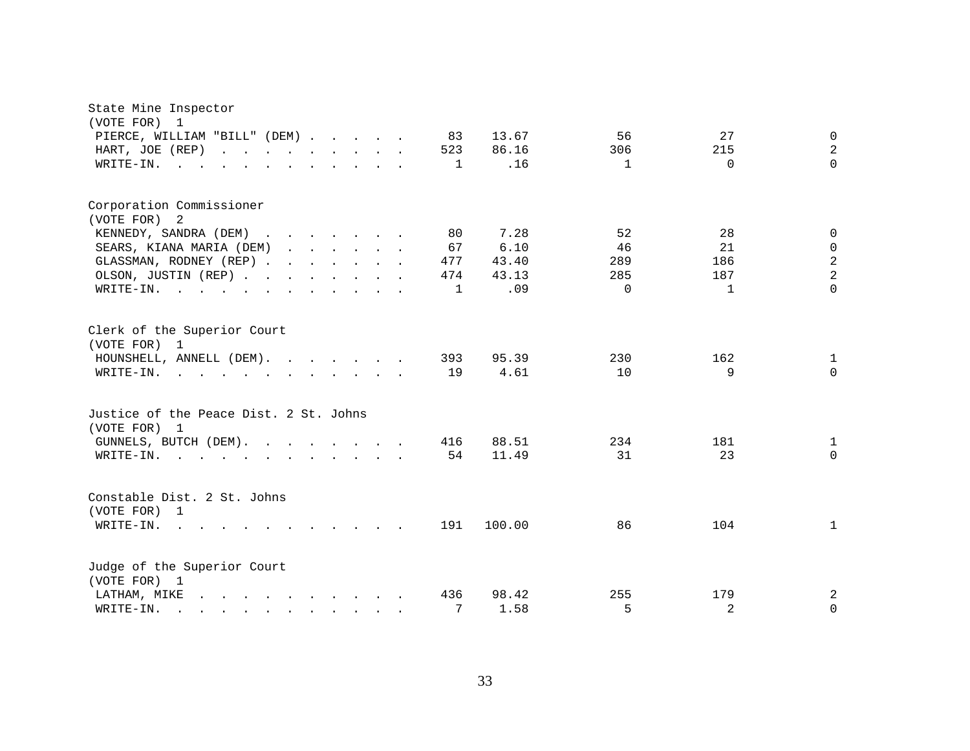| State Mine Inspector                                                                                                                                                                                                                                                                                                                                                                                                                                 |              |        |              |              |                |
|------------------------------------------------------------------------------------------------------------------------------------------------------------------------------------------------------------------------------------------------------------------------------------------------------------------------------------------------------------------------------------------------------------------------------------------------------|--------------|--------|--------------|--------------|----------------|
| (VOTE FOR)<br>1<br>PIERCE, WILLIAM "BILL" (DEM)                                                                                                                                                                                                                                                                                                                                                                                                      | 83           | 13.67  | 56           | 27           | $\mathbf{0}$   |
| HART, JOE (REP)                                                                                                                                                                                                                                                                                                                                                                                                                                      | 523          | 86.16  | 306          | 215          | $\overline{a}$ |
| $W\text{RITE}-\text{IN}.$                                                                                                                                                                                                                                                                                                                                                                                                                            | 1            | .16    | $\mathbf{1}$ | $\Omega$     | $\Omega$       |
| $\mathbf{r}$ . The set of $\mathbf{r}$<br>$\cdot$ $\cdot$ $\cdot$ $\cdot$ $\cdot$ $\cdot$                                                                                                                                                                                                                                                                                                                                                            |              |        |              |              |                |
| Corporation Commissioner                                                                                                                                                                                                                                                                                                                                                                                                                             |              |        |              |              |                |
| (VOTE FOR) 2                                                                                                                                                                                                                                                                                                                                                                                                                                         |              |        |              |              |                |
| KENNEDY, SANDRA (DEM)                                                                                                                                                                                                                                                                                                                                                                                                                                | 80           | 7.28   | 52           | 28           | $\mathbf{0}$   |
| SEARS, KIANA MARIA (DEM)<br>$\mathbf{r}$ . The set of the set of the set of the set of the set of the set of the set of the set of the set of the set of the set of the set of the set of the set of the set of the set of the set of the set of the set of t                                                                                                                                                                                        | 67           | 6.10   | 46           | 21           | $\Omega$       |
| GLASSMAN, RODNEY (REP)                                                                                                                                                                                                                                                                                                                                                                                                                               | 477          | 43.40  | 289          | 186          | $\overline{a}$ |
| OLSON, JUSTIN (REP)                                                                                                                                                                                                                                                                                                                                                                                                                                  | 474          | 43.13  | 285          | 187          | $\overline{a}$ |
| WRITE-IN.                                                                                                                                                                                                                                                                                                                                                                                                                                            | $\mathbf{1}$ | .09    | $\Omega$     | $\mathbf{1}$ | $\Omega$       |
| Clerk of the Superior Court<br>(VOTE FOR) 1                                                                                                                                                                                                                                                                                                                                                                                                          |              |        |              |              |                |
| HOUNSHELL, ANNELL (DEM).                                                                                                                                                                                                                                                                                                                                                                                                                             | 393          | 95.39  | 230          | 162          | 1              |
| WRITE-IN.<br>$\mathbf{r}$ , and $\mathbf{r}$ , and $\mathbf{r}$ , and $\mathbf{r}$ , and $\mathbf{r}$                                                                                                                                                                                                                                                                                                                                                | 19           | 4.61   | 10           | 9            | $\Omega$       |
| Justice of the Peace Dist. 2 St. Johns<br>(VOTE FOR) 1                                                                                                                                                                                                                                                                                                                                                                                               |              |        |              |              |                |
| GUNNELS, BUTCH (DEM).                                                                                                                                                                                                                                                                                                                                                                                                                                | 416          | 88.51  | 234          | 181          | 1              |
| WRITE-IN.<br>$\mathbf{r}$ , and $\mathbf{r}$ , and $\mathbf{r}$ , and $\mathbf{r}$ , and $\mathbf{r}$                                                                                                                                                                                                                                                                                                                                                | 54           | 11.49  | 31           | 23           | $\Omega$       |
| Constable Dist. 2 St. Johns<br>(VOTE FOR) 1                                                                                                                                                                                                                                                                                                                                                                                                          |              |        |              |              |                |
| WRITE-IN.<br>$\sim$<br>$\mathbf{r}$ and $\mathbf{r}$ and $\mathbf{r}$ and $\mathbf{r}$                                                                                                                                                                                                                                                                                                                                                               | 191          | 100.00 | 86           | 104          | $\mathbf{1}$   |
| Judge of the Superior Court<br>(VOTE FOR) 1                                                                                                                                                                                                                                                                                                                                                                                                          |              |        |              |              |                |
| LATHAM, MIKE<br>$\label{eq:2.1} \begin{array}{cccccccccccccc} \mathbf{1} & \mathbf{1} & \mathbf{1} & \mathbf{1} & \mathbf{1} & \mathbf{1} & \mathbf{1} & \mathbf{1} & \mathbf{1} & \mathbf{1} & \mathbf{1} & \mathbf{1} & \mathbf{1} & \mathbf{1} & \mathbf{1} & \mathbf{1} & \mathbf{1} & \mathbf{1} & \mathbf{1} & \mathbf{1} & \mathbf{1} & \mathbf{1} & \mathbf{1} & \mathbf{1} & \mathbf{1} & \mathbf{1} & \mathbf{1} & \mathbf{1} & \mathbf{1$ | 436          | 98.42  | 255          | 179          | 2              |
| WRITE-IN.<br>$\mathbf{r}$ , and $\mathbf{r}$ , and $\mathbf{r}$ , and $\mathbf{r}$ , and $\mathbf{r}$<br>$\mathcal{L}^{\mathcal{L}}$                                                                                                                                                                                                                                                                                                                 | 7            | 1.58   | 5            | 2            | $\mathbf 0$    |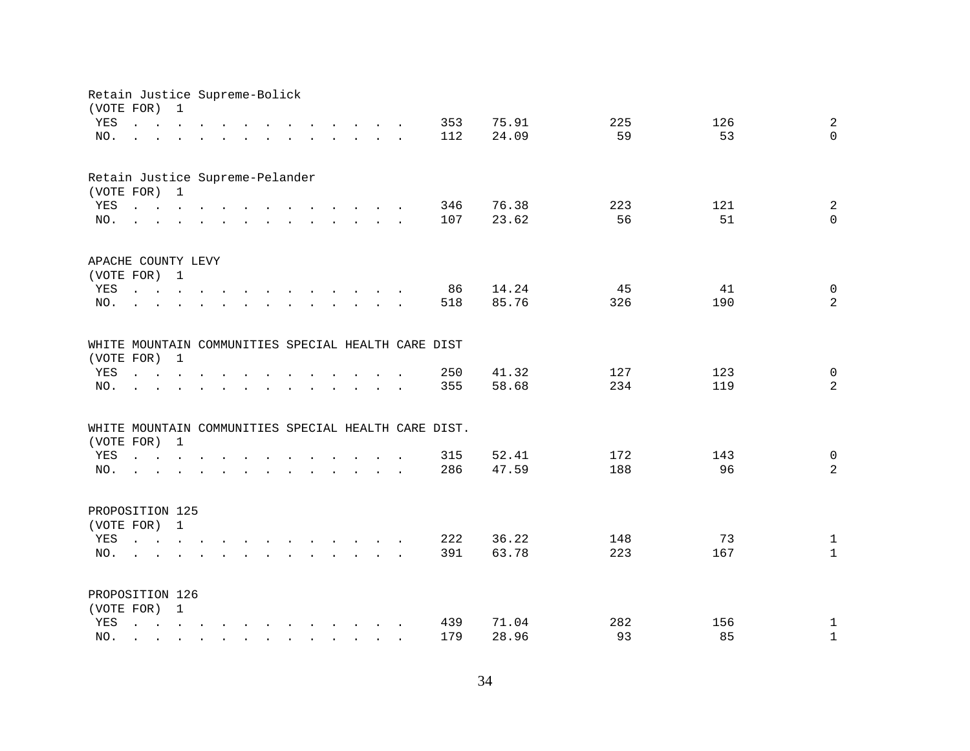| Retain Justice Supreme-Bolick   |                                                                                                                                                                                |                                                                                                                                       |        |  |                                                                                                                                                                                                                                      |        |                                                                          |               |                                                                                            |        |                                                      |                |           |           |                     |
|---------------------------------|--------------------------------------------------------------------------------------------------------------------------------------------------------------------------------|---------------------------------------------------------------------------------------------------------------------------------------|--------|--|--------------------------------------------------------------------------------------------------------------------------------------------------------------------------------------------------------------------------------------|--------|--------------------------------------------------------------------------|---------------|--------------------------------------------------------------------------------------------|--------|------------------------------------------------------|----------------|-----------|-----------|---------------------|
|                                 | (VOTE FOR)                                                                                                                                                                     | $\mathbf 1$                                                                                                                           |        |  |                                                                                                                                                                                                                                      |        |                                                                          |               |                                                                                            |        |                                                      |                |           |           |                     |
| YES                             | $\mathbf{r}$ , $\mathbf{r}$ , $\mathbf{r}$ , $\mathbf{r}$ , $\mathbf{r}$                                                                                                       |                                                                                                                                       |        |  |                                                                                                                                                                                                                                      |        |                                                                          |               | $\mathbf{r} = \mathbf{r} + \mathbf{r} + \mathbf{r} + \mathbf{r} + \mathbf{r} + \mathbf{r}$ |        | 353                                                  | 75.91          | 225       | 126       | 2                   |
| NO.                             | and a series of the contract of the contract of the contract of the contract of the contract of the contract of                                                                |                                                                                                                                       |        |  |                                                                                                                                                                                                                                      |        |                                                                          |               |                                                                                            |        | 112                                                  | 24.09          | 59        | 53        | $\Omega$            |
| Retain Justice Supreme-Pelander |                                                                                                                                                                                |                                                                                                                                       |        |  |                                                                                                                                                                                                                                      |        |                                                                          |               |                                                                                            |        |                                                      |                |           |           |                     |
|                                 | (VOTE FOR) 1                                                                                                                                                                   |                                                                                                                                       |        |  |                                                                                                                                                                                                                                      |        |                                                                          |               |                                                                                            |        |                                                      |                |           |           |                     |
| YES                             | $\mathbf{r}$ , and $\mathbf{r}$ , and $\mathbf{r}$ , and $\mathbf{r}$ , and $\mathbf{r}$ , and $\mathbf{r}$                                                                    |                                                                                                                                       |        |  |                                                                                                                                                                                                                                      |        |                                                                          |               |                                                                                            |        | 346                                                  | 76.38          | 223       | 121       | $\overline{a}$      |
| NO.                             | $\mathbf{r}$ , and $\mathbf{r}$ , and $\mathbf{r}$ , and $\mathbf{r}$ , and $\mathbf{r}$ , and $\mathbf{r}$                                                                    |                                                                                                                                       |        |  |                                                                                                                                                                                                                                      |        |                                                                          |               |                                                                                            |        | 107                                                  | 23.62          | 56        | 51        | $\mathbf 0$         |
| APACHE COUNTY LEVY              |                                                                                                                                                                                |                                                                                                                                       |        |  |                                                                                                                                                                                                                                      |        |                                                                          |               |                                                                                            |        |                                                      |                |           |           |                     |
|                                 | (VOTE FOR) 1                                                                                                                                                                   |                                                                                                                                       |        |  |                                                                                                                                                                                                                                      |        |                                                                          |               |                                                                                            |        |                                                      |                |           |           |                     |
| YES                             | $\mathbf{r}$ . The set of $\mathbf{r}$                                                                                                                                         |                                                                                                                                       |        |  | $\mathbf{r}$ , and $\mathbf{r}$ , and $\mathbf{r}$ , and $\mathbf{r}$                                                                                                                                                                |        |                                                                          |               |                                                                                            |        | 86                                                   | 14.24          | 45        | 41        | $\mathsf{O}\xspace$ |
| NO.                             |                                                                                                                                                                                |                                                                                                                                       |        |  | <u>in the contract of the contract of the contract of the contract of the contract of the contract of the contract of the contract of the contract of the contract of the contract of the contract of the contract of the contra</u> |        |                                                                          |               |                                                                                            |        | 518                                                  | 85.76          | 326       | 190       | $\overline{a}$      |
|                                 |                                                                                                                                                                                |                                                                                                                                       |        |  |                                                                                                                                                                                                                                      |        |                                                                          |               |                                                                                            |        | WHITE MOUNTAIN COMMUNITIES SPECIAL HEALTH CARE DIST  |                |           |           |                     |
| (VOTE FOR)                      |                                                                                                                                                                                | $\mathbf{1}$                                                                                                                          |        |  |                                                                                                                                                                                                                                      |        |                                                                          |               |                                                                                            |        |                                                      |                |           |           |                     |
| YES                             | $\begin{array}{cccccccccccccc} \bullet & \bullet & \bullet & \bullet & \bullet & \bullet & \bullet & \bullet & \bullet & \bullet \end{array}$                                  |                                                                                                                                       |        |  |                                                                                                                                                                                                                                      |        |                                                                          | $\sim$        | $\sim$                                                                                     |        | 250                                                  | 41.32          | 127       | 123       | $\overline{0}$      |
| NO.                             |                                                                                                                                                                                |                                                                                                                                       |        |  |                                                                                                                                                                                                                                      | $\sim$ | $\sim$                                                                   | $\sim$ $\sim$ | $\ddot{\phantom{0}}$                                                                       | $\sim$ | 355                                                  | 58.68          | 234       | 119       | $\overline{a}$      |
|                                 |                                                                                                                                                                                |                                                                                                                                       |        |  |                                                                                                                                                                                                                                      |        |                                                                          |               |                                                                                            |        | WHITE MOUNTAIN COMMUNITIES SPECIAL HEALTH CARE DIST. |                |           |           |                     |
|                                 | (VOTE FOR) 1                                                                                                                                                                   |                                                                                                                                       |        |  |                                                                                                                                                                                                                                      |        |                                                                          |               |                                                                                            |        |                                                      |                |           |           |                     |
| YES                             | $\mathbf{r} = \mathbf{r} + \mathbf{r} + \mathbf{r} + \mathbf{r} + \mathbf{r} + \mathbf{r}$                                                                                     |                                                                                                                                       |        |  |                                                                                                                                                                                                                                      |        |                                                                          |               |                                                                                            |        | 315                                                  | 52.41          | 172       | 143       | $\mathsf{O}$        |
| NO.                             | the contract of the contract of the contract of the contract of the contract of the contract of the contract of                                                                |                                                                                                                                       |        |  |                                                                                                                                                                                                                                      |        |                                                                          |               |                                                                                            |        | 286                                                  | 47.59          | 188       | 96        | 2                   |
| PROPOSITION 125                 |                                                                                                                                                                                |                                                                                                                                       |        |  |                                                                                                                                                                                                                                      |        |                                                                          |               |                                                                                            |        |                                                      |                |           |           |                     |
|                                 | (VOTE FOR) 1                                                                                                                                                                   |                                                                                                                                       |        |  |                                                                                                                                                                                                                                      |        |                                                                          |               |                                                                                            |        |                                                      |                |           |           |                     |
| YES                             | $\mathbf{r} = \mathbf{r} - \mathbf{r}$ , $\mathbf{r} = \mathbf{r} - \mathbf{r}$ , $\mathbf{r} = \mathbf{r} - \mathbf{r} - \mathbf{r}$ , $\mathbf{r} = \mathbf{r} - \mathbf{r}$ |                                                                                                                                       |        |  |                                                                                                                                                                                                                                      |        |                                                                          |               |                                                                                            |        | 222                                                  | 36.22          | 148       | 73        | $\mathbf{1}$        |
| NO.                             | $\mathbf{L} = \mathbf{L} \mathbf{L}$                                                                                                                                           |                                                                                                                                       |        |  | $\mathbf{r}$ and $\mathbf{r}$ and $\mathbf{r}$ and $\mathbf{r}$ and $\mathbf{r}$ and $\mathbf{r}$                                                                                                                                    |        |                                                                          |               |                                                                                            |        | 391                                                  | 63.78          | 223       | 167       | $\mathbf{1}$        |
|                                 |                                                                                                                                                                                |                                                                                                                                       |        |  |                                                                                                                                                                                                                                      |        |                                                                          |               |                                                                                            |        |                                                      |                |           |           |                     |
| PROPOSITION 126                 |                                                                                                                                                                                |                                                                                                                                       |        |  |                                                                                                                                                                                                                                      |        |                                                                          |               |                                                                                            |        |                                                      |                |           |           |                     |
|                                 | (VOTE FOR) 1                                                                                                                                                                   |                                                                                                                                       |        |  |                                                                                                                                                                                                                                      |        |                                                                          |               |                                                                                            |        |                                                      |                |           |           |                     |
| YES                             | $\mathbf{L}$                                                                                                                                                                   | $\mathbf{r} = \mathbf{r} - \mathbf{r}$ , $\mathbf{r} = \mathbf{r} - \mathbf{r}$ , $\mathbf{r} = \mathbf{r} - \mathbf{r} - \mathbf{r}$ |        |  |                                                                                                                                                                                                                                      |        |                                                                          |               |                                                                                            |        | 439<br>179                                           | 71.04<br>28.96 | 282<br>93 | 156<br>85 | $\mathbf{1}$        |
| NO.                             |                                                                                                                                                                                |                                                                                                                                       | $\sim$ |  |                                                                                                                                                                                                                                      |        | $\mathbf{r}$ , $\mathbf{r}$ , $\mathbf{r}$ , $\mathbf{r}$ , $\mathbf{r}$ |               |                                                                                            |        |                                                      |                |           |           | $\mathbf{1}$        |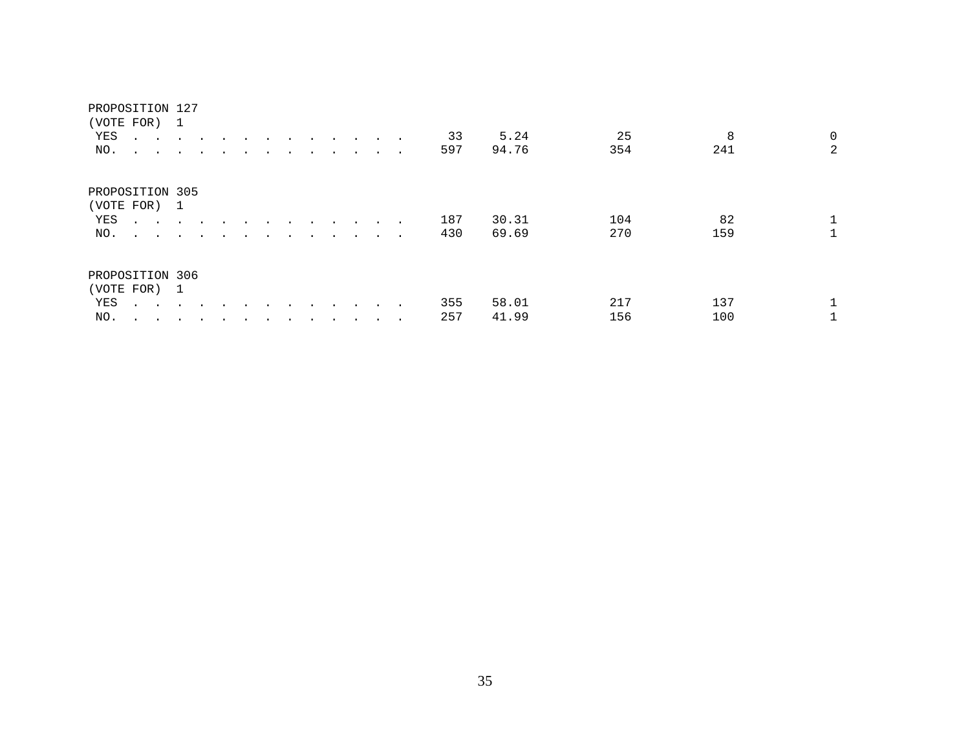### PROPOSITION 127

|                                 | (VOTE FOR) 1                                              |        |                      |                      |  |         |                      |        |                 |        |     |       |     |     |             |
|---------------------------------|-----------------------------------------------------------|--------|----------------------|----------------------|--|---------|----------------------|--------|-----------------|--------|-----|-------|-----|-----|-------------|
| YES                             | $\mathbf{r}$ , and $\mathbf{r}$ , and $\mathbf{r}$        |        | $\sim$               | $\ddot{\phantom{0}}$ |  | $\cdot$ | $\bullet$            | $\sim$ | $\sim$          |        | 33  | 5.24  | 25  | 8   | $\mathbf 0$ |
| NO.                             | $\sim$ $\sim$ $\sim$ $\sim$ $\sim$ $\sim$                 |        | $\ddot{\phantom{a}}$ |                      |  |         | $\ddot{\phantom{a}}$ |        | $\cdot$ $\cdot$ | $\sim$ | 597 | 94.76 | 354 | 241 | 2           |
| PROPOSITION 305<br>(VOTE FOR) 1 |                                                           |        |                      |                      |  |         |                      |        |                 |        |     |       |     |     |             |
| YES                             | $\mathbf{r}$ , $\mathbf{r}$ , $\mathbf{r}$ , $\mathbf{r}$ |        |                      | $\overline{a}$       |  |         | $\cdot$              |        | $\sim$          |        | 187 | 30.31 | 104 | 82  |             |
| NO.                             | and the contract of the                                   |        |                      |                      |  |         | $\bullet$            |        | $\sim$          | $\sim$ | 430 | 69.69 | 270 | 159 |             |
| PROPOSITION 306                 |                                                           |        |                      |                      |  |         |                      |        |                 |        |     |       |     |     |             |
| (VOTE FOR) 1                    |                                                           |        |                      |                      |  |         |                      |        |                 |        |     |       |     |     |             |
| YES                             | $\sim$ $\sim$                                             | $\sim$ |                      |                      |  |         |                      |        |                 |        | 355 | 58.01 | 217 | 137 |             |
| NO.                             |                                                           |        |                      |                      |  |         |                      |        |                 |        | 257 | 41.99 | 156 | 100 |             |
|                                 |                                                           |        |                      |                      |  |         |                      |        |                 |        |     |       |     |     |             |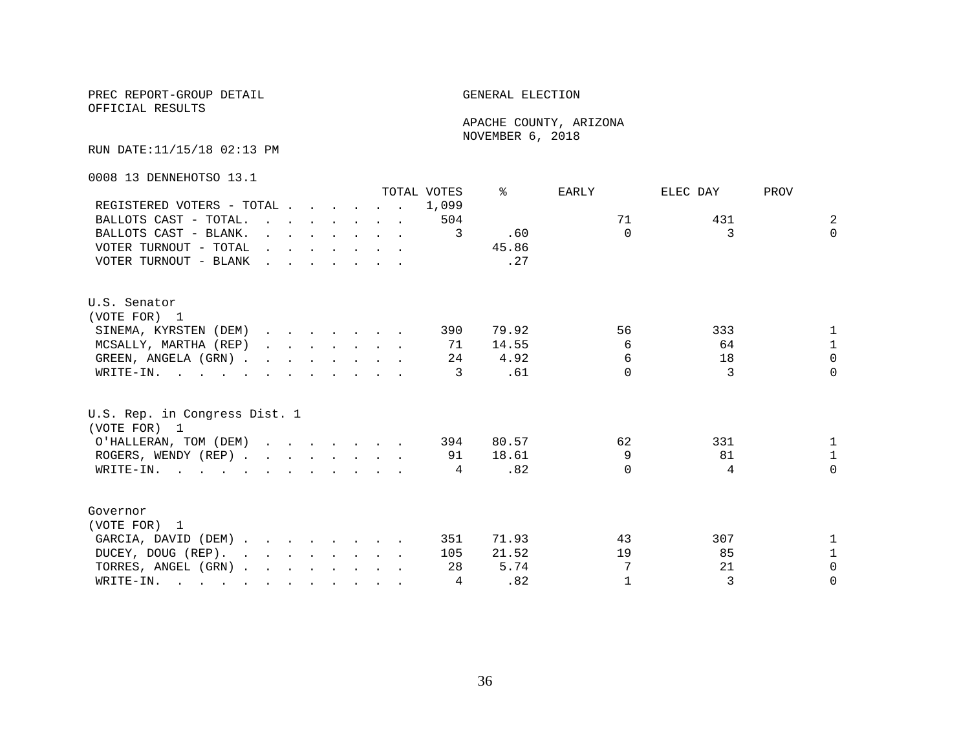OFFICIAL RESULTS

 APACHE COUNTY, ARIZONA NOVEMBER 6, 2018

RUN DATE:11/15/18 02:13 PM

0008 13 DENNEHOTSO 13.1

|                                                                                                                                                                                                                                                 |                                                                                         |  |  | TOTAL VOTES | °≈    | EARLY    | ELEC DAY | PROV         |
|-------------------------------------------------------------------------------------------------------------------------------------------------------------------------------------------------------------------------------------------------|-----------------------------------------------------------------------------------------|--|--|-------------|-------|----------|----------|--------------|
| REGISTERED VOTERS - TOTAL                                                                                                                                                                                                                       |                                                                                         |  |  | 1,099       |       |          |          |              |
| BALLOTS CAST - TOTAL.                                                                                                                                                                                                                           |                                                                                         |  |  | 504         |       | 71       | 431      | 2            |
| BALLOTS CAST - BLANK.                                                                                                                                                                                                                           | $\mathbf{r}$ , $\mathbf{r}$ , $\mathbf{r}$ , $\mathbf{r}$ , $\mathbf{r}$ , $\mathbf{r}$ |  |  | 3           | .60   | $\Omega$ | 3        | $\Omega$     |
| VOTER TURNOUT - TOTAL                                                                                                                                                                                                                           |                                                                                         |  |  |             | 45.86 |          |          |              |
| VOTER TURNOUT - BLANK                                                                                                                                                                                                                           |                                                                                         |  |  |             | .27   |          |          |              |
| U.S. Senator                                                                                                                                                                                                                                    |                                                                                         |  |  |             |       |          |          |              |
| (VOTE FOR) 1                                                                                                                                                                                                                                    |                                                                                         |  |  |             |       |          |          |              |
| SINEMA, KYRSTEN (DEM)                                                                                                                                                                                                                           |                                                                                         |  |  | 390         | 79.92 | 56       | 333      | $\mathbf{1}$ |
| MCSALLY, MARTHA (REP)                                                                                                                                                                                                                           |                                                                                         |  |  | 71          | 14.55 | 6        | 64       | $\mathbf{1}$ |
| GREEN, ANGELA (GRN)                                                                                                                                                                                                                             |                                                                                         |  |  | 24          | 4.92  | 6        | 18       | $\Omega$     |
| WRITE-IN.                                                                                                                                                                                                                                       |                                                                                         |  |  | 3           | .61   | $\cap$   | 3        | $\Omega$     |
| U.S. Rep. in Congress Dist. 1<br>(VOTE FOR) 1                                                                                                                                                                                                   |                                                                                         |  |  |             |       |          |          |              |
| O'HALLERAN, TOM (DEM) 394                                                                                                                                                                                                                       |                                                                                         |  |  |             | 80.57 | 62       | 331      | $\mathbf{1}$ |
| ROGERS, WENDY (REP)                                                                                                                                                                                                                             |                                                                                         |  |  | 91          | 18.61 | 9        | 81       | $\mathbf{1}$ |
| WRITE-IN.                                                                                                                                                                                                                                       |                                                                                         |  |  | 4           | .82   | $\Omega$ | 4        | $\Omega$     |
| Governor                                                                                                                                                                                                                                        |                                                                                         |  |  |             |       |          |          |              |
| (VOTE FOR) 1                                                                                                                                                                                                                                    |                                                                                         |  |  |             |       |          |          |              |
| GARCIA, DAVID (DEM).                                                                                                                                                                                                                            |                                                                                         |  |  | 351         | 71.93 | 43       | 307      | $\mathbf{1}$ |
| DUCEY, DOUG (REP).                                                                                                                                                                                                                              |                                                                                         |  |  | 105         | 21.52 | 19       | 85       | $\mathbf{1}$ |
| TORRES, ANGEL (GRN)                                                                                                                                                                                                                             |                                                                                         |  |  | 28          | 5.74  |          | 21       | $\Omega$     |
| WRITE-IN.<br>$\mathcal{L}$ . The contract of the contract of the contract of the contract of the contract of the contract of the contract of the contract of the contract of the contract of the contract of the contract of the contract of th |                                                                                         |  |  | 4           | .82   | 1        | 3        | $\Omega$     |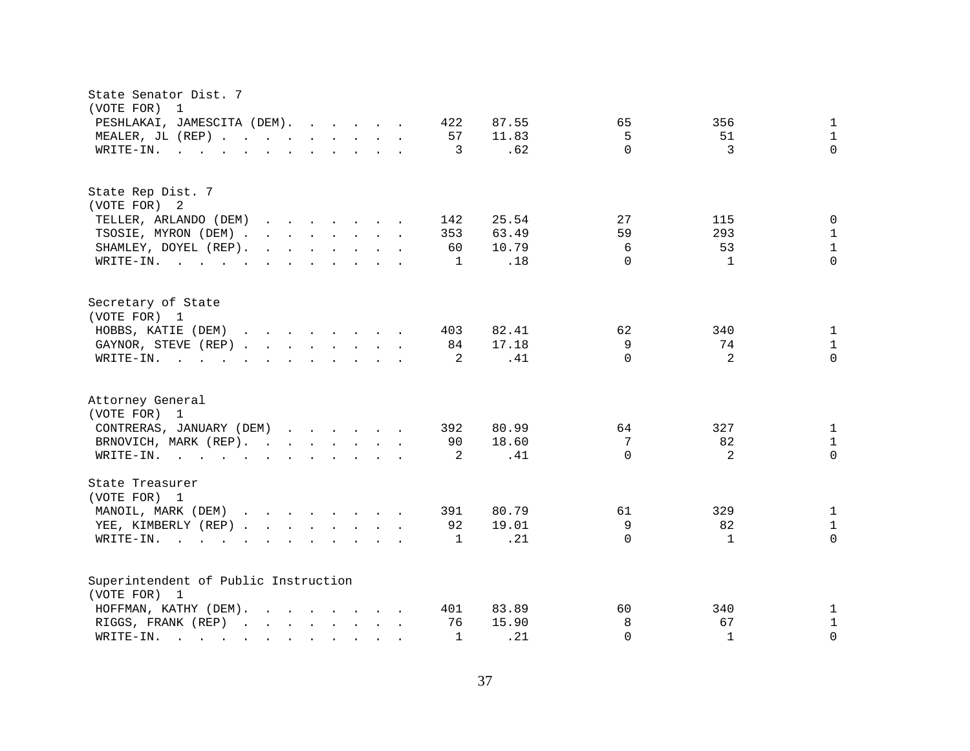| State Senator Dist. 7<br>(VOTE FOR)<br>1                                                                                                                                                                                                                                  |                                               |
|---------------------------------------------------------------------------------------------------------------------------------------------------------------------------------------------------------------------------------------------------------------------------|-----------------------------------------------|
| PESHLAKAI, JAMESCITA (DEM).<br>422<br>87.55                                                                                                                                                                                                                               | $\mathbf{1}$<br>65<br>356                     |
| MEALER, JL (REP)<br>57<br>11.83                                                                                                                                                                                                                                           | 5<br>51<br>$\mathbf{1}$                       |
| $\mathbf{r}$ . The state of the state of the state $\mathbf{r}$<br>3<br>WRITE-IN.                                                                                                                                                                                         | $\Omega$<br>$\Omega$<br>.62<br>3              |
|                                                                                                                                                                                                                                                                           |                                               |
| State Rep Dist. 7                                                                                                                                                                                                                                                         |                                               |
| (VOTE FOR) 2                                                                                                                                                                                                                                                              |                                               |
| 25.54<br>TELLER, ARLANDO (DEM)<br>142                                                                                                                                                                                                                                     | 27<br>$\mathbf 0$<br>115                      |
| TSOSIE, MYRON (DEM)<br>353<br>63.49                                                                                                                                                                                                                                       | 59<br>293<br>$\mathbf{1}$                     |
| SHAMLEY, DOYEL (REP).<br>$\mathbf{r}$ . The contract of the contract of the contract of the contract of the contract of the contract of the contract of the contract of the contract of the contract of the contract of the contract of the contract of th<br>10.79<br>60 | $\mathbf{1}$<br>6<br>53                       |
| WRITE-IN.<br>1                                                                                                                                                                                                                                                            | $\Omega$<br>$\Omega$<br>.18<br>1              |
| Secretary of State                                                                                                                                                                                                                                                        |                                               |
| (VOTE FOR) 1                                                                                                                                                                                                                                                              |                                               |
| HOBBS, KATIE (DEM)<br>82.41<br>403                                                                                                                                                                                                                                        | $\mathbf{1}$<br>62<br>340                     |
| GAYNOR, STEVE (REP)<br>84<br>17.18                                                                                                                                                                                                                                        | 9<br>74<br>$\mathbf{1}$                       |
| 2<br>WRITE-IN.                                                                                                                                                                                                                                                            | $\Omega$<br>$\overline{2}$<br>$\Omega$<br>.41 |
| Attorney General<br>(VOTE FOR) 1                                                                                                                                                                                                                                          |                                               |
| CONTRERAS, JANUARY (DEM)<br>80.99<br>392                                                                                                                                                                                                                                  | 64<br>327<br>$\mathbf{1}$                     |
| BRNOVICH, MARK (REP).<br>18.60<br>90                                                                                                                                                                                                                                      | 7<br>82<br>$\mathbf{1}$                       |
| WRITE-IN.<br>2                                                                                                                                                                                                                                                            | $\Omega$<br>2<br>$\mathbf 0$<br>.41           |
|                                                                                                                                                                                                                                                                           |                                               |
| State Treasurer<br>(VOTE FOR) 1                                                                                                                                                                                                                                           |                                               |
| MANOIL, MARK (DEM)<br>80.79<br>391                                                                                                                                                                                                                                        | $\mathbf{1}$<br>61<br>329                     |
| YEE, KIMBERLY (REP)<br>92<br>19.01                                                                                                                                                                                                                                        | 9<br>82<br>$\mathbf{1}$                       |
| WRITE-IN.<br>1<br>$\mathbf{r}$ , $\mathbf{r}$ , $\mathbf{r}$ , $\mathbf{r}$<br>$\mathbf{r}$ , and $\mathbf{r}$ , and $\mathbf{r}$ , and $\mathbf{r}$                                                                                                                      | $\Omega$<br>$\Omega$<br>.21<br>1              |
|                                                                                                                                                                                                                                                                           |                                               |
| Superintendent of Public Instruction                                                                                                                                                                                                                                      |                                               |
| (VOTE FOR) 1                                                                                                                                                                                                                                                              |                                               |
| HOFFMAN, KATHY (DEM).<br>83.89<br>401                                                                                                                                                                                                                                     | 60<br>340<br>$\mathbf{1}$                     |
| RIGGS, FRANK (REP)<br>76<br>15.90                                                                                                                                                                                                                                         | 8<br>67<br>$\mathbf{1}$                       |
| $\mathbf{1}$<br>WRITE-IN.<br>$\mathbf{r}$ . The set of $\mathbf{r}$<br>$\mathbf{r}$ , $\mathbf{r}$ , $\mathbf{r}$ , $\mathbf{r}$ , $\mathbf{r}$                                                                                                                           | .21<br>$\Omega$<br>$\Omega$<br>$\mathbf{1}$   |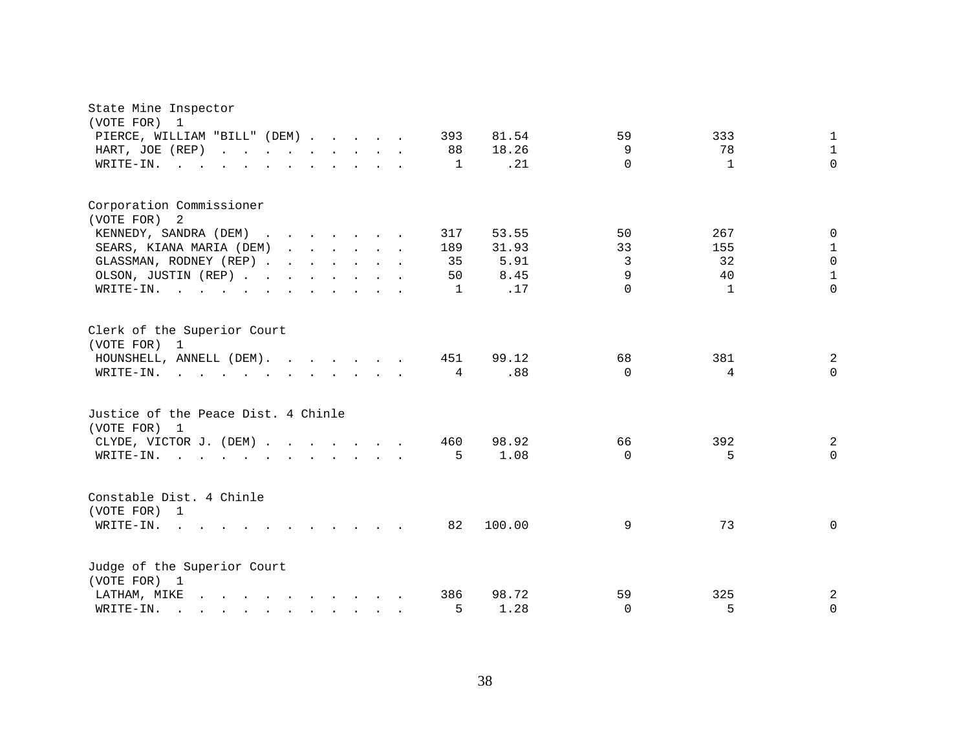| State Mine Inspector<br>(VOTE FOR)<br>1                                                                                                                                                                                                               |                                                                 |
|-------------------------------------------------------------------------------------------------------------------------------------------------------------------------------------------------------------------------------------------------------|-----------------------------------------------------------------|
| PIERCE, WILLIAM "BILL" (DEM)<br>393                                                                                                                                                                                                                   | 81.54<br>59<br>333<br>1                                         |
| HART, JOE (REP)                                                                                                                                                                                                                                       | 18.26<br>9<br>78<br>$\mathbf{1}$<br>88                          |
| WRITE-IN.                                                                                                                                                                                                                                             | $\Omega$<br>.21<br>$\Omega$<br>1<br>$\mathbf{1}$                |
|                                                                                                                                                                                                                                                       |                                                                 |
| Corporation Commissioner<br>(VOTE FOR) 2                                                                                                                                                                                                              |                                                                 |
| KENNEDY, SANDRA (DEM)<br>317                                                                                                                                                                                                                          | 53.55<br>267<br>50<br>$\Omega$                                  |
| SEARS, KIANA MARIA (DEM)<br>189                                                                                                                                                                                                                       | 33<br>$\mathbf{1}$<br>31.93<br>155                              |
| GLASSMAN, RODNEY (REP)                                                                                                                                                                                                                                | $\mathsf 0$<br>5.91<br>3<br>32<br>35                            |
| OLSON, JUSTIN (REP)                                                                                                                                                                                                                                   | $\mathbf{1}$<br>9<br>8.45<br>40<br>50                           |
| WRITE-IN.                                                                                                                                                                                                                                             | $\Omega$<br>$\Omega$<br>.17<br>$\mathbf{1}$<br>1                |
|                                                                                                                                                                                                                                                       |                                                                 |
| Clerk of the Superior Court<br>(VOTE FOR) 1                                                                                                                                                                                                           |                                                                 |
| HOUNSHELL, ANNELL (DEM).                                                                                                                                                                                                                              | 451<br>99.12<br>68<br>381<br>2                                  |
| WRITE-IN.                                                                                                                                                                                                                                             | .88<br>$\Omega$<br>$\overline{4}$<br>$\Omega$<br>$\overline{4}$ |
| Justice of the Peace Dist. 4 Chinle<br>(VOTE FOR) 1                                                                                                                                                                                                   |                                                                 |
| CLYDE, VICTOR J. (DEM)                                                                                                                                                                                                                                | 98.92<br>392<br>2<br>460<br>66                                  |
| WRITE-IN.<br>$\mathcal{L}$ . The contract of the contract of the contract of the contract of the contract of the contract of the contract of the contract of the contract of the contract of the contract of the contract of the contract of th       | 1.08<br>5<br>$\mathbf 0$<br>$\Omega$<br>5.                      |
| Constable Dist. 4 Chinle<br>(VOTE FOR) 1                                                                                                                                                                                                              |                                                                 |
| $WRITE-IN.$ .<br>$\cdots$                                                                                                                                                                                                                             | 100.00<br>73<br>$\mathbf 0$<br>82<br>9                          |
| Judge of the Superior Court<br>(VOTE FOR) 1                                                                                                                                                                                                           |                                                                 |
| and the contract of the contract of the contract of the contract of the contract of the contract of the contract of the contract of the contract of the contract of the contract of the contract of the contract of the contra<br>LATHAM, MIKE<br>386 | 98.72<br>59<br>325<br>2                                         |
| WRITE-IN.<br>$\mathbf{r}$ , $\mathbf{r}$ , $\mathbf{r}$ , $\mathbf{r}$ , $\mathbf{r}$ , $\mathbf{r}$ , $\mathbf{r}$ , $\mathbf{r}$                                                                                                                    | 5<br>5<br>1.28<br>$\Omega$<br>$\mathbf 0$                       |
|                                                                                                                                                                                                                                                       |                                                                 |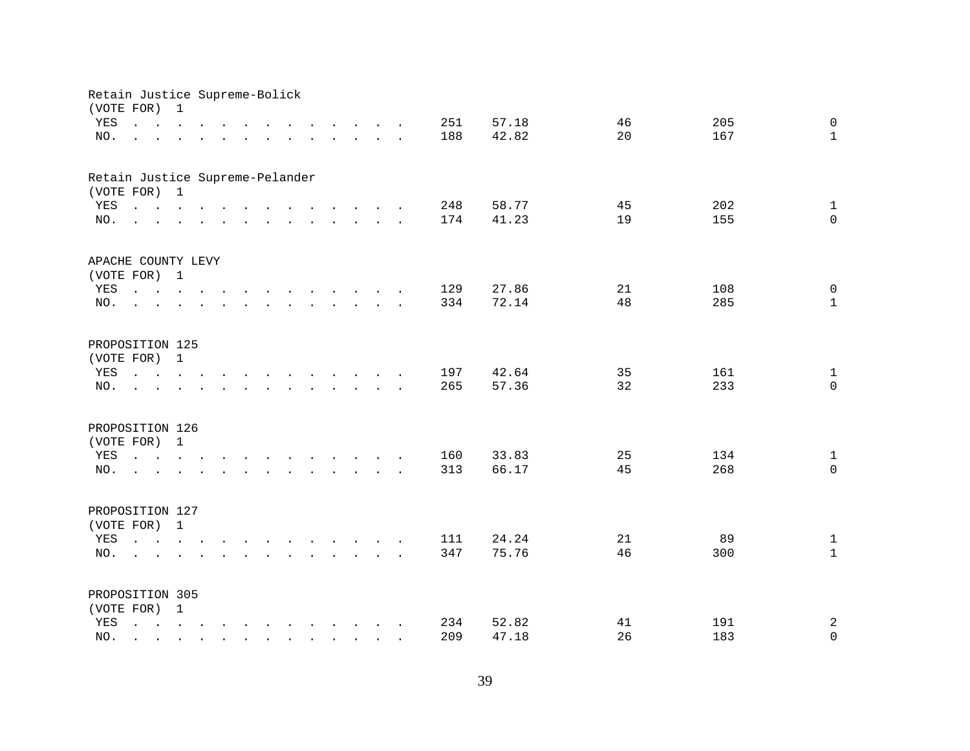| Retain Justice Supreme-Bolick   |                                                                                                                                                                                             |              |  |              |                                                                                                                                                                                                                                |                                        |        |  |            |                |          |            |                                     |
|---------------------------------|---------------------------------------------------------------------------------------------------------------------------------------------------------------------------------------------|--------------|--|--------------|--------------------------------------------------------------------------------------------------------------------------------------------------------------------------------------------------------------------------------|----------------------------------------|--------|--|------------|----------------|----------|------------|-------------------------------------|
| (VOTE FOR)<br>YES<br>NO.        | $\mathbf{r}$ , $\mathbf{r}$ , $\mathbf{r}$ , $\mathbf{r}$ , $\mathbf{r}$<br>and a series of the contract of the contract of the contract of the contract of the contract of the contract of | $\mathbf 1$  |  |              | $\mathbf{r}$ , $\mathbf{r}$ , $\mathbf{r}$ , $\mathbf{r}$ , $\mathbf{r}$ , $\mathbf{r}$                                                                                                                                        |                                        |        |  | 251<br>188 | 57.18<br>42.82 | 46<br>20 | 205<br>167 | $\mathbf 0$<br>$\mathbf{1}$         |
| Retain Justice Supreme-Pelander |                                                                                                                                                                                             |              |  |              |                                                                                                                                                                                                                                |                                        |        |  |            |                |          |            |                                     |
| (VOTE FOR) 1                    |                                                                                                                                                                                             |              |  |              |                                                                                                                                                                                                                                |                                        |        |  |            |                |          |            |                                     |
| YES                             |                                                                                                                                                                                             |              |  |              |                                                                                                                                                                                                                                |                                        |        |  | 248        | 58.77          | 45       | 202        | $\mathbf{1}$                        |
| NO.                             | $\mathbf{r}$ , and $\mathbf{r}$ , and $\mathbf{r}$ , and $\mathbf{r}$ , and $\mathbf{r}$ , and $\mathbf{r}$                                                                                 |              |  |              |                                                                                                                                                                                                                                |                                        |        |  | 174        | 41.23          | 19       | 155        | $\mathbf 0$                         |
| APACHE COUNTY LEVY              |                                                                                                                                                                                             |              |  |              |                                                                                                                                                                                                                                |                                        |        |  |            |                |          |            |                                     |
| (VOTE FOR) 1                    |                                                                                                                                                                                             |              |  |              |                                                                                                                                                                                                                                |                                        |        |  |            |                |          |            |                                     |
| YES                             |                                                                                                                                                                                             |              |  |              |                                                                                                                                                                                                                                |                                        |        |  | 129        | 27.86          | 21       | 108        | $\mathbf 0$                         |
| NO.                             | $\sim$                                                                                                                                                                                      |              |  |              | $\mathbf{r}$ , $\mathbf{r}$ , $\mathbf{r}$ , $\mathbf{r}$ , $\mathbf{r}$ , $\mathbf{r}$                                                                                                                                        |                                        |        |  | 334        | 72.14          | 48       | 285        | $\mathbf{1}$                        |
| PROPOSITION 125                 |                                                                                                                                                                                             |              |  |              |                                                                                                                                                                                                                                |                                        |        |  |            |                |          |            |                                     |
| (VOTE FOR)                      |                                                                                                                                                                                             | $\mathbf{1}$ |  |              |                                                                                                                                                                                                                                |                                        |        |  |            |                |          |            |                                     |
| YES                             | $\mathbf{r} = \mathbf{r} \times \mathbf{r}$ , where $\mathbf{r} = \mathbf{r} \times \mathbf{r}$                                                                                             |              |  | $\sim$       | and the contract of the contract of the contract of the contract of the contract of the contract of the contract of the contract of the contract of the contract of the contract of the contract of the contract of the contra |                                        |        |  | 197        | 42.64          | 35       | 161        | $\mathbf{1}$                        |
| NO.                             |                                                                                                                                                                                             |              |  |              | $\ddot{\phantom{a}}$                                                                                                                                                                                                           | $\mathbf{r}$ . The set of $\mathbf{r}$ | $\sim$ |  | 265        | 57.36          | 32       | 233        | $\mathbf 0$                         |
| PROPOSITION 126                 |                                                                                                                                                                                             |              |  |              |                                                                                                                                                                                                                                |                                        |        |  |            |                |          |            |                                     |
| (VOTE FOR)                      |                                                                                                                                                                                             | $\mathbf{1}$ |  |              |                                                                                                                                                                                                                                |                                        |        |  |            |                |          |            |                                     |
| YES                             |                                                                                                                                                                                             |              |  |              |                                                                                                                                                                                                                                |                                        |        |  | 160        | 33.83          | 25       | 134        | $\mathbf{1}$                        |
| NO.                             | <u>na kama sa sana sa sa sa sa sa sa sa</u>                                                                                                                                                 |              |  |              |                                                                                                                                                                                                                                |                                        |        |  | 313        | 66.17          | 45       | 268        | $\Omega$                            |
| PROPOSITION 127                 |                                                                                                                                                                                             |              |  |              |                                                                                                                                                                                                                                |                                        |        |  |            |                |          |            |                                     |
| (VOTE FOR) 1                    |                                                                                                                                                                                             |              |  |              |                                                                                                                                                                                                                                |                                        |        |  |            |                |          |            |                                     |
| YES                             |                                                                                                                                                                                             |              |  |              |                                                                                                                                                                                                                                |                                        |        |  | 111        | 24.24          | 21       | 89         | $\mathbf{1}$                        |
| NO.                             | $\mathbf{r} = \mathbf{r}$                                                                                                                                                                   |              |  |              |                                                                                                                                                                                                                                |                                        |        |  | 347        | 75.76          | 46       | 300        | $\mathbf{1}$                        |
|                                 |                                                                                                                                                                                             |              |  |              |                                                                                                                                                                                                                                |                                        |        |  |            |                |          |            |                                     |
| PROPOSITION 305                 |                                                                                                                                                                                             |              |  |              |                                                                                                                                                                                                                                |                                        |        |  |            |                |          |            |                                     |
| (VOTE FOR) 1                    |                                                                                                                                                                                             |              |  |              |                                                                                                                                                                                                                                |                                        |        |  |            |                |          |            |                                     |
| YES                             |                                                                                                                                                                                             |              |  |              |                                                                                                                                                                                                                                |                                        |        |  | 234<br>209 | 52.82<br>47.18 | 41<br>26 | 191<br>183 | $\mathbf{2}$<br>$\mathsf{O}\xspace$ |
| NO.                             |                                                                                                                                                                                             |              |  | $\mathbf{r}$ | $\mathbf{r}$ . The set of $\mathbf{r}$                                                                                                                                                                                         |                                        |        |  |            |                |          |            |                                     |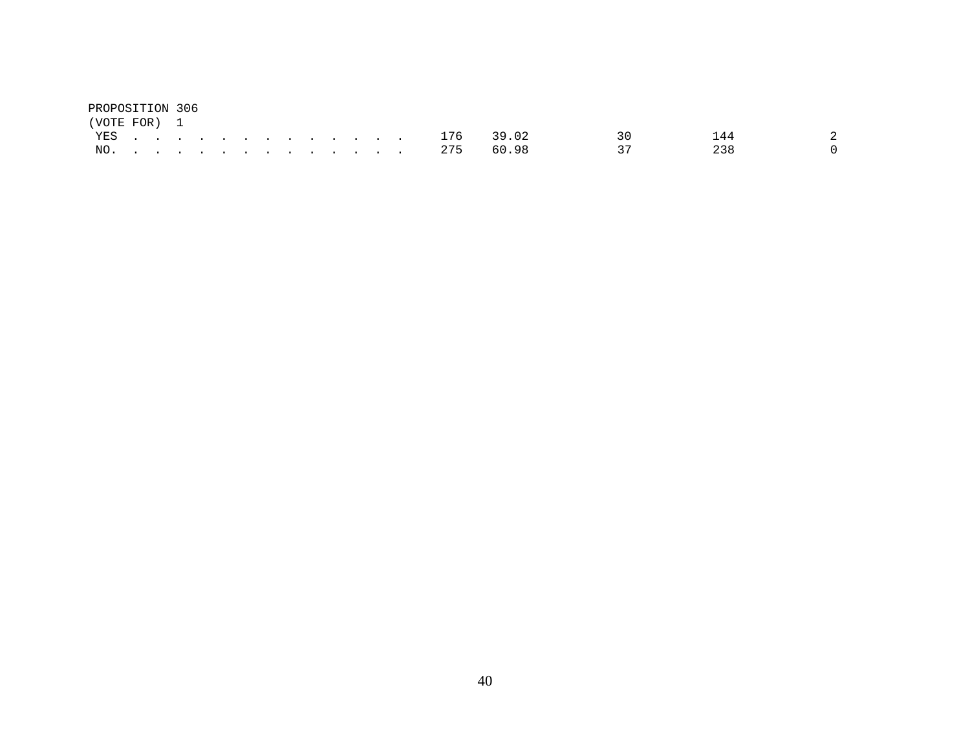| PROPOSITION 306 |  |  |  |  |  |  |               |  |       |     |        |
|-----------------|--|--|--|--|--|--|---------------|--|-------|-----|--------|
| (VOTE FOR) 1    |  |  |  |  |  |  |               |  |       |     |        |
|                 |  |  |  |  |  |  | YES 176 39.02 |  | 3 Q C | 144 |        |
|                 |  |  |  |  |  |  | NO. 275 60.98 |  | - 37  | 238 | $\cap$ |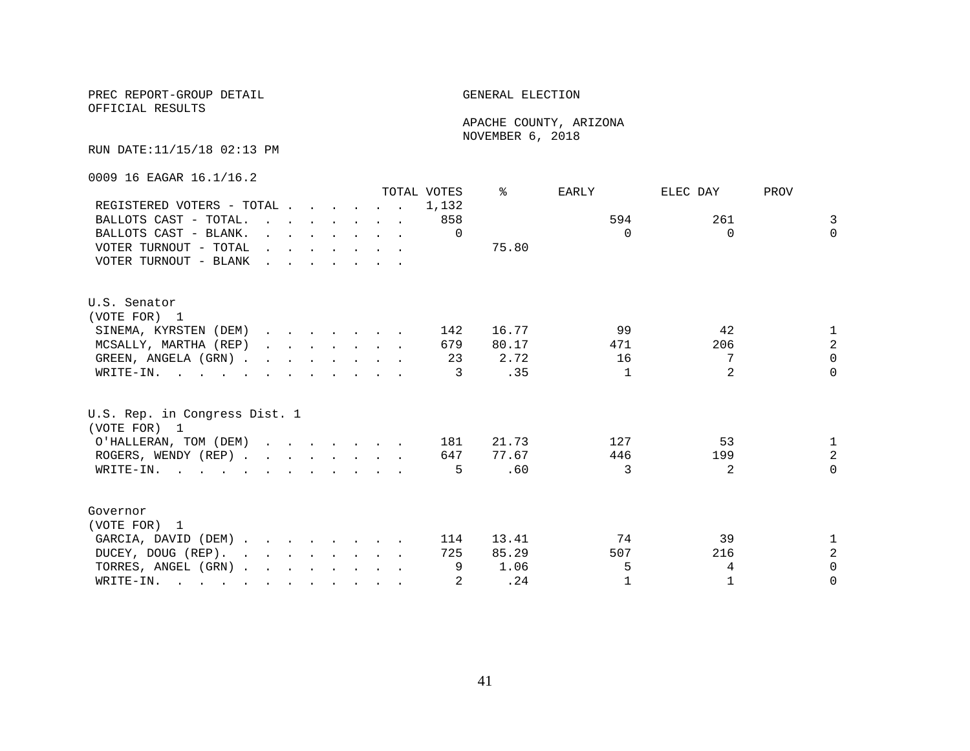OFFICIAL RESULTS

 APACHE COUNTY, ARIZONA NOVEMBER 6, 2018

RUN DATE:11/15/18 02:13 PM

0009 16 EAGAR 16.1/16.2

|                                                                                                                          |                                                                                                                                                                                                                                   |  |  |                                                                                         | TOTAL VOTES | ిన    | EARLY        | ELEC DAY       | PROV           |
|--------------------------------------------------------------------------------------------------------------------------|-----------------------------------------------------------------------------------------------------------------------------------------------------------------------------------------------------------------------------------|--|--|-----------------------------------------------------------------------------------------|-------------|-------|--------------|----------------|----------------|
| REGISTERED VOTERS - TOTAL                                                                                                |                                                                                                                                                                                                                                   |  |  |                                                                                         | 1,132       |       |              |                |                |
| BALLOTS CAST - TOTAL.                                                                                                    | $\mathbf{r}$ , $\mathbf{r}$ , $\mathbf{r}$ , $\mathbf{r}$ , $\mathbf{r}$ , $\mathbf{r}$                                                                                                                                           |  |  |                                                                                         | 858         |       | 594          | 261            | 3              |
| BALLOTS CAST - BLANK.                                                                                                    |                                                                                                                                                                                                                                   |  |  | $\mathbf{r}$ and $\mathbf{r}$ and $\mathbf{r}$ and $\mathbf{r}$ and $\mathbf{r}$        | $\Omega$    |       | $\Omega$     | $\Omega$       | $\Omega$       |
| VOTER TURNOUT - TOTAL                                                                                                    |                                                                                                                                                                                                                                   |  |  | $\mathbf{r}$ , $\mathbf{r}$ , $\mathbf{r}$ , $\mathbf{r}$ , $\mathbf{r}$ , $\mathbf{r}$ |             | 75.80 |              |                |                |
| VOTER TURNOUT - BLANK                                                                                                    | $\mathbf{r}$ . The set of the set of the set of the set of the set of the set of the set of the set of the set of the set of the set of the set of the set of the set of the set of the set of the set of the set of the set of t |  |  |                                                                                         |             |       |              |                |                |
| U.S. Senator                                                                                                             |                                                                                                                                                                                                                                   |  |  |                                                                                         |             |       |              |                |                |
| (VOTE FOR) 1                                                                                                             |                                                                                                                                                                                                                                   |  |  |                                                                                         |             |       |              |                |                |
| SINEMA, KYRSTEN (DEM)                                                                                                    |                                                                                                                                                                                                                                   |  |  |                                                                                         | 142         | 16.77 | 99           | 42             | 1              |
| MCSALLY, MARTHA (REP)                                                                                                    |                                                                                                                                                                                                                                   |  |  |                                                                                         | 679         | 80.17 | 471          | 206            | $\overline{a}$ |
| GREEN, ANGELA (GRN).                                                                                                     |                                                                                                                                                                                                                                   |  |  |                                                                                         | 23          | 2.72  | 16           | 7              | $\Omega$       |
| WRITE-IN.                                                                                                                |                                                                                                                                                                                                                                   |  |  |                                                                                         | 3           | .35   | 1            | $\mathfrak{D}$ | $\Omega$       |
| U.S. Rep. in Congress Dist. 1<br>(VOTE FOR) 1                                                                            |                                                                                                                                                                                                                                   |  |  |                                                                                         |             |       |              |                |                |
| O'HALLERAN, TOM (DEM)                                                                                                    |                                                                                                                                                                                                                                   |  |  |                                                                                         | 181         | 21.73 | 127          | 53             | $\mathbf{1}$   |
| ROGERS, WENDY (REP)                                                                                                      |                                                                                                                                                                                                                                   |  |  |                                                                                         | 647         | 77.67 | 446          | 199            | $\overline{a}$ |
| WRITE-IN.                                                                                                                |                                                                                                                                                                                                                                   |  |  |                                                                                         | 5           | .60   | ζ            | 2              | $\Omega$       |
| Governor                                                                                                                 |                                                                                                                                                                                                                                   |  |  |                                                                                         |             |       |              |                |                |
| (VOTE FOR) 1                                                                                                             |                                                                                                                                                                                                                                   |  |  |                                                                                         |             |       |              |                |                |
| GARCIA, DAVID (DEM)                                                                                                      |                                                                                                                                                                                                                                   |  |  |                                                                                         | 114         | 13.41 | 74           | 39             | 1              |
| DUCEY, DOUG (REP).                                                                                                       |                                                                                                                                                                                                                                   |  |  |                                                                                         | 725         | 85.29 | 507          | 216            | $\overline{a}$ |
| TORRES, ANGEL (GRN)                                                                                                      |                                                                                                                                                                                                                                   |  |  |                                                                                         | 9           | 1.06  | 5            | 4              | $\Omega$       |
| WRITE-IN.<br>$\mathbf{r}$ , and $\mathbf{r}$ , and $\mathbf{r}$ , and $\mathbf{r}$ , and $\mathbf{r}$ , and $\mathbf{r}$ |                                                                                                                                                                                                                                   |  |  |                                                                                         |             | .24   | $\mathbf{1}$ | 1              | $\Omega$       |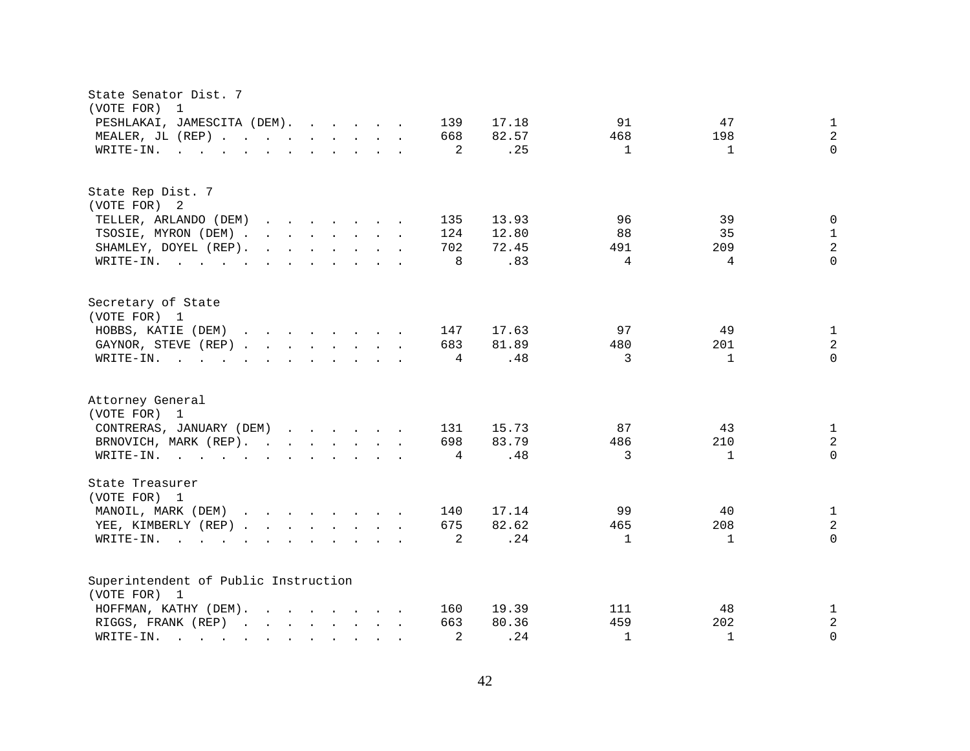| State Senator Dist. 7<br>(VOTE FOR)<br>$\mathbf 1$                                                                                                                                                                                                                         |                                                 |
|----------------------------------------------------------------------------------------------------------------------------------------------------------------------------------------------------------------------------------------------------------------------------|-------------------------------------------------|
| PESHLAKAI, JAMESCITA (DEM).<br>139<br>17.18                                                                                                                                                                                                                                | 47<br>91<br>$\mathbf{1}$                        |
| 82.57<br>MEALER, JL (REP)<br>668                                                                                                                                                                                                                                           | $\sqrt{2}$<br>468<br>198                        |
| 2<br>WRITE-IN.<br>$\mathbf{r}$ , $\mathbf{r}$ , $\mathbf{r}$ , $\mathbf{r}$ , $\mathbf{r}$ , $\mathbf{r}$ , $\mathbf{r}$ , $\mathbf{r}$                                                                                                                                    | $\Omega$<br>.25<br>$\mathbf{1}$<br>$\mathbf{1}$ |
|                                                                                                                                                                                                                                                                            |                                                 |
| State Rep Dist. 7                                                                                                                                                                                                                                                          |                                                 |
| (VOTE FOR) 2                                                                                                                                                                                                                                                               |                                                 |
| TELLER, ARLANDO (DEM)<br>135<br>13.93<br>$\mathbf{r}$ . The set of the set of the set of the set of the set of the set of the set of the set of the set of the set of the set of the set of the set of the set of the set of the set of the set of the set of the set of t | 96<br>39<br>$\mathbf 0$                         |
| 12.80<br>TSOSIE, MYRON (DEM).<br>$\mathbf{r}$ , and $\mathbf{r}$ , and $\mathbf{r}$ , and $\mathbf{r}$<br>124                                                                                                                                                              | 88<br>35<br>$\mathbf{1}$                        |
| 702<br>72.45<br>SHAMLEY, DOYEL (REP).<br>$\mathbf{r}$ . The contract of the contract of the contract of the contract of the contract of the contract of the contract of the contract of the contract of the contract of the contract of the contract of the contract of th | $\overline{a}$<br>491<br>209                    |
| 8<br>WRITE-IN.                                                                                                                                                                                                                                                             | $\Omega$<br>.83<br>4<br>4                       |
| Secretary of State                                                                                                                                                                                                                                                         |                                                 |
| (VOTE FOR) 1                                                                                                                                                                                                                                                               |                                                 |
| HOBBS, KATIE (DEM)<br>17.63<br>$\mathbf{r}$ , and $\mathbf{r}$ , and $\mathbf{r}$ , and $\mathbf{r}$<br>147                                                                                                                                                                | 97<br>49<br>$\mathbf{1}$                        |
| 81.89<br>GAYNOR, STEVE (REP)<br>683                                                                                                                                                                                                                                        | $\sqrt{2}$<br>480<br>201                        |
| WRITE-IN.<br>$\mathbf{r}$ and $\mathbf{r}$ and $\mathbf{r}$ and $\mathbf{r}$ and $\mathbf{r}$ and $\mathbf{r}$<br>4                                                                                                                                                        | 3<br>$\Omega$<br>.48<br>1                       |
| Attorney General<br>(VOTE FOR) 1                                                                                                                                                                                                                                           |                                                 |
| 15.73<br>CONTRERAS, JANUARY (DEM)<br>131                                                                                                                                                                                                                                   | 87<br>43<br>$\mathbf{1}$                        |
| 83.79<br>BRNOVICH, MARK (REP).<br>698                                                                                                                                                                                                                                      | $\sqrt{2}$<br>486<br>210                        |
| WRITE-IN.<br>$\mathbf{r}$ . The contract of the contract of the contract of the contract of the contract of the contract of the contract of the contract of the contract of the contract of the contract of the contract of the contract of th<br>4                        | $\Omega$<br>.48<br>3<br>$\mathbf 1$             |
| State Treasurer<br>(VOTE FOR) 1                                                                                                                                                                                                                                            |                                                 |
|                                                                                                                                                                                                                                                                            | 99<br>40                                        |
| MANOIL, MARK (DEM)<br>17.14<br>140                                                                                                                                                                                                                                         | $\mathbf{1}$                                    |
| 82.62<br>YEE, KIMBERLY (REP)<br>675                                                                                                                                                                                                                                        | $\overline{c}$<br>465<br>208                    |
| 2<br>WRITE-IN.<br>$\sim$ $\sim$<br>$\mathbf{L} = \mathbf{L}$<br>$\mathbf{r}$ , and $\mathbf{r}$ , and $\mathbf{r}$ , and $\mathbf{r}$                                                                                                                                      | .24<br>$\Omega$<br>$\mathbf{1}$<br>1            |
| Superintendent of Public Instruction                                                                                                                                                                                                                                       |                                                 |
| (VOTE FOR) 1                                                                                                                                                                                                                                                               |                                                 |
| 19.39<br>HOFFMAN, KATHY (DEM).<br>$\mathbf{r}$ , $\mathbf{r}$ , $\mathbf{r}$ , $\mathbf{r}$ , $\mathbf{r}$ , $\mathbf{r}$<br>160                                                                                                                                           | 48<br>111<br>$\mathbf{1}$                       |
| 80.36<br>RIGGS, FRANK (REP)<br>663                                                                                                                                                                                                                                         | $\sqrt{2}$<br>459<br>202                        |
| 2<br>WRITE-IN.<br>$\mathbf{r}$ . The set of $\mathbf{r}$<br>$\mathbf{r}$<br>$\sim$<br>$\sim$ $\sim$                                                                                                                                                                        | .24<br>$\Omega$<br>$\mathbf{1}$<br>$\mathbf{1}$ |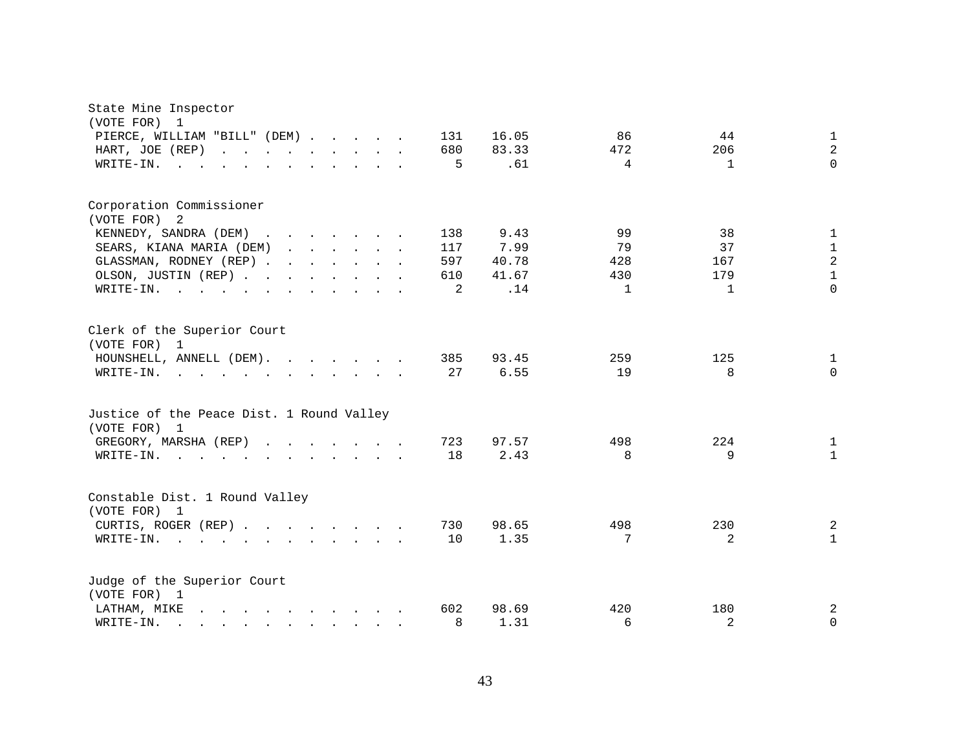| State Mine Inspector<br>(VOTE FOR)<br>1                                                                                                                                                                                                                |              |                              |                |
|--------------------------------------------------------------------------------------------------------------------------------------------------------------------------------------------------------------------------------------------------------|--------------|------------------------------|----------------|
| PIERCE, WILLIAM "BILL" (DEM)                                                                                                                                                                                                                           | 16.05<br>131 | 86<br>44                     | $\mathbf{1}$   |
| HART, JOE (REP)<br>and the contract of the contract of<br>$\mathbf{L}$ $\mathbf{L}$                                                                                                                                                                    | 680<br>83.33 | 472<br>206                   | $\overline{2}$ |
| WRITE-IN.<br>$\sim$ $\sim$<br>$\ddot{\phantom{a}}$                                                                                                                                                                                                     | .61<br>5     | $\overline{4}$<br>1          | $\Omega$       |
|                                                                                                                                                                                                                                                        |              |                              |                |
| Corporation Commissioner                                                                                                                                                                                                                               |              |                              |                |
| (VOTE FOR) 2                                                                                                                                                                                                                                           |              |                              |                |
| KENNEDY, SANDRA (DEM)<br>$\cdots$<br>$\sim$                                                                                                                                                                                                            | 138<br>9.43  | 99<br>38                     | $\mathbf{1}$   |
| SEARS, KIANA MARIA (DEM)<br>$\mathbf{r}$ , $\mathbf{r}$ , $\mathbf{r}$ , $\mathbf{r}$ , $\mathbf{r}$                                                                                                                                                   | 117<br>7.99  | 37<br>79                     | $\mathbf{1}$   |
| GLASSMAN, RODNEY (REP)                                                                                                                                                                                                                                 | 597<br>40.78 | 167<br>428                   | $\sqrt{2}$     |
| OLSON, JUSTIN (REP)                                                                                                                                                                                                                                    | 41.67<br>610 | 430<br>179                   | $\mathbf{1}$   |
| WRITE-IN.<br>$\sim$ $\sim$<br>$\mathbf{L}^{\text{max}}$<br>$\mathbf{r}$ and $\mathbf{r}$ and $\mathbf{r}$<br>$\sim$                                                                                                                                    | 2<br>.14     | $\mathbf{1}$<br>$\mathbf{1}$ | $\Omega$       |
| Clerk of the Superior Court<br>(VOTE FOR) 1                                                                                                                                                                                                            |              |                              |                |
| HOUNSHELL, ANNELL (DEM).                                                                                                                                                                                                                               | 385<br>93.45 | 259<br>125                   | $\mathbf{1}$   |
| WRITE-IN.<br>$\mathbf{r}$ , and $\mathbf{r}$ , and $\mathbf{r}$ , and $\mathbf{r}$ , and $\mathbf{r}$<br>$\mathbf{L}$                                                                                                                                  | 27<br>6.55   | 19<br>8                      | $\Omega$       |
| Justice of the Peace Dist. 1 Round Valley<br>(VOTE FOR) 1                                                                                                                                                                                              |              |                              |                |
| GREGORY, MARSHA (REP)<br>$\mathbf{r}$ , $\mathbf{r}$ , $\mathbf{r}$ , $\mathbf{r}$ , $\mathbf{r}$ , $\mathbf{r}$                                                                                                                                       | 723<br>97.57 | 224<br>498                   | $\mathbf{1}$   |
| WRITE-IN.<br>$\mathbf{a}$ and $\mathbf{a}$ are all the contributions of the contribution of the contribution of the contribution of the contribution of the contribution of the contribution of the contribution of the contribution of the contri     | 18<br>2.43   | 8<br>9                       | $\mathbf{1}$   |
| Constable Dist. 1 Round Valley<br>(VOTE FOR) 1                                                                                                                                                                                                         |              |                              |                |
| CURTIS, ROGER (REP).<br>and the contract of the contract of the contract of the contract of the contract of the contract of the contract of the contract of the contract of the contract of the contract of the contract of the contract of the contra | 730<br>98.65 | 498<br>230                   | 2              |
| WRITE-IN.                                                                                                                                                                                                                                              | 10<br>1.35   | $\overline{2}$<br>7          | $\mathbf{1}$   |
| Judge of the Superior Court<br>(VOTE FOR) 1                                                                                                                                                                                                            |              |                              |                |
| LATHAM, MIKE<br>$\mathbf{r}$ and $\mathbf{r}$ and $\mathbf{r}$ and $\mathbf{r}$ and $\mathbf{r}$ and $\mathbf{r}$                                                                                                                                      | 602<br>98.69 | 420<br>180                   | 2              |
| WRITE-IN.<br>$\mathbf{r}$ , $\mathbf{r}$ , $\mathbf{r}$ , $\mathbf{r}$ , $\mathbf{r}$ , $\mathbf{r}$ , $\mathbf{r}$                                                                                                                                    | 8<br>1.31    | 6<br>2                       | $\mathbf 0$    |
|                                                                                                                                                                                                                                                        |              |                              |                |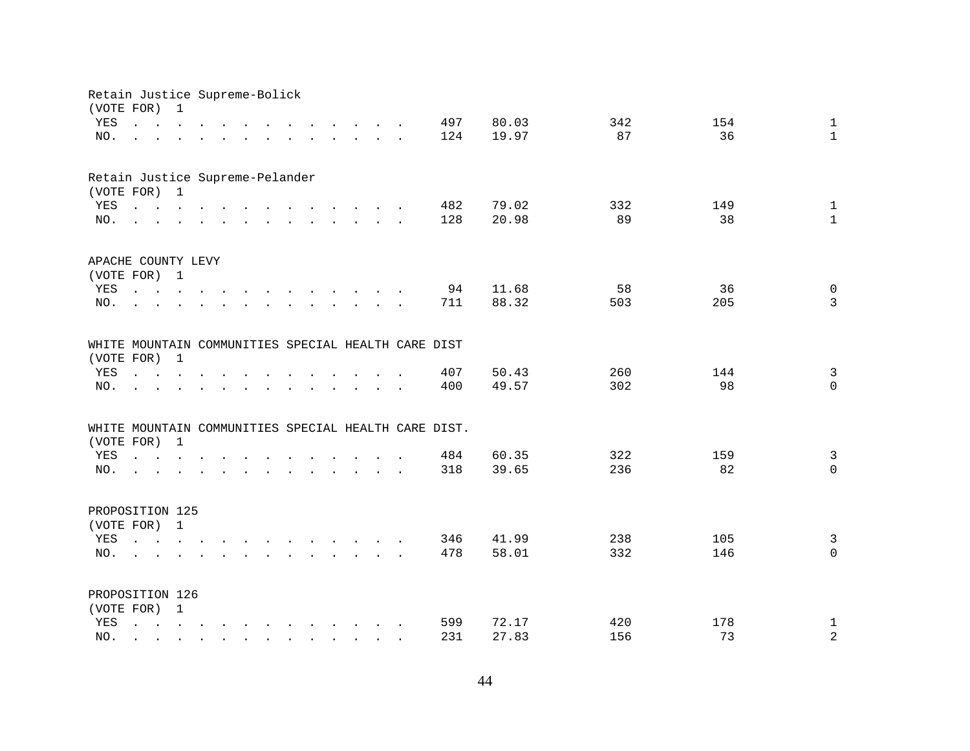| Retain Justice Supreme-Bolick<br>(VOTE FOR) |                                                                                                                                                                                                                                | $\mathbf 1$                                                                                                                           |  |                                                                                                                                       |                      |                                        |        |                                                                                  |  |                                                      |       |     |     |                |
|---------------------------------------------|--------------------------------------------------------------------------------------------------------------------------------------------------------------------------------------------------------------------------------|---------------------------------------------------------------------------------------------------------------------------------------|--|---------------------------------------------------------------------------------------------------------------------------------------|----------------------|----------------------------------------|--------|----------------------------------------------------------------------------------|--|------------------------------------------------------|-------|-----|-----|----------------|
| YES                                         | $\mathbf{r} = \mathbf{r} \cdot \mathbf{r}$ and $\mathbf{r} = \mathbf{r} \cdot \mathbf{r}$                                                                                                                                      |                                                                                                                                       |  |                                                                                                                                       |                      |                                        |        | $\mathbf{r}$ and $\mathbf{r}$ and $\mathbf{r}$ and $\mathbf{r}$ and $\mathbf{r}$ |  | 497                                                  | 80.03 | 342 | 154 | $\mathbf{1}$   |
| NO.                                         | $\mathbf{L} = \mathbf{L} \mathbf{L}$                                                                                                                                                                                           |                                                                                                                                       |  | $\mathbf{r} = \mathbf{r} - \mathbf{r}$ , $\mathbf{r} = \mathbf{r} - \mathbf{r}$ , $\mathbf{r} = \mathbf{r} - \mathbf{r} - \mathbf{r}$ |                      |                                        |        |                                                                                  |  | 124                                                  | 19.97 | 87  | 36  | $\mathbf{1}$   |
|                                             |                                                                                                                                                                                                                                |                                                                                                                                       |  |                                                                                                                                       |                      |                                        |        |                                                                                  |  |                                                      |       |     |     |                |
| Retain Justice Supreme-Pelander             |                                                                                                                                                                                                                                |                                                                                                                                       |  |                                                                                                                                       |                      |                                        |        |                                                                                  |  |                                                      |       |     |     |                |
| (VOTE FOR) 1                                |                                                                                                                                                                                                                                |                                                                                                                                       |  |                                                                                                                                       |                      |                                        |        |                                                                                  |  |                                                      |       |     |     |                |
| YES                                         | $\mathbf{r}$ , and $\mathbf{r}$ , and $\mathbf{r}$ , and $\mathbf{r}$ , and $\mathbf{r}$ , and $\mathbf{r}$                                                                                                                    |                                                                                                                                       |  |                                                                                                                                       |                      |                                        |        |                                                                                  |  | 482                                                  | 79.02 | 332 | 149 | $\mathbf{1}$   |
| NO.                                         | $\mathbf{r}$ , $\mathbf{r}$ , $\mathbf{r}$ , $\mathbf{r}$ , $\mathbf{r}$ , $\mathbf{r}$ , $\mathbf{r}$ , $\mathbf{r}$ , $\mathbf{r}$ , $\mathbf{r}$                                                                            |                                                                                                                                       |  |                                                                                                                                       |                      |                                        |        |                                                                                  |  | 128                                                  | 20.98 | 89  | 38  | $\mathbf{1}$   |
| APACHE COUNTY LEVY                          |                                                                                                                                                                                                                                |                                                                                                                                       |  |                                                                                                                                       |                      |                                        |        |                                                                                  |  |                                                      |       |     |     |                |
| (VOTE FOR) 1                                |                                                                                                                                                                                                                                |                                                                                                                                       |  |                                                                                                                                       |                      |                                        |        |                                                                                  |  |                                                      |       |     |     |                |
| YES                                         | $\mathbf{r}$ , $\mathbf{r}$ , $\mathbf{r}$ , $\mathbf{r}$                                                                                                                                                                      |                                                                                                                                       |  |                                                                                                                                       |                      |                                        |        |                                                                                  |  | 94                                                   | 11.68 | 58  | 36  | $\mathsf 0$    |
| NO.                                         |                                                                                                                                                                                                                                |                                                                                                                                       |  |                                                                                                                                       |                      |                                        |        | $\mathbf{r}$ . The set of the set of $\mathbf{r}$                                |  | 711                                                  | 88.32 | 503 | 205 | 3              |
|                                             |                                                                                                                                                                                                                                |                                                                                                                                       |  |                                                                                                                                       |                      |                                        |        |                                                                                  |  | WHITE MOUNTAIN COMMUNITIES SPECIAL HEALTH CARE DIST  |       |     |     |                |
| (VOTE FOR)                                  |                                                                                                                                                                                                                                | $\mathbf{1}$                                                                                                                          |  |                                                                                                                                       |                      |                                        |        |                                                                                  |  |                                                      |       |     |     |                |
| YES                                         | $\mathbf{r} = \mathbf{r}$ , and $\mathbf{r} = \mathbf{r}$                                                                                                                                                                      |                                                                                                                                       |  |                                                                                                                                       |                      |                                        | $\sim$ | $\ddot{\phantom{a}}$                                                             |  | 407                                                  | 50.43 | 260 | 144 | $\overline{3}$ |
| NO.                                         |                                                                                                                                                                                                                                |                                                                                                                                       |  |                                                                                                                                       | $\ddot{\phantom{a}}$ | $\mathbf{r}$ . The set of $\mathbf{r}$ |        | $\sim$                                                                           |  | 400                                                  | 49.57 | 302 | 98  | $\mathbf{0}$   |
|                                             |                                                                                                                                                                                                                                |                                                                                                                                       |  |                                                                                                                                       |                      |                                        |        |                                                                                  |  | WHITE MOUNTAIN COMMUNITIES SPECIAL HEALTH CARE DIST. |       |     |     |                |
| (VOTE FOR)                                  |                                                                                                                                                                                                                                | $\mathbf{1}$                                                                                                                          |  |                                                                                                                                       |                      |                                        |        |                                                                                  |  |                                                      |       |     |     |                |
| YES                                         | $\mathbf{r} = \mathbf{r} + \mathbf{r} + \mathbf{r} + \mathbf{r} + \mathbf{r} + \mathbf{r}$                                                                                                                                     |                                                                                                                                       |  | $\mathbf{r}$ , $\mathbf{r}$ , $\mathbf{r}$ , $\mathbf{r}$ , $\mathbf{r}$                                                              |                      |                                        |        |                                                                                  |  | 484                                                  | 60.35 | 322 | 159 | $\mathbf{3}$   |
| NO.                                         | and a series of the contract and a series of the contract of the contract of the contract of the contract of the contract of the contract of the contract of the contract of the contract of the contract of the contract of t |                                                                                                                                       |  |                                                                                                                                       |                      |                                        |        |                                                                                  |  | 318                                                  | 39.65 | 236 | 82  | $\Omega$       |
|                                             |                                                                                                                                                                                                                                |                                                                                                                                       |  |                                                                                                                                       |                      |                                        |        |                                                                                  |  |                                                      |       |     |     |                |
| PROPOSITION 125                             |                                                                                                                                                                                                                                |                                                                                                                                       |  |                                                                                                                                       |                      |                                        |        |                                                                                  |  |                                                      |       |     |     |                |
| (VOTE FOR) 1                                |                                                                                                                                                                                                                                |                                                                                                                                       |  |                                                                                                                                       |                      |                                        |        |                                                                                  |  |                                                      |       |     |     |                |
| YES                                         | $\mathbf{r} = \mathbf{r} - \mathbf{r}$ , $\mathbf{r} = \mathbf{r} - \mathbf{r}$ , $\mathbf{r} = \mathbf{r} - \mathbf{r} - \mathbf{r}$                                                                                          |                                                                                                                                       |  |                                                                                                                                       |                      |                                        |        |                                                                                  |  | 346                                                  | 41.99 | 238 | 105 | $\overline{3}$ |
| NO.                                         |                                                                                                                                                                                                                                |                                                                                                                                       |  |                                                                                                                                       |                      |                                        |        |                                                                                  |  | 478                                                  | 58.01 | 332 | 146 | $\Omega$       |
| PROPOSITION 126                             |                                                                                                                                                                                                                                |                                                                                                                                       |  |                                                                                                                                       |                      |                                        |        |                                                                                  |  |                                                      |       |     |     |                |
| (VOTE FOR) 1                                |                                                                                                                                                                                                                                |                                                                                                                                       |  |                                                                                                                                       |                      |                                        |        |                                                                                  |  |                                                      |       |     |     |                |
| YES                                         | $\mathbf{L}$                                                                                                                                                                                                                   | $\mathbf{r} = \mathbf{r} - \mathbf{r}$ , $\mathbf{r} = \mathbf{r} - \mathbf{r}$ , $\mathbf{r} = \mathbf{r} - \mathbf{r} - \mathbf{r}$ |  |                                                                                                                                       |                      |                                        |        |                                                                                  |  | 599                                                  | 72.17 | 420 | 178 | $\mathbf{1}$   |
| NO.                                         |                                                                                                                                                                                                                                |                                                                                                                                       |  | $\sim$                                                                                                                                |                      | $\cdot$                                |        |                                                                                  |  | 231                                                  | 27.83 | 156 | 73  | $\overline{a}$ |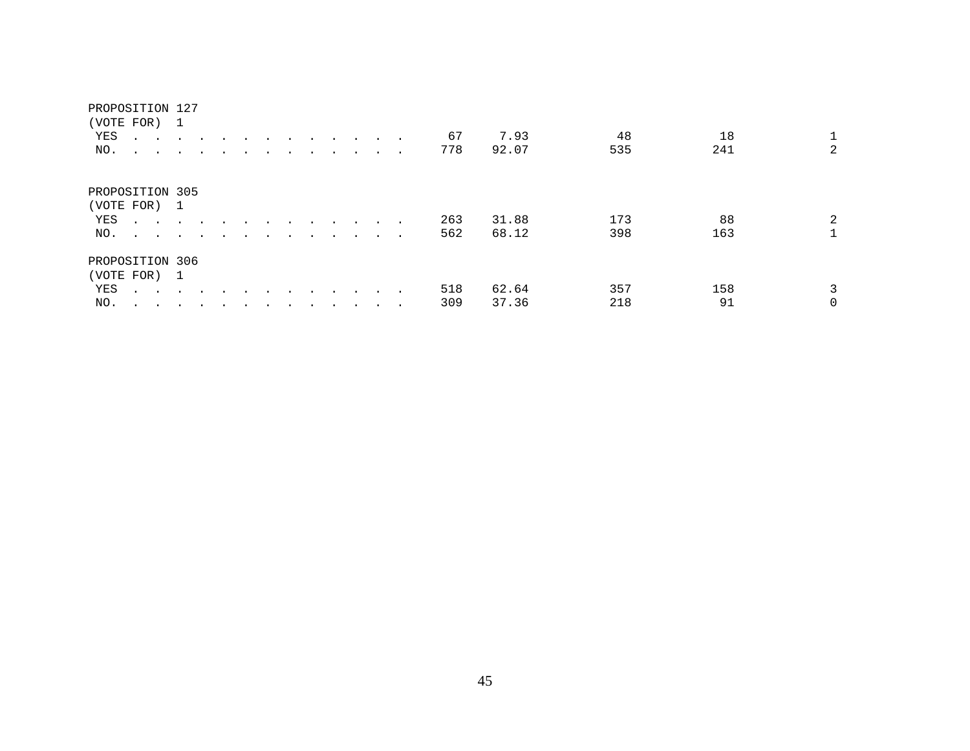### PROPOSITION 127

| (VOTE FOR)      |                                                           |                          |         |                          |  |  |                      |        |        |     |       |     |     |                |
|-----------------|-----------------------------------------------------------|--------------------------|---------|--------------------------|--|--|----------------------|--------|--------|-----|-------|-----|-----|----------------|
| YES             | $\sim$ $\sim$<br>$\ddot{\phantom{1}}$                     |                          |         |                          |  |  | $\ddot{\phantom{0}}$ | $\sim$ |        | 67  | 7.93  | 48  | 18  |                |
| NO.             | $\sim$<br>$\sim$                                          | $\sim$                   | $\cdot$ | $\overline{\phantom{a}}$ |  |  |                      |        |        | 778 | 92.07 | 535 | 241 | $\overline{2}$ |
| PROPOSITION 305 |                                                           |                          |         |                          |  |  |                      |        |        |     |       |     |     |                |
| (VOTE FOR)      |                                                           | $\overline{1}$           |         |                          |  |  |                      |        |        |     |       |     |     |                |
| YES             | $\mathbf{r}$ , $\mathbf{r}$ , $\mathbf{r}$ , $\mathbf{r}$ |                          |         |                          |  |  |                      |        | $\sim$ | 263 | 31.88 | 173 | 88  | $\overline{2}$ |
| NO.             |                                                           |                          |         |                          |  |  |                      |        |        | 562 | 68.12 | 398 | 163 |                |
| PROPOSITION 306 |                                                           |                          |         |                          |  |  |                      |        |        |     |       |     |     |                |
| (VOTE FOR) 1    |                                                           |                          |         |                          |  |  |                      |        |        |     |       |     |     |                |
| YES             | $\mathbf{r}$ , $\mathbf{r}$ , $\mathbf{r}$                |                          | $\cdot$ |                          |  |  |                      |        |        | 518 | 62.64 | 357 | 158 | 3              |
| NO.             | $\sim$<br>$\sim$ $\sim$                                   | $\overline{\phantom{a}}$ |         |                          |  |  |                      |        | $\sim$ | 309 | 37.36 | 218 | 91  | 0              |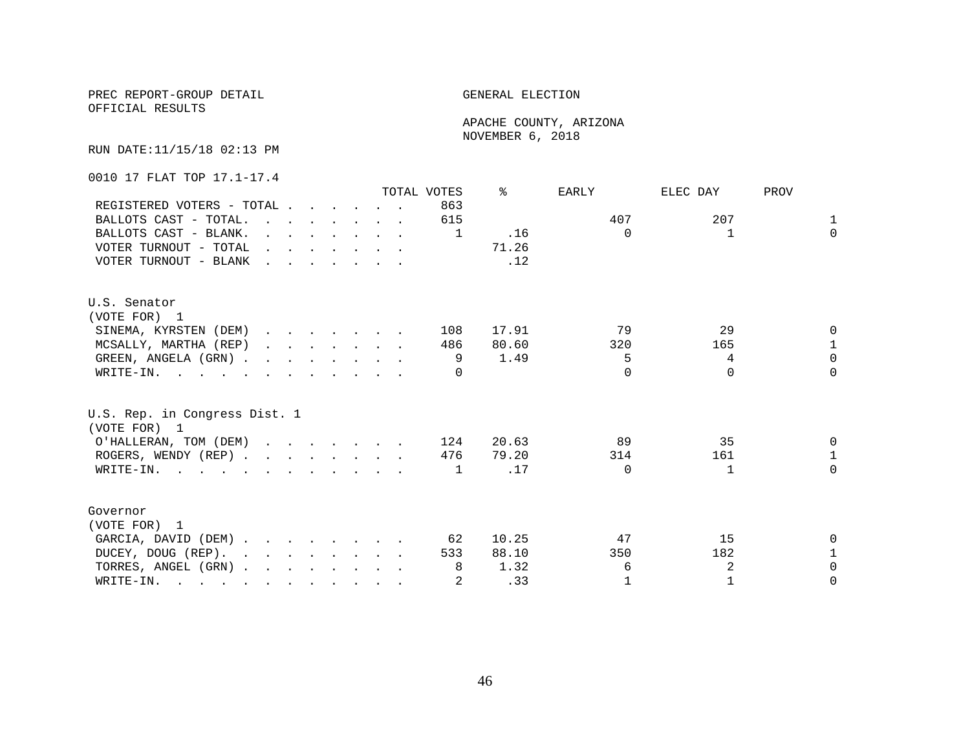OFFICIAL RESULTS

 APACHE COUNTY, ARIZONA NOVEMBER 6, 2018

RUN DATE:11/15/18 02:13 PM

0010 17 FLAT TOP 17.1-17.4

|                                                                                                       |                                                                                                                                                                                                                                   |  |                                                                          |  | TOTAL VOTES | °≈    | EARLY        | ELEC DAY     | PROV         |
|-------------------------------------------------------------------------------------------------------|-----------------------------------------------------------------------------------------------------------------------------------------------------------------------------------------------------------------------------------|--|--------------------------------------------------------------------------|--|-------------|-------|--------------|--------------|--------------|
| REGISTERED VOTERS - TOTAL                                                                             |                                                                                                                                                                                                                                   |  |                                                                          |  | 863         |       |              |              |              |
| BALLOTS CAST - TOTAL.                                                                                 |                                                                                                                                                                                                                                   |  |                                                                          |  | 615         |       | 407          | 207          | $\mathbf{1}$ |
| BALLOTS CAST - BLANK.                                                                                 |                                                                                                                                                                                                                                   |  | $\mathbf{r}$ , $\mathbf{r}$ , $\mathbf{r}$ , $\mathbf{r}$ , $\mathbf{r}$ |  | 1           | .16   | $\Omega$     |              | $\Omega$     |
| VOTER TURNOUT - TOTAL                                                                                 | $\mathbf{r}$ . The contract of the contract of the contract of the contract of the contract of the contract of the contract of the contract of the contract of the contract of the contract of the contract of the contract of th |  |                                                                          |  |             | 71.26 |              |              |              |
| VOTER TURNOUT - BLANK                                                                                 |                                                                                                                                                                                                                                   |  |                                                                          |  |             | .12   |              |              |              |
| U.S. Senator                                                                                          |                                                                                                                                                                                                                                   |  |                                                                          |  |             |       |              |              |              |
| (VOTE FOR) 1                                                                                          |                                                                                                                                                                                                                                   |  |                                                                          |  |             |       |              |              |              |
| SINEMA, KYRSTEN (DEM)                                                                                 |                                                                                                                                                                                                                                   |  |                                                                          |  | 108         | 17.91 | 79           | 29           | <sup>n</sup> |
| MCSALLY, MARTHA (REP)                                                                                 |                                                                                                                                                                                                                                   |  |                                                                          |  | 486         | 80.60 | 320          | 165          | $\mathbf{1}$ |
| GREEN, ANGELA (GRN)                                                                                   |                                                                                                                                                                                                                                   |  |                                                                          |  | 9           | 1.49  | 5            | 4            | $\Omega$     |
| WRITE-IN. $\cdot$ , $\cdot$ , $\cdot$ , $\cdot$ , $\cdot$ , $\cdot$ , $\cdot$                         |                                                                                                                                                                                                                                   |  |                                                                          |  |             |       | $\cap$       | $\Omega$     | $\Omega$     |
| U.S. Rep. in Congress Dist. 1<br>(VOTE FOR) 1                                                         |                                                                                                                                                                                                                                   |  |                                                                          |  |             |       |              |              |              |
| O'HALLERAN, TOM (DEM)                                                                                 |                                                                                                                                                                                                                                   |  |                                                                          |  | 124         | 20.63 | 89           | 35           | $\Omega$     |
| ROGERS, WENDY (REP)                                                                                   |                                                                                                                                                                                                                                   |  |                                                                          |  | 476         | 79.20 | 314          | 161          | $\mathbf{1}$ |
| $\texttt{WRTTE-IN.}$                                                                                  |                                                                                                                                                                                                                                   |  |                                                                          |  | 1           | .17   | $\Omega$     | $\mathbf{1}$ | $\Omega$     |
| Governor                                                                                              |                                                                                                                                                                                                                                   |  |                                                                          |  |             |       |              |              |              |
| (VOTE FOR) 1                                                                                          |                                                                                                                                                                                                                                   |  |                                                                          |  |             |       |              |              |              |
| GARCIA, DAVID (DEM)                                                                                   |                                                                                                                                                                                                                                   |  |                                                                          |  | 62          | 10.25 | 47           | 15           | $\Omega$     |
| DUCEY, DOUG (REP).                                                                                    |                                                                                                                                                                                                                                   |  |                                                                          |  | 533         | 88.10 | 350          | 182          | 1            |
| TORRES, ANGEL (GRN)                                                                                   |                                                                                                                                                                                                                                   |  |                                                                          |  | 8           | 1.32  | 6            | 2            | $\Omega$     |
| WRITE-IN.<br>$\mathbf{r}$ , and $\mathbf{r}$ , and $\mathbf{r}$ , and $\mathbf{r}$ , and $\mathbf{r}$ |                                                                                                                                                                                                                                   |  |                                                                          |  |             | .33   | $\mathbf{1}$ |              | $\Omega$     |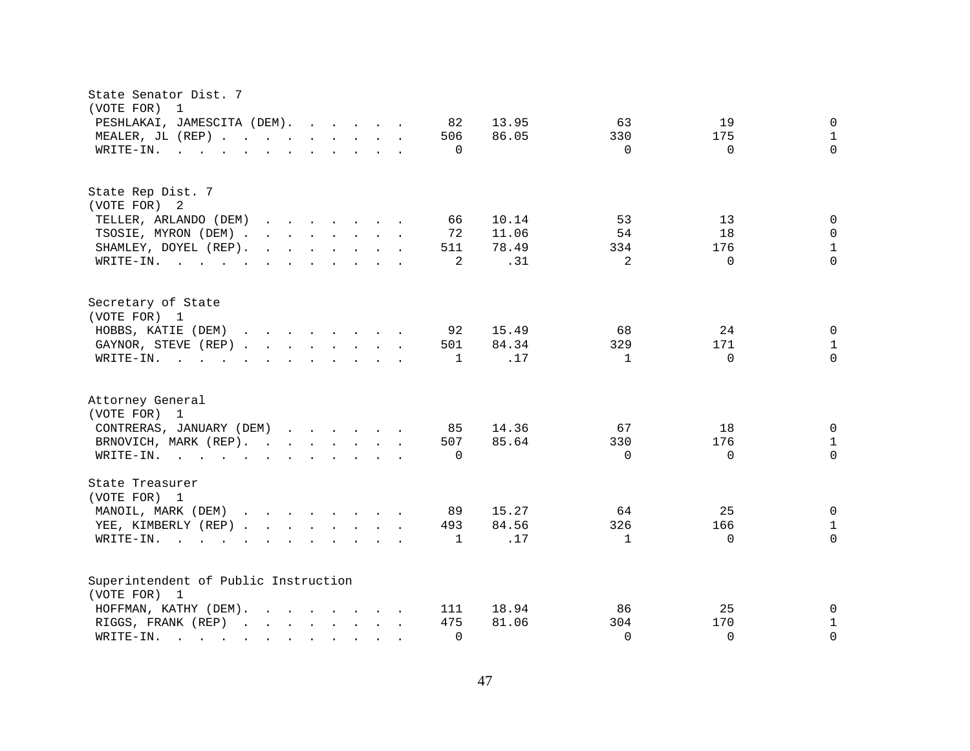| State Senator Dist. 7<br>(VOTE FOR)<br>1                                                                                                                                                                                                                          |                                                                                                   |
|-------------------------------------------------------------------------------------------------------------------------------------------------------------------------------------------------------------------------------------------------------------------|---------------------------------------------------------------------------------------------------|
| PESHLAKAI, JAMESCITA (DEM).<br>82<br>MEALER, JL (REP)<br>506<br>WRITE-IN.<br>0                                                                                                                                                                                    | 13.95<br>63<br>19<br>0<br>86.05<br>330<br>175<br>$\mathbf{1}$<br>$\Omega$<br>$\Omega$<br>$\Omega$ |
| $\mathbf{r}$ , and $\mathbf{r}$ , and $\mathbf{r}$ , and $\mathbf{r}$ , and $\mathbf{r}$                                                                                                                                                                          |                                                                                                   |
| State Rep Dist. 7<br>(VOTE FOR) 2                                                                                                                                                                                                                                 |                                                                                                   |
| TELLER, ARLANDO (DEM)<br>$\mathbf{r}$ . The contract of the contract of the contract of the contract of the contract of the contract of the contract of the contract of the contract of the contract of the contract of the contract of the contract of th<br>66  | 10.14<br>53<br>13<br>$\Omega$                                                                     |
| TSOSIE, MYRON (DEM) .<br>$\mathbf{r}$ , $\mathbf{r}$ , $\mathbf{r}$ , $\mathbf{r}$ , $\mathbf{r}$ , $\mathbf{r}$<br>72                                                                                                                                            | 11.06<br>54<br>18<br>$\Omega$                                                                     |
| $\mathbf{r}$ . The set of the set of the set of the set of the set of the set of the set of the set of the set of the set of the set of the set of the set of the set of the set of the set of the set of the set of the set of t<br>511<br>SHAMLEY, DOYEL (REP). | 78.49<br>176<br>$\mathbf{1}$<br>334                                                               |
| $\overline{2}$<br>WRITE-IN.                                                                                                                                                                                                                                       | $\Omega$<br>.31<br>2<br>$\Omega$                                                                  |
| Secretary of State<br>(VOTE FOR) 1                                                                                                                                                                                                                                |                                                                                                   |
| HOBBS, KATIE (DEM)<br>$\mathbf{r}$ . The set of the set of the set of the set of the set of the set of the set of the set of the set of the set of the set of the set of the set of the set of the set of the set of the set of the set of the set of t<br>92     | 15.49<br>68<br>24<br>$\Omega$                                                                     |
| GAYNOR, STEVE (REP)<br>501                                                                                                                                                                                                                                        | 84.34<br>329<br>171<br>$\mathbf{1}$                                                               |
| WRITE-IN.<br>$\mathbf{1}$<br>$\mathbf{r}$ , $\mathbf{r}$ , $\mathbf{r}$ , $\mathbf{r}$ , $\mathbf{r}$ , $\mathbf{r}$ , $\mathbf{r}$ , $\mathbf{r}$                                                                                                                | $\Omega$<br>.17<br>$\Omega$<br>$\mathbf{1}$                                                       |
| Attorney General                                                                                                                                                                                                                                                  |                                                                                                   |
| (VOTE FOR) 1                                                                                                                                                                                                                                                      |                                                                                                   |
| CONTRERAS, JANUARY (DEM)<br>85                                                                                                                                                                                                                                    | 14.36<br>67<br>18<br>0                                                                            |
| BRNOVICH, MARK (REP).<br>507                                                                                                                                                                                                                                      | 85.64<br>330<br>176<br>$\mathbf{1}$                                                               |
| WRITE-IN.<br>$\Omega$                                                                                                                                                                                                                                             | $\Omega$<br>$\Omega$<br>$\Omega$                                                                  |
| State Treasurer<br>(VOTE FOR) 1                                                                                                                                                                                                                                   |                                                                                                   |
| MANOIL, MARK (DEM)<br>89                                                                                                                                                                                                                                          | 15.27<br>64<br>25<br>0                                                                            |
| YEE, KIMBERLY (REP)<br>493                                                                                                                                                                                                                                        | 84.56<br>326<br>166<br>$\mathbf 1$                                                                |
| WRITE-IN.<br>$\mathbf{1}$<br>$\mathbf{r}$ , and $\mathbf{r}$ , and $\mathbf{r}$ , and $\mathbf{r}$ , and $\mathbf{r}$                                                                                                                                             | $\Omega$<br>.17<br>$\mathbf{1}$<br>$\Omega$                                                       |
| Superintendent of Public Instruction                                                                                                                                                                                                                              |                                                                                                   |
| (VOTE FOR) 1                                                                                                                                                                                                                                                      |                                                                                                   |
| HOFFMAN, KATHY (DEM).<br>$\mathbf{r}$ , and $\mathbf{r}$ , and $\mathbf{r}$ , and $\mathbf{r}$<br>111                                                                                                                                                             | 18.94<br>25<br>86<br>0                                                                            |
| RIGGS, FRANK (REP)<br>475                                                                                                                                                                                                                                         | 81.06<br>304<br>170<br>1<br>$\Omega$<br>$\Omega$<br>$\Omega$                                      |
| $\mathbf 0$<br>WRITE-IN.                                                                                                                                                                                                                                          |                                                                                                   |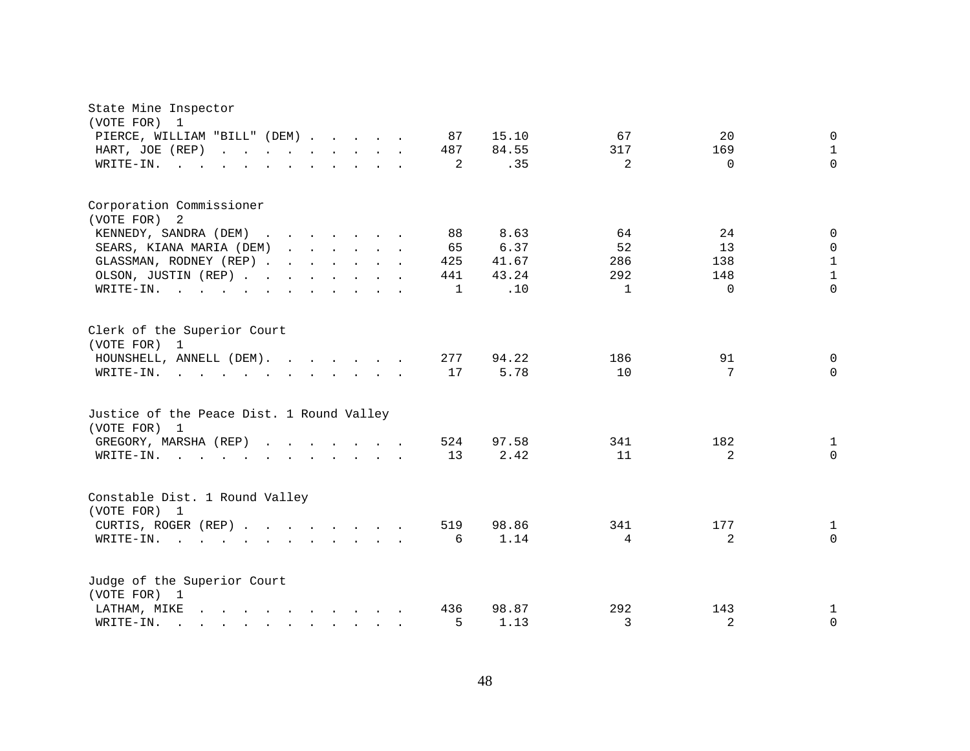| State Mine Inspector<br>(VOTE FOR)<br>1                                                                                                                                                                                                                             |                                                                          |
|---------------------------------------------------------------------------------------------------------------------------------------------------------------------------------------------------------------------------------------------------------------------|--------------------------------------------------------------------------|
| 87<br>PIERCE, WILLIAM "BILL" (DEM)                                                                                                                                                                                                                                  | 15.10<br>67<br>20<br>$\mathbf 0$                                         |
| HART, JOE (REP)<br>487<br>and the contract of the contract of the                                                                                                                                                                                                   | $\mathbf{1}$<br>84.55<br>317<br>169                                      |
| WRITE-IN.<br>$\sim$ $\sim$                                                                                                                                                                                                                                          | $\Omega$<br>.35<br>$\overline{2}$<br>2<br>$\Omega$                       |
| $\ddot{\phantom{a}}$<br>$\sim$ $\sim$ $\sim$ $\sim$ $\sim$                                                                                                                                                                                                          |                                                                          |
| Corporation Commissioner                                                                                                                                                                                                                                            |                                                                          |
| (VOTE FOR) 2                                                                                                                                                                                                                                                        |                                                                          |
| KENNEDY, SANDRA (DEM)<br>88<br>$\mathbf{r}$ , $\mathbf{r}$ , $\mathbf{r}$ , $\mathbf{r}$ , $\mathbf{r}$ , $\mathbf{r}$<br>$\sim$                                                                                                                                    | 24<br>8.63<br>64<br>$\mathbf 0$                                          |
| SEARS, KIANA MARIA (DEM)<br>65<br>$\mathbf{r}$ . The set of the set of the set of the set of the set of the set of the set of the set of the set of the set of the set of the set of the set of the set of the set of the set of the set of the set of the set of t | 52<br>13<br>6.37<br>$\mathbf 0$                                          |
| GLASSMAN, RODNEY (REP)<br>425                                                                                                                                                                                                                                       | $\mathbf 1$<br>41.67<br>286<br>138                                       |
| OLSON, JUSTIN (REP)<br>441                                                                                                                                                                                                                                          | $\mathbf{1}$<br>43.24<br>292<br>148                                      |
| WRITE-IN.<br>$\sim$ $\sim$<br>$\mathbf{L} = \mathbf{L} \mathbf{L} + \mathbf{L} \mathbf{L}$<br>$\mathbf{L}$<br>$\sim$                                                                                                                                                | .10<br>$\Omega$<br>$\mathbf{1}$<br>$\Omega$<br>$\mathbf{1}$              |
| Clerk of the Superior Court<br>(VOTE FOR) 1<br>HOUNSHELL, ANNELL (DEM).<br>277<br>17<br>WRITE-IN.<br>$\mathbf{r}$ , $\mathbf{r}$ , $\mathbf{r}$ , $\mathbf{r}$ , $\mathbf{r}$ , $\mathbf{r}$ , $\mathbf{r}$ , $\mathbf{r}$                                          | 94.22<br>186<br>91<br>$\mathbf{0}$<br>10<br>5.78<br>7<br>$\Omega$        |
| Justice of the Peace Dist. 1 Round Valley<br>(VOTE FOR) 1                                                                                                                                                                                                           |                                                                          |
| 524<br>GREGORY, MARSHA (REP)                                                                                                                                                                                                                                        | 97.58<br>182<br>341<br>1                                                 |
| WRITE-IN.<br>13<br>$\mathbf{r} = \mathbf{r} - \mathbf{r}$ , and $\mathbf{r} = \mathbf{r} - \mathbf{r}$ , and $\mathbf{r} = \mathbf{r} - \mathbf{r}$                                                                                                                 | $\Omega$<br>2.42<br>11<br>2                                              |
| Constable Dist. 1 Round Valley<br>(VOTE FOR) 1<br>519<br>CURTIS, ROGER (REP)<br>WRITE-IN.<br>$\mathbf{r}$ , $\mathbf{r}$ , $\mathbf{r}$ , $\mathbf{r}$                                                                                                              | 98.86<br>341<br>177<br>1<br>$\overline{a}$<br>$\Omega$<br>1.14<br>4<br>6 |
| Judge of the Superior Court<br>(VOTE FOR) 1                                                                                                                                                                                                                         |                                                                          |
| LATHAM, MIKE<br>436<br>$\mathbf{r}$ , and $\mathbf{r}$ , and $\mathbf{r}$ , and $\mathbf{r}$                                                                                                                                                                        | 292<br>98.87<br>143<br>1                                                 |
| WRITE-IN.<br>$\mathbf{r}$ , and $\mathbf{r}$ , and $\mathbf{r}$ , and $\mathbf{r}$                                                                                                                                                                                  | 2<br>5<br>3<br>0<br>1.13                                                 |
|                                                                                                                                                                                                                                                                     |                                                                          |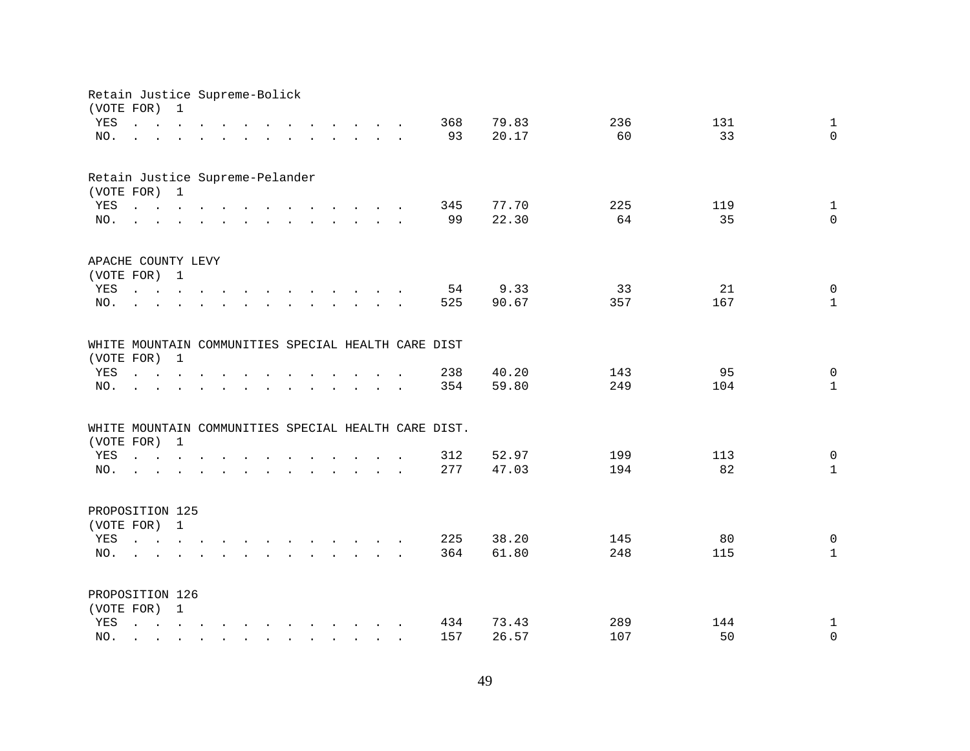| (VOTE FOR) | Retain Justice Supreme-Bolick                                                                                   | 1                    |                                        |                           |                      |                                                                                                                                                                                                                                   |                                                           |                                                                       |  |                                                      |       |     |     |                     |
|------------|-----------------------------------------------------------------------------------------------------------------|----------------------|----------------------------------------|---------------------------|----------------------|-----------------------------------------------------------------------------------------------------------------------------------------------------------------------------------------------------------------------------------|-----------------------------------------------------------|-----------------------------------------------------------------------|--|------------------------------------------------------|-------|-----|-----|---------------------|
| YES        | $\ddot{\phantom{0}}$                                                                                            | $\sim$ $\sim$        | $\mathbf{r}$ . The set of $\mathbf{r}$ |                           |                      |                                                                                                                                                                                                                                   |                                                           | $\cdot$ $\cdot$ $\cdot$ $\cdot$ $\cdot$ $\cdot$                       |  | 368                                                  | 79.83 | 236 |     | 131<br>$\mathbf{1}$ |
| NO.        |                                                                                                                 | $\ddot{\phantom{a}}$ |                                        | $\mathbf{L}$              | $\ddot{\phantom{0}}$ | $\sim$                                                                                                                                                                                                                            |                                                           | $\mathbf{r}$ , and $\mathbf{r}$ , and $\mathbf{r}$ , and $\mathbf{r}$ |  | 93                                                   | 20.17 | 60  |     | 33<br>$\mathbf 0$   |
|            |                                                                                                                 |                      |                                        |                           |                      |                                                                                                                                                                                                                                   |                                                           |                                                                       |  |                                                      |       |     |     |                     |
|            | Retain Justice Supreme-Pelander                                                                                 |                      |                                        |                           |                      |                                                                                                                                                                                                                                   |                                                           |                                                                       |  |                                                      |       |     |     |                     |
|            | (VOTE FOR) 1                                                                                                    |                      |                                        |                           |                      |                                                                                                                                                                                                                                   |                                                           |                                                                       |  |                                                      |       |     |     |                     |
| YES        | $\mathbf{r}$ , and $\mathbf{r}$ , and $\mathbf{r}$ , and $\mathbf{r}$ , and $\mathbf{r}$ , and $\mathbf{r}$     |                      |                                        |                           |                      |                                                                                                                                                                                                                                   |                                                           |                                                                       |  | 345                                                  | 77.70 | 225 |     | 119<br>$\mathbf{1}$ |
| NO.        | $\mathbf{r}$ , and $\mathbf{r}$ , and $\mathbf{r}$ , and $\mathbf{r}$ , and $\mathbf{r}$ , and $\mathbf{r}$     |                      |                                        |                           |                      |                                                                                                                                                                                                                                   |                                                           |                                                                       |  | 99                                                   | 22.30 | 64  |     | 35<br>$\Omega$      |
|            | APACHE COUNTY LEVY                                                                                              |                      |                                        |                           |                      |                                                                                                                                                                                                                                   |                                                           |                                                                       |  |                                                      |       |     |     |                     |
|            | (VOTE FOR) 1                                                                                                    |                      |                                        |                           |                      |                                                                                                                                                                                                                                   |                                                           |                                                                       |  |                                                      |       |     |     |                     |
| YES        |                                                                                                                 |                      |                                        |                           |                      |                                                                                                                                                                                                                                   |                                                           |                                                                       |  | 54                                                   | 9.33  | 33  |     | 21<br>$\mathbf 0$   |
| NO.        | $\Delta \sim 10^{-11}$                                                                                          |                      |                                        | $\mathbf{r} = \mathbf{r}$ |                      | $\mathbf{r}$ . The contract of the contract of the contract of the contract of the contract of the contract of the contract of the contract of the contract of the contract of the contract of the contract of the contract of th |                                                           |                                                                       |  | 525                                                  | 90.67 | 357 |     | 167<br>$\mathbf{1}$ |
|            |                                                                                                                 |                      |                                        |                           |                      |                                                                                                                                                                                                                                   |                                                           |                                                                       |  | WHITE MOUNTAIN COMMUNITIES SPECIAL HEALTH CARE DIST  |       |     |     |                     |
| (VOTE FOR) |                                                                                                                 | $\mathbf{1}$         |                                        |                           |                      |                                                                                                                                                                                                                                   |                                                           |                                                                       |  |                                                      |       |     |     |                     |
| YES        | $\cdot$ $\cdot$ $\cdot$ $\cdot$ $\cdot$                                                                         |                      |                                        |                           |                      |                                                                                                                                                                                                                                   |                                                           |                                                                       |  | 238                                                  | 40.20 | 143 |     | 95<br>$\mathsf{O}$  |
| NO.        |                                                                                                                 |                      |                                        |                           |                      |                                                                                                                                                                                                                                   |                                                           |                                                                       |  | 354                                                  | 59.80 | 249 |     | 104<br>$\mathbf{1}$ |
|            |                                                                                                                 |                      |                                        |                           |                      |                                                                                                                                                                                                                                   |                                                           |                                                                       |  |                                                      |       |     |     |                     |
|            | (VOTE FOR)                                                                                                      | $\mathbf{1}$         |                                        |                           |                      |                                                                                                                                                                                                                                   |                                                           |                                                                       |  | WHITE MOUNTAIN COMMUNITIES SPECIAL HEALTH CARE DIST. |       |     |     |                     |
| YES        |                                                                                                                 |                      |                                        |                           |                      |                                                                                                                                                                                                                                   |                                                           |                                                                       |  | 312                                                  | 52.97 | 199 |     | 113<br>$\mathbf 0$  |
| NO.        |                                                                                                                 |                      |                                        |                           |                      | and the contract of the contract of the contract of the contract of the contract of                                                                                                                                               |                                                           |                                                                       |  | 277                                                  | 47.03 | 194 |     | 82<br>$\mathbf{1}$  |
|            | and a series of the contract of the contract of the contract of the contract of the contract of the contract of |                      |                                        |                           |                      |                                                                                                                                                                                                                                   |                                                           |                                                                       |  |                                                      |       |     |     |                     |
|            | PROPOSITION 125                                                                                                 |                      |                                        |                           |                      |                                                                                                                                                                                                                                   |                                                           |                                                                       |  |                                                      |       |     |     |                     |
|            | (VOTE FOR) 1                                                                                                    |                      |                                        |                           |                      |                                                                                                                                                                                                                                   |                                                           |                                                                       |  |                                                      |       |     |     |                     |
| YES        | $\mathbf{r}$ , and $\mathbf{r}$ , and $\mathbf{r}$ , and $\mathbf{r}$ , and $\mathbf{r}$ , and $\mathbf{r}$     |                      |                                        |                           |                      |                                                                                                                                                                                                                                   |                                                           |                                                                       |  | 225                                                  | 38.20 | 145 |     | 80<br>$\mathbf 0$   |
| NO.        | $\sim$                                                                                                          |                      |                                        |                           |                      |                                                                                                                                                                                                                                   |                                                           |                                                                       |  | 364                                                  | 61.80 | 248 | 115 | $\mathbf{1}$        |
|            | PROPOSITION 126                                                                                                 |                      |                                        |                           |                      |                                                                                                                                                                                                                                   |                                                           |                                                                       |  |                                                      |       |     |     |                     |
|            | (VOTE FOR) 1                                                                                                    |                      |                                        |                           |                      |                                                                                                                                                                                                                                   |                                                           |                                                                       |  |                                                      |       |     |     |                     |
| YES        | $\mathbf{L}$                                                                                                    |                      |                                        |                           |                      | $\mathbf{r} = \mathbf{r} - \mathbf{r}$ , $\mathbf{r} = \mathbf{r} - \mathbf{r}$ , $\mathbf{r} = \mathbf{r} - \mathbf{r} - \mathbf{r}$                                                                                             |                                                           |                                                                       |  | 434                                                  | 73.43 | 289 |     | 144<br>$\mathbf{1}$ |
| NO.        |                                                                                                                 |                      |                                        |                           | $\sim$               |                                                                                                                                                                                                                                   | $\mathbf{r}$ , $\mathbf{r}$ , $\mathbf{r}$ , $\mathbf{r}$ |                                                                       |  | 157                                                  | 26.57 | 107 |     | 50<br>$\mathbf 0$   |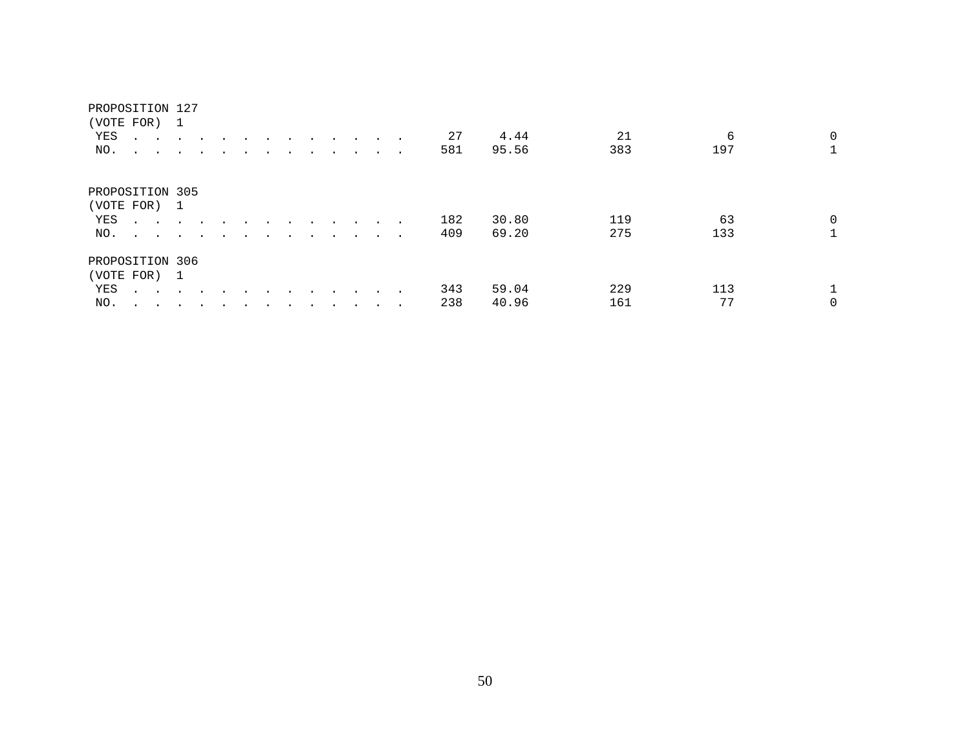|     | (VOTE FOR) 1                   |               |                      |  |  |  |           |        |     |       |     |     |   |
|-----|--------------------------------|---------------|----------------------|--|--|--|-----------|--------|-----|-------|-----|-----|---|
| YES |                                |               |                      |  |  |  | $\sim$    |        | 27  | 4.44  | 21  | 6   | 0 |
| NO. | $\ddot{\phantom{a}}$<br>$\sim$ | $\sim$        | $\cdot$              |  |  |  | $\cdot$   | $\sim$ | 581 | 95.56 | 383 | 197 |   |
|     | PROPOSITION 305                |               |                      |  |  |  |           |        |     |       |     |     |   |
|     | (VOTE FOR) 1                   |               |                      |  |  |  |           |        |     |       |     |     |   |
| YES | $\sim$ $\sim$                  |               |                      |  |  |  |           | $\sim$ | 182 | 30.80 | 119 | 63  | 0 |
| NO. | $\sim$ $\sim$                  | $\sim$ $\sim$ | $\ddot{\phantom{1}}$ |  |  |  |           | $\sim$ | 409 | 69.20 | 275 | 133 |   |
|     | PROPOSITION 306                |               |                      |  |  |  |           |        |     |       |     |     |   |
|     | (VOTE FOR) 1                   |               |                      |  |  |  |           |        |     |       |     |     |   |
| YES | $\mathbf{A}$ and $\mathbf{A}$  | $\sim$ $\sim$ |                      |  |  |  |           |        | 343 | 59.04 | 229 | 113 |   |
| NO. | $\ddot{\phantom{0}}$<br>$\sim$ |               |                      |  |  |  | $\bullet$ | $\sim$ | 238 | 40.96 | 161 | 77  | 0 |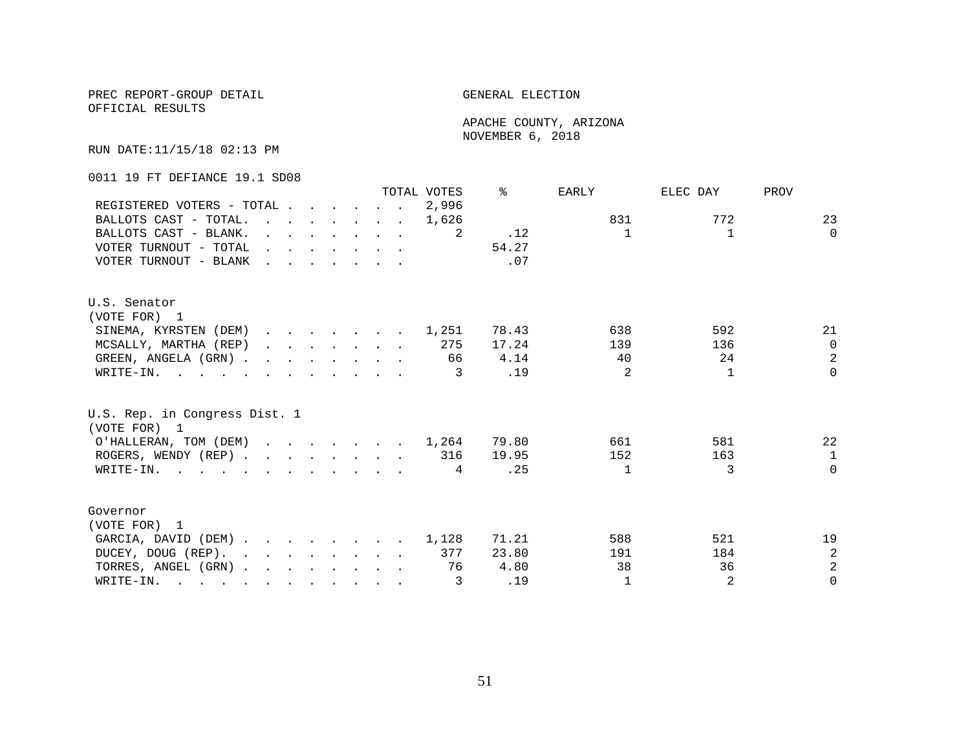OFFICIAL RESULTS

 APACHE COUNTY, ARIZONA NOVEMBER 6, 2018

RUN DATE:11/15/18 02:13 PM

0011 19 FT DEFIANCE 19.1 SD08

|                                                                                                                                                                                                                                                      |                                                                                                                                                                                                                                   |                                                                       |  |  |                                                                                                                          | TOTAL VOTES | ⊱     | <b>EARLY</b>   | ELEC DAY     | PROV           |
|------------------------------------------------------------------------------------------------------------------------------------------------------------------------------------------------------------------------------------------------------|-----------------------------------------------------------------------------------------------------------------------------------------------------------------------------------------------------------------------------------|-----------------------------------------------------------------------|--|--|--------------------------------------------------------------------------------------------------------------------------|-------------|-------|----------------|--------------|----------------|
| REGISTERED VOTERS - TOTAL                                                                                                                                                                                                                            |                                                                                                                                                                                                                                   |                                                                       |  |  |                                                                                                                          | 2,996       |       |                |              |                |
| BALLOTS CAST - TOTAL.                                                                                                                                                                                                                                | $\sim$                                                                                                                                                                                                                            |                                                                       |  |  | $\mathbf{r}$ , and $\mathbf{r}$ , and $\mathbf{r}$ , and $\mathbf{r}$                                                    | 1,626       |       | 831            | 772          | 23             |
| BALLOTS CAST - BLANK.                                                                                                                                                                                                                                |                                                                                                                                                                                                                                   | $\mathbf{r}$ , and $\mathbf{r}$ , and $\mathbf{r}$ , and $\mathbf{r}$ |  |  |                                                                                                                          | -2          | .12   | $\mathbf{1}$   | $\mathbf{1}$ | $\Omega$       |
| VOTER TURNOUT - TOTAL                                                                                                                                                                                                                                | $\mathbf{r}$ , and $\mathbf{r}$ , and $\mathbf{r}$ , and $\mathbf{r}$                                                                                                                                                             |                                                                       |  |  |                                                                                                                          |             | 54.27 |                |              |                |
| VOTER TURNOUT - BLANK                                                                                                                                                                                                                                | $\mathbf{r}$ . The contract of the contract of the contract of the contract of the contract of the contract of the contract of the contract of the contract of the contract of the contract of the contract of the contract of th |                                                                       |  |  |                                                                                                                          |             | .07   |                |              |                |
| U.S. Senator                                                                                                                                                                                                                                         |                                                                                                                                                                                                                                   |                                                                       |  |  |                                                                                                                          |             |       |                |              |                |
| (VOTE FOR) 1                                                                                                                                                                                                                                         |                                                                                                                                                                                                                                   |                                                                       |  |  |                                                                                                                          |             |       |                |              |                |
| SINEMA, KYRSTEN (DEM) 1,251                                                                                                                                                                                                                          |                                                                                                                                                                                                                                   |                                                                       |  |  |                                                                                                                          |             | 78.43 | 638            | 592          | 21             |
| MCSALLY, MARTHA (REP)                                                                                                                                                                                                                                |                                                                                                                                                                                                                                   |                                                                       |  |  | $\mathbf{r} = \mathbf{r} - \mathbf{r}$ , $\mathbf{r} = \mathbf{r} - \mathbf{r}$ , $\mathbf{r} = \mathbf{r} - \mathbf{r}$ | 275         | 17.24 | 139            | 136          | $\Omega$       |
| GREEN, ANGELA (GRN).                                                                                                                                                                                                                                 |                                                                                                                                                                                                                                   |                                                                       |  |  |                                                                                                                          | 66          | 4.14  | 40             | 24           | $\overline{a}$ |
| WRITE-IN.                                                                                                                                                                                                                                            |                                                                                                                                                                                                                                   |                                                                       |  |  |                                                                                                                          | 3           | .19   | $\mathfrak{D}$ | $\mathbf{1}$ | $\Omega$       |
| U.S. Rep. in Congress Dist. 1<br>(VOTE FOR) 1                                                                                                                                                                                                        |                                                                                                                                                                                                                                   |                                                                       |  |  |                                                                                                                          |             |       |                |              |                |
| O'HALLERAN, TOM (DEM) 1,264                                                                                                                                                                                                                          |                                                                                                                                                                                                                                   |                                                                       |  |  |                                                                                                                          |             | 79.80 | 661            | 581          | 22             |
| ROGERS, WENDY (REP)                                                                                                                                                                                                                                  |                                                                                                                                                                                                                                   |                                                                       |  |  |                                                                                                                          | 316         | 19.95 | 152            | 163          | $\mathbf{1}$   |
| WRITE-IN.                                                                                                                                                                                                                                            |                                                                                                                                                                                                                                   |                                                                       |  |  |                                                                                                                          | 4           | .25   | $\mathbf{1}$   | 3            | $\Omega$       |
| Governor                                                                                                                                                                                                                                             |                                                                                                                                                                                                                                   |                                                                       |  |  |                                                                                                                          |             |       |                |              |                |
| (VOTE FOR) 1                                                                                                                                                                                                                                         |                                                                                                                                                                                                                                   |                                                                       |  |  |                                                                                                                          |             |       |                |              |                |
| GARCIA, DAVID (DEM)                                                                                                                                                                                                                                  |                                                                                                                                                                                                                                   |                                                                       |  |  |                                                                                                                          | 1,128       | 71.21 | 588            | 521          | 19             |
| DUCEY, DOUG (REP).<br>and the contract of the contract of the contract of the contract of the contract of the contract of the contract of the contract of the contract of the contract of the contract of the contract of the contract of the contra |                                                                                                                                                                                                                                   |                                                                       |  |  |                                                                                                                          | 377         | 23.80 | 191            | 184          | $\overline{a}$ |
| TORRES, ANGEL (GRN)                                                                                                                                                                                                                                  |                                                                                                                                                                                                                                   |                                                                       |  |  |                                                                                                                          | 76          | 4.80  | 38             | 36           | $\overline{2}$ |
| WRITE-IN.<br>$\mathbf{r}$ , and $\mathbf{r}$ , and $\mathbf{r}$ , and $\mathbf{r}$ , and $\mathbf{r}$ , and $\mathbf{r}$                                                                                                                             |                                                                                                                                                                                                                                   |                                                                       |  |  |                                                                                                                          | 3           | .19   | $\mathbf{1}$   | 2            | $\Omega$       |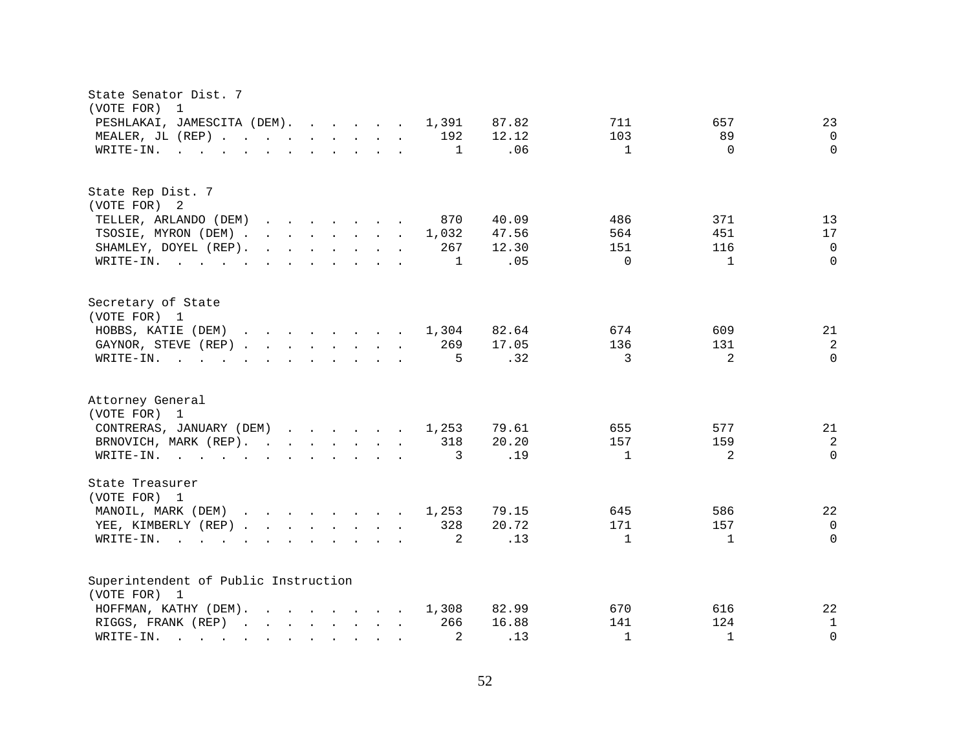| State Senator Dist. 7<br>(VOTE FOR)<br>- 1                                                                                                                                                                                                                                                                            |                     |              |                |
|-----------------------------------------------------------------------------------------------------------------------------------------------------------------------------------------------------------------------------------------------------------------------------------------------------------------------|---------------------|--------------|----------------|
| PESHLAKAI, JAMESCITA (DEM).<br>1,391                                                                                                                                                                                                                                                                                  | 87.82<br>711        | 657          | 23             |
| MEALER, JL (REP) 192                                                                                                                                                                                                                                                                                                  | 12.12<br>103        | 89           | $\mathbf 0$    |
| $\mathbf{r}$ , and $\mathbf{r}$ , and $\mathbf{r}$ , and $\mathbf{r}$ , and $\mathbf{r}$<br>1<br>WRITE-IN.                                                                                                                                                                                                            | .06<br>$\mathbf 1$  | $\Omega$     | $\Omega$       |
|                                                                                                                                                                                                                                                                                                                       |                     |              |                |
| State Rep Dist. 7                                                                                                                                                                                                                                                                                                     |                     |              |                |
| (VOTE FOR) 2                                                                                                                                                                                                                                                                                                          |                     |              |                |
| TELLER, ARLANDO (DEM)<br>870<br>$\mathbf{r}$ . The set of the set of the set of the set of the set of the set of the set of the set of the set of the set of the set of the set of the set of the set of the set of the set of the set of the set of the set of t                                                     | 40.09<br>486        | 371          | 13             |
| TSOSIE, MYRON (DEM).<br>$\mathbf{r}$ . The set of the set of the set of the set of the set of the set of the set of the set of the set of the set of the set of the set of the set of the set of the set of the set of the set of the set of the set of t<br>1,032                                                    | 47.56<br>564        | 451          | 17             |
| $\mathbf{r}$ . The set of the set of the set of the set of the set of the set of the set of the set of the set of the set of the set of the set of the set of the set of the set of the set of the set of the set of the set of t<br>267<br>SHAMLEY, DOYEL (REP).                                                     | 12.30<br>151        | 116          | $\Omega$       |
| WRITE-IN.<br>1                                                                                                                                                                                                                                                                                                        | .05<br>$\Omega$     | $\mathbf{1}$ | $\Omega$       |
| Secretary of State<br>(VOTE FOR) 1                                                                                                                                                                                                                                                                                    |                     |              |                |
| $\mathbf{r}$ . The contract of the contract of the contract of the contract of the contract of the contract of the contract of the contract of the contract of the contract of the contract of the contract of the contract of th<br>HOBBS, KATIE (DEM)<br>1,304                                                      | 82.64<br>674        | 609          | 21             |
| 269<br>GAYNOR, STEVE (REP)                                                                                                                                                                                                                                                                                            | 17.05<br>136        | 131          | 2              |
| WRITE-IN.<br>5<br>$\mathbf{r}$ , and $\mathbf{r}$ , and $\mathbf{r}$ , and $\mathbf{r}$ , and $\mathbf{r}$                                                                                                                                                                                                            | .32<br>3            | 2            | $\Omega$       |
|                                                                                                                                                                                                                                                                                                                       |                     |              |                |
| Attorney General<br>(VOTE FOR) 1                                                                                                                                                                                                                                                                                      |                     |              |                |
| CONTRERAS, JANUARY (DEM)<br>1,253                                                                                                                                                                                                                                                                                     | 79.61<br>655        | 577          | 21             |
| BRNOVICH, MARK (REP).<br>318                                                                                                                                                                                                                                                                                          | 20.20<br>157        | 159          | $\overline{c}$ |
| 3                                                                                                                                                                                                                                                                                                                     | .19<br>$\mathbf{1}$ | 2            | $\Omega$       |
| WRITE-IN.                                                                                                                                                                                                                                                                                                             |                     |              |                |
| State Treasurer<br>(VOTE FOR) 1                                                                                                                                                                                                                                                                                       |                     |              |                |
| MANOIL, MARK (DEM)<br>1,253<br>$\mathbf{r}$ , $\mathbf{r}$ , $\mathbf{r}$ , $\mathbf{r}$ , $\mathbf{r}$ , $\mathbf{r}$                                                                                                                                                                                                | 79.15<br>645        | 586          | 22             |
| 328<br>YEE, KIMBERLY (REP)                                                                                                                                                                                                                                                                                            | 20.72<br>171        | 157          | $\mathbf 0$    |
| 2<br>WRITE-IN.<br>$\mathbf{r}$ and $\mathbf{r}$ and $\mathbf{r}$<br>$\mathbf{r}$ . The contract of the contract of the contract of the contract of the contract of the contract of the contract of the contract of the contract of the contract of the contract of the contract of the contract of th<br>$\mathbf{r}$ | .13<br>$\mathbf{1}$ | $\mathbf{1}$ | $\Omega$       |
|                                                                                                                                                                                                                                                                                                                       |                     |              |                |
| Superintendent of Public Instruction                                                                                                                                                                                                                                                                                  |                     |              |                |
| (VOTE FOR) 1                                                                                                                                                                                                                                                                                                          |                     |              |                |
| HOFFMAN, KATHY (DEM).<br>$\mathbf{r}$ . The contract of the contract of the contract of the contract of the contract of the contract of the contract of the contract of the contract of the contract of the contract of the contract of the contract of th<br>1,308                                                   | 82.99<br>670        | 616          | 22             |
| 266<br>RIGGS, FRANK (REP)                                                                                                                                                                                                                                                                                             | 16.88<br>141        | 124          | $\mathbf 1$    |
| 2<br>WRITE-IN.<br><u>na kama sa sa sa sa sa sa sa sa sa</u>                                                                                                                                                                                                                                                           | .13<br>$\mathbf{1}$ | $\mathbf{1}$ | $\Omega$       |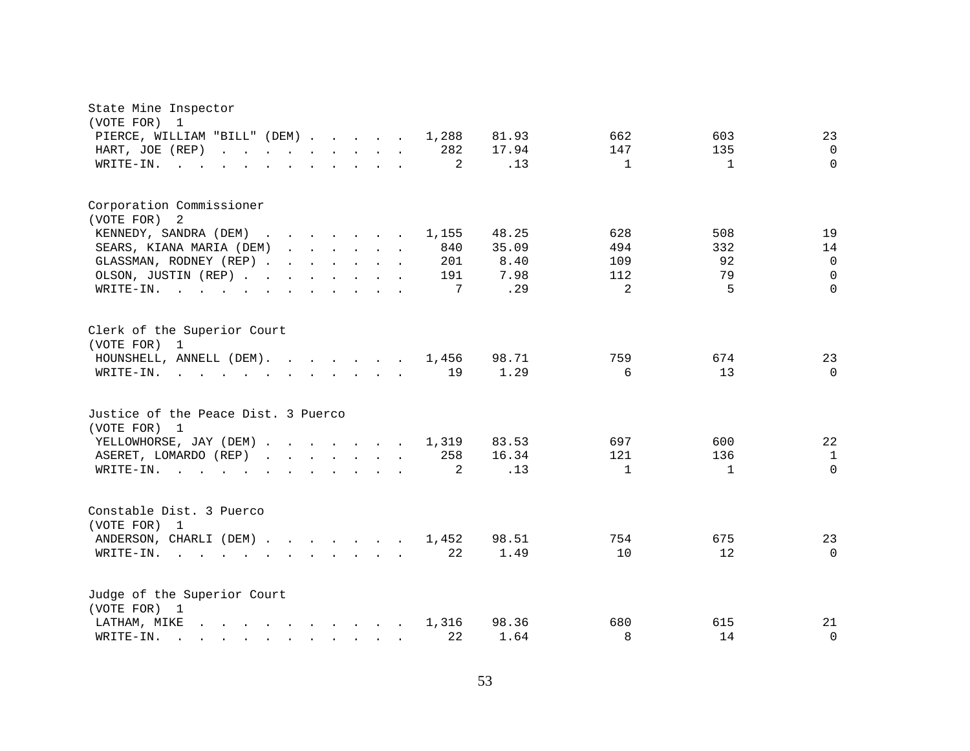| State Mine Inspector                                                                                                                                                                                                                                                                                                                                                                                                                            |                                                 |
|-------------------------------------------------------------------------------------------------------------------------------------------------------------------------------------------------------------------------------------------------------------------------------------------------------------------------------------------------------------------------------------------------------------------------------------------------|-------------------------------------------------|
| (VOTE FOR) 1<br>PIERCE, WILLIAM "BILL" (DEM)<br>1,288<br>81.93                                                                                                                                                                                                                                                                                                                                                                                  | 662<br>603<br>23                                |
| 282<br>17.94<br>HART, JOE (REP)<br>$\mathbf{r}$ , and $\mathbf{r}$ , and $\mathbf{r}$ , and $\mathbf{r}$ , and $\mathbf{r}$                                                                                                                                                                                                                                                                                                                     | 147<br>135<br>$\mathbf 0$                       |
| 2<br>WRITE-IN.<br>$\sim$ $\sim$                                                                                                                                                                                                                                                                                                                                                                                                                 | $\mathbf{1}$<br>$\Omega$<br>.13<br>$\mathbf{1}$ |
|                                                                                                                                                                                                                                                                                                                                                                                                                                                 |                                                 |
| Corporation Commissioner                                                                                                                                                                                                                                                                                                                                                                                                                        |                                                 |
| (VOTE FOR)<br>2                                                                                                                                                                                                                                                                                                                                                                                                                                 |                                                 |
| KENNEDY, SANDRA (DEM)<br>48.25<br>1,155                                                                                                                                                                                                                                                                                                                                                                                                         | 19<br>628<br>508                                |
| SEARS, KIANA MARIA (DEM)<br>840<br>35.09                                                                                                                                                                                                                                                                                                                                                                                                        | 494<br>332<br>14                                |
| GLASSMAN, RODNEY (REP)<br>201                                                                                                                                                                                                                                                                                                                                                                                                                   | 8.40<br>92<br>$\mathbf 0$<br>109                |
| OLSON, JUSTIN (REP)<br>191                                                                                                                                                                                                                                                                                                                                                                                                                      | 7.98<br>79<br>$\Omega$<br>112                   |
| 7<br>WRITE-IN.<br>$\mathbf{r}$ , and $\mathbf{r}$ , and $\mathbf{r}$ , and $\mathbf{r}$ , and $\mathbf{r}$                                                                                                                                                                                                                                                                                                                                      | $5\overline{5}$<br>.29<br>2<br>$\Omega$         |
| Clerk of the Superior Court<br>(VOTE FOR) 1<br>HOUNSHELL, ANNELL (DEM).<br>98.71<br>1,456                                                                                                                                                                                                                                                                                                                                                       | 759<br>674<br>23                                |
| 19<br>WRITE-IN.<br>$\mathbf{r}$ , and $\mathbf{r}$ , and $\mathbf{r}$ , and $\mathbf{r}$ , and $\mathbf{r}$                                                                                                                                                                                                                                                                                                                                     | 13<br>1.29<br>6<br>$\mathbf 0$                  |
|                                                                                                                                                                                                                                                                                                                                                                                                                                                 |                                                 |
| Justice of the Peace Dist. 3 Puerco<br>(VOTE FOR) 1                                                                                                                                                                                                                                                                                                                                                                                             |                                                 |
| YELLOWHORSE, JAY (DEM)<br>1,319<br>83.53                                                                                                                                                                                                                                                                                                                                                                                                        | 697<br>600<br>22                                |
| 258<br>16.34<br>ASERET, LOMARDO (REP)                                                                                                                                                                                                                                                                                                                                                                                                           | 121<br>136<br>$\mathbf{1}$                      |
| $\overline{2}$<br>$W\text{RITE-IN.}$                                                                                                                                                                                                                                                                                                                                                                                                            | .13<br>$\Omega$<br>$\mathbf{1}$<br>1            |
|                                                                                                                                                                                                                                                                                                                                                                                                                                                 |                                                 |
| Constable Dist. 3 Puerco<br>(VOTE FOR) 1                                                                                                                                                                                                                                                                                                                                                                                                        |                                                 |
| ANDERSON, CHARLI (DEM)<br>98.51<br>1,452                                                                                                                                                                                                                                                                                                                                                                                                        | 754<br>675<br>23                                |
| 22<br>WRITE-IN.<br>$\mathbf{r} = \mathbf{r} + \mathbf{r} + \mathbf{r} + \mathbf{r} + \mathbf{r} + \mathbf{r} + \mathbf{r} + \mathbf{r} + \mathbf{r} + \mathbf{r} + \mathbf{r} + \mathbf{r} + \mathbf{r} + \mathbf{r} + \mathbf{r} + \mathbf{r} + \mathbf{r} + \mathbf{r} + \mathbf{r} + \mathbf{r} + \mathbf{r} + \mathbf{r} + \mathbf{r} + \mathbf{r} + \mathbf{r} + \mathbf{r} + \mathbf{r} + \mathbf{r} + \mathbf{r} + \mathbf{r} + \mathbf$ | 1.49<br>10<br>12<br>$\Omega$                    |
|                                                                                                                                                                                                                                                                                                                                                                                                                                                 |                                                 |
| Judge of the Superior Court<br>(VOTE FOR) 1                                                                                                                                                                                                                                                                                                                                                                                                     |                                                 |
| $\mathcal{A}=\mathcal{A}=\mathcal{A}=\mathcal{A}=\mathcal{A}=\mathcal{A}=\mathcal{A}=\mathcal{A}=\mathcal{A}=\mathcal{A}$<br>1,316<br>98.36<br>LATHAM, MIKE                                                                                                                                                                                                                                                                                     | 680<br>615<br>21                                |
| 22<br>WRITE-IN.<br>and a strong control of the state of the state of the state of the state of the state of the state of the state of the state of the state of the state of the state of the state of the state of the state of the state of the                                                                                                                                                                                               | 8<br>14<br>$\mathbf 0$<br>1.64                  |
|                                                                                                                                                                                                                                                                                                                                                                                                                                                 |                                                 |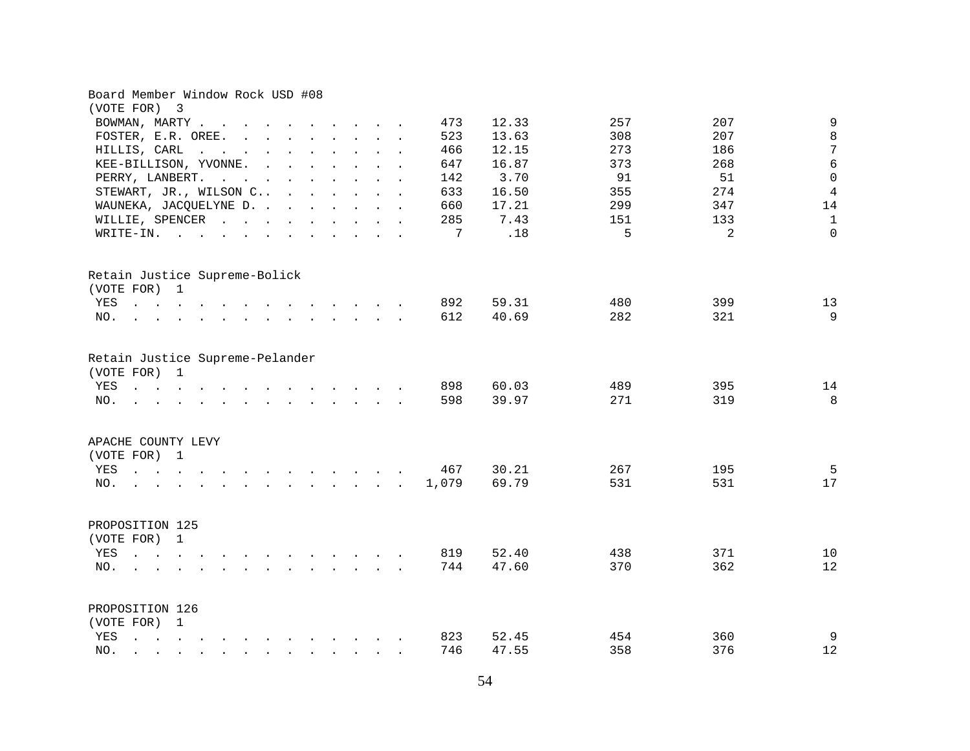| Board Member Window Rock USD #08<br>(VOTE FOR) 3                                                                                                                                                                                                                                       |                                        |
|----------------------------------------------------------------------------------------------------------------------------------------------------------------------------------------------------------------------------------------------------------------------------------------|----------------------------------------|
| BOWMAN, MARTY<br>473                                                                                                                                                                                                                                                                   | 9<br>12.33<br>207<br>257               |
| 523<br>FOSTER, E.R. OREE.                                                                                                                                                                                                                                                              | $\,8\,$<br>13.63<br>308<br>207         |
| HILLIS, CARL<br>466<br>$\mathbf{r}$ , and $\mathbf{r}$ , and $\mathbf{r}$ , and $\mathbf{r}$ , and $\mathbf{r}$                                                                                                                                                                        | 7<br>12.15<br>273<br>186               |
| KEE-BILLISON, YVONNE.<br>647<br>$\mathcal{L}(\mathcal{A})$ . The contribution of the contribution of                                                                                                                                                                                   | $6\phantom{1}6$<br>16.87<br>373<br>268 |
| PERRY, LANBERT.<br>142                                                                                                                                                                                                                                                                 | $\mathsf 0$<br>3.70<br>91<br>51        |
| the contract of the contract of the contract of the contract of the contract of the contract of the contract of<br>STEWART, JR., WILSON C<br>633                                                                                                                                       | $\overline{4}$<br>16.50<br>274<br>355  |
| WAUNEKA, JACQUELYNE D.<br>660                                                                                                                                                                                                                                                          | 17.21<br>299<br>347<br>14              |
| WILLIE, SPENCER<br>285                                                                                                                                                                                                                                                                 | 7.43<br>$\mathbf{1}$<br>151<br>133     |
| 7                                                                                                                                                                                                                                                                                      | .18<br>5<br>2<br>$\Omega$              |
| WRITE-IN.                                                                                                                                                                                                                                                                              |                                        |
| Retain Justice Supreme-Bolick                                                                                                                                                                                                                                                          |                                        |
| (VOTE FOR) 1                                                                                                                                                                                                                                                                           |                                        |
| 892<br>YES                                                                                                                                                                                                                                                                             | 59.31<br>480<br>399<br>13              |
| 612<br>NO.<br>the contract of the contract of the contract of the contract of the contract of the contract of the contract of                                                                                                                                                          | 9<br>40.69<br>282<br>321               |
| Retain Justice Supreme-Pelander<br>(VOTE FOR) 1                                                                                                                                                                                                                                        |                                        |
| YES<br>898<br>$\mathbf{r}$ , and $\mathbf{r}$ , and $\mathbf{r}$ , and $\mathbf{r}$ , and $\mathbf{r}$ , and $\mathbf{r}$                                                                                                                                                              | 395<br>14<br>60.03<br>489              |
| 598<br>NO.<br>$\mathcal{L}(\mathbf{r})$ . The contribution of the contribution of the contribution of the contribution of the contribution of the contribution of the contribution of the contribution of the contribution of the contribution of the                                  | 8<br>39.97<br>271<br>319               |
| APACHE COUNTY LEVY                                                                                                                                                                                                                                                                     |                                        |
| (VOTE FOR) 1                                                                                                                                                                                                                                                                           |                                        |
| 467<br>YES<br>the contract of the contract of the contract of the contract of the contract of the contract of the contract of                                                                                                                                                          | 5<br>30.21<br>195<br>267               |
| 1,079<br>$\mathbf{r}$ , $\mathbf{r}$ , $\mathbf{r}$ , $\mathbf{r}$ , $\mathbf{r}$ , $\mathbf{r}$<br>NO.                                                                                                                                                                                | 69.79<br>531<br>531<br>17              |
| PROPOSITION 125<br>(VOTE FOR) 1                                                                                                                                                                                                                                                        |                                        |
| YES<br>819<br>$\mathbf{r}$ , $\mathbf{r}$ , $\mathbf{r}$ , $\mathbf{r}$<br>$\mathbf{r}$ , $\mathbf{r}$ , $\mathbf{r}$ , $\mathbf{r}$ , $\mathbf{r}$ , $\mathbf{r}$ , $\mathbf{r}$                                                                                                      | 371<br>52.40<br>438<br>10              |
| 744<br>NO.<br>$\mathbf{r}$ . The set of the set of the set of the set of the set of the set of the set of the set of the set of the set of the set of the set of the set of the set of the set of the set of the set of the set of the set of t<br><b><i>Committee State State</i></b> | 47.60<br>370<br>362<br>12              |
|                                                                                                                                                                                                                                                                                        |                                        |
| PROPOSITION 126<br>(VOTE FOR) 1                                                                                                                                                                                                                                                        |                                        |
| 823<br>YES                                                                                                                                                                                                                                                                             | 9<br>454<br>360<br>52.45               |
| 746<br>NO.<br>$\mathbf{r}$ , and $\mathbf{r}$ , and $\mathbf{r}$ , and $\mathbf{r}$<br>$\mathbf{r}$ , $\mathbf{r}$ , $\mathbf{r}$                                                                                                                                                      | 358<br>376<br>12<br>47.55              |
|                                                                                                                                                                                                                                                                                        |                                        |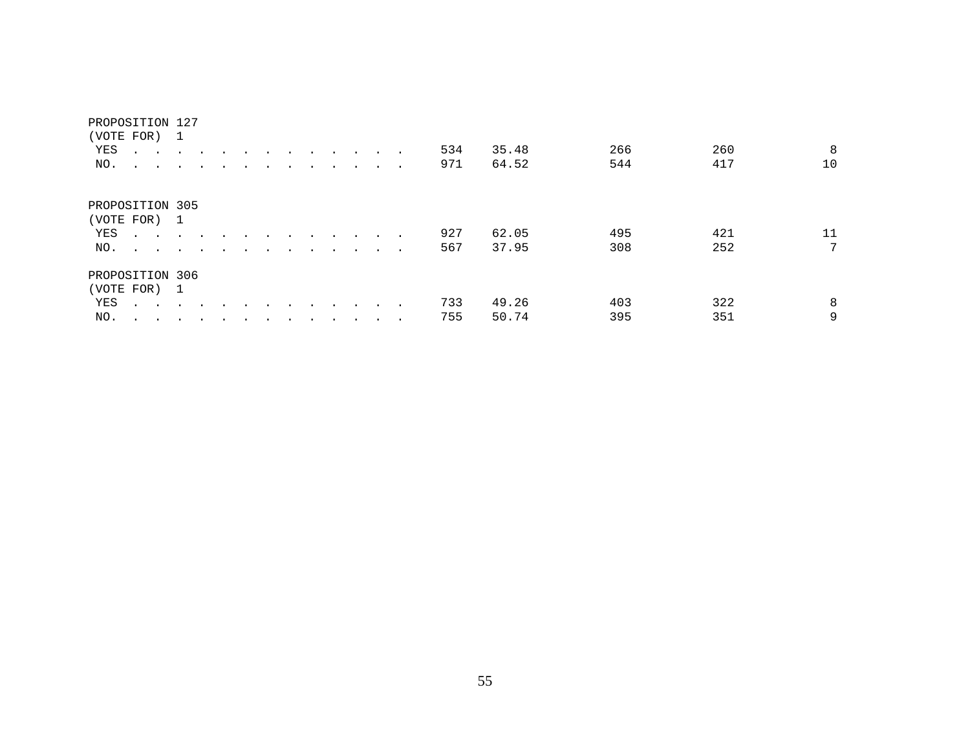| (VOTE FOR) 1    |                                     |               |                      |                      |  |         |                      |                      |                  |               |        |     |       |     |     |                 |
|-----------------|-------------------------------------|---------------|----------------------|----------------------|--|---------|----------------------|----------------------|------------------|---------------|--------|-----|-------|-----|-----|-----------------|
| YES             | <b>All Contract Contract</b>        |               | $\ddot{\phantom{a}}$ |                      |  |         |                      | $\cdot$              | $\sim$           |               |        | 534 | 35.48 | 266 | 260 | 8               |
| NO.             | $\sim$ $\sim$                       |               |                      |                      |  |         |                      |                      |                  |               | $\sim$ | 971 | 64.52 | 544 | 417 | 10              |
|                 |                                     |               |                      |                      |  |         |                      |                      |                  |               |        |     |       |     |     |                 |
| PROPOSITION 305 |                                     |               |                      |                      |  |         |                      |                      |                  |               |        |     |       |     |     |                 |
| (VOTE FOR) 1    |                                     |               |                      |                      |  |         |                      |                      |                  |               |        |     |       |     |     |                 |
| YES             | $\cdots$ $\cdots$                   |               | $\cdot$              | $\ddot{\phantom{a}}$ |  |         |                      | $\ddot{\phantom{0}}$ | $\sim$ 100 $\pm$ |               |        | 927 | 62.05 | 495 | 421 | 11              |
| NO.             | the contract of the contract of the |               |                      | $\ddot{\phantom{a}}$ |  | $\cdot$ | $\ddot{\phantom{a}}$ | $\ddot{\phantom{a}}$ | $\cdot$          | $\sim$ $\sim$ | $\sim$ | 567 | 37.95 | 308 | 252 | $7\phantom{.0}$ |
| PROPOSITION 306 |                                     |               |                      |                      |  |         |                      |                      |                  |               |        |     |       |     |     |                 |
| (VOTE FOR) 1    |                                     |               |                      |                      |  |         |                      |                      |                  |               |        |     |       |     |     |                 |
| YES             | $\cdot$ $\cdot$ $\cdot$ $\cdot$     |               |                      |                      |  |         |                      |                      |                  |               |        | 733 | 49.26 | 403 | 322 | 8               |
| NO.             | $\cdot$ $\cdot$                     | $\sim$ $\sim$ | $\bullet$            |                      |  |         |                      |                      |                  | $\cdot$       | $\sim$ | 755 | 50.74 | 395 | 351 | 9               |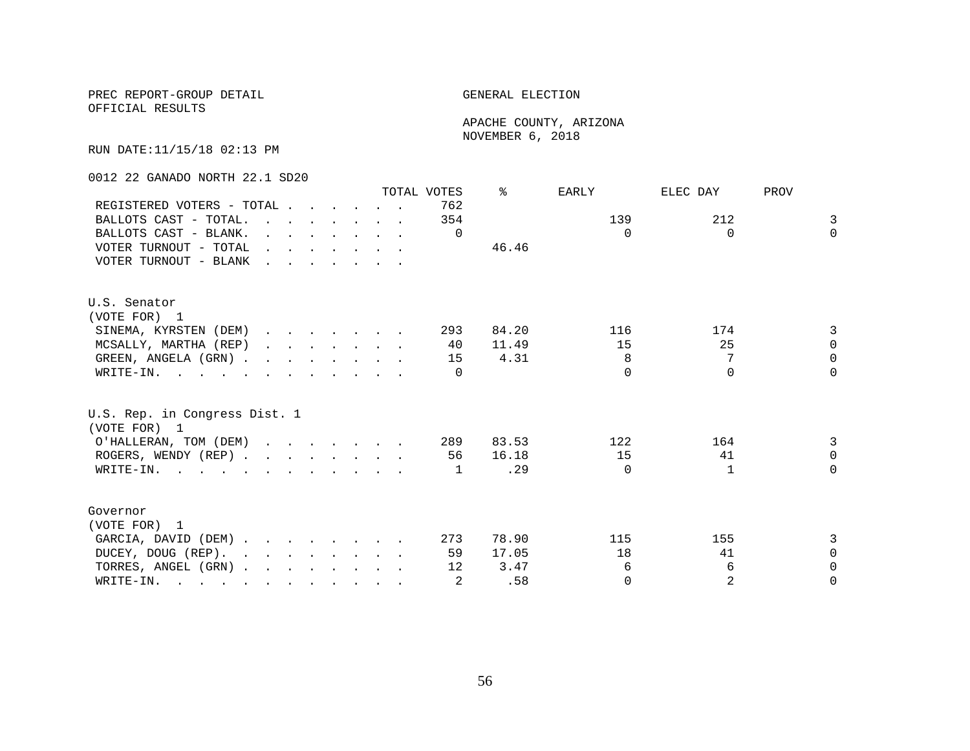OFFICIAL RESULTS

 APACHE COUNTY, ARIZONA NOVEMBER 6, 2018

RUN DATE:11/15/18 02:13 PM

0012 22 GANADO NORTH 22.1 SD20

|                                                                                                       |                                                                                                                                                                                                                                |  |  |                                                                                  | TOTAL VOTES | °     | EARLY    | ELEC DAY     | PROV           |
|-------------------------------------------------------------------------------------------------------|--------------------------------------------------------------------------------------------------------------------------------------------------------------------------------------------------------------------------------|--|--|----------------------------------------------------------------------------------|-------------|-------|----------|--------------|----------------|
| REGISTERED VOTERS - TOTAL                                                                             |                                                                                                                                                                                                                                |  |  |                                                                                  | 762         |       |          |              |                |
| BALLOTS CAST - TOTAL.                                                                                 |                                                                                                                                                                                                                                |  |  |                                                                                  | 354         |       | 139      | 212          | $\overline{3}$ |
| BALLOTS CAST - BLANK.                                                                                 |                                                                                                                                                                                                                                |  |  | $\mathbf{r}$ and $\mathbf{r}$ and $\mathbf{r}$ and $\mathbf{r}$ and $\mathbf{r}$ | $\Omega$    |       | $\Omega$ | $\Omega$     | $\Omega$       |
| VOTER TURNOUT - TOTAL                                                                                 | and the contract of the contract of the contract of the contract of the contract of the contract of the contract of the contract of the contract of the contract of the contract of the contract of the contract of the contra |  |  |                                                                                  |             | 46.46 |          |              |                |
| VOTER TURNOUT - BLANK                                                                                 |                                                                                                                                                                                                                                |  |  |                                                                                  |             |       |          |              |                |
| U.S. Senator                                                                                          |                                                                                                                                                                                                                                |  |  |                                                                                  |             |       |          |              |                |
| (VOTE FOR) 1                                                                                          |                                                                                                                                                                                                                                |  |  |                                                                                  |             |       |          |              |                |
| SINEMA, KYRSTEN (DEM)                                                                                 |                                                                                                                                                                                                                                |  |  |                                                                                  | 293         | 84.20 | 116      | 174          | 3              |
| MCSALLY, MARTHA (REP)                                                                                 |                                                                                                                                                                                                                                |  |  |                                                                                  | 40          | 11.49 | 15       | 25           | $\Omega$       |
| GREEN, ANGELA (GRN)                                                                                   |                                                                                                                                                                                                                                |  |  |                                                                                  | 15          | 4.31  | 8        | 7            | $\Omega$       |
| WRITE-IN.                                                                                             |                                                                                                                                                                                                                                |  |  |                                                                                  | $\Omega$    |       | $\cap$   | $\cap$       | $\Omega$       |
| U.S. Rep. in Congress Dist. 1<br>(VOTE FOR) 1                                                         |                                                                                                                                                                                                                                |  |  |                                                                                  |             |       |          |              |                |
| O'HALLERAN, TOM (DEM)                                                                                 |                                                                                                                                                                                                                                |  |  |                                                                                  | 289         | 83.53 | 122      | 164          | 3              |
| ROGERS, WENDY (REP)                                                                                   |                                                                                                                                                                                                                                |  |  |                                                                                  | 56          | 16.18 | 15       | 41           | $\Omega$       |
| WRITE-IN.                                                                                             |                                                                                                                                                                                                                                |  |  |                                                                                  | 1           | .29   | $\Omega$ | $\mathbf{1}$ | $\Omega$       |
|                                                                                                       |                                                                                                                                                                                                                                |  |  |                                                                                  |             |       |          |              |                |
| Governor                                                                                              |                                                                                                                                                                                                                                |  |  |                                                                                  |             |       |          |              |                |
| (VOTE FOR) 1                                                                                          |                                                                                                                                                                                                                                |  |  |                                                                                  |             |       |          |              |                |
| GARCIA, DAVID (DEM)                                                                                   |                                                                                                                                                                                                                                |  |  |                                                                                  | 273         | 78.90 | 115      | 155          | 3              |
| DUCEY, DOUG (REP).                                                                                    |                                                                                                                                                                                                                                |  |  |                                                                                  | 59          | 17.05 | 18       | 41           | $\Omega$       |
| TORRES, ANGEL (GRN)                                                                                   |                                                                                                                                                                                                                                |  |  |                                                                                  | 12          | 3.47  | 6        | 6            | $\Omega$       |
| WRITE-IN.<br>$\mathbf{r}$ , and $\mathbf{r}$ , and $\mathbf{r}$ , and $\mathbf{r}$ , and $\mathbf{r}$ |                                                                                                                                                                                                                                |  |  |                                                                                  | 2           | .58   | $\Omega$ | 2            | $\Omega$       |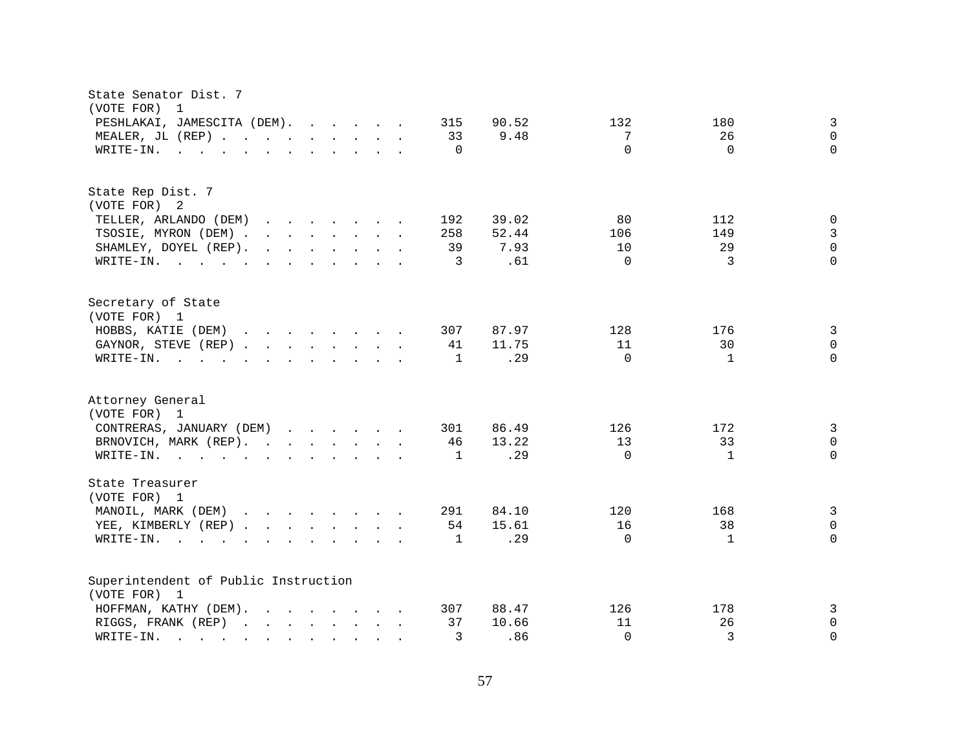| State Senator Dist. 7<br>(VOTE FOR)<br>$\overline{1}$                                                                                                           |                                             |
|-----------------------------------------------------------------------------------------------------------------------------------------------------------------|---------------------------------------------|
| PESHLAKAI, JAMESCITA (DEM).<br>315<br>90.52                                                                                                                     | $\mathbf{3}$<br>132<br>180                  |
| MEALER, JL (REP)<br>33<br>9.48                                                                                                                                  | $\mathbf 0$<br>7<br>26                      |
| $\mathbf{r}$ , and $\mathbf{r}$ , and $\mathbf{r}$ , and $\mathbf{r}$ , and $\mathbf{r}$<br>$\Omega$<br>WRITE-IN.                                               | $\Omega$<br>$\Omega$<br>$\Omega$            |
|                                                                                                                                                                 |                                             |
| State Rep Dist. 7                                                                                                                                               |                                             |
| (VOTE FOR) 2                                                                                                                                                    |                                             |
| TELLER, ARLANDO (DEM)<br>192<br>39.02<br>$\mathbf{r}$ , $\mathbf{r}$ , $\mathbf{r}$ , $\mathbf{r}$ , $\mathbf{r}$ , $\mathbf{r}$                                | $\mathbf 0$<br>80<br>112                    |
| TSOSIE, MYRON (DEM)<br>52.44<br>258                                                                                                                             | $\mathsf 3$<br>149<br>106                   |
| SHAMLEY, DOYEL (REP).<br>$\mathbf{r}$ , $\mathbf{r}$ , $\mathbf{r}$ , $\mathbf{r}$ , $\mathbf{r}$ , $\mathbf{r}$<br>39<br>7.93                                  | $\mathsf 0$<br>10<br>29                     |
| WRITE-IN.<br>3                                                                                                                                                  | $\Omega$<br>3<br>$\Omega$<br>.61            |
| Secretary of State                                                                                                                                              |                                             |
| (VOTE FOR) 1                                                                                                                                                    |                                             |
| HOBBS, KATIE (DEM)<br>307<br>87.97                                                                                                                              | 3<br>128<br>176                             |
| GAYNOR, STEVE (REP)<br>41<br>11.75                                                                                                                              | $\mathsf{O}\xspace$<br>11<br>30             |
| WRITE-IN.<br>$\mathbf{r}$ , and $\mathbf{r}$ , and $\mathbf{r}$ , and $\mathbf{r}$ , and $\mathbf{r}$<br>1                                                      | $\Omega$<br>.29<br>$\mathbf{1}$<br>$\Omega$ |
| Attorney General<br>(VOTE FOR) 1                                                                                                                                |                                             |
| CONTRERAS, JANUARY (DEM)<br>86.49<br>301                                                                                                                        | 3<br>126<br>172                             |
| 13.22                                                                                                                                                           | 13                                          |
| BRNOVICH, MARK (REP).<br>46                                                                                                                                     | 33<br>0<br>$\Omega$                         |
| WRITE-IN.<br>1                                                                                                                                                  | $\mathbf 0$<br>.29<br>$\mathbf{1}$          |
| State Treasurer<br>(VOTE FOR) 1                                                                                                                                 |                                             |
| MANOIL, MARK (DEM)<br>84.10<br>291                                                                                                                              | 3<br>120<br>168                             |
| YEE, KIMBERLY (REP)<br>54<br>15.61                                                                                                                              | 16<br>38<br>$\Omega$                        |
| WRITE-IN.<br>1<br>$\mathbf{r}$ , $\mathbf{r}$ , $\mathbf{r}$ , $\mathbf{r}$<br>$\mathbf{r}$ and $\mathbf{r}$ and $\mathbf{r}$ and $\mathbf{r}$ and $\mathbf{r}$ | .29<br>$\Omega$<br>$\Omega$<br>1            |
|                                                                                                                                                                 |                                             |
| Superintendent of Public Instruction                                                                                                                            |                                             |
| (VOTE FOR) 1                                                                                                                                                    |                                             |
| 88.47<br>HOFFMAN, KATHY (DEM).<br>307                                                                                                                           | 126<br>3<br>178                             |
| 37<br>10.66<br>RIGGS, FRANK (REP)                                                                                                                               | 11<br>26<br>0                               |
| 3<br>WRITE-IN.<br>$\mathbf{r}$ . The set of $\mathbf{r}$<br>$\mathbf{r}$ , $\mathbf{r}$ , $\mathbf{r}$ , $\mathbf{r}$ , $\mathbf{r}$ , $\mathbf{r}$             | 3<br>.86<br>$\Omega$<br>$\Omega$            |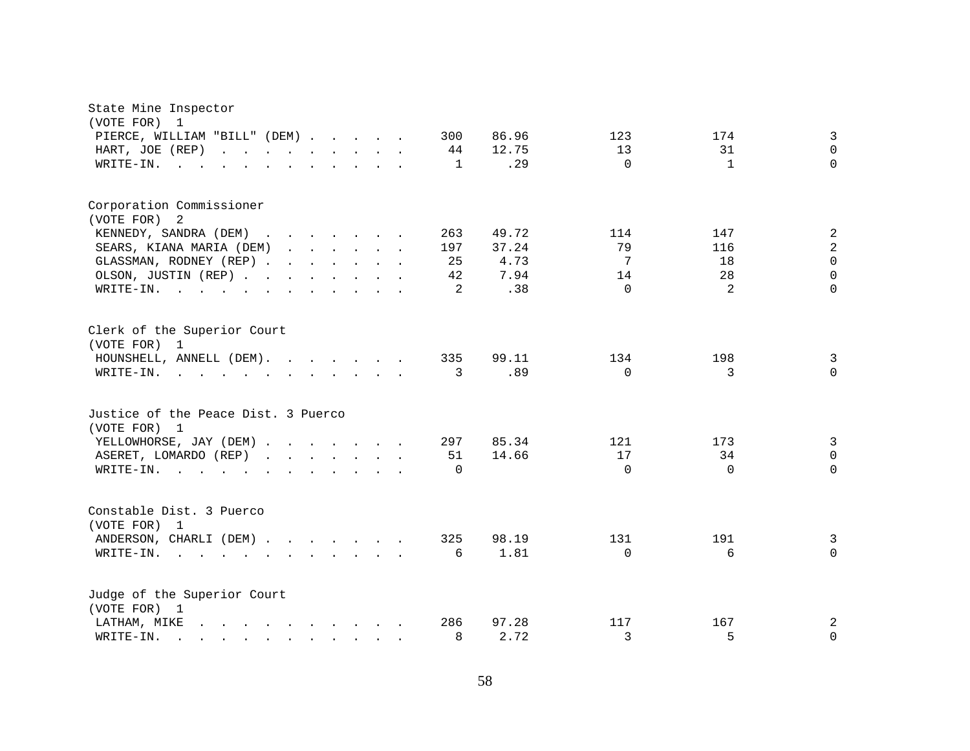| State Mine Inspector<br>(VOTE FOR)<br>$\mathbf{1}$                                                                                                                                                                                             |                                                             |
|------------------------------------------------------------------------------------------------------------------------------------------------------------------------------------------------------------------------------------------------|-------------------------------------------------------------|
| PIERCE, WILLIAM "BILL" (DEM)<br>300                                                                                                                                                                                                            | $\mathbf{3}$<br>86.96<br>123<br>174                         |
| HART, JOE (REP)                                                                                                                                                                                                                                | $\Omega$<br>12.75<br>13<br>31<br>44                         |
| WRITE-IN.                                                                                                                                                                                                                                      | .29<br>$\Omega$<br>$\mathbf{1}$<br>$\Omega$<br>$\mathbf{1}$ |
|                                                                                                                                                                                                                                                |                                                             |
| Corporation Commissioner                                                                                                                                                                                                                       |                                                             |
| (VOTE FOR)<br>-2                                                                                                                                                                                                                               |                                                             |
| KENNEDY, SANDRA (DEM)                                                                                                                                                                                                                          | $\overline{a}$<br>49.72<br>263<br>114<br>147                |
| SEARS, KIANA MARIA (DEM)<br>197                                                                                                                                                                                                                | $\overline{a}$<br>79<br>37.24<br>116                        |
| GLASSMAN, RODNEY (REP)                                                                                                                                                                                                                         | $\Omega$<br>4.73<br>7<br>25<br>18                           |
| OLSON, JUSTIN (REP)                                                                                                                                                                                                                            | 7.94<br>28<br>$\Omega$<br>42<br>14                          |
| WRITE-IN.<br>$\mathcal{A}=\mathcal{A}=\mathcal{A}=\mathcal{A}=\mathcal{A}$ .<br>the contract of the contract of the contract of the contract of the contract of the contract of the contract of                                                | $\Omega$<br>2<br>.38<br>$\Omega$<br>2                       |
| Clerk of the Superior Court<br>(VOTE FOR) 1                                                                                                                                                                                                    |                                                             |
| HOUNSHELL, ANNELL (DEM).<br>335                                                                                                                                                                                                                | 99.11<br>134<br>198<br>$\overline{3}$                       |
| WRITE-IN.<br>$\mathbf{r}$ . The contribution of the contribution of the contribution of the contribution of the contribution of the contribution of the contribution of the contribution of the contribution of the contribution of the contri | $\mathbf 0$<br>.89<br>$\Omega$<br>3<br>3                    |
| Justice of the Peace Dist. 3 Puerco<br>(VOTE FOR) 1                                                                                                                                                                                            |                                                             |
| YELLOWHORSE, JAY (DEM)                                                                                                                                                                                                                         | $\mathbf{3}$<br>297<br>85.34<br>121<br>173                  |
| ASERET, LOMARDO (REP)                                                                                                                                                                                                                          | 17<br>$\mathbf 0$<br>34<br>51<br>14.66                      |
| WRITE-IN.<br>$\mathbf{r}$ , $\mathbf{r}$ , $\mathbf{r}$ , $\mathbf{r}$                                                                                                                                                                         | $\Omega$<br>$\Omega$<br>$\Omega$<br>$\Omega$                |
| Constable Dist. 3 Puerco<br>(VOTE FOR)<br>$\mathbf{1}$                                                                                                                                                                                         |                                                             |
| ANDERSON, CHARLI (DEM)<br>325                                                                                                                                                                                                                  | 98.19<br>191<br>131<br>3                                    |
| WRITE-IN.<br>$\mathcal{A}=\mathcal{A}=\mathcal{A}=\mathcal{A}=\mathcal{A}=\mathcal{A}=\mathcal{A}=\mathcal{A}=\mathcal{A}=\mathcal{A}=\mathcal{A}$                                                                                             | 1.81<br>$\Omega$<br>$\Omega$<br>6<br>6                      |
| Judge of the Superior Court<br>(VOTE FOR) 1                                                                                                                                                                                                    |                                                             |
| 286<br>LATHAM, MIKE<br>$\mathbf{r}$ , and $\mathbf{r}$ , and $\mathbf{r}$ , and $\mathbf{r}$ , and $\mathbf{r}$                                                                                                                                | 97.28<br>167<br>2<br>117                                    |
| WRITE-IN.<br>$\mathbf{r} = \mathbf{r} - \mathbf{r} = \mathbf{r} - \mathbf{r} = \mathbf{r} - \mathbf{r} = \mathbf{r} - \mathbf{r}$                                                                                                              | 5<br>8<br>2.72<br>3<br>$\mathbf 0$                          |
|                                                                                                                                                                                                                                                |                                                             |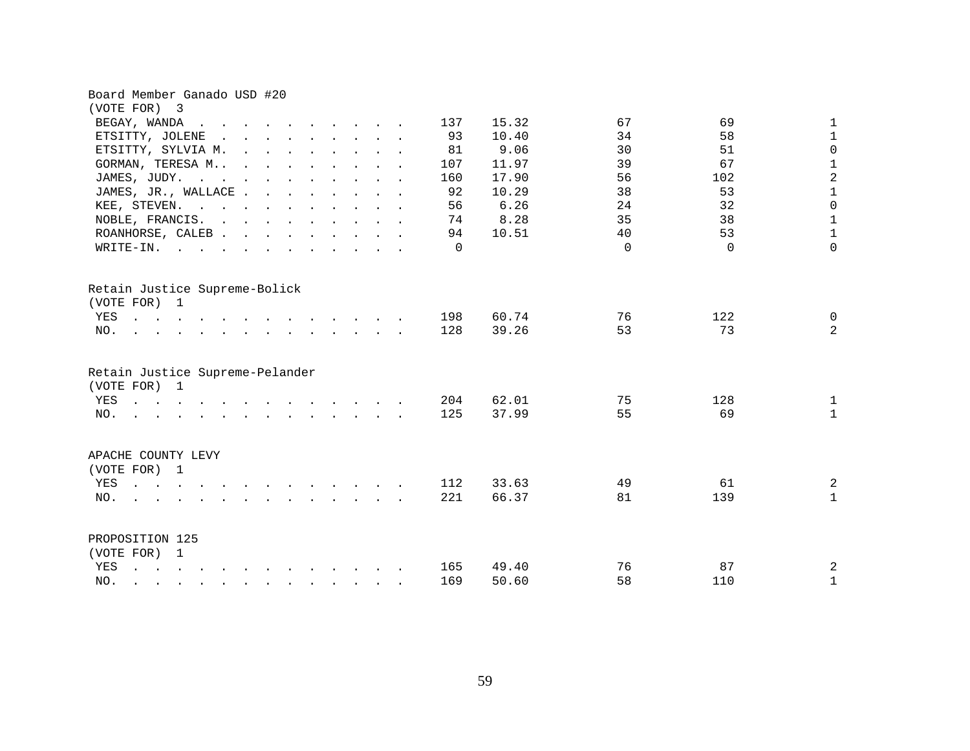| Board Member Ganado USD #20                                                                                                                                                                                                                                                                 |                              |          |           |                               |
|---------------------------------------------------------------------------------------------------------------------------------------------------------------------------------------------------------------------------------------------------------------------------------------------|------------------------------|----------|-----------|-------------------------------|
| (VOTE FOR) 3                                                                                                                                                                                                                                                                                |                              |          |           |                               |
| BEGAY, WANDA<br>$\sim$ $\sim$ $\sim$<br>$\mathbf{r}$ , and $\mathbf{r}$ , and $\mathbf{r}$ , and $\mathbf{r}$                                                                                                                                                                               | 15.32<br>137                 | 67       | 69        | $\mathbf 1$                   |
| ETSITTY, JOLENE<br>$\mathbf{r}$ , $\mathbf{r}$ , $\mathbf{r}$ , $\mathbf{r}$ , $\mathbf{r}$ , $\mathbf{r}$<br>$\sim$                                                                                                                                                                        | 93<br>10.40                  | 34       | 58        | $\mathbf 1$                   |
| ETSITTY, SYLVIA M.<br>$\mathbf{r} = \mathbf{r} - \mathbf{r}$ , and $\mathbf{r} = \mathbf{r} - \mathbf{r}$ , and $\mathbf{r} = \mathbf{r} - \mathbf{r}$                                                                                                                                      | 9.06<br>81                   | 30       | 51        | $\mathsf 0$                   |
| GORMAN, TERESA M                                                                                                                                                                                                                                                                            | 11.97<br>107                 | 39       | 67        | $\mathbf 1$                   |
| JAMES, JUDY.<br>the contract of the contract of the contract of                                                                                                                                                                                                                             | 160<br>17.90                 | 56       | 102       | $\overline{a}$                |
| JAMES, JR., WALLACE                                                                                                                                                                                                                                                                         | 92<br>10.29                  | 38       | 53        | $\mathbf 1$                   |
| KEE, STEVEN.                                                                                                                                                                                                                                                                                | 6.26<br>56                   | 24       | 32        | $\mathsf{O}\xspace$           |
| NOBLE, FRANCIS.                                                                                                                                                                                                                                                                             | 8.28<br>74                   | 35       | 38        | $\mathbf 1$                   |
| ROANHORSE, CALEB                                                                                                                                                                                                                                                                            | 10.51<br>94                  | 40       | 53        | $\mathbf 1$                   |
| WRITE-IN.                                                                                                                                                                                                                                                                                   | $\Omega$                     | $\Omega$ | $\Omega$  | $\mathbf 0$                   |
| Retain Justice Supreme-Bolick<br>(VOTE FOR) 1<br>YES<br>$\mathbf{r}$ , and $\mathbf{r}$ , and $\mathbf{r}$ , and $\mathbf{r}$ , and $\mathbf{r}$ , and $\mathbf{r}$<br>NO.<br>$\mathbf{r}$ , and $\mathbf{r}$ , and $\mathbf{r}$ , and $\mathbf{r}$ , and $\mathbf{r}$ , and $\mathbf{r}$   | 60.74<br>198<br>128<br>39.26 | 76<br>53 | 122<br>73 | $\mathbf 0$<br>$\overline{2}$ |
| Retain Justice Supreme-Pelander<br>(VOTE FOR) 1<br>$\mathbf{r}$ . The set of the set of the set of the set of the set of the set of the set of the set of the set of the set of the set of the set of the set of the set of the set of the set of the set of the set of the set of t<br>YES | 62.01<br>204                 | 75       | 128       | $\mathbf 1$                   |
| $\mathbf{r}$ , and $\mathbf{r}$ , and $\mathbf{r}$ , and $\mathbf{r}$ , and $\mathbf{r}$ , and $\mathbf{r}$<br>NO.                                                                                                                                                                          | 125<br>37.99                 | 55       | 69        | $\mathbf{1}$                  |
| APACHE COUNTY LEVY<br>(VOTE FOR) 1<br>YES<br>$\mathbf{r}$ , $\mathbf{r}$ , $\mathbf{r}$ , $\mathbf{r}$ , $\mathbf{r}$                                                                                                                                                                       | 112<br>33.63                 | 49       | 61        | 2                             |
| NO.<br>$\mathbf{r}$ , $\mathbf{r}$ , $\mathbf{r}$ , $\mathbf{r}$ , $\mathbf{r}$ , $\mathbf{r}$ , $\mathbf{r}$                                                                                                                                                                               | 66.37<br>221                 | 81       | 139       | $\mathbf{1}$                  |
| PROPOSITION 125                                                                                                                                                                                                                                                                             |                              |          |           |                               |
| (VOTE FOR) 1                                                                                                                                                                                                                                                                                |                              |          |           |                               |
| YES<br>$\mathbf{r}$ , $\mathbf{r}$ , $\mathbf{r}$ , $\mathbf{r}$ , $\mathbf{r}$ , $\mathbf{r}$ , $\mathbf{r}$ , $\mathbf{r}$ , $\mathbf{r}$ , $\mathbf{r}$                                                                                                                                  | 165<br>49.40                 | 76       | 87        | 2                             |
| NO.<br>$\mathbf{r} = \mathbf{r} - \mathbf{r}$ , $\mathbf{r} = \mathbf{r} - \mathbf{r}$ , $\mathbf{r} = \mathbf{r} - \mathbf{r} - \mathbf{r}$ , $\mathbf{r} = \mathbf{r} - \mathbf{r}$                                                                                                       | 169<br>50.60                 | 58       | 110       | $\mathbf{1}$                  |
|                                                                                                                                                                                                                                                                                             |                              |          |           |                               |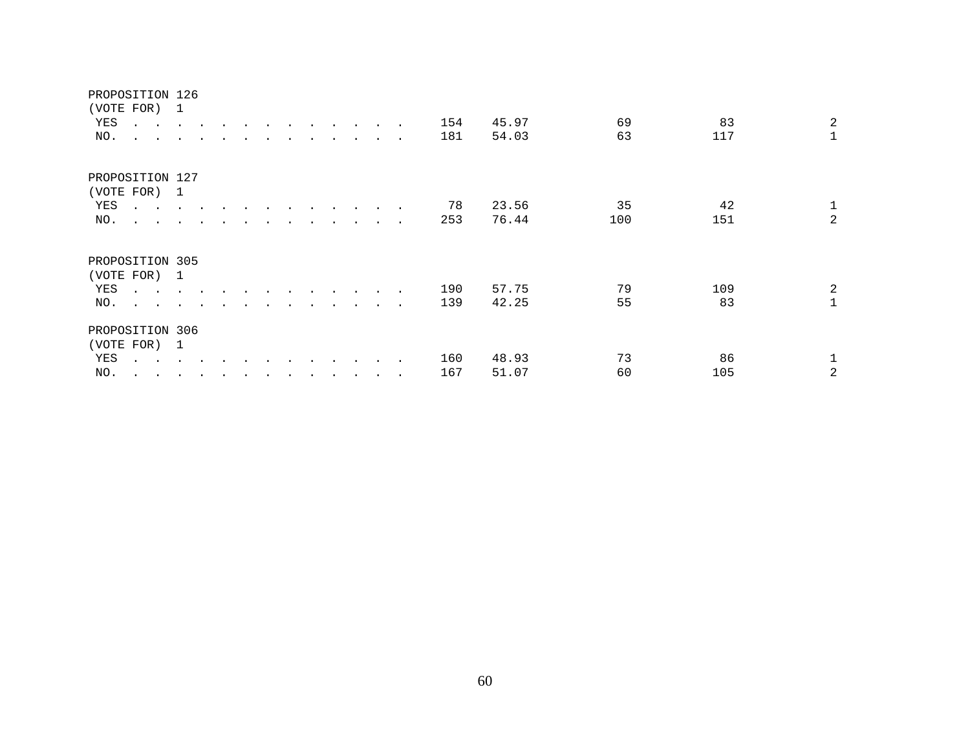| (VOTE FOR)<br>YES<br>NO. | $\sim$ $\sim$<br>$\cdot$ $\cdot$       | $\sim$ $\sim$ $\sim$     | $\sim$ |  |  | $\cdot$ |         |           | $\bullet$                | 154<br>181 | 45.97<br>54.03 | 69<br>63 | 83<br>117 | $\overline{2}$<br>$\mathbf{1}$ |
|--------------------------|----------------------------------------|--------------------------|--------|--|--|---------|---------|-----------|--------------------------|------------|----------------|----------|-----------|--------------------------------|
|                          | PROPOSITION 127                        |                          |        |  |  |         |         |           |                          |            |                |          |           |                                |
| (VOTE FOR)               |                                        | $\overline{\phantom{0}}$ |        |  |  |         |         |           |                          |            |                |          |           |                                |
| YES                      | $\cdot$ $\cdot$                        |                          |        |  |  |         |         |           |                          | 78         | 23.56          | 35       | 42        | $\mathbf{1}$                   |
| NO.                      | $\mathbf{z} = \mathbf{z} + \mathbf{z}$ |                          |        |  |  |         |         |           | $\sim$                   | 253        | 76.44          | 100      | 151       | 2                              |
| (VOTE FOR)               | PROPOSITION 305                        | $\overline{\phantom{0}}$ |        |  |  |         |         |           |                          |            |                |          |           |                                |
| YES                      | $\sim 10^{-1}$ and $\sim 10^{-1}$      |                          |        |  |  |         |         |           |                          | 190        | 57.75          | 79       | 109       | 2                              |
| NO.                      | $\ddot{\phantom{1}}$                   |                          |        |  |  |         | $\cdot$ | $\bullet$ | $\overline{\phantom{a}}$ | 139        | 42.25          | 55       | 83        |                                |
|                          | PROPOSITION 306                        |                          |        |  |  |         |         |           |                          |            |                |          |           |                                |
|                          | (VOTE FOR) 1                           |                          |        |  |  |         |         |           |                          |            |                |          |           |                                |
| YES                      | $\sim$ $\sim$                          |                          |        |  |  |         |         |           |                          | 160        | 48.93          | 73       | 86        |                                |
| NO.                      | $\ddot{\phantom{0}}$<br>$\sim$         |                          |        |  |  |         |         |           |                          | 167        | 51.07          | 60       | 105       | 2                              |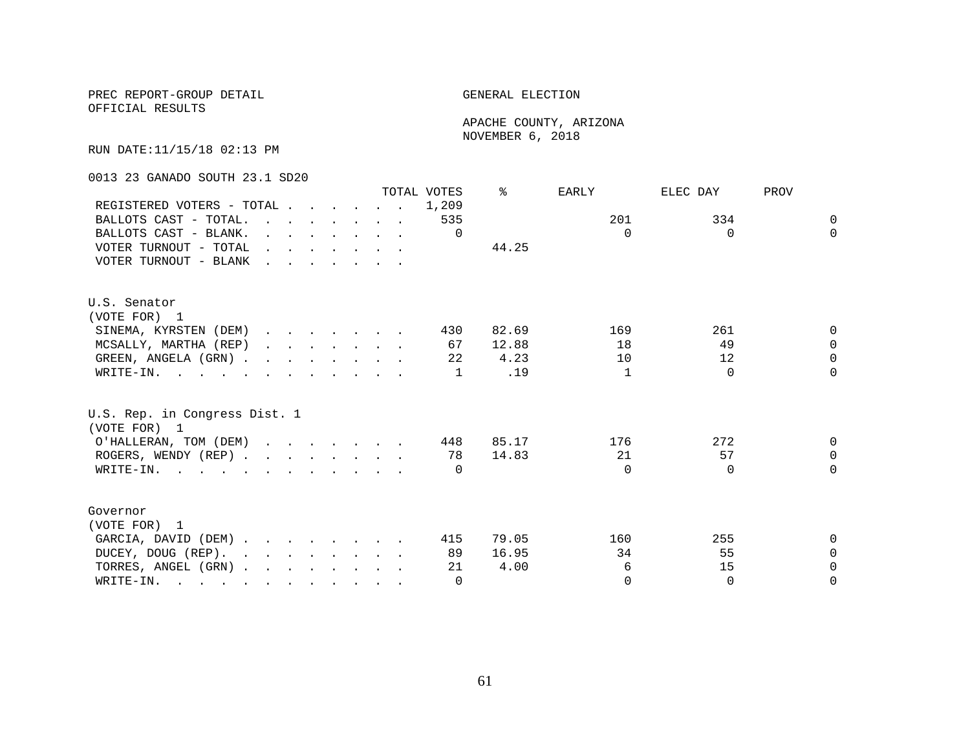OFFICIAL RESULTS

 APACHE COUNTY, ARIZONA NOVEMBER 6, 2018

RUN DATE:11/15/18 02:13 PM

0013 23 GANADO SOUTH 23.1 SD20

|                                                                                                       |                                                                                                                                                                                                                                   |  |                                                                                                         |  | TOTAL VOTES | ⊱     | EARLY        | ELEC DAY | PROV     |
|-------------------------------------------------------------------------------------------------------|-----------------------------------------------------------------------------------------------------------------------------------------------------------------------------------------------------------------------------------|--|---------------------------------------------------------------------------------------------------------|--|-------------|-------|--------------|----------|----------|
| REGISTERED VOTERS - TOTAL                                                                             |                                                                                                                                                                                                                                   |  |                                                                                                         |  | 1,209       |       |              |          |          |
| BALLOTS CAST - TOTAL.                                                                                 | $\mathbf{r}$ , and $\mathbf{r}$ , and $\mathbf{r}$ , and $\mathbf{r}$                                                                                                                                                             |  |                                                                                                         |  | 535         |       | 201          | 334      | $\Omega$ |
| BALLOTS CAST - BLANK.                                                                                 |                                                                                                                                                                                                                                   |  | $\mathbf{r} = \mathbf{r} + \mathbf{r} + \mathbf{r} + \mathbf{r} + \mathbf{r} + \mathbf{r} + \mathbf{r}$ |  | $\Omega$    |       | $\Omega$     | $\Omega$ | $\Omega$ |
| VOTER TURNOUT - TOTAL                                                                                 | $\mathbf{r}$ . The contract of the contract of the contract of the contract of the contract of the contract of the contract of the contract of the contract of the contract of the contract of the contract of the contract of th |  |                                                                                                         |  |             | 44.25 |              |          |          |
| VOTER TURNOUT - BLANK                                                                                 | <u>in the second contract of the second second</u>                                                                                                                                                                                |  |                                                                                                         |  |             |       |              |          |          |
| U.S. Senator                                                                                          |                                                                                                                                                                                                                                   |  |                                                                                                         |  |             |       |              |          |          |
| (VOTE FOR) 1                                                                                          |                                                                                                                                                                                                                                   |  |                                                                                                         |  |             |       |              |          |          |
| SINEMA, KYRSTEN (DEM)                                                                                 |                                                                                                                                                                                                                                   |  |                                                                                                         |  | 430         | 82.69 | 169          | 261      | 0        |
| MCSALLY, MARTHA (REP)                                                                                 |                                                                                                                                                                                                                                   |  |                                                                                                         |  | 67          | 12.88 | 18           | 49       | $\Omega$ |
| GREEN, ANGELA (GRN).                                                                                  |                                                                                                                                                                                                                                   |  |                                                                                                         |  | 22          | 4.23  | 10           | 12       | $\Omega$ |
| WRITE-IN.                                                                                             |                                                                                                                                                                                                                                   |  |                                                                                                         |  | 1           | .19   | $\mathbf{1}$ | $\Omega$ | $\Omega$ |
| U.S. Rep. in Congress Dist. 1<br>(VOTE FOR) 1                                                         |                                                                                                                                                                                                                                   |  |                                                                                                         |  |             |       |              |          |          |
| O'HALLERAN, TOM (DEM)                                                                                 |                                                                                                                                                                                                                                   |  |                                                                                                         |  | 448         | 85.17 | 176          | 272      | $\Omega$ |
| ROGERS, WENDY (REP)                                                                                   |                                                                                                                                                                                                                                   |  |                                                                                                         |  | 78          | 14.83 | 21           | 57       | $\Omega$ |
| WRITE-IN.                                                                                             |                                                                                                                                                                                                                                   |  |                                                                                                         |  | $\Omega$    |       | $\Omega$     | $\Omega$ | $\Omega$ |
| Governor                                                                                              |                                                                                                                                                                                                                                   |  |                                                                                                         |  |             |       |              |          |          |
| (VOTE FOR) 1                                                                                          |                                                                                                                                                                                                                                   |  |                                                                                                         |  |             |       |              |          |          |
| GARCIA, DAVID (DEM)                                                                                   |                                                                                                                                                                                                                                   |  |                                                                                                         |  | 415         | 79.05 | 160          | 255      | 0        |
| DUCEY, DOUG (REP).                                                                                    |                                                                                                                                                                                                                                   |  |                                                                                                         |  | 89          | 16.95 | 34           | 55       | $\Omega$ |
| TORRES, ANGEL (GRN)                                                                                   |                                                                                                                                                                                                                                   |  |                                                                                                         |  | 21          | 4.00  | 6            | 15       | $\Omega$ |
| WRITE-IN.<br>$\mathbf{r}$ , and $\mathbf{r}$ , and $\mathbf{r}$ , and $\mathbf{r}$ , and $\mathbf{r}$ |                                                                                                                                                                                                                                   |  |                                                                                                         |  | $\Omega$    |       | $\Omega$     | $\Omega$ | $\Omega$ |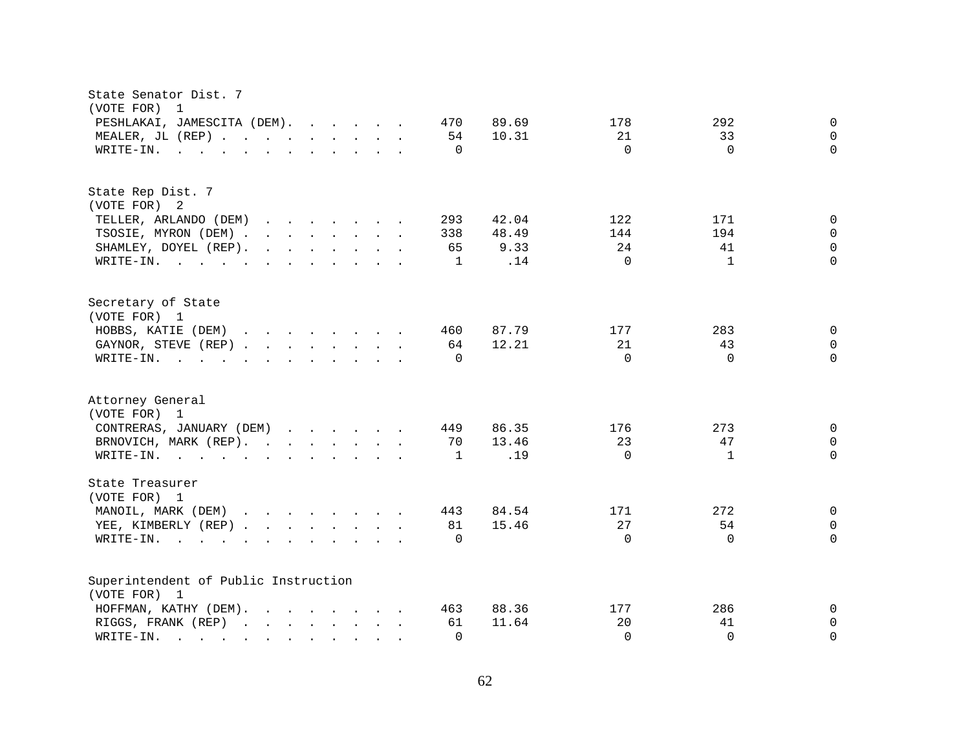| State Senator Dist. 7<br>(VOTE FOR)<br>$\overline{\phantom{0}}$                                                                                                                                                                                                        |                 |                          |
|------------------------------------------------------------------------------------------------------------------------------------------------------------------------------------------------------------------------------------------------------------------------|-----------------|--------------------------|
| PESHLAKAI, JAMESCITA (DEM).<br>470                                                                                                                                                                                                                                     | 89.69<br>178    | 292<br>$\mathbf 0$       |
| MEALER, JL (REP)<br>54                                                                                                                                                                                                                                                 | 10.31<br>21     | 33<br>$\Omega$           |
| WRITE-IN.<br>$\mathbf{r}$ . The state of the state of the state $\mathbf{r}$<br>$\Omega$                                                                                                                                                                               | $\Omega$        | $\Omega$<br>$\Omega$     |
|                                                                                                                                                                                                                                                                        |                 |                          |
| State Rep Dist. 7                                                                                                                                                                                                                                                      |                 |                          |
| (VOTE FOR) 2                                                                                                                                                                                                                                                           |                 |                          |
| TELLER, ARLANDO (DEM)<br>293<br>and the contract of the contract of the contract of the contract of the contract of the contract of the contract of the contract of the contract of the contract of the contract of the contract of the contract of the contra         | 122<br>42.04    | 171<br>$\Omega$          |
| TSOSIE, MYRON (DEM)<br>338                                                                                                                                                                                                                                             | 48.49<br>144    | 194<br>0                 |
| SHAMLEY, DOYEL (REP).<br>$\mathbf{r}$ , $\mathbf{r}$ , $\mathbf{r}$ , $\mathbf{r}$ , $\mathbf{r}$ , $\mathbf{r}$ , $\mathbf{r}$<br>65                                                                                                                                  | 24<br>9.33      | $\Omega$<br>41           |
| WRITE-IN.<br>1                                                                                                                                                                                                                                                         | $\Omega$<br>.14 | $\Omega$<br>$\mathbf{1}$ |
| Secretary of State                                                                                                                                                                                                                                                     |                 |                          |
| (VOTE FOR) 1                                                                                                                                                                                                                                                           |                 |                          |
| HOBBS, KATIE (DEM)<br>460                                                                                                                                                                                                                                              | 87.79<br>177    | 283<br>$\mathbf 0$       |
| GAYNOR, STEVE (REP)<br>64                                                                                                                                                                                                                                              | 12.21<br>21     | 43<br>$\mathbf 0$        |
| WRITE-IN.<br>$\mathbf{r}$ , and $\mathbf{r}$ , and $\mathbf{r}$ , and $\mathbf{r}$ , and $\mathbf{r}$<br>$\Omega$                                                                                                                                                      | $\Omega$        | $\Omega$<br>$\Omega$     |
|                                                                                                                                                                                                                                                                        |                 |                          |
| Attorney General<br>(VOTE FOR) 1                                                                                                                                                                                                                                       |                 |                          |
| CONTRERAS, JANUARY (DEM)<br>449                                                                                                                                                                                                                                        | 86.35<br>176    | 273<br>$\Omega$          |
| BRNOVICH, MARK (REP).<br>70                                                                                                                                                                                                                                            | 13.46<br>23     | 47<br>0                  |
| 1                                                                                                                                                                                                                                                                      | $\Omega$<br>.19 | $\Omega$<br>$\mathbf{1}$ |
| WRITE-IN.                                                                                                                                                                                                                                                              |                 |                          |
| State Treasurer                                                                                                                                                                                                                                                        |                 |                          |
| (VOTE FOR) 1                                                                                                                                                                                                                                                           |                 |                          |
| MANOIL, MARK (DEM)<br>443                                                                                                                                                                                                                                              | 84.54<br>171    | 272<br>$\mathbf 0$       |
| YEE, KIMBERLY (REP)<br>81                                                                                                                                                                                                                                              | 27<br>15.46     | 54<br>$\mathbf 0$        |
| WRITE-IN.<br>$\mathcal{L}(\mathbf{r},\mathbf{r})$ . The contribution of the contribution of the contribution of the contribution of the contribution of the contribution of the contribution of the contribution of the contribution of the contribution o<br>$\Omega$ | $\Omega$        | $\Omega$<br>$\Omega$     |
| Superintendent of Public Instruction                                                                                                                                                                                                                                   |                 |                          |
| (VOTE FOR) 1                                                                                                                                                                                                                                                           |                 |                          |
| HOFFMAN, KATHY (DEM).<br>463                                                                                                                                                                                                                                           | 88.36<br>177    | 286<br>0                 |
| RIGGS, FRANK (REP)<br>61                                                                                                                                                                                                                                               | 11.64<br>20     | $\mathbf 0$<br>41        |
| $\Omega$<br>WRITE-IN.<br>and the contract of the contract of the contract of the contract of the contract of the contract of the contract of<br>$\mathbf{L} = \mathbf{L} \mathbf{L}$                                                                                   | $\Omega$        | $\Omega$<br>$\Omega$     |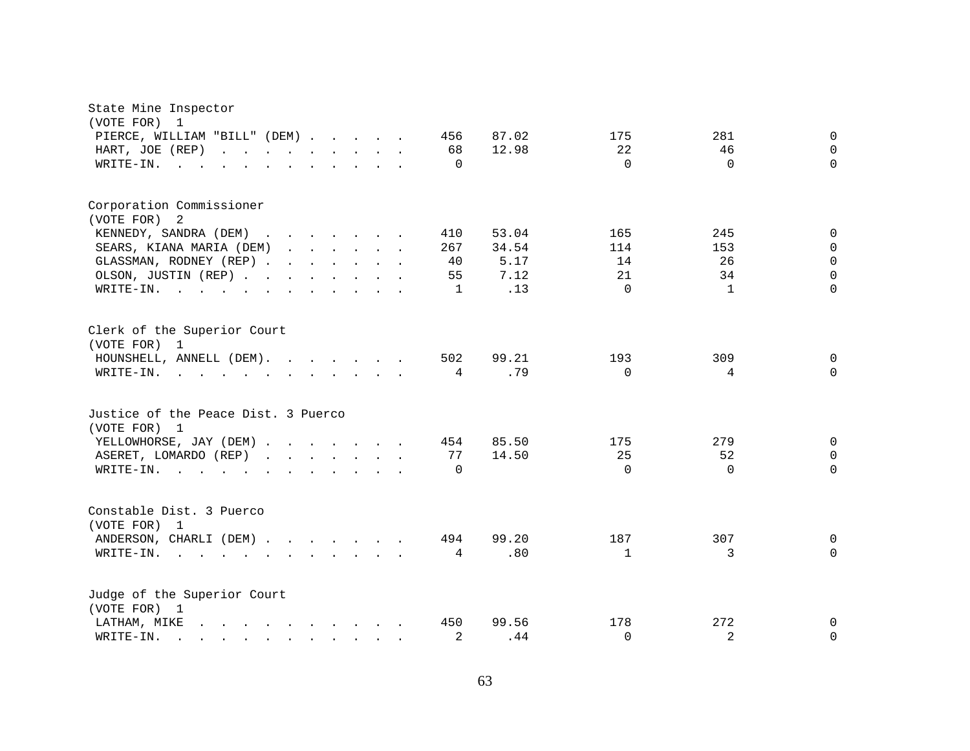| State Mine Inspector<br>(VOTE FOR)<br>$\mathbf{1}$                                                                                            |              |              |                |             |
|-----------------------------------------------------------------------------------------------------------------------------------------------|--------------|--------------|----------------|-------------|
| PIERCE, WILLIAM "BILL" (DEM)                                                                                                                  | 87.02<br>456 | 175          | 281            | $\mathbf 0$ |
| HART, JOE (REP)<br>and the contract of the contract of                                                                                        | 68<br>12.98  | 22           | 46             | $\Omega$    |
| WRITE-IN.<br>$\sim$ 100 $\sim$                                                                                                                | $\Omega$     | $\Omega$     | $\Omega$       | $\Omega$    |
|                                                                                                                                               |              |              |                |             |
| Corporation Commissioner                                                                                                                      |              |              |                |             |
| (VOTE FOR)<br>-2                                                                                                                              |              |              |                |             |
| KENNEDY, SANDRA (DEM)                                                                                                                         | 410<br>53.04 | 165          | 245            | 0           |
| SEARS, KIANA MARIA (DEM)                                                                                                                      | 267<br>34.54 | 114          | 153            | $\Omega$    |
| GLASSMAN, RODNEY (REP)                                                                                                                        | 5.17<br>40   | 14           | 26             | $\Omega$    |
| OLSON, JUSTIN (REP)                                                                                                                           | 7.12<br>55   | 21           | 34             | $\Omega$    |
| WRITE-IN.<br>the contract of the contract of the contract of the contract of the contract of the contract of the contract of                  | .13<br>1     | $\Omega$     | $\mathbf{1}$   | $\Omega$    |
| Clerk of the Superior Court<br>(VOTE FOR) 1                                                                                                   |              |              |                |             |
| HOUNSHELL, ANNELL (DEM).                                                                                                                      | 502<br>99.21 | 193          | 309            | 0           |
| WRITE-IN.                                                                                                                                     | .79<br>4     | $\Omega$     | 4              | $\Omega$    |
| Justice of the Peace Dist. 3 Puerco<br>(VOTE FOR) 1                                                                                           |              |              |                |             |
| YELLOWHORSE, JAY (DEM)                                                                                                                        | 85.50<br>454 | 175          | 279            | $\mathbf 0$ |
| ASERET, LOMARDO (REP)                                                                                                                         | 77<br>14.50  | 25           | 52             | $\mathbf 0$ |
| WRITE-IN.<br>$\cdot$ $\cdot$ $\cdot$ $\cdot$ $\cdot$ $\cdot$                                                                                  | $\Omega$     | $\Omega$     | $\Omega$       | $\Omega$    |
|                                                                                                                                               |              |              |                |             |
| Constable Dist. 3 Puerco<br>(VOTE FOR) 1                                                                                                      |              |              |                |             |
| ANDERSON, CHARLI (DEM)                                                                                                                        | 99.20<br>494 | 187          | 307            | $\Omega$    |
| WRITE-IN.<br>$\mathbf{r} = \mathbf{r} - \mathbf{r}$ , and $\mathbf{r} = \mathbf{r} - \mathbf{r}$ , and $\mathbf{r} = \mathbf{r} - \mathbf{r}$ | .80<br>4     | $\mathbf{1}$ | 3              | $\Omega$    |
|                                                                                                                                               |              |              |                |             |
| Judge of the Superior Court<br>(VOTE FOR) 1                                                                                                   |              |              |                |             |
| LATHAM, MIKE<br>$\mathbf{r}$ , and $\mathbf{r}$ , and $\mathbf{r}$ , and $\mathbf{r}$ , and $\mathbf{r}$                                      | 450<br>99.56 | 178          | 272            | 0           |
| WRITE-IN.<br>$\mathbf{r} = \mathbf{r} - \mathbf{r}$ , $\mathbf{r} = \mathbf{r} - \mathbf{r}$ , $\mathbf{r} = \mathbf{r} - \mathbf{r}$         | 2<br>.44     | $\Omega$     | $\overline{2}$ | 0           |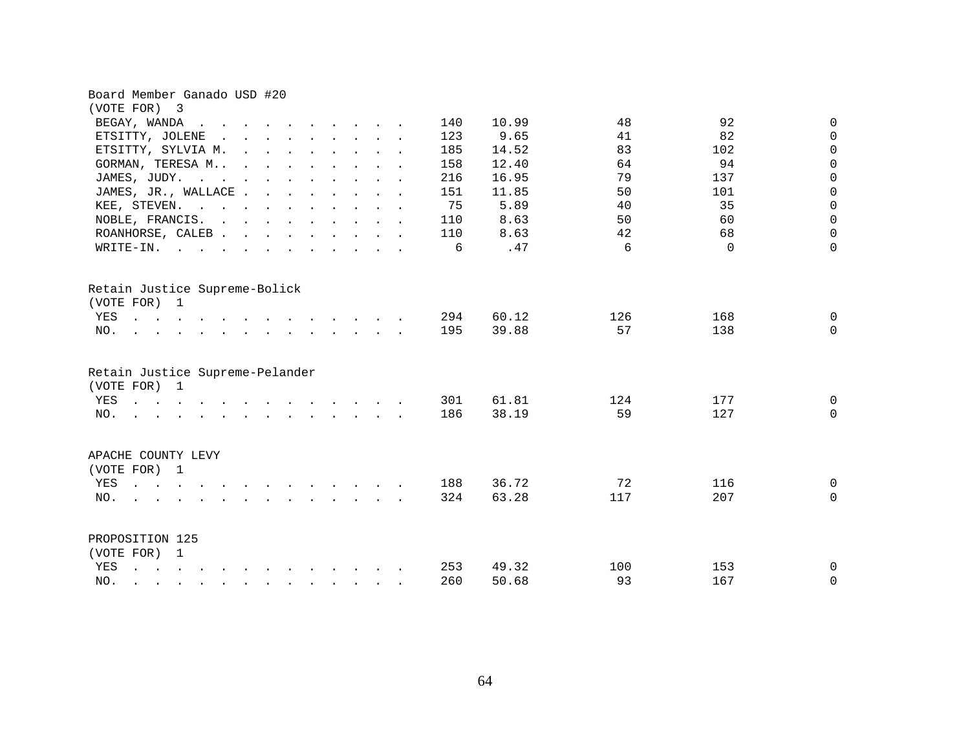| Board Member Ganado USD #20                                                                                                                                                                                                                           |              |     |          |              |
|-------------------------------------------------------------------------------------------------------------------------------------------------------------------------------------------------------------------------------------------------------|--------------|-----|----------|--------------|
| (VOTE FOR) 3                                                                                                                                                                                                                                          |              |     |          |              |
| BEGAY, WANDA<br>$\ddot{\phantom{a}}$                                                                                                                                                                                                                  | 140<br>10.99 | 48  | 92       | 0            |
| ETSITTY, JOLENE<br>$\mathbf{r}$ , and $\mathbf{r}$ , and $\mathbf{r}$ , and $\mathbf{r}$<br>$\sim$                                                                                                                                                    | 123<br>9.65  | 41  | 82       | $\mathbf 0$  |
| ETSITTY, SYLVIA M.<br>$\mathbf{r} = \mathbf{r} - \mathbf{r}$ , and $\mathbf{r} = \mathbf{r} - \mathbf{r}$ , and $\mathbf{r} = \mathbf{r} - \mathbf{r}$                                                                                                | 14.52<br>185 | 83  | 102      | $\mathbf 0$  |
| GORMAN, TERESA M<br>$\mathbf{r}$ . The contract of the contract of the contract of the contract of the contract of the contract of the contract of the contract of the contract of the contract of the contract of the contract of the contract of th | 158<br>12.40 | 64  | 94       | $\mathbf 0$  |
| JAMES, JUDY.<br>the contract of the contract of the contract of the contract of the contract of the contract of the contract of                                                                                                                       | 16.95<br>216 | 79  | 137      | $\mathbf 0$  |
| JAMES, JR., WALLACE                                                                                                                                                                                                                                   | 151<br>11.85 | 50  | 101      | $\mathbf 0$  |
| KEE, STEVEN.                                                                                                                                                                                                                                          | 75<br>5.89   | 40  | 35       | $\mathbf 0$  |
| NOBLE, FRANCIS.                                                                                                                                                                                                                                       | 8.63<br>110  | 50  | 60       | $\mathsf{O}$ |
| ROANHORSE, CALEB.<br>$\mathbf{r}$ , $\mathbf{r}$ , $\mathbf{r}$ , $\mathbf{r}$ , $\mathbf{r}$ , $\mathbf{r}$ , $\mathbf{r}$                                                                                                                           | 8.63<br>110  | 42  | 68       | 0            |
| $W\text{RITE}-\text{IN}.$<br>$\sim$ $\sim$<br>$\mathbf{r} = \mathbf{r}$ , $\mathbf{r} = \mathbf{r}$                                                                                                                                                   | .47<br>6     | 6   | $\Omega$ | $\mathbf 0$  |
| Retain Justice Supreme-Bolick<br>(VOTE FOR) 1                                                                                                                                                                                                         |              |     |          |              |
| YES                                                                                                                                                                                                                                                   | 294<br>60.12 | 126 | 168      | $\mathbf 0$  |
| NO.<br>$\mathbf{r}$ , and $\mathbf{r}$ , and $\mathbf{r}$ , and $\mathbf{r}$ , and $\mathbf{r}$                                                                                                                                                       | 39.88<br>195 | 57  | 138      | $\Omega$     |
| Retain Justice Supreme-Pelander<br>(VOTE FOR) 1                                                                                                                                                                                                       |              |     |          |              |
| and the contract of the contract of the contract of the contract of the contract of the contract of the contract of the contract of the contract of the contract of the contract of the contract of the contract of the contra<br>YES                 | 301<br>61.81 | 124 | 177      | 0            |
| $\mathcal{L}$ . The state of the state of the state $\mathcal{L}$ is the state of the state of the state of the state of the state of the state of the state of the state of the state of the state of the state of the state of the st<br>NO.        | 186<br>38.19 | 59  | 127      | $\Omega$     |
| APACHE COUNTY LEVY<br>(VOTE FOR) 1                                                                                                                                                                                                                    |              |     |          |              |
| YES<br>$\sim$                                                                                                                                                                                                                                         | 36.72<br>188 | 72  | 116      | $\mathbf 0$  |
| NO.                                                                                                                                                                                                                                                   | 63.28<br>324 | 117 | 207      | $\mathbf 0$  |
|                                                                                                                                                                                                                                                       |              |     |          |              |
| PROPOSITION 125                                                                                                                                                                                                                                       |              |     |          |              |
| (VOTE FOR) 1                                                                                                                                                                                                                                          |              |     |          |              |
| YES<br>$\mathbf{r}$ , $\mathbf{r}$ , $\mathbf{r}$ , $\mathbf{r}$ , $\mathbf{r}$ , $\mathbf{r}$ , $\mathbf{r}$ , $\mathbf{r}$ , $\mathbf{r}$ , $\mathbf{r}$                                                                                            | 253<br>49.32 | 100 | 153      | 0            |
| NO.<br>$\mathbf{r} = \mathbf{r} - \mathbf{r} = \mathbf{r} - \mathbf{r} - \mathbf{r} = \mathbf{r} - \mathbf{r} - \mathbf{r} - \mathbf{r} - \mathbf{r}$                                                                                                 | 260<br>50.68 | 93  | 167      | $\mathbf 0$  |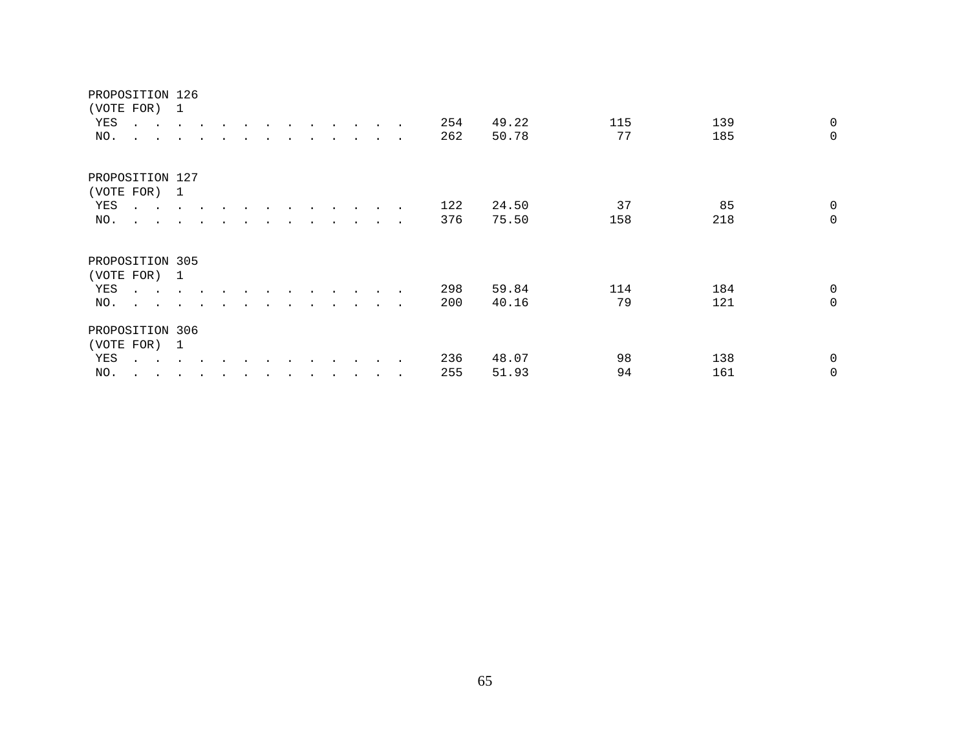| (VOTE FOR)      |                                                           | $\mathbf{1}$   |           |  |  |                      |                      |                      |        |     |       |     |     |                |
|-----------------|-----------------------------------------------------------|----------------|-----------|--|--|----------------------|----------------------|----------------------|--------|-----|-------|-----|-----|----------------|
| YES             | $\sim$ $\sim$ $\sim$                                      |                |           |  |  | $\ddot{\phantom{0}}$ | $\ddot{\phantom{0}}$ |                      |        | 254 | 49.22 | 115 | 139 | $\mathbf 0$    |
| NO.             | $\sim$ $\sim$<br>$\sim$                                   |                |           |  |  |                      |                      |                      |        | 262 | 50.78 | 77  | 185 | $\mathbf 0$    |
| PROPOSITION 127 |                                                           |                |           |  |  |                      |                      |                      |        |     |       |     |     |                |
| (VOTE FOR)      |                                                           | $\overline{1}$ |           |  |  |                      |                      |                      |        |     |       |     |     |                |
| YES             | $\cdot$ $\cdot$                                           |                |           |  |  |                      |                      |                      |        | 122 | 24.50 | 37  | 85  | $\overline{0}$ |
| NO.             | $\mathbf{r}$ , $\mathbf{r}$ , $\mathbf{r}$ , $\mathbf{r}$ |                |           |  |  |                      |                      | $\ddot{\phantom{0}}$ | $\sim$ | 376 | 75.50 | 158 | 218 | $\mathbf 0$    |
| PROPOSITION 305 | (VOTE FOR) 1                                              |                |           |  |  |                      |                      |                      |        |     |       |     |     |                |
| YES             | $\ddot{\phantom{0}}$<br>$\sim$                            |                |           |  |  |                      |                      |                      |        | 298 | 59.84 | 114 | 184 | $\overline{0}$ |
| NO.             | $\ddot{\phantom{a}}$<br>$\sim$                            |                |           |  |  |                      |                      | $\ddot{\phantom{1}}$ | $\sim$ | 200 | 40.16 | 79  | 121 | $\mathbf 0$    |
| PROPOSITION 306 |                                                           |                |           |  |  |                      |                      |                      |        |     |       |     |     |                |
|                 | (VOTE FOR) 1                                              |                |           |  |  |                      |                      |                      |        |     |       |     |     |                |
| YES             | $\sim$ $\sim$                                             |                |           |  |  |                      |                      |                      |        | 236 | 48.07 | 98  | 138 | 0              |
| NO.             | $\ddot{\phantom{0}}$<br>$\sim$                            |                | $\bullet$ |  |  |                      |                      |                      | $\sim$ | 255 | 51.93 | 94  | 161 | $\mathbf 0$    |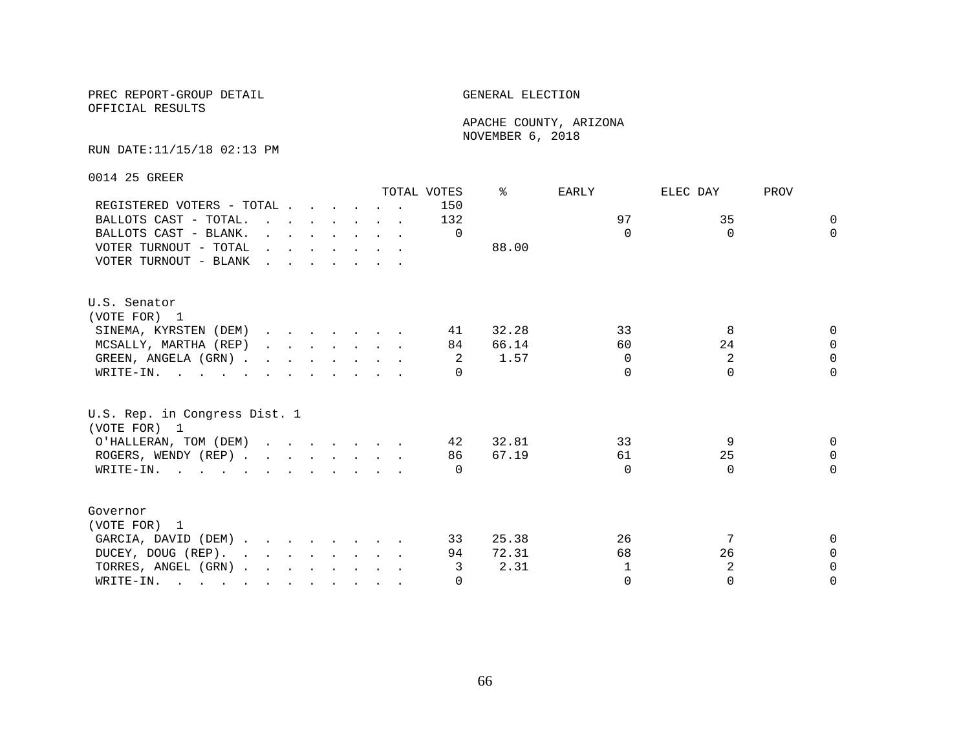OFFICIAL RESULTS

 APACHE COUNTY, ARIZONA NOVEMBER 6, 2018

### RUN DATE:11/15/18 02:13 PM

0014 25 GREER

|                                                                                                       |                                                                                                                                                                                                                                   |  |  |  | TOTAL VOTES | ⊱     | EARLY        | ELEC DAY | PROV     |
|-------------------------------------------------------------------------------------------------------|-----------------------------------------------------------------------------------------------------------------------------------------------------------------------------------------------------------------------------------|--|--|--|-------------|-------|--------------|----------|----------|
| REGISTERED VOTERS - TOTAL                                                                             |                                                                                                                                                                                                                                   |  |  |  | 150         |       |              |          |          |
| BALLOTS CAST - TOTAL.                                                                                 | $\mathbf{r}$ , $\mathbf{r}$ , $\mathbf{r}$ , $\mathbf{r}$ , $\mathbf{r}$ , $\mathbf{r}$                                                                                                                                           |  |  |  | 132         |       | 97           | 35       | $\Omega$ |
| BALLOTS CAST - BLANK.                                                                                 | $\mathbf{r}$ , $\mathbf{r}$ , $\mathbf{r}$ , $\mathbf{r}$ , $\mathbf{r}$ , $\mathbf{r}$                                                                                                                                           |  |  |  | $\Omega$    |       | $\Omega$     | $\Omega$ | $\Omega$ |
| VOTER TURNOUT - TOTAL                                                                                 | $\mathbf{r}$ , and $\mathbf{r}$ , and $\mathbf{r}$ , and $\mathbf{r}$                                                                                                                                                             |  |  |  |             | 88.00 |              |          |          |
| VOTER TURNOUT - BLANK                                                                                 | $\mathbf{r}$ . The set of the set of the set of the set of the set of the set of the set of the set of the set of the set of the set of the set of the set of the set of the set of the set of the set of the set of the set of t |  |  |  |             |       |              |          |          |
| U.S. Senator                                                                                          |                                                                                                                                                                                                                                   |  |  |  |             |       |              |          |          |
| (VOTE FOR) 1                                                                                          |                                                                                                                                                                                                                                   |  |  |  |             |       |              |          |          |
| SINEMA, KYRSTEN (DEM)                                                                                 |                                                                                                                                                                                                                                   |  |  |  | 41          | 32.28 | 33           | 8        | $\Omega$ |
| MCSALLY, MARTHA (REP)                                                                                 |                                                                                                                                                                                                                                   |  |  |  | 84          | 66.14 | 60           | 24       | $\Omega$ |
| GREEN, ANGELA (GRN).                                                                                  |                                                                                                                                                                                                                                   |  |  |  | -2          | 1.57  | $\Omega$     | 2        | $\Omega$ |
| WRITE-IN.                                                                                             |                                                                                                                                                                                                                                   |  |  |  | $\Omega$    |       | $\Omega$     | $\Omega$ | $\Omega$ |
| U.S. Rep. in Congress Dist. 1<br>(VOTE FOR) 1                                                         |                                                                                                                                                                                                                                   |  |  |  |             |       |              |          |          |
| O'HALLERAN, TOM (DEM)                                                                                 |                                                                                                                                                                                                                                   |  |  |  | 42          | 32.81 | 33           | 9        | $\Omega$ |
| ROGERS, WENDY (REP)                                                                                   |                                                                                                                                                                                                                                   |  |  |  | 86          | 67.19 | 61           | 25       | $\Omega$ |
| WRITE-IN.                                                                                             |                                                                                                                                                                                                                                   |  |  |  | $\bigcap$   |       | $\Omega$     | $\Omega$ | $\Omega$ |
| Governor                                                                                              |                                                                                                                                                                                                                                   |  |  |  |             |       |              |          |          |
| (VOTE FOR) 1                                                                                          |                                                                                                                                                                                                                                   |  |  |  |             |       |              |          |          |
| GARCIA, DAVID (DEM)                                                                                   |                                                                                                                                                                                                                                   |  |  |  | 33          | 25.38 | 26           |          | $\Omega$ |
| DUCEY, DOUG (REP).                                                                                    |                                                                                                                                                                                                                                   |  |  |  | 94          | 72.31 | 68           | 26       | $\Omega$ |
| TORRES, ANGEL (GRN)                                                                                   |                                                                                                                                                                                                                                   |  |  |  | 3           | 2.31  | $\mathbf{1}$ | 2        | $\Omega$ |
| WRITE-IN.<br>$\mathbf{r}$ , and $\mathbf{r}$ , and $\mathbf{r}$ , and $\mathbf{r}$ , and $\mathbf{r}$ |                                                                                                                                                                                                                                   |  |  |  | $\Omega$    |       | $\Omega$     | $\Omega$ | $\Omega$ |
|                                                                                                       |                                                                                                                                                                                                                                   |  |  |  |             |       |              |          |          |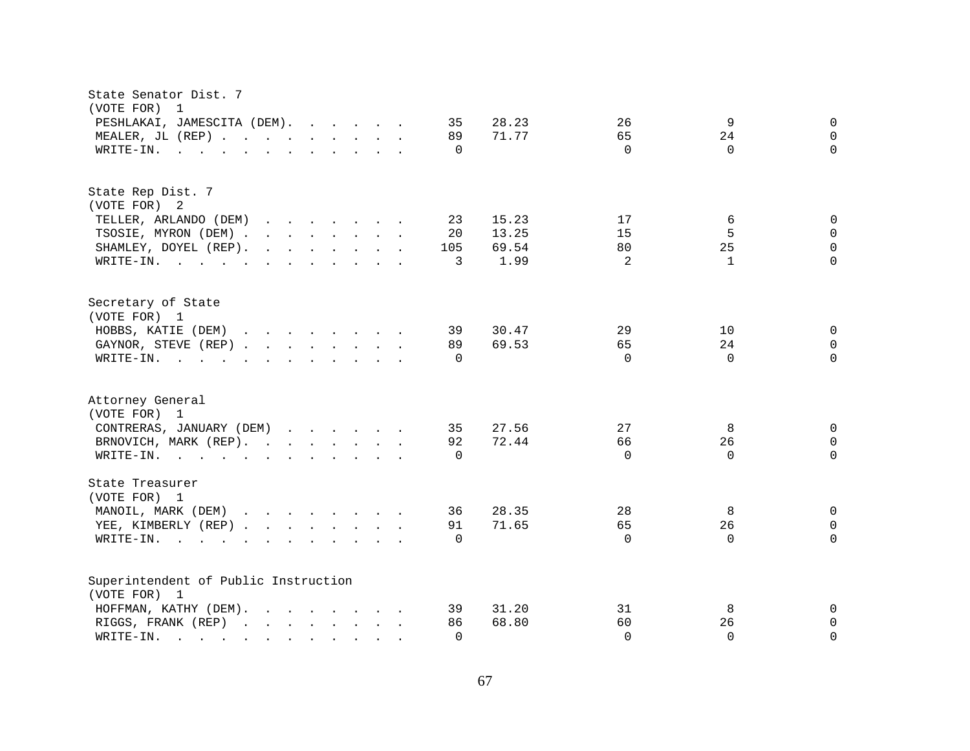| State Senator Dist. 7<br>(VOTE FOR)<br>1                                                                                                                                                                                                                                                                                                                          |                                  |
|-------------------------------------------------------------------------------------------------------------------------------------------------------------------------------------------------------------------------------------------------------------------------------------------------------------------------------------------------------------------|----------------------------------|
| PESHLAKAI, JAMESCITA (DEM).                                                                                                                                                                                                                                                                                                                                       | 9                                |
| 35                                                                                                                                                                                                                                                                                                                                                                | 26                               |
| 28.23                                                                                                                                                                                                                                                                                                                                                             | $\mathsf{O}$                     |
| MEALER, JL (REP)                                                                                                                                                                                                                                                                                                                                                  | 65                               |
| 71.77                                                                                                                                                                                                                                                                                                                                                             | 24                               |
| 89                                                                                                                                                                                                                                                                                                                                                                | $\mathbf 0$                      |
| WRITE-IN.                                                                                                                                                                                                                                                                                                                                                         | $\Omega$                         |
| $\mathbf{r}$ , and $\mathbf{r}$ , and $\mathbf{r}$ , and $\mathbf{r}$ , and $\mathbf{r}$                                                                                                                                                                                                                                                                          | $\Omega$                         |
| $\Omega$                                                                                                                                                                                                                                                                                                                                                          | $\Omega$                         |
|                                                                                                                                                                                                                                                                                                                                                                   |                                  |
| State Rep Dist. 7                                                                                                                                                                                                                                                                                                                                                 |                                  |
| (VOTE FOR) 2                                                                                                                                                                                                                                                                                                                                                      |                                  |
| TELLER, ARLANDO (DEM)                                                                                                                                                                                                                                                                                                                                             | 17                               |
| 15.23                                                                                                                                                                                                                                                                                                                                                             | 6                                |
| 23                                                                                                                                                                                                                                                                                                                                                                | $\mathbf 0$                      |
| TSOSIE, MYRON (DEM)                                                                                                                                                                                                                                                                                                                                               | 5                                |
| 13.25                                                                                                                                                                                                                                                                                                                                                             | 15                               |
| 20                                                                                                                                                                                                                                                                                                                                                                | $\Omega$                         |
| SHAMLEY, DOYEL (REP).                                                                                                                                                                                                                                                                                                                                             | 80                               |
| 69.54                                                                                                                                                                                                                                                                                                                                                             | 25                               |
| 105                                                                                                                                                                                                                                                                                                                                                               | $\Omega$                         |
| 1.99                                                                                                                                                                                                                                                                                                                                                              | 2                                |
| WRITE-IN.                                                                                                                                                                                                                                                                                                                                                         | $\mathbf{1}$                     |
| 3                                                                                                                                                                                                                                                                                                                                                                 | $\Omega$                         |
| Secretary of State                                                                                                                                                                                                                                                                                                                                                |                                  |
| (VOTE FOR) 1                                                                                                                                                                                                                                                                                                                                                      |                                  |
| HOBBS, KATIE (DEM)                                                                                                                                                                                                                                                                                                                                                | 29                               |
| 39                                                                                                                                                                                                                                                                                                                                                                | 10                               |
| 30.47                                                                                                                                                                                                                                                                                                                                                             | 0                                |
| GAYNOR, STEVE (REP)                                                                                                                                                                                                                                                                                                                                               | 65                               |
| 89                                                                                                                                                                                                                                                                                                                                                                | 24                               |
| 69.53                                                                                                                                                                                                                                                                                                                                                             | $\mathbf 0$                      |
| WRITE-IN.                                                                                                                                                                                                                                                                                                                                                         | $\Omega$                         |
| $\mathbf{r}$ . The state of the state of the state $\mathbf{r}$                                                                                                                                                                                                                                                                                                   | $\Omega$                         |
| $\Omega$                                                                                                                                                                                                                                                                                                                                                          | $\Omega$                         |
|                                                                                                                                                                                                                                                                                                                                                                   |                                  |
| Attorney General                                                                                                                                                                                                                                                                                                                                                  |                                  |
| (VOTE FOR) 1                                                                                                                                                                                                                                                                                                                                                      |                                  |
| 27.56                                                                                                                                                                                                                                                                                                                                                             | 27                               |
| CONTRERAS, JANUARY (DEM)                                                                                                                                                                                                                                                                                                                                          | 8                                |
| 35                                                                                                                                                                                                                                                                                                                                                                | $\mathbf 0$                      |
| BRNOVICH, MARK (REP).                                                                                                                                                                                                                                                                                                                                             | 66                               |
| 92                                                                                                                                                                                                                                                                                                                                                                | 26                               |
| 72.44                                                                                                                                                                                                                                                                                                                                                             | $\mathbf 0$                      |
| WRITE-IN.<br>$\Omega$                                                                                                                                                                                                                                                                                                                                             | $\Omega$<br>$\Omega$<br>$\Omega$ |
| State Treasurer                                                                                                                                                                                                                                                                                                                                                   |                                  |
| (VOTE FOR) 1                                                                                                                                                                                                                                                                                                                                                      |                                  |
| MANOIL, MARK (DEM)                                                                                                                                                                                                                                                                                                                                                | 28                               |
| 28.35                                                                                                                                                                                                                                                                                                                                                             | 8                                |
| 36                                                                                                                                                                                                                                                                                                                                                                | $\mathbf 0$                      |
| YEE, KIMBERLY (REP)                                                                                                                                                                                                                                                                                                                                               | 26                               |
| 91                                                                                                                                                                                                                                                                                                                                                                | 65                               |
| 71.65                                                                                                                                                                                                                                                                                                                                                             | $\mathbf 0$                      |
| WRITE-IN.<br>and the contract of the contract of the contract of the contract of the contract of the contract of the contract of the contract of the contract of the contract of the contract of the contract of the contract of the contra<br>$\Omega$<br>$\mathbf{r}$ , $\mathbf{r}$ , $\mathbf{r}$ , $\mathbf{r}$ , $\mathbf{r}$ , $\mathbf{r}$ , $\mathbf{r}$ | $\Omega$<br>$\Omega$<br>$\Omega$ |
| Superintendent of Public Instruction                                                                                                                                                                                                                                                                                                                              |                                  |
| (VOTE FOR) 1                                                                                                                                                                                                                                                                                                                                                      |                                  |
| HOFFMAN, KATHY (DEM).                                                                                                                                                                                                                                                                                                                                             | 31                               |
| 31.20                                                                                                                                                                                                                                                                                                                                                             | 8                                |
| 39                                                                                                                                                                                                                                                                                                                                                                | $\mathbf 0$                      |
| 68.80                                                                                                                                                                                                                                                                                                                                                             | 60                               |
| RIGGS, FRANK (REP)                                                                                                                                                                                                                                                                                                                                                | 26                               |
| 86                                                                                                                                                                                                                                                                                                                                                                | $\mathbf 0$                      |
| $\Omega$                                                                                                                                                                                                                                                                                                                                                          | $\Omega$                         |
| WRITE-IN.                                                                                                                                                                                                                                                                                                                                                         | $\Omega$                         |
| the contract of the contract of the                                                                                                                                                                                                                                                                                                                               | $\Omega$                         |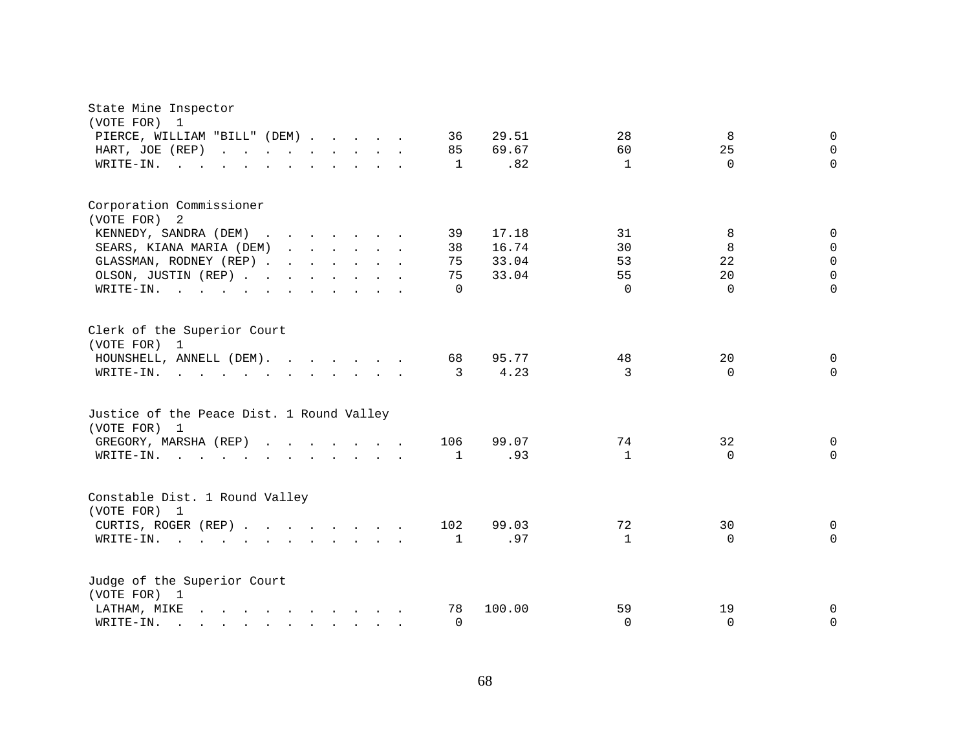| State Mine Inspector<br>(VOTE FOR) 1<br>PIERCE, WILLIAM "BILL" (DEM)<br>HART, JOE (REP)<br>WRITE-IN. .                                                                                                                                                                                                                                                                                                 |                                                                                                                                                                                                                                   |  | 36<br>85<br>1                    | 29.51<br>69.67<br>.82            | 28<br>60<br>$\mathbf{1}$         | 8<br>25<br>$\Omega$            | $\overline{0}$<br>$\mathbf 0$<br>$\Omega$                     |
|--------------------------------------------------------------------------------------------------------------------------------------------------------------------------------------------------------------------------------------------------------------------------------------------------------------------------------------------------------------------------------------------------------|-----------------------------------------------------------------------------------------------------------------------------------------------------------------------------------------------------------------------------------|--|----------------------------------|----------------------------------|----------------------------------|--------------------------------|---------------------------------------------------------------|
| Corporation Commissioner<br>(VOTE FOR) 2<br>KENNEDY, SANDRA (DEM)<br>SEARS, KIANA MARIA (DEM)<br>GLASSMAN, RODNEY (REP)<br>OLSON, JUSTIN (REP)<br>WRITE-IN.<br>$\mathbf{r}$ , and $\mathbf{r}$ , and $\mathbf{r}$ , and $\mathbf{r}$ , and $\mathbf{r}$                                                                                                                                                | $\mathbf{r}$ . The set of the set of the set of the set of the set of the set of the set of the set of the set of the set of the set of the set of the set of the set of the set of the set of the set of the set of the set of t |  | 39<br>38<br>75<br>75<br>$\Omega$ | 17.18<br>16.74<br>33.04<br>33.04 | 31<br>30<br>53<br>55<br>$\Omega$ | 8<br>8<br>22<br>20<br>$\Omega$ | 0<br>$\mathbf 0$<br>$\mathbf 0$<br>$\overline{0}$<br>$\Omega$ |
| Clerk of the Superior Court<br>(VOTE FOR) 1<br>HOUNSHELL, ANNELL $(DEM)$ .<br>WRITE-IN.<br>$\mathbf{r}$ , and $\mathbf{r}$ , and $\mathbf{r}$ , and $\mathbf{r}$ , and $\mathbf{r}$                                                                                                                                                                                                                    |                                                                                                                                                                                                                                   |  | 68<br>3                          | 95.77<br>4.23                    | 48<br>3                          | 20<br>$\Omega$                 | $\Omega$<br>$\Omega$                                          |
| Justice of the Peace Dist. 1 Round Valley<br>(VOTE FOR) 1<br>GREGORY, MARSHA (REP)<br>WRITE-IN.<br>$\mathbf{r}$ . The set of the set of the set of the set of the set of the set of the set of the set of the set of the set of the set of the set of the set of the set of the set of the set of the set of the set of the set of t                                                                   |                                                                                                                                                                                                                                   |  | 106<br>1                         | 99.07<br>.93                     | 74<br>$\mathbf{1}$               | 32<br>$\Omega$                 | 0<br>$\Omega$                                                 |
| Constable Dist. 1 Round Valley<br>(VOTE FOR) 1<br>CURTIS, ROGER (REP)<br>WRITE-IN.<br>$\mathbf{L} = \mathbf{L}$                                                                                                                                                                                                                                                                                        | $\mathbf{r}$ , and $\mathbf{r}$ , and $\mathbf{r}$ , and $\mathbf{r}$                                                                                                                                                             |  | 102<br>$\mathbf{1}$              | 99.03<br>.97                     | 72<br>$\mathbf{1}$               | 30<br>$\mathbf 0$              | 0<br>$\Omega$                                                 |
| Judge of the Superior Court<br>(VOTE FOR) 1<br>and the contract of the contract of the contract of the contract of the contract of the contract of the contract of the contract of the contract of the contract of the contract of the contract of the contract of the contra<br>LATHAM, MIKE<br>WRITE-IN.<br>$\mathbf{r}$ , and $\mathbf{r}$ , and $\mathbf{r}$ , and $\mathbf{r}$ , and $\mathbf{r}$ |                                                                                                                                                                                                                                   |  | 78<br>$\Omega$                   | 100.00                           | 59<br>$\mathbf{0}$               | 19<br>$\Omega$                 | 0<br>$\Omega$                                                 |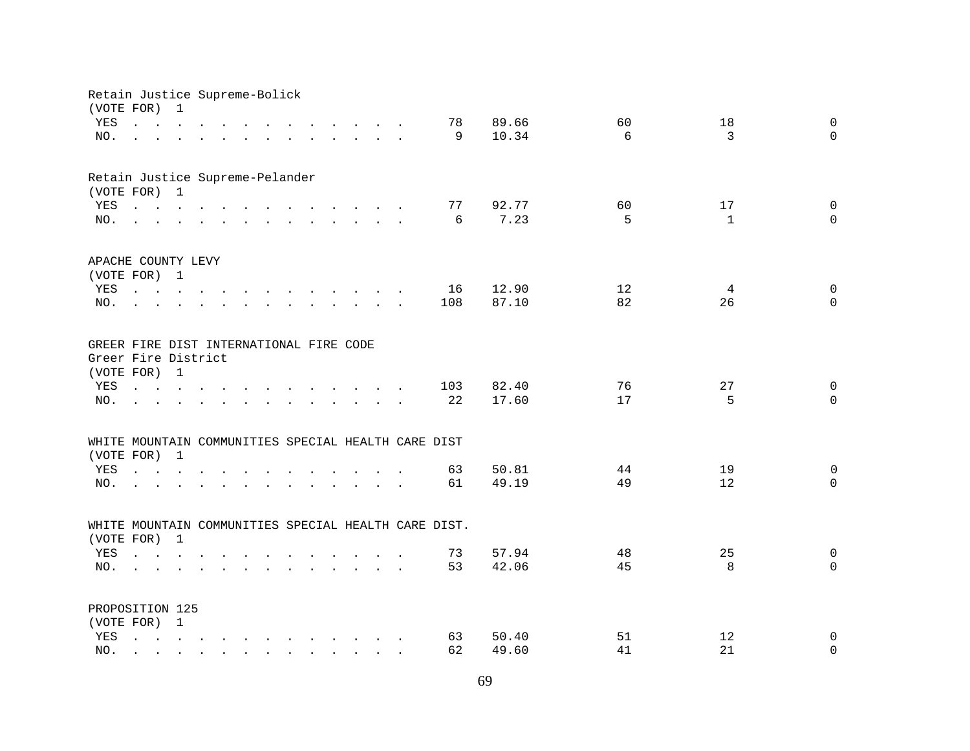|            | Retain Justice Supreme-Bolick<br>(VOTE FOR)                                                                                                                                                                                    | 1              |               |               |                                                                                                                                                                                                                                   |                                      |                                                                                                                                                                                                                                      |                                                      |       |    |              |             |
|------------|--------------------------------------------------------------------------------------------------------------------------------------------------------------------------------------------------------------------------------|----------------|---------------|---------------|-----------------------------------------------------------------------------------------------------------------------------------------------------------------------------------------------------------------------------------|--------------------------------------|--------------------------------------------------------------------------------------------------------------------------------------------------------------------------------------------------------------------------------------|------------------------------------------------------|-------|----|--------------|-------------|
| YES        | $\mathbf{r}$ , $\mathbf{r}$ , $\mathbf{r}$ , $\mathbf{r}$ , $\mathbf{r}$                                                                                                                                                       |                |               |               |                                                                                                                                                                                                                                   |                                      | $\mathbf{r}$ , $\mathbf{r}$ , $\mathbf{r}$ , $\mathbf{r}$ , $\mathbf{r}$                                                                                                                                                             | 78                                                   | 89.66 | 60 | 18           | $\mathbf 0$ |
| NO.        |                                                                                                                                                                                                                                |                |               |               |                                                                                                                                                                                                                                   |                                      |                                                                                                                                                                                                                                      | 9                                                    | 10.34 | 6  | 3            | $\mathbf 0$ |
|            | $\mathbf{r}$ , $\mathbf{r}$ , $\mathbf{r}$                                                                                                                                                                                     |                |               |               |                                                                                                                                                                                                                                   |                                      | and a series of the contract of the series of the series of the series of the series of the series of the series of the series of the series of the series of the series of the series of the series of the series of the seri       |                                                      |       |    |              |             |
|            | Retain Justice Supreme-Pelander                                                                                                                                                                                                |                |               |               |                                                                                                                                                                                                                                   |                                      |                                                                                                                                                                                                                                      |                                                      |       |    |              |             |
|            | (VOTE FOR) 1                                                                                                                                                                                                                   |                |               |               |                                                                                                                                                                                                                                   |                                      |                                                                                                                                                                                                                                      |                                                      |       |    |              |             |
| YES        | the contract of the contract of the contract of the contract of the contract of the contract of the contract of                                                                                                                |                |               |               |                                                                                                                                                                                                                                   |                                      |                                                                                                                                                                                                                                      | 77                                                   | 92.77 | 60 | 17           | $\mathbf 0$ |
| NO.        | and a series of the contract and a series of the contract of the contract of the contract of the contract of the contract of the contract of the contract of the contract of the contract of the contract of the contract of t |                |               |               |                                                                                                                                                                                                                                   |                                      |                                                                                                                                                                                                                                      | 6                                                    | 7.23  | 5  | $\mathbf{1}$ | $\Omega$    |
|            | APACHE COUNTY LEVY                                                                                                                                                                                                             |                |               |               |                                                                                                                                                                                                                                   |                                      |                                                                                                                                                                                                                                      |                                                      |       |    |              |             |
|            | (VOTE FOR) 1                                                                                                                                                                                                                   |                |               |               |                                                                                                                                                                                                                                   |                                      |                                                                                                                                                                                                                                      |                                                      |       |    |              |             |
| YES        | $\mathbf{r} = \mathbf{r} + \mathbf{r} + \mathbf{r} + \mathbf{r} + \mathbf{r}$                                                                                                                                                  |                |               |               | $\mathbf{r}$ , and $\mathbf{r}$ , and $\mathbf{r}$ , and $\mathbf{r}$                                                                                                                                                             |                                      |                                                                                                                                                                                                                                      | 16                                                   | 12.90 | 12 | 4            | $\mathbf 0$ |
| NO.        | $\mathbf{r}$ , $\mathbf{r}$ , $\mathbf{r}$ , $\mathbf{r}$ , $\mathbf{r}$                                                                                                                                                       |                |               | $\sim$        |                                                                                                                                                                                                                                   |                                      | and the contract of the contract of the contract of the contract of the contract of the contract of the contract of the contract of the contract of the contract of the contract of the contract of the contract of the contra       | 108                                                  | 87.10 | 82 | 26           | $\Omega$    |
|            | GREER FIRE DIST INTERNATIONAL FIRE CODE                                                                                                                                                                                        |                |               |               |                                                                                                                                                                                                                                   |                                      |                                                                                                                                                                                                                                      |                                                      |       |    |              |             |
|            | Greer Fire District<br>(VOTE FOR) 1                                                                                                                                                                                            |                |               |               |                                                                                                                                                                                                                                   |                                      |                                                                                                                                                                                                                                      |                                                      |       |    |              |             |
| YES        | $\mathbf{r}$ , $\mathbf{r}$ , $\mathbf{r}$ , $\mathbf{r}$                                                                                                                                                                      |                |               | $\sim$ $\sim$ | $\mathbf{r}$ , and $\mathbf{r}$ , and $\mathbf{r}$ , and $\mathbf{r}$                                                                                                                                                             |                                      |                                                                                                                                                                                                                                      | 103                                                  | 82.40 | 76 | 27           | $\mathbf 0$ |
| NO.        |                                                                                                                                                                                                                                |                |               |               |                                                                                                                                                                                                                                   |                                      | $\mathbf{r}$ and $\mathbf{r}$ are the set of the set of the set of the set of the set of the set of the set of the set of the set of the set of the set of the set of the set of the set of the set of the set of the set of the set | 22                                                   | 17.60 | 17 | 5            | $\Omega$    |
|            |                                                                                                                                                                                                                                |                |               |               |                                                                                                                                                                                                                                   |                                      |                                                                                                                                                                                                                                      | WHITE MOUNTAIN COMMUNITIES SPECIAL HEALTH CARE DIST  |       |    |              |             |
|            | (VOTE FOR) 1                                                                                                                                                                                                                   |                |               |               |                                                                                                                                                                                                                                   |                                      |                                                                                                                                                                                                                                      |                                                      |       |    |              |             |
| YES        | $\mathbf{r}$ , $\mathbf{r}$ , $\mathbf{r}$ , $\mathbf{r}$                                                                                                                                                                      |                |               |               |                                                                                                                                                                                                                                   | $\mathbf{L} = \mathbf{L} \mathbf{L}$ |                                                                                                                                                                                                                                      | 63                                                   | 50.81 | 44 | 19           | $\mathbf 0$ |
| NO.        |                                                                                                                                                                                                                                |                |               |               |                                                                                                                                                                                                                                   |                                      |                                                                                                                                                                                                                                      | 61                                                   | 49.19 | 49 | 12           | $\Omega$    |
|            |                                                                                                                                                                                                                                |                |               |               |                                                                                                                                                                                                                                   |                                      |                                                                                                                                                                                                                                      |                                                      |       |    |              |             |
| (VOTE FOR) |                                                                                                                                                                                                                                | $\overline{1}$ |               |               |                                                                                                                                                                                                                                   |                                      |                                                                                                                                                                                                                                      | WHITE MOUNTAIN COMMUNITIES SPECIAL HEALTH CARE DIST. |       |    |              |             |
| YES        |                                                                                                                                                                                                                                |                |               |               |                                                                                                                                                                                                                                   |                                      |                                                                                                                                                                                                                                      | 73                                                   | 57.94 | 48 | 25           | $\mathbf 0$ |
| NO.        |                                                                                                                                                                                                                                |                |               |               | $\mathbf{r}$ . The contract of the contract of the contract of the contract of the contract of the contract of the contract of the contract of the contract of the contract of the contract of the contract of the contract of th |                                      |                                                                                                                                                                                                                                      | 53                                                   | 42.06 | 45 | 8            | $\Omega$    |
|            | $\mathbf{L}^{\text{max}}$                                                                                                                                                                                                      |                |               |               |                                                                                                                                                                                                                                   |                                      | $\mathbf{r}$ . The contract of the contract of the contract of the contract of the contract of the contract of the contract of the contract of the contract of the contract of the contract of the contract of the contract of th    |                                                      |       |    |              |             |
|            | PROPOSITION 125                                                                                                                                                                                                                |                |               |               |                                                                                                                                                                                                                                   |                                      |                                                                                                                                                                                                                                      |                                                      |       |    |              |             |
|            | (VOTE FOR) 1                                                                                                                                                                                                                   |                |               |               |                                                                                                                                                                                                                                   |                                      |                                                                                                                                                                                                                                      |                                                      |       |    |              |             |
| YES        | $\mathbf{r} = \mathbf{r} - \mathbf{r}$ , $\mathbf{r} = \mathbf{r} - \mathbf{r}$ , $\mathbf{r} = \mathbf{r} - \mathbf{r} - \mathbf{r}$ , $\mathbf{r} = \mathbf{r} - \mathbf{r}$                                                 |                |               |               |                                                                                                                                                                                                                                   |                                      |                                                                                                                                                                                                                                      | 63                                                   | 50.40 | 51 | 12           | $\mathbf 0$ |
| NO.        |                                                                                                                                                                                                                                | $\sim$         | $\sim$ $\sim$ |               | $\mathbf{r}$ , $\mathbf{r}$ , $\mathbf{r}$ , $\mathbf{r}$ , $\mathbf{r}$ , $\mathbf{r}$                                                                                                                                           |                                      |                                                                                                                                                                                                                                      | 62                                                   | 49.60 | 41 | 21           | $\mathbf 0$ |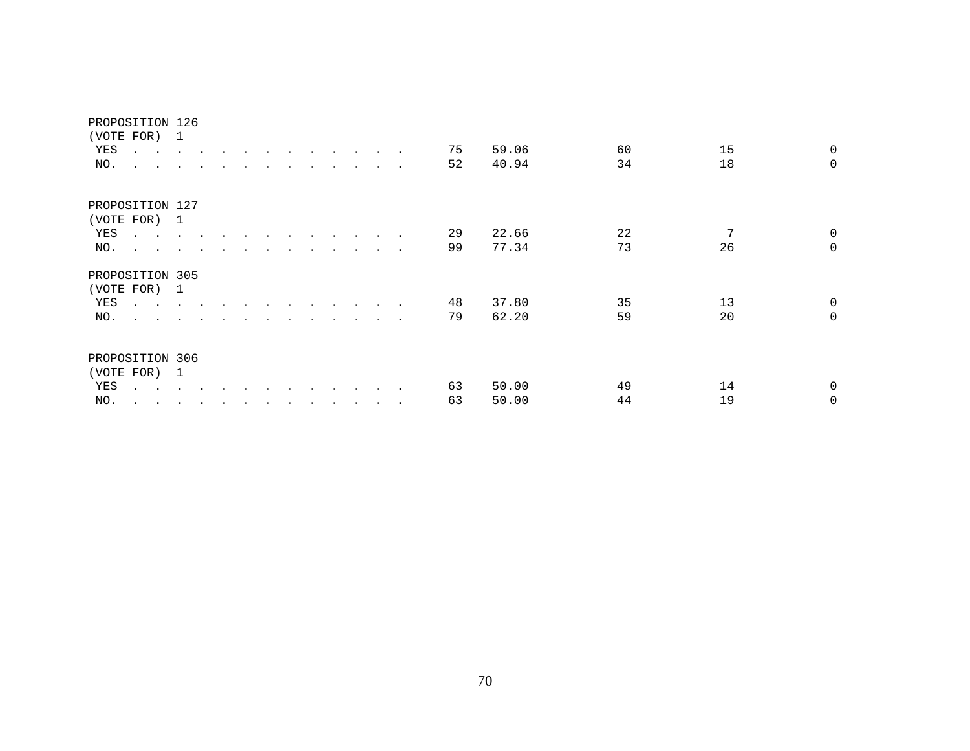|            | PROPOSITION 126                                       |                      |                      |  |  |  |                      |                 |    |       |    |    |             |
|------------|-------------------------------------------------------|----------------------|----------------------|--|--|--|----------------------|-----------------|----|-------|----|----|-------------|
|            | (VOTE FOR)                                            | 1                    |                      |  |  |  |                      |                 |    |       |    |    |             |
| YES        | $\cdot$ $\cdot$                                       |                      | $\bullet$            |  |  |  |                      | $\blacksquare$  | 75 | 59.06 | 60 | 15 | $\mathbf 0$ |
| NO.        |                                                       |                      |                      |  |  |  | $\ddot{\phantom{0}}$ | $\sim$          | 52 | 40.94 | 34 | 18 | $\mathbf 0$ |
|            | PROPOSITION 127                                       |                      |                      |  |  |  |                      |                 |    |       |    |    |             |
| (VOTE FOR) |                                                       | 1                    |                      |  |  |  |                      |                 |    |       |    |    |             |
| YES        | $\mathbf{L} = \mathbf{L}$                             |                      |                      |  |  |  |                      | $\cdot$ $\cdot$ | 29 | 22.66 | 22 | 7  | $\mathbf 0$ |
| NO.        | $\cdot$ $\cdot$                                       |                      |                      |  |  |  |                      |                 | 99 | 77.34 | 73 | 26 | $\mathbf 0$ |
|            |                                                       |                      |                      |  |  |  |                      |                 |    |       |    |    |             |
|            | PROPOSITION 305                                       |                      |                      |  |  |  |                      |                 |    |       |    |    |             |
| (VOTE FOR) |                                                       | 1                    |                      |  |  |  |                      |                 |    |       |    |    |             |
| YES        | $\mathbf{u} = \mathbf{u} + \mathbf{u} + \mathbf{u}$ . |                      | $\ddot{\phantom{1}}$ |  |  |  |                      | $\bullet$       | 48 | 37.80 | 35 | 13 | $\mathbf 0$ |
| NO.        | $\sim$                                                |                      |                      |  |  |  |                      |                 | 79 | 62.20 | 59 | 20 | $\mathbf 0$ |
|            |                                                       |                      |                      |  |  |  |                      |                 |    |       |    |    |             |
|            | PROPOSITION 306                                       |                      |                      |  |  |  |                      |                 |    |       |    |    |             |
| YES        | (VOTE FOR) 1<br>$\cdot$ $\cdot$                       | $\ddot{\phantom{a}}$ |                      |  |  |  |                      |                 | 63 | 50.00 | 49 | 14 | 0           |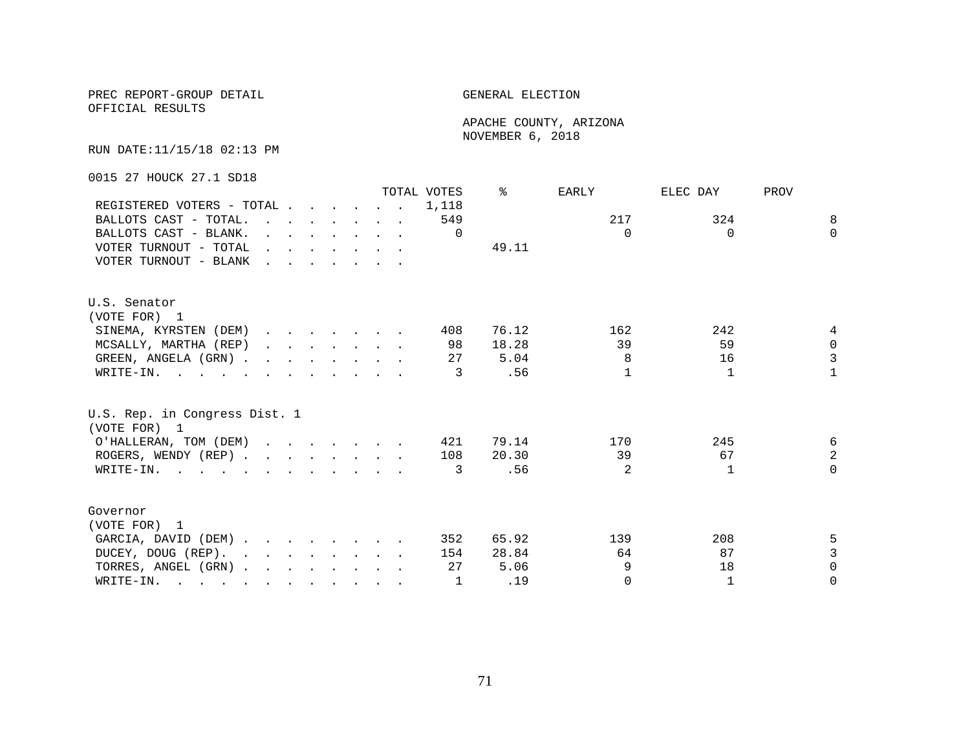OFFICIAL RESULTS

 APACHE COUNTY, ARIZONA NOVEMBER 6, 2018

RUN DATE:11/15/18 02:13 PM

0015 27 HOUCK 27.1 SD18

|                                                                                                                          |                                                                                                                                                                                                                                   |                                                                                  |  |  | TOTAL VOTES | ⊱     | EARLY          | ELEC DAY     | PROV           |
|--------------------------------------------------------------------------------------------------------------------------|-----------------------------------------------------------------------------------------------------------------------------------------------------------------------------------------------------------------------------------|----------------------------------------------------------------------------------|--|--|-------------|-------|----------------|--------------|----------------|
| REGISTERED VOTERS - TOTAL                                                                                                |                                                                                                                                                                                                                                   |                                                                                  |  |  | 1,118       |       |                |              |                |
| BALLOTS CAST - TOTAL.                                                                                                    | $\mathbf{r}$ . The contract of the contract of the contract of the contract of the contract of the contract of the contract of the contract of the contract of the contract of the contract of the contract of the contract of th |                                                                                  |  |  | 549         |       | 217            | 324          | 8              |
| BALLOTS CAST - BLANK.                                                                                                    |                                                                                                                                                                                                                                   | $\mathbf{r}$ and $\mathbf{r}$ and $\mathbf{r}$ and $\mathbf{r}$ and $\mathbf{r}$ |  |  | $\Omega$    |       | $\Omega$       | $\Omega$     | $\Omega$       |
| VOTER TURNOUT - TOTAL                                                                                                    | $\mathbf{r}$ . The contract of the contract of the contract of the contract of the contract of the contract of the contract of the contract of the contract of the contract of the contract of the contract of the contract of th |                                                                                  |  |  |             | 49.11 |                |              |                |
| VOTER TURNOUT - BLANK                                                                                                    | $\mathbf{r}$ . The contract of the contract of the contract of the contract of the contract of the contract of the contract of the contract of the contract of the contract of the contract of the contract of the contract of th |                                                                                  |  |  |             |       |                |              |                |
| U.S. Senator                                                                                                             |                                                                                                                                                                                                                                   |                                                                                  |  |  |             |       |                |              |                |
| (VOTE FOR) 1                                                                                                             |                                                                                                                                                                                                                                   |                                                                                  |  |  |             |       |                |              |                |
| SINEMA, KYRSTEN (DEM)                                                                                                    |                                                                                                                                                                                                                                   |                                                                                  |  |  | 408         | 76.12 | 162            | 242          | 4              |
| MCSALLY, MARTHA (REP)                                                                                                    |                                                                                                                                                                                                                                   |                                                                                  |  |  | 98          | 18.28 | 39             | 59           | $\Omega$       |
| GREEN, ANGELA (GRN).                                                                                                     |                                                                                                                                                                                                                                   |                                                                                  |  |  | 27          | 5.04  | 8              | 16           | $\overline{3}$ |
| WRITE-IN.                                                                                                                |                                                                                                                                                                                                                                   |                                                                                  |  |  | 3           | .56   | 1              | 1            | $\mathbf{1}$   |
| U.S. Rep. in Congress Dist. 1<br>(VOTE FOR) 1                                                                            |                                                                                                                                                                                                                                   |                                                                                  |  |  |             |       |                |              |                |
| O'HALLERAN, TOM (DEM)                                                                                                    |                                                                                                                                                                                                                                   |                                                                                  |  |  | 421         | 79.14 | 170            | 245          | 6              |
| ROGERS, WENDY (REP)                                                                                                      |                                                                                                                                                                                                                                   |                                                                                  |  |  | 108         | 20.30 | 39             | 67           | $\overline{a}$ |
| WRITE-IN.                                                                                                                |                                                                                                                                                                                                                                   |                                                                                  |  |  | 3           | .56   | $\mathfrak{D}$ | -1           | $\Omega$       |
| Governor                                                                                                                 |                                                                                                                                                                                                                                   |                                                                                  |  |  |             |       |                |              |                |
| (VOTE FOR) 1                                                                                                             |                                                                                                                                                                                                                                   |                                                                                  |  |  |             |       |                |              |                |
| GARCIA, DAVID (DEM)                                                                                                      |                                                                                                                                                                                                                                   |                                                                                  |  |  | 352         | 65.92 | 139            | 208          | 5              |
| DUCEY, DOUG (REP).                                                                                                       |                                                                                                                                                                                                                                   |                                                                                  |  |  | 154         | 28.84 | 64             | 87           | 3              |
| TORRES, ANGEL (GRN)                                                                                                      |                                                                                                                                                                                                                                   |                                                                                  |  |  | 27          | 5.06  | 9              | 18           | $\Omega$       |
| WRITE-IN.<br>$\mathbf{r}$ , and $\mathbf{r}$ , and $\mathbf{r}$ , and $\mathbf{r}$ , and $\mathbf{r}$ , and $\mathbf{r}$ |                                                                                                                                                                                                                                   |                                                                                  |  |  |             | .19   | $\Omega$       | $\mathbf{1}$ | $\Omega$       |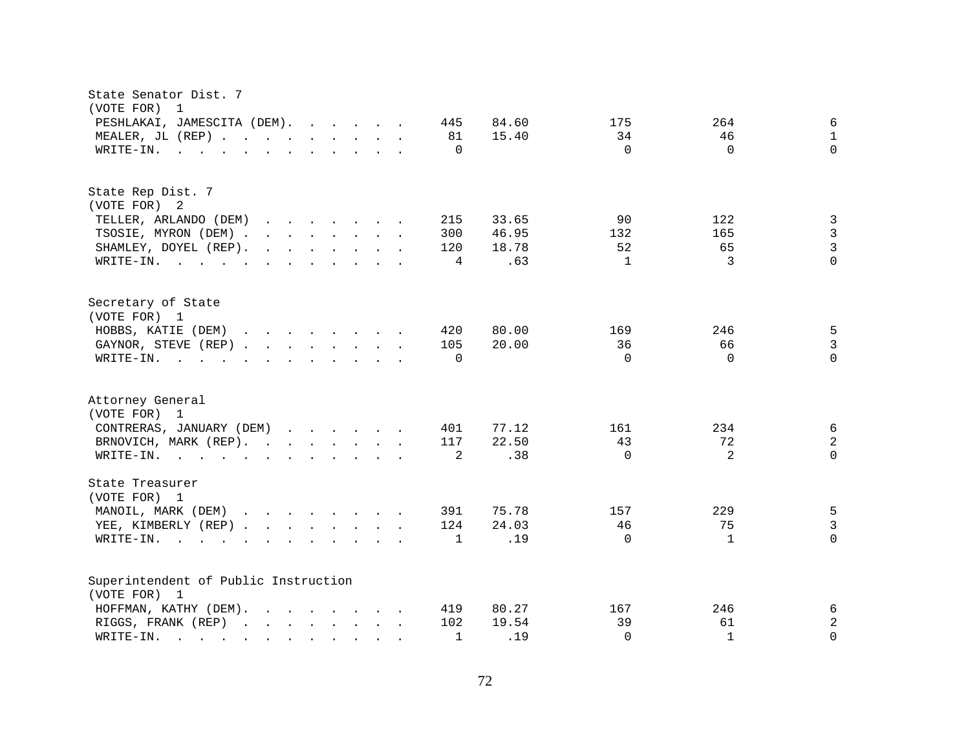| State Senator Dist. 7<br>(VOTE FOR)<br>1                                                                                                                                                                                                                                                                     |                                                                                                   |
|--------------------------------------------------------------------------------------------------------------------------------------------------------------------------------------------------------------------------------------------------------------------------------------------------------------|---------------------------------------------------------------------------------------------------|
| PESHLAKAI, JAMESCITA (DEM).<br>445<br>MEALER, JL (REP)<br>81<br>$\mathbf 0$<br>WRITE-IN.<br>$\mathbf{r}$ , $\mathbf{r}$ , $\mathbf{r}$ , $\mathbf{r}$ , $\mathbf{r}$ , $\mathbf{r}$ , $\mathbf{r}$ , $\mathbf{r}$                                                                                            | 84.60<br>175<br>264<br>6<br>15.40<br>34<br>46<br>$\mathbf{1}$<br>$\Omega$<br>$\Omega$<br>$\Omega$ |
| State Rep Dist. 7<br>(VOTE FOR) 2                                                                                                                                                                                                                                                                            |                                                                                                   |
| TELLER, ARLANDO (DEM)<br>215<br>$\mathbf{r}$ . The contract of the contract of the contract of the contract of the contract of the contract of the contract of the contract of the contract of the contract of the contract of the contract of the contract of th                                            | 33.65<br>90<br>122<br>3                                                                           |
| 300<br>TSOSIE, MYRON (DEM)                                                                                                                                                                                                                                                                                   | 3<br>46.95<br>165<br>132                                                                          |
| $\mathbf{r}$ . The set of the set of the set of the set of the set of the set of the set of the set of the set of the set of the set of the set of the set of the set of the set of the set of the set of the set of the set of t<br>120<br>SHAMLEY, DOYEL (REP).                                            | 3<br>18.78<br>52<br>65                                                                            |
| WRITE-IN.<br>4                                                                                                                                                                                                                                                                                               | .63<br>3<br>$\Omega$<br>$\mathbf{1}$                                                              |
| Secretary of State<br>(VOTE FOR) 1                                                                                                                                                                                                                                                                           |                                                                                                   |
| HOBBS, KATIE (DEM)<br>$\mathbf{r}$ . The set of the set of the set of the set of the set of the set of the set of the set of the set of the set of the set of the set of the set of the set of the set of the set of the set of the set of the set of t<br>420                                               | 80.00<br>169<br>246<br>5                                                                          |
| GAYNOR, STEVE (REP)<br>105                                                                                                                                                                                                                                                                                   | 3<br>20.00<br>36<br>66                                                                            |
| WRITE-IN.<br>$\Omega$<br>$\mathbf{r}$ , and $\mathbf{r}$ , and $\mathbf{r}$ , and $\mathbf{r}$ , and $\mathbf{r}$                                                                                                                                                                                            | $\Omega$<br>$\Omega$<br>$\Omega$                                                                  |
|                                                                                                                                                                                                                                                                                                              |                                                                                                   |
| Attorney General<br>(VOTE FOR) 1                                                                                                                                                                                                                                                                             |                                                                                                   |
| CONTRERAS, JANUARY (DEM)<br>401                                                                                                                                                                                                                                                                              | 77.12<br>161<br>234<br>6                                                                          |
| BRNOVICH, MARK (REP).<br>117                                                                                                                                                                                                                                                                                 | $\overline{a}$<br>22.50<br>43<br>72                                                               |
| 2<br>WRITE-IN.                                                                                                                                                                                                                                                                                               | 2<br>$\Omega$<br>.38<br>$\Omega$                                                                  |
|                                                                                                                                                                                                                                                                                                              |                                                                                                   |
| State Treasurer<br>(VOTE FOR) 1                                                                                                                                                                                                                                                                              |                                                                                                   |
| MANOIL, MARK (DEM)<br>391                                                                                                                                                                                                                                                                                    | 75.78<br>229<br>5<br>157                                                                          |
| YEE, KIMBERLY (REP)<br>124                                                                                                                                                                                                                                                                                   | 24.03<br>46<br>75<br>3                                                                            |
| $\mathbf{1}$<br>WRITE-IN.<br><b><i>Committee State Committee State State State</i></b><br>$\mathbf{r}$ , $\mathbf{r}$ , $\mathbf{r}$ , $\mathbf{r}$ , $\mathbf{r}$ , $\mathbf{r}$                                                                                                                            | .19<br>$\Omega$<br>$\Omega$<br>$\mathbf{1}$                                                       |
| Superintendent of Public Instruction                                                                                                                                                                                                                                                                         |                                                                                                   |
| (VOTE FOR) 1                                                                                                                                                                                                                                                                                                 |                                                                                                   |
| HOFFMAN, KATHY (DEM).<br>$\mathbf{r}$ , $\mathbf{r}$ , $\mathbf{r}$ , $\mathbf{r}$ , $\mathbf{r}$ , $\mathbf{r}$ , $\mathbf{r}$<br>419                                                                                                                                                                       | 80.27<br>167<br>246<br>6                                                                          |
| RIGGS, FRANK (REP)<br>102                                                                                                                                                                                                                                                                                    | $\overline{c}$<br>39<br>19.54<br>61                                                               |
| WRITE-IN.<br>1<br>and the contract of the contract of the contract of the contract of the contract of the contract of the contract of the contract of the contract of the contract of the contract of the contract of the contract of the contra<br>$\sim$<br>and the state of the state of<br>$\mathcal{L}$ | .19<br>$\Omega$<br>$\mathbf{1}$<br>$\Omega$                                                       |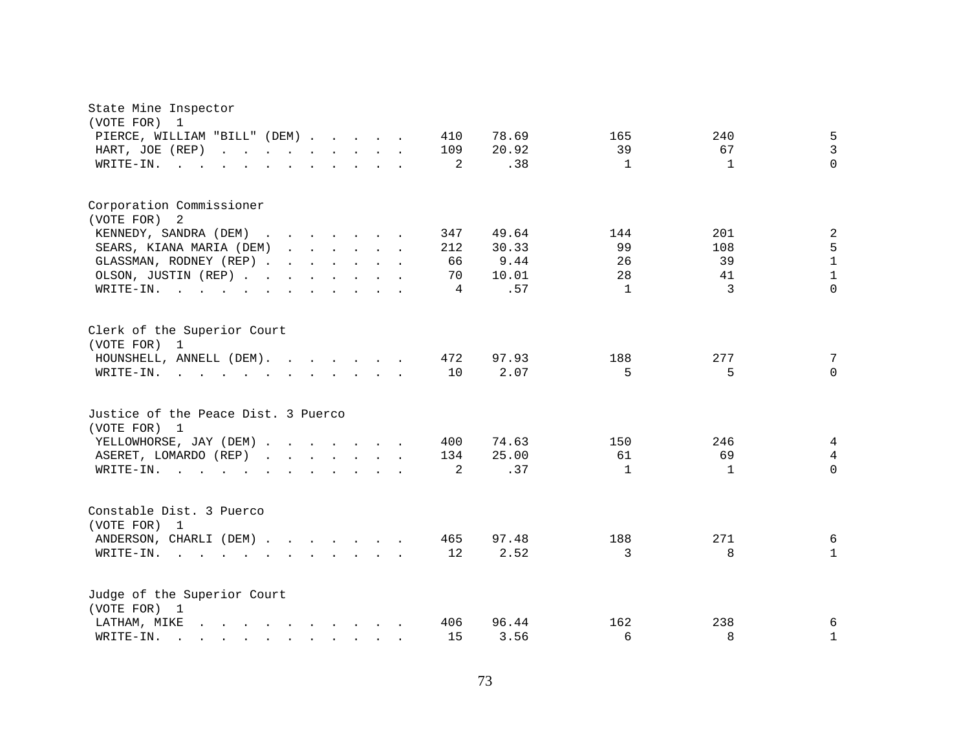| State Mine Inspector<br>(VOTE FOR)<br>1                                                                                                                                                                                                    |              |                              |                |
|--------------------------------------------------------------------------------------------------------------------------------------------------------------------------------------------------------------------------------------------|--------------|------------------------------|----------------|
| PIERCE, WILLIAM "BILL" (DEM)                                                                                                                                                                                                               | 78.69<br>410 | 240<br>165                   | 5              |
| HART, JOE (REP)<br>and the contract of the contract of<br>$\cdot$ $\cdot$                                                                                                                                                                  | 20.92<br>109 | 39<br>67                     | $\overline{3}$ |
| WRITE-IN.                                                                                                                                                                                                                                  | .38<br>2     | $\mathbf{1}$<br>$\mathbf{1}$ | $\Omega$       |
|                                                                                                                                                                                                                                            |              |                              |                |
| Corporation Commissioner                                                                                                                                                                                                                   |              |                              |                |
| (VOTE FOR)<br>2                                                                                                                                                                                                                            |              |                              |                |
| KENNEDY, SANDRA (DEM)                                                                                                                                                                                                                      | 347<br>49.64 | 201<br>144                   | $\sqrt{2}$     |
| SEARS, KIANA MARIA (DEM)                                                                                                                                                                                                                   | 30.33<br>212 | 99<br>108                    | 5              |
| GLASSMAN, RODNEY (REP)                                                                                                                                                                                                                     | 66<br>9.44   | 26<br>39                     | $\mathbf{1}$   |
| OLSON, JUSTIN (REP)                                                                                                                                                                                                                        | 10.01<br>70  | 28<br>41                     | $\mathbf{1}$   |
| WRITE-IN.<br>. The contract of the contract of the contract of the contract of the contract of the contract of the contract of the contract of the contract of the contract of the contract of the contract of the contract of the contrac | .57<br>4     | 3<br>1                       | $\Omega$       |
| Clerk of the Superior Court<br>(VOTE FOR) 1                                                                                                                                                                                                |              |                              |                |
| HOUNSHELL, ANNELL (DEM).                                                                                                                                                                                                                   | 472<br>97.93 | 277<br>188                   | 7              |
| WRITE-IN.<br>$\mathbf{r}$ , and $\mathbf{r}$ , and $\mathbf{r}$ , and $\mathbf{r}$ , and $\mathbf{r}$                                                                                                                                      | 10<br>2.07   | 5<br>5                       | $\Omega$       |
| Justice of the Peace Dist. 3 Puerco<br>(VOTE FOR) 1                                                                                                                                                                                        |              |                              |                |
| YELLOWHORSE, JAY (DEM)                                                                                                                                                                                                                     | 74.63<br>400 | 150<br>246                   | 4              |
| ASERET, LOMARDO (REP)<br>$\mathbf{r}$ , $\mathbf{r}$ , $\mathbf{r}$ , $\mathbf{r}$ , $\mathbf{r}$ , $\mathbf{r}$                                                                                                                           | 134<br>25.00 | 61<br>69                     | $\overline{4}$ |
| WRITE-IN.<br>$\mathbf{r} = \mathbf{r}$ , and $\mathbf{r} = \mathbf{r}$                                                                                                                                                                     | .37<br>2     | $\mathbf{1}$<br>1            | $\Omega$       |
| Constable Dist. 3 Puerco<br>(VOTE FOR) 1                                                                                                                                                                                                   |              |                              |                |
| ANDERSON, CHARLI (DEM)                                                                                                                                                                                                                     | 465<br>97.48 | 271<br>188                   | 6              |
| WRITE-IN.                                                                                                                                                                                                                                  | 2.52<br>12   | 3<br>8                       | $\mathbf{1}$   |
| Judge of the Superior Court<br>(VOTE FOR) 1                                                                                                                                                                                                |              |                              |                |
| LATHAM, MIKE<br>$\mathbf{r}$ , and $\mathbf{r}$ , and $\mathbf{r}$ , and $\mathbf{r}$ , and $\mathbf{r}$                                                                                                                                   | 406<br>96.44 | 162<br>238                   | 6              |
| WRITE-IN.<br>$\mathbf{r}$ , and $\mathbf{r}$ , and $\mathbf{r}$ , and $\mathbf{r}$                                                                                                                                                         | 15<br>3.56   | 6<br>8                       | $\mathbf 1$    |
|                                                                                                                                                                                                                                            |              |                              |                |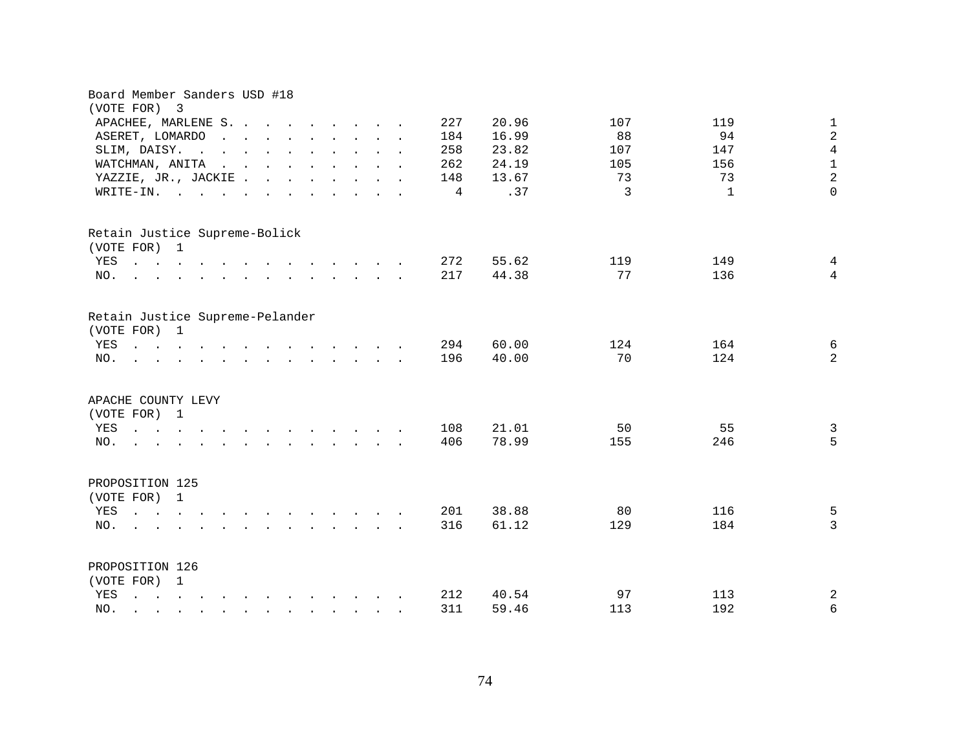| Board Member Sanders USD #18<br>(VOTE FOR) 3                                                                                                                                                                                                              |                                                                                                        |                                                                                                                 |                                            |  |                |       |     |     |                |
|-----------------------------------------------------------------------------------------------------------------------------------------------------------------------------------------------------------------------------------------------------------|--------------------------------------------------------------------------------------------------------|-----------------------------------------------------------------------------------------------------------------|--------------------------------------------|--|----------------|-------|-----|-----|----------------|
| APACHEE, MARLENE S.                                                                                                                                                                                                                                       |                                                                                                        |                                                                                                                 |                                            |  | 227            | 20.96 | 107 | 119 | $\mathbf{1}$   |
| ASERET, LOMARDO<br>$\sim$                                                                                                                                                                                                                                 | $\mathbf{r}$ , $\mathbf{r}$ , $\mathbf{r}$ , $\mathbf{r}$ , $\mathbf{r}$ , $\mathbf{r}$ , $\mathbf{r}$ |                                                                                                                 |                                            |  | 184            | 16.99 | 88  | 94  | $\sqrt{2}$     |
| SLIM, DAISY.<br>$\sim$<br>$\sim$                                                                                                                                                                                                                          | $\mathbf{r}$ , $\mathbf{r}$ , $\mathbf{r}$ , $\mathbf{r}$ , $\mathbf{r}$ , $\mathbf{r}$                |                                                                                                                 |                                            |  | 258            | 23.82 | 107 | 147 | $\overline{4}$ |
| WATCHMAN, ANITA                                                                                                                                                                                                                                           | $\mathbf{r}$ , $\mathbf{r}$ , $\mathbf{r}$ , $\mathbf{r}$ , $\mathbf{r}$ , $\mathbf{r}$ , $\mathbf{r}$ |                                                                                                                 |                                            |  | 262            | 24.19 | 105 | 156 | $\mathbf 1$    |
| YAZZIE, JR., JACKIE                                                                                                                                                                                                                                       |                                                                                                        |                                                                                                                 |                                            |  | 148            | 13.67 | 73  | 73  | $\overline{a}$ |
| WRITE-IN.<br>$\sim$ $\sim$ $\sim$ $\sim$ $\sim$                                                                                                                                                                                                           |                                                                                                        |                                                                                                                 |                                            |  | $\overline{4}$ | .37   | 3   | 1   | $\Omega$       |
| Retain Justice Supreme-Bolick                                                                                                                                                                                                                             |                                                                                                        |                                                                                                                 |                                            |  |                |       |     |     |                |
| (VOTE FOR) 1                                                                                                                                                                                                                                              |                                                                                                        |                                                                                                                 |                                            |  |                |       |     |     |                |
| YES                                                                                                                                                                                                                                                       |                                                                                                        |                                                                                                                 |                                            |  | 272            | 55.62 | 119 | 149 | 4              |
| $\mathcal{L}$ . The contract of the contract of the contract of the contract of the contract of the contract of the contract of the contract of the contract of the contract of the contract of the contract of the contract of th<br>NO.                 |                                                                                                        |                                                                                                                 |                                            |  | 217            | 44.38 | 77  | 136 | $\overline{4}$ |
| Retain Justice Supreme-Pelander<br>(VOTE FOR) 1                                                                                                                                                                                                           |                                                                                                        |                                                                                                                 |                                            |  |                |       |     |     |                |
| YES<br>$\mathbf{r}$ , $\mathbf{r}$ , $\mathbf{r}$ , $\mathbf{r}$ , $\mathbf{r}$ , $\mathbf{r}$ , $\mathbf{r}$ , $\mathbf{r}$ , $\mathbf{r}$ , $\mathbf{r}$                                                                                                |                                                                                                        |                                                                                                                 |                                            |  | 294            | 60.00 | 124 | 164 | 6              |
| NO.                                                                                                                                                                                                                                                       |                                                                                                        |                                                                                                                 |                                            |  | 196            | 40.00 | 70  | 124 | $\overline{a}$ |
| APACHE COUNTY LEVY<br>(VOTE FOR) 1                                                                                                                                                                                                                        |                                                                                                        |                                                                                                                 |                                            |  |                |       |     |     |                |
| YES<br>$\cdot$ $\cdot$ $\cdot$ $\cdot$ $\cdot$ $\cdot$                                                                                                                                                                                                    | $\sim$ $\sim$                                                                                          | the contract of the contract of the contract of the contract of the contract of the contract of the contract of |                                            |  | 108            | 21.01 | 50  | 55  | $\mathfrak{Z}$ |
| NO.<br>$\mathbf{r} = \mathbf{r} - \mathbf{r} = \mathbf{r} - \mathbf{r} = \mathbf{r} - \mathbf{r} = \mathbf{r} - \mathbf{r} = \mathbf{r}$                                                                                                                  |                                                                                                        |                                                                                                                 |                                            |  | 406            | 78.99 | 155 | 246 | 5              |
| PROPOSITION 125<br>(VOTE FOR) 1                                                                                                                                                                                                                           |                                                                                                        |                                                                                                                 |                                            |  |                |       |     |     |                |
| YES<br>$\mathbf{r}$ , $\mathbf{r}$ , $\mathbf{r}$ , $\mathbf{r}$                                                                                                                                                                                          | $\mathbf{r}$ , and $\mathbf{r}$ , and $\mathbf{r}$ , and $\mathbf{r}$                                  |                                                                                                                 |                                            |  | 201            | 38.88 | 80  | 116 | 5              |
| NO.                                                                                                                                                                                                                                                       |                                                                                                        |                                                                                                                 | $\mathbf{r}$ , $\mathbf{r}$ , $\mathbf{r}$ |  | 316            | 61.12 | 129 | 184 | $\overline{3}$ |
| PROPOSITION 126                                                                                                                                                                                                                                           |                                                                                                        |                                                                                                                 |                                            |  |                |       |     |     |                |
| (VOTE FOR) 1                                                                                                                                                                                                                                              |                                                                                                        |                                                                                                                 |                                            |  |                |       |     |     |                |
| YES<br>$\mathbf{r}$ , and $\mathbf{r}$ , and $\mathbf{r}$ , and $\mathbf{r}$ , and $\mathbf{r}$ , and $\mathbf{r}$                                                                                                                                        |                                                                                                        |                                                                                                                 |                                            |  | 212            | 40.54 | 97  | 113 | $\sqrt{2}$     |
| NO.<br>$\mathcal{L}$ . The contract of the contract of the contract of the contract of the contract of the contract of the contract of the contract of the contract of the contract of the contract of the contract of the contract of th<br>$\mathbf{r}$ |                                                                                                        |                                                                                                                 |                                            |  | 311            | 59.46 | 113 | 192 | $\epsilon$     |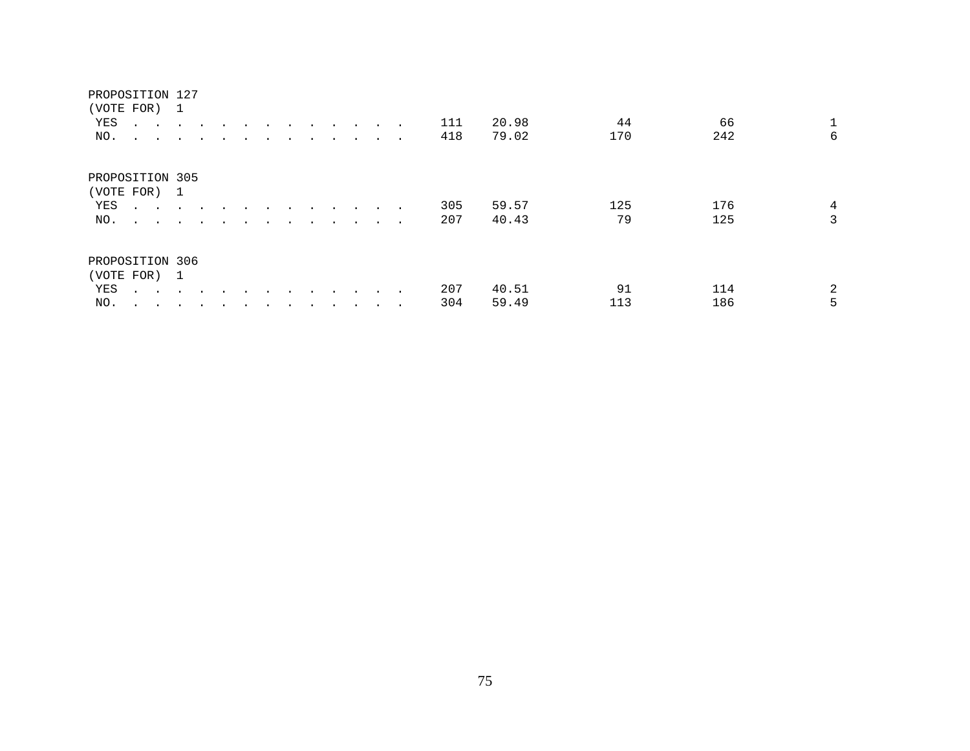| PROPOSITION 127<br>(VOTE FOR)<br>YES<br>NO.   |                            | $\sim$ $\sim$<br>$\sim$ $\sim$ | 1<br>$\ddot{\phantom{a}}$       | $\sim$                     |  |         |         |           |           | $\sim$<br>$\cdot$ $\cdot$ | $\sim$ $\sim$ | 111<br>418 | 20.98<br>79.02 | 44<br>170 | 242        | 1<br>66<br>6 |
|-----------------------------------------------|----------------------------|--------------------------------|---------------------------------|----------------------------|--|---------|---------|-----------|-----------|---------------------------|---------------|------------|----------------|-----------|------------|--------------|
| PROPOSITION 305<br>(VOTE FOR) 1<br>YES<br>NO. |                            | $\mathbf{L}$<br>$\sim$ $\sim$  | $\ddot{\phantom{1}}$<br>$\cdot$ | $\sim$ 100 $\pm$<br>$\sim$ |  | $\cdot$ | $\cdot$ | $\bullet$ | $\bullet$ | $\bullet$                 |               | 305<br>207 | 59.57<br>40.43 | 125<br>79 | 176<br>125 | 4<br>3       |
| PROPOSITION 306<br>(VOTE FOR) 1<br>YES<br>NO. | $\sim$ $\sim$<br>$\bullet$ |                                |                                 |                            |  |         |         |           |           | $\cdot$                   |               | 207<br>304 | 40.51<br>59.49 | 91<br>113 | 114<br>186 | 2<br>5       |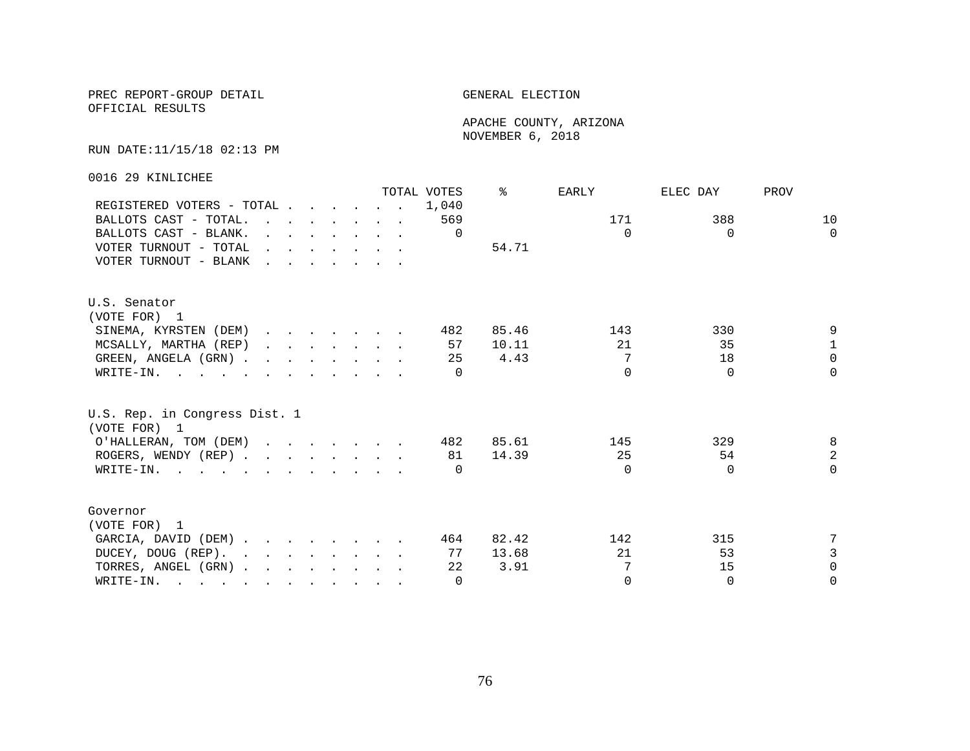OFFICIAL RESULTS

 APACHE COUNTY, ARIZONA NOVEMBER 6, 2018

### RUN DATE:11/15/18 02:13 PM

0016 29 KINLICHEE

|                                                                                                       |  |                                                                                             |  | TOTAL VOTES | °≈    | EARLY    | ELEC DAY | PROV           |
|-------------------------------------------------------------------------------------------------------|--|---------------------------------------------------------------------------------------------|--|-------------|-------|----------|----------|----------------|
| REGISTERED VOTERS - TOTAL                                                                             |  |                                                                                             |  | 1,040       |       |          |          |                |
| BALLOTS CAST - TOTAL.                                                                                 |  |                                                                                             |  | 569         |       | 171      | 388      | 10             |
| BALLOTS CAST - BLANK.                                                                                 |  | $\mathbf{r} = \mathbf{r} \cdot \mathbf{r}$ , and $\mathbf{r} = \mathbf{r} \cdot \mathbf{r}$ |  | $\Omega$    |       | $\Omega$ | $\Omega$ | $\Omega$       |
| VOTER TURNOUT - TOTAL $\cdot \cdot \cdot \cdot \cdot \cdot$                                           |  |                                                                                             |  |             | 54.71 |          |          |                |
| VOTER TURNOUT - BLANK                                                                                 |  |                                                                                             |  |             |       |          |          |                |
| U.S. Senator                                                                                          |  |                                                                                             |  |             |       |          |          |                |
| (VOTE FOR) 1                                                                                          |  |                                                                                             |  |             |       |          |          |                |
| SINEMA, KYRSTEN (DEM)                                                                                 |  |                                                                                             |  | 482         | 85.46 | 143      | 330      | 9              |
| MCSALLY, MARTHA (REP)                                                                                 |  |                                                                                             |  | 57          | 10.11 | 21       | 35       | $\mathbf{1}$   |
| GREEN, ANGELA (GRN)                                                                                   |  |                                                                                             |  | 25          | 4.43  | 7        | 18       | $\Omega$       |
| WRITE-IN.                                                                                             |  |                                                                                             |  | $\Omega$    |       | $\Omega$ | $\Omega$ | $\Omega$       |
| U.S. Rep. in Congress Dist. 1<br>(VOTE FOR) 1                                                         |  |                                                                                             |  |             |       |          |          |                |
| O'HALLERAN, TOM (DEM)                                                                                 |  |                                                                                             |  | 482         | 85.61 | 145      | 329      | 8              |
| ROGERS, WENDY (REP)                                                                                   |  |                                                                                             |  | 81          | 14.39 | 25       | 54       | $\overline{a}$ |
| WRITE-IN.                                                                                             |  |                                                                                             |  | $\bigcap$   |       | $\Omega$ | $\Omega$ | $\Omega$       |
| Governor                                                                                              |  |                                                                                             |  |             |       |          |          |                |
| (VOTE FOR) 1                                                                                          |  |                                                                                             |  |             |       |          |          |                |
| GARCIA, DAVID (DEM)                                                                                   |  |                                                                                             |  | 464         | 82.42 | 142      | 315      | 7              |
| DUCEY, DOUG (REP).                                                                                    |  |                                                                                             |  | 77          | 13.68 | 21       | 53       | 3              |
| TORRES, ANGEL (GRN)                                                                                   |  |                                                                                             |  | 22          | 3.91  | 7        | 15       | $\Omega$       |
| WRITE-IN.<br>$\mathbf{r}$ , and $\mathbf{r}$ , and $\mathbf{r}$ , and $\mathbf{r}$ , and $\mathbf{r}$ |  |                                                                                             |  | $\Omega$    |       | $\Omega$ | $\Omega$ | $\Omega$       |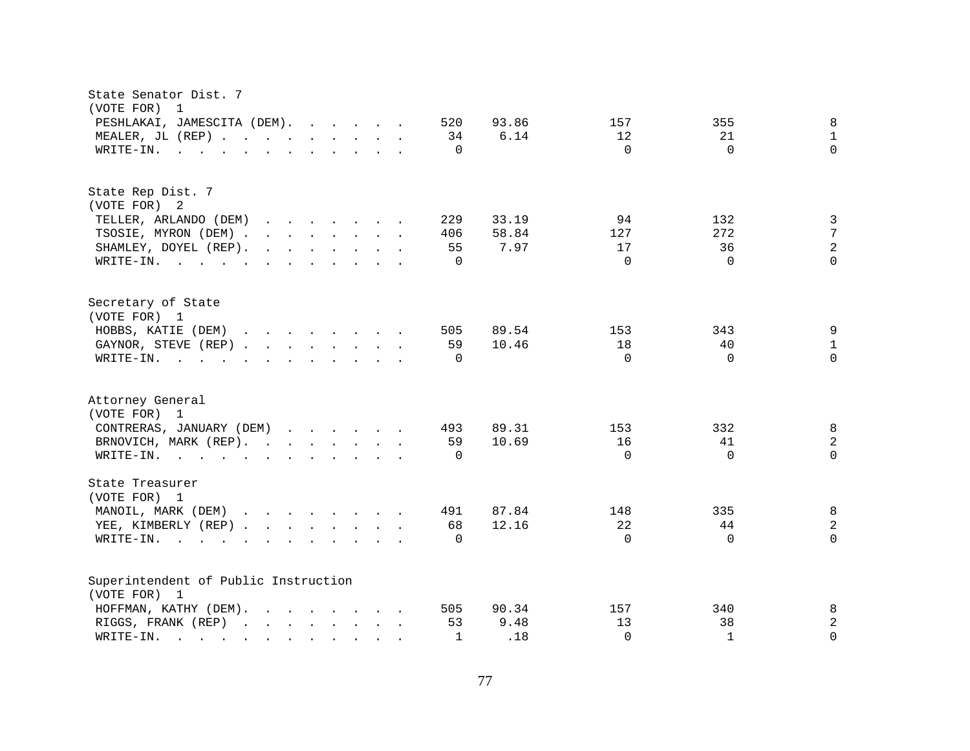| State Senator Dist. 7<br>(VOTE FOR)<br>1                                                                                                                                                                                                                   |              |               |           |              |                  |
|------------------------------------------------------------------------------------------------------------------------------------------------------------------------------------------------------------------------------------------------------------|--------------|---------------|-----------|--------------|------------------|
| PESHLAKAI, JAMESCITA (DEM).<br>MEALER, JL (REP)                                                                                                                                                                                                            | 520<br>34    | 93.86<br>6.14 | 157<br>12 | 355<br>21    | 8<br>$\mathbf 1$ |
| WRITE-IN.<br>$\mathbf{r}$ , and $\mathbf{r}$ , and $\mathbf{r}$ , and $\mathbf{r}$ , and $\mathbf{r}$                                                                                                                                                      | $\Omega$     |               | $\Omega$  | $\Omega$     | $\Omega$         |
| State Rep Dist. 7<br>(VOTE FOR) 2                                                                                                                                                                                                                          |              |               |           |              |                  |
| TELLER, ARLANDO (DEM)<br>$\mathbf{r}$ . The contract of the contract of the contract of the contract of the contract of the contract of the contract of the contract of the contract of the contract of the contract of the contract of the contract of th | 229          | 33.19         | 94        | 132          | 3                |
| TSOSIE, MYRON (DEM).<br>$\mathbf{r}$ , $\mathbf{r}$ , $\mathbf{r}$ , $\mathbf{r}$ , $\mathbf{r}$ , $\mathbf{r}$                                                                                                                                            | 406          | 58.84         | 127       | 272          | 7                |
| SHAMLEY, DOYEL (REP).<br>$\mathbf{r}$ , $\mathbf{r}$ , $\mathbf{r}$ , $\mathbf{r}$ , $\mathbf{r}$ , $\mathbf{r}$                                                                                                                                           | 55           | 7.97          | 17        | 36           | 2                |
| WRITE-IN.                                                                                                                                                                                                                                                  | $\mathbf 0$  |               | $\Omega$  | $\Omega$     | $\Omega$         |
| Secretary of State<br>(VOTE FOR) 1                                                                                                                                                                                                                         |              |               |           |              |                  |
| HOBBS, KATIE (DEM)                                                                                                                                                                                                                                         | 505          | 89.54         | 153       | 343          | 9                |
| GAYNOR, STEVE (REP)                                                                                                                                                                                                                                        | 59           | 10.46         | 18        | 40           | $\mathbf{1}$     |
| WRITE-IN.<br>the contract of the contract of the contract of the contract of the contract of the contract of the contract of                                                                                                                               | $\Omega$     |               | $\Omega$  | $\Omega$     | $\Omega$         |
| Attorney General<br>(VOTE FOR) 1                                                                                                                                                                                                                           |              |               |           |              |                  |
| CONTRERAS, JANUARY (DEM)                                                                                                                                                                                                                                   | 493          | 89.31         | 153       | 332          | 8                |
| BRNOVICH, MARK (REP).                                                                                                                                                                                                                                      | 59           | 10.69         | 16        | 41           | $\overline{c}$   |
| WRITE-IN.                                                                                                                                                                                                                                                  | $\Omega$     |               | $\Omega$  | $\Omega$     | $\Omega$         |
| State Treasurer<br>(VOTE FOR) 1                                                                                                                                                                                                                            |              |               |           |              |                  |
| MANOIL, MARK (DEM)                                                                                                                                                                                                                                         | 491          | 87.84         | 148       | 335          | 8                |
| YEE, KIMBERLY (REP)                                                                                                                                                                                                                                        | 68           | 12.16         | 22        | 44           | 2                |
| WRITE-IN.<br>$\mathbf{r}$ , $\mathbf{r}$ , $\mathbf{r}$ , $\mathbf{r}$ , $\mathbf{r}$ , $\mathbf{r}$ , $\mathbf{r}$ , $\mathbf{r}$                                                                                                                         | $\Omega$     |               | $\Omega$  | $\Omega$     | $\Omega$         |
| Superintendent of Public Instruction<br>(VOTE FOR) 1                                                                                                                                                                                                       |              |               |           |              |                  |
| $\mathbf{r}$ . The contract of the contract of the contract of the contract of the contract of the contract of the contract of the contract of the contract of the contract of the contract of the contract of the contract of th<br>HOFFMAN, KATHY (DEM). | 505          | 90.34         | 157       | 340          | 8                |
| RIGGS, FRANK (REP)                                                                                                                                                                                                                                         | 53           | 9.48          | 13        | 38           | 2                |
| WRITE-IN.<br>the contract of the contract of the contract of                                                                                                                                                                                               | $\mathbf{1}$ | .18           | $\Omega$  | $\mathbf{1}$ | $\Omega$         |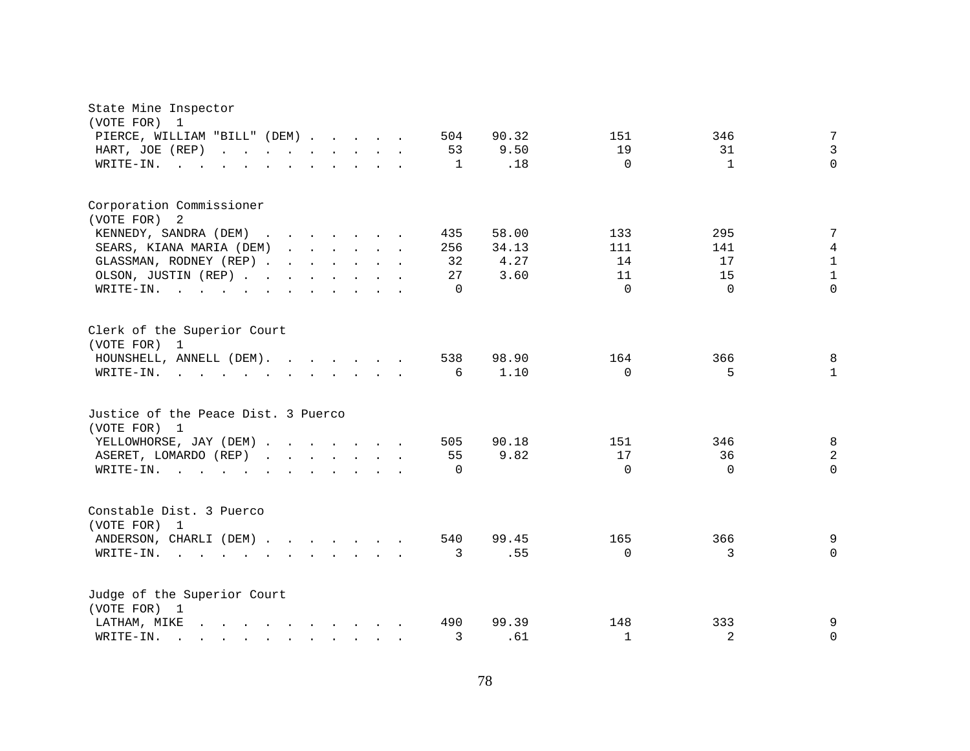| State Mine Inspector<br>(VOTE FOR)<br>$\mathbf{1}$                                                                                                      |                                             |
|---------------------------------------------------------------------------------------------------------------------------------------------------------|---------------------------------------------|
| PIERCE, WILLIAM "BILL" (DEM)<br>504                                                                                                                     | $\overline{7}$<br>151<br>90.32<br>346       |
| HART, JOE (REP)<br>53<br>$\mathcal{L}(\mathcal{A})$ . The contribution of the contribution of $\mathcal{A}$<br>$\mathbf{r}$ . The set of $\mathbf{r}$   | $\overline{3}$<br>9.50<br>19<br>31          |
| WRITE-IN.<br>$\mathbf{1}$<br>$\sim$ 100 $\sim$                                                                                                          | $\Omega$<br>$\Omega$<br>$\mathbf{1}$<br>.18 |
| Corporation Commissioner                                                                                                                                |                                             |
| (VOTE FOR)<br>-2                                                                                                                                        |                                             |
| KENNEDY, SANDRA (DEM)<br>435                                                                                                                            | 7<br>58.00<br>295<br>133                    |
| SEARS, KIANA MARIA (DEM)<br>256                                                                                                                         | 111<br>4<br>34.13<br>141                    |
| GLASSMAN, RODNEY (REP)<br>32                                                                                                                            | $\mathbf{1}$<br>4.27<br>14<br>17            |
| OLSON, JUSTIN (REP)<br>27                                                                                                                               | $\mathbf{1}$<br>15<br>3.60<br>11            |
| WRITE-IN.<br>$\Omega$<br>the contract of the contract of the contract of the contract of the contract of the contract of the contract of                | $\Omega$<br>$\Omega$<br>$\Omega$            |
| Clerk of the Superior Court<br>(VOTE FOR) 1                                                                                                             |                                             |
| HOUNSHELL, ANNELL (DEM).<br>538                                                                                                                         | 98.90<br>8<br>164<br>366                    |
| 6<br>WRITE-IN.                                                                                                                                          | 1.10<br>$\Omega$<br>5.<br>$\mathbf{1}$      |
|                                                                                                                                                         |                                             |
| Justice of the Peace Dist. 3 Puerco<br>(VOTE FOR) 1                                                                                                     |                                             |
| YELLOWHORSE, JAY (DEM)<br>505                                                                                                                           | $\,8\,$<br>90.18<br>151<br>346              |
| 55<br>ASERET, LOMARDO (REP)                                                                                                                             | $\overline{2}$<br>9.82<br>17<br>36          |
| WRITE-IN.<br>$\Omega$<br>$\cdot$ $\cdot$ $\cdot$ $\cdot$                                                                                                | $\Omega$<br>$\Omega$<br>$\Omega$            |
|                                                                                                                                                         |                                             |
| Constable Dist. 3 Puerco                                                                                                                                |                                             |
| (VOTE FOR)<br>1<br>ANDERSON, CHARLI (DEM)<br>540                                                                                                        | 366<br>99.45<br>165<br>9                    |
| WRITE-IN.<br>$\mathcal{A}=\mathcal{A}=\mathcal{A}=\mathcal{A}=\mathcal{A}=\mathcal{A}=\mathcal{A}=\mathcal{A}=\mathcal{A}=\mathcal{A}=\mathcal{A}$<br>3 | .55<br>$\Omega$<br>3<br>$\Omega$            |
|                                                                                                                                                         |                                             |
| Judge of the Superior Court                                                                                                                             |                                             |
| (VOTE FOR) 1<br>490                                                                                                                                     | 333<br>9<br>99.39<br>148                    |
| LATHAM, MIKE<br>$\mathbf{r}$ , and $\mathbf{r}$ , and $\mathbf{r}$ , and $\mathbf{r}$<br>3                                                              | 2<br>$\mathbf{1}$<br>$\mathbf 0$            |
| WRITE-IN.                                                                                                                                               | .61                                         |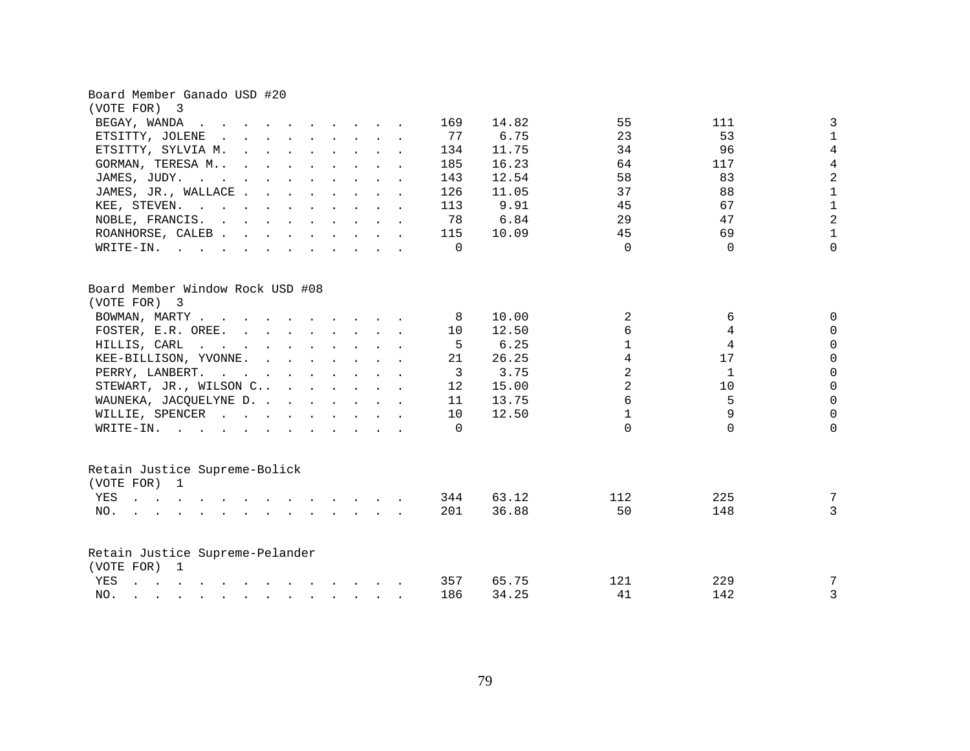| (VOTE FOR) 3<br>BEGAY, WANDA<br>14.82<br>55<br>111<br>169<br>$\mathbf{r}$ , and $\mathbf{r}$ , and $\mathbf{r}$ , and $\mathbf{r}$<br>$\mathbf{r}$ , $\mathbf{r}$ , $\mathbf{r}$                                                                                                    | 3              |
|-------------------------------------------------------------------------------------------------------------------------------------------------------------------------------------------------------------------------------------------------------------------------------------|----------------|
|                                                                                                                                                                                                                                                                                     |                |
|                                                                                                                                                                                                                                                                                     |                |
| 77<br>6.75<br>23<br>53<br>ETSITTY, JOLENE<br>$\mathbf{r}$ , and $\mathbf{r}$ , and $\mathbf{r}$ , and $\mathbf{r}$                                                                                                                                                                  | $\mathbf{1}$   |
| 96<br>11.75<br>34<br>ETSITTY, SYLVIA M.<br>134                                                                                                                                                                                                                                      | $\overline{4}$ |
| 16.23<br>64<br>117<br>GORMAN, TERESA M<br>185                                                                                                                                                                                                                                       | $\overline{4}$ |
| 12.54<br>58<br>83<br>JAMES, JUDY.<br>143                                                                                                                                                                                                                                            | $\overline{a}$ |
| 88<br>JAMES, JR., WALLACE.<br>11.05<br>37<br>126                                                                                                                                                                                                                                    | $\mathbf{1}$   |
| 67<br>9.91<br>45<br>KEE, STEVEN.<br>113                                                                                                                                                                                                                                             | $\mathbf{1}$   |
| 6.84<br>29<br>47<br>NOBLE, FRANCIS.<br>78                                                                                                                                                                                                                                           | $\overline{a}$ |
| 45<br>69<br>115<br>10.09<br>ROANHORSE, CALEB                                                                                                                                                                                                                                        | $\mathbf{1}$   |
| $\Omega$<br>$\Omega$<br>$\Omega$<br>WRITE-IN.<br><u>no provincialmente de la característica de la característica de la característica de la característica de la c</u>                                                                                                              | $\Omega$       |
| Board Member Window Rock USD #08<br>(VOTE FOR) 3                                                                                                                                                                                                                                    |                |
| 2<br>BOWMAN, MARTY<br>10.00<br>6<br>-8                                                                                                                                                                                                                                              | $\Omega$       |
| 6<br>4<br>FOSTER, E.R. OREE.<br>12.50<br>10                                                                                                                                                                                                                                         | $\Omega$       |
| 4<br>6.25<br>$\mathbf{1}$<br>HILLIS, CARL<br>5<br>$\mathbf{r}$ . The contract of the contract of the contract of the contract of the contract of the contract of the contract of the contract of the contract of the contract of the contract of the contract of the contract of th | $\Omega$       |
| $\overline{4}$<br>26.25<br>17<br>KEE-BILLISON, YVONNE.<br>21                                                                                                                                                                                                                        | $\overline{0}$ |
| $\overline{2}$<br>$\mathbf{1}$<br>PERRY, LANBERT.<br>3<br>3.75                                                                                                                                                                                                                      | $\overline{0}$ |
| $\overline{2}$<br>STEWART, JR., WILSON C<br>15.00<br>10<br>12                                                                                                                                                                                                                       | $\mathbf 0$    |
| 6<br>5<br>WAUNEKA, JACQUELYNE D.<br>13.75<br>11                                                                                                                                                                                                                                     | $\mathsf 0$    |
| $\mathbf{1}$<br>9<br>WILLIE, SPENCER<br>12.50<br>10                                                                                                                                                                                                                                 | $\mathbf 0$    |
| $\Omega$<br>$\Omega$<br>$W\text{RITE-IN.}$ , , , , , , , , , , ,<br>$\Omega$                                                                                                                                                                                                        | $\Omega$       |
|                                                                                                                                                                                                                                                                                     |                |
| Retain Justice Supreme-Bolick<br>(VOTE FOR) 1                                                                                                                                                                                                                                       |                |
| 225<br>YES<br>344<br>63.12<br>112                                                                                                                                                                                                                                                   | 7              |
| 201<br>50<br>148<br>NO.<br>$\mathbf{r} = \mathbf{r} - \mathbf{r}$ , $\mathbf{r} = \mathbf{r} - \mathbf{r}$ , $\mathbf{r} = \mathbf{r} - \mathbf{r} - \mathbf{r}$ , $\mathbf{r} = \mathbf{r} - \mathbf{r} - \mathbf{r}$<br>36.88                                                     | 3              |
| Retain Justice Supreme-Pelander                                                                                                                                                                                                                                                     |                |
| (VOTE FOR) 1                                                                                                                                                                                                                                                                        |                |
| YES<br>$\mathbf{r}$ , $\mathbf{r}$ , $\mathbf{r}$ , $\mathbf{r}$ , $\mathbf{r}$ , $\mathbf{r}$ , $\mathbf{r}$ , $\mathbf{r}$ , $\mathbf{r}$ , $\mathbf{r}$<br>357<br>65.75<br>229<br>121                                                                                            | 7              |
| 186<br>34.25<br>41<br>142<br>NO.                                                                                                                                                                                                                                                    | 3              |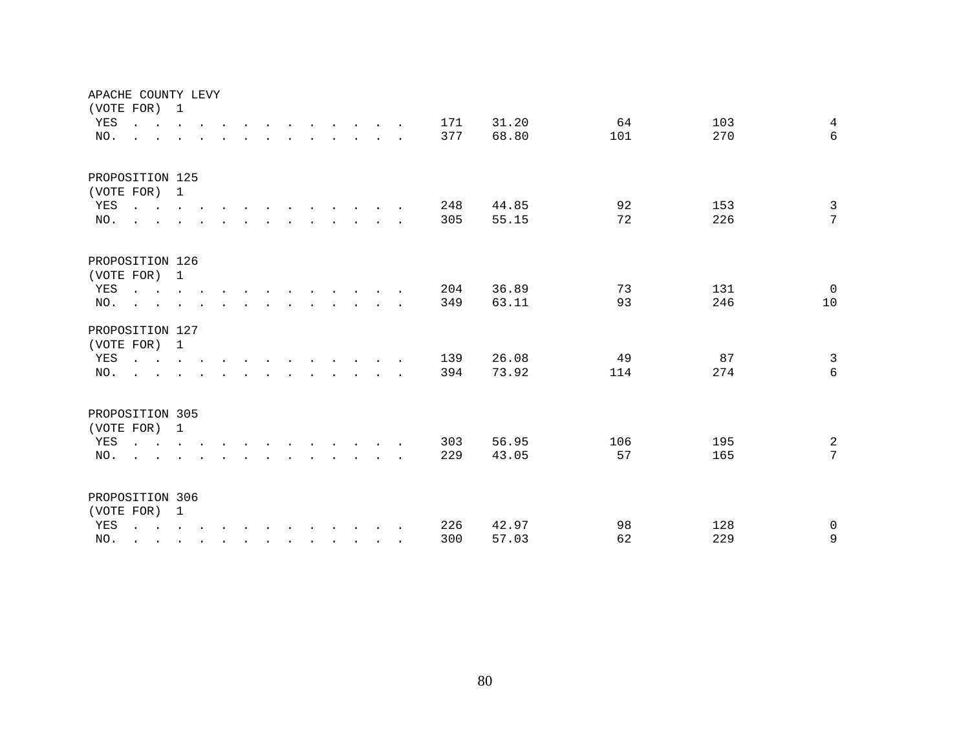| APACHE COUNTY LEVY  |                                                                                                                                      |  |  |        |                                                                                                                          |                                                                          |  |                                                                                         |            |                |           |            |                     |
|---------------------|--------------------------------------------------------------------------------------------------------------------------------------|--|--|--------|--------------------------------------------------------------------------------------------------------------------------|--------------------------------------------------------------------------|--|-----------------------------------------------------------------------------------------|------------|----------------|-----------|------------|---------------------|
| (VOTE FOR) 1<br>YES | $\mathbf{r}$ , and $\mathbf{r}$ , and $\mathbf{r}$ , and $\mathbf{r}$ , and $\mathbf{r}$ , and $\mathbf{r}$                          |  |  |        |                                                                                                                          |                                                                          |  |                                                                                         | 171        | 31.20          | 64        | 103        | $\overline{4}$      |
| NO.                 | $\sim$                                                                                                                               |  |  |        | $\mathbf{r} = \mathbf{r} - \mathbf{r}$ , $\mathbf{r} = \mathbf{r} - \mathbf{r}$ , $\mathbf{r} = \mathbf{r} - \mathbf{r}$ |                                                                          |  |                                                                                         | 377        | 68.80          | 101       | 270        | 6                   |
|                     |                                                                                                                                      |  |  |        |                                                                                                                          |                                                                          |  |                                                                                         |            |                |           |            |                     |
| PROPOSITION 125     |                                                                                                                                      |  |  |        |                                                                                                                          |                                                                          |  |                                                                                         |            |                |           |            |                     |
| (VOTE FOR) 1        |                                                                                                                                      |  |  |        |                                                                                                                          |                                                                          |  |                                                                                         |            |                |           |            |                     |
| YES                 | $\mathbf{r}$ . The set of $\mathbf{r}$                                                                                               |  |  |        |                                                                                                                          |                                                                          |  |                                                                                         | 248        | 44.85          | 92        | 153        | $\mathfrak{Z}$      |
| NO.                 | $\ddot{\phantom{a}}$                                                                                                                 |  |  |        |                                                                                                                          |                                                                          |  | $\mathbf{r}$ , $\mathbf{r}$ , $\mathbf{r}$ , $\mathbf{r}$ , $\mathbf{r}$                | 305        | 55.15          | 72        | 226        | 7                   |
|                     |                                                                                                                                      |  |  |        |                                                                                                                          |                                                                          |  |                                                                                         |            |                |           |            |                     |
| PROPOSITION 126     |                                                                                                                                      |  |  |        |                                                                                                                          |                                                                          |  |                                                                                         |            |                |           |            |                     |
| (VOTE FOR) 1        |                                                                                                                                      |  |  |        |                                                                                                                          |                                                                          |  |                                                                                         |            |                |           |            |                     |
| YES<br>NO.          | $\mathbf{r}$ , and $\mathbf{r}$ , and $\mathbf{r}$ , and $\mathbf{r}$ , and $\mathbf{r}$ , and $\mathbf{r}$                          |  |  |        | $\mathbf{r}$ , $\mathbf{r}$ , $\mathbf{r}$ , $\mathbf{r}$ , $\mathbf{r}$                                                 |                                                                          |  |                                                                                         | 204<br>349 | 36.89<br>63.11 | 73<br>93  | 131<br>246 | $\Omega$<br>10      |
|                     | $\sim$                                                                                                                               |  |  |        |                                                                                                                          |                                                                          |  |                                                                                         |            |                |           |            |                     |
| PROPOSITION 127     |                                                                                                                                      |  |  |        |                                                                                                                          |                                                                          |  |                                                                                         |            |                |           |            |                     |
| (VOTE FOR) 1        |                                                                                                                                      |  |  |        |                                                                                                                          |                                                                          |  |                                                                                         |            |                |           |            |                     |
| YES                 | $\mathbf{r}$ , $\mathbf{r}$ , $\mathbf{r}$ , $\mathbf{r}$ , $\mathbf{r}$ , $\mathbf{r}$                                              |  |  |        |                                                                                                                          | $\mathbf{r}$ , $\mathbf{r}$ , $\mathbf{r}$ , $\mathbf{r}$ , $\mathbf{r}$ |  |                                                                                         | 139        | 26.08          | 49        | 87         | $\overline{3}$      |
| NO.                 | $\sim$                                                                                                                               |  |  | $\sim$ |                                                                                                                          |                                                                          |  | $\mathbf{r}$ , $\mathbf{r}$ , $\mathbf{r}$ , $\mathbf{r}$ , $\mathbf{r}$ , $\mathbf{r}$ | 394        | 73.92          | 114       | 274        | 6                   |
|                     |                                                                                                                                      |  |  |        |                                                                                                                          |                                                                          |  |                                                                                         |            |                |           |            |                     |
| PROPOSITION 305     |                                                                                                                                      |  |  |        |                                                                                                                          |                                                                          |  |                                                                                         |            |                |           |            |                     |
| (VOTE FOR) 1        |                                                                                                                                      |  |  |        |                                                                                                                          |                                                                          |  |                                                                                         |            |                |           | 195        |                     |
| YES<br>NO.          | $\mathbf{r}$ , and $\mathbf{r}$ , and $\mathbf{r}$ , and $\mathbf{r}$ , and $\mathbf{r}$ , and $\mathbf{r}$                          |  |  |        |                                                                                                                          |                                                                          |  |                                                                                         | 303<br>229 | 56.95<br>43.05 | 106<br>57 | 165        | $\overline{a}$<br>7 |
|                     |                                                                                                                                      |  |  |        |                                                                                                                          |                                                                          |  |                                                                                         |            |                |           |            |                     |
| PROPOSITION 306     |                                                                                                                                      |  |  |        |                                                                                                                          |                                                                          |  |                                                                                         |            |                |           |            |                     |
| (VOTE FOR) 1        |                                                                                                                                      |  |  |        |                                                                                                                          |                                                                          |  |                                                                                         |            |                |           |            |                     |
| YES                 | $\mathbf{r}$ , $\mathbf{r}$ , $\mathbf{r}$ , $\mathbf{r}$ , $\mathbf{r}$ , $\mathbf{r}$ , $\mathbf{r}$ , $\mathbf{r}$ , $\mathbf{r}$ |  |  |        |                                                                                                                          |                                                                          |  |                                                                                         | 226        | 42.97          | 98        | 128        | $\mathbf 0$         |
| NO.                 |                                                                                                                                      |  |  |        |                                                                                                                          |                                                                          |  |                                                                                         | 300        | 57.03          | 62        | 229        | $\mathsf 9$         |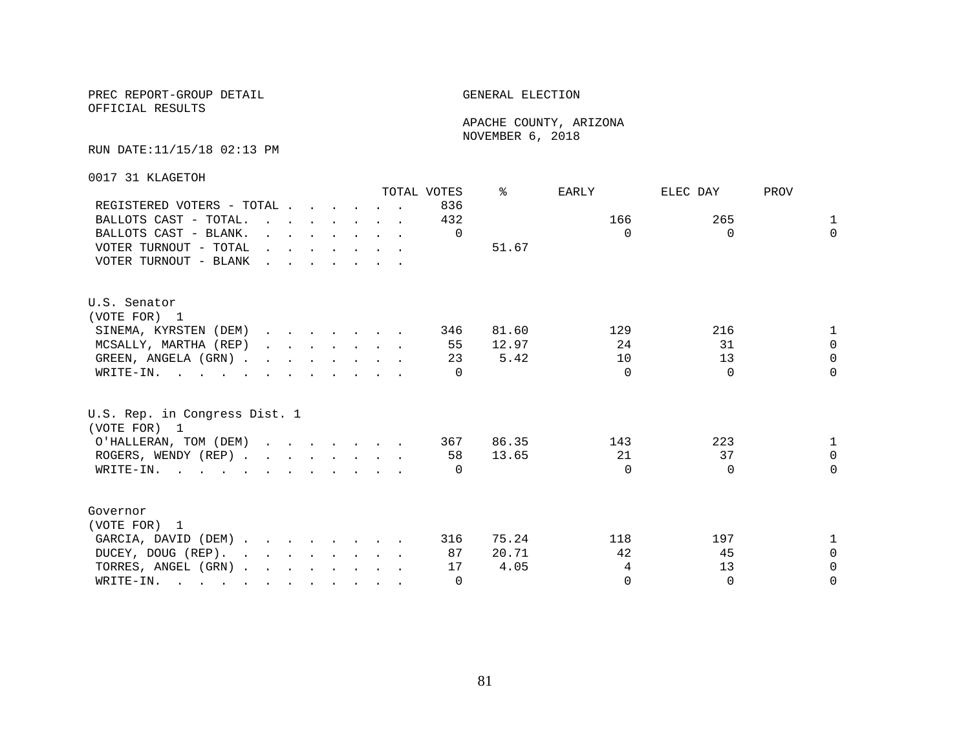OFFICIAL RESULTS

 APACHE COUNTY, ARIZONA NOVEMBER 6, 2018

### RUN DATE:11/15/18 02:13 PM

0017 31 KLAGETOH

|                                               |                                                                                                                                                                                                                                   |  |                                                                                                                                      |  | TOTAL VOTES | °     | EARLY    | ELEC DAY | PROV         |
|-----------------------------------------------|-----------------------------------------------------------------------------------------------------------------------------------------------------------------------------------------------------------------------------------|--|--------------------------------------------------------------------------------------------------------------------------------------|--|-------------|-------|----------|----------|--------------|
| REGISTERED VOTERS - TOTAL                     |                                                                                                                                                                                                                                   |  |                                                                                                                                      |  | 836         |       |          |          |              |
| BALLOTS CAST - TOTAL.                         | $\mathbf{r}$ , and $\mathbf{r}$ , and $\mathbf{r}$ , and $\mathbf{r}$                                                                                                                                                             |  |                                                                                                                                      |  | 432         |       | 166      | 265      | $\mathbf{1}$ |
| BALLOTS CAST - BLANK.                         |                                                                                                                                                                                                                                   |  | $\mathbf{r} = \mathbf{r} \cdot \mathbf{r}$ , $\mathbf{r} = \mathbf{r} \cdot \mathbf{r}$ , $\mathbf{r} = \mathbf{r} \cdot \mathbf{r}$ |  | 0           |       | $\Omega$ | $\Omega$ | $\Omega$     |
| VOTER TURNOUT - TOTAL                         | $\mathbf{r}$ . The contract of the contract of the contract of the contract of the contract of the contract of the contract of the contract of the contract of the contract of the contract of the contract of the contract of th |  |                                                                                                                                      |  |             | 51.67 |          |          |              |
| VOTER TURNOUT - BLANK                         | $\mathbf{r}$ . The set of the set of the set of the set of the set of the set of the set of the set of the set of the set of the set of the set of the set of the set of the set of the set of the set of the set of the set of t |  |                                                                                                                                      |  |             |       |          |          |              |
| U.S. Senator                                  |                                                                                                                                                                                                                                   |  |                                                                                                                                      |  |             |       |          |          |              |
| (VOTE FOR) 1                                  |                                                                                                                                                                                                                                   |  |                                                                                                                                      |  |             |       |          |          |              |
| SINEMA, KYRSTEN (DEM)                         |                                                                                                                                                                                                                                   |  |                                                                                                                                      |  | 346         | 81.60 | 129      | 216      | 1            |
| MCSALLY, MARTHA (REP)                         |                                                                                                                                                                                                                                   |  |                                                                                                                                      |  | 55          | 12.97 | 24       | 31       | $\Omega$     |
| GREEN, ANGELA (GRN)                           |                                                                                                                                                                                                                                   |  |                                                                                                                                      |  | 23          | 5.42  | 10       | 13       | $\Omega$     |
| WRITE-IN.                                     |                                                                                                                                                                                                                                   |  |                                                                                                                                      |  |             |       | $\Omega$ | $\Omega$ | $\Omega$     |
| U.S. Rep. in Congress Dist. 1<br>(VOTE FOR) 1 |                                                                                                                                                                                                                                   |  |                                                                                                                                      |  |             |       |          |          |              |
| O'HALLERAN, TOM (DEM)                         |                                                                                                                                                                                                                                   |  |                                                                                                                                      |  | 367         | 86.35 | 143      | 223      | $\mathbf{1}$ |
| ROGERS, WENDY (REP)                           |                                                                                                                                                                                                                                   |  |                                                                                                                                      |  | 58          | 13.65 | 21       | 37       | $\Omega$     |
| WRITE-IN.                                     |                                                                                                                                                                                                                                   |  |                                                                                                                                      |  | $\Box$      |       | $\Omega$ | $\Omega$ | $\Omega$     |
|                                               |                                                                                                                                                                                                                                   |  |                                                                                                                                      |  |             |       |          |          |              |
| Governor                                      |                                                                                                                                                                                                                                   |  |                                                                                                                                      |  |             |       |          |          |              |
| (VOTE FOR) 1                                  |                                                                                                                                                                                                                                   |  |                                                                                                                                      |  |             |       |          |          |              |
| GARCIA, DAVID (DEM)                           |                                                                                                                                                                                                                                   |  |                                                                                                                                      |  | 316         | 75.24 | 118      | 197      | $\mathbf{1}$ |
| DUCEY, DOUG (REP).                            |                                                                                                                                                                                                                                   |  |                                                                                                                                      |  | 87          | 20.71 | 42       | 45       | $\Omega$     |
| TORRES, ANGEL (GRN)                           |                                                                                                                                                                                                                                   |  |                                                                                                                                      |  | 17          | 4.05  | 4        | 13       | $\Omega$     |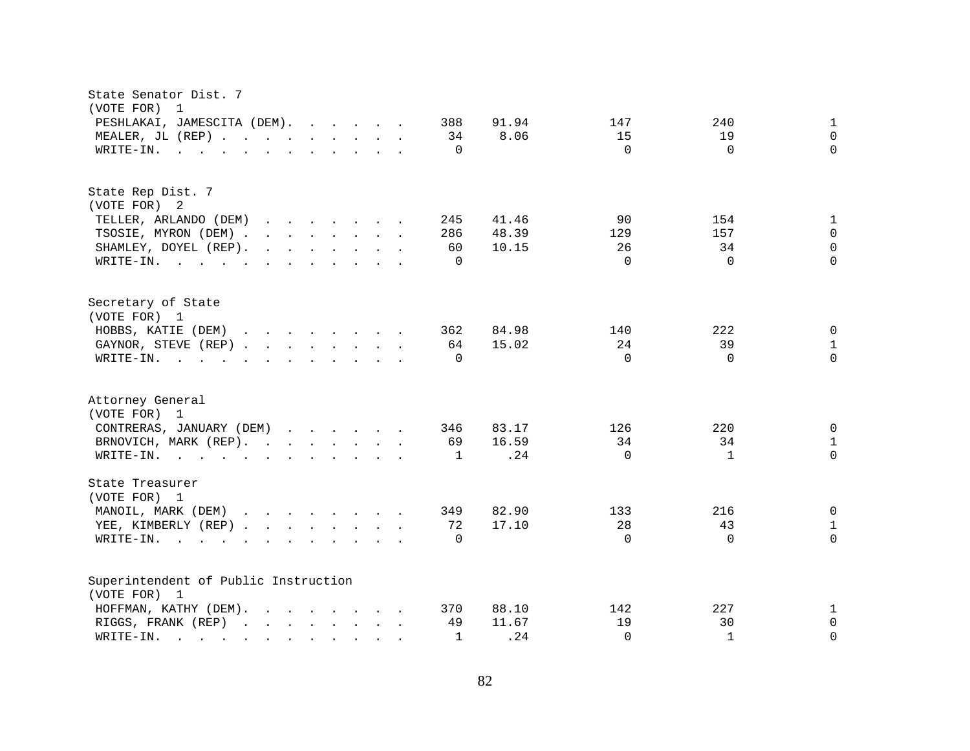| State Senator Dist. 7<br>(VOTE FOR) 1                                                                                                    |                 |              |              |
|------------------------------------------------------------------------------------------------------------------------------------------|-----------------|--------------|--------------|
| PESHLAKAI, JAMESCITA (DEM).<br>388                                                                                                       | 91.94<br>147    | 240          | $\mathbf{1}$ |
| MEALER, JL (REP)<br>34                                                                                                                   | 8.06<br>15      | 19           | $\mathbf 0$  |
| $\Omega$<br>WRITE-IN.<br>$\mathbf{r}$ , and $\mathbf{r}$ , and $\mathbf{r}$ , and $\mathbf{r}$ , and $\mathbf{r}$                        | $\Omega$        | $\Omega$     | $\Omega$     |
|                                                                                                                                          |                 |              |              |
| State Rep Dist. 7                                                                                                                        |                 |              |              |
| (VOTE FOR) 2                                                                                                                             |                 |              |              |
| TELLER, ARLANDO (DEM)<br>245<br>$\mathbf{r}$ , $\mathbf{r}$ , $\mathbf{r}$ , $\mathbf{r}$ , $\mathbf{r}$ , $\mathbf{r}$ , $\mathbf{r}$   | 41.46<br>90     | 154          | $\mathbf{1}$ |
| TSOSIE, MYRON (DEM)<br>286                                                                                                               | 48.39<br>129    | 157          | $\mathbf 0$  |
| $\mathbf{r}$ , $\mathbf{r}$ , $\mathbf{r}$ , $\mathbf{r}$ , $\mathbf{r}$ , $\mathbf{r}$ , $\mathbf{r}$<br>60<br>SHAMLEY, DOYEL (REP).    | 10.15<br>26     | 34           | $\Omega$     |
| $\Omega$<br>WRITE-IN.                                                                                                                    | $\Omega$        | $\Omega$     | $\Omega$     |
| Secretary of State<br>(VOTE FOR) 1                                                                                                       |                 |              |              |
| HOBBS, KATIE (DEM)<br>362                                                                                                                | 84.98<br>140    | 222          | 0            |
| 64<br>GAYNOR, STEVE (REP)                                                                                                                | 15.02<br>24     | 39           | $\mathbf{1}$ |
| WRITE-IN.<br>$\Omega$<br>$\mathbf{r}$ , and $\mathbf{r}$ , and $\mathbf{r}$ , and $\mathbf{r}$ , and $\mathbf{r}$ , and $\mathbf{r}$     | $\Omega$        | $\Omega$     | $\Omega$     |
|                                                                                                                                          |                 |              |              |
| Attorney General<br>(VOTE FOR) 1                                                                                                         |                 |              |              |
| CONTRERAS, JANUARY (DEM)<br>346                                                                                                          | 83.17<br>126    | 220          | 0            |
| BRNOVICH, MARK (REP).<br>69                                                                                                              | 16.59<br>34     | 34           | $\mathbf{1}$ |
| WRITE-IN.<br>1                                                                                                                           | $\Omega$<br>.24 | $\mathbf{1}$ | $\Omega$     |
|                                                                                                                                          |                 |              |              |
| State Treasurer<br>(VOTE FOR) 1                                                                                                          |                 |              |              |
| MANOIL, MARK (DEM)<br>349                                                                                                                | 82.90<br>133    | 216          | 0            |
| 72<br>YEE, KIMBERLY (REP)                                                                                                                | 28<br>17.10     | 43           | $\mathbf{1}$ |
| $\Omega$<br>WRITE-IN.<br>the contract of the contract of the contract of the contract of the contract of the contract of the contract of | $\Omega$        | $\Omega$     | $\Omega$     |
|                                                                                                                                          |                 |              |              |
| Superintendent of Public Instruction                                                                                                     |                 |              |              |
| (VOTE FOR) 1                                                                                                                             |                 |              |              |
| HOFFMAN, KATHY (DEM).<br>370                                                                                                             | 88.10<br>142    | 227          | $\mathbf{1}$ |
| RIGGS, FRANK (REP)<br>49                                                                                                                 | 11.67<br>19     | 30           | 0            |
| WRITE-IN.<br>$\mathbf{1}$<br>$\sim$                                                                                                      | .24<br>$\Omega$ | $\mathbf{1}$ | $\Omega$     |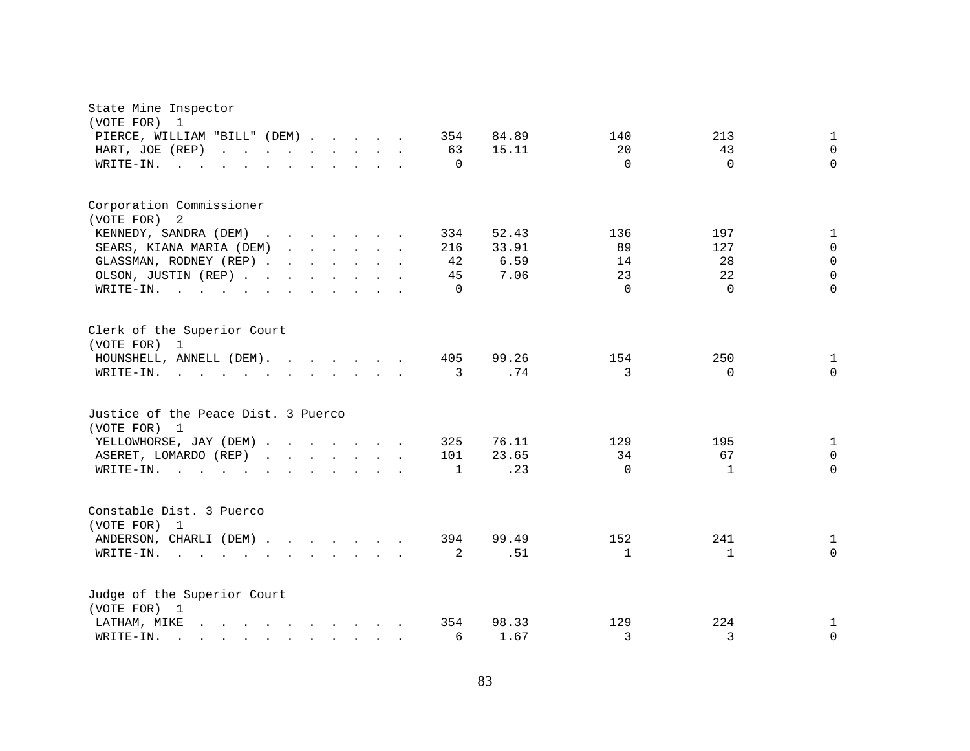| State Mine Inspector<br>(VOTE FOR) 1                                                                                                                                                                                                            |                                                 |
|-------------------------------------------------------------------------------------------------------------------------------------------------------------------------------------------------------------------------------------------------|-------------------------------------------------|
| PIERCE, WILLIAM "BILL" (DEM)<br>354                                                                                                                                                                                                             | 84.89<br>213<br>140<br>$\mathbf{1}$             |
| HART, JOE (REP)<br>63<br>and the contract of the contract of the                                                                                                                                                                                | $\Omega$<br>20<br>43<br>15.11                   |
| $\Omega$<br>WRITE-IN.<br><b>Contract</b>                                                                                                                                                                                                        | $\Omega$<br>$\Omega$<br>$\Omega$                |
|                                                                                                                                                                                                                                                 |                                                 |
| Corporation Commissioner                                                                                                                                                                                                                        |                                                 |
| (VOTE FOR)<br>2                                                                                                                                                                                                                                 |                                                 |
| KENNEDY, SANDRA (DEM)<br>334                                                                                                                                                                                                                    | 52.43<br>136<br>197<br>$\mathbf 1$              |
| SEARS, KIANA MARIA (DEM)<br>216                                                                                                                                                                                                                 | $\Omega$<br>33.91<br>89<br>127                  |
| GLASSMAN, RODNEY (REP)<br>42                                                                                                                                                                                                                    | $\Omega$<br>6.59<br>28<br>14                    |
| OLSON, JUSTIN (REP)<br>45                                                                                                                                                                                                                       | 7.06<br>23<br>22<br>$\Omega$                    |
| WRITE-IN.<br>$\Omega$<br>the contract of the contract of the contract of the contract of the contract of the contract of the contract of                                                                                                        | $\Omega$<br>$\Omega$<br>$\Omega$                |
| Clerk of the Superior Court<br>(VOTE FOR) 1                                                                                                                                                                                                     |                                                 |
| HOUNSHELL, ANNELL (DEM).<br>405                                                                                                                                                                                                                 | 99.26<br>154<br>250<br>$\mathbf{1}$             |
| 3<br>WRITE-IN.                                                                                                                                                                                                                                  | .74<br>3<br>$\Omega$<br>$\Omega$                |
|                                                                                                                                                                                                                                                 |                                                 |
| Justice of the Peace Dist. 3 Puerco<br>(VOTE FOR) 1                                                                                                                                                                                             |                                                 |
| YELLOWHORSE, JAY (DEM)<br>325                                                                                                                                                                                                                   | 76.11<br>129<br>195<br>$\mathbf{1}$             |
| ASERET, LOMARDO (REP)<br>101                                                                                                                                                                                                                    | 34<br>67<br>$\mathbf 0$<br>23.65                |
| WRITE-IN.<br>$\mathbf 1$<br>$\mathbf{r} = \mathbf{r} + \mathbf{r} + \mathbf{r} + \mathbf{r}$                                                                                                                                                    | .23<br>$\Omega$<br>$\mathbf{1}$<br>$\Omega$     |
|                                                                                                                                                                                                                                                 |                                                 |
| Constable Dist. 3 Puerco                                                                                                                                                                                                                        |                                                 |
| (VOTE FOR) 1                                                                                                                                                                                                                                    |                                                 |
| ANDERSON, CHARLI (DEM)<br>394                                                                                                                                                                                                                   | 241<br>99.49<br>152<br>$\mathbf{1}$<br>$\Omega$ |
| 2<br>WRITE-IN.<br>. The contract of the contract of the contract of the contract of the contract of the contract of the contract of the contract of the contract of the contract of the contract of the contract of the contract of the contrac | .51<br>$\mathbf{1}$<br>$\mathbf{1}$             |
| Judge of the Superior Court                                                                                                                                                                                                                     |                                                 |
| (VOTE FOR) 1<br>354<br>LATHAM, MIKE<br>$\mathbf{r}$ , and $\mathbf{r}$ , and $\mathbf{r}$ , and $\mathbf{r}$ , and $\mathbf{r}$                                                                                                                 | 224<br>98.33<br>129<br>$\mathbf 1$              |
| WRITE-IN.<br>6                                                                                                                                                                                                                                  | 3<br>3<br>$\mathbf 0$<br>1.67                   |
| $\mathbf{r} = \mathbf{r} - \mathbf{r}$ , $\mathbf{r} = \mathbf{r} - \mathbf{r}$ , $\mathbf{r} = \mathbf{r} - \mathbf{r}$                                                                                                                        |                                                 |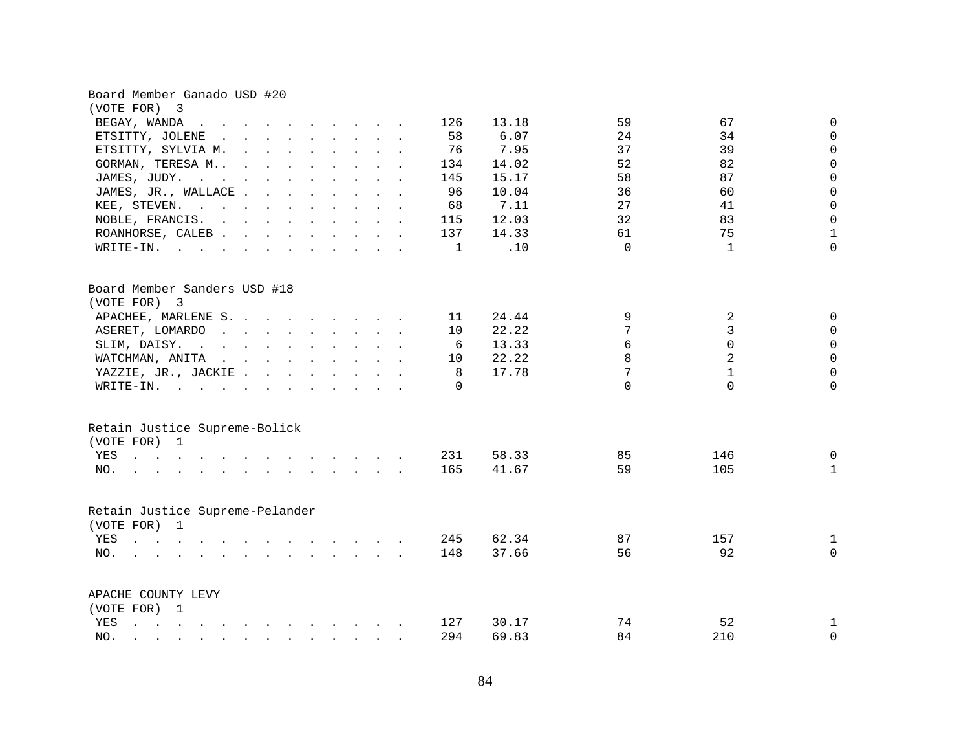| Board Member Ganado USD #20                                                                                                                                                                                                                       |          |       |          |                |              |
|---------------------------------------------------------------------------------------------------------------------------------------------------------------------------------------------------------------------------------------------------|----------|-------|----------|----------------|--------------|
| (VOTE FOR)<br>3                                                                                                                                                                                                                                   |          |       |          |                |              |
| BEGAY, WANDA<br>$\mathbf{r}$ , and $\mathbf{r}$ , and $\mathbf{r}$ , and $\mathbf{r}$ , and $\mathbf{r}$                                                                                                                                          | 126      | 13.18 | 59       | 67             | 0            |
| ETSITTY, JOLENE<br>$\mathbf{r}$ , and $\mathbf{r}$ , and $\mathbf{r}$ , and $\mathbf{r}$ , and $\mathbf{r}$                                                                                                                                       | 58       | 6.07  | 24       | 34             | $\Omega$     |
| ETSITTY, SYLVIA M.                                                                                                                                                                                                                                | 76       | 7.95  | 37       | 39             | $\mathbf 0$  |
| GORMAN, TERESA M                                                                                                                                                                                                                                  | 134      | 14.02 | 52       | 82             | $\mathbf 0$  |
| JAMES, JUDY.                                                                                                                                                                                                                                      | 145      | 15.17 | 58       | 87             | $\mathbf 0$  |
| JAMES, JR., WALLACE                                                                                                                                                                                                                               | 96       | 10.04 | 36       | 60             | $\mathbf 0$  |
| KEE, STEVEN.                                                                                                                                                                                                                                      | 68       | 7.11  | 27       | 41             | $\mathbf 0$  |
| NOBLE, FRANCIS.                                                                                                                                                                                                                                   | 115      | 12.03 | 32       | 83             | 0            |
| ROANHORSE, CALEB                                                                                                                                                                                                                                  | 137      | 14.33 | 61       | 75             | $\mathbf{1}$ |
| WRITE-IN.                                                                                                                                                                                                                                         | 1        | .10   | $\Omega$ | $\mathbf{1}$   | $\Omega$     |
| Board Member Sanders USD #18                                                                                                                                                                                                                      |          |       |          |                |              |
| (VOTE FOR) 3                                                                                                                                                                                                                                      |          |       |          |                |              |
| APACHEE, MARLENE S.                                                                                                                                                                                                                               | 11       | 24.44 | 9        | 2              | 0            |
| ASERET, LOMARDO.                                                                                                                                                                                                                                  | 10       | 22.22 | 7        | 3              | $\mathbf 0$  |
| SLIM, DAISY.<br>$\mathbf{r}$ . The set of the set of the set of the set of the set of the set of the set of the set of the set of the set of the set of the set of the set of the set of the set of the set of the set of the set of the set of t | 6        | 13.33 | 6        | $\Omega$       | $\mathbf 0$  |
| WATCHMAN, ANITA                                                                                                                                                                                                                                   | 10       | 22.22 | 8        | $\overline{a}$ | $\Omega$     |
| YAZZIE, JR., JACKIE.                                                                                                                                                                                                                              | 8        | 17.78 | 7        | $\mathbf{1}$   | $\Omega$     |
| WRITE-IN.                                                                                                                                                                                                                                         | $\Omega$ |       | $\Omega$ | $\Omega$       | $\Omega$     |
| Retain Justice Supreme-Bolick                                                                                                                                                                                                                     |          |       |          |                |              |
| (VOTE FOR) 1                                                                                                                                                                                                                                      |          |       |          |                |              |
| YES                                                                                                                                                                                                                                               | 231      | 58.33 | 85       | 146            | 0            |
| NO.                                                                                                                                                                                                                                               | 165      | 41.67 | 59       | 105            | $\mathbf{1}$ |
| Retain Justice Supreme-Pelander                                                                                                                                                                                                                   |          |       |          |                |              |
| (VOTE FOR) 1                                                                                                                                                                                                                                      |          |       |          |                |              |
| YES                                                                                                                                                                                                                                               | 245      | 62.34 | 87       | 157            | $\mathbf{1}$ |
| NO.                                                                                                                                                                                                                                               | 148      | 37.66 | 56       | 92             | $\Omega$     |
| APACHE COUNTY LEVY                                                                                                                                                                                                                                |          |       |          |                |              |
| (VOTE FOR) 1                                                                                                                                                                                                                                      |          |       |          |                |              |
| YES<br>the contract of the contract of the contract of the contract of the contract of the contract of the contract of                                                                                                                            | 127      | 30.17 | 74       | 52             | $\mathbf 1$  |
| NO.<br>$\mathbf{r}$ , $\mathbf{r}$ , $\mathbf{r}$ , $\mathbf{r}$ , $\mathbf{r}$ , $\mathbf{r}$ , $\mathbf{r}$ , $\mathbf{r}$                                                                                                                      | 294      | 69.83 | 84       | 210            | $\Omega$     |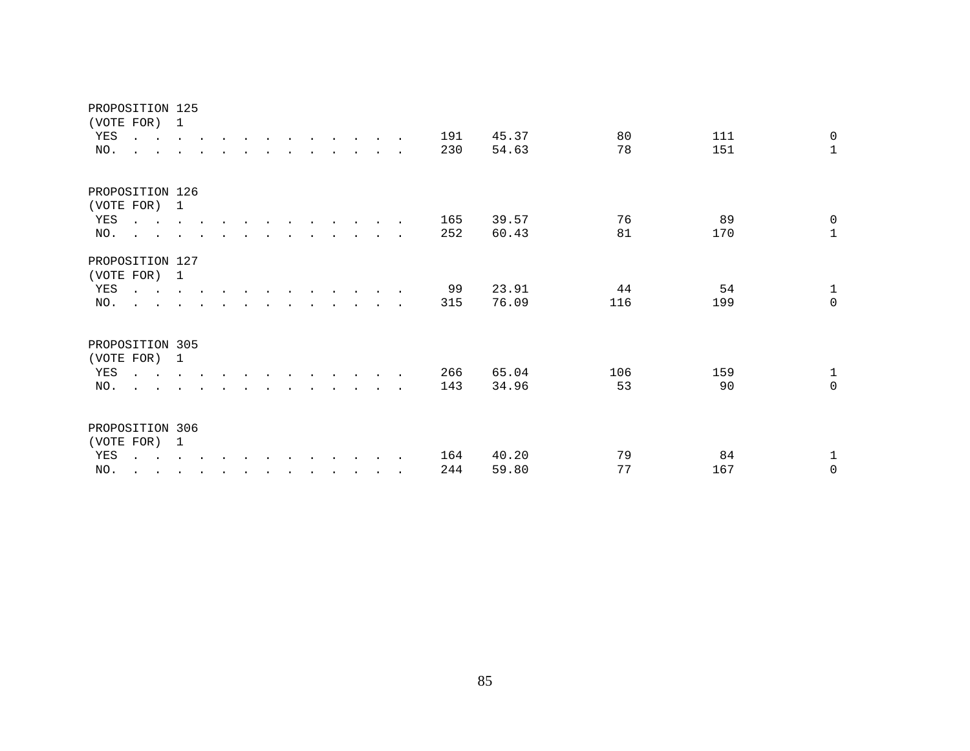| YES | PROPOSITION 125<br>(VOTE FOR) 1<br>$\mathbf{r}$ , $\mathbf{r}$ , $\mathbf{r}$ , $\mathbf{r}$ , $\mathbf{r}$ |                      |  |  |  |  | 191 | 45.37 | 80  | 111 | 0                   |
|-----|-------------------------------------------------------------------------------------------------------------|----------------------|--|--|--|--|-----|-------|-----|-----|---------------------|
| NO. | $\overline{a}$<br>$\sim$ $\sim$                                                                             |                      |  |  |  |  | 230 | 54.63 | 78  | 151 | $\mathbf{1}$        |
|     | PROPOSITION 126<br>(VOTE FOR) 1                                                                             |                      |  |  |  |  |     |       |     |     |                     |
| YES | $\mathbf{r}$ , $\mathbf{r}$ , $\mathbf{r}$ , $\mathbf{r}$                                                   |                      |  |  |  |  | 165 | 39.57 | 76  | 89  | $\mathsf 0$         |
| NO. | <b>All Carl Carl Control</b>                                                                                |                      |  |  |  |  | 252 | 60.43 | 81  | 170 | $\overline{1}$      |
|     | PROPOSITION 127<br>(VOTE FOR) 1                                                                             |                      |  |  |  |  |     |       |     |     |                     |
| YES | $\mathcal{A}$ is a set of $\mathcal{A}$ . The set of $\mathcal{A}$ is a set of $\mathcal{A}$                |                      |  |  |  |  | 99  | 23.91 | 44  | 54  | $\mathbf 1$         |
| NO. | $\mathbf{r} = \mathbf{r}$ and $\mathbf{r} = \mathbf{r}$                                                     |                      |  |  |  |  | 315 | 76.09 | 116 | 199 | $\mathsf{O}\xspace$ |
|     | PROPOSITION 305<br>(VOTE FOR) 1                                                                             |                      |  |  |  |  |     |       |     |     |                     |
| YES | $\mathbf{r}$ , $\mathbf{r}$ , $\mathbf{r}$ , $\mathbf{r}$ , $\mathbf{r}$                                    |                      |  |  |  |  | 266 | 65.04 | 106 | 159 | $1\,$               |
| NO. | $\ddot{\phantom{a}}$<br>the contract of the contract of the contract of the contract of the contract of     |                      |  |  |  |  | 143 | 34.96 | 53  | 90  | $\mathsf 0$         |
|     | PROPOSITION 306<br>(VOTE FOR) 1                                                                             |                      |  |  |  |  |     |       |     |     |                     |
| YES | $\mathbf{r} = \mathbf{r} + \mathbf{r} + \mathbf{r} + \mathbf{r}$                                            |                      |  |  |  |  | 164 | 40.20 | 79  | 84  | $\mathbf 1$         |
| NO. | $\ddot{\phantom{a}}$<br><b>Contract Contract Contract Contract</b>                                          | $\ddot{\phantom{a}}$ |  |  |  |  | 244 | 59.80 | 77  | 167 | $\overline{0}$      |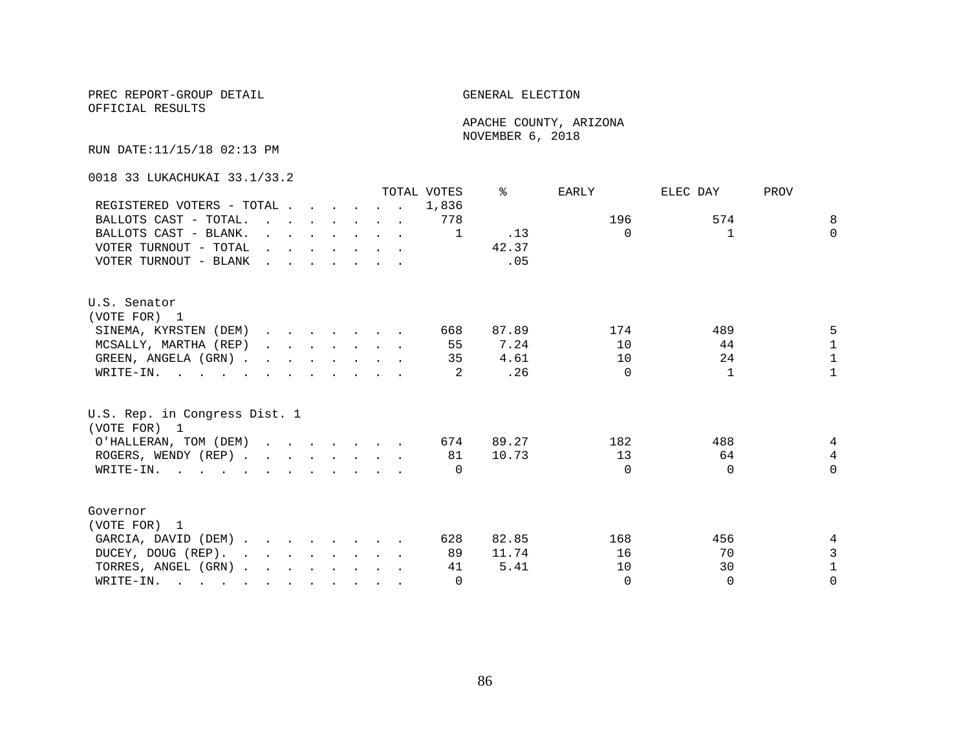OFFICIAL RESULTS

 APACHE COUNTY, ARIZONA NOVEMBER 6, 2018

RUN DATE:11/15/18 02:13 PM

0018 33 LUKACHUKAI 33.1/33.2

|                                                                                                                          |                                                                                         |  |                                                                                         |  | TOTAL VOTES | ⊱     | EARLY    | ELEC DAY     | PROV           |
|--------------------------------------------------------------------------------------------------------------------------|-----------------------------------------------------------------------------------------|--|-----------------------------------------------------------------------------------------|--|-------------|-------|----------|--------------|----------------|
| REGISTERED VOTERS - TOTAL                                                                                                |                                                                                         |  |                                                                                         |  | 1,836       |       |          |              |                |
| BALLOTS CAST - TOTAL.                                                                                                    | $\mathbf{r}$ , $\mathbf{r}$ , $\mathbf{r}$ , $\mathbf{r}$ , $\mathbf{r}$ , $\mathbf{r}$ |  |                                                                                         |  | 778         |       | 196      | 574          | 8              |
| BALLOTS CAST - BLANK.                                                                                                    |                                                                                         |  | $\mathbf{r}$ and $\mathbf{r}$ and $\mathbf{r}$ and $\mathbf{r}$ and $\mathbf{r}$        |  | 1           | .13   | $\Omega$ | $\mathbf{1}$ | $\Omega$       |
| VOTER TURNOUT - TOTAL                                                                                                    |                                                                                         |  | $\mathbf{r}$ , $\mathbf{r}$ , $\mathbf{r}$ , $\mathbf{r}$ , $\mathbf{r}$ , $\mathbf{r}$ |  |             | 42.37 |          |              |                |
| VOTER TURNOUT - BLANK                                                                                                    |                                                                                         |  |                                                                                         |  |             | .05   |          |              |                |
| U.S. Senator                                                                                                             |                                                                                         |  |                                                                                         |  |             |       |          |              |                |
| (VOTE FOR) 1                                                                                                             |                                                                                         |  |                                                                                         |  |             |       |          |              |                |
| SINEMA, KYRSTEN (DEM)                                                                                                    |                                                                                         |  |                                                                                         |  | 668         | 87.89 | 174      | 489          | 5              |
| MCSALLY, MARTHA (REP)                                                                                                    |                                                                                         |  | $\mathbf{r}$ , $\mathbf{r}$ , $\mathbf{r}$ , $\mathbf{r}$ , $\mathbf{r}$ , $\mathbf{r}$ |  | 55          | 7.24  | 10       | 44           | $\mathbf{1}$   |
| GREEN, ANGELA (GRN).                                                                                                     |                                                                                         |  |                                                                                         |  | 35          | 4.61  | 10       | 24           | $\mathbf{1}$   |
| WRITE-IN.                                                                                                                |                                                                                         |  |                                                                                         |  |             | .26   | $\Omega$ | 1            | $\mathbf{1}$   |
| U.S. Rep. in Congress Dist. 1<br>(VOTE FOR) 1                                                                            |                                                                                         |  |                                                                                         |  |             |       |          |              |                |
| O'HALLERAN, TOM (DEM)                                                                                                    |                                                                                         |  |                                                                                         |  | 674         | 89.27 | 182      | 488          | 4              |
| ROGERS, WENDY (REP)                                                                                                      |                                                                                         |  |                                                                                         |  | 81          | 10.73 | 13       | 64           | $\overline{4}$ |
| WRITE-IN.                                                                                                                |                                                                                         |  |                                                                                         |  | $\Omega$    |       | $\Omega$ | $\Omega$     | $\Omega$       |
| Governor                                                                                                                 |                                                                                         |  |                                                                                         |  |             |       |          |              |                |
| (VOTE FOR) 1                                                                                                             |                                                                                         |  |                                                                                         |  |             |       |          |              |                |
| GARCIA, DAVID (DEM)                                                                                                      |                                                                                         |  |                                                                                         |  | 628         | 82.85 | 168      | 456          | 4              |
| DUCEY, DOUG (REP).                                                                                                       |                                                                                         |  |                                                                                         |  | 89          | 11.74 | 16       | 70           | 3              |
| TORRES, ANGEL (GRN)                                                                                                      |                                                                                         |  |                                                                                         |  | 41          | 5.41  | 10       | 30           | $\mathbf{1}$   |
| WRITE-IN.<br>$\mathbf{r}$ , and $\mathbf{r}$ , and $\mathbf{r}$ , and $\mathbf{r}$ , and $\mathbf{r}$ , and $\mathbf{r}$ |                                                                                         |  |                                                                                         |  | $\Omega$    |       | $\Omega$ | $\Omega$     | $\Omega$       |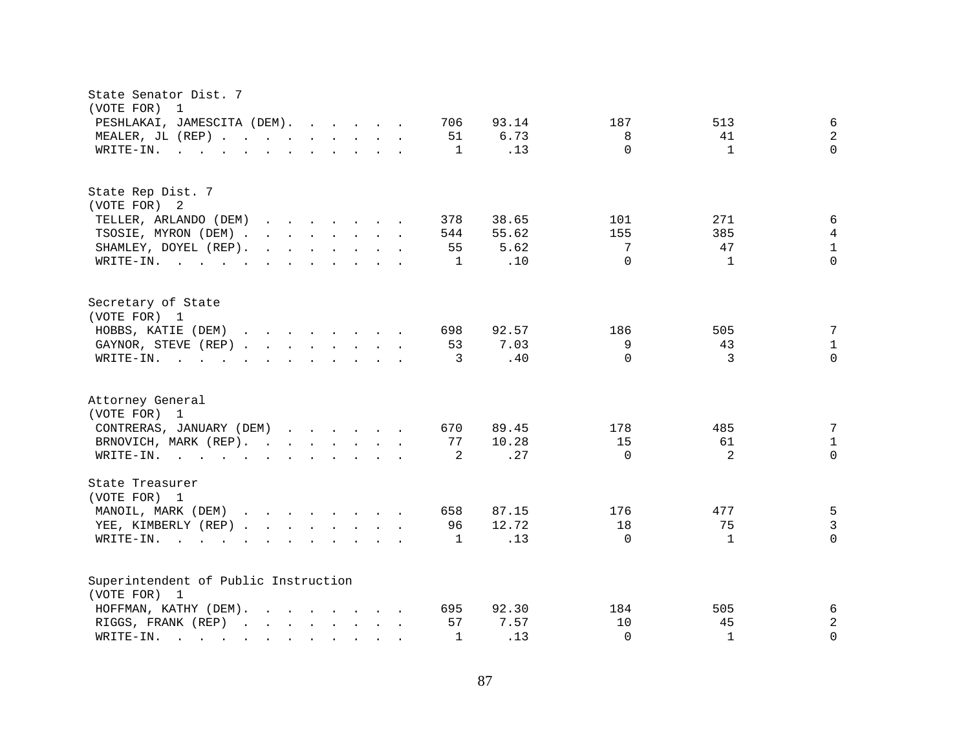| State Senator Dist. 7<br>(VOTE FOR)<br>1                                                                                                                                                                                                                          |                                                                             |
|-------------------------------------------------------------------------------------------------------------------------------------------------------------------------------------------------------------------------------------------------------------------|-----------------------------------------------------------------------------|
| PESHLAKAI, JAMESCITA (DEM).<br>706                                                                                                                                                                                                                                | 93.14<br>187<br>513<br>6                                                    |
| MEALER, JL (REP)<br>51                                                                                                                                                                                                                                            | $\overline{2}$<br>6.73<br>8<br>41                                           |
| WRITE-IN.<br>$\mathbf 1$<br>$\mathbf{r}$ , $\mathbf{r}$ , $\mathbf{r}$ , $\mathbf{r}$ , $\mathbf{r}$ , $\mathbf{r}$ , $\mathbf{r}$ , $\mathbf{r}$                                                                                                                 | $\Omega$<br>$\Omega$<br>.13<br>$\mathbf{1}$                                 |
| State Rep Dist. 7                                                                                                                                                                                                                                                 |                                                                             |
| (VOTE FOR) 2                                                                                                                                                                                                                                                      |                                                                             |
| TELLER, ARLANDO (DEM)<br>378<br>$\mathbf{r}$ . The set of the set of the set of the set of the set of the set of the set of the set of the set of the set of the set of the set of the set of the set of the set of the set of the set of the set of the set of t | 38.65<br>101<br>271<br>6                                                    |
| TSOSIE, MYRON (DEM).<br>$\mathbf{r}$ , $\mathbf{r}$ , $\mathbf{r}$ , $\mathbf{r}$ , $\mathbf{r}$ , $\mathbf{r}$<br>544                                                                                                                                            | 155<br>385<br>4<br>55.62                                                    |
| SHAMLEY, DOYEL (REP).<br>$\mathbf{r}$ , and $\mathbf{r}$ , and $\mathbf{r}$ , and $\mathbf{r}$<br>55                                                                                                                                                              | $\mathbf{1}$<br>5.62<br>7<br>47                                             |
| WRITE-IN.<br>$\mathbf 1$                                                                                                                                                                                                                                          | $\Omega$<br>$\Omega$<br>.10<br>$\mathbf{1}$                                 |
| Secretary of State<br>(VOTE FOR) 1                                                                                                                                                                                                                                |                                                                             |
| HOBBS, KATIE (DEM)<br>698                                                                                                                                                                                                                                         | 92.57<br>186<br>505<br>7                                                    |
| 53<br>GAYNOR, STEVE (REP)                                                                                                                                                                                                                                         | 7.03<br>9<br>43<br>$\mathbf{1}$                                             |
| 3<br>WRITE-IN.<br>$\mathbf{r}$ , and $\mathbf{r}$ , and $\mathbf{r}$ , and $\mathbf{r}$ , and $\mathbf{r}$                                                                                                                                                        | .40<br>$\Omega$<br>3<br>$\Omega$                                            |
|                                                                                                                                                                                                                                                                   |                                                                             |
| Attorney General                                                                                                                                                                                                                                                  |                                                                             |
| (VOTE FOR) 1<br>670                                                                                                                                                                                                                                               | 89.45<br>178<br>485<br>7                                                    |
| CONTRERAS, JANUARY (DEM)                                                                                                                                                                                                                                          | 15                                                                          |
| BRNOVICH, MARK (REP).<br>77                                                                                                                                                                                                                                       | 10.28<br>61<br>$\mathbf 1$<br>.27<br>$\mathfrak{D}$<br>$\Omega$<br>$\Omega$ |
| 2<br>WRITE-IN.                                                                                                                                                                                                                                                    |                                                                             |
| State Treasurer<br>(VOTE FOR) 1                                                                                                                                                                                                                                   |                                                                             |
| MANOIL, MARK (DEM)<br>658                                                                                                                                                                                                                                         | 87.15<br>176<br>5<br>477                                                    |
| 96<br>YEE, KIMBERLY (REP)                                                                                                                                                                                                                                         | 3<br>12.72<br>18<br>75                                                      |
| WRITE-IN.<br>1<br>$\mathbf{r}$ . The contract of the contract of the contract of the contract of the contract of the contract of the contract of the contract of the contract of the contract of the contract of the contract of the contract of th               | .13<br>$\mathbf{1}$<br>$\Omega$<br>$\Omega$                                 |
|                                                                                                                                                                                                                                                                   |                                                                             |
| Superintendent of Public Instruction                                                                                                                                                                                                                              |                                                                             |
| (VOTE FOR) 1                                                                                                                                                                                                                                                      |                                                                             |
| HOFFMAN, KATHY (DEM).<br>695<br>$\mathbf{r}$ . The contract of the contract of the contract of the contract of the contract of the contract of the contract of the contract of the contract of the contract of the contract of the contract of the contract of th | 92.30<br>184<br>505<br>6                                                    |
| 57<br>RIGGS, FRANK (REP)                                                                                                                                                                                                                                          | 45<br>2<br>7.57<br>10                                                       |
| WRITE-IN.<br>$\mathbf{1}$<br>and the state of the state of the state of the state of the state of the state of the state of the state of the<br><b><i>Contract Contract States</i></b><br>$\mathcal{L}$                                                           | .13<br>$\Omega$<br>$\mathbf{1}$<br>$\Omega$                                 |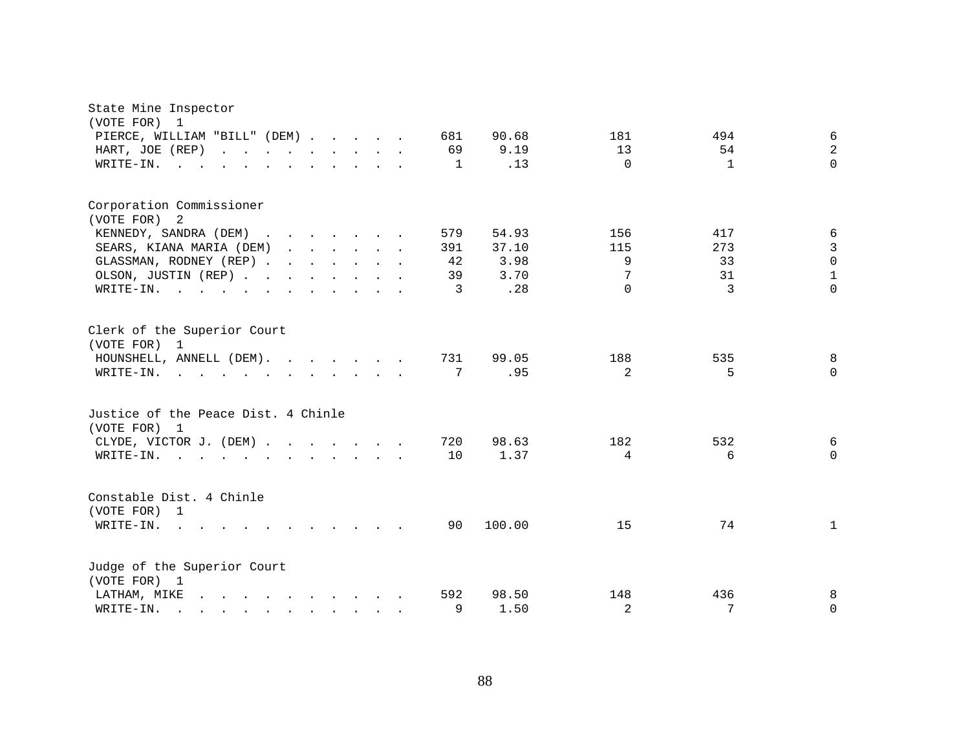| State Mine Inspector<br>(VOTE FOR)<br>1                                                                                                                                                                                                                       |                                               |
|---------------------------------------------------------------------------------------------------------------------------------------------------------------------------------------------------------------------------------------------------------------|-----------------------------------------------|
| PIERCE, WILLIAM "BILL" (DEM)<br>681                                                                                                                                                                                                                           | 6<br>90.68<br>181<br>494                      |
| 69<br>HART, JOE (REP)                                                                                                                                                                                                                                         | $\sqrt{2}$<br>9.19<br>13<br>54                |
| WRITE-IN.<br>1<br>the contract of the contract of the<br>$\cdot$ $\cdot$ $\cdot$ $\cdot$ $\cdot$ $\cdot$                                                                                                                                                      | $\Omega$<br>$\Omega$<br>.13<br>1              |
|                                                                                                                                                                                                                                                               |                                               |
| Corporation Commissioner<br>(VOTE FOR) 2                                                                                                                                                                                                                      |                                               |
| KENNEDY, SANDRA (DEM)<br>579                                                                                                                                                                                                                                  | 54.93<br>156<br>6<br>417                      |
| SEARS, KIANA MARIA (DEM)<br>391                                                                                                                                                                                                                               | 3<br>273<br>37.10<br>115                      |
| GLASSMAN, RODNEY (REP)<br>42                                                                                                                                                                                                                                  | $\mathsf 0$<br>3.98<br>9<br>33                |
| OLSON, JUSTIN (REP)<br>39                                                                                                                                                                                                                                     | $\mathbf 1$<br>7<br>3.70<br>31                |
| WRITE-IN.<br>3                                                                                                                                                                                                                                                | $\Omega$<br>$\overline{3}$<br>$\Omega$<br>.28 |
|                                                                                                                                                                                                                                                               |                                               |
| Clerk of the Superior Court<br>(VOTE FOR) 1                                                                                                                                                                                                                   |                                               |
| HOUNSHELL, ANNELL (DEM).<br>731                                                                                                                                                                                                                               | 99.05<br>188<br>535<br>8                      |
| 7<br>WRITE-IN.<br>$\mathbf{r}$ , and $\mathbf{r}$ , and $\mathbf{r}$ , and $\mathbf{r}$ , and $\mathbf{r}$                                                                                                                                                    | 2<br>5<br>$\Omega$<br>.95                     |
| Justice of the Peace Dist. 4 Chinle<br>(VOTE FOR) 1                                                                                                                                                                                                           |                                               |
| CLYDE, VICTOR J. (DEM)<br>720                                                                                                                                                                                                                                 | 98.63<br>182<br>532<br>6                      |
| 10<br>WRITE-IN.<br>$\mathbf{r}$ , and $\mathbf{r}$ , and $\mathbf{r}$ , and $\mathbf{r}$ , and $\mathbf{r}$                                                                                                                                                   | 4<br>6<br>$\mathbf 0$<br>1.37                 |
| Constable Dist. 4 Chinle<br>(VOTE FOR) 1                                                                                                                                                                                                                      |                                               |
| WRITE-IN.<br>90<br>$\sim$<br>$\mathbf{r}$ , $\mathbf{r}$ , $\mathbf{r}$ , $\mathbf{r}$ , $\mathbf{r}$                                                                                                                                                         | 100.00<br>74<br>15<br>$\mathbf{1}$            |
| Judge of the Superior Court<br>(VOTE FOR) 1                                                                                                                                                                                                                   |                                               |
| 592<br>LATHAM, MIKE<br>$\mathbf{r}$ , $\mathbf{r}$ , $\mathbf{r}$ , $\mathbf{r}$ , $\mathbf{r}$ , $\mathbf{r}$ , $\mathbf{r}$                                                                                                                                 | 98.50<br>148<br>436<br>8                      |
| 9<br>WRITE-IN.<br>$\mathbf{r}$ . The set of the set of the set of the set of the set of the set of the set of the set of the set of the set of the set of the set of the set of the set of the set of the set of the set of the set of the set of t<br>$\sim$ | 2<br>7<br>1.50<br>0                           |
|                                                                                                                                                                                                                                                               |                                               |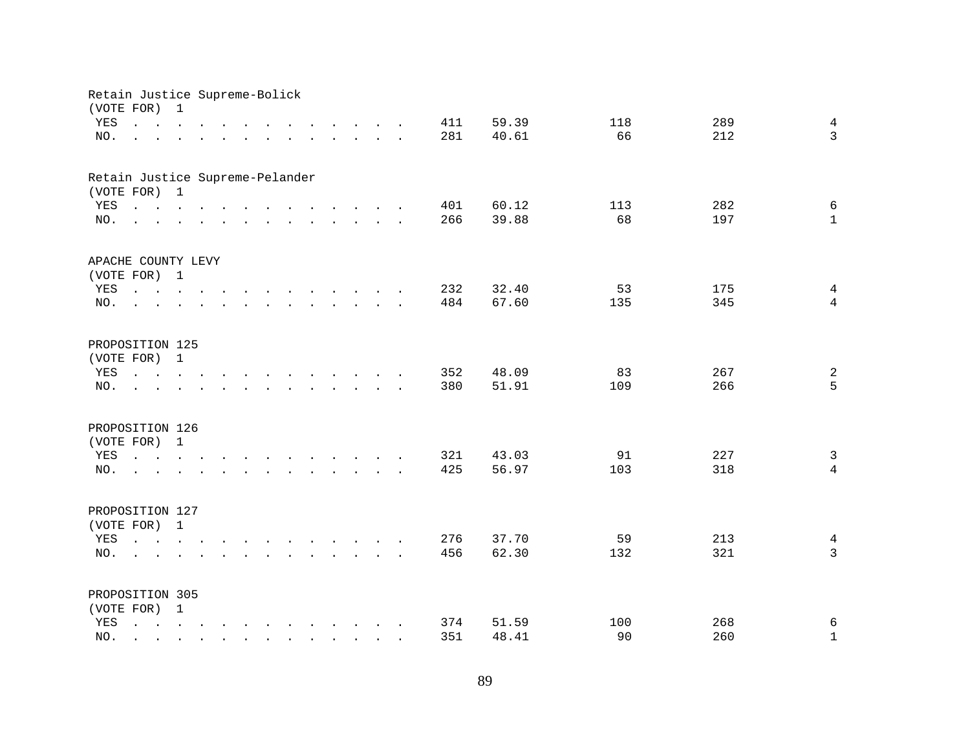|     | Retain Justice Supreme-Bolick<br>(VOTE FOR)                                                                                                                                    | 1             |          |                                                                                                                                                                         |                                                                                                                                                                                                                                   |              |                                                           |                            |                 |     |       |     |     |                |
|-----|--------------------------------------------------------------------------------------------------------------------------------------------------------------------------------|---------------|----------|-------------------------------------------------------------------------------------------------------------------------------------------------------------------------|-----------------------------------------------------------------------------------------------------------------------------------------------------------------------------------------------------------------------------------|--------------|-----------------------------------------------------------|----------------------------|-----------------|-----|-------|-----|-----|----------------|
| YES | $\mathbf{L} = \mathbf{L}$                                                                                                                                                      | $\sim$ $\sim$ | $\cdots$ |                                                                                                                                                                         |                                                                                                                                                                                                                                   |              |                                                           | $\cdots$ $\cdots$ $\cdots$ |                 | 411 | 59.39 | 118 | 289 | $\overline{4}$ |
| NO. |                                                                                                                                                                                |               |          |                                                                                                                                                                         | $\ddot{\phantom{a}}$                                                                                                                                                                                                              |              | $\mathbf{L}$ and $\mathbf{L}$                             | $\sim 10$                  | $\cdot$ $\cdot$ | 281 | 40.61 | 66  | 212 | $\mathbf{3}$   |
|     |                                                                                                                                                                                |               |          |                                                                                                                                                                         |                                                                                                                                                                                                                                   |              |                                                           |                            |                 |     |       |     |     |                |
|     | Retain Justice Supreme-Pelander                                                                                                                                                |               |          |                                                                                                                                                                         |                                                                                                                                                                                                                                   |              |                                                           |                            |                 |     |       |     |     |                |
|     | (VOTE FOR) 1                                                                                                                                                                   |               |          |                                                                                                                                                                         |                                                                                                                                                                                                                                   |              |                                                           |                            |                 |     |       |     |     |                |
| YES | $\mathbf{r}$ , and $\mathbf{r}$ , and $\mathbf{r}$ , and $\mathbf{r}$ , and $\mathbf{r}$ , and $\mathbf{r}$                                                                    |               |          |                                                                                                                                                                         |                                                                                                                                                                                                                                   |              |                                                           |                            |                 | 401 | 60.12 | 113 | 282 | $\epsilon$     |
| NO. | the contract of the contract of the contract of the contract of the contract of the contract of the contract of                                                                |               |          |                                                                                                                                                                         |                                                                                                                                                                                                                                   |              |                                                           |                            |                 | 266 | 39.88 | 68  | 197 | $\mathbf{1}$   |
|     | APACHE COUNTY LEVY                                                                                                                                                             |               |          |                                                                                                                                                                         |                                                                                                                                                                                                                                   |              |                                                           |                            |                 |     |       |     |     |                |
|     | (VOTE FOR) 1                                                                                                                                                                   |               |          |                                                                                                                                                                         |                                                                                                                                                                                                                                   |              |                                                           |                            |                 |     |       |     |     |                |
| YES | $\mathbf{r}$ , $\mathbf{r}$ , $\mathbf{r}$ , $\mathbf{r}$ , $\mathbf{r}$ , $\mathbf{r}$ , $\mathbf{r}$ , $\mathbf{r}$ , $\mathbf{r}$                                           |               |          |                                                                                                                                                                         |                                                                                                                                                                                                                                   |              |                                                           |                            |                 | 232 | 32.40 | 53  | 175 | $\overline{4}$ |
| NO. | $\mathcal{L}$                                                                                                                                                                  |               |          |                                                                                                                                                                         | and the contract of the contract of the contract of the contract of the contract of the contract of the contract of the contract of the contract of the contract of the contract of the contract of the contract of the contra    |              |                                                           |                            |                 | 484 | 67.60 | 135 | 345 | $\overline{4}$ |
|     |                                                                                                                                                                                |               |          |                                                                                                                                                                         |                                                                                                                                                                                                                                   |              |                                                           |                            |                 |     |       |     |     |                |
|     | PROPOSITION 125                                                                                                                                                                |               |          |                                                                                                                                                                         |                                                                                                                                                                                                                                   |              |                                                           |                            |                 |     |       |     |     |                |
|     | (VOTE FOR) 1                                                                                                                                                                   |               |          |                                                                                                                                                                         |                                                                                                                                                                                                                                   |              |                                                           |                            |                 |     |       |     |     |                |
| YES | $\mathbf{r}$ , $\mathbf{r}$ , $\mathbf{r}$                                                                                                                                     |               |          |                                                                                                                                                                         | $\mathbf{r}$ . The contract of the contract of the contract of the contract of the contract of the contract of the contract of the contract of the contract of the contract of the contract of the contract of the contract of th |              |                                                           |                            |                 | 352 | 48.09 | 83  | 267 | $\overline{a}$ |
| NO. |                                                                                                                                                                                |               |          |                                                                                                                                                                         |                                                                                                                                                                                                                                   | $\mathbf{L}$ | $\sim$                                                    |                            |                 | 380 | 51.91 | 109 | 266 | 5              |
|     |                                                                                                                                                                                |               |          |                                                                                                                                                                         |                                                                                                                                                                                                                                   |              |                                                           |                            |                 |     |       |     |     |                |
|     | PROPOSITION 126                                                                                                                                                                |               |          |                                                                                                                                                                         |                                                                                                                                                                                                                                   |              |                                                           |                            |                 |     |       |     |     |                |
|     | (VOTE FOR)                                                                                                                                                                     | $\mathbf{1}$  |          |                                                                                                                                                                         |                                                                                                                                                                                                                                   |              |                                                           |                            |                 |     |       |     |     |                |
| YES | the contract of the contract of the contract of the contract of the contract of the contract of the contract of                                                                |               |          |                                                                                                                                                                         |                                                                                                                                                                                                                                   |              |                                                           |                            |                 | 321 | 43.03 | 91  | 227 | $\mathsf{3}$   |
| NO. | $\mathbf{r}$ , $\mathbf{r}$ , $\mathbf{r}$ , $\mathbf{r}$                                                                                                                      |               |          | $\mathbf{r} = \mathbf{r} \times \mathbf{r} = \mathbf{r} \times \mathbf{r} = \mathbf{r} \times \mathbf{r} = \mathbf{r} \times \mathbf{r} = \mathbf{r} \times \mathbf{r}$ |                                                                                                                                                                                                                                   |              |                                                           |                            |                 | 425 | 56.97 | 103 | 318 | $\overline{4}$ |
|     |                                                                                                                                                                                |               |          |                                                                                                                                                                         |                                                                                                                                                                                                                                   |              |                                                           |                            |                 |     |       |     |     |                |
|     | PROPOSITION 127                                                                                                                                                                |               |          |                                                                                                                                                                         |                                                                                                                                                                                                                                   |              |                                                           |                            |                 |     |       |     |     |                |
|     | (VOTE FOR) 1                                                                                                                                                                   |               |          |                                                                                                                                                                         |                                                                                                                                                                                                                                   |              |                                                           |                            |                 |     |       |     |     |                |
| YES | $\mathbf{r} = \mathbf{r} - \mathbf{r}$ , $\mathbf{r} = \mathbf{r} - \mathbf{r}$ , $\mathbf{r} = \mathbf{r} - \mathbf{r} - \mathbf{r}$ , $\mathbf{r} = \mathbf{r} - \mathbf{r}$ |               |          |                                                                                                                                                                         |                                                                                                                                                                                                                                   |              |                                                           |                            |                 | 276 | 37.70 | 59  | 213 | $\overline{4}$ |
| NO. | <b>Carl Carl Control</b>                                                                                                                                                       |               |          | $\mathbf{r}$ , $\mathbf{r}$ , $\mathbf{r}$ , $\mathbf{r}$ , $\mathbf{r}$ , $\mathbf{r}$ , $\mathbf{r}$ , $\mathbf{r}$                                                   |                                                                                                                                                                                                                                   |              |                                                           |                            |                 | 456 | 62.30 | 132 | 321 | $\mathbf{3}$   |
|     |                                                                                                                                                                                |               |          |                                                                                                                                                                         |                                                                                                                                                                                                                                   |              |                                                           |                            |                 |     |       |     |     |                |
|     | PROPOSITION 305                                                                                                                                                                |               |          |                                                                                                                                                                         |                                                                                                                                                                                                                                   |              |                                                           |                            |                 |     |       |     |     |                |
|     | (VOTE FOR) 1                                                                                                                                                                   |               |          |                                                                                                                                                                         |                                                                                                                                                                                                                                   |              |                                                           |                            |                 |     |       |     |     |                |
| YES | $\mathbf{r} = \mathbf{r} - \mathbf{r}$ , $\mathbf{r} = \mathbf{r} - \mathbf{r}$ , $\mathbf{r} = \mathbf{r} - \mathbf{r} - \mathbf{r}$ , $\mathbf{r} = \mathbf{r} - \mathbf{r}$ |               |          |                                                                                                                                                                         |                                                                                                                                                                                                                                   |              |                                                           |                            |                 | 374 | 51.59 | 100 | 268 | $\epsilon$     |
| NO. | $\mathcal{L}^{\mathcal{L}}$                                                                                                                                                    |               |          |                                                                                                                                                                         |                                                                                                                                                                                                                                   |              | $\mathbf{r}$ , $\mathbf{r}$ , $\mathbf{r}$ , $\mathbf{r}$ |                            |                 | 351 | 48.41 | 90  | 260 | $1\,$          |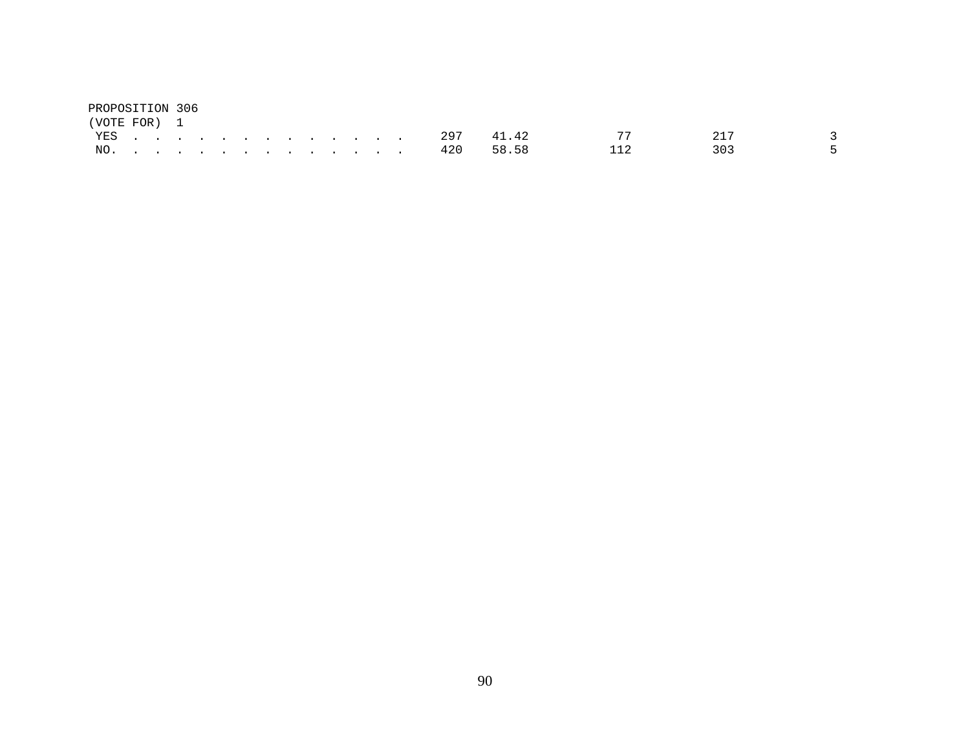| PROPOSITION 306 |  |  |  |  |  |  |         |           |    |     |      |
|-----------------|--|--|--|--|--|--|---------|-----------|----|-----|------|
| (VOTE FOR) 1    |  |  |  |  |  |  |         |           |    |     |      |
|                 |  |  |  |  |  |  | YES 297 | 41.42     | 77 |     |      |
| NO.             |  |  |  |  |  |  |         | 420 58.58 |    | 303 | $-5$ |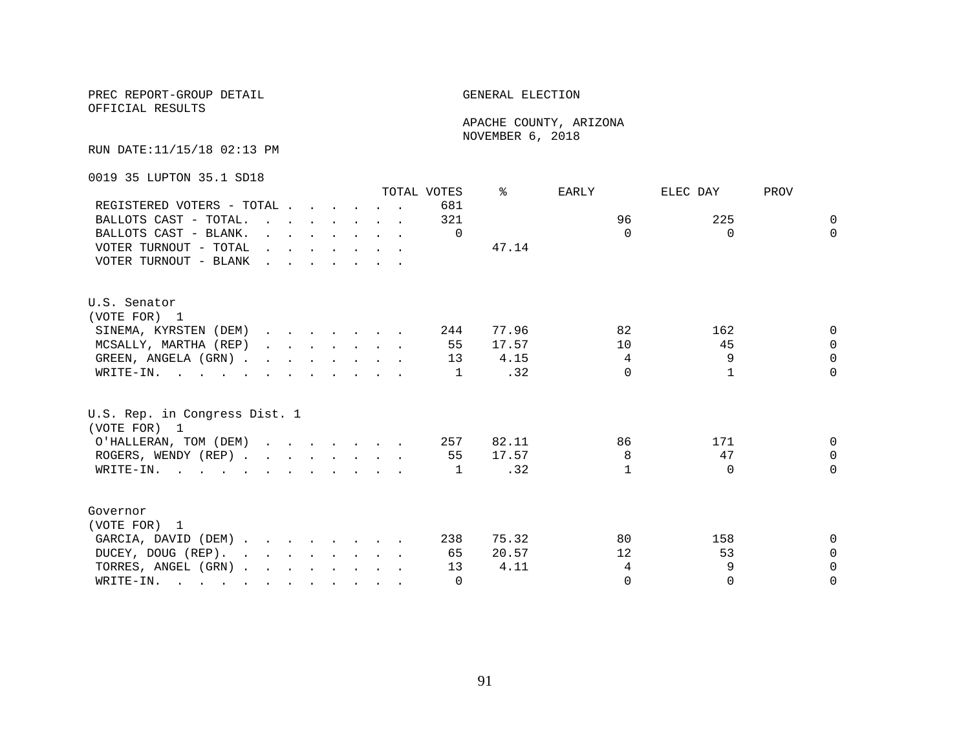OFFICIAL RESULTS

 APACHE COUNTY, ARIZONA NOVEMBER 6, 2018

RUN DATE:11/15/18 02:13 PM

0019 35 LUPTON 35.1 SD18

|                                                                                                                                                                                                                                                 |                                                                                         |  |  |                                                                                                                                         | TOTAL VOTES | ⊱     | EARLY    | ELEC DAY | PROV         |
|-------------------------------------------------------------------------------------------------------------------------------------------------------------------------------------------------------------------------------------------------|-----------------------------------------------------------------------------------------|--|--|-----------------------------------------------------------------------------------------------------------------------------------------|-------------|-------|----------|----------|--------------|
| REGISTERED VOTERS - TOTAL                                                                                                                                                                                                                       |                                                                                         |  |  |                                                                                                                                         | 681         |       |          |          |              |
| BALLOTS CAST - TOTAL.                                                                                                                                                                                                                           | $\mathbf{r}$ , $\mathbf{r}$ , $\mathbf{r}$ , $\mathbf{r}$ , $\mathbf{r}$ , $\mathbf{r}$ |  |  |                                                                                                                                         | 321         |       | 96       | 225      | $\Omega$     |
| BALLOTS CAST - BLANK.                                                                                                                                                                                                                           |                                                                                         |  |  | $\mathbf{r} = \mathbf{r} \times \mathbf{r}$ , $\mathbf{r} = \mathbf{r} \times \mathbf{r}$ , $\mathbf{r} = \mathbf{r} \times \mathbf{r}$ | $\Omega$    |       | $\Omega$ | $\Omega$ | $\Omega$     |
| VOTER TURNOUT - TOTAL                                                                                                                                                                                                                           | $\mathbf{r}$ , and $\mathbf{r}$ , and $\mathbf{r}$ , and $\mathbf{r}$                   |  |  |                                                                                                                                         |             | 47.14 |          |          |              |
| VOTER TURNOUT - BLANK                                                                                                                                                                                                                           |                                                                                         |  |  |                                                                                                                                         |             |       |          |          |              |
| U.S. Senator                                                                                                                                                                                                                                    |                                                                                         |  |  |                                                                                                                                         |             |       |          |          |              |
| (VOTE FOR) 1                                                                                                                                                                                                                                    |                                                                                         |  |  |                                                                                                                                         |             |       |          |          |              |
| SINEMA, KYRSTEN (DEM)                                                                                                                                                                                                                           |                                                                                         |  |  |                                                                                                                                         | 244         | 77.96 | 82       | 162      | <sup>n</sup> |
| MCSALLY, MARTHA (REP)                                                                                                                                                                                                                           |                                                                                         |  |  |                                                                                                                                         | 55          | 17.57 | 10       | 45       | $\Omega$     |
| GREEN, ANGELA (GRN)                                                                                                                                                                                                                             |                                                                                         |  |  |                                                                                                                                         | 13          | 4.15  | 4        | 9        | $\Omega$     |
| WRITE-IN.                                                                                                                                                                                                                                       |                                                                                         |  |  |                                                                                                                                         | 1           | .32   | $\Omega$ |          | $\Omega$     |
| U.S. Rep. in Congress Dist. 1<br>(VOTE FOR) 1                                                                                                                                                                                                   |                                                                                         |  |  |                                                                                                                                         |             |       |          |          |              |
| O'HALLERAN, TOM (DEM)                                                                                                                                                                                                                           |                                                                                         |  |  |                                                                                                                                         | 257         | 82.11 | 86       | 171      | $\Omega$     |
| ROGERS, WENDY (REP)                                                                                                                                                                                                                             |                                                                                         |  |  |                                                                                                                                         | 55          | 17.57 | 8        | 47       | $\Omega$     |
| WRITE-IN.                                                                                                                                                                                                                                       |                                                                                         |  |  |                                                                                                                                         | 1           | .32   | 1        | $\Omega$ | $\Omega$     |
| Governor                                                                                                                                                                                                                                        |                                                                                         |  |  |                                                                                                                                         |             |       |          |          |              |
| (VOTE FOR) 1                                                                                                                                                                                                                                    |                                                                                         |  |  |                                                                                                                                         |             |       |          |          |              |
| GARCIA, DAVID (DEM)                                                                                                                                                                                                                             |                                                                                         |  |  |                                                                                                                                         | 238         | 75.32 | 80       | 158      | 0            |
| DUCEY, DOUG (REP).                                                                                                                                                                                                                              |                                                                                         |  |  |                                                                                                                                         | 65          | 20.57 | 12       | 53       | $\Omega$     |
| TORRES, ANGEL (GRN)                                                                                                                                                                                                                             |                                                                                         |  |  |                                                                                                                                         | 13          | 4.11  | 4        | 9        | $\Omega$     |
| WRITE-IN.<br>$\mathcal{L}$ . The contract of the contract of the contract of the contract of the contract of the contract of the contract of the contract of the contract of the contract of the contract of the contract of the contract of th |                                                                                         |  |  |                                                                                                                                         | $\Omega$    |       | $\Omega$ | $\Omega$ | $\Omega$     |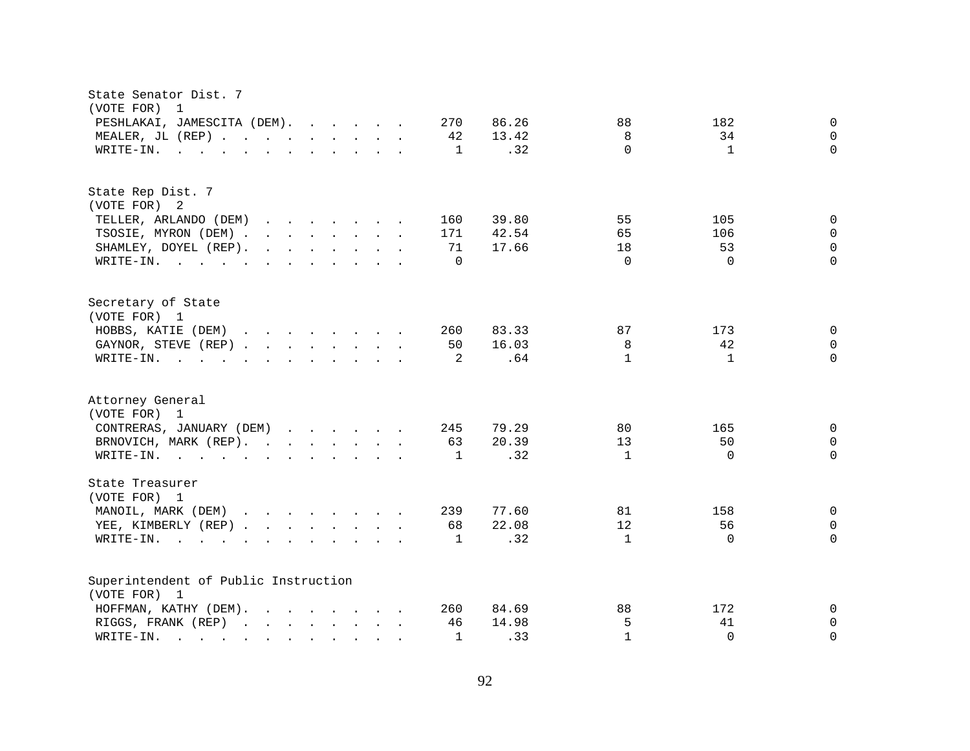| State Senator Dist. 7<br>(VOTE FOR)<br>1                                                                                                                     |                                          |
|--------------------------------------------------------------------------------------------------------------------------------------------------------------|------------------------------------------|
| PESHLAKAI, JAMESCITA (DEM).<br>270<br>86.26                                                                                                                  | 182<br>88<br>0                           |
| MEALER, JL (REP)<br>-42<br>13.42                                                                                                                             | 8<br>34<br>0                             |
| .32<br>WRITE-IN.<br>1<br>$\mathbf{r}$ , and $\mathbf{r}$ , and $\mathbf{r}$ , and $\mathbf{r}$ , and $\mathbf{r}$                                            | $\Omega$<br>$\Omega$<br>$\mathbf{1}$     |
|                                                                                                                                                              |                                          |
| State Rep Dist. 7                                                                                                                                            |                                          |
| (VOTE FOR) 2                                                                                                                                                 |                                          |
| TELLER, ARLANDO (DEM)<br>39.80<br>160                                                                                                                        | 55<br>105<br>$\mathbf 0$                 |
| TSOSIE, MYRON (DEM)<br>171<br>42.54                                                                                                                          | 65<br>$\mathbf 0$<br>106                 |
| SHAMLEY, DOYEL (REP).<br>$\mathbf{r}$ , $\mathbf{r}$ , $\mathbf{r}$ , $\mathbf{r}$ , $\mathbf{r}$ , $\mathbf{r}$<br>71<br>17.66                              | 0<br>18<br>53                            |
| WRITE-IN.<br>$\Omega$                                                                                                                                        | $\Omega$<br>$\Omega$<br>$\Omega$         |
| Secretary of State                                                                                                                                           |                                          |
| (VOTE FOR) 1                                                                                                                                                 |                                          |
| HOBBS, KATIE (DEM)<br>83.33<br>260                                                                                                                           | 87<br>0<br>173                           |
| 16.03<br>GAYNOR, STEVE (REP)<br>50                                                                                                                           | 8<br>42<br>$\mathbf 0$                   |
| .64<br>WRITE-IN.<br>$\mathbf{r}$ , and $\mathbf{r}$ , and $\mathbf{r}$ , and $\mathbf{r}$ , and $\mathbf{r}$<br>2                                            | $\mathbf{1}$<br>$\Omega$<br>$\mathbf{1}$ |
| Attorney General<br>(VOTE FOR) 1                                                                                                                             |                                          |
| CONTRERAS, JANUARY (DEM)<br>79.29<br>245                                                                                                                     | 80<br>165<br>$\mathbf 0$                 |
| 20.39<br>BRNOVICH, MARK (REP).<br>63                                                                                                                         | 13<br>50<br>0                            |
| .32<br>WRITE-IN.<br>1                                                                                                                                        | $\mathbf{1}$<br>$\Omega$<br>$\Omega$     |
|                                                                                                                                                              |                                          |
| State Treasurer<br>(VOTE FOR) 1                                                                                                                              |                                          |
| MANOIL, MARK (DEM)<br>77.60<br>239                                                                                                                           | $\mathbf 0$<br>81<br>158                 |
| YEE, KIMBERLY (REP)<br>68<br>22.08                                                                                                                           | 12<br>56<br>0                            |
| .32<br>WRITE-IN.<br>1<br>$\mathbf{r}$ , $\mathbf{r}$ , $\mathbf{r}$ , $\mathbf{r}$<br>$\mathbf{r}$ , and $\mathbf{r}$ , and $\mathbf{r}$ , and $\mathbf{r}$  | $\mathbf{1}$<br>$\Omega$<br>$\Omega$     |
|                                                                                                                                                              |                                          |
| Superintendent of Public Instruction                                                                                                                         |                                          |
| (VOTE FOR) 1                                                                                                                                                 |                                          |
| HOFFMAN, KATHY (DEM).<br>84.69<br>260                                                                                                                        | 88<br>172<br>0                           |
| 14.98<br>RIGGS, FRANK (REP)<br>46                                                                                                                            | 5<br>41<br>0                             |
| .33<br>$\mathbf{1}$<br>WRITE-IN.<br>$\mathbf{r}$ . The contract of the contract of $\mathbf{r}$<br>$\mathbf{r}$ , $\mathbf{r}$ , $\mathbf{r}$ , $\mathbf{r}$ | $\mathbf{1}$<br>$\Omega$<br>$\Omega$     |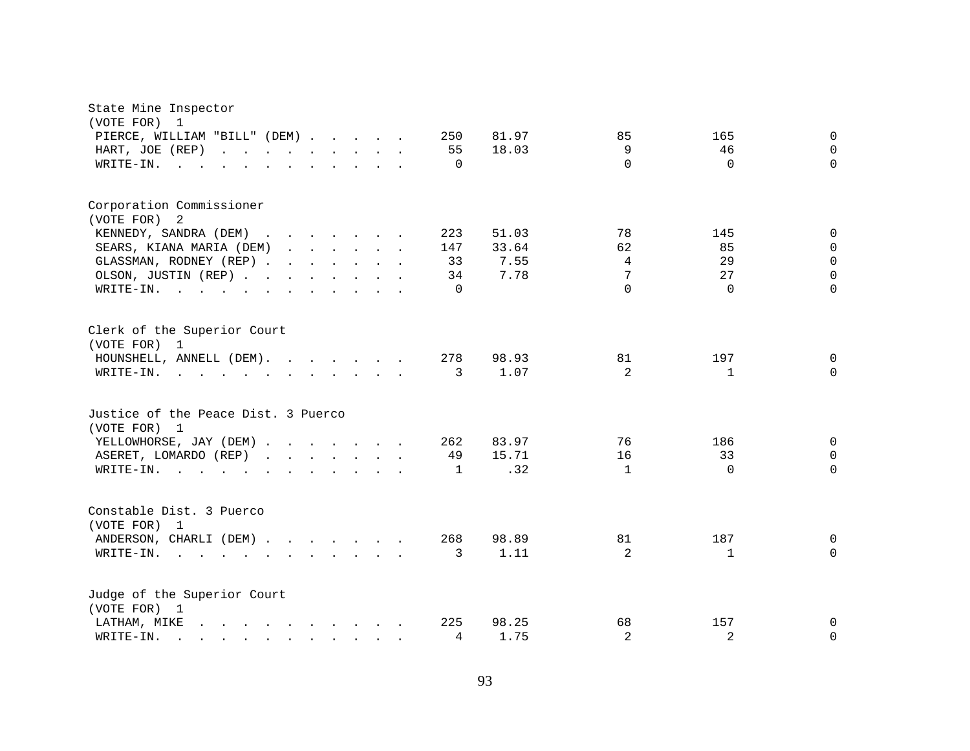| State Mine Inspector<br>(VOTE FOR)<br>$\mathbf{1}$<br>PIERCE, WILLIAM "BILL" (DEM)<br>HART, JOE (REP)<br>WRITE-IN.<br><b>Contract</b>                                                                                                                                             |  | 250<br>55<br>$\Omega$              | 81.97<br>18.03                 | 85<br>9<br>$\Omega$            | 165<br>46<br>$\Omega$             | $\mathbf 0$<br>$\mathbf 0$<br>$\Omega$                   |
|-----------------------------------------------------------------------------------------------------------------------------------------------------------------------------------------------------------------------------------------------------------------------------------|--|------------------------------------|--------------------------------|--------------------------------|-----------------------------------|----------------------------------------------------------|
| Corporation Commissioner<br>(VOTE FOR)<br>2<br>KENNEDY, SANDRA (DEM)<br>SEARS, KIANA MARIA (DEM)<br>GLASSMAN, RODNEY (REP)<br>OLSON, JUSTIN (REP)<br>WRITE-IN.<br>the contract of the contract of the contract of the contract of the contract of the contract of the contract of |  | 223<br>147<br>33<br>34<br>$\Omega$ | 51.03<br>33.64<br>7.55<br>7.78 | 78<br>62<br>4<br>7<br>$\Omega$ | 145<br>85<br>29<br>27<br>$\Omega$ | 0<br>$\Omega$<br>$\Omega$<br>$\mathbf{0}$<br>$\mathbf 0$ |
| Clerk of the Superior Court<br>(VOTE FOR) 1<br>HOUNSHELL, ANNELL (DEM).<br>WRITE-IN.                                                                                                                                                                                              |  | 278<br>3                           | 98.93<br>1.07                  | 81<br>2                        | 197<br>$\mathbf{1}$               | $\mathbf 0$<br>$\Omega$                                  |
| Justice of the Peace Dist. 3 Puerco<br>(VOTE FOR) 1<br>YELLOWHORSE, JAY (DEM)<br>ASERET, LOMARDO (REP)<br>$W\text{RITE}-\text{IN}.$<br>$\mathbf{r}$ , $\mathbf{r}$ , $\mathbf{r}$ , $\mathbf{r}$                                                                                  |  | 262<br>49<br>1                     | 83.97<br>15.71<br>.32          | 76<br>16<br>$\mathbf{1}$       | 186<br>33<br>$\Omega$             | $\mathbf 0$<br>$\mathbf 0$<br>$\Omega$                   |
| Constable Dist. 3 Puerco<br>(VOTE FOR) 1<br>ANDERSON, CHARLI (DEM)<br>WRITE-IN.<br>$\mathbf{r}$ , and $\mathbf{r}$ , and $\mathbf{r}$ , and $\mathbf{r}$ , and $\mathbf{r}$                                                                                                       |  | 268<br>3                           | 98.89<br>1.11                  | 81<br>2                        | 187<br>$\mathbf{1}$               | 0<br>$\Omega$                                            |
| Judge of the Superior Court<br>(VOTE FOR) 1<br>LATHAM, MIKE<br>$\mathbf{r}$ , and $\mathbf{r}$ , and $\mathbf{r}$ , and $\mathbf{r}$ , and $\mathbf{r}$<br>WRITE-IN.<br>$\mathbf{r}$ , and $\mathbf{r}$ , and $\mathbf{r}$ , and $\mathbf{r}$ , and $\mathbf{r}$                  |  | 225<br>4                           | 98.25<br>1.75                  | 68<br>2                        | 157<br>2                          | 0<br>$\mathbf 0$                                         |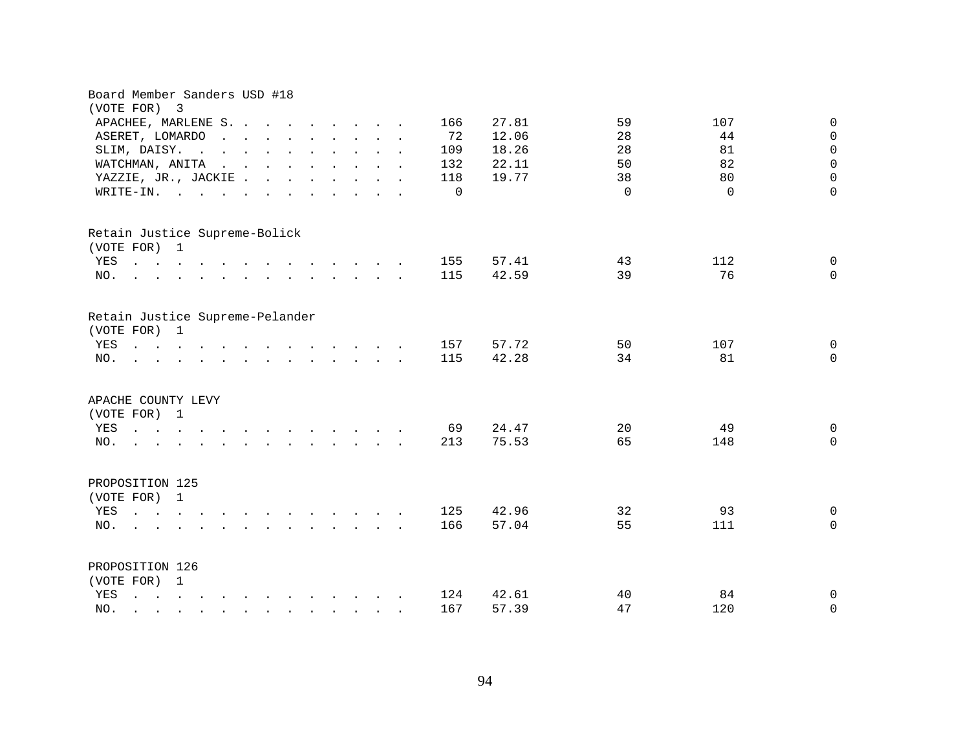| Board Member Sanders USD #18<br>(VOTE FOR)<br>3                                                                                                                                                                                                                     |                                          |
|---------------------------------------------------------------------------------------------------------------------------------------------------------------------------------------------------------------------------------------------------------------------|------------------------------------------|
| APACHEE, MARLENE S.<br>166                                                                                                                                                                                                                                          | 59<br>27.81<br>107<br>$\mathsf{O}$       |
| 72<br>ASERET, LOMARDO<br>$\mathbf{r}$ , $\mathbf{r}$ , $\mathbf{r}$ , $\mathbf{r}$ , $\mathbf{r}$ , $\mathbf{r}$ , $\mathbf{r}$                                                                                                                                     | 12.06<br>28<br>44<br>$\mathbf 0$         |
| SLIM, DAISY.<br>109<br>$\mathbf{r}$ . The set of the set of the set of the set of the set of the set of the set of the set of the set of the set of the set of the set of the set of the set of the set of the set of the set of the set of the set of t            | $\mathbf 0$<br>18.26<br>28<br>81         |
| WATCHMAN, ANITA<br>$\mathcal{A}^{\mathcal{A}}$ . The set of the set of the set of the set of the set of the set of the set of the set of the set of the set of the set of the set of the set of the set of the set of the set of the set of the set of the s<br>132 | $\mathsf{O}\xspace$<br>82<br>22.11<br>50 |
| YAZZIE, JR., JACKIE<br>118                                                                                                                                                                                                                                          | $\mathbf 0$<br>19.77<br>38<br>80         |
| $\Omega$<br>WRITE-IN.<br>$\mathbf{r}$ , $\mathbf{r}$ , $\mathbf{r}$ , $\mathbf{r}$ , $\mathbf{r}$ , $\mathbf{r}$ , $\mathbf{r}$ , $\mathbf{r}$                                                                                                                      | $\Omega$<br>$\Omega$<br>$\Omega$         |
|                                                                                                                                                                                                                                                                     |                                          |
| Retain Justice Supreme-Bolick                                                                                                                                                                                                                                       |                                          |
| (VOTE FOR) 1                                                                                                                                                                                                                                                        |                                          |
| YES<br>155                                                                                                                                                                                                                                                          | 112<br>57.41<br>43<br>0                  |
| 115<br>NO.<br>$\mathbf{r} = \mathbf{r} - \mathbf{r}$ , $\mathbf{r} = \mathbf{r} - \mathbf{r}$ , $\mathbf{r} = \mathbf{r} - \mathbf{r} - \mathbf{r}$ , $\mathbf{r} = \mathbf{r} - \mathbf{r}$                                                                        | 42.59<br>39<br>76<br>$\Omega$            |
| Retain Justice Supreme-Pelander<br>(VOTE FOR)<br>$\overline{1}$                                                                                                                                                                                                     |                                          |
| 157<br>YES<br>$\mathbf{r} = \mathbf{r} - \mathbf{r}$ , $\mathbf{r} = \mathbf{r} - \mathbf{r}$ , $\mathbf{r} = \mathbf{r} - \mathbf{r} - \mathbf{r}$ , $\mathbf{r} = \mathbf{r} - \mathbf{r}$                                                                        | 57.72<br>107<br>50<br>0                  |
| 115<br>NO.<br>and a series of the contract of the series of                                                                                                                                                                                                         | 42.28<br>34<br>81<br>$\Omega$            |
| APACHE COUNTY LEVY<br>(VOTE FOR) 1                                                                                                                                                                                                                                  |                                          |
| 69<br>YES                                                                                                                                                                                                                                                           | 24.47<br>20<br>49<br>$\overline{0}$      |
| 213<br>NO.<br>$\mathbf{r}$ . The contract of the contract of the contract of the contract of the contract of the contract of the contract of the contract of the contract of the contract of the contract of the contract of the contract of th                     | 75.53<br>65<br>148<br>$\overline{0}$     |
| PROPOSITION 125<br>(VOTE FOR) 1                                                                                                                                                                                                                                     |                                          |
| 125<br>YES                                                                                                                                                                                                                                                          | 42.96<br>32<br>93<br>$\mathbf 0$         |
| 166<br>NO.<br>$\mathbf{r}$ . The contract of the contract of the contract of the contract of the contract of the contract of the contract of the contract of the contract of the contract of the contract of the contract of the contract of th                     | 57.04<br>55<br>111<br>0                  |
| PROPOSITION 126                                                                                                                                                                                                                                                     |                                          |
| (VOTE FOR) 1                                                                                                                                                                                                                                                        |                                          |
| YES<br>and a series of the contract of the contract of<br>124                                                                                                                                                                                                       | 40<br>84<br>42.61<br>0                   |
| 167<br>NO.<br>$\mathbf{r}$ , and $\mathbf{r}$ , and $\mathbf{r}$ , and $\mathbf{r}$ , and $\mathbf{r}$                                                                                                                                                              | 57.39<br>47<br>120<br>0                  |
|                                                                                                                                                                                                                                                                     |                                          |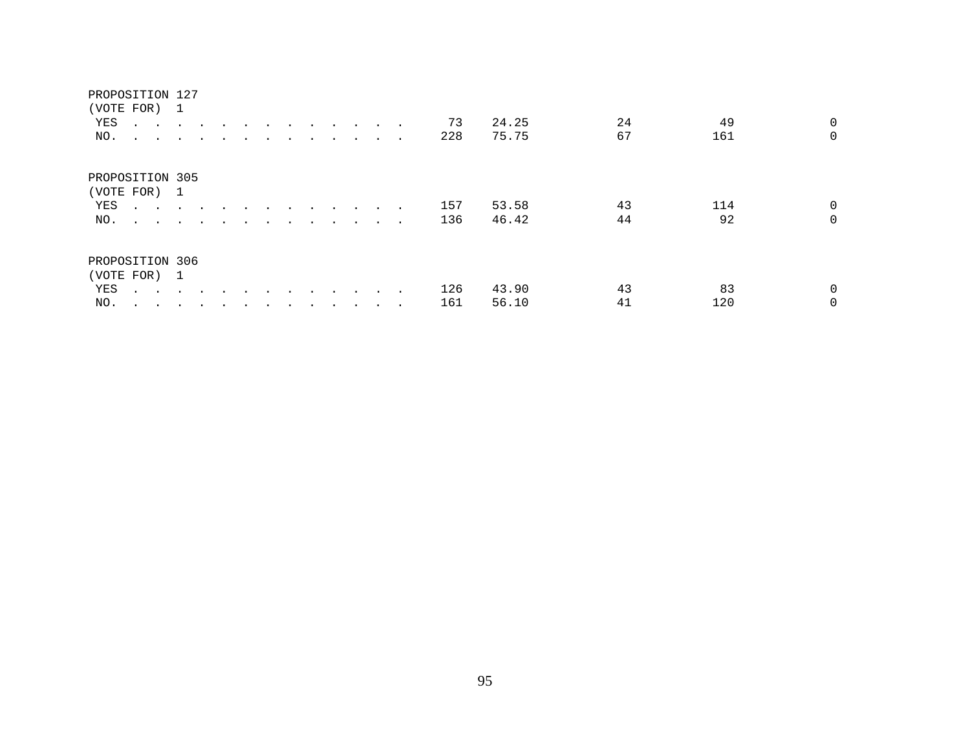#### PROPOSITION 127

|                               | (VOTE FOR) 1                        |               |               |               |  |  |                                                                                                                 |               |        |     |       |    |     |                |
|-------------------------------|-------------------------------------|---------------|---------------|---------------|--|--|-----------------------------------------------------------------------------------------------------------------|---------------|--------|-----|-------|----|-----|----------------|
| YES                           | $\sim$ $\sim$                       | $\sim$ $\sim$ | $\sim$ $\sim$ |               |  |  | and the state of the state of the state of the state of the state of the state of the state of the state of the |               |        | 73  | 24.25 | 24 | 49  | $\overline{0}$ |
| NO.                           | $\sim$ $\sim$ $\sim$ $\sim$         |               | $\cdot$       |               |  |  |                                                                                                                 |               | $\sim$ | 228 | 75.75 | 67 | 161 | $\mathbf 0$    |
| PROPOSITION 305<br>(VOTE FOR) |                                     | $\mathbf{1}$  |               |               |  |  |                                                                                                                 |               |        |     |       |    |     |                |
| YES                           | the contract of the contract of the |               |               | $\sim$ $\sim$ |  |  |                                                                                                                 | $\sim$ $\sim$ | $\sim$ | 157 | 53.58 | 43 | 114 | 0              |
| NO.                           | $\sim$ $\sim$ $\sim$ $\sim$         |               | $\sim$ $\sim$ |               |  |  |                                                                                                                 |               |        | 136 | 46.42 | 44 | 92  | $\Omega$       |
| PROPOSITION 306               |                                     |               |               |               |  |  |                                                                                                                 |               |        |     |       |    |     |                |
| (VOTE FOR) 1                  |                                     |               |               |               |  |  |                                                                                                                 |               |        |     |       |    |     |                |
| YES                           | $\sim$ $\sim$                       | $\sim$        |               |               |  |  |                                                                                                                 |               |        | 126 | 43.90 | 43 | 83  | 0              |
| NO.                           | $\cdot$<br>$\sim$                   | $\sim$        | $\bullet$     |               |  |  |                                                                                                                 |               |        | 161 | 56.10 | 41 | 120 | $\Omega$       |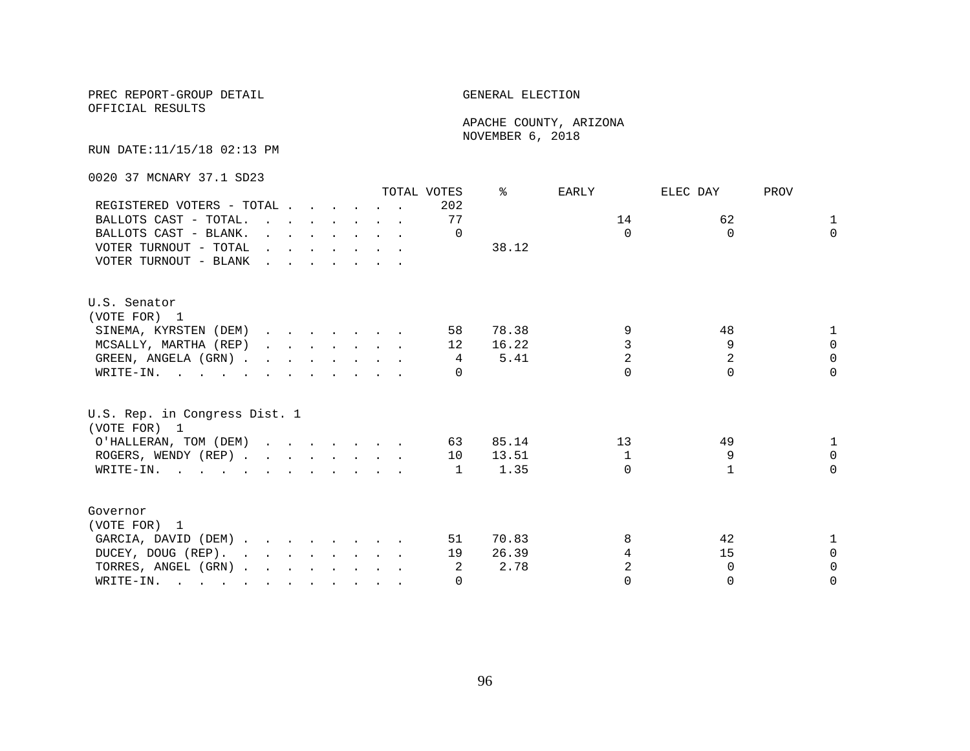OFFICIAL RESULTS

 APACHE COUNTY, ARIZONA NOVEMBER 6, 2018

RUN DATE:11/15/18 02:13 PM

0020 37 MCNARY 37.1 SD23

|                                               |  |  |                                                                          | TOTAL VOTES     | °≈    | EARLY          | ELEC DAY       | PROV         |
|-----------------------------------------------|--|--|--------------------------------------------------------------------------|-----------------|-------|----------------|----------------|--------------|
| REGISTERED VOTERS - TOTAL                     |  |  |                                                                          | 202             |       |                |                |              |
| BALLOTS CAST - TOTAL.                         |  |  |                                                                          | 77              |       | 14             | 62             | $\mathbf{1}$ |
| BALLOTS CAST - BLANK.                         |  |  | $\mathbf{r}$ , $\mathbf{r}$ , $\mathbf{r}$ , $\mathbf{r}$ , $\mathbf{r}$ | $\Omega$        |       | $\Omega$       | $\Omega$       | $\Omega$     |
| VOTER TURNOUT - TOTAL $\ldots$                |  |  |                                                                          |                 | 38.12 |                |                |              |
| VOTER TURNOUT - BLANK                         |  |  |                                                                          |                 |       |                |                |              |
| U.S. Senator                                  |  |  |                                                                          |                 |       |                |                |              |
| (VOTE FOR) 1                                  |  |  |                                                                          |                 |       |                |                |              |
| SINEMA, KYRSTEN (DEM)                         |  |  |                                                                          | 58              | 78.38 | 9              | 48             |              |
| MCSALLY, MARTHA (REP)                         |  |  |                                                                          | 12 <sup>°</sup> | 16.22 | 3              | 9              | $\Omega$     |
| GREEN, ANGELA (GRN)                           |  |  |                                                                          | 4               | 5.41  | $\overline{2}$ | $\overline{2}$ | $\Omega$     |
| WRITE-IN.                                     |  |  |                                                                          | $\cap$          |       | $\cap$         | $\cap$         | $\cap$       |
| U.S. Rep. in Congress Dist. 1<br>(VOTE FOR) 1 |  |  |                                                                          |                 |       |                |                |              |
| O'HALLERAN, TOM (DEM)                         |  |  |                                                                          | 63              | 85.14 | 13             | 49             |              |
| ROGERS, WENDY (REP)                           |  |  |                                                                          | 10              | 13.51 | 1              | 9              | $\Omega$     |
| WRITE-IN.                                     |  |  |                                                                          | 1               | 1.35  | $\cap$         |                | $\Omega$     |
|                                               |  |  |                                                                          |                 |       |                |                |              |
| Governor                                      |  |  |                                                                          |                 |       |                |                |              |
| (VOTE FOR) 1                                  |  |  |                                                                          |                 |       |                |                |              |
| GARCIA, DAVID (DEM)                           |  |  |                                                                          | 51              | 70.83 | 8              | 42             |              |
| DUCEY, DOUG (REP).                            |  |  |                                                                          | 19              | 26.39 | 4              | 15             | $\Omega$     |
| TORRES, ANGEL (GRN)                           |  |  |                                                                          | 2               | 2.78  |                | $\Omega$       | $\Omega$     |
| WRITE-IN.                                     |  |  |                                                                          | $\Omega$        |       | $\Omega$       | $\Omega$       | $\Omega$     |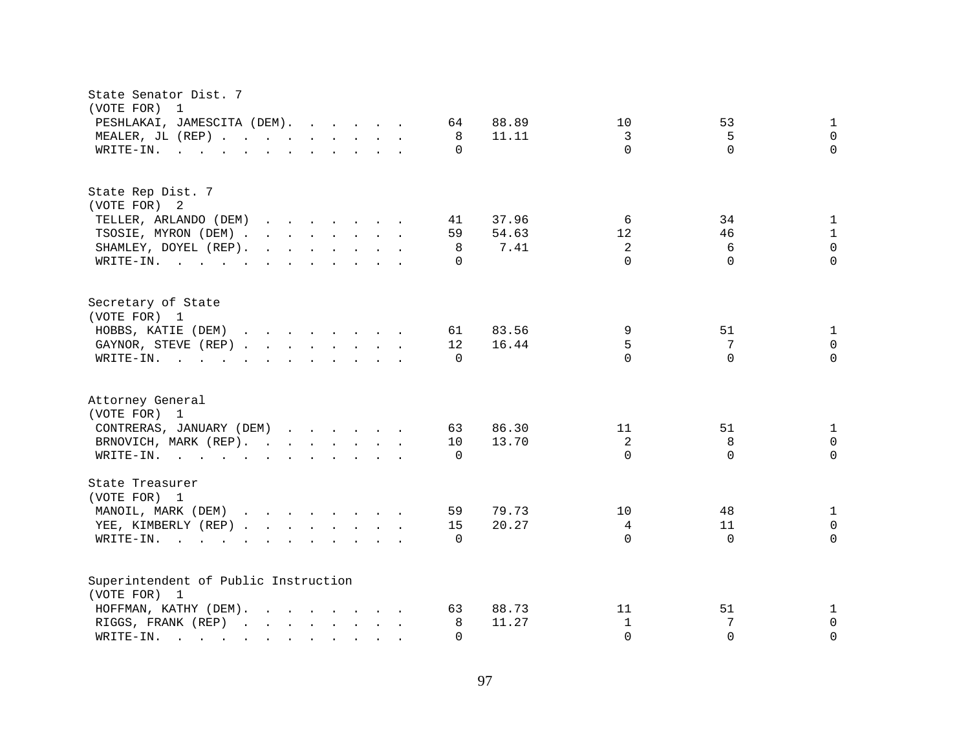| State Senator Dist. 7<br>(VOTE FOR)<br>1                                                 |                                  |
|------------------------------------------------------------------------------------------|----------------------------------|
| 88.89                                                                                    | 10                               |
| PESHLAKAI, JAMESCITA (DEM).                                                              | 53                               |
| 64                                                                                       | $\mathbf{1}$                     |
| MEALER, JL (REP)                                                                         | $\mathbf 0$                      |
| 8                                                                                        | 3                                |
| 11.11                                                                                    | 5                                |
| WRITE-IN.                                                                                | $\Omega$                         |
| $\mathbf{r}$ , and $\mathbf{r}$ , and $\mathbf{r}$ , and $\mathbf{r}$ , and $\mathbf{r}$ | $\Omega$                         |
| $\Omega$                                                                                 | $\Omega$                         |
| State Rep Dist. 7                                                                        |                                  |
| (VOTE FOR) 2                                                                             |                                  |
| 37.96                                                                                    | 34                               |
| TELLER, ARLANDO (DEM)                                                                    | 6                                |
| 41                                                                                       | 1                                |
| 54.63                                                                                    | 12                               |
| TSOSIE, MYRON (DEM)                                                                      | 46                               |
| 59                                                                                       | 1                                |
| SHAMLEY, DOYEL (REP).                                                                    | $\overline{a}$                   |
| 8                                                                                        | $\mathsf 0$                      |
| 7.41                                                                                     | 6                                |
| WRITE-IN.<br>$\Omega$                                                                    | $\Omega$<br>$\Omega$<br>$\Omega$ |
| Secretary of State<br>(VOTE FOR) 1                                                       |                                  |
| HOBBS, KATIE (DEM)                                                                       | 9                                |
| 83.56                                                                                    | 51                               |
| 61                                                                                       | 1                                |
| 16.44                                                                                    | 5                                |
| GAYNOR, STEVE (REP)                                                                      | $\Omega$                         |
| 12                                                                                       | 7                                |
| WRITE-IN.                                                                                | $\cap$                           |
| $\mathbf{r}$ , and $\mathbf{r}$ , and $\mathbf{r}$ , and $\mathbf{r}$ , and $\mathbf{r}$ | $\Omega$                         |
| $\Omega$                                                                                 | $\Omega$                         |
|                                                                                          |                                  |
| Attorney General                                                                         |                                  |
| (VOTE FOR) 1                                                                             |                                  |
| CONTRERAS, JANUARY (DEM)                                                                 | 11                               |
| 86.30                                                                                    | 51                               |
| 63                                                                                       | 1                                |
| BRNOVICH, MARK (REP).                                                                    | 2                                |
| 13.70                                                                                    | 8                                |
| 10                                                                                       | $\mathbf 0$                      |
| WRITE-IN.<br>$\Omega$                                                                    | $\Omega$<br>$\Omega$<br>$\Omega$ |
| State Treasurer<br>(VOTE FOR) 1                                                          |                                  |
| MANOIL, MARK (DEM)                                                                       | 48                               |
| 79.73                                                                                    | 10                               |
| 59                                                                                       | $\mathbf{1}$                     |
| YEE, KIMBERLY (REP)                                                                      | 4                                |
| 15                                                                                       | 11                               |
| 20.27                                                                                    | $\mathbf 0$                      |
| WRITE-IN.<br>$\Omega$                                                                    | $\Omega$<br>$\Omega$<br>$\Omega$ |
|                                                                                          |                                  |
| Superintendent of Public Instruction                                                     |                                  |
| (VOTE FOR) 1                                                                             |                                  |
| HOFFMAN, KATHY (DEM).                                                                    | 11                               |
| 88.73                                                                                    | 51                               |
| 63                                                                                       | 1                                |
| 11.27                                                                                    | $\mathbf{1}$                     |
| RIGGS, FRANK (REP)                                                                       | 7                                |
| 8                                                                                        | $\mathbf 0$                      |
| $\texttt{WRTTE-IN.}$<br>$\Omega$                                                         | $\Omega$<br>$\Omega$<br>$\Omega$ |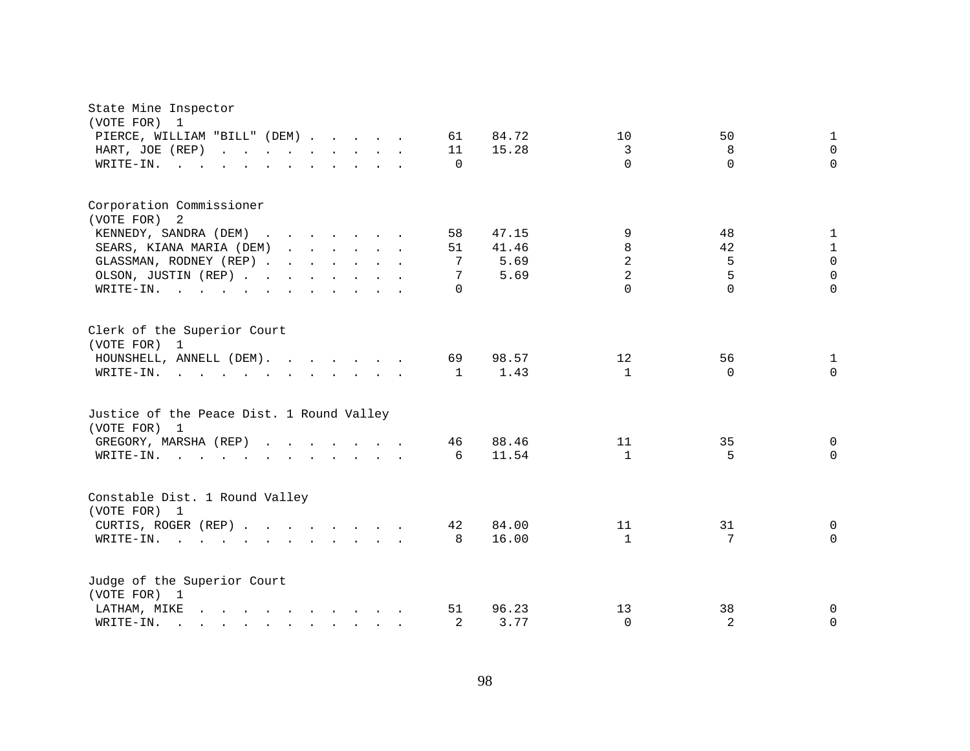| State Mine Inspector<br>(VOTE FOR) 1<br>PIERCE, WILLIAM "BILL" (DEM)<br>HART, JOE (REP)<br>WRITE-IN.<br><b>Contract Contract</b><br>$\sim$<br>$\ddot{\phantom{1}}$                                                                                                      | $\ddot{\phantom{a}}$                                                                                                                                                                                                              | $\mathbf{r}$ , $\mathbf{r}$ , $\mathbf{r}$ , $\mathbf{r}$ , $\mathbf{r}$ | 61<br>11<br>0      | 84.72<br>15.28                 | 10<br>3<br>$\Omega$           | 50<br>8<br>$\Omega$ | 1<br>$\Omega$<br>$\Omega$      |
|-------------------------------------------------------------------------------------------------------------------------------------------------------------------------------------------------------------------------------------------------------------------------|-----------------------------------------------------------------------------------------------------------------------------------------------------------------------------------------------------------------------------------|--------------------------------------------------------------------------|--------------------|--------------------------------|-------------------------------|---------------------|--------------------------------|
| Corporation Commissioner<br>(VOTE FOR) 2<br>KENNEDY, SANDRA (DEM)<br>SEARS, KIANA MARIA (DEM)<br>GLASSMAN, RODNEY (REP)<br>OLSON, JUSTIN (REP)                                                                                                                          | $\mathbf{r}$ . The contract of the contract of the contract of the contract of the contract of the contract of the contract of the contract of the contract of the contract of the contract of the contract of the contract of th |                                                                          | 58<br>51<br>7<br>7 | 47.15<br>41.46<br>5.69<br>5.69 | 9<br>8<br>$\overline{a}$<br>2 | 48<br>42<br>5<br>5  | 1<br>1<br>$\Omega$<br>$\Omega$ |
| WRITE-IN.<br>$\mathbf{r}$ , and $\mathbf{r}$ , and $\mathbf{r}$ , and $\mathbf{r}$ , and $\mathbf{r}$<br>Clerk of the Superior Court                                                                                                                                    |                                                                                                                                                                                                                                   |                                                                          | $\Omega$           |                                | $\Omega$                      | $\Omega$            | $\Omega$                       |
| (VOTE FOR) 1<br>HOUNSHELL, ANNELL (DEM).<br>WRITE-IN.<br>the contract of the contract of the contract of the contract of the contract of the contract of the contract of                                                                                                |                                                                                                                                                                                                                                   |                                                                          | 69<br>$\mathbf{1}$ | 98.57<br>1.43                  | 12<br>$\mathbf{1}$            | 56<br>$\Omega$      | 1<br>$\Omega$                  |
| Justice of the Peace Dist. 1 Round Valley<br>(VOTE FOR) 1                                                                                                                                                                                                               |                                                                                                                                                                                                                                   |                                                                          |                    |                                |                               |                     |                                |
| GREGORY, MARSHA (REP)<br>WRITE-IN.<br>$\mathbf{r}$ . The set of the set of the set of the set of the set of the set of the set of the set of the set of the set of the set of the set of the set of the set of the set of the set of the set of the set of the set of t |                                                                                                                                                                                                                                   |                                                                          | 46<br>6            | 88.46<br>11.54                 | 11<br>$\overline{1}$          | 35<br>5             | 0<br>$\Omega$                  |
| Constable Dist. 1 Round Valley<br>(VOTE FOR) 1                                                                                                                                                                                                                          |                                                                                                                                                                                                                                   |                                                                          |                    |                                |                               |                     |                                |
| CURTIS, ROGER (REP)<br>WRITE-IN.<br><b>Contract Contract Contract</b>                                                                                                                                                                                                   | $\mathbf{r}$ and $\mathbf{r}$ and $\mathbf{r}$ and $\mathbf{r}$ and $\mathbf{r}$                                                                                                                                                  |                                                                          | 42<br>8            | 84.00<br>16.00                 | 11<br>$\mathbf{1}$            | 31<br>7             | 0<br>$\mathbf{0}$              |
| Judge of the Superior Court<br>(VOTE FOR) 1                                                                                                                                                                                                                             |                                                                                                                                                                                                                                   |                                                                          |                    |                                |                               |                     |                                |
| $\mathbf{r}$ , and $\mathbf{r}$ , and $\mathbf{r}$ , and $\mathbf{r}$ , and $\mathbf{r}$<br>LATHAM, MIKE<br>WRITE-IN.<br>$\mathbf{r}$ , and $\mathbf{r}$ , and $\mathbf{r}$ , and $\mathbf{r}$ , and $\mathbf{r}$                                                       |                                                                                                                                                                                                                                   |                                                                          | 51<br>2            | 96.23<br>3.77                  | 13<br>$\Omega$                | 38<br>2             | 0<br>$\Omega$                  |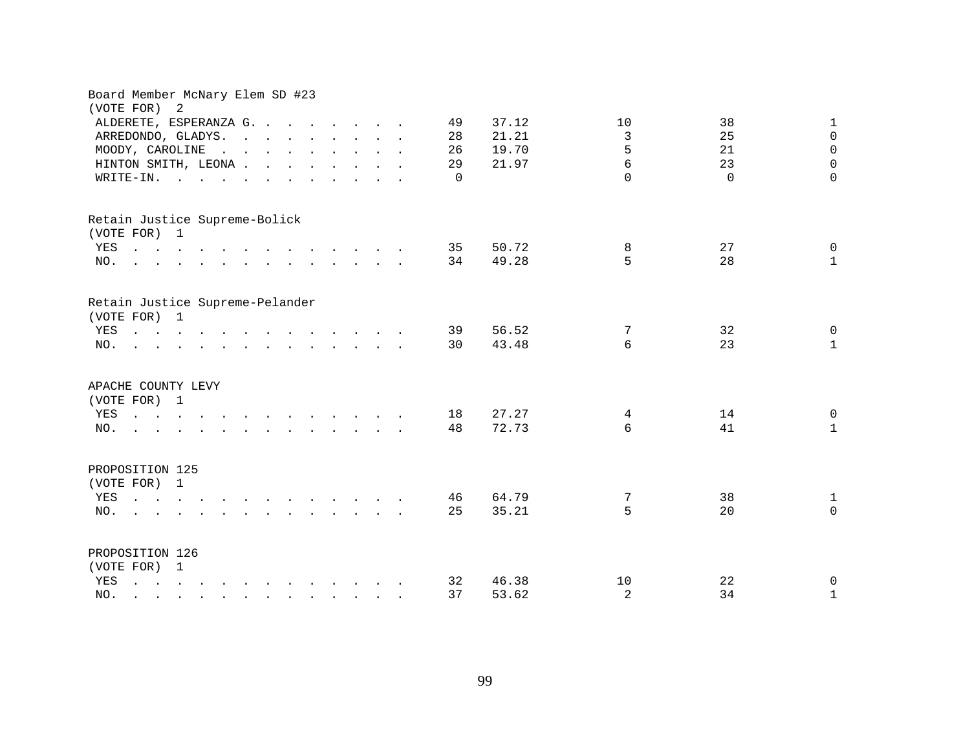| Board Member McNary Elem SD #23<br>(VOTE FOR) |                                                                                                                                                                                                                                      | $\overline{a}$ |  |  |  |                                                                                                                                                                                                                                   |  |    |          |       |                |          |              |
|-----------------------------------------------|--------------------------------------------------------------------------------------------------------------------------------------------------------------------------------------------------------------------------------------|----------------|--|--|--|-----------------------------------------------------------------------------------------------------------------------------------------------------------------------------------------------------------------------------------|--|----|----------|-------|----------------|----------|--------------|
|                                               | ALDERETE, ESPERANZA G.                                                                                                                                                                                                               |                |  |  |  |                                                                                                                                                                                                                                   |  | 49 |          | 37.12 | 10             | 38       | $\mathbf 1$  |
|                                               | ARREDONDO, GLADYS.                                                                                                                                                                                                                   |                |  |  |  |                                                                                                                                                                                                                                   |  | 28 |          | 21.21 | 3              | 25       | $\Omega$     |
|                                               | MOODY, CAROLINE                                                                                                                                                                                                                      |                |  |  |  | $\mathbf{r}$ . The contract of the contract of the contract of the contract of the contract of the contract of the contract of the contract of the contract of the contract of the contract of the contract of the contract of th |  | 26 |          | 19.70 | 5              | 21       | $\mathbf 0$  |
|                                               |                                                                                                                                                                                                                                      |                |  |  |  |                                                                                                                                                                                                                                   |  |    |          | 21.97 | $\epsilon$     | 23       | $\mathbf 0$  |
|                                               | HINTON SMITH, LEONA                                                                                                                                                                                                                  |                |  |  |  |                                                                                                                                                                                                                                   |  | 29 |          |       | $\Omega$       |          | $\Omega$     |
|                                               | WRITE-IN.                                                                                                                                                                                                                            |                |  |  |  |                                                                                                                                                                                                                                   |  |    | $\Omega$ |       |                | $\Omega$ |              |
| Retain Justice Supreme-Bolick                 |                                                                                                                                                                                                                                      |                |  |  |  |                                                                                                                                                                                                                                   |  |    |          |       |                |          |              |
| (VOTE FOR) 1                                  |                                                                                                                                                                                                                                      |                |  |  |  |                                                                                                                                                                                                                                   |  |    |          |       |                |          |              |
|                                               | YES                                                                                                                                                                                                                                  |                |  |  |  |                                                                                                                                                                                                                                   |  | 35 |          | 50.72 | 8              | 27       | $\mathbf 0$  |
| NO.                                           | $\mathbf{r}$ . The contract of the contract of the contract of the contract of the contract of the contract of the contract of the contract of the contract of the contract of the contract of the contract of the contract of th    |                |  |  |  |                                                                                                                                                                                                                                   |  | 34 |          | 49.28 | 5              | 28       | $\mathbf{1}$ |
| Retain Justice Supreme-Pelander               |                                                                                                                                                                                                                                      |                |  |  |  |                                                                                                                                                                                                                                   |  |    |          |       |                |          |              |
| (VOTE FOR) 1                                  |                                                                                                                                                                                                                                      |                |  |  |  |                                                                                                                                                                                                                                   |  |    |          |       |                |          |              |
|                                               | YES                                                                                                                                                                                                                                  |                |  |  |  |                                                                                                                                                                                                                                   |  | 39 |          | 56.52 | 7              | 32       | $\mathbf 0$  |
| NO.                                           | <u>na kama sa sana sa sa sa sa sa sa sa</u>                                                                                                                                                                                          |                |  |  |  |                                                                                                                                                                                                                                   |  | 30 |          | 43.48 | 6              | 23       | $\mathbf{1}$ |
| APACHE COUNTY LEVY                            |                                                                                                                                                                                                                                      |                |  |  |  |                                                                                                                                                                                                                                   |  |    |          |       |                |          |              |
| (VOTE FOR) 1                                  |                                                                                                                                                                                                                                      |                |  |  |  |                                                                                                                                                                                                                                   |  |    |          |       |                |          |              |
| YES                                           | $\mathbf{a}$ and $\mathbf{a}$ are all the set of the set of the set of the set of the set of the set of the set of the set of the set of the set of the set of the set of the set of the set of the set of the set of the set of the |                |  |  |  |                                                                                                                                                                                                                                   |  | 18 |          | 27.27 | 4              | 14       | $\Omega$     |
| NO.                                           | the contract of the contract of the contract of the                                                                                                                                                                                  |                |  |  |  |                                                                                                                                                                                                                                   |  | 48 |          | 72.73 | 6              | 41       | $\mathbf{1}$ |
| PROPOSITION 125                               |                                                                                                                                                                                                                                      |                |  |  |  |                                                                                                                                                                                                                                   |  |    |          |       |                |          |              |
| (VOTE FOR) 1                                  |                                                                                                                                                                                                                                      |                |  |  |  |                                                                                                                                                                                                                                   |  |    |          |       |                |          |              |
| YES                                           | the contract of the contract of the contract of the contract of the contract of the contract of the contract of                                                                                                                      |                |  |  |  |                                                                                                                                                                                                                                   |  | 46 |          | 64.79 | 7              | 38       | $\mathbf{1}$ |
| NO.                                           | <u>na na manana na manana na manana na manana na manana na manana na manana na manana na manana na manana na manana na manana na manana na manana na manana na manana na manana na manana na manana na manana na manana na manan</u> |                |  |  |  |                                                                                                                                                                                                                                   |  | 25 |          | 35.21 | 5              | 20       | $\mathbf 0$  |
|                                               |                                                                                                                                                                                                                                      |                |  |  |  |                                                                                                                                                                                                                                   |  |    |          |       |                |          |              |
| PROPOSITION 126                               |                                                                                                                                                                                                                                      |                |  |  |  |                                                                                                                                                                                                                                   |  |    |          |       |                |          |              |
| (VOTE FOR) 1                                  |                                                                                                                                                                                                                                      |                |  |  |  |                                                                                                                                                                                                                                   |  |    |          |       |                |          |              |
| YES                                           |                                                                                                                                                                                                                                      |                |  |  |  |                                                                                                                                                                                                                                   |  | 32 |          | 46.38 | 10             | 22       | 0            |
| NO.                                           | $\mathbf{r} = \mathbf{r} - \mathbf{r}$ , $\mathbf{r} = \mathbf{r} - \mathbf{r}$ , $\mathbf{r} = \mathbf{r} - \mathbf{r} - \mathbf{r}$                                                                                                |                |  |  |  |                                                                                                                                                                                                                                   |  | 37 |          | 53.62 | $\overline{a}$ | 34       | $\mathbf 1$  |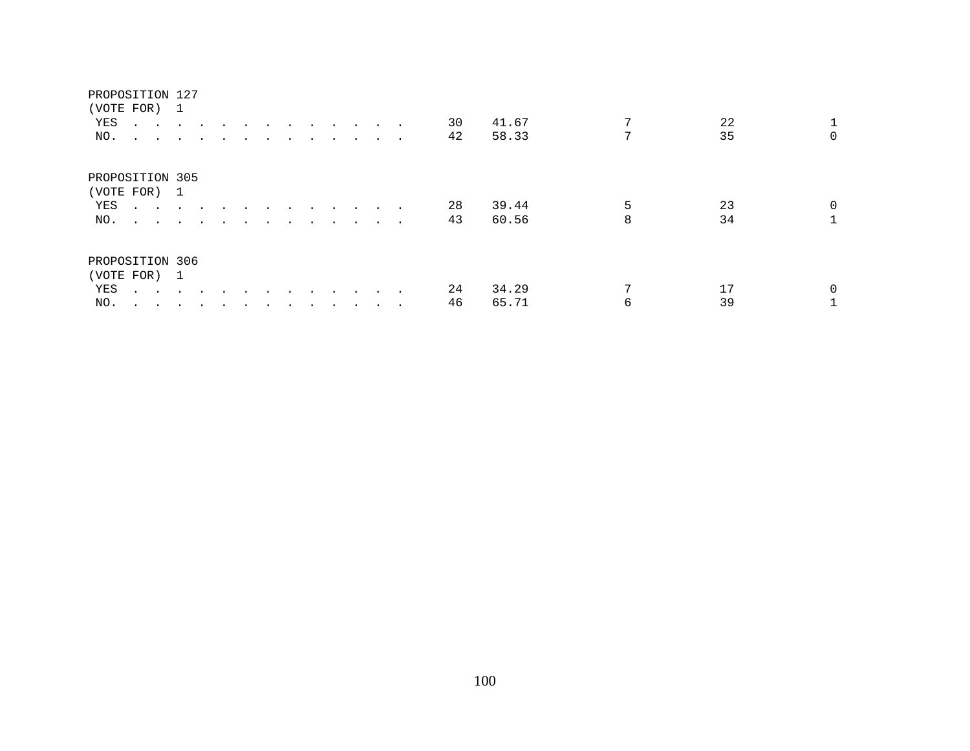# PROPOSITION 127 (VOTE FOR) 1 YES . . . . . . . . . . . . . . 30 41.67 7 22 1<br>NO. . . . . . . . . . . . . . 42 58.33 7 35 0 NO. . . . . . . . . . . . . . PROPOSITION 305 (VOTE FOR) 1 YES . . . . . . . . . . . . . . 28 39.44 5 23 0<br>NO. . . . . . . . . . . . . . 43 60.56 8 34 1 NO. . . . . . . . . . . . . . PROPOSITION 306 (VOTE FOR) 1 YES . . . . . . . . . . . . . 24 34.29 7 17 0<br>NO. . . . . . . . . . . . . 46 65.71 6 39 1 NO. . . . . . . . . . . . . . . 46 65.71 6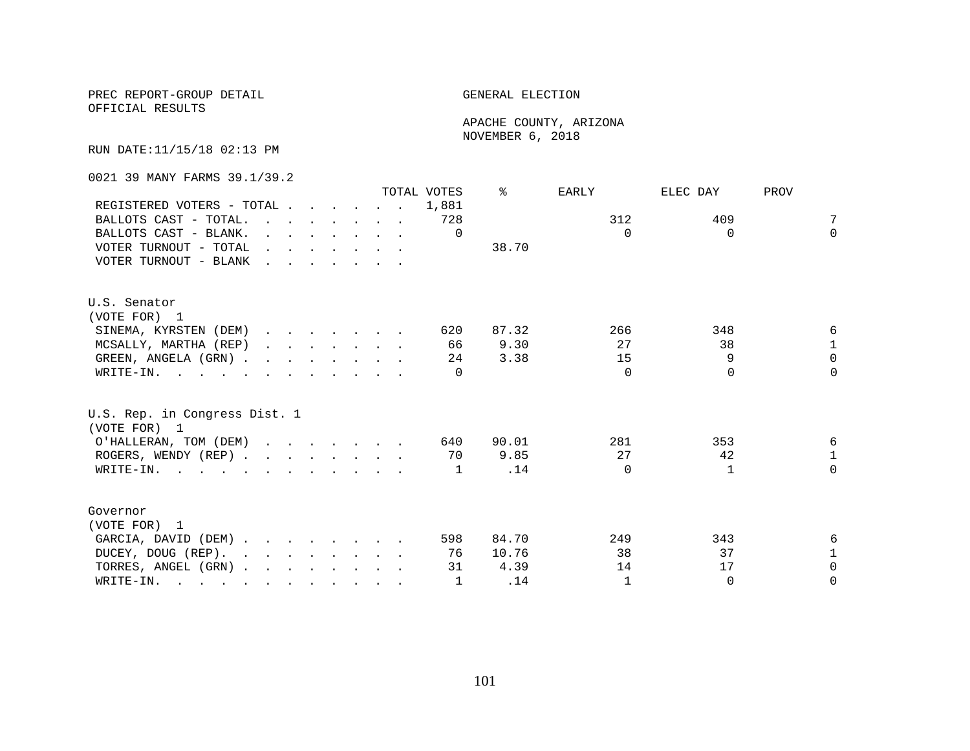PREC REPORT-GROUP DETAIL **ELECTION** 

OFFICIAL RESULTS

 APACHE COUNTY, ARIZONA NOVEMBER 6, 2018

RUN DATE:11/15/18 02:13 PM

0021 39 MANY FARMS 39.1/39.2

|                                                                                                                                                                                                                                                |                                                                                                                                                                                                                                   |  |  |                                                                                                                                                                                                                                      | TOTAL VOTES | ిన    | EARLY        | ELEC DAY     | PROV         |
|------------------------------------------------------------------------------------------------------------------------------------------------------------------------------------------------------------------------------------------------|-----------------------------------------------------------------------------------------------------------------------------------------------------------------------------------------------------------------------------------|--|--|--------------------------------------------------------------------------------------------------------------------------------------------------------------------------------------------------------------------------------------|-------------|-------|--------------|--------------|--------------|
| REGISTERED VOTERS - TOTAL                                                                                                                                                                                                                      |                                                                                                                                                                                                                                   |  |  |                                                                                                                                                                                                                                      | 1,881       |       |              |              |              |
| BALLOTS CAST - TOTAL.                                                                                                                                                                                                                          | $\mathbf{r}$ . The contract of the contract of the contract of the contract of the contract of the contract of the contract of the contract of the contract of the contract of the contract of the contract of the contract of th |  |  |                                                                                                                                                                                                                                      | 728         |       | 312          | 409          | 7            |
| BALLOTS CAST - BLANK.                                                                                                                                                                                                                          |                                                                                                                                                                                                                                   |  |  | $\mathbf{r}$ and $\mathbf{r}$ and $\mathbf{r}$ and $\mathbf{r}$ and $\mathbf{r}$                                                                                                                                                     | $\Omega$    |       | $\Omega$     | $\Omega$     | $\Omega$     |
| VOTER TURNOUT - TOTAL                                                                                                                                                                                                                          |                                                                                                                                                                                                                                   |  |  | $\mathbf{r}$ , $\mathbf{r}$ , $\mathbf{r}$ , $\mathbf{r}$ , $\mathbf{r}$ , $\mathbf{r}$                                                                                                                                              |             | 38.70 |              |              |              |
| VOTER TURNOUT - BLANK                                                                                                                                                                                                                          | <u>in the second contract of the second second</u>                                                                                                                                                                                |  |  |                                                                                                                                                                                                                                      |             |       |              |              |              |
| U.S. Senator                                                                                                                                                                                                                                   |                                                                                                                                                                                                                                   |  |  |                                                                                                                                                                                                                                      |             |       |              |              |              |
| (VOTE FOR) 1                                                                                                                                                                                                                                   |                                                                                                                                                                                                                                   |  |  |                                                                                                                                                                                                                                      |             |       |              |              |              |
| SINEMA, KYRSTEN (DEM)                                                                                                                                                                                                                          |                                                                                                                                                                                                                                   |  |  |                                                                                                                                                                                                                                      | 620         | 87.32 | 266          | 348          | 6            |
| MCSALLY, MARTHA (REP)                                                                                                                                                                                                                          |                                                                                                                                                                                                                                   |  |  | $\mathbf{r}$ and $\mathbf{r}$ are the set of the set of the set of the set of the set of the set of the set of the set of the set of the set of the set of the set of the set of the set of the set of the set of the set of the set | 66          | 9.30  | 27           | 38           | $\mathbf{1}$ |
| GREEN, ANGELA (GRN).                                                                                                                                                                                                                           |                                                                                                                                                                                                                                   |  |  |                                                                                                                                                                                                                                      | 24          | 3.38  | 15           | 9            | $\Omega$     |
| WRITE-IN.                                                                                                                                                                                                                                      |                                                                                                                                                                                                                                   |  |  |                                                                                                                                                                                                                                      |             |       | $\Omega$     | $\Omega$     | $\Omega$     |
| U.S. Rep. in Congress Dist. 1<br>(VOTE FOR) 1                                                                                                                                                                                                  |                                                                                                                                                                                                                                   |  |  |                                                                                                                                                                                                                                      |             |       |              |              |              |
| O'HALLERAN, TOM (DEM)                                                                                                                                                                                                                          |                                                                                                                                                                                                                                   |  |  |                                                                                                                                                                                                                                      | 640         | 90.01 | 281          | 353          | 6            |
| ROGERS, WENDY (REP)                                                                                                                                                                                                                            |                                                                                                                                                                                                                                   |  |  |                                                                                                                                                                                                                                      | 70          | 9.85  | 27           | 42           | $\mathbf{1}$ |
| WRITE-IN.                                                                                                                                                                                                                                      |                                                                                                                                                                                                                                   |  |  |                                                                                                                                                                                                                                      | 1           | .14   | $\Omega$     | $\mathbf{1}$ | $\Omega$     |
| Governor                                                                                                                                                                                                                                       |                                                                                                                                                                                                                                   |  |  |                                                                                                                                                                                                                                      |             |       |              |              |              |
| (VOTE FOR) 1                                                                                                                                                                                                                                   |                                                                                                                                                                                                                                   |  |  |                                                                                                                                                                                                                                      |             |       |              |              |              |
| GARCIA, DAVID (DEM)                                                                                                                                                                                                                            |                                                                                                                                                                                                                                   |  |  |                                                                                                                                                                                                                                      | 598         | 84.70 | 249          | 343          | 6            |
| DUCEY, DOUG (REP).                                                                                                                                                                                                                             |                                                                                                                                                                                                                                   |  |  |                                                                                                                                                                                                                                      | 76          | 10.76 | 38           | 37           | $\mathbf{1}$ |
| TORRES, ANGEL (GRN)                                                                                                                                                                                                                            |                                                                                                                                                                                                                                   |  |  |                                                                                                                                                                                                                                      | 31          | 4.39  | 14           | 17           | $\Omega$     |
| WRITE-IN.<br>$\mathbf{r}$ . The contract of the contract of the contract of the contract of the contract of the contract of the contract of the contract of the contract of the contract of the contract of the contract of the contract of th |                                                                                                                                                                                                                                   |  |  |                                                                                                                                                                                                                                      | 1           | .14   | $\mathbf{1}$ | $\Omega$     | $\Omega$     |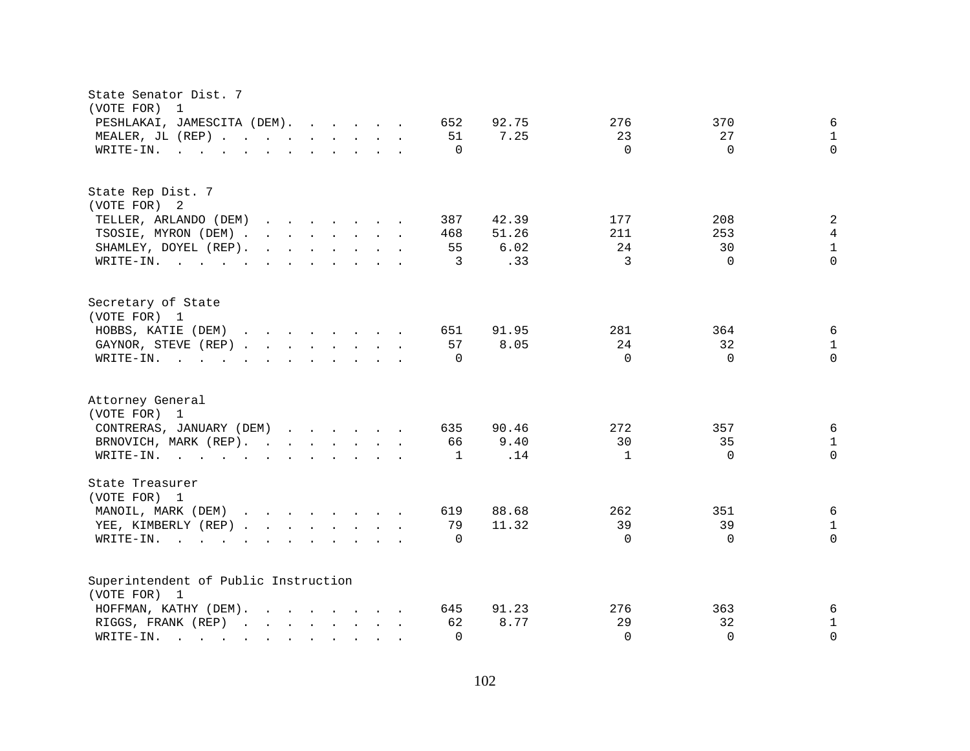| State Senator Dist. 7<br>(VOTE FOR) 1                                                                                                                                                                                                                             |                                             |
|-------------------------------------------------------------------------------------------------------------------------------------------------------------------------------------------------------------------------------------------------------------------|---------------------------------------------|
| PESHLAKAI, JAMESCITA (DEM).<br>652                                                                                                                                                                                                                                | 6<br>92.75<br>276<br>370                    |
| MEALER, JL (REP)<br>51                                                                                                                                                                                                                                            | 7.25<br>23<br>27<br>$\mathbf{1}$            |
| WRITE-IN.<br>$\mathbf{r}$ . The state of the state of the state $\mathbf{r}$<br>$\Omega$                                                                                                                                                                          | $\Omega$<br>$\Omega$<br>$\Omega$            |
|                                                                                                                                                                                                                                                                   |                                             |
| State Rep Dist. 7                                                                                                                                                                                                                                                 |                                             |
| (VOTE FOR) 2                                                                                                                                                                                                                                                      |                                             |
| TELLER, ARLANDO (DEM)<br>$\mathbf{r}$ . The set of the set of the set of the set of the set of the set of the set of the set of the set of the set of the set of the set of the set of the set of the set of the set of the set of the set of the set of t<br>387 | $\sqrt{2}$<br>42.39<br>177<br>208           |
| TSOSIE, MYRON (DEM)<br>468                                                                                                                                                                                                                                        | $\overline{4}$<br>51.26<br>211<br>253       |
| SHAMLEY, DOYEL (REP).<br>$\mathbf{r}$ . The set of the set of the set of the set of the set of the set of the set of the set of the set of the set of the set of the set of the set of the set of the set of the set of the set of the set of the set of t<br>55  | $\mathbf{1}$<br>6.02<br>24<br>30            |
| WRITE-IN.<br>3                                                                                                                                                                                                                                                    | 3<br>$\Omega$<br>$\Omega$<br>.33            |
| Secretary of State                                                                                                                                                                                                                                                |                                             |
| (VOTE FOR) 1                                                                                                                                                                                                                                                      |                                             |
| HOBBS, KATIE (DEM)<br>651                                                                                                                                                                                                                                         | 91.95<br>281<br>364<br>6                    |
| 57<br>GAYNOR, STEVE (REP)                                                                                                                                                                                                                                         | 8.05<br>24<br>32<br>$\mathbf{1}$            |
| $\mathbf{r}$ . The state of the state of the state $\mathbf{r}$<br>$\Omega$<br>WRITE-IN.                                                                                                                                                                          | $\Omega$<br>$\Omega$<br>$\Omega$            |
|                                                                                                                                                                                                                                                                   |                                             |
| Attorney General                                                                                                                                                                                                                                                  |                                             |
| (VOTE FOR) 1                                                                                                                                                                                                                                                      |                                             |
| CONTRERAS, JANUARY (DEM)<br>635                                                                                                                                                                                                                                   | 272<br>6<br>90.46<br>357                    |
| BRNOVICH, MARK (REP).<br>66                                                                                                                                                                                                                                       | 9.40<br>30<br>35<br>$\mathbf{1}$            |
| WRITE-IN.<br>1                                                                                                                                                                                                                                                    | $\Omega$<br>.14<br>$\mathbf{1}$<br>$\Omega$ |
| State Treasurer                                                                                                                                                                                                                                                   |                                             |
| (VOTE FOR) 1                                                                                                                                                                                                                                                      |                                             |
| MANOIL, MARK (DEM)<br>619                                                                                                                                                                                                                                         | 6<br>88.68<br>262<br>351                    |
| YEE, KIMBERLY (REP)<br>79                                                                                                                                                                                                                                         | 39<br>11.32<br>39<br>$\mathbf{1}$           |
| WRITE-IN.<br>$\Omega$<br>$\mathbf{r}$ and $\mathbf{r}$ and $\mathbf{r}$ and $\mathbf{r}$ and $\mathbf{r}$                                                                                                                                                         | $\Omega$<br>$\Omega$<br>$\Omega$            |
| Superintendent of Public Instruction                                                                                                                                                                                                                              |                                             |
| (VOTE FOR) 1                                                                                                                                                                                                                                                      |                                             |
| HOFFMAN, KATHY (DEM).<br>645                                                                                                                                                                                                                                      | 91.23<br>276<br>363<br>6                    |
| RIGGS, FRANK (REP)<br>62                                                                                                                                                                                                                                          | $\mathbf{1}$<br>8.77<br>29<br>32            |
| WRITE-IN.<br>$\Omega$<br>$\mathbf{r}$ . The set of $\mathbf{r}$<br>$\mathbf{r}$ , $\mathbf{r}$ , $\mathbf{r}$ , $\mathbf{r}$                                                                                                                                      | $\Omega$<br>$\Omega$<br>$\Omega$            |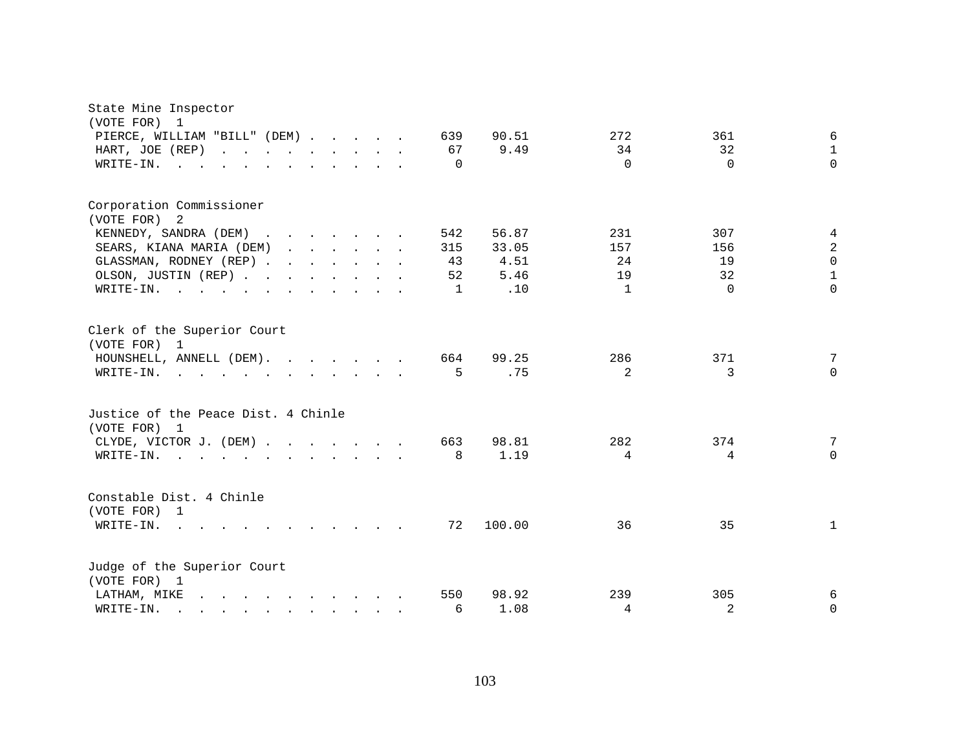| State Mine Inspector<br>(VOTE FOR) 1<br>PIERCE, WILLIAM "BILL" (DEM)<br>HART, JOE (REP)<br>WRITE-IN.                                           |  |  | 639<br>67<br>$\Omega$  | 90.51<br>9.49                  | 272<br>34<br>$\Omega$  | 361<br>32<br>$\Omega$  | 6<br>$\mathbf{1}$<br>$\Omega$                   |
|------------------------------------------------------------------------------------------------------------------------------------------------|--|--|------------------------|--------------------------------|------------------------|------------------------|-------------------------------------------------|
| Corporation Commissioner<br>(VOTE FOR) 2<br>KENNEDY, SANDRA (DEM)<br>SEARS, KIANA MARIA (DEM)<br>GLASSMAN, RODNEY (REP)<br>OLSON, JUSTIN (REP) |  |  | 542<br>315<br>43<br>52 | 56.87<br>33.05<br>4.51<br>5.46 | 231<br>157<br>24<br>19 | 307<br>156<br>19<br>32 | 4<br>$\overline{2}$<br>$\Omega$<br>$\mathbf{1}$ |
| WRITE-IN.<br>Clerk of the Superior Court<br>(VOTE FOR) 1                                                                                       |  |  | 1                      | .10                            | $\mathbf{1}$           | $\Omega$               | $\Omega$                                        |
| HOUNSHELL, ANNELL (DEM).<br>WRITE-IN.                                                                                                          |  |  | 664<br>5               | 99.25<br>.75                   | 286<br>$\overline{2}$  | 371<br>3               | 7<br>$\Omega$                                   |
| Justice of the Peace Dist. 4 Chinle<br>(VOTE FOR) 1                                                                                            |  |  |                        |                                |                        |                        |                                                 |
| CLYDE, VICTOR J. (DEM)<br>WRITE-IN.                                                                                                            |  |  | 663<br>8               | 98.81<br>1.19                  | 282<br>$4\overline{ }$ | 374<br>4               | 7<br>$\Omega$                                   |
| Constable Dist. 4 Chinle<br>(VOTE FOR) 1<br>WRITE-IN.                                                                                          |  |  | 72                     | 100.00                         | 36                     | 35                     | $\mathbf{1}$                                    |
| Judge of the Superior Court<br>(VOTE FOR) 1                                                                                                    |  |  |                        |                                |                        |                        |                                                 |
| LATHAM, MIKE<br>WRITE-IN.<br>$\mathbf{r}$ , and $\mathbf{r}$ , and $\mathbf{r}$ , and $\mathbf{r}$ , and $\mathbf{r}$                          |  |  | 550<br>6               | 98.92<br>1.08                  | 239<br>4               | 305<br>2               | 6<br>$\Omega$                                   |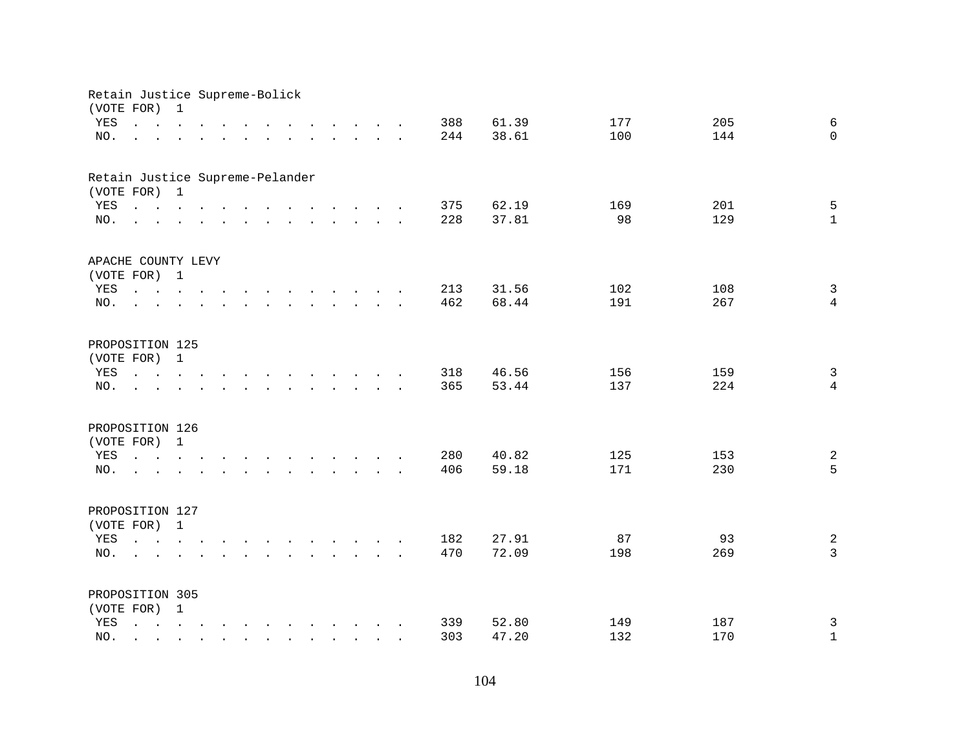| Retain Justice Supreme-Bolick<br>(VOTE FOR) |                                                                                                                                                                                                                                      | 1                           |                  |                                                                                                                                                                                                                   |        |                                                                                                                                                                                                                                   |  |                                 |                                                 |  |     |       |     |     |                         |
|---------------------------------------------|--------------------------------------------------------------------------------------------------------------------------------------------------------------------------------------------------------------------------------------|-----------------------------|------------------|-------------------------------------------------------------------------------------------------------------------------------------------------------------------------------------------------------------------|--------|-----------------------------------------------------------------------------------------------------------------------------------------------------------------------------------------------------------------------------------|--|---------------------------------|-------------------------------------------------|--|-----|-------|-----|-----|-------------------------|
| YES                                         | $\mathbf{L} = \mathbf{L}$                                                                                                                                                                                                            | $\sim$                      |                  | $\sim$ $\sim$ $\sim$                                                                                                                                                                                              |        |                                                                                                                                                                                                                                   |  |                                 | $\cdot$ $\cdot$ $\cdot$ $\cdot$ $\cdot$ $\cdot$ |  | 388 | 61.39 | 177 | 205 | 6                       |
| NO.                                         | $\overline{a}$                                                                                                                                                                                                                       | $\mathcal{L}^{\mathcal{L}}$ |                  | $\mathbf{L}$ $\mathbf{L}$                                                                                                                                                                                         | $\sim$ | and the contract of the contract of the contract of the contract of the contract of the contract of the contract of the contract of the contract of the contract of the contract of the contract of the contract of the contra    |  |                                 |                                                 |  | 244 | 38.61 | 100 | 144 | $\Omega$                |
|                                             |                                                                                                                                                                                                                                      |                             |                  |                                                                                                                                                                                                                   |        |                                                                                                                                                                                                                                   |  |                                 |                                                 |  |     |       |     |     |                         |
| Retain Justice Supreme-Pelander             |                                                                                                                                                                                                                                      |                             |                  |                                                                                                                                                                                                                   |        |                                                                                                                                                                                                                                   |  |                                 |                                                 |  |     |       |     |     |                         |
| (VOTE FOR) 1                                |                                                                                                                                                                                                                                      |                             |                  |                                                                                                                                                                                                                   |        |                                                                                                                                                                                                                                   |  |                                 |                                                 |  |     |       |     |     |                         |
| YES                                         | <u>na kaominina mpikambana amin'ny fivondronan-kaominin'i Gregory ao amin'ny fivondronan-kaominin'i Amerika amin'ny fivondronan-kaominin'i Amerika amin'ny fivondronan-kaominin'i Amerika ao amin'ny fivondronan-kaominin'i Amer</u> |                             |                  |                                                                                                                                                                                                                   |        |                                                                                                                                                                                                                                   |  |                                 |                                                 |  | 375 | 62.19 | 169 | 201 | 5                       |
| NO.                                         | $\mathbf{r}$ , and $\mathbf{r}$ , and $\mathbf{r}$ , and $\mathbf{r}$ , and $\mathbf{r}$ , and $\mathbf{r}$                                                                                                                          |                             |                  |                                                                                                                                                                                                                   |        |                                                                                                                                                                                                                                   |  |                                 |                                                 |  | 228 | 37.81 | 98  | 129 | $\mathbf{1}$            |
| APACHE COUNTY LEVY                          |                                                                                                                                                                                                                                      |                             |                  |                                                                                                                                                                                                                   |        |                                                                                                                                                                                                                                   |  |                                 |                                                 |  |     |       |     |     |                         |
| (VOTE FOR) 1                                |                                                                                                                                                                                                                                      |                             |                  |                                                                                                                                                                                                                   |        |                                                                                                                                                                                                                                   |  |                                 |                                                 |  |     |       |     |     |                         |
| YES                                         |                                                                                                                                                                                                                                      |                             |                  |                                                                                                                                                                                                                   |        |                                                                                                                                                                                                                                   |  |                                 |                                                 |  | 213 | 31.56 | 102 | 108 | $\mathbf{3}$            |
| NO.                                         | $\sim$                                                                                                                                                                                                                               |                             |                  | $\sim$ $\sim$                                                                                                                                                                                                     |        | $\mathbf{r}$ . The set of the set of the set of the set of the set of the set of the set of the set of the set of the set of the set of the set of the set of the set of the set of the set of the set of the set of the set of t |  |                                 |                                                 |  | 462 | 68.44 | 191 | 267 | $\overline{4}$          |
| PROPOSITION 125                             |                                                                                                                                                                                                                                      |                             |                  |                                                                                                                                                                                                                   |        |                                                                                                                                                                                                                                   |  |                                 |                                                 |  |     |       |     |     |                         |
| (VOTE FOR) 1                                |                                                                                                                                                                                                                                      |                             |                  |                                                                                                                                                                                                                   |        |                                                                                                                                                                                                                                   |  |                                 |                                                 |  |     |       |     |     |                         |
| YES                                         | $\mathbf{L}$ , $\mathbf{L}$ , $\mathbf{L}$                                                                                                                                                                                           |                             |                  |                                                                                                                                                                                                                   |        |                                                                                                                                                                                                                                   |  |                                 | $\cdots$ $\cdots$                               |  | 318 | 46.56 | 156 | 159 | $\mathbf{3}$            |
| NO.                                         |                                                                                                                                                                                                                                      |                             |                  |                                                                                                                                                                                                                   |        |                                                                                                                                                                                                                                   |  | $\sim$                          |                                                 |  | 365 | 53.44 | 137 | 224 | $\overline{4}$          |
|                                             |                                                                                                                                                                                                                                      |                             |                  |                                                                                                                                                                                                                   |        |                                                                                                                                                                                                                                   |  |                                 |                                                 |  |     |       |     |     |                         |
| PROPOSITION 126                             |                                                                                                                                                                                                                                      |                             |                  |                                                                                                                                                                                                                   |        |                                                                                                                                                                                                                                   |  |                                 |                                                 |  |     |       |     |     |                         |
| (VOTE FOR) 1                                |                                                                                                                                                                                                                                      |                             |                  |                                                                                                                                                                                                                   |        |                                                                                                                                                                                                                                   |  |                                 |                                                 |  |     |       |     |     |                         |
| YES                                         | the contract of the contract of the contract of the contract of the contract of the contract of the contract of                                                                                                                      |                             |                  |                                                                                                                                                                                                                   |        |                                                                                                                                                                                                                                   |  |                                 |                                                 |  | 280 | 40.82 | 125 | 153 | $\overline{\mathbf{c}}$ |
| NO.                                         | $\cdot$ $\cdot$                                                                                                                                                                                                                      |                             | $\sim$ 100 $\pm$ | $\mathbf{r} = \left( \mathbf{r} - \mathbf{r} \right) \left( \mathbf{r} - \mathbf{r} \right) \left( \mathbf{r} - \mathbf{r} \right) \left( \mathbf{r} - \mathbf{r} \right) \left( \mathbf{r} - \mathbf{r} \right)$ |        |                                                                                                                                                                                                                                   |  |                                 |                                                 |  | 406 | 59.18 | 171 | 230 | 5                       |
| PROPOSITION 127                             |                                                                                                                                                                                                                                      |                             |                  |                                                                                                                                                                                                                   |        |                                                                                                                                                                                                                                   |  |                                 |                                                 |  |     |       |     |     |                         |
| (VOTE FOR) 1                                |                                                                                                                                                                                                                                      |                             |                  |                                                                                                                                                                                                                   |        |                                                                                                                                                                                                                                   |  |                                 |                                                 |  |     |       |     |     |                         |
| YES                                         | $\mathbf{r} = \mathbf{r} - \mathbf{r}$ , $\mathbf{r} = \mathbf{r} - \mathbf{r}$ , $\mathbf{r} = \mathbf{r} - \mathbf{r} - \mathbf{r}$ , $\mathbf{r} = \mathbf{r} - \mathbf{r}$                                                       |                             |                  |                                                                                                                                                                                                                   |        |                                                                                                                                                                                                                                   |  |                                 |                                                 |  | 182 | 27.91 | 87  | 93  | $\sqrt{2}$              |
| NO.                                         | <b>Carl Carl Control</b>                                                                                                                                                                                                             |                             |                  |                                                                                                                                                                                                                   |        |                                                                                                                                                                                                                                   |  |                                 |                                                 |  | 470 | 72.09 | 198 | 269 | $\mathbf{3}$            |
| PROPOSITION 305                             |                                                                                                                                                                                                                                      |                             |                  |                                                                                                                                                                                                                   |        |                                                                                                                                                                                                                                   |  |                                 |                                                 |  |     |       |     |     |                         |
| (VOTE FOR) 1                                |                                                                                                                                                                                                                                      |                             |                  |                                                                                                                                                                                                                   |        |                                                                                                                                                                                                                                   |  |                                 |                                                 |  |     |       |     |     |                         |
| YES                                         | $\mathbf{r} = \mathbf{r} - \mathbf{r}$ , $\mathbf{r} = \mathbf{r} - \mathbf{r}$ , $\mathbf{r} = \mathbf{r} - \mathbf{r} - \mathbf{r}$ , $\mathbf{r} = \mathbf{r} - \mathbf{r}$                                                       |                             |                  |                                                                                                                                                                                                                   |        |                                                                                                                                                                                                                                   |  |                                 |                                                 |  | 339 | 52.80 | 149 | 187 | 3                       |
| NO.                                         |                                                                                                                                                                                                                                      |                             |                  |                                                                                                                                                                                                                   |        |                                                                                                                                                                                                                                   |  | <b>Contract Contract Street</b> |                                                 |  | 303 | 47.20 | 132 | 170 | $\mathbf 1$             |
|                                             |                                                                                                                                                                                                                                      |                             |                  |                                                                                                                                                                                                                   |        |                                                                                                                                                                                                                                   |  |                                 |                                                 |  |     |       |     |     |                         |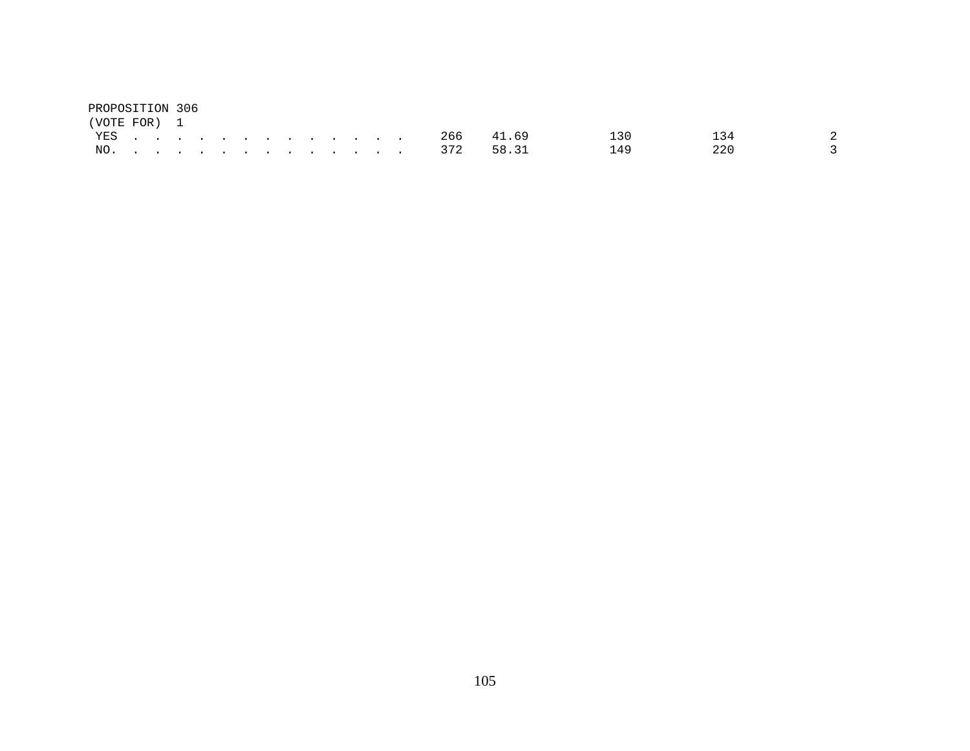| PROPOSITION 306 |  |  |  |  |  |  |               |     |     |  |
|-----------------|--|--|--|--|--|--|---------------|-----|-----|--|
| (VOTE FOR) 1    |  |  |  |  |  |  |               |     |     |  |
|                 |  |  |  |  |  |  | YES 266 41.69 | 130 | 134 |  |
|                 |  |  |  |  |  |  | NO. 372 58.31 | 149 | 220 |  |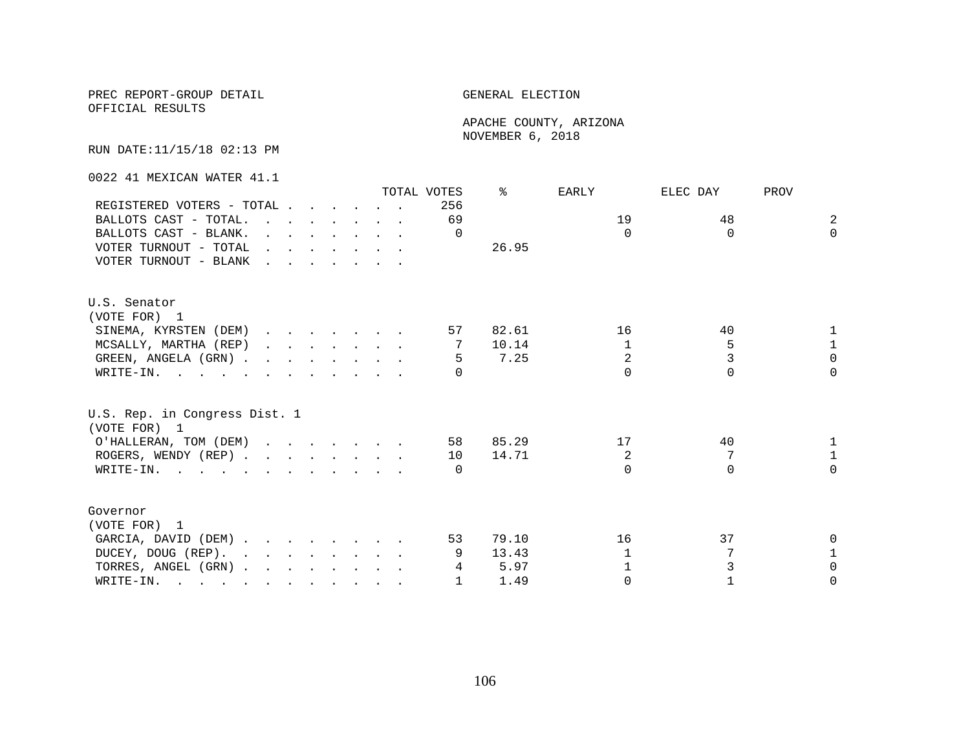#### PREC REPORT-GROUP DETAIL **ELECTION**

OFFICIAL RESULTS

 APACHE COUNTY, ARIZONA NOVEMBER 6, 2018

RUN DATE:11/15/18 02:13 PM

0022 41 MEXICAN WATER 41.1

|                                               |                                                                                                                                                                                                                                   |  |  |  | TOTAL VOTES | ⊱     | EARLY          | ELEC DAY | PROV           |
|-----------------------------------------------|-----------------------------------------------------------------------------------------------------------------------------------------------------------------------------------------------------------------------------------|--|--|--|-------------|-------|----------------|----------|----------------|
| REGISTERED VOTERS - TOTAL                     |                                                                                                                                                                                                                                   |  |  |  | 256         |       |                |          |                |
| BALLOTS CAST - TOTAL.                         |                                                                                                                                                                                                                                   |  |  |  | 69          |       | 19             | 48       | $\overline{2}$ |
| BALLOTS CAST - BLANK.                         | $\mathbf{r}$ . The contract of the contract of the contract of the contract of the contract of the contract of the contract of the contract of the contract of the contract of the contract of the contract of the contract of th |  |  |  | $\Omega$    |       | $\Omega$       | $\Omega$ | $\Omega$       |
| VOTER TURNOUT - TOTAL                         |                                                                                                                                                                                                                                   |  |  |  |             | 26.95 |                |          |                |
| VOTER TURNOUT - BLANK                         |                                                                                                                                                                                                                                   |  |  |  |             |       |                |          |                |
| U.S. Senator                                  |                                                                                                                                                                                                                                   |  |  |  |             |       |                |          |                |
| (VOTE FOR) 1                                  |                                                                                                                                                                                                                                   |  |  |  |             |       |                |          |                |
| SINEMA, KYRSTEN (DEM)                         |                                                                                                                                                                                                                                   |  |  |  | 57          | 82.61 | 16             | 40       |                |
| MCSALLY, MARTHA (REP)                         |                                                                                                                                                                                                                                   |  |  |  | 7           | 10.14 | $\mathbf{1}$   | 5        | $\mathbf{1}$   |
| GREEN, ANGELA (GRN)                           |                                                                                                                                                                                                                                   |  |  |  | -5          | 7.25  | $\overline{2}$ |          | $\Omega$       |
| WRITE-IN.                                     |                                                                                                                                                                                                                                   |  |  |  |             |       | $\cap$         | $\Omega$ | $\Omega$       |
| U.S. Rep. in Congress Dist. 1<br>(VOTE FOR) 1 |                                                                                                                                                                                                                                   |  |  |  |             |       |                |          |                |
| O'HALLERAN, TOM (DEM)                         |                                                                                                                                                                                                                                   |  |  |  | 58          | 85.29 | 17             | 40       |                |
| ROGERS, WENDY (REP)                           |                                                                                                                                                                                                                                   |  |  |  | 10          | 14.71 | $\overline{a}$ | 7        | $\mathbf{1}$   |
| WRITE-IN.                                     |                                                                                                                                                                                                                                   |  |  |  | $\bigcap$   |       | $\cap$         | $\Omega$ | $\Omega$       |
| Governor                                      |                                                                                                                                                                                                                                   |  |  |  |             |       |                |          |                |
| (VOTE FOR) 1                                  |                                                                                                                                                                                                                                   |  |  |  |             |       |                |          |                |
| GARCIA, DAVID (DEM)                           |                                                                                                                                                                                                                                   |  |  |  | 53          | 79.10 | 16             | 37       |                |
| DUCEY, DOUG (REP).                            |                                                                                                                                                                                                                                   |  |  |  |             | 13.43 | 1              |          |                |
| TORRES, ANGEL (GRN)                           |                                                                                                                                                                                                                                   |  |  |  | 4           | 5.97  | 1              |          | $\Omega$       |
| WRITE-IN.                                     |                                                                                                                                                                                                                                   |  |  |  |             | 1.49  | $\Omega$       |          | $\Omega$       |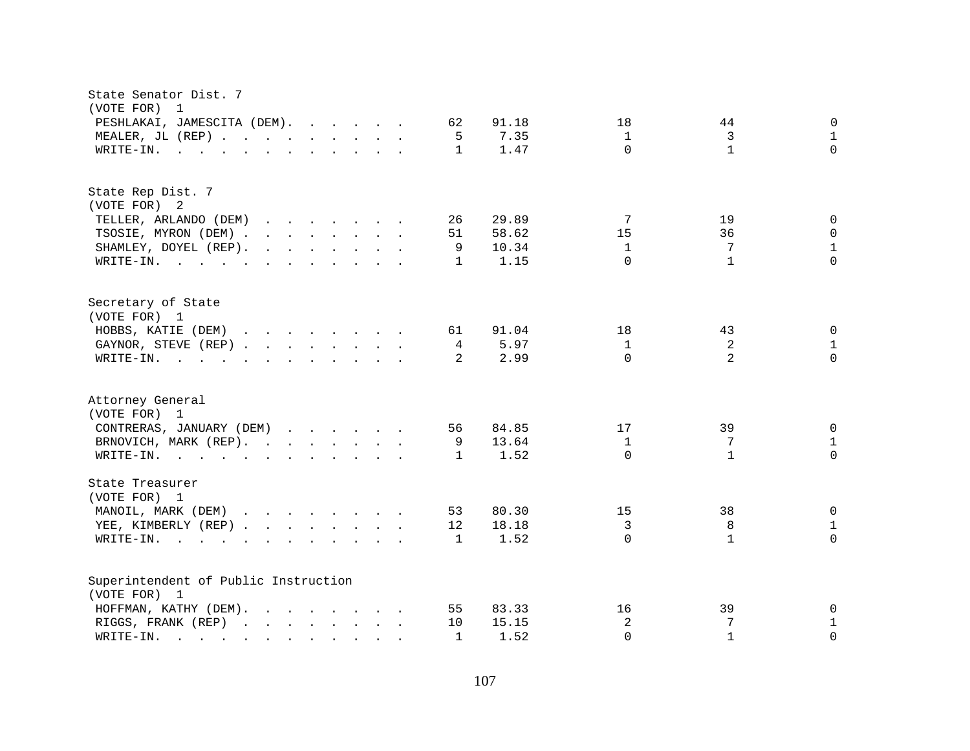| State Senator Dist. 7<br>(VOTE FOR)<br>$\overline{1}$                                                                  |                                                        |
|------------------------------------------------------------------------------------------------------------------------|--------------------------------------------------------|
| PESHLAKAI, JAMESCITA (DEM).<br>62                                                                                      | 91.18<br>18<br>44<br>0                                 |
| MEALER, JL (REP)<br>5                                                                                                  | 3<br>7.35<br>$\mathbf{1}$<br>$\mathbf{1}$              |
| WRITE-IN.<br>$\mathbf{1}$<br>$\mathbf{r}$ , and $\mathbf{r}$ , and $\mathbf{r}$ , and $\mathbf{r}$ , and $\mathbf{r}$  | $\Omega$<br>$\mathbf{1}$<br>$\Omega$<br>1.47           |
| State Rep Dist. 7                                                                                                      |                                                        |
| (VOTE FOR) 2                                                                                                           |                                                        |
| TELLER, ARLANDO (DEM)<br>26                                                                                            | 29.89<br>19<br>7<br>0                                  |
| TSOSIE, MYRON (DEM)<br>51                                                                                              | 15<br>36<br>$\Omega$<br>58.62                          |
| SHAMLEY, DOYEL (REP).<br>9                                                                                             | 7<br>$\mathbf{1}$<br>10.34<br>$\mathbf{1}$             |
| WRITE-IN.<br>$\mathbf{1}$                                                                                              | $\Omega$<br>$\Omega$<br>$\mathbf{1}$<br>1.15           |
| Secretary of State<br>(VOTE FOR) 1                                                                                     |                                                        |
| HOBBS, KATIE (DEM)<br>61                                                                                               | 91.04<br>18<br>43<br>0                                 |
| GAYNOR, STEVE (REP)<br>4                                                                                               | $\overline{a}$<br>5.97<br>$\mathbf{1}$<br>$\mathbf{1}$ |
| $\mathcal{L}$<br>WRITE-IN.<br>$\mathbf{r}$ , and $\mathbf{r}$ , and $\mathbf{r}$ , and $\mathbf{r}$ , and $\mathbf{r}$ | $\Omega$<br>2<br>$\Omega$<br>2.99                      |
|                                                                                                                        |                                                        |
| Attorney General<br>(VOTE FOR) 1                                                                                       |                                                        |
| CONTRERAS, JANUARY (DEM)<br>56                                                                                         | 84.85<br>17<br>39<br>$\overline{0}$                    |
|                                                                                                                        |                                                        |
| BRNOVICH, MARK (REP).<br>9                                                                                             | 13.64<br>$\mathbf{1}$<br>7<br>$\mathbf{1}$             |
| WRITE-IN.<br>1                                                                                                         | $\Omega$<br>$\mathbf{1}$<br>$\Omega$<br>1.52           |
| State Treasurer<br>(VOTE FOR) 1                                                                                        |                                                        |
| 53                                                                                                                     | 15<br>38<br>$\mathbf 0$<br>80.30                       |
| MANOIL, MARK (DEM)                                                                                                     |                                                        |
| YEE, KIMBERLY (REP)<br>12                                                                                              | $\mathfrak{Z}$<br>$\,8\,$<br>18.18<br>$\mathbf{1}$     |
| WRITE-IN.<br>1                                                                                                         | 1.52<br>$\Omega$<br>$\mathbf{1}$<br>$\Omega$           |
| Superintendent of Public Instruction                                                                                   |                                                        |
| (VOTE FOR) 1                                                                                                           |                                                        |
| HOFFMAN, KATHY (DEM).<br>55                                                                                            | 83.33<br>16<br>39<br>0                                 |
| RIGGS, FRANK (REP)<br>10                                                                                               | 2<br>7<br>$\mathbf{1}$<br>15.15                        |
| $\texttt{WRTTE-IN.}$<br>$\mathbf{1}$                                                                                   | $\Omega$<br>$\Omega$<br>1.52<br>$\mathbf{1}$           |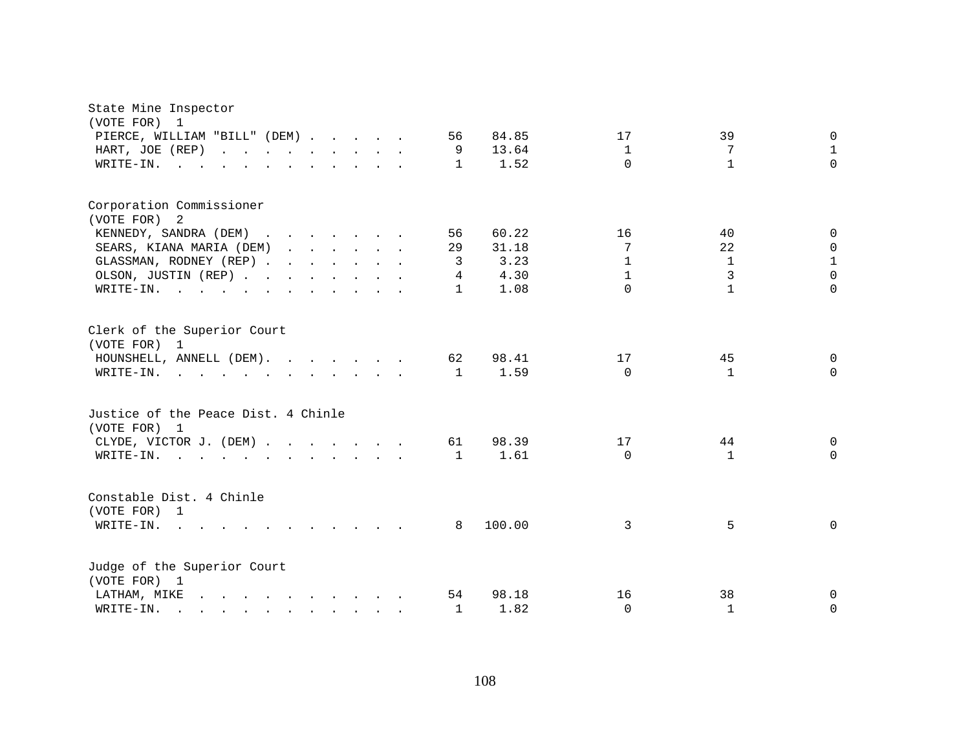| State Mine Inspector<br>(VOTE FOR) 1                                                                                                                                                                                                                 |                                                      |
|------------------------------------------------------------------------------------------------------------------------------------------------------------------------------------------------------------------------------------------------------|------------------------------------------------------|
| PIERCE, WILLIAM "BILL" (DEM)<br>56                                                                                                                                                                                                                   | 84.85<br>39<br>$\mathbf 0$<br>17                     |
| HART, JOE (REP)<br>9                                                                                                                                                                                                                                 | 13.64<br>$\mathbf{1}$<br>7<br>$\mathbf{1}$           |
| WRITE-IN.<br>$\mathbf{1}$                                                                                                                                                                                                                            | 1.52<br>$\Omega$<br>$\mathbf{1}$<br>$\Omega$         |
|                                                                                                                                                                                                                                                      |                                                      |
| Corporation Commissioner                                                                                                                                                                                                                             |                                                      |
| (VOTE FOR) 2                                                                                                                                                                                                                                         |                                                      |
| KENNEDY, SANDRA (DEM)<br>56                                                                                                                                                                                                                          | 60.22<br>16<br>40<br>$\Omega$                        |
| SEARS, KIANA MARIA (DEM)<br>29                                                                                                                                                                                                                       | 22<br>31.18<br>7<br>$\Omega$                         |
| GLASSMAN, RODNEY (REP)<br>3                                                                                                                                                                                                                          | 3.23<br>$\mathbf{1}$<br>$\mathbf{1}$<br>$\mathbf{1}$ |
| OLSON, JUSTIN (REP)<br>4                                                                                                                                                                                                                             | $\Omega$<br>3<br>4.30<br>$\mathbf{1}$                |
| WRITE-IN.<br>$\mathbf{1}$                                                                                                                                                                                                                            | $\Omega$<br>$\mathbf{1}$<br>$\Omega$<br>1.08         |
| Clerk of the Superior Court<br>(VOTE FOR) 1                                                                                                                                                                                                          |                                                      |
| HOUNSHELL, ANNELL (DEM).<br>62                                                                                                                                                                                                                       | 98.41<br>17<br>45<br>$\Omega$                        |
| WRITE-IN.<br>1                                                                                                                                                                                                                                       | 1.59<br>$\Omega$<br>$\Omega$<br>$\mathbf{1}$         |
| Justice of the Peace Dist. 4 Chinle<br>(VOTE FOR) 1                                                                                                                                                                                                  |                                                      |
| CLYDE, VICTOR J. (DEM)<br>61                                                                                                                                                                                                                         | 98.39<br>17<br>44<br>$\Omega$                        |
| WRITE-IN.<br>1                                                                                                                                                                                                                                       | 1.61<br>$\Omega$<br>$\mathbf{1}$<br>$\Omega$         |
| Constable Dist. 4 Chinle                                                                                                                                                                                                                             |                                                      |
| (VOTE FOR) 1                                                                                                                                                                                                                                         |                                                      |
| $W\text{RITE-IN.}$ , , ,<br>8<br>$\mathbf{r}$ , $\mathbf{r}$ , $\mathbf{r}$ , $\mathbf{r}$ , $\mathbf{r}$ , $\mathbf{r}$                                                                                                                             | 100.00<br>5<br>$\Omega$<br>3                         |
| Judge of the Superior Court<br>(VOTE FOR) 1                                                                                                                                                                                                          |                                                      |
| and the contract of the contract of the contract of the contract of the contract of the contract of the contract of the contract of the contract of the contract of the contract of the contract of the contract of the contra<br>LATHAM, MIKE<br>54 | 98.18<br>16<br>38<br>0                               |
| WRITE-IN.<br>1<br>$\mathbf{r}$ , and $\mathbf{r}$ , and $\mathbf{r}$ , and $\mathbf{r}$ , and $\mathbf{r}$                                                                                                                                           | 1.82<br>$\Omega$<br>$\mathbf{1}$<br>$\Omega$         |
|                                                                                                                                                                                                                                                      |                                                      |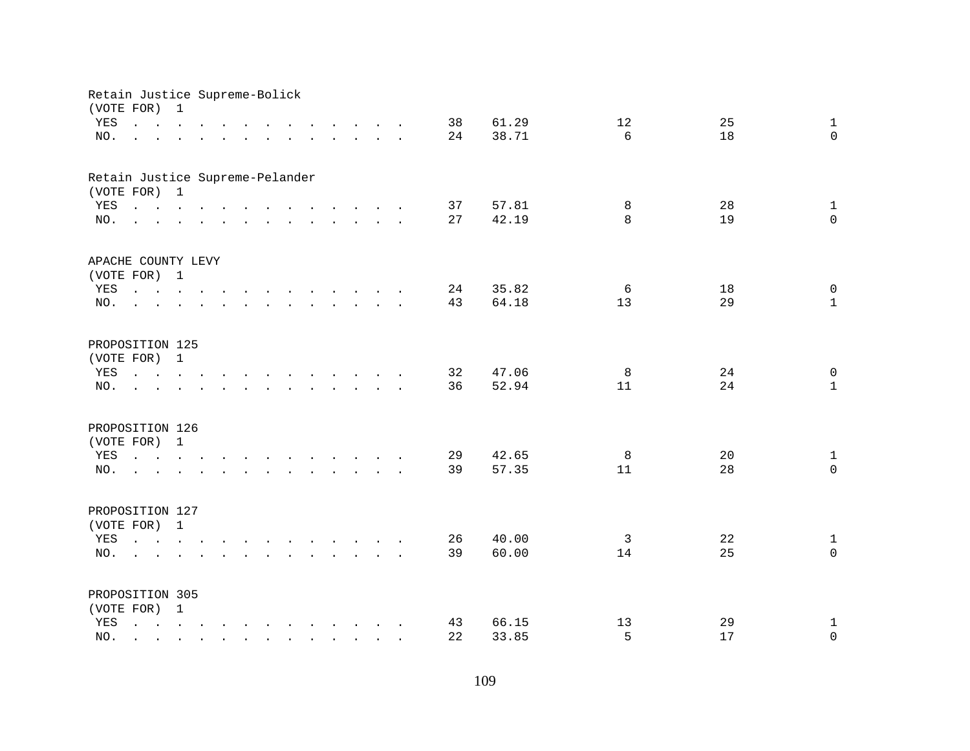|     | Retain Justice Supreme-Bolick<br>(VOTE FOR)                                                                                                                                                                                       | $\mathbf{1}$              |                                                                                                                       |               |                                                                                                                                                                                                                                   |  |  |  |    |       |                |    |              |
|-----|-----------------------------------------------------------------------------------------------------------------------------------------------------------------------------------------------------------------------------------|---------------------------|-----------------------------------------------------------------------------------------------------------------------|---------------|-----------------------------------------------------------------------------------------------------------------------------------------------------------------------------------------------------------------------------------|--|--|--|----|-------|----------------|----|--------------|
| YES | and a series of the contract of the contract of the contract of the contract of the contract of the contract of                                                                                                                   |                           |                                                                                                                       |               |                                                                                                                                                                                                                                   |  |  |  | 38 | 61.29 | 12             | 25 | $\mathbf{1}$ |
| NO. | and a series of the contract of the contract of the contract of the contract of the contract of the contract of                                                                                                                   |                           |                                                                                                                       |               |                                                                                                                                                                                                                                   |  |  |  | 24 | 38.71 | б.             | 18 | $\Omega$     |
|     |                                                                                                                                                                                                                                   |                           |                                                                                                                       |               |                                                                                                                                                                                                                                   |  |  |  |    |       |                |    |              |
|     | Retain Justice Supreme-Pelander                                                                                                                                                                                                   |                           |                                                                                                                       |               |                                                                                                                                                                                                                                   |  |  |  |    |       |                |    |              |
|     | (VOTE FOR) 1                                                                                                                                                                                                                      |                           |                                                                                                                       |               |                                                                                                                                                                                                                                   |  |  |  |    |       |                |    |              |
| YES | and the contract of the contract of the contract of the contract of the contract of the contract of the contract of the contract of the contract of the contract of the contract of the contract of the contract of the contra    |                           |                                                                                                                       |               |                                                                                                                                                                                                                                   |  |  |  | 37 | 57.81 | 8              | 28 | $\mathbf{1}$ |
| NO. | $\mathbf{r}$ , and $\mathbf{r}$ , and $\mathbf{r}$ , and $\mathbf{r}$ , and $\mathbf{r}$ , and $\mathbf{r}$                                                                                                                       |                           |                                                                                                                       |               |                                                                                                                                                                                                                                   |  |  |  | 27 | 42.19 | $\mathsf{R}$   | 19 | $\Omega$     |
|     | APACHE COUNTY LEVY                                                                                                                                                                                                                |                           |                                                                                                                       |               |                                                                                                                                                                                                                                   |  |  |  |    |       |                |    |              |
|     | (VOTE FOR) 1                                                                                                                                                                                                                      |                           |                                                                                                                       |               |                                                                                                                                                                                                                                   |  |  |  |    |       |                |    |              |
| YES | the contract of the contract of the contract of the contract of the contract of the contract of the contract of                                                                                                                   |                           |                                                                                                                       |               |                                                                                                                                                                                                                                   |  |  |  | 24 | 35.82 | 6              | 18 | $\mathbf 0$  |
| NO. | $\mathcal{L}^{\text{max}}$                                                                                                                                                                                                        |                           | $\mathbf{r}$ . The state of the state of the state $\mathbf{r}$                                                       |               |                                                                                                                                                                                                                                   |  |  |  | 43 | 64.18 | 13             | 29 | $\mathbf{1}$ |
|     |                                                                                                                                                                                                                                   |                           |                                                                                                                       |               |                                                                                                                                                                                                                                   |  |  |  |    |       |                |    |              |
|     | PROPOSITION 125                                                                                                                                                                                                                   |                           |                                                                                                                       |               |                                                                                                                                                                                                                                   |  |  |  |    |       |                |    |              |
|     | (VOTE FOR) 1                                                                                                                                                                                                                      |                           |                                                                                                                       |               |                                                                                                                                                                                                                                   |  |  |  |    |       |                |    |              |
| YES |                                                                                                                                                                                                                                   |                           |                                                                                                                       |               |                                                                                                                                                                                                                                   |  |  |  | 32 | 47.06 | 8              | 24 | $\mathbf 0$  |
| NO. |                                                                                                                                                                                                                                   |                           |                                                                                                                       | $\sim$ $\sim$ | $\mathbf{r}$ . The contract of the contract of the contract of the contract of the contract of the contract of the contract of the contract of the contract of the contract of the contract of the contract of the contract of th |  |  |  | 36 | 52.94 | 11             | 24 | $\mathbf{1}$ |
|     | PROPOSITION 126                                                                                                                                                                                                                   |                           |                                                                                                                       |               |                                                                                                                                                                                                                                   |  |  |  |    |       |                |    |              |
|     | (VOTE FOR) 1                                                                                                                                                                                                                      |                           |                                                                                                                       |               |                                                                                                                                                                                                                                   |  |  |  |    |       |                |    |              |
| YES | and a series of the contract of the contract of the                                                                                                                                                                               |                           |                                                                                                                       |               |                                                                                                                                                                                                                                   |  |  |  | 29 | 42.65 | 8              | 20 | $\mathbf{1}$ |
| NO. | $\mathbf{r}$ . The set of the set of the set of the set of the set of the set of the set of the set of the set of the set of the set of the set of the set of the set of the set of the set of the set of the set of the set of t |                           |                                                                                                                       |               |                                                                                                                                                                                                                                   |  |  |  | 39 | 57.35 | 11             | 28 | $\Omega$     |
|     |                                                                                                                                                                                                                                   |                           |                                                                                                                       |               |                                                                                                                                                                                                                                   |  |  |  |    |       |                |    |              |
|     | PROPOSITION 127                                                                                                                                                                                                                   |                           |                                                                                                                       |               |                                                                                                                                                                                                                                   |  |  |  |    |       |                |    |              |
|     | (VOTE FOR) 1                                                                                                                                                                                                                      |                           |                                                                                                                       |               |                                                                                                                                                                                                                                   |  |  |  |    |       |                |    |              |
| YES |                                                                                                                                                                                                                                   |                           |                                                                                                                       |               |                                                                                                                                                                                                                                   |  |  |  | 26 | 40.00 | $\overline{3}$ | 22 | $\mathbf{1}$ |
| NO. |                                                                                                                                                                                                                                   |                           |                                                                                                                       |               |                                                                                                                                                                                                                                   |  |  |  | 39 | 60.00 | 14             | 25 | $\Omega$     |
|     |                                                                                                                                                                                                                                   |                           |                                                                                                                       |               |                                                                                                                                                                                                                                   |  |  |  |    |       |                |    |              |
|     | PROPOSITION 305                                                                                                                                                                                                                   |                           |                                                                                                                       |               |                                                                                                                                                                                                                                   |  |  |  |    |       |                |    |              |
|     | (VOTE FOR) 1                                                                                                                                                                                                                      |                           |                                                                                                                       |               |                                                                                                                                                                                                                                   |  |  |  |    |       |                |    |              |
| YES | and a series of the contract of the contract of the contract of the contract of the contract of the contract of                                                                                                                   |                           |                                                                                                                       |               |                                                                                                                                                                                                                                   |  |  |  | 43 | 66.15 | 13             | 29 | $\mathbf{1}$ |
| NO. | $\sim$                                                                                                                                                                                                                            | $\mathbf{L} = \mathbf{L}$ | $\mathbf{r}$ , $\mathbf{r}$ , $\mathbf{r}$ , $\mathbf{r}$ , $\mathbf{r}$ , $\mathbf{r}$ , $\mathbf{r}$ , $\mathbf{r}$ |               |                                                                                                                                                                                                                                   |  |  |  | 22 | 33.85 | 5              | 17 | $\Omega$     |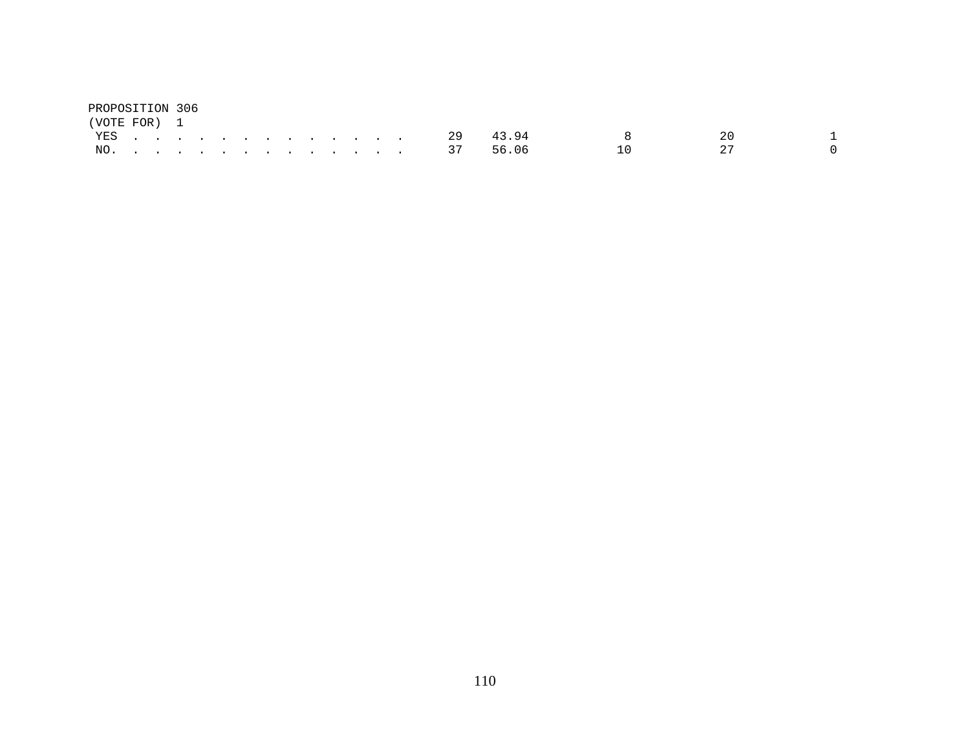| PROPOSITION 306 |  |  |  |  |  |  |        |       |              |     |  |
|-----------------|--|--|--|--|--|--|--------|-------|--------------|-----|--|
| (VOTE FOR) 1    |  |  |  |  |  |  |        |       |              |     |  |
|                 |  |  |  |  |  |  | YES 29 | 43.94 | $\mathsf{R}$ | 2 O |  |
|                 |  |  |  |  |  |  | NO. 37 | 56.06 | 1 N          | つワ  |  |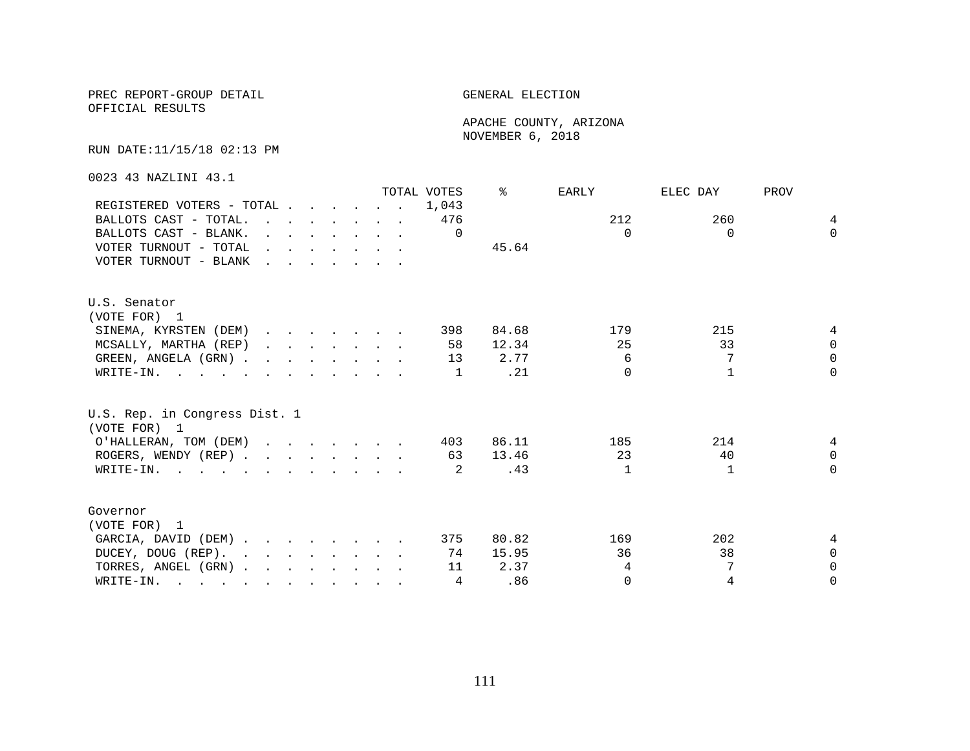OFFICIAL RESULTS

 APACHE COUNTY, ARIZONA NOVEMBER 6, 2018

RUN DATE:11/15/18 02:13 PM

0023 43 NAZLINI 43.1

|                                                                                                       |                                                                                                                                                                                                                                   |  |  |                                                                                             | TOTAL VOTES | ⊱     | EARLY    | ELEC DAY     | PROV     |
|-------------------------------------------------------------------------------------------------------|-----------------------------------------------------------------------------------------------------------------------------------------------------------------------------------------------------------------------------------|--|--|---------------------------------------------------------------------------------------------|-------------|-------|----------|--------------|----------|
| REGISTERED VOTERS - TOTAL                                                                             |                                                                                                                                                                                                                                   |  |  |                                                                                             | 1,043       |       |          |              |          |
| BALLOTS CAST - TOTAL.                                                                                 | $\mathbf{r}$ . The contract of the contract of the contract of the contract of the contract of the contract of the contract of the contract of the contract of the contract of the contract of the contract of the contract of th |  |  |                                                                                             | 476         |       | 212      | 260          | 4        |
| BALLOTS CAST - BLANK.                                                                                 |                                                                                                                                                                                                                                   |  |  | $\mathbf{r} = \mathbf{r} \cdot \mathbf{r}$ , and $\mathbf{r} = \mathbf{r} \cdot \mathbf{r}$ | $\Omega$    |       | $\Omega$ | $\Omega$     | $\Omega$ |
| VOTER TURNOUT - TOTAL                                                                                 | $\mathbf{r}$ . The contract of the contract of the contract of the contract of the contract of the contract of the contract of the contract of the contract of the contract of the contract of the contract of the contract of th |  |  |                                                                                             |             | 45.64 |          |              |          |
| VOTER TURNOUT - BLANK                                                                                 | and the contract of the contract of the contract of the contract of the contract of the contract of the contract of the contract of the contract of the contract of the contract of the contract of the contract of the contra    |  |  |                                                                                             |             |       |          |              |          |
| U.S. Senator                                                                                          |                                                                                                                                                                                                                                   |  |  |                                                                                             |             |       |          |              |          |
| (VOTE FOR) 1                                                                                          |                                                                                                                                                                                                                                   |  |  |                                                                                             |             |       |          |              |          |
| SINEMA, KYRSTEN (DEM)                                                                                 |                                                                                                                                                                                                                                   |  |  |                                                                                             | 398         | 84.68 | 179      | 215          |          |
| MCSALLY, MARTHA (REP)                                                                                 |                                                                                                                                                                                                                                   |  |  | $\mathbf{r}$ , $\mathbf{r}$ , $\mathbf{r}$ , $\mathbf{r}$ , $\mathbf{r}$ , $\mathbf{r}$     | 58          | 12.34 | 25       | 33           | $\Omega$ |
| GREEN, ANGELA (GRN)                                                                                   |                                                                                                                                                                                                                                   |  |  |                                                                                             | 13          | 2.77  | 6        | 7            | $\Omega$ |
| WRITE-IN.                                                                                             |                                                                                                                                                                                                                                   |  |  |                                                                                             | 1           | .21   | $\Omega$ | $\mathbf{1}$ | $\Omega$ |
| U.S. Rep. in Congress Dist. 1<br>(VOTE FOR) 1                                                         |                                                                                                                                                                                                                                   |  |  |                                                                                             |             |       |          |              |          |
| O'HALLERAN, TOM (DEM)                                                                                 |                                                                                                                                                                                                                                   |  |  |                                                                                             | 403         | 86.11 | 185      | 214          | 4        |
| ROGERS, WENDY (REP)                                                                                   |                                                                                                                                                                                                                                   |  |  |                                                                                             | 63          | 13.46 | 23       | 40           | $\Omega$ |
| WRITE-IN.                                                                                             |                                                                                                                                                                                                                                   |  |  |                                                                                             | 2           | .43   |          | 1            | $\Omega$ |
|                                                                                                       |                                                                                                                                                                                                                                   |  |  |                                                                                             |             |       |          |              |          |
| Governor                                                                                              |                                                                                                                                                                                                                                   |  |  |                                                                                             |             |       |          |              |          |
| (VOTE FOR) 1                                                                                          |                                                                                                                                                                                                                                   |  |  |                                                                                             |             |       |          |              |          |
| GARCIA, DAVID (DEM)                                                                                   |                                                                                                                                                                                                                                   |  |  |                                                                                             | 375         | 80.82 | 169      | 202          | 4        |
| DUCEY, DOUG (REP).                                                                                    |                                                                                                                                                                                                                                   |  |  |                                                                                             | 74          | 15.95 | 36       | 38           | $\Omega$ |
| TORRES, ANGEL (GRN)                                                                                   |                                                                                                                                                                                                                                   |  |  |                                                                                             | 11          | 2.37  | 4        | 7            | $\Omega$ |
| WRITE-IN.<br>$\mathbf{r}$ , and $\mathbf{r}$ , and $\mathbf{r}$ , and $\mathbf{r}$ , and $\mathbf{r}$ |                                                                                                                                                                                                                                   |  |  |                                                                                             | 4           | .86   | $\Omega$ | 4            | $\Omega$ |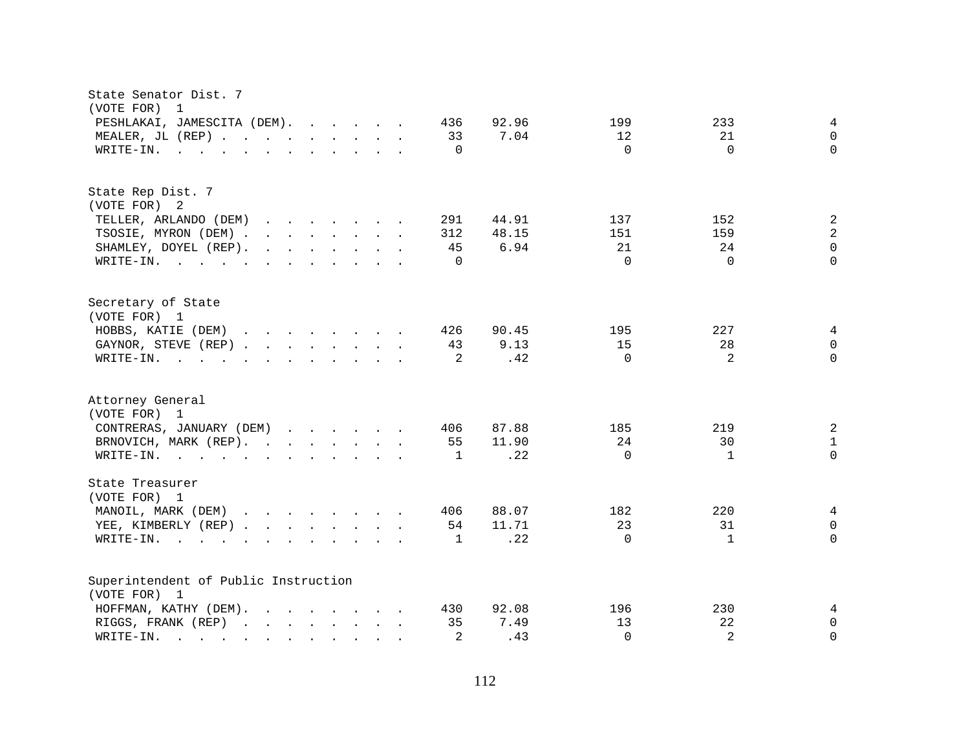| State Senator Dist. 7<br>(VOTE FOR)<br>$\overline{1}$                                                                                                                                                                                                                                          |                                                           |
|------------------------------------------------------------------------------------------------------------------------------------------------------------------------------------------------------------------------------------------------------------------------------------------------|-----------------------------------------------------------|
| PESHLAKAI, JAMESCITA (DEM).<br>436                                                                                                                                                                                                                                                             | 92.96<br>199<br>233<br>4                                  |
| MEALER, JL (REP)<br>33                                                                                                                                                                                                                                                                         | 7.04<br>12<br>21<br>$\Omega$                              |
| $\Omega$<br>WRITE-IN.<br>$\mathbf{r}$ , and $\mathbf{r}$ , and $\mathbf{r}$ , and $\mathbf{r}$ , and $\mathbf{r}$                                                                                                                                                                              | $\Omega$<br>$\Omega$<br>$\Omega$                          |
| State Rep Dist. 7                                                                                                                                                                                                                                                                              |                                                           |
| (VOTE FOR) 2                                                                                                                                                                                                                                                                                   |                                                           |
| TELLER, ARLANDO (DEM)<br>291<br>$\mathbf{r}$ . The set of the set of the set of the set of the set of the set of the set of the set of the set of the set of the set of the set of the set of the set of the set of the set of the set of the set of the set of t                              | 44.91<br>137<br>152<br>2                                  |
| TSOSIE, MYRON (DEM) .<br>312<br>$\mathbf{r}$ , $\mathbf{r}$ , $\mathbf{r}$ , $\mathbf{r}$ , $\mathbf{r}$ , $\mathbf{r}$                                                                                                                                                                        | $\overline{2}$<br>48.15<br>151<br>159                     |
| 45<br>SHAMLEY, DOYEL (REP).<br>$\mathbf{r}$ , $\mathbf{r}$ , $\mathbf{r}$ , $\mathbf{r}$ , $\mathbf{r}$ , $\mathbf{r}$                                                                                                                                                                         | 6.94<br>21<br>$\Omega$<br>24                              |
| WRITE-IN.<br>$\Omega$                                                                                                                                                                                                                                                                          | $\Omega$<br>$\Omega$<br>$\Omega$                          |
| Secretary of State<br>(VOTE FOR) 1                                                                                                                                                                                                                                                             |                                                           |
| HOBBS, KATIE (DEM)<br>$\mathbf{r}$ . The set of the set of the set of the set of the set of the set of the set of the set of the set of the set of the set of the set of the set of the set of the set of the set of the set of the set of the set of t<br>426                                 | 195<br>227<br>90.45<br>4                                  |
| 43<br>GAYNOR, STEVE (REP)                                                                                                                                                                                                                                                                      | 9.13<br>15<br>28<br>$\Omega$                              |
| 2<br>WRITE-IN.<br>$\mathbf{r}$ , and $\mathbf{r}$ , and $\mathbf{r}$ , and $\mathbf{r}$ , and $\mathbf{r}$                                                                                                                                                                                     | $\mathfrak{D}$<br>$\Omega$<br>.42<br>$\Omega$             |
|                                                                                                                                                                                                                                                                                                |                                                           |
| Attorney General                                                                                                                                                                                                                                                                               |                                                           |
| (VOTE FOR) 1                                                                                                                                                                                                                                                                                   |                                                           |
| CONTRERAS, JANUARY (DEM)<br>406                                                                                                                                                                                                                                                                | 87.88<br>185<br>219<br>2                                  |
| BRNOVICH, MARK (REP).<br>55                                                                                                                                                                                                                                                                    | 24<br>30<br>11.90<br>$\mathbf{1}$<br>$\Omega$<br>$\Omega$ |
| WRITE-IN.<br>$\mathbf{1}$                                                                                                                                                                                                                                                                      | .22<br>$\mathbf{1}$                                       |
| State Treasurer<br>(VOTE FOR) 1                                                                                                                                                                                                                                                                |                                                           |
| MANOIL, MARK (DEM)<br>406<br>$\mathbf{r}$ . The set of the set of the set of the set of the set of the set of the set of the set of the set of the set of the set of the set of the set of the set of the set of the set of the set of the set of the set of t                                 | 182<br>220<br>88.07<br>4                                  |
| 54<br>YEE, KIMBERLY (REP)                                                                                                                                                                                                                                                                      | 23<br>11.71<br>31<br>0                                    |
| WRITE-IN.<br>$\mathbf{1}$<br>$\mathbf{r}$ , and $\mathbf{r}$ , and $\mathbf{r}$ , and $\mathbf{r}$ , and $\mathbf{r}$                                                                                                                                                                          | $\Omega$<br>.22<br>$\Omega$<br>1                          |
| Superintendent of Public Instruction                                                                                                                                                                                                                                                           |                                                           |
| (VOTE FOR) 1                                                                                                                                                                                                                                                                                   |                                                           |
| HOFFMAN, KATHY (DEM).<br>$\mathbf{r}$ , $\mathbf{r}$ , $\mathbf{r}$ , $\mathbf{r}$ , $\mathbf{r}$ , $\mathbf{r}$ , $\mathbf{r}$<br>430                                                                                                                                                         | 92.08<br>196<br>230<br>4                                  |
| 35<br>RIGGS, FRANK (REP)                                                                                                                                                                                                                                                                       | 22<br>7.49<br>13<br>0                                     |
| 2<br>WRITE-IN.<br>and the contract of the contract of the contract of the contract of the contract of the contract of the contract of the contract of the contract of the contract of the contract of the contract of the contract of the contra<br>$\mathbf{r} = \mathbf{r} \cdot \mathbf{r}$ | 2<br>.43<br>$\Omega$<br>$\Omega$                          |
|                                                                                                                                                                                                                                                                                                |                                                           |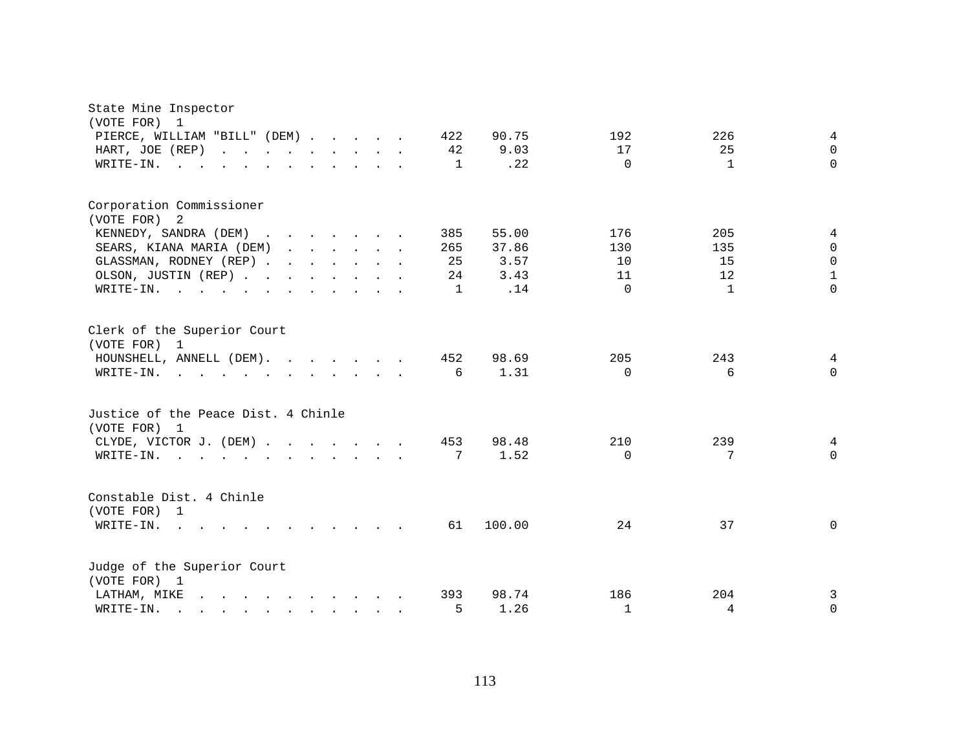| State Mine Inspector<br>(VOTE FOR)<br>1                                                                                                                                                                                                                        |                                      |  |
|----------------------------------------------------------------------------------------------------------------------------------------------------------------------------------------------------------------------------------------------------------------|--------------------------------------|--|
| PIERCE, WILLIAM "BILL" (DEM)<br>422<br>90.75                                                                                                                                                                                                                   | 192<br>226<br>4                      |  |
| 42<br>9.03<br>HART, JOE (REP)                                                                                                                                                                                                                                  | 25<br>17<br>$\Omega$                 |  |
| .22<br>$W\text{RITE-IN.}$ , , , , , , , , , , ,<br>1                                                                                                                                                                                                           | $\Omega$<br>$\mathbf{1}$<br>$\Omega$ |  |
| Corporation Commissioner<br>(VOTE FOR) 2                                                                                                                                                                                                                       |                                      |  |
| 55.00<br>KENNEDY, SANDRA (DEM)<br>385                                                                                                                                                                                                                          | 176<br>205<br>4                      |  |
| SEARS, KIANA MARIA (DEM)<br>37.86<br>265                                                                                                                                                                                                                       | 130<br>135<br>$\Omega$               |  |
| GLASSMAN, RODNEY (REP)<br>25<br>3.57                                                                                                                                                                                                                           | 15<br>$\Omega$<br>10                 |  |
| OLSON, JUSTIN (REP)<br>24<br>3.43                                                                                                                                                                                                                              | $\mathbf{1}$<br>12<br>11             |  |
| .14<br>WRITE-IN.<br>1                                                                                                                                                                                                                                          | $\Omega$<br>$\Omega$<br>$\mathbf{1}$ |  |
| Clerk of the Superior Court<br>(VOTE FOR) 1                                                                                                                                                                                                                    |                                      |  |
| 452<br>98.69<br>HOUNSHELL, ANNELL (DEM).                                                                                                                                                                                                                       | 205<br>243<br>4                      |  |
| 1.31<br>6<br>WRITE-IN.                                                                                                                                                                                                                                         | $\Omega$<br>6<br>$\Omega$            |  |
| Justice of the Peace Dist. 4 Chinle<br>(VOTE FOR) 1                                                                                                                                                                                                            |                                      |  |
| 98.48<br>CLYDE, VICTOR J. (DEM)<br>453                                                                                                                                                                                                                         | 210<br>239<br>4                      |  |
| 1.52<br>7<br>WRITE-IN.<br>$\mathbf{r}$ , and $\mathbf{r}$ , and $\mathbf{r}$ , and $\mathbf{r}$ , and $\mathbf{r}$                                                                                                                                             | $\Omega$<br>7<br>$\Omega$            |  |
| Constable Dist. 4 Chinle<br>(VOTE FOR) 1                                                                                                                                                                                                                       |                                      |  |
| 100.00<br>WRITE-IN.<br>61<br>$\mathbf{r}$ . The contract of the contract of the contract of the contract of the contract of the contract of the contract of the contract of the contract of the contract of the contract of the contract of the contract of th | 24<br>37<br>0                        |  |
| Judge of the Superior Court<br>(VOTE FOR) 1                                                                                                                                                                                                                    |                                      |  |
| LATHAM, MIKE<br>393<br>98.74                                                                                                                                                                                                                                   | 186<br>204<br>3                      |  |
| 5<br>1.26<br>WRITE-IN.<br>$\mathbf{r}$ , and $\mathbf{r}$ , and $\mathbf{r}$ , and $\mathbf{r}$ , and $\mathbf{r}$                                                                                                                                             | $\mathbf{1}$<br>$\Omega$<br>4        |  |
|                                                                                                                                                                                                                                                                |                                      |  |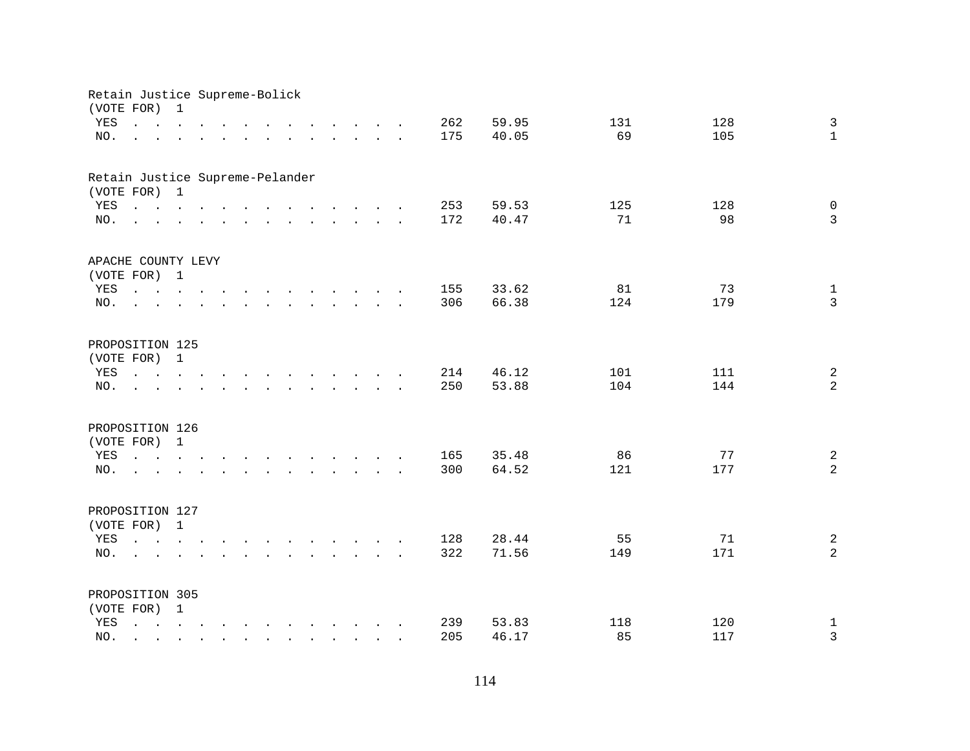| Retain Justice Supreme-Bolick<br>(VOTE FOR) |                                                                                                                                                                               | $\mathbf 1$                                                                                                                           |               |                                                                                                                                       |  |                                                                                                                                                                                                                                   |        |                                                                          |  |     |       |     |     |                |
|---------------------------------------------|-------------------------------------------------------------------------------------------------------------------------------------------------------------------------------|---------------------------------------------------------------------------------------------------------------------------------------|---------------|---------------------------------------------------------------------------------------------------------------------------------------|--|-----------------------------------------------------------------------------------------------------------------------------------------------------------------------------------------------------------------------------------|--------|--------------------------------------------------------------------------|--|-----|-------|-----|-----|----------------|
| YES                                         | $\mathbf{r}$ , $\mathbf{r}$ , $\mathbf{r}$ , $\mathbf{r}$ , $\mathbf{r}$                                                                                                      |                                                                                                                                       |               |                                                                                                                                       |  |                                                                                                                                                                                                                                   |        | $\mathbf{r}$ , $\mathbf{r}$ , $\mathbf{r}$ , $\mathbf{r}$ , $\mathbf{r}$ |  | 262 | 59.95 | 131 | 128 | $\mathfrak{Z}$ |
| NO.                                         |                                                                                                                                                                               |                                                                                                                                       |               | $\mathbf{r} = \mathbf{r} - \mathbf{r}$ , $\mathbf{r} = \mathbf{r} - \mathbf{r}$ , $\mathbf{r} = \mathbf{r} - \mathbf{r} - \mathbf{r}$ |  |                                                                                                                                                                                                                                   |        |                                                                          |  | 175 | 40.05 | 69  | 105 | $\mathbf{1}$   |
|                                             |                                                                                                                                                                               |                                                                                                                                       |               |                                                                                                                                       |  |                                                                                                                                                                                                                                   |        |                                                                          |  |     |       |     |     |                |
| Retain Justice Supreme-Pelander             |                                                                                                                                                                               |                                                                                                                                       |               |                                                                                                                                       |  |                                                                                                                                                                                                                                   |        |                                                                          |  |     |       |     |     |                |
| (VOTE FOR) 1                                |                                                                                                                                                                               |                                                                                                                                       |               |                                                                                                                                       |  |                                                                                                                                                                                                                                   |        |                                                                          |  |     |       |     |     |                |
| YES                                         | $\mathbf{r}$ , $\mathbf{r}$ , $\mathbf{r}$ , $\mathbf{r}$ , $\mathbf{r}$ , $\mathbf{r}$ , $\mathbf{r}$ , $\mathbf{r}$ , $\mathbf{r}$ , $\mathbf{r}$                           |                                                                                                                                       |               |                                                                                                                                       |  |                                                                                                                                                                                                                                   |        |                                                                          |  | 253 | 59.53 | 125 | 128 | $\mathsf{O}$   |
| NO.                                         | $\mathbf{r}$ , and $\mathbf{r}$ , and $\mathbf{r}$ , and $\mathbf{r}$ , and $\mathbf{r}$ , and $\mathbf{r}$                                                                   |                                                                                                                                       |               |                                                                                                                                       |  |                                                                                                                                                                                                                                   |        |                                                                          |  | 172 | 40.47 | 71  | 98  | $\mathbf{3}$   |
| APACHE COUNTY LEVY                          |                                                                                                                                                                               |                                                                                                                                       |               |                                                                                                                                       |  |                                                                                                                                                                                                                                   |        |                                                                          |  |     |       |     |     |                |
| (VOTE FOR) 1                                |                                                                                                                                                                               |                                                                                                                                       |               |                                                                                                                                       |  |                                                                                                                                                                                                                                   |        |                                                                          |  |     |       |     |     |                |
| YES                                         |                                                                                                                                                                               |                                                                                                                                       |               |                                                                                                                                       |  |                                                                                                                                                                                                                                   |        |                                                                          |  | 155 | 33.62 | 81  | 73  | $\mathbf{1}$   |
| NO.                                         | $\sim$                                                                                                                                                                        |                                                                                                                                       |               | $\sim 10^7$                                                                                                                           |  | $\mathbf{r}$ . The set of the set of the set of the set of the set of the set of the set of the set of the set of the set of the set of the set of the set of the set of the set of the set of the set of the set of the set of t |        |                                                                          |  | 306 | 66.38 | 124 | 179 | $\mathbf{3}$   |
|                                             |                                                                                                                                                                               |                                                                                                                                       |               |                                                                                                                                       |  |                                                                                                                                                                                                                                   |        |                                                                          |  |     |       |     |     |                |
| PROPOSITION 125                             |                                                                                                                                                                               |                                                                                                                                       |               |                                                                                                                                       |  |                                                                                                                                                                                                                                   |        |                                                                          |  |     |       |     |     |                |
| (VOTE FOR)                                  |                                                                                                                                                                               | 1                                                                                                                                     |               |                                                                                                                                       |  |                                                                                                                                                                                                                                   |        |                                                                          |  |     |       |     |     |                |
| YES                                         | $\mathbf{L} = \mathbf{L} \mathbf{L} + \mathbf{L} \mathbf{L}$                                                                                                                  |                                                                                                                                       | $\sim$ $\sim$ |                                                                                                                                       |  | $\mathbf{r}$ , and $\mathbf{r}$ , and $\mathbf{r}$ , and $\mathbf{r}$                                                                                                                                                             |        |                                                                          |  | 214 | 46.12 | 101 | 111 | $\overline{a}$ |
| NO.                                         |                                                                                                                                                                               |                                                                                                                                       |               |                                                                                                                                       |  |                                                                                                                                                                                                                                   | $\sim$ |                                                                          |  | 250 | 53.88 | 104 | 144 | $\overline{a}$ |
| PROPOSITION 126                             |                                                                                                                                                                               |                                                                                                                                       |               |                                                                                                                                       |  |                                                                                                                                                                                                                                   |        |                                                                          |  |     |       |     |     |                |
| (VOTE FOR)                                  |                                                                                                                                                                               | $\mathbf{1}$                                                                                                                          |               |                                                                                                                                       |  |                                                                                                                                                                                                                                   |        |                                                                          |  |     |       |     |     |                |
| YES                                         | $\mathbf{r} = \mathbf{r} - \mathbf{r}$ , and $\mathbf{r} = \mathbf{r} - \mathbf{r}$ , and $\mathbf{r} = \mathbf{r} - \mathbf{r}$ , and $\mathbf{r} = \mathbf{r} - \mathbf{r}$ |                                                                                                                                       |               |                                                                                                                                       |  |                                                                                                                                                                                                                                   |        |                                                                          |  | 165 | 35.48 | 86  | 77  | $\overline{a}$ |
| NO.                                         | <b>Contract Contract Contract</b>                                                                                                                                             |                                                                                                                                       |               | $\mathbf{r}$ , $\mathbf{r}$ , $\mathbf{r}$ , $\mathbf{r}$ , $\mathbf{r}$ , $\mathbf{r}$ , $\mathbf{r}$ , $\mathbf{r}$                 |  |                                                                                                                                                                                                                                   |        |                                                                          |  | 300 | 64.52 | 121 | 177 | $\overline{a}$ |
|                                             |                                                                                                                                                                               |                                                                                                                                       |               |                                                                                                                                       |  |                                                                                                                                                                                                                                   |        |                                                                          |  |     |       |     |     |                |
| PROPOSITION 127                             |                                                                                                                                                                               |                                                                                                                                       |               |                                                                                                                                       |  |                                                                                                                                                                                                                                   |        |                                                                          |  |     |       |     |     |                |
| (VOTE FOR) 1                                |                                                                                                                                                                               |                                                                                                                                       |               |                                                                                                                                       |  |                                                                                                                                                                                                                                   |        |                                                                          |  |     |       |     |     |                |
| YES                                         |                                                                                                                                                                               |                                                                                                                                       |               |                                                                                                                                       |  |                                                                                                                                                                                                                                   |        |                                                                          |  | 128 | 28.44 | 55  | 71  | $\sqrt{2}$     |
| NO.                                         |                                                                                                                                                                               |                                                                                                                                       |               | $\mathbf{r} = \mathbf{r} - \mathbf{r}$ , $\mathbf{r} = \mathbf{r} - \mathbf{r}$ , $\mathbf{r} = \mathbf{r} - \mathbf{r} - \mathbf{r}$ |  |                                                                                                                                                                                                                                   |        |                                                                          |  | 322 | 71.56 | 149 | 171 | $\overline{a}$ |
| PROPOSITION 305                             |                                                                                                                                                                               |                                                                                                                                       |               |                                                                                                                                       |  |                                                                                                                                                                                                                                   |        |                                                                          |  |     |       |     |     |                |
| (VOTE FOR) 1                                |                                                                                                                                                                               |                                                                                                                                       |               |                                                                                                                                       |  |                                                                                                                                                                                                                                   |        |                                                                          |  |     |       |     |     |                |
| YES                                         | $\mathbf{L}$                                                                                                                                                                  | $\mathbf{r} = \mathbf{r} - \mathbf{r}$ , $\mathbf{r} = \mathbf{r} - \mathbf{r}$ , $\mathbf{r} = \mathbf{r} - \mathbf{r} - \mathbf{r}$ |               |                                                                                                                                       |  |                                                                                                                                                                                                                                   |        |                                                                          |  | 239 | 53.83 | 118 | 120 | $\mathbf 1$    |
| NO.                                         |                                                                                                                                                                               |                                                                                                                                       |               |                                                                                                                                       |  |                                                                                                                                                                                                                                   |        |                                                                          |  | 205 | 46.17 | 85  | 117 | 3              |
|                                             |                                                                                                                                                                               |                                                                                                                                       |               |                                                                                                                                       |  | $\mathbf{r} = \mathbf{r} \cdot \mathbf{r}$ and $\mathbf{r} = \mathbf{r} \cdot \mathbf{r}$                                                                                                                                         |        |                                                                          |  |     |       |     |     |                |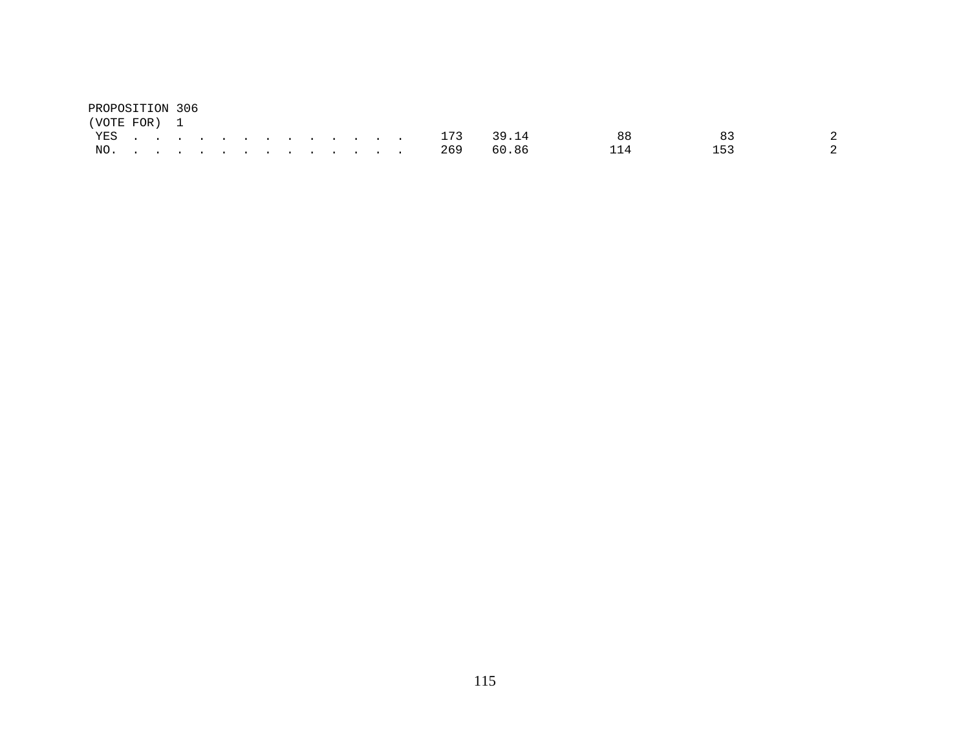| PROPOSITION 306 |  |  |  |  |  |  |               |       |     |               |
|-----------------|--|--|--|--|--|--|---------------|-------|-----|---------------|
| (VOTE FOR) 1    |  |  |  |  |  |  |               |       |     |               |
|                 |  |  |  |  |  |  | YES 173 39.14 |       |     | $\mathcal{D}$ |
|                 |  |  |  |  |  |  | NO. 269       | 60.86 | 153 |               |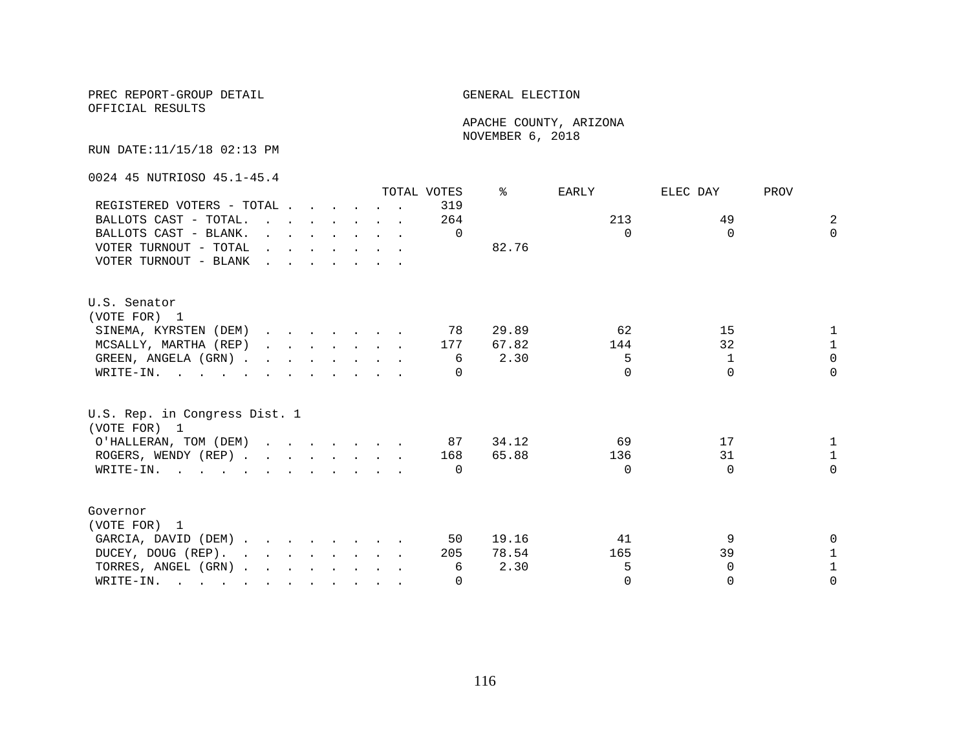PREC REPORT-GROUP DETAIL **ELECTION** 

OFFICIAL RESULTS

 APACHE COUNTY, ARIZONA NOVEMBER 6, 2018

RUN DATE:11/15/18 02:13 PM

0024 45 NUTRIOSO 45.1-45.4

|                                                                                                                              |                                                                       |  |  |                                                                                             | TOTAL VOTES | °     | EARLY    | ELEC DAY | PROV              |
|------------------------------------------------------------------------------------------------------------------------------|-----------------------------------------------------------------------|--|--|---------------------------------------------------------------------------------------------|-------------|-------|----------|----------|-------------------|
| REGISTERED VOTERS - TOTAL                                                                                                    |                                                                       |  |  |                                                                                             | 319         |       |          |          |                   |
| BALLOTS CAST - TOTAL                                                                                                         |                                                                       |  |  |                                                                                             | 264         |       | 213      | 49       | 2                 |
| BALLOTS CAST - BLANK.                                                                                                        |                                                                       |  |  | $\mathbf{r} = \mathbf{r} \cdot \mathbf{r}$ , and $\mathbf{r} = \mathbf{r} \cdot \mathbf{r}$ | $\Omega$    |       | $\Omega$ | $\Omega$ | $\Omega$          |
| VOTER TURNOUT - TOTAL                                                                                                        | $\mathbf{r}$ , and $\mathbf{r}$ , and $\mathbf{r}$ , and $\mathbf{r}$ |  |  |                                                                                             |             | 82.76 |          |          |                   |
| VOTER TURNOUT - BLANK                                                                                                        |                                                                       |  |  |                                                                                             |             |       |          |          |                   |
| U.S. Senator                                                                                                                 |                                                                       |  |  |                                                                                             |             |       |          |          |                   |
| (VOTE FOR) 1                                                                                                                 |                                                                       |  |  |                                                                                             |             |       |          |          |                   |
| SINEMA, KYRSTEN (DEM)                                                                                                        |                                                                       |  |  |                                                                                             | 78          | 29.89 | 62       | 15       |                   |
| MCSALLY, MARTHA (REP)                                                                                                        |                                                                       |  |  |                                                                                             | 177         | 67.82 | 144      | 32       | $\mathbf{1}$      |
| GREEN, ANGELA (GRN)                                                                                                          |                                                                       |  |  |                                                                                             | 6           | 2.30  | 5        | 1        | $\Omega$          |
| WRITE-IN.                                                                                                                    |                                                                       |  |  |                                                                                             | $\Omega$    |       | $\Omega$ | $\Omega$ | $\Omega$          |
| U.S. Rep. in Congress Dist. 1<br>(VOTE FOR) 1                                                                                |                                                                       |  |  |                                                                                             |             |       |          |          |                   |
|                                                                                                                              |                                                                       |  |  |                                                                                             | 87          | 34.12 | 69       | 17       |                   |
| O'HALLERAN, TOM (DEM)                                                                                                        |                                                                       |  |  |                                                                                             |             |       |          | 31       | 1<br>$\mathbf{1}$ |
| ROGERS, WENDY (REP)                                                                                                          |                                                                       |  |  |                                                                                             | 168         | 65.88 | 136      |          | $\Omega$          |
| WRITE-IN.                                                                                                                    |                                                                       |  |  |                                                                                             | $\Omega$    |       | $\Omega$ | $\Omega$ |                   |
| Governor                                                                                                                     |                                                                       |  |  |                                                                                             |             |       |          |          |                   |
| (VOTE FOR) 1                                                                                                                 |                                                                       |  |  |                                                                                             |             |       |          |          |                   |
| GARCIA, DAVID (DEM)                                                                                                          |                                                                       |  |  |                                                                                             | 50          | 19.16 | 41       | 9        | 0                 |
| DUCEY, DOUG (REP).                                                                                                           |                                                                       |  |  |                                                                                             | 205         | 78.54 | 165      | 39       | 1                 |
| TORRES, ANGEL (GRN)                                                                                                          |                                                                       |  |  |                                                                                             | 6           | 2.30  | 5        | $\Omega$ | 1                 |
| WRITE-IN.<br>the contract of the contract of the contract of the contract of the contract of the contract of the contract of |                                                                       |  |  |                                                                                             | $\Omega$    |       | $\Omega$ | $\Omega$ | 0                 |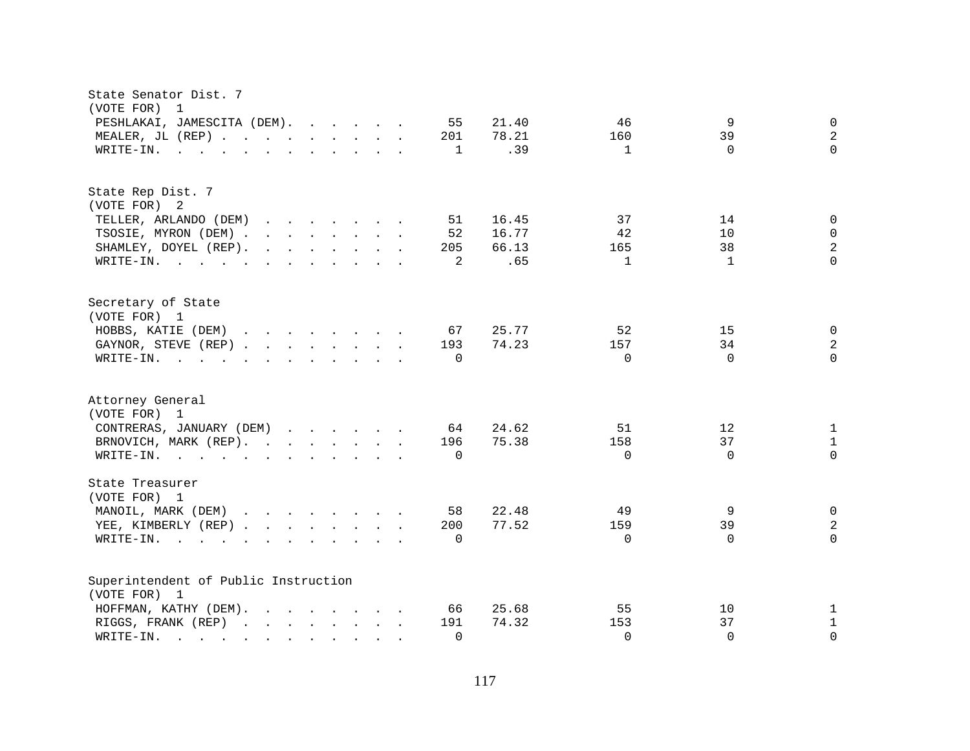| PESHLAKAI, JAMESCITA (DEM).<br>55<br>21.40<br>46<br>9<br>$\mathbf 0$<br>$\overline{a}$<br>78.21<br>39<br>MEALER, JL (REP)<br>201<br>160<br>.39<br>$\Omega$<br>1<br>$\mathbf{1}$<br>$\Omega$<br>WRITE-IN.<br>$\mathbf{r}$ , and $\mathbf{r}$ , and $\mathbf{r}$ , and $\mathbf{r}$ , and $\mathbf{r}$<br>State Rep Dist. 7<br>(VOTE FOR) 2<br>TELLER, ARLANDO (DEM)<br>16.45<br>37<br>14<br>51<br>0<br>$\mathbf{r}$ , $\mathbf{r}$ , $\mathbf{r}$ , $\mathbf{r}$ , $\mathbf{r}$ , $\mathbf{r}$<br>TSOSIE, MYRON (DEM)<br>52<br>16.77<br>42<br>10<br>$\Omega$<br>$\overline{2}$<br>$\mathbf{r}$ . The contract of the contract of the contract of the contract of the contract of the contract of the contract of the contract of the contract of the contract of the contract of the contract of the contract of th<br>66.13<br>38<br>SHAMLEY, DOYEL (REP).<br>205<br>165<br>.65<br>$\Omega$<br>2<br>$\mathbf{1}$<br>$\mathbf{1}$<br>WRITE-IN.<br>Secretary of State<br>(VOTE FOR) 1<br>HOBBS, KATIE (DEM)<br>25.77<br>52<br>15<br>67<br>0<br>34<br>2<br>GAYNOR, STEVE (REP)<br>193<br>74.23<br>157<br>$\Omega$<br>$\Omega$<br>$\Omega$<br>$\Omega$<br>WRITE-IN.<br>$\mathbf{r}$ , and $\mathbf{r}$ , and $\mathbf{r}$ , and $\mathbf{r}$ , and $\mathbf{r}$<br>Attorney General<br>(VOTE FOR) 1<br>CONTRERAS, JANUARY (DEM)<br>24.62<br>64<br>51<br>12<br>$\mathbf 1$<br>75.38<br>37<br>BRNOVICH, MARK (REP).<br>158<br>$\mathbf{1}$<br>196<br>$\Omega$<br>$\Omega$<br>$\Omega$<br>WRITE-IN.<br>$\Omega$<br><u>no provincialmente de la característica de la característica de la característica de la característica de la c</u><br>State Treasurer<br>(VOTE FOR) 1<br>MANOIL, MARK (DEM)<br>22.48<br>49<br>9<br>58<br>$\mathbf 0$<br>77.52<br>39<br>2<br>YEE, KIMBERLY (REP)<br>200<br>159<br>$\Omega$<br>$W\text{RITE}-\text{IN}.$<br>$\Omega$<br>$\Omega$<br>$\Omega$<br>Superintendent of Public Instruction<br>(VOTE FOR) 1<br>25.68<br>55<br>HOFFMAN, KATHY (DEM).<br>$\mathbf{r}$ , $\mathbf{r}$ , $\mathbf{r}$ , $\mathbf{r}$ , $\mathbf{r}$ , $\mathbf{r}$<br>66<br>10<br>1<br>74.32<br>153<br>37<br>$\mathbf{1}$<br>RIGGS, FRANK (REP)<br>191<br>$\Omega$<br>$\Omega$<br>$\Omega$<br>WRITE-IN.<br>$\Omega$<br>$\mathbf{r}$ . The set of $\mathbf{r}$ | State Senator Dist. 7<br>(VOTE FOR)<br>$\overline{1}$ |  |
|-----------------------------------------------------------------------------------------------------------------------------------------------------------------------------------------------------------------------------------------------------------------------------------------------------------------------------------------------------------------------------------------------------------------------------------------------------------------------------------------------------------------------------------------------------------------------------------------------------------------------------------------------------------------------------------------------------------------------------------------------------------------------------------------------------------------------------------------------------------------------------------------------------------------------------------------------------------------------------------------------------------------------------------------------------------------------------------------------------------------------------------------------------------------------------------------------------------------------------------------------------------------------------------------------------------------------------------------------------------------------------------------------------------------------------------------------------------------------------------------------------------------------------------------------------------------------------------------------------------------------------------------------------------------------------------------------------------------------------------------------------------------------------------------------------------------------------------------------------------------------------------------------------------------------------------------------------------------------------------------------------------------------------------------------------------------------------------------------------------------------------------------------------------------------------------------------------------------------------------------------------------------|-------------------------------------------------------|--|
|                                                                                                                                                                                                                                                                                                                                                                                                                                                                                                                                                                                                                                                                                                                                                                                                                                                                                                                                                                                                                                                                                                                                                                                                                                                                                                                                                                                                                                                                                                                                                                                                                                                                                                                                                                                                                                                                                                                                                                                                                                                                                                                                                                                                                                                                 |                                                       |  |
|                                                                                                                                                                                                                                                                                                                                                                                                                                                                                                                                                                                                                                                                                                                                                                                                                                                                                                                                                                                                                                                                                                                                                                                                                                                                                                                                                                                                                                                                                                                                                                                                                                                                                                                                                                                                                                                                                                                                                                                                                                                                                                                                                                                                                                                                 |                                                       |  |
|                                                                                                                                                                                                                                                                                                                                                                                                                                                                                                                                                                                                                                                                                                                                                                                                                                                                                                                                                                                                                                                                                                                                                                                                                                                                                                                                                                                                                                                                                                                                                                                                                                                                                                                                                                                                                                                                                                                                                                                                                                                                                                                                                                                                                                                                 |                                                       |  |
|                                                                                                                                                                                                                                                                                                                                                                                                                                                                                                                                                                                                                                                                                                                                                                                                                                                                                                                                                                                                                                                                                                                                                                                                                                                                                                                                                                                                                                                                                                                                                                                                                                                                                                                                                                                                                                                                                                                                                                                                                                                                                                                                                                                                                                                                 |                                                       |  |
|                                                                                                                                                                                                                                                                                                                                                                                                                                                                                                                                                                                                                                                                                                                                                                                                                                                                                                                                                                                                                                                                                                                                                                                                                                                                                                                                                                                                                                                                                                                                                                                                                                                                                                                                                                                                                                                                                                                                                                                                                                                                                                                                                                                                                                                                 |                                                       |  |
|                                                                                                                                                                                                                                                                                                                                                                                                                                                                                                                                                                                                                                                                                                                                                                                                                                                                                                                                                                                                                                                                                                                                                                                                                                                                                                                                                                                                                                                                                                                                                                                                                                                                                                                                                                                                                                                                                                                                                                                                                                                                                                                                                                                                                                                                 |                                                       |  |
|                                                                                                                                                                                                                                                                                                                                                                                                                                                                                                                                                                                                                                                                                                                                                                                                                                                                                                                                                                                                                                                                                                                                                                                                                                                                                                                                                                                                                                                                                                                                                                                                                                                                                                                                                                                                                                                                                                                                                                                                                                                                                                                                                                                                                                                                 |                                                       |  |
|                                                                                                                                                                                                                                                                                                                                                                                                                                                                                                                                                                                                                                                                                                                                                                                                                                                                                                                                                                                                                                                                                                                                                                                                                                                                                                                                                                                                                                                                                                                                                                                                                                                                                                                                                                                                                                                                                                                                                                                                                                                                                                                                                                                                                                                                 |                                                       |  |
|                                                                                                                                                                                                                                                                                                                                                                                                                                                                                                                                                                                                                                                                                                                                                                                                                                                                                                                                                                                                                                                                                                                                                                                                                                                                                                                                                                                                                                                                                                                                                                                                                                                                                                                                                                                                                                                                                                                                                                                                                                                                                                                                                                                                                                                                 |                                                       |  |
|                                                                                                                                                                                                                                                                                                                                                                                                                                                                                                                                                                                                                                                                                                                                                                                                                                                                                                                                                                                                                                                                                                                                                                                                                                                                                                                                                                                                                                                                                                                                                                                                                                                                                                                                                                                                                                                                                                                                                                                                                                                                                                                                                                                                                                                                 |                                                       |  |
|                                                                                                                                                                                                                                                                                                                                                                                                                                                                                                                                                                                                                                                                                                                                                                                                                                                                                                                                                                                                                                                                                                                                                                                                                                                                                                                                                                                                                                                                                                                                                                                                                                                                                                                                                                                                                                                                                                                                                                                                                                                                                                                                                                                                                                                                 |                                                       |  |
|                                                                                                                                                                                                                                                                                                                                                                                                                                                                                                                                                                                                                                                                                                                                                                                                                                                                                                                                                                                                                                                                                                                                                                                                                                                                                                                                                                                                                                                                                                                                                                                                                                                                                                                                                                                                                                                                                                                                                                                                                                                                                                                                                                                                                                                                 |                                                       |  |
|                                                                                                                                                                                                                                                                                                                                                                                                                                                                                                                                                                                                                                                                                                                                                                                                                                                                                                                                                                                                                                                                                                                                                                                                                                                                                                                                                                                                                                                                                                                                                                                                                                                                                                                                                                                                                                                                                                                                                                                                                                                                                                                                                                                                                                                                 |                                                       |  |
|                                                                                                                                                                                                                                                                                                                                                                                                                                                                                                                                                                                                                                                                                                                                                                                                                                                                                                                                                                                                                                                                                                                                                                                                                                                                                                                                                                                                                                                                                                                                                                                                                                                                                                                                                                                                                                                                                                                                                                                                                                                                                                                                                                                                                                                                 |                                                       |  |
|                                                                                                                                                                                                                                                                                                                                                                                                                                                                                                                                                                                                                                                                                                                                                                                                                                                                                                                                                                                                                                                                                                                                                                                                                                                                                                                                                                                                                                                                                                                                                                                                                                                                                                                                                                                                                                                                                                                                                                                                                                                                                                                                                                                                                                                                 |                                                       |  |
|                                                                                                                                                                                                                                                                                                                                                                                                                                                                                                                                                                                                                                                                                                                                                                                                                                                                                                                                                                                                                                                                                                                                                                                                                                                                                                                                                                                                                                                                                                                                                                                                                                                                                                                                                                                                                                                                                                                                                                                                                                                                                                                                                                                                                                                                 |                                                       |  |
|                                                                                                                                                                                                                                                                                                                                                                                                                                                                                                                                                                                                                                                                                                                                                                                                                                                                                                                                                                                                                                                                                                                                                                                                                                                                                                                                                                                                                                                                                                                                                                                                                                                                                                                                                                                                                                                                                                                                                                                                                                                                                                                                                                                                                                                                 |                                                       |  |
|                                                                                                                                                                                                                                                                                                                                                                                                                                                                                                                                                                                                                                                                                                                                                                                                                                                                                                                                                                                                                                                                                                                                                                                                                                                                                                                                                                                                                                                                                                                                                                                                                                                                                                                                                                                                                                                                                                                                                                                                                                                                                                                                                                                                                                                                 |                                                       |  |
|                                                                                                                                                                                                                                                                                                                                                                                                                                                                                                                                                                                                                                                                                                                                                                                                                                                                                                                                                                                                                                                                                                                                                                                                                                                                                                                                                                                                                                                                                                                                                                                                                                                                                                                                                                                                                                                                                                                                                                                                                                                                                                                                                                                                                                                                 |                                                       |  |
|                                                                                                                                                                                                                                                                                                                                                                                                                                                                                                                                                                                                                                                                                                                                                                                                                                                                                                                                                                                                                                                                                                                                                                                                                                                                                                                                                                                                                                                                                                                                                                                                                                                                                                                                                                                                                                                                                                                                                                                                                                                                                                                                                                                                                                                                 |                                                       |  |
|                                                                                                                                                                                                                                                                                                                                                                                                                                                                                                                                                                                                                                                                                                                                                                                                                                                                                                                                                                                                                                                                                                                                                                                                                                                                                                                                                                                                                                                                                                                                                                                                                                                                                                                                                                                                                                                                                                                                                                                                                                                                                                                                                                                                                                                                 |                                                       |  |
|                                                                                                                                                                                                                                                                                                                                                                                                                                                                                                                                                                                                                                                                                                                                                                                                                                                                                                                                                                                                                                                                                                                                                                                                                                                                                                                                                                                                                                                                                                                                                                                                                                                                                                                                                                                                                                                                                                                                                                                                                                                                                                                                                                                                                                                                 |                                                       |  |
|                                                                                                                                                                                                                                                                                                                                                                                                                                                                                                                                                                                                                                                                                                                                                                                                                                                                                                                                                                                                                                                                                                                                                                                                                                                                                                                                                                                                                                                                                                                                                                                                                                                                                                                                                                                                                                                                                                                                                                                                                                                                                                                                                                                                                                                                 |                                                       |  |
|                                                                                                                                                                                                                                                                                                                                                                                                                                                                                                                                                                                                                                                                                                                                                                                                                                                                                                                                                                                                                                                                                                                                                                                                                                                                                                                                                                                                                                                                                                                                                                                                                                                                                                                                                                                                                                                                                                                                                                                                                                                                                                                                                                                                                                                                 |                                                       |  |
|                                                                                                                                                                                                                                                                                                                                                                                                                                                                                                                                                                                                                                                                                                                                                                                                                                                                                                                                                                                                                                                                                                                                                                                                                                                                                                                                                                                                                                                                                                                                                                                                                                                                                                                                                                                                                                                                                                                                                                                                                                                                                                                                                                                                                                                                 |                                                       |  |
|                                                                                                                                                                                                                                                                                                                                                                                                                                                                                                                                                                                                                                                                                                                                                                                                                                                                                                                                                                                                                                                                                                                                                                                                                                                                                                                                                                                                                                                                                                                                                                                                                                                                                                                                                                                                                                                                                                                                                                                                                                                                                                                                                                                                                                                                 |                                                       |  |
|                                                                                                                                                                                                                                                                                                                                                                                                                                                                                                                                                                                                                                                                                                                                                                                                                                                                                                                                                                                                                                                                                                                                                                                                                                                                                                                                                                                                                                                                                                                                                                                                                                                                                                                                                                                                                                                                                                                                                                                                                                                                                                                                                                                                                                                                 |                                                       |  |
|                                                                                                                                                                                                                                                                                                                                                                                                                                                                                                                                                                                                                                                                                                                                                                                                                                                                                                                                                                                                                                                                                                                                                                                                                                                                                                                                                                                                                                                                                                                                                                                                                                                                                                                                                                                                                                                                                                                                                                                                                                                                                                                                                                                                                                                                 |                                                       |  |
|                                                                                                                                                                                                                                                                                                                                                                                                                                                                                                                                                                                                                                                                                                                                                                                                                                                                                                                                                                                                                                                                                                                                                                                                                                                                                                                                                                                                                                                                                                                                                                                                                                                                                                                                                                                                                                                                                                                                                                                                                                                                                                                                                                                                                                                                 |                                                       |  |
|                                                                                                                                                                                                                                                                                                                                                                                                                                                                                                                                                                                                                                                                                                                                                                                                                                                                                                                                                                                                                                                                                                                                                                                                                                                                                                                                                                                                                                                                                                                                                                                                                                                                                                                                                                                                                                                                                                                                                                                                                                                                                                                                                                                                                                                                 |                                                       |  |
|                                                                                                                                                                                                                                                                                                                                                                                                                                                                                                                                                                                                                                                                                                                                                                                                                                                                                                                                                                                                                                                                                                                                                                                                                                                                                                                                                                                                                                                                                                                                                                                                                                                                                                                                                                                                                                                                                                                                                                                                                                                                                                                                                                                                                                                                 |                                                       |  |
|                                                                                                                                                                                                                                                                                                                                                                                                                                                                                                                                                                                                                                                                                                                                                                                                                                                                                                                                                                                                                                                                                                                                                                                                                                                                                                                                                                                                                                                                                                                                                                                                                                                                                                                                                                                                                                                                                                                                                                                                                                                                                                                                                                                                                                                                 |                                                       |  |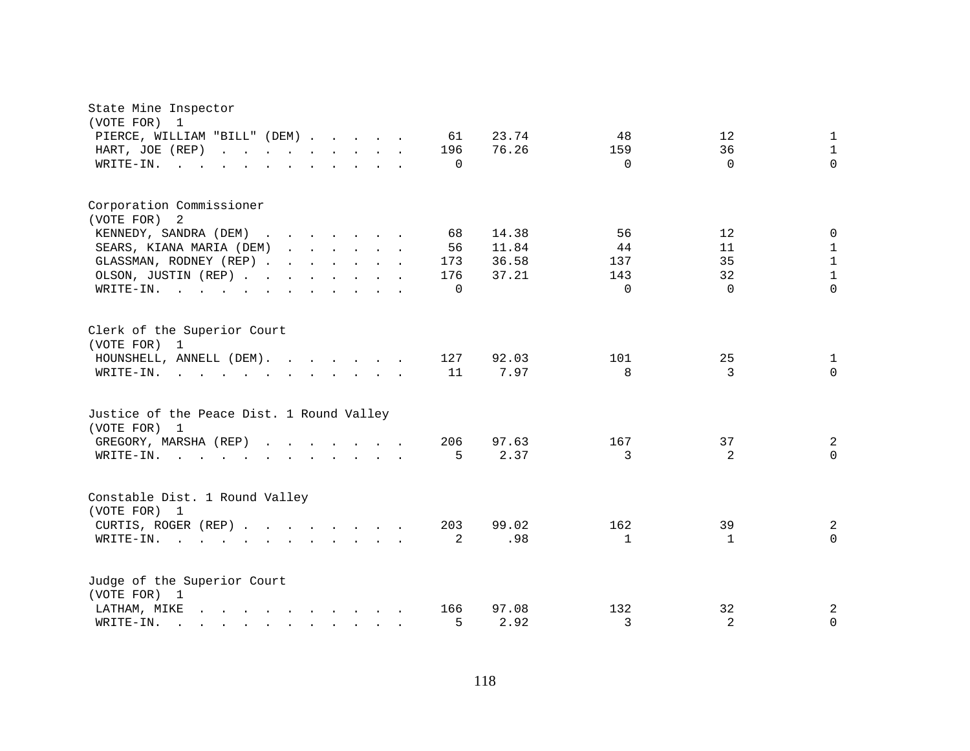| State Mine Inspector<br>(VOTE FOR)<br>1                                                                                                                                                                                                                                                                                       |                     |              |              |
|-------------------------------------------------------------------------------------------------------------------------------------------------------------------------------------------------------------------------------------------------------------------------------------------------------------------------------|---------------------|--------------|--------------|
| PIERCE, WILLIAM "BILL" (DEM)<br>61                                                                                                                                                                                                                                                                                            | 23.74<br>48         | 12           | 1            |
| HART, JOE (REP)<br>196<br>and the contract of the contract of<br>$\mathbf{L} = \mathbf{L}$                                                                                                                                                                                                                                    | 76.26<br>159        | 36           | $\mathbf{1}$ |
| WRITE-IN.<br>$\Omega$<br>$\sim$ $\sim$                                                                                                                                                                                                                                                                                        | $\Omega$            | $\Omega$     | $\Omega$     |
| Corporation Commissioner                                                                                                                                                                                                                                                                                                      |                     |              |              |
| (VOTE FOR) 2                                                                                                                                                                                                                                                                                                                  |                     |              |              |
| KENNEDY, SANDRA (DEM)<br>68<br><u>in the second contract of the second second</u><br>$\sim$                                                                                                                                                                                                                                   | 14.38<br>56         | 12           | $\mathbf 0$  |
| 56<br>SEARS, KIANA MARIA (DEM)<br><u>in the second contract of the second second</u>                                                                                                                                                                                                                                          | 11.84<br>44         | 11           | $\mathbf{1}$ |
| GLASSMAN, RODNEY (REP)<br>173                                                                                                                                                                                                                                                                                                 | 36.58<br>137        | 35           | $\mathbf 1$  |
| OLSON, JUSTIN (REP)<br>176                                                                                                                                                                                                                                                                                                    | 37.21<br>143        | 32           | $\mathbf 1$  |
| WRITE-IN.<br>$\Omega$<br>$\sim$ $\sim$<br>$\mathbf{r}$ . The set of the set of the set of the set of the set of the set of the set of the set of the set of the set of the set of the set of the set of the set of the set of the set of the set of the set of the set of t<br>$\mathcal{L}^{\text{max}}$<br>$\sim$<br>$\sim$ | $\Omega$            | $\Omega$     | $\Omega$     |
| Clerk of the Superior Court<br>(VOTE FOR) 1                                                                                                                                                                                                                                                                                   |                     |              |              |
| HOUNSHELL, ANNELL (DEM).<br>127                                                                                                                                                                                                                                                                                               | 92.03<br>101        | 25           | 1            |
| 11<br>WRITE-IN.<br>$\mathbf{r}$ , $\mathbf{r}$ , $\mathbf{r}$ , $\mathbf{r}$ , $\mathbf{r}$ , $\mathbf{r}$ , $\mathbf{r}$ , $\mathbf{r}$                                                                                                                                                                                      | 7.97<br>8           | 3            | $\Omega$     |
| Justice of the Peace Dist. 1 Round Valley<br>(VOTE FOR) 1                                                                                                                                                                                                                                                                     |                     |              |              |
| 206<br>GREGORY, MARSHA (REP)                                                                                                                                                                                                                                                                                                  | 97.63<br>167        | 37           | 2            |
| WRITE-IN.<br>5<br>$\mathbf{r}$ , and $\mathbf{r}$ , and $\mathbf{r}$ , and $\mathbf{r}$ , and $\mathbf{r}$                                                                                                                                                                                                                    | 2.37<br>3           | 2            | $\Omega$     |
| Constable Dist. 1 Round Valley<br>(VOTE FOR) 1                                                                                                                                                                                                                                                                                |                     |              |              |
| 203<br>CURTIS, ROGER (REP)                                                                                                                                                                                                                                                                                                    | 162<br>99.02        | 39           | 2            |
| $\overline{2}$<br>WRITE-IN.<br>$\mathbf{r}$ , $\mathbf{r}$ , $\mathbf{r}$ , $\mathbf{r}$                                                                                                                                                                                                                                      | .98<br>$\mathbf{1}$ | $\mathbf{1}$ | $\mathbf 0$  |
| Judge of the Superior Court<br>(VOTE FOR) 1                                                                                                                                                                                                                                                                                   |                     |              |              |
| LATHAM, MIKE<br>$\mathbf{r} = \mathbf{r} - \mathbf{r}$ , $\mathbf{r} = \mathbf{r} - \mathbf{r}$ , $\mathbf{r} = \mathbf{r} - \mathbf{r}$<br>166                                                                                                                                                                               | 97.08<br>132        | 32           | 2            |
| 5<br>WRITE-IN.<br>$\mathbf{r}$ and $\mathbf{r}$ and $\mathbf{r}$ and $\mathbf{r}$ and $\mathbf{r}$                                                                                                                                                                                                                            | 2.92<br>3           | 2            | 0            |
|                                                                                                                                                                                                                                                                                                                               |                     |              |              |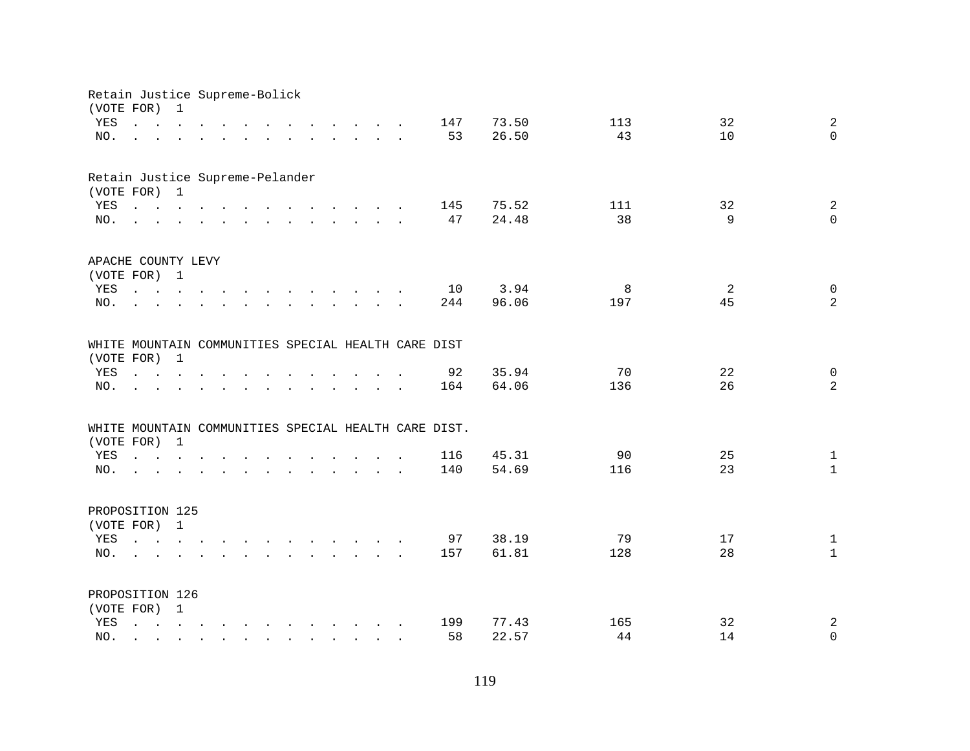| Retain Justice Supreme-Bolick<br>(VOTE FOR)         |                                                                                                                                                                                | 1              |  |              |                                                                                                                                                                                                                                   |                                                           |        |                                                                                  |                                        |                                                      |       |     |    |                              |
|-----------------------------------------------------|--------------------------------------------------------------------------------------------------------------------------------------------------------------------------------|----------------|--|--------------|-----------------------------------------------------------------------------------------------------------------------------------------------------------------------------------------------------------------------------------|-----------------------------------------------------------|--------|----------------------------------------------------------------------------------|----------------------------------------|------------------------------------------------------|-------|-----|----|------------------------------|
| YES                                                 | $\mathbf{r}$ and $\mathbf{r}$ and $\mathbf{r}$ and $\mathbf{r}$                                                                                                                |                |  |              |                                                                                                                                                                                                                                   |                                                           |        | $\mathbf{r}$ and $\mathbf{r}$ and $\mathbf{r}$ and $\mathbf{r}$ and $\mathbf{r}$ |                                        | 147                                                  | 73.50 | 113 | 32 | $\overline{a}$               |
| NO.                                                 | $\mathbf{r} = \mathbf{r} - \mathbf{r}$ , $\mathbf{r} = \mathbf{r} - \mathbf{r}$ , $\mathbf{r} = \mathbf{r} - \mathbf{r} - \mathbf{r}$ , $\mathbf{r} = \mathbf{r} - \mathbf{r}$ |                |  |              |                                                                                                                                                                                                                                   |                                                           |        |                                                                                  |                                        | 53                                                   | 26.50 | 43  | 10 | $\Omega$                     |
|                                                     |                                                                                                                                                                                |                |  |              |                                                                                                                                                                                                                                   |                                                           |        |                                                                                  |                                        |                                                      |       |     |    |                              |
| Retain Justice Supreme-Pelander                     |                                                                                                                                                                                |                |  |              |                                                                                                                                                                                                                                   |                                                           |        |                                                                                  |                                        |                                                      |       |     |    |                              |
| (VOTE FOR) 1                                        |                                                                                                                                                                                |                |  |              |                                                                                                                                                                                                                                   |                                                           |        |                                                                                  |                                        |                                                      |       |     |    |                              |
| YES                                                 | $\mathbf{r}$ , and $\mathbf{r}$ , and $\mathbf{r}$ , and $\mathbf{r}$ , and $\mathbf{r}$ , and $\mathbf{r}$                                                                    |                |  |              |                                                                                                                                                                                                                                   |                                                           |        |                                                                                  |                                        | 145                                                  | 75.52 | 111 | 32 | $\overline{a}$               |
| NO.                                                 | $\mathbf{r}$ , and $\mathbf{r}$ , and $\mathbf{r}$ , and $\mathbf{r}$ , and $\mathbf{r}$ , and $\mathbf{r}$                                                                    |                |  |              |                                                                                                                                                                                                                                   |                                                           |        |                                                                                  |                                        | 47                                                   | 24.48 | 38  | 9  | $\mathbf 0$                  |
| APACHE COUNTY LEVY                                  |                                                                                                                                                                                |                |  |              |                                                                                                                                                                                                                                   |                                                           |        |                                                                                  |                                        |                                                      |       |     |    |                              |
| (VOTE FOR) 1                                        |                                                                                                                                                                                |                |  |              |                                                                                                                                                                                                                                   |                                                           |        |                                                                                  |                                        |                                                      |       |     |    |                              |
| YES                                                 | the contract of the contract of the contract of the contract of the contract of the contract of the contract of                                                                |                |  |              |                                                                                                                                                                                                                                   |                                                           |        |                                                                                  |                                        | 10                                                   | 3.94  | 8   | 2  | $\mathsf{O}$                 |
| NO.                                                 |                                                                                                                                                                                |                |  |              | $\mathbf{r}$ , $\mathbf{r}$ , $\mathbf{r}$ , $\mathbf{r}$ , $\mathbf{r}$ , $\mathbf{r}$                                                                                                                                           |                                                           |        |                                                                                  |                                        | 244                                                  | 96.06 | 197 | 45 | $\overline{a}$               |
| WHITE MOUNTAIN COMMUNITIES SPECIAL HEALTH CARE DIST |                                                                                                                                                                                |                |  |              |                                                                                                                                                                                                                                   |                                                           |        |                                                                                  |                                        |                                                      |       |     |    |                              |
| (VOTE FOR)                                          |                                                                                                                                                                                | $\overline{1}$ |  |              |                                                                                                                                                                                                                                   |                                                           |        |                                                                                  |                                        |                                                      |       |     |    |                              |
| YES                                                 | $\mathbf{r}$ , $\mathbf{r}$ , $\mathbf{r}$ , $\mathbf{r}$                                                                                                                      |                |  |              |                                                                                                                                                                                                                                   |                                                           | $\sim$ | $\sim$                                                                           |                                        | 92                                                   | 35.94 | 70  | 22 | $\mathbf 0$                  |
| NO.                                                 |                                                                                                                                                                                |                |  | $\sim$       | $\mathbf{r}$ . The set of $\mathbf{r}$                                                                                                                                                                                            | $\mathbf{r}$ , $\mathbf{r}$ , $\mathbf{r}$ , $\mathbf{r}$ |        |                                                                                  | $\mathbf{r}$ . The set of $\mathbf{r}$ | 164                                                  | 64.06 | 136 | 26 | $\overline{a}$               |
|                                                     |                                                                                                                                                                                |                |  |              |                                                                                                                                                                                                                                   |                                                           |        |                                                                                  |                                        |                                                      |       |     |    |                              |
|                                                     |                                                                                                                                                                                |                |  |              |                                                                                                                                                                                                                                   |                                                           |        |                                                                                  |                                        | WHITE MOUNTAIN COMMUNITIES SPECIAL HEALTH CARE DIST. |       |     |    |                              |
| (VOTE FOR) 1                                        |                                                                                                                                                                                |                |  |              |                                                                                                                                                                                                                                   |                                                           |        |                                                                                  |                                        |                                                      | 45.31 | 90  | 25 |                              |
| YES                                                 | $\mathbf{r}$ and $\mathbf{r}$ and $\mathbf{r}$ and $\mathbf{r}$                                                                                                                |                |  |              | $\mathbf{r}$ . The contract of the contract of the contract of the contract of the contract of the contract of the contract of the contract of the contract of the contract of the contract of the contract of the contract of th |                                                           |        |                                                                                  |                                        | 116                                                  | 54.69 | 116 | 23 | $\mathbf{1}$<br>$\mathbf{1}$ |
| NO.                                                 | the contract of the contract of the contract of the contract of the contract of the contract of the contract of                                                                |                |  |              |                                                                                                                                                                                                                                   |                                                           |        |                                                                                  |                                        | 140                                                  |       |     |    |                              |
| PROPOSITION 125                                     |                                                                                                                                                                                |                |  |              |                                                                                                                                                                                                                                   |                                                           |        |                                                                                  |                                        |                                                      |       |     |    |                              |
| (VOTE FOR) 1                                        |                                                                                                                                                                                |                |  |              |                                                                                                                                                                                                                                   |                                                           |        |                                                                                  |                                        |                                                      |       |     |    |                              |
| YES                                                 |                                                                                                                                                                                |                |  |              |                                                                                                                                                                                                                                   |                                                           |        |                                                                                  |                                        | 97                                                   | 38.19 | 79  | 17 | $\mathbf{1}$                 |
| NO.                                                 | $\mathbf{L} = \mathbf{L} \mathbf{L}$                                                                                                                                           |                |  |              | $\mathbf{r}$ , $\mathbf{r}$ , $\mathbf{r}$ , $\mathbf{r}$ , $\mathbf{r}$ , $\mathbf{r}$ , $\mathbf{r}$ , $\mathbf{r}$                                                                                                             |                                                           |        |                                                                                  |                                        | 157                                                  | 61.81 | 128 | 28 | $\mathbf{1}$                 |
| PROPOSITION 126                                     |                                                                                                                                                                                |                |  |              |                                                                                                                                                                                                                                   |                                                           |        |                                                                                  |                                        |                                                      |       |     |    |                              |
| (VOTE FOR) 1                                        |                                                                                                                                                                                |                |  |              |                                                                                                                                                                                                                                   |                                                           |        |                                                                                  |                                        |                                                      |       |     |    |                              |
| YES                                                 |                                                                                                                                                                                |                |  |              |                                                                                                                                                                                                                                   |                                                           |        |                                                                                  |                                        | 199                                                  | 77.43 | 165 | 32 | $\overline{c}$               |
| NO.                                                 |                                                                                                                                                                                |                |  | $\mathbf{r}$ | $\mathbf{r}$ , $\mathbf{r}$ , $\mathbf{r}$ , $\mathbf{r}$ , $\mathbf{r}$                                                                                                                                                          |                                                           |        |                                                                                  |                                        | 58                                                   | 22.57 | 44  | 14 | $\mathbf 0$                  |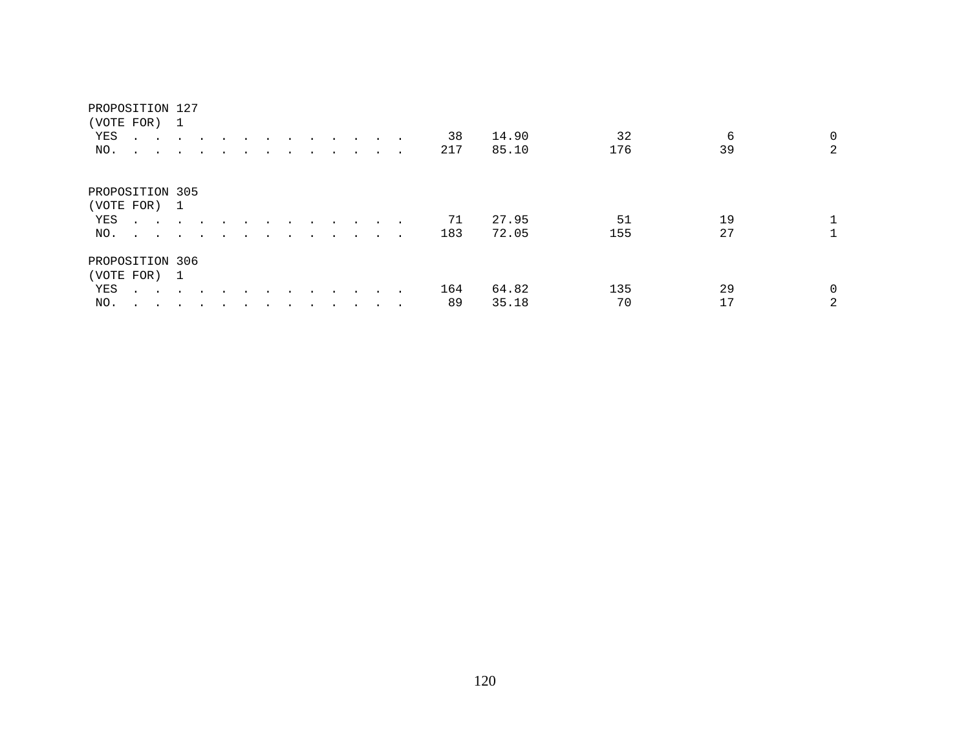#### PROPOSITION 127

| (VOTE FOR)      |                                | -1                      |                |  |  |  |         |                      |        |     |       |     |    |                |
|-----------------|--------------------------------|-------------------------|----------------|--|--|--|---------|----------------------|--------|-----|-------|-----|----|----------------|
| YES             | $\cdot$<br>$\sim$              |                         |                |  |  |  | $\sim$  | $\sim$               | $\sim$ | 38  | 14.90 | 32  |    | 6<br>0         |
| NO.             | $\ddot{\phantom{0}}$<br>$\sim$ | $\sim$                  | $\overline{a}$ |  |  |  |         | $\ddot{\phantom{a}}$ |        | 217 | 85.10 | 176 | 39 | $\overline{2}$ |
| PROPOSITION 305 |                                |                         |                |  |  |  |         |                      |        |     |       |     |    |                |
| (VOTE FOR) 1    |                                |                         |                |  |  |  |         |                      |        |     |       |     |    |                |
| YES             | $\cdot$ $\cdot$                |                         |                |  |  |  |         |                      |        | 71  | 27.95 | 51  | 19 |                |
| NO.             | $\sim$ $\sim$ $\sim$ $\sim$    |                         | $\cdot$        |  |  |  |         |                      | $\sim$ | 183 | 72.05 | 155 | 27 |                |
| PROPOSITION 306 |                                |                         |                |  |  |  |         |                      |        |     |       |     |    |                |
| (VOTE FOR) 1    |                                |                         |                |  |  |  |         |                      |        |     |       |     |    |                |
| YES             | $\sim$ $\sim$                  | $\sim 100$ km s $^{-1}$ | $\cdot$        |  |  |  | $\cdot$ |                      |        | 164 | 64.82 | 135 | 29 | $\Omega$       |
| NO.             |                                |                         |                |  |  |  |         |                      |        | 89  | 35.18 | 70  | 17 | 2              |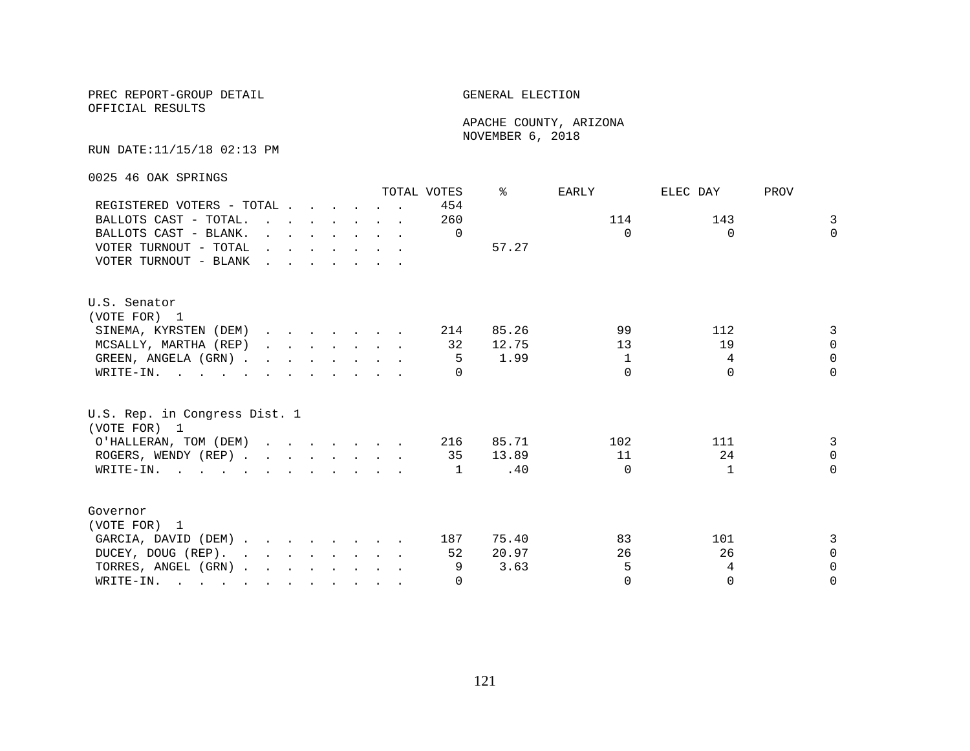OFFICIAL RESULTS

 APACHE COUNTY, ARIZONA NOVEMBER 6, 2018

RUN DATE:11/15/18 02:13 PM

0025 46 OAK SPRINGS

|                                                                                                       |                                                                                                                                                                                                                                   |  |  |  | TOTAL VOTES | ⊱     | EARLY    | ELEC DAY     | PROV     |
|-------------------------------------------------------------------------------------------------------|-----------------------------------------------------------------------------------------------------------------------------------------------------------------------------------------------------------------------------------|--|--|--|-------------|-------|----------|--------------|----------|
| REGISTERED VOTERS - TOTAL                                                                             |                                                                                                                                                                                                                                   |  |  |  | 454         |       |          |              |          |
| BALLOTS CAST - TOTAL.                                                                                 | $\mathbf{r}$ , $\mathbf{r}$ , $\mathbf{r}$ , $\mathbf{r}$ , $\mathbf{r}$ , $\mathbf{r}$                                                                                                                                           |  |  |  | 260         |       | 114      | 143          | 3        |
| BALLOTS CAST - BLANK.                                                                                 | $\mathbf{r}$ . The contract of the contract of the contract of the contract of the contract of the contract of the contract of the contract of the contract of the contract of the contract of the contract of the contract of th |  |  |  | $\Omega$    |       | $\Omega$ | $\Omega$     | $\Omega$ |
| VOTER TURNOUT - TOTAL                                                                                 | $\mathbf{r}$ , and $\mathbf{r}$ , and $\mathbf{r}$ , and $\mathbf{r}$                                                                                                                                                             |  |  |  |             | 57.27 |          |              |          |
| VOTER TURNOUT - BLANK                                                                                 | $\mathbf{r}$ . The set of the set of the set of the set of the set of the set of the set of the set of the set of the set of the set of the set of the set of the set of the set of the set of the set of the set of the set of t |  |  |  |             |       |          |              |          |
| U.S. Senator                                                                                          |                                                                                                                                                                                                                                   |  |  |  |             |       |          |              |          |
| (VOTE FOR) 1                                                                                          |                                                                                                                                                                                                                                   |  |  |  |             |       |          |              |          |
| SINEMA, KYRSTEN (DEM)                                                                                 |                                                                                                                                                                                                                                   |  |  |  | 214         | 85.26 | 99       | 112          | 3        |
| MCSALLY, MARTHA (REP)                                                                                 |                                                                                                                                                                                                                                   |  |  |  | 32          | 12.75 | 13       | 19           | $\Omega$ |
| GREEN, ANGELA (GRN)                                                                                   |                                                                                                                                                                                                                                   |  |  |  | -5          | 1.99  | 1        | 4            | $\Omega$ |
| WRITE-IN.                                                                                             |                                                                                                                                                                                                                                   |  |  |  |             |       | $\Omega$ | $\Omega$     | $\Omega$ |
| U.S. Rep. in Congress Dist. 1<br>(VOTE FOR) 1                                                         |                                                                                                                                                                                                                                   |  |  |  |             |       |          |              |          |
|                                                                                                       |                                                                                                                                                                                                                                   |  |  |  |             | 85.71 | 102      | 111          | 3        |
| O'HALLERAN, TOM (DEM)                                                                                 |                                                                                                                                                                                                                                   |  |  |  | 216         | 13.89 | 11       | 24           | $\Omega$ |
| ROGERS, WENDY (REP)                                                                                   |                                                                                                                                                                                                                                   |  |  |  | 35          |       | $\Omega$ | $\mathbf{1}$ | $\Omega$ |
| WRITE-IN.                                                                                             |                                                                                                                                                                                                                                   |  |  |  | 1           | .40   |          |              |          |
| Governor                                                                                              |                                                                                                                                                                                                                                   |  |  |  |             |       |          |              |          |
| (VOTE FOR) 1                                                                                          |                                                                                                                                                                                                                                   |  |  |  |             |       |          |              |          |
| GARCIA, DAVID (DEM)                                                                                   |                                                                                                                                                                                                                                   |  |  |  | 187         | 75.40 | 83       | 101          | 3        |
| DUCEY, DOUG (REP).                                                                                    |                                                                                                                                                                                                                                   |  |  |  | 52          | 20.97 | 26       | 26           | $\Omega$ |
| TORRES, ANGEL (GRN)                                                                                   |                                                                                                                                                                                                                                   |  |  |  | 9           | 3.63  | 5        | 4            | $\Omega$ |
| WRITE-IN.<br>$\mathbf{r}$ , and $\mathbf{r}$ , and $\mathbf{r}$ , and $\mathbf{r}$ , and $\mathbf{r}$ |                                                                                                                                                                                                                                   |  |  |  | $\Omega$    |       | $\Omega$ | $\Omega$     | $\Omega$ |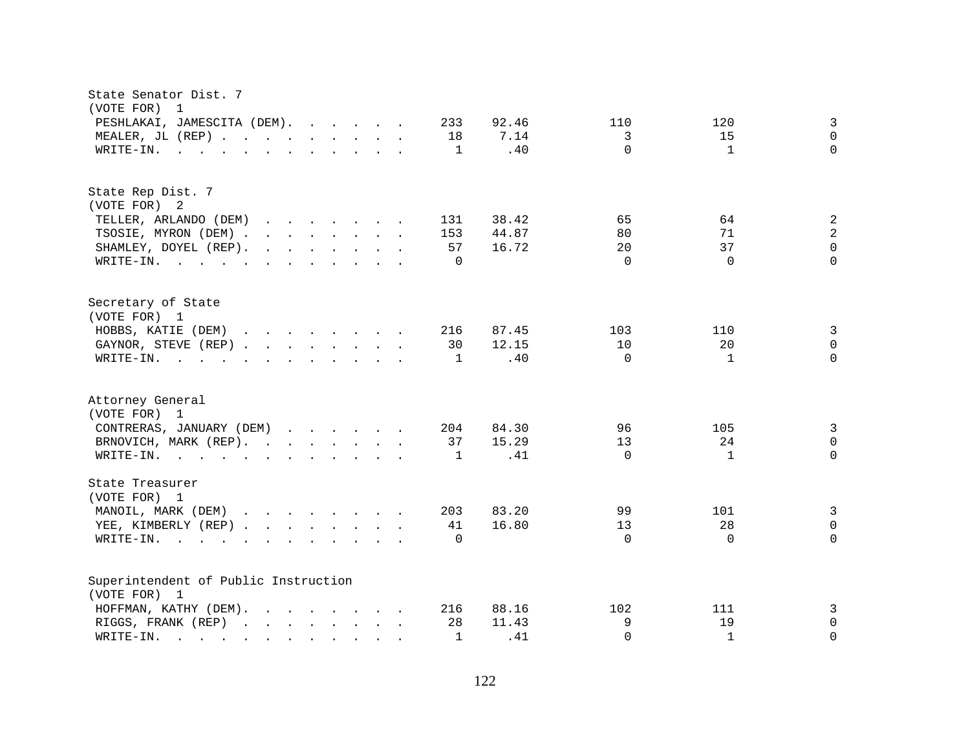| State Senator Dist. 7<br>(VOTE FOR)<br>$\overline{1}$                                                                                                                                                                                                                     |                                             |  |  |  |  |  |  |  |  |  |  |  |  |  |
|---------------------------------------------------------------------------------------------------------------------------------------------------------------------------------------------------------------------------------------------------------------------------|---------------------------------------------|--|--|--|--|--|--|--|--|--|--|--|--|--|
| PESHLAKAI, JAMESCITA (DEM).<br>233<br>92.46<br>110<br>120<br>3<br>$\Omega$<br>MEALER, JL (REP)<br>7.14<br>3<br>15<br>18                                                                                                                                                   |                                             |  |  |  |  |  |  |  |  |  |  |  |  |  |
|                                                                                                                                                                                                                                                                           |                                             |  |  |  |  |  |  |  |  |  |  |  |  |  |
| $\mathbf{1}$<br>WRITE-IN.<br>$\mathbf{r}$ . The state of the state of the state $\mathbf{r}$                                                                                                                                                                              | $\Omega$<br>$\mathbf{1}$<br>$\Omega$<br>.40 |  |  |  |  |  |  |  |  |  |  |  |  |  |
|                                                                                                                                                                                                                                                                           |                                             |  |  |  |  |  |  |  |  |  |  |  |  |  |
| State Rep Dist. 7                                                                                                                                                                                                                                                         |                                             |  |  |  |  |  |  |  |  |  |  |  |  |  |
| (VOTE FOR) 2                                                                                                                                                                                                                                                              |                                             |  |  |  |  |  |  |  |  |  |  |  |  |  |
| 38.42<br>TELLER, ARLANDO (DEM)<br>131<br>$\mathbf{r}$ , $\mathbf{r}$ , $\mathbf{r}$ , $\mathbf{r}$ , $\mathbf{r}$ , $\mathbf{r}$ , $\mathbf{r}$                                                                                                                           | 65<br>64<br>2                               |  |  |  |  |  |  |  |  |  |  |  |  |  |
| TSOSIE, MYRON (DEM)<br>153<br>44.87                                                                                                                                                                                                                                       | 2<br>80<br>71                               |  |  |  |  |  |  |  |  |  |  |  |  |  |
| SHAMLEY, DOYEL (REP).<br>$\mathbf{r}$ . The set of the set of the set of the set of the set of the set of the set of the set of the set of the set of the set of the set of the set of the set of the set of the set of the set of the set of the set of t<br>57<br>16.72 | $\Omega$<br>37<br>20                        |  |  |  |  |  |  |  |  |  |  |  |  |  |
| $\mathbf 0$<br>WRITE-IN.                                                                                                                                                                                                                                                  | $\Omega$<br>$\Omega$<br>$\Omega$            |  |  |  |  |  |  |  |  |  |  |  |  |  |
| Secretary of State                                                                                                                                                                                                                                                        |                                             |  |  |  |  |  |  |  |  |  |  |  |  |  |
| (VOTE FOR) 1                                                                                                                                                                                                                                                              |                                             |  |  |  |  |  |  |  |  |  |  |  |  |  |
| HOBBS, KATIE (DEM)<br>216<br>87.45                                                                                                                                                                                                                                        | 3<br>103<br>110                             |  |  |  |  |  |  |  |  |  |  |  |  |  |
| 12.15<br>GAYNOR, STEVE (REP)<br>30                                                                                                                                                                                                                                        | 10<br>20<br>$\Omega$                        |  |  |  |  |  |  |  |  |  |  |  |  |  |
| WRITE-IN.<br>$\mathbf{1}$<br>$\mathbf{r}$ , and $\mathbf{r}$ , and $\mathbf{r}$ , and $\mathbf{r}$ , and $\mathbf{r}$                                                                                                                                                     | $\Omega$<br>$\Omega$<br>.40<br>$\mathbf{1}$ |  |  |  |  |  |  |  |  |  |  |  |  |  |
| Attorney General                                                                                                                                                                                                                                                          |                                             |  |  |  |  |  |  |  |  |  |  |  |  |  |
| (VOTE FOR) 1                                                                                                                                                                                                                                                              |                                             |  |  |  |  |  |  |  |  |  |  |  |  |  |
| CONTRERAS, JANUARY (DEM)<br>84.30<br>204                                                                                                                                                                                                                                  | 96<br>105<br>3                              |  |  |  |  |  |  |  |  |  |  |  |  |  |
| 15.29<br>BRNOVICH, MARK (REP).<br>37                                                                                                                                                                                                                                      | 24<br>$\mathbf 0$<br>13                     |  |  |  |  |  |  |  |  |  |  |  |  |  |
| WRITE-IN.<br>1                                                                                                                                                                                                                                                            | $\Omega$<br>.41<br>$\Omega$<br>$\mathbf{1}$ |  |  |  |  |  |  |  |  |  |  |  |  |  |
| State Treasurer<br>(VOTE FOR) 1                                                                                                                                                                                                                                           |                                             |  |  |  |  |  |  |  |  |  |  |  |  |  |
| MANOIL, MARK (DEM)<br>83.20<br>203                                                                                                                                                                                                                                        | 99<br>101<br>3                              |  |  |  |  |  |  |  |  |  |  |  |  |  |
| 16.80<br>YEE, KIMBERLY (REP)<br>41                                                                                                                                                                                                                                        | 28<br>$\Omega$<br>13                        |  |  |  |  |  |  |  |  |  |  |  |  |  |
| WRITE-IN.<br>$\Omega$<br>$\mathbf{r}$ , and $\mathbf{r}$ , and $\mathbf{r}$ , and $\mathbf{r}$ , and $\mathbf{r}$                                                                                                                                                         | 0<br>$\Omega$<br>$\Omega$                   |  |  |  |  |  |  |  |  |  |  |  |  |  |
|                                                                                                                                                                                                                                                                           |                                             |  |  |  |  |  |  |  |  |  |  |  |  |  |
| Superintendent of Public Instruction                                                                                                                                                                                                                                      |                                             |  |  |  |  |  |  |  |  |  |  |  |  |  |
| (VOTE FOR) 1                                                                                                                                                                                                                                                              |                                             |  |  |  |  |  |  |  |  |  |  |  |  |  |
| 88.16<br>HOFFMAN, KATHY (DEM).<br>$\mathbf{r}$ , $\mathbf{r}$ , $\mathbf{r}$ , $\mathbf{r}$ , $\mathbf{r}$ , $\mathbf{r}$<br>216                                                                                                                                          | 102<br>111<br>3                             |  |  |  |  |  |  |  |  |  |  |  |  |  |
| RIGGS, FRANK (REP)<br>28<br>11.43                                                                                                                                                                                                                                         | 9<br>19<br>$\mathbf 0$                      |  |  |  |  |  |  |  |  |  |  |  |  |  |
| WRITE-IN.<br>$\mathbf{1}$<br>and the contract of the contract of the contract of the contract of the contract of the contract of the contract of the contract of the contract of the contract of the contract of the contract of the contract of the contra               | $\mathbf{1}$<br>$\Omega$<br>.41<br>$\Omega$ |  |  |  |  |  |  |  |  |  |  |  |  |  |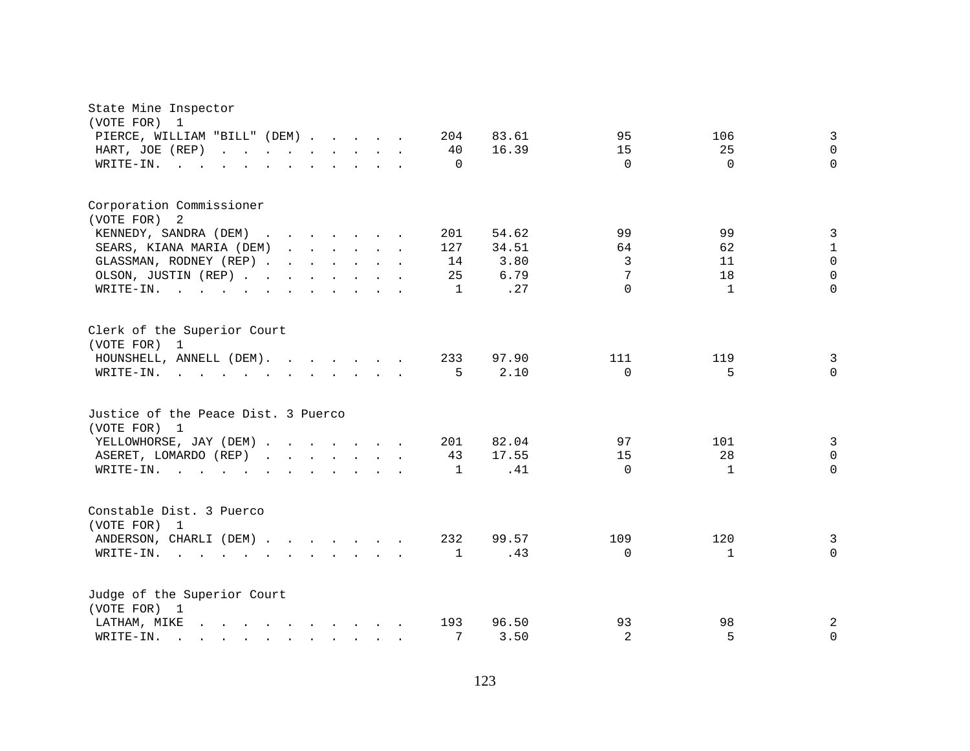| State Mine Inspector<br>(VOTE FOR)<br>$\mathbf{1}$                                                                                                                       |                                            |  |              |               |          |              |                   |
|--------------------------------------------------------------------------------------------------------------------------------------------------------------------------|--------------------------------------------|--|--------------|---------------|----------|--------------|-------------------|
| PIERCE, WILLIAM "BILL" (DEM)                                                                                                                                             |                                            |  | 204          | 83.61         | 95       | 106          | $\mathbf{3}$      |
| HART, JOE (REP)                                                                                                                                                          |                                            |  | 40           | 16.39         | 15       | 25           | $\Omega$          |
| WRITE-IN.<br><b>Contract</b>                                                                                                                                             |                                            |  | $\Omega$     |               | $\Omega$ | $\Omega$     | $\Omega$          |
| Corporation Commissioner                                                                                                                                                 |                                            |  |              |               |          |              |                   |
| (VOTE FOR)<br>-2                                                                                                                                                         |                                            |  |              |               |          |              |                   |
| KENNEDY, SANDRA (DEM)                                                                                                                                                    |                                            |  | 201          | 54.62         | 99<br>64 | 99<br>62     | 3<br>$\mathbf{1}$ |
| SEARS, KIANA MARIA (DEM)<br>GLASSMAN, RODNEY (REP)                                                                                                                       |                                            |  | 127<br>14    | 34.51<br>3.80 | 3        | 11           | $\Omega$          |
| OLSON, JUSTIN (REP)                                                                                                                                                      |                                            |  | 25           | 6.79          | 7        | 18           | $\Omega$          |
| WRITE-IN.<br>$\mathcal{A}=\mathcal{A}=\mathcal{A}=\mathcal{A}=\mathcal{A}$ .<br>$\mathbf{r}$ , and $\mathbf{r}$ , and $\mathbf{r}$ , and $\mathbf{r}$ , and $\mathbf{r}$ |                                            |  | $\mathbf{1}$ | .27           | $\Omega$ | 1            | $\Omega$          |
|                                                                                                                                                                          |                                            |  |              |               |          |              |                   |
| Clerk of the Superior Court<br>(VOTE FOR) 1                                                                                                                              |                                            |  |              |               |          |              |                   |
| HOUNSHELL, ANNELL (DEM).                                                                                                                                                 |                                            |  | 233          | 97.90         | 111      | 119          | $\overline{3}$    |
| WRITE-IN.                                                                                                                                                                |                                            |  | 5            | 2.10          | $\Omega$ | 5            | $\mathbf 0$       |
| Justice of the Peace Dist. 3 Puerco<br>(VOTE FOR) 1                                                                                                                      |                                            |  |              |               |          |              |                   |
| YELLOWHORSE, JAY (DEM)                                                                                                                                                   |                                            |  | 201          | 82.04         | 97       | 101          | $\overline{3}$    |
| ASERET, LOMARDO (REP)                                                                                                                                                    |                                            |  | 43           | 17.55         | 15       | 28           | $\mathbf 0$       |
| WRITE-IN.                                                                                                                                                                | $\mathbf{r}$ , $\mathbf{r}$ , $\mathbf{r}$ |  | $\mathbf{1}$ | .41           | $\Omega$ | $\mathbf{1}$ | $\Omega$          |
| Constable Dist. 3 Puerco<br>(VOTE FOR) 1                                                                                                                                 |                                            |  |              |               |          |              |                   |
| ANDERSON, CHARLI (DEM)                                                                                                                                                   |                                            |  | 232          | 99.57         | 109      | 120          | 3                 |
| WRITE-IN.<br>$\mathcal{A}=\mathcal{A}=\mathcal{A}=\mathcal{A}=\mathcal{A}=\mathcal{A}=\mathcal{A}=\mathcal{A}=\mathcal{A}=\mathcal{A}=\mathcal{A}$                       |                                            |  | $\mathbf{1}$ | .43           | $\Omega$ | $\mathbf{1}$ | $\Omega$          |
| Judge of the Superior Court<br>(VOTE FOR) 1                                                                                                                              |                                            |  |              |               |          |              |                   |
| LATHAM, MIKE<br>$\mathbf{r}$ , $\mathbf{r}$ , $\mathbf{r}$ , $\mathbf{r}$ , $\mathbf{r}$ , $\mathbf{r}$ , $\mathbf{r}$ , $\mathbf{r}$                                    |                                            |  | 193          | 96.50         | 93       | 98           | 2                 |
| WRITE-IN.<br>$\mathbf{r}$ , and $\mathbf{r}$ , and $\mathbf{r}$ , and $\mathbf{r}$ , and $\mathbf{r}$                                                                    |                                            |  | 7            | 3.50          | 2        | 5            | $\mathbf 0$       |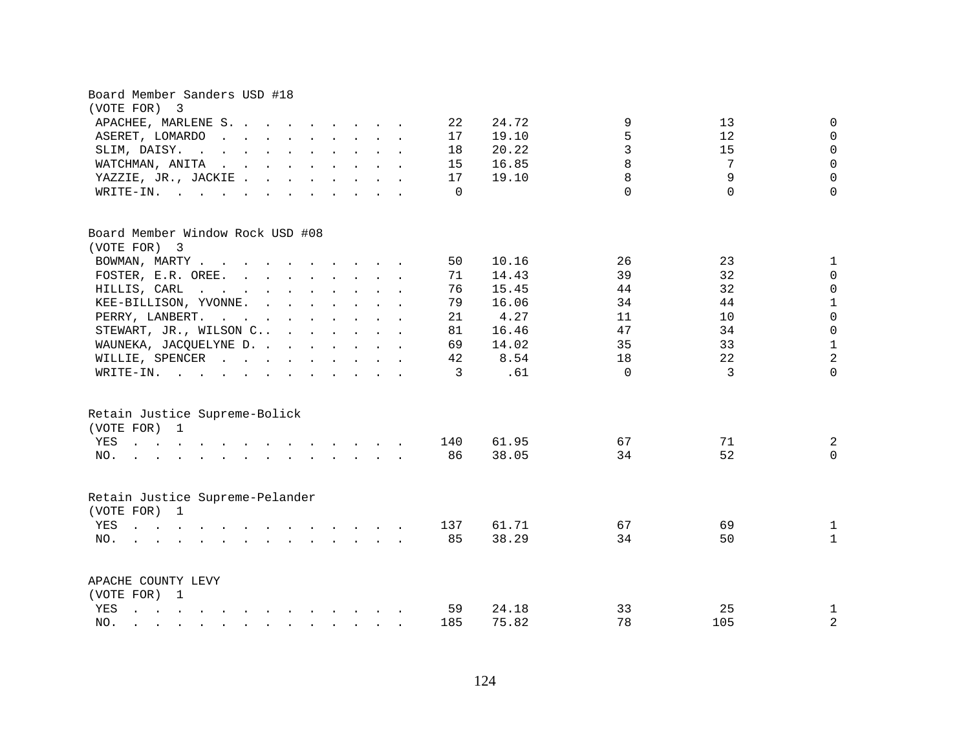| Board Member Sanders USD #18<br>(VOTE FOR) 3                                                                                                                                                                                                                                                                                                                      |           |                |          |           |                              |  |  |  |  |  |  |  |  |  |
|-------------------------------------------------------------------------------------------------------------------------------------------------------------------------------------------------------------------------------------------------------------------------------------------------------------------------------------------------------------------|-----------|----------------|----------|-----------|------------------------------|--|--|--|--|--|--|--|--|--|
| 24.72<br>9<br>13<br>$\Omega$<br>APACHEE, MARLENE S.<br>22<br>5<br>19.10<br>12<br>$\mathbf 0$<br>ASERET, LOMARDO<br>$\mathbf{r}$ , $\mathbf{r}$ , $\mathbf{r}$ , $\mathbf{r}$ , $\mathbf{r}$ , $\mathbf{r}$ , $\mathbf{r}$<br>17                                                                                                                                   |           |                |          |           |                              |  |  |  |  |  |  |  |  |  |
|                                                                                                                                                                                                                                                                                                                                                                   |           |                |          |           |                              |  |  |  |  |  |  |  |  |  |
| $\mathbf{r}$ , $\mathbf{r}$ , $\mathbf{r}$ , $\mathbf{r}$ , $\mathbf{r}$ , $\mathbf{r}$ , $\mathbf{r}$ , $\mathbf{r}$<br>SLIM, DAISY.                                                                                                                                                                                                                             | 18        | 20.22          | 3        | 15        | $\mathbf 0$                  |  |  |  |  |  |  |  |  |  |
| $\mathbf{r}$ . The contract of the contract of the contract of the contract of the contract of the contract of the contract of the contract of the contract of the contract of the contract of the contract of the contract of th<br>WATCHMAN, ANITA                                                                                                              | 15        | 16.85          | 8        | 7         | $\mathsf 0$                  |  |  |  |  |  |  |  |  |  |
| YAZZIE, JR., JACKIE                                                                                                                                                                                                                                                                                                                                               | 17        | 19.10          | 8        | 9         | $\mathbf 0$                  |  |  |  |  |  |  |  |  |  |
| WRITE-IN.                                                                                                                                                                                                                                                                                                                                                         | $\Omega$  |                | $\Omega$ | $\Omega$  | $\Omega$                     |  |  |  |  |  |  |  |  |  |
| Board Member Window Rock USD #08<br>(VOTE FOR) 3                                                                                                                                                                                                                                                                                                                  |           |                |          |           |                              |  |  |  |  |  |  |  |  |  |
| BOWMAN, MARTY                                                                                                                                                                                                                                                                                                                                                     | 50        | 10.16          | 26       | 23        | $\mathbf{1}$                 |  |  |  |  |  |  |  |  |  |
| FOSTER, E.R. OREE.                                                                                                                                                                                                                                                                                                                                                | 71        | 14.43          | 39       | 32        | $\mathbf 0$                  |  |  |  |  |  |  |  |  |  |
| HILLIS, CARL<br>$\mathbf{r}$ , and $\mathbf{r}$ , and $\mathbf{r}$ , and $\mathbf{r}$ , and $\mathbf{r}$                                                                                                                                                                                                                                                          | 76        | 15.45          | 44       | 32        | $\mathbf 0$                  |  |  |  |  |  |  |  |  |  |
| KEE-BILLISON, YVONNE.<br>$\mathbf{r}$ . The set of the set of the set of the set of the set of the set of the set of the set of the set of the set of the set of the set of the set of the set of the set of the set of the set of the set of the set of t                                                                                                        | 79        | 16.06          | 34       | 44        | $\mathbf 1$                  |  |  |  |  |  |  |  |  |  |
| PERRY, LANBERT.<br>$\mathbf{r}$ , $\mathbf{r}$ , $\mathbf{r}$ , $\mathbf{r}$ , $\mathbf{r}$ , $\mathbf{r}$ , $\mathbf{r}$                                                                                                                                                                                                                                         | 21        | 4.27           | 11       | 10        | $\mathsf 0$                  |  |  |  |  |  |  |  |  |  |
| STEWART, JR., WILSON C                                                                                                                                                                                                                                                                                                                                            | 81        | 16.46          | 47       | 34        | $\mathbf 0$                  |  |  |  |  |  |  |  |  |  |
| WAUNEKA, JACQUELYNE D.                                                                                                                                                                                                                                                                                                                                            | 69        | 14.02          | 35       | 33        | $\mathbf{1}$                 |  |  |  |  |  |  |  |  |  |
| WILLIE, SPENCER                                                                                                                                                                                                                                                                                                                                                   | 42        | 8.54           | 18       | 22        | $\overline{2}$               |  |  |  |  |  |  |  |  |  |
| WRITE-IN.                                                                                                                                                                                                                                                                                                                                                         | 3         | .61            | $\Omega$ | 3         | $\Omega$                     |  |  |  |  |  |  |  |  |  |
| Retain Justice Supreme-Bolick<br>(VOTE FOR) 1<br>YES<br>the contract of the contract of the contract of the contract of the contract of the contract of the contract of<br>NO.<br>$\mathbf{r}$ and $\mathbf{r}$ and $\mathbf{r}$ and $\mathbf{r}$ and $\mathbf{r}$ and $\mathbf{r}$                                                                               | 140<br>86 | 61.95<br>38.05 | 67<br>34 | 71<br>52  | 2<br>$\Omega$                |  |  |  |  |  |  |  |  |  |
| Retain Justice Supreme-Pelander<br>(VOTE FOR) 1<br>YES<br>$\mathcal{A}^{\mathcal{A}}$ . The set of the set of the set of the set of the set of the set of the set of the set of the set of the set of the set of the set of the set of the set of the set of the set of the set of the set of the s<br>and a series of the contract of the contract of the<br>NO. | 137<br>85 | 61.71<br>38.29 | 67<br>34 | 69<br>50  | $\mathbf{1}$<br>$\mathbf{1}$ |  |  |  |  |  |  |  |  |  |
| APACHE COUNTY LEVY<br>(VOTE FOR) 1<br>YES<br>and a series of the contract of the contract of<br>NO.<br>$\mathbf{r} = \mathbf{r} - \mathbf{r} = \mathbf{r} - \mathbf{r} - \mathbf{r} = \mathbf{r} - \mathbf{r} - \mathbf{r} - \mathbf{r} - \mathbf{r}$                                                                                                             | 59<br>185 | 24.18<br>75.82 | 33<br>78 | 25<br>105 | $\mathbf{1}$<br>$\mathbf{2}$ |  |  |  |  |  |  |  |  |  |
|                                                                                                                                                                                                                                                                                                                                                                   |           |                |          |           |                              |  |  |  |  |  |  |  |  |  |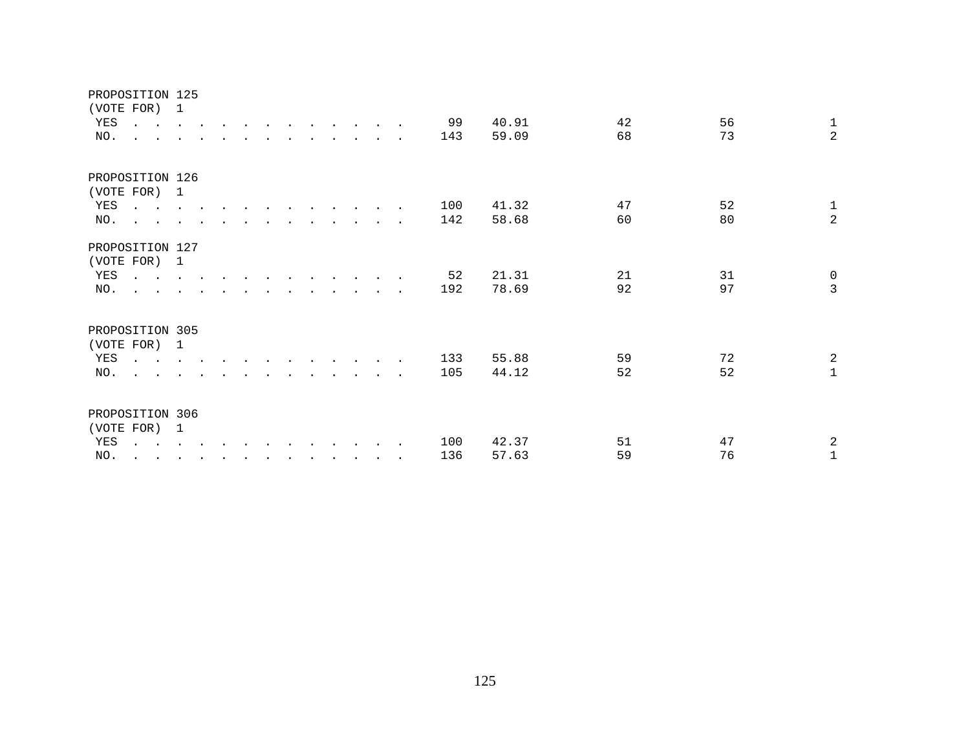| PROPOSITION 125<br>(VOTE FOR) 1<br>YES<br>NO. | $\sim$ $\sim$<br>$\cdot$ $\cdot$                                                                                                        | <b>Contract Contract</b>                  |        |        |         |                      |                      |                          |                      |  | 99<br>143  | 40.91<br>59.09 | 42<br>68 | 56<br>73 | $\mathbf{1}$<br>$\overline{a}$ |
|-----------------------------------------------|-----------------------------------------------------------------------------------------------------------------------------------------|-------------------------------------------|--------|--------|---------|----------------------|----------------------|--------------------------|----------------------|--|------------|----------------|----------|----------|--------------------------------|
| PROPOSITION 126<br>(VOTE FOR) 1<br>YES<br>NO. | $\mathbf{r}$ , $\mathbf{r}$ , $\mathbf{r}$ , $\mathbf{r}$ , $\mathbf{r}$<br>$\mathcal{L}^{\text{max}}$ , and $\mathcal{L}^{\text{max}}$ |                                           |        |        |         |                      |                      |                          |                      |  | 100<br>142 | 41.32<br>58.68 | 47<br>60 | 52<br>80 | $\mathbf{1}$<br>$\overline{a}$ |
| PROPOSITION 127<br>(VOTE FOR) 1<br>YES<br>NO. | $\mathbf{r}$ , $\mathbf{r}$ , $\mathbf{r}$ , $\mathbf{r}$ , $\mathbf{r}$<br>$\mathbf{L} = \mathbf{L}$                                   |                                           |        |        |         |                      |                      |                          |                      |  | 52<br>192  | 21.31<br>78.69 | 21<br>92 | 31<br>97 | $\mathsf{O}$<br>$\overline{3}$ |
| PROPOSITION 305<br>(VOTE FOR) 1<br>YES<br>NO. | $\sim$ $\sim$<br>$\cdot$ $\cdot$                                                                                                        | <b>Contract Contract</b><br>$\sim$ $\sim$ |        |        |         |                      |                      |                          |                      |  | 133<br>105 | 55.88<br>44.12 | 59<br>52 | 72<br>52 | $\overline{a}$<br>$\mathbf{1}$ |
| PROPOSITION 306<br>(VOTE FOR)<br>YES<br>NO.   | $\ddot{\phantom{a}}$<br>$\ddot{\phantom{0}}$<br>$\ddot{\phantom{a}}$                                                                    | 1<br><b>Contract Contract Contract</b>    | $\sim$ | $\sim$ | $\cdot$ | $\ddot{\phantom{0}}$ | $\ddot{\phantom{a}}$ | <b>Service Contracts</b> | $\ddot{\phantom{0}}$ |  | 100<br>136 | 42.37<br>57.63 | 51<br>59 | 47<br>76 | $\overline{a}$<br>$\mathbf{1}$ |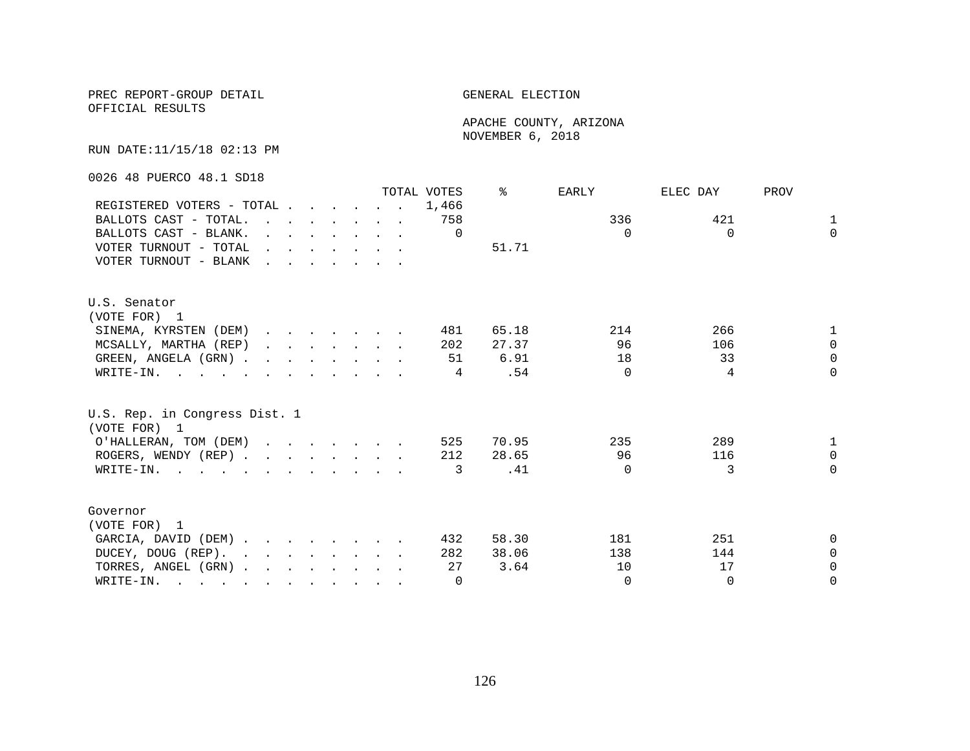OFFICIAL RESULTS

 APACHE COUNTY, ARIZONA NOVEMBER 6, 2018

RUN DATE:11/15/18 02:13 PM

0026 48 PUERCO 48.1 SD18

|                                                                                                                          |                                                                                                                                                                                                                                   |                                                                                                                                                                                                                                   |  |  | TOTAL VOTES | °     | EARLY    | ELEC DAY | PROV         |
|--------------------------------------------------------------------------------------------------------------------------|-----------------------------------------------------------------------------------------------------------------------------------------------------------------------------------------------------------------------------------|-----------------------------------------------------------------------------------------------------------------------------------------------------------------------------------------------------------------------------------|--|--|-------------|-------|----------|----------|--------------|
| REGISTERED VOTERS - TOTAL                                                                                                |                                                                                                                                                                                                                                   |                                                                                                                                                                                                                                   |  |  | 1,466       |       |          |          |              |
| BALLOTS CAST - TOTAL.                                                                                                    | $\mathbf{r}$ , and $\mathbf{r}$ , and $\mathbf{r}$ , and $\mathbf{r}$                                                                                                                                                             |                                                                                                                                                                                                                                   |  |  | 758         |       | 336      | 421      | $\mathbf{1}$ |
| BALLOTS CAST - BLANK.                                                                                                    | $\mathbf{r}$                                                                                                                                                                                                                      | $\mathbf{r}$ . The set of the set of the set of the set of the set of the set of the set of the set of the set of the set of the set of the set of the set of the set of the set of the set of the set of the set of the set of t |  |  | $\Omega$    |       | $\Omega$ | $\Omega$ | $\Omega$     |
| VOTER TURNOUT - TOTAL                                                                                                    | $\mathbf{r}$ . The contract of the contract of the contract of the contract of the contract of the contract of the contract of the contract of the contract of the contract of the contract of the contract of the contract of th |                                                                                                                                                                                                                                   |  |  |             | 51.71 |          |          |              |
| VOTER TURNOUT - BLANK                                                                                                    | $\mathbf{r}$ . The contract of the contract of the contract of the contract of the contract of the contract of the contract of the contract of the contract of the contract of the contract of the contract of the contract of th |                                                                                                                                                                                                                                   |  |  |             |       |          |          |              |
| U.S. Senator                                                                                                             |                                                                                                                                                                                                                                   |                                                                                                                                                                                                                                   |  |  |             |       |          |          |              |
| (VOTE FOR) 1                                                                                                             |                                                                                                                                                                                                                                   |                                                                                                                                                                                                                                   |  |  |             |       |          |          |              |
| SINEMA, KYRSTEN (DEM)                                                                                                    |                                                                                                                                                                                                                                   |                                                                                                                                                                                                                                   |  |  | 481         | 65.18 | 214      | 266      |              |
| MCSALLY, MARTHA (REP)                                                                                                    |                                                                                                                                                                                                                                   |                                                                                                                                                                                                                                   |  |  | 202         | 27.37 | 96       | 106      | $\Omega$     |
| GREEN, ANGELA (GRN).                                                                                                     |                                                                                                                                                                                                                                   |                                                                                                                                                                                                                                   |  |  | 51          | 6.91  | 18       | 33       | $\Omega$     |
| WRITE-IN.                                                                                                                |                                                                                                                                                                                                                                   |                                                                                                                                                                                                                                   |  |  | 4           | .54   | $\Omega$ | 4        | $\Omega$     |
| U.S. Rep. in Congress Dist. 1<br>(VOTE FOR) 1                                                                            |                                                                                                                                                                                                                                   |                                                                                                                                                                                                                                   |  |  |             |       |          |          |              |
| O'HALLERAN, TOM (DEM)                                                                                                    |                                                                                                                                                                                                                                   |                                                                                                                                                                                                                                   |  |  | 525         | 70.95 | 235      | 289      | 1            |
| ROGERS, WENDY (REP)                                                                                                      |                                                                                                                                                                                                                                   |                                                                                                                                                                                                                                   |  |  | 212         | 28.65 | 96       | 116      | $\Omega$     |
| WRITE-IN.                                                                                                                |                                                                                                                                                                                                                                   |                                                                                                                                                                                                                                   |  |  | 3           | .41   | $\Omega$ | 3        | $\Omega$     |
|                                                                                                                          |                                                                                                                                                                                                                                   |                                                                                                                                                                                                                                   |  |  |             |       |          |          |              |
| Governor                                                                                                                 |                                                                                                                                                                                                                                   |                                                                                                                                                                                                                                   |  |  |             |       |          |          |              |
| (VOTE FOR) 1                                                                                                             |                                                                                                                                                                                                                                   |                                                                                                                                                                                                                                   |  |  |             |       |          |          |              |
| GARCIA, DAVID (DEM)                                                                                                      |                                                                                                                                                                                                                                   |                                                                                                                                                                                                                                   |  |  | 432         | 58.30 | 181      | 251      | $\Omega$     |
| DUCEY, DOUG (REP).                                                                                                       |                                                                                                                                                                                                                                   |                                                                                                                                                                                                                                   |  |  | 282         | 38.06 | 138      | 144      | $\Omega$     |
| TORRES, ANGEL (GRN)                                                                                                      |                                                                                                                                                                                                                                   |                                                                                                                                                                                                                                   |  |  | 27          | 3.64  | 10       | 17       | $\Omega$     |
| WRITE-IN.<br>$\mathbf{r}$ , and $\mathbf{r}$ , and $\mathbf{r}$ , and $\mathbf{r}$ , and $\mathbf{r}$ , and $\mathbf{r}$ |                                                                                                                                                                                                                                   |                                                                                                                                                                                                                                   |  |  | $\Omega$    |       | $\Omega$ | $\Omega$ | $\Omega$     |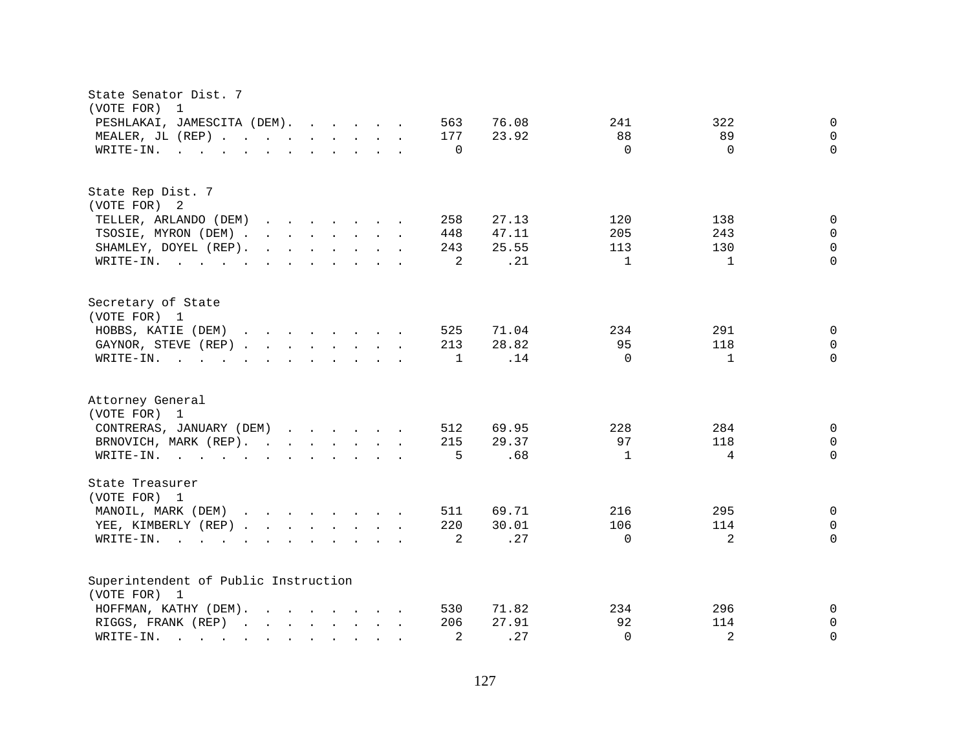| State Senator Dist. 7<br>(VOTE FOR)<br>$\overline{1}$                                                                                                                                                                                                             |                                           |
|-------------------------------------------------------------------------------------------------------------------------------------------------------------------------------------------------------------------------------------------------------------------|-------------------------------------------|
| PESHLAKAI, JAMESCITA (DEM).<br>563                                                                                                                                                                                                                                | 76.08<br>241<br>322<br>0                  |
| MEALER, JL (REP)<br>177                                                                                                                                                                                                                                           | 23.92<br>89<br>88<br>$\Omega$             |
| $\mathbf 0$<br>WRITE-IN.<br>$\mathbf{r}$ , and $\mathbf{r}$ , and $\mathbf{r}$ , and $\mathbf{r}$ , and $\mathbf{r}$                                                                                                                                              | $\Omega$<br>$\Omega$<br>$\Omega$          |
|                                                                                                                                                                                                                                                                   |                                           |
| State Rep Dist. 7                                                                                                                                                                                                                                                 |                                           |
| (VOTE FOR) 2                                                                                                                                                                                                                                                      |                                           |
| TELLER, ARLANDO (DEM)<br>$\mathbf{r}$ . The set of the set of the set of the set of the set of the set of the set of the set of the set of the set of the set of the set of the set of the set of the set of the set of the set of the set of the set of t<br>258 | 27.13<br>120<br>138<br>0                  |
| TSOSIE, MYRON (DEM) .<br>448<br>$\mathbf{r}$ . The contract of the contract of the contract of the contract of the contract of the contract of the contract of the contract of the contract of the contract of the contract of the contract of the contract of th | 205<br>243<br>47.11<br>$\Omega$           |
| $\mathbf{r}$ , $\mathbf{r}$ , $\mathbf{r}$ , $\mathbf{r}$ , $\mathbf{r}$ , $\mathbf{r}$<br>243<br>SHAMLEY, DOYEL (REP).                                                                                                                                           | 25.55<br>113<br>130<br>$\Omega$           |
| WRITE-IN.                                                                                                                                                                                                                                                         | 2<br>.21<br>$\mathbf{1}$<br>$\cap$<br>1   |
| Secretary of State<br>(VOTE FOR) 1                                                                                                                                                                                                                                |                                           |
| HOBBS, KATIE (DEM)<br>$\mathbf{r}$ , $\mathbf{r}$ , $\mathbf{r}$ , $\mathbf{r}$ , $\mathbf{r}$ , $\mathbf{r}$ , $\mathbf{r}$<br>525                                                                                                                               | 71.04<br>234<br>291<br>$\Omega$           |
| 213<br>GAYNOR, STEVE (REP)                                                                                                                                                                                                                                        | 28.82<br>95<br>118<br>$\Omega$            |
| WRITE-IN.<br>$\mathbf 1$<br>$\mathbf{r}$ , and $\mathbf{r}$ , and $\mathbf{r}$ , and $\mathbf{r}$ , and $\mathbf{r}$                                                                                                                                              | $\Omega$<br>.14<br>$\Omega$<br>1          |
|                                                                                                                                                                                                                                                                   |                                           |
| Attorney General                                                                                                                                                                                                                                                  |                                           |
| (VOTE FOR) 1                                                                                                                                                                                                                                                      |                                           |
| CONTRERAS, JANUARY (DEM)<br>512                                                                                                                                                                                                                                   | 69.95<br>228<br>284<br>0                  |
| BRNOVICH, MARK (REP).<br>215                                                                                                                                                                                                                                      | 29.37<br>97<br>118<br>$\Omega$            |
| WRITE-IN.                                                                                                                                                                                                                                                         | 5<br>.68<br>$\mathbf{1}$<br>4<br>$\Omega$ |
| State Treasurer<br>(VOTE FOR) 1                                                                                                                                                                                                                                   |                                           |
| MANOIL, MARK (DEM)<br>511                                                                                                                                                                                                                                         | 216<br>295<br>69.71<br>0                  |
| 220<br>YEE, KIMBERLY (REP)                                                                                                                                                                                                                                        | 30.01<br>106<br>114<br>0                  |
| WRITE-IN.<br>$\mathbf{r}$ , and $\mathbf{r}$ , and $\mathbf{r}$ , and $\mathbf{r}$ , and $\mathbf{r}$ , and $\mathbf{r}$                                                                                                                                          | .27<br>2<br>2<br>$\Omega$<br>$\Omega$     |
|                                                                                                                                                                                                                                                                   |                                           |
| Superintendent of Public Instruction                                                                                                                                                                                                                              |                                           |
| (VOTE FOR) 1                                                                                                                                                                                                                                                      |                                           |
| HOFFMAN, KATHY (DEM).<br>530<br>$\mathbf{r}$ , $\mathbf{r}$ , $\mathbf{r}$ , $\mathbf{r}$ , $\mathbf{r}$ , $\mathbf{r}$                                                                                                                                           | 71.82<br>234<br>296<br>0                  |
| 206<br>RIGGS, FRANK (REP)<br>$\mathbf{r}$ , and $\mathbf{r}$ , and $\mathbf{r}$ , and $\mathbf{r}$                                                                                                                                                                | 92<br>27.91<br>114<br>0                   |
| WRITE-IN.<br>$\mathbf{r}$ . The set of $\mathbf{r}$ is the set of $\mathbf{r}$<br>$\sim$<br><b>College</b>                                                                                                                                                        | 2<br>2<br>.27<br>$\Omega$<br>$\Omega$     |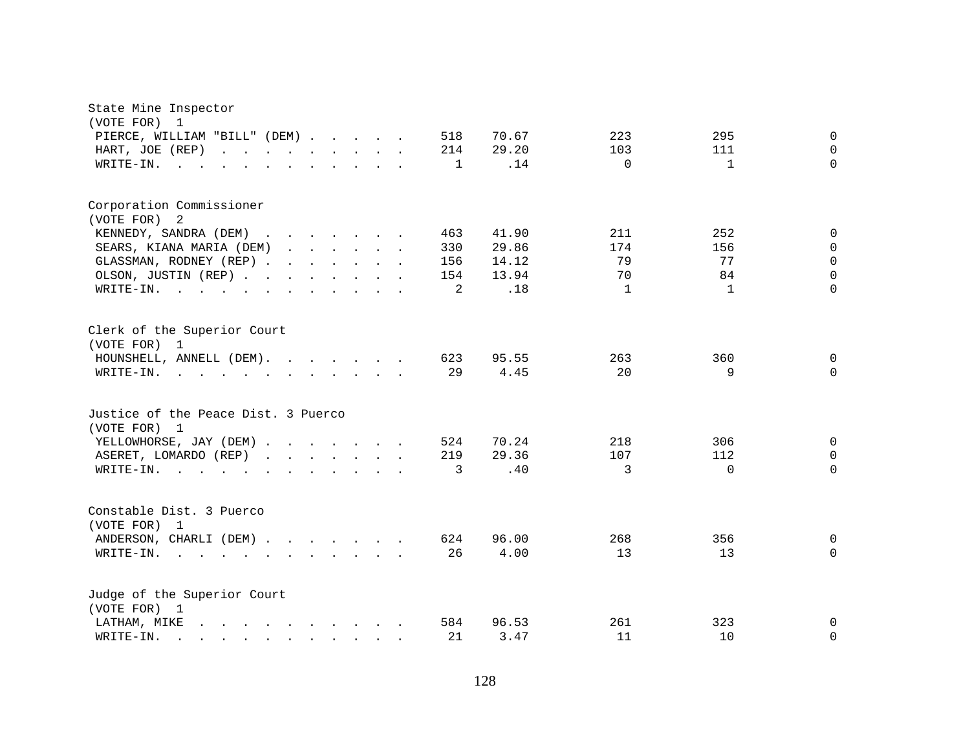| State Mine Inspector<br>(VOTE FOR)<br>$\mathbf{1}$                                                                                                                                                                                                                                                          |  |  |              |       |          |              |              |
|-------------------------------------------------------------------------------------------------------------------------------------------------------------------------------------------------------------------------------------------------------------------------------------------------------------|--|--|--------------|-------|----------|--------------|--------------|
| PIERCE, WILLIAM "BILL" (DEM)                                                                                                                                                                                                                                                                                |  |  | 518          | 70.67 | 223      | 295          | $\mathbf 0$  |
| HART, JOE (REP)<br>$\mathbf{r}$ , $\mathbf{r}$ , $\mathbf{r}$ , $\mathbf{r}$ , $\mathbf{r}$ , $\mathbf{r}$<br>$\mathbf{r}$ $\mathbf{r}$                                                                                                                                                                     |  |  | 214          | 29.20 | 103      | 111          | $\Omega$     |
| WRITE-IN.<br>$\sim$ $\sim$                                                                                                                                                                                                                                                                                  |  |  | $\mathbf{1}$ | .14   | $\Omega$ | $\mathbf{1}$ | $\Omega$     |
| Corporation Commissioner                                                                                                                                                                                                                                                                                    |  |  |              |       |          |              |              |
| (VOTE FOR)<br>-2                                                                                                                                                                                                                                                                                            |  |  |              |       |          |              |              |
| KENNEDY, SANDRA (DEM)                                                                                                                                                                                                                                                                                       |  |  | 463          | 41.90 | 211      | 252          | 0            |
| SEARS, KIANA MARIA (DEM)                                                                                                                                                                                                                                                                                    |  |  | 330          | 29.86 | 174      | 156          | $\mathbf 0$  |
| GLASSMAN, RODNEY (REP)                                                                                                                                                                                                                                                                                      |  |  | 156          | 14.12 | 79       | 77           | $\Omega$     |
| OLSON, JUSTIN (REP)                                                                                                                                                                                                                                                                                         |  |  | 154          | 13.94 | 70       | 84           | $\Omega$     |
| WRITE-IN.<br>$\mathbf{r}$ , $\mathbf{r}$ , $\mathbf{r}$ , $\mathbf{r}$<br>$\mathbf{r}$ . The contract of the contract of the contract of the contract of the contract of the contract of the contract of the contract of the contract of the contract of the contract of the contract of the contract of th |  |  | 2            | .18   | 1        | 1            | $\Omega$     |
| Clerk of the Superior Court<br>(VOTE FOR) 1                                                                                                                                                                                                                                                                 |  |  |              |       |          |              |              |
| HOUNSHELL, ANNELL (DEM).                                                                                                                                                                                                                                                                                    |  |  | 623          | 95.55 | 263      | 360          | $\mathsf{O}$ |
| WRITE-IN.<br>$\mathbf{r}$ , and $\mathbf{r}$ , and $\mathbf{r}$ , and $\mathbf{r}$ , and $\mathbf{r}$                                                                                                                                                                                                       |  |  | 29           | 4.45  | 20       | 9            | $\Omega$     |
| Justice of the Peace Dist. 3 Puerco<br>(VOTE FOR) 1                                                                                                                                                                                                                                                         |  |  |              |       |          |              |              |
| YELLOWHORSE, JAY (DEM)                                                                                                                                                                                                                                                                                      |  |  | 524          | 70.24 | 218      | 306          | $\mathbf 0$  |
| ASERET, LOMARDO (REP)                                                                                                                                                                                                                                                                                       |  |  | 219          | 29.36 | 107      | 112          | $\mathbf 0$  |
| WRITE-IN.                                                                                                                                                                                                                                                                                                   |  |  | 3            | .40   | 3        | $\Omega$     | $\Omega$     |
| Constable Dist. 3 Puerco<br>(VOTE FOR)<br>1                                                                                                                                                                                                                                                                 |  |  |              |       |          |              |              |
| ANDERSON, CHARLI (DEM)                                                                                                                                                                                                                                                                                      |  |  | 624          | 96.00 | 268      | 356          | 0            |
| WRITE-IN.                                                                                                                                                                                                                                                                                                   |  |  | 26           | 4.00  | 13       | 13           | $\Omega$     |
| Judge of the Superior Court<br>(VOTE FOR) 1                                                                                                                                                                                                                                                                 |  |  |              |       |          |              |              |
| LATHAM, MIKE                                                                                                                                                                                                                                                                                                |  |  | 584          | 96.53 | 261      | 323          | 0            |
| WRITE-IN.<br>$\mathbf{r} = \mathbf{r} - \mathbf{r} = \mathbf{r} - \mathbf{r} = \mathbf{r} - \mathbf{r} = \mathbf{r} - \mathbf{r}$                                                                                                                                                                           |  |  | 21           | 3.47  | 11       | 10           | 0            |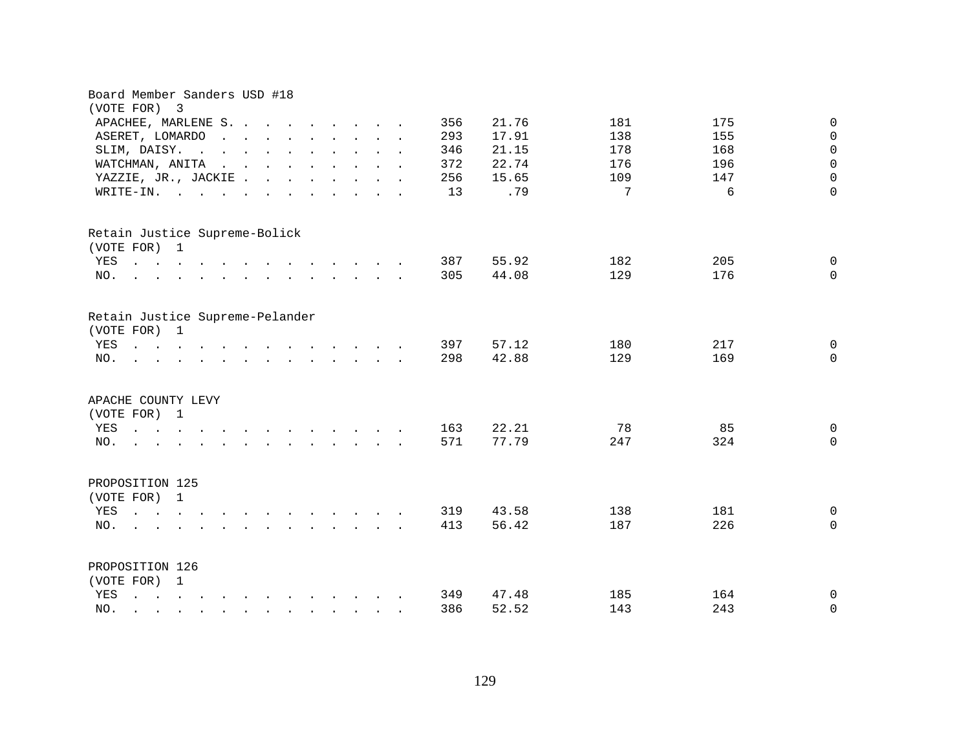| Board Member Sanders USD #18<br>(VOTE FOR) 3                                                                                                                                                                                                                                                                                        |        |                                                                                                                                                                                                                                   |  |  |                                                              |  |  |  |     |       |     |     |                     |
|-------------------------------------------------------------------------------------------------------------------------------------------------------------------------------------------------------------------------------------------------------------------------------------------------------------------------------------|--------|-----------------------------------------------------------------------------------------------------------------------------------------------------------------------------------------------------------------------------------|--|--|--------------------------------------------------------------|--|--|--|-----|-------|-----|-----|---------------------|
| $\mathbf 0$<br>APACHEE, MARLENE S.<br>356<br>21.76<br>181<br>175<br>$\mathsf{O}\xspace$<br>293<br>17.91<br>138<br>155<br>ASERET, LOMARDO<br>$\mathbf{r}$ , $\mathbf{r}$ , $\mathbf{r}$ , $\mathbf{r}$ , $\mathbf{r}$ , $\mathbf{r}$<br>$\sim$<br>$\sim$<br>$\mathbf{r}$ , $\mathbf{r}$ , $\mathbf{r}$ , $\mathbf{r}$ , $\mathbf{r}$ |        |                                                                                                                                                                                                                                   |  |  |                                                              |  |  |  |     |       |     |     |                     |
|                                                                                                                                                                                                                                                                                                                                     |        |                                                                                                                                                                                                                                   |  |  |                                                              |  |  |  |     |       |     |     |                     |
| SLIM, DAISY.<br>$\sim$<br>$\sim$                                                                                                                                                                                                                                                                                                    | $\sim$ |                                                                                                                                                                                                                                   |  |  |                                                              |  |  |  | 346 | 21.15 | 178 | 168 | $\mathsf{O}\xspace$ |
| WATCHMAN, ANITA                                                                                                                                                                                                                                                                                                                     |        | $\mathbf{r}$ . The set of the set of the set of the set of the set of the set of the set of the set of the set of the set of the set of the set of the set of the set of the set of the set of the set of the set of the set of t |  |  |                                                              |  |  |  | 372 | 22.74 | 176 | 196 | $\mathbf 0$         |
| YAZZIE, JR., JACKIE                                                                                                                                                                                                                                                                                                                 |        |                                                                                                                                                                                                                                   |  |  |                                                              |  |  |  | 256 | 15.65 | 109 | 147 | $\Omega$            |
| $WRITE-IN.$                                                                                                                                                                                                                                                                                                                         |        |                                                                                                                                                                                                                                   |  |  |                                                              |  |  |  | 13  | .79   | 7   | 6   | $\Omega$            |
|                                                                                                                                                                                                                                                                                                                                     |        |                                                                                                                                                                                                                                   |  |  |                                                              |  |  |  |     |       |     |     |                     |
| Retain Justice Supreme-Bolick                                                                                                                                                                                                                                                                                                       |        |                                                                                                                                                                                                                                   |  |  |                                                              |  |  |  |     |       |     |     |                     |
| (VOTE FOR) 1                                                                                                                                                                                                                                                                                                                        |        |                                                                                                                                                                                                                                   |  |  |                                                              |  |  |  |     |       |     |     |                     |
| $\mathbf{r}$ . The set of the set of the set of the set of the set of the set of the set of the set of the set of the set of the set of the set of the set of the set of the set of the set of the set of the set of the set of t<br>YES                                                                                            |        |                                                                                                                                                                                                                                   |  |  |                                                              |  |  |  | 387 | 55.92 | 182 | 205 | $\mathsf{O}$        |
| NO.<br>$\mathcal{L}$ . The contract of the contract of the contract of the contract of the contract of the contract of the contract of the contract of the contract of the contract of the contract of the contract of the contract of th                                                                                           |        |                                                                                                                                                                                                                                   |  |  |                                                              |  |  |  | 305 | 44.08 | 129 | 176 | $\Omega$            |
| Retain Justice Supreme-Pelander                                                                                                                                                                                                                                                                                                     |        |                                                                                                                                                                                                                                   |  |  |                                                              |  |  |  |     |       |     |     |                     |
| (VOTE FOR) 1                                                                                                                                                                                                                                                                                                                        |        |                                                                                                                                                                                                                                   |  |  |                                                              |  |  |  |     |       |     |     |                     |
| YES<br>the contract of the contract of the contract of the                                                                                                                                                                                                                                                                          |        |                                                                                                                                                                                                                                   |  |  |                                                              |  |  |  | 397 | 57.12 | 180 | 217 | $\mathbf 0$         |
| NO.                                                                                                                                                                                                                                                                                                                                 |        |                                                                                                                                                                                                                                   |  |  |                                                              |  |  |  | 298 | 42.88 | 129 | 169 | $\Omega$            |
| APACHE COUNTY LEVY                                                                                                                                                                                                                                                                                                                  |        |                                                                                                                                                                                                                                   |  |  |                                                              |  |  |  |     |       |     |     |                     |
| (VOTE FOR) 1                                                                                                                                                                                                                                                                                                                        |        |                                                                                                                                                                                                                                   |  |  |                                                              |  |  |  |     |       |     |     |                     |
| YES<br>the contract of the contract of the contract of the contract of the contract of the contract of the contract of                                                                                                                                                                                                              |        |                                                                                                                                                                                                                                   |  |  |                                                              |  |  |  | 163 | 22.21 | 78  | 85  | $\mathbf 0$         |
| NO.<br>$\mathbf{r}$ , $\mathbf{r}$ , $\mathbf{r}$ , $\mathbf{r}$ , $\mathbf{r}$ , $\mathbf{r}$ , $\mathbf{r}$                                                                                                                                                                                                                       |        |                                                                                                                                                                                                                                   |  |  |                                                              |  |  |  | 571 | 77.79 | 247 | 324 | $\Omega$            |
| PROPOSITION 125                                                                                                                                                                                                                                                                                                                     |        |                                                                                                                                                                                                                                   |  |  |                                                              |  |  |  |     |       |     |     |                     |
| (VOTE FOR) 1                                                                                                                                                                                                                                                                                                                        |        |                                                                                                                                                                                                                                   |  |  |                                                              |  |  |  |     |       |     |     |                     |
| YES<br>$\mathbf{r}$ . The set of $\mathbf{r}$                                                                                                                                                                                                                                                                                       |        | $\mathbf{r}$ . The contract of the contract of the contract of the contract of the contract of the contract of the contract of the contract of the contract of the contract of the contract of the contract of the contract of th |  |  |                                                              |  |  |  | 319 | 43.58 | 138 | 181 | $\mathbf 0$         |
| NO.                                                                                                                                                                                                                                                                                                                                 |        |                                                                                                                                                                                                                                   |  |  | $\mathbf{L} = \mathbf{L} \mathbf{L} = \mathbf{L} \mathbf{L}$ |  |  |  | 413 | 56.42 | 187 | 226 | $\mathbf 0$         |
|                                                                                                                                                                                                                                                                                                                                     |        |                                                                                                                                                                                                                                   |  |  |                                                              |  |  |  |     |       |     |     |                     |
| PROPOSITION 126                                                                                                                                                                                                                                                                                                                     |        |                                                                                                                                                                                                                                   |  |  |                                                              |  |  |  |     |       |     |     |                     |
| (VOTE FOR) 1                                                                                                                                                                                                                                                                                                                        |        |                                                                                                                                                                                                                                   |  |  |                                                              |  |  |  |     |       |     |     |                     |
| YES<br>$\mathbf{r} = \mathbf{r} - \mathbf{r} = \mathbf{r} - \mathbf{r} = \mathbf{r} - \mathbf{r} = \mathbf{r} - \mathbf{r} - \mathbf{r} = \mathbf{r} - \mathbf{r}$                                                                                                                                                                  |        |                                                                                                                                                                                                                                   |  |  |                                                              |  |  |  | 349 | 47.48 | 185 | 164 | 0                   |
| NO.<br>$\mathbf{r} = \mathbf{r} - \mathbf{r}$ , $\mathbf{r} = \mathbf{r} - \mathbf{r}$ , $\mathbf{r} = \mathbf{r} - \mathbf{r}$ , $\mathbf{r} = \mathbf{r} - \mathbf{r}$                                                                                                                                                            |        |                                                                                                                                                                                                                                   |  |  |                                                              |  |  |  | 386 | 52.52 | 143 | 243 | 0                   |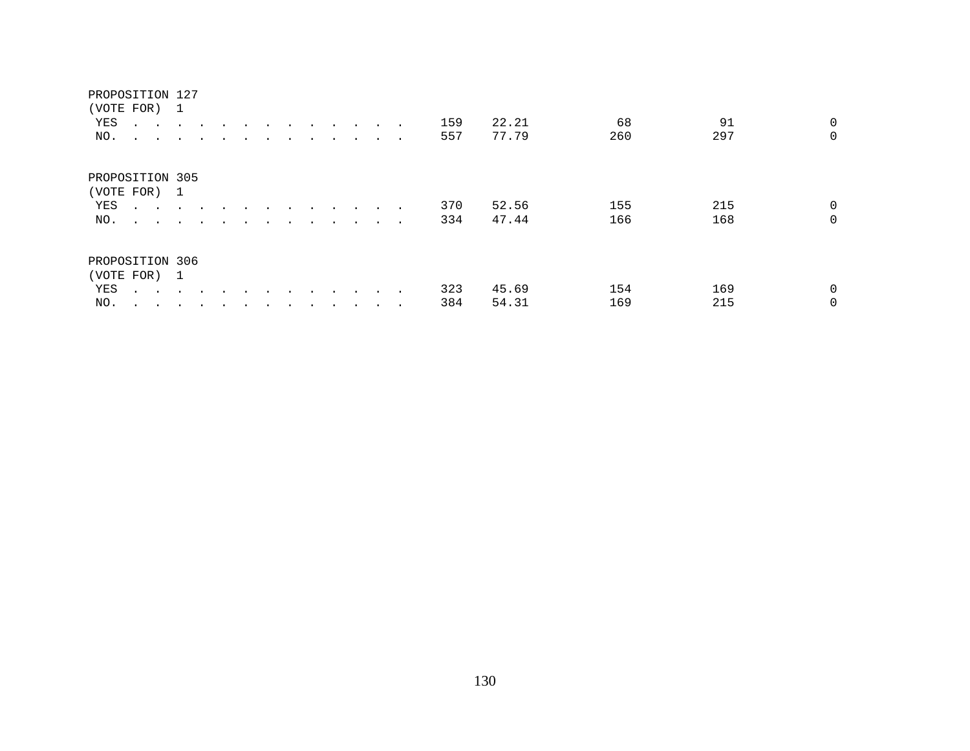#### PROPOSITION 127

|     | (VOTE FOR) 1                                       |                                     |           |        |  |  |                      |                      |        |     |       |     |     |                |
|-----|----------------------------------------------------|-------------------------------------|-----------|--------|--|--|----------------------|----------------------|--------|-----|-------|-----|-----|----------------|
| YES | $\sim$ $\sim$                                      | and the contract of the contract of |           |        |  |  | $\ddot{\phantom{0}}$ | $\sim$ $\sim$ $\sim$ |        | 159 | 22.21 | 68  | 91  | $\overline{0}$ |
| NO. | $\sim$ $\sim$ $\sim$                               | $\sim$ $\sim$                       | $\sim$    |        |  |  |                      |                      | $\sim$ | 557 | 77.79 | 260 | 297 | $\Omega$       |
|     | PROPOSITION 305                                    |                                     |           |        |  |  |                      |                      |        |     |       |     |     |                |
|     | (VOTE FOR) 1                                       |                                     |           |        |  |  |                      |                      |        |     |       |     |     |                |
| YES | $\mathbf{r}$ , and $\mathbf{r}$ , and $\mathbf{r}$ |                                     |           | $\sim$ |  |  | $\ddot{\phantom{0}}$ |                      |        | 370 | 52.56 | 155 | 215 | $\mathbf 0$    |
| NO. | and the state of the state of the                  |                                     | $\sim$    |        |  |  |                      |                      | $\sim$ | 334 | 47.44 | 166 | 168 | $\Omega$       |
|     | PROPOSITION 306                                    |                                     |           |        |  |  |                      |                      |        |     |       |     |     |                |
|     | (VOTE FOR) 1                                       |                                     |           |        |  |  |                      |                      |        |     |       |     |     |                |
| YES | $\sim$ $\sim$                                      | $\sim$                              |           |        |  |  |                      |                      |        | 323 | 45.69 | 154 | 169 | $\overline{0}$ |
| NO. | $\cdot$<br>$\sim$                                  | $\sim$                              | $\bullet$ |        |  |  |                      |                      |        | 384 | 54.31 | 169 | 215 | $\Omega$       |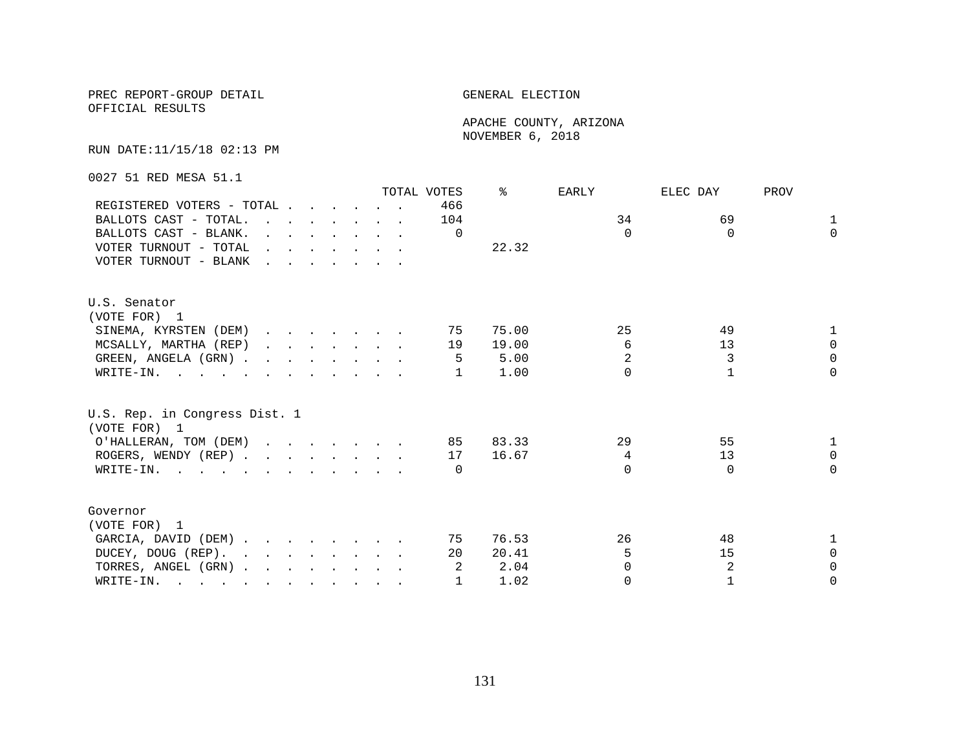OFFICIAL RESULTS

 APACHE COUNTY, ARIZONA NOVEMBER 6, 2018

RUN DATE:11/15/18 02:13 PM

0027 51 RED MESA 51.1

|                                                                                                                          |                                     |                                                                                                                                              |  |  | TOTAL VOTES | °     | EARLY          | ELEC DAY     | PROV         |
|--------------------------------------------------------------------------------------------------------------------------|-------------------------------------|----------------------------------------------------------------------------------------------------------------------------------------------|--|--|-------------|-------|----------------|--------------|--------------|
| REGISTERED VOTERS - TOTAL                                                                                                |                                     |                                                                                                                                              |  |  | 466         |       |                |              |              |
| BALLOTS CAST - TOTAL.                                                                                                    |                                     |                                                                                                                                              |  |  | 104         |       | 34             | 69           | $\mathbf{1}$ |
| BALLOTS CAST - BLANK.                                                                                                    |                                     | $\mathbf{r} = \mathbf{r} \cdot \mathbf{r}$ , and $\mathbf{r} = \mathbf{r} \cdot \mathbf{r}$ , and $\mathbf{r} = \mathbf{r} \cdot \mathbf{r}$ |  |  | $\Omega$    |       | $\Omega$       | $\Omega$     | $\Omega$     |
| VOTER TURNOUT - TOTAL                                                                                                    | and the contract of the contract of |                                                                                                                                              |  |  |             | 22.32 |                |              |              |
| VOTER TURNOUT - BLANK                                                                                                    |                                     |                                                                                                                                              |  |  |             |       |                |              |              |
| U.S. Senator                                                                                                             |                                     |                                                                                                                                              |  |  |             |       |                |              |              |
| (VOTE FOR) 1                                                                                                             |                                     |                                                                                                                                              |  |  |             |       |                |              |              |
| SINEMA, KYRSTEN (DEM)                                                                                                    |                                     |                                                                                                                                              |  |  | 75          | 75.00 | 25             | 49           |              |
| MCSALLY, MARTHA (REP)                                                                                                    |                                     |                                                                                                                                              |  |  | 19          | 19.00 | 6              | 13           | $\Omega$     |
| GREEN, ANGELA (GRN)                                                                                                      |                                     |                                                                                                                                              |  |  |             | 5.00  | $\overline{2}$ | 3            | $\Omega$     |
| WRITE-IN.                                                                                                                |                                     |                                                                                                                                              |  |  |             | 1.00  | $\cap$         | $\mathbf{1}$ | $\Omega$     |
| U.S. Rep. in Congress Dist. 1<br>(VOTE FOR) 1                                                                            |                                     |                                                                                                                                              |  |  |             |       |                |              |              |
| O'HALLERAN, TOM (DEM)                                                                                                    |                                     |                                                                                                                                              |  |  | 85          | 83.33 | 29             | 55           |              |
| ROGERS, WENDY (REP)                                                                                                      |                                     |                                                                                                                                              |  |  | 17          | 16.67 | 4              | 13           | $\Omega$     |
| WRITE-IN.                                                                                                                |                                     |                                                                                                                                              |  |  | $\Omega$    |       | $\cap$         | $\Omega$     | $\Omega$     |
|                                                                                                                          |                                     |                                                                                                                                              |  |  |             |       |                |              |              |
| Governor                                                                                                                 |                                     |                                                                                                                                              |  |  |             |       |                |              |              |
| (VOTE FOR) 1                                                                                                             |                                     |                                                                                                                                              |  |  |             |       |                |              |              |
| GARCIA, DAVID (DEM)                                                                                                      |                                     |                                                                                                                                              |  |  | 75          | 76.53 | 26             | 48           |              |
| DUCEY, DOUG (REP).                                                                                                       |                                     |                                                                                                                                              |  |  | 20          | 20.41 | 5              | 15           | $\Omega$     |
| TORRES, ANGEL (GRN)                                                                                                      |                                     |                                                                                                                                              |  |  | -2          | 2.04  | <sup>0</sup>   | 2            | $\Omega$     |
| WRITE-IN.<br>$\mathbf{r}$ , and $\mathbf{r}$ , and $\mathbf{r}$ , and $\mathbf{r}$ , and $\mathbf{r}$ , and $\mathbf{r}$ |                                     |                                                                                                                                              |  |  |             | 1.02  | $\Omega$       | $\mathbf{1}$ | $\Omega$     |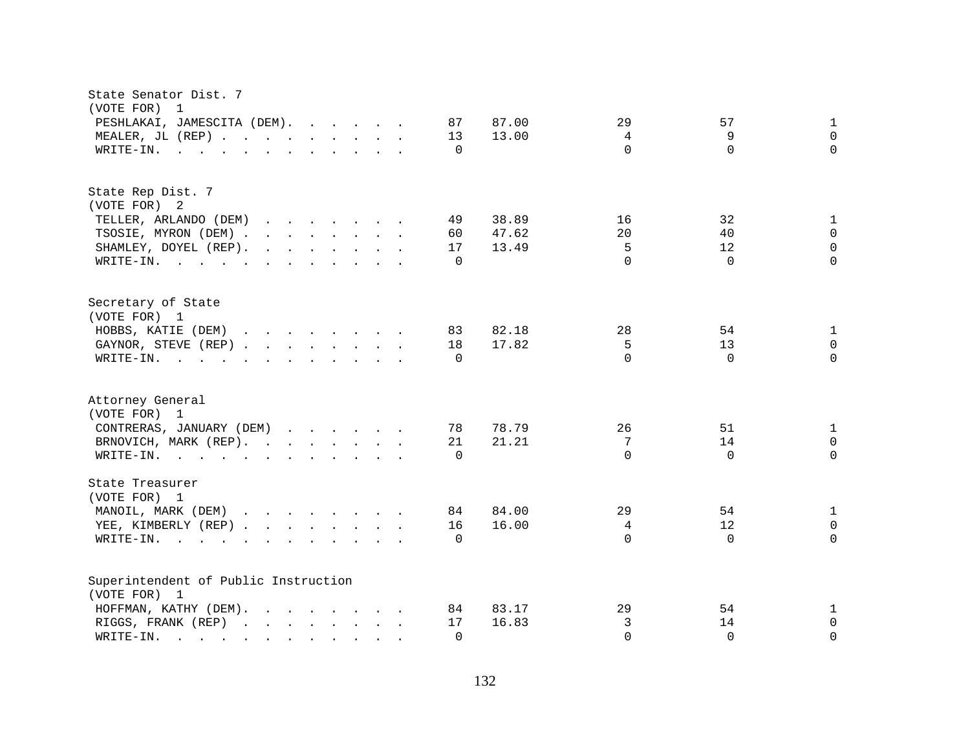| State Senator Dist. 7<br>(VOTE FOR)<br>1                                                                                                                                                                                                                    |                           |                            |                                          |
|-------------------------------------------------------------------------------------------------------------------------------------------------------------------------------------------------------------------------------------------------------------|---------------------------|----------------------------|------------------------------------------|
| PESHLAKAI, JAMESCITA (DEM).<br>87<br>87.00                                                                                                                                                                                                                  | 29                        | 57                         | $\mathbf{1}$                             |
| MEALER, JL (REP)<br>13<br>13.00                                                                                                                                                                                                                             | 4                         | 9                          | $\mathbf 0$                              |
| WRITE-IN.<br>and the contract of the contract of the contract of the contract of the contract of the contract of the contract of the contract of the contract of the contract of the contract of the contract of the contract of the contra<br>$\Omega$     | $\Omega$                  | $\Omega$                   | $\Omega$                                 |
| State Rep Dist. 7<br>(VOTE FOR) 2<br>38.89<br>TELLER, ARLANDO (DEM)<br>49<br>TSOSIE, MYRON (DEM)<br>60<br>47.62<br>SHAMLEY, DOYEL (REP).<br>17<br>13.49                                                                                                     | 16<br>20<br>5<br>$\Omega$ | 32<br>40<br>12<br>$\Omega$ | 1<br>$\Omega$<br>$\mathbf 0$<br>$\Omega$ |
| WRITE-IN.<br>$\Omega$                                                                                                                                                                                                                                       |                           |                            |                                          |
| Secretary of State<br>(VOTE FOR) 1                                                                                                                                                                                                                          |                           |                            |                                          |
| HOBBS, KATIE (DEM)<br>83<br>82.18                                                                                                                                                                                                                           | 28                        | 54                         | 1                                        |
| GAYNOR, STEVE (REP)<br>18<br>17.82                                                                                                                                                                                                                          | 5                         | 13                         | $\Omega$                                 |
| WRITE-IN.<br>$\mathbf{r}$ , and $\mathbf{r}$ , and $\mathbf{r}$ , and $\mathbf{r}$ , and $\mathbf{r}$ , and $\mathbf{r}$<br>$\Omega$                                                                                                                        | $\cap$                    | $\Omega$                   | $\Omega$                                 |
| Attorney General<br>(VOTE FOR) 1                                                                                                                                                                                                                            |                           |                            |                                          |
| CONTRERAS, JANUARY (DEM)<br>78<br>78.79                                                                                                                                                                                                                     | 26                        | 51                         | 1                                        |
| 21.21<br>BRNOVICH, MARK (REP).<br>21                                                                                                                                                                                                                        | 7                         | 14                         | $\mathbf 0$                              |
| WRITE-IN.<br>$\Omega$                                                                                                                                                                                                                                       | $\Omega$                  | $\Omega$                   | $\Omega$                                 |
| State Treasurer<br>(VOTE FOR) 1                                                                                                                                                                                                                             |                           |                            |                                          |
| MANOIL, MARK (DEM)<br>84<br>84.00                                                                                                                                                                                                                           | 29                        | 54                         | $\mathbf{1}$                             |
| YEE, KIMBERLY (REP)<br>16<br>16.00                                                                                                                                                                                                                          | 4                         | 12                         | $\mathbf 0$                              |
| WRITE-IN.<br>$\Omega$                                                                                                                                                                                                                                       | $\Omega$                  | $\Omega$                   | $\Omega$                                 |
| Superintendent of Public Instruction<br>(VOTE FOR) 1                                                                                                                                                                                                        |                           |                            |                                          |
| HOFFMAN, KATHY (DEM).<br>83.17<br>84                                                                                                                                                                                                                        | 29                        | 54                         | 1                                        |
| 16.83<br>RIGGS, FRANK (REP)<br>17                                                                                                                                                                                                                           | 3                         | 14                         | 0                                        |
| WRITE-IN.<br>$\Omega$<br>$\mathcal{L}$ . The contract of the contract of the contract of the contract of the contract of the contract of the contract of the contract of the contract of the contract of the contract of the contract of the contract of th | $\Omega$                  | $\Omega$                   | $\Omega$                                 |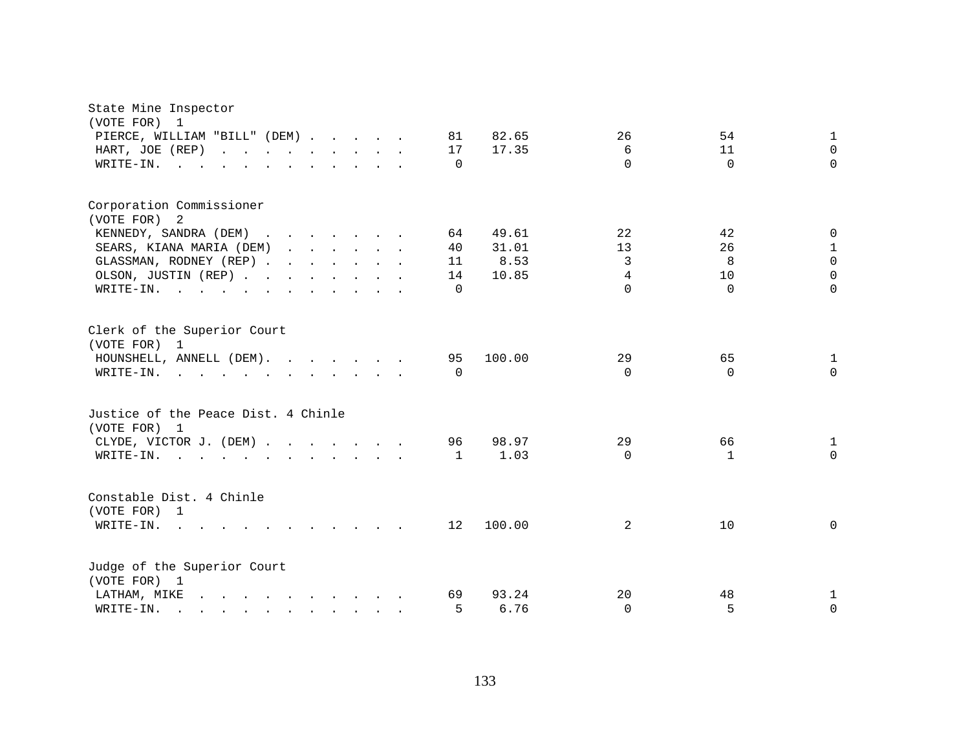| State Mine Inspector<br>(VOTE FOR)<br>1                                                                                                                                                                                                        |              |          |              |             |
|------------------------------------------------------------------------------------------------------------------------------------------------------------------------------------------------------------------------------------------------|--------------|----------|--------------|-------------|
| PIERCE, WILLIAM "BILL" (DEM)                                                                                                                                                                                                                   | 82.65<br>81  | 26       | 54           | 1           |
| HART, JOE (REP)                                                                                                                                                                                                                                | 17<br>17.35  | 6        | 11           | $\Omega$    |
| WRITE-IN.                                                                                                                                                                                                                                      | $\Omega$     | $\Omega$ | $\Omega$     | $\Omega$    |
| Corporation Commissioner<br>(VOTE FOR) 2<br>KENNEDY, SANDRA (DEM)                                                                                                                                                                              | 64<br>49.61  | 22       | 42           | $\mathbf 0$ |
| SEARS, KIANA MARIA (DEM)                                                                                                                                                                                                                       | 40<br>31.01  | 13       | 26           | $\mathbf 1$ |
| GLASSMAN, RODNEY (REP)                                                                                                                                                                                                                         | 8.53<br>11   | 3        | 8            | $\Omega$    |
| OLSON, JUSTIN (REP)                                                                                                                                                                                                                            | 10.85<br>14  | 4        | 10           | $\Omega$    |
| WRITE-IN.                                                                                                                                                                                                                                      | $\Omega$     | $\Omega$ | $\Omega$     | $\Omega$    |
| Clerk of the Superior Court<br>(VOTE FOR) 1<br>HOUNSHELL, ANNELL (DEM).                                                                                                                                                                        | 100.00<br>95 | 29       | 65           | 1           |
| WRITE-IN.                                                                                                                                                                                                                                      | $\Omega$     | $\Omega$ | $\Omega$     | $\Omega$    |
| Justice of the Peace Dist. 4 Chinle<br>(VOTE FOR) 1                                                                                                                                                                                            |              |          |              |             |
| CLYDE, VICTOR J. (DEM)                                                                                                                                                                                                                         | 98.97<br>96  | 29       | 66           | 1           |
| WRITE-IN.                                                                                                                                                                                                                                      | 1.03<br>1    | $\Omega$ | $\mathbf{1}$ | $\Omega$    |
| Constable Dist. 4 Chinle<br>(VOTE FOR) 1                                                                                                                                                                                                       |              |          |              |             |
| $W$ RITE-IN<br>$\cdots$                                                                                                                                                                                                                        | 100.00<br>12 | 2        | 10           | $\mathbf 0$ |
| Judge of the Superior Court<br>(VOTE FOR) 1                                                                                                                                                                                                    |              |          |              |             |
| and the contract of the contract of the contract of the contract of the contract of the contract of the contract of the contract of the contract of the contract of the contract of the contract of the contract of the contra<br>LATHAM, MIKE | 69<br>93.24  | 20       | 48           | 1           |
| WRITE-IN.<br>$\mathbf{r}$ , $\mathbf{r}$ , $\mathbf{r}$ , $\mathbf{r}$ , $\mathbf{r}$ , $\mathbf{r}$ , $\mathbf{r}$ , $\mathbf{r}$                                                                                                             | 5<br>6.76    | $\Omega$ | 5            | $\mathbf 0$ |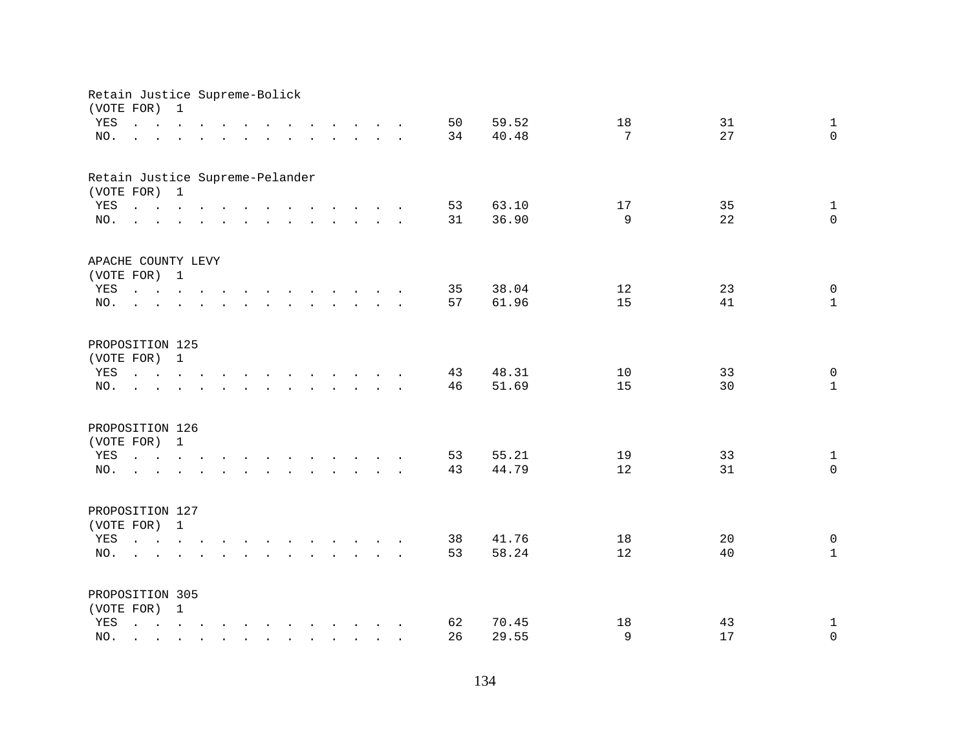| Retain Justice Supreme-Bolick<br>(VOTE FOR) |                                                                                                                                                                                                                                                                                                                                                                                                                                                            | $\mathbf{1}$         |                      |                               |        |                                                                          |  |                                                                                                                                      |                      |    |       |              |                    |
|---------------------------------------------|------------------------------------------------------------------------------------------------------------------------------------------------------------------------------------------------------------------------------------------------------------------------------------------------------------------------------------------------------------------------------------------------------------------------------------------------------------|----------------------|----------------------|-------------------------------|--------|--------------------------------------------------------------------------|--|--------------------------------------------------------------------------------------------------------------------------------------|----------------------|----|-------|--------------|--------------------|
| YES                                         | $\mathbf{1} \qquad \mathbf{1} \qquad \mathbf{1} \qquad \mathbf{1} \qquad \mathbf{1} \qquad \mathbf{1} \qquad \mathbf{1} \qquad \mathbf{1} \qquad \mathbf{1} \qquad \mathbf{1} \qquad \mathbf{1} \qquad \mathbf{1} \qquad \mathbf{1} \qquad \mathbf{1} \qquad \mathbf{1} \qquad \mathbf{1} \qquad \mathbf{1} \qquad \mathbf{1} \qquad \mathbf{1} \qquad \mathbf{1} \qquad \mathbf{1} \qquad \mathbf{1} \qquad \mathbf{1} \qquad \mathbf{1} \qquad \mathbf{$ |                      |                      |                               |        |                                                                          |  |                                                                                                                                      |                      | 50 | 59.52 | 18           | 31<br>$\mathbf{1}$ |
| NO.                                         |                                                                                                                                                                                                                                                                                                                                                                                                                                                            |                      |                      |                               |        |                                                                          |  |                                                                                                                                      |                      | 34 | 40.48 | 7            | 27<br>$\Omega$     |
|                                             | and a series of the contract of the contract of the contract of the contract of the contract of the contract of                                                                                                                                                                                                                                                                                                                                            |                      |                      |                               |        |                                                                          |  |                                                                                                                                      |                      |    |       |              |                    |
| Retain Justice Supreme-Pelander             |                                                                                                                                                                                                                                                                                                                                                                                                                                                            |                      |                      |                               |        |                                                                          |  |                                                                                                                                      |                      |    |       |              |                    |
| (VOTE FOR) 1                                |                                                                                                                                                                                                                                                                                                                                                                                                                                                            |                      |                      |                               |        |                                                                          |  |                                                                                                                                      |                      |    |       |              |                    |
| YES                                         | $\mathbf{r}$ , and $\mathbf{r}$ , and $\mathbf{r}$ , and $\mathbf{r}$ , and $\mathbf{r}$ , and $\mathbf{r}$                                                                                                                                                                                                                                                                                                                                                |                      |                      |                               |        |                                                                          |  |                                                                                                                                      |                      | 53 | 63.10 | 17           | 35<br>$\mathbf{1}$ |
| NO.                                         | $\mathbf{r}$ , and $\mathbf{r}$ , and $\mathbf{r}$ , and $\mathbf{r}$ , and $\mathbf{r}$ , and $\mathbf{r}$                                                                                                                                                                                                                                                                                                                                                |                      |                      |                               |        |                                                                          |  |                                                                                                                                      |                      | 31 | 36.90 | $\mathsf{Q}$ | $\Omega$<br>22     |
| APACHE COUNTY LEVY                          |                                                                                                                                                                                                                                                                                                                                                                                                                                                            |                      |                      |                               |        |                                                                          |  |                                                                                                                                      |                      |    |       |              |                    |
| (VOTE FOR) 1                                |                                                                                                                                                                                                                                                                                                                                                                                                                                                            |                      |                      |                               |        |                                                                          |  |                                                                                                                                      |                      |    |       |              |                    |
| YES                                         |                                                                                                                                                                                                                                                                                                                                                                                                                                                            |                      |                      |                               |        |                                                                          |  |                                                                                                                                      |                      | 35 | 38.04 | 12           | 23<br>$\mathbf 0$  |
| NO.                                         | $\mathbf{L} = \mathbf{L}$                                                                                                                                                                                                                                                                                                                                                                                                                                  |                      |                      |                               |        |                                                                          |  | $\mathbf{r}$ , $\mathbf{r}$ , $\mathbf{r}$ , $\mathbf{r}$ , $\mathbf{r}$ , $\mathbf{r}$ , $\mathbf{r}$ , $\mathbf{r}$ , $\mathbf{r}$ |                      | 57 | 61.96 | 15           | 41<br>$\mathbf{1}$ |
|                                             |                                                                                                                                                                                                                                                                                                                                                                                                                                                            |                      |                      |                               |        |                                                                          |  |                                                                                                                                      |                      |    |       |              |                    |
| PROPOSITION 125                             |                                                                                                                                                                                                                                                                                                                                                                                                                                                            |                      |                      |                               |        |                                                                          |  |                                                                                                                                      |                      |    |       |              |                    |
| (VOTE FOR) 1                                |                                                                                                                                                                                                                                                                                                                                                                                                                                                            |                      |                      |                               |        |                                                                          |  |                                                                                                                                      |                      |    |       |              |                    |
| YES                                         |                                                                                                                                                                                                                                                                                                                                                                                                                                                            |                      |                      |                               |        |                                                                          |  |                                                                                                                                      |                      | 43 | 48.31 | 10           | $\mathbf 0$<br>33  |
| NO.                                         | $\Delta$ and $\Delta$                                                                                                                                                                                                                                                                                                                                                                                                                                      | $\ddot{\phantom{a}}$ | $\ddot{\phantom{a}}$ |                               | $\sim$ | $\mathbf{r}$ , $\mathbf{r}$ , $\mathbf{r}$ , $\mathbf{r}$ , $\mathbf{r}$ |  |                                                                                                                                      | $\sim$ $\sim$ $\sim$ | 46 | 51.69 | 15           | 30<br>$\mathbf{1}$ |
| PROPOSITION 126                             |                                                                                                                                                                                                                                                                                                                                                                                                                                                            |                      |                      |                               |        |                                                                          |  |                                                                                                                                      |                      |    |       |              |                    |
| (VOTE FOR)                                  |                                                                                                                                                                                                                                                                                                                                                                                                                                                            | $\mathbf{1}$         |                      |                               |        |                                                                          |  |                                                                                                                                      |                      |    |       |              |                    |
| YES                                         | $\mathbf{r} = \mathbf{r} - \mathbf{r}$ , $\mathbf{r} = \mathbf{r} - \mathbf{r}$ , $\mathbf{r} = \mathbf{r} - \mathbf{r} - \mathbf{r}$ , $\mathbf{r} = \mathbf{r} - \mathbf{r}$                                                                                                                                                                                                                                                                             |                      |                      |                               |        |                                                                          |  |                                                                                                                                      |                      | 53 | 55.21 | 19           | 33<br>$\mathbf{1}$ |
| NO.                                         | <u>na kana ana ana ana ana ana ana</u>                                                                                                                                                                                                                                                                                                                                                                                                                     |                      |                      |                               |        |                                                                          |  |                                                                                                                                      |                      | 43 | 44.79 | 12           | $\Omega$<br>31     |
|                                             |                                                                                                                                                                                                                                                                                                                                                                                                                                                            |                      |                      |                               |        |                                                                          |  |                                                                                                                                      |                      |    |       |              |                    |
| PROPOSITION 127                             |                                                                                                                                                                                                                                                                                                                                                                                                                                                            |                      |                      |                               |        |                                                                          |  |                                                                                                                                      |                      |    |       |              |                    |
| (VOTE FOR) 1                                |                                                                                                                                                                                                                                                                                                                                                                                                                                                            |                      |                      |                               |        |                                                                          |  |                                                                                                                                      |                      |    |       |              |                    |
| YES                                         |                                                                                                                                                                                                                                                                                                                                                                                                                                                            |                      |                      |                               |        |                                                                          |  |                                                                                                                                      |                      | 38 | 41.76 | 18           | 20<br>0            |
| NO.                                         |                                                                                                                                                                                                                                                                                                                                                                                                                                                            |                      |                      |                               |        |                                                                          |  |                                                                                                                                      |                      | 53 | 58.24 | 12           | $\mathbf{1}$<br>40 |
|                                             |                                                                                                                                                                                                                                                                                                                                                                                                                                                            |                      |                      |                               |        |                                                                          |  |                                                                                                                                      |                      |    |       |              |                    |
| PROPOSITION 305                             |                                                                                                                                                                                                                                                                                                                                                                                                                                                            |                      |                      |                               |        |                                                                          |  |                                                                                                                                      |                      |    |       |              |                    |
| (VOTE FOR) 1                                |                                                                                                                                                                                                                                                                                                                                                                                                                                                            |                      |                      |                               |        |                                                                          |  |                                                                                                                                      |                      |    |       |              |                    |
| YES                                         | and a series of the contract of the contract of                                                                                                                                                                                                                                                                                                                                                                                                            |                      |                      |                               |        |                                                                          |  |                                                                                                                                      |                      | 62 | 70.45 | 18           | 43<br>$\mathbf{1}$ |
| NO.                                         | and the                                                                                                                                                                                                                                                                                                                                                                                                                                                    | $\mathbf{r}$         |                      | $\mathbf{r}$ and $\mathbf{r}$ |        |                                                                          |  | $\mathbf{r}$ , $\mathbf{r}$ , $\mathbf{r}$ , $\mathbf{r}$ , $\mathbf{r}$ , $\mathbf{r}$                                              |                      | 26 | 29.55 | 9            | 17<br>$\mathsf 0$  |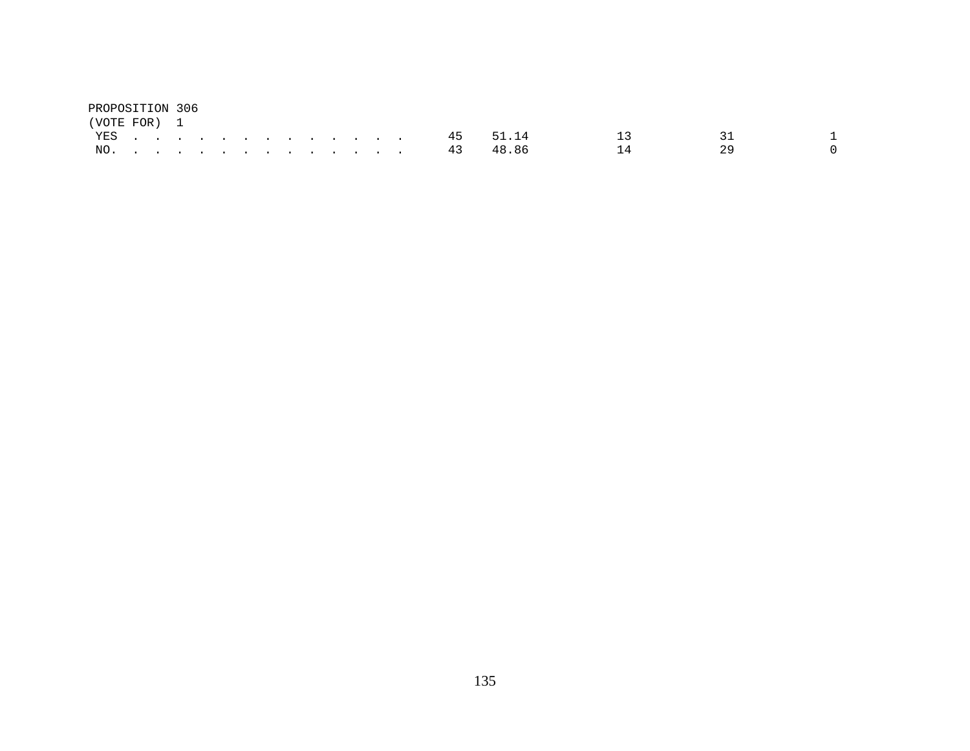| PROPOSITION 306 |  |  |  |  |  |  |  |              |    |    |  |
|-----------------|--|--|--|--|--|--|--|--------------|----|----|--|
| (VOTE FOR) 1    |  |  |  |  |  |  |  |              |    |    |  |
|                 |  |  |  |  |  |  |  | YES 45 51.14 |    |    |  |
| NO.             |  |  |  |  |  |  |  | 43 48.86     | 14 | 29 |  |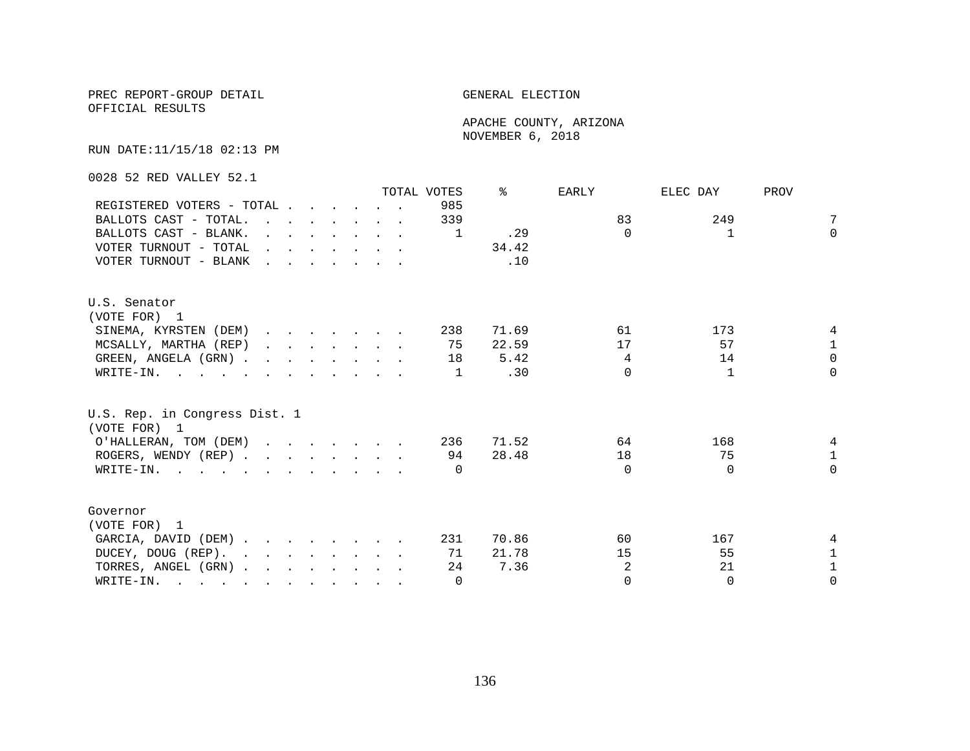OFFICIAL RESULTS

 APACHE COUNTY, ARIZONA NOVEMBER 6, 2018

RUN DATE:11/15/18 02:13 PM

0028 52 RED VALLEY 52.1

|                                                             |  |                                                                          |  | TOTAL VOTES | °≈    | EARLY          | ELEC DAY     | PROV         |
|-------------------------------------------------------------|--|--------------------------------------------------------------------------|--|-------------|-------|----------------|--------------|--------------|
| REGISTERED VOTERS - TOTAL                                   |  |                                                                          |  | 985         |       |                |              |              |
| BALLOTS CAST - TOTAL.                                       |  |                                                                          |  | 339         |       | 83             | 249          | 7            |
| BALLOTS CAST - BLANK.                                       |  | $\mathbf{r}$ , $\mathbf{r}$ , $\mathbf{r}$ , $\mathbf{r}$ , $\mathbf{r}$ |  | 1           | .29   | $\Omega$       | $\mathbf{1}$ | $\Omega$     |
| VOTER TURNOUT - TOTAL $\cdot \cdot \cdot \cdot \cdot \cdot$ |  |                                                                          |  |             | 34.42 |                |              |              |
| VOTER TURNOUT - BLANK                                       |  |                                                                          |  |             | .10   |                |              |              |
| U.S. Senator                                                |  |                                                                          |  |             |       |                |              |              |
| (VOTE FOR) 1                                                |  |                                                                          |  |             |       |                |              |              |
| SINEMA, KYRSTEN (DEM)                                       |  |                                                                          |  | 238         | 71.69 | 61             | 173          |              |
| MCSALLY, MARTHA (REP)                                       |  |                                                                          |  | 75          | 22.59 | 17             | 57           | $\mathbf 1$  |
| GREEN, ANGELA (GRN)                                         |  |                                                                          |  | 18          | 5.42  | 4              | 14           | $\Omega$     |
| WRITE-IN.                                                   |  |                                                                          |  | 1           | .30   | $\Omega$       | $\mathbf{1}$ | $\Omega$     |
| U.S. Rep. in Congress Dist. 1<br>(VOTE FOR) 1               |  |                                                                          |  |             |       |                |              |              |
| O'HALLERAN, TOM (DEM) 236                                   |  |                                                                          |  |             | 71.52 | 64             | 168          | 4            |
| ROGERS, WENDY (REP)                                         |  |                                                                          |  | 94          | 28.48 | 18             | 75           | $\mathbf{1}$ |
| WRITE-IN.                                                   |  |                                                                          |  | $\Omega$    |       | $\Omega$       | $\Omega$     | $\Omega$     |
| Governor                                                    |  |                                                                          |  |             |       |                |              |              |
| (VOTE FOR) 1                                                |  |                                                                          |  |             |       |                |              |              |
|                                                             |  |                                                                          |  | 231         | 70.86 | 60             | 167          |              |
| GARCIA, DAVID (DEM)                                         |  |                                                                          |  |             |       |                |              |              |
| DUCEY, DOUG (REP).                                          |  |                                                                          |  | 71          | 21.78 | 15             | 55           | $\mathbf 1$  |
| TORRES, ANGEL (GRN)                                         |  |                                                                          |  | 24          | 7.36  | $\overline{2}$ | 21           | $\mathbf{1}$ |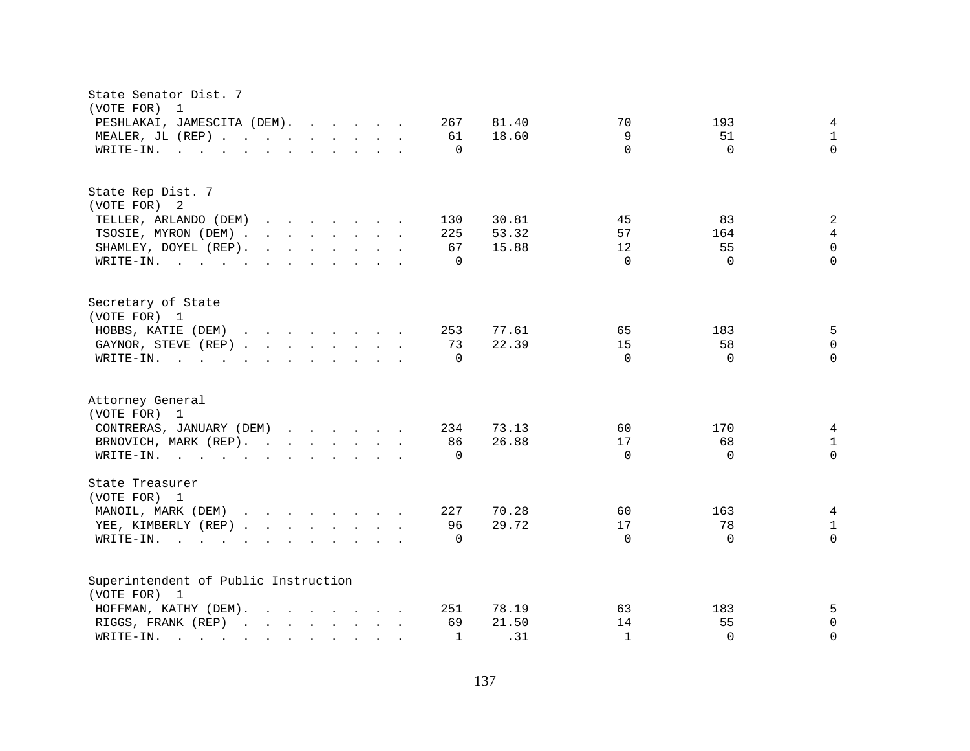| State Senator Dist. 7<br>(VOTE FOR)<br>1                                                                                                                                                                                                                                                                                                                                                                                                                   |                                                                                                                                                                                                                                   |  |                          |                         |                      |                       |                                 |
|------------------------------------------------------------------------------------------------------------------------------------------------------------------------------------------------------------------------------------------------------------------------------------------------------------------------------------------------------------------------------------------------------------------------------------------------------------|-----------------------------------------------------------------------------------------------------------------------------------------------------------------------------------------------------------------------------------|--|--------------------------|-------------------------|----------------------|-----------------------|---------------------------------|
| PESHLAKAI, JAMESCITA (DEM).<br>MEALER, JL (REP)<br>WRITE-IN.<br>$\mathbf{r}$ , $\mathbf{r}$ , $\mathbf{r}$ , $\mathbf{r}$ , $\mathbf{r}$ , $\mathbf{r}$ , $\mathbf{r}$ , $\mathbf{r}$                                                                                                                                                                                                                                                                      |                                                                                                                                                                                                                                   |  | 267<br>61<br>$\mathbf 0$ | 81.40<br>18.60          | 70<br>9<br>$\Omega$  | 193<br>51<br>$\Omega$ | 4<br>$\mathbf{1}$<br>$\Omega$   |
| State Rep Dist. 7<br>(VOTE FOR) 2<br>TELLER, ARLANDO (DEM)<br>TSOSIE, MYRON (DEM).<br>$\mathbf{r}$ , $\mathbf{r}$ , $\mathbf{r}$ , $\mathbf{r}$ , $\mathbf{r}$ , $\mathbf{r}$ , $\mathbf{r}$<br>$\mathbf{r}$ . The set of the set of the set of the set of the set of the set of the set of the set of the set of the set of the set of the set of the set of the set of the set of the set of the set of the set of the set of t<br>SHAMLEY, DOYEL (REP). | $\mathbf{r}$ . The set of the set of the set of the set of the set of the set of the set of the set of the set of the set of the set of the set of the set of the set of the set of the set of the set of the set of the set of t |  | 130<br>225<br>67         | 30.81<br>53.32<br>15.88 | 45<br>57<br>12       | 83<br>164<br>55       | 2<br>$\overline{4}$<br>$\Omega$ |
| WRITE-IN.                                                                                                                                                                                                                                                                                                                                                                                                                                                  |                                                                                                                                                                                                                                   |  | $\Omega$                 |                         | $\Omega$             | $\Omega$              | $\Omega$                        |
| Secretary of State<br>(VOTE FOR) 1<br>HOBBS, KATIE (DEM)<br>GAYNOR, STEVE (REP)<br>WRITE-IN.<br>$\mathbf{r}$ , and $\mathbf{r}$ , and $\mathbf{r}$ , and $\mathbf{r}$ , and $\mathbf{r}$                                                                                                                                                                                                                                                                   |                                                                                                                                                                                                                                   |  | 253<br>73<br>$\Omega$    | 77.61<br>22.39          | 65<br>15<br>$\Omega$ | 183<br>58<br>$\Omega$ | 5<br>$\Omega$<br>$\Omega$       |
| Attorney General<br>(VOTE FOR) 1<br>CONTRERAS, JANUARY (DEM)<br>BRNOVICH, MARK (REP).<br>WRITE-IN.                                                                                                                                                                                                                                                                                                                                                         |                                                                                                                                                                                                                                   |  | 234<br>86<br>$\Omega$    | 73.13<br>26.88          | 60<br>17<br>$\Omega$ | 170<br>68<br>$\Omega$ | 4<br>$\mathbf{1}$<br>$\Omega$   |
| State Treasurer<br>(VOTE FOR) 1<br>MANOIL, MARK (DEM)<br>YEE, KIMBERLY (REP)<br>WRITE-IN.<br>$\mathbf{r}$ , and $\mathbf{r}$ , and $\mathbf{r}$ , and $\mathbf{r}$ , and $\mathbf{r}$                                                                                                                                                                                                                                                                      |                                                                                                                                                                                                                                   |  | 227<br>96<br>$\Omega$    | 70.28<br>29.72          | 60<br>17<br>$\Omega$ | 163<br>78<br>$\Omega$ | 4<br>$\mathbf{1}$<br>$\Omega$   |
| Superintendent of Public Instruction<br>(VOTE FOR) 1<br>HOFFMAN, KATHY (DEM).                                                                                                                                                                                                                                                                                                                                                                              |                                                                                                                                                                                                                                   |  | 251                      | 78.19                   | 63                   | 183                   | 5                               |
| RIGGS, FRANK (REP)<br>WRITE-IN.                                                                                                                                                                                                                                                                                                                                                                                                                            |                                                                                                                                                                                                                                   |  | 69<br>$\mathbf{1}$       | 21.50<br>.31            | 14<br>$\mathbf{1}$   | 55<br>$\Omega$        | 0<br>$\Omega$                   |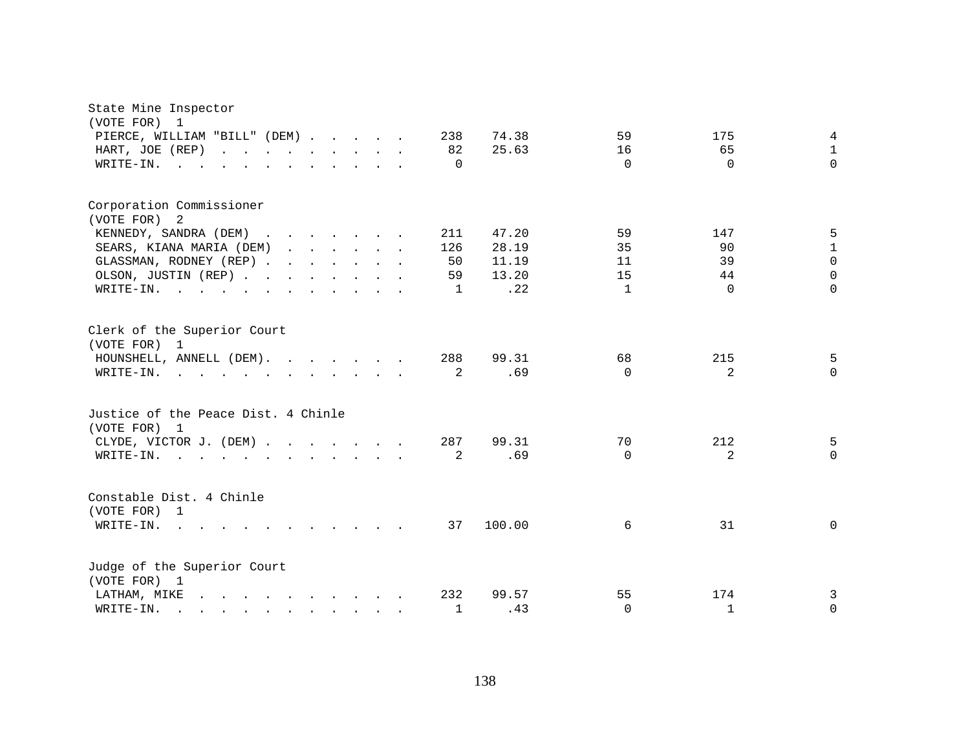| State Mine Inspector<br>(VOTE FOR)<br>1                                                                                                                                                                                                                  |              |        |              |              |              |
|----------------------------------------------------------------------------------------------------------------------------------------------------------------------------------------------------------------------------------------------------------|--------------|--------|--------------|--------------|--------------|
| PIERCE, WILLIAM "BILL" (DEM)                                                                                                                                                                                                                             | 238          | 74.38  | 59           | 175          | 4            |
| HART, JOE (REP)                                                                                                                                                                                                                                          | 82           | 25.63  | 16           | 65           | $\mathbf 1$  |
| WRITE-IN.<br>the contract of the contract of the contract of the contract of the contract of the contract of the contract of                                                                                                                             | $\Omega$     |        | $\Omega$     | $\Omega$     | $\Omega$     |
|                                                                                                                                                                                                                                                          |              |        |              |              |              |
| Corporation Commissioner<br>(VOTE FOR) 2                                                                                                                                                                                                                 |              |        |              |              |              |
| KENNEDY, SANDRA (DEM)                                                                                                                                                                                                                                    | 211          | 47.20  | 59           | 147          | 5            |
| SEARS, KIANA MARIA (DEM)                                                                                                                                                                                                                                 | 126          | 28.19  | 35           | 90           | $\mathbf{1}$ |
| GLASSMAN, RODNEY (REP)                                                                                                                                                                                                                                   | 50           | 11.19  | 11           | 39           | $\Omega$     |
| OLSON, JUSTIN (REP)                                                                                                                                                                                                                                      | 59           | 13.20  | 15           | 44           | $\Omega$     |
| WRITE-IN.                                                                                                                                                                                                                                                | 1            | .22    | $\mathbf{1}$ | $\Omega$     | $\Omega$     |
|                                                                                                                                                                                                                                                          |              |        |              |              |              |
| Clerk of the Superior Court<br>(VOTE FOR) 1                                                                                                                                                                                                              |              |        |              |              |              |
| HOUNSHELL, ANNELL (DEM).                                                                                                                                                                                                                                 | 288          | 99.31  | 68           | 215          | 5            |
| WRITE-IN.<br>$\mathbf{r}$ , and $\mathbf{r}$ , and $\mathbf{r}$ , and $\mathbf{r}$ , and $\mathbf{r}$                                                                                                                                                    | 2            | .69    | $\Omega$     | 2            | $\Omega$     |
|                                                                                                                                                                                                                                                          |              |        |              |              |              |
| Justice of the Peace Dist. 4 Chinle<br>(VOTE FOR) 1                                                                                                                                                                                                      |              |        |              |              |              |
| CLYDE, VICTOR J. (DEM)                                                                                                                                                                                                                                   | 287          | 99.31  | 70           | 212          | 5            |
| WRITE-IN.<br>$\mathbf{r}$ , and $\mathbf{r}$ , and $\mathbf{r}$ , and $\mathbf{r}$ , and $\mathbf{r}$                                                                                                                                                    | 2            | .69    | $\Omega$     | 2            | $\mathbf{0}$ |
|                                                                                                                                                                                                                                                          |              |        |              |              |              |
| Constable Dist. 4 Chinle<br>(VOTE FOR) 1                                                                                                                                                                                                                 |              |        |              |              |              |
| WRITE-IN.<br>$\sim$<br>$\mathbf{r}$ , $\mathbf{r}$ , $\mathbf{r}$ , $\mathbf{r}$ , $\mathbf{r}$ , $\mathbf{r}$                                                                                                                                           | 37           | 100.00 | 6            | 31           | $\mathbf 0$  |
|                                                                                                                                                                                                                                                          |              |        |              |              |              |
| Judge of the Superior Court<br>(VOTE FOR) 1                                                                                                                                                                                                              |              |        |              |              |              |
| $\mathbf{r}$ , and $\mathbf{r}$ , and $\mathbf{r}$ , and $\mathbf{r}$ , and $\mathbf{r}$<br>LATHAM, MIKE                                                                                                                                                 | 232          | 99.57  | 55           | 174          | 3            |
| WRITE-IN.<br>$\mathbf{r}$ . The set of the set of the set of the set of the set of the set of the set of the set of the set of the set of the set of the set of the set of the set of the set of the set of the set of the set of the set of t<br>$\sim$ | $\mathbf{1}$ | .43    | $\Omega$     | $\mathbf{1}$ | 0            |
|                                                                                                                                                                                                                                                          |              |        |              |              |              |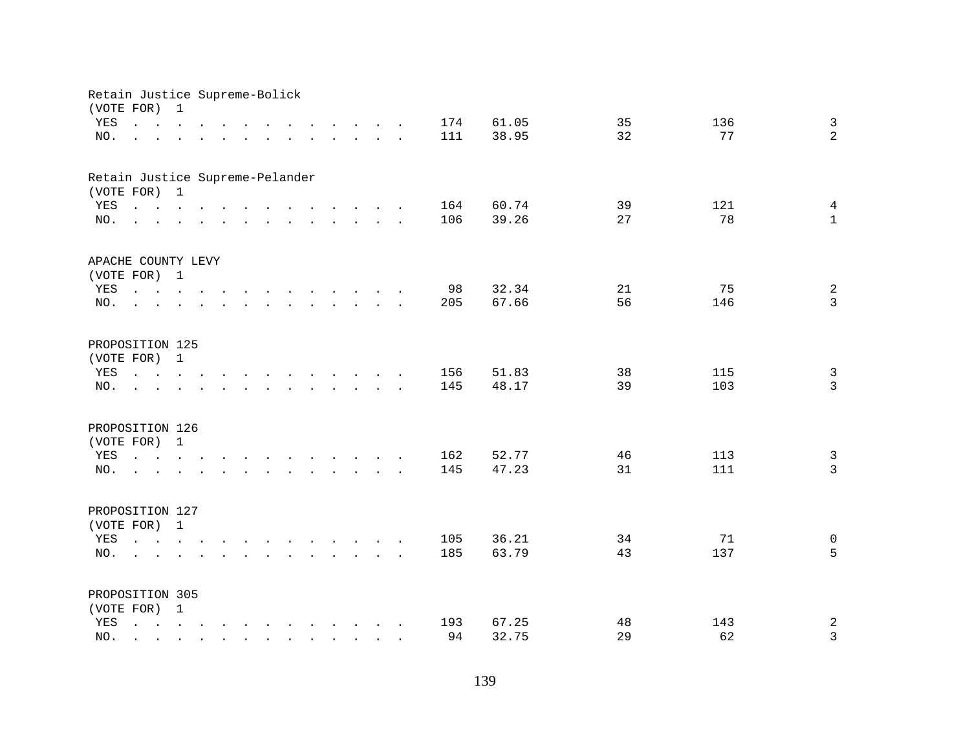| Retain Justice Supreme-Bolick   |                                                                                                                                                                                |   |  |              |                      |                                                                                                                                                                                                                                |                                                           |        |            |                |          |            |                                  |
|---------------------------------|--------------------------------------------------------------------------------------------------------------------------------------------------------------------------------|---|--|--------------|----------------------|--------------------------------------------------------------------------------------------------------------------------------------------------------------------------------------------------------------------------------|-----------------------------------------------------------|--------|------------|----------------|----------|------------|----------------------------------|
| (VOTE FOR)<br>YES<br>NO.        | $\mathbf{r}$ , $\mathbf{r}$ , $\mathbf{r}$ , $\mathbf{r}$ , $\mathbf{r}$                                                                                                       | 1 |  |              |                      | $\mathbf{r}$ , $\mathbf{r}$ , $\mathbf{r}$ , $\mathbf{r}$ , $\mathbf{r}$ , $\mathbf{r}$<br>and a series of the contract of the contract of the contract of the contract of the contract of the contract of                     |                                                           |        | 174<br>111 | 61.05<br>38.95 | 35<br>32 | 136<br>77  | $\mathbf{3}$<br>$\overline{a}$   |
| Retain Justice Supreme-Pelander |                                                                                                                                                                                |   |  |              |                      |                                                                                                                                                                                                                                |                                                           |        |            |                |          |            |                                  |
| (VOTE FOR) 1                    |                                                                                                                                                                                |   |  |              |                      |                                                                                                                                                                                                                                |                                                           |        |            |                |          |            |                                  |
| YES                             |                                                                                                                                                                                |   |  |              |                      |                                                                                                                                                                                                                                |                                                           |        | 164        | 60.74          | 39       | 121        | $\overline{4}$                   |
| NO.                             | $\mathbf{r}$ , and $\mathbf{r}$ , and $\mathbf{r}$ , and $\mathbf{r}$ , and $\mathbf{r}$ , and $\mathbf{r}$                                                                    |   |  |              |                      |                                                                                                                                                                                                                                |                                                           |        | 106        | 39.26          | 27       | 78         | $\mathbf{1}$                     |
| APACHE COUNTY LEVY              |                                                                                                                                                                                |   |  |              |                      |                                                                                                                                                                                                                                |                                                           |        |            |                |          |            |                                  |
| (VOTE FOR) 1                    |                                                                                                                                                                                |   |  |              |                      |                                                                                                                                                                                                                                |                                                           |        |            |                |          |            |                                  |
| YES<br>NO.                      | the contract of the contract of the contract of the contract of the contract of the contract of the contract of                                                                |   |  |              |                      | $\mathbf{r}$ , $\mathbf{r}$ , $\mathbf{r}$ , $\mathbf{r}$ , $\mathbf{r}$ , $\mathbf{r}$                                                                                                                                        |                                                           |        | 98<br>205  | 32.34<br>67.66 | 21<br>56 | 75<br>146  | $\sqrt{2}$<br>$\overline{3}$     |
|                                 | $\sim$                                                                                                                                                                         |   |  |              |                      |                                                                                                                                                                                                                                |                                                           |        |            |                |          |            |                                  |
| PROPOSITION 125                 |                                                                                                                                                                                |   |  |              |                      |                                                                                                                                                                                                                                |                                                           |        |            |                |          |            |                                  |
| (VOTE FOR) 1                    |                                                                                                                                                                                |   |  |              |                      |                                                                                                                                                                                                                                |                                                           |        |            |                |          |            |                                  |
| YES<br>NO.                      | $\mathbf{r}$ , $\mathbf{r}$ , $\mathbf{r}$ , $\mathbf{r}$                                                                                                                      |   |  | $\sim$       |                      | and the contract of the contract of the contract of the contract of the contract of the contract of the contract of the contract of the contract of the contract of the contract of the contract of the contract of the contra |                                                           | $\sim$ | 156<br>145 | 51.83<br>48.17 | 38<br>39 | 115<br>103 | $\mathbf{3}$<br>$\mathbf{3}$     |
|                                 |                                                                                                                                                                                |   |  |              | $\sim$ $\sim$ $\sim$ |                                                                                                                                                                                                                                | $\mathbf{r}$ , $\mathbf{r}$ , $\mathbf{r}$ , $\mathbf{r}$ |        |            |                |          |            |                                  |
| PROPOSITION 126                 |                                                                                                                                                                                |   |  |              |                      |                                                                                                                                                                                                                                |                                                           |        |            |                |          |            |                                  |
| (VOTE FOR)                      |                                                                                                                                                                                | 1 |  |              |                      |                                                                                                                                                                                                                                |                                                           |        |            |                |          |            |                                  |
| YES                             | $\mathbf{r} = \mathbf{r} - \mathbf{r}$ , $\mathbf{r} = \mathbf{r} - \mathbf{r}$ , $\mathbf{r} = \mathbf{r} - \mathbf{r} - \mathbf{r}$ , $\mathbf{r} = \mathbf{r} - \mathbf{r}$ |   |  |              |                      |                                                                                                                                                                                                                                |                                                           |        | 162        | 52.77          | 46       | 113        | $\mathfrak{Z}$<br>$\overline{3}$ |
| NO.                             | <u>na kama sa sana sa sa sa sa sa sa sa</u>                                                                                                                                    |   |  |              |                      |                                                                                                                                                                                                                                |                                                           |        | 145        | 47.23          | 31       | 111        |                                  |
| PROPOSITION 127                 |                                                                                                                                                                                |   |  |              |                      |                                                                                                                                                                                                                                |                                                           |        |            |                |          |            |                                  |
| (VOTE FOR) 1                    |                                                                                                                                                                                |   |  |              |                      |                                                                                                                                                                                                                                |                                                           |        |            |                |          |            |                                  |
| YES                             |                                                                                                                                                                                |   |  |              |                      |                                                                                                                                                                                                                                |                                                           |        | 105        | 36.21          | 34       | 71         | $\mathsf{O}$                     |
| NO.                             | $\mathbf{r} = \mathbf{r}$                                                                                                                                                      |   |  |              |                      |                                                                                                                                                                                                                                |                                                           |        | 185        | 63.79          | 43       | 137        | 5                                |
| PROPOSITION 305                 |                                                                                                                                                                                |   |  |              |                      |                                                                                                                                                                                                                                |                                                           |        |            |                |          |            |                                  |
| (VOTE FOR) 1                    |                                                                                                                                                                                |   |  |              |                      |                                                                                                                                                                                                                                |                                                           |        |            |                |          |            |                                  |
| YES                             | $\mathbf{r}$ , $\mathbf{r}$ , $\mathbf{r}$ , $\mathbf{r}$ , $\mathbf{r}$ , $\mathbf{r}$ , $\mathbf{r}$ , $\mathbf{r}$ , $\mathbf{r}$                                           |   |  |              |                      |                                                                                                                                                                                                                                |                                                           |        | 193        | 67.25          | 48       | 143        | $\boldsymbol{2}$                 |
| NO.                             |                                                                                                                                                                                |   |  | $\mathbf{r}$ |                      | $\mathbf{r}$ . The set of $\mathbf{r}$                                                                                                                                                                                         |                                                           |        | 94         | 32.75          | 29       | 62         | 3                                |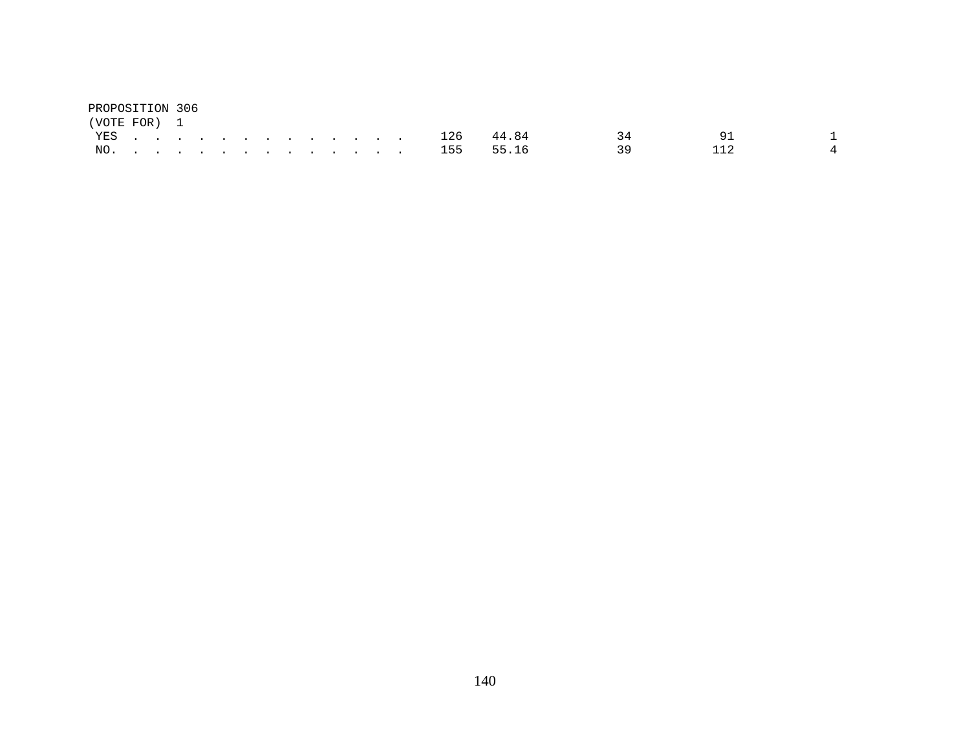| PROPOSITION 306 |  |  |  |  |  |  |  |               |                 |     |  |
|-----------------|--|--|--|--|--|--|--|---------------|-----------------|-----|--|
| (VOTE FOR) 1    |  |  |  |  |  |  |  |               |                 |     |  |
|                 |  |  |  |  |  |  |  | YES 126 44.84 | $\overline{34}$ | -91 |  |
|                 |  |  |  |  |  |  |  | NO. 155 55.16 | $\sim$ 39       |     |  |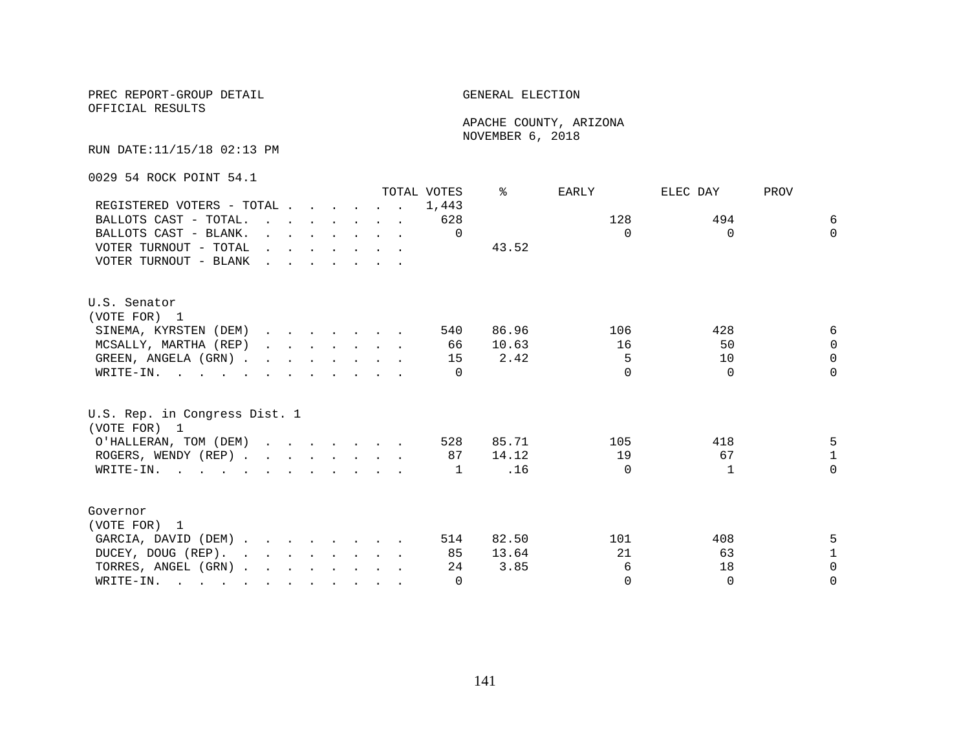OFFICIAL RESULTS

 APACHE COUNTY, ARIZONA NOVEMBER 6, 2018

RUN DATE:11/15/18 02:13 PM

0029 54 ROCK POINT 54.1

|                                                                                                                                                                                                                                                 |                                                                          |  |  | TOTAL VOTES | °≈    | EARLY    | ELEC DAY | PROV         |
|-------------------------------------------------------------------------------------------------------------------------------------------------------------------------------------------------------------------------------------------------|--------------------------------------------------------------------------|--|--|-------------|-------|----------|----------|--------------|
| REGISTERED VOTERS - TOTAL                                                                                                                                                                                                                       |                                                                          |  |  | 1,443       |       |          |          |              |
| BALLOTS CAST - TOTAL                                                                                                                                                                                                                            |                                                                          |  |  | 628         |       | 128      | 494      | 6            |
| BALLOTS CAST - BLANK.                                                                                                                                                                                                                           | $\mathbf{r}$ , $\mathbf{r}$ , $\mathbf{r}$ , $\mathbf{r}$ , $\mathbf{r}$ |  |  | $\Omega$    |       | $\Omega$ | $\Omega$ | $\Omega$     |
| VOTER TURNOUT - TOTAL $\cdot \cdot \cdot \cdot \cdot \cdot$                                                                                                                                                                                     |                                                                          |  |  |             | 43.52 |          |          |              |
| VOTER TURNOUT - BLANK                                                                                                                                                                                                                           |                                                                          |  |  |             |       |          |          |              |
| U.S. Senator                                                                                                                                                                                                                                    |                                                                          |  |  |             |       |          |          |              |
| (VOTE FOR) 1                                                                                                                                                                                                                                    |                                                                          |  |  |             |       |          |          |              |
| SINEMA, KYRSTEN (DEM)                                                                                                                                                                                                                           |                                                                          |  |  | 540         | 86.96 | 106      | 428      | 6            |
| MCSALLY, MARTHA (REP)                                                                                                                                                                                                                           |                                                                          |  |  | 66          | 10.63 | 16       | 50       | $\Omega$     |
| GREEN, ANGELA (GRN)                                                                                                                                                                                                                             |                                                                          |  |  | 15          | 2.42  | 5        | 10       | $\Omega$     |
| WRITE-IN.                                                                                                                                                                                                                                       |                                                                          |  |  | $\cap$      |       | $\cap$   | $\Omega$ | $\Omega$     |
| U.S. Rep. in Congress Dist. 1<br>(VOTE FOR) 1                                                                                                                                                                                                   |                                                                          |  |  |             |       |          |          |              |
| O'HALLERAN, TOM (DEM)                                                                                                                                                                                                                           |                                                                          |  |  | 528         | 85.71 | 105      | 418      | 5            |
| ROGERS, WENDY (REP)                                                                                                                                                                                                                             |                                                                          |  |  | 87          | 14.12 | 19       | 67       | $\mathbf{1}$ |
| WRITE-IN.                                                                                                                                                                                                                                       |                                                                          |  |  | 1           | .16   | $\Omega$ |          | $\Omega$     |
| Governor                                                                                                                                                                                                                                        |                                                                          |  |  |             |       |          |          |              |
| (VOTE FOR) 1                                                                                                                                                                                                                                    |                                                                          |  |  |             |       |          |          |              |
| GARCIA, DAVID (DEM)                                                                                                                                                                                                                             |                                                                          |  |  | 514         | 82.50 | 101      | 408      | 5.           |
| DUCEY, DOUG (REP).                                                                                                                                                                                                                              |                                                                          |  |  | 85          | 13.64 | 21       | 63       | $\mathbf{1}$ |
| TORRES, ANGEL (GRN)                                                                                                                                                                                                                             |                                                                          |  |  | 24          | 3.85  | 6        | 18       | $\Omega$     |
| WRITE-IN.<br>$\mathcal{L}$ . The contract of the contract of the contract of the contract of the contract of the contract of the contract of the contract of the contract of the contract of the contract of the contract of the contract of th |                                                                          |  |  | $\Omega$    |       | $\Omega$ | $\Omega$ | $\Omega$     |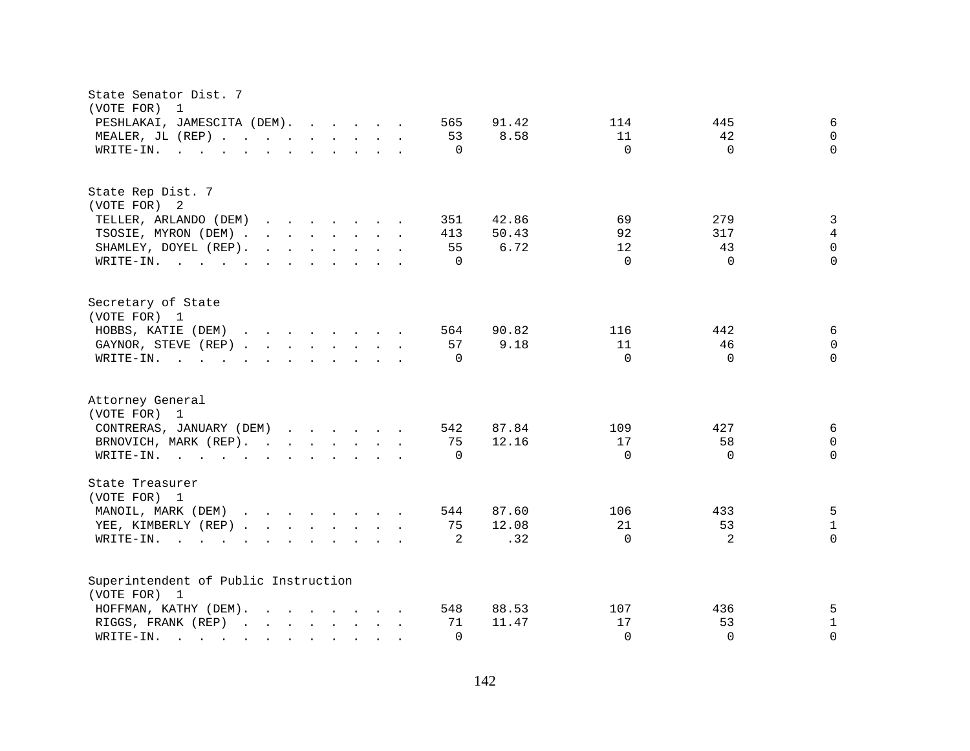| State Senator Dist. 7<br>(VOTE FOR)<br>$\overline{1}$                                                                                                                                                                                                             |                                                |
|-------------------------------------------------------------------------------------------------------------------------------------------------------------------------------------------------------------------------------------------------------------------|------------------------------------------------|
| PESHLAKAI, JAMESCITA (DEM).<br>565                                                                                                                                                                                                                                | $\epsilon$<br>91.42<br>114<br>445              |
| MEALER, JL (REP)<br>53                                                                                                                                                                                                                                            | 8.58<br>11<br>42<br>$\mathbf 0$                |
| WRITE-IN.<br>$\mathbf{r}$ , and $\mathbf{r}$ , and $\mathbf{r}$ , and $\mathbf{r}$ , and $\mathbf{r}$<br>$\Omega$                                                                                                                                                 | $\Omega$<br>$\Omega$<br>$\Omega$               |
|                                                                                                                                                                                                                                                                   |                                                |
| State Rep Dist. 7                                                                                                                                                                                                                                                 |                                                |
| (VOTE FOR) 2                                                                                                                                                                                                                                                      |                                                |
| TELLER, ARLANDO (DEM)<br>351                                                                                                                                                                                                                                      | $\mathbf{3}$<br>69<br>42.86<br>279             |
| TSOSIE, MYRON (DEM)<br>413                                                                                                                                                                                                                                        | $\overline{4}$<br>50.43<br>92<br>317           |
| SHAMLEY, DOYEL (REP).<br>$\mathbf{r}$ , and $\mathbf{r}$ , and $\mathbf{r}$ , and $\mathbf{r}$<br>55                                                                                                                                                              | $\mathsf 0$<br>43<br>6.72<br>$12 \overline{ }$ |
| WRITE-IN.<br>$\Omega$                                                                                                                                                                                                                                             | $\Omega$<br>$\Omega$<br>$\Omega$               |
| Secretary of State                                                                                                                                                                                                                                                |                                                |
| (VOTE FOR) 1                                                                                                                                                                                                                                                      |                                                |
| HOBBS, KATIE (DEM)<br>564                                                                                                                                                                                                                                         | 6<br>90.82<br>442<br>116                       |
| 57<br>GAYNOR, STEVE (REP)                                                                                                                                                                                                                                         | 9.18<br>11<br>46<br>$\mathbf 0$                |
| WRITE-IN.<br>$\mathbf{r}$ . The state of the state of the state $\mathbf{r}$<br>$\Omega$                                                                                                                                                                          | $\Omega$<br>$\Omega$<br>$\Omega$               |
|                                                                                                                                                                                                                                                                   |                                                |
| Attorney General                                                                                                                                                                                                                                                  |                                                |
| (VOTE FOR) 1                                                                                                                                                                                                                                                      |                                                |
| CONTRERAS, JANUARY (DEM)<br>542                                                                                                                                                                                                                                   | 87.84<br>6<br>109<br>427                       |
| BRNOVICH, MARK (REP).<br>75                                                                                                                                                                                                                                       | 12.16<br>58<br>17<br>0                         |
| WRITE-IN.<br>$\Omega$                                                                                                                                                                                                                                             | $\Omega$<br>$\Omega$<br>$\Omega$               |
| State Treasurer                                                                                                                                                                                                                                                   |                                                |
| (VOTE FOR) 1                                                                                                                                                                                                                                                      |                                                |
| MANOIL, MARK (DEM)<br>544                                                                                                                                                                                                                                         | 5<br>87.60<br>106<br>433                       |
| YEE, KIMBERLY (REP)<br>75                                                                                                                                                                                                                                         | 12.08<br>21<br>53<br>$\mathbf{1}$              |
| 2<br>$W\text{RITE-IN.}$<br>$\mathbf{r}$ , and $\mathbf{r}$ , and $\mathbf{r}$ , and $\mathbf{r}$                                                                                                                                                                  | 2<br>.32<br>$\Omega$<br>$\Omega$               |
| Superintendent of Public Instruction                                                                                                                                                                                                                              |                                                |
| (VOTE FOR) 1                                                                                                                                                                                                                                                      |                                                |
| HOFFMAN, KATHY (DEM).<br>$\mathbf{r}$ . The contract of the contract of the contract of the contract of the contract of the contract of the contract of the contract of the contract of the contract of the contract of the contract of the contract of th<br>548 | 88.53<br>107<br>436<br>5                       |
| RIGGS, FRANK (REP)<br>71                                                                                                                                                                                                                                          | $\mathbf{1}$<br>17<br>53<br>11.47              |
| WRITE-IN.<br>$\Omega$<br>$\mathcal{L}^{\mathcal{L}}$ , and $\mathcal{L}^{\mathcal{L}}$ , and $\mathcal{L}^{\mathcal{L}}$<br>$\sim$ $\sim$ $\sim$ $\sim$<br>$\mathbf{r}$ , $\mathbf{r}$ , $\mathbf{r}$                                                             | $\Omega$<br>$\Omega$<br>$\Omega$               |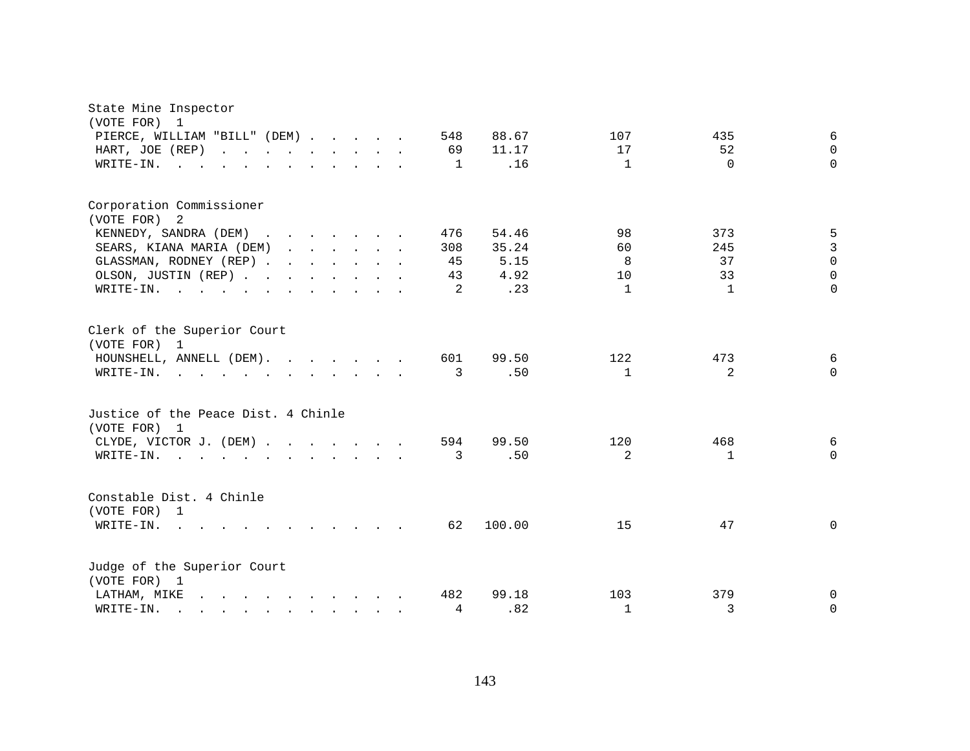| State Mine Inspector<br>(VOTE FOR) 1                                                                                                                                                                                                        |     |        |              |              |             |
|---------------------------------------------------------------------------------------------------------------------------------------------------------------------------------------------------------------------------------------------|-----|--------|--------------|--------------|-------------|
| PIERCE, WILLIAM "BILL" (DEM)                                                                                                                                                                                                                | 548 | 88.67  | 107          | 435          | 6           |
| HART, JOE (REP)<br>$\mathbf{r}$ , $\mathbf{r}$ , $\mathbf{r}$ , $\mathbf{r}$ , $\mathbf{r}$ , $\mathbf{r}$ , $\mathbf{r}$                                                                                                                   | 69  | 11.17  | 17           | 52           | $\Omega$    |
| WRITE-IN.<br>$\mathbf{r}$ , and $\mathbf{r}$ , and $\mathbf{r}$ , and $\mathbf{r}$ , and $\mathbf{r}$                                                                                                                                       | 1   | .16    | $\mathbf{1}$ | $\Omega$     | $\Omega$    |
|                                                                                                                                                                                                                                             |     |        |              |              |             |
| Corporation Commissioner<br>(VOTE FOR) 2                                                                                                                                                                                                    |     |        |              |              |             |
| KENNEDY, SANDRA (DEM)                                                                                                                                                                                                                       | 476 | 54.46  | 98           | 373          | 5           |
| SEARS, KIANA MARIA (DEM)                                                                                                                                                                                                                    | 308 | 35.24  | 60           | 245          | 3           |
| GLASSMAN, RODNEY (REP)                                                                                                                                                                                                                      | 45  | 5.15   | 8            | 37           | $\Omega$    |
| OLSON, JUSTIN (REP)                                                                                                                                                                                                                         | 43  | 4.92   | 10           | 33           | $\Omega$    |
| $\texttt{WRTTE-IN.}$<br>$\cdot$ $\cdot$                                                                                                                                                                                                     | 2   | .23    | $\mathbf{1}$ | $\mathbf{1}$ | $\Omega$    |
|                                                                                                                                                                                                                                             |     |        |              |              |             |
| Clerk of the Superior Court<br>(VOTE FOR) 1                                                                                                                                                                                                 |     |        |              |              |             |
| HOUNSHELL, ANNELL (DEM).                                                                                                                                                                                                                    | 601 | 99.50  | 122          | 473          | 6           |
| WRITE-IN.<br>and the contract of the contract of the contract of the contract of the contract of the contract of the contract of the contract of the contract of the contract of the contract of the contract of the contract of the contra | 3   | .50    | $\mathbf{1}$ | 2            | $\Omega$    |
|                                                                                                                                                                                                                                             |     |        |              |              |             |
| Justice of the Peace Dist. 4 Chinle                                                                                                                                                                                                         |     |        |              |              |             |
| (VOTE FOR) 1                                                                                                                                                                                                                                |     |        |              |              |             |
| CLYDE, VICTOR J. (DEM)                                                                                                                                                                                                                      | 594 | 99.50  | 120          | 468          | 6           |
| WRITE-IN.<br>$\mathbf{r}$ , and $\mathbf{r}$ , and $\mathbf{r}$ , and $\mathbf{r}$ , and $\mathbf{r}$ , and $\mathbf{r}$                                                                                                                    | 3   | .50    | 2            | 1            | $\Omega$    |
| Constable Dist. 4 Chinle<br>(VOTE FOR) 1                                                                                                                                                                                                    |     |        |              |              |             |
| WRITE-IN.<br>$\sim$ 100 $\sim$<br>$\mathbf{r}$ , and $\mathbf{r}$ , and $\mathbf{r}$ , and $\mathbf{r}$                                                                                                                                     | 62  | 100.00 | 15           | 47           | $\mathbf 0$ |
|                                                                                                                                                                                                                                             |     |        |              |              |             |
| Judge of the Superior Court<br>(VOTE FOR) 1                                                                                                                                                                                                 |     |        |              |              |             |
| LATHAM, MIKE<br>$\mathbf{r}$ , and $\mathbf{r}$ , and $\mathbf{r}$ , and $\mathbf{r}$                                                                                                                                                       | 482 | 99.18  | 103          | 379          | 0           |
| WRITE-IN.<br>$\mathbf{r}$ , and $\mathbf{r}$ , and $\mathbf{r}$ , and $\mathbf{r}$ , and $\mathbf{r}$                                                                                                                                       | 4   | .82    | $\mathbf{1}$ | 3            | $\Omega$    |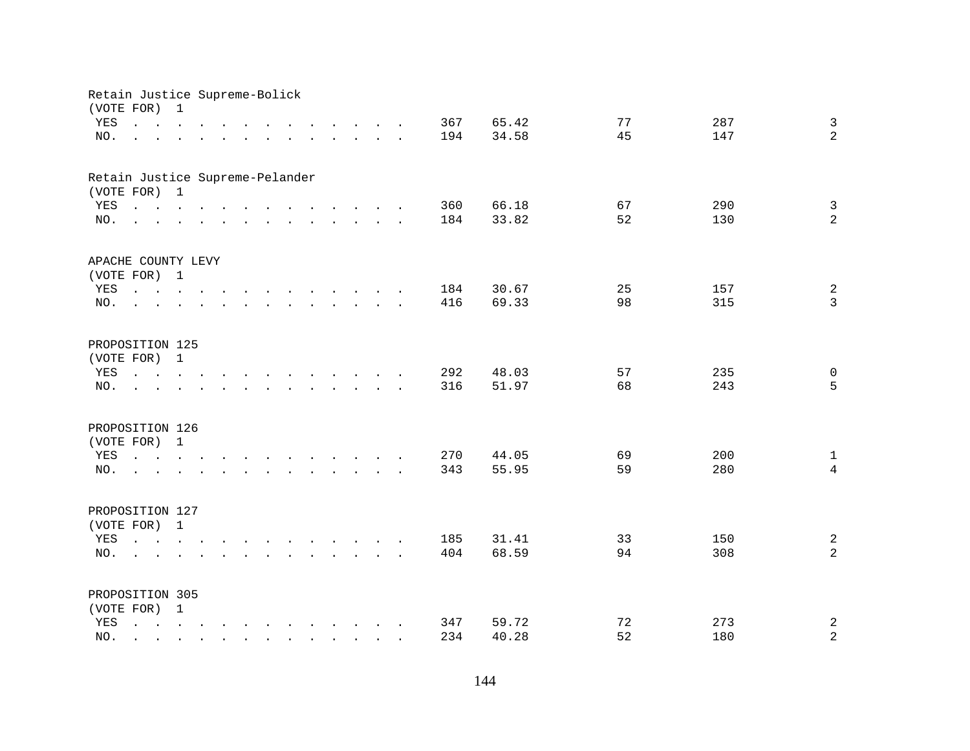| Retain Justice Supreme-Bolick   |                                                                                                                                                                                                                                  |              |  |        |                                                                                                                    |                                        |        |  |            |                |          |            |                                |
|---------------------------------|----------------------------------------------------------------------------------------------------------------------------------------------------------------------------------------------------------------------------------|--------------|--|--------|--------------------------------------------------------------------------------------------------------------------|----------------------------------------|--------|--|------------|----------------|----------|------------|--------------------------------|
| (VOTE FOR)<br>YES               | $\mathbf{r}$ , $\mathbf{r}$ , $\mathbf{r}$ , $\mathbf{r}$ , $\mathbf{r}$                                                                                                                                                         | 1            |  |        | $\mathbf{r}$ , $\mathbf{r}$ , $\mathbf{r}$ , $\mathbf{r}$ , $\mathbf{r}$ , $\mathbf{r}$                            |                                        |        |  | 367        | 65.42          | 77       | 287        | $\mathbf{3}$                   |
| NO.                             | and a series of the contract of the contract of the contract of the contract of the contract of the contract of                                                                                                                  |              |  |        |                                                                                                                    |                                        |        |  | 194        | 34.58          | 45       | 147        | $\overline{a}$                 |
| Retain Justice Supreme-Pelander |                                                                                                                                                                                                                                  |              |  |        |                                                                                                                    |                                        |        |  |            |                |          |            |                                |
| (VOTE FOR) 1                    |                                                                                                                                                                                                                                  |              |  |        |                                                                                                                    |                                        |        |  |            |                |          |            |                                |
| YES<br>NO.                      | $\mathbf{r}$ , and $\mathbf{r}$ , and $\mathbf{r}$ , and $\mathbf{r}$ , and $\mathbf{r}$ , and $\mathbf{r}$                                                                                                                      |              |  |        |                                                                                                                    |                                        |        |  | 360<br>184 | 66.18<br>33.82 | 67<br>52 | 290<br>130 | $\mathbf{3}$<br>$\overline{a}$ |
|                                 |                                                                                                                                                                                                                                  |              |  |        |                                                                                                                    |                                        |        |  |            |                |          |            |                                |
| APACHE COUNTY LEVY              |                                                                                                                                                                                                                                  |              |  |        |                                                                                                                    |                                        |        |  |            |                |          |            |                                |
| (VOTE FOR) 1                    |                                                                                                                                                                                                                                  |              |  |        |                                                                                                                    |                                        |        |  |            |                |          |            |                                |
| YES                             |                                                                                                                                                                                                                                  |              |  |        |                                                                                                                    |                                        |        |  | 184        | 30.67          | 25       | 157        | $\sqrt{2}$                     |
| NO.                             | $\sim$                                                                                                                                                                                                                           |              |  |        | $\mathbf{r}$ , $\mathbf{r}$ , $\mathbf{r}$ , $\mathbf{r}$ , $\mathbf{r}$ , $\mathbf{r}$                            |                                        |        |  | 416        | 69.33          | 98       | 315        | $\overline{3}$                 |
| PROPOSITION 125                 |                                                                                                                                                                                                                                  |              |  |        |                                                                                                                    |                                        |        |  |            |                |          |            |                                |
| (VOTE FOR) 1                    |                                                                                                                                                                                                                                  |              |  |        |                                                                                                                    |                                        |        |  |            |                |          |            |                                |
| YES                             | $\begin{array}{cccccccccccccc} \bullet & \bullet & \bullet & \bullet & \bullet & \bullet & \bullet & \bullet & \bullet & \bullet \end{array}$                                                                                    |              |  | $\sim$ | the contract of the contract of the contract of the contract of the contract of the contract of the contract of    |                                        |        |  | 292        | 48.03          | 57       | 235        | 0                              |
| NO.                             |                                                                                                                                                                                                                                  |              |  |        |                                                                                                                    | $\mathbf{r}$ . The set of $\mathbf{r}$ | $\sim$ |  | 316        | 51.97          | 68       | 243        | 5                              |
| PROPOSITION 126                 |                                                                                                                                                                                                                                  |              |  |        |                                                                                                                    |                                        |        |  |            |                |          |            |                                |
| (VOTE FOR)                      |                                                                                                                                                                                                                                  | $\mathbf{1}$ |  |        |                                                                                                                    |                                        |        |  |            |                |          |            |                                |
| YES                             | $\mathbf{r} = \mathbf{r} - \mathbf{r}$ , $\mathbf{r} = \mathbf{r} - \mathbf{r}$ , $\mathbf{r} = \mathbf{r} - \mathbf{r} - \mathbf{r}$ , $\mathbf{r} = \mathbf{r} - \mathbf{r}$                                                   |              |  |        |                                                                                                                    |                                        |        |  | 270        | 44.05          | 69       | 200        | $\mathbf{1}$                   |
| NO.                             | $\mathbf{r}$ , and the set of the set of the set of the set of the set of the set of the set of the set of the set of the set of the set of the set of the set of the set of the set of the set of the set of the set of the set |              |  |        |                                                                                                                    |                                        |        |  | 343        | 55.95          | 59       | 280        | $\overline{4}$                 |
| PROPOSITION 127                 |                                                                                                                                                                                                                                  |              |  |        |                                                                                                                    |                                        |        |  |            |                |          |            |                                |
| (VOTE FOR) 1                    |                                                                                                                                                                                                                                  |              |  |        |                                                                                                                    |                                        |        |  |            |                |          |            |                                |
| YES                             |                                                                                                                                                                                                                                  |              |  |        |                                                                                                                    |                                        |        |  | 185        | 31.41          | 33       | 150        | $\overline{a}$                 |
| NO.                             | $\mathbf{L} = \mathbf{L}$                                                                                                                                                                                                        |              |  |        | $\mathbf{r}$ and $\mathbf{r}$ and $\mathbf{r}$ and $\mathbf{r}$ and $\mathbf{r}$ and $\mathbf{r}$ and $\mathbf{r}$ |                                        |        |  | 404        | 68.59          | 94       | 308        | $\overline{a}$                 |
|                                 |                                                                                                                                                                                                                                  |              |  |        |                                                                                                                    |                                        |        |  |            |                |          |            |                                |
| PROPOSITION 305                 |                                                                                                                                                                                                                                  |              |  |        |                                                                                                                    |                                        |        |  |            |                |          |            |                                |
| (VOTE FOR) 1                    |                                                                                                                                                                                                                                  |              |  |        |                                                                                                                    |                                        |        |  |            |                |          |            |                                |
| YES                             | $\mathbf{r} = \mathbf{r} - \mathbf{r}$ , $\mathbf{r} = \mathbf{r} - \mathbf{r}$ , $\mathbf{r} = \mathbf{r} - \mathbf{r} - \mathbf{r}$ , $\mathbf{r} = \mathbf{r} - \mathbf{r}$                                                   |              |  |        |                                                                                                                    |                                        |        |  | 347        | 59.72          | 72       | 273        | $\boldsymbol{2}$               |
| NO.                             |                                                                                                                                                                                                                                  |              |  |        | $\mathbf{r}$ , $\mathbf{r}$ , $\mathbf{r}$ , $\mathbf{r}$                                                          |                                        |        |  | 234        | 40.28          | 52       | 180        | $\overline{a}$                 |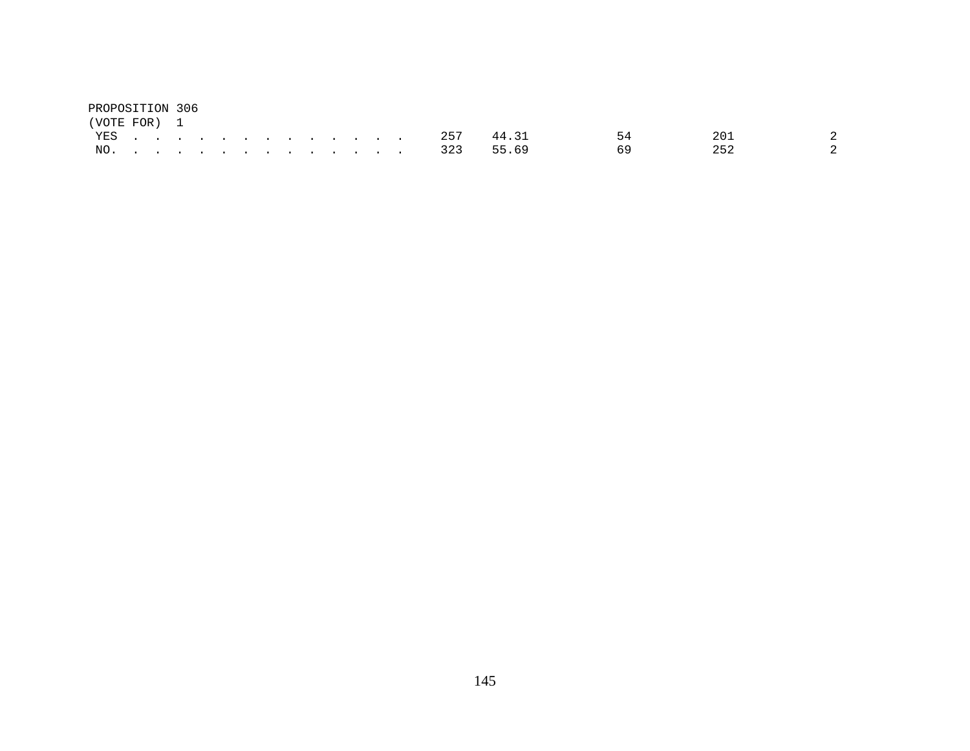| PROPOSITION 306 |  |  |  |  |  |  |               |       |    |     |               |
|-----------------|--|--|--|--|--|--|---------------|-------|----|-----|---------------|
| (VOTE FOR) 1    |  |  |  |  |  |  |               |       |    |     |               |
|                 |  |  |  |  |  |  | YES 257       | 44.31 | 54 | 201 |               |
|                 |  |  |  |  |  |  | NO. 323 55.69 |       |    | 252 | $\mathcal{L}$ |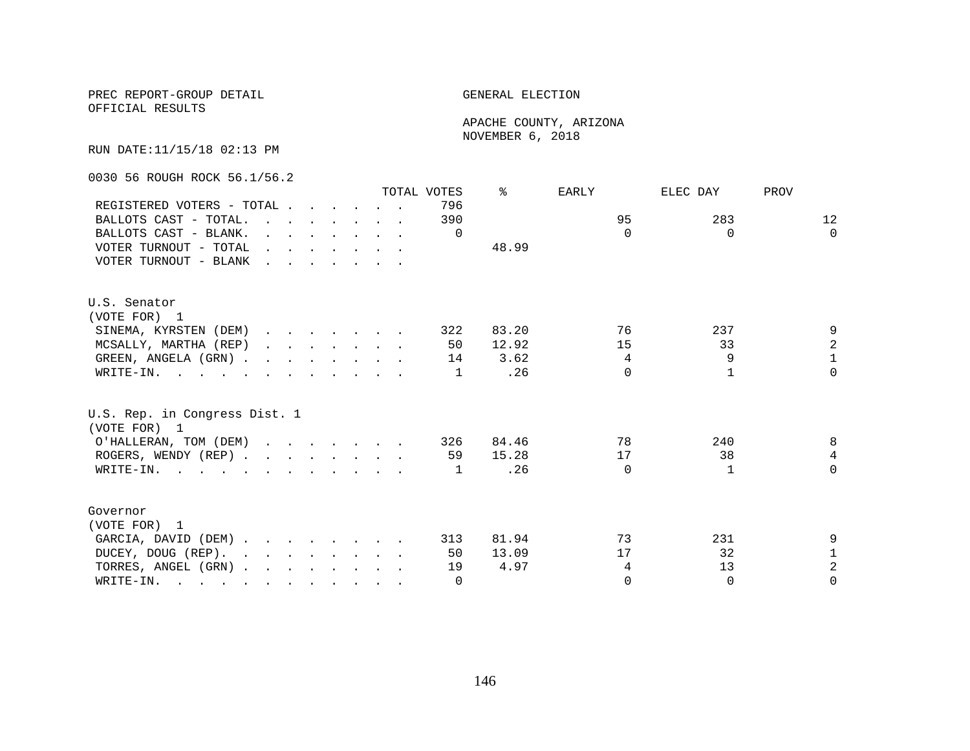OFFICIAL RESULTS

 APACHE COUNTY, ARIZONA NOVEMBER 6, 2018

RUN DATE:11/15/18 02:13 PM

0030 56 ROUGH ROCK 56.1/56.2

|                                                                                                                          |                                                    |  |  |                                                                                         | TOTAL VOTES | ⊱     | EARLY    | ELEC DAY | PROV           |
|--------------------------------------------------------------------------------------------------------------------------|----------------------------------------------------|--|--|-----------------------------------------------------------------------------------------|-------------|-------|----------|----------|----------------|
| REGISTERED VOTERS - TOTAL                                                                                                |                                                    |  |  |                                                                                         | 796         |       |          |          |                |
| BALLOTS CAST - TOTAL.                                                                                                    |                                                    |  |  | $\mathbf{r}$ , $\mathbf{r}$ , $\mathbf{r}$ , $\mathbf{r}$ , $\mathbf{r}$                | 390         |       | 95       | 283      | 12             |
| BALLOTS CAST - BLANK.                                                                                                    |                                                    |  |  | $\mathbf{r}$ and $\mathbf{r}$ and $\mathbf{r}$ and $\mathbf{r}$ and $\mathbf{r}$        | $\Omega$    |       | $\Omega$ | $\Omega$ | $\Omega$       |
| VOTER TURNOUT - TOTAL                                                                                                    |                                                    |  |  | $\mathbf{r}$ , $\mathbf{r}$ , $\mathbf{r}$ , $\mathbf{r}$ , $\mathbf{r}$ , $\mathbf{r}$ |             | 48.99 |          |          |                |
| VOTER TURNOUT - BLANK                                                                                                    | <u>in the second contract of the second second</u> |  |  |                                                                                         |             |       |          |          |                |
| U.S. Senator                                                                                                             |                                                    |  |  |                                                                                         |             |       |          |          |                |
| (VOTE FOR) 1                                                                                                             |                                                    |  |  |                                                                                         |             |       |          |          |                |
| SINEMA, KYRSTEN (DEM)                                                                                                    |                                                    |  |  |                                                                                         | 322         | 83.20 | 76       | 237      | 9              |
| MCSALLY, MARTHA (REP)                                                                                                    |                                                    |  |  | $\mathbf{r}$ , $\mathbf{r}$ , $\mathbf{r}$ , $\mathbf{r}$ , $\mathbf{r}$                | 50          | 12.92 | 15       | 33       | $\overline{a}$ |
| GREEN, ANGELA (GRN).                                                                                                     |                                                    |  |  |                                                                                         | 14          | 3.62  | 4        | 9        | $\mathbf 1$    |
| WRITE-IN.                                                                                                                |                                                    |  |  |                                                                                         | 1           | .26   | $\Omega$ |          | $\Omega$       |
| U.S. Rep. in Congress Dist. 1<br>(VOTE FOR) 1                                                                            |                                                    |  |  |                                                                                         |             |       |          |          |                |
| O'HALLERAN, TOM (DEM)                                                                                                    |                                                    |  |  |                                                                                         | 326         | 84.46 | 78       | 240      | 8              |
| ROGERS, WENDY (REP)                                                                                                      |                                                    |  |  |                                                                                         | 59          | 15.28 | 17       | 38       | $\overline{4}$ |
| WRITE-IN.                                                                                                                |                                                    |  |  |                                                                                         | 1           | .26   | $\Omega$ | 1        | $\Omega$       |
|                                                                                                                          |                                                    |  |  |                                                                                         |             |       |          |          |                |
| Governor                                                                                                                 |                                                    |  |  |                                                                                         |             |       |          |          |                |
| (VOTE FOR) 1                                                                                                             |                                                    |  |  |                                                                                         |             |       |          |          |                |
| GARCIA, DAVID (DEM)                                                                                                      |                                                    |  |  |                                                                                         | 313         | 81.94 | 73       | 231      | 9              |
| DUCEY, DOUG (REP).                                                                                                       |                                                    |  |  |                                                                                         | 50          | 13.09 | 17       | 32       | $\mathbf 1$    |
| TORRES, ANGEL (GRN)                                                                                                      |                                                    |  |  |                                                                                         | 19          | 4.97  | 4        | 13       | $\overline{a}$ |
| WRITE-IN.<br>$\mathbf{r}$ , and $\mathbf{r}$ , and $\mathbf{r}$ , and $\mathbf{r}$ , and $\mathbf{r}$ , and $\mathbf{r}$ |                                                    |  |  |                                                                                         | $\Omega$    |       | $\Omega$ | $\Omega$ | $\Omega$       |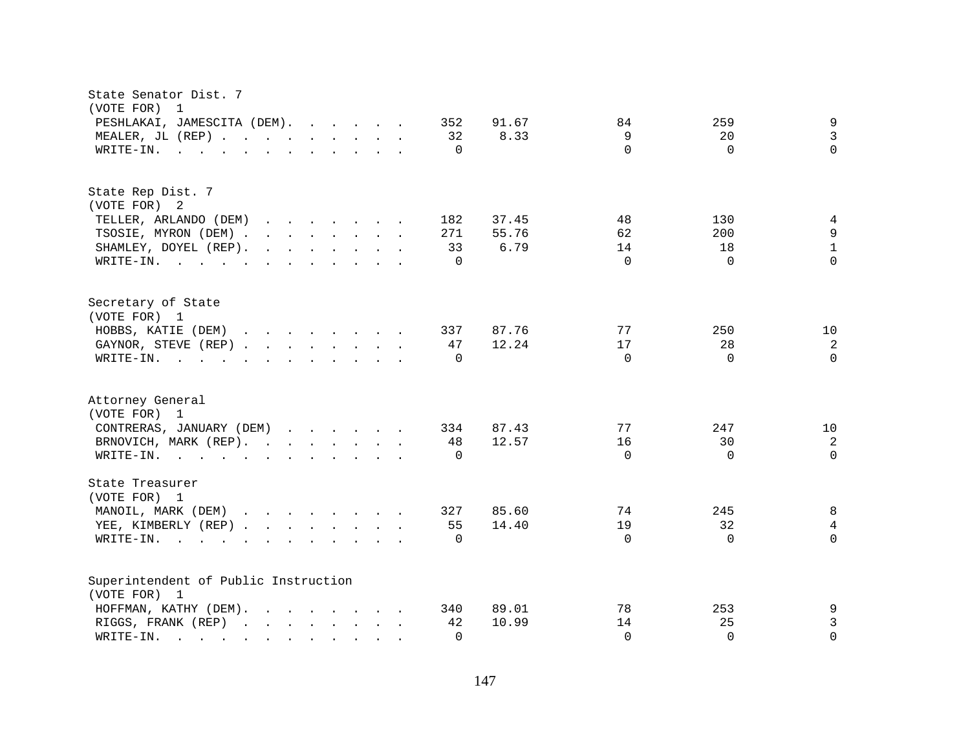| State Senator Dist. 7<br>(VOTE FOR)<br>$\overline{\phantom{0}}$                                                                                                                                                                    |                                     |
|------------------------------------------------------------------------------------------------------------------------------------------------------------------------------------------------------------------------------------|-------------------------------------|
| PESHLAKAI, JAMESCITA (DEM).<br>352                                                                                                                                                                                                 | 9<br>91.67<br>84<br>259             |
| MEALER, JL (REP)<br>32                                                                                                                                                                                                             | $\mathbf{3}$<br>9<br>8.33<br>20     |
| $\Omega$<br>WRITE-IN.                                                                                                                                                                                                              | $\Omega$<br>$\Omega$<br>$\Omega$    |
| $\mathcal{L}$ . The contract of the contract of the contract of the contract of the contract of the contract of the contract of the contract of the contract of the contract of the contract of the contract of the contract of th |                                     |
| State Rep Dist. 7                                                                                                                                                                                                                  |                                     |
| (VOTE FOR) 2                                                                                                                                                                                                                       |                                     |
| TELLER, ARLANDO (DEM)<br>182<br>$\mathbf{r}$ , $\mathbf{r}$ , $\mathbf{r}$ , $\mathbf{r}$ , $\mathbf{r}$ , $\mathbf{r}$                                                                                                            | 37.45<br>48<br>130<br>4             |
| TSOSIE, MYRON (DEM)<br>271                                                                                                                                                                                                         | 9<br>55.76<br>62<br>200             |
| SHAMLEY, DOYEL (REP).<br>33                                                                                                                                                                                                        | $\mathbf{1}$<br>6.79<br>14<br>18    |
| WRITE-IN.<br>$\Omega$                                                                                                                                                                                                              | $\Omega$<br>$\Omega$<br>$\Omega$    |
| Secretary of State                                                                                                                                                                                                                 |                                     |
| (VOTE FOR) 1                                                                                                                                                                                                                       |                                     |
| HOBBS, KATIE (DEM)<br>337                                                                                                                                                                                                          | 87.76<br>77<br>250<br>10            |
| GAYNOR, STEVE (REP)<br>47                                                                                                                                                                                                          | 12.24<br>17<br>28<br>2              |
| WRITE-IN.<br>$\mathbf{r}$ . The state of the state of the state $\mathbf{r}$<br>$\Omega$                                                                                                                                           | $\Omega$<br>$\Omega$<br>$\Omega$    |
|                                                                                                                                                                                                                                    |                                     |
| Attorney General                                                                                                                                                                                                                   |                                     |
| (VOTE FOR) 1                                                                                                                                                                                                                       |                                     |
| CONTRERAS, JANUARY (DEM)<br>334                                                                                                                                                                                                    | 87.43<br>77<br>247<br>10            |
| BRNOVICH, MARK (REP).<br>48                                                                                                                                                                                                        | 12.57<br>$\overline{c}$<br>16<br>30 |
| $\Omega$<br>WRITE-IN.                                                                                                                                                                                                              | $\Omega$<br>$\Omega$<br>$\Omega$    |
| State Treasurer                                                                                                                                                                                                                    |                                     |
| (VOTE FOR) 1                                                                                                                                                                                                                       |                                     |
| MANOIL, MARK (DEM)<br>327                                                                                                                                                                                                          | 8<br>85.60<br>74<br>245             |
| YEE, KIMBERLY (REP)<br>55                                                                                                                                                                                                          | $\overline{4}$<br>19<br>32<br>14.40 |
| $W\text{RITE}-\text{IN}.$<br>$\Omega$<br>$\mathbf{r}$ , $\mathbf{r}$ , $\mathbf{r}$ , $\mathbf{r}$ , $\mathbf{r}$                                                                                                                  | $\Omega$<br>$\Omega$<br>$\Omega$    |
| Superintendent of Public Instruction                                                                                                                                                                                               |                                     |
| (VOTE FOR) 1                                                                                                                                                                                                                       |                                     |
| HOFFMAN, KATHY (DEM).<br>340                                                                                                                                                                                                       | 89.01<br>78<br>253<br>9             |
| RIGGS, FRANK (REP)<br>42                                                                                                                                                                                                           | 3<br>10.99<br>14<br>25              |
| $\Omega$<br>WRITE-IN.<br>$\mathcal{L}(\mathcal{A})$ and $\mathcal{L}(\mathcal{A})$ and $\mathcal{L}(\mathcal{A})$                                                                                                                  | $\Omega$<br>$\Omega$<br>$\Omega$    |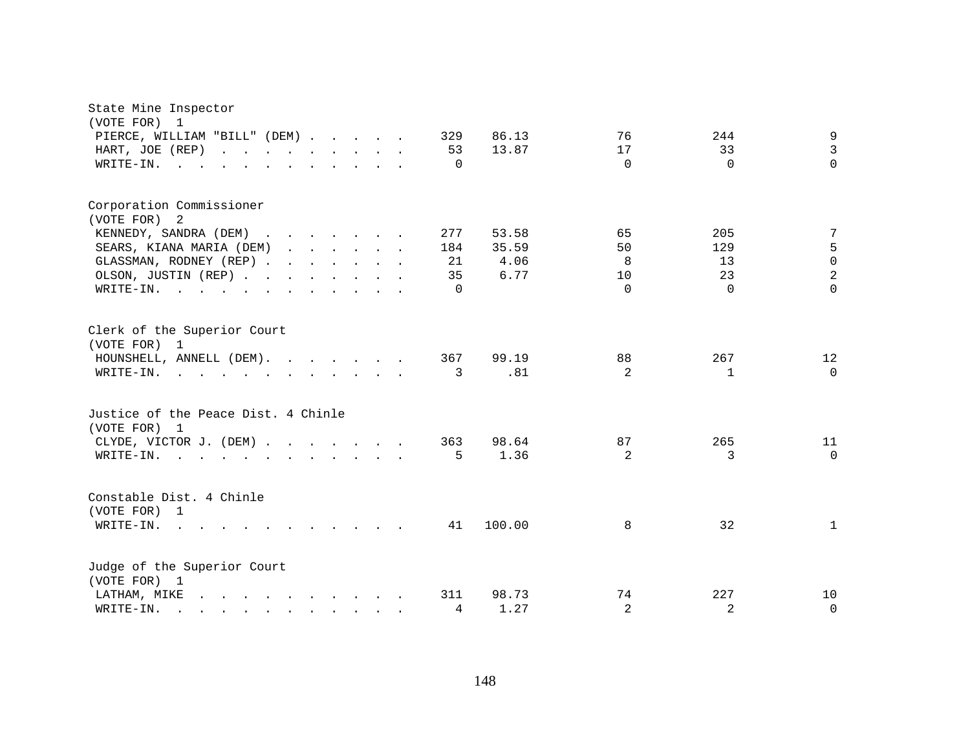| State Mine Inspector<br>(VOTE FOR)<br>$\mathbf{1}$                                                                                                                                                                                             |                                                                      |                                 |                                    |                                                                       |
|------------------------------------------------------------------------------------------------------------------------------------------------------------------------------------------------------------------------------------------------|----------------------------------------------------------------------|---------------------------------|------------------------------------|-----------------------------------------------------------------------|
| PIERCE, WILLIAM "BILL" (DEM)                                                                                                                                                                                                                   | 329<br>86.13                                                         | 76                              | 244                                | 9                                                                     |
| HART, JOE (REP)                                                                                                                                                                                                                                | 53<br>13.87                                                          | 17                              | 33                                 | $\mathbf{3}$                                                          |
| WRITE-IN.                                                                                                                                                                                                                                      | $\Omega$                                                             | $\Omega$                        | $\Omega$                           | $\Omega$                                                              |
| Corporation Commissioner<br>(VOTE FOR) 2<br>KENNEDY, SANDRA (DEM)<br>SEARS, KIANA MARIA (DEM)<br>GLASSMAN, RODNEY (REP)<br>OLSON, JUSTIN (REP)<br>WRITE-IN.                                                                                    | 53.58<br>277<br>184<br>35.59<br>4.06<br>21<br>35<br>6.77<br>$\Omega$ | 65<br>50<br>8<br>10<br>$\Omega$ | 205<br>129<br>13<br>23<br>$\Omega$ | 7<br>$\mathsf S$<br>$\mathsf{O}\xspace$<br>$\overline{a}$<br>$\Omega$ |
| Clerk of the Superior Court<br>(VOTE FOR) 1<br>HOUNSHELL, ANNELL (DEM).<br>WRITE-IN.                                                                                                                                                           | 99.19<br>367<br>.81<br>3                                             | 88<br>2                         | 267<br>$\mathbf{1}$                | 12<br>$\Omega$                                                        |
| Justice of the Peace Dist. 4 Chinle<br>(VOTE FOR) 1                                                                                                                                                                                            |                                                                      |                                 |                                    |                                                                       |
| CLYDE, VICTOR J. (DEM)                                                                                                                                                                                                                         | 98.64<br>363                                                         | 87                              | 265                                | 11                                                                    |
| WRITE-IN.<br>$\mathbf{r}$ , $\mathbf{r}$ , $\mathbf{r}$ , $\mathbf{r}$ , $\mathbf{r}$ , $\mathbf{r}$ , $\mathbf{r}$ , $\mathbf{r}$                                                                                                             | 1.36<br>5                                                            | 2                               | 3                                  | $\Omega$                                                              |
| Constable Dist. 4 Chinle<br>(VOTE FOR) 1<br>WRITE-IN.<br>$\sim$ 100 $\pm$<br>$\mathbf{r}$ , $\mathbf{r}$ , $\mathbf{r}$ , $\mathbf{r}$ , $\mathbf{r}$ , $\mathbf{r}$                                                                           | 100.00<br>41                                                         | 8                               | 32                                 | $\mathbf{1}$                                                          |
| Judge of the Superior Court<br>(VOTE FOR) 1<br>LATHAM, MIKE<br>$\mathbf{r}$ , $\mathbf{r}$ , $\mathbf{r}$ , $\mathbf{r}$ , $\mathbf{r}$ , $\mathbf{r}$ , $\mathbf{r}$                                                                          | 311<br>98.73                                                         | 74                              | 227                                | 10                                                                    |
| WRITE-IN.<br>$\mathbf{r}$ . The set of the set of the set of the set of the set of the set of the set of the set of the set of the set of the set of the set of the set of the set of the set of the set of the set of the set of the set of t | 4<br>1.27                                                            | 2                               | 2                                  | $\mathbf 0$                                                           |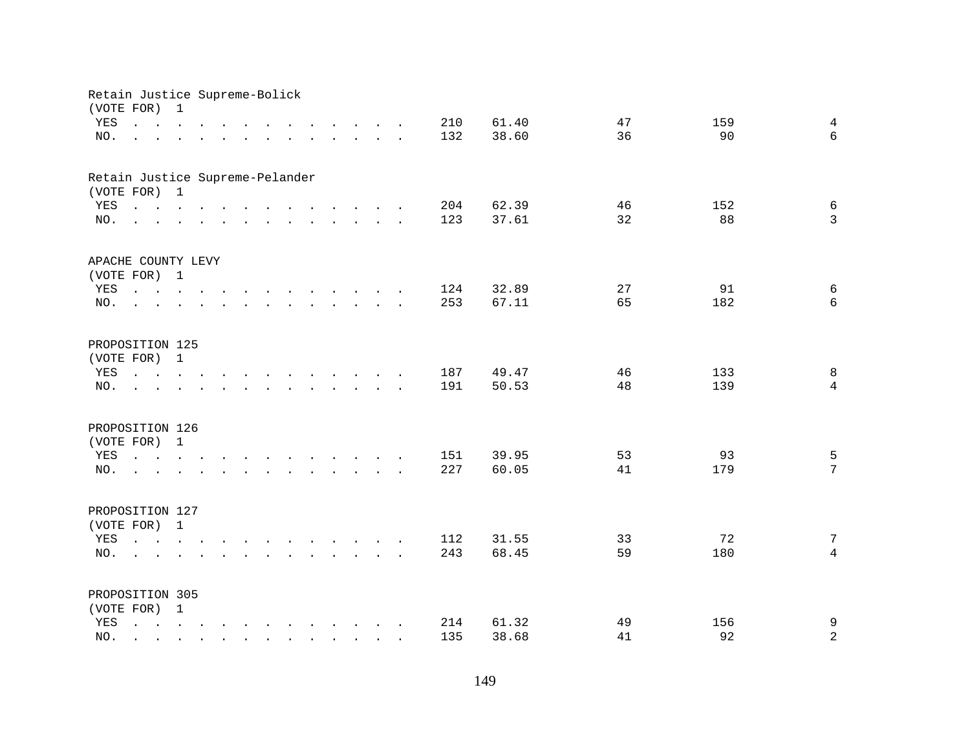| Retain Justice Supreme-Bolick<br>(VOTE FOR) 1 |                                                                                                                                                                                                                                                                                                                                               |  |                                                                                                                    |                      |                                                                                                                                                                                                                                   |  |        |            |                |          |           |                     |
|-----------------------------------------------|-----------------------------------------------------------------------------------------------------------------------------------------------------------------------------------------------------------------------------------------------------------------------------------------------------------------------------------------------|--|--------------------------------------------------------------------------------------------------------------------|----------------------|-----------------------------------------------------------------------------------------------------------------------------------------------------------------------------------------------------------------------------------|--|--------|------------|----------------|----------|-----------|---------------------|
| YES                                           | $\mathbf{r}$ , $\mathbf{r}$ , $\mathbf{r}$ , $\mathbf{r}$ , $\mathbf{r}$ , $\mathbf{r}$                                                                                                                                                                                                                                                       |  |                                                                                                                    |                      | $\mathbf{r}$ . The set of the set of the set of the set of the set of the set of the set of the set of the set of the set of the set of the set of the set of the set of the set of the set of the set of the set of the set of t |  |        | 210        | 61.40          | 47       | 159       | $\overline{4}$      |
| NO.                                           | $\mathbf{r}$ , and $\mathbf{r}$ , and $\mathbf{r}$ , and $\mathbf{r}$ , and $\mathbf{r}$ , and $\mathbf{r}$                                                                                                                                                                                                                                   |  |                                                                                                                    |                      |                                                                                                                                                                                                                                   |  |        | 132        | 38.60          | 36       | 90        | $6\overline{6}$     |
| Retain Justice Supreme-Pelander               |                                                                                                                                                                                                                                                                                                                                               |  |                                                                                                                    |                      |                                                                                                                                                                                                                                   |  |        |            |                |          |           |                     |
| (VOTE FOR) 1                                  |                                                                                                                                                                                                                                                                                                                                               |  |                                                                                                                    |                      |                                                                                                                                                                                                                                   |  |        |            |                |          |           |                     |
| YES<br>NO.                                    | $\mathbf{r}$ , and $\mathbf{r}$ , and $\mathbf{r}$ , and $\mathbf{r}$ , and $\mathbf{r}$ , and $\mathbf{r}$<br>and the contract of the contract of the contract of the contract of the contract of the contract of the contract of the contract of the contract of the contract of the contract of the contract of the contract of the contra |  |                                                                                                                    |                      |                                                                                                                                                                                                                                   |  |        | 204<br>123 | 62.39<br>37.61 | 46<br>32 | 152<br>88 | $\epsilon$<br>3     |
|                                               |                                                                                                                                                                                                                                                                                                                                               |  |                                                                                                                    |                      |                                                                                                                                                                                                                                   |  |        |            |                |          |           |                     |
| APACHE COUNTY LEVY                            |                                                                                                                                                                                                                                                                                                                                               |  |                                                                                                                    |                      |                                                                                                                                                                                                                                   |  |        |            |                |          |           |                     |
| (VOTE FOR) 1                                  |                                                                                                                                                                                                                                                                                                                                               |  |                                                                                                                    |                      |                                                                                                                                                                                                                                   |  |        |            |                |          |           |                     |
| YES<br>NO.                                    | the contract of the contract of the contract of the contract of the contract of the contract of the contract of<br><b>Contract</b>                                                                                                                                                                                                            |  |                                                                                                                    |                      | $\mathbf{r}$ . The set of the set of the set of the set of the set of the set of the set of the set of the set of the set of the set of the set of the set of the set of the set of the set of the set of the set of the set of t |  |        | 124<br>253 | 32.89<br>67.11 | 27<br>65 | 91<br>182 | 6<br>6              |
|                                               |                                                                                                                                                                                                                                                                                                                                               |  |                                                                                                                    |                      |                                                                                                                                                                                                                                   |  |        |            |                |          |           |                     |
| PROPOSITION 125                               |                                                                                                                                                                                                                                                                                                                                               |  |                                                                                                                    |                      |                                                                                                                                                                                                                                   |  |        |            |                |          |           |                     |
| (VOTE FOR) 1                                  |                                                                                                                                                                                                                                                                                                                                               |  |                                                                                                                    |                      |                                                                                                                                                                                                                                   |  |        |            |                |          |           |                     |
| YES                                           | $\mathbf{r}$ , $\mathbf{r}$ , $\mathbf{r}$ , $\mathbf{r}$                                                                                                                                                                                                                                                                                     |  |                                                                                                                    | $\sim$               | $\mathbf{r}$ , and $\mathbf{r}$ , and $\mathbf{r}$ , and $\mathbf{r}$                                                                                                                                                             |  |        | 187        | 49.47          | 46       | 133       | 8                   |
| NO.                                           |                                                                                                                                                                                                                                                                                                                                               |  |                                                                                                                    | $\ddot{\phantom{a}}$ | $\mathbf{r}$ , $\mathbf{r}$ , $\mathbf{r}$ , $\mathbf{r}$                                                                                                                                                                         |  | $\sim$ | 191        | 50.53          | 48       | 139       | $\overline{4}$      |
| PROPOSITION 126                               |                                                                                                                                                                                                                                                                                                                                               |  |                                                                                                                    |                      |                                                                                                                                                                                                                                   |  |        |            |                |          |           |                     |
| (VOTE FOR) 1                                  |                                                                                                                                                                                                                                                                                                                                               |  |                                                                                                                    |                      |                                                                                                                                                                                                                                   |  |        |            |                |          |           |                     |
| YES                                           | $\mathbf{r}$ , and $\mathbf{r}$ , and $\mathbf{r}$ , and $\mathbf{r}$ , and $\mathbf{r}$ , and $\mathbf{r}$                                                                                                                                                                                                                                   |  |                                                                                                                    |                      |                                                                                                                                                                                                                                   |  |        | 151        | 39.95          | 53       | 93        | 5                   |
| NO.                                           | the contract of the contract of the contract of the contract of the contract of the contract of the contract of                                                                                                                                                                                                                               |  |                                                                                                                    |                      |                                                                                                                                                                                                                                   |  |        | 227        | 60.05          | 41       | 179       | $7\overline{ }$     |
| PROPOSITION 127                               |                                                                                                                                                                                                                                                                                                                                               |  |                                                                                                                    |                      |                                                                                                                                                                                                                                   |  |        |            |                |          |           |                     |
| (VOTE FOR) 1                                  |                                                                                                                                                                                                                                                                                                                                               |  |                                                                                                                    |                      |                                                                                                                                                                                                                                   |  |        |            |                |          |           |                     |
| YES                                           |                                                                                                                                                                                                                                                                                                                                               |  |                                                                                                                    |                      |                                                                                                                                                                                                                                   |  |        | 112        | 31.55          | 33       | 72        | 7                   |
| NO.                                           | $\sim$ $\sim$ $\sim$ $\sim$                                                                                                                                                                                                                                                                                                                   |  | $\mathbf{r}$ and $\mathbf{r}$ and $\mathbf{r}$ and $\mathbf{r}$ and $\mathbf{r}$ and $\mathbf{r}$ and $\mathbf{r}$ |                      |                                                                                                                                                                                                                                   |  |        | 243        | 68.45          | 59       | 180       | $\overline{4}$      |
|                                               |                                                                                                                                                                                                                                                                                                                                               |  |                                                                                                                    |                      |                                                                                                                                                                                                                                   |  |        |            |                |          |           |                     |
| PROPOSITION 305                               |                                                                                                                                                                                                                                                                                                                                               |  |                                                                                                                    |                      |                                                                                                                                                                                                                                   |  |        |            |                |          |           |                     |
| (VOTE FOR) 1                                  |                                                                                                                                                                                                                                                                                                                                               |  |                                                                                                                    |                      |                                                                                                                                                                                                                                   |  |        |            |                |          |           |                     |
| YES                                           | $\mathbf{r}$ , $\mathbf{r}$ , $\mathbf{r}$ , $\mathbf{r}$ , $\mathbf{r}$ , $\mathbf{r}$ , $\mathbf{r}$ , $\mathbf{r}$ , $\mathbf{r}$                                                                                                                                                                                                          |  |                                                                                                                    |                      |                                                                                                                                                                                                                                   |  |        | 214<br>135 | 61.32<br>38.68 | 49<br>41 | 156<br>92 | 9<br>$\overline{a}$ |
| NO.                                           | $\mathbb{R}^n$                                                                                                                                                                                                                                                                                                                                |  |                                                                                                                    | $\mathbf{r}$         | $\mathbf{r}$ . The set of $\mathbf{r}$                                                                                                                                                                                            |  |        |            |                |          |           |                     |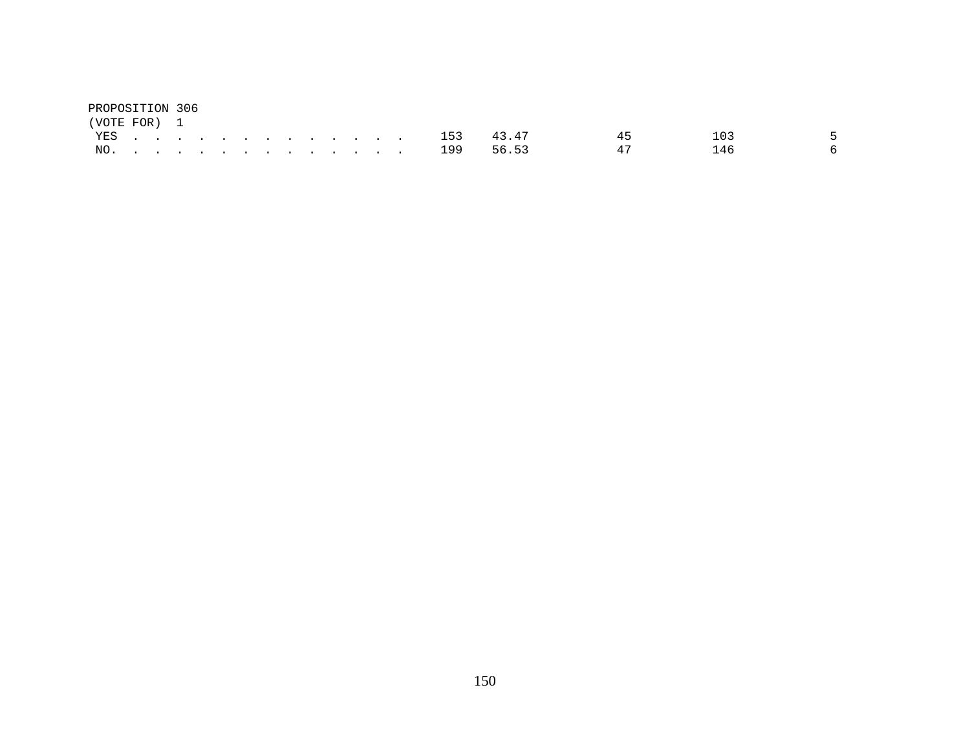| PROPOSITION 306 |  |  |  |  |  |  |               |               |    |     |     |
|-----------------|--|--|--|--|--|--|---------------|---------------|----|-----|-----|
| (VOTE FOR) 1    |  |  |  |  |  |  |               |               |    |     |     |
|                 |  |  |  |  |  |  |               | YES 153 43.47 | 45 |     | - 5 |
|                 |  |  |  |  |  |  | NO. 199 56.53 |               | 47 | 146 | - 6 |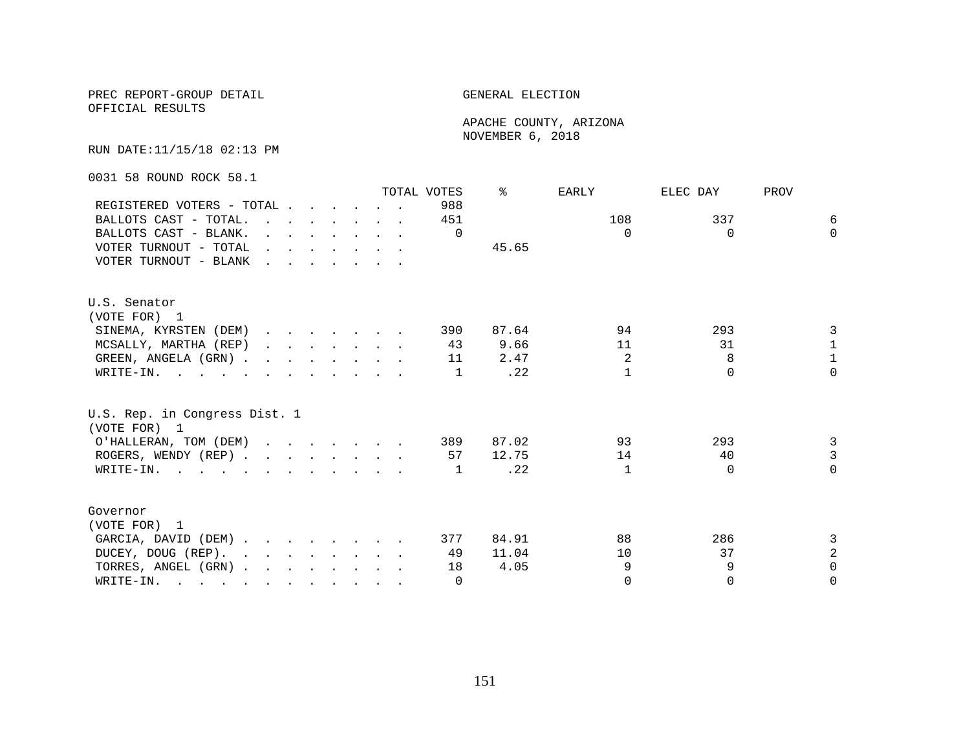OFFICIAL RESULTS

 APACHE COUNTY, ARIZONA NOVEMBER 6, 2018

RUN DATE:11/15/18 02:13 PM

0031 58 ROUND ROCK 58.1

|                                                                                                                          |                                                                                                                                                                                                                                   |  |  |                                                                                  | TOTAL VOTES | °     | EARLY        | ELEC DAY | PROV           |
|--------------------------------------------------------------------------------------------------------------------------|-----------------------------------------------------------------------------------------------------------------------------------------------------------------------------------------------------------------------------------|--|--|----------------------------------------------------------------------------------|-------------|-------|--------------|----------|----------------|
| REGISTERED VOTERS - TOTAL                                                                                                |                                                                                                                                                                                                                                   |  |  |                                                                                  | 988         |       |              |          |                |
| BALLOTS CAST - TOTAL.                                                                                                    |                                                                                                                                                                                                                                   |  |  |                                                                                  | 451         |       | 108          | 337      | 6              |
| BALLOTS CAST - BLANK.                                                                                                    |                                                                                                                                                                                                                                   |  |  | $\mathbf{r}$ and $\mathbf{r}$ and $\mathbf{r}$ and $\mathbf{r}$ and $\mathbf{r}$ | $\Omega$    |       | $\Omega$     | $\Omega$ | $\Omega$       |
| VOTER TURNOUT - TOTAL                                                                                                    | $\mathbf{r}$ . The set of the set of the set of the set of the set of the set of the set of the set of the set of the set of the set of the set of the set of the set of the set of the set of the set of the set of the set of t |  |  |                                                                                  |             | 45.65 |              |          |                |
| VOTER TURNOUT - BLANK                                                                                                    |                                                                                                                                                                                                                                   |  |  |                                                                                  |             |       |              |          |                |
| U.S. Senator                                                                                                             |                                                                                                                                                                                                                                   |  |  |                                                                                  |             |       |              |          |                |
| (VOTE FOR) 1                                                                                                             |                                                                                                                                                                                                                                   |  |  |                                                                                  |             |       |              |          |                |
| SINEMA, KYRSTEN (DEM)                                                                                                    |                                                                                                                                                                                                                                   |  |  |                                                                                  | 390         | 87.64 | 94           | 293      | 3              |
| MCSALLY, MARTHA (REP)                                                                                                    |                                                                                                                                                                                                                                   |  |  |                                                                                  | 43          | 9.66  | 11           | 31       | $\mathbf{1}$   |
| GREEN, ANGELA (GRN).                                                                                                     |                                                                                                                                                                                                                                   |  |  |                                                                                  | 11          | 2.47  | 2            | 8        | $\mathbf{1}$   |
| WRITE-IN.                                                                                                                |                                                                                                                                                                                                                                   |  |  |                                                                                  | 1           | .22   | $\mathbf{1}$ | $\Omega$ | $\Omega$       |
| U.S. Rep. in Congress Dist. 1<br>(VOTE FOR) 1                                                                            |                                                                                                                                                                                                                                   |  |  |                                                                                  |             |       |              |          |                |
| O'HALLERAN, TOM (DEM)                                                                                                    |                                                                                                                                                                                                                                   |  |  |                                                                                  | 389         | 87.02 | 93           | 293      | 3              |
| ROGERS, WENDY (REP)                                                                                                      |                                                                                                                                                                                                                                   |  |  |                                                                                  | 57          | 12.75 | 14           | 40       | $\overline{3}$ |
| WRITE-IN.                                                                                                                |                                                                                                                                                                                                                                   |  |  |                                                                                  | 1           | .22   | $\mathbf{1}$ | $\Omega$ | $\Omega$       |
| Governor                                                                                                                 |                                                                                                                                                                                                                                   |  |  |                                                                                  |             |       |              |          |                |
| (VOTE FOR) 1                                                                                                             |                                                                                                                                                                                                                                   |  |  |                                                                                  |             |       |              |          |                |
| GARCIA, DAVID (DEM)                                                                                                      |                                                                                                                                                                                                                                   |  |  |                                                                                  | 377         | 84.91 | 88           | 286      | 3              |
| DUCEY, DOUG (REP).                                                                                                       |                                                                                                                                                                                                                                   |  |  |                                                                                  | 49          | 11.04 | 10           | 37       | $\overline{a}$ |
| TORRES, ANGEL (GRN)                                                                                                      |                                                                                                                                                                                                                                   |  |  |                                                                                  | 18          | 4.05  | 9            | 9        | $\Omega$       |
| WRITE-IN.<br>$\mathbf{r}$ , and $\mathbf{r}$ , and $\mathbf{r}$ , and $\mathbf{r}$ , and $\mathbf{r}$ , and $\mathbf{r}$ |                                                                                                                                                                                                                                   |  |  |                                                                                  | $\Omega$    |       | $\Omega$     | $\Omega$ | $\Omega$       |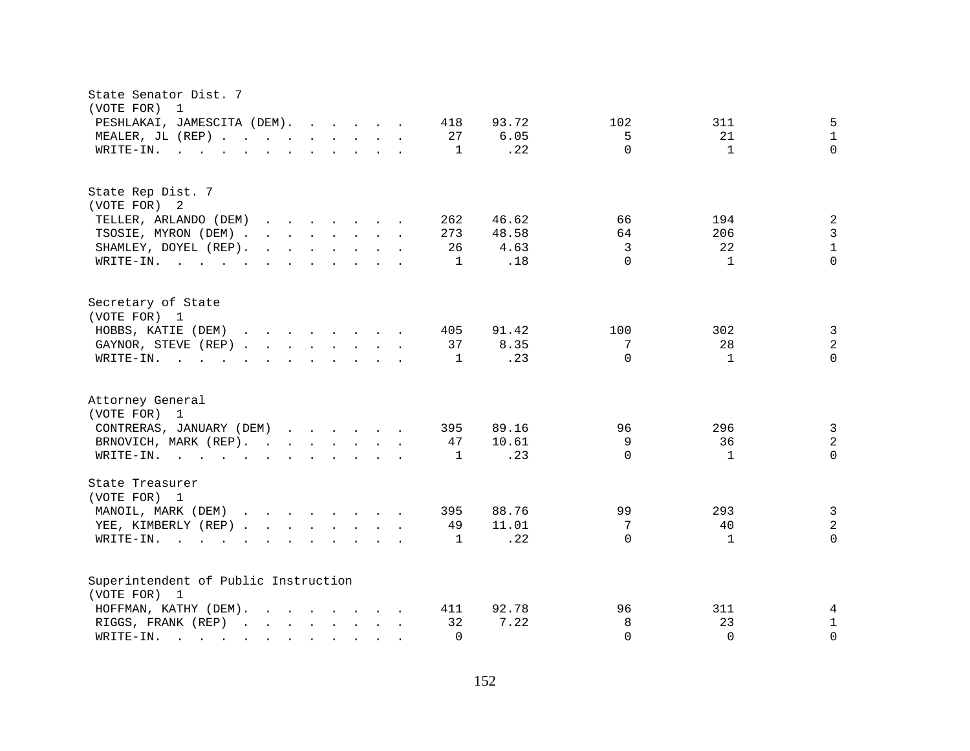| State Senator Dist. 7<br>(VOTE FOR)<br>$\overline{1}$                                                                                          |                                             |
|------------------------------------------------------------------------------------------------------------------------------------------------|---------------------------------------------|
| PESHLAKAI, JAMESCITA (DEM).<br>93.72<br>418                                                                                                    | 5<br>102<br>311                             |
| MEALER, JL (REP)<br>27<br>6.05                                                                                                                 | 5<br>21<br>$\mathbf{1}$                     |
| $\mathbf{r}$ , and $\mathbf{r}$ , and $\mathbf{r}$ , and $\mathbf{r}$ , and $\mathbf{r}$<br>1<br>WRITE-IN.                                     | $\Omega$<br>$\Omega$<br>.22<br>1            |
|                                                                                                                                                |                                             |
| State Rep Dist. 7                                                                                                                              |                                             |
| (VOTE FOR) 2                                                                                                                                   |                                             |
| TELLER, ARLANDO (DEM)<br>262<br>46.62                                                                                                          | $\sqrt{2}$<br>66<br>194                     |
| TSOSIE, MYRON (DEM)<br>48.58<br>273                                                                                                            | $\mathbf{3}$<br>64<br>206                   |
| SHAMLEY, DOYEL (REP).<br>$\mathbf{r}$ , $\mathbf{r}$ , $\mathbf{r}$ , $\mathbf{r}$ , $\mathbf{r}$ , $\mathbf{r}$<br>4.63<br>26                 | $\mathbf 1$<br>3<br>22                      |
| WRITE-IN.<br>1                                                                                                                                 | $\Omega$<br>$\cap$<br>.18<br>$\mathbf{1}$   |
| Secretary of State                                                                                                                             |                                             |
| (VOTE FOR) 1                                                                                                                                   |                                             |
| HOBBS, KATIE (DEM)<br>405<br>91.42                                                                                                             | $\mathbf{3}$<br>100<br>302                  |
| GAYNOR, STEVE (REP)<br>37<br>8.35                                                                                                              | $\sqrt{2}$<br>28<br>7                       |
| WRITE-IN.<br>$\mathbf{r}$ , and $\mathbf{r}$ , and $\mathbf{r}$ , and $\mathbf{r}$ , and $\mathbf{r}$<br>1                                     | $\Omega$<br>$\Omega$<br>.23<br>$\mathbf{1}$ |
| Attorney General<br>(VOTE FOR) 1                                                                                                               |                                             |
| CONTRERAS, JANUARY (DEM)<br>89.16<br>395                                                                                                       | $\mathbf{3}$<br>96<br>296                   |
| BRNOVICH, MARK (REP).<br>10.61<br>47                                                                                                           | 9<br>$\sqrt{2}$<br>36                       |
| WRITE-IN.<br>1                                                                                                                                 | $\Omega$<br>$\Omega$<br>.23<br>$\mathbf{1}$ |
| State Treasurer<br>(VOTE FOR) 1                                                                                                                |                                             |
| MANOIL, MARK (DEM)<br>88.76<br>395                                                                                                             | $\mathbf{3}$<br>99<br>293                   |
| YEE, KIMBERLY (REP)<br>11.01<br>49                                                                                                             | $\overline{a}$<br>7<br>40                   |
| $W\text{RITE-IN.}$<br>1<br>$\mathbf{r}$ , and $\mathbf{r}$ , and $\mathbf{r}$ , and $\mathbf{r}$                                               | $\Omega$<br>.22<br>$\Omega$<br>1            |
| Superintendent of Public Instruction                                                                                                           |                                             |
| (VOTE FOR) 1                                                                                                                                   |                                             |
| HOFFMAN, KATHY (DEM).<br>92.78<br>411                                                                                                          | 96<br>311<br>4                              |
| 7.22<br>RIGGS, FRANK (REP)<br>32                                                                                                               | $\mathbf{1}$<br>8<br>23                     |
| WRITE-IN.<br>$\Omega$<br>$\mathcal{L}^{\mathcal{A}}$ . The contribution of the contribution of the contribution of $\mathcal{L}^{\mathcal{A}}$ | $\Omega$<br>$\Omega$<br>$\Omega$            |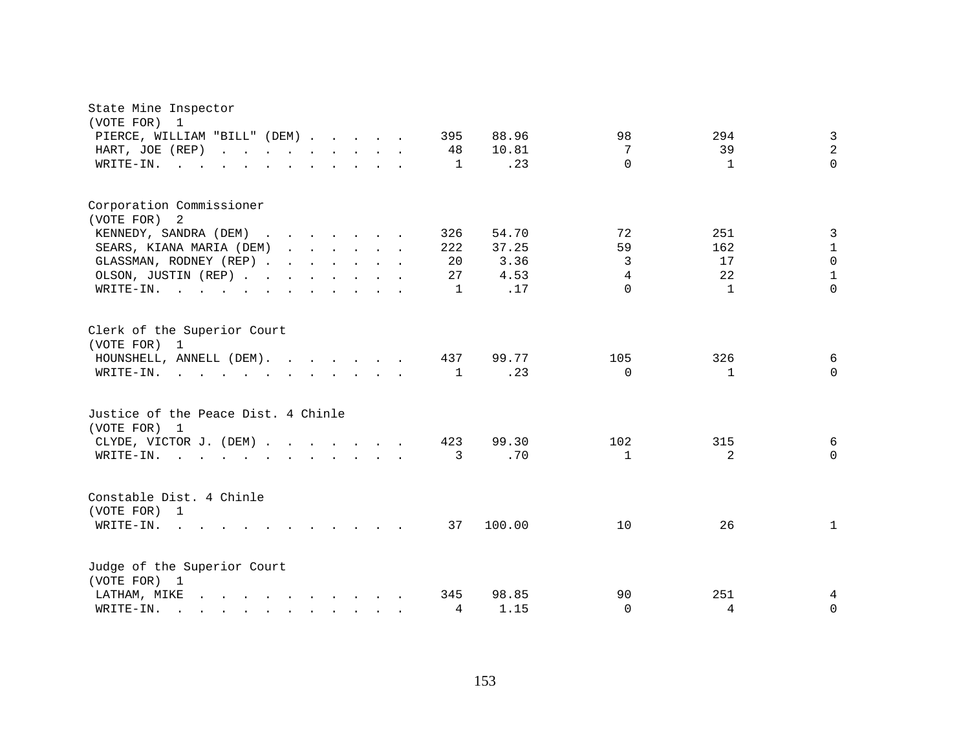| State Mine Inspector<br>(VOTE FOR) 1<br>PIERCE, WILLIAM "BILL" (DEM)<br>HART, JOE (REP)<br>WRITE-IN.                                                                                                                                                                                                                                                                                                  |  |  | 395<br>48<br>$\mathbf{1}$   | 88.96<br>10.81<br>.23                 | 98<br>7<br>$\Omega$            | 294<br>39<br>$\mathbf{1}$              | 3<br>$\overline{2}$<br>$\Omega$                |
|-------------------------------------------------------------------------------------------------------------------------------------------------------------------------------------------------------------------------------------------------------------------------------------------------------------------------------------------------------------------------------------------------------|--|--|-----------------------------|---------------------------------------|--------------------------------|----------------------------------------|------------------------------------------------|
| Corporation Commissioner<br>(VOTE FOR) 2<br>KENNEDY, SANDRA (DEM)<br>SEARS, KIANA MARIA (DEM)<br>GLASSMAN, RODNEY (REP)<br>OLSON, JUSTIN (REP)<br>WRITE-IN.                                                                                                                                                                                                                                           |  |  | 326<br>222<br>20<br>27<br>1 | 54.70<br>37.25<br>3.36<br>4.53<br>.17 | 72<br>59<br>3<br>4<br>$\Omega$ | 251<br>162<br>17<br>22<br>$\mathbf{1}$ | 3<br>1<br>$\Omega$<br>$\mathbf{1}$<br>$\Omega$ |
| Clerk of the Superior Court<br>(VOTE FOR) 1<br>HOUNSHELL, ANNELL (DEM).<br>WRITE-IN.                                                                                                                                                                                                                                                                                                                  |  |  | 437<br>$\mathbf{1}$         | 99.77<br>.23                          | 105<br>$\Omega$                | 326<br>$\mathbf{1}$                    | 6<br>$\Omega$                                  |
| Justice of the Peace Dist. 4 Chinle<br>(VOTE FOR) 1<br>CLYDE, VICTOR J. (DEM)<br>WRITE-IN.<br>$\mathbf{r}$ , and $\mathbf{r}$ , and $\mathbf{r}$ , and $\mathbf{r}$ , and $\mathbf{r}$                                                                                                                                                                                                                |  |  | 423<br>3                    | 99.30<br>.70                          | 102<br>$\mathbf{1}$            | 315<br>2                               | 6<br>$\Omega$                                  |
| Constable Dist. 4 Chinle<br>(VOTE FOR) 1<br>WRITE-IN.<br><b>Contract Contract Contract</b><br>$\mathbf{r}$ , and $\mathbf{r}$ , and $\mathbf{r}$ , and $\mathbf{r}$                                                                                                                                                                                                                                   |  |  | 37                          | 100.00                                | 10                             | 26                                     | $\mathbf 1$                                    |
| Judge of the Superior Court<br>(VOTE FOR) 1<br>. The contract of the contract of the contract of the contract of the contract of the contract of the contract of the contract of the contract of the contract of the contract of the contract of the contract of the contrac<br>LATHAM, MIKE<br>WRITE-IN.<br>$\mathbf{r}$ , and $\mathbf{r}$ , and $\mathbf{r}$ , and $\mathbf{r}$ , and $\mathbf{r}$ |  |  | 345<br>4                    | 98.85<br>1.15                         | 90<br>$\Omega$                 | 251<br>4                               | 4<br>$\Omega$                                  |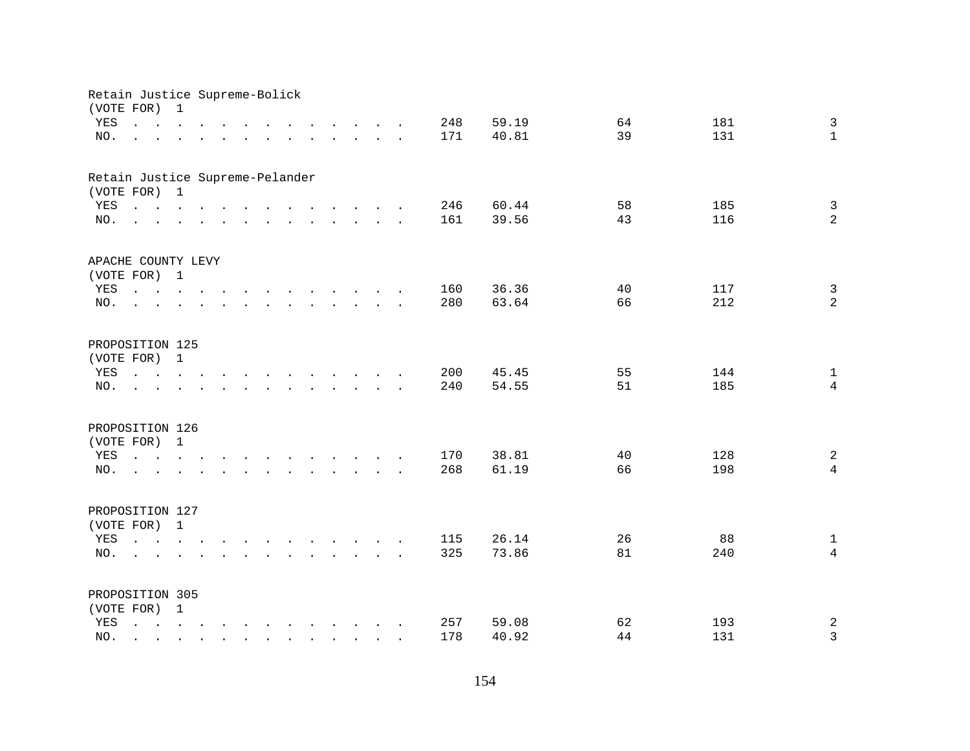| Retain Justice Supreme-Bolick<br>(VOTE FOR) |                                                                                                                                                     | $\mathbf{1}$                                                                                                    |                                                                                                                                                                                                                                      |        |                                                                                                                                                                                                                                   |                                         |                   |  |     |       |    |     |                |
|---------------------------------------------|-----------------------------------------------------------------------------------------------------------------------------------------------------|-----------------------------------------------------------------------------------------------------------------|--------------------------------------------------------------------------------------------------------------------------------------------------------------------------------------------------------------------------------------|--------|-----------------------------------------------------------------------------------------------------------------------------------------------------------------------------------------------------------------------------------|-----------------------------------------|-------------------|--|-----|-------|----|-----|----------------|
| YES                                         | $\mathbf{r}$ , $\mathbf{r}$ , $\mathbf{r}$ , $\mathbf{r}$ , $\mathbf{r}$ , $\mathbf{r}$                                                             |                                                                                                                 |                                                                                                                                                                                                                                      |        | $\mathbf{r}$ . The set of the set of the set of the set of the set of the set of the set of the set of the set of the set of the set of the set of the set of the set of the set of the set of the set of the set of the set of t |                                         |                   |  | 248 | 59.19 | 64 | 181 | $\mathbf{3}$   |
| NO.                                         |                                                                                                                                                     | the contract of the contract of the contract of the contract of the contract of the contract of the contract of |                                                                                                                                                                                                                                      |        |                                                                                                                                                                                                                                   |                                         |                   |  | 171 | 40.81 | 39 | 131 | $\mathbf{1}$   |
|                                             |                                                                                                                                                     |                                                                                                                 |                                                                                                                                                                                                                                      |        |                                                                                                                                                                                                                                   |                                         |                   |  |     |       |    |     |                |
| Retain Justice Supreme-Pelander             |                                                                                                                                                     |                                                                                                                 |                                                                                                                                                                                                                                      |        |                                                                                                                                                                                                                                   |                                         |                   |  |     |       |    |     |                |
| (VOTE FOR) 1                                |                                                                                                                                                     |                                                                                                                 |                                                                                                                                                                                                                                      |        |                                                                                                                                                                                                                                   |                                         |                   |  |     |       |    |     |                |
| YES                                         | and the contract of the contract of the contract of                                                                                                 |                                                                                                                 |                                                                                                                                                                                                                                      |        |                                                                                                                                                                                                                                   |                                         |                   |  | 246 | 60.44 | 58 | 185 | $\mathfrak{Z}$ |
| NO.                                         | $\mathbf{r}$ , and $\mathbf{r}$ , and $\mathbf{r}$ , and $\mathbf{r}$ , and $\mathbf{r}$ , and $\mathbf{r}$                                         |                                                                                                                 |                                                                                                                                                                                                                                      |        |                                                                                                                                                                                                                                   |                                         |                   |  | 161 | 39.56 | 43 | 116 | $\overline{a}$ |
| APACHE COUNTY LEVY                          |                                                                                                                                                     |                                                                                                                 |                                                                                                                                                                                                                                      |        |                                                                                                                                                                                                                                   |                                         |                   |  |     |       |    |     |                |
| (VOTE FOR) 1                                |                                                                                                                                                     |                                                                                                                 |                                                                                                                                                                                                                                      |        |                                                                                                                                                                                                                                   |                                         |                   |  |     |       |    |     |                |
| YES                                         | the contract of the contract of the contract of the contract of the contract of the contract of the contract of                                     |                                                                                                                 |                                                                                                                                                                                                                                      |        |                                                                                                                                                                                                                                   |                                         |                   |  | 160 | 36.36 | 40 | 117 | $\mathbf{3}$   |
| NO.                                         |                                                                                                                                                     |                                                                                                                 |                                                                                                                                                                                                                                      |        | $\mathbf{r}$ . The set of the set of the set of the set of the set of the set of the set of the set of the set of the set of the set of the set of the set of the set of the set of the set of the set of the set of the set of t |                                         |                   |  | 280 | 63.64 | 66 | 212 | 2              |
|                                             |                                                                                                                                                     |                                                                                                                 |                                                                                                                                                                                                                                      |        |                                                                                                                                                                                                                                   |                                         |                   |  |     |       |    |     |                |
| PROPOSITION 125                             |                                                                                                                                                     |                                                                                                                 |                                                                                                                                                                                                                                      |        |                                                                                                                                                                                                                                   |                                         |                   |  |     |       |    |     |                |
| (VOTE FOR)                                  |                                                                                                                                                     | $\mathbf{1}$                                                                                                    |                                                                                                                                                                                                                                      |        |                                                                                                                                                                                                                                   |                                         |                   |  |     |       |    |     |                |
| YES                                         | $\mathbf{r}$ , $\mathbf{r}$ , $\mathbf{r}$ , $\mathbf{r}$                                                                                           |                                                                                                                 |                                                                                                                                                                                                                                      | $\sim$ | $\mathbf{r}$ . The contract of the contract of the contract of the contract of the contract of the contract of the contract of the contract of the contract of the contract of the contract of the contract of the contract of th |                                         |                   |  | 200 | 45.45 | 55 | 144 | $\mathbf{1}$   |
| NO.                                         |                                                                                                                                                     |                                                                                                                 |                                                                                                                                                                                                                                      |        | $\ddot{\phantom{a}}$                                                                                                                                                                                                              | $\cdot$ $\cdot$ $\cdot$ $\cdot$ $\cdot$ |                   |  | 240 | 54.55 | 51 | 185 | $\overline{4}$ |
| PROPOSITION 126                             |                                                                                                                                                     |                                                                                                                 |                                                                                                                                                                                                                                      |        |                                                                                                                                                                                                                                   |                                         |                   |  |     |       |    |     |                |
| (VOTE FOR) 1                                |                                                                                                                                                     |                                                                                                                 |                                                                                                                                                                                                                                      |        |                                                                                                                                                                                                                                   |                                         |                   |  |     |       |    |     |                |
| YES                                         | $\mathbf{r}$ , and $\mathbf{r}$ , and $\mathbf{r}$ , and $\mathbf{r}$ , and $\mathbf{r}$ , and $\mathbf{r}$                                         |                                                                                                                 |                                                                                                                                                                                                                                      |        |                                                                                                                                                                                                                                   |                                         |                   |  | 170 | 38.81 | 40 | 128 | $\overline{a}$ |
| NO.                                         | $\mathbf{r}$ , and $\mathbf{r}$ , and $\mathbf{r}$ , and $\mathbf{r}$ , and $\mathbf{r}$ , and $\mathbf{r}$                                         |                                                                                                                 |                                                                                                                                                                                                                                      |        |                                                                                                                                                                                                                                   |                                         |                   |  | 268 | 61.19 | 66 | 198 | $\overline{4}$ |
|                                             |                                                                                                                                                     |                                                                                                                 |                                                                                                                                                                                                                                      |        |                                                                                                                                                                                                                                   |                                         |                   |  |     |       |    |     |                |
| PROPOSITION 127                             |                                                                                                                                                     |                                                                                                                 |                                                                                                                                                                                                                                      |        |                                                                                                                                                                                                                                   |                                         |                   |  |     |       |    |     |                |
| (VOTE FOR) 1                                |                                                                                                                                                     |                                                                                                                 |                                                                                                                                                                                                                                      |        |                                                                                                                                                                                                                                   |                                         |                   |  |     |       |    |     |                |
| YES                                         | $\mathbf{r}$ , $\mathbf{r}$ , $\mathbf{r}$ , $\mathbf{r}$ , $\mathbf{r}$ , $\mathbf{r}$ , $\mathbf{r}$ , $\mathbf{r}$ , $\mathbf{r}$ , $\mathbf{r}$ |                                                                                                                 |                                                                                                                                                                                                                                      |        |                                                                                                                                                                                                                                   |                                         |                   |  | 115 | 26.14 | 26 | 88  | $\mathbf{1}$   |
| NO.                                         | $\sim$                                                                                                                                              |                                                                                                                 | $\mathbf{r}$ and $\mathbf{r}$ are the set of the set of the set of the set of the set of the set of the set of the set of the set of the set of the set of the set of the set of the set of the set of the set of the set of the set |        |                                                                                                                                                                                                                                   |                                         |                   |  | 325 | 73.86 | 81 | 240 | $\overline{4}$ |
|                                             |                                                                                                                                                     |                                                                                                                 |                                                                                                                                                                                                                                      |        |                                                                                                                                                                                                                                   |                                         |                   |  |     |       |    |     |                |
| PROPOSITION 305                             |                                                                                                                                                     |                                                                                                                 |                                                                                                                                                                                                                                      |        |                                                                                                                                                                                                                                   |                                         |                   |  |     |       |    |     |                |
| (VOTE FOR) 1                                |                                                                                                                                                     |                                                                                                                 |                                                                                                                                                                                                                                      |        |                                                                                                                                                                                                                                   |                                         |                   |  |     |       |    |     |                |
| YES                                         | $\mathbf{r}$ , and $\mathbf{r}$ , and $\mathbf{r}$ , and $\mathbf{r}$ , and $\mathbf{r}$ , and $\mathbf{r}$                                         |                                                                                                                 |                                                                                                                                                                                                                                      |        |                                                                                                                                                                                                                                   |                                         |                   |  | 257 | 59.08 | 62 | 193 | $\sqrt{2}$     |
| NO.                                         | $\sim$ $\sim$                                                                                                                                       |                                                                                                                 |                                                                                                                                                                                                                                      |        | $\ddot{\phantom{a}}$                                                                                                                                                                                                              |                                         | $\cdots$ $\cdots$ |  | 178 | 40.92 | 44 | 131 | $\mathbf{3}$   |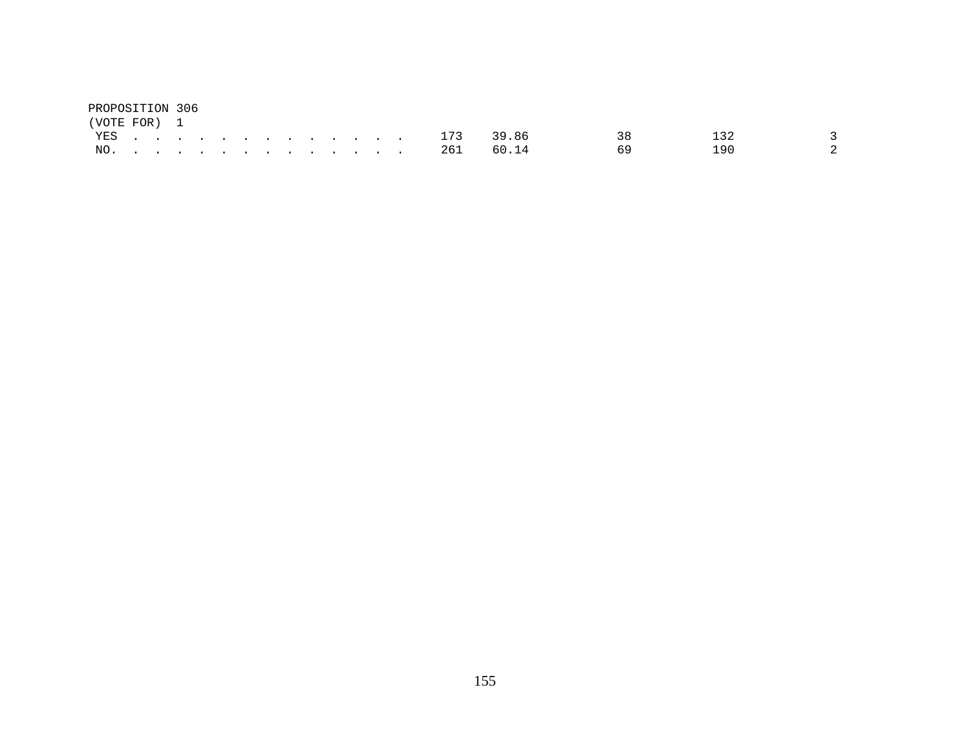| PROPOSITION 306 |  |  |  |  |  |  |                |       |     |     |                |
|-----------------|--|--|--|--|--|--|----------------|-------|-----|-----|----------------|
| (VOTE FOR) 1    |  |  |  |  |  |  |                |       |     |     |                |
|                 |  |  |  |  |  |  | YES. 173 39.86 |       | 3.R | 13つ |                |
|                 |  |  |  |  |  |  | NO. 261        | 60.14 |     | 190 | $\overline{2}$ |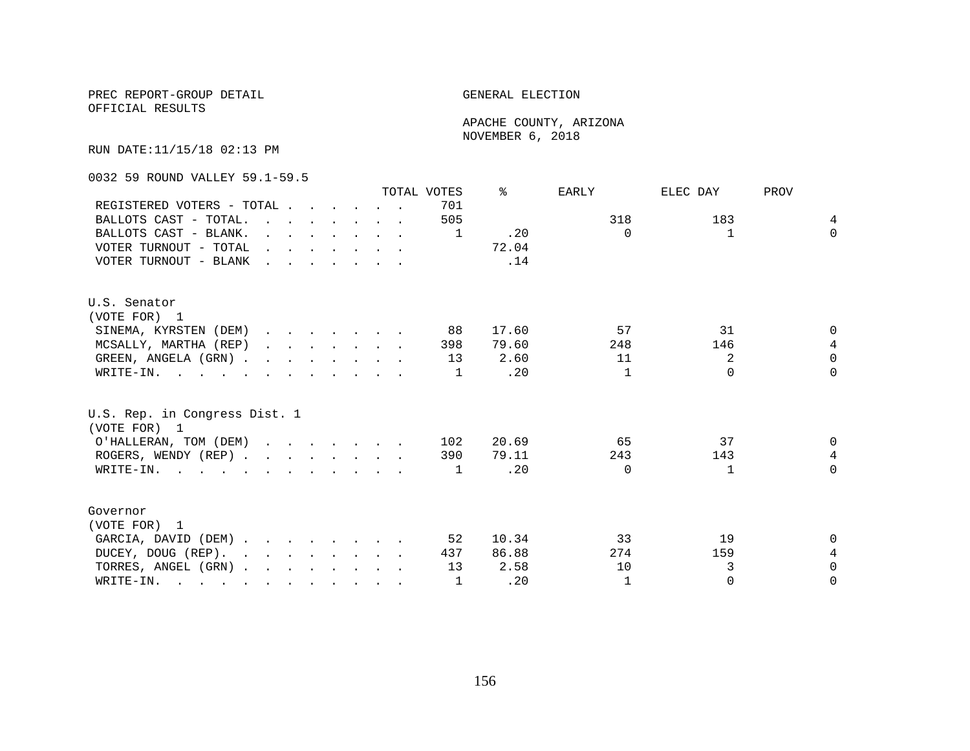OFFICIAL RESULTS

 APACHE COUNTY, ARIZONA NOVEMBER 6, 2018

RUN DATE:11/15/18 02:13 PM

0032 59 ROUND VALLEY 59.1-59.5

| 701<br>REGISTERED VOTERS - TOTAL<br>318<br>183<br>505<br>BALLOTS CAST - TOTAL.<br>$\mathbf{r}$ . The contract of the contract of the contract of the contract of the contract of the contract of the contract of the contract of the contract of the contract of the contract of the contract of the contract of th<br>BALLOTS CAST - BLANK.<br>.20<br>$\Omega$<br>$\mathbf{1}$<br>$\mathbf{r}$ , $\mathbf{r}$ , $\mathbf{r}$ , $\mathbf{r}$ , $\mathbf{r}$<br>1<br>72.04<br>VOTER TURNOUT - TOTAL<br>$\mathbf{r} = \mathbf{r} - \mathbf{r}$ , and $\mathbf{r} = \mathbf{r} - \mathbf{r}$<br>VOTER TURNOUT - BLANK<br>.14<br>$\mathbf{r}$ . The set of the set of the set of the set of the set of the set of the set of the set of the set of the set of the set of the set of the set of the set of the set of the set of the set of the set of the set of t | $\overline{4}$<br>$\Omega$ |
|----------------------------------------------------------------------------------------------------------------------------------------------------------------------------------------------------------------------------------------------------------------------------------------------------------------------------------------------------------------------------------------------------------------------------------------------------------------------------------------------------------------------------------------------------------------------------------------------------------------------------------------------------------------------------------------------------------------------------------------------------------------------------------------------------------------------------------------------------------------|----------------------------|
|                                                                                                                                                                                                                                                                                                                                                                                                                                                                                                                                                                                                                                                                                                                                                                                                                                                                |                            |
|                                                                                                                                                                                                                                                                                                                                                                                                                                                                                                                                                                                                                                                                                                                                                                                                                                                                |                            |
|                                                                                                                                                                                                                                                                                                                                                                                                                                                                                                                                                                                                                                                                                                                                                                                                                                                                |                            |
|                                                                                                                                                                                                                                                                                                                                                                                                                                                                                                                                                                                                                                                                                                                                                                                                                                                                |                            |
|                                                                                                                                                                                                                                                                                                                                                                                                                                                                                                                                                                                                                                                                                                                                                                                                                                                                |                            |
| U.S. Senator                                                                                                                                                                                                                                                                                                                                                                                                                                                                                                                                                                                                                                                                                                                                                                                                                                                   |                            |
| (VOTE FOR) 1                                                                                                                                                                                                                                                                                                                                                                                                                                                                                                                                                                                                                                                                                                                                                                                                                                                   |                            |
| 57<br>31<br>SINEMA, KYRSTEN (DEM)<br>88<br>17.60                                                                                                                                                                                                                                                                                                                                                                                                                                                                                                                                                                                                                                                                                                                                                                                                               | $\Omega$                   |
| MCSALLY, MARTHA (REP)<br>79.60<br>248<br>146<br>398                                                                                                                                                                                                                                                                                                                                                                                                                                                                                                                                                                                                                                                                                                                                                                                                            | $\overline{4}$             |
| 2<br>GREEN, ANGELA (GRN).<br>13<br>2.60<br>11                                                                                                                                                                                                                                                                                                                                                                                                                                                                                                                                                                                                                                                                                                                                                                                                                  | $\Omega$                   |
| $\Omega$<br>.20<br>$\mathbf{1}$<br>WRITE-IN.<br>1                                                                                                                                                                                                                                                                                                                                                                                                                                                                                                                                                                                                                                                                                                                                                                                                              | $\Omega$                   |
| U.S. Rep. in Congress Dist. 1<br>(VOTE FOR) 1                                                                                                                                                                                                                                                                                                                                                                                                                                                                                                                                                                                                                                                                                                                                                                                                                  |                            |
| 37<br>O'HALLERAN, TOM (DEM)<br>20.69<br>65<br>102                                                                                                                                                                                                                                                                                                                                                                                                                                                                                                                                                                                                                                                                                                                                                                                                              | $\Omega$                   |
| ROGERS, WENDY (REP)<br>79.11<br>243<br>143<br>390                                                                                                                                                                                                                                                                                                                                                                                                                                                                                                                                                                                                                                                                                                                                                                                                              | 4                          |
| .20<br>WRITE-IN.<br>$\Omega$<br>1<br>1                                                                                                                                                                                                                                                                                                                                                                                                                                                                                                                                                                                                                                                                                                                                                                                                                         | $\Omega$                   |
| Governor                                                                                                                                                                                                                                                                                                                                                                                                                                                                                                                                                                                                                                                                                                                                                                                                                                                       |                            |
| (VOTE FOR) 1                                                                                                                                                                                                                                                                                                                                                                                                                                                                                                                                                                                                                                                                                                                                                                                                                                                   |                            |
| GARCIA, DAVID (DEM)<br>10.34<br>33<br>19<br>52                                                                                                                                                                                                                                                                                                                                                                                                                                                                                                                                                                                                                                                                                                                                                                                                                 | $\Omega$                   |
|                                                                                                                                                                                                                                                                                                                                                                                                                                                                                                                                                                                                                                                                                                                                                                                                                                                                | 4                          |
| DUCEY, DOUG (REP).<br>86.88<br>274<br>159<br>437                                                                                                                                                                                                                                                                                                                                                                                                                                                                                                                                                                                                                                                                                                                                                                                                               |                            |
| 3<br>2.58<br>TORRES, ANGEL (GRN)<br>13<br>10                                                                                                                                                                                                                                                                                                                                                                                                                                                                                                                                                                                                                                                                                                                                                                                                                   | $\Omega$                   |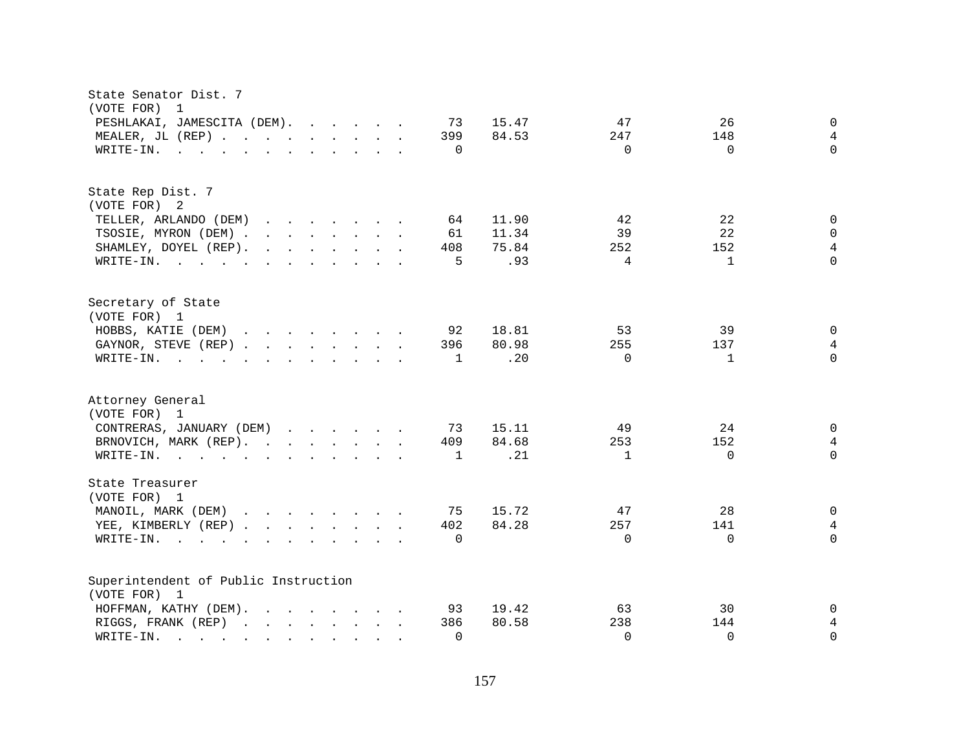| State Senator Dist. 7<br>(VOTE FOR)<br>$\overline{\phantom{0}}$                                                                                                                                                                                                            |                          |                |
|----------------------------------------------------------------------------------------------------------------------------------------------------------------------------------------------------------------------------------------------------------------------------|--------------------------|----------------|
| PESHLAKAI, JAMESCITA (DEM).<br>15.47<br>73                                                                                                                                                                                                                                 | 47<br>26                 | 0              |
| MEALER, JL (REP)<br>399<br>84.53                                                                                                                                                                                                                                           | 148<br>247               | $\overline{4}$ |
| $\Omega$<br>WRITE-IN.<br>$\mathbf{r}$ , and $\mathbf{r}$ , and $\mathbf{r}$ , and $\mathbf{r}$ , and $\mathbf{r}$                                                                                                                                                          | $\Omega$<br>$\Omega$     | $\Omega$       |
|                                                                                                                                                                                                                                                                            |                          |                |
| State Rep Dist. 7                                                                                                                                                                                                                                                          |                          |                |
| (VOTE FOR) 2                                                                                                                                                                                                                                                               |                          |                |
| TELLER, ARLANDO (DEM)<br>11.90<br>$\mathbf{r}$ , $\mathbf{r}$ , $\mathbf{r}$ , $\mathbf{r}$ , $\mathbf{r}$ , $\mathbf{r}$<br>64                                                                                                                                            | 22<br>42                 | 0              |
| 11.34<br>TSOSIE, MYRON (DEM)<br>61                                                                                                                                                                                                                                         | 22<br>39                 | $\mathbf 0$    |
| SHAMLEY, DOYEL (REP).<br>75.84<br>408                                                                                                                                                                                                                                      | 152<br>252               | 4              |
| .93<br>WRITE-IN.<br>5                                                                                                                                                                                                                                                      | 4<br>$\mathbf{1}$        | $\Omega$       |
| Secretary of State                                                                                                                                                                                                                                                         |                          |                |
| (VOTE FOR) 1                                                                                                                                                                                                                                                               |                          |                |
| HOBBS, KATIE (DEM)<br>92<br>18.81                                                                                                                                                                                                                                          | 53<br>39                 | $\mathbf 0$    |
| GAYNOR, STEVE (REP)<br>80.98<br>396                                                                                                                                                                                                                                        | 255<br>137               | $\overline{4}$ |
| .20<br>WRITE-IN.<br>$\mathbf{r}$ . The state of the state of the state $\mathbf{r}$<br>$\mathbf{1}$                                                                                                                                                                        | $\Omega$<br>$\mathbf{1}$ | $\Omega$       |
| Attorney General<br>(VOTE FOR) 1                                                                                                                                                                                                                                           |                          |                |
| CONTRERAS, JANUARY (DEM)<br>73<br>15.11                                                                                                                                                                                                                                    | 49<br>24                 | 0              |
| 84.68<br>BRNOVICH, MARK (REP).<br>409                                                                                                                                                                                                                                      | 253<br>152               | $\overline{4}$ |
| .21<br>WRITE-IN.<br>1                                                                                                                                                                                                                                                      | $\Omega$<br>$\mathbf{1}$ | $\Omega$       |
|                                                                                                                                                                                                                                                                            |                          |                |
| State Treasurer<br>(VOTE FOR) 1                                                                                                                                                                                                                                            |                          |                |
| MANOIL, MARK (DEM)<br>75<br>15.72                                                                                                                                                                                                                                          | 28<br>47                 | $\mathbf 0$    |
| 84.28<br>YEE, KIMBERLY (REP)<br>402                                                                                                                                                                                                                                        | 257<br>141               | $\overline{4}$ |
| $\Omega$<br>$W\text{RITE}-\text{IN}.$<br>$\mathbf{r}$ . The set of the set of the set of the set of the set of the set of the set of the set of the set of the set of the set of the set of the set of the set of the set of the set of the set of the set of the set of t | $\Omega$<br>$\Omega$     | $\Omega$       |
| Superintendent of Public Instruction                                                                                                                                                                                                                                       |                          |                |
| (VOTE FOR) 1                                                                                                                                                                                                                                                               |                          |                |
| 19.42<br>HOFFMAN, KATHY (DEM).<br>$\mathbf{r}$ . The contract of the contract of the contract of the contract of the contract of the contract of the contract of the contract of the contract of the contract of the contract of the contract of the contract of th<br>93  | 30<br>63                 | 0              |
| 80.58<br>RIGGS, FRANK (REP)<br>386                                                                                                                                                                                                                                         | 238<br>144               | 4              |
| $\Omega$<br>WRITE-IN.<br>$\mathcal{L}(\mathcal{A})$ and $\mathcal{L}(\mathcal{A})$ and $\mathcal{L}(\mathcal{A})$<br>$\sim$                                                                                                                                                | $\Omega$<br>$\Omega$     | $\Omega$       |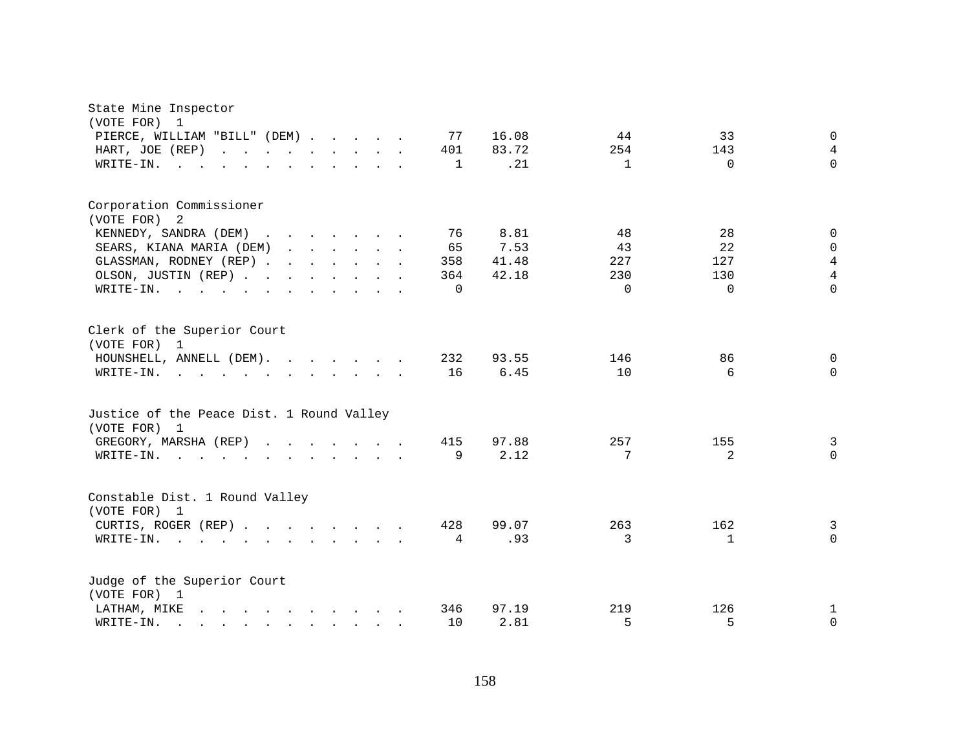| State Mine Inspector<br>(VOTE FOR)<br>1                                                                                                                                |                     |              |              |                |
|------------------------------------------------------------------------------------------------------------------------------------------------------------------------|---------------------|--------------|--------------|----------------|
| PIERCE, WILLIAM "BILL" (DEM)                                                                                                                                           | 16.08<br>77         | 44           | 33           | $\mathbf 0$    |
| HART, JOE (REP)<br>and the contract of the contract of<br>$\mathbf{L}$                                                                                                 | 83.72<br>401        | 254          | 143          | $\overline{4}$ |
| WRITE-IN.<br>$\sim$ $\sim$                                                                                                                                             | .21<br>$\mathbf{1}$ | $\mathbf{1}$ | $\Omega$     | $\Omega$       |
|                                                                                                                                                                        |                     |              |              |                |
| Corporation Commissioner<br>(VOTE FOR) 2                                                                                                                               |                     |              |              |                |
| KENNEDY, SANDRA (DEM)<br><u>in the second contract of the second second</u>                                                                                            | 76<br>8.81          | 48           | 28           | $\mathbf 0$    |
| $\sim$<br><u>in the second contract of the second second</u>                                                                                                           | 65<br>7.53          | 43           | 22           | $\Omega$       |
| SEARS, KIANA MARIA (DEM)                                                                                                                                               |                     | 227          | 127          | $\overline{4}$ |
| GLASSMAN, RODNEY (REP)                                                                                                                                                 | 41.48<br>358        |              |              |                |
| OLSON, JUSTIN (REP)                                                                                                                                                    | 42.18<br>364        | 230          | 130          | $\overline{4}$ |
| WRITE-IN.<br>$\sim$ $\sim$<br>$\mathbf{r}$ , $\mathbf{r}$ , $\mathbf{r}$ , $\mathbf{r}$ , $\mathbf{r}$ , $\mathbf{r}$<br>$\mathbf{L}^{\text{max}}$<br>$\sim$<br>$\sim$ | $\Omega$            | $\Omega$     | $\Omega$     | $\Omega$       |
| Clerk of the Superior Court<br>(VOTE FOR) 1                                                                                                                            |                     |              |              |                |
| HOUNSHELL, ANNELL (DEM).                                                                                                                                               | 232<br>93.55        | 146          | 86           | 0              |
| WRITE-IN.<br>$\mathbf{r}$ and $\mathbf{r}$ and $\mathbf{r}$ and $\mathbf{r}$ and $\mathbf{r}$ and $\mathbf{r}$ and $\mathbf{r}$                                        | 16<br>6.45          | 10           | 6            | $\Omega$       |
|                                                                                                                                                                        |                     |              |              |                |
| Justice of the Peace Dist. 1 Round Valley<br>(VOTE FOR) 1                                                                                                              |                     |              |              |                |
| GREGORY, MARSHA (REP)                                                                                                                                                  | 415<br>97.88        | 257          | 155          | 3              |
| WRITE-IN.<br>$\mathbf{r}$ , and $\mathbf{r}$ , and $\mathbf{r}$ , and $\mathbf{r}$ , and $\mathbf{r}$ , and $\mathbf{r}$                                               | 9<br>2.12           | 7            | 2            | $\Omega$       |
|                                                                                                                                                                        |                     |              |              |                |
| Constable Dist. 1 Round Valley<br>(VOTE FOR) 1                                                                                                                         |                     |              |              |                |
| CURTIS, ROGER (REP)                                                                                                                                                    | 428<br>99.07        | 263          | 162          | 3              |
| WRITE-IN.<br>$\mathbf{r}$ , $\mathbf{r}$ , $\mathbf{r}$ , $\mathbf{r}$                                                                                                 | .93<br>4            | 3            | $\mathbf{1}$ | $\mathbf 0$    |
|                                                                                                                                                                        |                     |              |              |                |
| Judge of the Superior Court<br>(VOTE FOR) 1                                                                                                                            |                     |              |              |                |
| LATHAM, MIKE<br>$\mathbf{r} = \mathbf{r} - \mathbf{r}$ , $\mathbf{r} = \mathbf{r} - \mathbf{r}$ , $\mathbf{r} = \mathbf{r} - \mathbf{r}$                               | 346<br>97.19        | 219          | 126          | 1              |
| WRITE-IN.                                                                                                                                                              | 10<br>2.81          | 5            | 5            | 0              |
| $\mathbf{r}$ , $\mathbf{r}$ , $\mathbf{r}$ , $\mathbf{r}$ , $\mathbf{r}$ , $\mathbf{r}$ , $\mathbf{r}$                                                                 |                     |              |              |                |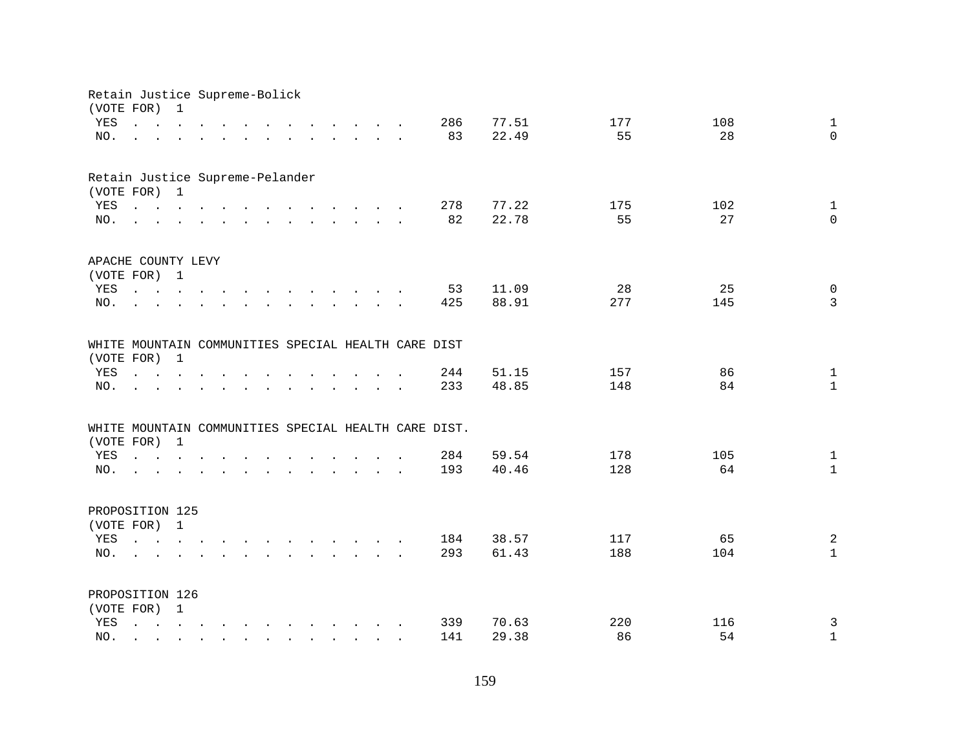|                                 | Retain Justice Supreme-Bolick<br>(VOTE FOR)                                                                 | 1              |        |        |                                                                                                                                                                                                                                   |        |                                            |                                                                                  |  |                                                      |       |     |     |              |
|---------------------------------|-------------------------------------------------------------------------------------------------------------|----------------|--------|--------|-----------------------------------------------------------------------------------------------------------------------------------------------------------------------------------------------------------------------------------|--------|--------------------------------------------|----------------------------------------------------------------------------------|--|------------------------------------------------------|-------|-----|-----|--------------|
| YES                             | $\mathbf{r} = \mathbf{r} \cdot \mathbf{r}$ and $\mathbf{r} = \mathbf{r} \cdot \mathbf{r}$                   |                |        |        |                                                                                                                                                                                                                                   |        |                                            | $\mathbf{r}$ and $\mathbf{r}$ and $\mathbf{r}$ and $\mathbf{r}$ and $\mathbf{r}$ |  | 286                                                  | 77.51 | 177 | 108 | $\mathbf{1}$ |
| NO.                             | $\mathbf{L}$                                                                                                |                |        |        | $\mathbf{r} = \mathbf{r} - \mathbf{r}$ , $\mathbf{r} = \mathbf{r} - \mathbf{r}$ , $\mathbf{r} = \mathbf{r} - \mathbf{r} - \mathbf{r}$ , $\mathbf{r} = \mathbf{r} - \mathbf{r}$                                                    |        |                                            |                                                                                  |  | 83                                                   | 22.49 | 55  | 28  | $\Omega$     |
|                                 |                                                                                                             |                |        |        |                                                                                                                                                                                                                                   |        |                                            |                                                                                  |  |                                                      |       |     |     |              |
| Retain Justice Supreme-Pelander |                                                                                                             |                |        |        |                                                                                                                                                                                                                                   |        |                                            |                                                                                  |  |                                                      |       |     |     |              |
|                                 | (VOTE FOR) 1                                                                                                |                |        |        |                                                                                                                                                                                                                                   |        |                                            |                                                                                  |  |                                                      |       |     |     |              |
| YES                             | $\mathbf{r}$ , and $\mathbf{r}$ , and $\mathbf{r}$ , and $\mathbf{r}$ , and $\mathbf{r}$ , and $\mathbf{r}$ |                |        |        |                                                                                                                                                                                                                                   |        |                                            |                                                                                  |  | 278                                                  | 77.22 | 175 | 102 | $\mathbf{1}$ |
| NO.                             |                                                                                                             |                |        |        |                                                                                                                                                                                                                                   |        |                                            |                                                                                  |  | 82                                                   | 22.78 | 55  | 27  | $\mathbf 0$  |
| APACHE COUNTY LEVY              |                                                                                                             |                |        |        |                                                                                                                                                                                                                                   |        |                                            |                                                                                  |  |                                                      |       |     |     |              |
|                                 | (VOTE FOR) 1                                                                                                |                |        |        |                                                                                                                                                                                                                                   |        |                                            |                                                                                  |  |                                                      |       |     |     |              |
| YES                             | $\mathbf{r}$ , $\mathbf{r}$ , $\mathbf{r}$ , $\mathbf{r}$                                                   |                |        |        | $\mathbf{r}$ , and $\mathbf{r}$ , and $\mathbf{r}$ , and $\mathbf{r}$ , and $\mathbf{r}$                                                                                                                                          |        |                                            |                                                                                  |  | 53                                                   | 11.09 | 28  | 25  | $\mathsf{O}$ |
| NO.                             |                                                                                                             |                |        |        | $\mathbf{r}$ . The contract of the contract of the contract of the contract of the contract of the contract of the contract of the contract of the contract of the contract of the contract of the contract of the contract of th |        |                                            |                                                                                  |  | 425                                                  | 88.91 | 277 | 145 | 3            |
|                                 |                                                                                                             |                |        |        |                                                                                                                                                                                                                                   |        |                                            |                                                                                  |  | WHITE MOUNTAIN COMMUNITIES SPECIAL HEALTH CARE DIST  |       |     |     |              |
| (VOTE FOR)                      |                                                                                                             | $\overline{1}$ |        |        |                                                                                                                                                                                                                                   |        |                                            |                                                                                  |  |                                                      |       |     |     |              |
| YES                             | $\mathbf{r}$ , $\mathbf{r}$ , $\mathbf{r}$ , $\mathbf{r}$                                                   |                |        |        |                                                                                                                                                                                                                                   |        |                                            | $\ddot{\phantom{a}}$                                                             |  | 244                                                  | 51.15 | 157 | 86  | $\mathbf{1}$ |
| NO.                             |                                                                                                             |                |        | $\sim$ | $\sim$                                                                                                                                                                                                                            | $\sim$ | $\mathbf{r}$ . The set of $\mathbf{r}$     | $\sim$ $\sim$                                                                    |  | 233                                                  | 48.85 | 148 | 84  | $\mathbf{1}$ |
|                                 |                                                                                                             |                |        |        |                                                                                                                                                                                                                                   |        |                                            |                                                                                  |  |                                                      |       |     |     |              |
|                                 | (VOTE FOR) 1                                                                                                |                |        |        |                                                                                                                                                                                                                                   |        |                                            |                                                                                  |  | WHITE MOUNTAIN COMMUNITIES SPECIAL HEALTH CARE DIST. |       |     |     |              |
| YES                             | $\mathbf{r}$ and $\mathbf{r}$ and $\mathbf{r}$ and $\mathbf{r}$                                             |                |        |        | $\mathbf{r}$ , $\mathbf{r}$ , $\mathbf{r}$ , $\mathbf{r}$ , $\mathbf{r}$                                                                                                                                                          |        |                                            |                                                                                  |  | 284                                                  | 59.54 | 178 | 105 | $\mathbf{1}$ |
| NO.                             | design and a strain and a strain and a strain and                                                           |                |        |        |                                                                                                                                                                                                                                   |        |                                            |                                                                                  |  | 193                                                  | 40.46 | 128 | 64  | $\mathbf{1}$ |
|                                 |                                                                                                             |                |        |        |                                                                                                                                                                                                                                   |        |                                            |                                                                                  |  |                                                      |       |     |     |              |
| PROPOSITION 125                 |                                                                                                             |                |        |        |                                                                                                                                                                                                                                   |        |                                            |                                                                                  |  |                                                      |       |     |     |              |
|                                 | (VOTE FOR) 1                                                                                                |                |        |        |                                                                                                                                                                                                                                   |        |                                            |                                                                                  |  |                                                      |       |     |     |              |
| YES                             |                                                                                                             |                |        |        |                                                                                                                                                                                                                                   |        |                                            |                                                                                  |  | 184                                                  | 38.57 | 117 | 65  | 2            |
| NO.                             |                                                                                                             |                |        |        | $\mathbf{r} = \mathbf{r} - \mathbf{r}$ , $\mathbf{r} = \mathbf{r} - \mathbf{r}$ , $\mathbf{r} = \mathbf{r} - \mathbf{r} - \mathbf{r}$ , $\mathbf{r} = \mathbf{r} - \mathbf{r}$                                                    |        |                                            |                                                                                  |  | 293                                                  | 61.43 | 188 | 104 | $\mathbf{1}$ |
| PROPOSITION 126                 |                                                                                                             |                |        |        |                                                                                                                                                                                                                                   |        |                                            |                                                                                  |  |                                                      |       |     |     |              |
|                                 | (VOTE FOR) 1                                                                                                |                |        |        |                                                                                                                                                                                                                                   |        |                                            |                                                                                  |  |                                                      |       |     |     |              |
| YES                             | $\mathcal{L}^{\text{max}}$                                                                                  |                |        |        | $\mathbf{r} = \mathbf{r} - \mathbf{r}$ , and $\mathbf{r} = \mathbf{r} - \mathbf{r}$ , and $\mathbf{r} = \mathbf{r} - \mathbf{r}$                                                                                                  |        |                                            |                                                                                  |  | 339                                                  | 70.63 | 220 | 116 | $\mathsf{3}$ |
| NO.                             |                                                                                                             | $\sim$         | $\sim$ | $\sim$ | $\sim$                                                                                                                                                                                                                            |        | $\mathbf{r}$ , $\mathbf{r}$ , $\mathbf{r}$ |                                                                                  |  | 141                                                  | 29.38 | 86  | 54  | $1\,$        |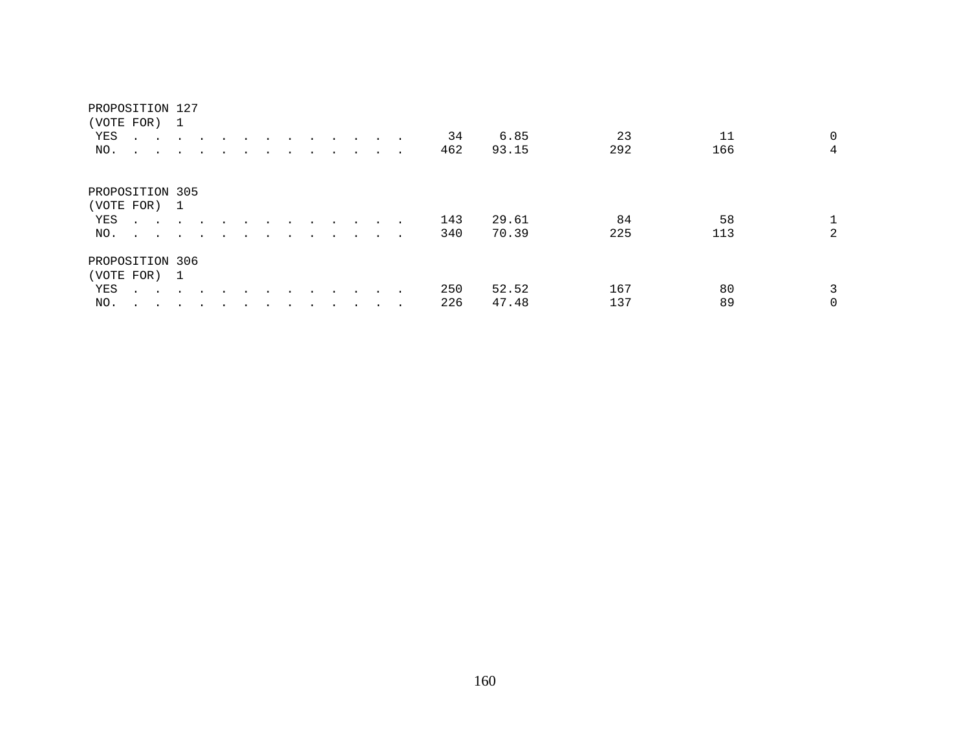| (VOTE FOR)      |                                                                          | $\overline{\phantom{1}}$ |                      |  |  |  |         |                          |     |       |     |     |                |
|-----------------|--------------------------------------------------------------------------|--------------------------|----------------------|--|--|--|---------|--------------------------|-----|-------|-----|-----|----------------|
| YES             | $\ddot{\phantom{0}}$<br>$\sim$                                           |                          |                      |  |  |  | $\sim$  | $\sim$                   | 34  | 6.85  | 23  | 11  | $\mathbf 0$    |
| NO.             | $\ddot{\phantom{0}}$<br>$\sim$                                           | $\sim$                   | $\ddot{\phantom{a}}$ |  |  |  |         |                          | 462 | 93.15 | 292 | 166 | $\overline{4}$ |
| PROPOSITION 305 |                                                                          |                          |                      |  |  |  |         |                          |     |       |     |     |                |
| (VOTE FOR)      |                                                                          | $\overline{1}$           |                      |  |  |  |         |                          |     |       |     |     |                |
| YES             | $\sim$ $\sim$                                                            |                          |                      |  |  |  |         | $\sim$                   | 143 | 29.61 | 84  | 58  |                |
| NO.             |                                                                          |                          | $\overline{a}$       |  |  |  | $\cdot$ | $\sim$                   | 340 | 70.39 | 225 | 113 | $\overline{2}$ |
| PROPOSITION 306 |                                                                          |                          |                      |  |  |  |         |                          |     |       |     |     |                |
| (VOTE FOR) 1    |                                                                          |                          |                      |  |  |  |         |                          |     |       |     |     |                |
| YES             | $\mathbf{L} = \mathbf{L} \cdot \mathbf{L} = \mathbf{L} \cdot \mathbf{L}$ |                          |                      |  |  |  |         |                          | 250 | 52.52 | 167 | 80  | 3              |
| NO.             | $\ddot{\phantom{1}}$<br>$\sim$                                           |                          |                      |  |  |  |         | $\overline{\phantom{a}}$ | 226 | 47.48 | 137 | 89  | 0              |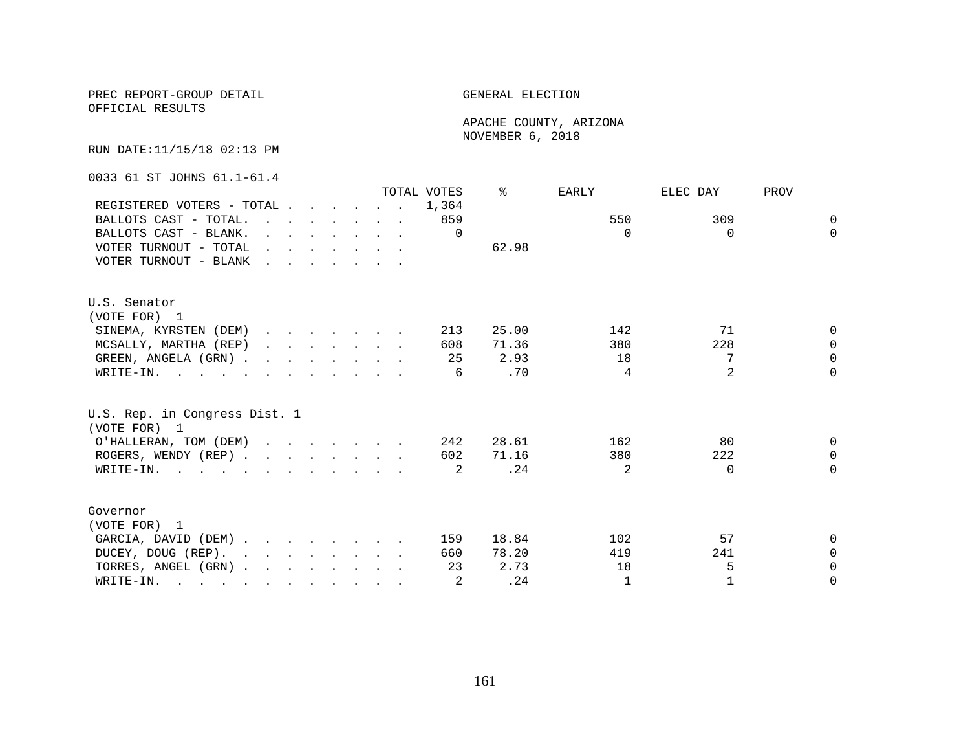OFFICIAL RESULTS

 APACHE COUNTY, ARIZONA NOVEMBER 6, 2018

RUN DATE:11/15/18 02:13 PM

0033 61 ST JOHNS 61.1-61.4

|                                                                                                                          |                                                                                                                                                                                                                                   |  |  |                                                                                                                                                                                                                                      | TOTAL VOTES | °     | EARLY          | ELEC DAY       | PROV     |
|--------------------------------------------------------------------------------------------------------------------------|-----------------------------------------------------------------------------------------------------------------------------------------------------------------------------------------------------------------------------------|--|--|--------------------------------------------------------------------------------------------------------------------------------------------------------------------------------------------------------------------------------------|-------------|-------|----------------|----------------|----------|
| REGISTERED VOTERS - TOTAL                                                                                                |                                                                                                                                                                                                                                   |  |  |                                                                                                                                                                                                                                      | 1,364       |       |                |                |          |
| BALLOTS CAST - TOTAL.                                                                                                    | $\mathbf{r}$ . The set of the set of the set of the set of the set of the set of the set of the set of the set of the set of the set of the set of the set of the set of the set of the set of the set of the set of the set of t |  |  |                                                                                                                                                                                                                                      | 859         |       | 550            | 309            | $\Omega$ |
| BALLOTS CAST - BLANK.                                                                                                    |                                                                                                                                                                                                                                   |  |  | $\mathbf{r} = \mathbf{r} \cdot \mathbf{r}$ , $\mathbf{r} = \mathbf{r} \cdot \mathbf{r}$ , $\mathbf{r} = \mathbf{r} \cdot \mathbf{r}$                                                                                                 | $\Omega$    |       | $\Omega$       | $\Omega$       | $\Omega$ |
| VOTER TURNOUT - TOTAL                                                                                                    |                                                                                                                                                                                                                                   |  |  | $\mathbf{r}$ and $\mathbf{r}$ are the set of the set of the set of the set of the set of the set of the set of the set of the set of the set of the set of the set of the set of the set of the set of the set of the set of the set |             | 62.98 |                |                |          |
| VOTER TURNOUT - BLANK                                                                                                    | $\mathbf{r}$ , $\mathbf{r}$ , $\mathbf{r}$ , $\mathbf{r}$ , $\mathbf{r}$ , $\mathbf{r}$                                                                                                                                           |  |  |                                                                                                                                                                                                                                      |             |       |                |                |          |
| U.S. Senator                                                                                                             |                                                                                                                                                                                                                                   |  |  |                                                                                                                                                                                                                                      |             |       |                |                |          |
| (VOTE FOR) 1                                                                                                             |                                                                                                                                                                                                                                   |  |  |                                                                                                                                                                                                                                      |             |       |                |                |          |
| SINEMA, KYRSTEN (DEM)                                                                                                    |                                                                                                                                                                                                                                   |  |  |                                                                                                                                                                                                                                      | 213         | 25.00 | 142            | 71             | $\Omega$ |
| MCSALLY, MARTHA (REP)                                                                                                    |                                                                                                                                                                                                                                   |  |  | $\mathbf{r}$ and $\mathbf{r}$ are the set of the set of the set of the set of the set of the set of the set of the set of the set of the set of the set of the set of the set of the set of the set of the set of the set of the set | 608         | 71.36 | 380            | 228            | $\Omega$ |
| GREEN, ANGELA (GRN).                                                                                                     |                                                                                                                                                                                                                                   |  |  |                                                                                                                                                                                                                                      | 25          | 2.93  | 18             | 7              | $\Omega$ |
| WRITE-IN.                                                                                                                |                                                                                                                                                                                                                                   |  |  |                                                                                                                                                                                                                                      | 6           | .70   | 4              | $\overline{a}$ | $\Omega$ |
| U.S. Rep. in Congress Dist. 1<br>(VOTE FOR) 1                                                                            |                                                                                                                                                                                                                                   |  |  |                                                                                                                                                                                                                                      |             |       |                |                |          |
| O'HALLERAN, TOM (DEM)                                                                                                    |                                                                                                                                                                                                                                   |  |  |                                                                                                                                                                                                                                      | 242         | 28.61 | 162            | 80             | $\Omega$ |
| ROGERS, WENDY (REP)                                                                                                      |                                                                                                                                                                                                                                   |  |  |                                                                                                                                                                                                                                      | 602         | 71.16 | 380            | 222            | $\Omega$ |
| WRITE-IN.                                                                                                                |                                                                                                                                                                                                                                   |  |  |                                                                                                                                                                                                                                      | 2           | .24   | $\mathfrak{D}$ | $\Omega$       | $\Omega$ |
| Governor                                                                                                                 |                                                                                                                                                                                                                                   |  |  |                                                                                                                                                                                                                                      |             |       |                |                |          |
| (VOTE FOR) 1                                                                                                             |                                                                                                                                                                                                                                   |  |  |                                                                                                                                                                                                                                      |             |       |                |                |          |
| GARCIA, DAVID (DEM)                                                                                                      |                                                                                                                                                                                                                                   |  |  |                                                                                                                                                                                                                                      | 159         | 18.84 | 102            | 57             | $\Omega$ |
| DUCEY, DOUG (REP).                                                                                                       |                                                                                                                                                                                                                                   |  |  |                                                                                                                                                                                                                                      | 660         | 78.20 | 419            | 241            | $\Omega$ |
| TORRES, ANGEL (GRN)                                                                                                      |                                                                                                                                                                                                                                   |  |  |                                                                                                                                                                                                                                      | 23          | 2.73  | 18             | 5              | $\Omega$ |
| WRITE-IN.<br>$\mathbf{r}$ , and $\mathbf{r}$ , and $\mathbf{r}$ , and $\mathbf{r}$ , and $\mathbf{r}$ , and $\mathbf{r}$ |                                                                                                                                                                                                                                   |  |  |                                                                                                                                                                                                                                      | 2           | .24   | $\mathbf{1}$   |                | $\Omega$ |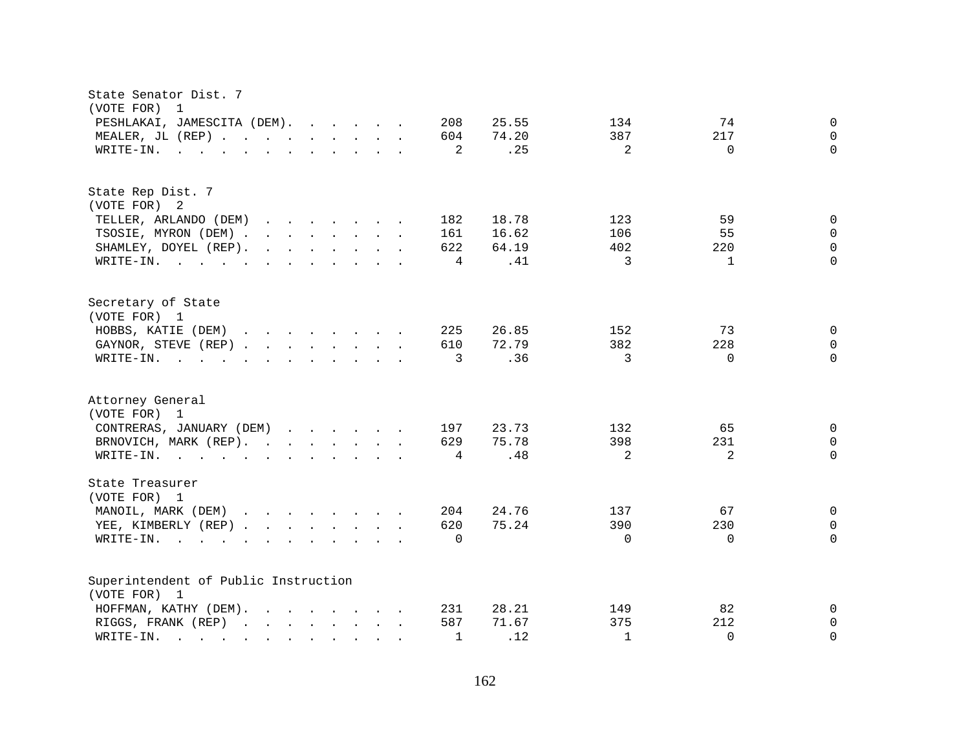| State Senator Dist. 7<br>(VOTE FOR)<br>$\overline{1}$                                                                                                                                                                                                                                                                                                                                                                                                                                                                                                                 |                                                          |                              |                                 |                                           |
|-----------------------------------------------------------------------------------------------------------------------------------------------------------------------------------------------------------------------------------------------------------------------------------------------------------------------------------------------------------------------------------------------------------------------------------------------------------------------------------------------------------------------------------------------------------------------|----------------------------------------------------------|------------------------------|---------------------------------|-------------------------------------------|
| PESHLAKAI, JAMESCITA (DEM).<br>MEALER, JL (REP)<br>WRITE-IN.<br>$\mathbf{r}$ , and $\mathbf{r}$ , and $\mathbf{r}$ , and $\mathbf{r}$ , and $\mathbf{r}$ , and $\mathbf{r}$                                                                                                                                                                                                                                                                                                                                                                                           | 208<br>25.55<br>74.20<br>604<br>.25<br>2                 | 134<br>387<br>$\overline{2}$ | 74<br>217<br>$\Omega$           | $\mathbf 0$<br>$\mathbf 0$<br>$\Omega$    |
| State Rep Dist. 7<br>(VOTE FOR) 2<br>TELLER, ARLANDO (DEM)<br>$\mathbf{r}$ . The set of the set of the set of the set of the set of the set of the set of the set of the set of the set of the set of the set of the set of the set of the set of the set of the set of the set of the set of t<br>TSOSIE, MYRON (DEM)<br>SHAMLEY, DOYEL (REP).<br>$\mathbf{r}$ , $\mathbf{r}$ , $\mathbf{r}$ , $\mathbf{r}$ , $\mathbf{r}$ , $\mathbf{r}$<br>WRITE-IN.                                                                                                               | 18.78<br>182<br>161<br>16.62<br>622<br>64.19<br>.41<br>4 | 123<br>106<br>402<br>3       | 59<br>55<br>220<br>$\mathbf{1}$ | 0<br>$\Omega$<br>$\mathbf{0}$<br>$\Omega$ |
| Secretary of State<br>(VOTE FOR) 1<br>HOBBS, KATIE (DEM)<br>$\mathbf{r}$ . The set of the set of the set of the set of the set of the set of the set of the set of the set of the set of the set of the set of the set of the set of the set of the set of the set of the set of the set of t<br>GAYNOR, STEVE (REP)<br>WRITE-IN.<br>$\mathbf{r}$ , and $\mathbf{r}$ , and $\mathbf{r}$ , and $\mathbf{r}$ , and $\mathbf{r}$                                                                                                                                         | 225<br>26.85<br>72.79<br>610<br>.36<br>3                 | 152<br>382<br>3              | 73<br>228<br>$\Omega$           | $\mathbf 0$<br>$\mathbf 0$<br>$\Omega$    |
| Attorney General<br>(VOTE FOR) 1<br>CONTRERAS, JANUARY (DEM)<br>BRNOVICH, MARK (REP).<br>WRITE-IN.                                                                                                                                                                                                                                                                                                                                                                                                                                                                    | 23.73<br>197<br>75.78<br>629<br>.48<br>4                 | 132<br>398<br>2              | 65<br>231<br>2                  | 0<br>$\mathbf 0$<br>$\Omega$              |
| State Treasurer<br>(VOTE FOR) 1<br>MANOIL, MARK (DEM)<br>YEE, KIMBERLY (REP)<br>WRITE-IN.<br>the contract of the contract of the contract of the contract of the contract of the contract of the contract of                                                                                                                                                                                                                                                                                                                                                          | 24.76<br>204<br>75.24<br>620<br>$\Omega$                 | 137<br>390<br>$\Omega$       | 67<br>230<br>$\Omega$           | 0<br>0<br>$\Omega$                        |
| Superintendent of Public Instruction<br>(VOTE FOR) 1<br>HOFFMAN, KATHY (DEM).<br>$\mathbf{r}$ . The contract of the contract of the contract of the contract of the contract of the contract of the contract of the contract of the contract of the contract of the contract of the contract of the contract of th<br>RIGGS, FRANK (REP)<br>$\mathbf{r}$ , and $\mathbf{r}$ , and $\mathbf{r}$ , and $\mathbf{r}$<br>WRITE-IN.<br>and the contract of the contract of the contract of the contract of the contract of the contract of the contract of<br>$\mathbf{L}$ | 28.21<br>231<br>587<br>71.67<br>.12<br>$\mathbf{1}$      | 149<br>375<br>$\mathbf{1}$   | 82<br>212<br>$\Omega$           | $\mathbf 0$<br>$\mathbf{0}$<br>$\Omega$   |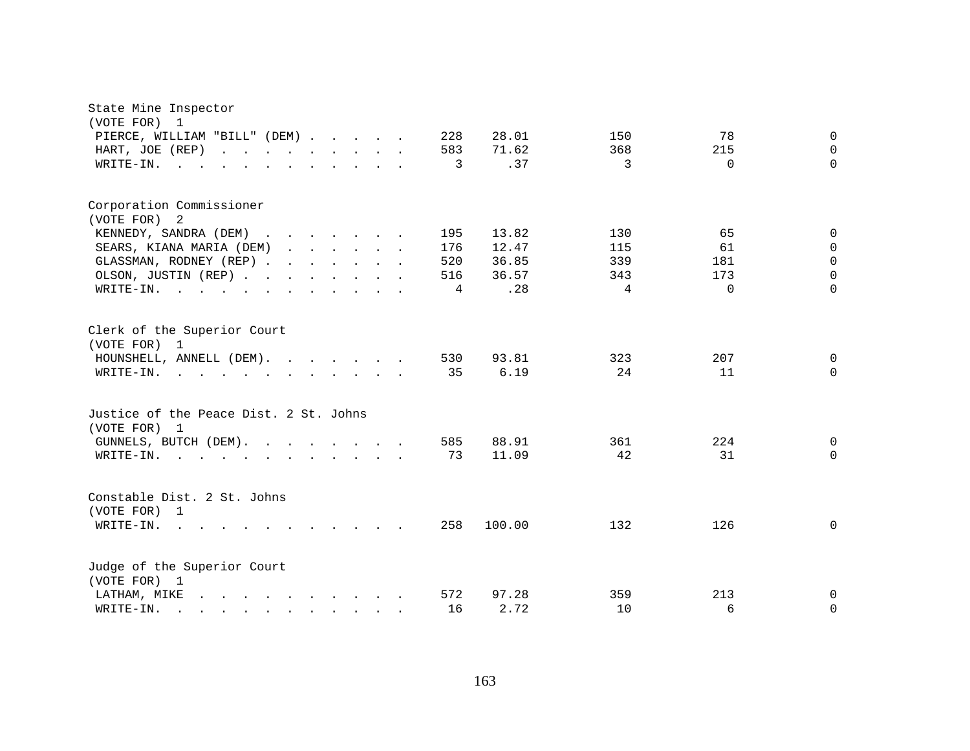| State Mine Inspector<br>(VOTE FOR)<br>1                                                                                                                                                                                                              |     |        |                |          |              |
|------------------------------------------------------------------------------------------------------------------------------------------------------------------------------------------------------------------------------------------------------|-----|--------|----------------|----------|--------------|
| PIERCE, WILLIAM "BILL" (DEM)                                                                                                                                                                                                                         | 228 | 28.01  | 150            | 78       | $\mathbf{0}$ |
| HART, JOE (REP)<br>and the contract of the contract of the contract of the contract of the contract of the contract of the contract of the contract of the contract of the contract of the contract of the contract of the contract of the contra    | 583 | 71.62  | 368            | 215      | $\Omega$     |
| WRITE-IN.<br>$\mathbf{r}$ , $\mathbf{r}$ , $\mathbf{r}$<br>$\cdot$ $\cdot$<br>$\cdot$ $\cdot$ $\cdot$ $\cdot$ $\cdot$ $\cdot$                                                                                                                        | 3   | .37    | 3              | $\Omega$ | $\Omega$     |
|                                                                                                                                                                                                                                                      |     |        |                |          |              |
| Corporation Commissioner                                                                                                                                                                                                                             |     |        |                |          |              |
| (VOTE FOR) 2                                                                                                                                                                                                                                         |     |        |                |          |              |
| KENNEDY, SANDRA (DEM)                                                                                                                                                                                                                                | 195 | 13.82  | 130            | 65       | $\Omega$     |
| SEARS, KIANA MARIA (DEM)<br>$\mathbf{r}$ , $\mathbf{r}$ , $\mathbf{r}$ , $\mathbf{r}$ , $\mathbf{r}$                                                                                                                                                 | 176 | 12.47  | 115            | 61       | $\Omega$     |
| GLASSMAN, RODNEY (REP)                                                                                                                                                                                                                               | 520 | 36.85  | 339            | 181      | $\mathbf 0$  |
| OLSON, JUSTIN (REP)                                                                                                                                                                                                                                  | 516 | 36.57  | 343            | 173      | $\Omega$     |
| WRITE-IN.                                                                                                                                                                                                                                            | 4   | .28    | $\overline{4}$ | $\Omega$ | $\Omega$     |
| Clerk of the Superior Court<br>(VOTE FOR) 1                                                                                                                                                                                                          |     |        |                |          |              |
| HOUNSHELL, ANNELL (DEM).                                                                                                                                                                                                                             | 530 | 93.81  | 323            | 207      | $\mathbf{0}$ |
| WRITE-IN.<br>$\mathbf{r}$ , and $\mathbf{r}$ , and $\mathbf{r}$ , and $\mathbf{r}$ , and $\mathbf{r}$                                                                                                                                                | 35  | 6.19   | 24             | 11       | $\Omega$     |
| Justice of the Peace Dist. 2 St. Johns<br>(VOTE FOR) 1                                                                                                                                                                                               |     |        |                |          |              |
| GUNNELS, BUTCH (DEM).                                                                                                                                                                                                                                | 585 | 88.91  | 361            | 224      | 0            |
| WRITE-IN.<br>$\mathbf{r}$ , and $\mathbf{r}$ , and $\mathbf{r}$ , and $\mathbf{r}$ , and $\mathbf{r}$                                                                                                                                                | 73  | 11.09  | 42             | 31       | $\mathbf 0$  |
| Constable Dist. 2 St. Johns<br>(VOTE FOR) 1                                                                                                                                                                                                          |     |        |                |          |              |
| WRITE-IN.<br>$\mathbf{r}$ , $\mathbf{r}$ , $\mathbf{r}$ , $\mathbf{r}$<br>$\sim$                                                                                                                                                                     | 258 | 100.00 | 132            | 126      | $\mathbf 0$  |
| Judge of the Superior Court<br>(VOTE FOR) 1                                                                                                                                                                                                          |     |        |                |          |              |
| LATHAM, MIKE<br>$\mathbf{r}$ and $\mathbf{r}$ are the set of the set of the set of the set of the set of the set of the set of the set of the set of the set of the set of the set of the set of the set of the set of the set of the set of the set | 572 | 97.28  | 359            | 213      | 0            |
| WRITE-IN.<br>$\mathbf{r}$ , and $\mathbf{r}$ , and $\mathbf{r}$ , and $\mathbf{r}$                                                                                                                                                                   | 16  | 2.72   | 10             | 6        | 0            |
|                                                                                                                                                                                                                                                      |     |        |                |          |              |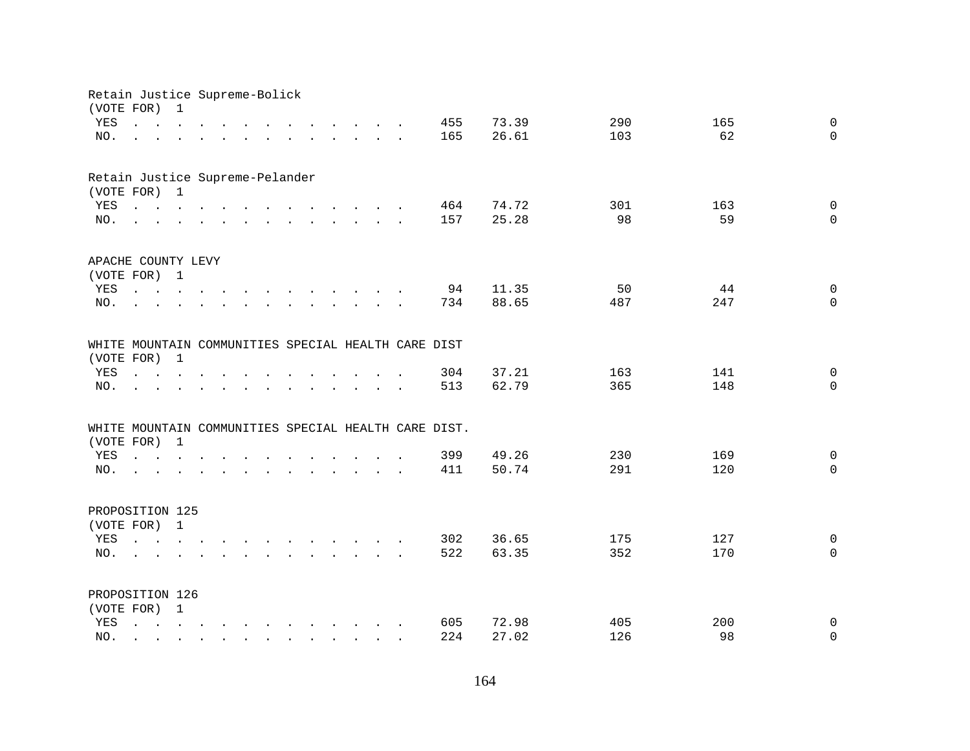| Retain Justice Supreme-Bolick<br>(VOTE FOR)         |                                                                                                                                       | 1                                                                                                                                     |  |           |                                                                                                                                                                                                                                   |                                            |                                                           |  |                                                      |       |     |     |              |
|-----------------------------------------------------|---------------------------------------------------------------------------------------------------------------------------------------|---------------------------------------------------------------------------------------------------------------------------------------|--|-----------|-----------------------------------------------------------------------------------------------------------------------------------------------------------------------------------------------------------------------------------|--------------------------------------------|-----------------------------------------------------------|--|------------------------------------------------------|-------|-----|-----|--------------|
| YES                                                 | $\mathbf{r}$ , $\mathbf{r}$ , $\mathbf{r}$ , $\mathbf{r}$ , $\mathbf{r}$                                                              |                                                                                                                                       |  |           | $\mathbf{r}$ . The contract of the contract of the contract of the contract of the contract of the contract of the contract of the contract of the contract of the contract of the contract of the contract of the contract of th |                                            |                                                           |  | 455                                                  | 73.39 | 290 | 165 | $\mathbf 0$  |
| NO.                                                 |                                                                                                                                       |                                                                                                                                       |  |           | $\mathbf{r}$ , and $\mathbf{r}$ , and $\mathbf{r}$ , and $\mathbf{r}$ , and $\mathbf{r}$                                                                                                                                          |                                            |                                                           |  | 165                                                  | 26.61 | 103 | 62  | $\Omega$     |
|                                                     |                                                                                                                                       |                                                                                                                                       |  |           |                                                                                                                                                                                                                                   |                                            |                                                           |  |                                                      |       |     |     |              |
| Retain Justice Supreme-Pelander                     |                                                                                                                                       |                                                                                                                                       |  |           |                                                                                                                                                                                                                                   |                                            |                                                           |  |                                                      |       |     |     |              |
| (VOTE FOR) 1                                        |                                                                                                                                       |                                                                                                                                       |  |           |                                                                                                                                                                                                                                   |                                            |                                                           |  |                                                      |       |     |     |              |
| YES                                                 | $\mathbf{r}$ , and $\mathbf{r}$ , and $\mathbf{r}$ , and $\mathbf{r}$ , and $\mathbf{r}$ , and $\mathbf{r}$                           |                                                                                                                                       |  |           |                                                                                                                                                                                                                                   |                                            |                                                           |  | 464                                                  | 74.72 | 301 | 163 | $\mathbf 0$  |
| NO.                                                 | $\mathbf{r}$ , and $\mathbf{r}$ , and $\mathbf{r}$ , and $\mathbf{r}$ , and $\mathbf{r}$ , and $\mathbf{r}$                           |                                                                                                                                       |  |           |                                                                                                                                                                                                                                   |                                            |                                                           |  | 157                                                  | 25.28 | 98  | 59  | $\Omega$     |
| APACHE COUNTY LEVY                                  |                                                                                                                                       |                                                                                                                                       |  |           |                                                                                                                                                                                                                                   |                                            |                                                           |  |                                                      |       |     |     |              |
| (VOTE FOR) 1                                        |                                                                                                                                       |                                                                                                                                       |  |           |                                                                                                                                                                                                                                   |                                            |                                                           |  |                                                      |       |     |     |              |
| YES                                                 |                                                                                                                                       |                                                                                                                                       |  |           |                                                                                                                                                                                                                                   |                                            |                                                           |  | 94                                                   | 11.35 | 50  | 44  | $\mathbf 0$  |
| NO.                                                 | $\mathbf{L}$                                                                                                                          |                                                                                                                                       |  | $\sim 10$ | $\mathbf{r}$ . The contract of the contract of the contract of the contract of the contract of the contract of the contract of the contract of the contract of the contract of the contract of the contract of the contract of th |                                            |                                                           |  | 734                                                  | 88.65 | 487 | 247 | $\mathbf 0$  |
| WHITE MOUNTAIN COMMUNITIES SPECIAL HEALTH CARE DIST |                                                                                                                                       |                                                                                                                                       |  |           |                                                                                                                                                                                                                                   |                                            |                                                           |  |                                                      |       |     |     |              |
| (VOTE FOR)                                          |                                                                                                                                       | $\mathbf{1}$                                                                                                                          |  |           |                                                                                                                                                                                                                                   |                                            |                                                           |  |                                                      |       |     |     |              |
| YES                                                 | $\cdot$ $\cdot$ $\cdot$ $\cdot$ $\cdot$                                                                                               |                                                                                                                                       |  |           |                                                                                                                                                                                                                                   |                                            |                                                           |  | 304                                                  | 37.21 | 163 | 141 | $\mathbf 0$  |
| NO.                                                 |                                                                                                                                       |                                                                                                                                       |  |           |                                                                                                                                                                                                                                   |                                            |                                                           |  | 513                                                  | 62.79 | 365 | 148 | $\mathbf 0$  |
|                                                     |                                                                                                                                       |                                                                                                                                       |  |           |                                                                                                                                                                                                                                   |                                            |                                                           |  |                                                      |       |     |     |              |
|                                                     |                                                                                                                                       | $\mathbf{1}$                                                                                                                          |  |           |                                                                                                                                                                                                                                   |                                            |                                                           |  | WHITE MOUNTAIN COMMUNITIES SPECIAL HEALTH CARE DIST. |       |     |     |              |
| (VOTE FOR)<br>YES                                   |                                                                                                                                       |                                                                                                                                       |  |           |                                                                                                                                                                                                                                   |                                            |                                                           |  | 399                                                  | 49.26 | 230 | 169 | $\mathbf 0$  |
| NO.                                                 | $\mathbf{r}$ , $\mathbf{r}$ , $\mathbf{r}$ , $\mathbf{r}$ , $\mathbf{r}$                                                              |                                                                                                                                       |  |           |                                                                                                                                                                                                                                   |                                            | $\mathbf{r}$ , $\mathbf{r}$ , $\mathbf{r}$ , $\mathbf{r}$ |  | 411                                                  | 50.74 | 291 | 120 | $\Omega$     |
|                                                     | and a series of the contract of the contract of the contract of the contract of the contract of the contract of                       |                                                                                                                                       |  |           |                                                                                                                                                                                                                                   |                                            |                                                           |  |                                                      |       |     |     |              |
| PROPOSITION 125                                     |                                                                                                                                       |                                                                                                                                       |  |           |                                                                                                                                                                                                                                   |                                            |                                                           |  |                                                      |       |     |     |              |
| (VOTE FOR) 1                                        |                                                                                                                                       |                                                                                                                                       |  |           |                                                                                                                                                                                                                                   |                                            |                                                           |  |                                                      |       |     |     |              |
| YES                                                 | $\mathbf{r} = \mathbf{r} - \mathbf{r}$ , $\mathbf{r} = \mathbf{r} - \mathbf{r}$ , $\mathbf{r} = \mathbf{r} - \mathbf{r} - \mathbf{r}$ |                                                                                                                                       |  |           |                                                                                                                                                                                                                                   |                                            |                                                           |  | 302                                                  | 36.65 | 175 | 127 | $\mathsf{O}$ |
| NO.                                                 |                                                                                                                                       |                                                                                                                                       |  |           | $\mathbf{r}$ , $\mathbf{r}$ , $\mathbf{r}$ , $\mathbf{r}$ , $\mathbf{r}$ , $\mathbf{r}$ , $\mathbf{r}$ , $\mathbf{r}$                                                                                                             |                                            |                                                           |  | 522                                                  | 63.35 | 352 | 170 | $\Omega$     |
| PROPOSITION 126                                     |                                                                                                                                       |                                                                                                                                       |  |           |                                                                                                                                                                                                                                   |                                            |                                                           |  |                                                      |       |     |     |              |
| (VOTE FOR) 1                                        |                                                                                                                                       |                                                                                                                                       |  |           |                                                                                                                                                                                                                                   |                                            |                                                           |  |                                                      |       |     |     |              |
| YES                                                 | $\mathbf{L}$                                                                                                                          | $\mathbf{r} = \mathbf{r} - \mathbf{r}$ , $\mathbf{r} = \mathbf{r} - \mathbf{r}$ , $\mathbf{r} = \mathbf{r} - \mathbf{r} - \mathbf{r}$ |  |           |                                                                                                                                                                                                                                   |                                            |                                                           |  | 605                                                  | 72.98 | 405 | 200 | 0            |
| NO.                                                 |                                                                                                                                       |                                                                                                                                       |  |           |                                                                                                                                                                                                                                   | $\mathbf{r}$ , $\mathbf{r}$ , $\mathbf{r}$ |                                                           |  | 224                                                  | 27.02 | 126 | 98  | $\mathbf 0$  |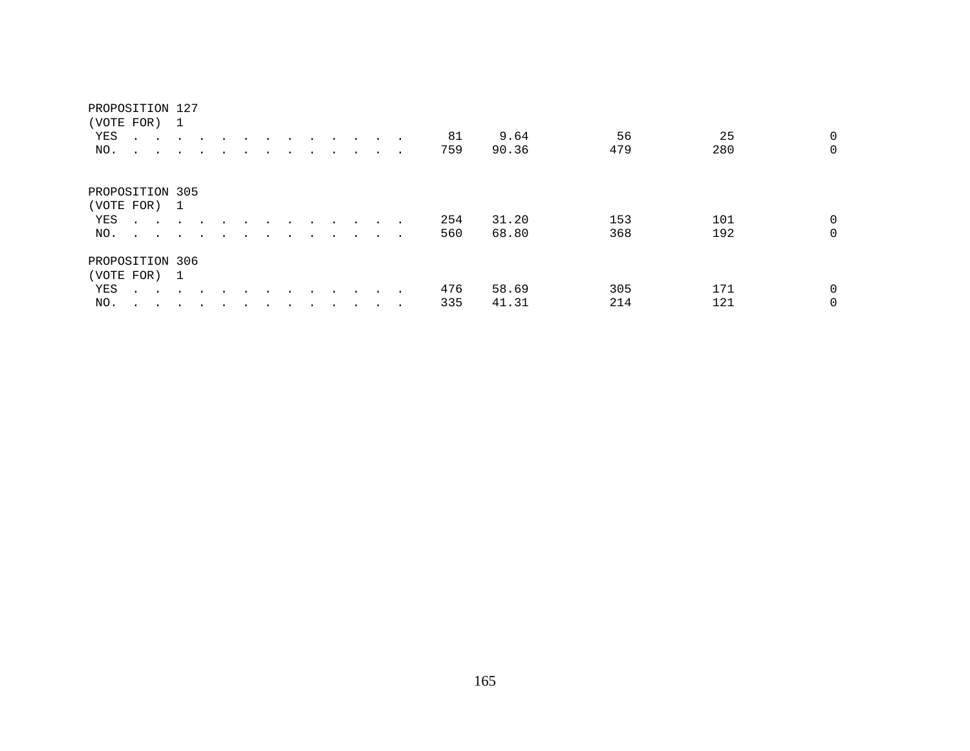|                 | (VOTE FOR) 1                   |               |                      |  |  |  |           |        |     |       |     |     |             |
|-----------------|--------------------------------|---------------|----------------------|--|--|--|-----------|--------|-----|-------|-----|-----|-------------|
| YES             |                                |               |                      |  |  |  | $\sim$    |        | 81  | 9.64  | 56  | 25  | 0           |
| NO.             | $\ddot{\phantom{0}}$<br>$\sim$ | $\sim$        | $\cdot$              |  |  |  |           | $\sim$ | 759 | 90.36 | 479 | 280 | $\mathbf 0$ |
| PROPOSITION 305 |                                |               |                      |  |  |  |           |        |     |       |     |     |             |
|                 | (VOTE FOR) 1                   |               |                      |  |  |  |           |        |     |       |     |     |             |
| YES             | $\sim$ $\sim$                  |               |                      |  |  |  |           |        | 254 | 31.20 | 153 | 101 | $\mathbf 0$ |
| NO.             | $\sim$ $\sim$                  | $\sim$ $\sim$ | $\ddot{\phantom{1}}$ |  |  |  | $\cdot$   | $\sim$ | 560 | 68.80 | 368 | 192 | 0           |
| PROPOSITION 306 |                                |               |                      |  |  |  |           |        |     |       |     |     |             |
|                 | (VOTE FOR) 1                   |               |                      |  |  |  |           |        |     |       |     |     |             |
| YES             | $\mathbf{A}$ and $\mathbf{A}$  | $\sim$ $\sim$ |                      |  |  |  |           |        | 476 | 58.69 | 305 | 171 | $\Omega$    |
| NO.             | $\ddot{\phantom{0}}$<br>$\sim$ |               |                      |  |  |  | $\bullet$ | $\sim$ | 335 | 41.31 | 214 | 121 | 0           |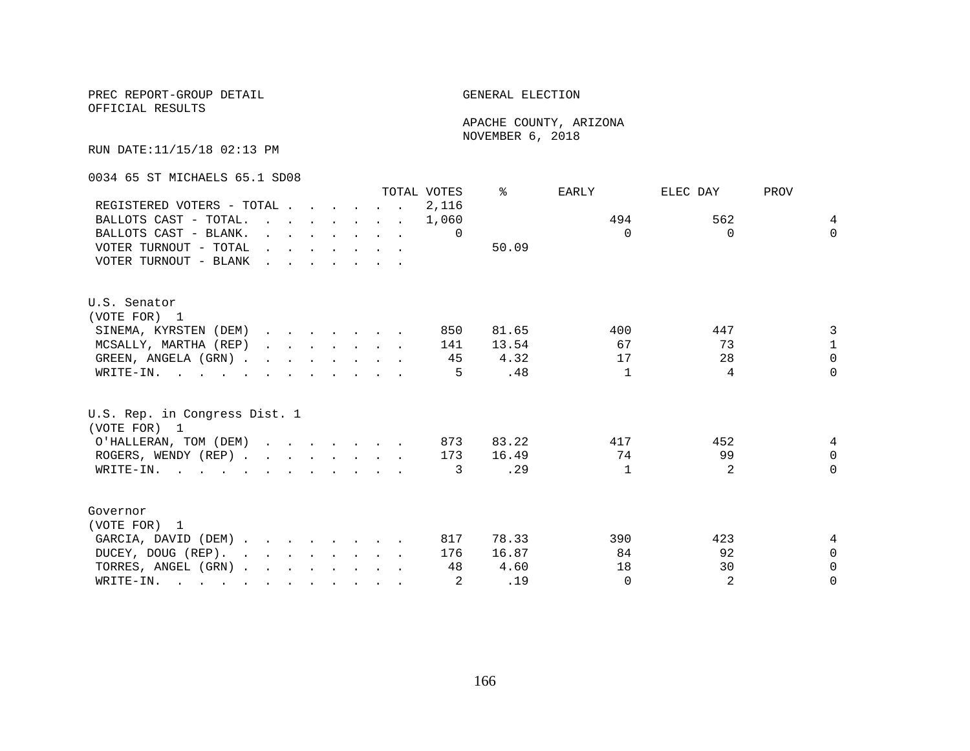OFFICIAL RESULTS

 APACHE COUNTY, ARIZONA NOVEMBER 6, 2018

RUN DATE:11/15/18 02:13 PM

0034 65 ST MICHAELS 65.1 SD08

|                                                                                                                          |                                                    |  |  |                                                                                         |                                                                       | TOTAL VOTES | ⊱     | <b>EARLY</b> | ELEC DAY       | PROV           |
|--------------------------------------------------------------------------------------------------------------------------|----------------------------------------------------|--|--|-----------------------------------------------------------------------------------------|-----------------------------------------------------------------------|-------------|-------|--------------|----------------|----------------|
| REGISTERED VOTERS - TOTAL                                                                                                |                                                    |  |  |                                                                                         |                                                                       | 2,116       |       |              |                |                |
| BALLOTS CAST - TOTAL.                                                                                                    |                                                    |  |  |                                                                                         | $\mathbf{r}$ , and $\mathbf{r}$ , and $\mathbf{r}$ , and $\mathbf{r}$ | 1,060       |       | 494          | 562            | $\overline{4}$ |
| BALLOTS CAST - BLANK.                                                                                                    |                                                    |  |  | $\mathbf{r}$ and $\mathbf{r}$ and $\mathbf{r}$ and $\mathbf{r}$ and $\mathbf{r}$        |                                                                       | $\Omega$    |       | $\Omega$     | $\Omega$       | $\Omega$       |
| VOTER TURNOUT - TOTAL                                                                                                    |                                                    |  |  | $\mathbf{r}$ , $\mathbf{r}$ , $\mathbf{r}$ , $\mathbf{r}$ , $\mathbf{r}$ , $\mathbf{r}$ |                                                                       |             | 50.09 |              |                |                |
| VOTER TURNOUT - BLANK                                                                                                    | <u>in the second contract of the second second</u> |  |  |                                                                                         |                                                                       |             |       |              |                |                |
| U.S. Senator                                                                                                             |                                                    |  |  |                                                                                         |                                                                       |             |       |              |                |                |
| (VOTE FOR) 1                                                                                                             |                                                    |  |  |                                                                                         |                                                                       |             |       |              |                |                |
| SINEMA, KYRSTEN (DEM)                                                                                                    |                                                    |  |  |                                                                                         |                                                                       | 850         | 81.65 | 400          | 447            | 3              |
| MCSALLY, MARTHA (REP)                                                                                                    |                                                    |  |  | $\mathbf{r}$ , $\mathbf{r}$ , $\mathbf{r}$ , $\mathbf{r}$ , $\mathbf{r}$                |                                                                       | 141         | 13.54 | 67           | 73             | $\mathbf{1}$   |
| GREEN, ANGELA (GRN).                                                                                                     |                                                    |  |  |                                                                                         |                                                                       | 45          | 4.32  | 17           | 28             | $\Omega$       |
| WRITE-IN.                                                                                                                |                                                    |  |  |                                                                                         |                                                                       | 5           | .48   | $\mathbf{1}$ | 4              | $\Omega$       |
| U.S. Rep. in Congress Dist. 1<br>(VOTE FOR) 1                                                                            |                                                    |  |  |                                                                                         |                                                                       |             |       |              |                |                |
| O'HALLERAN, TOM (DEM)                                                                                                    |                                                    |  |  |                                                                                         |                                                                       | 873         | 83.22 | 417          | 452            | 4              |
| ROGERS, WENDY (REP)                                                                                                      |                                                    |  |  |                                                                                         |                                                                       | 173         | 16.49 | 74           | 99             | $\Omega$       |
| WRITE-IN.                                                                                                                |                                                    |  |  |                                                                                         |                                                                       | 3           | .29   | $\mathbf{1}$ | $\mathfrak{D}$ | $\Omega$       |
| Governor                                                                                                                 |                                                    |  |  |                                                                                         |                                                                       |             |       |              |                |                |
| (VOTE FOR) 1                                                                                                             |                                                    |  |  |                                                                                         |                                                                       |             |       |              |                |                |
| GARCIA, DAVID (DEM)                                                                                                      |                                                    |  |  |                                                                                         |                                                                       | 817         | 78.33 | 390          | 423            | 4              |
| DUCEY, DOUG (REP).                                                                                                       |                                                    |  |  |                                                                                         |                                                                       | 176         | 16.87 | 84           | 92             | $\Omega$       |
| TORRES, ANGEL (GRN)                                                                                                      |                                                    |  |  |                                                                                         |                                                                       | 48          | 4.60  | 18           | 30             | $\Omega$       |
| WRITE-IN.<br>$\mathbf{r}$ , and $\mathbf{r}$ , and $\mathbf{r}$ , and $\mathbf{r}$ , and $\mathbf{r}$ , and $\mathbf{r}$ |                                                    |  |  |                                                                                         |                                                                       |             | .19   | $\Omega$     | 2              | $\Omega$       |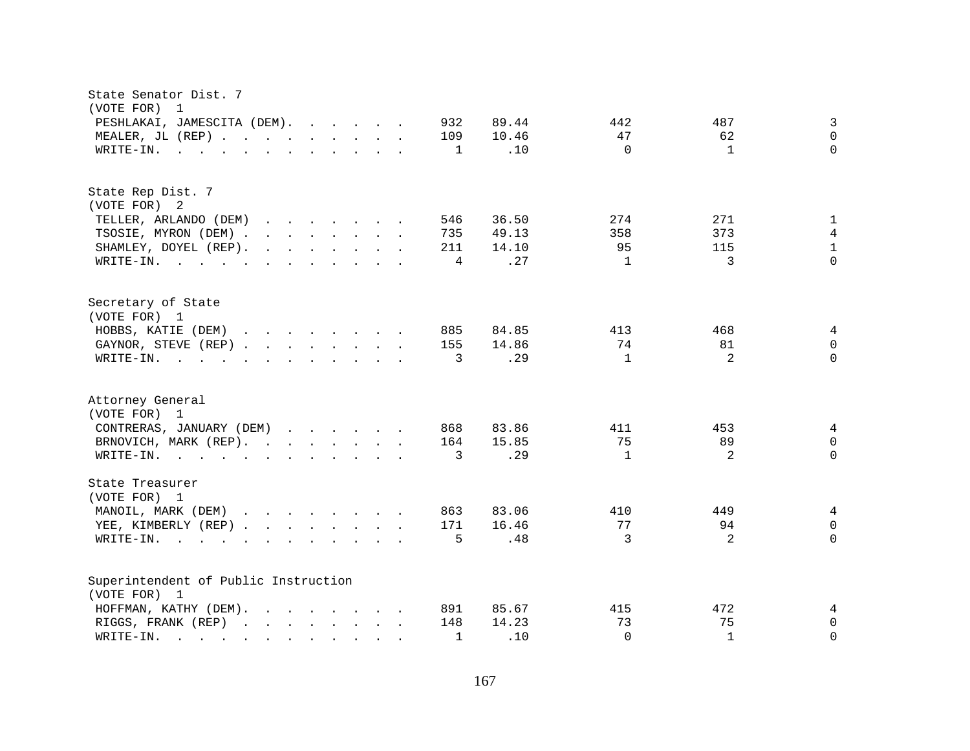| State Senator Dist. 7<br>(VOTE FOR) 1                                                                                                                                                                                                                                                                                     |                                                   |
|---------------------------------------------------------------------------------------------------------------------------------------------------------------------------------------------------------------------------------------------------------------------------------------------------------------------------|---------------------------------------------------|
| PESHLAKAI, JAMESCITA (DEM).<br>932                                                                                                                                                                                                                                                                                        | 3<br>89.44<br>442<br>487                          |
| MEALER, JL (REP)<br>109                                                                                                                                                                                                                                                                                                   | $\Omega$<br>10.46<br>47<br>62                     |
| WRITE-IN.<br>$\mathbf{r}$ , and $\mathbf{r}$ , and $\mathbf{r}$ , and $\mathbf{r}$ , and $\mathbf{r}$<br>1                                                                                                                                                                                                                | $\Omega$<br>$\Omega$<br>.10<br>$\mathbf{1}$       |
|                                                                                                                                                                                                                                                                                                                           |                                                   |
| State Rep Dist. 7                                                                                                                                                                                                                                                                                                         |                                                   |
| (VOTE FOR) 2                                                                                                                                                                                                                                                                                                              |                                                   |
| TELLER, ARLANDO (DEM)<br>546<br><u>na na manang mga sangayon ng mga sangayon ng mga sangayon ng mga sangayon ng mga sangayon ng mga sangayon ng mga sangayon ng mga sangayon ng mga sangayon ng mga sangayon ng mga sangayon ng mga sangayon ng mga sangayon ng </u>                                                      | 36.50<br>274<br>271<br>1                          |
| TSOSIE, MYRON (DEM)<br>735                                                                                                                                                                                                                                                                                                | 4<br>49.13<br>358<br>373                          |
| SHAMLEY, DOYEL (REP).<br>$\mathbf{r}$ , $\mathbf{r}$ , $\mathbf{r}$ , $\mathbf{r}$ , $\mathbf{r}$ , $\mathbf{r}$ , $\mathbf{r}$<br>211                                                                                                                                                                                    | 95<br>$\mathbf{1}$<br>14.10<br>115                |
| 4<br>WRITE-IN.                                                                                                                                                                                                                                                                                                            | 3<br>$\Omega$<br>.27<br>$\mathbf{1}$              |
| Secretary of State                                                                                                                                                                                                                                                                                                        |                                                   |
| (VOTE FOR) 1                                                                                                                                                                                                                                                                                                              |                                                   |
| HOBBS, KATIE (DEM)<br>885                                                                                                                                                                                                                                                                                                 | 84.85<br>413<br>468<br>4                          |
| GAYNOR, STEVE (REP)<br>155                                                                                                                                                                                                                                                                                                | 74<br>81<br>$\Omega$<br>14.86                     |
| WRITE-IN.<br>3<br>$\mathbf{r}$ , and $\mathbf{r}$ , and $\mathbf{r}$ , and $\mathbf{r}$ , and $\mathbf{r}$                                                                                                                                                                                                                | 2<br>$\Omega$<br>.29<br>$\mathbf{1}$              |
| Attorney General<br>(VOTE FOR) 1                                                                                                                                                                                                                                                                                          |                                                   |
| CONTRERAS, JANUARY (DEM)<br>868                                                                                                                                                                                                                                                                                           | 83.86<br>411<br>453<br>4                          |
| BRNOVICH, MARK (REP).<br>164                                                                                                                                                                                                                                                                                              | 89<br>15.85<br>75<br>$\Omega$                     |
| WRITE-IN.<br>3                                                                                                                                                                                                                                                                                                            | $\overline{2}$<br>.29<br>$\mathbf{1}$<br>$\Omega$ |
|                                                                                                                                                                                                                                                                                                                           |                                                   |
| State Treasurer<br>(VOTE FOR) 1                                                                                                                                                                                                                                                                                           |                                                   |
| MANOIL, MARK (DEM)<br>863                                                                                                                                                                                                                                                                                                 | 83.06<br>410<br>449<br>4                          |
| 171<br>YEE, KIMBERLY (REP)                                                                                                                                                                                                                                                                                                | 77<br>$\Omega$<br>16.46<br>94                     |
| 5<br>WRITE-IN.<br>$\mathbf{r}$ . The contract of the contract of the contract of the contract of the contract of the contract of the contract of the contract of the contract of the contract of the contract of the contract of the contract of th                                                                       | 3<br>2<br>$\Omega$<br>.48                         |
| Superintendent of Public Instruction                                                                                                                                                                                                                                                                                      |                                                   |
| (VOTE FOR) 1                                                                                                                                                                                                                                                                                                              |                                                   |
| HOFFMAN, KATHY (DEM).<br>$\mathbf{r}$ . The set of the set of the set of the set of the set of the set of the set of the set of the set of the set of the set of the set of the set of the set of the set of the set of the set of the set of the set of t<br>891                                                         | 85.67<br>415<br>472<br>4                          |
| RIGGS, FRANK (REP)<br>148                                                                                                                                                                                                                                                                                                 | 73<br>75<br>14.23<br>$\mathbf 0$                  |
| WRITE-IN.<br>$\mathbf{1}$<br>and the contract of the contract of the contract of the contract of the contract of the contract of the contract of the contract of the contract of the contract of the contract of the contract of the contract of the contra<br>$\mathbf{r} = \mathbf{r} \cdot \mathbf{r}$<br>$\mathbf{L}$ | $\Omega$<br>.10<br>$\mathbf{1}$<br>$\Omega$       |
|                                                                                                                                                                                                                                                                                                                           |                                                   |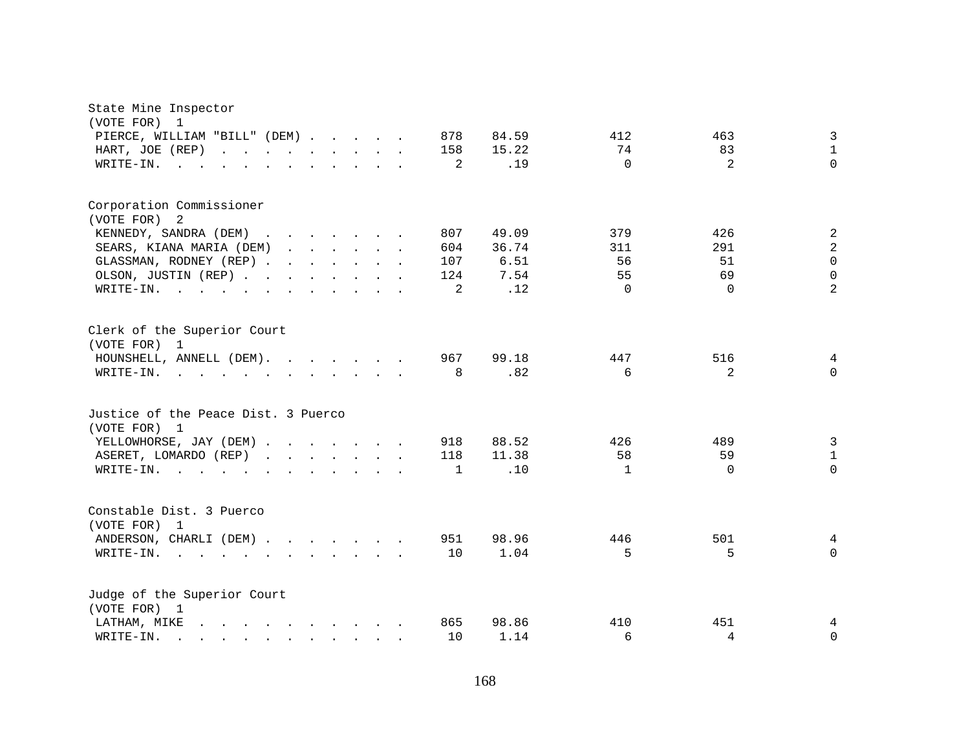| State Mine Inspector                                                                                                            |              |       |              |          |                |
|---------------------------------------------------------------------------------------------------------------------------------|--------------|-------|--------------|----------|----------------|
| (VOTE FOR) 1                                                                                                                    | 878          | 84.59 | 412          | 463      | $\mathfrak{Z}$ |
| PIERCE, WILLIAM "BILL" (DEM)<br>HART, JOE (REP)<br>and the contract of the contract of                                          | 158          | 15.22 | 74           | 83       | $\mathbf{1}$   |
| WRITE-IN.<br>$\sim$ $\sim$ $\sim$                                                                                               | 2            | .19   | $\Omega$     | 2        | $\Omega$       |
|                                                                                                                                 |              |       |              |          |                |
| Corporation Commissioner                                                                                                        |              |       |              |          |                |
| (VOTE FOR)<br>2                                                                                                                 |              |       |              |          |                |
| KENNEDY, SANDRA (DEM)<br>$\mathbf{r}$ , $\mathbf{r}$ , $\mathbf{r}$ , $\mathbf{r}$ , $\mathbf{r}$ , $\mathbf{r}$ , $\mathbf{r}$ | 807          | 49.09 | 379          | 426      | $\sqrt{2}$     |
| SEARS, KIANA MARIA (DEM)                                                                                                        | 604          | 36.74 | 311          | 291      | $\sqrt{2}$     |
| GLASSMAN, RODNEY (REP)                                                                                                          | 107          | 6.51  | 56           | 51       | $\mathbf 0$    |
| OLSON, JUSTIN (REP)                                                                                                             | 124          | 7.54  | 55           | 69       | $\mathbf 0$    |
| WRITE-IN.<br>$\mathbf{r}$ , and $\mathbf{r}$ , and $\mathbf{r}$ , and $\mathbf{r}$ , and $\mathbf{r}$                           | 2            | .12   | $\Omega$     | $\Omega$ | $\overline{2}$ |
| Clerk of the Superior Court<br>(VOTE FOR) 1                                                                                     | 967          | 99.18 | 447          |          |                |
| HOUNSHELL, ANNELL (DEM).                                                                                                        |              |       |              | 516      | 4              |
| WRITE-IN.<br>$\mathbf{r}$ , and $\mathbf{r}$ , and $\mathbf{r}$ , and $\mathbf{r}$ , and $\mathbf{r}$                           | 8            | .82   | 6            | 2        | $\Omega$       |
| Justice of the Peace Dist. 3 Puerco<br>(VOTE FOR) 1                                                                             |              |       |              |          |                |
| YELLOWHORSE, JAY (DEM)                                                                                                          | 918          | 88.52 | 426          | 489      | $\mathfrak{Z}$ |
|                                                                                                                                 |              | 11.38 | 58           |          | $\mathbf{1}$   |
| ASERET, LOMARDO (REP)<br>$\mathbf{r}$ , $\mathbf{r}$ , $\mathbf{r}$ , $\mathbf{r}$ , $\mathbf{r}$ , $\mathbf{r}$                | 118          | .10   |              | 59       | $\Omega$       |
| $W\text{RITE}-\text{IN}.$<br>$\mathbf{r}$ , $\mathbf{r}$ , $\mathbf{r}$                                                         | $\mathbf{1}$ |       | $\mathbf{1}$ | $\Omega$ |                |
| Constable Dist. 3 Puerco<br>(VOTE FOR) 1                                                                                        |              |       |              |          |                |
| ANDERSON, CHARLI (DEM)                                                                                                          | 951          | 98.96 | 446          | 501      | 4              |
| WRITE-IN.                                                                                                                       | 10           | 1.04  | 5            | 5        | $\Omega$       |
|                                                                                                                                 |              |       |              |          |                |
| Judge of the Superior Court<br>(VOTE FOR) 1                                                                                     |              |       |              |          |                |
| LATHAM, MIKE<br>$\mathbf{r}$ , and $\mathbf{r}$ , and $\mathbf{r}$ , and $\mathbf{r}$ , and $\mathbf{r}$                        | 865          | 98.86 | 410          | 451      | 4              |
| WRITE-IN.<br>$\mathbf{r}$ , and $\mathbf{r}$ , and $\mathbf{r}$ , and $\mathbf{r}$                                              | 10           | 1.14  | 6            | 4        | 0              |
|                                                                                                                                 |              |       |              |          |                |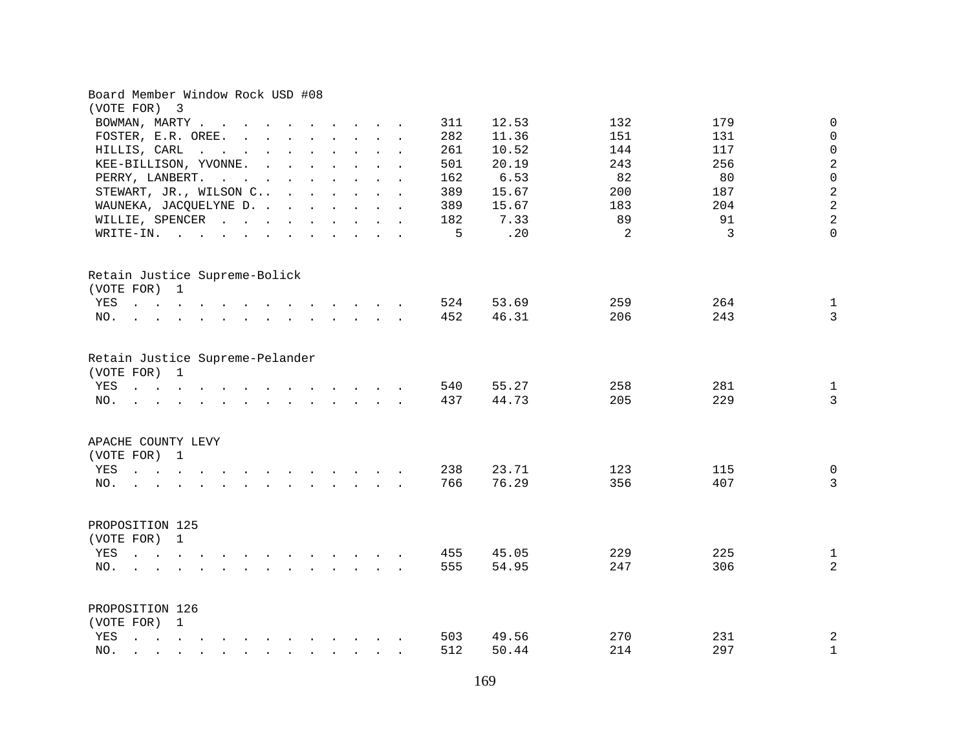| 12.53<br>132<br>179<br>BOWMAN, MARTY<br>311<br>11.36<br>FOSTER, E.R. OREE.<br>282<br>151<br>131<br>261<br>10.52<br>144<br>117<br>HILLIS, CARL<br>20.19<br>243<br>256<br>KEE-BILLISON, YVONNE.<br>501<br>6.53<br>82<br>80<br>PERRY, LANBERT.<br>162<br>$\mathbf{r}$ . The contract of the contract of the contract of the contract of the contract of the contract of the contract of the contract of the contract of the contract of the contract of the contract of the contract of th<br>STEWART, JR., WILSON C<br>389<br>15.67<br>200<br>187<br>WAUNEKA, JACQUELYNE D.<br>15.67<br>183<br>204<br>389<br>89<br>91<br>7.33<br>WILLIE, SPENCER<br>182<br>.20<br>$\overline{2}$<br>3<br>5<br>WRITE-IN.<br>Retain Justice Supreme-Bolick<br>(VOTE FOR) 1<br>264<br>524<br>53.69<br>259<br>YES<br>the contract of the contract of the contract of the contract of the contract of the contract of the contract of<br>452<br>46.31<br>206<br>243<br>NO.<br>the contract of the contract of the contract of the contract of the contract of the contract of the contract of<br>Retain Justice Supreme-Pelander<br>(VOTE FOR) 1<br>281<br>55.27<br>258<br>YES<br>540<br>the contract of the contract of the contract of the contract of the contract of the contract of the contract of<br>44.73<br>205<br>229<br>437<br>NO.<br>the contract of the contract of the contract of the contract of the contract of the contract of the contract of<br>APACHE COUNTY LEVY<br>(VOTE FOR) 1<br>238<br>23.71<br>123<br>115<br>YES<br>76.29<br>356<br>407<br>766<br>NO.<br>$\mathbf{r}$ , and $\mathbf{r}$ , and $\mathbf{r}$ , and $\mathbf{r}$<br>$\sim 10^{-1}$<br>PROPOSITION 125<br>(VOTE FOR) 1<br>225<br>YES<br>455<br>45.05<br>229<br>$\mathbf{r}$ , $\mathbf{r}$ , $\mathbf{r}$ , $\mathbf{r}$ , $\mathbf{r}$<br>$\mathbf{r}$ , and $\mathbf{r}$ , and $\mathbf{r}$ , and $\mathbf{r}$<br>555<br>54.95<br>306<br>247<br>NO.<br>the contract of the contract of the contract of<br>$\mathbf{r}$ . The contract of the contract of the contract of the contract of the contract of the contract of the contract of the contract of the contract of the contract of the contract of the contract of the contract of th<br>PROPOSITION 126<br>(VOTE FOR) 1<br>49.56<br>270<br>231<br>YES<br>503<br>214<br>297<br>512<br>50.44<br>NO.<br>$\mathbf{r}$ , and $\mathbf{r}$ , and $\mathbf{r}$ , and $\mathbf{r}$ , and $\mathbf{r}$ , and $\mathbf{r}$<br>$\ddot{\phantom{a}}$ | Board Member Window Rock USD #08<br>(VOTE FOR) 3 |  |                   |
|--------------------------------------------------------------------------------------------------------------------------------------------------------------------------------------------------------------------------------------------------------------------------------------------------------------------------------------------------------------------------------------------------------------------------------------------------------------------------------------------------------------------------------------------------------------------------------------------------------------------------------------------------------------------------------------------------------------------------------------------------------------------------------------------------------------------------------------------------------------------------------------------------------------------------------------------------------------------------------------------------------------------------------------------------------------------------------------------------------------------------------------------------------------------------------------------------------------------------------------------------------------------------------------------------------------------------------------------------------------------------------------------------------------------------------------------------------------------------------------------------------------------------------------------------------------------------------------------------------------------------------------------------------------------------------------------------------------------------------------------------------------------------------------------------------------------------------------------------------------------------------------------------------------------------------------------------------------------------------------------------------------------------------------------------------------------------------------------------------------------------------------------------------------------------------------------------------------------------------------------------------------------------------------------------------------------------------------------------------------------------------------------------------------------------------------------------------------------|--------------------------------------------------|--|-------------------|
|                                                                                                                                                                                                                                                                                                                                                                                                                                                                                                                                                                                                                                                                                                                                                                                                                                                                                                                                                                                                                                                                                                                                                                                                                                                                                                                                                                                                                                                                                                                                                                                                                                                                                                                                                                                                                                                                                                                                                                                                                                                                                                                                                                                                                                                                                                                                                                                                                                                                    |                                                  |  | $\mathbf 0$       |
|                                                                                                                                                                                                                                                                                                                                                                                                                                                                                                                                                                                                                                                                                                                                                                                                                                                                                                                                                                                                                                                                                                                                                                                                                                                                                                                                                                                                                                                                                                                                                                                                                                                                                                                                                                                                                                                                                                                                                                                                                                                                                                                                                                                                                                                                                                                                                                                                                                                                    |                                                  |  | $\mathbf 0$       |
|                                                                                                                                                                                                                                                                                                                                                                                                                                                                                                                                                                                                                                                                                                                                                                                                                                                                                                                                                                                                                                                                                                                                                                                                                                                                                                                                                                                                                                                                                                                                                                                                                                                                                                                                                                                                                                                                                                                                                                                                                                                                                                                                                                                                                                                                                                                                                                                                                                                                    |                                                  |  | $\mathsf 0$       |
|                                                                                                                                                                                                                                                                                                                                                                                                                                                                                                                                                                                                                                                                                                                                                                                                                                                                                                                                                                                                                                                                                                                                                                                                                                                                                                                                                                                                                                                                                                                                                                                                                                                                                                                                                                                                                                                                                                                                                                                                                                                                                                                                                                                                                                                                                                                                                                                                                                                                    |                                                  |  | $\overline{c}$    |
|                                                                                                                                                                                                                                                                                                                                                                                                                                                                                                                                                                                                                                                                                                                                                                                                                                                                                                                                                                                                                                                                                                                                                                                                                                                                                                                                                                                                                                                                                                                                                                                                                                                                                                                                                                                                                                                                                                                                                                                                                                                                                                                                                                                                                                                                                                                                                                                                                                                                    |                                                  |  | $\overline{0}$    |
|                                                                                                                                                                                                                                                                                                                                                                                                                                                                                                                                                                                                                                                                                                                                                                                                                                                                                                                                                                                                                                                                                                                                                                                                                                                                                                                                                                                                                                                                                                                                                                                                                                                                                                                                                                                                                                                                                                                                                                                                                                                                                                                                                                                                                                                                                                                                                                                                                                                                    |                                                  |  | $\sqrt{2}$        |
|                                                                                                                                                                                                                                                                                                                                                                                                                                                                                                                                                                                                                                                                                                                                                                                                                                                                                                                                                                                                                                                                                                                                                                                                                                                                                                                                                                                                                                                                                                                                                                                                                                                                                                                                                                                                                                                                                                                                                                                                                                                                                                                                                                                                                                                                                                                                                                                                                                                                    |                                                  |  | $\overline{a}$    |
|                                                                                                                                                                                                                                                                                                                                                                                                                                                                                                                                                                                                                                                                                                                                                                                                                                                                                                                                                                                                                                                                                                                                                                                                                                                                                                                                                                                                                                                                                                                                                                                                                                                                                                                                                                                                                                                                                                                                                                                                                                                                                                                                                                                                                                                                                                                                                                                                                                                                    |                                                  |  | $\overline{a}$    |
|                                                                                                                                                                                                                                                                                                                                                                                                                                                                                                                                                                                                                                                                                                                                                                                                                                                                                                                                                                                                                                                                                                                                                                                                                                                                                                                                                                                                                                                                                                                                                                                                                                                                                                                                                                                                                                                                                                                                                                                                                                                                                                                                                                                                                                                                                                                                                                                                                                                                    |                                                  |  | $\Omega$          |
|                                                                                                                                                                                                                                                                                                                                                                                                                                                                                                                                                                                                                                                                                                                                                                                                                                                                                                                                                                                                                                                                                                                                                                                                                                                                                                                                                                                                                                                                                                                                                                                                                                                                                                                                                                                                                                                                                                                                                                                                                                                                                                                                                                                                                                                                                                                                                                                                                                                                    |                                                  |  |                   |
|                                                                                                                                                                                                                                                                                                                                                                                                                                                                                                                                                                                                                                                                                                                                                                                                                                                                                                                                                                                                                                                                                                                                                                                                                                                                                                                                                                                                                                                                                                                                                                                                                                                                                                                                                                                                                                                                                                                                                                                                                                                                                                                                                                                                                                                                                                                                                                                                                                                                    |                                                  |  |                   |
|                                                                                                                                                                                                                                                                                                                                                                                                                                                                                                                                                                                                                                                                                                                                                                                                                                                                                                                                                                                                                                                                                                                                                                                                                                                                                                                                                                                                                                                                                                                                                                                                                                                                                                                                                                                                                                                                                                                                                                                                                                                                                                                                                                                                                                                                                                                                                                                                                                                                    |                                                  |  | $\mathbf 1$       |
|                                                                                                                                                                                                                                                                                                                                                                                                                                                                                                                                                                                                                                                                                                                                                                                                                                                                                                                                                                                                                                                                                                                                                                                                                                                                                                                                                                                                                                                                                                                                                                                                                                                                                                                                                                                                                                                                                                                                                                                                                                                                                                                                                                                                                                                                                                                                                                                                                                                                    |                                                  |  | $\overline{3}$    |
|                                                                                                                                                                                                                                                                                                                                                                                                                                                                                                                                                                                                                                                                                                                                                                                                                                                                                                                                                                                                                                                                                                                                                                                                                                                                                                                                                                                                                                                                                                                                                                                                                                                                                                                                                                                                                                                                                                                                                                                                                                                                                                                                                                                                                                                                                                                                                                                                                                                                    |                                                  |  | $\mathbf{1}$<br>3 |
|                                                                                                                                                                                                                                                                                                                                                                                                                                                                                                                                                                                                                                                                                                                                                                                                                                                                                                                                                                                                                                                                                                                                                                                                                                                                                                                                                                                                                                                                                                                                                                                                                                                                                                                                                                                                                                                                                                                                                                                                                                                                                                                                                                                                                                                                                                                                                                                                                                                                    |                                                  |  |                   |
|                                                                                                                                                                                                                                                                                                                                                                                                                                                                                                                                                                                                                                                                                                                                                                                                                                                                                                                                                                                                                                                                                                                                                                                                                                                                                                                                                                                                                                                                                                                                                                                                                                                                                                                                                                                                                                                                                                                                                                                                                                                                                                                                                                                                                                                                                                                                                                                                                                                                    |                                                  |  | $\mathbf 0$       |
|                                                                                                                                                                                                                                                                                                                                                                                                                                                                                                                                                                                                                                                                                                                                                                                                                                                                                                                                                                                                                                                                                                                                                                                                                                                                                                                                                                                                                                                                                                                                                                                                                                                                                                                                                                                                                                                                                                                                                                                                                                                                                                                                                                                                                                                                                                                                                                                                                                                                    |                                                  |  | $\overline{3}$    |
|                                                                                                                                                                                                                                                                                                                                                                                                                                                                                                                                                                                                                                                                                                                                                                                                                                                                                                                                                                                                                                                                                                                                                                                                                                                                                                                                                                                                                                                                                                                                                                                                                                                                                                                                                                                                                                                                                                                                                                                                                                                                                                                                                                                                                                                                                                                                                                                                                                                                    |                                                  |  |                   |
|                                                                                                                                                                                                                                                                                                                                                                                                                                                                                                                                                                                                                                                                                                                                                                                                                                                                                                                                                                                                                                                                                                                                                                                                                                                                                                                                                                                                                                                                                                                                                                                                                                                                                                                                                                                                                                                                                                                                                                                                                                                                                                                                                                                                                                                                                                                                                                                                                                                                    |                                                  |  | $\mathbf 1$       |
|                                                                                                                                                                                                                                                                                                                                                                                                                                                                                                                                                                                                                                                                                                                                                                                                                                                                                                                                                                                                                                                                                                                                                                                                                                                                                                                                                                                                                                                                                                                                                                                                                                                                                                                                                                                                                                                                                                                                                                                                                                                                                                                                                                                                                                                                                                                                                                                                                                                                    |                                                  |  | $\overline{a}$    |
|                                                                                                                                                                                                                                                                                                                                                                                                                                                                                                                                                                                                                                                                                                                                                                                                                                                                                                                                                                                                                                                                                                                                                                                                                                                                                                                                                                                                                                                                                                                                                                                                                                                                                                                                                                                                                                                                                                                                                                                                                                                                                                                                                                                                                                                                                                                                                                                                                                                                    |                                                  |  |                   |
|                                                                                                                                                                                                                                                                                                                                                                                                                                                                                                                                                                                                                                                                                                                                                                                                                                                                                                                                                                                                                                                                                                                                                                                                                                                                                                                                                                                                                                                                                                                                                                                                                                                                                                                                                                                                                                                                                                                                                                                                                                                                                                                                                                                                                                                                                                                                                                                                                                                                    |                                                  |  |                   |
|                                                                                                                                                                                                                                                                                                                                                                                                                                                                                                                                                                                                                                                                                                                                                                                                                                                                                                                                                                                                                                                                                                                                                                                                                                                                                                                                                                                                                                                                                                                                                                                                                                                                                                                                                                                                                                                                                                                                                                                                                                                                                                                                                                                                                                                                                                                                                                                                                                                                    |                                                  |  | $\overline{c}$    |
|                                                                                                                                                                                                                                                                                                                                                                                                                                                                                                                                                                                                                                                                                                                                                                                                                                                                                                                                                                                                                                                                                                                                                                                                                                                                                                                                                                                                                                                                                                                                                                                                                                                                                                                                                                                                                                                                                                                                                                                                                                                                                                                                                                                                                                                                                                                                                                                                                                                                    |                                                  |  | $\mathbf 1$       |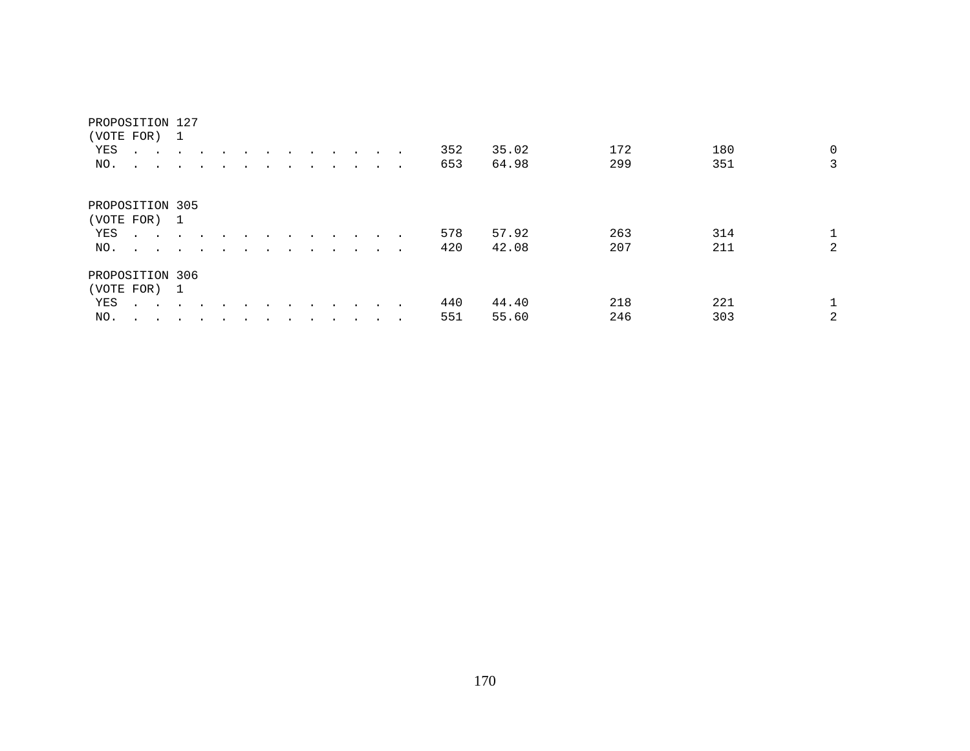| (VOTE FOR) 1<br>YES<br>NO.                    | <b>All Contracts</b><br>$\sim$ $\sim$ $\sim$ $\sim$                                                                                                                                                                                       | $\sim$<br>$\ddot{\phantom{0}}$ |        |  |        |         |                      | $\sim$               |        | $\sim$ | 352<br>653 | 35.02<br>64.98 | 172<br>299 | 180<br>351 | $\overline{0}$<br>3 |
|-----------------------------------------------|-------------------------------------------------------------------------------------------------------------------------------------------------------------------------------------------------------------------------------------------|--------------------------------|--------|--|--------|---------|----------------------|----------------------|--------|--------|------------|----------------|------------|------------|---------------------|
| PROPOSITION 305<br>(VOTE FOR) 1<br>YES<br>NO. | $\cdot$<br>and the contract of the contract of the contract of the contract of the contract of the contract of the contract of the contract of the contract of the contract of the contract of the contract of the contract of the contra |                                | $\sim$ |  | $\sim$ | $\cdot$ | $\cdot$<br>$\cdot$   |                      | $\sim$ | $\sim$ | 578<br>420 | 57.92<br>42.08 | 263<br>207 | 314<br>211 | 2                   |
| PROPOSITION 306<br>(VOTE FOR) 1<br>YES<br>NO. | $\cdot$                                                                                                                                                                                                                                   |                                | $\sim$ |  |        | $\cdot$ | $\ddot{\phantom{0}}$ | $\sim$ $\sim$ $\sim$ |        |        | 440<br>551 | 44.40<br>55.60 | 218<br>246 | 221<br>303 | 2                   |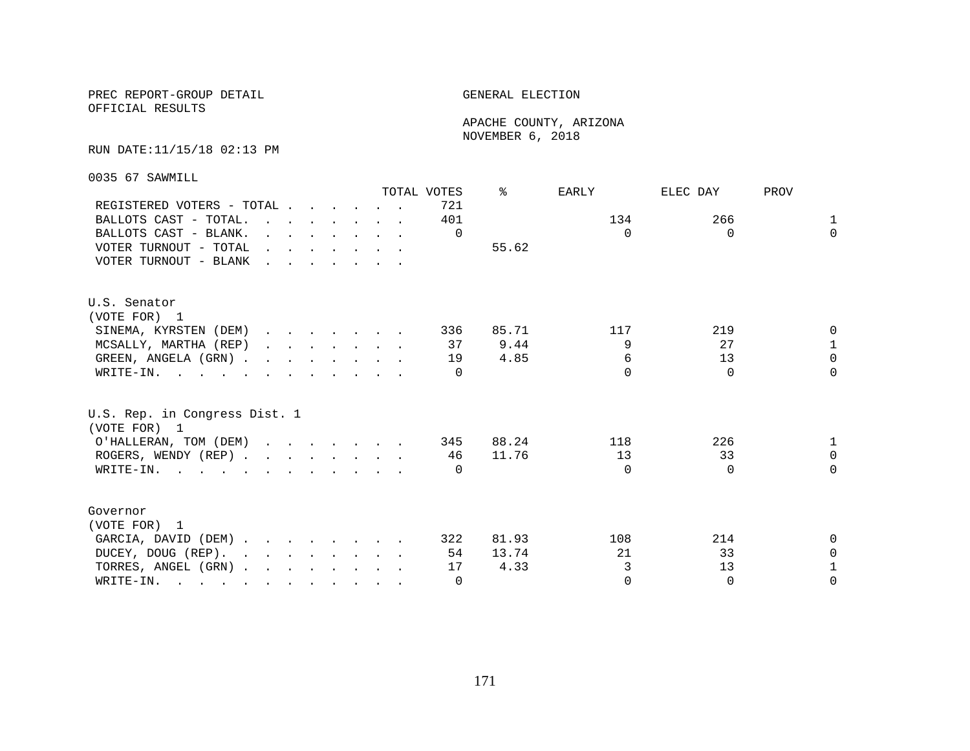OFFICIAL RESULTS

 APACHE COUNTY, ARIZONA NOVEMBER 6, 2018

#### RUN DATE:11/15/18 02:13 PM

0035 67 SAWMILL

|                                                                                                                          |                                                                       |  |  |                                                                          | TOTAL VOTES | ⊱     | EARLY    | ELEC DAY | PROV         |
|--------------------------------------------------------------------------------------------------------------------------|-----------------------------------------------------------------------|--|--|--------------------------------------------------------------------------|-------------|-------|----------|----------|--------------|
| REGISTERED VOTERS - TOTAL                                                                                                |                                                                       |  |  |                                                                          | 721         |       |          |          |              |
| BALLOTS CAST - TOTAL.                                                                                                    | $\mathbf{r}$ , and $\mathbf{r}$ , and $\mathbf{r}$ , and $\mathbf{r}$ |  |  |                                                                          | 401         |       | 134      | 266      | $\mathbf{1}$ |
| BALLOTS CAST - BLANK.                                                                                                    |                                                                       |  |  | $\mathbf{r}$ and $\mathbf{r}$ are the set of $\mathbf{r}$                | $\Omega$    |       | $\Omega$ | $\Omega$ | $\Omega$     |
| VOTER TURNOUT - TOTAL                                                                                                    | $\mathbf{r}$ , and $\mathbf{r}$ , and $\mathbf{r}$ , and $\mathbf{r}$ |  |  |                                                                          |             | 55.62 |          |          |              |
| VOTER TURNOUT - BLANK                                                                                                    | <u>in the second contract of the second second</u>                    |  |  |                                                                          |             |       |          |          |              |
| U.S. Senator                                                                                                             |                                                                       |  |  |                                                                          |             |       |          |          |              |
| (VOTE FOR) 1                                                                                                             |                                                                       |  |  |                                                                          |             |       |          |          |              |
| SINEMA, KYRSTEN (DEM)                                                                                                    |                                                                       |  |  |                                                                          | 336         | 85.71 | 117      | 219      | $\Omega$     |
| MCSALLY, MARTHA (REP)                                                                                                    |                                                                       |  |  | $\mathbf{r}$ , $\mathbf{r}$ , $\mathbf{r}$ , $\mathbf{r}$ , $\mathbf{r}$ | 37          | 9.44  | 9        | 27       | $\mathbf{1}$ |
| GREEN, ANGELA (GRN).                                                                                                     |                                                                       |  |  |                                                                          | 19          | 4.85  | 6        | 13       | $\Omega$     |
| WRITE-IN.                                                                                                                |                                                                       |  |  |                                                                          | $\Omega$    |       | $\cap$   | $\Omega$ | $\Omega$     |
| U.S. Rep. in Congress Dist. 1<br>(VOTE FOR) 1                                                                            |                                                                       |  |  |                                                                          |             |       |          |          |              |
| O'HALLERAN, TOM (DEM)                                                                                                    |                                                                       |  |  |                                                                          | 345         | 88.24 | 118      | 226      |              |
| ROGERS, WENDY (REP)                                                                                                      |                                                                       |  |  |                                                                          | 46          | 11.76 | 13       | 33       | $\Omega$     |
| WRITE-IN.                                                                                                                |                                                                       |  |  |                                                                          | $\Box$      |       | $\Omega$ | $\Omega$ | $\Omega$     |
|                                                                                                                          |                                                                       |  |  |                                                                          |             |       |          |          |              |
| Governor                                                                                                                 |                                                                       |  |  |                                                                          |             |       |          |          |              |
| (VOTE FOR) 1                                                                                                             |                                                                       |  |  |                                                                          |             |       |          |          |              |
| GARCIA, DAVID (DEM)                                                                                                      |                                                                       |  |  |                                                                          | 322         | 81.93 | 108      | 214      | $\Omega$     |
| DUCEY, DOUG (REP).                                                                                                       |                                                                       |  |  |                                                                          | 54          | 13.74 | 21       | 33       | $\Omega$     |
| TORRES, ANGEL (GRN)                                                                                                      |                                                                       |  |  |                                                                          | 17          | 4.33  | 3        | 13       | 1            |
| WRITE-IN.<br>$\mathbf{r}$ , and $\mathbf{r}$ , and $\mathbf{r}$ , and $\mathbf{r}$ , and $\mathbf{r}$ , and $\mathbf{r}$ |                                                                       |  |  |                                                                          | $\Omega$    |       | $\Omega$ | $\Omega$ | $\Omega$     |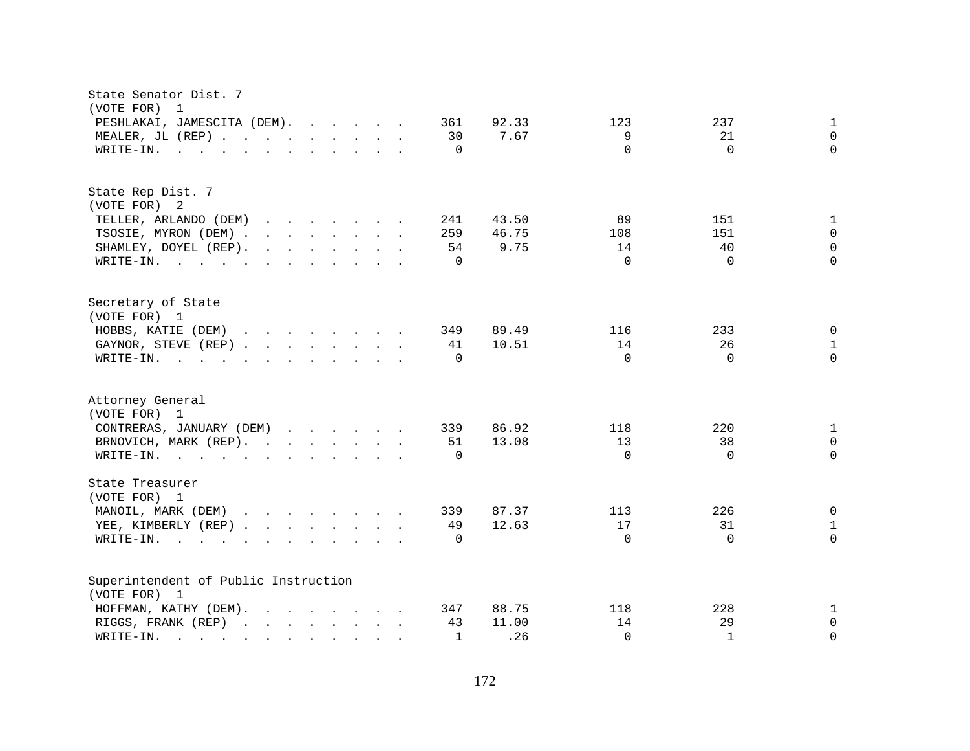| State Senator Dist. 7<br>(VOTE FOR)<br>-1                                                                                                                                                                                                                                  |                                                              |  |
|----------------------------------------------------------------------------------------------------------------------------------------------------------------------------------------------------------------------------------------------------------------------------|--------------------------------------------------------------|--|
| PESHLAKAI, JAMESCITA (DEM).<br>361<br>92.33                                                                                                                                                                                                                                | 123<br>237<br>$\mathbf{1}$                                   |  |
| 7.67<br>MEALER, JL (REP)<br>30                                                                                                                                                                                                                                             | 9<br>21<br>$\Omega$                                          |  |
| $\Omega$<br>WRITE-IN.<br>$\mathbf{r}$ , and $\mathbf{r}$ , and $\mathbf{r}$ , and $\mathbf{r}$ , and $\mathbf{r}$                                                                                                                                                          | $\Omega$<br>$\Omega$<br>$\Omega$                             |  |
|                                                                                                                                                                                                                                                                            |                                                              |  |
| State Rep Dist. 7                                                                                                                                                                                                                                                          |                                                              |  |
| (VOTE FOR) 2                                                                                                                                                                                                                                                               |                                                              |  |
| 43.50<br>TELLER, ARLANDO (DEM)<br>241<br>$\mathbf{r}$ . The set of the set of the set of the set of the set of the set of the set of the set of the set of the set of the set of the set of the set of the set of the set of the set of the set of the set of the set of t | 89<br>151<br>$\mathbf 1$                                     |  |
| TSOSIE, MYRON (DEM)<br>259<br>46.75                                                                                                                                                                                                                                        | 108<br>151<br>$\Omega$                                       |  |
| 9.75<br>SHAMLEY, DOYEL (REP).<br>$\mathbf{r}$ . The contract of the contract of the contract of the contract of the contract of the contract of the contract of the contract of the contract of the contract of the contract of the contract of the contract of th<br>54   | $\Omega$<br>40<br>14                                         |  |
| $\mathbf 0$<br>WRITE-IN.                                                                                                                                                                                                                                                   | $\Omega$<br>$\Omega$<br>$\Omega$                             |  |
| Secretary of State<br>(VOTE FOR) 1                                                                                                                                                                                                                                         |                                                              |  |
| $\mathbf{r}$ . The contract of the contract of the contract of the contract of the contract of the contract of the contract of the contract of the contract of the contract of the contract of the contract of the contract of th<br>349                                   |                                                              |  |
| HOBBS, KATIE (DEM)<br>89.49                                                                                                                                                                                                                                                | 233<br>0<br>116                                              |  |
| 10.51<br>GAYNOR, STEVE (REP)<br>41                                                                                                                                                                                                                                         | 14<br>26<br>$\mathbf{1}$<br>$\Omega$<br>$\Omega$<br>$\Omega$ |  |
| $\Omega$<br>WRITE-IN.<br>$\mathbf{r}$ , and $\mathbf{r}$ , and $\mathbf{r}$ , and $\mathbf{r}$ , and $\mathbf{r}$                                                                                                                                                          |                                                              |  |
| Attorney General<br>(VOTE FOR) 1                                                                                                                                                                                                                                           |                                                              |  |
| 86.92<br>CONTRERAS, JANUARY (DEM)<br>339                                                                                                                                                                                                                                   | 220<br>118<br>$\mathbf{1}$                                   |  |
| 13.08<br>BRNOVICH, MARK (REP).<br>51                                                                                                                                                                                                                                       | 13<br>38<br>0                                                |  |
| $\mathbf 0$<br>WRITE-IN.                                                                                                                                                                                                                                                   | $\Omega$<br>$\Omega$<br>$\Omega$                             |  |
|                                                                                                                                                                                                                                                                            |                                                              |  |
| State Treasurer<br>(VOTE FOR) 1                                                                                                                                                                                                                                            |                                                              |  |
| MANOIL, MARK (DEM)<br>87.37<br>339                                                                                                                                                                                                                                         | 226<br>0<br>113                                              |  |
| 12.63<br>YEE, KIMBERLY (REP)<br>49                                                                                                                                                                                                                                         | 17<br>31<br>$\mathbf{1}$                                     |  |
| WRITE-IN.<br>$\Omega$<br>$\mathbf{r}$ . The set of $\mathbf{r}$<br>$\mathbf{L}$<br>$\mathbf{r}$ , $\mathbf{r}$ , $\mathbf{r}$ , $\mathbf{r}$ , $\mathbf{r}$<br>$\sim$<br>$\sim$                                                                                            | $\Omega$<br>$\Omega$<br>$\Omega$                             |  |
| Superintendent of Public Instruction                                                                                                                                                                                                                                       |                                                              |  |
| (VOTE FOR) 1                                                                                                                                                                                                                                                               |                                                              |  |
| 88.75<br>HOFFMAN, KATHY (DEM).<br>347<br>$\mathbf{r}$ , $\mathbf{r}$ , $\mathbf{r}$ , $\mathbf{r}$ , $\mathbf{r}$ , $\mathbf{r}$                                                                                                                                           | 228<br>118<br>$\mathbf 1$                                    |  |
| RIGGS, FRANK (REP)<br>43<br>11.00<br>$\mathbf{r}$ . The set of the set of the set of the set of the set of the set of the set of the set of the set of the set of the set of the set of the set of the set of the set of the set of the set of the set of the set of t     | 14<br>29<br>0                                                |  |
| .26<br>WRITE-IN.<br>$\mathbf 1$<br>and the contract of the contract of the                                                                                                                                                                                                 | $\Omega$<br>$\mathbf{1}$<br>0                                |  |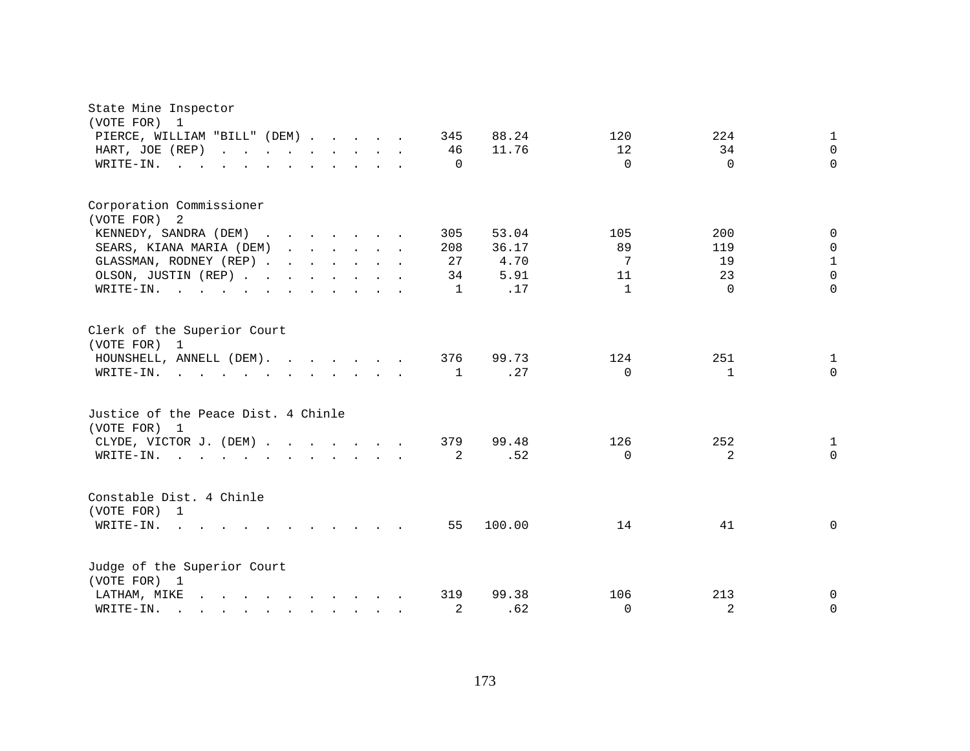| State Mine Inspector<br>(VOTE FOR) 1<br>PIERCE, WILLIAM "BILL" (DEM)<br>HART, JOE (REP)<br>WRITE-IN.  |  |  | 345<br>46<br>$\Omega$ | 88.24<br>11.76 | 120<br>12<br>$\Omega$ | 224<br>34<br>$\Omega$ | $\mathbf 1$<br>$\Omega$<br>$\Omega$ |
|-------------------------------------------------------------------------------------------------------|--|--|-----------------------|----------------|-----------------------|-----------------------|-------------------------------------|
| Corporation Commissioner<br>(VOTE FOR) 2<br>KENNEDY, SANDRA (DEM)                                     |  |  | 305                   | 53.04          | 105                   | 200                   | $\Omega$                            |
| SEARS, KIANA MARIA (DEM)                                                                              |  |  | 208                   | 36.17          | 89                    | 119                   | $\Omega$                            |
| GLASSMAN, RODNEY (REP)                                                                                |  |  | 27                    | 4.70           | 7                     | 19                    | $\mathbf{1}$                        |
| OLSON, JUSTIN (REP)                                                                                   |  |  | 34                    | 5.91           | 11                    | 23                    | $\Omega$                            |
| WRITE-IN.                                                                                             |  |  | $\mathbf{1}$          | .17            | $\mathbf{1}$          | $\Omega$              | $\Omega$                            |
| Clerk of the Superior Court<br>(VOTE FOR) 1                                                           |  |  |                       |                |                       |                       |                                     |
| HOUNSHELL, ANNELL (DEM).                                                                              |  |  | 376                   | 99.73          | 124                   | 251                   | 1                                   |
| WRITE-IN.                                                                                             |  |  | $\mathbf{1}$          | .27            | $\Omega$              | $\mathbf{1}$          | $\Omega$                            |
| Justice of the Peace Dist. 4 Chinle<br>(VOTE FOR) 1                                                   |  |  |                       |                |                       |                       |                                     |
| CLYDE, VICTOR J. (DEM)                                                                                |  |  | 379                   | 99.48          | 126                   | 252                   | $\mathbf 1$                         |
| WRITE-IN.<br>$\mathbf{r}$ , and $\mathbf{r}$ , and $\mathbf{r}$ , and $\mathbf{r}$ , and $\mathbf{r}$ |  |  | 2                     | .52            | $\Omega$              | 2                     | $\Omega$                            |
| Constable Dist. 4 Chinle<br>(VOTE FOR) 1                                                              |  |  |                       |                |                       |                       |                                     |
| WRITE-IN.<br>$\mathbf{r}$ , and $\mathbf{r}$ , and $\mathbf{r}$ , and $\mathbf{r}$ , and $\mathbf{r}$ |  |  | 55                    | 100.00         | 14                    | 41                    | $\Omega$                            |
| Judge of the Superior Court<br>(VOTE FOR) 1                                                           |  |  |                       |                |                       |                       |                                     |
| LATHAM, MIKE                                                                                          |  |  | 319                   | 99.38          | 106                   | 213                   | 0                                   |
| WRITE-IN.<br>$\mathbf{r}$ , and $\mathbf{r}$ , and $\mathbf{r}$ , and $\mathbf{r}$ , and $\mathbf{r}$ |  |  | 2                     | .62            | $\Omega$              | $\overline{a}$        | $\Omega$                            |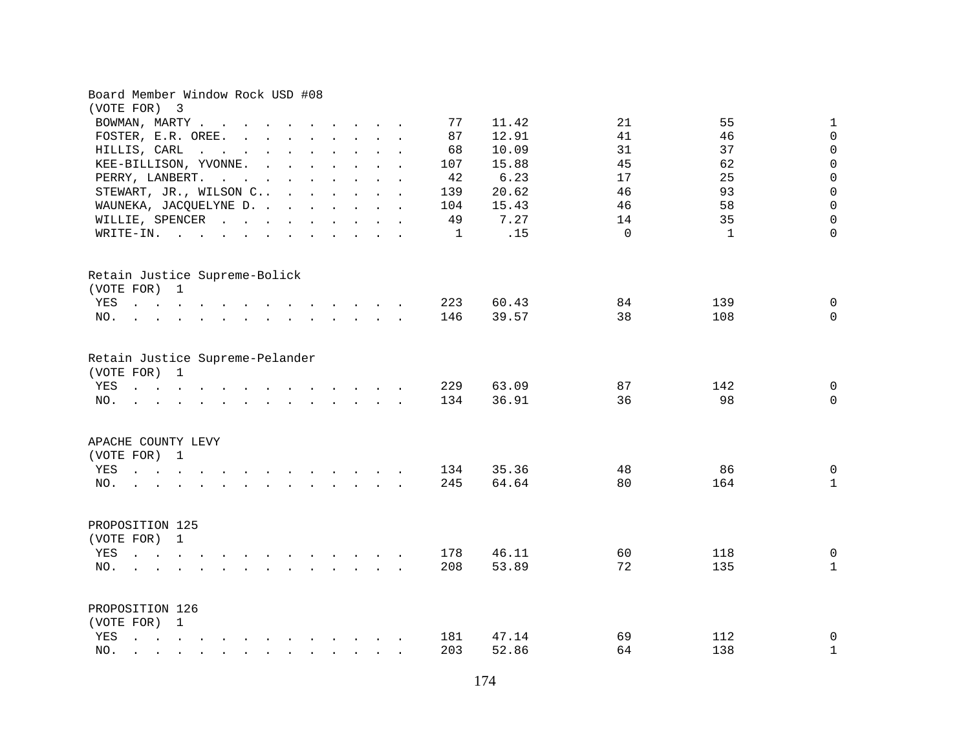| Board Member Window Rock USD #08<br>(VOTE FOR) 3                                                                                                                                      |                                                             |
|---------------------------------------------------------------------------------------------------------------------------------------------------------------------------------------|-------------------------------------------------------------|
|                                                                                                                                                                                       | 55<br>21                                                    |
| BOWMAN, MARTY                                                                                                                                                                         | $\mathbf 1$<br>77<br>11.42                                  |
| FOSTER, E.R. OREE.                                                                                                                                                                    | 87<br>12.91<br>41<br>46<br>$\mathsf 0$                      |
| HILLIS, CARL                                                                                                                                                                          | $\mathsf{O}\xspace$<br>10.09<br>31<br>37<br>68              |
| KEE-BILLISON, YVONNE.                                                                                                                                                                 | $\mathsf 0$<br>45<br>62<br>15.88<br>107                     |
| PERRY, LANBERT.<br>the contract of the contract of the contract of the contract of the contract of the contract of the contract of                                                    | $\mathsf 0$<br>6.23<br>17<br>25<br>42                       |
| STEWART, JR., WILSON C                                                                                                                                                                | $\mathsf 0$<br>20.62<br>46<br>93<br>139                     |
| WAUNEKA, JACQUELYNE D.                                                                                                                                                                | $\mathsf 0$<br>15.43<br>46<br>58<br>104                     |
| WILLIE, SPENCER                                                                                                                                                                       | 7.27<br>35<br>0<br>49<br>14                                 |
| WRITE-IN.                                                                                                                                                                             | .15<br>$\Omega$<br>$\mathbf{1}$<br>$\Omega$<br>$\mathbf{1}$ |
| Retain Justice Supreme-Bolick                                                                                                                                                         |                                                             |
| (VOTE FOR) 1                                                                                                                                                                          |                                                             |
| YES<br>$\mathbf{r}$ , and $\mathbf{r}$ , and $\mathbf{r}$ , and $\mathbf{r}$ , and $\mathbf{r}$ , and $\mathbf{r}$                                                                    | 60.43<br>84<br>139<br>0<br>223                              |
| NO.<br>the contract of the contract of the contract of the contract of the contract of the contract of the contract of                                                                | 39.57<br>38<br>146<br>108<br>$\mathbf 0$                    |
|                                                                                                                                                                                       |                                                             |
| Retain Justice Supreme-Pelander<br>(VOTE FOR) 1                                                                                                                                       |                                                             |
| YES<br>the contract of the contract of the contract of the contract of the contract of the contract of the contract of                                                                | 63.09<br>87<br>142<br>$\mathbf 0$<br>229                    |
| NO.<br>the contract of the contract of the contract of the contract of the contract of the contract of the contract of                                                                | 36.91<br>36<br>98<br>134<br>$\mathbf 0$                     |
|                                                                                                                                                                                       |                                                             |
| APACHE COUNTY LEVY                                                                                                                                                                    |                                                             |
| (VOTE FOR) 1                                                                                                                                                                          |                                                             |
| YES<br>the contract of the contract of the contract of the contract of the contract of the contract of the contract of                                                                | 35.36<br>48<br>86<br>0<br>134                               |
| NO.<br>$\mathbf{r}$ , and $\mathbf{r}$ , and $\mathbf{r}$ , and $\mathbf{r}$<br>$\mathbf{r}$ . The set of $\mathbf{r}$                                                                | 64.64<br>80<br>164<br>$\mathbf{1}$<br>245                   |
| PROPOSITION 125                                                                                                                                                                       |                                                             |
| (VOTE FOR) 1                                                                                                                                                                          |                                                             |
| YES<br>$\mathbf{r}$ , $\mathbf{r}$ , $\mathbf{r}$ , $\mathbf{r}$ , $\mathbf{r}$ , $\mathbf{r}$<br>$\mathbf{r}$ . The contract of the contract of $\mathbf{r}$                         | $\mathbf 0$<br>178<br>46.11<br>60<br>118                    |
| NO.<br>$\mathbf{r}$ , $\mathbf{r}$ , $\mathbf{r}$ , $\mathbf{r}$ , $\mathbf{r}$ , $\mathbf{r}$ , $\mathbf{r}$                                                                         | 208<br>53.89<br>72<br>135<br>$\mathbf{1}$                   |
| <b><i>Charles Committee Committee States</i></b>                                                                                                                                      |                                                             |
| PROPOSITION 126                                                                                                                                                                       |                                                             |
| (VOTE FOR) 1                                                                                                                                                                          |                                                             |
| YES                                                                                                                                                                                   | 47.14<br>69<br>112<br>$\mathbf 0$<br>181                    |
| NO.<br>$\mathbf{r} = \mathbf{r} - \mathbf{r}$ , $\mathbf{r} = \mathbf{r} - \mathbf{r}$ , $\mathbf{r} = \mathbf{r} - \mathbf{r} - \mathbf{r}$ , $\mathbf{r} = \mathbf{r} - \mathbf{r}$ | 64<br>138<br>$\mathbf 1$<br>203<br>52.86                    |
|                                                                                                                                                                                       |                                                             |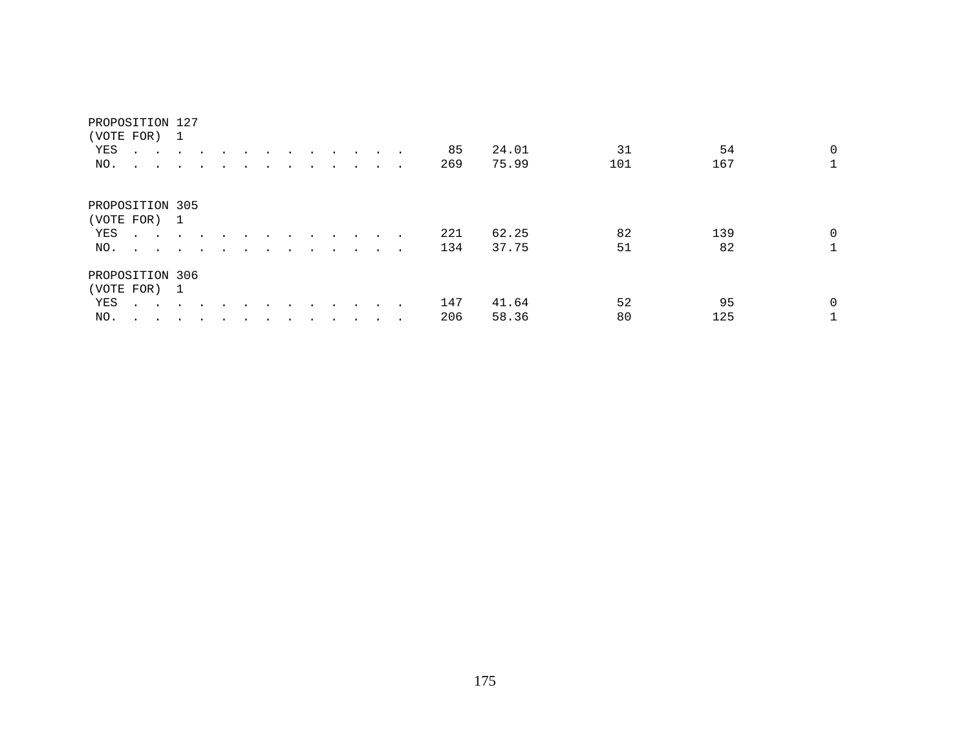| (VOTE FOR) 1    |                                                           |        |         |                      |  |         |                      |                      |         |                         |        |     |       |     |     |              |
|-----------------|-----------------------------------------------------------|--------|---------|----------------------|--|---------|----------------------|----------------------|---------|-------------------------|--------|-----|-------|-----|-----|--------------|
| YES             | $\cdot$ $\cdot$ $\cdot$ $\cdot$                           |        | $\sim$  |                      |  |         |                      |                      | $\cdot$ | $\sim$                  |        | 85  | 24.01 | 31  | 54  | $\mathbf{0}$ |
| NO.             | $\sim$ $\sim$                                             |        |         |                      |  |         |                      |                      |         |                         |        | 269 | 75.99 | 101 | 167 | $\mathbf{1}$ |
|                 |                                                           |        |         |                      |  |         |                      |                      |         |                         |        |     |       |     |     |              |
| PROPOSITION 305 |                                                           |        |         |                      |  |         |                      |                      |         |                         |        |     |       |     |     |              |
| (VOTE FOR) 1    |                                                           |        |         |                      |  |         |                      |                      |         |                         |        |     |       |     |     |              |
| YES             | $\mathbf{r}$ , $\mathbf{r}$ , $\mathbf{r}$ , $\mathbf{r}$ |        | $\sim$  | $\ddot{\phantom{a}}$ |  |         |                      | $\ddot{\phantom{a}}$ |         |                         |        | 221 | 62.25 | 82  | 139 | $\Omega$     |
| NO.             |                                                           |        |         |                      |  | $\cdot$ | $\ddot{\phantom{a}}$ | $\ddot{\phantom{a}}$ | $\sim$  | $\sim 100$ km s $^{-1}$ | $\sim$ | 134 | 37.75 | 51  | 82  | $\mathbf{1}$ |
| PROPOSITION 306 |                                                           |        |         |                      |  |         |                      |                      |         |                         |        |     |       |     |     |              |
| (VOTE FOR) 1    |                                                           |        |         |                      |  |         |                      |                      |         |                         |        |     |       |     |     |              |
| YES             | $\mathbf{r}$ , $\mathbf{r}$ , $\mathbf{r}$ , $\mathbf{r}$ |        |         |                      |  |         |                      |                      |         |                         |        | 147 | 41.64 | 52  | 95  | $\Omega$     |
| NO.             | $\cdot$ $\cdot$                                           | $\sim$ | $\cdot$ |                      |  |         |                      |                      |         |                         | $\sim$ | 206 | 58.36 | 80  | 125 |              |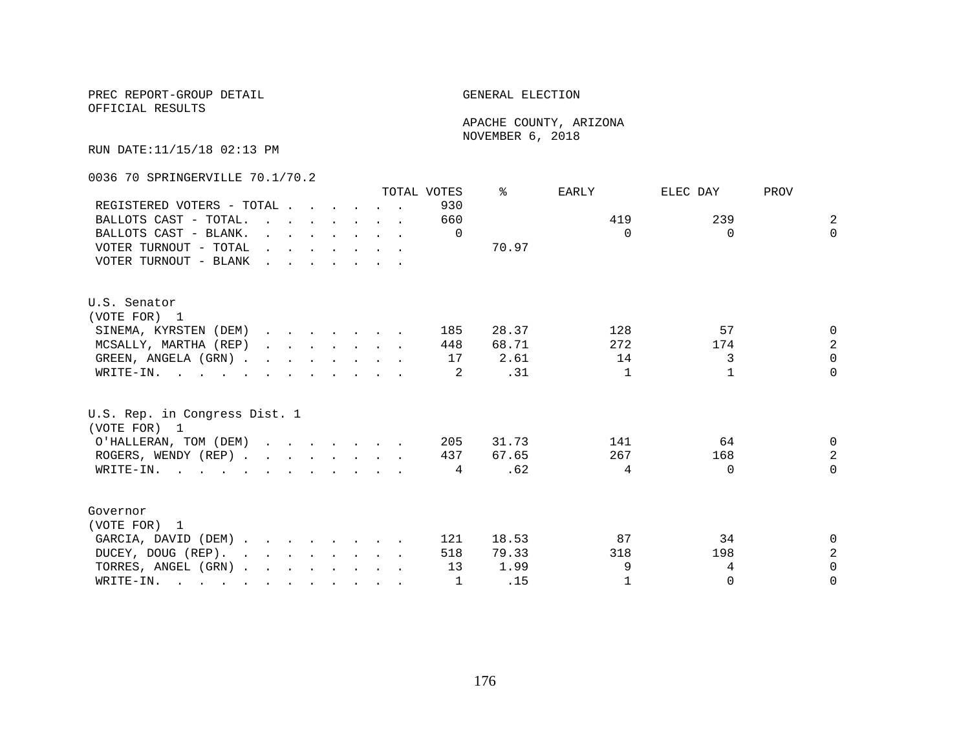OFFICIAL RESULTS

 APACHE COUNTY, ARIZONA NOVEMBER 6, 2018

RUN DATE:11/15/18 02:13 PM

0036 70 SPRINGERVILLE 70.1/70.2

|                                                                                                                                                                                                                                                      |                                                                                         |  |  |                                                                                                                                              | TOTAL VOTES | ⊱     | EARLY        | ELEC DAY | PROV           |
|------------------------------------------------------------------------------------------------------------------------------------------------------------------------------------------------------------------------------------------------------|-----------------------------------------------------------------------------------------|--|--|----------------------------------------------------------------------------------------------------------------------------------------------|-------------|-------|--------------|----------|----------------|
| REGISTERED VOTERS - TOTAL                                                                                                                                                                                                                            |                                                                                         |  |  |                                                                                                                                              | 930         |       |              |          |                |
| BALLOTS CAST - TOTAL.                                                                                                                                                                                                                                |                                                                                         |  |  | $\mathbf{r}$ , $\mathbf{r}$ , $\mathbf{r}$ , $\mathbf{r}$ , $\mathbf{r}$                                                                     | 660         |       | 419          | 239      | $\overline{2}$ |
| BALLOTS CAST - BLANK.                                                                                                                                                                                                                                |                                                                                         |  |  | $\mathbf{r}$ and $\mathbf{r}$ and $\mathbf{r}$ and $\mathbf{r}$ and $\mathbf{r}$                                                             | $\Omega$    |       | $\Omega$     | $\Omega$ | $\Omega$       |
| VOTER TURNOUT - TOTAL                                                                                                                                                                                                                                |                                                                                         |  |  | $\mathbf{r} = \mathbf{r} \cdot \mathbf{r}$ , and $\mathbf{r} = \mathbf{r} \cdot \mathbf{r}$ , and $\mathbf{r} = \mathbf{r} \cdot \mathbf{r}$ |             | 70.97 |              |          |                |
| VOTER TURNOUT - BLANK                                                                                                                                                                                                                                | $\mathbf{r}$ , $\mathbf{r}$ , $\mathbf{r}$ , $\mathbf{r}$ , $\mathbf{r}$ , $\mathbf{r}$ |  |  |                                                                                                                                              |             |       |              |          |                |
| U.S. Senator                                                                                                                                                                                                                                         |                                                                                         |  |  |                                                                                                                                              |             |       |              |          |                |
| (VOTE FOR) 1                                                                                                                                                                                                                                         |                                                                                         |  |  |                                                                                                                                              |             |       |              |          |                |
| SINEMA, KYRSTEN (DEM)                                                                                                                                                                                                                                |                                                                                         |  |  |                                                                                                                                              | 185         | 28.37 | 128          | 57       | $\Omega$       |
| MCSALLY, MARTHA (REP)                                                                                                                                                                                                                                |                                                                                         |  |  | $\mathbf{r}$ , $\mathbf{r}$ , $\mathbf{r}$ , $\mathbf{r}$ , $\mathbf{r}$                                                                     | 448         | 68.71 | 272          | 174      | $\overline{a}$ |
| GREEN, ANGELA (GRN).                                                                                                                                                                                                                                 |                                                                                         |  |  |                                                                                                                                              | 17          | 2.61  | 14           | 3        | $\Omega$       |
| WRITE-IN.                                                                                                                                                                                                                                            |                                                                                         |  |  |                                                                                                                                              | -2          | .31   | $\mathbf{1}$ |          | $\Omega$       |
| U.S. Rep. in Congress Dist. 1<br>(VOTE FOR) 1                                                                                                                                                                                                        |                                                                                         |  |  |                                                                                                                                              |             |       |              |          |                |
| O'HALLERAN, TOM (DEM)                                                                                                                                                                                                                                |                                                                                         |  |  |                                                                                                                                              | 205         | 31.73 | 141          | 64       | 0              |
| ROGERS, WENDY (REP)                                                                                                                                                                                                                                  |                                                                                         |  |  |                                                                                                                                              | 437         | 67.65 | 267          | 168      | $\overline{a}$ |
| WRITE-IN.                                                                                                                                                                                                                                            |                                                                                         |  |  |                                                                                                                                              | 4           | .62   | 4            | $\Omega$ | $\Omega$       |
|                                                                                                                                                                                                                                                      |                                                                                         |  |  |                                                                                                                                              |             |       |              |          |                |
| Governor                                                                                                                                                                                                                                             |                                                                                         |  |  |                                                                                                                                              |             |       |              |          |                |
| (VOTE FOR) 1                                                                                                                                                                                                                                         |                                                                                         |  |  |                                                                                                                                              |             |       |              |          |                |
| GARCIA, DAVID (DEM)                                                                                                                                                                                                                                  |                                                                                         |  |  |                                                                                                                                              | 121         | 18.53 | 87           | 34       | 0              |
| DUCEY, DOUG (REP).<br>and the contract of the contract of the contract of the contract of the contract of the contract of the contract of the contract of the contract of the contract of the contract of the contract of the contract of the contra |                                                                                         |  |  |                                                                                                                                              | 518         | 79.33 | 318          | 198      | $\sqrt{2}$     |
| TORRES, ANGEL (GRN)                                                                                                                                                                                                                                  |                                                                                         |  |  |                                                                                                                                              | 13          | 1.99  | 9            | 4        | $\Omega$       |
| WRITE-IN.<br>$\mathbf{r}$ , and $\mathbf{r}$ , and $\mathbf{r}$ , and $\mathbf{r}$ , and $\mathbf{r}$ , and $\mathbf{r}$                                                                                                                             |                                                                                         |  |  |                                                                                                                                              |             | .15   | $\mathbf{1}$ | $\Omega$ | $\Omega$       |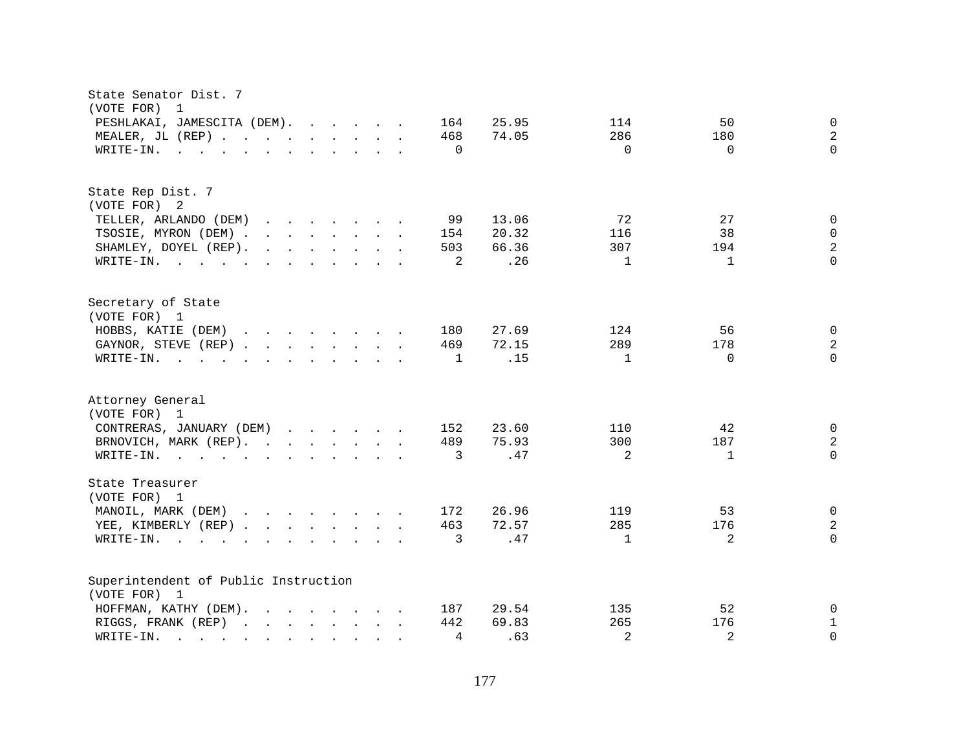| State Senator Dist. 7<br>(VOTE FOR)<br>$\overline{1}$                                                                                                                                                                                                                      |                                              |
|----------------------------------------------------------------------------------------------------------------------------------------------------------------------------------------------------------------------------------------------------------------------------|----------------------------------------------|
| 25.95<br>PESHLAKAI, JAMESCITA (DEM).<br>164                                                                                                                                                                                                                                | 50<br>$\mathbf 0$<br>114                     |
| MEALER, JL (REP)<br>74.05<br>468                                                                                                                                                                                                                                           | $\overline{c}$<br>286<br>180                 |
| $\mathbf{r}$ . The state of the state of the state $\mathbf{r}$<br>$\Omega$<br>WRITE-IN.                                                                                                                                                                                   | $\Omega$<br>$\Omega$<br>$\Omega$             |
|                                                                                                                                                                                                                                                                            |                                              |
| State Rep Dist. 7                                                                                                                                                                                                                                                          |                                              |
| (VOTE FOR) 2                                                                                                                                                                                                                                                               |                                              |
| 13.06<br>TELLER, ARLANDO (DEM)<br>99<br>$\mathbf{r}$ . The set of the set of the set of the set of the set of the set of the set of the set of the set of the set of the set of the set of the set of the set of the set of the set of the set of the set of the set of t  | 72<br>27<br>$\mathbf{0}$                     |
| TSOSIE, MYRON (DEM)<br>20.32<br>154                                                                                                                                                                                                                                        | 38<br>0<br>116                               |
| SHAMLEY, DOYEL (REP).<br>$\mathbf{r}$ . The set of the set of the set of the set of the set of the set of the set of the set of the set of the set of the set of the set of the set of the set of the set of the set of the set of the set of the set of t<br>503<br>66.36 | $\overline{a}$<br>307<br>194                 |
| .26<br>WRITE-IN.<br>2                                                                                                                                                                                                                                                      | $\Omega$<br>$\mathbf{1}$<br>$\mathbf{1}$     |
| Secretary of State                                                                                                                                                                                                                                                         |                                              |
| (VOTE FOR) 1                                                                                                                                                                                                                                                               |                                              |
| HOBBS, KATIE (DEM)<br>27.69<br>$\mathbf{r}$ , $\mathbf{r}$ , $\mathbf{r}$ , $\mathbf{r}$ , $\mathbf{r}$ , $\mathbf{r}$<br>180                                                                                                                                              | 56<br>$\mathbf 0$<br>124                     |
| GAYNOR, STEVE (REP)<br>469<br>72.15                                                                                                                                                                                                                                        | $\sqrt{2}$<br>289<br>178                     |
| .15<br>WRITE-IN.<br>$\mathbf{r}$ , and $\mathbf{r}$ , and $\mathbf{r}$ , and $\mathbf{r}$ , and $\mathbf{r}$<br>1                                                                                                                                                          | $\Omega$<br>$\mathbf{1}$<br>$\Omega$         |
| Attorney General<br>(VOTE FOR) 1                                                                                                                                                                                                                                           |                                              |
| 23.60                                                                                                                                                                                                                                                                      | 42                                           |
| CONTRERAS, JANUARY (DEM)<br>152                                                                                                                                                                                                                                            | 0<br>110                                     |
| 75.93<br>BRNOVICH, MARK (REP).<br>489                                                                                                                                                                                                                                      | $\sqrt{2}$<br>300<br>187                     |
| .47<br>WRITE-IN.<br>3                                                                                                                                                                                                                                                      | $\Omega$<br>$\overline{a}$<br>$\mathbf{1}$   |
| State Treasurer<br>(VOTE FOR) 1                                                                                                                                                                                                                                            |                                              |
| MANOIL, MARK (DEM)<br>26.96<br>172                                                                                                                                                                                                                                         | $\mathbf 0$<br>119<br>53                     |
| 72.57<br>YEE, KIMBERLY (REP)<br>463                                                                                                                                                                                                                                        | $\overline{c}$<br>285<br>176                 |
| .47<br>WRITE-IN.<br>3<br>$\sim$ $\sim$ $\sim$ $\sim$                                                                                                                                                                                                                       | $\overline{2}$<br>$\Omega$<br>$\mathbf{1}$   |
| $\mathbf{r}$ , and $\mathbf{r}$ , and $\mathbf{r}$ , and $\mathbf{r}$                                                                                                                                                                                                      |                                              |
| Superintendent of Public Instruction                                                                                                                                                                                                                                       |                                              |
| (VOTE FOR) 1                                                                                                                                                                                                                                                               |                                              |
| 29.54<br>HOFFMAN, KATHY (DEM).<br>$\mathbf{r}$ . The set of the set of the set of the set of the set of the set of the set of the set of the set of the set of the set of the set of the set of the set of the set of the set of the set of the set of the set of t<br>187 | 52<br>$\mathbf 0$<br>135                     |
| 69.83<br>RIGGS, FRANK (REP)<br>442                                                                                                                                                                                                                                         | 265<br>$\mathbf 1$<br>176                    |
| .63<br>4<br>WRITE-IN.<br>$\sim$ $\sim$ $\sim$ $\sim$ $\sim$ $\sim$<br>$\sim$<br>$\sim$ $\sim$<br>$\sim$ $\sim$                                                                                                                                                             | $\overline{2}$<br>$\overline{a}$<br>$\Omega$ |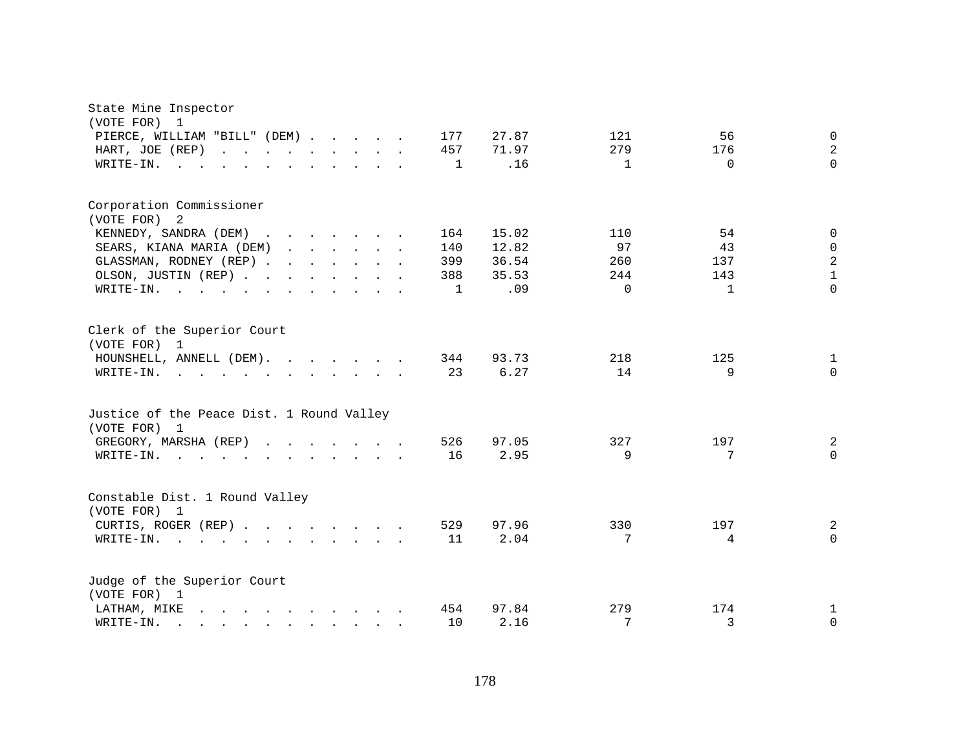| State Mine Inspector<br>(VOTE FOR)<br>1                                                                                                                                                                                                        |              |               |              |                |                |
|------------------------------------------------------------------------------------------------------------------------------------------------------------------------------------------------------------------------------------------------|--------------|---------------|--------------|----------------|----------------|
| PIERCE, WILLIAM "BILL" (DEM)                                                                                                                                                                                                                   | 177          | 27.87         | 121          | 56             | $\mathbf 0$    |
| HART, JOE (REP)                                                                                                                                                                                                                                | 457          | 71.97         | 279          | 176            | $\overline{a}$ |
| WRITE-IN.<br><b>Carl Controller</b><br>$\cdot$ $\cdot$<br>$\mathbf{r} = \mathbf{r}$ , and $\mathbf{r} = \mathbf{r}$                                                                                                                            | 1            | .16           | $\mathbf{1}$ | $\Omega$       | $\Omega$       |
|                                                                                                                                                                                                                                                |              |               |              |                |                |
| Corporation Commissioner                                                                                                                                                                                                                       |              |               |              |                |                |
| (VOTE FOR) 2                                                                                                                                                                                                                                   |              |               |              |                |                |
| KENNEDY, SANDRA (DEM) .<br>$\mathbf{r}$ , $\mathbf{r}$ , $\mathbf{r}$ , $\mathbf{r}$ , $\mathbf{r}$                                                                                                                                            | 164          | 15.02         | 110          | 54             | $\mathbf 0$    |
| SEARS, KIANA MARIA (DEM)<br>$\mathbf{r}$ , $\mathbf{r}$ , $\mathbf{r}$ , $\mathbf{r}$ , $\mathbf{r}$                                                                                                                                           | 140          | 12.82         | 97           | 43             | $\mathbf 0$    |
| GLASSMAN, RODNEY (REP)                                                                                                                                                                                                                         | 399          | 36.54         | 260          | 137            | $\sqrt{2}$     |
| OLSON, JUSTIN (REP)                                                                                                                                                                                                                            | 388          | 35.53         | 244          | 143            | $\mathbf 1$    |
| WRITE-IN.<br><b>Carl Controller</b>                                                                                                                                                                                                            | $\mathbf{1}$ | .09           | $\Omega$     | $\mathbf{1}$   | $\Omega$       |
| Clerk of the Superior Court<br>(VOTE FOR) 1<br>HOUNSHELL, ANNELL (DEM).<br>WRITE-IN.<br>$\mathbf{r}$ , $\mathbf{r}$ , $\mathbf{r}$ , $\mathbf{r}$ , $\mathbf{r}$ , $\mathbf{r}$ , $\mathbf{r}$ , $\mathbf{r}$                                  | 344<br>23    | 93.73<br>6.27 | 218<br>14    | 125<br>9       | 1<br>$\Omega$  |
| Justice of the Peace Dist. 1 Round Valley<br>(VOTE FOR) 1                                                                                                                                                                                      |              |               |              |                |                |
| GREGORY, MARSHA (REP)                                                                                                                                                                                                                          | 526          | 97.05         | 327          | 197            | 2              |
| WRITE-IN.<br>$\mathbf{r}$ . The set of the set of the set of the set of the set of the set of the set of the set of the set of the set of the set of the set of the set of the set of the set of the set of the set of the set of the set of t | 16           | 2.95          | 9            | 7              | $\Omega$       |
| Constable Dist. 1 Round Valley<br>(VOTE FOR) 1                                                                                                                                                                                                 |              |               |              |                |                |
| CURTIS, ROGER (REP)                                                                                                                                                                                                                            | 529          | 97.96         | 330          | 197            | 2              |
| WRITE-IN.<br>$\mathbf{r}$ , $\mathbf{r}$ , $\mathbf{r}$                                                                                                                                                                                        | 11           | 2.04          | 7            | $\overline{4}$ | $\Omega$       |
| Judge of the Superior Court<br>(VOTE FOR) 1                                                                                                                                                                                                    |              |               |              |                |                |
| LATHAM, MIKE<br>$\mathbf{r}$ and $\mathbf{r}$ and $\mathbf{r}$ and $\mathbf{r}$ and $\mathbf{r}$ and $\mathbf{r}$                                                                                                                              | 454          | 97.84         | 279          | 174            | 1              |
| WRITE-IN.<br>$\mathbf{r}$ , $\mathbf{r}$ , $\mathbf{r}$ , $\mathbf{r}$ , $\mathbf{r}$ , $\mathbf{r}$ , $\mathbf{r}$                                                                                                                            | 10           | 2.16          | 7            | 3              | 0              |
|                                                                                                                                                                                                                                                |              |               |              |                |                |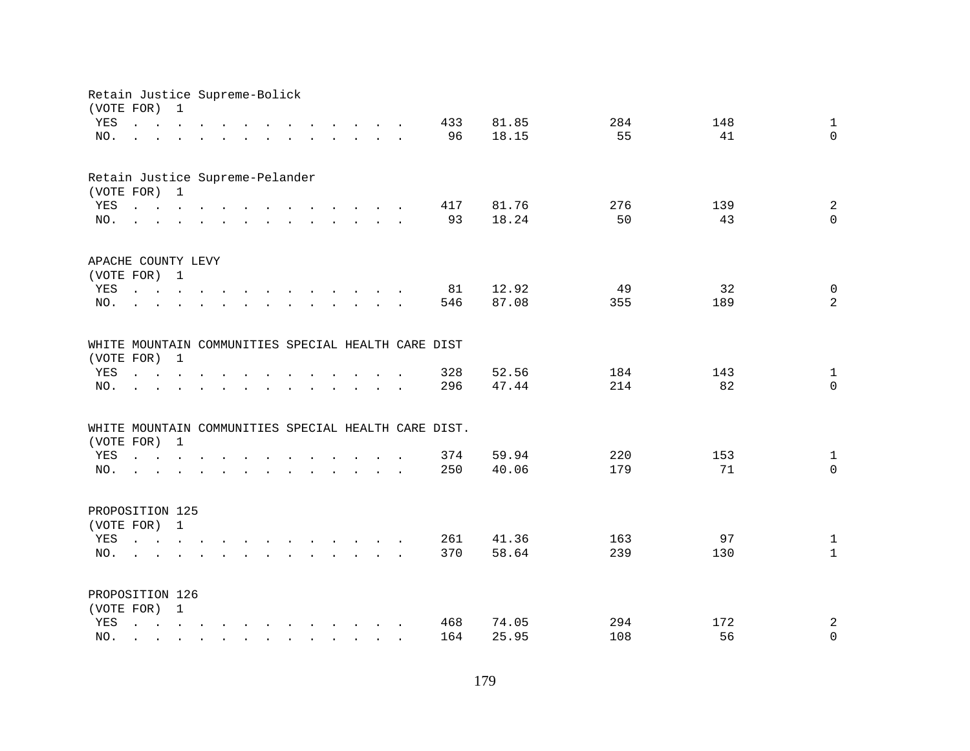| Retain Justice Supreme-Bolick<br>(VOTE FOR) |                                                                                                                                                     | $\mathbf{1}$                                                                                                                          |                |                                                                                                                                                                                                                                   |                                                           |               |  |                                                      |       |     |     |                     |
|---------------------------------------------|-----------------------------------------------------------------------------------------------------------------------------------------------------|---------------------------------------------------------------------------------------------------------------------------------------|----------------|-----------------------------------------------------------------------------------------------------------------------------------------------------------------------------------------------------------------------------------|-----------------------------------------------------------|---------------|--|------------------------------------------------------|-------|-----|-----|---------------------|
| YES                                         | $\mathbf{r}$ , $\mathbf{r}$ , $\mathbf{r}$ , $\mathbf{r}$ , $\mathbf{r}$                                                                            |                                                                                                                                       |                | $\mathbf{r}$ , and $\mathbf{r}$ , and $\mathbf{r}$ , and $\mathbf{r}$                                                                                                                                                             |                                                           |               |  | 433                                                  | 81.85 | 284 | 148 | $\mathbf 1$         |
| NO.                                         |                                                                                                                                                     | $\sim$                                                                                                                                |                | $\mathbf{r}$ , and $\mathbf{r}$ , and $\mathbf{r}$ , and $\mathbf{r}$ , and $\mathbf{r}$                                                                                                                                          |                                                           |               |  | 96                                                   | 18.15 | 55  | 41  | $\Omega$            |
|                                             |                                                                                                                                                     |                                                                                                                                       |                |                                                                                                                                                                                                                                   |                                                           |               |  |                                                      |       |     |     |                     |
| Retain Justice Supreme-Pelander             |                                                                                                                                                     |                                                                                                                                       |                |                                                                                                                                                                                                                                   |                                                           |               |  |                                                      |       |     |     |                     |
| (VOTE FOR) 1                                |                                                                                                                                                     |                                                                                                                                       |                |                                                                                                                                                                                                                                   |                                                           |               |  |                                                      |       |     |     |                     |
| YES                                         | $\mathbf{r}$ , and $\mathbf{r}$ , and $\mathbf{r}$ , and $\mathbf{r}$ , and $\mathbf{r}$ , and $\mathbf{r}$                                         |                                                                                                                                       |                |                                                                                                                                                                                                                                   |                                                           |               |  | 417                                                  | 81.76 | 276 | 139 | $\overline{a}$      |
| NO.                                         | $\mathbf{r}$ , and $\mathbf{r}$ , and $\mathbf{r}$ , and $\mathbf{r}$ , and $\mathbf{r}$ , and $\mathbf{r}$                                         |                                                                                                                                       |                |                                                                                                                                                                                                                                   |                                                           |               |  | 93                                                   | 18.24 | 50  | 43  | $\Omega$            |
| APACHE COUNTY LEVY                          |                                                                                                                                                     |                                                                                                                                       |                |                                                                                                                                                                                                                                   |                                                           |               |  |                                                      |       |     |     |                     |
| (VOTE FOR) 1                                |                                                                                                                                                     |                                                                                                                                       |                |                                                                                                                                                                                                                                   |                                                           |               |  |                                                      |       |     |     |                     |
| YES                                         |                                                                                                                                                     |                                                                                                                                       |                |                                                                                                                                                                                                                                   |                                                           |               |  | 81                                                   | 12.92 | 49  | 32  | $\mathsf{O}\xspace$ |
| NO.                                         | <b>College</b>                                                                                                                                      |                                                                                                                                       | <b>Service</b> | $\mathbf{r}$ . The set of the set of the set of the set of the set of the set of the set of the set of the set of the set of the set of the set of the set of the set of the set of the set of the set of the set of the set of t |                                                           |               |  | 546                                                  | 87.08 | 355 | 189 | $\overline{a}$      |
|                                             |                                                                                                                                                     |                                                                                                                                       |                |                                                                                                                                                                                                                                   |                                                           |               |  | WHITE MOUNTAIN COMMUNITIES SPECIAL HEALTH CARE DIST  |       |     |     |                     |
| (VOTE FOR)                                  |                                                                                                                                                     | <sup>1</sup>                                                                                                                          |                |                                                                                                                                                                                                                                   |                                                           |               |  |                                                      |       |     |     |                     |
| YES                                         | $\cdot$ $\cdot$ $\cdot$ $\cdot$ $\cdot$                                                                                                             |                                                                                                                                       |                |                                                                                                                                                                                                                                   |                                                           | $\sim$ $\sim$ |  | 328                                                  | 52.56 | 184 | 143 | $\mathbf{1}$        |
| NO.                                         |                                                                                                                                                     |                                                                                                                                       |                |                                                                                                                                                                                                                                   |                                                           |               |  | 296                                                  | 47.44 | 214 | 82  | $\mathsf{O}$        |
|                                             |                                                                                                                                                     |                                                                                                                                       |                |                                                                                                                                                                                                                                   |                                                           |               |  | WHITE MOUNTAIN COMMUNITIES SPECIAL HEALTH CARE DIST. |       |     |     |                     |
|                                             | (VOTE FOR)                                                                                                                                          | $\mathbf{1}$                                                                                                                          |                |                                                                                                                                                                                                                                   |                                                           |               |  |                                                      |       |     |     |                     |
| YES                                         | $\mathbf{r}$ , $\mathbf{r}$ , $\mathbf{r}$ , $\mathbf{r}$ , $\mathbf{r}$                                                                            |                                                                                                                                       |                | $\mathbf{r}$ , $\mathbf{r}$ , $\mathbf{r}$ , $\mathbf{r}$ , $\mathbf{r}$ , $\mathbf{r}$                                                                                                                                           |                                                           |               |  | 374                                                  | 59.94 | 220 | 153 | $\mathbf{1}$        |
| NO.                                         | and a series of the contract of the contract of the contract of the contract of the contract of the contract of                                     |                                                                                                                                       |                |                                                                                                                                                                                                                                   |                                                           |               |  | 250                                                  | 40.06 | 179 | 71  | $\Omega$            |
|                                             |                                                                                                                                                     |                                                                                                                                       |                |                                                                                                                                                                                                                                   |                                                           |               |  |                                                      |       |     |     |                     |
| PROPOSITION 125                             |                                                                                                                                                     |                                                                                                                                       |                |                                                                                                                                                                                                                                   |                                                           |               |  |                                                      |       |     |     |                     |
|                                             | (VOTE FOR) 1                                                                                                                                        |                                                                                                                                       |                |                                                                                                                                                                                                                                   |                                                           |               |  |                                                      |       |     |     |                     |
| YES                                         | $\mathbf{r}$ , $\mathbf{r}$ , $\mathbf{r}$ , $\mathbf{r}$ , $\mathbf{r}$ , $\mathbf{r}$ , $\mathbf{r}$ , $\mathbf{r}$ , $\mathbf{r}$ , $\mathbf{r}$ |                                                                                                                                       |                |                                                                                                                                                                                                                                   |                                                           |               |  | 261                                                  | 41.36 | 163 | 97  | $\mathbf{1}$        |
| NO.                                         | $\mathbf{L}$                                                                                                                                        |                                                                                                                                       |                | $\mathbf{r}$ , $\mathbf{r}$ , $\mathbf{r}$ , $\mathbf{r}$ , $\mathbf{r}$ , $\mathbf{r}$ , $\mathbf{r}$ , $\mathbf{r}$                                                                                                             |                                                           |               |  | 370                                                  | 58.64 | 239 | 130 | $\mathbf{1}$        |
| PROPOSITION 126                             |                                                                                                                                                     |                                                                                                                                       |                |                                                                                                                                                                                                                                   |                                                           |               |  |                                                      |       |     |     |                     |
| (VOTE FOR) 1                                |                                                                                                                                                     |                                                                                                                                       |                |                                                                                                                                                                                                                                   |                                                           |               |  |                                                      |       |     |     |                     |
| YES                                         | $\mathbf{L}$                                                                                                                                        | $\mathbf{r} = \mathbf{r} - \mathbf{r}$ , $\mathbf{r} = \mathbf{r} - \mathbf{r}$ , $\mathbf{r} = \mathbf{r} - \mathbf{r} - \mathbf{r}$ |                |                                                                                                                                                                                                                                   |                                                           |               |  | 468                                                  | 74.05 | 294 | 172 | $\overline{c}$      |
| NO.                                         |                                                                                                                                                     |                                                                                                                                       |                |                                                                                                                                                                                                                                   | $\mathbf{r}$ , $\mathbf{r}$ , $\mathbf{r}$ , $\mathbf{r}$ |               |  | 164                                                  | 25.95 | 108 | 56  | $\Omega$            |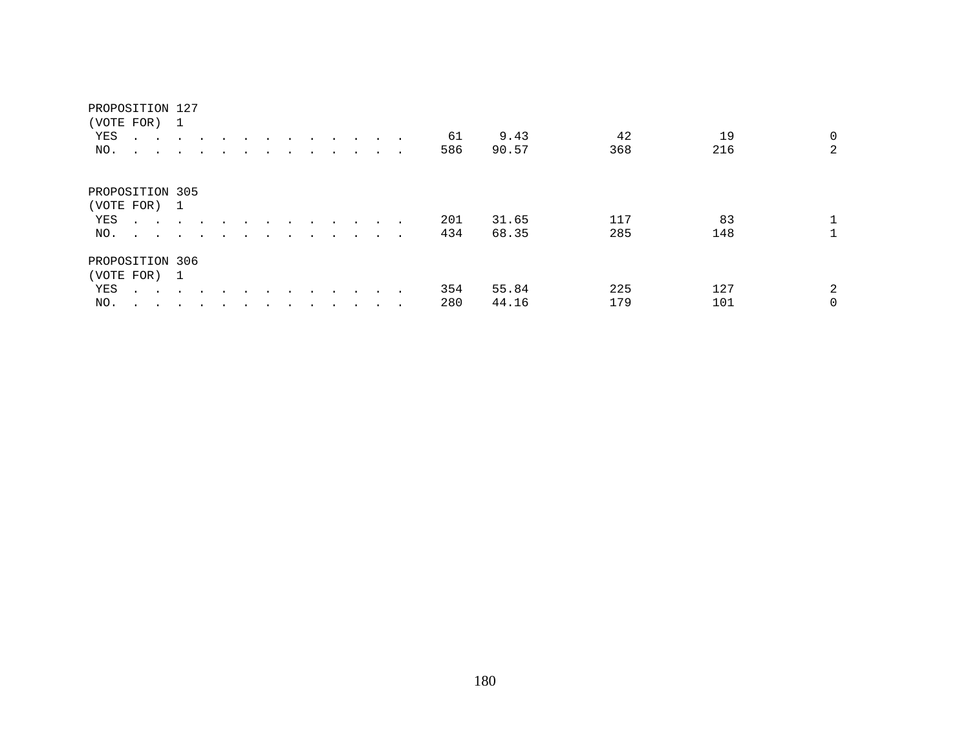| (VOTE FOR)      |                                            | -1     |                      |  |  |         |        |               |        |     |       |     |     |                |
|-----------------|--------------------------------------------|--------|----------------------|--|--|---------|--------|---------------|--------|-----|-------|-----|-----|----------------|
| YES             | $\ddot{\phantom{0}}$<br>$\sim$ $\sim$      |        |                      |  |  |         |        | $\sim$        | $\sim$ | 61  | 9.43  | 42  | 19  | $\mathsf{O}$   |
| NO.             | $\ddot{\phantom{0}}$<br>$\sim$             | $\sim$ | $\cdot$              |  |  |         |        | $\cdot$       | $\sim$ | 586 | 90.57 | 368 | 216 | $\overline{a}$ |
| PROPOSITION 305 |                                            |        |                      |  |  |         |        |               |        |     |       |     |     |                |
| (VOTE FOR) 1    |                                            |        |                      |  |  |         |        |               |        |     |       |     |     |                |
| YES             | $\mathbf{r}$ , $\mathbf{r}$ , $\mathbf{r}$ |        |                      |  |  |         |        |               |        | 201 | 31.65 | 117 | 83  |                |
| NO.             | $\sim$ $\sim$ $\sim$ $\sim$                |        | $\ddot{\phantom{a}}$ |  |  |         |        |               | $\sim$ | 434 | 68.35 | 285 | 148 |                |
| PROPOSITION 306 |                                            |        |                      |  |  |         |        |               |        |     |       |     |     |                |
| (VOTE FOR) 1    |                                            |        |                      |  |  |         |        |               |        |     |       |     |     |                |
| YES             | $\sim$ $\sim$ $\sim$ $\sim$ $\sim$         |        | $\ddot{\phantom{a}}$ |  |  | $\cdot$ | $\sim$ | $\sim$ $\sim$ |        | 354 | 55.84 | 225 | 127 | 2              |
| NO.             |                                            |        |                      |  |  |         |        |               |        | 280 | 44.16 | 179 | 101 | 0              |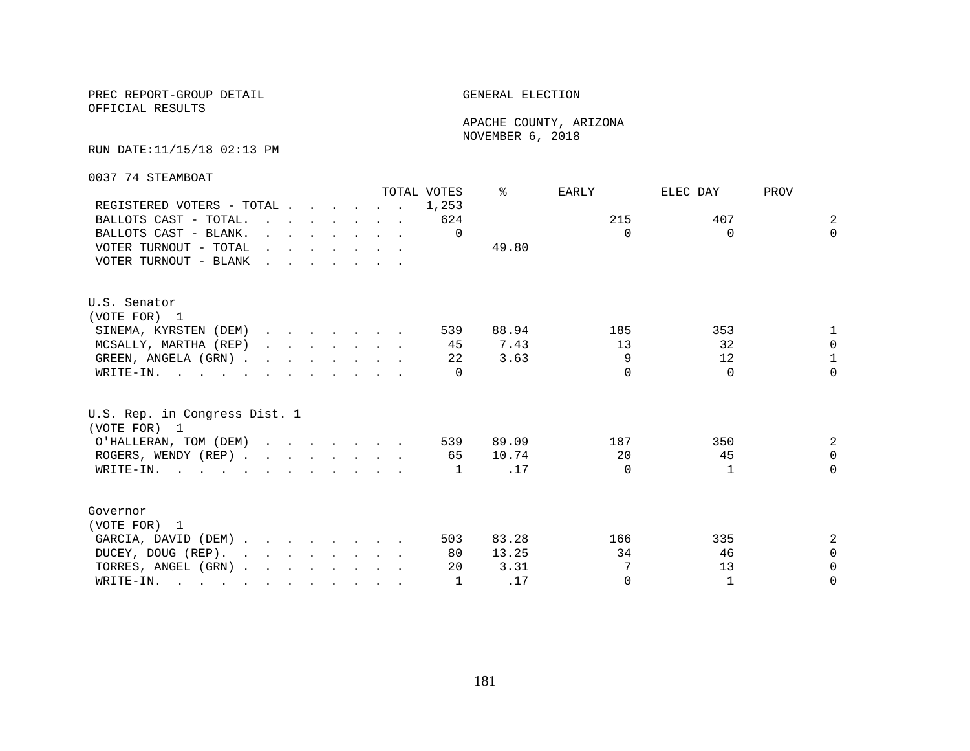OFFICIAL RESULTS

 APACHE COUNTY, ARIZONA NOVEMBER 6, 2018

#### RUN DATE:11/15/18 02:13 PM

0037 74 STEAMBOAT

|                                                                                                       |                                                                                         |                                                                                           |  |  |                                                                                                                                                                                                                                   | TOTAL VOTES | ⊱     | EARLY    | ELEC DAY | PROV           |
|-------------------------------------------------------------------------------------------------------|-----------------------------------------------------------------------------------------|-------------------------------------------------------------------------------------------|--|--|-----------------------------------------------------------------------------------------------------------------------------------------------------------------------------------------------------------------------------------|-------------|-------|----------|----------|----------------|
| REGISTERED VOTERS - TOTAL                                                                             |                                                                                         |                                                                                           |  |  |                                                                                                                                                                                                                                   | 1,253       |       |          |          |                |
| BALLOTS CAST - TOTAL.                                                                                 |                                                                                         |                                                                                           |  |  | $\mathbf{r}$ . The contract of the contract of the contract of the contract of the contract of the contract of the contract of the contract of the contract of the contract of the contract of the contract of the contract of th | 624         |       | 215      | 407      | $\overline{2}$ |
| BALLOTS CAST - BLANK.                                                                                 |                                                                                         | $\mathbf{r}$ , $\mathbf{r}$ , $\mathbf{r}$ , $\mathbf{r}$ , $\mathbf{r}$ , $\mathbf{r}$   |  |  |                                                                                                                                                                                                                                   | $\Omega$    |       | $\Omega$ | $\Omega$ | $\Omega$       |
| VOTER TURNOUT - TOTAL                                                                                 |                                                                                         | $\mathbf{r}$ , and $\mathbf{r}$ , and $\mathbf{r}$ , and $\mathbf{r}$                     |  |  |                                                                                                                                                                                                                                   |             | 49.80 |          |          |                |
| VOTER TURNOUT - BLANK                                                                                 | $\mathbf{r}$ , $\mathbf{r}$ , $\mathbf{r}$ , $\mathbf{r}$ , $\mathbf{r}$ , $\mathbf{r}$ |                                                                                           |  |  |                                                                                                                                                                                                                                   |             |       |          |          |                |
| U.S. Senator                                                                                          |                                                                                         |                                                                                           |  |  |                                                                                                                                                                                                                                   |             |       |          |          |                |
| (VOTE FOR) 1                                                                                          |                                                                                         |                                                                                           |  |  |                                                                                                                                                                                                                                   |             |       |          |          |                |
| SINEMA, KYRSTEN (DEM)                                                                                 |                                                                                         |                                                                                           |  |  |                                                                                                                                                                                                                                   | 539         | 88.94 | 185      | 353      | 1              |
| MCSALLY, MARTHA (REP)                                                                                 |                                                                                         | $\begin{array}{cccccccccccccccccc} . & . & . & . & . & . & . & . & . & . & . \end{array}$ |  |  |                                                                                                                                                                                                                                   | 45          | 7.43  | 13       | 32       | $\Omega$       |
| GREEN, ANGELA (GRN)                                                                                   |                                                                                         |                                                                                           |  |  |                                                                                                                                                                                                                                   | 22          | 3.63  | 9        | 12       | $\mathbf{1}$   |
| WRITE-IN.                                                                                             |                                                                                         |                                                                                           |  |  |                                                                                                                                                                                                                                   |             |       | $\cap$   | $\Omega$ | $\Omega$       |
| U.S. Rep. in Congress Dist. 1<br>(VOTE FOR) 1                                                         |                                                                                         |                                                                                           |  |  |                                                                                                                                                                                                                                   |             |       |          |          |                |
| O'HALLERAN, TOM (DEM)                                                                                 |                                                                                         |                                                                                           |  |  |                                                                                                                                                                                                                                   | 539         | 89.09 | 187      | 350      | 2              |
| ROGERS, WENDY (REP)                                                                                   |                                                                                         |                                                                                           |  |  |                                                                                                                                                                                                                                   | 65          | 10.74 | 20       | 45       | $\Omega$       |
| WRITE-IN.                                                                                             |                                                                                         |                                                                                           |  |  |                                                                                                                                                                                                                                   | 1           | .17   | $\Omega$ |          | $\Omega$       |
| Governor                                                                                              |                                                                                         |                                                                                           |  |  |                                                                                                                                                                                                                                   |             |       |          |          |                |
| (VOTE FOR) 1                                                                                          |                                                                                         |                                                                                           |  |  |                                                                                                                                                                                                                                   |             |       |          |          |                |
| GARCIA, DAVID (DEM)                                                                                   |                                                                                         |                                                                                           |  |  |                                                                                                                                                                                                                                   | 503         | 83.28 | 166      | 335      | 2              |
| DUCEY, DOUG (REP).                                                                                    |                                                                                         |                                                                                           |  |  |                                                                                                                                                                                                                                   | 80          | 13.25 | 34       | 46       | $\Omega$       |
| TORRES, ANGEL (GRN)                                                                                   |                                                                                         |                                                                                           |  |  |                                                                                                                                                                                                                                   | 20          | 3.31  | 7        | 13       | $\Omega$       |
| WRITE-IN.<br>$\mathbf{r}$ , and $\mathbf{r}$ , and $\mathbf{r}$ , and $\mathbf{r}$ , and $\mathbf{r}$ |                                                                                         |                                                                                           |  |  |                                                                                                                                                                                                                                   | 1           | .17   | $\Omega$ | 1        | $\Omega$       |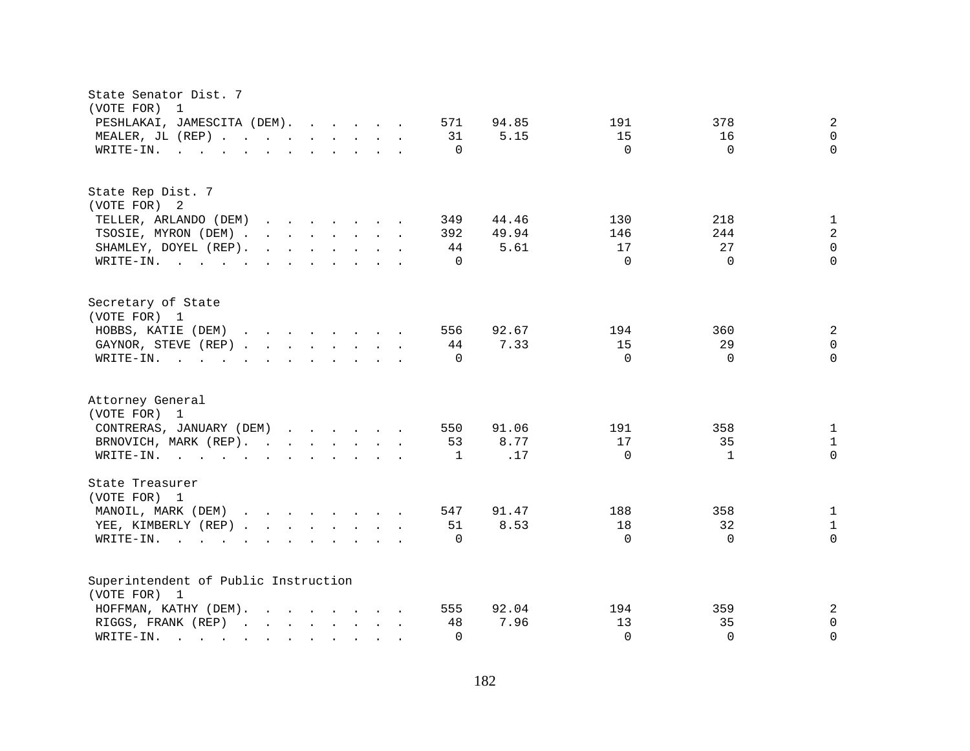| State Senator Dist. 7<br>(VOTE FOR)<br>$\overline{1}$                                                                                                                                                                                                                                             |                                                |
|---------------------------------------------------------------------------------------------------------------------------------------------------------------------------------------------------------------------------------------------------------------------------------------------------|------------------------------------------------|
| PESHLAKAI, JAMESCITA (DEM).<br>571                                                                                                                                                                                                                                                                | $\sqrt{2}$<br>94.85<br>191<br>378              |
| MEALER, JL (REP)<br>31                                                                                                                                                                                                                                                                            | 5.15<br>15<br>16<br>$\mathbf 0$                |
| WRITE-IN.<br>$\mathbf{r}$ , and $\mathbf{r}$ , and $\mathbf{r}$ , and $\mathbf{r}$ , and $\mathbf{r}$<br>$\Omega$                                                                                                                                                                                 | $\Omega$<br>$\Omega$<br>$\Omega$               |
|                                                                                                                                                                                                                                                                                                   |                                                |
| State Rep Dist. 7                                                                                                                                                                                                                                                                                 |                                                |
| (VOTE FOR) 2                                                                                                                                                                                                                                                                                      |                                                |
| TELLER, ARLANDO (DEM)<br>349                                                                                                                                                                                                                                                                      | $\mathbf{1}$<br>44.46<br>130<br>218            |
| TSOSIE, MYRON (DEM)<br>392                                                                                                                                                                                                                                                                        | $\sqrt{2}$<br>49.94<br>146<br>244              |
| SHAMLEY, DOYEL (REP).<br>$\mathbf{r}$ , $\mathbf{r}$ , $\mathbf{r}$ , $\mathbf{r}$ , $\mathbf{r}$ , $\mathbf{r}$<br>44                                                                                                                                                                            | $\mathsf 0$<br>27<br>17<br>5.61                |
| WRITE-IN.<br>$\Omega$                                                                                                                                                                                                                                                                             | $\Omega$<br>$\Omega$<br>$\Omega$               |
| Secretary of State                                                                                                                                                                                                                                                                                |                                                |
| (VOTE FOR) 1                                                                                                                                                                                                                                                                                      |                                                |
| HOBBS, KATIE (DEM)<br>556                                                                                                                                                                                                                                                                         | 2<br>92.67<br>194<br>360                       |
| GAYNOR, STEVE (REP)<br>44                                                                                                                                                                                                                                                                         | 15<br>29<br>$\mathsf{O}\xspace$<br>7.33        |
| WRITE-IN.<br>$\mathbf{r}$ , $\mathbf{r}$ , $\mathbf{r}$ , $\mathbf{r}$ , $\mathbf{r}$ , $\mathbf{r}$ , $\mathbf{r}$ , $\mathbf{r}$<br>$\Omega$                                                                                                                                                    | $\Omega$<br>$\Omega$<br>$\Omega$               |
| Attorney General<br>(VOTE FOR) 1                                                                                                                                                                                                                                                                  |                                                |
| CONTRERAS, JANUARY (DEM)<br>550                                                                                                                                                                                                                                                                   | 91.06<br>191<br>358<br>$\mathbf{1}$            |
| BRNOVICH, MARK (REP).<br>53                                                                                                                                                                                                                                                                       | 8.77<br>17<br>35<br>$\mathbf 1$                |
| WRITE-IN.<br>1                                                                                                                                                                                                                                                                                    | $\mathsf 0$<br>$\Omega$<br>.17<br>$\mathbf{1}$ |
|                                                                                                                                                                                                                                                                                                   |                                                |
| State Treasurer<br>(VOTE FOR) 1                                                                                                                                                                                                                                                                   |                                                |
| MANOIL, MARK (DEM)<br>547                                                                                                                                                                                                                                                                         | $\mathbf{1}$<br>91.47<br>188<br>358            |
| YEE, KIMBERLY (REP)<br>51                                                                                                                                                                                                                                                                         | 8.53<br>18<br>32<br>$\mathbf{1}$               |
| $W\text{RITE-IN.}$<br>$\Omega$<br>$\mathbf{r}$ , $\mathbf{r}$ , $\mathbf{r}$ , $\mathbf{r}$ , $\mathbf{r}$ , $\mathbf{r}$                                                                                                                                                                         | $\Omega$<br>$\Omega$<br>$\Omega$               |
|                                                                                                                                                                                                                                                                                                   |                                                |
| Superintendent of Public Instruction                                                                                                                                                                                                                                                              |                                                |
| (VOTE FOR) 1                                                                                                                                                                                                                                                                                      |                                                |
| HOFFMAN, KATHY (DEM).<br>555                                                                                                                                                                                                                                                                      | $\overline{a}$<br>92.04<br>194<br>359          |
| RIGGS, FRANK (REP)<br>48                                                                                                                                                                                                                                                                          | 7.96<br>13<br>35<br>0                          |
| WRITE-IN.<br>$\Omega$<br>$\mathbf{r}$ . The set of $\mathbf{r}$<br>and the contract of the contract of the contract of the contract of the contract of the contract of the contract of the contract of the contract of the contract of the contract of the contract of the contract of the contra | $\Omega$<br>$\Omega$<br>$\Omega$               |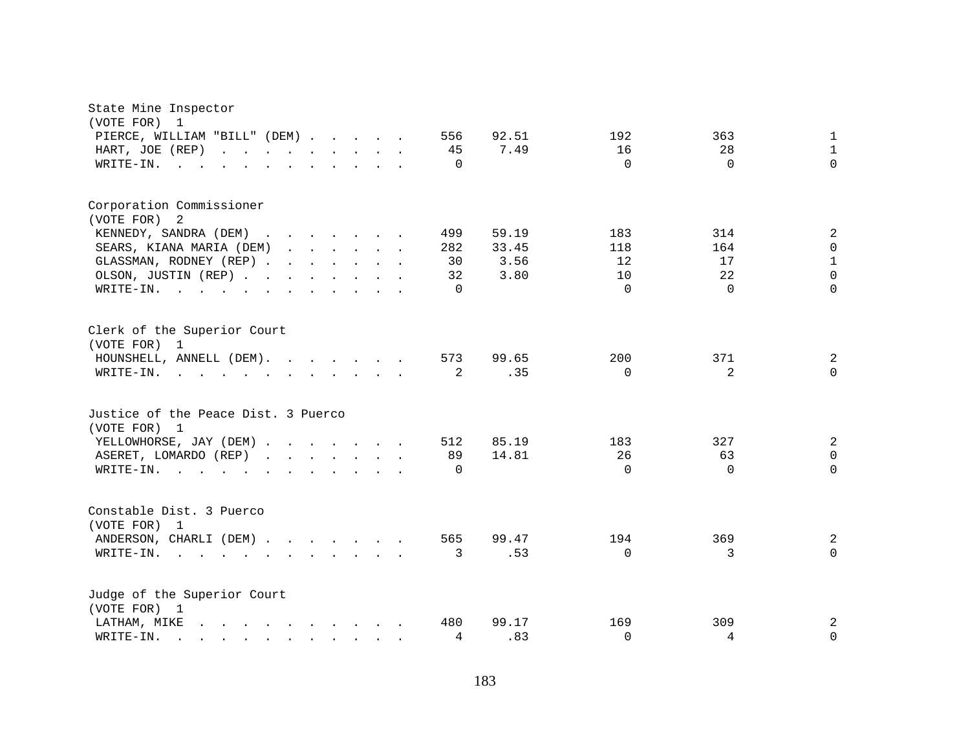| State Mine Inspector<br>(VOTE FOR)<br>$\mathbf{1}$                                                                                                                                                                                                                                                                                                                                                                                        |                                              |
|-------------------------------------------------------------------------------------------------------------------------------------------------------------------------------------------------------------------------------------------------------------------------------------------------------------------------------------------------------------------------------------------------------------------------------------------|----------------------------------------------|
| PIERCE, WILLIAM "BILL" (DEM)                                                                                                                                                                                                                                                                                                                                                                                                              | 92.51<br>192<br>556<br>363<br>$\mathbf 1$    |
| HART, JOE (REP)<br>and the contract of the contract of the<br>$\mathbf{r}$ . The set of $\mathbf{r}$                                                                                                                                                                                                                                                                                                                                      | $\mathbf{1}$<br>16<br>28<br>45<br>7.49       |
| WRITE-IN.<br>$\sim$ 100 $\sim$                                                                                                                                                                                                                                                                                                                                                                                                            | $\Omega$<br>$\Omega$<br>$\Omega$<br>$\Omega$ |
| Corporation Commissioner                                                                                                                                                                                                                                                                                                                                                                                                                  |                                              |
| (VOTE FOR)<br>-2                                                                                                                                                                                                                                                                                                                                                                                                                          |                                              |
| KENNEDY, SANDRA (DEM)                                                                                                                                                                                                                                                                                                                                                                                                                     | 499<br>59.19<br>2<br>183<br>314              |
| SEARS, KIANA MARIA (DEM)                                                                                                                                                                                                                                                                                                                                                                                                                  | $\mathbf 0$<br>118<br>164<br>282<br>33.45    |
| GLASSMAN, RODNEY (REP)                                                                                                                                                                                                                                                                                                                                                                                                                    | $\mathbf{1}$<br>3.56<br>30<br>12<br>17       |
| OLSON, JUSTIN (REP)                                                                                                                                                                                                                                                                                                                                                                                                                       | $\Omega$<br>3.80<br>22<br>32<br>10           |
| WRITE-IN.<br>the contract of the contract of the contract of the contract of the contract of the contract of the contract of                                                                                                                                                                                                                                                                                                              | $\Omega$<br>$\Omega$<br>$\Omega$<br>$\Omega$ |
| Clerk of the Superior Court<br>(VOTE FOR) 1                                                                                                                                                                                                                                                                                                                                                                                               |                                              |
| HOUNSHELL, ANNELL (DEM).                                                                                                                                                                                                                                                                                                                                                                                                                  | 99.65<br>200<br>2<br>573<br>371              |
| WRITE-IN.                                                                                                                                                                                                                                                                                                                                                                                                                                 | 2<br>$\Omega$<br>2<br>.35<br>$\Omega$        |
|                                                                                                                                                                                                                                                                                                                                                                                                                                           |                                              |
| Justice of the Peace Dist. 3 Puerco<br>(VOTE FOR) 1                                                                                                                                                                                                                                                                                                                                                                                       |                                              |
| YELLOWHORSE, JAY (DEM)                                                                                                                                                                                                                                                                                                                                                                                                                    | 2<br>512<br>85.19<br>183<br>327              |
| ASERET, LOMARDO (REP)                                                                                                                                                                                                                                                                                                                                                                                                                     | 26<br>$\mathbf 0$<br>89<br>14.81<br>63       |
| WRITE-IN.<br>$\cdot$ $\cdot$ $\cdot$ $\cdot$ $\cdot$ $\cdot$                                                                                                                                                                                                                                                                                                                                                                              | $\Omega$<br>$\Omega$<br>$\Omega$<br>$\Omega$ |
| Constable Dist. 3 Puerco                                                                                                                                                                                                                                                                                                                                                                                                                  |                                              |
| (VOTE FOR)<br>1                                                                                                                                                                                                                                                                                                                                                                                                                           |                                              |
| ANDERSON, CHARLI (DEM)                                                                                                                                                                                                                                                                                                                                                                                                                    | 369<br>565<br>99.47<br>194<br>2              |
| WRITE-IN.<br>$\mathbf{r} = \mathbf{r} + \mathbf{r} + \mathbf{r} + \mathbf{r} + \mathbf{r} + \mathbf{r} + \mathbf{r} + \mathbf{r} + \mathbf{r} + \mathbf{r} + \mathbf{r} + \mathbf{r} + \mathbf{r} + \mathbf{r} + \mathbf{r} + \mathbf{r} + \mathbf{r} + \mathbf{r} + \mathbf{r} + \mathbf{r} + \mathbf{r} + \mathbf{r} + \mathbf{r} + \mathbf{r} + \mathbf{r} + \mathbf{r} + \mathbf{r} + \mathbf{r} + \mathbf{r} + \mathbf{r} + \mathbf$ | .53<br>$\Omega$<br>3<br>$\Omega$<br>3        |
|                                                                                                                                                                                                                                                                                                                                                                                                                                           |                                              |
| Judge of the Superior Court<br>(VOTE FOR) 1                                                                                                                                                                                                                                                                                                                                                                                               |                                              |
| LATHAM, MIKE<br>$\mathbf{r}$ , and $\mathbf{r}$ , and $\mathbf{r}$ , and $\mathbf{r}$ , and $\mathbf{r}$                                                                                                                                                                                                                                                                                                                                  | 309<br>2<br>480<br>99.17<br>169              |
| WRITE-IN.<br><b>Professor Professor Professor Professor</b>                                                                                                                                                                                                                                                                                                                                                                               | .83<br>$\Omega$<br>4<br>$\mathbf 0$<br>4     |
|                                                                                                                                                                                                                                                                                                                                                                                                                                           |                                              |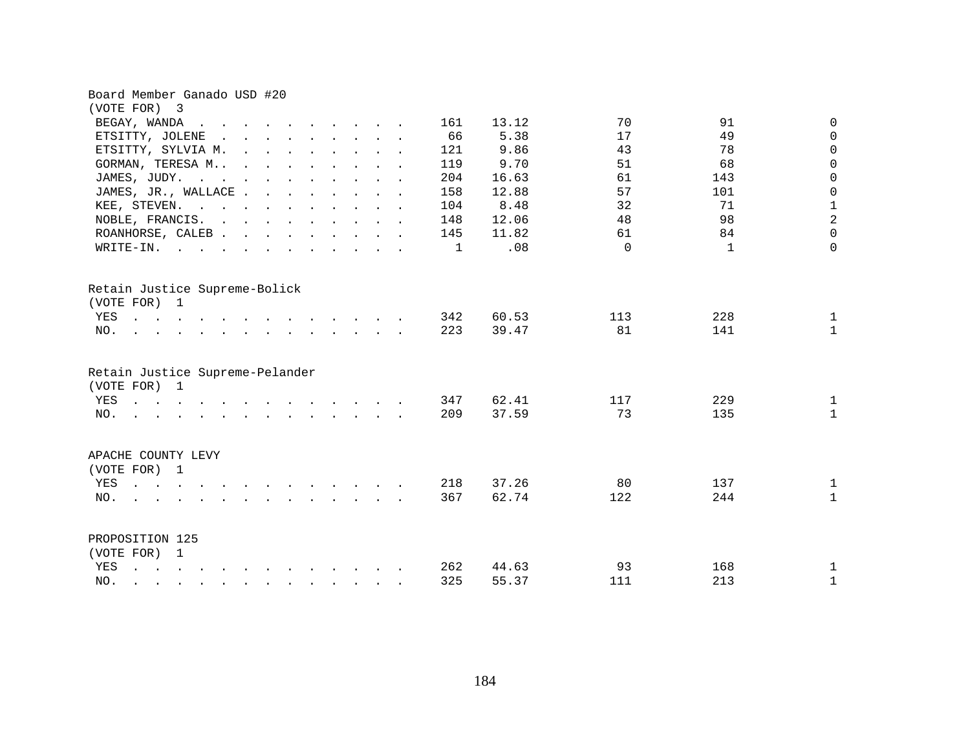| Board Member Ganado USD #20                                                                                                                                                                                                                                            |                     |          |                             |
|------------------------------------------------------------------------------------------------------------------------------------------------------------------------------------------------------------------------------------------------------------------------|---------------------|----------|-----------------------------|
| (VOTE FOR) 3                                                                                                                                                                                                                                                           |                     |          |                             |
| BEGAY, WANDA<br>$\sim$<br>$\sim$ $\sim$ $\sim$                                                                                                                                                                                                                         | 13.12<br>161        | 70       | 91<br>0                     |
| ETSITTY, JOLENE<br>$\mathbf{r}$ , and $\mathbf{r}$ , and $\mathbf{r}$ , and $\mathbf{r}$<br>$\ddot{\phantom{0}}$                                                                                                                                                       | 66<br>5.38          | 17       | 49<br>$\mathbf 0$           |
| ETSITTY, SYLVIA M.<br>$\mathbf{r} = \mathbf{r} - \mathbf{r}$ , and $\mathbf{r} = \mathbf{r} - \mathbf{r}$ , and $\mathbf{r} = \mathbf{r} - \mathbf{r}$                                                                                                                 | 9.86<br>121         | 43       | 78<br>$\mathbf 0$           |
| GORMAN, TERESA M<br>$\mathbf{r}$ . The contract of the contract of the contract of the contract of the contract of the contract of the contract of the contract of the contract of the contract of the contract of the contract of the contract of th                  | 9.70<br>119         | 51       | 68<br>$\mathbf 0$           |
| JAMES, JUDY.<br>the contract of the contract of the contract of the contract of the contract of the contract of the contract of                                                                                                                                        | 204<br>16.63        | 61       | $\mathsf{O}\xspace$<br>143  |
| JAMES, JR., WALLACE                                                                                                                                                                                                                                                    | 158<br>12.88        | 57       | $\mathsf{O}\xspace$<br>101  |
| KEE, STEVEN.                                                                                                                                                                                                                                                           | 8.48<br>104         | 32       | $\frac{1}{2}$<br>71         |
| NOBLE, FRANCIS.                                                                                                                                                                                                                                                        | 12.06<br>148        | 48       | 98                          |
| ROANHORSE, CALEB                                                                                                                                                                                                                                                       | 11.82<br>145        | 61       | $\mathbf 0$<br>84           |
| $W\text{RITE-IN.}$<br>$\mathbf{r} = \mathbf{r}$ , $\mathbf{r} = \mathbf{r}$                                                                                                                                                                                            | .08<br>$\mathbf{1}$ | $\Omega$ | $\mathbf 0$<br>$\mathbf{1}$ |
| Retain Justice Supreme-Bolick<br>(VOTE FOR) 1                                                                                                                                                                                                                          |                     |          |                             |
| YES                                                                                                                                                                                                                                                                    | 60.53<br>342        | 113      | 228<br>$\mathbf{1}$         |
| NO.<br>$\mathbf{r} = \mathbf{r} - \mathbf{r}$ , $\mathbf{r} = \mathbf{r} - \mathbf{r}$ , $\mathbf{r} = \mathbf{r} - \mathbf{r} - \mathbf{r}$ , $\mathbf{r} = \mathbf{r} - \mathbf{r}$                                                                                  | 223<br>39.47        | 81       | 141<br>$\mathbf{1}$         |
| Retain Justice Supreme-Pelander<br>(VOTE FOR) 1                                                                                                                                                                                                                        |                     |          |                             |
| YES<br>$\mathbf{r}$ , and $\mathbf{r}$ , and $\mathbf{r}$ , and $\mathbf{r}$ , and $\mathbf{r}$ , and $\mathbf{r}$                                                                                                                                                     | 347<br>62.41        | 117      | 229<br>$\mathbf{1}$         |
| $\mathbf{r} = \mathbf{r} - \mathbf{r}$ , $\mathbf{r} = \mathbf{r} - \mathbf{r}$ , $\mathbf{r} = \mathbf{r} - \mathbf{r} - \mathbf{r}$ , $\mathbf{r} = \mathbf{r} - \mathbf{r}$<br>NO.                                                                                  | 209<br>37.59        | 73       | 135<br>$\mathbf{1}$         |
| APACHE COUNTY LEVY                                                                                                                                                                                                                                                     |                     |          |                             |
| (VOTE FOR) 1                                                                                                                                                                                                                                                           |                     |          |                             |
| YES<br>$\mathbf{r}$ and $\mathbf{r}$<br>and the contract of the contract of the contract of the contract of the contract of the contract of the contract of the contract of the contract of the contract of the contract of the contract of the contract of the contra | 37.26<br>218        | 80       | 137<br>$\mathbf{1}$         |
| NO.                                                                                                                                                                                                                                                                    | 62.74<br>367        | 122      | 244<br>$\mathbf{1}$         |
| PROPOSITION 125                                                                                                                                                                                                                                                        |                     |          |                             |
| (VOTE FOR) 1                                                                                                                                                                                                                                                           |                     |          |                             |
| YES<br>$\mathbf{r}$ , $\mathbf{r}$ , $\mathbf{r}$ , $\mathbf{r}$ , $\mathbf{r}$ , $\mathbf{r}$ , $\mathbf{r}$ , $\mathbf{r}$ , $\mathbf{r}$ , $\mathbf{r}$                                                                                                             | 262<br>44.63        | 93       | 168<br>$\mathbf{1}$         |
| NO.<br>$\mathbf{r} = \mathbf{r} - \mathbf{r}$ , $\mathbf{r} = \mathbf{r} - \mathbf{r}$ , $\mathbf{r} = \mathbf{r} - \mathbf{r}$ , $\mathbf{r} = \mathbf{r} - \mathbf{r}$                                                                                               | 325<br>55.37        | 111      | 213<br>$\mathbf{1}$         |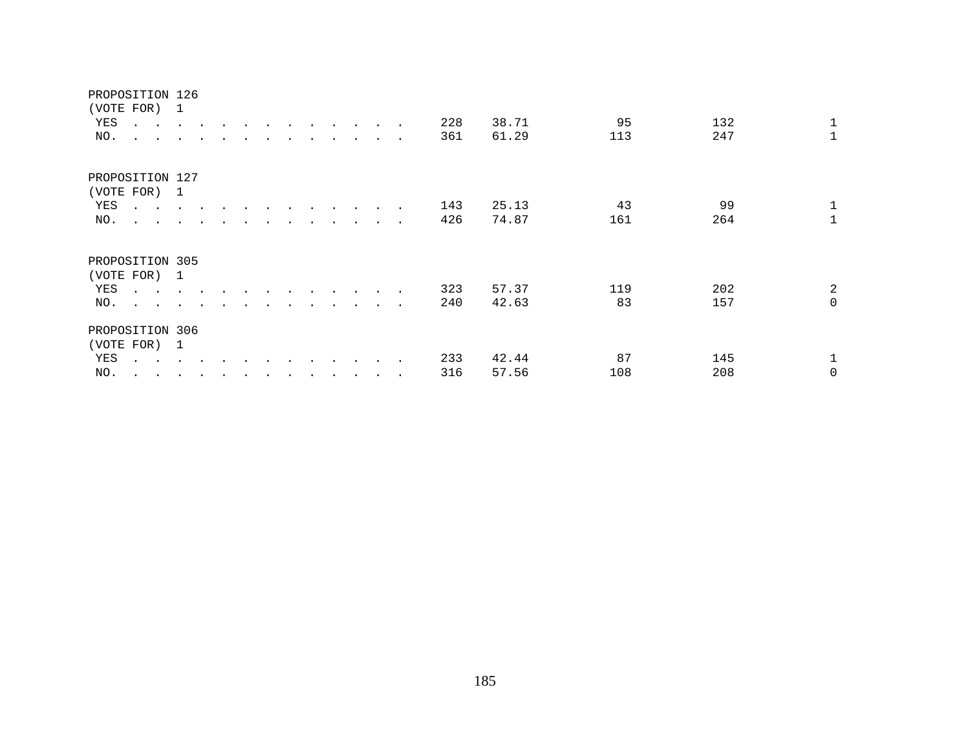| YES             | (VOTE FOR) 1<br>$\mathbf{r}$ , and $\mathbf{r}$ , and $\mathbf{r}$                                                 |                      |           | $\cdot$              | $\bullet$ |         | $\bullet$ . The set of $\bullet$ |                      | $\cdot$ $\cdot$ |                  | $\sim$                   | 228 | 38.71 | 95  | 132 | 1              |
|-----------------|--------------------------------------------------------------------------------------------------------------------|----------------------|-----------|----------------------|-----------|---------|----------------------------------|----------------------|-----------------|------------------|--------------------------|-----|-------|-----|-----|----------------|
| NO.             | $\ddot{\phantom{0}}$<br>$\sim$                                                                                     |                      |           |                      |           |         |                                  |                      |                 |                  | $\sim$                   | 361 | 61.29 | 113 | 247 | $\mathbf 1$    |
| PROPOSITION 127 |                                                                                                                    |                      |           |                      |           |         |                                  |                      |                 |                  |                          |     |       |     |     |                |
| YES             | (VOTE FOR) 1                                                                                                       |                      |           |                      |           |         |                                  |                      |                 |                  |                          | 143 | 25.13 | 43  | 99  | $\mathbf{1}$   |
| NO.             | the contract of the contract of the contract of the contract of the contract of<br>$\cdot$ $\cdot$ $\cdot$ $\cdot$ |                      |           |                      | $\bullet$ |         | $\bullet$                        | $\ddot{\phantom{1}}$ | $\sim$ $\sim$   | $\sim$<br>$\sim$ | $\sim$<br>$\sim$         | 426 | 74.87 | 161 | 264 | $\mathbf{1}$   |
|                 |                                                                                                                    |                      |           |                      |           |         |                                  |                      |                 |                  |                          |     |       |     |     |                |
| PROPOSITION 305 |                                                                                                                    |                      |           |                      |           |         |                                  |                      |                 |                  |                          |     |       |     |     |                |
|                 | (VOTE FOR) 1                                                                                                       |                      |           |                      |           |         |                                  |                      |                 |                  |                          |     |       |     |     |                |
| YES             | $\mathbf{r}$ , $\mathbf{r}$ , $\mathbf{r}$ , $\mathbf{r}$                                                          |                      | $\cdot$   | $\ddot{\phantom{0}}$ |           |         |                                  |                      | $\cdot$         | $\cdot$          |                          | 323 | 57.37 | 119 | 202 | $\overline{a}$ |
| NO.             | $\mathbf{L}$ $\mathbf{L}$                                                                                          |                      |           |                      |           |         |                                  |                      |                 |                  | $\overline{\phantom{a}}$ | 240 | 42.63 | 83  | 157 | $\mathsf{O}$   |
| PROPOSITION 306 |                                                                                                                    |                      |           |                      |           |         |                                  |                      |                 |                  |                          |     |       |     |     |                |
|                 | (VOTE FOR) 1                                                                                                       |                      |           |                      |           |         |                                  |                      |                 |                  |                          |     |       |     |     |                |
| YES             | $\sim$ $\sim$                                                                                                      |                      |           |                      |           |         |                                  |                      |                 |                  |                          | 233 | 42.44 | 87  | 145 | $\mathbf{1}$   |
| NO.             | $\bullet$<br>$\cdot$                                                                                               | $\ddot{\phantom{1}}$ | $\bullet$ |                      | $\bullet$ | $\cdot$ | $\bullet$                        | $\bullet$            |                 |                  | $\sim$                   | 316 | 57.56 | 108 | 208 | 0              |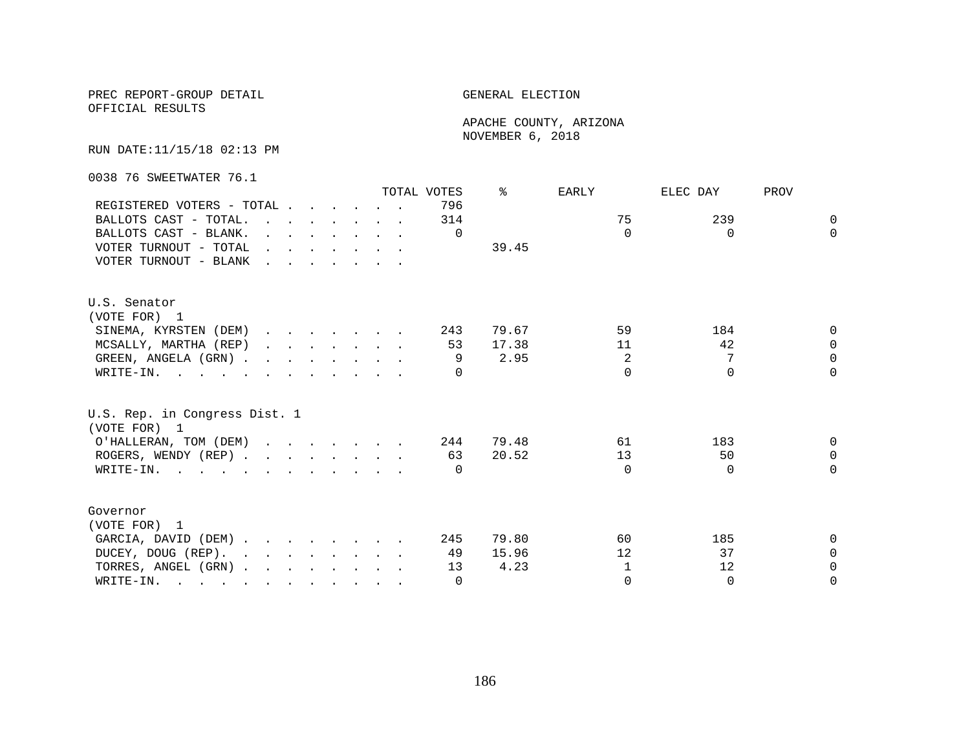OFFICIAL RESULTS

 APACHE COUNTY, ARIZONA NOVEMBER 6, 2018

RUN DATE:11/15/18 02:13 PM

0038 76 SWEETWATER 76.1

|                                                                                                                                                                                                                                                 |  |  |                                                                                             | TOTAL VOTES | °     | EARLY        | ELEC DAY | PROV         |
|-------------------------------------------------------------------------------------------------------------------------------------------------------------------------------------------------------------------------------------------------|--|--|---------------------------------------------------------------------------------------------|-------------|-------|--------------|----------|--------------|
| REGISTERED VOTERS - TOTAL                                                                                                                                                                                                                       |  |  |                                                                                             | 796         |       |              |          |              |
| BALLOTS CAST - TOTAL.                                                                                                                                                                                                                           |  |  |                                                                                             | 314         |       | 75           | 239      | $\Omega$     |
| BALLOTS CAST - BLANK.                                                                                                                                                                                                                           |  |  | $\mathbf{r} = \mathbf{r} \cdot \mathbf{r}$ , and $\mathbf{r} = \mathbf{r} \cdot \mathbf{r}$ | $\Omega$    |       | $\Omega$     | $\Omega$ | $\Omega$     |
| VOTER TURNOUT - TOTAL $\cdot \cdot \cdot \cdot \cdot \cdot$                                                                                                                                                                                     |  |  |                                                                                             |             | 39.45 |              |          |              |
| VOTER TURNOUT - BLANK                                                                                                                                                                                                                           |  |  |                                                                                             |             |       |              |          |              |
| U.S. Senator                                                                                                                                                                                                                                    |  |  |                                                                                             |             |       |              |          |              |
| (VOTE FOR) 1                                                                                                                                                                                                                                    |  |  |                                                                                             |             |       |              |          |              |
| SINEMA, KYRSTEN (DEM)                                                                                                                                                                                                                           |  |  |                                                                                             | 243         | 79.67 | 59           | 184      | <sup>n</sup> |
| MCSALLY, MARTHA (REP)                                                                                                                                                                                                                           |  |  |                                                                                             | 53          | 17.38 | 11           | 42       | $\Omega$     |
| GREEN, ANGELA (GRN)                                                                                                                                                                                                                             |  |  |                                                                                             | 9           | 2.95  | 2            | 7        | $\Omega$     |
| WRITE-IN.                                                                                                                                                                                                                                       |  |  |                                                                                             |             |       | $\cap$       | $\cap$   | $\cap$       |
| U.S. Rep. in Congress Dist. 1<br>(VOTE FOR) 1                                                                                                                                                                                                   |  |  |                                                                                             |             |       |              |          |              |
| O'HALLERAN, TOM (DEM) 244                                                                                                                                                                                                                       |  |  |                                                                                             |             | 79.48 | 61           | 183      | $\Omega$     |
| ROGERS, WENDY (REP)                                                                                                                                                                                                                             |  |  |                                                                                             | 63          | 20.52 | 13           | 50       | $\Omega$     |
| WRITE-IN.                                                                                                                                                                                                                                       |  |  |                                                                                             | $\bigcap$   |       | $\Omega$     | $\Omega$ | $\Omega$     |
| Governor                                                                                                                                                                                                                                        |  |  |                                                                                             |             |       |              |          |              |
| (VOTE FOR) 1                                                                                                                                                                                                                                    |  |  |                                                                                             |             |       |              |          |              |
| GARCIA, DAVID (DEM)                                                                                                                                                                                                                             |  |  |                                                                                             | 245         | 79.80 | 60           | 185      | 0            |
| DUCEY, DOUG (REP).                                                                                                                                                                                                                              |  |  |                                                                                             | 49          | 15.96 | 12           | 37       | $\Omega$     |
| TORRES, ANGEL (GRN)                                                                                                                                                                                                                             |  |  |                                                                                             | 13          | 4.23  | $\mathbf{1}$ | 12       | $\Omega$     |
| WRITE-IN.<br>$\mathcal{L}$ . The contract of the contract of the contract of the contract of the contract of the contract of the contract of the contract of the contract of the contract of the contract of the contract of the contract of th |  |  |                                                                                             | $\Omega$    |       | $\Omega$     | $\Omega$ | $\Omega$     |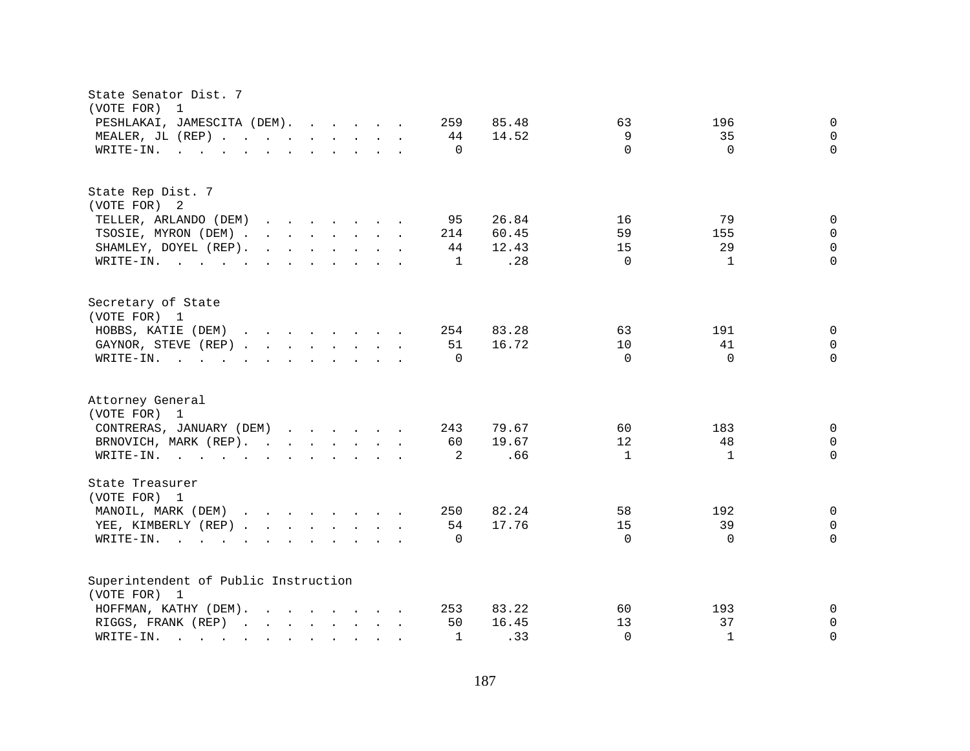| State Senator Dist. 7<br>(VOTE FOR)<br>$\overline{1}$                                                                                                                                                                                                                     |                              |             |
|---------------------------------------------------------------------------------------------------------------------------------------------------------------------------------------------------------------------------------------------------------------------------|------------------------------|-------------|
| PESHLAKAI, JAMESCITA (DEM).<br>259<br>85.48                                                                                                                                                                                                                               | 63<br>196                    | $\mathbf 0$ |
| MEALER, JL (REP)<br>14.52<br>44                                                                                                                                                                                                                                           | 9<br>35                      | $\Omega$    |
| $\Omega$<br>WRITE-IN.<br>$\mathbf{r}$ . The state of the state of the state $\mathbf{r}$                                                                                                                                                                                  | $\Omega$<br>$\Omega$         | $\Omega$    |
|                                                                                                                                                                                                                                                                           |                              |             |
| State Rep Dist. 7                                                                                                                                                                                                                                                         |                              |             |
| (VOTE FOR) 2                                                                                                                                                                                                                                                              |                              |             |
| 95<br>26.84<br>TELLER, ARLANDO (DEM)<br>$\mathbf{r}$ , and $\mathbf{r}$ , and $\mathbf{r}$ , and $\mathbf{r}$                                                                                                                                                             | 16<br>79                     | $\Omega$    |
| TSOSIE, MYRON (DEM)<br>60.45<br>214                                                                                                                                                                                                                                       | 59<br>155                    | $\Omega$    |
| SHAMLEY, DOYEL (REP).<br>$\mathbf{r}$ . The contract of the contract of the contract of the contract of the contract of the contract of the contract of the contract of the contract of the contract of the contract of the contract of the contract of th<br>44<br>12.43 | 29<br>15                     | $\Omega$    |
| .28<br>WRITE-IN.<br>$\mathbf{1}$                                                                                                                                                                                                                                          | $\Omega$<br>$\mathbf{1}$     | $\Omega$    |
| Secretary of State                                                                                                                                                                                                                                                        |                              |             |
| (VOTE FOR) 1                                                                                                                                                                                                                                                              |                              |             |
| HOBBS, KATIE (DEM)<br>83.28<br>254                                                                                                                                                                                                                                        | 63<br>191                    | $\mathbf 0$ |
| 16.72<br>GAYNOR, STEVE (REP)<br>51                                                                                                                                                                                                                                        | 10<br>41                     | $\Omega$    |
| $\Omega$<br>WRITE-IN.<br>$\mathbf{r}$ , and $\mathbf{r}$ , and $\mathbf{r}$ , and $\mathbf{r}$ , and $\mathbf{r}$                                                                                                                                                         | $\Omega$<br>$\Omega$         | $\Omega$    |
| Attorney General<br>(VOTE FOR) 1                                                                                                                                                                                                                                          |                              |             |
| CONTRERAS, JANUARY (DEM)<br>79.67<br>243                                                                                                                                                                                                                                  | 60<br>183                    | $\Omega$    |
| 19.67<br>60                                                                                                                                                                                                                                                               | 12<br>48                     | $\Omega$    |
| BRNOVICH, MARK (REP).<br>.66                                                                                                                                                                                                                                              | $\mathbf{1}$<br>$\mathbf{1}$ | $\Omega$    |
| 2<br>WRITE-IN.                                                                                                                                                                                                                                                            |                              |             |
| State Treasurer<br>(VOTE FOR) 1                                                                                                                                                                                                                                           |                              |             |
| MANOIL, MARK (DEM)<br>82.24<br>250                                                                                                                                                                                                                                        | 58<br>192                    | 0           |
| 17.76<br>YEE, KIMBERLY (REP)<br>54                                                                                                                                                                                                                                        | 15<br>39                     | $\Omega$    |
| WRITE-IN.<br>$\Omega$<br>$\mathbf{r}$ . The contract of the contract of the contract of the contract of the contract of the contract of the contract of the contract of the contract of the contract of the contract of the contract of the contract of th                | $\Omega$<br>$\Omega$         | $\Omega$    |
| Superintendent of Public Instruction                                                                                                                                                                                                                                      |                              |             |
| (VOTE FOR) 1                                                                                                                                                                                                                                                              |                              |             |
| 83.22<br>HOFFMAN, KATHY (DEM).<br>$\mathbf{r}$ , $\mathbf{r}$ , $\mathbf{r}$ , $\mathbf{r}$ , $\mathbf{r}$ , $\mathbf{r}$<br>253                                                                                                                                          | 60<br>193                    | 0           |
| RIGGS, FRANK (REP)<br>50<br>16.45                                                                                                                                                                                                                                         | 37<br>13                     | $\mathbf 0$ |
| .33<br>WRITE-IN.<br>$\mathbf{1}$<br>and the company of the company of the                                                                                                                                                                                                 | $\Omega$<br>$\mathbf{1}$     | $\Omega$    |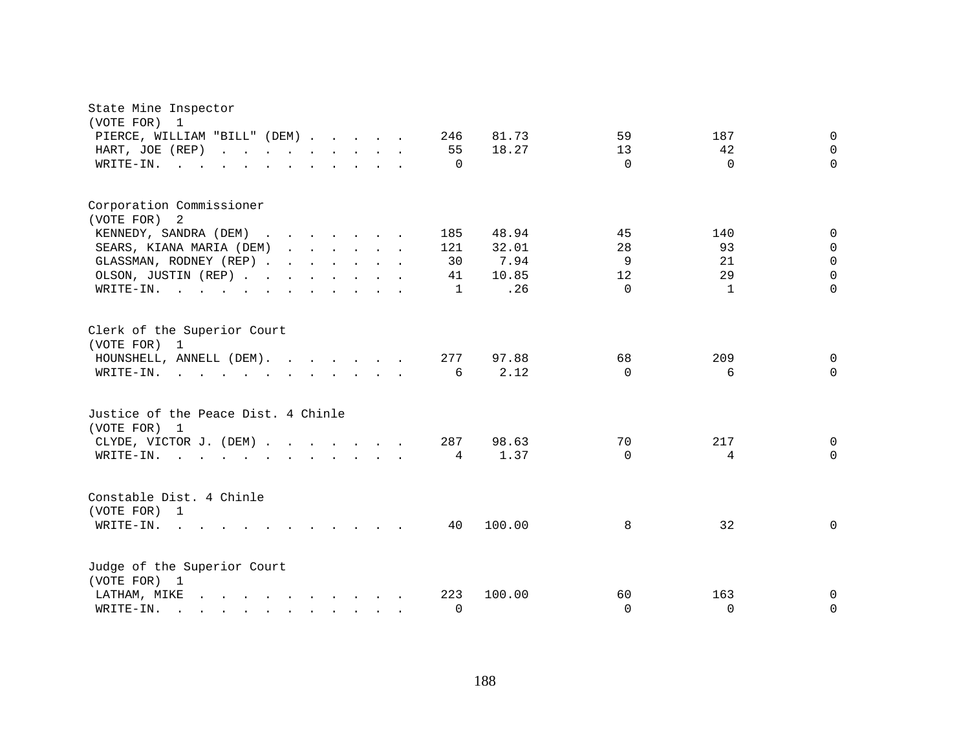| State Mine Inspector<br>(VOTE FOR)<br>$\mathbf{1}$                                                                                                                                                                                                                                                                                    |                                                              |
|---------------------------------------------------------------------------------------------------------------------------------------------------------------------------------------------------------------------------------------------------------------------------------------------------------------------------------------|--------------------------------------------------------------|
| PIERCE, WILLIAM "BILL" (DEM)<br>246                                                                                                                                                                                                                                                                                                   | 81.73<br>59<br>187<br>0                                      |
| 55<br>HART, JOE (REP)                                                                                                                                                                                                                                                                                                                 | 18.27<br>13<br>42<br>$\Omega$                                |
| WRITE-IN.<br>$\Omega$<br>the contract of the contract of the contract of the contract of the contract of the contract of the contract of                                                                                                                                                                                              | $\Omega$<br>$\Omega$<br>$\Omega$                             |
| Corporation Commissioner<br>(VOTE FOR) 2                                                                                                                                                                                                                                                                                              |                                                              |
| KENNEDY, SANDRA (DEM)<br>185                                                                                                                                                                                                                                                                                                          | 48.94<br>45<br>140<br>0                                      |
| SEARS, KIANA MARIA (DEM)<br>$\mathbf{r}$ . The contract of the contract of the contract of the contract of the contract of the contract of the contract of the contract of the contract of the contract of the contract of the contract of the contract of th<br>121                                                                  | 28<br>93<br>32.01<br>$\Omega$                                |
| GLASSMAN, RODNEY (REP)<br>30                                                                                                                                                                                                                                                                                                          | 9<br>7.94<br>21<br>$\Omega$                                  |
| OLSON, JUSTIN (REP)<br>41                                                                                                                                                                                                                                                                                                             | 29<br>10.85<br>12<br>$\Omega$                                |
| WRITE-IN.<br>$\mathbf{1}$                                                                                                                                                                                                                                                                                                             | .26<br>$\Omega$<br>$\mathbf{1}$<br>$\Omega$                  |
| Clerk of the Superior Court<br>(VOTE FOR) 1<br>HOUNSHELL, ANNELL (DEM).<br>277<br>WRITE-IN.<br>6<br>$\mathbf{r}$ . The contract of the contract of the contract of the contract of the contract of the contract of the contract of the contract of the contract of the contract of the contract of the contract of the contract of th | 97.88<br>68<br>209<br>0<br>2.12<br>$\Omega$<br>6<br>$\Omega$ |
| Justice of the Peace Dist. 4 Chinle<br>(VOTE FOR) 1<br>CLYDE, VICTOR J. (DEM)<br>287<br>WRITE-IN.<br>4<br>$\mathbf{r} = \mathbf{r} - \mathbf{r}$ , $\mathbf{r} = \mathbf{r} - \mathbf{r}$ , $\mathbf{r} = \mathbf{r} - \mathbf{r} - \mathbf{r}$                                                                                       | 98.63<br>70<br>217<br>0<br>1.37<br>4<br>$\Omega$<br>0        |
| Constable Dist. 4 Chinle<br>(VOTE FOR) 1<br>WRITE-IN.<br>40<br>$\sim 100$<br>$\mathbf{r}$ , $\mathbf{r}$ , $\mathbf{r}$ , $\mathbf{r}$                                                                                                                                                                                                | 100.00<br>8<br>32<br>0                                       |
| Judge of the Superior Court<br>(VOTE FOR) 1                                                                                                                                                                                                                                                                                           |                                                              |
| 223<br>LATHAM, MIKE<br>$\mathbf{r}$ and $\mathbf{r}$ and $\mathbf{r}$ and $\mathbf{r}$ and $\mathbf{r}$                                                                                                                                                                                                                               | 100.00<br>163<br>60<br>0                                     |
| $\mathbf 0$<br>WRITE-IN.<br>$\mathbf{r} = \mathbf{r} - \mathbf{r}$ , and $\mathbf{r} = \mathbf{r} - \mathbf{r}$ , and $\mathbf{r} = \mathbf{r} - \mathbf{r}$                                                                                                                                                                          | $\Omega$<br>$\Omega$<br>0                                    |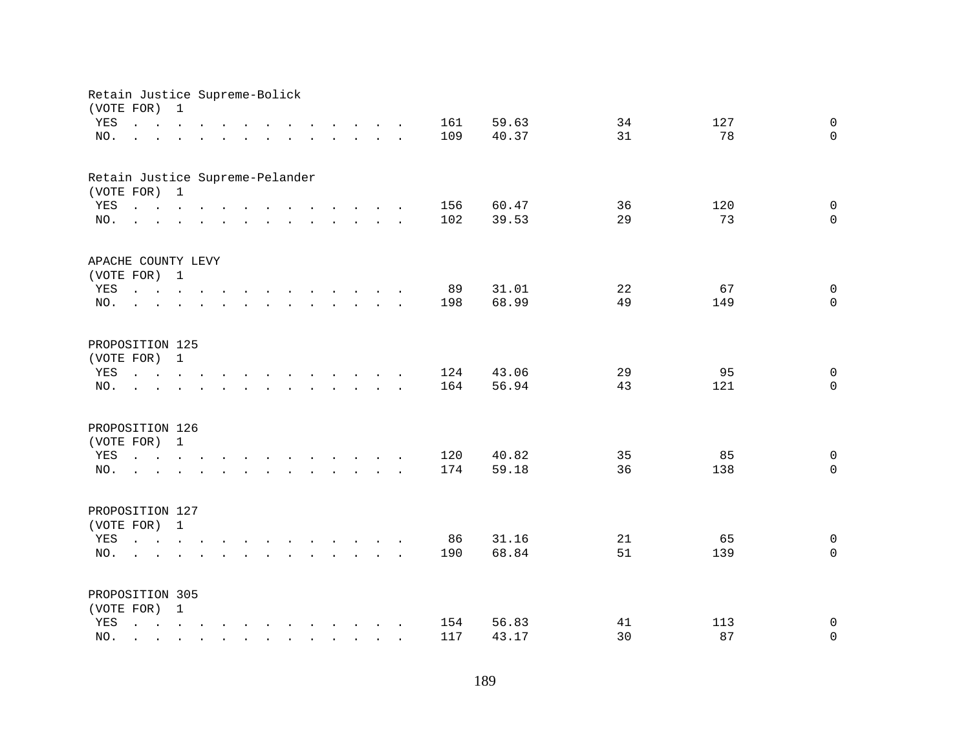| Retain Justice Supreme-Bolick<br>(VOTE FOR) |                                                                                                                                                                                                                                                                                                                                                                                                                                                                           | $\mathbf 1$  |        |                                                                                                                                                                                                                                      |               |                                                                       |  |                                            |        |            |                |    |     |                         |
|---------------------------------------------|---------------------------------------------------------------------------------------------------------------------------------------------------------------------------------------------------------------------------------------------------------------------------------------------------------------------------------------------------------------------------------------------------------------------------------------------------------------------------|--------------|--------|--------------------------------------------------------------------------------------------------------------------------------------------------------------------------------------------------------------------------------------|---------------|-----------------------------------------------------------------------|--|--------------------------------------------|--------|------------|----------------|----|-----|-------------------------|
| YES                                         | $\mathbf{1} \qquad \qquad \mathbf{1} \qquad \qquad \mathbf{1} \qquad \qquad \mathbf{1} \qquad \qquad \mathbf{1} \qquad \qquad \mathbf{1} \qquad \qquad \mathbf{1} \qquad \qquad \mathbf{1} \qquad \qquad \mathbf{1} \qquad \qquad \mathbf{1} \qquad \qquad \mathbf{1} \qquad \qquad \mathbf{1} \qquad \qquad \mathbf{1} \qquad \qquad \mathbf{1} \qquad \qquad \mathbf{1} \qquad \qquad \mathbf{1} \qquad \qquad \mathbf{1} \qquad \mathbf{1} \qquad \qquad \mathbf{1} \$ |              |        |                                                                                                                                                                                                                                      |               | $\mathbf{r}$ , and $\mathbf{r}$ , and $\mathbf{r}$ , and $\mathbf{r}$ |  |                                            |        | 161        | 59.63          | 34 | 127 | $\mathbf 0$             |
| NO.                                         | $\overline{a}$                                                                                                                                                                                                                                                                                                                                                                                                                                                            |              |        | $\mathbf{r}$ , and $\mathbf{r}$ , and $\mathbf{r}$ , and $\mathbf{r}$ , and $\mathbf{r}$ , and $\mathbf{r}$                                                                                                                          |               |                                                                       |  |                                            |        | 109        | 40.37          | 31 | 78  | $\Omega$                |
|                                             |                                                                                                                                                                                                                                                                                                                                                                                                                                                                           |              |        |                                                                                                                                                                                                                                      |               |                                                                       |  |                                            |        |            |                |    |     |                         |
| Retain Justice Supreme-Pelander             |                                                                                                                                                                                                                                                                                                                                                                                                                                                                           |              |        |                                                                                                                                                                                                                                      |               |                                                                       |  |                                            |        |            |                |    |     |                         |
| (VOTE FOR) 1                                |                                                                                                                                                                                                                                                                                                                                                                                                                                                                           |              |        |                                                                                                                                                                                                                                      |               |                                                                       |  |                                            |        |            |                |    |     |                         |
| YES                                         | . The contract of the contract of the contract of the contract of the contract of the contract of the contract of the contract of the contract of the contract of the contract of the contract of the contract of the contrac                                                                                                                                                                                                                                             |              |        |                                                                                                                                                                                                                                      |               |                                                                       |  |                                            |        | 156        | 60.47          | 36 | 120 | $\mathbf 0$             |
| NO.                                         | $\mathbf{r}$ , and $\mathbf{r}$ , and $\mathbf{r}$ , and $\mathbf{r}$ , and $\mathbf{r}$ , and $\mathbf{r}$                                                                                                                                                                                                                                                                                                                                                               |              |        |                                                                                                                                                                                                                                      |               |                                                                       |  |                                            |        | 102        | 39.53          | 29 | 73  | $\Omega$                |
| APACHE COUNTY LEVY                          |                                                                                                                                                                                                                                                                                                                                                                                                                                                                           |              |        |                                                                                                                                                                                                                                      |               |                                                                       |  |                                            |        |            |                |    |     |                         |
| (VOTE FOR) 1                                |                                                                                                                                                                                                                                                                                                                                                                                                                                                                           |              |        |                                                                                                                                                                                                                                      |               |                                                                       |  |                                            |        |            |                |    |     |                         |
| YES                                         |                                                                                                                                                                                                                                                                                                                                                                                                                                                                           |              |        |                                                                                                                                                                                                                                      |               |                                                                       |  |                                            |        | 89         | 31.01          | 22 | 67  | $\mathbf 0$             |
| NO.                                         | $\mathbf{L}$                                                                                                                                                                                                                                                                                                                                                                                                                                                              |              |        | $\mathbf{r}$ and $\mathbf{r}$ are the set of the set of the set of the set of the set of the set of the set of the set of the set of the set of the set of the set of the set of the set of the set of the set of the set of the set |               |                                                                       |  |                                            |        | 198        | 68.99          | 49 | 149 | $\Omega$                |
|                                             |                                                                                                                                                                                                                                                                                                                                                                                                                                                                           |              |        |                                                                                                                                                                                                                                      |               |                                                                       |  |                                            |        |            |                |    |     |                         |
| PROPOSITION 125                             |                                                                                                                                                                                                                                                                                                                                                                                                                                                                           |              |        |                                                                                                                                                                                                                                      |               |                                                                       |  |                                            |        |            |                |    |     |                         |
| (VOTE FOR)                                  |                                                                                                                                                                                                                                                                                                                                                                                                                                                                           | $\mathbf{1}$ |        |                                                                                                                                                                                                                                      |               |                                                                       |  |                                            |        |            |                |    |     |                         |
| YES                                         | $\mathbf{r}$ , $\mathbf{r}$ , $\mathbf{r}$ , $\mathbf{r}$                                                                                                                                                                                                                                                                                                                                                                                                                 |              |        |                                                                                                                                                                                                                                      | $\sim$ $\sim$ | $\mathbf{r}$ , and $\mathbf{r}$ , and $\mathbf{r}$ , and $\mathbf{r}$ |  |                                            |        | 124        | 43.06          | 29 | 95  | $\mathbf 0$             |
| NO.                                         |                                                                                                                                                                                                                                                                                                                                                                                                                                                                           |              |        |                                                                                                                                                                                                                                      |               |                                                                       |  | $\mathbf{r}$ , $\mathbf{r}$ , $\mathbf{r}$ | $\sim$ | 164        | 56.94          | 43 | 121 | $\mathbf 0$             |
|                                             |                                                                                                                                                                                                                                                                                                                                                                                                                                                                           |              |        |                                                                                                                                                                                                                                      |               |                                                                       |  |                                            |        |            |                |    |     |                         |
| PROPOSITION 126                             |                                                                                                                                                                                                                                                                                                                                                                                                                                                                           |              |        |                                                                                                                                                                                                                                      |               |                                                                       |  |                                            |        |            |                |    |     |                         |
| (VOTE FOR)                                  |                                                                                                                                                                                                                                                                                                                                                                                                                                                                           | $\mathbf{1}$ |        |                                                                                                                                                                                                                                      |               |                                                                       |  |                                            |        |            |                | 35 | 85  |                         |
| YES<br>NO.                                  | $\mathbf{r} = \mathbf{r} - \mathbf{r}$ , $\mathbf{r} = \mathbf{r} - \mathbf{r}$ , $\mathbf{r} = \mathbf{r} - \mathbf{r} - \mathbf{r}$ , $\mathbf{r} = \mathbf{r} - \mathbf{r}$                                                                                                                                                                                                                                                                                            |              |        |                                                                                                                                                                                                                                      |               |                                                                       |  |                                            |        | 120<br>174 | 40.82<br>59.18 | 36 | 138 | $\mathbf 0$<br>$\Omega$ |
|                                             | $\mathbf{r}$ , and $\mathbf{r}$ , and $\mathbf{r}$ , and $\mathbf{r}$ , and $\mathbf{r}$ , and $\mathbf{r}$                                                                                                                                                                                                                                                                                                                                                               |              |        |                                                                                                                                                                                                                                      |               |                                                                       |  |                                            |        |            |                |    |     |                         |
| PROPOSITION 127                             |                                                                                                                                                                                                                                                                                                                                                                                                                                                                           |              |        |                                                                                                                                                                                                                                      |               |                                                                       |  |                                            |        |            |                |    |     |                         |
| (VOTE FOR) 1                                |                                                                                                                                                                                                                                                                                                                                                                                                                                                                           |              |        |                                                                                                                                                                                                                                      |               |                                                                       |  |                                            |        |            |                |    |     |                         |
| YES                                         |                                                                                                                                                                                                                                                                                                                                                                                                                                                                           |              |        |                                                                                                                                                                                                                                      |               |                                                                       |  |                                            |        | 86         | 31.16          | 21 | 65  | $\mathsf{O}$            |
| NO.                                         | $\mathcal{L}^{\text{max}}$                                                                                                                                                                                                                                                                                                                                                                                                                                                |              |        | $\mathbf{r}$ and $\mathbf{r}$ and $\mathbf{r}$ and $\mathbf{r}$ and $\mathbf{r}$ and $\mathbf{r}$ and $\mathbf{r}$                                                                                                                   |               |                                                                       |  |                                            |        | 190        | 68.84          | 51 | 139 | $\Omega$                |
|                                             |                                                                                                                                                                                                                                                                                                                                                                                                                                                                           |              |        |                                                                                                                                                                                                                                      |               |                                                                       |  |                                            |        |            |                |    |     |                         |
| PROPOSITION 305                             |                                                                                                                                                                                                                                                                                                                                                                                                                                                                           |              |        |                                                                                                                                                                                                                                      |               |                                                                       |  |                                            |        |            |                |    |     |                         |
| (VOTE FOR) 1                                |                                                                                                                                                                                                                                                                                                                                                                                                                                                                           |              |        |                                                                                                                                                                                                                                      |               |                                                                       |  |                                            |        |            |                |    |     |                         |
| YES                                         | $\mathbf{L}$                                                                                                                                                                                                                                                                                                                                                                                                                                                              |              |        | $\mathbf{r}$ , $\mathbf{r}$ , $\mathbf{r}$ , $\mathbf{r}$ , $\mathbf{r}$ , $\mathbf{r}$ , $\mathbf{r}$ , $\mathbf{r}$ , $\mathbf{r}$                                                                                                 |               |                                                                       |  |                                            |        | 154        | 56.83          | 41 | 113 | 0                       |
| NO.                                         |                                                                                                                                                                                                                                                                                                                                                                                                                                                                           |              | $\sim$ |                                                                                                                                                                                                                                      | $\mathbf{r}$  | $\mathbf{r}$ . The set of $\mathbf{r}$                                |  |                                            |        | 117        | 43.17          | 30 | 87  | $\mathbf 0$             |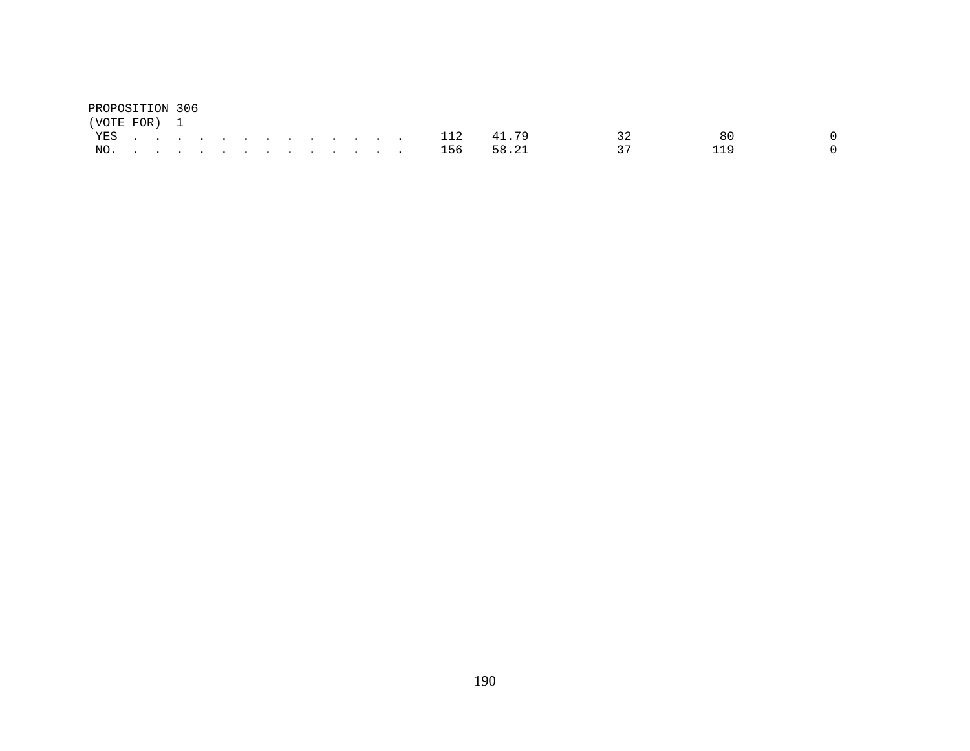| PROPOSITION 306 |  |  |  |  |  |  |               |               |                 |     |  |
|-----------------|--|--|--|--|--|--|---------------|---------------|-----------------|-----|--|
| (VOTE FOR) 1    |  |  |  |  |  |  |               |               |                 |     |  |
|                 |  |  |  |  |  |  | YES 112 41.79 |               | $\sim$ 32       | 8 Q |  |
|                 |  |  |  |  |  |  |               | NO. 156 58.21 | $\overline{37}$ | 119 |  |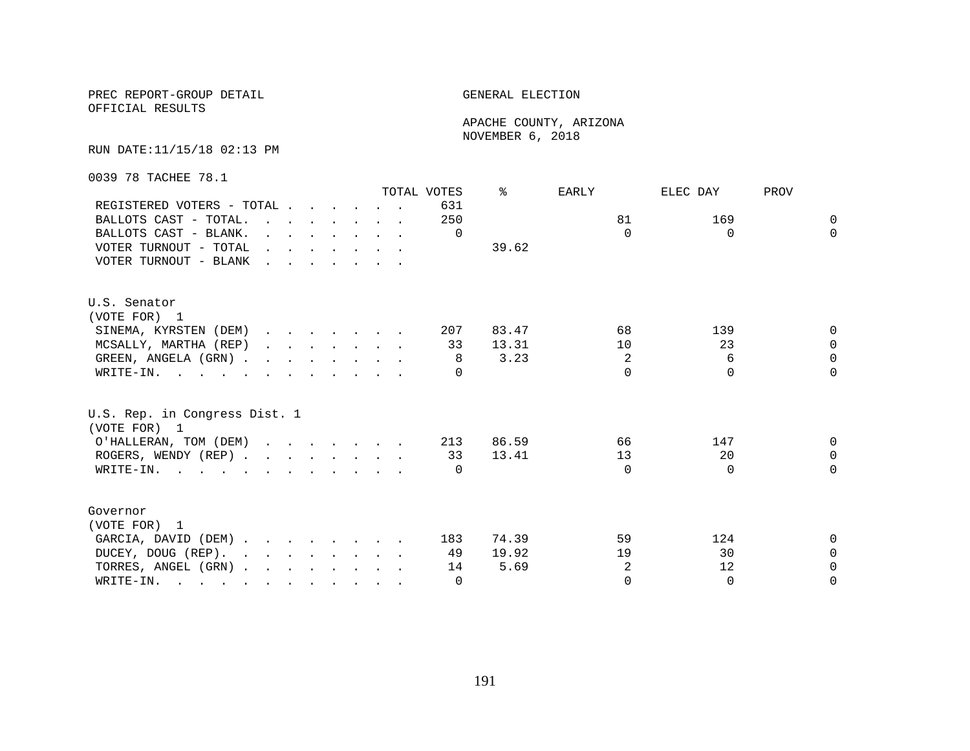## PREC REPORT-GROUP DETAIL GENERAL ELECTION

OFFICIAL RESULTS

 APACHE COUNTY, ARIZONA NOVEMBER 6, 2018

#### RUN DATE:11/15/18 02:13 PM

0039 78 TACHEE 78.1

|                                                             |  |  |                                                                          | TOTAL VOTES      | °     | EARLY    | ELEC DAY | PROV     |
|-------------------------------------------------------------|--|--|--------------------------------------------------------------------------|------------------|-------|----------|----------|----------|
| REGISTERED VOTERS - TOTAL                                   |  |  |                                                                          | 631              |       |          |          |          |
| BALLOTS CAST - TOTAL.                                       |  |  |                                                                          | 250              |       | 81       | 169      | $\Omega$ |
| BALLOTS CAST - BLANK.                                       |  |  | $\mathbf{r}$ , $\mathbf{r}$ , $\mathbf{r}$ , $\mathbf{r}$ , $\mathbf{r}$ | $\Omega$         |       | $\Omega$ | $\Omega$ | $\Omega$ |
| VOTER TURNOUT - TOTAL $\cdot \cdot \cdot \cdot \cdot \cdot$ |  |  |                                                                          |                  | 39.62 |          |          |          |
| VOTER TURNOUT - BLANK                                       |  |  |                                                                          |                  |       |          |          |          |
| U.S. Senator                                                |  |  |                                                                          |                  |       |          |          |          |
| (VOTE FOR) 1                                                |  |  |                                                                          |                  |       |          |          |          |
| SINEMA, KYRSTEN (DEM)                                       |  |  |                                                                          | 207              | 83.47 | 68       | 139      | 0        |
| MCSALLY, MARTHA (REP)                                       |  |  |                                                                          | 33               | 13.31 | 10       | 23       | $\Omega$ |
| GREEN, ANGELA (GRN)                                         |  |  |                                                                          | 8                | 3.23  | 2        | 6        | $\Omega$ |
| WRITE-IN.                                                   |  |  |                                                                          |                  |       | $\Omega$ | $\Omega$ | $\cap$   |
| U.S. Rep. in Congress Dist. 1<br>(VOTE FOR) 1               |  |  |                                                                          |                  |       |          |          |          |
| O'HALLERAN, TOM (DEM) 213                                   |  |  |                                                                          |                  | 86.59 | 66       | 147      | $\Omega$ |
| ROGERS, WENDY (REP)                                         |  |  |                                                                          | 33               | 13.41 | 13       | 20       | $\Omega$ |
| WRITE-IN.                                                   |  |  |                                                                          | $\left( \right)$ |       | $\cap$   | $\Omega$ | $\Omega$ |
| Governor                                                    |  |  |                                                                          |                  |       |          |          |          |
| (VOTE FOR) 1                                                |  |  |                                                                          |                  |       |          |          |          |
| GARCIA, DAVID (DEM)                                         |  |  |                                                                          | 183              | 74.39 | 59       | 124      | 0        |
| DUCEY, DOUG (REP).                                          |  |  |                                                                          | 49               | 19.92 | 19       | 30       | $\Omega$ |
| TORRES, ANGEL (GRN)                                         |  |  |                                                                          | 14               | 5.69  | 2        | 12       | $\Omega$ |
| WRITE-IN.                                                   |  |  |                                                                          | $\Omega$         |       | $\Omega$ | $\Omega$ | $\Omega$ |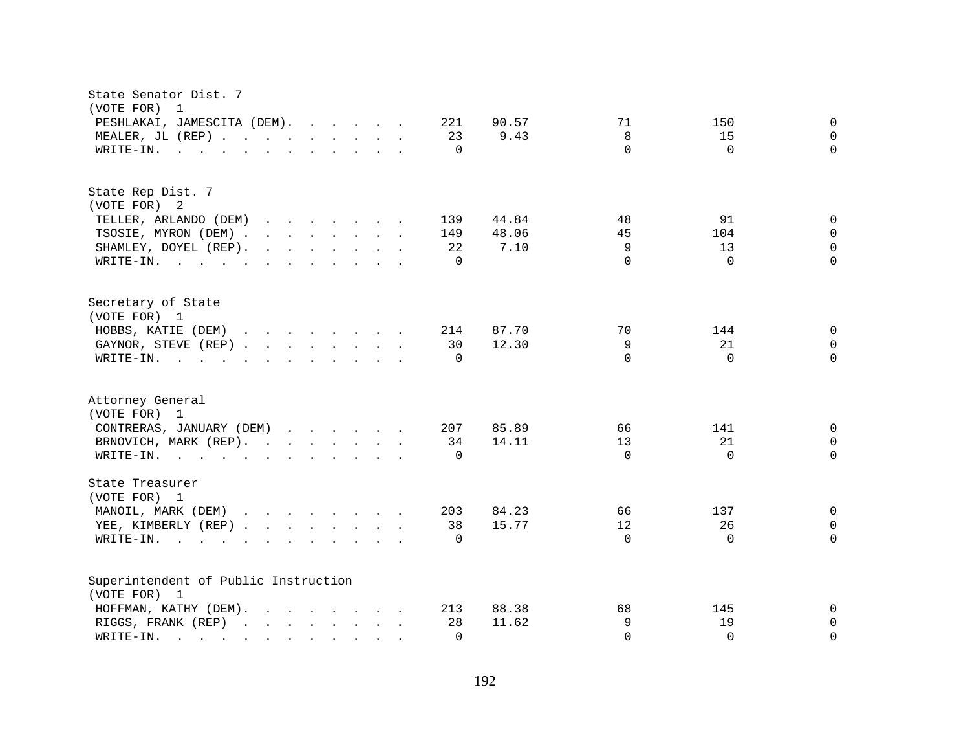| State Senator Dist. 7<br>(VOTE FOR)<br>$\overline{\phantom{0}}$                                                                                                               |                                    |
|-------------------------------------------------------------------------------------------------------------------------------------------------------------------------------|------------------------------------|
| PESHLAKAI, JAMESCITA (DEM).<br>221                                                                                                                                            | 90.57<br>71<br>150<br>$\mathbf 0$  |
| MEALER, JL (REP)<br>23                                                                                                                                                        | 9.43<br>8<br>15<br>$\mathbf 0$     |
| $\mathbf{r}$ , and $\mathbf{r}$ , and $\mathbf{r}$ , and $\mathbf{r}$ , and $\mathbf{r}$<br>$\Omega$<br>WRITE-IN.                                                             | $\Omega$<br>$\Omega$<br>$\Omega$   |
|                                                                                                                                                                               |                                    |
| State Rep Dist. 7                                                                                                                                                             |                                    |
| (VOTE FOR) 2                                                                                                                                                                  |                                    |
| TELLER, ARLANDO (DEM)<br>139                                                                                                                                                  | 91<br>44.84<br>48<br>$\Omega$      |
| TSOSIE, MYRON (DEM)<br>149                                                                                                                                                    | 45<br>48.06<br>104<br>$\mathbf 0$  |
| $\mathbf{r}$ , and $\mathbf{r}$ , and $\mathbf{r}$ , and $\mathbf{r}$<br>22<br>SHAMLEY, DOYEL (REP).                                                                          | 9<br>13<br>$\mathbf 0$<br>7.10     |
| $\Omega$<br>WRITE-IN.                                                                                                                                                         | $\Omega$<br>$\Omega$<br>$\Omega$   |
| Secretary of State                                                                                                                                                            |                                    |
| (VOTE FOR) 1                                                                                                                                                                  |                                    |
| HOBBS, KATIE (DEM)<br>214                                                                                                                                                     | 87.70<br>70<br>144<br>0            |
| GAYNOR, STEVE (REP)<br>30                                                                                                                                                     | 9<br>12.30<br>21<br>$\mathbf 0$    |
| WRITE-IN.<br>$\Omega$                                                                                                                                                         | $\Omega$<br>$\Omega$<br>$\Omega$   |
|                                                                                                                                                                               |                                    |
| Attorney General                                                                                                                                                              |                                    |
| (VOTE FOR) 1                                                                                                                                                                  |                                    |
| CONTRERAS, JANUARY (DEM)<br>207                                                                                                                                               | 85.89<br>66<br>141<br>$\mathbf{0}$ |
| BRNOVICH, MARK (REP).<br>34                                                                                                                                                   | 14.11<br>13<br>21<br>$\mathbf 0$   |
| WRITE-IN.<br>$\Omega$                                                                                                                                                         | $\Omega$<br>$\Omega$<br>$\Omega$   |
| State Treasurer                                                                                                                                                               |                                    |
| (VOTE FOR) 1                                                                                                                                                                  |                                    |
| MANOIL, MARK (DEM)<br>203                                                                                                                                                     | 66<br>$\mathbf 0$<br>84.23<br>137  |
| 38<br>YEE, KIMBERLY (REP)                                                                                                                                                     | 12<br>26<br>15.77<br>$\Omega$      |
| $W\text{RITE-IN.}$<br>$\Omega$<br>$\mathbf{r}$ and $\mathbf{r}$ and $\mathbf{r}$ and $\mathbf{r}$ and $\mathbf{r}$                                                            | $\Omega$<br>$\Omega$<br>$\Omega$   |
| Superintendent of Public Instruction                                                                                                                                          |                                    |
| (VOTE FOR) 1                                                                                                                                                                  |                                    |
| HOFFMAN, KATHY (DEM).<br>213                                                                                                                                                  | 88.38<br>68<br>145<br>0            |
| RIGGS, FRANK (REP)<br>28                                                                                                                                                      | 11.62<br>9<br>19<br>$\mathbf 0$    |
| WRITE-IN.<br>$\Omega$<br>and the state of the state of the<br>the contract of the contract of the contract of the contract of the contract of the contract of the contract of | $\Omega$<br>$\Omega$<br>$\Omega$   |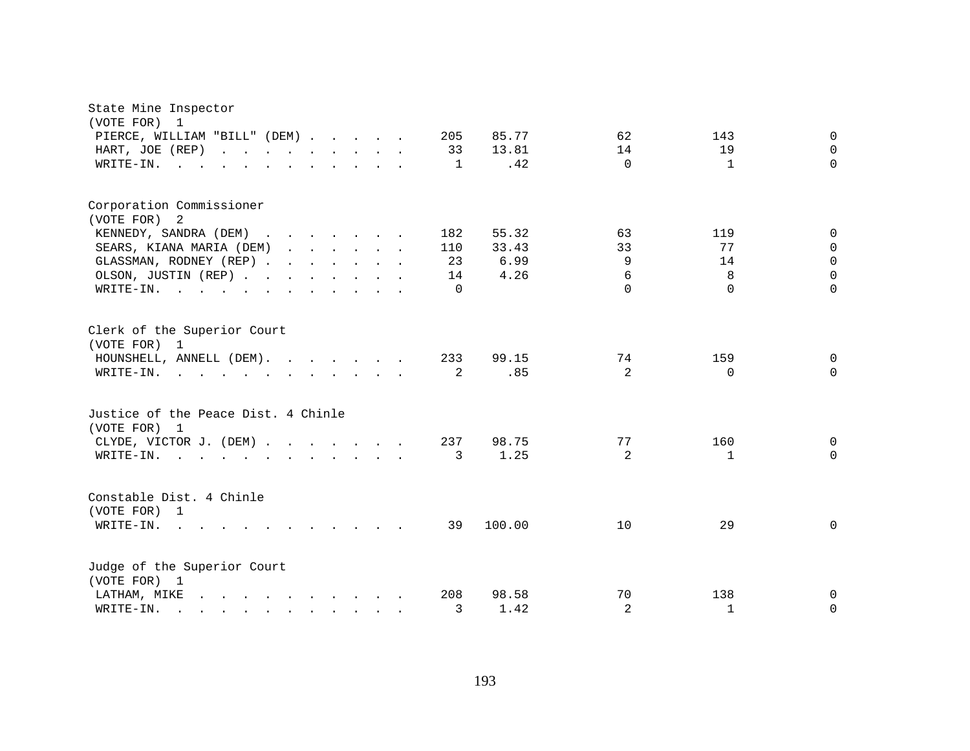| State Mine Inspector<br>(VOTE FOR)<br>1<br>PIERCE, WILLIAM "BILL" (DEM)<br>HART, JOE (REP)<br>WRITE-IN.                                                                                                                                                                                                                                     |  |  | 205<br>33<br>$\overline{1}$        | 85.77<br>13.81<br>.42          | 62<br>14<br>$\Omega$                    | 143<br>19<br>$\mathbf{1}$        | $\Omega$<br>$\Omega$<br>$\Omega$                         |
|---------------------------------------------------------------------------------------------------------------------------------------------------------------------------------------------------------------------------------------------------------------------------------------------------------------------------------------------|--|--|------------------------------------|--------------------------------|-----------------------------------------|----------------------------------|----------------------------------------------------------|
| Corporation Commissioner<br>(VOTE FOR)<br>$\overline{2}$<br>KENNEDY, SANDRA (DEM)<br>SEARS, KIANA MARIA (DEM)<br>GLASSMAN, RODNEY (REP)<br>OLSON, JUSTIN (REP)<br>WRITE-IN.                                                                                                                                                                 |  |  | 182<br>110<br>23<br>14<br>$\Omega$ | 55.32<br>33.43<br>6.99<br>4.26 | 63<br>33<br>9<br>$\epsilon$<br>$\Omega$ | 119<br>77<br>14<br>8<br>$\Omega$ | $\Omega$<br>$\Omega$<br>$\Omega$<br>$\Omega$<br>$\Omega$ |
| Clerk of the Superior Court<br>(VOTE FOR) 1<br>HOUNSHELL, ANNELL (DEM).<br>WRITE-IN.                                                                                                                                                                                                                                                        |  |  | 233<br>2                           | 99.15<br>.85                   | 74<br>$\overline{2}$                    | 159<br>$\Omega$                  | $\Omega$<br>$\Omega$                                     |
| Justice of the Peace Dist. 4 Chinle<br>(VOTE FOR) 1<br>CLYDE, VICTOR J. (DEM)<br>WRITE-IN.<br>$\mathcal{L}(\mathbf{r},\mathbf{r})$ . The contribution of the contribution of the contribution of the contribution of the contribution of the contribution of the contribution of the contribution of the contribution of the contribution o |  |  | 237<br>3                           | 98.75<br>1.25                  | 77<br>2                                 | 160<br>$\mathbf{1}$              | 0<br>$\Omega$                                            |
| Constable Dist. 4 Chinle<br>(VOTE FOR) 1<br>WRITE-IN.<br>$\mathbf{r}$ , and $\mathbf{r}$ , and $\mathbf{r}$ , and $\mathbf{r}$ , and $\mathbf{r}$                                                                                                                                                                                           |  |  | 39                                 | 100.00                         | 10                                      | 29                               | 0                                                        |
| Judge of the Superior Court<br>(VOTE FOR) 1<br>LATHAM, MIKE<br>WRITE-IN.<br>$\mathbf{r}$ , and $\mathbf{r}$ , and $\mathbf{r}$ , and $\mathbf{r}$ , and $\mathbf{r}$                                                                                                                                                                        |  |  | 208<br>3                           | 98.58<br>1.42                  | 70<br>$\overline{a}$                    | 138<br>$\mathbf{1}$              | $\Omega$<br>$\Omega$                                     |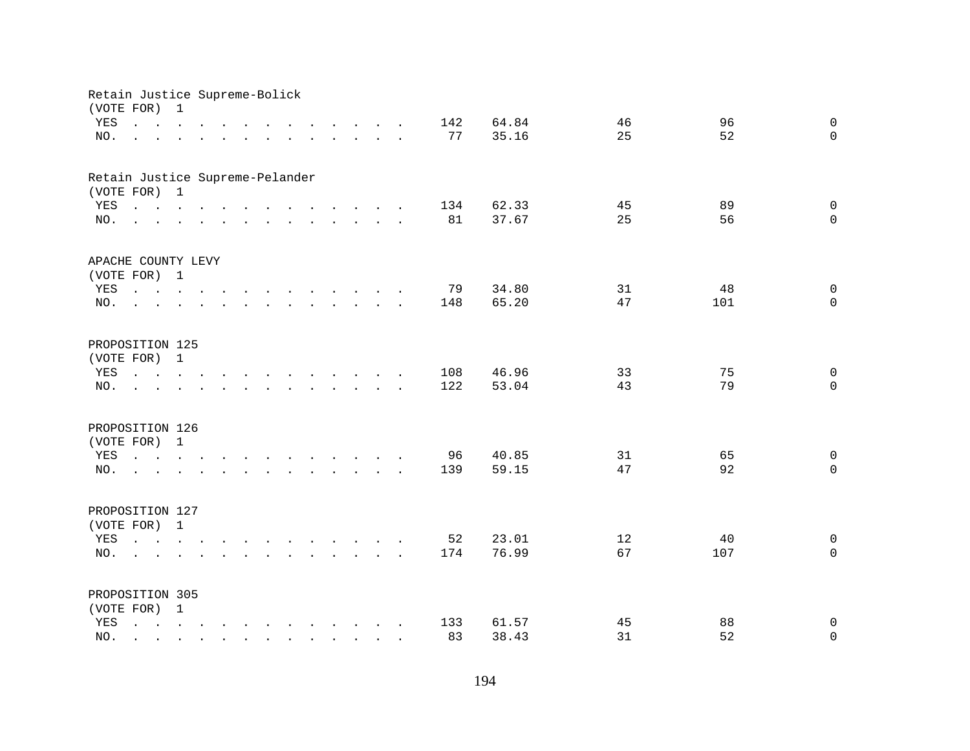| Retain Justice Supreme-Bolick<br>(VOTE FOR) |                                                                                                             | 1            |                                                                          |              |                                        |                                                                                                                                                                                                                                   |                                        |  |           |                |                   |           |                            |
|---------------------------------------------|-------------------------------------------------------------------------------------------------------------|--------------|--------------------------------------------------------------------------|--------------|----------------------------------------|-----------------------------------------------------------------------------------------------------------------------------------------------------------------------------------------------------------------------------------|----------------------------------------|--|-----------|----------------|-------------------|-----------|----------------------------|
| YES                                         |                                                                                                             |              | $\mathbf{r}$ , $\mathbf{r}$ , $\mathbf{r}$ , $\mathbf{r}$ , $\mathbf{r}$ |              |                                        | $\mathbf{r}$ , $\mathbf{r}$ , $\mathbf{r}$ , $\mathbf{r}$ , $\mathbf{r}$                                                                                                                                                          |                                        |  | 142       | 64.84          | 46                | 96        | $\Omega$                   |
| NO.                                         |                                                                                                             |              |                                                                          |              |                                        | and a series of the contract of the contract of the contract of the contract of the contract of the contract of                                                                                                                   |                                        |  | 77        | 35.16          | 25                | 52        | $\Omega$                   |
| Retain Justice Supreme-Pelander             |                                                                                                             |              |                                                                          |              |                                        |                                                                                                                                                                                                                                   |                                        |  |           |                |                   |           |                            |
| (VOTE FOR) 1                                |                                                                                                             |              |                                                                          |              |                                        |                                                                                                                                                                                                                                   |                                        |  |           |                |                   |           |                            |
| YES<br>NO.                                  | $\mathbf{r}$ , and $\mathbf{r}$ , and $\mathbf{r}$ , and $\mathbf{r}$ , and $\mathbf{r}$ , and $\mathbf{r}$ |              |                                                                          |              |                                        |                                                                                                                                                                                                                                   |                                        |  | 134<br>81 | 62.33<br>37.67 | 45<br>25          | 89<br>56  | $\mathbf 0$<br>$\Omega$    |
|                                             |                                                                                                             |              |                                                                          |              |                                        |                                                                                                                                                                                                                                   |                                        |  |           |                |                   |           |                            |
| APACHE COUNTY LEVY                          |                                                                                                             |              |                                                                          |              |                                        |                                                                                                                                                                                                                                   |                                        |  |           |                |                   |           |                            |
| (VOTE FOR) 1                                |                                                                                                             |              |                                                                          |              |                                        |                                                                                                                                                                                                                                   |                                        |  |           |                |                   |           |                            |
| YES<br>NO.                                  |                                                                                                             |              |                                                                          |              |                                        | $\mathbf{r}$ . The set of the set of the set of the set of the set of the set of the set of the set of the set of the set of the set of the set of the set of the set of the set of the set of the set of the set of the set of t |                                        |  | 79<br>148 | 34.80<br>65.20 | 31<br>47          | 48<br>101 | $\mathbf 0$<br>$\Omega$    |
|                                             | $\sim$                                                                                                      |              |                                                                          |              |                                        |                                                                                                                                                                                                                                   |                                        |  |           |                |                   |           |                            |
| PROPOSITION 125                             |                                                                                                             |              |                                                                          |              |                                        |                                                                                                                                                                                                                                   |                                        |  |           |                |                   |           |                            |
| (VOTE FOR) 1                                |                                                                                                             |              |                                                                          |              |                                        |                                                                                                                                                                                                                                   |                                        |  |           |                |                   |           |                            |
| YES                                         | $\mathbf{r}$ and $\mathbf{r}$ and $\mathbf{r}$ and $\mathbf{r}$                                             |              |                                                                          |              |                                        | the contract of the contract of the contract of the contract of the contract of the contract of the contract of                                                                                                                   |                                        |  | 108       | 46.96          | 33                | 75        | $\mathbf 0$                |
| NO.                                         |                                                                                                             |              |                                                                          |              | $\mathbf{L}$ . The set of $\mathbf{L}$ |                                                                                                                                                                                                                                   | $\mathbf{L}$ $\mathbf{L}$ $\mathbf{L}$ |  | 122       | 53.04          | 43                | 79        | $\mathbf 0$                |
| PROPOSITION 126                             |                                                                                                             |              |                                                                          |              |                                        |                                                                                                                                                                                                                                   |                                        |  |           |                |                   |           |                            |
| (VOTE FOR) 1                                |                                                                                                             |              |                                                                          |              |                                        |                                                                                                                                                                                                                                   |                                        |  |           |                |                   |           |                            |
| YES                                         |                                                                                                             |              |                                                                          |              |                                        |                                                                                                                                                                                                                                   |                                        |  | 96        | 40.85          | 31                | 65        | $\Omega$                   |
| NO.                                         | the contract of the contract of the contract of the                                                         |              |                                                                          |              |                                        |                                                                                                                                                                                                                                   |                                        |  | 139       | 59.15          | 47                | 92        | $\Omega$                   |
| PROPOSITION 127                             |                                                                                                             |              |                                                                          |              |                                        |                                                                                                                                                                                                                                   |                                        |  |           |                |                   |           |                            |
| (VOTE FOR) 1                                |                                                                                                             |              |                                                                          |              |                                        |                                                                                                                                                                                                                                   |                                        |  |           |                |                   |           |                            |
| YES                                         |                                                                                                             |              |                                                                          |              |                                        |                                                                                                                                                                                                                                   |                                        |  | 52        | 23.01          | $12 \overline{ }$ | 40        | $\mathbf 0$                |
| NO.                                         | $\mathbf{r} = \mathbf{r}$                                                                                   |              |                                                                          |              |                                        | $\mathbf{r}$ and $\mathbf{r}$ and $\mathbf{r}$ and $\mathbf{r}$ and $\mathbf{r}$ and $\mathbf{r}$                                                                                                                                 |                                        |  | 174       | 76.99          | 67                | 107       | $\Omega$                   |
|                                             |                                                                                                             |              |                                                                          |              |                                        |                                                                                                                                                                                                                                   |                                        |  |           |                |                   |           |                            |
| PROPOSITION 305                             |                                                                                                             |              |                                                                          |              |                                        |                                                                                                                                                                                                                                   |                                        |  |           |                |                   |           |                            |
| (VOTE FOR) 1                                |                                                                                                             |              |                                                                          |              |                                        |                                                                                                                                                                                                                                   |                                        |  |           |                |                   |           |                            |
| YES                                         |                                                                                                             |              |                                                                          |              |                                        |                                                                                                                                                                                                                                   |                                        |  | 133<br>83 | 61.57<br>38.43 | 45<br>31          | 88<br>52  | $\mathbf 0$<br>$\mathbf 0$ |
| NO.                                         | $\mathcal{L}^{\text{max}}$                                                                                  | $\mathbf{r}$ | $\mathbf{L}$ and $\mathbf{L}$                                            | $\mathbf{r}$ |                                        | $\mathbf{r}$ , $\mathbf{r}$ , $\mathbf{r}$ , $\mathbf{r}$ , $\mathbf{r}$                                                                                                                                                          |                                        |  |           |                |                   |           |                            |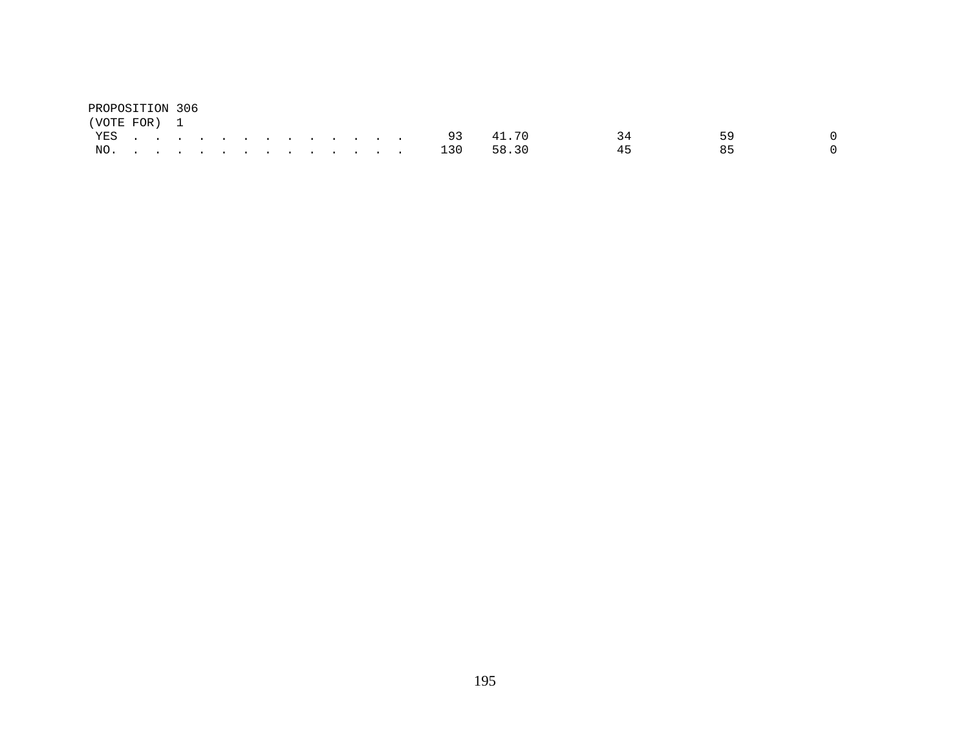| PROPOSITION 306 |  |  |  |  |  |  |               |    |    |  |
|-----------------|--|--|--|--|--|--|---------------|----|----|--|
| (VOTE FOR) 1    |  |  |  |  |  |  |               |    |    |  |
|                 |  |  |  |  |  |  | YES 93 41.70  | २४ | 59 |  |
|                 |  |  |  |  |  |  | NO. 130 58.30 | 45 | R5 |  |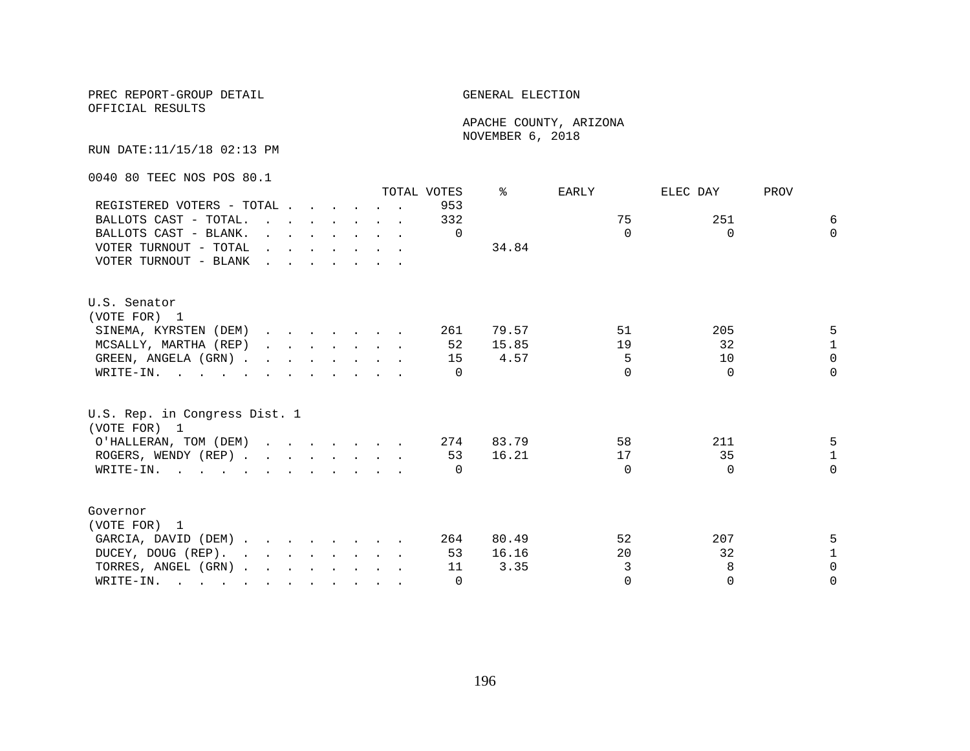## PREC REPORT-GROUP DETAIL **ELECTION**

OFFICIAL RESULTS

 APACHE COUNTY, ARIZONA NOVEMBER 6, 2018

RUN DATE:11/15/18 02:13 PM

0040 80 TEEC NOS POS 80.1

|                                                                                                       |                                                                                                                                                                                                                                   |                                                                          |  |  | TOTAL VOTES      | °     | EARLY    | ELEC DAY | PROV         |
|-------------------------------------------------------------------------------------------------------|-----------------------------------------------------------------------------------------------------------------------------------------------------------------------------------------------------------------------------------|--------------------------------------------------------------------------|--|--|------------------|-------|----------|----------|--------------|
| REGISTERED VOTERS - TOTAL                                                                             |                                                                                                                                                                                                                                   |                                                                          |  |  | 953              |       |          |          |              |
| BALLOTS CAST - TOTAL.                                                                                 | $\mathbf{r}$ . The contract of the contract of the contract of the contract of the contract of the contract of the contract of the contract of the contract of the contract of the contract of the contract of the contract of th |                                                                          |  |  | 332              |       | 75       | 251      | 6            |
| BALLOTS CAST - BLANK.                                                                                 |                                                                                                                                                                                                                                   | $\mathbf{r}$ , $\mathbf{r}$ , $\mathbf{r}$ , $\mathbf{r}$ , $\mathbf{r}$ |  |  | $\Omega$         |       | $\Omega$ | $\Omega$ | $\Omega$     |
| VOTER TURNOUT - TOTAL                                                                                 | $\mathbf{r}$ , and $\mathbf{r}$ , and $\mathbf{r}$ , and $\mathbf{r}$                                                                                                                                                             |                                                                          |  |  |                  | 34.84 |          |          |              |
| VOTER TURNOUT - BLANK                                                                                 | $\mathbf{r}$ . The set of the set of the set of the set of the set of the set of the set of the set of the set of the set of the set of the set of the set of the set of the set of the set of the set of the set of the set of t |                                                                          |  |  |                  |       |          |          |              |
| U.S. Senator                                                                                          |                                                                                                                                                                                                                                   |                                                                          |  |  |                  |       |          |          |              |
| (VOTE FOR) 1                                                                                          |                                                                                                                                                                                                                                   |                                                                          |  |  |                  |       |          |          |              |
| SINEMA, KYRSTEN (DEM)                                                                                 |                                                                                                                                                                                                                                   |                                                                          |  |  | 261              | 79.57 | 51       | 205      | 5            |
| MCSALLY, MARTHA (REP)                                                                                 |                                                                                                                                                                                                                                   |                                                                          |  |  | 52               | 15.85 | 19       | 32       | $\mathbf{1}$ |
| GREEN, ANGELA (GRN)                                                                                   |                                                                                                                                                                                                                                   |                                                                          |  |  | 15               | 4.57  | 5        | 10       | $\Omega$     |
| WRITE-IN.                                                                                             |                                                                                                                                                                                                                                   |                                                                          |  |  |                  |       | $\cap$   | $\Omega$ | $\Omega$     |
| U.S. Rep. in Congress Dist. 1<br>(VOTE FOR) 1                                                         |                                                                                                                                                                                                                                   |                                                                          |  |  |                  |       |          |          |              |
| O'HALLERAN, TOM (DEM)                                                                                 |                                                                                                                                                                                                                                   |                                                                          |  |  | 274              | 83.79 | 58       | 211      | 5.           |
| ROGERS, WENDY (REP)                                                                                   |                                                                                                                                                                                                                                   |                                                                          |  |  | 53               | 16.21 | 17       | 35       | $\mathbf{1}$ |
| WRITE-IN.                                                                                             |                                                                                                                                                                                                                                   |                                                                          |  |  | $\left( \right)$ |       | $\Omega$ | $\Omega$ | $\Omega$     |
| Governor                                                                                              |                                                                                                                                                                                                                                   |                                                                          |  |  |                  |       |          |          |              |
| (VOTE FOR) 1                                                                                          |                                                                                                                                                                                                                                   |                                                                          |  |  |                  |       |          |          |              |
| GARCIA, DAVID (DEM)                                                                                   |                                                                                                                                                                                                                                   |                                                                          |  |  | 264              | 80.49 | 52       | 207      | 5.           |
| DUCEY, DOUG (REP).                                                                                    |                                                                                                                                                                                                                                   |                                                                          |  |  | 53               | 16.16 | 20       | 32       | $\mathbf{1}$ |
| TORRES, ANGEL (GRN)                                                                                   |                                                                                                                                                                                                                                   |                                                                          |  |  | 11               | 3.35  | 3        | 8        | $\Omega$     |
| WRITE-IN.<br>$\mathbf{r}$ , and $\mathbf{r}$ , and $\mathbf{r}$ , and $\mathbf{r}$ , and $\mathbf{r}$ |                                                                                                                                                                                                                                   |                                                                          |  |  | $\Omega$         |       | $\Omega$ | $\Omega$ | $\Omega$     |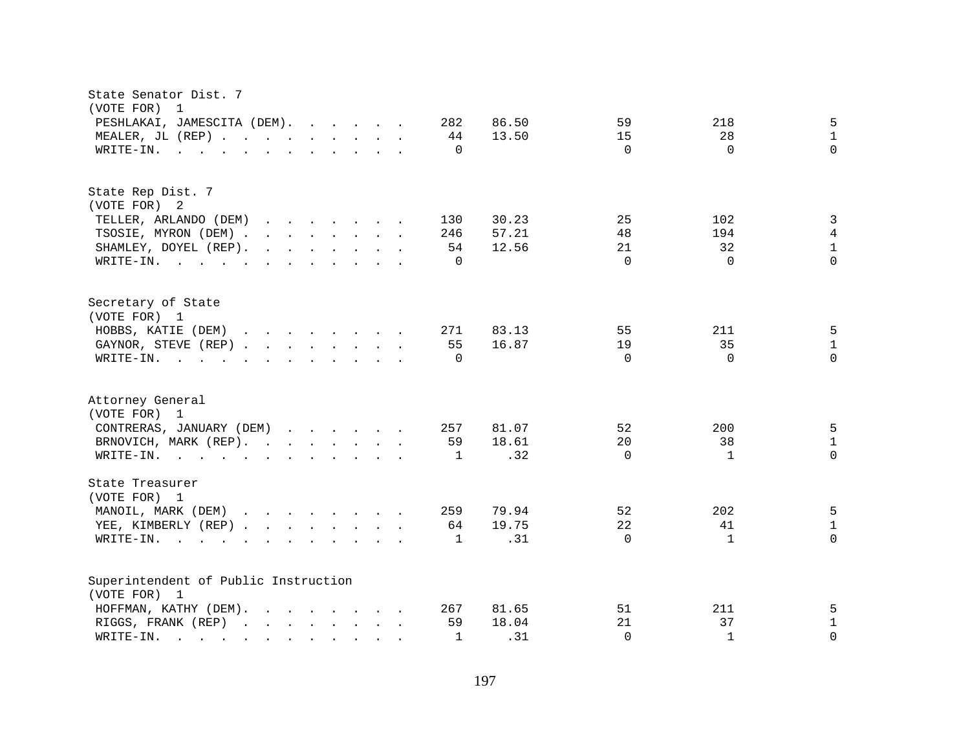| State Senator Dist. 7<br>(VOTE FOR)<br>$\overline{1}$                                                                                                                                                                                                                                                                                                                                                                                                                                                                                                                                      |                      |              |  |                              |                         |                            |                              |                                    |
|--------------------------------------------------------------------------------------------------------------------------------------------------------------------------------------------------------------------------------------------------------------------------------------------------------------------------------------------------------------------------------------------------------------------------------------------------------------------------------------------------------------------------------------------------------------------------------------------|----------------------|--------------|--|------------------------------|-------------------------|----------------------------|------------------------------|------------------------------------|
| PESHLAKAI, JAMESCITA (DEM).<br>MEALER, JL (REP)<br>WRITE-IN.<br>$\mathbf{r}$ , $\mathbf{r}$ , $\mathbf{r}$ , $\mathbf{r}$ , $\mathbf{r}$ , $\mathbf{r}$ , $\mathbf{r}$ , $\mathbf{r}$                                                                                                                                                                                                                                                                                                                                                                                                      |                      |              |  | 282<br>44<br>$\mathbf 0$     | 86.50<br>13.50          | 59<br>15<br>$\Omega$       | 218<br>28<br>$\Omega$        | 5<br>$\mathbf{1}$<br>$\Omega$      |
| State Rep Dist. 7<br>(VOTE FOR) 2<br>TELLER, ARLANDO (DEM)<br>$\mathbf{r}$ . The set of the set of the set of the set of the set of the set of the set of the set of the set of the set of the set of the set of the set of the set of the set of the set of the set of the set of the set of t<br>TSOSIE, MYRON (DEM)<br>SHAMLEY, DOYEL (REP).<br>$\mathbf{r}$ , $\mathbf{r}$ , $\mathbf{r}$ , $\mathbf{r}$ , $\mathbf{r}$ , $\mathbf{r}$<br>WRITE-IN.                                                                                                                                    |                      |              |  | 130<br>246<br>54<br>$\Omega$ | 30.23<br>57.21<br>12.56 | 25<br>48<br>21<br>$\Omega$ | 102<br>194<br>32<br>$\Omega$ | 3<br>4<br>$\mathbf{1}$<br>$\Omega$ |
| Secretary of State<br>(VOTE FOR) 1<br>HOBBS, KATIE (DEM)<br>GAYNOR, STEVE (REP)<br>WRITE-IN.<br>$\mathbf{r}$ , and $\mathbf{r}$ , and $\mathbf{r}$ , and $\mathbf{r}$ , and $\mathbf{r}$                                                                                                                                                                                                                                                                                                                                                                                                   |                      |              |  | 271<br>55<br>$\Omega$        | 83.13<br>16.87          | 55<br>19<br>$\Omega$       | 211<br>35<br>$\Omega$        | 5<br>$\mathbf{1}$<br>$\Omega$      |
| Attorney General<br>(VOTE FOR) 1<br>CONTRERAS, JANUARY (DEM)<br>BRNOVICH, MARK (REP).<br>WRITE-IN.                                                                                                                                                                                                                                                                                                                                                                                                                                                                                         |                      |              |  | 257<br>59<br>1               | 81.07<br>18.61<br>.32   | 52<br>20<br>$\Omega$       | 200<br>38<br>$\mathbf{1}$    | 5<br>$\mathbf 1$<br>$\Omega$       |
| State Treasurer<br>(VOTE FOR) 1<br>MANOIL, MARK (DEM)<br>YEE, KIMBERLY (REP)<br>WRITE-IN.<br>$\mathbf{r}$ , and $\mathbf{r}$ , and $\mathbf{r}$ , and $\mathbf{r}$ , and $\mathbf{r}$                                                                                                                                                                                                                                                                                                                                                                                                      |                      |              |  | 259<br>64<br>$\mathbf{1}$    | 79.94<br>19.75<br>.31   | 52<br>22<br>$\Omega$       | 202<br>41<br>$\mathbf{1}$    | 5<br>$\mathbf{1}$<br>$\Omega$      |
| Superintendent of Public Instruction<br>(VOTE FOR) 1<br>HOFFMAN, KATHY (DEM).<br><u>in the contract of the contract of the contract of the contract of the contract of the contract of the contract of the contract of the contract of the contract of the contract of the contract of the contract of the contra</u><br>RIGGS, FRANK (REP)<br>WRITE-IN.<br>and the contract of the contract of the contract of the contract of the contract of the contract of the contract of the contract of the contract of the contract of the contract of the contract of the contract of the contra | <b>Service</b> State | $\mathbf{L}$ |  | 267<br>59<br>1               | 81.65<br>18.04<br>.31   | 51<br>21<br>$\Omega$       | 211<br>37<br>$\mathbf{1}$    | 5<br>$\mathbf{1}$<br>$\Omega$      |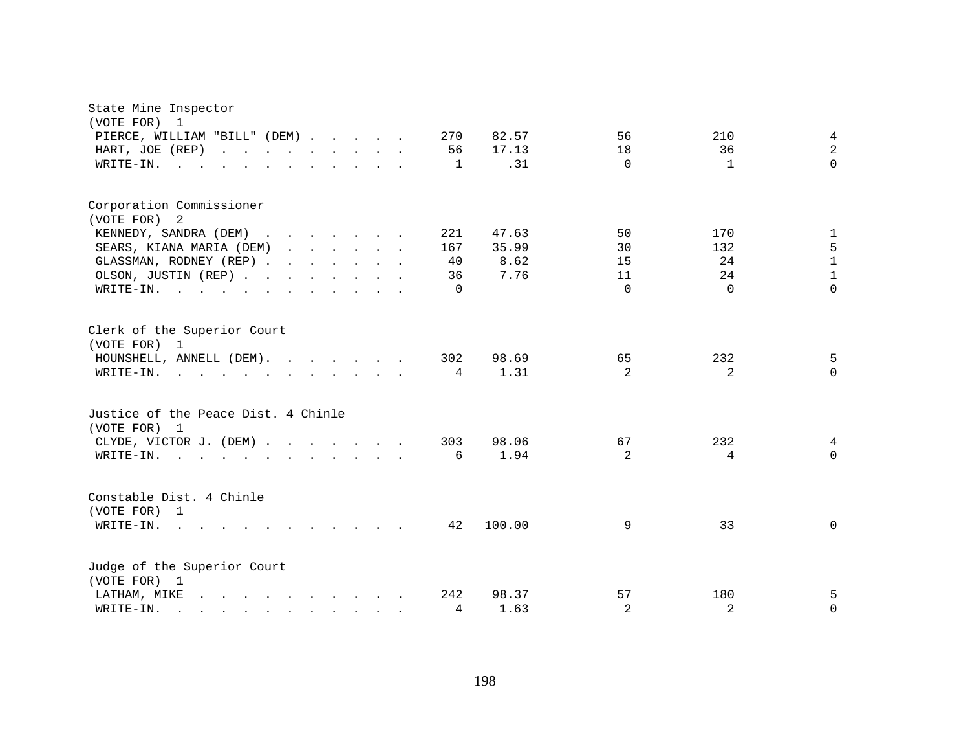| State Mine Inspector<br>(VOTE FOR) 1<br>PIERCE, WILLIAM "BILL" (DEM)<br>HART, JOE (REP)<br>WRITE-IN.                                                                 |  |  | 270<br>56<br>$\overline{1}$        | 82.57<br>17.13<br>.31          | 56<br>18<br>$\Omega$             | 210<br>36<br>$\mathbf{1}$          | 4<br>$\overline{2}$<br>$\Omega$                    |
|----------------------------------------------------------------------------------------------------------------------------------------------------------------------|--|--|------------------------------------|--------------------------------|----------------------------------|------------------------------------|----------------------------------------------------|
| Corporation Commissioner<br>(VOTE FOR) 2<br>KENNEDY, SANDRA (DEM)<br>SEARS, KIANA MARIA (DEM)<br>GLASSMAN, RODNEY (REP)<br>OLSON, JUSTIN (REP)<br>WRITE-IN.          |  |  | 221<br>167<br>40<br>36<br>$\Omega$ | 47.63<br>35.99<br>8.62<br>7.76 | 50<br>30<br>15<br>11<br>$\Omega$ | 170<br>132<br>24<br>24<br>$\Omega$ | 1<br>5<br>$\mathbf{1}$<br>$\mathbf{1}$<br>$\Omega$ |
| Clerk of the Superior Court<br>(VOTE FOR) 1<br>HOUNSHELL, ANNELL (DEM).<br>WRITE-IN.                                                                                 |  |  | 302<br>$\overline{4}$              | 98.69<br>1.31                  | 65<br>2                          | 232<br>2                           | 5<br>$\Omega$                                      |
| Justice of the Peace Dist. 4 Chinle<br>(VOTE FOR) 1<br>CLYDE, VICTOR J. (DEM)<br>WRITE-IN.                                                                           |  |  | 303<br>6                           | 98.06<br>1.94                  | 67<br>$\overline{2}$             | 232<br>4                           | 4<br>$\Omega$                                      |
| Constable Dist. 4 Chinle<br>(VOTE FOR) 1<br>WRITE-IN.                                                                                                                |  |  | 42                                 | 100.00                         | 9                                | 33                                 | 0                                                  |
| Judge of the Superior Court<br>(VOTE FOR) 1<br>LATHAM, MIKE<br>WRITE-IN.<br>$\mathbf{r}$ , and $\mathbf{r}$ , and $\mathbf{r}$ , and $\mathbf{r}$ , and $\mathbf{r}$ |  |  | 242<br>4                           | 98.37<br>1.63                  | 57<br>2                          | 180<br>2                           | 5<br>$\Omega$                                      |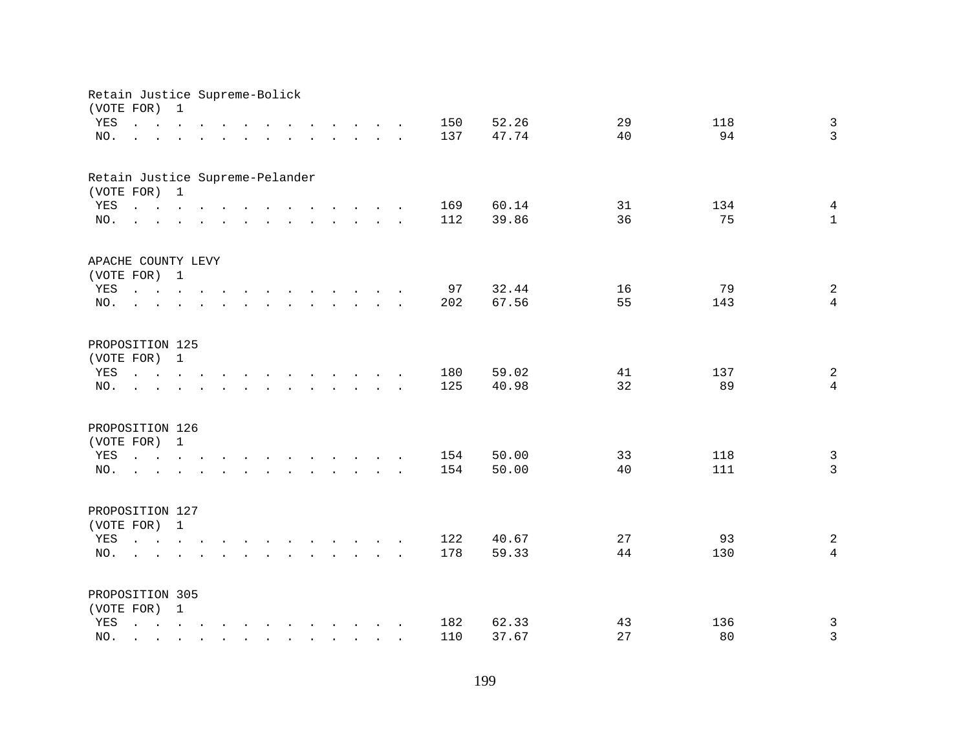| Retain Justice Supreme-Bolick<br>(VOTE FOR) |                                                                                                                                                                                | $\mathbf{1}$ |                                                                                                                    |                      |                                                                                                                                                                                                                                |                          |                                        |  |     |       |    |     |                |
|---------------------------------------------|--------------------------------------------------------------------------------------------------------------------------------------------------------------------------------|--------------|--------------------------------------------------------------------------------------------------------------------|----------------------|--------------------------------------------------------------------------------------------------------------------------------------------------------------------------------------------------------------------------------|--------------------------|----------------------------------------|--|-----|-------|----|-----|----------------|
| YES                                         | $\mathbf{r}$ , and $\mathbf{r}$ , and $\mathbf{r}$ , and $\mathbf{r}$ , and $\mathbf{r}$ , and $\mathbf{r}$                                                                    |              |                                                                                                                    |                      |                                                                                                                                                                                                                                |                          |                                        |  | 150 | 52.26 | 29 | 118 | $\mathbf{3}$   |
| NO.                                         | $\mathbf{r} = \mathbf{r} - \mathbf{r}$ , $\mathbf{r} = \mathbf{r} - \mathbf{r}$ , $\mathbf{r} = \mathbf{r} - \mathbf{r} - \mathbf{r}$ , $\mathbf{r} = \mathbf{r} - \mathbf{r}$ |              |                                                                                                                    |                      |                                                                                                                                                                                                                                |                          |                                        |  | 137 | 47.74 | 40 | 94  | $\overline{3}$ |
|                                             |                                                                                                                                                                                |              |                                                                                                                    |                      |                                                                                                                                                                                                                                |                          |                                        |  |     |       |    |     |                |
| Retain Justice Supreme-Pelander             |                                                                                                                                                                                |              |                                                                                                                    |                      |                                                                                                                                                                                                                                |                          |                                        |  |     |       |    |     |                |
| (VOTE FOR) 1                                |                                                                                                                                                                                |              |                                                                                                                    |                      |                                                                                                                                                                                                                                |                          |                                        |  |     |       |    |     |                |
| YES                                         | $\mathbf{r}$ , and $\mathbf{r}$ , and $\mathbf{r}$ , and $\mathbf{r}$ , and $\mathbf{r}$ , and $\mathbf{r}$                                                                    |              |                                                                                                                    |                      |                                                                                                                                                                                                                                |                          |                                        |  | 169 | 60.14 | 31 | 134 | $\overline{4}$ |
| NO.                                         | $\mathbf{r}$ , and $\mathbf{r}$ , and $\mathbf{r}$ , and $\mathbf{r}$ , and $\mathbf{r}$ , and $\mathbf{r}$                                                                    |              |                                                                                                                    |                      |                                                                                                                                                                                                                                |                          |                                        |  | 112 | 39.86 | 36 | 75  | $\mathbf{1}$   |
| APACHE COUNTY LEVY                          |                                                                                                                                                                                |              |                                                                                                                    |                      |                                                                                                                                                                                                                                |                          |                                        |  |     |       |    |     |                |
| (VOTE FOR) 1                                |                                                                                                                                                                                |              |                                                                                                                    |                      |                                                                                                                                                                                                                                |                          |                                        |  |     |       |    |     |                |
| YES                                         | the contract of the contract of the contract of the contract of the contract of the contract of the contract of                                                                |              |                                                                                                                    |                      |                                                                                                                                                                                                                                |                          |                                        |  | 97  | 32.44 | 16 | 79  | $\overline{a}$ |
| NO.                                         |                                                                                                                                                                                |              |                                                                                                                    |                      | $\mathbf{r}$ . The set of the set of $\mathbf{r}$                                                                                                                                                                              |                          |                                        |  | 202 | 67.56 | 55 | 143 | $\overline{4}$ |
|                                             |                                                                                                                                                                                |              |                                                                                                                    |                      |                                                                                                                                                                                                                                |                          |                                        |  |     |       |    |     |                |
| PROPOSITION 125                             |                                                                                                                                                                                |              |                                                                                                                    |                      |                                                                                                                                                                                                                                |                          |                                        |  |     |       |    |     |                |
| (VOTE FOR)                                  |                                                                                                                                                                                | $\mathbf{1}$ |                                                                                                                    |                      |                                                                                                                                                                                                                                |                          |                                        |  |     |       |    |     |                |
| YES                                         | the contract of the contract of the contract of the contract of the contract of the contract of the contract of                                                                |              |                                                                                                                    |                      |                                                                                                                                                                                                                                |                          |                                        |  | 180 | 59.02 | 41 | 137 | 2              |
| NO.                                         |                                                                                                                                                                                |              |                                                                                                                    | $\ddot{\phantom{a}}$ | and the contract of the contract of the contract of the contract of the contract of the contract of the contract of the contract of the contract of the contract of the contract of the contract of the contract of the contra |                          |                                        |  | 125 | 40.98 | 32 | 89  | $\overline{4}$ |
| PROPOSITION 126                             |                                                                                                                                                                                |              |                                                                                                                    |                      |                                                                                                                                                                                                                                |                          |                                        |  |     |       |    |     |                |
| (VOTE FOR) 1                                |                                                                                                                                                                                |              |                                                                                                                    |                      |                                                                                                                                                                                                                                |                          |                                        |  |     |       |    |     |                |
| YES                                         | $\mathbf{r}$ , and $\mathbf{r}$ , and $\mathbf{r}$ , and $\mathbf{r}$ , and $\mathbf{r}$ , and $\mathbf{r}$                                                                    |              |                                                                                                                    |                      |                                                                                                                                                                                                                                |                          |                                        |  | 154 | 50.00 | 33 | 118 | $\mathbf{3}$   |
| NO.                                         | $\mathbf{r}$ , and $\mathbf{r}$ , and $\mathbf{r}$ , and $\mathbf{r}$ , and $\mathbf{r}$ , and $\mathbf{r}$                                                                    |              |                                                                                                                    |                      |                                                                                                                                                                                                                                |                          |                                        |  | 154 | 50.00 | 40 | 111 | $\overline{3}$ |
|                                             |                                                                                                                                                                                |              |                                                                                                                    |                      |                                                                                                                                                                                                                                |                          |                                        |  |     |       |    |     |                |
| PROPOSITION 127                             |                                                                                                                                                                                |              |                                                                                                                    |                      |                                                                                                                                                                                                                                |                          |                                        |  |     |       |    |     |                |
| (VOTE FOR) 1                                |                                                                                                                                                                                |              |                                                                                                                    |                      |                                                                                                                                                                                                                                |                          |                                        |  |     |       |    |     |                |
| YES                                         |                                                                                                                                                                                |              |                                                                                                                    |                      |                                                                                                                                                                                                                                |                          |                                        |  | 122 | 40.67 | 27 | 93  | $\overline{a}$ |
| NO.                                         | <b>Contract Contract Contract</b>                                                                                                                                              |              | $\mathbf{r}$ and $\mathbf{r}$ and $\mathbf{r}$ and $\mathbf{r}$ and $\mathbf{r}$ and $\mathbf{r}$ and $\mathbf{r}$ |                      |                                                                                                                                                                                                                                |                          |                                        |  | 178 | 59.33 | 44 | 130 | $\overline{4}$ |
|                                             |                                                                                                                                                                                |              |                                                                                                                    |                      |                                                                                                                                                                                                                                |                          |                                        |  |     |       |    |     |                |
| PROPOSITION 305                             |                                                                                                                                                                                |              |                                                                                                                    |                      |                                                                                                                                                                                                                                |                          |                                        |  |     |       |    |     |                |
| (VOTE FOR) 1                                |                                                                                                                                                                                |              |                                                                                                                    |                      |                                                                                                                                                                                                                                |                          |                                        |  |     |       |    |     |                |
| YES                                         | $\mathbf{r} = \mathbf{r} - \mathbf{r}$ , $\mathbf{r} = \mathbf{r} - \mathbf{r}$ , $\mathbf{r} = \mathbf{r} - \mathbf{r} - \mathbf{r}$ , $\mathbf{r} = \mathbf{r} - \mathbf{r}$ |              |                                                                                                                    |                      |                                                                                                                                                                                                                                |                          |                                        |  | 182 | 62.33 | 43 | 136 | $\mathbf{3}$   |
| NO.                                         |                                                                                                                                                                                |              |                                                                                                                    |                      | $\sim$                                                                                                                                                                                                                         | <b>Contract Contract</b> | $\mathbf{r}$ . The set of $\mathbf{r}$ |  | 110 | 37.67 | 27 | 80  | $\mathbf{3}$   |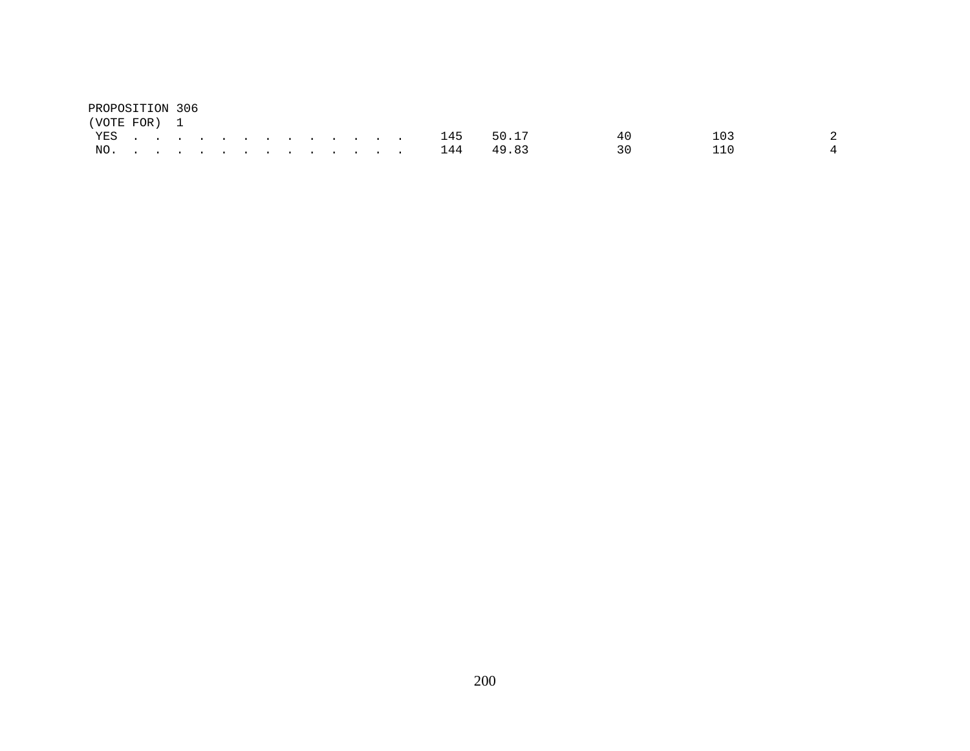| PROPOSITION 306 |  |  |  |  |  |  |  |               |      |      |                |
|-----------------|--|--|--|--|--|--|--|---------------|------|------|----------------|
| (VOTE FOR) 1    |  |  |  |  |  |  |  |               |      |      |                |
|                 |  |  |  |  |  |  |  | YES 145 50.17 | 40 D | 103  |                |
|                 |  |  |  |  |  |  |  | NO. 144 49.83 | 30 L | 11 N | $\overline{4}$ |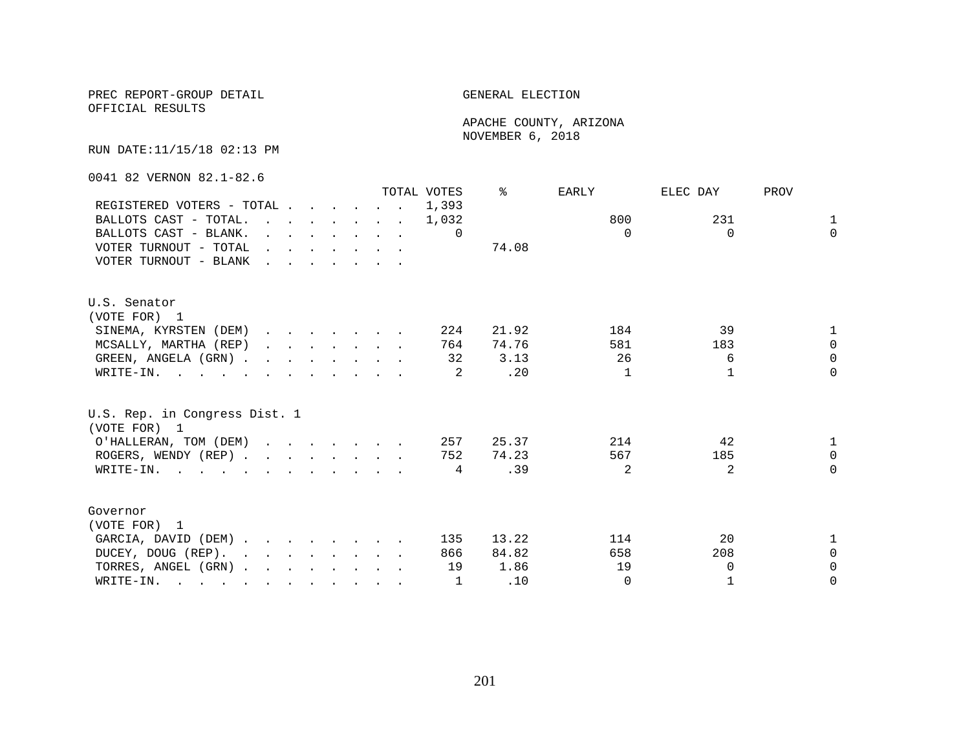PREC REPORT-GROUP DETAIL GENERAL ELECTION

OFFICIAL RESULTS

 APACHE COUNTY, ARIZONA NOVEMBER 6, 2018

RUN DATE:11/15/18 02:13 PM

0041 82 VERNON 82.1-82.6

|                                                                                                                          |                                                                                         |  |  |                                                                       | TOTAL VOTES | °     | EARLY          | ELEC DAY | PROV         |
|--------------------------------------------------------------------------------------------------------------------------|-----------------------------------------------------------------------------------------|--|--|-----------------------------------------------------------------------|-------------|-------|----------------|----------|--------------|
| REGISTERED VOTERS - TOTAL                                                                                                |                                                                                         |  |  |                                                                       | 1,393       |       |                |          |              |
| BALLOTS CAST - TOTAL.                                                                                                    |                                                                                         |  |  | $\mathbf{r}$ , and $\mathbf{r}$ , and $\mathbf{r}$ , and $\mathbf{r}$ | 1,032       |       | 800            | 231      | $\mathbf{1}$ |
| BALLOTS CAST - BLANK.                                                                                                    | $\mathbf{r}$ and $\mathbf{r}$ and $\mathbf{r}$ and $\mathbf{r}$ and $\mathbf{r}$        |  |  |                                                                       | 0           |       | $\Omega$       | $\Omega$ | $\Omega$     |
| VOTER TURNOUT - TOTAL                                                                                                    | $\mathbf{r}$ , $\mathbf{r}$ , $\mathbf{r}$ , $\mathbf{r}$ , $\mathbf{r}$ , $\mathbf{r}$ |  |  |                                                                       |             | 74.08 |                |          |              |
| VOTER TURNOUT - BLANK                                                                                                    |                                                                                         |  |  |                                                                       |             |       |                |          |              |
| U.S. Senator                                                                                                             |                                                                                         |  |  |                                                                       |             |       |                |          |              |
| (VOTE FOR) 1                                                                                                             |                                                                                         |  |  |                                                                       |             |       |                |          |              |
| SINEMA, KYRSTEN (DEM)                                                                                                    |                                                                                         |  |  |                                                                       | 224         | 21.92 | 184            | 39       | $\mathbf{1}$ |
| MCSALLY, MARTHA (REP)                                                                                                    | $\mathbf{r}$ , $\mathbf{r}$ , $\mathbf{r}$ , $\mathbf{r}$ , $\mathbf{r}$ , $\mathbf{r}$ |  |  |                                                                       | 764         | 74.76 | 581            | 183      | $\Omega$     |
| GREEN, ANGELA (GRN).                                                                                                     |                                                                                         |  |  |                                                                       | 32          | 3.13  | 26             | 6        | $\Omega$     |
| WRITE-IN.                                                                                                                |                                                                                         |  |  |                                                                       |             | .20   | 1              |          | $\Omega$     |
| U.S. Rep. in Congress Dist. 1<br>(VOTE FOR) 1                                                                            |                                                                                         |  |  |                                                                       |             |       |                |          |              |
| O'HALLERAN, TOM (DEM)                                                                                                    |                                                                                         |  |  |                                                                       | 257         | 25.37 | 214            | 42       | $\mathbf{1}$ |
| ROGERS, WENDY (REP)                                                                                                      |                                                                                         |  |  |                                                                       | 752         | 74.23 | 567            | 185      | $\Omega$     |
| WRITE-IN.                                                                                                                |                                                                                         |  |  |                                                                       | 4           | .39   | $\mathfrak{D}$ | 2        | $\Omega$     |
| Governor                                                                                                                 |                                                                                         |  |  |                                                                       |             |       |                |          |              |
| (VOTE FOR) 1                                                                                                             |                                                                                         |  |  |                                                                       |             |       |                |          |              |
| GARCIA, DAVID (DEM)                                                                                                      |                                                                                         |  |  |                                                                       | 135         | 13.22 | 114            | 20       | $\mathbf{1}$ |
| DUCEY, DOUG (REP).                                                                                                       |                                                                                         |  |  |                                                                       | 866         | 84.82 | 658            | 208      | $\Omega$     |
| TORRES, ANGEL (GRN)                                                                                                      |                                                                                         |  |  |                                                                       | 19          | 1.86  | 19             | $\Omega$ | $\Omega$     |
| WRITE-IN.<br>$\mathbf{r}$ , and $\mathbf{r}$ , and $\mathbf{r}$ , and $\mathbf{r}$ , and $\mathbf{r}$ , and $\mathbf{r}$ |                                                                                         |  |  |                                                                       | 1           | .10   | $\Omega$       |          | $\Omega$     |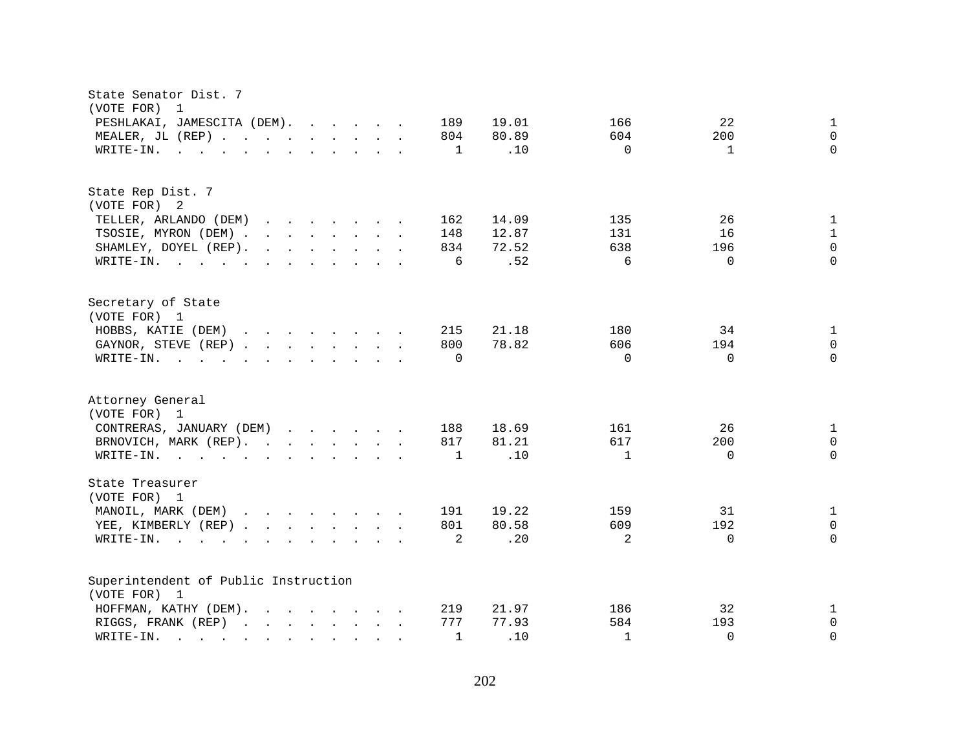| State Senator Dist. 7<br>(VOTE FOR)<br>$\overline{1}$                                                                                                                                                                                                                                                             |                                             |
|-------------------------------------------------------------------------------------------------------------------------------------------------------------------------------------------------------------------------------------------------------------------------------------------------------------------|---------------------------------------------|
| PESHLAKAI, JAMESCITA (DEM).<br>189                                                                                                                                                                                                                                                                                | 22<br>19.01<br>166<br>$\mathbf{1}$          |
| MEALER, JL (REP)<br>804                                                                                                                                                                                                                                                                                           | 80.89<br>604<br>200<br>$\mathbf 0$          |
| WRITE-IN.<br>$\mathbf{1}$<br>$\mathbf{r}$ , $\mathbf{r}$ , $\mathbf{r}$ , $\mathbf{r}$ , $\mathbf{r}$ , $\mathbf{r}$ , $\mathbf{r}$ , $\mathbf{r}$                                                                                                                                                                | $\Omega$<br>.10<br>$\Omega$<br>$\mathbf{1}$ |
| State Rep Dist. 7                                                                                                                                                                                                                                                                                                 |                                             |
| (VOTE FOR) 2                                                                                                                                                                                                                                                                                                      |                                             |
| TELLER, ARLANDO (DEM)<br>162<br>$\mathbf{r} = \mathbf{r} \cdot \mathbf{r}$ , where $\mathbf{r} = \mathbf{r} \cdot \mathbf{r}$                                                                                                                                                                                     | 14.09<br>135<br>26<br>$\mathbf{1}$          |
| TSOSIE, MYRON (DEM).<br>$\mathbf{r}$ , $\mathbf{r}$ , $\mathbf{r}$ , $\mathbf{r}$ , $\mathbf{r}$ , $\mathbf{r}$<br>148                                                                                                                                                                                            | 12.87<br>131<br>16<br>$\mathbf{1}$          |
| SHAMLEY, DOYEL (REP).<br>$\mathbf{r}$ . The contract of the contract of the contract of the contract of the contract of the contract of the contract of the contract of the contract of the contract of the contract of the contract of the contract of th<br>834                                                 | $\mathbf 0$<br>638<br>196<br>72.52          |
| WRITE-IN.<br>6                                                                                                                                                                                                                                                                                                    | .52<br>$\Omega$<br>$\Omega$<br>6            |
| Secretary of State                                                                                                                                                                                                                                                                                                |                                             |
| (VOTE FOR) 1                                                                                                                                                                                                                                                                                                      |                                             |
| HOBBS, KATIE (DEM)<br>$\mathbf{r}$ . The contract of the contract of the contract of the contract of the contract of the contract of the contract of the contract of the contract of the contract of the contract of the contract of the contract of th<br>215                                                    | 21.18<br>34<br>180<br>$\mathbf{1}$          |
| GAYNOR, STEVE (REP)<br>800                                                                                                                                                                                                                                                                                        | 78.82<br>606<br>194<br>$\mathbf 0$          |
| $\Omega$<br>WRITE-IN.<br>$\mathbf{r}$ , and $\mathbf{r}$ , and $\mathbf{r}$ , and $\mathbf{r}$ , and $\mathbf{r}$                                                                                                                                                                                                 | $\Omega$<br>$\Omega$<br>$\Omega$            |
| Attorney General                                                                                                                                                                                                                                                                                                  |                                             |
| (VOTE FOR) 1                                                                                                                                                                                                                                                                                                      |                                             |
| CONTRERAS, JANUARY (DEM)<br>188                                                                                                                                                                                                                                                                                   | 18.69<br>26<br>161<br>$\mathbf{1}$          |
| BRNOVICH, MARK (REP).<br>817                                                                                                                                                                                                                                                                                      | 617<br>200<br>81.21<br>0                    |
| $\mathbf{1}$<br>WRITE-IN.<br>$\mathbf{r}$ , and $\mathbf{r}$ , and $\mathbf{r}$ , and $\mathbf{r}$ , and $\mathbf{r}$                                                                                                                                                                                             | $\Omega$<br>.10<br>$\mathbf{1}$<br>$\Omega$ |
| State Treasurer<br>(VOTE FOR) 1                                                                                                                                                                                                                                                                                   |                                             |
| MANOIL, MARK (DEM)<br>191                                                                                                                                                                                                                                                                                         | 19.22<br>159<br>31<br>$\mathbf{1}$          |
| YEE, KIMBERLY (REP)<br>801                                                                                                                                                                                                                                                                                        | 80.58<br>609<br>192<br>$\mathbf 0$          |
| 2<br>WRITE-IN.<br>$\sim$ $\sim$ $\sim$ $\sim$ $\sim$<br>$\mathbf{r}$ . The contract of the contract of the contract of the contract of the contract of the contract of the contract of the contract of the contract of the contract of the contract of the contract of the contract of th<br>$\ddot{\phantom{a}}$ | 2<br>$\Omega$<br>.20<br>$\Omega$            |
|                                                                                                                                                                                                                                                                                                                   |                                             |
| Superintendent of Public Instruction                                                                                                                                                                                                                                                                              |                                             |
| (VOTE FOR) 1                                                                                                                                                                                                                                                                                                      |                                             |
| 219<br>HOFFMAN, KATHY (DEM).<br>$\mathbf{r}$ , $\mathbf{r}$ , $\mathbf{r}$ , $\mathbf{r}$ , $\mathbf{r}$ , $\mathbf{r}$                                                                                                                                                                                           | 21.97<br>186<br>32<br>1                     |
| RIGGS, FRANK (REP)<br>777<br>$\mathbf{r}$ , $\mathbf{r}$ , $\mathbf{r}$ , $\mathbf{r}$ , $\mathbf{r}$ , $\mathbf{r}$ , $\mathbf{r}$                                                                                                                                                                               | 77.93<br>$\mathbf 0$<br>584<br>193          |
| $\mathbf{1}$<br>WRITE-IN.<br>and the contract of the contract of                                                                                                                                                                                                                                                  | $\Omega$<br>.10<br>$\mathbf{1}$<br>$\Omega$ |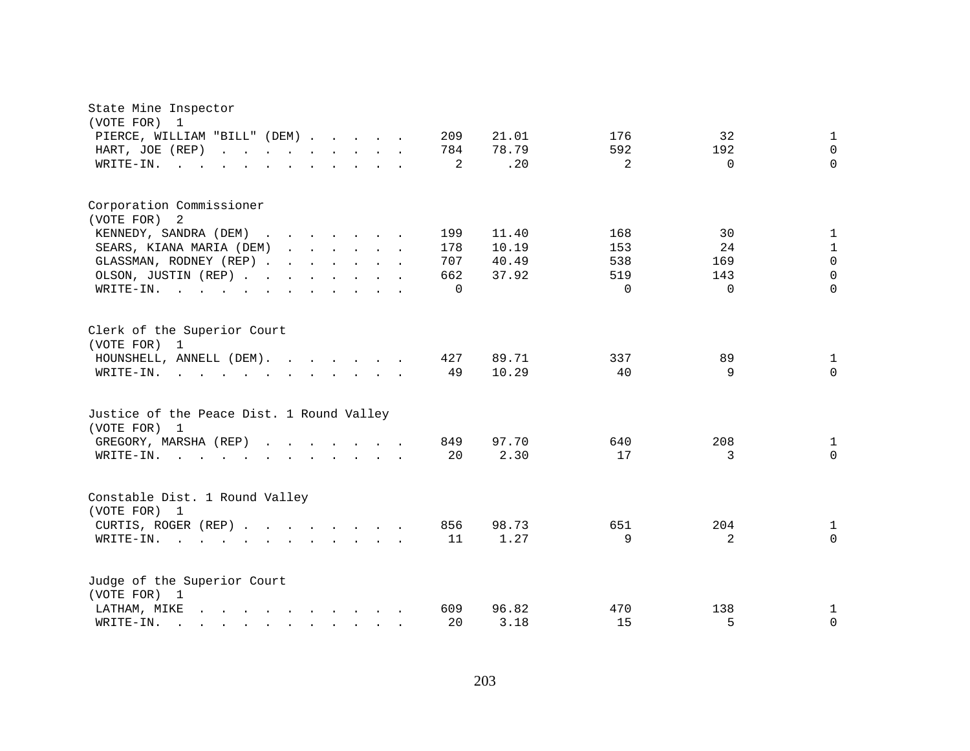| State Mine Inspector                                                                                                                     |          |       |          |                |              |
|------------------------------------------------------------------------------------------------------------------------------------------|----------|-------|----------|----------------|--------------|
| (VOTE FOR)<br>1<br>PIERCE, WILLIAM "BILL" (DEM)                                                                                          | 209      | 21.01 | 176      | 32             | $\mathbf 1$  |
| HART, JOE (REP)                                                                                                                          | 784      | 78.79 | 592      | 192            | $\Omega$     |
| and the contract of the contract of<br>$\cdot$ $\cdot$<br>WRITE-IN.<br>$\sim$ $\sim$                                                     | 2        | .20   | 2        | $\Omega$       | $\Omega$     |
|                                                                                                                                          |          |       |          |                |              |
| Corporation Commissioner                                                                                                                 |          |       |          |                |              |
| (VOTE FOR) 2                                                                                                                             |          |       |          |                |              |
| KENNEDY, SANDRA (DEM)<br>$\mathbf{r}$ , $\mathbf{r}$ , $\mathbf{r}$ , $\mathbf{r}$ , $\mathbf{r}$<br>$\sim$                              | 199      | 11.40 | 168      | 30             | $\mathbf{1}$ |
| SEARS, KIANA MARIA (DEM)<br>$\mathbf{r}$ and $\mathbf{r}$ and $\mathbf{r}$ and $\mathbf{r}$                                              | 178      | 10.19 | 153      | 24             | $\mathbf{1}$ |
| GLASSMAN, RODNEY (REP)                                                                                                                   | 707      | 40.49 | 538      | 169            | $\mathbf 0$  |
| OLSON, JUSTIN (REP)                                                                                                                      | 662      | 37.92 | 519      | 143            | $\mathbf 0$  |
| WRITE-IN.<br>$\sim$                                                                                                                      | $\Omega$ |       | $\Omega$ | $\Omega$       | $\Omega$     |
| Clerk of the Superior Court<br>(VOTE FOR) 1                                                                                              |          |       |          |                |              |
| HOUNSHELL, ANNELL (DEM).                                                                                                                 | 427      | 89.71 | 337      | 89             | $\mathbf{1}$ |
| WRITE-IN.<br>$\mathbf{r}$ , and $\mathbf{r}$ , and $\mathbf{r}$ , and $\mathbf{r}$ , and $\mathbf{r}$                                    | 49       | 10.29 | 40       | 9              | $\Omega$     |
| Justice of the Peace Dist. 1 Round Valley<br>(VOTE FOR) 1                                                                                |          |       |          |                |              |
| GREGORY, MARSHA (REP)<br>$\mathbf{r}$ , $\mathbf{r}$ , $\mathbf{r}$ , $\mathbf{r}$ , $\mathbf{r}$                                        | 849      | 97.70 | 640      | 208            | 1            |
| WRITE-IN.                                                                                                                                | 20       | 2.30  | 17       | 3              | $\Omega$     |
| Constable Dist. 1 Round Valley<br>(VOTE FOR) 1                                                                                           |          |       |          |                |              |
| CURTIS, ROGER (REP)                                                                                                                      | 856      | 98.73 | 651      | 204            | $\mathbf{1}$ |
| WRITE-IN.<br>$\mathbf{r}$ . The contract of $\mathbf{r}$                                                                                 | 11       | 1.27  | 9        | $\overline{2}$ | $\Omega$     |
| Judge of the Superior Court<br>(VOTE FOR) 1                                                                                              |          |       |          |                |              |
| $\mathbf{r} = \mathbf{r} - \mathbf{r}$ , $\mathbf{r} = \mathbf{r} - \mathbf{r}$ , $\mathbf{r} = \mathbf{r} - \mathbf{r}$<br>LATHAM, MIKE | 609      | 96.82 | 470      | 138            | 1            |
| WRITE-IN.<br>$\mathbf{r}$ , $\mathbf{r}$ , $\mathbf{r}$ , $\mathbf{r}$ , $\mathbf{r}$ , $\mathbf{r}$ , $\mathbf{r}$                      | 20       | 3.18  | 15       | 5              | $\mathbf 0$  |
|                                                                                                                                          |          |       |          |                |              |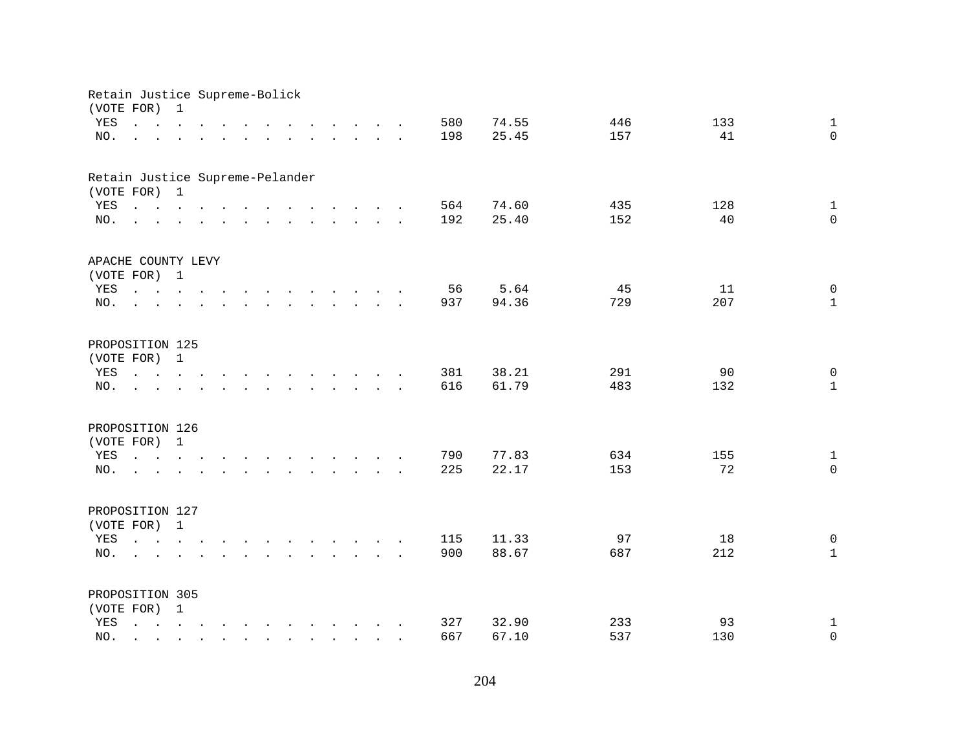| Retain Justice Supreme-Bolick<br>(VOTE FOR) |                                                                                                                                                                                | $\mathbf 1$  |        |  |                                                                                                                                                                                                                                      |                                                                                                                                                                                                                                   |                             |  |        |     |       |     |     |                |
|---------------------------------------------|--------------------------------------------------------------------------------------------------------------------------------------------------------------------------------|--------------|--------|--|--------------------------------------------------------------------------------------------------------------------------------------------------------------------------------------------------------------------------------------|-----------------------------------------------------------------------------------------------------------------------------------------------------------------------------------------------------------------------------------|-----------------------------|--|--------|-----|-------|-----|-----|----------------|
| YES                                         | $\mathbf{r}$ , $\mathbf{r}$ , $\mathbf{r}$ , $\mathbf{r}$ , $\mathbf{r}$                                                                                                       |              |        |  |                                                                                                                                                                                                                                      | $\mathbf{r}$ . The contract of the contract of the contract of the contract of the contract of the contract of the contract of the contract of the contract of the contract of the contract of the contract of the contract of th |                             |  |        | 580 | 74.55 | 446 | 133 | $\mathbf{1}$   |
| NO.                                         |                                                                                                                                                                                | $\sim$       |        |  | $\mathbf{r}$ and $\mathbf{r}$ are the set of the set of the set of the set of the set of the set of the set of the set of the set of the set of the set of the set of the set of the set of the set of the set of the set of the set |                                                                                                                                                                                                                                   |                             |  |        | 198 | 25.45 | 157 | 41  | $\Omega$       |
|                                             |                                                                                                                                                                                |              |        |  |                                                                                                                                                                                                                                      |                                                                                                                                                                                                                                   |                             |  |        |     |       |     |     |                |
| Retain Justice Supreme-Pelander             |                                                                                                                                                                                |              |        |  |                                                                                                                                                                                                                                      |                                                                                                                                                                                                                                   |                             |  |        |     |       |     |     |                |
| (VOTE FOR) 1                                |                                                                                                                                                                                |              |        |  |                                                                                                                                                                                                                                      |                                                                                                                                                                                                                                   |                             |  |        |     |       |     |     |                |
| YES                                         | $\mathbf{r}$ , $\mathbf{r}$ , $\mathbf{r}$ , $\mathbf{r}$ , $\mathbf{r}$ , $\mathbf{r}$ , $\mathbf{r}$ , $\mathbf{r}$ , $\mathbf{r}$ , $\mathbf{r}$                            |              |        |  |                                                                                                                                                                                                                                      |                                                                                                                                                                                                                                   |                             |  |        | 564 | 74.60 | 435 | 128 | $\mathbf{1}$   |
| NO.                                         | $\mathbf{r}$ , and $\mathbf{r}$ , and $\mathbf{r}$ , and $\mathbf{r}$ , and $\mathbf{r}$ , and $\mathbf{r}$                                                                    |              |        |  |                                                                                                                                                                                                                                      |                                                                                                                                                                                                                                   |                             |  |        | 192 | 25.40 | 152 | 40  | $\Omega$       |
| APACHE COUNTY LEVY                          |                                                                                                                                                                                |              |        |  |                                                                                                                                                                                                                                      |                                                                                                                                                                                                                                   |                             |  |        |     |       |     |     |                |
| (VOTE FOR) 1                                |                                                                                                                                                                                |              |        |  |                                                                                                                                                                                                                                      |                                                                                                                                                                                                                                   |                             |  |        |     |       |     |     |                |
| YES                                         | design and a strain of the state of the state of the                                                                                                                           |              |        |  |                                                                                                                                                                                                                                      |                                                                                                                                                                                                                                   |                             |  |        | 56  | 5.64  | 45  | 11  | $\mathsf{O}$   |
| NO.                                         | $\mathcal{L}^{\text{max}}$                                                                                                                                                     |              |        |  | $\mathbf{r}$ , and $\mathbf{r}$ , and $\mathbf{r}$ , and $\mathbf{r}$ , and $\mathbf{r}$                                                                                                                                             |                                                                                                                                                                                                                                   |                             |  |        | 937 | 94.36 | 729 | 207 | $\mathbf{1}$   |
|                                             |                                                                                                                                                                                |              |        |  |                                                                                                                                                                                                                                      |                                                                                                                                                                                                                                   |                             |  |        |     |       |     |     |                |
| PROPOSITION 125                             |                                                                                                                                                                                |              |        |  |                                                                                                                                                                                                                                      |                                                                                                                                                                                                                                   |                             |  |        |     |       |     |     |                |
| (VOTE FOR)                                  |                                                                                                                                                                                | $\mathbf{1}$ |        |  |                                                                                                                                                                                                                                      |                                                                                                                                                                                                                                   |                             |  |        |     |       |     |     |                |
| YES                                         |                                                                                                                                                                                |              | $\sim$ |  |                                                                                                                                                                                                                                      |                                                                                                                                                                                                                                   | $\sim$ $\sim$ $\sim$ $\sim$ |  | $\sim$ | 381 | 38.21 | 291 | 90  | $\mathsf{O}$   |
| NO.                                         |                                                                                                                                                                                |              |        |  |                                                                                                                                                                                                                                      |                                                                                                                                                                                                                                   |                             |  |        | 616 | 61.79 | 483 | 132 | $\mathbf{1}$   |
| PROPOSITION 126                             |                                                                                                                                                                                |              |        |  |                                                                                                                                                                                                                                      |                                                                                                                                                                                                                                   |                             |  |        |     |       |     |     |                |
| (VOTE FOR)                                  |                                                                                                                                                                                | $\mathbf{1}$ |        |  |                                                                                                                                                                                                                                      |                                                                                                                                                                                                                                   |                             |  |        |     |       |     |     |                |
| YES                                         | $\mathbf{r} = \mathbf{r} - \mathbf{r}$ , and $\mathbf{r} = \mathbf{r} - \mathbf{r}$ , and $\mathbf{r} = \mathbf{r} - \mathbf{r}$ , and $\mathbf{r} = \mathbf{r} - \mathbf{r}$  |              |        |  |                                                                                                                                                                                                                                      |                                                                                                                                                                                                                                   |                             |  |        | 790 | 77.83 | 634 | 155 | $\mathbf{1}$   |
| NO.                                         | $\sim$ $\sim$ $\sim$                                                                                                                                                           |              |        |  | $\mathbf{r}$ , $\mathbf{r}$ , $\mathbf{r}$ , $\mathbf{r}$ , $\mathbf{r}$ , $\mathbf{r}$ , $\mathbf{r}$ , $\mathbf{r}$                                                                                                                |                                                                                                                                                                                                                                   |                             |  |        | 225 | 22.17 | 153 | 72  | $\Omega$       |
|                                             |                                                                                                                                                                                |              |        |  |                                                                                                                                                                                                                                      |                                                                                                                                                                                                                                   |                             |  |        |     |       |     |     |                |
| PROPOSITION 127                             |                                                                                                                                                                                |              |        |  |                                                                                                                                                                                                                                      |                                                                                                                                                                                                                                   |                             |  |        |     |       |     |     |                |
| (VOTE FOR) 1                                |                                                                                                                                                                                |              |        |  |                                                                                                                                                                                                                                      |                                                                                                                                                                                                                                   |                             |  |        |     |       |     |     |                |
| YES                                         | $\mathbf{r} = \mathbf{r} - \mathbf{r}$ , $\mathbf{r} = \mathbf{r} - \mathbf{r}$ , $\mathbf{r} = \mathbf{r} - \mathbf{r} - \mathbf{r}$ , $\mathbf{r} = \mathbf{r} - \mathbf{r}$ |              |        |  |                                                                                                                                                                                                                                      |                                                                                                                                                                                                                                   |                             |  |        | 115 | 11.33 | 97  | 18  | $\mathbf 0$    |
| NO.                                         | $\mathbf{L}$                                                                                                                                                                   |              |        |  | $\mathbf{r} = \mathbf{r} - \mathbf{r}$ , $\mathbf{r} = \mathbf{r} - \mathbf{r}$ , $\mathbf{r} = \mathbf{r} - \mathbf{r} - \mathbf{r}$                                                                                                |                                                                                                                                                                                                                                   |                             |  |        | 900 | 88.67 | 687 | 212 | $\mathbf{1}$   |
|                                             |                                                                                                                                                                                |              |        |  |                                                                                                                                                                                                                                      |                                                                                                                                                                                                                                   |                             |  |        |     |       |     |     |                |
| PROPOSITION 305                             |                                                                                                                                                                                |              |        |  |                                                                                                                                                                                                                                      |                                                                                                                                                                                                                                   |                             |  |        |     |       |     |     |                |
| (VOTE FOR)                                  |                                                                                                                                                                                | $\mathbf{1}$ |        |  |                                                                                                                                                                                                                                      |                                                                                                                                                                                                                                   |                             |  |        |     |       |     |     |                |
| YES                                         | $\mathbf{L}$                                                                                                                                                                   |              |        |  | $\mathbf{r} = \mathbf{r} - \mathbf{r}$ , $\mathbf{r} = \mathbf{r} - \mathbf{r}$ , $\mathbf{r} = \mathbf{r} - \mathbf{r} - \mathbf{r}$                                                                                                |                                                                                                                                                                                                                                   |                             |  |        | 327 | 32.90 | 233 | 93  | $\mathbf 1$    |
| NO.                                         |                                                                                                                                                                                |              |        |  |                                                                                                                                                                                                                                      | $\mathbf{r}$ , $\mathbf{r}$ , $\mathbf{r}$ , $\mathbf{r}$                                                                                                                                                                         |                             |  |        | 667 | 67.10 | 537 | 130 | $\overline{0}$ |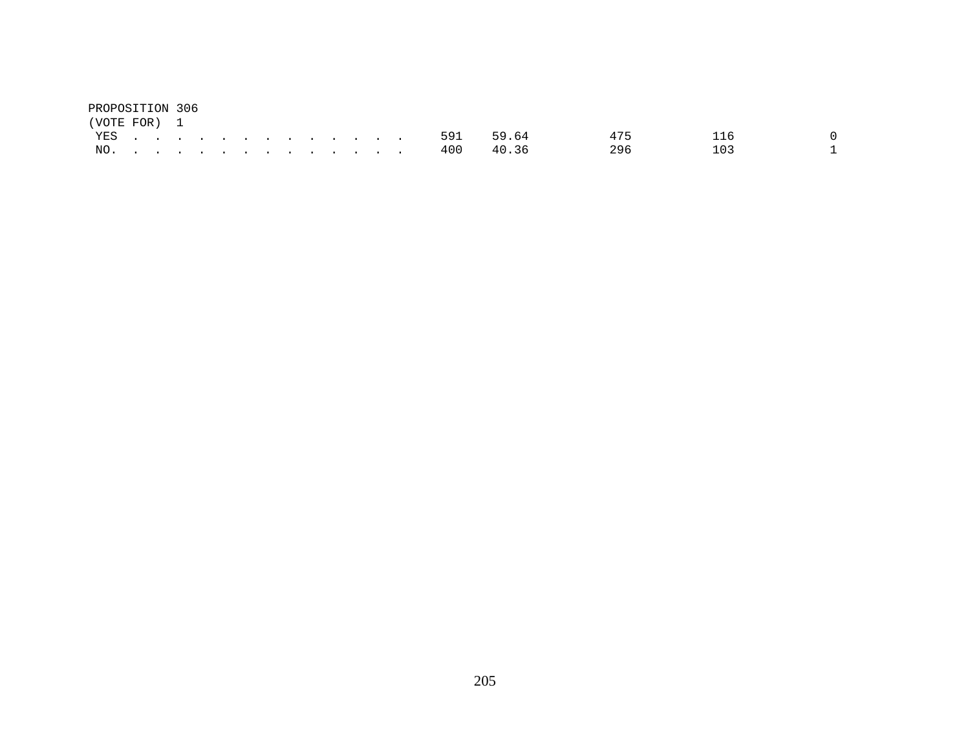| PROPOSITION 306 |  |  |  |  |  |  |               |               |     |     |  |
|-----------------|--|--|--|--|--|--|---------------|---------------|-----|-----|--|
| (VOTE FOR) 1    |  |  |  |  |  |  |               |               |     |     |  |
|                 |  |  |  |  |  |  |               | YES 591 59.64 | 475 | 116 |  |
|                 |  |  |  |  |  |  | NO. 400 40.36 |               | 296 | 103 |  |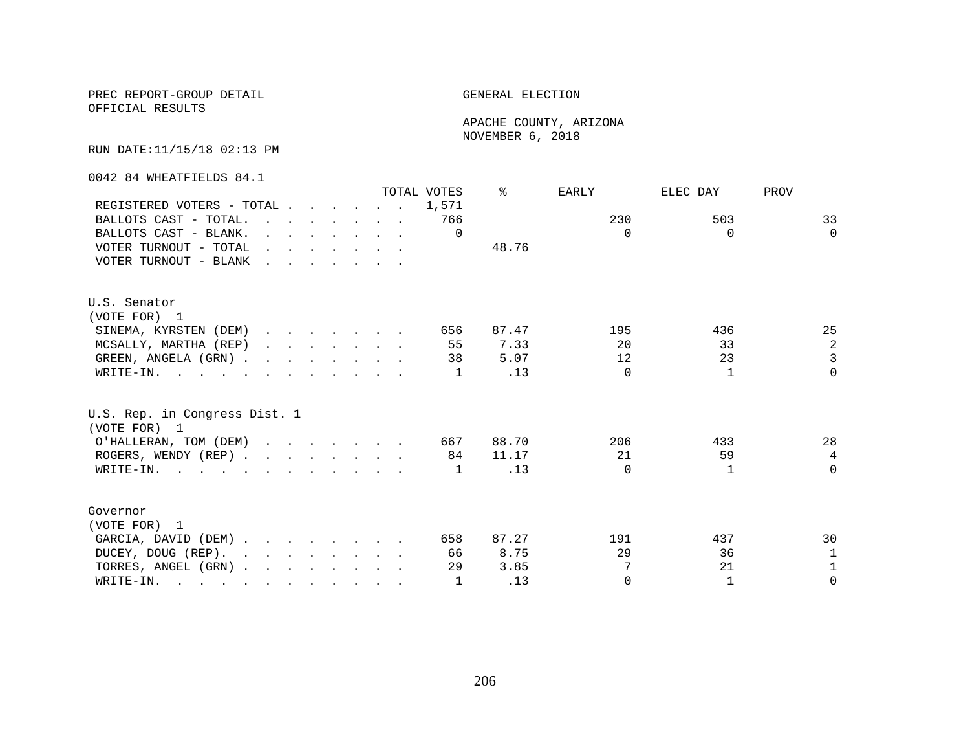## PREC REPORT-GROUP DETAIL **ELECTION**

OFFICIAL RESULTS

 APACHE COUNTY, ARIZONA NOVEMBER 6, 2018

RUN DATE:11/15/18 02:13 PM

0042 84 WHEATFIELDS 84.1

|                                                                                                       |                                                                                                                                                                                                                                   |  |  |                                                                                                                                                                                                                                      | TOTAL VOTES | ిన    | EARLY    | ELEC DAY     | PROV           |
|-------------------------------------------------------------------------------------------------------|-----------------------------------------------------------------------------------------------------------------------------------------------------------------------------------------------------------------------------------|--|--|--------------------------------------------------------------------------------------------------------------------------------------------------------------------------------------------------------------------------------------|-------------|-------|----------|--------------|----------------|
| REGISTERED VOTERS - TOTAL                                                                             |                                                                                                                                                                                                                                   |  |  |                                                                                                                                                                                                                                      | 1,571       |       |          |              |                |
| BALLOTS CAST - TOTAL.                                                                                 | $\mathbf{r}$ . The contract of the contract of the contract of the contract of the contract of the contract of the contract of the contract of the contract of the contract of the contract of the contract of the contract of th |  |  |                                                                                                                                                                                                                                      | 766         |       | 230      | 503          | 33             |
| BALLOTS CAST - BLANK.                                                                                 |                                                                                                                                                                                                                                   |  |  | $\mathbf{r}$ and $\mathbf{r}$ and $\mathbf{r}$ and $\mathbf{r}$ and $\mathbf{r}$                                                                                                                                                     | $\Omega$    |       | $\Omega$ | $\Omega$     | $\Omega$       |
| VOTER TURNOUT - TOTAL                                                                                 |                                                                                                                                                                                                                                   |  |  | $\mathbf{r}$ and $\mathbf{r}$ are the set of the set of the set of the set of the set of the set of the set of the set of the set of the set of the set of the set of the set of the set of the set of the set of the set of the set |             | 48.76 |          |              |                |
| VOTER TURNOUT - BLANK                                                                                 | <u>and the second contract of the second second</u>                                                                                                                                                                               |  |  |                                                                                                                                                                                                                                      |             |       |          |              |                |
| U.S. Senator                                                                                          |                                                                                                                                                                                                                                   |  |  |                                                                                                                                                                                                                                      |             |       |          |              |                |
| (VOTE FOR) 1                                                                                          |                                                                                                                                                                                                                                   |  |  |                                                                                                                                                                                                                                      |             |       |          |              |                |
| SINEMA, KYRSTEN (DEM)                                                                                 |                                                                                                                                                                                                                                   |  |  |                                                                                                                                                                                                                                      | 656         | 87.47 | 195      | 436          | 25             |
| MCSALLY, MARTHA (REP)                                                                                 |                                                                                                                                                                                                                                   |  |  | $\mathbf{r}$ , $\mathbf{r}$ , $\mathbf{r}$ , $\mathbf{r}$ , $\mathbf{r}$                                                                                                                                                             | 55          | 7.33  | 20       | 33           | $\sqrt{2}$     |
| GREEN, ANGELA (GRN).                                                                                  |                                                                                                                                                                                                                                   |  |  |                                                                                                                                                                                                                                      | 38          | 5.07  | 12       | 23           | $\overline{3}$ |
| WRITE-IN.                                                                                             |                                                                                                                                                                                                                                   |  |  |                                                                                                                                                                                                                                      | 1           | .13   | $\Omega$ | 1            | $\Omega$       |
| U.S. Rep. in Congress Dist. 1<br>(VOTE FOR) 1                                                         |                                                                                                                                                                                                                                   |  |  |                                                                                                                                                                                                                                      |             |       |          |              |                |
| O'HALLERAN, TOM (DEM)                                                                                 |                                                                                                                                                                                                                                   |  |  |                                                                                                                                                                                                                                      | 667         | 88.70 | 206      | 433          | 28             |
| ROGERS, WENDY (REP)                                                                                   |                                                                                                                                                                                                                                   |  |  |                                                                                                                                                                                                                                      | 84          | 11.17 | 21       | 59           | $\overline{4}$ |
| WRITE-IN.                                                                                             |                                                                                                                                                                                                                                   |  |  |                                                                                                                                                                                                                                      | 1           | .13   | $\Omega$ | $\mathbf{1}$ | $\Omega$       |
| Governor                                                                                              |                                                                                                                                                                                                                                   |  |  |                                                                                                                                                                                                                                      |             |       |          |              |                |
| (VOTE FOR) 1                                                                                          |                                                                                                                                                                                                                                   |  |  |                                                                                                                                                                                                                                      |             |       |          |              |                |
| GARCIA, DAVID (DEM)                                                                                   |                                                                                                                                                                                                                                   |  |  |                                                                                                                                                                                                                                      | 658         | 87.27 | 191      | 437          | 30             |
| DUCEY, DOUG (REP).                                                                                    |                                                                                                                                                                                                                                   |  |  |                                                                                                                                                                                                                                      | 66          | 8.75  | 29       | 36           | 1              |
| TORRES, ANGEL (GRN)                                                                                   |                                                                                                                                                                                                                                   |  |  |                                                                                                                                                                                                                                      | 29          | 3.85  | 7        | 21           | $\mathbf{1}$   |
| WRITE-IN.<br>$\mathbf{r}$ , and $\mathbf{r}$ , and $\mathbf{r}$ , and $\mathbf{r}$ , and $\mathbf{r}$ |                                                                                                                                                                                                                                   |  |  |                                                                                                                                                                                                                                      |             | .13   | $\Omega$ | $\mathbf{1}$ | $\Omega$       |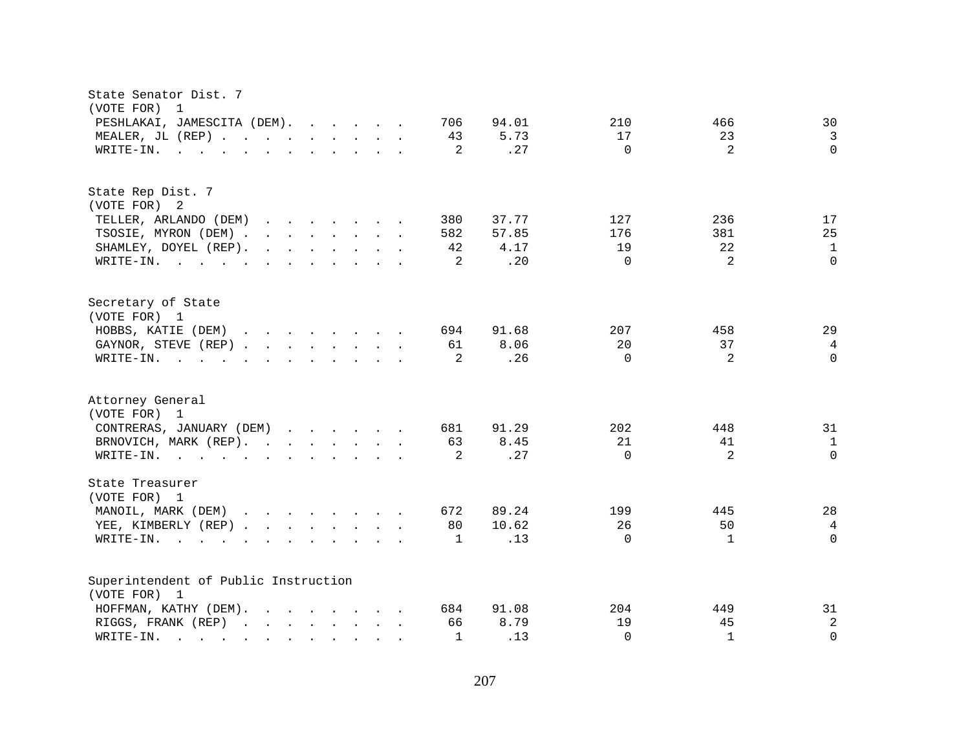| State Senator Dist. 7<br>(VOTE FOR)<br>$\mathbf 1$                                                                                                                                                                                                                |                                               |
|-------------------------------------------------------------------------------------------------------------------------------------------------------------------------------------------------------------------------------------------------------------------|-----------------------------------------------|
| PESHLAKAI, JAMESCITA (DEM).<br>706                                                                                                                                                                                                                                | 94.01<br>210<br>466<br>30                     |
| MEALER, JL (REP)<br>43                                                                                                                                                                                                                                            | 5.73<br>17<br>23<br>$\mathbf{3}$              |
| 2<br>WRITE-IN.<br>$\mathbf{r}$ . The set of the set of the set of the set of the set of the set of the set of the set of the set of the set of the set of the set of the set of the set of the set of the set of the set of the set of the set of t               | $\Omega$<br>$\overline{2}$<br>$\Omega$<br>.27 |
|                                                                                                                                                                                                                                                                   |                                               |
| State Rep Dist. 7                                                                                                                                                                                                                                                 |                                               |
| (VOTE FOR) 2                                                                                                                                                                                                                                                      |                                               |
| TELLER, ARLANDO (DEM)<br>$\mathbf{r}$ , $\mathbf{r}$ , $\mathbf{r}$ , $\mathbf{r}$ , $\mathbf{r}$ , $\mathbf{r}$<br>380                                                                                                                                           | 37.77<br>127<br>236<br>17                     |
| TSOSIE, MYRON (DEM)<br>582                                                                                                                                                                                                                                        | 25<br>381<br>57.85<br>176                     |
| SHAMLEY, DOYEL (REP).<br>$\mathbf{r}$ , $\mathbf{r}$ , $\mathbf{r}$ , $\mathbf{r}$ , $\mathbf{r}$ , $\mathbf{r}$<br>42                                                                                                                                            | 22<br>4.17<br>19<br>$\mathbf{1}$              |
| WRITE-IN.<br>2                                                                                                                                                                                                                                                    | .20<br>$\Omega$<br>$\overline{2}$<br>$\Omega$ |
| Secretary of State                                                                                                                                                                                                                                                |                                               |
| (VOTE FOR) 1                                                                                                                                                                                                                                                      |                                               |
| HOBBS, KATIE (DEM)<br>694                                                                                                                                                                                                                                         | 29<br>91.68<br>207<br>458                     |
| GAYNOR, STEVE (REP)<br>61                                                                                                                                                                                                                                         | 8.06<br>20<br>37<br>$\overline{4}$            |
| 2<br>WRITE-IN.<br>$\mathbf{r}$ , and $\mathbf{r}$ , and $\mathbf{r}$ , and $\mathbf{r}$ , and $\mathbf{r}$                                                                                                                                                        | $\Omega$<br>$\overline{2}$<br>$\Omega$<br>.26 |
|                                                                                                                                                                                                                                                                   |                                               |
| Attorney General                                                                                                                                                                                                                                                  |                                               |
| (VOTE FOR) 1                                                                                                                                                                                                                                                      |                                               |
| CONTRERAS, JANUARY (DEM)<br>681                                                                                                                                                                                                                                   | 91.29<br>202<br>448<br>31                     |
| BRNOVICH, MARK (REP).<br>63                                                                                                                                                                                                                                       | 8.45<br>21<br>41<br>$\mathbf{1}$              |
| 2<br>WRITE-IN.                                                                                                                                                                                                                                                    | $\overline{2}$<br>.27<br>$\Omega$<br>$\Omega$ |
| State Treasurer<br>(VOTE FOR) 1                                                                                                                                                                                                                                   |                                               |
| 672                                                                                                                                                                                                                                                               | 28<br>89.24<br>199<br>445                     |
| MANOIL, MARK (DEM)                                                                                                                                                                                                                                                | 26<br>$\overline{4}$                          |
| YEE, KIMBERLY (REP)<br>80                                                                                                                                                                                                                                         | 10.62<br>50                                   |
| WRITE-IN.<br>1<br>$\sim$ $\sim$ $\sim$ $\sim$ $\sim$<br>$\mathbf{r}$ , $\mathbf{r}$ , $\mathbf{r}$ , $\mathbf{r}$ , $\mathbf{r}$ , $\mathbf{r}$<br>$\sim$                                                                                                         | $\Omega$<br>.13<br>$\Omega$<br>1              |
| Superintendent of Public Instruction                                                                                                                                                                                                                              |                                               |
| (VOTE FOR) 1                                                                                                                                                                                                                                                      |                                               |
| HOFFMAN, KATHY (DEM).<br>$\mathbf{r}$ . The set of the set of the set of the set of the set of the set of the set of the set of the set of the set of the set of the set of the set of the set of the set of the set of the set of the set of the set of t<br>684 | 91.08<br>204<br>31<br>449                     |
| RIGGS, FRANK (REP)<br>66                                                                                                                                                                                                                                          | $\sqrt{2}$<br>8.79<br>19<br>45                |
| $\mathbf{1}$<br>WRITE-IN.<br>$\mathbf{r}$ , $\mathbf{r}$ , $\mathbf{r}$ , $\mathbf{r}$<br>$\sim$<br><b>Contract</b><br>$\sim$ $\sim$                                                                                                                              | $\mathbf{1}$<br>$\Omega$<br>.13<br>$\Omega$   |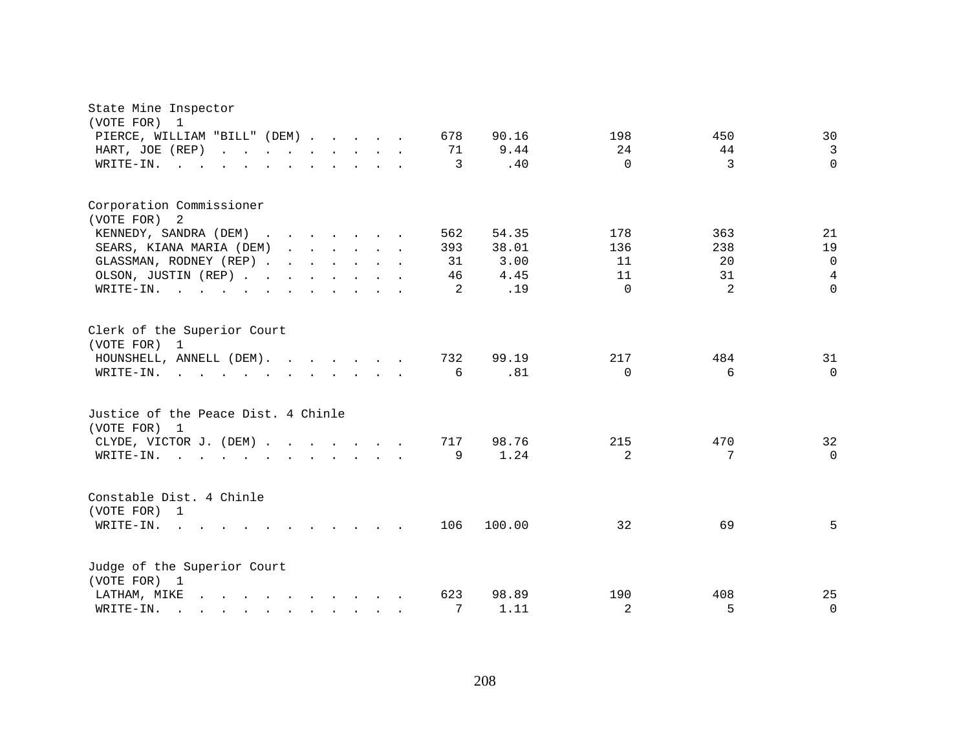| State Mine Inspector<br>(VOTE FOR) 1                                                                                         |  |  |                |        |                 |               |          |
|------------------------------------------------------------------------------------------------------------------------------|--|--|----------------|--------|-----------------|---------------|----------|
| PIERCE, WILLIAM "BILL" (DEM)                                                                                                 |  |  | 678            | 90.16  | 198             | 450           | 30       |
| HART, JOE (REP)                                                                                                              |  |  | 71             | 9.44   | 24              | 44            | 3        |
| WRITE-IN.<br>the contract of the contract of the contract of the contract of the contract of the contract of the contract of |  |  | 3              | .40    | $\Omega$        | $\mathcal{E}$ | $\Omega$ |
| Corporation Commissioner                                                                                                     |  |  |                |        |                 |               |          |
| (VOTE FOR) 2                                                                                                                 |  |  |                |        |                 |               |          |
| KENNEDY, SANDRA (DEM)                                                                                                        |  |  | 562            | 54.35  | 178             | 363           | 21       |
| SEARS, KIANA MARIA (DEM)                                                                                                     |  |  | 393            | 38.01  | 136             | 238           | 19       |
| GLASSMAN, RODNEY (REP)                                                                                                       |  |  | 31             | 3.00   | 11              | 20            | $\Omega$ |
| OLSON, JUSTIN (REP)                                                                                                          |  |  | 46             | 4.45   | 11              | 31            | 4        |
| WRITE-IN.                                                                                                                    |  |  | $\overline{2}$ | .19    | $\Omega$        | $\mathcal{L}$ | $\Omega$ |
| Clerk of the Superior Court                                                                                                  |  |  |                |        |                 |               |          |
| (VOTE FOR) 1                                                                                                                 |  |  |                |        |                 |               |          |
| HOUNSHELL, ANNELL (DEM).                                                                                                     |  |  | 732            | 99.19  | 217<br>$\Omega$ | 484<br>6      | 31       |
| WRITE-IN.<br>the contract of the contract of the contract of                                                                 |  |  | 6              | .81    |                 |               | $\Omega$ |
| Justice of the Peace Dist. 4 Chinle<br>(VOTE FOR) 1                                                                          |  |  |                |        |                 |               |          |
|                                                                                                                              |  |  | 717            | 98.76  | 215             | 470           | 32       |
| CLYDE, VICTOR J. (DEM)<br>WRITE-IN.                                                                                          |  |  | 9              | 1.24   | 2               | 7             | $\Omega$ |
| $\mathbf{r}$ , and $\mathbf{r}$ , and $\mathbf{r}$ , and $\mathbf{r}$ , and $\mathbf{r}$                                     |  |  |                |        |                 |               |          |
| Constable Dist. 4 Chinle<br>(VOTE FOR) 1                                                                                     |  |  |                |        |                 |               |          |
| WRITE-IN.<br>$\mathbf{r}$ , and $\mathbf{r}$ , and $\mathbf{r}$ , and $\mathbf{r}$ , and $\mathbf{r}$                        |  |  | 106            | 100.00 | 32              | 69            | 5        |
| Judge of the Superior Court                                                                                                  |  |  |                |        |                 |               |          |
| (VOTE FOR) 1                                                                                                                 |  |  |                |        |                 |               |          |
| $\mathbf{r}$ . The state of the state of the state $\mathbf{r}$<br>LATHAM, MIKE                                              |  |  | 623            | 98.89  | 190             | 408           | 25       |
| WRITE-IN.<br>$\mathbf{r}$ , and $\mathbf{r}$ , and $\mathbf{r}$ , and $\mathbf{r}$ , and $\mathbf{r}$                        |  |  | 7              | 1.11   | 2               | 5             | $\Omega$ |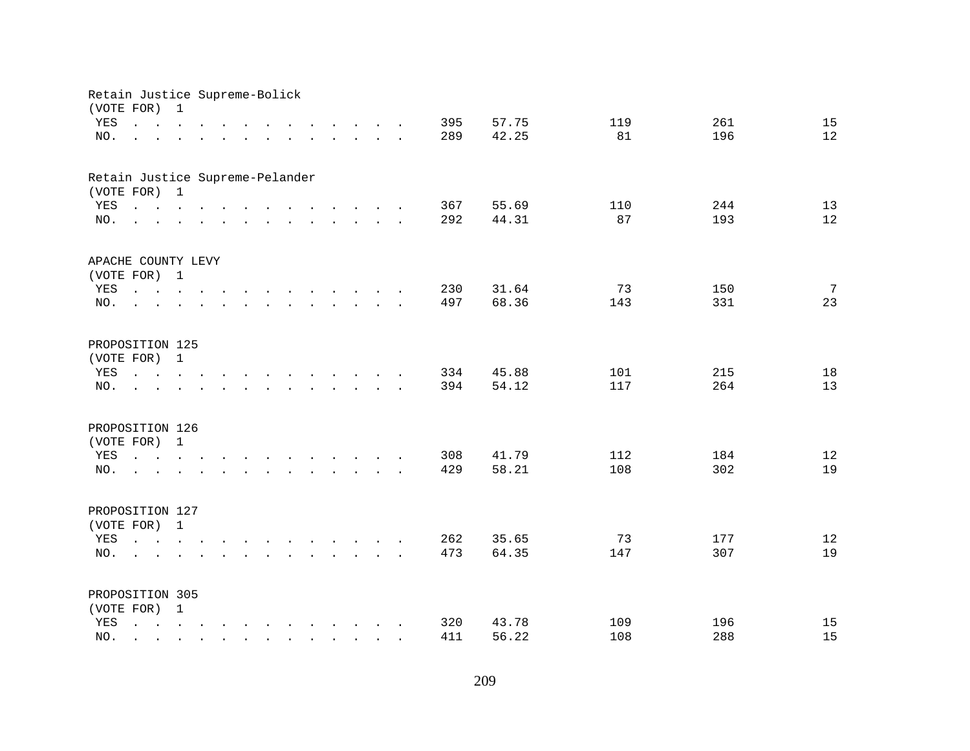| Retain Justice Supreme-Bolick<br>(VOTE FOR) |                                                                                                                                                                                | $\mathbf{1}$ |  |  |  |                                 |                                                                                                                                                                                                                                |  |     |       |     |     |                 |
|---------------------------------------------|--------------------------------------------------------------------------------------------------------------------------------------------------------------------------------|--------------|--|--|--|---------------------------------|--------------------------------------------------------------------------------------------------------------------------------------------------------------------------------------------------------------------------------|--|-----|-------|-----|-----|-----------------|
| YES                                         | $\cdot$ $\cdot$ $\cdot$ $\cdot$ $\cdot$ $\cdot$ $\cdot$                                                                                                                        |              |  |  |  |                                 | $\mathbf{r}$ , $\mathbf{r}$ , $\mathbf{r}$ , $\mathbf{r}$ , $\mathbf{r}$ , $\mathbf{r}$                                                                                                                                        |  | 395 | 57.75 | 119 | 261 | 15              |
| NO.                                         |                                                                                                                                                                                |              |  |  |  |                                 |                                                                                                                                                                                                                                |  | 289 | 42.25 | 81  | 196 | 12              |
|                                             | and a series of the contract of the contract of the contract of                                                                                                                |              |  |  |  |                                 |                                                                                                                                                                                                                                |  |     |       |     |     |                 |
| Retain Justice Supreme-Pelander             |                                                                                                                                                                                |              |  |  |  |                                 |                                                                                                                                                                                                                                |  |     |       |     |     |                 |
| (VOTE FOR) 1                                |                                                                                                                                                                                |              |  |  |  |                                 |                                                                                                                                                                                                                                |  |     |       |     |     |                 |
| YES                                         | $\mathbf{r}$ , and $\mathbf{r}$ , and $\mathbf{r}$ , and $\mathbf{r}$ , and $\mathbf{r}$ , and $\mathbf{r}$                                                                    |              |  |  |  |                                 |                                                                                                                                                                                                                                |  | 367 | 55.69 | 110 | 244 | 13              |
| NO.                                         | $\mathbf{r}$ , and $\mathbf{r}$ , and $\mathbf{r}$ , and $\mathbf{r}$ , and $\mathbf{r}$ , and $\mathbf{r}$                                                                    |              |  |  |  |                                 |                                                                                                                                                                                                                                |  | 292 | 44.31 | 87  | 193 | 12              |
| APACHE COUNTY LEVY                          |                                                                                                                                                                                |              |  |  |  |                                 |                                                                                                                                                                                                                                |  |     |       |     |     |                 |
| (VOTE FOR) 1                                |                                                                                                                                                                                |              |  |  |  |                                 |                                                                                                                                                                                                                                |  |     |       |     |     |                 |
| YES                                         |                                                                                                                                                                                |              |  |  |  |                                 |                                                                                                                                                                                                                                |  | 230 | 31.64 | 73  | 150 | $7\overline{ }$ |
| NO.                                         | and the state of the                                                                                                                                                           |              |  |  |  |                                 | and the contract of the contract of the contract of the contract of the contract of the contract of the contract of the contract of the contract of the contract of the contract of the contract of the contract of the contra |  | 497 | 68.36 | 143 | 331 | 23              |
|                                             |                                                                                                                                                                                |              |  |  |  |                                 |                                                                                                                                                                                                                                |  |     |       |     |     |                 |
| PROPOSITION 125                             |                                                                                                                                                                                |              |  |  |  |                                 |                                                                                                                                                                                                                                |  |     |       |     |     |                 |
| (VOTE FOR) 1                                |                                                                                                                                                                                |              |  |  |  |                                 |                                                                                                                                                                                                                                |  |     |       |     |     |                 |
| YES                                         | $\mathbf{r}$ , $\mathbf{r}$ , $\mathbf{r}$ , $\mathbf{r}$                                                                                                                      |              |  |  |  |                                 |                                                                                                                                                                                                                                |  | 334 | 45.88 | 101 | 215 | 18              |
| NO.                                         |                                                                                                                                                                                |              |  |  |  |                                 |                                                                                                                                                                                                                                |  | 394 | 54.12 | 117 | 264 | 13              |
| PROPOSITION 126                             |                                                                                                                                                                                |              |  |  |  |                                 |                                                                                                                                                                                                                                |  |     |       |     |     |                 |
| (VOTE FOR) 1                                |                                                                                                                                                                                |              |  |  |  |                                 |                                                                                                                                                                                                                                |  |     |       |     |     |                 |
| YES                                         | $\mathbf{r} = \mathbf{r} - \mathbf{r}$ , $\mathbf{r} = \mathbf{r} - \mathbf{r}$ , $\mathbf{r} = \mathbf{r} - \mathbf{r} - \mathbf{r}$ , $\mathbf{r} = \mathbf{r} - \mathbf{r}$ |              |  |  |  |                                 |                                                                                                                                                                                                                                |  | 308 | 41.79 | 112 | 184 | 12              |
| NO.                                         | the contract of the contract of the contract of the contract of the contract of the contract of the contract of                                                                |              |  |  |  |                                 |                                                                                                                                                                                                                                |  | 429 | 58.21 | 108 | 302 | 19              |
|                                             |                                                                                                                                                                                |              |  |  |  |                                 |                                                                                                                                                                                                                                |  |     |       |     |     |                 |
| PROPOSITION 127                             |                                                                                                                                                                                |              |  |  |  |                                 |                                                                                                                                                                                                                                |  |     |       |     |     |                 |
| (VOTE FOR) 1                                |                                                                                                                                                                                |              |  |  |  |                                 |                                                                                                                                                                                                                                |  |     |       |     |     |                 |
| YES                                         | $\mathbf{r} = \mathbf{r} - \mathbf{r}$ , $\mathbf{r} = \mathbf{r} - \mathbf{r}$ , $\mathbf{r} = \mathbf{r} - \mathbf{r} - \mathbf{r}$ , $\mathbf{r} = \mathbf{r} - \mathbf{r}$ |              |  |  |  |                                 |                                                                                                                                                                                                                                |  | 262 | 35.65 | 73  | 177 | 12              |
| NO.                                         | <b>Contract Contract Contract</b>                                                                                                                                              |              |  |  |  |                                 |                                                                                                                                                                                                                                |  | 473 | 64.35 | 147 | 307 | 19              |
|                                             |                                                                                                                                                                                |              |  |  |  |                                 |                                                                                                                                                                                                                                |  |     |       |     |     |                 |
| PROPOSITION 305                             |                                                                                                                                                                                |              |  |  |  |                                 |                                                                                                                                                                                                                                |  |     |       |     |     |                 |
| (VOTE FOR) 1                                |                                                                                                                                                                                |              |  |  |  |                                 |                                                                                                                                                                                                                                |  |     |       |     |     |                 |
| YES                                         | $\mathbf{r} = \mathbf{r} - \mathbf{r}$ , $\mathbf{r} = \mathbf{r} - \mathbf{r}$ , $\mathbf{r} = \mathbf{r} - \mathbf{r} - \mathbf{r}$ , $\mathbf{r} = \mathbf{r} - \mathbf{r}$ |              |  |  |  |                                 |                                                                                                                                                                                                                                |  | 320 | 43.78 | 109 | 196 | 15              |
| NO.                                         |                                                                                                                                                                                |              |  |  |  | <b>Contract Contract Street</b> |                                                                                                                                                                                                                                |  | 411 | 56.22 | 108 | 288 | 15              |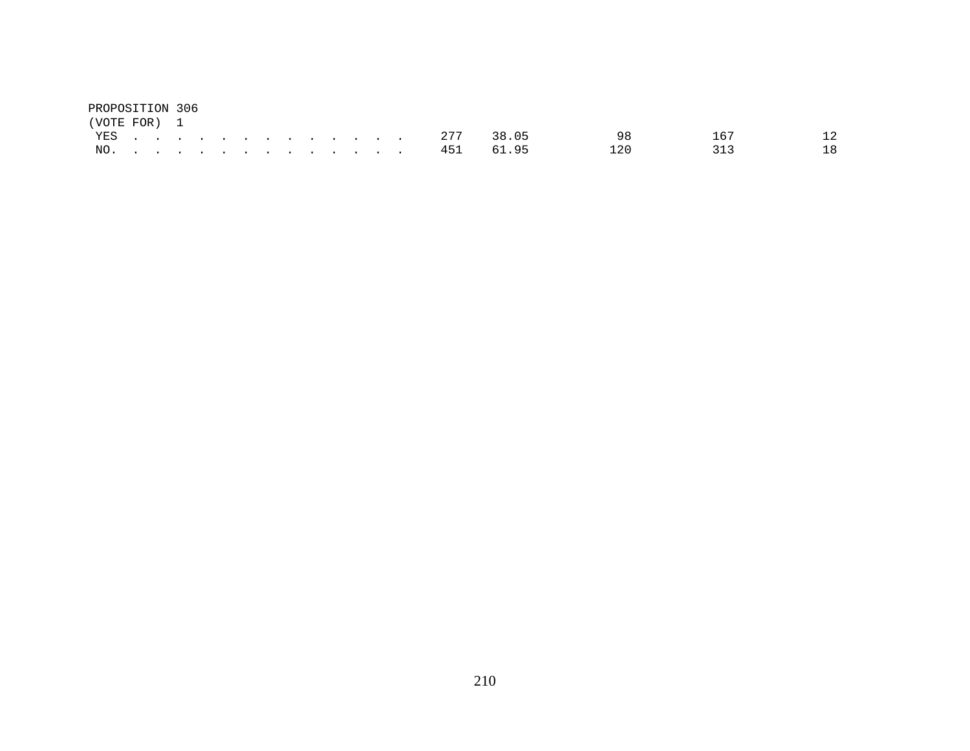| PROPOSITION 306 |  |  |  |  |  |  |               |               |     |     |    |
|-----------------|--|--|--|--|--|--|---------------|---------------|-----|-----|----|
| (VOTE FOR) 1    |  |  |  |  |  |  |               |               |     |     |    |
|                 |  |  |  |  |  |  |               | YES 277 38.05 | 98  | 167 | 12 |
|                 |  |  |  |  |  |  | NO. 451 61.95 |               | 120 | 313 | 18 |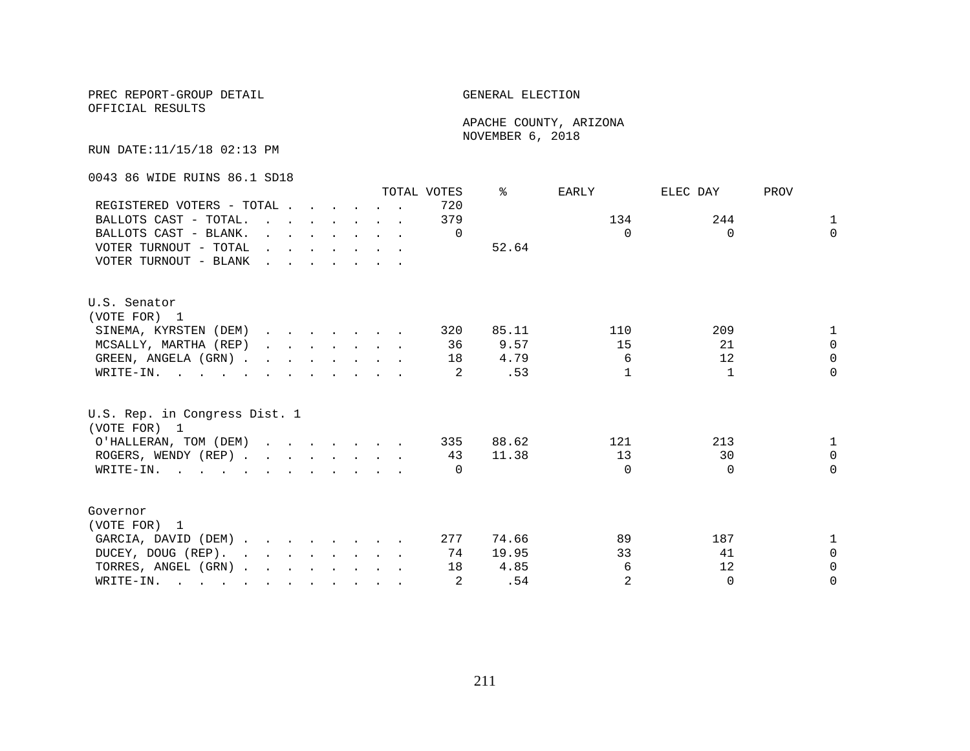## PREC REPORT-GROUP DETAIL GENERAL ELECTION

OFFICIAL RESULTS

 APACHE COUNTY, ARIZONA NOVEMBER 6, 2018

RUN DATE:11/15/18 02:13 PM

0043 86 WIDE RUINS 86.1 SD18

|                                                                                                                          |                                                                                         |  |  |                                                                          | TOTAL VOTES | ⊱     | EARLY          | ELEC DAY | PROV         |
|--------------------------------------------------------------------------------------------------------------------------|-----------------------------------------------------------------------------------------|--|--|--------------------------------------------------------------------------|-------------|-------|----------------|----------|--------------|
| REGISTERED VOTERS - TOTAL                                                                                                |                                                                                         |  |  |                                                                          | 720         |       |                |          |              |
| BALLOTS CAST - TOTAL.                                                                                                    |                                                                                         |  |  | $\mathbf{r}$ , $\mathbf{r}$ , $\mathbf{r}$ , $\mathbf{r}$ , $\mathbf{r}$ | 379         |       | 134            | 244      | $\mathbf{1}$ |
| BALLOTS CAST - BLANK.                                                                                                    |                                                                                         |  |  | $\mathbf{r}$ , $\mathbf{r}$ , $\mathbf{r}$ , $\mathbf{r}$ , $\mathbf{r}$ | $\Omega$    |       | $\Omega$       | $\Omega$ | $\Omega$     |
| VOTER TURNOUT - TOTAL                                                                                                    |                                                                                         |  |  | $\mathbf{r}$ and $\mathbf{r}$ are the set of $\mathbf{r}$                |             | 52.64 |                |          |              |
| VOTER TURNOUT - BLANK                                                                                                    | $\mathbf{r}$ , $\mathbf{r}$ , $\mathbf{r}$ , $\mathbf{r}$ , $\mathbf{r}$ , $\mathbf{r}$ |  |  |                                                                          |             |       |                |          |              |
| U.S. Senator                                                                                                             |                                                                                         |  |  |                                                                          |             |       |                |          |              |
| (VOTE FOR) 1                                                                                                             |                                                                                         |  |  |                                                                          |             |       |                |          |              |
| SINEMA, KYRSTEN (DEM)                                                                                                    |                                                                                         |  |  |                                                                          | 320         | 85.11 | 110            | 209      | $\mathbf{1}$ |
| MCSALLY, MARTHA (REP)                                                                                                    |                                                                                         |  |  | $\mathbf{r}$ , $\mathbf{r}$ , $\mathbf{r}$ , $\mathbf{r}$ , $\mathbf{r}$ | 36          | 9.57  | 15             | 21       | $\Omega$     |
| GREEN, ANGELA (GRN).                                                                                                     |                                                                                         |  |  |                                                                          | 18          | 4.79  | 6              | 12       | $\Omega$     |
| WRITE-IN.                                                                                                                |                                                                                         |  |  |                                                                          | 2           | .53   | 1              | 1        | $\Omega$     |
| U.S. Rep. in Congress Dist. 1<br>(VOTE FOR) 1                                                                            |                                                                                         |  |  |                                                                          |             |       |                |          |              |
| O'HALLERAN, TOM (DEM)                                                                                                    |                                                                                         |  |  |                                                                          | 335         | 88.62 | 121            | 213      | 1            |
| ROGERS, WENDY (REP)                                                                                                      |                                                                                         |  |  |                                                                          | 43          | 11.38 | 13             | 30       | $\Omega$     |
| WRITE-IN.                                                                                                                |                                                                                         |  |  |                                                                          | $\Omega$    |       | $\Omega$       | $\Omega$ | $\Omega$     |
|                                                                                                                          |                                                                                         |  |  |                                                                          |             |       |                |          |              |
| Governor                                                                                                                 |                                                                                         |  |  |                                                                          |             |       |                |          |              |
| (VOTE FOR) 1                                                                                                             |                                                                                         |  |  |                                                                          |             |       |                |          |              |
| GARCIA, DAVID (DEM)                                                                                                      |                                                                                         |  |  |                                                                          | 277         | 74.66 | 89             | 187      | 1            |
| DUCEY, DOUG (REP).                                                                                                       |                                                                                         |  |  |                                                                          | 74          | 19.95 | 33             | 41       | $\Omega$     |
| TORRES, ANGEL (GRN)                                                                                                      |                                                                                         |  |  |                                                                          | 18          | 4.85  | 6              | 12       | $\Omega$     |
| WRITE-IN.<br>$\mathbf{r}$ , and $\mathbf{r}$ , and $\mathbf{r}$ , and $\mathbf{r}$ , and $\mathbf{r}$ , and $\mathbf{r}$ |                                                                                         |  |  |                                                                          | 2           | .54   | $\overline{2}$ | $\Omega$ | $\Omega$     |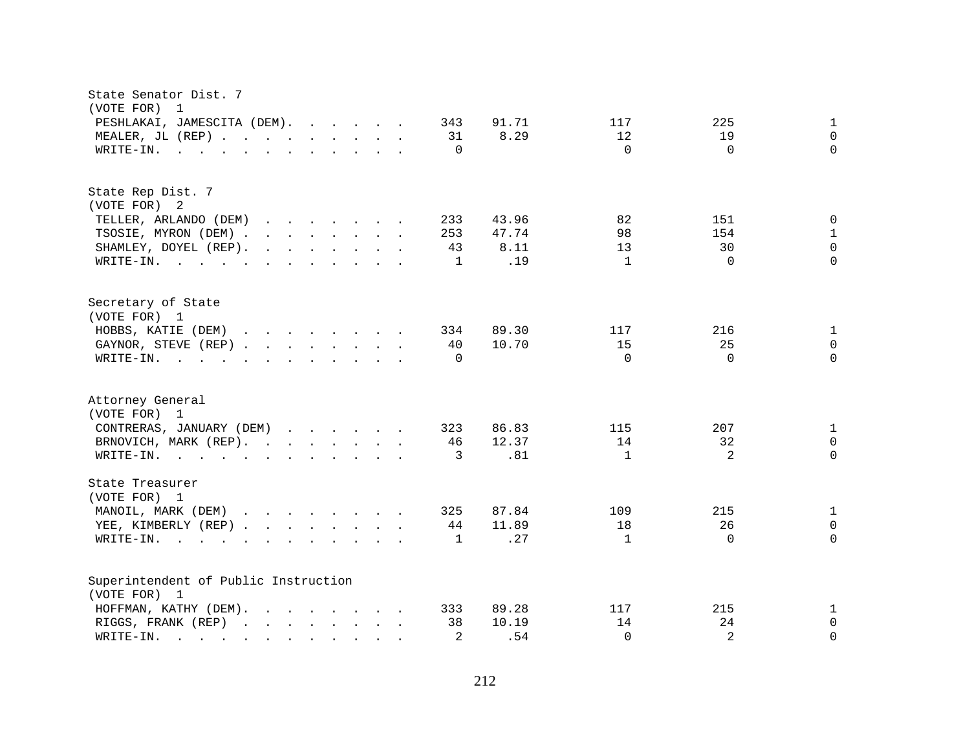| State Senator Dist. 7<br>(VOTE FOR) 1                                                                                                                                                                                                                             |                                               |
|-------------------------------------------------------------------------------------------------------------------------------------------------------------------------------------------------------------------------------------------------------------------|-----------------------------------------------|
| PESHLAKAI, JAMESCITA (DEM).<br>343                                                                                                                                                                                                                                | $\mathbf{1}$<br>91.71<br>117<br>225           |
| MEALER, JL (REP)<br>31                                                                                                                                                                                                                                            | 8.29<br>12<br>19<br>$\mathbf 0$               |
| WRITE-IN.<br>$\mathbf{r}$ . The set of the set of the set of the set of the set of the set of the set of the set of the set of the set of the set of the set of the set of the set of the set of the set of the set of the set of the set of t<br>$\Omega$        | $\Omega$<br>$\Omega$<br>$\Omega$              |
|                                                                                                                                                                                                                                                                   |                                               |
| State Rep Dist. 7                                                                                                                                                                                                                                                 |                                               |
| (VOTE FOR) 2                                                                                                                                                                                                                                                      |                                               |
| TELLER, ARLANDO (DEM)<br>$\mathbf{r}$ . The set of the set of the set of the set of the set of the set of the set of the set of the set of the set of the set of the set of the set of the set of the set of the set of the set of the set of the set of t<br>233 | 43.96<br>82<br>151<br>$\mathbf 0$             |
| TSOSIE, MYRON (DEM)<br>253                                                                                                                                                                                                                                        | 98<br>$\mathbf{1}$<br>47.74<br>154            |
| SHAMLEY, DOYEL (REP).<br>$\mathbf{r}$ , $\mathbf{r}$ , $\mathbf{r}$ , $\mathbf{r}$ , $\mathbf{r}$ , $\mathbf{r}$<br>43                                                                                                                                            | $\mathsf 0$<br>13<br>30<br>8.11               |
| WRITE-IN.<br>1                                                                                                                                                                                                                                                    | .19<br>$\mathbf{1}$<br>$\Omega$<br>$\Omega$   |
| Secretary of State                                                                                                                                                                                                                                                |                                               |
| (VOTE FOR) 1                                                                                                                                                                                                                                                      |                                               |
| HOBBS, KATIE (DEM)<br>334                                                                                                                                                                                                                                         | 89.30<br>216<br>$\mathbf{1}$<br>117           |
| 10.70<br>GAYNOR, STEVE (REP)<br>40                                                                                                                                                                                                                                | 25<br>15<br>0                                 |
| $\mathbf{r}$ , and $\mathbf{r}$ , and $\mathbf{r}$ , and $\mathbf{r}$ , and $\mathbf{r}$<br>$\Omega$<br>WRITE-IN.                                                                                                                                                 | $\Omega$<br>$\Omega$<br>$\Omega$              |
| Attorney General<br>(VOTE FOR) 1                                                                                                                                                                                                                                  |                                               |
| CONTRERAS, JANUARY (DEM)<br>323                                                                                                                                                                                                                                   | 86.83<br>207<br>115<br>$\mathbf{1}$           |
| BRNOVICH, MARK (REP).<br>46                                                                                                                                                                                                                                       | 12.37<br>14<br>32<br>0                        |
| WRITE-IN.<br>3                                                                                                                                                                                                                                                    | 2<br>$\Omega$<br>.81<br>$\mathbf{1}$          |
| State Treasurer                                                                                                                                                                                                                                                   |                                               |
| (VOTE FOR) 1                                                                                                                                                                                                                                                      |                                               |
| MANOIL, MARK (DEM)<br>325                                                                                                                                                                                                                                         | $\mathbf{1}$<br>87.84<br>109<br>215           |
| YEE, KIMBERLY (REP)<br>44                                                                                                                                                                                                                                         | 26<br>11.89<br>18<br>$\mathbf 0$              |
| WRITE-IN.<br>1<br>$\mathbf{r}$ and $\mathbf{r}$ are the set of the set of the set of the set of the set of the set of the set of the set of the set of the set of the set of the set of the set of the set of the set of the set of the set of the set            | .27<br>$\mathbf{1}$<br>$\Omega$<br>$\Omega$   |
| Superintendent of Public Instruction                                                                                                                                                                                                                              |                                               |
| (VOTE FOR) 1                                                                                                                                                                                                                                                      |                                               |
| 89.28<br>HOFFMAN, KATHY (DEM).<br>333                                                                                                                                                                                                                             | 117<br>215<br>1                               |
| RIGGS, FRANK (REP)<br>38                                                                                                                                                                                                                                          | 14<br>24<br>$\mathbf 0$<br>10.19              |
| 2<br>WRITE-IN.<br>$\mathbf{r}$ . The set of $\mathbf{r}$<br>$\mathbf{r}$ , $\mathbf{r}$ , $\mathbf{r}$ , $\mathbf{r}$ , $\mathbf{r}$ , $\mathbf{r}$                                                                                                               | $\overline{2}$<br>.54<br>$\Omega$<br>$\Omega$ |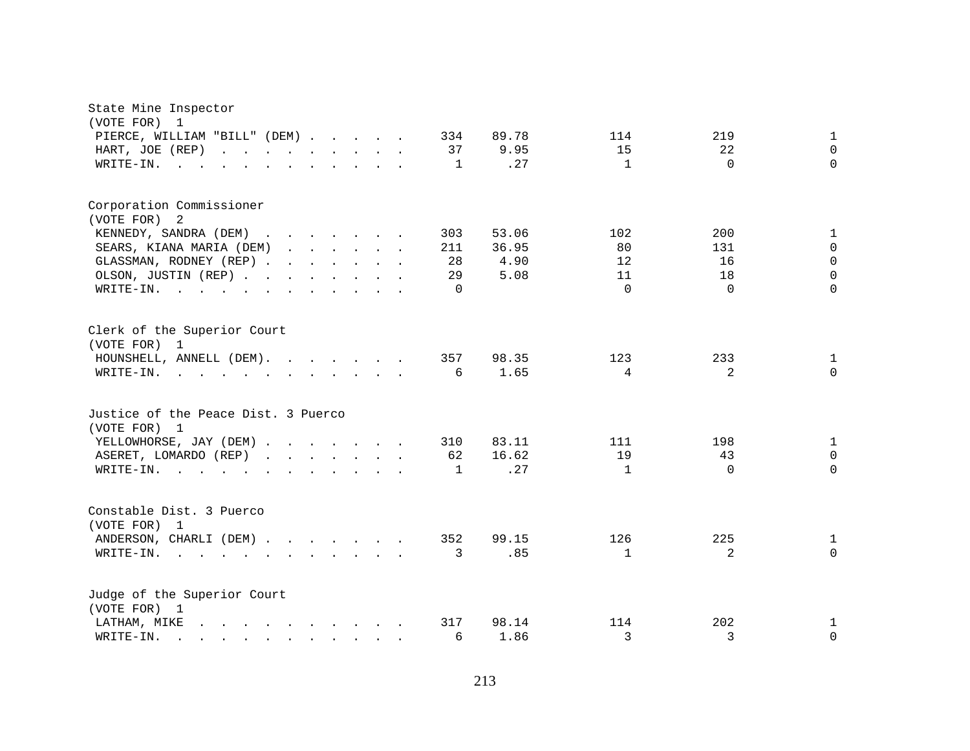| State Mine Inspector<br>(VOTE FOR)<br>$\mathbf{1}$                                                                                                                                                                                             |              |       |              |          |              |
|------------------------------------------------------------------------------------------------------------------------------------------------------------------------------------------------------------------------------------------------|--------------|-------|--------------|----------|--------------|
| PIERCE, WILLIAM "BILL" (DEM)                                                                                                                                                                                                                   | 334          | 89.78 | 114          | 219      | 1            |
| HART, JOE (REP)<br>and the contract of the contract of the                                                                                                                                                                                     | 37           | 9.95  | 15           | 22       | $\Omega$     |
| WRITE-IN.<br><b>Contract</b>                                                                                                                                                                                                                   | $\mathbf{1}$ | .27   | $\mathbf{1}$ | $\Omega$ | $\Omega$     |
| Corporation Commissioner                                                                                                                                                                                                                       |              |       |              |          |              |
| (VOTE FOR)<br>2                                                                                                                                                                                                                                |              |       |              |          |              |
| KENNEDY, SANDRA (DEM)                                                                                                                                                                                                                          | 303          | 53.06 | 102          | 200      | $\mathbf{1}$ |
| SEARS, KIANA MARIA (DEM)                                                                                                                                                                                                                       | 211          | 36.95 | 80           | 131      | 0            |
| GLASSMAN, RODNEY (REP)                                                                                                                                                                                                                         | 28           | 4.90  | 12           | 16       | $\mathbf 0$  |
| OLSON, JUSTIN (REP)                                                                                                                                                                                                                            | 29           | 5.08  | 11           | 18       | $\Omega$     |
| WRITE-IN.<br>the contract of the contract of the contract of the contract of the contract of the contract of the contract of                                                                                                                   | $\Omega$     |       | $\Omega$     | $\Omega$ | $\Omega$     |
| Clerk of the Superior Court<br>(VOTE FOR) 1                                                                                                                                                                                                    |              |       |              |          |              |
| HOUNSHELL, ANNELL (DEM).                                                                                                                                                                                                                       | 357          | 98.35 | 123          | 233      | 1            |
| WRITE-IN.<br>$\mathbf{r}$ . The contract of the contract of the contract of the contract of the contract of the contract of the contract of the contract of the contract of the contract of the contract of the contract of the contract of th | 6            | 1.65  | 4            | 2        | $\Omega$     |
| Justice of the Peace Dist. 3 Puerco<br>(VOTE FOR) 1                                                                                                                                                                                            |              |       |              |          |              |
| YELLOWHORSE, JAY (DEM)                                                                                                                                                                                                                         | 310          | 83.11 | 111          | 198      | $\mathbf{1}$ |
| ASERET, LOMARDO (REP)                                                                                                                                                                                                                          | 62           | 16.62 | 19           | 43       | $\mathbf 0$  |
| WRITE-IN.<br>$\mathbf{L}$ and $\mathbf{L}$ and $\mathbf{L}$                                                                                                                                                                                    | $\mathbf{1}$ | .27   | $\mathbf{1}$ | $\Omega$ | 0            |
| Constable Dist. 3 Puerco<br>(VOTE FOR) 1                                                                                                                                                                                                       |              |       |              |          |              |
| ANDERSON, CHARLI (DEM)                                                                                                                                                                                                                         | 352          | 99.15 | 126          | 225      | 1            |
| WRITE-IN.<br>. The contract of the contract of the contract of the contract of the contract of the contract of the contract of the contract of the contract of the contract of the contract of the contract of the contract of the contrac     | 3            | .85   | $\mathbf{1}$ | 2        | $\Omega$     |
| Judge of the Superior Court<br>(VOTE FOR) 1                                                                                                                                                                                                    |              |       |              |          |              |
| LATHAM, MIKE<br>$\mathbf{r}$ , and $\mathbf{r}$ , and $\mathbf{r}$ , and $\mathbf{r}$ , and $\mathbf{r}$                                                                                                                                       | 317          | 98.14 | 114          | 202      | $\mathbf 1$  |
| WRITE-IN.<br><b>Professor Professor Professor Professor</b>                                                                                                                                                                                    | 6            | 1.86  | 3            | 3        | 0            |
|                                                                                                                                                                                                                                                |              |       |              |          |              |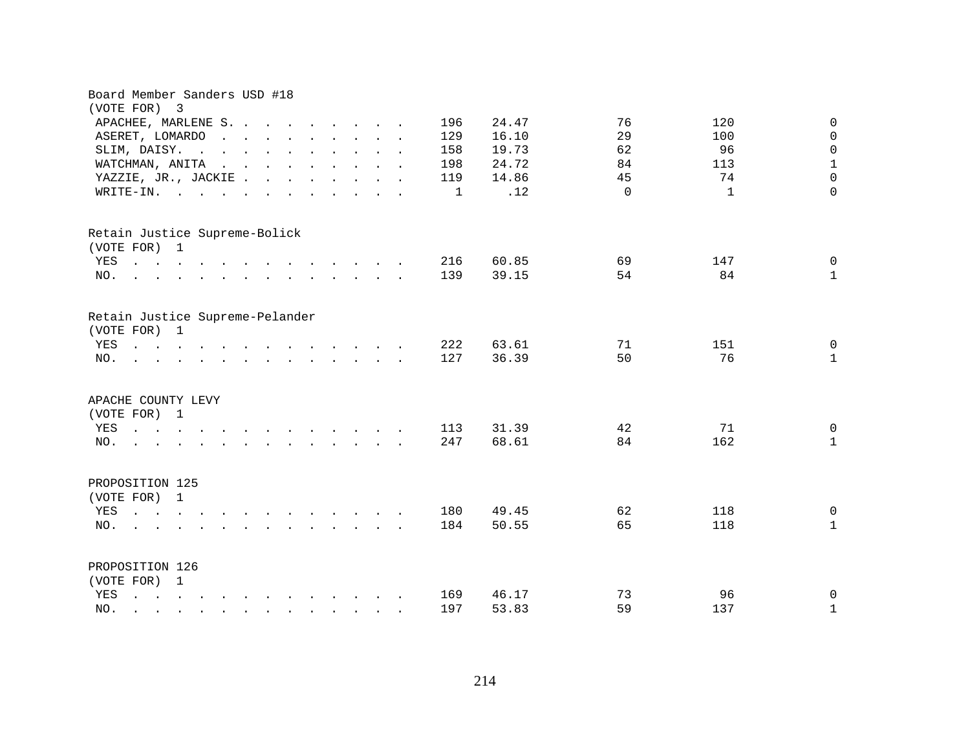| Board Member Sanders USD #18<br>(VOTE FOR)<br>3                                                                                                                                  |                                                                                                                                                                                                                                                                                                                                                                                                                                                                  |  |  |              |                |          |              |                                |
|----------------------------------------------------------------------------------------------------------------------------------------------------------------------------------|------------------------------------------------------------------------------------------------------------------------------------------------------------------------------------------------------------------------------------------------------------------------------------------------------------------------------------------------------------------------------------------------------------------------------------------------------------------|--|--|--------------|----------------|----------|--------------|--------------------------------|
| APACHEE, MARLENE S.                                                                                                                                                              |                                                                                                                                                                                                                                                                                                                                                                                                                                                                  |  |  | 196          | 24.47          | 76       | 120          | $\mathbf 0$                    |
| ASERET, LOMARDO<br>$\sim 10^7$                                                                                                                                                   | $\mathbf{r}$ , $\mathbf{r}$ , $\mathbf{r}$ , $\mathbf{r}$ , $\mathbf{r}$ , $\mathbf{r}$                                                                                                                                                                                                                                                                                                                                                                          |  |  | 129          | 16.10          | 29       | 100          | $\mathsf{O}$                   |
| SLIM, DAISY.<br>$\mathbf{r}$ . The state of the state $\mathbf{r}$ is the state of the state $\mathbf{r}$                                                                        |                                                                                                                                                                                                                                                                                                                                                                                                                                                                  |  |  | 158          | 19.73          | 62       | 96           | $\mathbf 0$                    |
| WATCHMAN, ANITA                                                                                                                                                                  | $\mathbf{r}$ , $\mathbf{r}$ , $\mathbf{r}$ , $\mathbf{r}$ , $\mathbf{r}$ , $\mathbf{r}$ , $\mathbf{r}$                                                                                                                                                                                                                                                                                                                                                           |  |  | 198          | 24.72          | 84       | 113          | $1\,$                          |
| YAZZIE, JR., JACKIE                                                                                                                                                              |                                                                                                                                                                                                                                                                                                                                                                                                                                                                  |  |  | 119          | 14.86          | 45       | 74           | $\mathbf 0$                    |
| WRITE-IN.<br>$\mathbf{r}$ , and $\mathbf{r}$ , and $\mathbf{r}$ , and $\mathbf{r}$ , and $\mathbf{r}$                                                                            |                                                                                                                                                                                                                                                                                                                                                                                                                                                                  |  |  | $\mathbf{1}$ | .12            | $\Omega$ | $\mathbf{1}$ | $\Omega$                       |
| Retain Justice Supreme-Bolick<br>(VOTE FOR) 1                                                                                                                                    |                                                                                                                                                                                                                                                                                                                                                                                                                                                                  |  |  |              |                |          |              |                                |
| $\mathbf{r}$ , and $\mathbf{r}$ , and $\mathbf{r}$ , and $\mathbf{r}$ , and $\mathbf{r}$ , and $\mathbf{r}$<br>YES                                                               |                                                                                                                                                                                                                                                                                                                                                                                                                                                                  |  |  | 216          | 60.85          | 69       | 147          | $\mathbf 0$                    |
| $\mathbf{r}$ , and $\mathbf{r}$ , and $\mathbf{r}$ , and $\mathbf{r}$ , and $\mathbf{r}$ , and $\mathbf{r}$<br>NO.                                                               |                                                                                                                                                                                                                                                                                                                                                                                                                                                                  |  |  | 139          | 39.15          | 54       | 84           | $\mathbf{1}$                   |
| Retain Justice Supreme-Pelander<br>(VOTE FOR) 1<br>YES<br>NO.<br>the contract of the contract of the contract of the contract of the contract of the contract of the contract of |                                                                                                                                                                                                                                                                                                                                                                                                                                                                  |  |  | 222<br>127   | 63.61<br>36.39 | 71<br>50 | 151<br>76    | $\mathbf 0$<br>$\mathbf{1}$    |
| APACHE COUNTY LEVY<br>(VOTE FOR) 1<br>YES<br>$\mathbf{r}$ , $\mathbf{r}$ , $\mathbf{r}$ , $\mathbf{r}$<br>$\sim$<br>NO.<br>$\mathbf{r}$ , $\mathbf{r}$ , $\mathbf{r}$            | and the contract of the contract of the contract of the contract of the contract of the contract of the contract of the contract of the contract of the contract of the contract of the contract of the contract of the contra<br>and the contract of the contract of the contract of the contract of the contract of the contract of the contract of the contract of the contract of the contract of the contract of the contract of the contract of the contra |  |  | 113<br>247   | 31.39<br>68.61 | 42<br>84 | 71<br>162    | $\mathbf 0$<br>$\mathbf{1}$    |
| PROPOSITION 125<br>(VOTE FOR) 1<br>YES<br>NO.                                                                                                                                    | $\mathbf{r} = \mathbf{r} \cdot \mathbf{r}$ , $\mathbf{r} = \mathbf{r} \cdot \mathbf{r}$                                                                                                                                                                                                                                                                                                                                                                          |  |  | 180<br>184   | 49.45<br>50.55 | 62<br>65 | 118<br>118   | $\overline{0}$<br>$\mathbf{1}$ |
| PROPOSITION 126<br>(VOTE FOR) 1                                                                                                                                                  |                                                                                                                                                                                                                                                                                                                                                                                                                                                                  |  |  |              |                |          |              |                                |
| YES<br>and a series of the contract of the contract of the contract of the contract of the contract of the contract of                                                           |                                                                                                                                                                                                                                                                                                                                                                                                                                                                  |  |  | 169          | 46.17          | 73       | 96           | 0                              |
| NO.<br>$\mathbf{r}$ , $\mathbf{r}$ , $\mathbf{r}$ , $\mathbf{r}$ , $\mathbf{r}$ , $\mathbf{r}$ , $\mathbf{r}$ , $\mathbf{r}$ , $\mathbf{r}$                                      |                                                                                                                                                                                                                                                                                                                                                                                                                                                                  |  |  | 197          | 53.83          | 59       | 137          | $\mathbf 1$                    |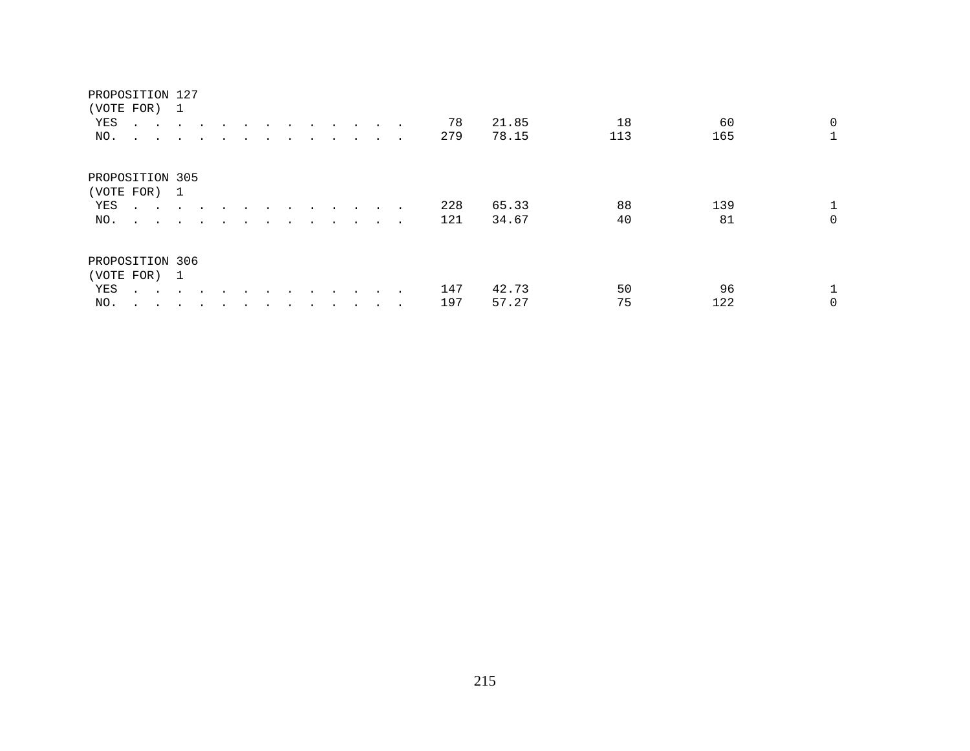# PROPOSITION 127 (VOTE FOR) 1 YES . . . . . . . . . . . . . 78 21.85 18 60 0<br>NO. . . . . . . . . . . . . 279 78.15 113 165 1 NO. . . . . . . . . . . . . . PROPOSITION 305 (VOTE FOR) 1 YES . . . . . . . . . . . . . 228 65.33 88 139 1<br>NO. . . . . . . . . . . . . 121 34.67 40 81 0 NO. . . . . . . . . . . . . . PROPOSITION 306 (VOTE FOR) 1 YES . . . . . . . . . . . . . . 147 42.73 50 96 1<br>NO. . . . . . . . . . . . . 197 57.27 75 122 0

NO. . . . . . . . . . . . . . 197 57.27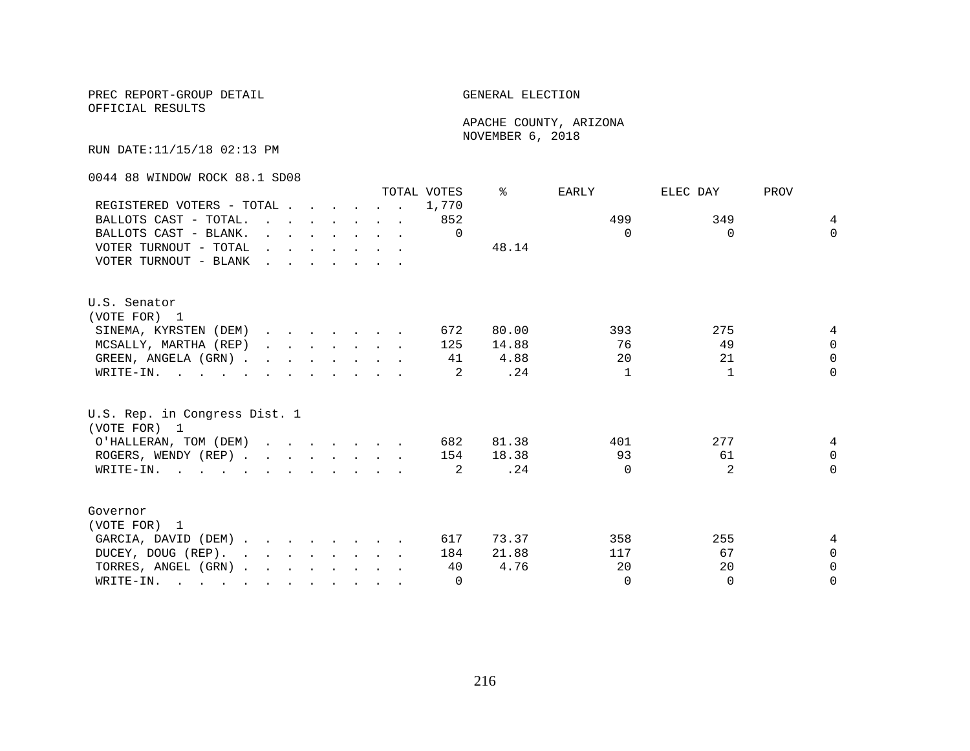## PREC REPORT-GROUP DETAIL **ELECTION**

OFFICIAL RESULTS

 APACHE COUNTY, ARIZONA NOVEMBER 6, 2018

RUN DATE:11/15/18 02:13 PM

0044 88 WINDOW ROCK 88.1 SD08

|                                                                                                                                                                                                                                                |                                                                                                                                                                                                                                   |  |  |                                                                                                 | TOTAL VOTES | ⊱     | EARLY        | ELEC DAY       | PROV        |
|------------------------------------------------------------------------------------------------------------------------------------------------------------------------------------------------------------------------------------------------|-----------------------------------------------------------------------------------------------------------------------------------------------------------------------------------------------------------------------------------|--|--|-------------------------------------------------------------------------------------------------|-------------|-------|--------------|----------------|-------------|
| REGISTERED VOTERS - TOTAL                                                                                                                                                                                                                      |                                                                                                                                                                                                                                   |  |  |                                                                                                 | 1,770       |       |              |                |             |
| BALLOTS CAST - TOTAL.                                                                                                                                                                                                                          | $\sim$ $\sim$                                                                                                                                                                                                                     |  |  | $\mathbf{r}$ , $\mathbf{r}$ , $\mathbf{r}$ , $\mathbf{r}$ , $\mathbf{r}$                        | 852         |       | 499          | 349            | 4           |
| BALLOTS CAST - BLANK.                                                                                                                                                                                                                          |                                                                                                                                                                                                                                   |  |  | $\mathbf{r}$ and $\mathbf{r}$ and $\mathbf{r}$ and $\mathbf{r}$ and $\mathbf{r}$                | $\Omega$    |       | $\Omega$     | $\Omega$       | $\Omega$    |
| VOTER TURNOUT - TOTAL                                                                                                                                                                                                                          | $\mathbf{r}$ , $\mathbf{r}$ , $\mathbf{r}$ , $\mathbf{r}$ , $\mathbf{r}$ , $\mathbf{r}$                                                                                                                                           |  |  |                                                                                                 |             | 48.14 |              |                |             |
| VOTER TURNOUT - BLANK                                                                                                                                                                                                                          | $\mathbf{r}$ . The contract of the contract of the contract of the contract of the contract of the contract of the contract of the contract of the contract of the contract of the contract of the contract of the contract of th |  |  |                                                                                                 |             |       |              |                |             |
| U.S. Senator                                                                                                                                                                                                                                   |                                                                                                                                                                                                                                   |  |  |                                                                                                 |             |       |              |                |             |
| (VOTE FOR) 1                                                                                                                                                                                                                                   |                                                                                                                                                                                                                                   |  |  |                                                                                                 |             |       |              |                |             |
| SINEMA, KYRSTEN (DEM)                                                                                                                                                                                                                          |                                                                                                                                                                                                                                   |  |  |                                                                                                 | 672         | 80.00 | 393          | 275            | 4           |
| MCSALLY, MARTHA (REP)                                                                                                                                                                                                                          |                                                                                                                                                                                                                                   |  |  | $\mathbf{r} = \mathbf{r} \times \mathbf{r}$ , where $\mathbf{r} = \mathbf{r} \times \mathbf{r}$ | 125         | 14.88 | 76           | 49             | $\Omega$    |
| GREEN, ANGELA (GRN).                                                                                                                                                                                                                           |                                                                                                                                                                                                                                   |  |  |                                                                                                 | 41          | 4.88  | 20           | 21             | $\mathbf 0$ |
| WRITE-IN.                                                                                                                                                                                                                                      |                                                                                                                                                                                                                                   |  |  |                                                                                                 | 2           | .24   | $\mathbf{1}$ | $\mathbf{1}$   | $\Omega$    |
| U.S. Rep. in Congress Dist. 1<br>(VOTE FOR) 1                                                                                                                                                                                                  |                                                                                                                                                                                                                                   |  |  |                                                                                                 |             |       |              |                |             |
|                                                                                                                                                                                                                                                |                                                                                                                                                                                                                                   |  |  |                                                                                                 | 682         | 81.38 | 401          | 277            | 4           |
| O'HALLERAN, TOM (DEM)                                                                                                                                                                                                                          |                                                                                                                                                                                                                                   |  |  |                                                                                                 |             | 18.38 | 93           | 61             | $\Omega$    |
| ROGERS, WENDY (REP)                                                                                                                                                                                                                            |                                                                                                                                                                                                                                   |  |  |                                                                                                 | 154         |       | $\Omega$     | $\mathfrak{D}$ | $\Omega$    |
| WRITE-IN.                                                                                                                                                                                                                                      |                                                                                                                                                                                                                                   |  |  |                                                                                                 | 2           | .24   |              |                |             |
| Governor                                                                                                                                                                                                                                       |                                                                                                                                                                                                                                   |  |  |                                                                                                 |             |       |              |                |             |
| (VOTE FOR) 1                                                                                                                                                                                                                                   |                                                                                                                                                                                                                                   |  |  |                                                                                                 |             |       |              |                |             |
| GARCIA, DAVID (DEM)                                                                                                                                                                                                                            |                                                                                                                                                                                                                                   |  |  |                                                                                                 | 617         | 73.37 | 358          | 255            | 4           |
| DUCEY, DOUG (REP).<br>$\mathbf{r}$ , and $\mathbf{r}$ , and $\mathbf{r}$ , and $\mathbf{r}$                                                                                                                                                    |                                                                                                                                                                                                                                   |  |  |                                                                                                 | 184         | 21.88 | 117          | 67             | $\Omega$    |
| TORRES, ANGEL (GRN)                                                                                                                                                                                                                            |                                                                                                                                                                                                                                   |  |  |                                                                                                 | 40          | 4.76  | 20           | 20             | $\mathbf 0$ |
| WRITE-IN.<br>$\mathbf{r}$ . The contribution of the contribution of the contribution of the contribution of the contribution of the contribution of the contribution of the contribution of the contribution of the contribution of the contri |                                                                                                                                                                                                                                   |  |  |                                                                                                 | $\Omega$    |       | $\Omega$     | $\Omega$       | 0           |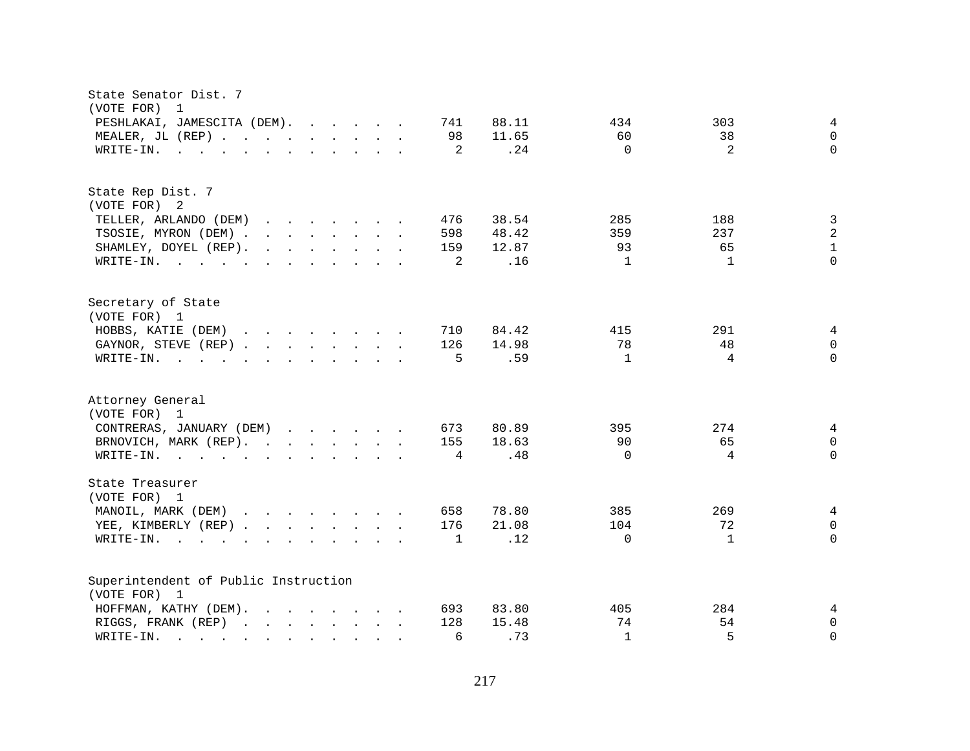| State Senator Dist. 7<br>(VOTE FOR)<br>$\overline{1}$                                                                                                                                                                                                                      |                              |                |
|----------------------------------------------------------------------------------------------------------------------------------------------------------------------------------------------------------------------------------------------------------------------------|------------------------------|----------------|
| PESHLAKAI, JAMESCITA (DEM).<br>88.11<br>741                                                                                                                                                                                                                                | 303<br>434                   | 4              |
| MEALER, JL (REP)<br>98<br>11.65                                                                                                                                                                                                                                            | 60<br>38                     | $\mathbf 0$    |
| 2<br>.24<br>WRITE-IN.<br>$\mathbf{r}$ , and $\mathbf{r}$ , and $\mathbf{r}$ , and $\mathbf{r}$ , and $\mathbf{r}$                                                                                                                                                          | 2<br>$\Omega$                | $\Omega$       |
|                                                                                                                                                                                                                                                                            |                              |                |
| State Rep Dist. 7                                                                                                                                                                                                                                                          |                              |                |
| (VOTE FOR) 2                                                                                                                                                                                                                                                               |                              |                |
| TELLER, ARLANDO (DEM)<br>38.54<br>$\mathbf{r}$ , $\mathbf{r}$ , $\mathbf{r}$ , $\mathbf{r}$ , $\mathbf{r}$ , $\mathbf{r}$<br>476                                                                                                                                           | 285<br>188                   | $\mathbf{3}$   |
| 48.42<br>TSOSIE, MYRON (DEM)<br>598                                                                                                                                                                                                                                        | 359<br>237                   | $\overline{a}$ |
| SHAMLEY, DOYEL (REP).<br>12.87<br>159                                                                                                                                                                                                                                      | 93<br>65                     | $\mathbf{1}$   |
| .16<br>WRITE-IN.<br>2                                                                                                                                                                                                                                                      | $\mathbf{1}$<br>$\mathbf{1}$ | $\Omega$       |
| Secretary of State                                                                                                                                                                                                                                                         |                              |                |
| (VOTE FOR) 1                                                                                                                                                                                                                                                               |                              |                |
| HOBBS, KATIE (DEM)<br>84.42<br>710                                                                                                                                                                                                                                         | 291<br>415                   | 4              |
| 14.98<br>GAYNOR, STEVE (REP)<br>126                                                                                                                                                                                                                                        | 78<br>48                     | $\Omega$       |
| .59<br>WRITE-IN.<br>5<br>$\mathbf{r}$ , and $\mathbf{r}$ , and $\mathbf{r}$ , and $\mathbf{r}$ , and $\mathbf{r}$                                                                                                                                                          | $\mathbf{1}$<br>4            | $\Omega$       |
| Attorney General<br>(VOTE FOR) 1                                                                                                                                                                                                                                           |                              |                |
| CONTRERAS, JANUARY (DEM)<br>673<br>80.89                                                                                                                                                                                                                                   | 395<br>274                   | $\overline{4}$ |
| BRNOVICH, MARK (REP).<br>18.63<br>155                                                                                                                                                                                                                                      | 90<br>65                     | $\mathsf{O}$   |
| .48<br>WRITE-IN.<br>4                                                                                                                                                                                                                                                      | 4<br>$\Omega$                | $\Omega$       |
|                                                                                                                                                                                                                                                                            |                              |                |
| State Treasurer<br>(VOTE FOR) 1                                                                                                                                                                                                                                            |                              |                |
| MANOIL, MARK (DEM)<br>658<br>78.80                                                                                                                                                                                                                                         | 385<br>269                   | $\overline{4}$ |
| YEE, KIMBERLY (REP)<br>176<br>21.08                                                                                                                                                                                                                                        | 104<br>72                    | $\mathsf{O}$   |
| .12<br>$\mathbf{1}$<br>$W\text{RITE}-\text{IN}.$<br>$\mathbf{r}$ , and $\mathbf{r}$ , and $\mathbf{r}$ , and $\mathbf{r}$                                                                                                                                                  | $\mathbf{1}$<br>$\Omega$     | $\Omega$       |
| Superintendent of Public Instruction                                                                                                                                                                                                                                       |                              |                |
| (VOTE FOR) 1                                                                                                                                                                                                                                                               |                              |                |
| 83.80<br>HOFFMAN, KATHY (DEM).<br>$\mathbf{r}$ . The contract of the contract of the contract of the contract of the contract of the contract of the contract of the contract of the contract of the contract of the contract of the contract of the contract of th<br>693 | 284<br>405                   | 4              |
| 128<br>15.48<br>RIGGS, FRANK (REP)                                                                                                                                                                                                                                         | 74<br>54                     | 0              |
| .73<br>WRITE-IN.<br>6<br>$\mathcal{L}(\mathbf{r})$ , and $\mathcal{L}(\mathbf{r})$ , and $\mathcal{L}(\mathbf{r})$<br>$\ddot{\phantom{0}}$                                                                                                                                 | 5<br>$\mathbf{1}$            | $\Omega$       |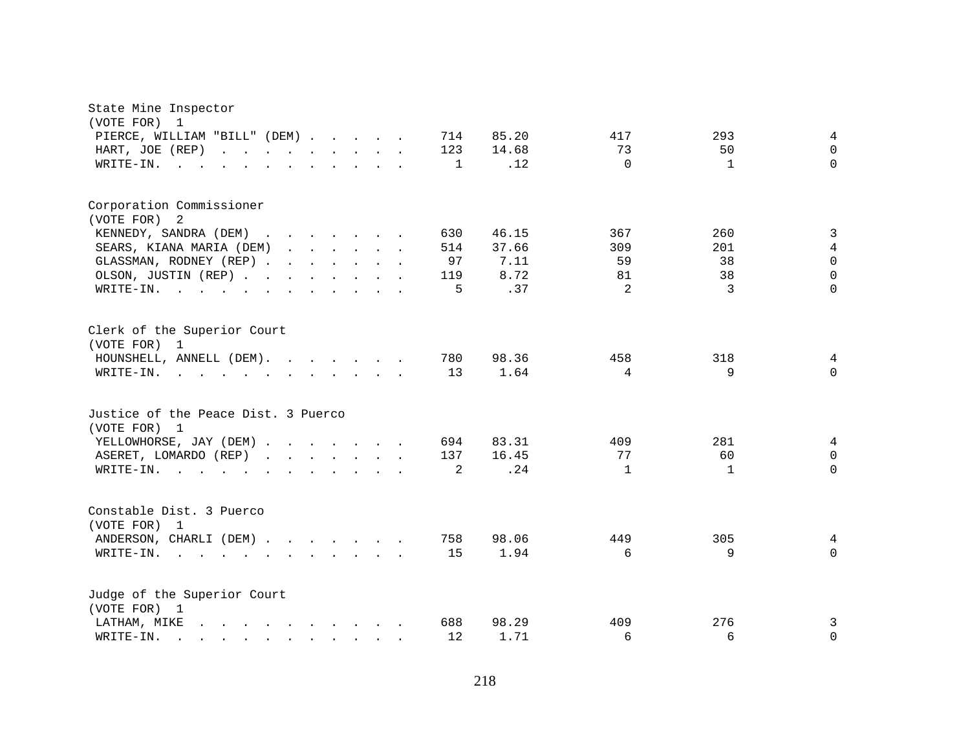| State Mine Inspector<br>(VOTE FOR)<br>$\overline{1}$                                                                                                                                                                                                                          |                     |              |                |
|-------------------------------------------------------------------------------------------------------------------------------------------------------------------------------------------------------------------------------------------------------------------------------|---------------------|--------------|----------------|
| PIERCE, WILLIAM "BILL" (DEM)<br>714                                                                                                                                                                                                                                           | 85.20<br>417        | 293          | 4              |
| 123<br>HART, JOE (REP)<br>$\mathbf{r}$ , $\mathbf{r}$ , $\mathbf{r}$ , $\mathbf{r}$ , $\mathbf{r}$ , $\mathbf{r}$<br>$\mathbf{L}$                                                                                                                                             | 14.68<br>73         | 50           | $\Omega$       |
| WRITE-IN.<br>$\mathbf 1$                                                                                                                                                                                                                                                      | .12<br>$\Omega$     | $\mathbf{1}$ | $\Omega$       |
|                                                                                                                                                                                                                                                                               |                     |              |                |
| Corporation Commissioner                                                                                                                                                                                                                                                      |                     |              |                |
| (VOTE FOR)<br>2                                                                                                                                                                                                                                                               |                     |              |                |
| KENNEDY, SANDRA (DEM)<br>$\mathcal{L}(\mathbf{r},\mathbf{r})$ . The contribution of the contribution of the contribution of the contribution of the contribution of the contribution of the contribution of the contribution of the contribution of the contribution o<br>630 | 46.15<br>367        | 260          | 3              |
| 514<br>SEARS, KIANA MARIA (DEM)                                                                                                                                                                                                                                               | 37.66<br>309        | 201          | $\overline{4}$ |
| GLASSMAN, RODNEY (REP)<br>97                                                                                                                                                                                                                                                  | 7.11<br>59          | 38           | $\Omega$       |
| OLSON, JUSTIN (REP)<br>119                                                                                                                                                                                                                                                    | 8.72<br>81          | 38           | $\Omega$       |
| WRITE-IN.<br>5<br>the contract of the contract of the contract of the contract of the contract of the contract of the contract of                                                                                                                                             | 2<br>.37            | 3            | $\Omega$       |
| Clerk of the Superior Court<br>(VOTE FOR) 1                                                                                                                                                                                                                                   |                     |              |                |
| 780<br>HOUNSHELL, ANNELL (DEM).                                                                                                                                                                                                                                               | 98.36<br>458        | 318          | 4              |
| 13<br>WRITE-IN.<br><u>na kama sa sa sa sa sa sa sa sa sa sa</u>                                                                                                                                                                                                               | 1.64<br>4           | 9            | $\Omega$       |
| Justice of the Peace Dist. 3 Puerco<br>(VOTE FOR) 1                                                                                                                                                                                                                           |                     |              |                |
| YELLOWHORSE, JAY (DEM)<br>694                                                                                                                                                                                                                                                 | 83.31<br>409        | 281          | 4              |
| ASERET, LOMARDO (REP)<br>137<br>$\mathbf{r}$ , $\mathbf{r}$ , $\mathbf{r}$ , $\mathbf{r}$ , $\mathbf{r}$ , $\mathbf{r}$                                                                                                                                                       | 16.45<br>77         | 60           | $\mathbf 0$    |
| $\overline{2}$<br>WRITE-IN.                                                                                                                                                                                                                                                   | .24<br>$\mathbf{1}$ | $\mathbf{1}$ | $\Omega$       |
| Constable Dist. 3 Puerco<br>(VOTE FOR) 1                                                                                                                                                                                                                                      |                     |              |                |
| ANDERSON, CHARLI (DEM)<br>758                                                                                                                                                                                                                                                 | 98.06<br>449        | 305          | 4              |
| 15<br>WRITE-IN.                                                                                                                                                                                                                                                               | 1.94<br>6           | 9            | $\Omega$       |
| Judge of the Superior Court<br>(VOTE FOR) 1                                                                                                                                                                                                                                   |                     |              |                |
| 688<br>LATHAM, MIKE<br>$\mathbf{r}$ , and $\mathbf{r}$ , and $\mathbf{r}$ , and $\mathbf{r}$ , and $\mathbf{r}$                                                                                                                                                               | 98.29<br>409        | 276          | 3              |
| 12<br>WRITE-IN.<br>$\mathbf{r}$ , and $\mathbf{r}$ , and $\mathbf{r}$ , and $\mathbf{r}$                                                                                                                                                                                      | 1.71<br>6           | 6            | $\mathbf 0$    |
|                                                                                                                                                                                                                                                                               |                     |              |                |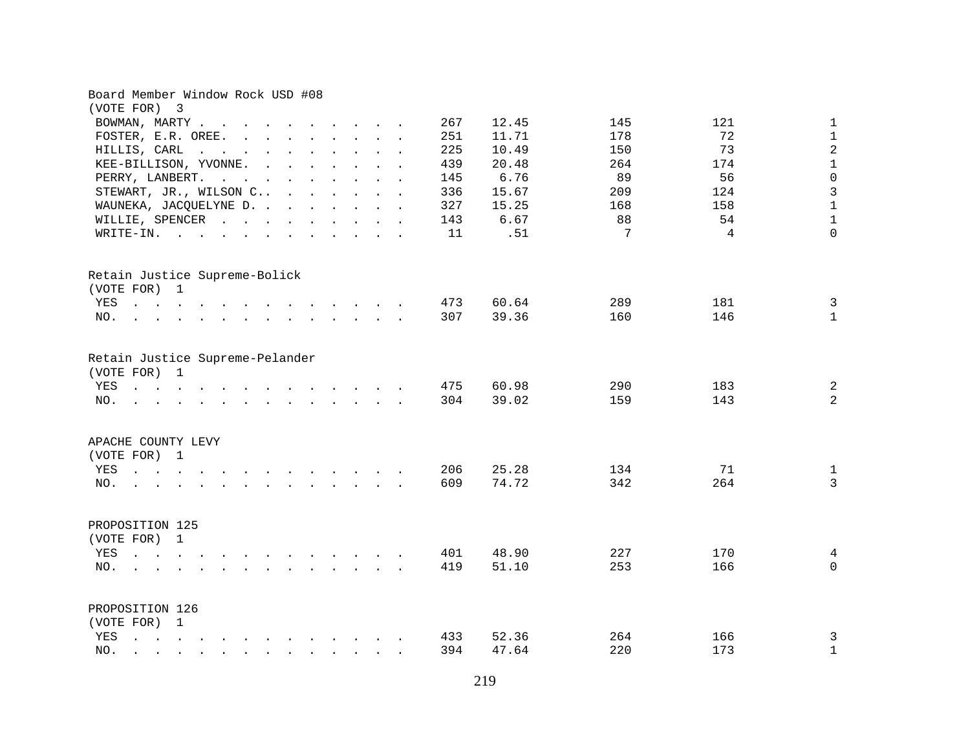| Board Member Window Rock USD #08<br>(VOTE FOR) 3                                                                                                                                                                                                                                                                                                                                                                  |            |                |            |                |                                |
|-------------------------------------------------------------------------------------------------------------------------------------------------------------------------------------------------------------------------------------------------------------------------------------------------------------------------------------------------------------------------------------------------------------------|------------|----------------|------------|----------------|--------------------------------|
| BOWMAN, MARTY                                                                                                                                                                                                                                                                                                                                                                                                     | 267        | 12.45          | 145        | 121            | $\mathbf 1$                    |
| FOSTER, E.R. OREE.                                                                                                                                                                                                                                                                                                                                                                                                | 251        | 11.71          | 178        | 72             | $\mathbf 1$                    |
| HILLIS, CARL<br>the contract of the contract of the con-                                                                                                                                                                                                                                                                                                                                                          | 225        | 10.49          | 150        | 73             | $\overline{a}$                 |
| KEE-BILLISON, YVONNE.                                                                                                                                                                                                                                                                                                                                                                                             | 439        | 20.48          | 264        | 174            | $1\,$                          |
| PERRY, LANBERT.<br>$\mathbf{r}$ , and $\mathbf{r}$ , and $\mathbf{r}$ , and $\mathbf{r}$ , and $\mathbf{r}$                                                                                                                                                                                                                                                                                                       | 145        | 6.76           | 89         | 56             | $\mathbf 0$                    |
| STEWART, JR., WILSON C                                                                                                                                                                                                                                                                                                                                                                                            | 336        | 15.67          | 209        | 124            | $\overline{3}$                 |
| WAUNEKA, JACQUELYNE D.                                                                                                                                                                                                                                                                                                                                                                                            | 327        | 15.25          | 168        | 158            | 1                              |
| WILLIE, SPENCER                                                                                                                                                                                                                                                                                                                                                                                                   | 143        | 6.67           | 88         | 54             | $\mathbf 1$                    |
| WRITE-IN.                                                                                                                                                                                                                                                                                                                                                                                                         | 11         | .51            | 7          | $\overline{4}$ | $\Omega$                       |
|                                                                                                                                                                                                                                                                                                                                                                                                                   |            |                |            |                |                                |
| Retain Justice Supreme-Bolick<br>(VOTE FOR) 1                                                                                                                                                                                                                                                                                                                                                                     |            |                |            |                |                                |
| YES<br>the contract of the contract of the contract of the contract of the contract of the contract of the contract of                                                                                                                                                                                                                                                                                            | 473        | 60.64          | 289        | 181            | 3                              |
| NO.<br>the contract of the contract of the contract of the contract of the contract of the contract of the contract of                                                                                                                                                                                                                                                                                            | 307        | 39.36          | 160        | 146            | $\mathbf{1}$                   |
| Retain Justice Supreme-Pelander<br>(VOTE FOR) 1<br>YES<br>the contract of the contract of the contract of the contract of the contract of the contract of the contract of<br>NO.<br>the contract of the contract of the contract of the contract of the contract of the contract of the contract of                                                                                                               | 475<br>304 | 60.98<br>39.02 | 290<br>159 | 183<br>143     | $\mathbf{2}$<br>$\overline{2}$ |
| APACHE COUNTY LEVY                                                                                                                                                                                                                                                                                                                                                                                                |            |                |            |                |                                |
| (VOTE FOR) 1                                                                                                                                                                                                                                                                                                                                                                                                      |            |                |            |                |                                |
| YES<br>the contract of the contract of the contract of the contract of the contract of the contract of the contract of                                                                                                                                                                                                                                                                                            | 206        | 25.28          | 134        | 71             | 1                              |
| NO.<br>$\mathbf{r}$ . The contract of the contract of the contract of the contract of the contract of the contract of the contract of the contract of the contract of the contract of the contract of the contract of the contract of th<br>$\ddot{\phantom{a}}$<br>$\begin{array}{cccccccccccccc} \bullet & \bullet & \bullet & \bullet & \bullet & \bullet & \bullet & \bullet & \bullet & \bullet \end{array}$ | 609        | 74.72          | 342        | 264            | $\overline{3}$                 |
| PROPOSITION 125<br>(VOTE FOR) 1                                                                                                                                                                                                                                                                                                                                                                                   |            |                |            |                |                                |
| YES<br>$\mathbf{r}$ , $\mathbf{r}$ , $\mathbf{r}$ , $\mathbf{r}$<br>$\mathbf{r}$ , and $\mathbf{r}$ , and $\mathbf{r}$ , and $\mathbf{r}$                                                                                                                                                                                                                                                                         | 401        | 48.90          | 227        | 170            | $\overline{4}$                 |
| NO.<br>$\mathbf{r}$ . The set of the set of the set of the set of the set of the set of the set of the set of the set of the set of the set of the set of the set of the set of the set of the set of the set of the set of the set of t<br>$\mathbf{r}$ . The contract of $\mathbf{r}$                                                                                                                           | 419        | 51.10          | 253        | 166            | $\Omega$                       |
| PROPOSITION 126<br>(VOTE FOR) 1                                                                                                                                                                                                                                                                                                                                                                                   |            |                |            |                |                                |
| YES                                                                                                                                                                                                                                                                                                                                                                                                               | 433        | 52.36          | 264        | 166            | 3                              |
|                                                                                                                                                                                                                                                                                                                                                                                                                   | 394        | 47.64          | 220        | 173            | $1\,$                          |
| NO.<br>$\mathbf{r}$ , $\mathbf{r}$ , $\mathbf{r}$ , $\mathbf{r}$<br>$\mathbf{r} = \mathbf{r} \cdot \mathbf{r}$<br>$\sim$<br>$\sim$                                                                                                                                                                                                                                                                                |            |                |            |                |                                |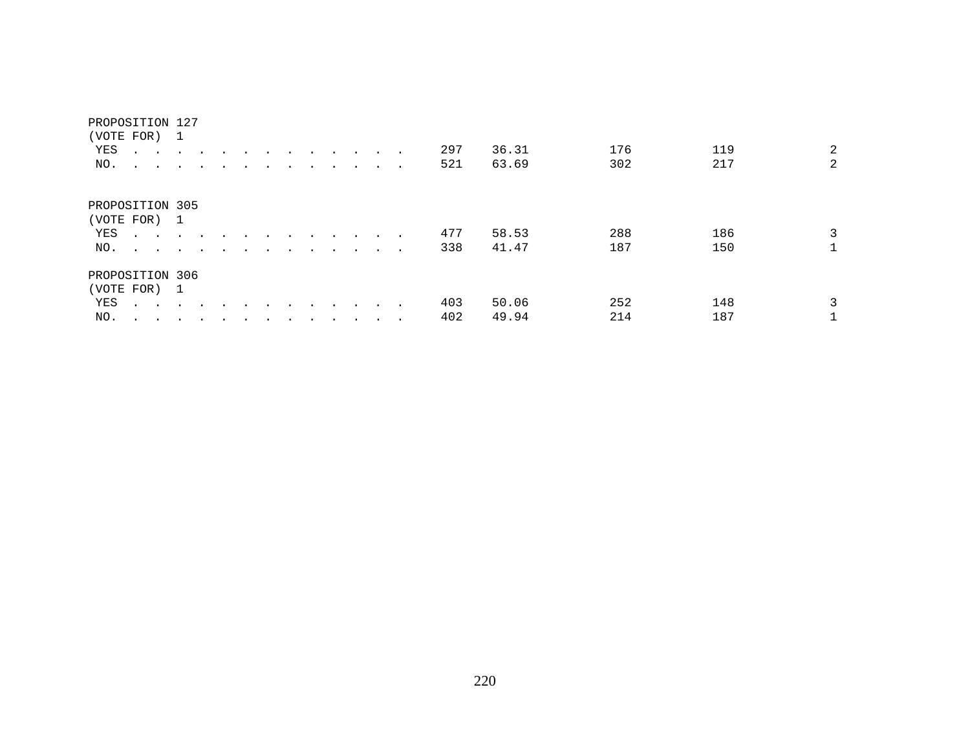#### PROPOSITION 127

| (VOTE FOR) 1                     |                                                                                           |                                                                                                                 |                      |        |        |                      |                      |                             |               |        |     |       |     |     |   |
|----------------------------------|-------------------------------------------------------------------------------------------|-----------------------------------------------------------------------------------------------------------------|----------------------|--------|--------|----------------------|----------------------|-----------------------------|---------------|--------|-----|-------|-----|-----|---|
| YES                              | <b>All Contracts</b>                                                                      |                                                                                                                 | $\ddot{\phantom{a}}$ |        |        |                      | $\ddot{\phantom{a}}$ | $\cdot$                     |               |        | 297 | 36.31 | 176 | 119 | 2 |
| NO.                              |                                                                                           | the contract of the contract of the contract of the contract of the contract of the contract of the contract of |                      |        |        |                      | $\sim$               | $\ddot{\phantom{0}}$        | $\sim$ $\sim$ | $\sim$ | 521 | 63.69 | 302 | 217 | 2 |
|                                  |                                                                                           |                                                                                                                 |                      |        |        |                      |                      |                             |               |        |     |       |     |     |   |
| PROPOSITION 305                  |                                                                                           |                                                                                                                 |                      |        |        |                      |                      |                             |               |        |     |       |     |     |   |
| (VOTE FOR) 1                     |                                                                                           |                                                                                                                 |                      |        |        |                      |                      |                             |               |        |     |       |     |     |   |
| YES                              | $\mathcal{L}(\mathbf{z})$ , and $\mathcal{L}(\mathbf{z})$ , and $\mathcal{L}(\mathbf{z})$ |                                                                                                                 | $\sim$               | $\sim$ |        |                      | $\sim$               | $\sim$ $\sim$ $\sim$ $\sim$ |               |        | 477 | 58.53 | 288 | 186 | 3 |
| $NO.$ $\cdots$ $\cdots$ $\cdots$ |                                                                                           |                                                                                                                 |                      |        | $\sim$ | $\sim$ $\sim$ $\sim$ |                      | $\sim 100$ km s $^{-1}$     |               |        | 338 | 41.47 | 187 | 150 |   |
| PROPOSITION 306                  |                                                                                           |                                                                                                                 |                      |        |        |                      |                      |                             |               |        |     |       |     |     |   |
| (VOTE FOR) 1                     |                                                                                           |                                                                                                                 |                      |        |        |                      |                      |                             |               |        |     |       |     |     |   |
| YES                              | $\mathbf{r}$ , $\mathbf{r}$ , $\mathbf{r}$                                                |                                                                                                                 |                      |        |        |                      |                      |                             |               |        | 403 | 50.06 | 252 | 148 | 3 |
| NO.                              |                                                                                           |                                                                                                                 | $\cdot$              |        |        |                      |                      |                             | $\bullet$     | $\sim$ | 402 | 49.94 | 214 | 187 |   |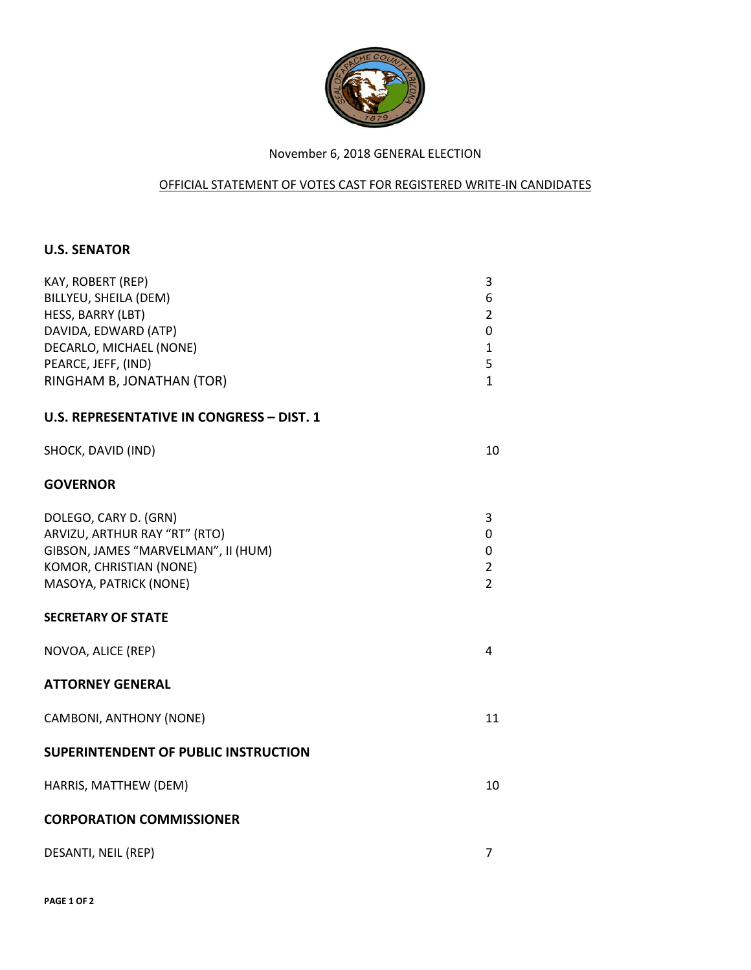

## November 6, 2018 GENERAL ELECTION

## OFFICIAL STATEMENT OF VOTES CAST FOR REGISTERED WRITE-IN CANDIDATES

## **U.S. SENATOR**

| KAY, ROBERT (REP)<br>BILLYEU, SHEILA (DEM)<br>HESS, BARRY (LBT)<br>DAVIDA, EDWARD (ATP)<br>DECARLO, MICHAEL (NONE)                                 | 3<br>6<br>$\overline{2}$<br>0<br>$\mathbf{1}$   |
|----------------------------------------------------------------------------------------------------------------------------------------------------|-------------------------------------------------|
| PEARCE, JEFF, (IND)                                                                                                                                | 5                                               |
| RINGHAM B, JONATHAN (TOR)                                                                                                                          | $\mathbf{1}$                                    |
| <b>U.S. REPRESENTATIVE IN CONGRESS - DIST. 1</b>                                                                                                   |                                                 |
| SHOCK, DAVID (IND)                                                                                                                                 | 10                                              |
| <b>GOVERNOR</b>                                                                                                                                    |                                                 |
| DOLEGO, CARY D. (GRN)<br>ARVIZU, ARTHUR RAY "RT" (RTO)<br>GIBSON, JAMES "MARVELMAN", II (HUM)<br>KOMOR, CHRISTIAN (NONE)<br>MASOYA, PATRICK (NONE) | 3<br>0<br>0<br>$\overline{2}$<br>$\overline{2}$ |
| <b>SECRETARY OF STATE</b>                                                                                                                          |                                                 |
| NOVOA, ALICE (REP)                                                                                                                                 | 4                                               |
| <b>ATTORNEY GENERAL</b>                                                                                                                            |                                                 |
| CAMBONI, ANTHONY (NONE)                                                                                                                            | 11                                              |
| SUPERINTENDENT OF PUBLIC INSTRUCTION                                                                                                               |                                                 |
| HARRIS, MATTHEW (DEM)                                                                                                                              | 10                                              |
| <b>CORPORATION COMMISSIONER</b>                                                                                                                    |                                                 |
| DESANTI, NEIL (REP)                                                                                                                                | $\overline{7}$                                  |